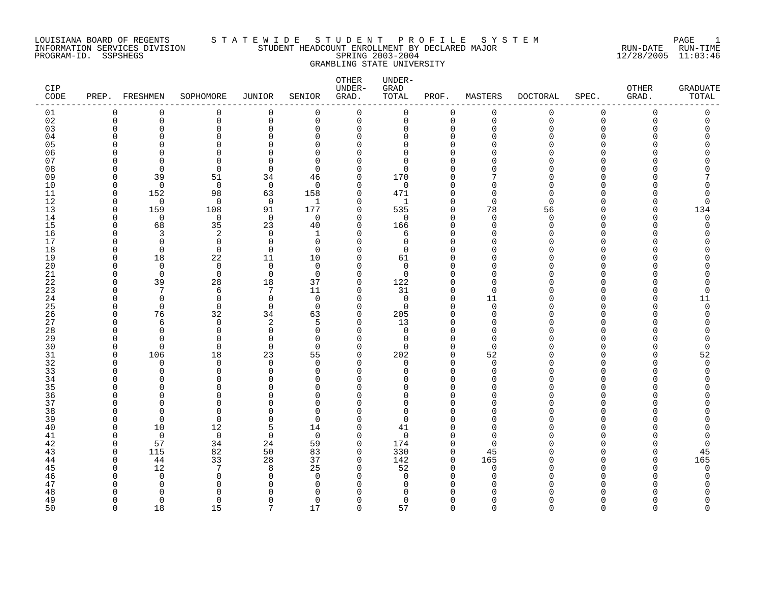# LOUISIANA BOARD OF REGENTS S T A T E W I D E S T U D E N T P R O F I L E S Y S T E M PAGE 1 INFORMATION SERVICES DIVISION STUDENT HEADCOUNT ENROLLMENT BY DECLARED MAJOR RUN-DATE RUN-TIME PROGRAM-ID. SSPSHEGS SPRING 2003-2004 12/28/2005 11:03:46 GRAMBLING STATE UNIVERSITY

| CIP<br>CODE |          | PREP. FRESHMEN | SOPHOMORE            | JUNIOR         | SENIOR                   | OTHER<br>UNDER-<br>GRAD. | UNDER-<br>${\tt GRAD}$<br>TOTAL | PROF.              | MASTERS                  | <b>DOCTORAL</b> | SPEC.                  | OTHER<br>GRAD. | <b>GRADUATE</b><br>TOTAL |
|-------------|----------|----------------|----------------------|----------------|--------------------------|--------------------------|---------------------------------|--------------------|--------------------------|-----------------|------------------------|----------------|--------------------------|
| 01          | 0        | 0              | 0                    | $\mathbf 0$    | $\mathbf 0$              | 0                        | 0                               | 0                  | 0                        | 0               | 0                      | 0              | 0                        |
| 02          | $\Omega$ | 0              | $\mathbf 0$          | $\mathbf 0$    | $\mathbf 0$              | $\mathbf 0$              | 0                               | $\Omega$           | $\mathbf 0$              | $\mathbf 0$     | $\mathbf 0$            | $\Omega$       | 0                        |
| 03          | n        | $\Omega$       | $\Omega$             | $\Omega$       | $\Omega$                 | $\Omega$                 | 0                               | O                  | $\mathbf 0$              | 0               | $\Omega$               |                | Λ                        |
| 04          |          | U              | ∩                    |                | ∩                        | $\Omega$                 | U                               | n                  | $\Omega$                 | U               | ∩                      |                |                          |
| 05<br>06    |          | O              | $\Omega$<br>$\Omega$ |                | <sup>0</sup><br>$\Omega$ | $\Omega$<br>$\Omega$     | <sup>0</sup><br>$\Omega$        | O<br>n             | <sup>0</sup><br>$\Omega$ | U               | <sup>0</sup><br>$\cap$ |                |                          |
| 07          |          | <sup>n</sup>   | $\Omega$             |                | $\Omega$                 | 0                        | $\Omega$                        |                    | $\Omega$                 | U               | $\Omega$               |                |                          |
| 08          | n        | $\Omega$       | $\Omega$             | $\Omega$       | $\Omega$                 | 0                        | $\Omega$                        |                    | $\Omega$                 | U               | $\Omega$               |                |                          |
| 09          | $\cap$   | 39             | 51                   | 34             | 46                       | $\mathbf 0$              | 170                             |                    |                          | U               |                        |                |                          |
| 10          | n        | $\Omega$       | $\Omega$             | $\mathbf 0$    | $\Omega$                 | $\mathbf 0$              | $\Omega$                        |                    | O                        | ∩               | ∩                      |                |                          |
| 11          | $\Omega$ | 152            | 98                   | 63             | 158                      | $\mathbf 0$              | 471                             | O                  | $\Omega$                 | $\Omega$        | $\Omega$               |                | O                        |
| 12          | $\Omega$ | $\Omega$       | $\mathbf 0$          | $\overline{0}$ | -1                       | $\mathbf 0$              | 1                               | $\cap$             | $\Omega$                 | $\Omega$        | $\Omega$               |                | 0                        |
| 13          | $\Omega$ | 159            | 108                  | 91             | 177                      | 0                        | 535                             | $\Omega$           | 78                       | 56              | $\Omega$               |                | 134                      |
| 14          | O        | $\Omega$       | $\mathbf 0$          | $\overline{0}$ | $\Omega$                 | 0                        | 0                               | $\Omega$           | 0                        | $\Omega$        | <sup>0</sup>           |                | 0                        |
| 15          | n        | 68             | 35                   | 23             | 40                       | $\mathbf 0$              | 166                             | $\cap$             | $\Omega$                 | $\Omega$        | $\cap$                 |                | U                        |
| 16          |          | 3              | 2                    | $\Omega$       | $\mathbf{1}$             | $\Omega$                 | 6                               | n                  | $\Omega$                 |                 | $\Omega$               |                |                          |
| 17          | U        | $\Omega$       | $\mathbf 0$          | $\Omega$       | $\mathbf 0$              | $\Omega$                 | 0                               |                    | $\Omega$                 | N               | ∩                      |                |                          |
| 18          | U        | $\Omega$       | $\mathbf 0$          | $\Omega$       | $\Omega$                 | $\Omega$                 | $\Omega$                        |                    | $\Omega$                 | U               | $\Omega$               |                |                          |
| 19          | n        | 18             | 22                   | 11             | 10                       | $\Omega$                 | 61                              | ∩                  | $\Omega$                 | U               | ∩                      |                |                          |
| 20          | U        | $\Omega$       | $\mathbf 0$          | $\Omega$       | $\Omega$                 | 0                        | $\Omega$                        |                    | $\Omega$                 | U               | $\Omega$               |                |                          |
| 21          | n        | $\Omega$       | $\Omega$             | $\Omega$       | $\Omega$                 | $\mathbf 0$              | $\Omega$                        |                    | $\Omega$                 |                 |                        |                |                          |
| 22          | O        | 39             | 28                   | 18             | 37                       | $\mathbf 0$              | 122                             | O                  | 0                        | N               | $\Omega$               |                | Ω                        |
| 23<br>24    | U<br>U   | 7<br>$\Omega$  | 6<br>$\mathbf 0$     | 7<br>$\Omega$  | 11<br>$\Omega$           | 0<br>$\Omega$            | 31<br>$\mathbf 0$               | $\cap$<br>$\Omega$ | $\Omega$                 | U               | ∩<br>$\Omega$          |                | O                        |
| 25          | O        | $\Omega$       | $\Omega$             | $\Omega$       | $\Omega$                 | 0                        | $\Omega$                        | $\cap$             | 11<br>$\overline{0}$     | O               | $\Omega$               |                | 11<br>$\Omega$           |
| 26          | n        | 76             | 32                   | 34             | 63                       | 0                        | 205                             | n                  | 0                        | U               | ∩                      |                | O                        |
| 27          | C        | 6              | 0                    | 2              | 5                        | 0                        | 13                              |                    | $\Omega$                 | U               | ∩                      |                |                          |
| 28          | U        | $\Omega$       | $\Omega$             | $\Omega$       | $\Omega$                 | $\Omega$                 | $\Omega$                        |                    | $\Omega$                 |                 | $\Omega$               |                |                          |
| 29          | U        | $\Omega$       | $\mathbf 0$          | $\Omega$       | $\Omega$                 | $\Omega$                 | 0                               |                    | $\mathbf 0$              |                 | $\Omega$               |                | O                        |
| 30          | O        | $\Omega$       | $\Omega$             | $\Omega$       | $\Omega$                 | 0                        | $\Omega$                        | O                  | $\Omega$                 |                 | $\Omega$               |                | O                        |
| 31          | O        | 106            | 18                   | 23             | 55                       | 0                        | 202                             | $\cap$             | 52                       | U               | $\Omega$               |                | 52                       |
| 32          | n        | $\Omega$       | $\Omega$             | $\Omega$       | $\Omega$                 | $\Omega$                 | 0                               | $\cap$             | $\Omega$                 | ∩               | ∩                      |                | $\Omega$                 |
| 33          | C        | U              | $\Omega$             | ∩              | $\Omega$                 | $\Omega$                 | $\Omega$                        |                    | $\Omega$                 |                 |                        |                | U                        |
| 34          | C        | $\Omega$       | $\Omega$             | O              | $\Omega$                 | $\Omega$                 | O                               | n                  | $\Omega$                 |                 | $\Omega$               |                |                          |
| 35          |          | ∩              | $\Omega$             |                | ∩                        | $\Omega$                 | O                               |                    | $\Omega$                 |                 | ∩                      |                |                          |
| 36          |          | n              | $\Omega$             |                | $\Omega$                 | O                        | <sup>0</sup>                    |                    | $\Omega$                 |                 |                        |                |                          |
| 37          |          | $\cap$         | $\Omega$             |                | $\Omega$                 | 0                        | $\Omega$                        |                    | $\Omega$                 |                 | $\Omega$               |                |                          |
| 38          | ſ        | n              | ∩                    |                | $\Omega$                 | 0                        | $\Omega$                        |                    | $\Omega$                 |                 |                        |                |                          |
| 39          | U        | $\Omega$       | $\Omega$             | $\Omega$       | $\Omega$                 | $\Omega$                 | $\Omega$                        |                    | $\Omega$                 |                 | ∩                      |                |                          |
| 40<br>41    | O<br>n   | 10             | 12<br>$\mathbf 0$    | 5              | 14<br>$\Omega$           | 0                        | 41<br>$\mathbf 0$               |                    | $\Omega$<br>$\Omega$     | Ω               | <sup>0</sup><br>∩      |                |                          |
| 42          | $\Omega$ | 0<br>57        | 34                   | 0<br>24        | 59                       | 0<br>0                   | 174                             | $\cap$             | $\Omega$                 |                 | $\Omega$               |                | 0                        |
| 43          | O        | 115            | 82                   | 50             | 83                       | $\mathbf 0$              | 330                             | $\Omega$           | 45                       |                 | <sup>0</sup>           |                | 45                       |
| 44          | n        | 44             | 33                   | 28             | 37                       | 0                        | 142                             | $\Omega$           | 165                      | U               | ∩                      | ∩              | 165                      |
| 45          | n        | 12             | 7                    | R              | 25                       | $\Omega$                 | 52                              | $\cap$             | $\Omega$                 |                 |                        |                | $\Omega$                 |
| 46          | U        | $\Omega$       | $\Omega$             | ∩              | $\Omega$                 | $\Omega$                 | $\Omega$                        | n                  | $\Omega$                 |                 | ∩                      |                | O                        |
| 47          |          | n              | $\Omega$             |                | $\Omega$                 | O                        | $\Omega$                        |                    | $\Omega$                 |                 |                        |                |                          |
| 48          | O        | U              | $\Omega$             | O              | $\Omega$                 | $\Omega$                 | $\Omega$                        |                    | $\Omega$                 | O               | $\Omega$               |                | ი                        |
| 49          | $\Omega$ | $\Omega$       | $\Omega$             | $\Omega$       | 0                        | $\mathbf 0$              | 0                               | $\Omega$           | $\mathbf 0$              | 0               | 0                      | $\Omega$       | 0                        |

50 0 18 15 7 17 0 57 0 0 0 0 0 0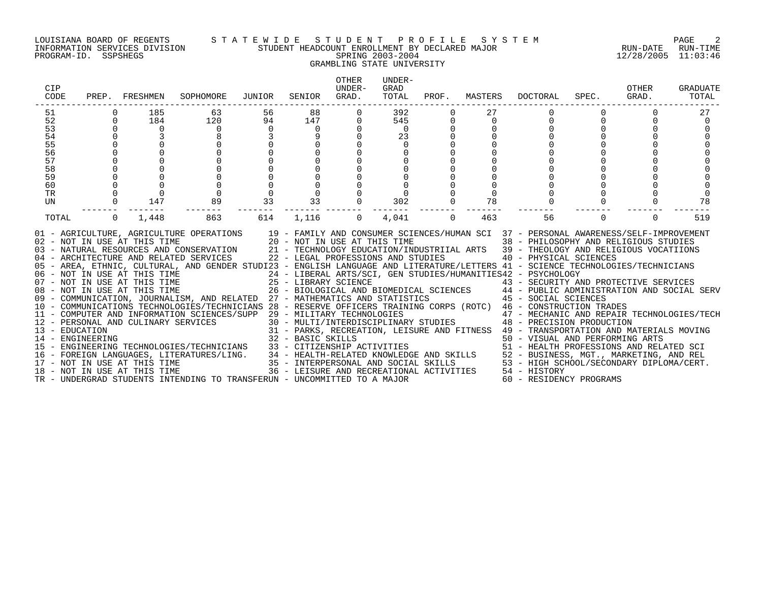# LOUISIANA BOARD OF REGENTS S T A T E W I D E S T U D E N T P R O F I L E S Y S T E M PAGE 2 INFORMATION SERVICES DIVISION STUDENT HEADCOUNT ENROLLMENT BY DECLARED MAJOR RUN-DATE RUN-TIME PROGRAM-ID. SSPSHEGS SPRING 2003-2004 12/28/2005 11:03:46 GRAMBLING STATE UNIVERSITY

| PREP.                                                                                        |                                    | SOPHOMORE                               | JUNIOR                                                   | SENIOR                                                                                                                                                                                                                                                                                                                                | <b>OTHER</b><br>UNDER-<br>GRAD.                | UNDER-<br>GRAD<br>TOTAL | PROF.                                                                                                                                                                                                  | MASTERS  | <b>DOCTORAL</b>                                      | SPEC.    | OTHER<br>GRAD.                                                                                                                                                                             | GRADUATE<br>TOTAL                                                                                                                                                                                                                                                                                                                                                                                                                                                                                                                                                                                                                                                                                                                                                                                                                                                                                                                                                                                                                                                                                                                                                   |
|----------------------------------------------------------------------------------------------|------------------------------------|-----------------------------------------|----------------------------------------------------------|---------------------------------------------------------------------------------------------------------------------------------------------------------------------------------------------------------------------------------------------------------------------------------------------------------------------------------------|------------------------------------------------|-------------------------|--------------------------------------------------------------------------------------------------------------------------------------------------------------------------------------------------------|----------|------------------------------------------------------|----------|--------------------------------------------------------------------------------------------------------------------------------------------------------------------------------------------|---------------------------------------------------------------------------------------------------------------------------------------------------------------------------------------------------------------------------------------------------------------------------------------------------------------------------------------------------------------------------------------------------------------------------------------------------------------------------------------------------------------------------------------------------------------------------------------------------------------------------------------------------------------------------------------------------------------------------------------------------------------------------------------------------------------------------------------------------------------------------------------------------------------------------------------------------------------------------------------------------------------------------------------------------------------------------------------------------------------------------------------------------------------------|
|                                                                                              | 185                                | 63                                      | 56                                                       | 88                                                                                                                                                                                                                                                                                                                                    | $\Omega$                                       | 392                     | $\Omega$                                                                                                                                                                                               |          |                                                      |          |                                                                                                                                                                                            |                                                                                                                                                                                                                                                                                                                                                                                                                                                                                                                                                                                                                                                                                                                                                                                                                                                                                                                                                                                                                                                                                                                                                                     |
| $\Omega$                                                                                     |                                    |                                         | 94                                                       | 147                                                                                                                                                                                                                                                                                                                                   | 0                                              |                         | $\Omega$                                                                                                                                                                                               | $\Omega$ |                                                      |          |                                                                                                                                                                                            |                                                                                                                                                                                                                                                                                                                                                                                                                                                                                                                                                                                                                                                                                                                                                                                                                                                                                                                                                                                                                                                                                                                                                                     |
|                                                                                              | $\Omega$                           | $\Omega$                                |                                                          | $\Omega$                                                                                                                                                                                                                                                                                                                              |                                                | $\Omega$                |                                                                                                                                                                                                        |          |                                                      |          |                                                                                                                                                                                            |                                                                                                                                                                                                                                                                                                                                                                                                                                                                                                                                                                                                                                                                                                                                                                                                                                                                                                                                                                                                                                                                                                                                                                     |
|                                                                                              |                                    | 8                                       |                                                          |                                                                                                                                                                                                                                                                                                                                       |                                                |                         |                                                                                                                                                                                                        |          |                                                      |          |                                                                                                                                                                                            |                                                                                                                                                                                                                                                                                                                                                                                                                                                                                                                                                                                                                                                                                                                                                                                                                                                                                                                                                                                                                                                                                                                                                                     |
|                                                                                              |                                    |                                         |                                                          |                                                                                                                                                                                                                                                                                                                                       |                                                | $\Omega$                |                                                                                                                                                                                                        |          |                                                      |          |                                                                                                                                                                                            |                                                                                                                                                                                                                                                                                                                                                                                                                                                                                                                                                                                                                                                                                                                                                                                                                                                                                                                                                                                                                                                                                                                                                                     |
|                                                                                              |                                    |                                         |                                                          |                                                                                                                                                                                                                                                                                                                                       |                                                |                         |                                                                                                                                                                                                        |          |                                                      |          |                                                                                                                                                                                            |                                                                                                                                                                                                                                                                                                                                                                                                                                                                                                                                                                                                                                                                                                                                                                                                                                                                                                                                                                                                                                                                                                                                                                     |
|                                                                                              |                                    |                                         |                                                          |                                                                                                                                                                                                                                                                                                                                       |                                                |                         |                                                                                                                                                                                                        |          |                                                      |          |                                                                                                                                                                                            |                                                                                                                                                                                                                                                                                                                                                                                                                                                                                                                                                                                                                                                                                                                                                                                                                                                                                                                                                                                                                                                                                                                                                                     |
|                                                                                              |                                    |                                         |                                                          |                                                                                                                                                                                                                                                                                                                                       |                                                |                         |                                                                                                                                                                                                        |          |                                                      |          |                                                                                                                                                                                            |                                                                                                                                                                                                                                                                                                                                                                                                                                                                                                                                                                                                                                                                                                                                                                                                                                                                                                                                                                                                                                                                                                                                                                     |
|                                                                                              |                                    |                                         |                                                          |                                                                                                                                                                                                                                                                                                                                       |                                                |                         |                                                                                                                                                                                                        |          |                                                      |          |                                                                                                                                                                                            |                                                                                                                                                                                                                                                                                                                                                                                                                                                                                                                                                                                                                                                                                                                                                                                                                                                                                                                                                                                                                                                                                                                                                                     |
|                                                                                              |                                    |                                         |                                                          |                                                                                                                                                                                                                                                                                                                                       |                                                |                         |                                                                                                                                                                                                        |          |                                                      |          |                                                                                                                                                                                            |                                                                                                                                                                                                                                                                                                                                                                                                                                                                                                                                                                                                                                                                                                                                                                                                                                                                                                                                                                                                                                                                                                                                                                     |
|                                                                                              |                                    |                                         |                                                          |                                                                                                                                                                                                                                                                                                                                       |                                                |                         |                                                                                                                                                                                                        |          |                                                      |          |                                                                                                                                                                                            |                                                                                                                                                                                                                                                                                                                                                                                                                                                                                                                                                                                                                                                                                                                                                                                                                                                                                                                                                                                                                                                                                                                                                                     |
|                                                                                              |                                    |                                         |                                                          |                                                                                                                                                                                                                                                                                                                                       |                                                |                         |                                                                                                                                                                                                        |          |                                                      |          |                                                                                                                                                                                            | 78                                                                                                                                                                                                                                                                                                                                                                                                                                                                                                                                                                                                                                                                                                                                                                                                                                                                                                                                                                                                                                                                                                                                                                  |
| $\mathbf 0$                                                                                  | 1,448                              | 863                                     | 614                                                      | 1,116                                                                                                                                                                                                                                                                                                                                 | 0                                              | 4,041                   | 0                                                                                                                                                                                                      | 463      | 56                                                   | $\Omega$ | $\Omega$                                                                                                                                                                                   | 519                                                                                                                                                                                                                                                                                                                                                                                                                                                                                                                                                                                                                                                                                                                                                                                                                                                                                                                                                                                                                                                                                                                                                                 |
|                                                                                              |                                    |                                         |                                                          |                                                                                                                                                                                                                                                                                                                                       |                                                |                         |                                                                                                                                                                                                        |          |                                                      |          |                                                                                                                                                                                            |                                                                                                                                                                                                                                                                                                                                                                                                                                                                                                                                                                                                                                                                                                                                                                                                                                                                                                                                                                                                                                                                                                                                                                     |
|                                                                                              |                                    |                                         |                                                          |                                                                                                                                                                                                                                                                                                                                       |                                                |                         |                                                                                                                                                                                                        |          |                                                      |          |                                                                                                                                                                                            |                                                                                                                                                                                                                                                                                                                                                                                                                                                                                                                                                                                                                                                                                                                                                                                                                                                                                                                                                                                                                                                                                                                                                                     |
|                                                                                              |                                    |                                         |                                                          |                                                                                                                                                                                                                                                                                                                                       |                                                |                         |                                                                                                                                                                                                        |          |                                                      |          |                                                                                                                                                                                            |                                                                                                                                                                                                                                                                                                                                                                                                                                                                                                                                                                                                                                                                                                                                                                                                                                                                                                                                                                                                                                                                                                                                                                     |
|                                                                                              |                                    |                                         |                                                          |                                                                                                                                                                                                                                                                                                                                       |                                                |                         |                                                                                                                                                                                                        |          |                                                      |          |                                                                                                                                                                                            |                                                                                                                                                                                                                                                                                                                                                                                                                                                                                                                                                                                                                                                                                                                                                                                                                                                                                                                                                                                                                                                                                                                                                                     |
|                                                                                              |                                    |                                         |                                                          |                                                                                                                                                                                                                                                                                                                                       |                                                |                         |                                                                                                                                                                                                        |          |                                                      |          |                                                                                                                                                                                            |                                                                                                                                                                                                                                                                                                                                                                                                                                                                                                                                                                                                                                                                                                                                                                                                                                                                                                                                                                                                                                                                                                                                                                     |
|                                                                                              |                                    |                                         |                                                          |                                                                                                                                                                                                                                                                                                                                       |                                                |                         |                                                                                                                                                                                                        |          |                                                      |          |                                                                                                                                                                                            |                                                                                                                                                                                                                                                                                                                                                                                                                                                                                                                                                                                                                                                                                                                                                                                                                                                                                                                                                                                                                                                                                                                                                                     |
|                                                                                              |                                    |                                         |                                                          |                                                                                                                                                                                                                                                                                                                                       |                                                |                         |                                                                                                                                                                                                        |          |                                                      |          |                                                                                                                                                                                            |                                                                                                                                                                                                                                                                                                                                                                                                                                                                                                                                                                                                                                                                                                                                                                                                                                                                                                                                                                                                                                                                                                                                                                     |
|                                                                                              |                                    |                                         |                                                          |                                                                                                                                                                                                                                                                                                                                       |                                                |                         |                                                                                                                                                                                                        |          |                                                      |          |                                                                                                                                                                                            |                                                                                                                                                                                                                                                                                                                                                                                                                                                                                                                                                                                                                                                                                                                                                                                                                                                                                                                                                                                                                                                                                                                                                                     |
|                                                                                              |                                    |                                         |                                                          |                                                                                                                                                                                                                                                                                                                                       |                                                |                         |                                                                                                                                                                                                        |          |                                                      |          |                                                                                                                                                                                            |                                                                                                                                                                                                                                                                                                                                                                                                                                                                                                                                                                                                                                                                                                                                                                                                                                                                                                                                                                                                                                                                                                                                                                     |
|                                                                                              |                                    |                                         |                                                          |                                                                                                                                                                                                                                                                                                                                       |                                                |                         |                                                                                                                                                                                                        |          |                                                      |          |                                                                                                                                                                                            |                                                                                                                                                                                                                                                                                                                                                                                                                                                                                                                                                                                                                                                                                                                                                                                                                                                                                                                                                                                                                                                                                                                                                                     |
| CIP<br>CODE<br>51<br>52<br>53<br>54<br>55<br>56<br>57<br>58<br>59<br>60<br>TR<br>UN<br>TOTAL | 13 - EDUCATION<br>14 - ENGINEERING | FRESHMEN<br>184<br>3<br>$\Omega$<br>147 | 120<br>$\mathbf 0$<br>89<br>02 - NOT IN USE AT THIS TIME | $\Omega$<br>33<br>01 - AGRICULTURE, AGRICULTURE OPERATIONS<br>04 - ARCHITECTURE AND RELATED SERVICES<br>08 - NOT IN USE AT THIS TIME<br>12 - PERSONAL AND CULINARY SERVICES<br>15 - ENGINEERING TECHNOLOGIES/TECHNICIANS<br>16 - FOREIGN LANGUAGES, LITERATURES/LING.<br>17 - NOT IN USE AT THIS TIME<br>18 - NOT IN USE AT THIS TIME | 9<br>$\Omega$<br>$\mathbf 0$<br>$\Omega$<br>33 | 32 - BASIC SKILLS       | 545<br>23<br>302<br>20 - NOT IN USE AT THIS TIME<br>11 - COMPUTER AND INFORMATION SCIENCES/SUPP 29 - MILITARY TECHNOLOGIES<br>TR - UNDERGRAD STUDENTS INTENDING TO TRANSFERUN - UNCOMMITTED TO A MAJOR | $\Omega$ | $\Omega$<br>78<br>22 - LEGAL PROFESSIONS AND STUDIES |          | 40 - PHYSICAL SCIENCES<br>24 - LIBERAL ARTS/SCI, GEN STUDIES/HUMANITIES42 - PSYCHOLOGY<br>09 - COMMUNICATION, JOURNALISM, AND RELATED 27 - MATHEMATICS AND STATISTICS 45 - SOCIAL SCIENCES | 19 - FAMILY AND CONSUMER SCIENCES/HUMAN SCI 37 - PERSONAL AWARENESS/SELF-IMPROVEMENT<br>38 - PHILOSOPHY AND RELIGIOUS STUDIES<br>03 - NATURAL RESOURCES AND CONSERVATION 21 - TECHNOLOGY EDUCATION/INDUSTRIIAL ARTS 39 - THEOLOGY AND RELIGIOUS VOCATIIONS<br>05 - AREA, ETHNIC, CULTURAL, AND GENDER STUDI23 - ENGLISH LANGUAGE AND LITERATURE/LETTERS 41 - SCIENCE TECHNOLOGIES/TECHNICIANS<br>43 - SECURITY AND PROTECTIVE SERVICES<br>26 - BIOLOGICAL AND BIOMEDICAL SCIENCES 44 - PUBLIC ADMINISTRATION AND SOCIAL SERV<br>10 - COMMUNICATIONS TECHNOLOGIES/TECHNICIANS 28 - RESERVE OFFICERS TRAINING CORPS (ROTC) 46 - CONSTRUCTION TRADES<br>47 - MECHANIC AND REPAIR TECHNOLOGIES/TECH<br>30 - MULTI/INTERDISCIPLINARY STUDIES 48 - PRECISION PRODUCTION<br>31 - PARKS, RECREATION, LEISURE AND FITNESS 49 - TRANSPORTATION AND MATERIALS MOVING<br>50 - VISUAL AND PERFORMING ARTS<br>33 - CITIZENSHIP ACTIVITIES<br>34 - HEALTH-RELATED KNOWLEDGE AND SKILLS<br>35 - INTERPERSONAL AND SOCIAL SKILLS<br>36 - LEISURE AND RECREATIONAL ACTIVITIES<br>36 - LEISURE AND RECREATIONAL ACTIVITIES<br>36 - LEISURE AND RECREATIONAL<br>60 - RESIDENCY PROGRAMS |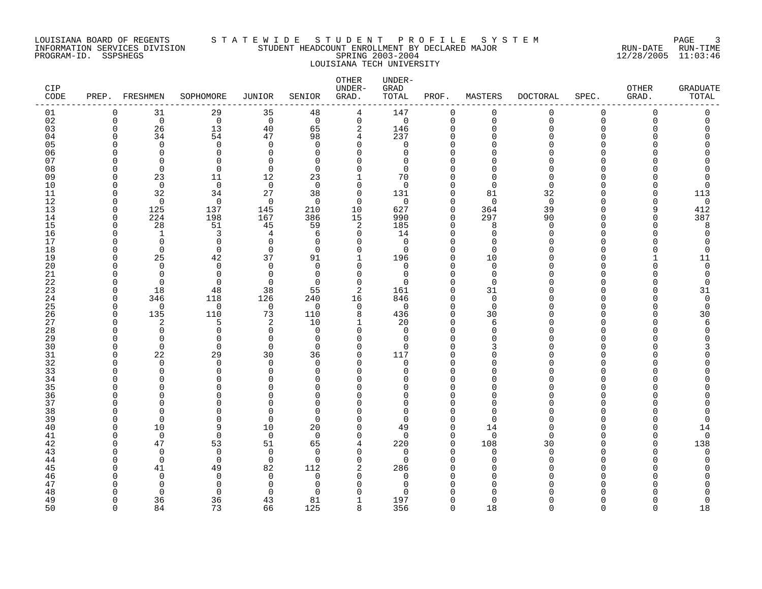#### LOUISIANA BOARD OF REGENTS S T A T E W I D E S T U D E N T P R O F I L E S Y S T E M PAGE 3 INFORMATION SERVICES DIVISION STUDENT HEADCOUNT ENROLLMENT BY DECLARED MAJOR RUN-DATE RUN-TIME PROGRAM-ID. SSPSHEGS SPRING 2003-2004 12/28/2005 11:03:46 LOUISIANA TECH UNIVERSITY

| CIP<br>CODE | PREP. FRESHMEN |                      | SOPHOMORE               | JUNIOR               | SENIOR                   | OTHER<br>UNDER-<br>GRAD. | UNDER-<br>GRAD<br>TOTAL | PROF.                | MASTERS              | <b>DOCTORAL</b> | SPEC.        | OTHER<br>GRAD. | <b>GRADUATE</b><br>TOTAL |
|-------------|----------------|----------------------|-------------------------|----------------------|--------------------------|--------------------------|-------------------------|----------------------|----------------------|-----------------|--------------|----------------|--------------------------|
| 01          | $\mathbf 0$    | 31                   | 29                      | 35                   | 48                       | 4                        | 147                     | 0                    | $\mathbf 0$          | $\mathbf 0$     | $\mathbf 0$  | 0              | $\mathbf 0$              |
| 02          | $\Omega$       | $\Omega$             | $\mathbf 0$             | $\overline{0}$       | $\Omega$                 | $\mathbf 0$              | $\mathbf 0$             | $\mathbf 0$          | $\Omega$             | $\Omega$        | $\Omega$     | $\Omega$       | $\Omega$                 |
| 03          | $\mathbf 0$    | 26                   | 13                      | 40                   | 65                       | $\overline{2}$           | 146                     | 0                    | $\Omega$             |                 | $\Omega$     |                |                          |
| 04          | ∩              | 34                   | 54                      | 47                   | 98                       | 4                        | 237                     | $\Omega$             | ∩                    |                 | n            |                | Ω                        |
| 05          | ∩              | $\Omega$             | $\mathbf 0$             | $\Omega$             | $\Omega$                 | $\Omega$                 | 0                       | $\Omega$             |                      |                 |              |                |                          |
| 06<br>07    | ∩<br>∩         | $\Omega$<br>∩        | $\mathbf 0$<br>$\Omega$ | $\Omega$<br>$\cap$   | $\Omega$<br>$\Omega$     | $\Omega$<br>$\Omega$     | 0<br>$\Omega$           | $\Omega$<br>$\Omega$ |                      |                 |              |                |                          |
| 08          | $\Omega$       | $\Omega$             | 0                       | $\overline{0}$       | $\Omega$                 | $\Omega$                 | $\Omega$                | $\Omega$             |                      |                 | U            |                |                          |
| 09          | $\Omega$       | 23                   | 11                      | 12                   | 23                       | $\mathbf{1}$             | 70                      | $\Omega$             |                      |                 | ∩            |                |                          |
| 10          | $\Omega$       | $\mathbf 0$          | $\mathbf 0$             | $\overline{0}$       | $\Omega$                 | $\mathbf 0$              | $\mathbf 0$             | $\Omega$             | $\Omega$             | $\Omega$        | U            |                | 0                        |
| 11          | 0              | 32                   | 34                      | 27                   | 38                       | $\mathbf 0$              | 131                     | $\Omega$             | 81                   | 32              | n            |                | 113                      |
| 12          | $\Omega$       | $\Omega$             | $\mathbf 0$             | 0                    | $\Omega$                 | 0                        | 0                       | 0                    | $\Omega$             | $\Omega$        | U            |                | 0                        |
| 13          | 0              | 125                  | 137                     | 145                  | 210                      | 10                       | 627                     | $\mathbf 0$          | 364                  | 39              | <sup>n</sup> | q              | 412                      |
| 14          | $\Omega$       | 224                  | 198                     | 167                  | 386                      | 15                       | 990                     | $\mathbf 0$          | 297                  | 90              | U            |                | 387                      |
| 15          | $\Omega$       | 28                   | 51                      | 45                   | 59                       | 2                        | 185                     | $\Omega$             | 8                    |                 |              |                | 8                        |
| 16          | $\Omega$       | $\mathbf{1}$         | 3                       | 4                    | 6                        | $\Omega$                 | 14                      | $\Omega$             | $\Omega$             |                 | n            |                | $\Omega$                 |
| 17          | $\Omega$       | $\Omega$             | 0                       | $\mathbf 0$          | $\Omega$                 | $\Omega$                 | $\mathbf 0$             | $\Omega$             | $\Omega$             |                 | <sup>n</sup> |                | 0                        |
| 18          | <sup>0</sup>   | $\Omega$             | 0                       | $\mathbf 0$          | $\Omega$                 | 0                        | 0                       | $\Omega$             | $\Omega$             |                 | U            |                | $\Omega$                 |
| 19          | $\Omega$       | 25                   | 42                      | 37                   | 91                       |                          | 196                     | 0                    | 10                   |                 | n            |                | 11                       |
| 20          | ∩              | ∩                    | 0                       | $\Omega$             | $\Omega$<br>$\Omega$     | $\Omega$                 | 0                       | $\Omega$<br>$\Omega$ | $\Omega$             |                 | n            |                | $\Omega$                 |
| 21<br>22    | ∩<br>$\Omega$  | $\Omega$<br>$\Omega$ | $\Omega$<br>$\Omega$    | $\Omega$<br>$\Omega$ | $\Omega$                 | $\Omega$<br>$\Omega$     | $\Omega$<br>$\Omega$    | $\Omega$             | $\Omega$<br>$\Omega$ |                 |              |                | $\Omega$<br>$\Omega$     |
| 23          | $\Omega$       | 18                   | 48                      | 38                   | 55                       | $\overline{2}$           | 161                     | $\Omega$             | 31                   |                 | $\cap$       |                | 31                       |
| 24          | 0              | 346                  | 118                     | 126                  | 240                      | 16                       | 846                     | 0                    | 0                    |                 | U            |                | 0                        |
| 25          | $\Omega$       | $\Omega$             | 0                       | $\overline{0}$       | $\Omega$                 | 0                        | $\mathbf 0$             | $\Omega$             | $\Omega$             |                 |              |                | $\mathbf 0$              |
| 26          | 0              | 135                  | 110                     | 73                   | 110                      | 8                        | 436                     | $\mathbf 0$          | 30                   |                 | $\Omega$     |                | 30                       |
| 27          | $\Omega$       | 2                    | 5                       | 2                    | 10                       | -1                       | 20                      | $\Omega$             | 6                    |                 | n            |                | 6                        |
| 28          | $\Omega$       | $\Omega$             | $\Omega$                | $\Omega$             | $\Omega$                 | $\Omega$                 | $\Omega$                | $\Omega$             | $\Omega$             |                 |              |                | O                        |
| 29          | $\Omega$       | $\Omega$             | $\Omega$                | $\Omega$             | $\Omega$                 | $\Omega$                 | 0                       | $\Omega$             | $\cap$               |                 | U            |                |                          |
| 30          | $\Omega$       | $\Omega$             | $\Omega$                | $\mathbf 0$          | $\Omega$                 | $\Omega$                 | $\mathbf 0$             | $\Omega$             | ς                    |                 | $\cap$       |                |                          |
| 31          | <sup>0</sup>   | 22                   | 29                      | 30                   | 36                       | 0                        | 117                     | $\Omega$             | ∩                    |                 | <sup>0</sup> |                |                          |
| 32          | ∩              | $\Omega$             | $\Omega$                | $\Omega$             | $\Omega$                 | $\Omega$                 | 0                       | $\Omega$             |                      |                 | n            |                |                          |
| 33          | ∩              | $\Omega$             | 0                       | $\Omega$             | $\Omega$                 | $\Omega$                 | 0                       | $\Omega$             |                      |                 | <sup>n</sup> |                |                          |
| 34          | ∩              | ∩                    | $\Omega$                | $\cap$               | $\Omega$                 | $\Omega$                 | O                       | $\Omega$             | ∩                    |                 | n            |                |                          |
| 35<br>36    | ∩              | ∩<br>∩               | U<br>O                  | U                    | <sup>n</sup><br>$\Omega$ | U<br>∩                   | O<br>0                  | $\Omega$<br>$\Omega$ |                      |                 | U            |                |                          |
| 37          | $\cap$         | U                    | 0                       | $\Omega$             | $\Omega$                 | 0                        | 0                       | $\Omega$             | O                    |                 | ∩            |                |                          |
| 38          | <sup>0</sup>   | ∩                    | 0                       | ∩                    | $\Omega$                 | O                        | 0                       | $\Omega$             |                      |                 |              |                |                          |
| 39          | ∩              | $\Omega$             | $\Omega$                | 0                    | $\Omega$                 | $\Omega$                 | $\mathbf 0$             | $\Omega$             | $\Omega$             |                 | U            |                | $\Omega$                 |
| 40          | ∩              | 10                   | 9                       | 10                   | 20                       | $\Omega$                 | 49                      | $\mathbf 0$          | 14                   |                 | <sup>n</sup> |                | 14                       |
| 41          | ∩              | $\Omega$             | $\Omega$                | $\overline{0}$       | $\Omega$                 | $\Omega$                 | $\mathbf 0$             | $\mathbf 0$          | $\Omega$             | ∩               | U            |                | $\mathbf 0$              |
| 42          | $\Omega$       | 47                   | 53                      | 51                   | 65                       | 4                        | 220                     | $\mathbf 0$          | 108                  | 30              | U            | U              | 138                      |
| 43          | ∩              | $\Omega$             | $\Omega$                | $\Omega$             | $\Omega$                 | $\Omega$                 | $\Omega$                | $\Omega$             | ∩                    | ∩               |              |                | $\Omega$                 |
| 44          | $\Omega$       | $\mathbf 0$          | $\mathbf 0$             | $\mathbf 0$          | $\Omega$                 | $\mathbf 0$              | 0                       | $\Omega$             | $\Omega$             |                 | <sup>n</sup> |                | O                        |
| 45          |                | 41                   | 49                      | 82                   | 112                      | 2                        | 286                     | $\Omega$             |                      |                 |              |                |                          |
| 46          |                | $\Omega$             | 0                       | $\Omega$             | $\Omega$                 | $\Omega$                 | 0                       | $\Omega$             |                      |                 | n            |                |                          |
| 47          |                | O                    | 0                       | $\Omega$             | $\Omega$                 | U                        | 0                       | $\Omega$             |                      |                 |              |                |                          |
| 48          |                | $\Omega$             | $\Omega$                | $\cap$               | ∩                        | $\Omega$                 | U                       |                      |                      |                 |              |                |                          |
| 49          | $\Omega$       | 36                   | 36                      | 43                   | 81                       | 1                        | 197                     | $\Omega$             | ∩                    |                 | <sup>n</sup> |                | 0                        |
| 50          | $\Omega$       | 84                   | 73                      | 66                   | 125                      | 8                        | 356                     | $\Omega$             | 18                   | $\Omega$        | $\cap$       | $\cap$         | 18                       |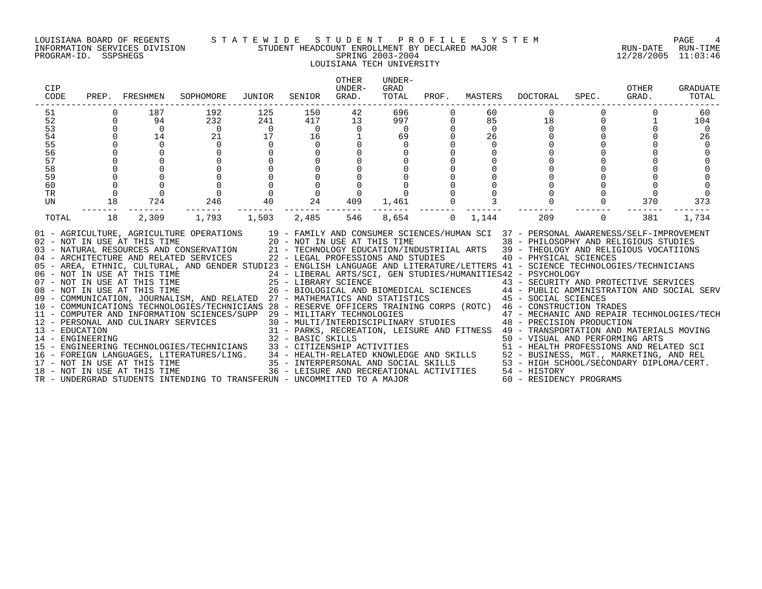#### LOUISIANA BOARD OF REGENTS S T A T E W I D E S T U D E N T P R O F I L E S Y S T E M PAGE 4 INFORMATION SERVICES DIVISION STUDENT HEADCOUNT ENROLLMENT BY DECLARED MAJOR RUN-DATE RUN-TIME PROGRAM-ID. SSPSHEGS SPRING 2003-2004 12/28/2005 11:03:46 LOUISIANA TECH UNIVERSITY

| CIP<br>CODE                                                          |                                      | PREP. FRESHMEN                                                                     | SOPHOMORE                                                                                                                                                                                                                                                                                                                                                                                                                                                                                                                                                                                                                                                                                                                                                                                                                                                                                                                                                                                                                                                                                                                                                                                                                                                                                                                                                                                                                      | JUNIOR                             | SENIOR                    | <b>OTHER</b><br>UNDER-<br>GRAD.                                              | UNDER-<br>GRAD<br>TOTAL                                |                                                                  |                                                                   | PROF. MASTERS DOCTORAL              | SPEC.                                  | OTHER<br>GRAD. | <b>GRADUATE</b><br>TOTAL      |
|----------------------------------------------------------------------|--------------------------------------|------------------------------------------------------------------------------------|--------------------------------------------------------------------------------------------------------------------------------------------------------------------------------------------------------------------------------------------------------------------------------------------------------------------------------------------------------------------------------------------------------------------------------------------------------------------------------------------------------------------------------------------------------------------------------------------------------------------------------------------------------------------------------------------------------------------------------------------------------------------------------------------------------------------------------------------------------------------------------------------------------------------------------------------------------------------------------------------------------------------------------------------------------------------------------------------------------------------------------------------------------------------------------------------------------------------------------------------------------------------------------------------------------------------------------------------------------------------------------------------------------------------------------|------------------------------------|---------------------------|------------------------------------------------------------------------------|--------------------------------------------------------|------------------------------------------------------------------|-------------------------------------------------------------------|-------------------------------------|----------------------------------------|----------------|-------------------------------|
| 51<br>52<br>53<br>54<br>55<br>56<br>57<br>58<br>59<br>60<br>TR<br>UN | $\overline{0}$<br>$\mathsf{O}$<br>18 | 187<br>94<br>$\overline{0}$<br>14<br>$\begin{matrix}0\\0\\0\\0\end{matrix}$<br>724 | 192<br>232<br>$\begin{array}{c} 0 \\ 21 \end{array}$<br>$\overline{0}$                                                                                                                                                                                                                                                                                                                                                                                                                                                                                                                                                                                                                                                                                                                                                                                                                                                                                                                                                                                                                                                                                                                                                                                                                                                                                                                                                         | 125<br>241<br>24.0<br>$\mathsf{O}$ | 150<br>16<br>$\mathsf{O}$ | 42<br>$417$ $13$<br>$\begin{array}{ccc}\n0 & 0 \\ 1 & 1\n\end{array}$<br>409 | 696<br>997<br>$\overline{0}$<br>69<br>$\mathbf 0$<br>0 | $\Omega$<br>$\overline{0}$<br>$\mathbf 0$<br>000000<br>$1,461$ 0 | 60<br>85<br>$\overline{0}$<br>26<br>$\mathbf 0$<br>$\overline{3}$ | $\overline{0}$<br>18<br>$\mathbf 0$ | $\mathbf 0$<br>$\mathbf 0$<br>$\Omega$ | 370            | 60<br>104<br>- 0<br>26<br>373 |
| TOTAL                                                                | 18                                   | --------<br>2,309                                                                  | 01 - AGRICULTURE, AGRICULTURE OPERATIONS 19 - FAMILY AND CONSUMER SCIENCES/HUMAN SCI 37 - PERSONAL AWARENESS/SELF-IMPROVEMENT<br>02 - NOT IN USE AT THIS TIME<br>20 - NOT IN USE AT THIS TIME<br>20 - NOT IN USE AT THIS TIME<br>21 - TECHNOLOGY EDUCATION/INDUSTRIIAL ARTS<br>22 - LEGAL PROFESSIONS AND STUDIES<br>22 - LEGAL PROFESSIONS AND STUDIES<br>22 - LEGAL PROFE<br>05 - AREA, ETHNIC, CULTURAL, AND GENDER STUDI23 - ENGLISH LANGUAGE AND LITERATURE/LETTERS 41 - SCIENCE TECHNOLOGIES/TECHNICIANS<br>06 - NOT IN USE AT THIS TIME<br>07 - NOT IN USE AT THIS TIME<br>07 - NOT IN USE AT THIS TIME<br>25 - LIBRARY SCIENCE<br>26 - BIOLOGICAL AND BIOMEDICAL SCIENCES<br>26 - BIOLOGICAL AND BIOMEDICAL SCIENCES<br>26 - BIOLOGICAL AND BIOMEDIC<br>CONSTRUCTION TRADES<br>12 - PERSONAL AND INFORMATION SCIENCES/SUPP 29 - MILITARY TECHNOLOGIES<br>13 - EDUCATION 21 - PARKS, RECREATION, LEISURE AND FITNESS 47 - MECHANIC AND REPAIR TECHNOLOGIES/TECH<br>31 - PARKS, RECREATION, LE<br>$\begin{tabular}{lllllllllll} 14 & -\texttt{ENGINEERING} & 32 & -\texttt{BASIC} & \texttt{SICUIST} & -\texttt{INING} & 50 & -\texttt{INANSPOKIALI-UNB} & 50 & -\texttt{INRINEDGENING} & 51 & -\texttt{ERGINES/ING} & 52 & -\texttt{BUSINESPONNING ARID PREFORMING ARTS} & 53 & -\texttt{CITIZENSHIP} & -\texttt{NOTIVITES} & 54 & -\texttt{HEALTH-RELATED} & -\texttt{NONLEDGE} & -\texttt{HEMLINB PREFORMING ARTS} &$ |                                    | -------- -------          | 546                                                                          | ------- -------<br>8,654                               | $\Omega$                                                         | --------<br>1,144                                                 | 209                                 | $\Omega$                               | -------<br>381 | 1,734                         |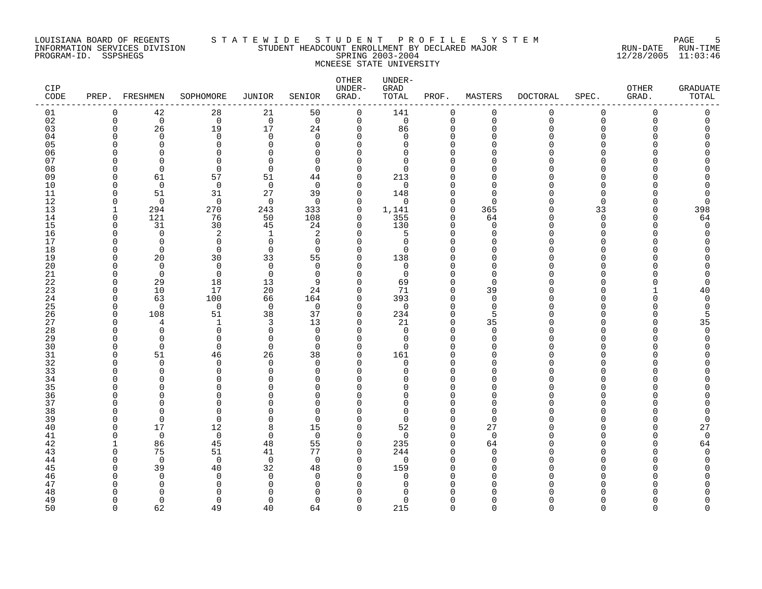#### LOUISIANA BOARD OF REGENTS S T A T E W I D E S T U D E N T P R O F I L E S Y S T E M PAGE 5 INFORMATION SERVICES DIVISION STUDENT HEADCOUNT ENROLLMENT BY DECLARED MAJOR RUN-DATE RUN-TIME PROGRAM-ID. SSPSHEGS SPRING 2003-2004 12/28/2005 11:03:46 MCNEESE STATE UNIVERSITY

| CIP<br>CODE |          | PREP. FRESHMEN           | SOPHOMORE            | <b>JUNIOR</b>        | SENIOR               | OTHER<br>UNDER-<br>GRAD. | UNDER-<br>GRAD<br>TOTAL | PROF.                   | MASTERS            | <b>DOCTORAL</b> | SPEC.       | OTHER<br>GRAD. | <b>GRADUATE</b><br>TOTAL |
|-------------|----------|--------------------------|----------------------|----------------------|----------------------|--------------------------|-------------------------|-------------------------|--------------------|-----------------|-------------|----------------|--------------------------|
| 01          | 0        | 42                       | 28                   | 21                   | 50                   | 0                        | 141                     | $\mathbf 0$             | 0                  | 0               | $\mathbf 0$ | 0              | 0                        |
| 02          | $\Omega$ | $\overline{0}$           | $\mathbf 0$          | $\overline{0}$       | $\overline{0}$       | $\mathbf 0$              | $\mathbf 0$             | $\mathbf 0$             | $\overline{0}$     | $\mathbf 0$     | $\Omega$    | $\Omega$       | $\Omega$                 |
| 03          | $\Omega$ | 26                       | 19                   | 17                   | 24                   | $\mathbf 0$              | 86                      | $\Omega$                | $\Omega$           | O               | $\Omega$    |                | C                        |
| 04          |          | $\Omega$                 | 0                    | $\mathbf 0$          | $\Omega$             | 0                        | 0                       | 0                       | O                  |                 | $\Omega$    |                | Ω                        |
| 05          |          | $\Omega$                 | 0                    | $\Omega$             | $\Omega$             | $\Omega$                 | 0                       | $\Omega$                |                    |                 | ∩           |                |                          |
| 06<br>07    |          | <sup>n</sup>             | $\Omega$<br>$\Omega$ | $\Omega$<br>$\cap$   | $\Omega$             | $\mathbf 0$<br>$\Omega$  | 0                       | $\Omega$<br>$\Omega$    | ∩<br>∩             |                 | ∩           |                | ∩                        |
| 08          |          | $\Omega$<br>$\Omega$     | $\Omega$             | $\mathbf 0$          | $\Omega$<br>$\Omega$ | $\Omega$                 | $\Omega$<br>0           | $\Omega$                | $\cap$             |                 | ∩           |                |                          |
| 09          | n        | 61                       | 57                   | 51                   | 44                   | 0                        | 213                     | $\Omega$                | n                  |                 | ∩           |                |                          |
| 10          |          | $\mathbf 0$              | $\mathbf 0$          | $\overline{0}$       | $\Omega$             | $\mathbf 0$              | $\mathbf 0$             | $\Omega$                | n                  |                 | ∩           |                |                          |
| 11          | ∩        | 51                       | 31                   | 27                   | 39                   | $\mathbf 0$              | 148                     | $\Omega$                | $\cap$             |                 | ∩           |                | 0                        |
| 12          | n        | $\Omega$                 | $\Omega$             | $\Omega$             | $\Omega$             | $\Omega$                 | $\Omega$                | $\Omega$                | $\Omega$           |                 | ∩           |                | 0                        |
| 13          | -1       | 294                      | 270                  | 243                  | 333                  | $\mathbf 0$              | 1,141                   | $\mathbf 0$             | 365                | U               | 33          | $\Omega$       | 398                      |
| 14          | $\Omega$ | 121                      | 76                   | 50                   | 108                  | $\mathbf 0$              | 355                     | $\mathbf 0$             | 64                 | U               | $\Omega$    | ∩              | 64                       |
| 15          | $\Omega$ | 31                       | 30                   | 45                   | 24                   | $\mathbf 0$              | 130                     | $\mathbf 0$             | $\Omega$           | ∩               | $\Omega$    | ∩              | 0                        |
| 16          | n        | $\Omega$                 | 2                    | 1                    | 2                    | $\Omega$                 | 5                       | $\Omega$                | $\Omega$           | ∩               | ∩           |                | $\Omega$                 |
| 17          |          | $\Omega$                 | 0                    | $\mathbf 0$          | $\Omega$             | $\Omega$                 | 0                       | $\Omega$                | $\Omega$           |                 | ∩           |                |                          |
| 18          | ∩        | 0                        | $\mathbf 0$          | $\mathbf 0$          | $\Omega$             | $\mathbf 0$              | 0                       | $\Omega$                | n                  |                 | ∩           |                |                          |
| 19          |          | 20                       | 30                   | 33                   | 55                   | $\mathbf 0$              | 138                     | $\Omega$                | $\Omega$           |                 | ∩           |                |                          |
| 20          |          | $\Omega$                 | $\Omega$             | $\Omega$             | $\Omega$             | $\Omega$                 | $\mathbf 0$             | $\Omega$                | $\cap$             |                 | ∩           |                | Λ                        |
| 21          |          | $\mathbf 0$              | $\mathbf 0$          | $\mathbf 0$          | $\Omega$             | 0                        | $\mathbf 0$             | $\Omega$                | $\Omega$           |                 | ∩           |                | O                        |
| 22          | ∩        | 29                       | 18                   | 13                   | 9                    | 0                        | 69                      | 0                       | $\Omega$           |                 | O           |                | 0                        |
| 23          |          | 10                       | 17                   | 20                   | 24                   | $\mathbf 0$              | 71                      | $\Omega$                | 39                 |                 | $\Omega$    |                | 40                       |
| 24          | n        | 63                       | 100                  | 66                   | 164                  | $\mathbf 0$              | 393                     | $\mathbf 0$             | $\Omega$           |                 | ∩           |                | $\Omega$                 |
| 25          | ∩        | $\Omega$                 | $\mathbf 0$          | $\overline{0}$       | $\Omega$             | $\Omega$                 | $\mathbf 0$             | $\Omega$                | $\Omega$           |                 | ∩           |                | $\Omega$                 |
| 26          | ∩<br>n   | 108<br>4                 | 51                   | 38                   | 37                   | $\Omega$                 | 234                     | $\Omega$                | 5                  |                 | ∩<br>∩      |                | 5                        |
| 27<br>28    |          | $\Omega$                 | 1<br>0               | 3<br>$\mathbf 0$     | 13<br>$\Omega$       | 0<br>$\Omega$            | 21<br>$\mathbf 0$       | $\mathbf 0$<br>$\Omega$ | 35<br>$\Omega$     |                 | ∩           |                | 35<br>$\Omega$           |
| 29          |          | $\Omega$                 | 0                    | $\mathbf 0$          | 0                    | 0                        | 0                       | $\Omega$                | $\Omega$           |                 | ∩           |                | O                        |
| 30          |          | $\Omega$                 | $\Omega$             | $\Omega$             | $\Omega$             | $\Omega$                 | $\Omega$                | $\Omega$                | n                  |                 |             |                |                          |
| 31          | ∩        | 51                       | 46                   | 26                   | 38                   | $\Omega$                 | 161                     | $\mathbf 0$             | n                  |                 | ∩           |                |                          |
| 32          |          | $\Omega$                 | $\Omega$             | $\Omega$             | $\Omega$             | $\Omega$                 | $\mathbf 0$             | $\Omega$                | n                  |                 | ∩           |                |                          |
| 33          |          | $\Omega$                 | 0                    | 0                    | $\Omega$             | 0                        | 0                       | $\Omega$                | U                  |                 | ∩           |                |                          |
| 34          |          | <sup>0</sup>             | $\Omega$             | $\Omega$             | $\Omega$             | $\Omega$                 | 0                       | $\Omega$                | $\Omega$           |                 | ∩           |                |                          |
| 35          |          | ∩                        | U                    | U                    | $\Omega$             | $\Omega$                 | O                       | $\Omega$                | n                  |                 |             |                |                          |
| 36          |          | ∩                        | $\Omega$             | O                    | $\Omega$             | $\Omega$                 | 0                       | $\Omega$                | U                  |                 | ∩           |                |                          |
| 37          |          | n                        | $\Omega$             | O                    | $\Omega$             | $\Omega$                 | $\Omega$                | $\Omega$                | $\Omega$           |                 | ∩           |                |                          |
| 38          |          | n                        | $\Omega$             | $\Omega$             | $\Omega$             | $\Omega$                 | $\Omega$                | $\Omega$                | $\cap$             |                 | ∩           |                | Λ                        |
| 39          |          | $\mathbf 0$              | 0                    | $\Omega$             | $\Omega$             | 0                        | $\mathbf 0$             | $\mathbf 0$             | $\Omega$           |                 | ∩           |                | 0                        |
| 40          |          | 17                       | 12                   | 8                    | 15                   | $\mathbf 0$              | 52                      | $\mathbf 0$             | 27                 |                 | O           |                | 27                       |
| 41          |          | $\mathbf 0$              | $\mathbf 0$          | $\mathbf 0$          | $\Omega$             | $\mathbf 0$              | $\mathbf 0$             | $\mathbf 0$             | $\mathbf 0$        |                 | ∩           |                | $\mathbf 0$              |
| 42          |          | 86                       | 45                   | 48                   | 55                   | $\mathbf 0$              | 235                     | $\mathbf 0$             | 64                 |                 | ∩           |                | 64                       |
| 43          |          | 75                       | 51                   | 41                   | 77                   | $\Omega$                 | 244                     | $\Omega$                | $\Omega$           |                 |             |                | $\cap$                   |
| 44          |          | $\Omega$                 | $\Omega$             | $\overline{0}$       | $\Omega$             | $\Omega$                 | $\mathbf 0$             | $\Omega$                | $\Omega$           |                 | ∩           |                | U                        |
| 45          |          | 39                       | 40                   | 32                   | 48                   | 0                        | 159                     | $\Omega$                | $\Omega$           |                 | ∩           |                |                          |
| 46          |          | $\Omega$<br><sup>0</sup> | 0                    | $\Omega$<br>$\Omega$ | $\Omega$<br>$\Omega$ | 0<br>$\Omega$            | 0                       | $\Omega$<br>$\Omega$    | $\cap$<br>$\Omega$ |                 | ∩           |                |                          |
| 47          |          | ∩                        | 0<br>∩               |                      | <sup>n</sup>         | $\Omega$                 | 0<br>U                  | $\Omega$                |                    |                 |             |                |                          |
| 48<br>49    |          | $\Omega$                 | $\Omega$             | $\Omega$             | $\Omega$             | $\Omega$                 | 0                       | $\Omega$                | $\Omega$           |                 | ∩           |                | O                        |
| 50          | $\cap$   | 62                       | 49                   | 40                   | 64                   | $\Omega$                 | 215                     | $\Omega$                | $\cap$             | $\Omega$        | $\Omega$    | $\Omega$       | $\Omega$                 |
|             |          |                          |                      |                      |                      |                          |                         |                         |                    |                 |             |                |                          |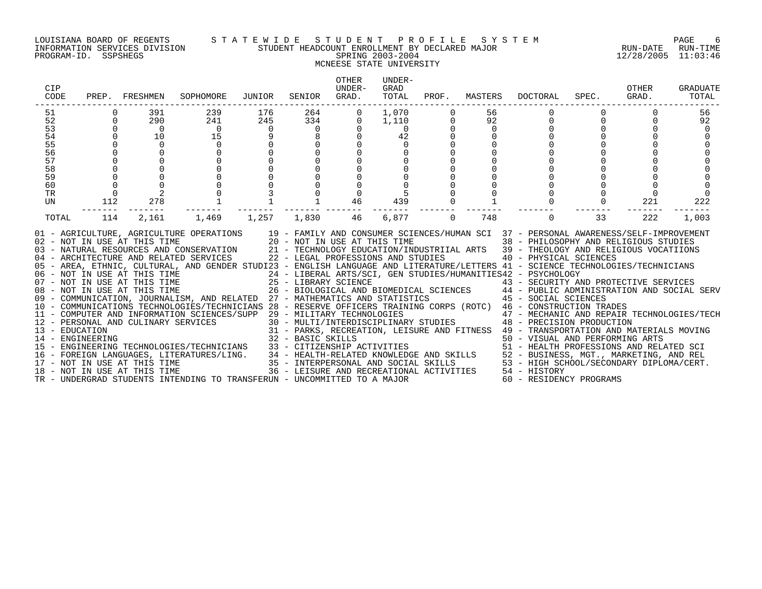#### LOUISIANA BOARD OF REGENTS S T A T E W I D E S T U D E N T P R O F I L E S Y S T E M PAGE 6 INFORMATION SERVICES DIVISION STUDENT HEADCOUNT ENROLLMENT BY DECLARED MAJOR RUN-DATE RUN-TIME PROGRAM-ID. SSPSHEGS SPRING 2003-2004 12/28/2005 11:03:46 MCNEESE STATE UNIVERSITY

| CIP<br>CODE |                | PREP. FRESHMEN | SOPHOMORE                                                                                                                                                                                                                                                                                                                                                                                                                                                                                                                                                                                                                                                                                                                                                                                                                                                                                                                                                                                                                                                                                                                                                                                                                                                                                                                                                                                                                                                                                                      | JUNIOR                   | SENIOR            | <b>OTHER</b><br>UNDER-<br>GRAD. | UNDER-<br>GRAD<br>TOTAL |          | PROF. MASTERS | DOCTORAL                                                                                | SPEC. | OTHER<br>GRAD. | GRADUATE<br>TOTAL |
|-------------|----------------|----------------|----------------------------------------------------------------------------------------------------------------------------------------------------------------------------------------------------------------------------------------------------------------------------------------------------------------------------------------------------------------------------------------------------------------------------------------------------------------------------------------------------------------------------------------------------------------------------------------------------------------------------------------------------------------------------------------------------------------------------------------------------------------------------------------------------------------------------------------------------------------------------------------------------------------------------------------------------------------------------------------------------------------------------------------------------------------------------------------------------------------------------------------------------------------------------------------------------------------------------------------------------------------------------------------------------------------------------------------------------------------------------------------------------------------------------------------------------------------------------------------------------------------|--------------------------|-------------------|---------------------------------|-------------------------|----------|---------------|-----------------------------------------------------------------------------------------|-------|----------------|-------------------|
| 51          |                | 391            | 239                                                                                                                                                                                                                                                                                                                                                                                                                                                                                                                                                                                                                                                                                                                                                                                                                                                                                                                                                                                                                                                                                                                                                                                                                                                                                                                                                                                                                                                                                                            | 176                      | $\frac{264}{334}$ | $\overline{0}$                  | 1,070                   |          | 56            |                                                                                         |       |                | 56                |
| 52          | $\overline{0}$ | 290            | 241                                                                                                                                                                                                                                                                                                                                                                                                                                                                                                                                                                                                                                                                                                                                                                                                                                                                                                                                                                                                                                                                                                                                                                                                                                                                                                                                                                                                                                                                                                            | 245                      |                   | $\mathbf 0$                     | 1,110                   |          | 92            | 0                                                                                       |       |                | 92                |
| 53          |                | $\overline{0}$ | $\overline{0}$                                                                                                                                                                                                                                                                                                                                                                                                                                                                                                                                                                                                                                                                                                                                                                                                                                                                                                                                                                                                                                                                                                                                                                                                                                                                                                                                                                                                                                                                                                 | $\overline{\phantom{0}}$ | $\overline{0}$    |                                 | $\overline{0}$          |          | $\mathbf 0$   |                                                                                         |       |                |                   |
| 54          |                | 10             | $1\bar{5}$                                                                                                                                                                                                                                                                                                                                                                                                                                                                                                                                                                                                                                                                                                                                                                                                                                                                                                                                                                                                                                                                                                                                                                                                                                                                                                                                                                                                                                                                                                     |                          |                   |                                 | 42                      |          |               |                                                                                         |       |                |                   |
| 55          |                | $\Omega$       | $\mathbf 0$                                                                                                                                                                                                                                                                                                                                                                                                                                                                                                                                                                                                                                                                                                                                                                                                                                                                                                                                                                                                                                                                                                                                                                                                                                                                                                                                                                                                                                                                                                    |                          |                   |                                 | $\mathbf 0$             |          |               |                                                                                         |       |                |                   |
| 56          |                |                |                                                                                                                                                                                                                                                                                                                                                                                                                                                                                                                                                                                                                                                                                                                                                                                                                                                                                                                                                                                                                                                                                                                                                                                                                                                                                                                                                                                                                                                                                                                |                          |                   |                                 |                         |          |               |                                                                                         |       |                |                   |
| 57          |                |                |                                                                                                                                                                                                                                                                                                                                                                                                                                                                                                                                                                                                                                                                                                                                                                                                                                                                                                                                                                                                                                                                                                                                                                                                                                                                                                                                                                                                                                                                                                                |                          |                   |                                 |                         |          |               |                                                                                         |       |                |                   |
| 58<br>59    |                |                |                                                                                                                                                                                                                                                                                                                                                                                                                                                                                                                                                                                                                                                                                                                                                                                                                                                                                                                                                                                                                                                                                                                                                                                                                                                                                                                                                                                                                                                                                                                |                          |                   |                                 |                         |          |               |                                                                                         |       |                |                   |
| 60          |                |                |                                                                                                                                                                                                                                                                                                                                                                                                                                                                                                                                                                                                                                                                                                                                                                                                                                                                                                                                                                                                                                                                                                                                                                                                                                                                                                                                                                                                                                                                                                                |                          |                   |                                 |                         |          |               |                                                                                         |       |                |                   |
| <b>TR</b>   |                |                |                                                                                                                                                                                                                                                                                                                                                                                                                                                                                                                                                                                                                                                                                                                                                                                                                                                                                                                                                                                                                                                                                                                                                                                                                                                                                                                                                                                                                                                                                                                |                          |                   |                                 |                         |          |               |                                                                                         |       |                |                   |
| UN          | 112            | 278            |                                                                                                                                                                                                                                                                                                                                                                                                                                                                                                                                                                                                                                                                                                                                                                                                                                                                                                                                                                                                                                                                                                                                                                                                                                                                                                                                                                                                                                                                                                                |                          |                   | 46                              | 439                     |          |               |                                                                                         |       | 221            | 222               |
|             |                |                |                                                                                                                                                                                                                                                                                                                                                                                                                                                                                                                                                                                                                                                                                                                                                                                                                                                                                                                                                                                                                                                                                                                                                                                                                                                                                                                                                                                                                                                                                                                |                          |                   |                                 |                         |          |               |                                                                                         |       |                |                   |
| TOTAL       | 114            | 2,161          | 1,469                                                                                                                                                                                                                                                                                                                                                                                                                                                                                                                                                                                                                                                                                                                                                                                                                                                                                                                                                                                                                                                                                                                                                                                                                                                                                                                                                                                                                                                                                                          | 1,257 1,830              |                   | 46                              | 6,877                   | $\Omega$ | 748           | $\Omega$                                                                                | 33    | 222            | 1,003             |
|             |                |                | 01 - AGRICULTURE, AGRICULTURE OPERATIONS 19 - FAMILY AND CONSUMER SCIENCES/HUMAN SCI 37 - PERSONAL AWARENESS/SELF-IMPROVEMENT<br>02 - NOT IN USE AT THIS TIME 20 - NOT IN USE AT THIS TIME 38 - PHILOSOPHY AND RELIGIOUS STUDIES<br>03 - NATURAL RESOURCES AND CONSERVATION 21 - TECHNOLOGY EDUCATION/INDUSTRIIAL ARTS 39 - THEOLOGY AND RELIGIOUS VOCATIIONS<br>04 - ARCHITECTURE AND RELATED SERVICES 22 - LEGAL PROFESSIONS AND STUDIES 40 - PHYSICAL SCIENCES<br>05 - AREA, ETHNIC, CULTURAL, AND GENDER STUDI23 - ENGLISH LANGUAGE AND LITERATURE/LETTERS 41 - SCIENCE TECHNOLOGIES/TECHNICIANS<br>06 - NOT IN USE AT THIS TIME<br>07 - NOT IN USE AT THIS TIME<br>08 - NOT IN USE AT THIS TIME<br>07 - NOT IN USE AT THIS TIME<br>25 - LIBRARY SCIENCE<br>26 - BIOLOGICAL AND BIOMEDICAL SCIENCES<br>26 - BIOLOGICAL AND BIOMEDICAL SCIENCES<br>26 - BIOLOGICAL AND BIOMEDICAL SCIENCES<br>26 - BIOLOGICAL AND BIOMEDICAL SCIENCES<br>26 - B<br>- CONSTRUCTION TRADES<br>12 - PERSONAL AND CULINARY SERVICES (SUPP 29 - MILITARY TECHNOLOGIES<br>30 - MULTI/INTERDISCIPLINARY STUDIES 47 - MECHANIC AND REPAIR TECHNOLOGIES/TECH<br>31 - PARKS, RECREATION, LEISURE AND FITNESS 49 -<br>14 – ENGINEERING TECHNOLOGIES/TECHNICIANS 32 – BASIC SKILLS<br>15 – ENGINEERING TECHNOLOGIES/TECHNICIANS 33 – CITIZENSHIP ACTIVITIES 50 – VISUAL AND PERFORMING ARTS<br>16 – FOREIGN LANGUAGES, LITERATURES/LING. 34 – HEALTH-RELATE<br>TR - UNDERGRAD STUDENTS INTENDING TO TRANSFERUN - UNCOMMITTED TO A MAJOR |                          |                   |                                 |                         |          |               | 24 - LIBERAL ARTS/SCI, GEN STUDIES/HUMANITIES42 - PSYCHOLOGY<br>60 - RESIDENCY PROGRAMS |       |                |                   |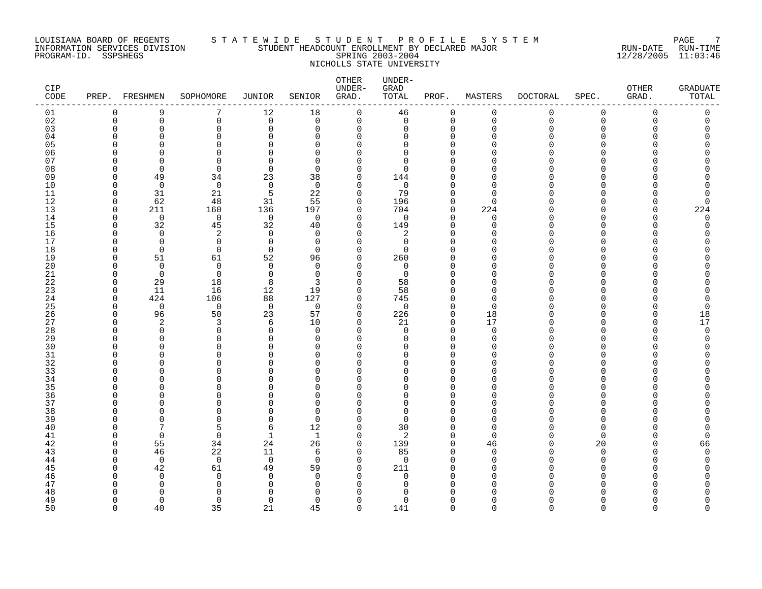# LOUISIANA BOARD OF REGENTS S T A T E W I D E S T U D E N T P R O F I L E S Y S T E M PAGE 7 INFORMATION SERVICES DIVISION STUDENT HEADCOUNT ENROLLMENT BY DECLARED MAJOR RUN-DATE RUN-TIME PROGRAM-ID. SSPSHEGS SPRING 2003-2004 12/28/2005 11:03:46 NICHOLLS STATE UNIVERSITY

| CIP<br>CODE |               | PREP. FRESHMEN     | SOPHOMORE            | JUNIOR         | SENIOR               | OTHER<br>UNDER-<br>GRAD. | UNDER-<br>GRAD<br>TOTAL | PROF.                | MASTERS        | <b>DOCTORAL</b> | SPEC.                        | OTHER<br>GRAD. | <b>GRADUATE</b><br>TOTAL |
|-------------|---------------|--------------------|----------------------|----------------|----------------------|--------------------------|-------------------------|----------------------|----------------|-----------------|------------------------------|----------------|--------------------------|
| 01          | 0             | 9                  | 7                    | 12             | 18                   | 0                        | 46                      | $\mathbf 0$          | 0              | 0               | 0                            | $\mathbf 0$    | 0                        |
| 02          | $\Omega$      | $\mathbf 0$        | 0                    | $\mathbf 0$    | $\Omega$             | $\mathbf 0$              | $\mathbf 0$             | $\mathbf 0$          | $\overline{0}$ | $\Omega$        | $\Omega$                     | $\Omega$       | $\mathbf 0$              |
| 03          | O             | $\Omega$           | $\Omega$             | $\Omega$       | $\Omega$             | $\mathbf 0$              | 0                       | $\Omega$             | $\Omega$       | U               | $\Omega$                     |                |                          |
| 04          | ſ             | O                  | $\Omega$             | O              | O                    | $\Omega$                 | 0                       | $\Omega$             | n              |                 | U                            |                |                          |
| 05          |               | U                  | $\Omega$             | C              | $\Omega$             | ∩                        | $\Omega$                | $\Omega$             |                |                 |                              |                |                          |
| 06<br>07    | ſ<br>∩        | $\cap$<br>$\Omega$ | $\Omega$<br>$\Omega$ | O<br>$\Omega$  | $\Omega$<br>$\Omega$ | U<br>∩                   | $\Omega$<br>$\Omega$    | $\Omega$<br>$\Omega$ |                |                 | U                            |                |                          |
| 08          | U             | $\Omega$           | $\Omega$             | $\Omega$       | $\Omega$             | $\Omega$                 | $\Omega$                | $\Omega$             | n              |                 | <sup>n</sup>                 |                |                          |
| 09          | O             | 49                 | 34                   | 23             | 38                   | 0                        | 144                     | $\Omega$             | n              |                 | U                            |                |                          |
| 10          | U             | $\Omega$           | $\mathbf 0$          | $\mathbf 0$    | $\Omega$             | $\Omega$                 | 0                       | $\Omega$             |                |                 | U                            |                |                          |
| 11          | $\Omega$      | 31                 | 21                   | 5              | 22                   | $\Omega$                 | 79                      | $\Omega$             | $\cap$         |                 | <sup>n</sup>                 |                | 0                        |
| 12          | $\Omega$      | 62                 | 48                   | 31             | 55                   | $\Omega$                 | 196                     | $\Omega$             | $\Omega$       |                 | <sup>n</sup>                 |                | $\Omega$                 |
| 13          | $\Omega$      | 211                | 160                  | 136            | 197                  | $\Omega$                 | 704                     | $\mathbf 0$          | 224            |                 | <sup>n</sup>                 | n              | 224                      |
| 14          | $\cap$        | $\Omega$           | $\mathbf 0$          | $\mathbf 0$    | $\Omega$             | $\Omega$                 | $\mathbf 0$             | $\Omega$             | $\Omega$       |                 | U                            |                | $\Omega$                 |
| 15          | O             | 32                 | 45                   | 32             | 40                   | $\Omega$                 | 149                     | $\Omega$             | $\Omega$       |                 | <sup>n</sup>                 |                | 0                        |
| 16          | n             | $\Omega$           | $\overline{a}$       | $\mathbf 0$    | $\Omega$             | $\Omega$                 | 2                       | $\Omega$             | n              |                 | U                            |                |                          |
| 17          | n             | $\Omega$           | 0                    | $\Omega$       | $\Omega$             | $\Omega$                 | 0                       | $\Omega$             | ∩              |                 | U                            |                |                          |
| 18          | U             | $\mathbf 0$        | $\mathbf 0$          | $\mathbf 0$    | $\Omega$             | $\Omega$                 | $\Omega$                | $\Omega$             |                |                 | <sup>n</sup>                 |                |                          |
| 19          | U             | 51                 | 61                   | 52             | 96                   | $\Omega$                 | 260                     | $\Omega$             | n              |                 | U                            |                |                          |
| 20          | U             | $\Omega$           | $\Omega$             | $\Omega$       | $\Omega$             | $\Omega$                 | $\Omega$                | $\Omega$             | n              |                 | U                            |                |                          |
| 21          | O             | $\Omega$           | $\Omega$             | $\Omega$       | $\Omega$             | $\Omega$                 | $\Omega$                | $\Omega$             | n<br>∩         |                 | U                            |                |                          |
| 22<br>23    | O<br>$\Omega$ | 29<br>11           | 18<br>16             | 8<br>12        | 3<br>19              | O<br>$\Omega$            | 58<br>58                | $\Omega$<br>$\Omega$ | U              |                 | <sup>0</sup><br><sup>n</sup> |                |                          |
| 24          | $\Omega$      | 424                | 106                  | 88             | 127                  | $\Omega$                 | 745                     | $\Omega$             | $\Omega$       |                 | <sup>n</sup>                 |                | 0                        |
| 25          | $\cap$        | $\Omega$           | $\mathbf 0$          | $\overline{0}$ | $\Omega$             | $\Omega$                 | $\mathbf 0$             | $\Omega$             | $\cap$         |                 | U                            |                | $\Omega$                 |
| 26          | U             | 96                 | 50                   | 23             | 57                   | $\Omega$                 | 226                     | $\Omega$             | 18             |                 | $\Omega$                     |                | 18                       |
| 27          | n             | 2                  | 3                    | 6              | 10                   | 0                        | 21                      | 0                    | 17             |                 | <sup>n</sup>                 |                | 17                       |
| 28          | U             | $\Omega$           | $\Omega$             | $\Omega$       | $\Omega$             | $\Omega$                 | $\Omega$                | $\Omega$             | $\Omega$       |                 | <sup>n</sup>                 |                | $\Omega$                 |
| 29          | ∩             | $\Omega$           | $\Omega$             | $\Omega$       | $\Omega$             | $\Omega$                 | $\Omega$                | $\Omega$             | $\cap$         |                 | <sup>n</sup>                 |                | O                        |
| 30          |               | U                  | $\Omega$             | ∩              | ∩                    | U                        | <sup>n</sup>            | $\Omega$             | ∩              |                 | U                            |                |                          |
| 31          | U             | $\Omega$           | $\Omega$             | $\Omega$       | $\Omega$             | $\Omega$                 | $\Omega$                | $\Omega$             | U              |                 | $\Omega$                     |                |                          |
| 32          | ∩             | U                  | $\Omega$             | O              | ∩                    | $\Omega$                 | $\Omega$                | $\Omega$             | n              |                 | $\cap$                       |                |                          |
| 33          | U             | O                  | $\Omega$             | O              | $\Omega$             | 0                        | $\Omega$                | $\Omega$             | U              |                 | <sup>n</sup>                 |                |                          |
| 34          | C             | U                  | $\Omega$             | ∩              | ∩                    | $\Omega$                 | $\Omega$                | $\Omega$             | n              |                 | U                            |                |                          |
| 35          |               | U                  | $\Omega$             |                | ∩                    | U                        | U                       | $\Omega$             | n<br>∩         |                 | <sup>n</sup><br><sup>n</sup> |                |                          |
| 36<br>37    | U<br>U        | O<br>U             | $\Omega$<br>$\Omega$ | ∩              | ∩<br>$\Omega$        | $\Omega$<br>$\Omega$     | $\Omega$<br>$\Omega$    | $\Omega$<br>$\Omega$ | n              |                 | U                            |                |                          |
| 38          | U             | U                  | $\Omega$             | O              | $\Omega$             | U                        | $\Omega$                | $\Omega$             | n              |                 | U                            |                |                          |
| 39          |               | $\Omega$           | $\Omega$             | $\Omega$       | $\Omega$             | $\Omega$                 | $\Omega$                | $\Omega$             | $\Omega$       |                 | $\Omega$                     |                |                          |
| 40          |               | 7                  | 5                    | 6              | 12                   | $\Omega$                 | 30                      | $\Omega$             | $\Omega$       |                 | $\Omega$                     |                |                          |
| 41          | n             | $\Omega$           | 0                    | 1              | 1                    | $\Omega$                 | 2                       | $\mathbf 0$          | $\Omega$       |                 | $\Omega$                     |                | $\Omega$                 |
| 42          | O             | 55                 | 34                   | 24             | 26                   | $\Omega$                 | 139                     | $\mathbf 0$          | 46             |                 | 20                           |                | 66                       |
| 43          | O             | 46                 | 22                   | 11             | 6                    | $\Omega$                 | 85                      | $\Omega$             | $\Omega$       |                 | <sup>n</sup>                 |                | O                        |
| 44          | O             | $\Omega$           | $\Omega$             | $\Omega$       | $\Omega$             | $\Omega$                 | $\Omega$                | $\Omega$             | $\Omega$       |                 | $\Omega$                     |                | Ω                        |
| 45          | n             | 42                 | 61                   | 49             | 59                   | 0                        | 211                     | $\Omega$             | n              |                 | <sup>0</sup>                 |                |                          |
| 46          |               | $\Omega$           | 0                    | $\Omega$       | $\Omega$             | $\Omega$                 | $\Omega$                | $\Omega$             | O              |                 | <sup>n</sup>                 |                |                          |
| 47          | U             | $\Omega$           | $\mathbf 0$          | <sup>0</sup>   | O                    | U                        | <sup>0</sup>            | $\Omega$             | n              |                 | n                            |                |                          |
| 48          |               | $\Omega$           | ∩                    | ∩              | ∩                    |                          | Λ                       |                      |                |                 |                              |                |                          |
| 49          | O             | $\Omega$           | $\Omega$             | 0              | $\Omega$             | $\Omega$                 | $\Omega$                | $\Omega$             | ∩              |                 | <sup>n</sup>                 |                | Λ<br>$\cap$              |
| 50          | $\Omega$      | 40                 | 35                   | 21             | 45                   | $\Omega$                 | 141                     | $\Omega$             | $\Omega$       | $\Omega$        | $\cap$                       | $\cap$         |                          |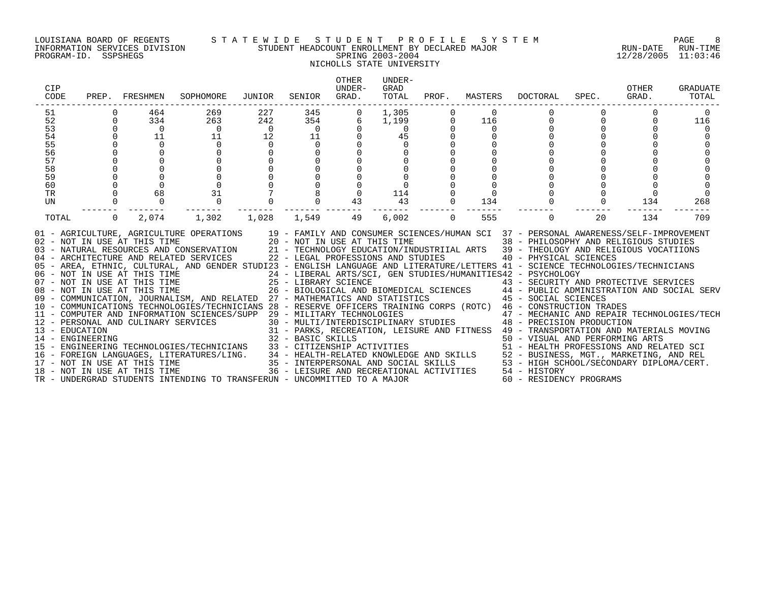#### LOUISIANA BOARD OF REGENTS S T A T E W I D E S T U D E N T P R O F I L E S Y S T E M PAGE 8 INFORMATION SERVICES DIVISION STUDENT HEADCOUNT ENROLLMENT BY DECLARED MAJOR RUN-DATE RUN-TIME PROGRAM-ID. SSPSHEGS SPRING 2003-2004 12/28/2005 11:03:46 NICHOLLS STATE UNIVERSITY

| CIP<br>CODE    | PREP.    | FRESHMEN                     | SOPHOMORE                                                                                                                                                                                                                                                                                                                                                                                                                                                                                                                                                                                                                                                                                                                                                                                                                                                                                                                                                                                                                                                 | JUNIOR         | SENIOR                                                             | <b>OTHER</b><br>UNDER-<br>GRAD. | UNDER-<br>GRAD<br>TOTAL | PROF.        | MASTERS        | DOCTORAL                                                                                                                                                                                                                                                                                                                                                                                                                                                                 | SPEC.    | OTHER<br>GRAD. | <b>GRADUATE</b><br>TOTAL |
|----------------|----------|------------------------------|-----------------------------------------------------------------------------------------------------------------------------------------------------------------------------------------------------------------------------------------------------------------------------------------------------------------------------------------------------------------------------------------------------------------------------------------------------------------------------------------------------------------------------------------------------------------------------------------------------------------------------------------------------------------------------------------------------------------------------------------------------------------------------------------------------------------------------------------------------------------------------------------------------------------------------------------------------------------------------------------------------------------------------------------------------------|----------------|--------------------------------------------------------------------|---------------------------------|-------------------------|--------------|----------------|--------------------------------------------------------------------------------------------------------------------------------------------------------------------------------------------------------------------------------------------------------------------------------------------------------------------------------------------------------------------------------------------------------------------------------------------------------------------------|----------|----------------|--------------------------|
| 51             |          | 464                          | 269                                                                                                                                                                                                                                                                                                                                                                                                                                                                                                                                                                                                                                                                                                                                                                                                                                                                                                                                                                                                                                                       | 227            | 345                                                                | 0                               | 1,305                   |              | 0              |                                                                                                                                                                                                                                                                                                                                                                                                                                                                          |          |                |                          |
| 52             | $\Omega$ | 334                          | 263                                                                                                                                                                                                                                                                                                                                                                                                                                                                                                                                                                                                                                                                                                                                                                                                                                                                                                                                                                                                                                                       | 242            | 354                                                                | 6                               | 1,199                   | 0            | 116            | $\mathbf 0$                                                                                                                                                                                                                                                                                                                                                                                                                                                              | $\Omega$ |                | 116                      |
| 53             | $\Omega$ | $\overline{0}$               | $\overline{0}$                                                                                                                                                                                                                                                                                                                                                                                                                                                                                                                                                                                                                                                                                                                                                                                                                                                                                                                                                                                                                                            | $\overline{0}$ | $\overline{0}$                                                     | $\Omega$                        | $\Omega$                | 0            | $\Omega$       |                                                                                                                                                                                                                                                                                                                                                                                                                                                                          | $\Omega$ |                |                          |
| 54             |          | 11                           | 11                                                                                                                                                                                                                                                                                                                                                                                                                                                                                                                                                                                                                                                                                                                                                                                                                                                                                                                                                                                                                                                        | 12             | 11                                                                 |                                 | 45                      |              |                |                                                                                                                                                                                                                                                                                                                                                                                                                                                                          |          |                |                          |
| 55             |          | $\overline{0}$               | $\overline{0}$                                                                                                                                                                                                                                                                                                                                                                                                                                                                                                                                                                                                                                                                                                                                                                                                                                                                                                                                                                                                                                            | $\overline{0}$ | $\overline{0}$                                                     |                                 | $\Omega$                |              |                |                                                                                                                                                                                                                                                                                                                                                                                                                                                                          |          |                |                          |
| 56             |          |                              | $\mathbf 0$                                                                                                                                                                                                                                                                                                                                                                                                                                                                                                                                                                                                                                                                                                                                                                                                                                                                                                                                                                                                                                               |                | $\mathbf 0$                                                        |                                 |                         |              |                |                                                                                                                                                                                                                                                                                                                                                                                                                                                                          |          |                |                          |
| 57             |          | $\mathbf 0$                  |                                                                                                                                                                                                                                                                                                                                                                                                                                                                                                                                                                                                                                                                                                                                                                                                                                                                                                                                                                                                                                                           |                | $\mathbf 0$                                                        |                                 |                         |              |                |                                                                                                                                                                                                                                                                                                                                                                                                                                                                          |          |                |                          |
| 58<br>59       |          |                              |                                                                                                                                                                                                                                                                                                                                                                                                                                                                                                                                                                                                                                                                                                                                                                                                                                                                                                                                                                                                                                                           |                | $\mathbf 0$<br>$\mathbf 0$                                         |                                 | $\mathbf 0$             |              |                |                                                                                                                                                                                                                                                                                                                                                                                                                                                                          |          |                |                          |
| 60             |          | $\Omega$                     |                                                                                                                                                                                                                                                                                                                                                                                                                                                                                                                                                                                                                                                                                                                                                                                                                                                                                                                                                                                                                                                           |                | $\Omega$                                                           |                                 | $\Omega$                |              | $\mathbf 0$    |                                                                                                                                                                                                                                                                                                                                                                                                                                                                          |          |                |                          |
| <b>TR</b>      |          | 68                           | 31                                                                                                                                                                                                                                                                                                                                                                                                                                                                                                                                                                                                                                                                                                                                                                                                                                                                                                                                                                                                                                                        |                |                                                                    | $\mathbf 0$                     | 114                     | 0            | $\overline{0}$ |                                                                                                                                                                                                                                                                                                                                                                                                                                                                          |          | $\overline{0}$ |                          |
| UN             |          | $\Omega$                     | 0                                                                                                                                                                                                                                                                                                                                                                                                                                                                                                                                                                                                                                                                                                                                                                                                                                                                                                                                                                                                                                                         |                | $\Omega$                                                           | 43                              | 43                      | $\mathbf{0}$ | 134            |                                                                                                                                                                                                                                                                                                                                                                                                                                                                          | $\Omega$ | 134            | 268                      |
|                |          |                              |                                                                                                                                                                                                                                                                                                                                                                                                                                                                                                                                                                                                                                                                                                                                                                                                                                                                                                                                                                                                                                                           |                |                                                                    |                                 |                         |              |                |                                                                                                                                                                                                                                                                                                                                                                                                                                                                          |          |                |                          |
| TOTAL          | $\Omega$ | 2,074                        | 1,302                                                                                                                                                                                                                                                                                                                                                                                                                                                                                                                                                                                                                                                                                                                                                                                                                                                                                                                                                                                                                                                     | 1,028          | 1,549                                                              | 49                              | 6,002                   | $\Omega$     | 555            | $\Omega$                                                                                                                                                                                                                                                                                                                                                                                                                                                                 | 20       | 134            | 709                      |
| 13 - EDUCATION |          | 02 - NOT IN USE AT THIS TIME | 01 - AGRICULTURE, AGRICULTURE OPERATIONS<br>03 - NATURAL RESOURCES AND CONSERVATION 21 - TECHNOLOGY EDUCATION/INDUSTRIIAL ARTS 39 - THEOLOGY AND RELIGIOUS VOCATIIONS<br>04 - ARCHITECTURE AND RELATED SERVICES<br>05 - AREA, ETHNIC, CULTURAL, AND GENDER STUDI23 - ENGLISH LANGUAGE AND LITERATURE/LETTERS 41 - SCIENCE TECHNOLOGIES/TECHNICIANS<br>08 - NOT IN USE AT THIS TIME $\sim$ 26 - BIOLOGICAL AND BIOMEDICAL SCIENCES 44 - PUBLIC ADMINISTRATION AND SOCIAL SERV<br>09 - COMMUNICATION, JOURNALISM, AND RELATED 27 - MATHEMATICS AND STATISTICS 45 - SOCIAL SCIENCES<br>10 - COMMUNICATIONS TECHNOLOGIES/TECHNICIANS 28 - RESERVE OFFICERS TRAINING CORPS (ROTC) 46 - CONSTRUCTION TRADES<br>11 - COMPUTER AND INFORMATION SCIENCES/SUPP 29 - MILITARY TECHNOLOGIES<br>12 - PERSONAL AND CULINARY SERVICES<br>14 - ENGINEERING (1997) 22 - BASIC SKILLS (1997) 22 - BASIC SKILLS (1997) 22 - BASIC SKILLS (1997) 23 - CITIZENSHIP ACTIVITIES (1997) 23 - HEALTH PROFESSIONS AND RELATED SCI<br>16 - FOREIGN LANGUAGES, LITERATURES/LING. 34 - |                | 20 - NOT IN USE AT THIS TIME<br>22 - LEGAL PROFESSIONS AND STUDIES |                                 |                         |              |                | 19 - FAMILY AND CONSUMER SCIENCES/HUMAN SCI 37 - PERSONAL AWARENESS/SELF-IMPROVEMENT<br>38 - PHILOSOPHY AND RELIGIOUS STUDIES<br>40 - PHYSICAL SCIENCES<br>24 - LIBERAL ARTS/SCI, GEN STUDIES/HUMANITIES42 - PSYCHOLOGY<br>43 - SECURITY AND PROTECTIVE SERVICES<br>47 - MECHANIC AND REPAIR TECHNOLOGIES/TECH<br>30 - MULTI/INTERDISCIPLINARY STUDIES 48 - PRECISION PRODUCTION<br>31 - PARKS, RECREATION, LEISURE AND FITNESS 49 - TRANSPORTATION AND MATERIALS MOVING |          |                |                          |
|                |          |                              |                                                                                                                                                                                                                                                                                                                                                                                                                                                                                                                                                                                                                                                                                                                                                                                                                                                                                                                                                                                                                                                           |                |                                                                    |                                 |                         |              |                |                                                                                                                                                                                                                                                                                                                                                                                                                                                                          |          |                |                          |
|                |          |                              | TR - UNDERGRAD STUDENTS INTENDING TO TRANSFERUN - UNCOMMITTED TO A MAJOR                                                                                                                                                                                                                                                                                                                                                                                                                                                                                                                                                                                                                                                                                                                                                                                                                                                                                                                                                                                  |                |                                                                    |                                 |                         |              |                | 60 - RESIDENCY PROGRAMS                                                                                                                                                                                                                                                                                                                                                                                                                                                  |          |                |                          |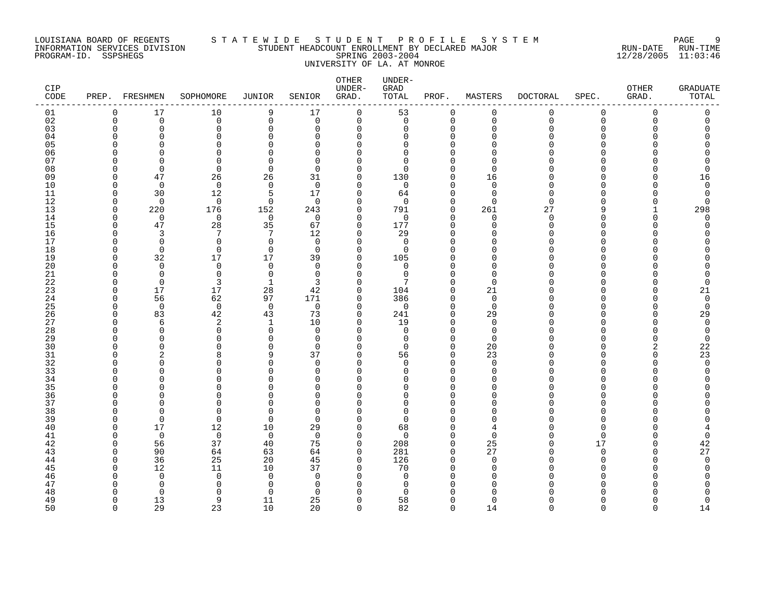# LOUISIANA BOARD OF REGENTS S T A T E W I D E S T U D E N T P R O F I L E S Y S T E M PAGE 9 INFORMATION SERVICES DIVISION STUDENT HEADCOUNT ENROLLMENT BY DECLARED MAJOR RUN-DATE RUN-TIME PROGRAM-ID. SSPSHEGS SPRING 2003-2004 12/28/2005 11:03:46 UNIVERSITY OF LA. AT MONROE

| CIP<br>CODE | PREP.    | FRESHMEN          | SOPHOMORE         | <b>JUNIOR</b>        | SENIOR             | OTHER<br>UNDER-<br>GRAD. | UNDER-<br>GRAD<br>TOTAL | PROF.                   | MASTERS                 | <b>DOCTORAL</b> | SPEC.                | OTHER<br>GRAD. | <b>GRADUATE</b><br>TOTAL   |
|-------------|----------|-------------------|-------------------|----------------------|--------------------|--------------------------|-------------------------|-------------------------|-------------------------|-----------------|----------------------|----------------|----------------------------|
| 01          | 0        | 17                | 10                | 9                    | 17                 | $\mathbf 0$              | 53                      | $\mathbf 0$             | 0                       | 0               | 0                    | $\mathbf 0$    | $\mathsf 0$                |
| 02          | $\Omega$ | $\mathbf 0$       | 0                 | $\mathsf 0$          | $\mathbf 0$        | $\mathbf 0$              | $\mathbf 0$             | $\mathbf 0$             | $\overline{0}$          | $\Omega$        | $\Omega$             | $\Omega$       | $\mathbf 0$                |
| 03          | O        | $\Omega$          | 0                 | $\Omega$             | $\Omega$           | 0                        | 0                       | $\Omega$                | $\Omega$                | U               | $\Omega$             |                |                            |
| 04          |          | U                 | 0                 | $\Omega$             | 0                  | 0                        | 0                       | 0                       | ∩                       |                 | U                    |                |                            |
| 05          |          |                   | $\Omega$          | $\mathsf{C}$         | $\Omega$           | $\Omega$                 | 0                       | $\Omega$                |                         |                 | U                    |                |                            |
| 06          |          | U                 | $\Omega$          | $\Omega$             | $\Omega$           | 0                        | 0                       | $\Omega$                |                         |                 | U                    |                |                            |
| 07          |          | $\cap$            | $\Omega$          | $\Omega$             | $\Omega$           | $\Omega$                 | $\Omega$<br>$\Omega$    | $\Omega$<br>$\Omega$    | ∩<br>$\Omega$           |                 | $\Omega$             |                |                            |
| 08<br>09    |          | $\Omega$<br>47    | $\Omega$<br>26    | $\Omega$<br>26       | $\Omega$<br>31     | $\Omega$<br>0            | 130                     | 0                       | 16                      |                 | O                    |                | O<br>16                    |
| 10          |          | $\overline{0}$    | $\mathbf 0$       | $\mathbf 0$          | $\Omega$           | $\Omega$                 | 0                       | $\Omega$                | $\Omega$                |                 | U                    |                | $\mathbf 0$                |
| 11          |          | 30                | 12                | 5                    | 17                 | 0                        | 64                      | $\Omega$                | $\Omega$                |                 | U                    |                | 0                          |
| 12          |          | $\Omega$          | $\mathbf 0$       | $\Omega$             | $\Omega$           | $\Omega$                 | $\Omega$                | $\Omega$                | $\Omega$                | U               | U                    |                | $\Omega$                   |
| 13          | O        | 220               | 176               | 152                  | 243                | $\mathbf 0$              | 791                     | $\mathbf 0$             | 261                     | 27              | 9                    |                | 298                        |
| 14          | ∩        | $\mathbf 0$       | $\mathbf 0$       | $\overline{0}$       | $\Omega$           | 0                        | $\mathbf 0$             | $\Omega$                | $\Omega$                | $\Omega$        | $\cap$               | U              | $\Omega$                   |
| 15          |          | 47                | 28                | 35                   | 67                 | 0                        | 177                     | $\mathbf 0$             | $\Omega$                | O               | O                    |                | 0                          |
| 16          |          | 3                 | 7                 | $\overline{7}$       | 12                 | 0                        | 29                      | $\Omega$                | $\Omega$                |                 | U                    |                |                            |
| 17          |          | $\Omega$          | 0                 | $\mathbf 0$          | $\Omega$           | 0                        | $\mathbf 0$             | $\Omega$                | $\Omega$                |                 | U                    |                |                            |
| 18          |          | $\mathbf 0$       | $\mathbf 0$       | $\overline{0}$       | $\Omega$           | 0                        | 0                       | $\Omega$                | ∩                       |                 | O                    |                |                            |
| 19          |          | 32                | 17                | 17                   | 39                 | 0                        | 105                     | $\Omega$                |                         |                 | U                    |                |                            |
| 20          |          | $\Omega$          | 0                 | $\Omega$             | $\Omega$           | $\Omega$                 | 0                       | $\Omega$                | ∩                       |                 | U                    |                |                            |
| 21          |          | $\Omega$          | $\mathbf 0$       | $\mathbf 0$          | 0                  | $\Omega$                 | 0                       | $\Omega$                | $\Omega$                |                 | U                    |                |                            |
| 22          |          | 0                 | 3                 | 1                    | 3                  | 0                        | 7                       | 0                       | $\Omega$                |                 | O                    |                | $\Omega$                   |
| 23          |          | 17                | 17                | 28                   | 42                 | 0                        | 104                     | $\Omega$                | 21                      |                 | U<br>U               |                | 21                         |
| 24          |          | 56<br>$\mathbf 0$ | 62<br>$\mathbf 0$ | 97<br>$\overline{0}$ | 171<br>$\mathbf 0$ | 0<br>$\Omega$            | 386<br>$\mathbf 0$      | $\mathbf 0$<br>$\Omega$ | $\mathbf 0$<br>$\Omega$ |                 | U                    |                | $\mathbf 0$<br>$\mathbf 0$ |
| 25<br>26    |          | 83                | 42                | 43                   | 73                 | $\Omega$                 | 241                     | $\Omega$                | 29                      |                 | $\Omega$             |                | 29                         |
| 27          |          | 6                 | 2                 | 1                    | 10                 | 0                        | 19                      | 0                       | $\Omega$                |                 | U                    |                | $\mathbf 0$                |
| 28          |          | $\Omega$          | 0                 | $\mathbf 0$          | $\Omega$           | $\Omega$                 | $\mathbf 0$             | $\Omega$                | $\mathbf 0$             |                 | U                    |                | 0                          |
| 29          |          | O                 | $\Omega$          | $\mathbf 0$          | 0                  | 0                        | 0                       | $\mathbf 0$             | $\Omega$                |                 | U                    |                | 0                          |
| 30          |          | U                 | ∩                 | $\Omega$             | $\Omega$           | $\Omega$                 | $\Omega$                | $\Omega$                | 20                      |                 | U                    |                | 22                         |
| 31          |          | 2                 | 8                 | 9                    | 37                 | 0                        | 56                      | $\Omega$                | 23                      |                 | U                    | ∩              | 23                         |
| 32          |          | U                 | $\Omega$          | $\Omega$             | $\Omega$           | $\Omega$                 | $\Omega$                | $\Omega$                | $\Omega$                |                 | U                    |                | $\Omega$                   |
| 33          |          | U                 | $\Omega$          | $\Omega$             | 0                  | $\Omega$                 | 0                       | $\Omega$                | $\Omega$                |                 | U                    |                | 0                          |
| 34          |          | U                 | $\Omega$          | $\Omega$             | 0                  | $\Omega$                 | <sup>0</sup>            | $\Omega$                | $\Omega$                |                 | U                    |                |                            |
| 35          |          |                   | O                 | C                    | $\Omega$           | $\Omega$                 | O                       | $\Omega$                |                         |                 | U                    |                |                            |
| 36          |          | U                 | $\Omega$          | C                    | $\Omega$           | $\Omega$                 | 0                       | $\Omega$                | ∩                       |                 | O                    |                |                            |
| 37          |          |                   | $\Omega$          | $\Omega$             | $\Omega$           | $\Omega$                 | $\Omega$                | $\Omega$                | O                       |                 | $\Omega$             |                |                            |
| 38          |          | $\cap$            | $\Omega$          | $\Omega$             | $\Omega$           | $\Omega$                 | $\Omega$                | $\Omega$                |                         |                 | U                    |                |                            |
| 39          |          | 0<br>17           | $\mathbf 0$       | $\mathbf 0$          | $\Omega$           | 0<br>0                   | 0                       | $\Omega$<br>$\Omega$    | $\Omega$<br>4           |                 | $\Omega$<br>$\Omega$ |                |                            |
| 40<br>41    |          | $\mathbf 0$       | 12<br>0           | 10<br>$\overline{0}$ | 29<br>$\Omega$     | 0                        | 68<br>$\mathbf 0$       | $\mathbf 0$             | $\Omega$                |                 | $\Omega$             |                | 0                          |
| 42          |          | 56                | 37                | 40                   | 75                 | $\mathbf 0$              | 208                     | $\mathbf 0$             | 25                      |                 | 17                   | U              | 42                         |
| 43          |          | 90                | 64                | 63                   | 64                 | $\Omega$                 | 281                     | $\Omega$                | 27                      |                 | $\Omega$             | U              | 27                         |
| 44          |          | 36                | 25                | 20                   | 45                 | $\Omega$                 | 126                     | $\Omega$                | $\Omega$                |                 | $\Omega$             |                | $\Omega$                   |
| 45          |          | 12                | 11                | 10                   | 37                 | 0                        | 70                      | 0                       | <sup>0</sup>            |                 | U                    |                | 0                          |
| 46          |          | $\Omega$          | $\mathbf 0$       | $\mathbf 0$          | $\Omega$           | $\Omega$                 | $\mathbf 0$             | $\Omega$                | $\Omega$                |                 | U                    |                |                            |
| 47          |          | $\Omega$          | $\Omega$          | $\Omega$             | 0                  | $\Omega$                 | 0                       | $\Omega$                |                         |                 | U                    |                |                            |
| 48          |          | $\Omega$          | $\Omega$          | $\Omega$             | $\Omega$           | ∩                        | ∩                       | O                       |                         |                 |                      |                |                            |
| 49          | ∩        | 13                | 9                 | 11                   | 25                 | $\Omega$                 | 58                      | $\Omega$                | $\Omega$                |                 | O                    |                | 0                          |
| 50          | $\cap$   | 29                | 23                | 10                   | 20                 | $\Omega$                 | 82                      | $\Omega$                | 14                      | U               | $\cap$               | $\cap$         | 14                         |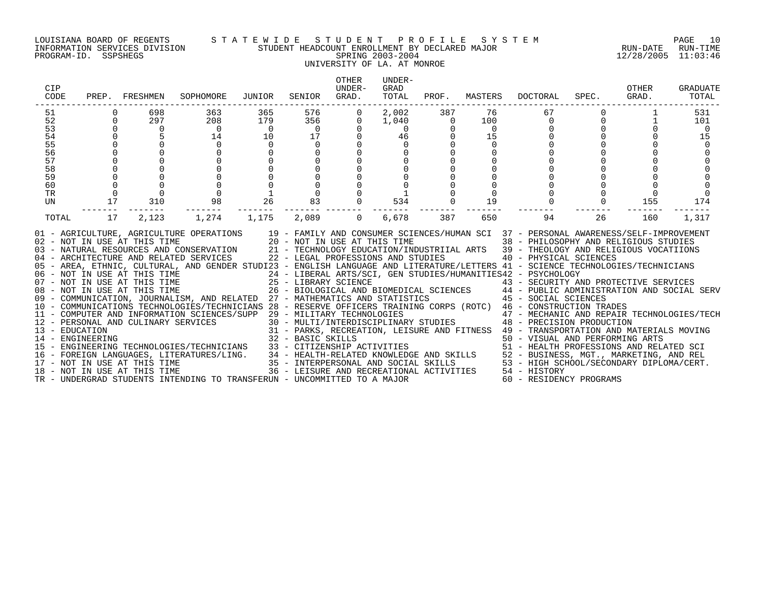# LOUISIANA BOARD OF REGENTS S T A T E W I D E S T U D E N T P R O F I L E S Y S T E M PAGE 10 INFORMATION SERVICES DIVISION STUDENT HEADCOUNT ENROLLMENT BY DECLARED MAJOR RUN-DATE RUN-TIME PROGRAM-ID. SSPSHEGS SPRING 2003-2004 12/28/2005 11:03:46 UNIVERSITY OF LA. AT MONROE

| CIP<br>CODE                                                          |                                        | PREP. FRESHMEN                                                                                                     | SOPHOMORE                                                                                                                                                                                                                                                                                                                                                                                                                                                                                                                                                                                                                                                                                                                                                                                                                                                                                                                                                                                                                                                                                                                                                                                                                                                                                                                                                                                                                                                                           | JUNIOR                                                  | SENIOR                                                                                                                                            | OTHER<br>UNDER-<br>GRAD.                    | UNDER-<br>GRAD<br>TOTAL                             |                                                                                                     |                                                                                | PROF. MASTERS DOCTORAL                                                                                                                                                                                                                                     | SPEC.                                        | OTHER<br>GRAD. | <b>GRADUATE</b><br>TOTAL       |
|----------------------------------------------------------------------|----------------------------------------|--------------------------------------------------------------------------------------------------------------------|-------------------------------------------------------------------------------------------------------------------------------------------------------------------------------------------------------------------------------------------------------------------------------------------------------------------------------------------------------------------------------------------------------------------------------------------------------------------------------------------------------------------------------------------------------------------------------------------------------------------------------------------------------------------------------------------------------------------------------------------------------------------------------------------------------------------------------------------------------------------------------------------------------------------------------------------------------------------------------------------------------------------------------------------------------------------------------------------------------------------------------------------------------------------------------------------------------------------------------------------------------------------------------------------------------------------------------------------------------------------------------------------------------------------------------------------------------------------------------------|---------------------------------------------------------|---------------------------------------------------------------------------------------------------------------------------------------------------|---------------------------------------------|-----------------------------------------------------|-----------------------------------------------------------------------------------------------------|--------------------------------------------------------------------------------|------------------------------------------------------------------------------------------------------------------------------------------------------------------------------------------------------------------------------------------------------------|----------------------------------------------|----------------|--------------------------------|
| 51<br>52<br>53<br>54<br>55<br>56<br>57<br>58<br>59<br>60<br>TR<br>UN | $\Omega$<br>$\Omega$<br>$\Omega$<br>17 | 698<br>297<br>$\overline{0}$<br>5<br>$\mathbf 0$<br>$\mathsf 0$<br>$\mathsf{O}$<br>$\mathsf{O}$<br>$\Omega$<br>310 | 363<br>208<br>$\overline{0}$<br>14<br>$\Omega$<br>$\mathbf 0$<br>$\mathsf 0$<br>$\Omega$<br>98                                                                                                                                                                                                                                                                                                                                                                                                                                                                                                                                                                                                                                                                                                                                                                                                                                                                                                                                                                                                                                                                                                                                                                                                                                                                                                                                                                                      | 365<br>179<br>$\overline{0}$<br>10<br>$\mathbf 0$<br>26 | 576<br>356<br>$\overline{0}$<br>17<br>$\mathbf 0$<br>$\mathbf 0$<br>$\mathbf 0$<br>$\mathbf 0$<br>$\mathbf 0$<br>$\overline{0}$<br>$\Omega$<br>83 | 0<br>$\Omega$<br>$\mathbf 0$<br>$\mathbf 0$ | 2,002<br>1,040<br>$\Omega$<br>46<br>$\Omega$<br>534 | 387<br>$\overline{0}$<br>$\overline{0}$<br>$\mathbf 0$<br>$\mathbf 0$<br>$\mathbf 0$<br>$\mathbf 0$ | 76<br>100<br>$\overline{0}$<br>15<br>$\Omega$<br>$\mathbf 0$<br>$\Omega$<br>19 | 67<br>$\overline{0}$<br>$\overline{0}$                                                                                                                                                                                                                     | $\Omega$<br>$\Omega$<br>$\Omega$<br>$\Omega$ | 155            | 531<br>101<br>- 0<br>15<br>174 |
| TOTAL                                                                | 17                                     | 2,123                                                                                                              | 1,274<br>01 - AGRICULTURE, AGRICULTURE OPERATIONS 19 - FAMILY AND CONSUMER SCIENCES/HUMAN SCI 37 - PERSONAL AWARENESS/SELF-IMPROVEMENT<br>02 - NOT IN USE AT THIS TIME 20 - NOT IN USE AT THIS TIME 38 - PHILOSOPHY AND RELIGIOUS STUDIES<br>03 - NATURAL RESOURCES AND CONSERVATION 21 - TECHNOLOGY EDUCATION/INDUSTRIIAL ARTS 39 - THEOLOGY AND RELIGIOUS VOCATIIONS<br>04 - ARCHITECTURE AND RELATED SERVICES<br>05 - AREA, ETHNIC, CULTURAL, AND GENDER STUDI23 - ENGLISH LANGUAGE AND LITERATURE/LETTERS 41 - SCIENCE TECHNOLOGIES/TECHNICIANS<br>06 - NOT IN USE AT THIS TIME<br>07 - NOT IN USE AT THIS TIME<br>07 - NOT IN USE AT THIS TIME<br>25 - LIBRARY SCIENCE<br>26 - BIOLOGICAL AND BIOMEDICAL SCIENCES<br>26 - BIOLOGICAL AND BIOMEDICAL SCIENCES<br>26 - BIOLOGICAL AND BIOMEDIC<br>11 - COMPUTER AND INFORMATION SCIENCES/SUPP 29 - MILITARY TECHNOLOGIES<br>11 - CONFUTER AND INFORMATION 13 - PERSONAL AND CULINARY SERVICES 30 - MULTI/INTERDI<br>13 - EDUCATION 31 - PARKS, RECREA<br>14 - ENGINEERING 32 - BASIC SKILLS<br>$\begin{tabular}{lllllllllllll} $\texttt{15}$ & $1\text{e}\text{ mQ}~\texttt{1NUEERING}~\text{HOLOGIES/TECHNICIANS} & $32$ & $-$ BASIC SKILLS & $-$ 1\text{mQ}~\text{1NUS} & $+2$ & $-$ 1\text{KANSPUKIATION AND MATERIALS}~\text{MOVING} \\ $15$ & $-$ 0$ & $-$ VISUAL AND PERFORMING ARTS \\ $16$ & $-$  FOREIGN LANGUAGES, LITERATURES/LING. & $34$ & $-$ HEALTH-RELATED KNOWLEDS ENOWLEDGE AND SKILLS & $52$ & $-$ BUSIMESS,$ | 1,175                                                   | 2,089                                                                                                                                             | $\Omega$                                    | 6,678                                               | 387                                                                                                 | 650                                                                            | 94<br>22 - LEGAL PROFESSIONS AND STUDIES 40 - PHYSICAL SCIENCES<br>29 - MILITARY TECHNOLOGIES<br>30 - MULTI/INTERDISCIPLINARY STUDIES<br>48 - PRECISION PRODUCTION<br>31 - PARKS, RECREATION, LEISURE AND FITNESS 49 - TRANSPORTATION AND MATERIALS MOVING | 26                                           | 160            | 1,317                          |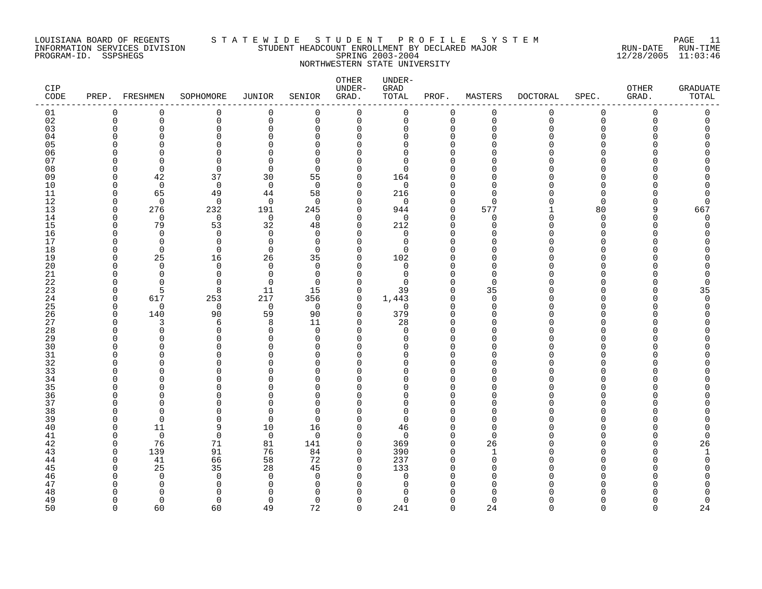# LOUISIANA BOARD OF REGENTS S T A T E W I D E S T U D E N T P R O F I L E S Y S T E M PAGE 11 INFORMATION SERVICES DIVISION STUDENT HEADCOUNT ENROLLMENT BY DECLARED MAJOR RUN-DATE RUN-TIME PROGRAM-ID. SSPSHEGS SPRING 2003-2004 12/28/2005 11:03:46 NORTHWESTERN STATE UNIVERSITY

| CIP<br>CODE | PREP. FRESHMEN |                 | SOPHOMORE                | <b>JUNIOR</b>   | SENIOR          | OTHER<br>UNDER-<br>GRAD. | UNDER-<br>GRAD<br>TOTAL | PROF.                   | MASTERS            | <b>DOCTORAL</b> | SPEC.          | OTHER<br>GRAD. | <b>GRADUATE</b><br>TOTAL |
|-------------|----------------|-----------------|--------------------------|-----------------|-----------------|--------------------------|-------------------------|-------------------------|--------------------|-----------------|----------------|----------------|--------------------------|
| 01          | 0              | $\mathbf 0$     | 0                        | 0               | $\mathbf 0$     | $\mathbf 0$              | 0                       | $\mathbf 0$             | $\mathbf 0$        | 0               | $\mathbf 0$    | $\overline{0}$ | 0                        |
| 02          | $\Omega$       | $\Omega$        | $\Omega$                 | $\Omega$        | $\Omega$        | $\mathbf 0$              | $\mathbf 0$             | $\mathbf 0$             | $\mathbf 0$        | $\mathbf 0$     | $\Omega$       | $\Omega$       | $\Omega$                 |
| 03<br>04    | O              | $\Omega$<br>n   | $\Omega$<br>$\Omega$     | $\Omega$<br>U   | $\Omega$<br>U   | 0<br>0                   | $\mathbf 0$<br>0        | $\Omega$<br>$\cap$      | $\Omega$<br>∩      | $\Omega$<br>Λ   | $\Omega$<br>∩  |                | O<br>Ω                   |
| 05          |                |                 | $\Omega$                 |                 | $\cap$          | $\Omega$                 | $\Omega$                | $\cap$                  | C                  |                 |                |                |                          |
| 06          |                | ∩               | $\Omega$                 | U               | $\Omega$        | 0                        | 0                       | $\cap$                  | ∩                  |                 |                |                |                          |
| 07          |                | ∩               | $\Omega$                 | ∩               | $\Omega$        | $\Omega$                 | $\Omega$                | ∩                       | ∩                  |                 |                |                |                          |
| 08          | ∩              | $\Omega$        | $\Omega$                 | $\Omega$        | $\Omega$        | 0                        | $\Omega$                | ∩                       | O                  |                 | ∩              |                |                          |
| 09          | ∩              | 42              | 37                       | 30              | 55              | 0                        | 164                     |                         | ∩                  |                 | ∩              |                |                          |
| 10          | O              | $\mathbf 0$     | $\mathbf 0$              | $\mathbf 0$     | $\Omega$        | 0                        | $\mathbf 0$             | $\cap$                  | $\Omega$           |                 | $\Omega$       |                |                          |
| 11          | ∩              | 65              | 49                       | 44              | 58              | 0                        | 216                     | $\Omega$                | $\Omega$           | Λ               | $\Omega$       |                | 0                        |
| 12          | ∩              | $\Omega$        | 0                        | 0               | $\Omega$        | 0                        | $\mathbf 0$             | $\Omega$                | $\Omega$           | U               | $\Omega$       |                | 0                        |
| 13<br>14    | ∩<br>∩         | 276<br>$\Omega$ | 232<br>$\mathbf 0$       | 191<br>$\Omega$ | 245<br>$\Omega$ | $\mathbf 0$<br>0         | 944<br>$\mathbf 0$      | $\mathbf 0$<br>$\Omega$ | 577<br>$\mathbf 0$ | 0               | 80<br>$\Omega$ | 9              | 667<br>$\Omega$          |
| 15          | ∩              | 79              | 53                       | 32              | 48              | $\mathbf 0$              | 212                     | $\Omega$                | $\Omega$           | Λ               | $\Omega$       |                | O                        |
| 16          | n              | $\Omega$        | $\Omega$                 | $\Omega$        | $\Omega$        | $\Omega$                 | $\Omega$                | $\cap$                  | $\Omega$           | U               | $\Omega$       |                |                          |
| 17          | ∩              | 0               | 0                        | $\mathbf 0$     | $\mathbf 0$     | $\mathbf 0$              | $\mathbf 0$             | $\Omega$                | $\Omega$           | Ω               | $\Omega$       |                |                          |
| 18          | ∩              | $\Omega$        | $\mathbf 0$              | $\mathbf 0$     | $\Omega$        | 0                        | $\mathbf 0$             | $\cap$                  | C                  |                 | ∩              |                |                          |
| 19          | ∩              | 25              | 16                       | 26              | 35              | 0                        | 102                     | $\cap$                  | $\Omega$           |                 | <sup>0</sup>   |                |                          |
| 20          | ∩              | $\Omega$        | 0                        | $\Omega$        | $\Omega$        | $\mathbf 0$              | 0                       | $\cap$                  | $\Omega$           |                 |                |                |                          |
| 21          |                | ∩               | $\Omega$                 | $\Omega$        | $\Omega$        | $\mathbf 0$              | $\Omega$                | $\cap$                  | $\Omega$           |                 |                |                |                          |
| 22          | ∩              | ∩<br>5          | $\Omega$                 | $\Omega$<br>11  | $\Omega$<br>15  | 0<br>$\mathbf 0$         | $\Omega$<br>39          | $\Omega$<br>$\Omega$    | $\Omega$<br>35     | Λ<br>Λ          | ∩              |                | O                        |
| 23<br>24    | O              | 617             | 8<br>253                 | 217             | 356             | 0                        | 1,443                   | 0                       | 0                  | Λ               | <sup>0</sup>   |                | 35<br>0                  |
| 25          | ∩              | $\Omega$        | 0                        | $\overline{0}$  | $\Omega$        | 0                        | $\mathbf 0$             | $\cap$                  | $\Omega$           |                 |                |                | O                        |
| 26          | O              | 140             | 90                       | 59              | 90              | $\mathbf 0$              | 379                     | $\Omega$                | $\Omega$           | U               | <sup>0</sup>   |                |                          |
| 27          | n              | 3               | 6                        | 8               | 11              | $\mathbf 0$              | 28                      | $\cap$                  | $\Omega$           | Λ               | ∩              |                |                          |
| 28          |                | $\Omega$        | $\Omega$                 | $\Omega$        | $\Omega$        | $\mathbf 0$              | $\Omega$                | $\cap$                  | O                  |                 |                |                |                          |
| 29          |                | ∩               | $\Omega$                 | $\Omega$        | U               | $\mathbf 0$              | $\mathbf 0$             | $\cap$                  | $\Omega$           |                 |                |                |                          |
| 30          |                |                 | ∩                        |                 | $\cap$          | $\Omega$                 | $\Omega$                | ∩                       | ∩                  |                 |                |                |                          |
| 31          |                | n               | <sup>0</sup>             | O               | ∩               | 0                        | 0                       | O                       | ∩                  |                 | <sup>0</sup>   |                |                          |
| 32<br>33    |                | ∩               | <sup>0</sup><br>$\Omega$ | U               | ∩<br>$\cap$     | 0<br>$\Omega$            | $\Omega$<br>$\Omega$    | $\cap$<br>$\cap$        | O<br>∩             | Λ               | ∩<br>∩         |                |                          |
| 34          |                |                 | ∩                        | U               | U               | $\Omega$                 | $\Omega$                | $\cap$                  | ∩                  |                 | ∩              |                |                          |
| 35          |                |                 | $\Omega$                 |                 | <sup>n</sup>    | $\Omega$                 | $\Omega$                | $\cap$                  | O                  |                 |                |                |                          |
| 36          | ∩              | ∩               | $\Omega$                 |                 | ∩               | $\mathbf 0$              | $\mathbf 0$             | $\cap$                  | $\Omega$           | Λ               | $\cap$         |                |                          |
| 37          |                |                 | $\Omega$                 |                 | $\Omega$        | $\mathbf 0$              | $\mathbf 0$             | $\cap$                  | $\Omega$           | Λ               | $\Omega$       |                |                          |
| 38          | n              | ∩               | ∩                        | U               | ∩               | 0                        | 0                       | ∩                       | ∩                  |                 |                |                |                          |
| 39          |                | $\Omega$        | $\Omega$                 | $\Omega$        | $\Omega$        | 0                        | $\Omega$                | $\cap$                  | <sup>0</sup>       |                 |                |                |                          |
| 40          | ∩              | 11              | 9                        | 10              | 16              | $\mathbf 0$              | 46                      | $\cap$                  | $\Omega$           |                 |                |                | O                        |
| 41          | ∩              | $\Omega$        | $\mathbf 0$              | $\overline{0}$  | $\Omega$        | $\mathbf 0$              | $\Omega$                | $\Omega$                | $\Omega$           |                 | ∩<br>$\Omega$  |                | $\Omega$                 |
| 42<br>43    | ∩<br>∩         | 76<br>139       | 71<br>91                 | 81<br>76        | 141<br>84       | 0<br>$\mathbf 0$         | 369<br>390              | $\Omega$<br>$\Omega$    | 26                 |                 |                |                | 26                       |
| 44          | $\Omega$       | 41              | 66                       | 58              | 72              | 0                        | 237                     | $\Omega$                | $\mathbf 0$        | Λ               |                |                | $\Omega$                 |
| 45          |                | 25              | 35                       | 28              | 45              | 0                        | 133                     | $\cap$                  | $\Omega$           | Λ               | O              |                |                          |
| 46          |                | $\Omega$        | $\mathbf 0$              | $\Omega$        | $\Omega$        | 0                        | 0                       | $\cap$                  | $\Omega$           |                 |                |                |                          |
| 47          |                | O               | $\Omega$                 | ∩               | $\Omega$        | 0                        | 0                       |                         | $\Omega$           |                 |                |                |                          |
| 48          |                | ∩               | ∩                        |                 | <sup>n</sup>    | O                        | U                       |                         |                    |                 |                |                |                          |
| 49          | ∩              | $\Omega$        | $\Omega$                 | $\Omega$        | $\Omega$        | 0                        | $\Omega$                | $\cap$                  | $\Omega$           | U               | $\Omega$       |                | 0                        |
| 50          | $\cap$         | 60              | 60                       | 49              | 72              | $\Omega$                 | 241                     | $\Omega$                | 24                 | $\Omega$        | $\Omega$       | $\Omega$       | 24                       |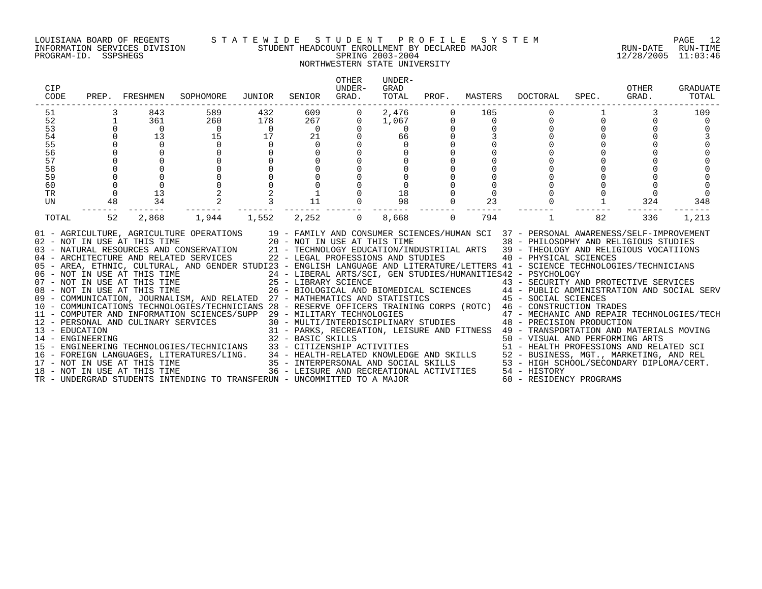#### LOUISIANA BOARD OF REGENTS S T A T E W I D E S T U D E N T P R O F I L E S Y S T E M PAGE 12 INFORMATION SERVICES DIVISION STUDENT HEADCOUNT ENROLLMENT BY DECLARED MAJOR RUN-DATE RUN-TIME PROGRAM-ID. SSPSHEGS SPRING 2003-2004 12/28/2005 11:03:46 NORTHWESTERN STATE UNIVERSITY

# OTHER UNDER-CIP UNDER- GRAD OTHER GRADUATE CODE PREP. FRESHMEN SOPHOMORE JUNIOR SENIOR GRAD. TOTAL PROF. MASTERS DOCTORAL SPEC. GRAD. TOTAL ------------------------------------------------------------------------------------------------------------------------------------ 51 3 843 589 432 609 0 2,476 0 105 0 1 3 109 52 1 361 260 178 267 0 1,067 0 0 0 0 0 0 0<br>53 0 0 0 0 0 0 0 0 0 0 0 0 0 54 0 13 15 17 21 0 66 0 3 0 0 0 3 55 0 0 0 0 0 0 0 0 0 0 0 0 0 56 0 0 0 0 0 0 0 0 0 0 0 0 0 57 0 0 0 0 0 0 0 0 0 0 0 0 0 58 0 0 0 0 0 0 0 0 0 0 0 0 0 59 0 0 0 0 0 0 0 0 0 0 0 0 0 60 0 0 0 0 0 0 0 0 0 0 0 0 0 TR 0 13 2 2 1 0 18 0 0 0 0 0 0 UN 48 34 2 3 11 0 98 0 23 0 1 324 348 ------- ------- ------- ------- ------- ------- ------- ------- ------- ------- ------- ------- ------- TOTAL 52 2,868 1,944 1,552 2,252 0 8,668 0 794 1 82 336 1,213 01 - AGRICULTURE, AGRICULTURE OPERATIONS 19 - FAMILY AND CONSUMER SCIENCES/HUMAN SCI 37 - PERSONAL AWARENESS/SELF-IMPROVEMENT 02 - NOT IN USE AT THIS TIME 20 - NOT IN USE AT THIS TIME 38 - PHILOSOPHY AND RELIGIOUS STUDIES 03 - NATURAL RESOURCES AND CONSERVATION 21 - TECHNOLOGY EDUCATION/INDUSTRIIAL ARTS 39 - THEOLOGY AND RELIGIOUS VOCATIIONS<br>04 - ARCHITECTURE AND RELATED SERVICES 22 - LEGAL PROFESSIONS AND STUDIES 05 - AREA, ETHNIC, CULTURAL, AND GENDER STUDI23 - ENGLISH LANGUAGE AND LITERATURE/LETTERS 41 - SCIENCE TECHNOLOGIES/TECHNICIANS 06 – NOT IN USE AT THIS TIME 24 – LIBERAL ARTS/SCI, GEN STUDIES/HUMANITIES42 – PSYCHOLOGY<br>07 – NOT IN USE AT THIS TIME 25 – LIBRARY SCIENCE 43 – SECURITY AN 08 - NOT IN USE AT THIS TIME 26 - BIOLOGICAL AND BIOMEDICAL SCIENCES 44 - PUBLIC ADMINISTRATION AND SOCIAL SERV 09 - COMMUNICATION, JOURNALISM, AND RELATED 27 - MATHEMATICS AND STATISTICS 45 - SOCIAL SCIENCES 10 - COMMUNICATIONS TECHNOLOGIES/TECHNICIANS 28 - RESERVE OFFICERS TRAINING CORPS (ROTC) 46 - CONSTRUCTION TRADES 11 - COMPUTER AND INFORMATION SCIENCES/SUPP 29 - MILITARY TECHNOLOGIES 47 - MECHANIC AND REPAIR TECHNOLOGIES/TECH 12 - PERSONAL AND CULINARY SERVICES 30 - MULTI/INTERDISCIPLINARY STUDIES 48 - PRECISION PRODUCTION 13 - EDUCATION 31 - PARKS, RECREATION, LEISURE AND FITNESS 49 - TRANSPORTATION AND MATERIALS MOVING 14 - ENGINEERING 32 - BASIC SKILLS 50 - VISUAL AND PERFORMING ARTS 15 - ENGINEERING TECHNOLOGIES/TECHNICIANS 33 - CITIZENSHIP ACTIVITIES 51 - HEALTH PROFESSIONS AND RELATED SCI 16 - FOREIGN LANGUAGES, LITERATURES/LING. 34 - HEALTH-RELATED KNOWLEDGE AND SKILLS 52 - BUSINESS, MGT., MARKETING, AND REL 17 - NOT IN USE AT THIS TIME 35 - INTERPERSONAL AND SOCIAL SKILLS 53 - HIGH SCHOOL/SECONDARY DIPLOMA/CERT. 18 - NOT IN USE AT THIS TIME 36 - LEISURE AND RECREATIONAL ACTIVITIES 54 - HISTORY TR - UNDERGRAD STUDENTS INTENDING TO TRANSFERUN - UNCOMMITTED TO A MAJOR 60 - RESIDENCY PROGRAMS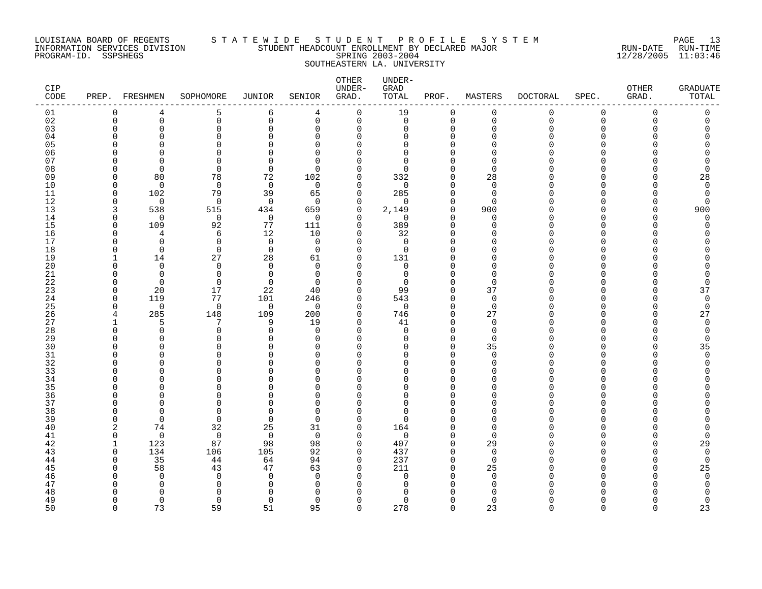# LOUISIANA BOARD OF REGENTS S T A T E W I D E S T U D E N T P R O F I L E S Y S T E M PAGE 13 INFORMATION SERVICES DIVISION STUDENT HEADCOUNT ENROLLMENT BY DECLARED MAJOR RUN-DATE RUN-TIME PROGRAM-ID. SSPSHEGS SPRING 2003-2004 12/28/2005 11:03:46 SOUTHEASTERN LA. UNIVERSITY

| CIP<br>CODE | PREP.          | FRESHMEN       | SOPHOMORE            | JUNIOR           | SENIOR               | OTHER<br>UNDER-<br>GRAD. | UNDER-<br>GRAD<br>TOTAL    | PROF.                   | MASTERS              | DOCTORAL    | SPEC.    | <b>OTHER</b><br>GRAD. | <b>GRADUATE</b><br>TOTAL |
|-------------|----------------|----------------|----------------------|------------------|----------------------|--------------------------|----------------------------|-------------------------|----------------------|-------------|----------|-----------------------|--------------------------|
| 01          | $\Omega$       | 4              | 5                    | 6                | 4                    | $\mathbf 0$              | 19                         | $\mathbf 0$             | 0                    | $\mathbf 0$ | 0        | $\overline{0}$        | $\mathbf 0$              |
| 02          | $\mathbf 0$    | $\mathsf 0$    | 0                    | $\mathbf 0$      | $\mathbf 0$          | $\mathbf 0$              | $\mathbf 0$                | $\mathbf 0$             | $\mathbf 0$          | $\mathbf 0$ | 0        | $\mathbf 0$           | $\mathbf 0$              |
| 03          | $\Omega$       | 0              | 0                    | $\Omega$         | $\mathbf 0$          | 0                        | 0                          | $\Omega$                | $\Omega$             | ∩           | $\Omega$ | C                     |                          |
| 04          | C              | O              | $\Omega$             | O                | $\Omega$             | $\Omega$                 | <sup>0</sup>               | $\Omega$                | $\Omega$             |             | U        |                       |                          |
| 05<br>06    | ſ              | U<br>U         | 0<br>$\Omega$        | U<br>$\cap$      | $\Omega$<br>$\Omega$ | $\Omega$<br>$\Omega$     | O<br>$\Omega$              | $\Omega$<br>$\Omega$    | $\Omega$<br>$\Omega$ |             | U<br>U   |                       |                          |
| 07          | C              | $\Omega$       | 0                    | $\cap$           | $\Omega$             | ∩                        | $\Omega$                   | $\Omega$                | $\Omega$             |             |          |                       |                          |
| 08          | ∩              | $\Omega$       | 0                    | $\mathbf 0$      | $\Omega$             | $\Omega$                 | $\Omega$                   | $\Omega$                | $\Omega$             |             |          |                       |                          |
| 09          | $\Omega$       | 80             | 78                   | 72               | 102                  | 0                        | 332                        | $\mathbf 0$             | 28                   |             | U        |                       | 28                       |
| 10          | $\Omega$       | $\Omega$       | $\mathbf 0$          | $\mathbf 0$      | $\Omega$             | 0                        | $\mathbf 0$                | $\Omega$                | $\mathbf 0$          |             | U        |                       | $\Omega$                 |
| 11          | $\Omega$       | 102            | 79                   | 39               | 65                   | $\mathbf 0$              | 285                        | $\mathbf 0$             | $\Omega$             |             | U        |                       | $\mathbf 0$              |
| 12          | $\Omega$       | $\Omega$       | $\Omega$             | $\Omega$         | $\Omega$             | $\Omega$                 | ∩                          | $\Omega$                | $\Omega$             |             | U        |                       | $\Omega$                 |
| 13          | 3              | 538            | 515                  | 434              | 659                  | $\mathbf 0$              | 2,149                      | $\mathbf 0$             | 900                  |             | O        | <sup>0</sup>          | 900                      |
| 14          | $\Omega$       | 0              | 0                    | 0                | $\Omega$             | 0                        | $\mathbf 0$                | $\mathbf 0$             | 0                    |             | U        | n                     | $\Omega$                 |
| 15          | $\Omega$       | 109            | 92                   | 77               | 111                  | $\Omega$                 | 389                        | $\Omega$                | $\Omega$             |             | U        |                       |                          |
| 16          | $\Omega$       | 4              | 6                    | 12               | 10                   | 0                        | 32                         | $\Omega$                | $\Omega$             |             | U        |                       |                          |
| 17          | $\Omega$       | $\Omega$       | $\Omega$             | $\Omega$         | $\Omega$             | $\Omega$                 | $\Omega$                   | $\Omega$                | $\Omega$             |             | U        |                       |                          |
| 18          | $\Omega$       | $\mathbf 0$    | $\mathbf 0$          | $\mathbf 0$      | $\overline{0}$       | 0                        | 0                          | $\Omega$                | $\Omega$             |             | U        |                       |                          |
| 19          | ∩              | 14<br>$\Omega$ | 27                   | 28<br>$\Omega$   | 61                   | 0                        | 131                        | 0<br>$\Omega$           | $\Omega$<br>$\Omega$ |             | U<br>U   |                       |                          |
| 20<br>21    | ∩              | $\Omega$       | 0<br>$\mathbf 0$     | $\Omega$         | $\Omega$<br>$\Omega$ | 0<br>$\Omega$            | $\mathbf 0$<br>$\mathbf 0$ | $\Omega$                | $\Omega$             |             | U        |                       |                          |
| 22          | O              | $\Omega$       | $\Omega$             | $\Omega$         | $\Omega$             | $\Omega$                 | $\mathbf 0$                | $\mathbf 0$             | $\Omega$             |             | U        |                       | $\Omega$                 |
| 23          | $\Omega$       | 20             | 17                   | 22               | 40                   | $\Omega$                 | 99                         | $\Omega$                | 37                   |             | U        |                       | 37                       |
| 24          | $\Omega$       | 119            | 77                   | 101              | 246                  | 0                        | 543                        | $\mathbf 0$             | $\mathbf 0$          |             | U        |                       | 0                        |
| 25          | $\Omega$       | 0              | $\mathbf 0$          | 0                | $\Omega$             | 0                        | 0                          | $\mathbf 0$             | $\mathbf 0$          |             | U        | U                     | $\mathbf 0$              |
| 26          | 4              | 285            | 148                  | 109              | 200                  | $\Omega$                 | 746                        | $\Omega$                | 27                   |             | U        |                       | 27                       |
| 27          |                | 5              | 7                    | 9                | 19                   | 0                        | 41                         | $\mathbf 0$             | 0                    |             | U        |                       | $\Omega$                 |
| 28          | $\Omega$       | $\Omega$       | 0                    | $\Omega$         | $\Omega$             | $\Omega$                 | 0                          | $\Omega$                | $\mathbf 0$          |             | U        |                       | $\Omega$                 |
| 29          | O              | $\Omega$       | 0                    | $\Omega$         | 0                    | 0                        | 0                          | $\mathbf 0$             | $\mathbf 0$          |             | U        |                       | $\Omega$                 |
| 30          | C              | ∩              | O                    | ∩                | $\Omega$             | $\Omega$                 | <sup>0</sup>               | $\Omega$                | 35                   |             | U        |                       | 35                       |
| 31          | C              | $\Omega$       | 0                    | $\Omega$         | $\Omega$             | 0                        | <sup>0</sup>               | $\mathbf 0$             | $\mathbf 0$          |             | U        |                       | $\Omega$                 |
| 32          | C              | ∩<br>U         | $\Omega$<br>$\Omega$ | $\cap$<br>$\cap$ | $\Omega$<br>$\Omega$ | 0<br>$\Omega$            | $\Omega$<br>$\Omega$       | $\Omega$<br>$\Omega$    | $\Omega$<br>$\Omega$ |             | U<br>U   |                       |                          |
| 33<br>34    | C              | $\Omega$       | $\Omega$             | $\cap$           | $\Omega$             | $\Omega$                 | U                          | $\Omega$                | $\Omega$             |             | U        |                       |                          |
| 35          |                | O              | O                    | C                | $\Omega$             | $\Omega$                 | O                          | $\Omega$                | $\Omega$             |             | U        |                       |                          |
| 36          | ∩              | O              | 0                    | U                | $\Omega$             | O                        | 0                          | 0                       | $\Omega$             |             | U        |                       |                          |
| 37          | ∩              | U              | $\Omega$             | $\Omega$         | $\Omega$             | $\Omega$                 | $\Omega$                   | $\Omega$                | $\Omega$             |             | U        |                       |                          |
| 38          | O              | $\Omega$       | $\Omega$             | $\Omega$         | $\Omega$             | $\Omega$                 | $\Omega$                   | $\Omega$                | $\Omega$             |             | Ω        |                       |                          |
| 39          | $\Omega$       | $\Omega$       | $\Omega$             | $\overline{0}$   | $\Omega$             | $\Omega$                 | $\Omega$                   | $\Omega$                | $\Omega$             |             | U        |                       |                          |
| 40          | $\overline{2}$ | 74             | 32                   | 25               | 31                   | 0                        | 164                        | $\mathbf 0$             | $\Omega$             |             | U        |                       |                          |
| 41          | $\mathbf 0$    | $\mathbf 0$    | 0                    | $\overline{0}$   | $\Omega$             | 0                        | 0                          | $\mathbf 0$             | $\Omega$             |             | U        |                       | $\Omega$                 |
| 42          | $\mathbf{1}$   | 123            | 87                   | 98               | 98                   | 0                        | 407                        | $\mathbf 0$             | 29                   |             | U        |                       | 29                       |
| 43          | $\Omega$       | 134            | 106                  | 105              | 92                   | $\Omega$                 | 437                        | $\Omega$                | $\Omega$             |             | U        |                       | $\Omega$                 |
| 44          | $\Omega$       | 35             | 44                   | 64               | 94                   | $\Omega$                 | 237                        | $\Omega$                | $\Omega$             |             | U        |                       | $\Omega$                 |
| 45          | O              | 58<br>$\Omega$ | 43<br>0              | 47<br>$\Omega$   | 63<br>$\Omega$       | 0<br>$\Omega$            | 211                        | $\mathbf 0$<br>$\Omega$ | 25<br>$\mathbf 0$    |             | U        |                       | 25<br>$\Omega$           |
| 46<br>47    | ſ              | <sup>0</sup>   | 0                    | ∩                | $\Omega$             | $\Omega$                 | 0<br>O                     | 0                       | $\Omega$             |             |          |                       |                          |
| 48          |                | ∩              | $\Omega$             | C                | U                    | ∩                        | U                          | ∩                       | $\Omega$             |             |          |                       |                          |
| 49          | ∩              | $\Omega$       | 0                    | $\Omega$         | $\Omega$             | $\Omega$                 | <sup>0</sup>               | $\Omega$                | $\Omega$             |             | U        |                       | 0                        |
| 50          | $\cap$         | 73             | 59                   | 51               | 95                   | $\Omega$                 | 278                        | $\Omega$                | 23                   | $\Omega$    | $\Omega$ | $\Omega$              | 23                       |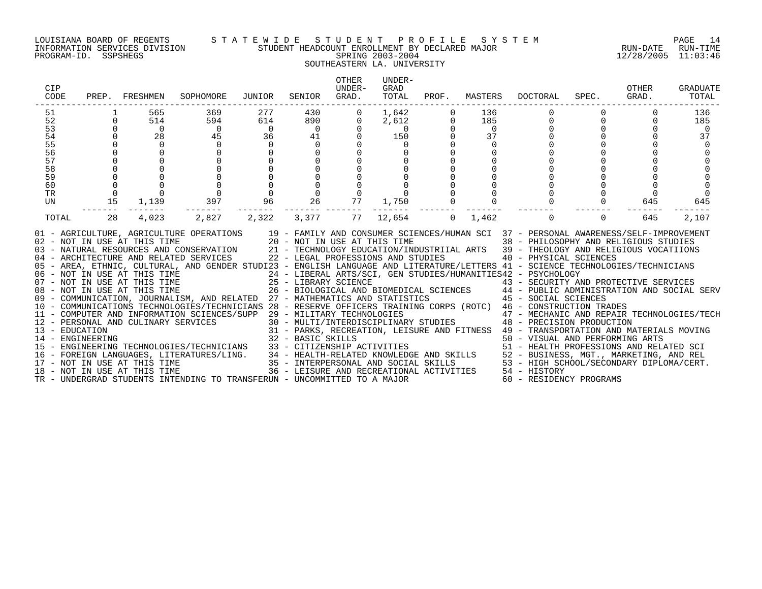# LOUISIANA BOARD OF REGENTS S T A T E W I D E S T U D E N T P R O F I L E S Y S T E M PAGE 14 INFORMATION SERVICES DIVISION STUDENT HEADCOUNT ENROLLMENT BY DECLARED MAJOR RUN-DATE RUN-TIME PROGRAM-ID. SSPSHEGS SPRING 2003-2004 12/28/2005 11:03:46 SOUTHEASTERN LA. UNIVERSITY

| CIP<br>CODE |             | PREP. FRESHMEN      | SOPHOMORE                                                                                                                                                                                                                                                                                                                                                                                                                                                                                                                                                                                                            | JUNIOR                   | SENIOR              | <b>OTHER</b><br>IJNDER-<br>GRAD. | UNDER-<br>GRAD<br>TOTAL |                     |                | PROF. MASTERS DOCTORAL                                                                                                                    | SPEC.                | OTHER<br>GRAD. | <b>GRADUATE</b><br>TOTAL |
|-------------|-------------|---------------------|----------------------------------------------------------------------------------------------------------------------------------------------------------------------------------------------------------------------------------------------------------------------------------------------------------------------------------------------------------------------------------------------------------------------------------------------------------------------------------------------------------------------------------------------------------------------------------------------------------------------|--------------------------|---------------------|----------------------------------|-------------------------|---------------------|----------------|-------------------------------------------------------------------------------------------------------------------------------------------|----------------------|----------------|--------------------------|
| 51<br>52    | $\Omega$    | 565<br>514          | 369<br>594                                                                                                                                                                                                                                                                                                                                                                                                                                                                                                                                                                                                           | 277<br>614               | 430<br>890 88       | $\mathbf 0$<br>$\mathbf{0}$      | 1,642<br>2,612          | $\overline{0}$      | 136<br>185     | $\Omega$                                                                                                                                  | $\Omega$<br>$\Omega$ |                | 136<br>185               |
| 53          | $\Omega$    | $\overline{0}$      | $\overline{0}$                                                                                                                                                                                                                                                                                                                                                                                                                                                                                                                                                                                                       | $\overline{\phantom{0}}$ | $\overline{0}$      | $\mathbf 0$                      | $\overline{0}$          | $\Omega$            | $\overline{0}$ |                                                                                                                                           | $\Omega$             |                | $\overline{\phantom{0}}$ |
| 54          | $\Omega$    | 28                  | 45                                                                                                                                                                                                                                                                                                                                                                                                                                                                                                                                                                                                                   | 36                       |                     | $\Omega$<br>41 \,                | 150                     | $\Omega$            | 37             |                                                                                                                                           | $\Omega$             |                | 37                       |
| 55          |             | $\Omega$            | $\Omega$                                                                                                                                                                                                                                                                                                                                                                                                                                                                                                                                                                                                             | $\Omega$                 | $\Omega$            |                                  | $\Omega$                |                     | $\Omega$       |                                                                                                                                           |                      |                |                          |
| 56          |             | $\mathbf 0$         | $\Omega$                                                                                                                                                                                                                                                                                                                                                                                                                                                                                                                                                                                                             | $\mathbf{0}$             | $\mathbf 0$         |                                  | $\Omega$                |                     |                |                                                                                                                                           |                      |                |                          |
| 57          |             | $\mathsf{O}\xspace$ |                                                                                                                                                                                                                                                                                                                                                                                                                                                                                                                                                                                                                      |                          | $\mathsf{O}\xspace$ |                                  |                         |                     |                |                                                                                                                                           |                      |                |                          |
| 58          |             |                     |                                                                                                                                                                                                                                                                                                                                                                                                                                                                                                                                                                                                                      |                          | $\mathsf{O}\xspace$ |                                  |                         |                     |                |                                                                                                                                           |                      |                |                          |
| 59          |             |                     |                                                                                                                                                                                                                                                                                                                                                                                                                                                                                                                                                                                                                      |                          | $\overline{0}$      |                                  |                         |                     |                |                                                                                                                                           |                      |                |                          |
| 60          |             | $\mathsf 0$         | $\begin{matrix}0\\0\\0\end{matrix}$                                                                                                                                                                                                                                                                                                                                                                                                                                                                                                                                                                                  |                          | $\overline{0}$      | $\mathbf 0$                      | $\mathbf 0$             | $\mathsf{O}\xspace$ |                |                                                                                                                                           |                      |                |                          |
| TR          | $\mathbf 0$ | $\Omega$            |                                                                                                                                                                                                                                                                                                                                                                                                                                                                                                                                                                                                                      | $\overline{0}$<br>96     | $\overline{0}$      | $\Omega$                         |                         | $\mathsf{O}$        |                |                                                                                                                                           |                      | $\Omega$       |                          |
| UN          | 15          | 1,139               | 397                                                                                                                                                                                                                                                                                                                                                                                                                                                                                                                                                                                                                  |                          | 26                  | 77                               | 1,750                   | $\mathbf 0$         | $\overline{0}$ |                                                                                                                                           | $\mathbf{0}$         | 645            | 645                      |
| TOTAL       | 28          | 4,023               | 2,827                                                                                                                                                                                                                                                                                                                                                                                                                                                                                                                                                                                                                | 2,322                    | 3,377               | 77                               | 12,654                  | $\Omega$            | 1,462          | $\Omega$                                                                                                                                  | $\Omega$             | 645            | 2,107                    |
|             |             |                     | 01 - AGRICULTURE, AGRICULTURE OPERATIONS 19 - FAMILY AND CONSUMER SCIENCES/HUMAN SCI 37 - PERSONAL AWARENESS/SELF-IMPROVEMENT<br>02 - NOT IN USE AT THIS TIME 20 - NOT IN USE AT THIS TIME 38 - PHILOSOPHY AND RELIGIOUS STUDIES<br>03 - NATURAL RESOURCES AND CONSERVATION 21 - TECHNOLOGY EDUCATION/INDUSTRIIAL ARTS 39 - THEOLOGY AND RELIGIOUS VOCATIIONS<br>04 - ARCHITECTURE AND RELATED SERVICES<br>22 - LEGAL PROFESSIONS AND STUDIES<br>05 - AREA, ETHNIC, CULTURAL, AND GENDER STUDI23 - ENGLISH LANGUAGE AND LITERATURE/LETTERS 41 - SCIENCE TECHNOLOGIES/TECHNICIANS<br>06 - NOT IN USE AT THIS TIME<br> |                          |                     |                                  |                         |                     |                | 40 - PHYSICAL SCIENCES<br>31 - PARKS, RECREATION, LEISURE AND FITNESS 49 - TRANSPORTATION AND MATERIALS MOVING<br>60 - RESIDENCY PROGRAMS |                      |                |                          |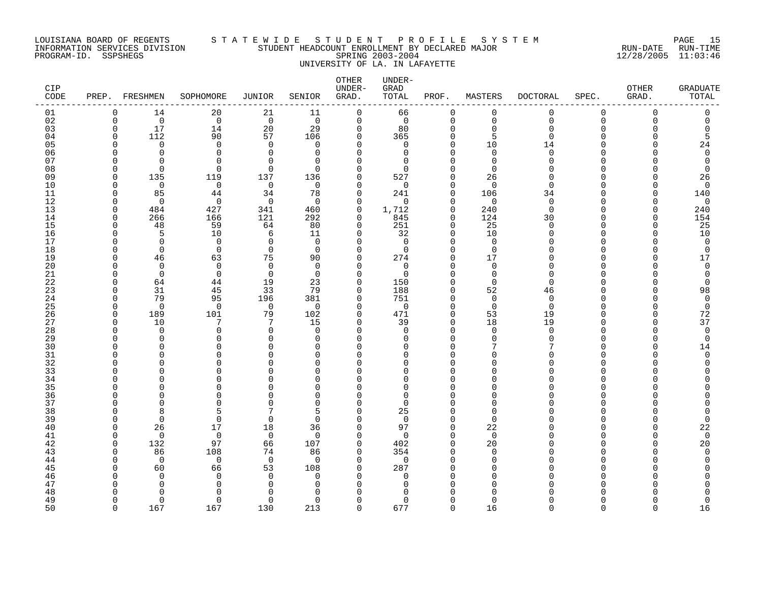# LOUISIANA BOARD OF REGENTS S T A T E W I D E S T U D E N T P R O F I L E S Y S T E M PAGE 15 INFORMATION SERVICES DIVISION STUDENT HEADCOUNT ENROLLMENT BY DECLARED MAJOR RUN-DATE RUN-TIME PROGRAM-ID. SSPSHEGS SPRING 2003-2004 12/28/2005 11:03:46 UNIVERSITY OF LA. IN LAFAYETTE

| CIP<br>CODE |               | PREP. FRESHMEN           | SOPHOMORE            | JUNIOR                | SENIOR               | OTHER<br>UNDER-<br>GRAD. | UNDER-<br>GRAD<br>TOTAL | PROF.                      | MASTERS              | <b>DOCTORAL</b> | SPEC.    | OTHER<br>GRAD. | <b>GRADUATE</b><br>TOTAL |
|-------------|---------------|--------------------------|----------------------|-----------------------|----------------------|--------------------------|-------------------------|----------------------------|----------------------|-----------------|----------|----------------|--------------------------|
| 01          | $\Omega$      | 14                       | 20                   | 21                    | 11                   | $\mathbf 0$              | 66                      | $\mathbf 0$                | 0                    | 0               | 0        | $\Omega$       | $\mathbf 0$              |
| 02          | $\Omega$      | $\Omega$                 | $\overline{0}$       | $\overline{0}$        | $\Omega$             | $\mathbf 0$              | $\overline{0}$          | $\overline{0}$             | $\Omega$             | $\Omega$        | 0        | $\Omega$       | <sup>n</sup>             |
| 03          | $\mathbf 0$   | 17                       | 14                   | 20                    | 29                   | 0                        | 80                      | 0                          | $\mathbf 0$          | $\Omega$        | $\Omega$ |                |                          |
| 04          | <sup>0</sup>  | 112                      | 90                   | 57                    | 106                  | 0                        | 365                     | 0                          | 5                    | <sup>n</sup>    | ∩        |                |                          |
| 05          | U             | $\Omega$                 | $\Omega$             | $\mathbf 0$           | $\Omega$             | $\Omega$                 | $\mathbf 0$             | $\mathbf 0$                | 10                   | 14              | N        |                | 24                       |
| 06          | U             | $\Omega$                 | $\Omega$             | $\Omega$              | $\Omega$             | 0                        | $\mathbf 0$             | $\mathbf 0$                | $\Omega$             | $\Omega$        | U        |                | $\Omega$                 |
| 07          | n<br>$\cap$   | <sup>n</sup><br>$\Omega$ | $\Omega$<br>$\Omega$ | $\Omega$              | $\Omega$<br>$\Omega$ | $\Omega$                 | $\Omega$<br>∩           | $\Omega$<br>$\Omega$       | $\Omega$             | n               | N<br>N   |                | <sup>n</sup><br>$\cap$   |
| 08<br>09    | <sup>0</sup>  | 135                      | 119                  | $\Omega$<br>137       | 136                  | $\Omega$<br>0            | 527                     | 0                          | $\Omega$<br>26       |                 | N        |                | 26                       |
| 10          | $\cap$        | $\Omega$                 | $\mathbf 0$          | $\mathbf 0$           | $\Omega$             | 0                        | 0                       | $\mathbf 0$                | $\Omega$             | $\Omega$        | U        |                | $\Omega$                 |
| 11          | ∩             | 85                       | 44                   | 34                    | 78                   | 0                        | 241                     | $\mathbf 0$                | 106                  | 34              | U        |                | 140                      |
| 12          | ∩             | $\Omega$                 | $\Omega$             | $\Omega$              | $\Omega$             | $\Omega$                 | $\Omega$                | $\Omega$                   | $\Omega$             | $\Omega$        | U        |                | $\Omega$                 |
| 13          | $\Omega$      | 484                      | 427                  | 341                   | 460                  | $\mathbf 0$              | 1,712                   | $\mathbf 0$                | 240                  | $\Omega$        | O        | $\cap$         | 240                      |
| 14          | $\Omega$      | 266                      | 166                  | 121                   | 292                  | 0                        | 845                     | $\mathbf 0$                | 124                  | 30              | $\Omega$ |                | 154                      |
| 15          | $\Omega$      | 48                       | 59                   | 64                    | 80                   | 0                        | 251                     | $\mathbf 0$                | 25                   | $\Omega$        | O        |                | 25                       |
| 16          | ∩             | 5                        | 10                   | 6                     | 11                   | 0                        | 32                      | $\mathbf 0$                | 10                   | U               | U        |                | 10                       |
| 17          |               | $\Omega$                 | $\mathbf 0$          | 0                     | $\Omega$             | $\Omega$                 | $\mathbf 0$             | $\mathbf 0$                | $\Omega$             |                 | O        |                | $\Omega$                 |
| 18          | U             | $\Omega$                 | $\mathbf 0$          | $\mathbf 0$           | $\Omega$             | $\Omega$                 | $\mathbf 0$             | $\mathbf 0$                | $\mathbf 0$          |                 | U        |                | $\Omega$                 |
| 19          | U             | 46                       | 63                   | 75                    | 90                   | 0                        | 274                     | $\mathbf 0$                | 17                   |                 | U        |                | 17                       |
| 20          | U             | $\Omega$                 | $\Omega$             | $\Omega$              | $\Omega$             | $\Omega$                 | $\Omega$                | $\Omega$                   | $\Omega$             | U               | U        |                | $\Omega$                 |
| 21          | O             | $\Omega$                 | $\Omega$             | $\mathbf 0$           | $\Omega$             | 0                        | $\mathbf 0$             | $\Omega$                   | $\Omega$             | U               | O        |                | ∩                        |
| 22          | n             | 64                       | 44                   | 19                    | 23                   | 0                        | 150                     | 0                          | 0                    | <sup>n</sup>    | U        |                | <sup>0</sup>             |
| 23          | U<br>$\Omega$ | 31<br>79                 | 45<br>95             | 33                    | 79                   | 0                        | 188<br>751              | $\mathbf 0$<br>$\mathbf 0$ | 52<br>$\mathbf 0$    | 46<br>$\Omega$  | O<br>U   |                | 98<br>$\mathbf 0$        |
| 24<br>25    | $\Omega$      | $\Omega$                 | $\Omega$             | 196<br>$\overline{0}$ | 381<br>$\Omega$      | 0<br>$\Omega$            | $\Omega$                | $\Omega$                   | $\Omega$             | $\Omega$        | ∩        |                | $\Omega$                 |
| 26          | $\Omega$      | 189                      | 101                  | 79                    | 102                  | $\Omega$                 | 471                     | $\Omega$                   | 53                   | 19              | U        |                | 72                       |
| 27          | <sup>0</sup>  | 10                       | 7                    | 7                     | 15                   | 0                        | 39                      | 0                          | 18                   | 19              | O        |                | 37                       |
| 28          | U             | $\Omega$                 | $\Omega$             | $\Omega$              | $\Omega$             | $\Omega$                 | $\Omega$                | $\Omega$                   | $\Omega$             | $\Omega$        | N        |                | $\Omega$                 |
| 29          | U             | $\Omega$                 | $\Omega$             | $\Omega$              | $\Omega$             | 0                        | O                       | $\mathbf 0$                | $\Omega$             | U               | U        |                | $\Omega$                 |
| 30          |               |                          | ∩                    | $\cap$                | U                    | $\Omega$                 | U                       | $\Omega$                   |                      |                 | N        |                | 14                       |
| 31          | U             | $\cap$                   | $\Omega$             | $\cap$                | $\Omega$             | $\Omega$                 | O                       | $\Omega$                   | $\Omega$             |                 | U        |                | $\Omega$                 |
| 32          |               |                          | ∩                    | U                     | n                    | $\Omega$                 | U                       | $\Omega$                   | $\Omega$             |                 | N        |                |                          |
| 33          |               | ∩                        | $\Omega$             | U                     | $\Omega$             | $\Omega$                 | O                       | $\Omega$                   | $\Omega$             |                 | U        |                |                          |
| 34          |               |                          | $\Omega$             | U                     | $\Omega$             | 0                        | N                       | $\Omega$                   | ∩                    |                 | ∩        |                |                          |
| 35          |               |                          | ∩                    |                       | U                    | O                        | O                       | $\Omega$                   | ∩                    |                 |          |                |                          |
| 36          |               |                          | $\Omega$             | U                     | $\Omega$             | $\Omega$                 | O                       | $\Omega$                   | $\Omega$             |                 | U        |                |                          |
| 37          |               |                          | $\Omega$             | $\cap$                | $\Omega$             | $\Omega$                 | $\Omega$                | $\Omega$                   | $\Omega$<br>$\Omega$ |                 | N<br>∩   |                |                          |
| 38<br>39    | U<br>O        | 8<br>$\Omega$            | 5<br>$\Omega$        | 0                     | 5<br>$\Omega$        | $\Omega$<br>0            | 25<br>$\mathbf 0$       | $\Omega$<br>$\mathbf 0$    | $\Omega$             |                 | O        |                | <sup>0</sup>             |
| 40          | O             | 26                       | 17                   | 18                    | 36                   | 0                        | 97                      | $\mathbf 0$                | 22                   |                 | O        |                | 22                       |
| 41          | $\Omega$      | $\Omega$                 | $\mathbf 0$          | $\overline{0}$        | $\Omega$             | 0                        | $\mathbf 0$             | $\mathbf 0$                | $\Omega$             |                 | U        |                | $\overline{0}$           |
| 42          | $\Omega$      | 132                      | 97                   | 66                    | 107                  | 0                        | 402                     | $\mathbf 0$                | 20                   |                 | U        |                | 20                       |
| 43          | ∩             | 86                       | 108                  | 74                    | 86                   | $\Omega$                 | 354                     | $\Omega$                   | $\Omega$             |                 | ∩        |                |                          |
| 44          | $\cap$        | $\Omega$                 | $\mathbf 0$          | $\mathbf 0$           | $\Omega$             | $\Omega$                 | $\mathbf 0$             | $\Omega$                   | $\Omega$             |                 | N        |                |                          |
| 45          |               | 60                       | 66                   | 53                    | 108                  | 0                        | 287                     | 0                          | $\Omega$             |                 | O        |                |                          |
| 46          |               | $\Omega$                 | $\Omega$             | $\Omega$              | $\Omega$             | $\Omega$                 | $\Omega$                | $\Omega$                   | ∩                    |                 |          |                |                          |
| 47          |               | <sup>0</sup>             | $\Omega$             | ∩                     | <sup>0</sup>         | $\Omega$                 | U                       | $\Omega$                   | ∩                    |                 |          |                |                          |
| 48          |               | ∩                        | ∩                    | ∩                     |                      |                          |                         |                            |                      |                 |          |                |                          |
| 49          | ∩             | $\Omega$                 | $\Omega$             | $\Omega$              | $\Omega$             | $\Omega$                 | O                       | $\Omega$                   | $\Omega$             |                 | U        |                | U                        |
| 50          | $\cap$        | 167                      | 167                  | 130                   | 213                  | $\Omega$                 | 677                     | $\Omega$                   | 16                   | $\cap$          | $\Omega$ | $\Omega$       | 16                       |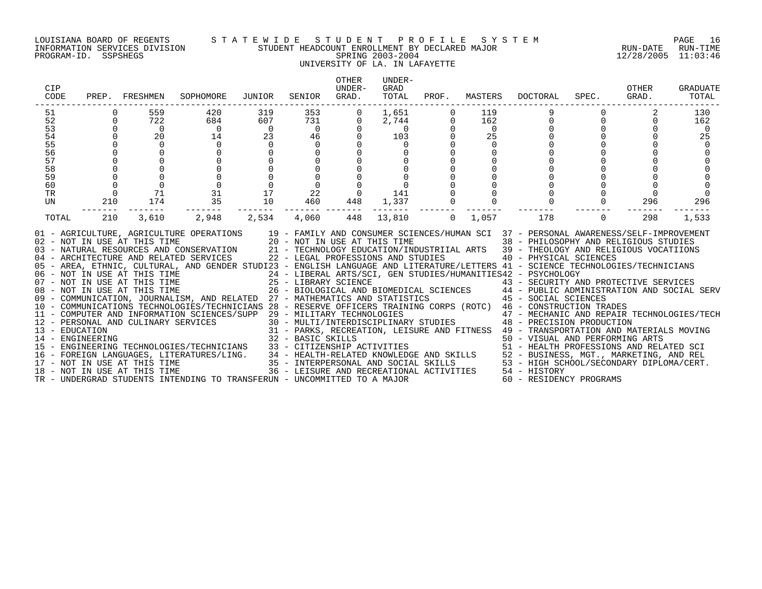#### LOUISIANA BOARD OF REGENTS S T A T E W I D E S T U D E N T P R O F I L E S Y S T E M PAGE 16 INFORMATION SERVICES DIVISION STUDENT HEADCOUNT ENROLLMENT BY DECLARED MAJOR RUN-DATE RUN-TIME PROGRAM-ID. SSPSHEGS SPRING 2003-2004 12/28/2005 11:03:46 UNIVERSITY OF LA. IN LAFAYETTE

# OTHER UNDER-CIP UNDER- GRAD OTHER GRADUATE CODE PREP. FRESHMEN SOPHOMORE JUNIOR SENIOR GRAD. TOTAL PROF. MASTERS DOCTORAL SPEC. GRAD. TOTAL ------------------------------------------------------------------------------------------------------------------------------------ 51 0 559 420 319 353 0 1,651 0 119 9 0 2 130 52 0 722 684 607 731 0 2,744 0 162 0 0 0 162 53 0 0 0 0 0 0 0 0 0 0 0 0 0 54 0 20 14 23 46 0 103 0 25 0 0 0 25 55 0 0 0 0 0 0 0 0 0 0 0 0 0 56 0 0 0 0 0 0 0 0 0 0 0 0 0 57 0 0 0 0 0 0 0 0 0 0 0 0 0 58 0 0 0 0 0 0 0 0 0 0 0 0 0 59 0 0 0 0 0 0 0 0 0 0 0 0 0 60 0 0 0 0 0 0 0 0 0 0 0 0 0 TR 0 71 31 17 22 0 141 0 0 0 0 0 0 UN 210 174 35 10 460 448 1,337 0 0 0 0 296 296 ------- ------- ------- ------- ------- ------- ------- ------- ------- ------- ------- ------- ------- TOTAL 210 3,610 2,948 2,534 4,060 448 13,810 0 1,057 178 0 298 1,533 01 - AGRICULTURE, AGRICULTURE OPERATIONS 19 - FAMILY AND CONSUMER SCIENCES/HUMAN SCI 37 - PERSONAL AWARENESS/SELF-IMPROVEMENT 02 - NOT IN USE AT THIS TIME 20 - NOT IN USE AT THIS TIME 38 - PHILOSOPHY AND RELIGIOUS STUDIES 03 - NATURAL RESOURCES AND CONSERVATION 21 - TECHNOLOGY EDUCATION/INDUSTRIIAL ARTS 39 - THEOLOGY AND RELIGIOUS VOCATIIONS<br>04 - ARCHITECTURE AND RELATED SERVICES 22 - LEGAL PROFESSIONS AND STUDIES 05 - AREA, ETHNIC, CULTURAL, AND GENDER STUDI23 - ENGLISH LANGUAGE AND LITERATURE/LETTERS 41 - SCIENCE TECHNOLOGIES/TECHNICIANS 06 – NOT IN USE AT THIS TIME 24 – LIBERAL ARTS/SCI, GEN STUDIES/HUMANITIES42 – PSYCHOLOGY<br>07 – NOT IN USE AT THIS TIME 25 – LIBRARY SCIENCE 43 – SECURITY AN 08 - NOT IN USE AT THIS TIME 26 - BIOLOGICAL AND BIOMEDICAL SCIENCES 44 - PUBLIC ADMINISTRATION AND SOCIAL SERV 09 - COMMUNICATION, JOURNALISM, AND RELATED 27 - MATHEMATICS AND STATISTICS 45 - SOCIAL SCIENCES 10 - COMMUNICATIONS TECHNOLOGIES/TECHNICIANS 28 - RESERVE OFFICERS TRAINING CORPS (ROTC) 46 - CONSTRUCTION TRADES 11 - COMPUTER AND INFORMATION SCIENCES/SUPP 29 - MILITARY TECHNOLOGIES 47 - MECHANIC AND REPAIR TECHNOLOGIES/TECH 12 - PERSONAL AND CULINARY SERVICES 30 - MULTI/INTERDISCIPLINARY STUDIES 48 - PRECISION PRODUCTION 13 - EDUCATION 31 - PARKS, RECREATION, LEISURE AND FITNESS 49 - TRANSPORTATION AND MATERIALS MOVING 14 - ENGINEERING 32 - BASIC SKILLS 50 - VISUAL AND PERFORMING ARTS 15 - ENGINEERING TECHNOLOGIES/TECHNICIANS 33 - CITIZENSHIP ACTIVITIES 51 - HEALTH PROFESSIONS AND RELATED SCI 16 - FOREIGN LANGUAGES, LITERATURES/LING. 34 - HEALTH-RELATED KNOWLEDGE AND SKILLS 52 - BUSINESS, MGT., MARKETING, AND REL 17 - NOT IN USE AT THIS TIME 35 - INTERPERSONAL AND SOCIAL SKILLS 53 - HIGH SCHOOL/SECONDARY DIPLOMA/CERT. 18 - NOT IN USE AT THIS TIME 36 - LEISURE AND RECREATIONAL ACTIVITIES 54 - HISTORY TR - UNDERGRAD STUDENTS INTENDING TO TRANSFERUN - UNCOMMITTED TO A MAJOR 60 - RESIDENCY PROGRAMS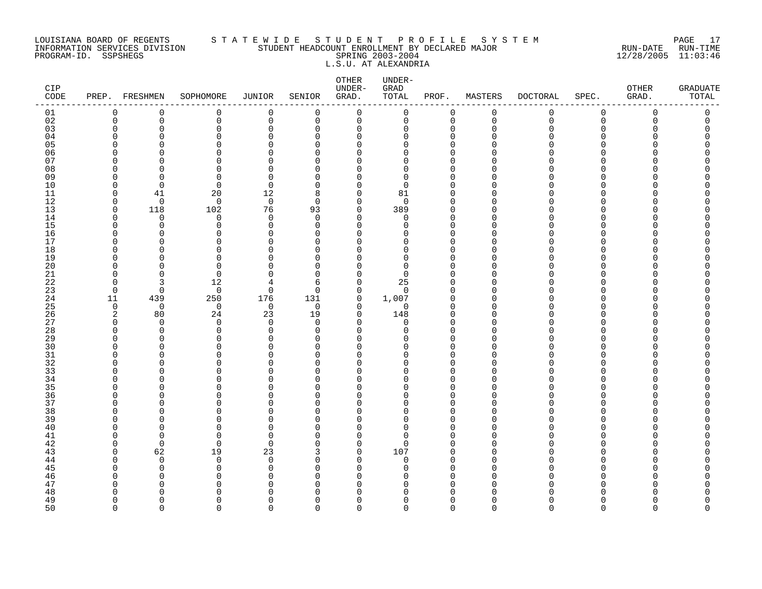#### LOUISIANA BOARD OF REGENTS S T A T E W I D E S T U D E N T P R O F I L E S Y S T E M PAGE 17 INFORMATION SERVICES DIVISION STUDENT HEADCOUNT ENROLLMENT BY DECLARED MAJOR RUN-DATE RUN-TIME PROGRAM-ID. SSPSHEGS SPRING 2003-2004 12/28/2005 11:03:46 L.S.U. AT ALEXANDRIA

| CIP<br>CODE |                      | PREP. FRESHMEN | SOPHOMORE     | <b>JUNIOR</b>        | SENIOR               | ${\small \texttt{OTHER}}$<br>UNDER-<br>GRAD. | UNDER-<br>GRAD<br>TOTAL | PROF.                | MASTERS     | <b>DOCTORAL</b> | SPEC.       | OTHER<br>GRAD. | <b>GRADUATE</b><br>TOTAL |
|-------------|----------------------|----------------|---------------|----------------------|----------------------|----------------------------------------------|-------------------------|----------------------|-------------|-----------------|-------------|----------------|--------------------------|
| 01          | 0                    | $\mathbf 0$    | 0             | $\mathbf 0$          | 0                    | $\mathbf 0$                                  | 0                       | 0                    | $\mathbf 0$ | 0               | 0           | $\Omega$       | 0                        |
| 02          | $\mathbf 0$          | $\mathbf 0$    | 0             | $\mathbf 0$          | 0                    | $\mathbf 0$                                  | 0                       | $\mathbf 0$          | $\mathbf 0$ | $\mathbf 0$     | $\mathbf 0$ | 0              | 0                        |
| 03          | $\mathbf 0$          | 0              | 0             | $\mathbf 0$          | 0                    | 0                                            | 0                       | 0                    | $\Omega$    | U               | $\Omega$    | O              | Λ                        |
| 04          | $\Omega$             | O              | 0             | 0                    | $\Omega$             | 0                                            | 0                       | $\Omega$             | n           |                 | ∩<br>∩      |                |                          |
| 05<br>06    | $\Omega$<br>$\Omega$ | C<br>O         | 0<br>0        | $\Omega$<br>$\Omega$ | $\Omega$<br>$\Omega$ | $\Omega$<br>$\Omega$                         | 0<br>$\Omega$           | $\Omega$<br>$\Omega$ |             |                 | ∩           |                |                          |
| 07          | ∩                    | n              | 0             | $\mathbf 0$          | $\Omega$             | 0                                            | $\Omega$                | $\Omega$             |             |                 |             |                |                          |
| 08          | $\Omega$             | O              | $\Omega$      | $\mathbf 0$          | $\Omega$             | 0                                            | 0                       | $\Omega$             |             |                 | ∩           |                |                          |
| 09          | 0                    | O              | 0             | 0                    | 0                    | 0                                            | 0                       | 0                    |             |                 | ∩           |                |                          |
| 10          | $\mathbf 0$          | $\mathbf 0$    | 0             | $\mathbf 0$          | $\Omega$             | 0                                            | $\mathbf 0$             | $\Omega$             |             |                 | ∩           |                |                          |
| 11          | $\Omega$             | 41             | 20            | 12                   | 8                    | $\mathbf 0$                                  | 81                      | $\mathbf 0$          | n           |                 | ∩           |                |                          |
| 12          | $\Omega$             | $\Omega$       | $\Omega$      | $\mathbf 0$          | $\Omega$             | $\Omega$                                     | $\Omega$                | $\Omega$             | ∩           |                 | ∩           |                |                          |
| 13          | $\mathbf 0$          | 118            | 102           | 76                   | 93                   | $\mathbf 0$                                  | 389                     | $\Omega$             | n           |                 | O           |                |                          |
| 14          | 0                    | $\Omega$       | 0             | $\mathbf 0$          | $\Omega$             | 0                                            | 0                       | $\mathbf 0$          | ∩           |                 | ∩           |                |                          |
| 15          | $\Omega$             | 0              | 0             | $\mathbf 0$          | $\Omega$             | $\Omega$                                     | 0                       | $\Omega$             |             |                 | ∩           |                |                          |
| 16          | $\Omega$             | O              | 0             | $\mathbf 0$          | 0                    | 0                                            | O                       | $\mathbf 0$          | ∩           |                 | ∩           |                |                          |
| 17          | $\Omega$             | O              | $\Omega$      | $\Omega$             | $\Omega$             | $\Omega$                                     | O                       | $\Omega$             |             |                 | ∩           |                |                          |
| 18          | $\Omega$             | C              | 0             | $\Omega$             | 0                    | 0                                            | 0                       | $\Omega$             |             |                 | $\Omega$    |                |                          |
| 19          | $\Omega$<br>$\Omega$ | O<br>O         | 0<br>0        | $\Omega$<br>$\Omega$ | $\Omega$<br>$\Omega$ | 0<br>0                                       | 0<br>0                  | $\Omega$<br>$\Omega$ |             |                 | ∩<br>∩      |                |                          |
| 20<br>21    | $\Omega$             | $\Omega$       | $\mathbf 0$   | $\Omega$             | 0                    | 0                                            | 0                       | $\Omega$             |             |                 | ∩           |                |                          |
| 22          | $\Omega$             | 3              | 12            | 4                    | 6                    | $\mathbf 0$                                  | 25                      | $\Omega$             | ∩           |                 | ∩           |                |                          |
| 23          | $\mathbf 0$          | $\mathbf 0$    | $\mathbf 0$   | $\mathbf 0$          | $\Omega$             | $\mathbf 0$                                  | $\Omega$                | $\Omega$             |             |                 | ∩           |                |                          |
| 24          | 11                   | 439            | 250           | 176                  | 131                  | 0                                            | 1,007                   | 0                    | O           |                 | ∩           |                |                          |
| 25          | 0                    | $\mathbf 0$    | $\mathbf 0$   | $\mathbf 0$          | 0                    | 0                                            | 0                       | 0                    |             |                 | ∩           |                |                          |
| 26          | 2                    | 80             | 24            | 23                   | 19                   | 0                                            | 148                     | $\Omega$             | n           |                 | ∩           |                |                          |
| 27          | ∩                    | $\cap$         | $\mathbf 0$   | $\Omega$             | $\Omega$             | $\Omega$                                     | 0                       | $\mathbf 0$          | ∩           |                 | ∩           |                |                          |
| 28          | $\Omega$             | $\Omega$       | $\mathbf 0$   | $\mathbf 0$          | $\Omega$             | $\Omega$                                     | $\Omega$                | $\Omega$             |             |                 | ∩           |                |                          |
| 29          | $\mathbf 0$          | $\Omega$       | 0             | $\mathbf 0$          | 0                    | 0                                            | 0                       | 0                    |             |                 | ∩           |                |                          |
| 30          | <sup>0</sup>         | O              | 0             | 0                    | 0                    | $\Omega$                                     | O                       | $\Omega$             |             |                 |             |                |                          |
| 31          | $\Omega$             | O              | 0             | 0                    | $\Omega$             | 0                                            | 0                       | $\Omega$             |             |                 | O           |                |                          |
| 32          | $\Omega$<br>$\Omega$ | O<br>$\Omega$  | 0<br>0        | $\Omega$<br>$\Omega$ | $\Omega$<br>$\Omega$ | $\Omega$<br>$\Omega$                         | 0<br>$\Omega$           | $\Omega$<br>$\Omega$ |             |                 | ∩<br>∩      |                |                          |
| 33<br>34    | $\Omega$             | O              | 0             | $\mathbf 0$          | 0                    | 0                                            | O                       | $\Omega$             | ∩           |                 | ∩           |                |                          |
| 35          | <sup>0</sup>         | O              | $\Omega$      | $\Omega$             | $\Omega$             | $\Omega$                                     | O                       | $\Omega$             |             |                 | ∩           |                |                          |
| 36          | $\Omega$             | O              | 0             | $\Omega$             | $\Omega$             | 0                                            | 0                       | $\Omega$             | ∩           |                 | O           |                |                          |
| 37          | $\Omega$             | O              | 0             | $\Omega$             | $\Omega$             | 0                                            | 0                       | $\mathbf 0$          |             |                 | ∩           |                |                          |
| 38          | $\Omega$             | O              | 0             | $\Omega$             | $\Omega$             | $\Omega$                                     | $\Omega$                | $\Omega$             |             |                 | ∩           |                |                          |
| 39          | $\Omega$             | O              | 0             | $\Omega$             | $\Omega$             | $\Omega$                                     | 0                       | $\Omega$             |             |                 | ∩           |                |                          |
| 40          | <sup>0</sup>         | O              | $\Omega$      | $\mathbf 0$          | $\Omega$             | 0                                            | 0                       | $\Omega$             |             |                 | ∩           |                |                          |
| 41          | $\Omega$             | 0              | 0             | $\mathbf 0$          | $\Omega$             | 0                                            | 0                       | $\Omega$             |             |                 | ∩           |                |                          |
| 42          | $\mathbf 0$          | $\overline{0}$ | 0             | $\mathbf 0$          | $\Omega$             | $\mathbf 0$                                  | 0                       | $\mathbf 0$          | n           |                 | ∩           |                |                          |
| 43          | $\Omega$             | 62             | 19            | 23                   | 3                    | $\Omega$                                     | 107                     | $\Omega$             |             |                 |             |                |                          |
| 44          | $\Omega$             | $\Omega$       | $\mathbf 0$   | $\mathbf 0$          | $\Omega$             | $\Omega$                                     | 0                       | $\Omega$             | n           |                 | ∩           |                |                          |
| 45          | $\Omega$             | 0              | 0             | $\mathbf 0$          | 0                    | 0                                            | 0                       | $\Omega$             |             |                 | $\Omega$    |                |                          |
| 46<br>47    | $\Omega$<br>$\Omega$ | 0<br>O         | 0<br>$\Omega$ | 0<br>$\Omega$        | $\Omega$<br>$\Omega$ | 0<br>0                                       | O<br>0                  | $\Omega$<br>$\Omega$ | ∩           |                 | ∩<br>∩      |                |                          |
| 48          | ∩                    | n              | <sup>n</sup>  | $\Omega$             | ∩                    | $\Omega$                                     | U                       | $\Omega$             |             |                 |             |                |                          |
| 49          | $\Omega$             | O              | 0             | $\Omega$             | $\Omega$             | $\Omega$                                     | 0                       | $\mathbf 0$          |             |                 | ∩           |                | ი                        |
| 50          | $\Omega$             | $\Omega$       | $\Omega$      | $\Omega$             | $\Omega$             | $\Omega$                                     | $\Omega$                | $\Omega$             | $\cap$      | $\cap$          | $\Omega$    | $\Omega$       | $\cap$                   |
|             |                      |                |               |                      |                      |                                              |                         |                      |             |                 |             |                |                          |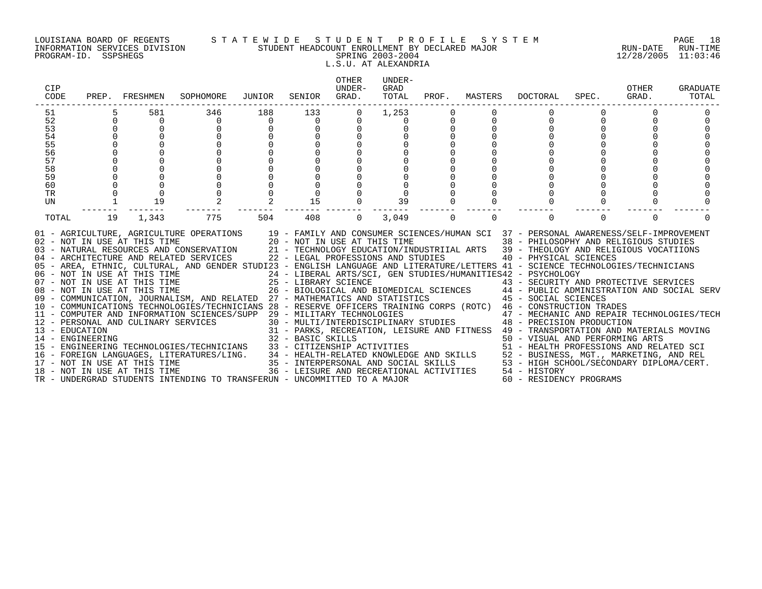#### LOUISIANA BOARD OF REGENTS S T A T E W I D E S T U D E N T P R O F I L E S Y S T E M PAGE 18 INFORMATION SERVICES DIVISION STUDENT HEADCOUNT ENROLLMENT BY DECLARED MAJOR RUN-DATE RUN-TIME PROGRAM-ID. SSPSHEGS SPRING 2003-2004 12/28/2005 11:03:46 L.S.U. AT ALEXANDRIA

| CIP<br>CODE     |             | PREP. FRESHMEN               | SOPHOMORE                                                                                                                                                                                                                                                                                                                                                                                                                                                                                                                                                                                                                                                                                                                                                                                                                                                                                                                                                                                                                                                                                                                                                                                                                                                 | JUNIOR         | SENIOR   | OTHER<br>UNDER-<br>GRAD. | UNDER-<br>GRAD<br>TOTAL |           | PROF. MASTERS | DOCTORAL                                                                                                                                                                                                                                                                                                                                                                                                                                       | SPEC.    | OTHER<br>GRAD. | <b>GRADUATE</b><br>TOTAL |
|-----------------|-------------|------------------------------|-----------------------------------------------------------------------------------------------------------------------------------------------------------------------------------------------------------------------------------------------------------------------------------------------------------------------------------------------------------------------------------------------------------------------------------------------------------------------------------------------------------------------------------------------------------------------------------------------------------------------------------------------------------------------------------------------------------------------------------------------------------------------------------------------------------------------------------------------------------------------------------------------------------------------------------------------------------------------------------------------------------------------------------------------------------------------------------------------------------------------------------------------------------------------------------------------------------------------------------------------------------|----------------|----------|--------------------------|-------------------------|-----------|---------------|------------------------------------------------------------------------------------------------------------------------------------------------------------------------------------------------------------------------------------------------------------------------------------------------------------------------------------------------------------------------------------------------------------------------------------------------|----------|----------------|--------------------------|
| 51              |             | 581                          | 346                                                                                                                                                                                                                                                                                                                                                                                                                                                                                                                                                                                                                                                                                                                                                                                                                                                                                                                                                                                                                                                                                                                                                                                                                                                       | 188            | 133      | 0                        | 1,253                   |           |               |                                                                                                                                                                                                                                                                                                                                                                                                                                                |          |                |                          |
| 52              | $\mathbf 0$ | $\overline{0}$               | $\overline{0}$                                                                                                                                                                                                                                                                                                                                                                                                                                                                                                                                                                                                                                                                                                                                                                                                                                                                                                                                                                                                                                                                                                                                                                                                                                            | $\overline{0}$ | $\Omega$ | 0                        | $\Omega$                | 0         | $\Omega$      | 0                                                                                                                                                                                                                                                                                                                                                                                                                                              |          |                |                          |
| 53              |             |                              |                                                                                                                                                                                                                                                                                                                                                                                                                                                                                                                                                                                                                                                                                                                                                                                                                                                                                                                                                                                                                                                                                                                                                                                                                                                           |                | 0        |                          |                         | $\pmb{0}$ |               |                                                                                                                                                                                                                                                                                                                                                                                                                                                |          |                |                          |
| 54              |             |                              |                                                                                                                                                                                                                                                                                                                                                                                                                                                                                                                                                                                                                                                                                                                                                                                                                                                                                                                                                                                                                                                                                                                                                                                                                                                           |                |          |                          |                         |           |               |                                                                                                                                                                                                                                                                                                                                                                                                                                                |          |                |                          |
| 55              |             |                              |                                                                                                                                                                                                                                                                                                                                                                                                                                                                                                                                                                                                                                                                                                                                                                                                                                                                                                                                                                                                                                                                                                                                                                                                                                                           |                |          |                          |                         |           |               |                                                                                                                                                                                                                                                                                                                                                                                                                                                |          |                |                          |
| 56              |             |                              |                                                                                                                                                                                                                                                                                                                                                                                                                                                                                                                                                                                                                                                                                                                                                                                                                                                                                                                                                                                                                                                                                                                                                                                                                                                           |                |          |                          |                         |           |               |                                                                                                                                                                                                                                                                                                                                                                                                                                                |          |                |                          |
| 57              |             |                              |                                                                                                                                                                                                                                                                                                                                                                                                                                                                                                                                                                                                                                                                                                                                                                                                                                                                                                                                                                                                                                                                                                                                                                                                                                                           |                |          |                          |                         |           |               |                                                                                                                                                                                                                                                                                                                                                                                                                                                |          |                |                          |
| 58              |             |                              |                                                                                                                                                                                                                                                                                                                                                                                                                                                                                                                                                                                                                                                                                                                                                                                                                                                                                                                                                                                                                                                                                                                                                                                                                                                           |                |          |                          |                         |           |               |                                                                                                                                                                                                                                                                                                                                                                                                                                                |          |                |                          |
| 59              |             |                              |                                                                                                                                                                                                                                                                                                                                                                                                                                                                                                                                                                                                                                                                                                                                                                                                                                                                                                                                                                                                                                                                                                                                                                                                                                                           |                |          |                          |                         |           |               |                                                                                                                                                                                                                                                                                                                                                                                                                                                |          |                |                          |
| 60<br><b>TR</b> |             |                              |                                                                                                                                                                                                                                                                                                                                                                                                                                                                                                                                                                                                                                                                                                                                                                                                                                                                                                                                                                                                                                                                                                                                                                                                                                                           |                |          |                          |                         |           |               |                                                                                                                                                                                                                                                                                                                                                                                                                                                |          |                |                          |
| UN              |             | 19                           |                                                                                                                                                                                                                                                                                                                                                                                                                                                                                                                                                                                                                                                                                                                                                                                                                                                                                                                                                                                                                                                                                                                                                                                                                                                           |                | 15       |                          | 39                      |           |               |                                                                                                                                                                                                                                                                                                                                                                                                                                                |          |                |                          |
|                 |             |                              |                                                                                                                                                                                                                                                                                                                                                                                                                                                                                                                                                                                                                                                                                                                                                                                                                                                                                                                                                                                                                                                                                                                                                                                                                                                           |                |          |                          |                         |           |               |                                                                                                                                                                                                                                                                                                                                                                                                                                                |          |                |                          |
| TOTAL           | 19          | 1,343                        | 775                                                                                                                                                                                                                                                                                                                                                                                                                                                                                                                                                                                                                                                                                                                                                                                                                                                                                                                                                                                                                                                                                                                                                                                                                                                       | 504            | 408      | $\Omega$                 | 3,049                   | $\Omega$  | $\Omega$      | $\Omega$                                                                                                                                                                                                                                                                                                                                                                                                                                       | $\Omega$ | $\Omega$       |                          |
|                 |             | 18 - NOT IN USE AT THIS TIME | 01 - AGRICULTURE, AGRICULTURE OPERATIONS 19 - FAMILY AND CONSUMER SCIENCES/HUMAN SCI 37 - PERSONAL AWARENESS/SELF-IMPROVEMENT<br>02 – NOT IN USE AT THIS TIME $20 - NOT IN USE AT THIS TIME$<br>03 – NATURAL RESOURCES AND CONSERVATION $21 - TECHNOLOGY EDUCATION/INL$<br>04 - ARCHITECTURE AND RELATED SERVICES<br>05 - AREA, ETHNIC, CULTURAL, AND GENDER STUDI23 - ENGLISH LANGUAGE AND LITERATURE/LETTERS 41 - SCIENCE TECHNOLOGIES/TECHNICIANS<br>06 - NOT IN USE AT THIS TIME<br>07 - NOT IN USE AT THIS TIME<br>08 - NOT IN USE AT THIS TIME<br>08 - NOT IN USE AT THIS TIME<br>26 - BIOLOGICAL AND P<br>07 - NOT IN USE AT THIS TIME<br>25 - LIBRARY SCIENCE<br>26 - BIOLOGICAL AND BIOMEDICAL SCIENCES<br>26 - BIOLOGICAL AND BIOMEDICAL SCIENCES<br>26 - BIOLOGICAL AND BIOMEDICAL SCIENCES<br>26 - BIOLOGICAL AND BIOMEDICAL SCIENCES<br>26 - B<br>11 - COMPUTER AND INFORMATION SCIENCES/SUPP 29 - MILITARY TECHNOLOGIES<br>11 - COMPUTER AND INFORMATION AND CULINARY SERVICES 30 - MULTI/INTERDISCIPLINARY STUDIES<br>13 - PERSONAL AND CULINARY SERVICES 31 - PARKS, RECREATION, LEISURE AND FITNESS 49 - TRANSPORTATION AND MATERIALS MOVING<br>14 - ENGINEE<br>TR - UNDERGRAD STUDENTS INTENDING TO TRANSFERUN - UNCOMMITTED TO A MAJOR |                |          |                          |                         |           |               | 38 - PHILOSOPHY AND RELIGIOUS STUDIES<br>21 - TECHNOLOGY EDUCATION/INDUSTRIIAL ARTS 39 - THEOLOGY AND RELIGIOUS VOCATIIONS<br>22 - LEGAL PROFESSIONS AND STUDIES 40 - PHYSICAL SCIENCES<br>24 - LIBERAL ARTS/SCI, GEN STUDIES/HUMANITIES42 - PSYCHOLOGY<br>29 - MILITARY TECHNOLOGIES<br>30 - MULTI/INTERDISCIPLINARY STUDIES<br>48 - PRECISION PRODUCTION<br>36 - LEISURE AND RECREATIONAL ACTIVITIES 54 - HISTORY<br>60 - RESIDENCY PROGRAMS |          |                |                          |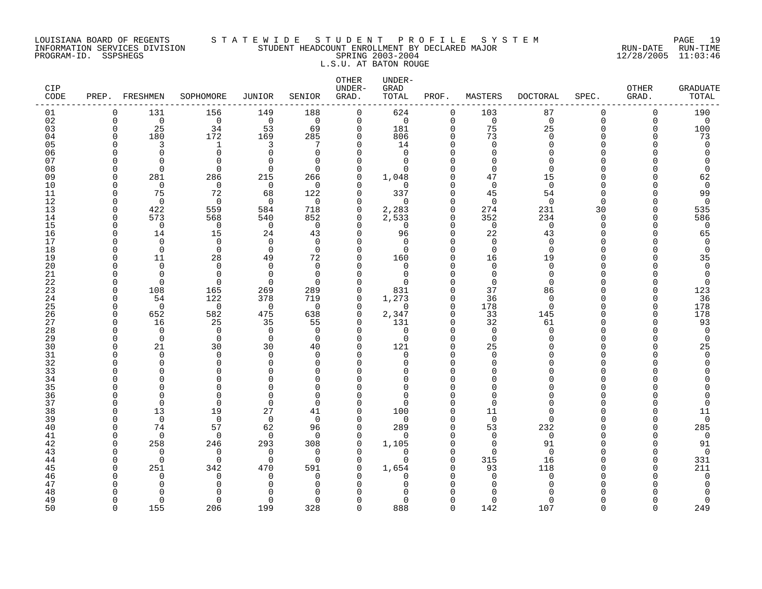# LOUISIANA BOARD OF REGENTS S T A T E W I D E S T U D E N T P R O F I L E S Y S T E M PAGE 19 INFORMATION SERVICES DIVISION STUDENT HEADCOUNT ENROLLMENT BY DECLARED MAJOR RUN-DATE RUN-TIME PROGRAM-ID. SSPSHEGS SPRING 2003-2004 12/28/2005 11:03:46 L.S.U. AT BATON ROUGE

| CIP<br>CODE | PREP.                    | FRESHMEN        | SOPHOMORE       | JUNIOR             | SENIOR          | OTHER<br>UNDER-<br>GRAD. | UNDER-<br>GRAD<br>TOTAL | PROF.                   | MASTERS              | <b>DOCTORAL</b> | SPEC.       | OTHER<br>GRAD. | <b>GRADUATE</b><br>TOTAL |
|-------------|--------------------------|-----------------|-----------------|--------------------|-----------------|--------------------------|-------------------------|-------------------------|----------------------|-----------------|-------------|----------------|--------------------------|
| 01          | 0                        | 131             | 156             | 149                | 188             | $\mathbf 0$              | 624                     | $\mathbf 0$             | 103                  | 87              | $\mathbf 0$ | 0              | 190                      |
| 02          | $\Omega$                 | $\mathbf 0$     | $\mathbf 0$     | $\mathbf 0$        | $\Omega$        | $\mathbf 0$              | $\mathbf 0$             | $\Omega$                | $\mathbf 0$          | $\mathbf 0$     | $\Omega$    | $\Omega$       | $\mathbf 0$              |
| 03          | $\Omega$                 | 25              | 34              | 53                 | 69              | 0                        | 181                     | $\Omega$                | 75                   | 25              | $\Omega$    | $\Omega$       | 100                      |
| 04          | $\Omega$                 | 180             | 172             | 169                | 285             | 0                        | 806                     | $\Omega$                | 73                   | $\Omega$        | ∩           | ∩              | 73                       |
| 05          | $\Omega$                 | 3               | 1               | 3                  | 7               | $\Omega$                 | 14                      | $\Omega$                | $\Omega$             | $\Omega$        | $\cap$      |                | $\mathbf 0$              |
| 06          | $\Omega$                 | $\Omega$        | $\mathbf 0$     | $\Omega$           | $\Omega$        | $\Omega$                 | $\Omega$                | $\Omega$                | $\Omega$             | ∩               | ∩           |                | $\Omega$                 |
| 07          | ∩                        | $\cap$          | $\Omega$        | $\Omega$           | $\Omega$        | $\Omega$                 | $\Omega$                | $\Omega$                | $\Omega$             | ∩               | ∩           |                | U                        |
| 08<br>09    | $\Omega$<br>$\Omega$     | $\Omega$<br>281 | $\Omega$<br>286 | $\Omega$<br>215    | $\Omega$        | $\Omega$<br>0            | $\Omega$                | $\Omega$<br>$\Omega$    | $\Omega$<br>47       | $\Omega$<br>15  | ∩<br>∩      |                | $\Omega$<br>62           |
| 10          | $\Omega$                 | $\mathbf 0$     | $\mathbf 0$     | $\mathbf 0$        | 266<br>$\Omega$ | $\Omega$                 | 1,048<br>$\mathbf 0$    | $\Omega$                | $\mathbf 0$          | $\Omega$        | $\Omega$    |                | $\mathbf 0$              |
| 11          | $\Omega$                 | 75              | 72              | 68                 | 122             | 0                        | 337                     | $\Omega$                | 45                   | 54              | ∩           |                | 99                       |
| 12          | <sup>0</sup>             | $\Omega$        | 0               | 0                  | $\Omega$        | $\Omega$                 | 0                       | $\Omega$                | $\Omega$             | $\Omega$        | ∩           |                | 0                        |
| 13          | $\Omega$                 | 422             | 559             | 584                | 718             | 0                        | 2,283                   | $\Omega$                | 274                  | 231             | 30          | O              | 535                      |
| 14          | $\Omega$                 | 573             | 568             | 540                | 852             | 0                        | 2,533                   | 0                       | 352                  | 234             | $\Omega$    | ∩              | 586                      |
| 15          | $\Omega$                 | $\mathbf 0$     | 0               | $\mathbf 0$        | $\Omega$        | $\Omega$                 | $\mathbf 0$             | $\Omega$                | $\Omega$             | $\Omega$        | $\Omega$    | U              | 0                        |
| 16          | $\Omega$                 | 14              | 15              | 24                 | 43              | 0                        | 96                      | $\Omega$                | 22                   | 43              | ∩           |                | 65                       |
| 17          |                          | $\Omega$        | $\Omega$        | $\Omega$           | $\Omega$        | $\Omega$                 | $\Omega$                | $\Omega$                | $\Omega$             | $\Omega$        | ∩           |                | $\Omega$                 |
| 18          | $\Omega$                 | $\overline{0}$  | $\mathbf 0$     | $\Omega$           | $\Omega$        | $\Omega$                 | $\Omega$                | $\Omega$                | $\Omega$             | $\Omega$        | ∩           |                | $\mathbf 0$              |
| 19          | $\Omega$                 | 11              | 28              | 49                 | 72              | 0                        | 160                     | $\Omega$                | 16                   | 19              | $\cap$      |                | 35                       |
| 20          | $\Omega$                 | $\Omega$        | $\Omega$        | $\Omega$           | $\Omega$        | $\Omega$                 | $\Omega$                | $\Omega$                | $\Omega$             | $\Omega$        | ∩           |                | $\Omega$                 |
| 21          | ∩                        | $\Omega$        | $\Omega$        | $\Omega$           | $\Omega$        | $\Omega$                 | $\Omega$                | $\Omega$                | $\cap$               | $\Omega$        | ∩           |                | $\Omega$                 |
| 22          | $\Omega$                 | $\Omega$        | $\Omega$        | $\Omega$           | $\Omega$        | $\Omega$                 | U                       | $\Omega$                | $\Omega$             | $\Omega$        | ∩           |                | $\Omega$                 |
| 23          | $\Omega$                 | 108             | 165             | 269                | 289             | $\Omega$                 | 831                     | $\Omega$                | 37                   | 86              | $\Omega$    |                | 123                      |
| 24          | $\Omega$                 | 54              | 122             | 378                | 719             | 0                        | 1,273                   | 0                       | 36                   | $\Omega$        | ∩           |                | 36                       |
| 25          | $\Omega$<br>$\Omega$     | $\overline{0}$  | 0               | $\mathbf 0$        | $\Omega$        | 0<br>0                   | 0                       | $\mathbf 0$<br>$\Omega$ | 178                  | $\Omega$        | ∩<br>∩      | U<br>$\Omega$  | 178<br>178               |
| 26<br>27    | $\Omega$                 | 652<br>16       | 582<br>25       | 475<br>35          | 638<br>55       | 0                        | 2,347<br>131            | $\mathbf 0$             | 33<br>32             | 145<br>61       | ∩           | ∩              | 93                       |
| 28          | $\Omega$                 | $\mathbf 0$     | 0               | $\mathbf 0$        | 0               | $\Omega$                 | 0                       | $\Omega$                | $\mathbf 0$          | $\Omega$        | ∩           |                | 0                        |
| 29          | $\Omega$                 | $\mathbf 0$     | $\Omega$        | $\mathbf 0$        | $\Omega$        | $\Omega$                 | 0                       | $\Omega$                | $\Omega$             | ∩               | ∩           |                | $\mathbf 0$              |
| 30          | $\Omega$                 | 21              | 30              | 30                 | 40              | $\Omega$                 | 121                     | $\Omega$                | 25                   |                 | ∩           |                | 25                       |
| 31          | $\Omega$                 | $\Omega$        | $\Omega$        | $\Omega$           | $\Omega$        | $\Omega$                 | 0                       | $\Omega$                | $\Omega$             |                 | ∩           |                | $\Omega$                 |
| 32          | $\Omega$                 | $\Omega$        | $\Omega$        | $\Omega$           | $\Omega$        | $\Omega$                 | $\Omega$                | $\Omega$                | $\Omega$             |                 | ∩           |                | O                        |
| 33          |                          | n               | 0               | $\Omega$           | ∩               | ∩                        | O                       | $\Omega$                | $\cap$               |                 | ∩           |                |                          |
| 34          |                          | n               | 0               | $\Omega$           | $\Omega$        | $\Omega$                 | $\Omega$                | $\Omega$                | $\cap$               |                 | ∩           |                |                          |
| 35          |                          | n               | $\Omega$        | $\Omega$           | $\Omega$        | $\Omega$                 | $\Omega$                | $\Omega$                |                      |                 | ∩           |                |                          |
| 36          | $\Omega$                 | $\bigcap$       | $\Omega$        | $\Omega$           | $\Omega$        | $\Omega$                 | $\Omega$                | $\Omega$                | $\cap$               |                 | ∩           |                | U                        |
| 37          | $\Omega$                 | $\overline{0}$  | $\mathbf 0$     | $\mathbf 0$        | $\Omega$        | 0                        | 0                       | $\Omega$                | $\Omega$             |                 | ∩           |                | $\Omega$                 |
| 38          | $\Omega$                 | 13              | 19              | 27                 | 41              | $\Omega$                 | 100                     | $\Omega$                | 11                   |                 | ∩           |                | 11                       |
| 39          | $\Omega$                 | $\mathbf 0$     | $\mathbf 0$     | $\mathbf 0$        | $\mathbf 0$     | 0                        | $\mathbf 0$             | $\Omega$                | $\mathbf 0$          | $\Omega$        | ∩           |                | 0                        |
| 40          | ∩                        | 74              | 57              | 62                 | 96              | $\Omega$                 | 289                     | $\Omega$                | 53                   | 232             | ∩           |                | 285                      |
| 41          | $\Omega$                 | $\Omega$        | $\mathbf 0$     | $\Omega$           | $\Omega$        | $\Omega$                 | $\Omega$                | $\Omega$                | $\Omega$<br>$\Omega$ | $\Omega$        | ∩<br>∩      |                | 0                        |
| 42          | <sup>0</sup><br>$\Omega$ | 258<br>$\Omega$ | 246<br>0        | 293<br>$\mathbf 0$ | 308<br>$\Omega$ | 0<br>$\Omega$            | 1,105<br>$\Omega$       | $\Omega$<br>$\Omega$    | $\Omega$             | 91<br>$\Omega$  | $\cap$      |                | 91<br>$\mathbf 0$        |
| 43<br>44    | $\Omega$                 | $\mathbf 0$     | $\mathbf 0$     | $\mathbf 0$        | $\Omega$        | 0                        | $\mathbf 0$             | $\mathbf 0$             | 315                  | 16              | ∩           | U              | 331                      |
| 45          |                          | 251             | 342             | 470                | 591             | $\Omega$                 | 1,654                   | $\Omega$                | 93                   | 118             |             |                | 211                      |
| 46          |                          | $\Omega$        | $\Omega$        | $\Omega$           | $\Omega$        | ∩                        | $\Omega$                | $\Omega$                | $\cap$               | $\Omega$        | ∩           |                | $\mathbf 0$              |
| 47          |                          | $\cap$          | 0               | $\Omega$           | 0               | ∩                        | O                       | $\Omega$                | n                    |                 |             |                | 0                        |
| 48          |                          | $\cap$          | $\Omega$        |                    | ∩               |                          | $\Omega$                |                         |                      |                 |             |                | 0                        |
| 49          | $\Omega$                 | $\Omega$        | $\Omega$        | $\Omega$           | $\Omega$        | $\Omega$                 | 0                       | $\Omega$                | $\Omega$             | ∩               | ∩           |                | 0                        |
| 50          | $\cap$                   | 155             | 206             | 199                | 328             | $\Omega$                 | 888                     | $\cap$                  | 142                  | 107             | $\cap$      |                | 249                      |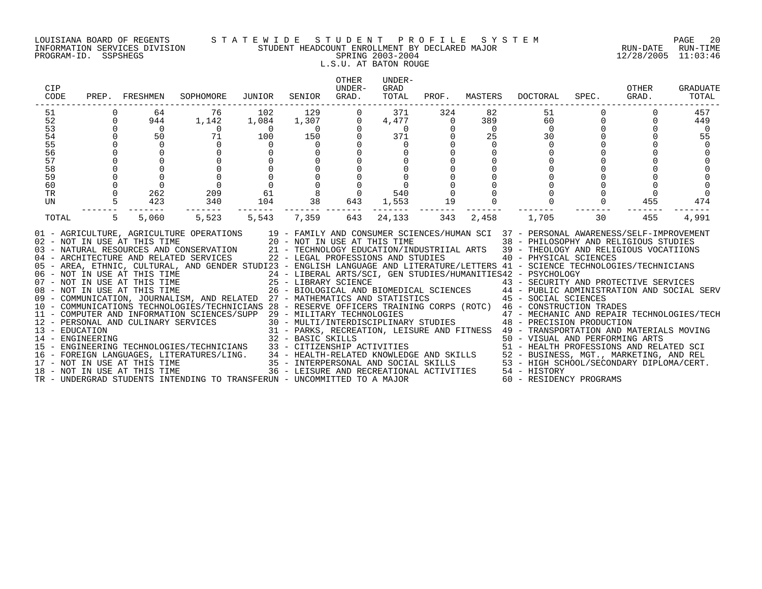# LOUISIANA BOARD OF REGENTS S T A T E W I D E S T U D E N T P R O F I L E S Y S T E M PAGE 20 INFORMATION SERVICES DIVISION STUDENT HEADCOUNT ENROLLMENT BY DECLARED MAJOR RUN-DATE RUN-TIME PROGRAM-ID. SSPSHEGS SPRING 2003-2004 12/28/2005 11:03:46 L.S.U. AT BATON ROUGE

| CIP<br>CODE                                                          |          | PREP. FRESHMEN                                                                                            | SOPHOMORE                                                                                                                                                                                                                                                                                                                                                                                                                                                                                                                                                                                                                                                                                                                                                                                                                            | JUNIOR                                                                                                                                                                | SENIOR                                                                                                 | OTHER<br>UNDER-<br>GRAD.                                          | UNDER-<br>GRAD<br>TOTAL                                     |                                                                       |                                                                          | PROF. MASTERS DOCTORAL                                         | SPEC.                | OTHER<br>GRAD.              | GRADUATE<br>TOTAL                                           |
|----------------------------------------------------------------------|----------|-----------------------------------------------------------------------------------------------------------|--------------------------------------------------------------------------------------------------------------------------------------------------------------------------------------------------------------------------------------------------------------------------------------------------------------------------------------------------------------------------------------------------------------------------------------------------------------------------------------------------------------------------------------------------------------------------------------------------------------------------------------------------------------------------------------------------------------------------------------------------------------------------------------------------------------------------------------|-----------------------------------------------------------------------------------------------------------------------------------------------------------------------|--------------------------------------------------------------------------------------------------------|-------------------------------------------------------------------|-------------------------------------------------------------|-----------------------------------------------------------------------|--------------------------------------------------------------------------|----------------------------------------------------------------|----------------------|-----------------------------|-------------------------------------------------------------|
| 51<br>52<br>53<br>54<br>55<br>56<br>57<br>58<br>59<br>60<br>TR<br>UN | $\Omega$ | 64<br>944<br>$\overline{0}$<br>50<br>$\Omega$<br>$\mathsf{O}$<br>$\Omega$<br>$\overline{0}$<br>262<br>423 | 76<br>1,142<br>$\frac{14}{2}$<br>$\overline{0}$<br>$\begin{matrix}0\\0\\0\\0\end{matrix}$<br>209<br>340                                                                                                                                                                                                                                                                                                                                                                                                                                                                                                                                                                                                                                                                                                                              | 102<br>1,084<br>$\begin{array}{c} 0 \\ 100 \end{array}$<br>$\overline{0}$<br>$\begin{matrix} 0 \\ 0 \\ 0 \\ 0 \end{matrix}$<br>$\begin{matrix}0\\61\\104\end{matrix}$ | $\begin{array}{c} 129 \\ 1,307 \\ 0 \\ 150 \end{array}$<br>$\overline{0}$<br>$\overline{0}$<br>8<br>38 | $\mathbf 0$<br>$\overline{0}$<br>$\circ$<br>$\overline{0}$<br>643 | 371<br>4,477<br>$\frac{47}{37}$<br>$\Omega$<br>540<br>1,553 | 324<br>$\overline{0}$<br>$\mathbf 0$<br>$\Omega$<br>$\mathbf 0$<br>19 | 82<br>389<br>$\overline{0}$<br>25<br>$\Omega$<br>$\mathbf 0$<br>$\Omega$ | 51<br>60<br>$\Omega$<br>30<br>$\overline{0}$<br>$\overline{0}$ | $\Omega$<br>$\Omega$ | $\Omega$<br>$\Omega$<br>455 | 457<br>449<br>$\overline{0}$<br>55<br>$\overline{0}$<br>474 |
| TOTAL                                                                | 5        | 5,060                                                                                                     | 5,523<br>01 - AGRICULTURE, AGRICULTURE OPERATIONS 19 - FAMILY AND CONSUMER SCIENCES/HUMAN SCI 37 - PERSONAL AWARENESS/SELF-IMPROVEMENT<br>02 - NOT IN USE AT THIS TIME 20 - NOT IN USE AT THIS TIME 38 - PHILOSOPHY AND RELIGIOUS STUDIES<br>03 - NATURAL RESOURCES AND CONSERVATION 21 - TECHNOLOGY EDUCATION/INDUSTRIIAL ARTS 39 - THEOLOGY AND RELIGIOUS VOCATIIONS<br>04 - ARCHITECTURE AND RELATED SERVICES 22 - LEGAL PROFESSIONS AND STUDIES<br>05 - AREA, ETHNIC, CULTURAL, AND GENDER STUDI23 - ENGLISH LANGUAGE AND LITERATURE/LETTERS 41 - SCIENCE TECHNOLOGIES/TECHNICIANS<br>07 - NOT IN USE AT THIS TIME<br>25 - LIBRARY SCIENCE<br>26 - BIOLOGICAL AND BIOMEDICAL SCIENCES<br>26 - BIOLOGICAL AND BIOMEDICAL SCIENCES<br>26 - BIOLOGICAL AND BIOMEDICAL SCIENCES<br>26 - BIOLOGICAL AND BIOMEDICAL SCIENCES<br>26 - B | 5,543                                                                                                                                                                 | -------- --<br>7,359                                                                                   | 643                                                               | 24,133                                                      | 343                                                                   | 2,458                                                                    | 1,705<br>40 - PHYSICAL SCIENCES                                | 30                   | 455                         | 4,991                                                       |
|                                                                      |          |                                                                                                           | - CONSTRUCTION TRADES<br>12 - PERSONAL AND CULINARY SERVICES 30 - MULTI/INTERPOLOGIES<br>30 - MULTI/INTERPOLOGIES 31 - PARKS, RECREATION, LEISURE AND FITNESS 47 - MECHANIC AND REPAIR TECHNOLOGIES/TECH<br>32 - BASIC SKILLS<br>32 -<br>32 - BASIC SKILLS<br>32 - BASIC SKILLS<br>32 - BASIC SKILLS<br>50 - VISUAL AND PERFORMING ARTS<br>51 - HEALTH PROFESSIONS AND RELATED SCI<br>51 - HEALTH PROFESSIONS AND RELATED SCI<br>34 - HEALTH-RELATED KNOWLEDGE AND SKILLS<br>35 - INT<br>TR - UNDERGRAD STUDENTS INTENDING TO TRANSFERUN - UNCOMMITTED TO A MAJOR                                                                                                                                                                                                                                                                    |                                                                                                                                                                       |                                                                                                        |                                                                   |                                                             |                                                                       |                                                                          | 60 - RESIDENCY PROGRAMS                                        |                      |                             |                                                             |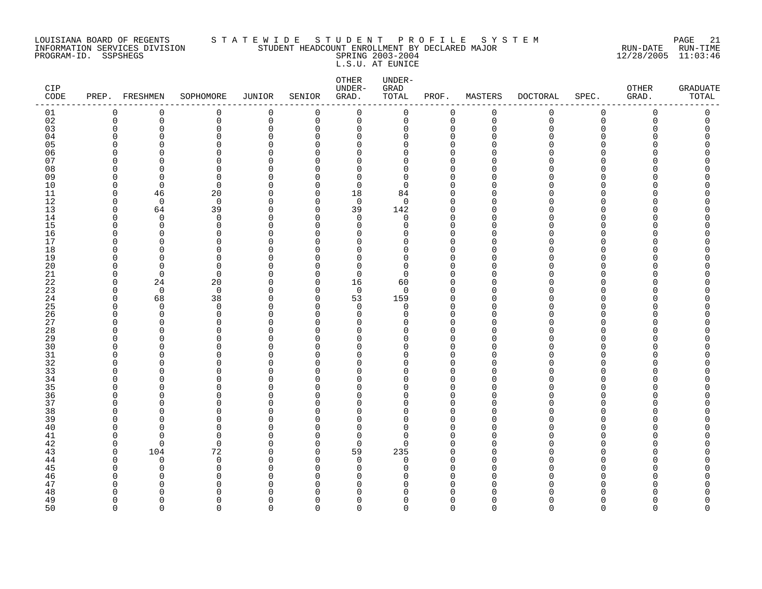# LOUISIANA BOARD OF REGENTS S T A T E W I D E S T U D E N T P R O F I L E S Y S T E M PAGE 21 INFORMATION SERVICES DIVISION STUDENT HEADCOUNT ENROLLMENT BY DECLARED MAJOR RUN-DATE RUN-TIME PROGRAM-ID. SSPSHEGS SPRING 2003-2004 12/28/2005 11:03:46 L.S.U. AT EUNICE

| CIP<br>$\texttt{CODE}$ | PREP.                   | FRESHMEN                | SOPHOMORE         | JUNIOR                  | SENIOR               | OTHER<br>UNDER-<br>GRAD. | UNDER-<br>GRAD<br>TOTAL | PROF.                | MASTERS     | DOCTORAL    | SPEC.       | OTHER<br>GRAD. | <b>GRADUATE</b><br>TOTAL |
|------------------------|-------------------------|-------------------------|-------------------|-------------------------|----------------------|--------------------------|-------------------------|----------------------|-------------|-------------|-------------|----------------|--------------------------|
| 01                     | 0                       | 0                       | 0                 | 0                       | 0                    | $\mathbf 0$              | 0                       | 0                    | $\mathbf 0$ | 0           | $\mathbf 0$ | 0              | 0                        |
| 02                     | $\mathbf 0$             | 0                       | 0                 | 0                       | 0                    | 0                        | 0                       | 0                    | $\mathbf 0$ | $\mathbf 0$ | $\mathbf 0$ | 0              | 0                        |
| 03                     | 0                       | 0                       | 0                 | $\mathbf 0$             | 0                    | 0                        | 0                       | 0                    | $\Omega$    | U           | $\Omega$    | O              | $\Omega$                 |
| 04                     | $\Omega$                | O                       | $\Omega$          | $\Omega$                | $\Omega$             | $\Omega$                 | O                       | $\Omega$             | n           |             | ∩           |                |                          |
| 05                     | $\Omega$<br>$\Omega$    | O                       | 0                 | $\Omega$                | $\Omega$             | $\Omega$                 | O                       | $\Omega$             |             |             | ∩<br>$\cap$ |                | Λ                        |
| 06<br>07               | <sup>0</sup>            | n<br>O                  | $\Omega$<br>0     | $\Omega$<br>$\Omega$    | ∩<br>$\Omega$        | 0<br>0                   | $\Omega$<br>0           | $\Omega$<br>$\Omega$ |             |             | ∩           |                | Π                        |
| 08                     | $\Omega$                | O                       | $\Omega$          | $\Omega$                | $\Omega$             | 0                        | 0                       | $\Omega$             |             |             | ∩           |                |                          |
| 09                     | $\Omega$                | $\Omega$                | $\Omega$          | $\Omega$                | $\Omega$             | $\Omega$                 | 0                       | $\Omega$             | ∩           |             | ∩           |                |                          |
| 10                     | $\Omega$                | $\overline{0}$          | 0                 | $\Omega$                | $\Omega$             | $\mathbf 0$              | 0                       | $\Omega$             |             |             | ∩           |                |                          |
| 11                     | $\mathbf 0$             | 46                      | 20                | $\mathbf 0$             | 0                    | 18                       | 84                      | $\Omega$             | $\cap$      |             | $\cap$      |                |                          |
| 12                     | $\Omega$                | $\mathbf 0$             | 0                 | 0                       | 0                    | 0                        | 0                       | $\Omega$             |             |             |             |                |                          |
| 13                     | $\Omega$                | 64                      | 39                | $\mathbf 0$             | $\Omega$             | 39                       | 142                     | $\Omega$             | O           |             | ∩           |                |                          |
| 14                     | $\Omega$                | $\Omega$                | $\mathbf 0$       | $\Omega$                | $\Omega$             | 0                        | 0                       | 0                    | n           |             | ∩           |                |                          |
| 15                     | $\Omega$                | $\Omega$                | 0                 | $\Omega$                | $\Omega$             | $\Omega$                 | 0                       | $\Omega$             |             |             | $\cap$      |                |                          |
| 16                     | $\mathbf 0$             | $\mathbf 0$             | 0                 | $\mathbf 0$             | 0                    | $\mathbf 0$              | 0                       | 0                    | n           |             | ∩           |                | Λ                        |
| 17                     | <sup>0</sup>            | O                       | $\Omega$          | $\Omega$                | 0                    | $\Omega$                 | O                       | $\Omega$             | ∩           |             | ∩           |                |                          |
| 18                     | $\Omega$                | O                       | 0                 | $\Omega$                | $\Omega$             | 0                        | 0                       | $\Omega$             | O           |             | $\Omega$    |                |                          |
| 19                     | $\Omega$                | O                       | 0                 | $\Omega$                | $\Omega$             | $\Omega$                 | 0                       | $\Omega$             |             |             | ∩           |                |                          |
| 20<br>$21\,$           | $\Omega$<br>$\mathbf 0$ | $\Omega$<br>$\mathbf 0$ | $\Omega$<br>0     | $\Omega$<br>$\mathbf 0$ | $\Omega$<br>0        | $\Omega$<br>$\mathbf 0$  | $\Omega$<br>0           | $\Omega$<br>$\Omega$ | n           |             | ∩<br>∩      |                | Λ<br>Λ                   |
| 22                     | 0                       | 24                      | 20                | 0                       | 0                    | 16                       | 60                      | $\Omega$             | ∩           |             | O           |                |                          |
| 23                     | 0                       | $\overline{0}$          | 0                 | $\Omega$                | 0                    | $\mathbf 0$              | $\mathbf 0$             | $\Omega$             | O           |             | $\Omega$    |                |                          |
| 24                     | $\mathbf 0$             | 68                      | 38                | $\Omega$                | $\Omega$             | 53                       | 159                     | $\Omega$             | $\cap$      |             | ∩           |                |                          |
| 25                     | $\Omega$                | $\mathbf 0$             | 0                 | $\Omega$                | $\Omega$             | $\mathbf 0$              | 0                       | $\Omega$             |             |             | ∩           |                | ∩                        |
| 26                     | $\Omega$                | $\mathbf 0$             | $\mathbf 0$       | $\mathbf 0$             | $\Omega$             | 0                        | 0                       | $\Omega$             | n           |             | ∩           |                |                          |
| 27                     | $\Omega$                | O                       | 0                 | $\Omega$                | $\Omega$             | 0                        | O                       | $\Omega$             | ∩           |             | ∩           |                |                          |
| 28                     | $\Omega$                | O                       | $\Omega$          | $\Omega$                | $\Omega$             | 0                        | 0                       | $\Omega$             |             |             | ∩           |                |                          |
| 29                     | $\Omega$                | O                       | 0                 | $\Omega$                | $\Omega$             | 0                        | 0                       | $\mathbf 0$          |             |             | ∩           |                | ∩                        |
| 30                     | $\Omega$                | n                       | $\Omega$          | $\Omega$                | $\Omega$             | $\Omega$                 | $\Omega$                | $\Omega$             |             |             |             |                |                          |
| $31$                   | $\Omega$                | O                       | 0                 | $\Omega$                | $\Omega$             | 0                        | 0                       | $\Omega$             | O           |             | $\Omega$    |                |                          |
| 32                     | $\Omega$                | O                       | 0                 | $\Omega$                | 0                    | 0                        | 0                       | $\mathbf 0$          |             |             | ∩           |                |                          |
| 33<br>34               | $\Omega$<br>$\Omega$    | O<br>O                  | $\Omega$<br>0     | $\Omega$                | $\Omega$             | $\Omega$                 | $\Omega$                | $\Omega$<br>$\Omega$ | n<br>n      |             | ∩<br>∩      |                |                          |
| 35                     | $\Omega$                | n                       | $\Omega$          | $\mathbf 0$<br>$\Omega$ | $\Omega$<br>$\Omega$ | 0<br>$\Omega$            | 0<br>$\Omega$           | $\Omega$             |             |             | ∩           |                |                          |
| 36                     | 0                       | 0                       | 0                 | $\Omega$                | 0                    | 0                        | 0                       | $\Omega$             | O           |             | $\Omega$    |                | Ω                        |
| 37                     | $\Omega$                | O                       | $\Omega$          | $\Omega$                | $\Omega$             | 0                        | 0                       | $\mathbf 0$          | O           |             | ∩           |                |                          |
| 38                     | $\Omega$                | O                       | 0                 | $\Omega$                | $\Omega$             | $\Omega$                 | 0                       | $\Omega$             |             |             | ∩           |                | ∩                        |
| 39                     | $\Omega$                | O                       | $\Omega$          | $\Omega$                | $\Omega$             | $\Omega$                 | 0                       | $\Omega$             | ∩           |             | ∩           |                |                          |
| 40                     | $\Omega$                | n                       | $\Omega$          | $\Omega$                | $\Omega$             | $\Omega$                 | $\Omega$                | $\Omega$             | n           |             | ∩           |                |                          |
| 41                     | $\mathbf 0$             | $\Omega$                | 0                 | $\overline{0}$          | 0                    | $\mathbf 0$              | 0                       | $\Omega$             |             |             | ∩           |                |                          |
| 42                     | $\mathbf 0$             | $\Omega$                | 0                 | 0                       | 0                    | $\mathbf 0$              | 0                       | $\mathbf 0$          | n           |             | ∩           |                |                          |
| 43                     | $\Omega$                | 104                     | 72                | $\mathbf 0$             | $\Omega$             | 59                       | 235                     | $\Omega$             | ∩           |             |             |                |                          |
| 44                     | $\Omega$                | $\Omega$                | $\mathbf 0$       | $\Omega$                | $\Omega$             | $\Omega$                 | $\mathbf 0$             | $\Omega$             | n           |             | ∩           |                |                          |
| 45                     | $\Omega$                | $\Omega$                | $\Omega$          | $\Omega$                | $\Omega$             | $\Omega$                 | 0                       | $\Omega$             | n           |             | ∩           |                |                          |
| 46                     | $\Omega$<br>$\Omega$    | O                       | 0                 | $\Omega$<br>$\Omega$    | $\Omega$             | $\Omega$                 | 0                       | $\Omega$             | O<br>$\cap$ |             | ∩<br>∩      |                | ∩                        |
| 47                     | $\Omega$                | O<br>n                  | 0<br><sup>n</sup> | C                       | $\Omega$<br>0        | 0<br>∩                   | 0<br>U                  | 0<br>$\Omega$        |             |             |             |                |                          |
| 48<br>49               | $\Omega$                | O                       | 0                 | $\Omega$                | $\Omega$             | $\Omega$                 | 0                       | $\mathbf 0$          | n           |             | ∩           |                | O                        |
| 50                     | $\Omega$                | $\Omega$                | $\Omega$          | $\Omega$                | $\Omega$             | $\Omega$                 | $\Omega$                | $\Omega$             | $\Omega$    | $\Omega$    | $\Omega$    | $\Omega$       | $\Omega$                 |
|                        |                         |                         |                   |                         |                      |                          |                         |                      |             |             |             |                |                          |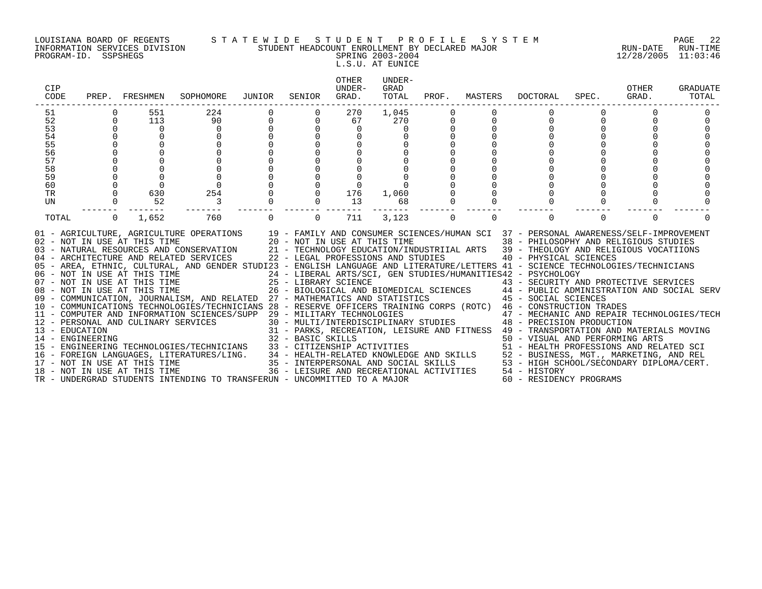PROGRAM-ID. SSPSHEGS SPRING 2003-2004 12/28/2005 11:03:46

# LOUISIANA BOARD OF REGENTS S T A T E W I D E S T U D E N T P R O F I L E S Y S T E M PAGE 22 INFORMATION SERVICES DIVISION STUDENT HEADCOUNT ENROLLMENT BY DECLARED MAJOR RUN-DATE RUN-TIME

L.S.U. AT EUNICE

| CIP<br>CODE          |          | PREP. FRESHMEN             | SOPHOMORE                                                                                                                                                                                                                                                                                                                                                                                                                                                                                                                                                                                                                                                                                                                                                                                                                                                                                                                                                                                                                                                                                                                                                                                                                                                                                                                                                                                                                                                                                                                                                                                                                                                                                                                                                                           | JUNIOR   | SENIOR         | OTHER<br>IJNDER-<br>GRAD. | UNDER-<br>GRAD<br>TOTAL | PROF.    | MASTERS  | DOCTORAL                                                                            | SPEC.    | OTHER<br>GRAD. | <b>GRADUATE</b><br>TOTAL |
|----------------------|----------|----------------------------|-------------------------------------------------------------------------------------------------------------------------------------------------------------------------------------------------------------------------------------------------------------------------------------------------------------------------------------------------------------------------------------------------------------------------------------------------------------------------------------------------------------------------------------------------------------------------------------------------------------------------------------------------------------------------------------------------------------------------------------------------------------------------------------------------------------------------------------------------------------------------------------------------------------------------------------------------------------------------------------------------------------------------------------------------------------------------------------------------------------------------------------------------------------------------------------------------------------------------------------------------------------------------------------------------------------------------------------------------------------------------------------------------------------------------------------------------------------------------------------------------------------------------------------------------------------------------------------------------------------------------------------------------------------------------------------------------------------------------------------------------------------------------------------|----------|----------------|---------------------------|-------------------------|----------|----------|-------------------------------------------------------------------------------------|----------|----------------|--------------------------|
| 51                   |          | 551                        | 224                                                                                                                                                                                                                                                                                                                                                                                                                                                                                                                                                                                                                                                                                                                                                                                                                                                                                                                                                                                                                                                                                                                                                                                                                                                                                                                                                                                                                                                                                                                                                                                                                                                                                                                                                                                 |          |                | 270                       | 1,045                   |          |          |                                                                                     |          |                |                          |
| 52                   | $\Omega$ | 113                        | 90                                                                                                                                                                                                                                                                                                                                                                                                                                                                                                                                                                                                                                                                                                                                                                                                                                                                                                                                                                                                                                                                                                                                                                                                                                                                                                                                                                                                                                                                                                                                                                                                                                                                                                                                                                                  |          |                | 67                        | 270                     |          |          | $\Omega$                                                                            | $\Omega$ |                |                          |
| 53                   |          | $\overline{0}$             | $\mathbf 0$                                                                                                                                                                                                                                                                                                                                                                                                                                                                                                                                                                                                                                                                                                                                                                                                                                                                                                                                                                                                                                                                                                                                                                                                                                                                                                                                                                                                                                                                                                                                                                                                                                                                                                                                                                         |          |                | $\mathbf 0$               | $\Omega$                |          |          |                                                                                     |          |                |                          |
|                      |          |                            | $\mathbf 0$                                                                                                                                                                                                                                                                                                                                                                                                                                                                                                                                                                                                                                                                                                                                                                                                                                                                                                                                                                                                                                                                                                                                                                                                                                                                                                                                                                                                                                                                                                                                                                                                                                                                                                                                                                         |          |                |                           |                         |          |          |                                                                                     |          |                |                          |
| 54<br>55<br>56<br>56 |          |                            | $\Omega$                                                                                                                                                                                                                                                                                                                                                                                                                                                                                                                                                                                                                                                                                                                                                                                                                                                                                                                                                                                                                                                                                                                                                                                                                                                                                                                                                                                                                                                                                                                                                                                                                                                                                                                                                                            |          |                |                           |                         |          |          |                                                                                     |          |                |                          |
|                      |          |                            | $\Omega$                                                                                                                                                                                                                                                                                                                                                                                                                                                                                                                                                                                                                                                                                                                                                                                                                                                                                                                                                                                                                                                                                                                                                                                                                                                                                                                                                                                                                                                                                                                                                                                                                                                                                                                                                                            |          | $\Omega$       |                           |                         |          |          |                                                                                     |          |                |                          |
| 57                   |          |                            | $\Omega$                                                                                                                                                                                                                                                                                                                                                                                                                                                                                                                                                                                                                                                                                                                                                                                                                                                                                                                                                                                                                                                                                                                                                                                                                                                                                                                                                                                                                                                                                                                                                                                                                                                                                                                                                                            |          | $\Omega$       |                           |                         |          |          |                                                                                     |          |                |                          |
| 58                   |          |                            | $\overline{0}$                                                                                                                                                                                                                                                                                                                                                                                                                                                                                                                                                                                                                                                                                                                                                                                                                                                                                                                                                                                                                                                                                                                                                                                                                                                                                                                                                                                                                                                                                                                                                                                                                                                                                                                                                                      |          | $\mathsf{O}$   |                           |                         |          |          |                                                                                     |          |                |                          |
| 59                   |          | $\Omega$                   | $\overline{0}$                                                                                                                                                                                                                                                                                                                                                                                                                                                                                                                                                                                                                                                                                                                                                                                                                                                                                                                                                                                                                                                                                                                                                                                                                                                                                                                                                                                                                                                                                                                                                                                                                                                                                                                                                                      |          |                |                           |                         |          |          |                                                                                     |          |                |                          |
| 60                   |          |                            | $\Omega$                                                                                                                                                                                                                                                                                                                                                                                                                                                                                                                                                                                                                                                                                                                                                                                                                                                                                                                                                                                                                                                                                                                                                                                                                                                                                                                                                                                                                                                                                                                                                                                                                                                                                                                                                                            |          |                |                           |                         |          |          |                                                                                     |          |                |                          |
| <b>TR</b>            |          | 630                        | 254                                                                                                                                                                                                                                                                                                                                                                                                                                                                                                                                                                                                                                                                                                                                                                                                                                                                                                                                                                                                                                                                                                                                                                                                                                                                                                                                                                                                                                                                                                                                                                                                                                                                                                                                                                                 |          | $\mathbf 0$    | 176                       | 1,060                   |          |          |                                                                                     |          |                |                          |
| UN                   |          | 52                         | $\overline{\phantom{a}}$                                                                                                                                                                                                                                                                                                                                                                                                                                                                                                                                                                                                                                                                                                                                                                                                                                                                                                                                                                                                                                                                                                                                                                                                                                                                                                                                                                                                                                                                                                                                                                                                                                                                                                                                                            |          | $\overline{0}$ | 13                        | 68                      |          |          | $\Omega$                                                                            |          |                |                          |
| TOTAL                |          | $0 \qquad \qquad$<br>1,652 | 760                                                                                                                                                                                                                                                                                                                                                                                                                                                                                                                                                                                                                                                                                                                                                                                                                                                                                                                                                                                                                                                                                                                                                                                                                                                                                                                                                                                                                                                                                                                                                                                                                                                                                                                                                                                 | $\Omega$ | $\Omega$       | 711                       | 3,123                   | $\Omega$ | $\Omega$ | $\Omega$                                                                            | $\Omega$ | $\Omega$       |                          |
|                      |          |                            | 01 - AGRICULTURE, AGRICULTURE OPERATIONS 19 - FAMILY AND CONSUMER SCIENCES/HUMAN SCI 37 - PERSONAL AWARENESS/SELF-IMPROVEMENT<br>02 - NOT IN USE AT THIS TIME 20 - NOT IN USE AT THIS TIME 38 - PHILOSOPHY AND RELIGIOUS STUDIES<br>03 - NATURAL RESOURCES AND CONSERVATION 21 - TECHNOLOGY EDUCATION/INDUSTRIIAL ARTS 39 - THEOLOGY AND RELIGIOUS VOCATIIONS<br>04 - ARCHITECTURE AND RELATED SERVICES 22 - LEGAL PROFESSIONS AND STUDIES 40 - PHYSICAL SCIENCES<br>05 - AREA, ETHNIC, CULTURAL, AND GENDER STUDI23 - ENGLISH LANGUAGE AND LITERATURE/LETTERS 41 - SCIENCE TECHNOLOGIES/TECHNICIANS<br>06 - NOT IN USE AT THIS TIME<br>24 - LIBERAL ARTS/SCI, GEN STUDIES/HUMANITIES42 - PSYCHOLOGY<br>25 - LIBRARY SCIENCE<br>26 - BIOLOGICAL AND BIOMEDICAL SCIENCES<br>26 - BIOLOGICAL AND BIOMEDICAL SCIENCES<br>26 - BIOLOGICAL AND BIOMED<br>10 - COMMUNICATIONS TECHNOLOGIES/TECHNICIANS 28 - RESERVE OFFICERS TRAINING CORPS (ROTC) 46 - CONSTRUCTION TRADES<br>$\begin{tabular}{lllllllllllllllllll} 12 & - \text{PERSONAL AND CULINARY SERVICES}/\text{SUP RADES} & 30 & - \text{MULTI/INTERDISCDGIES} & 47 & - \text{ CONSTRUC'HION TRADES} \\ 13 & - \text{ EERSONAL AND CULINARY SERVICES} & 30 & - \text{ MULTI/INTERDISCDFLINKRY STUDIES} & 47 & - \text{ MECHANC C AND REPAIR TECHNOLOGIES/TECH} \\ 14 & - \text{ ENGINEERING} & 31 & - \text{ PARKS, RECREATION, LEISURE AND FITNESS} & 49 & - \text{ PRANSPORTIC AND REPAIR TECHNOLOG$<br>14 - ENGINEERING<br>15 - ENGINEERING TECHNOLOGIES/TECHNICIANS<br>16 - FOREIGN LANGUAGES, LITERATURES/LING.<br>16 - FOREIGN LANGUAGES, LITERATURES/LING.<br>17 - NOT IN USE AT THIS TIME<br>18 - NOT IN USE AT THIS TIME<br>18 - NOT IN USE<br>TR - UNDERGRAD STUDENTS INTENDING TO TRANSFERUN - UNCOMMITTED TO A MAJOR |          |                |                           |                         |          |          | 53 - HIGH SCHOOL/SECONDARY DIPLOMA/CERT.<br>54 - HISTORY<br>60 - RESIDENCY PROGRAMS |          |                |                          |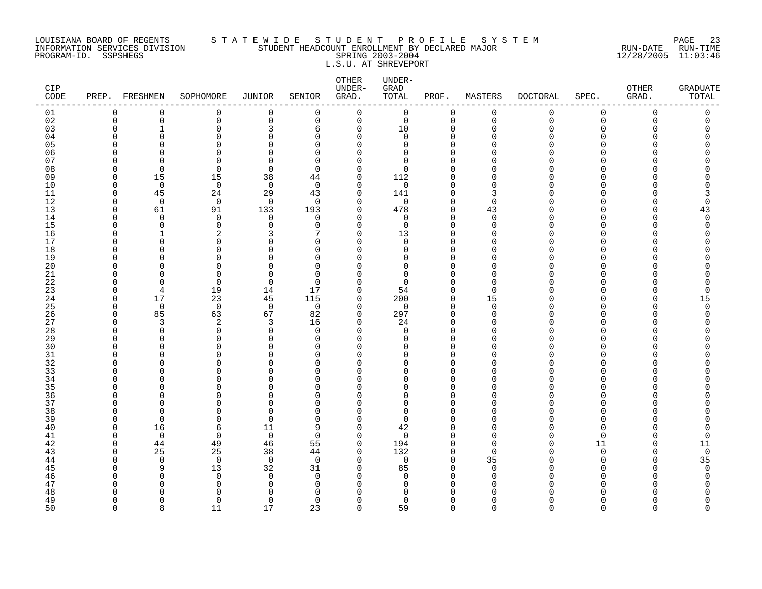# LOUISIANA BOARD OF REGENTS S T A T E W I D E S T U D E N T P R O F I L E S Y S T E M PAGE 23 INFORMATION SERVICES DIVISION STUDENT HEADCOUNT ENROLLMENT BY DECLARED MAJOR RUN-DATE RUN-TIME PROGRAM-ID. SSPSHEGS SPRING 2003-2004 12/28/2005 11:03:46 L.S.U. AT SHREVEPORT

| <b>CIP</b><br>CODE |                          | PREP. FRESHMEN           | SOPHOMORE            | JUNIOR               | SENIOR                   | OTHER<br>UNDER-<br>GRAD.   | UNDER-<br>GRAD<br>TOTAL | PROF.                   | MASTERS        | <b>DOCTORAL</b> | SPEC.                        | <b>OTHER</b><br>GRAD. | <b>GRADUATE</b><br>TOTAL |
|--------------------|--------------------------|--------------------------|----------------------|----------------------|--------------------------|----------------------------|-------------------------|-------------------------|----------------|-----------------|------------------------------|-----------------------|--------------------------|
| 01                 | 0                        | 0                        | $\mathbf 0$          | 0                    | 0                        | 0                          | $\mathbf 0$             | 0                       | $\mathbf 0$    | 0               | $\mathbf 0$                  | $\mathbf 0$           | 0                        |
| 02                 | $\mathbf 0$              | 0                        | $\mathsf 0$          | $\mathbf 0$          | $\mathbf 0$              | $\mathbf 0$                | $\mathsf{O}$            | $\mathbf 0$             | $\mathbf 0$    | $\mathbf 0$     | $\mathbf 0$                  | 0                     | 0                        |
| 03<br>04           | $\Omega$<br>∩            | $\mathbf{1}$<br>$\Omega$ | 0<br>$\Omega$        | 3<br>$\Omega$        | 6<br>$\Omega$            | 0<br>$\Omega$              | 10<br>0                 | 0<br>$\Omega$           | $\Omega$<br>∩  |                 | $\Omega$<br>U                |                       |                          |
| 05                 | $\Omega$                 |                          | $\Omega$             | O                    | $\Omega$                 | $\Omega$                   | 0                       | $\Omega$                |                |                 | <sup>n</sup>                 |                       |                          |
| 06                 | $\Omega$                 | U                        | $\Omega$             | $\cap$               | $\Omega$                 | $\Omega$                   | $\Omega$                | $\Omega$                |                |                 | U                            |                       |                          |
| 07                 | $\Omega$                 | ∩                        | $\Omega$             | $\cap$               | $\Omega$                 | $\cap$                     | 0                       | $\Omega$                |                |                 | ∩                            |                       |                          |
| 08                 | $\Omega$                 | $\Omega$                 | 0                    | $\Omega$             | $\Omega$                 | $\Omega$                   | 0                       | $\Omega$                |                |                 | <sup>n</sup>                 |                       |                          |
| 09                 | 0                        | 15                       | 15                   | 38                   | 44                       | 0                          | 112                     | $\Omega$                |                |                 | U                            |                       |                          |
| 10<br>11           | $\Omega$<br>$\Omega$     | $\overline{0}$<br>45     | $\mathbf 0$<br>24    | $\mathbf 0$<br>29    | $\Omega$<br>43           | $\mathbf 0$<br>$\mathbf 0$ | $\mathbf 0$<br>141      | $\Omega$<br>$\mathbf 0$ | 3              |                 | <sup>n</sup><br><sup>n</sup> |                       |                          |
| 12                 | $\Omega$                 | $\Omega$                 | $\mathbf 0$          | $\Omega$             | $\Omega$                 | $\Omega$                   | $\mathbf 0$             | $\Omega$                | $\Omega$       |                 | U                            |                       | O                        |
| 13                 | $\mathbf 0$              | 61                       | 91                   | 133                  | 193                      | $\mathbf 0$                | 478                     | $\mathbf 0$             | 43             |                 | $\Omega$                     |                       | 43                       |
| 14                 | $\Omega$                 | $\Omega$                 | 0                    | $\Omega$             | $\Omega$                 | 0                          | 0                       | $\mathbf 0$             | $\Omega$       |                 | <sup>n</sup>                 |                       | $\Omega$                 |
| 15                 | $\Omega$                 | $\Omega$                 | 0                    | $\Omega$             | $\Omega$                 | $\mathbf 0$                | $\mathbf 0$             | $\Omega$                | $\Omega$       |                 | <sup>n</sup>                 |                       | O                        |
| 16<br>17           | $\Omega$<br>∩            | 1<br>∩                   | 2<br>$\Omega$        | 3<br>U               | 7<br>$\Omega$            | $\Omega$<br>$\Omega$       | 13<br>$\Omega$          | $\Omega$<br>$\Omega$    | $\cap$<br>∩    |                 | U<br>U                       |                       |                          |
| 18                 | $\Omega$                 | O                        | 0                    | O                    | $\mathbf 0$              | 0                          | 0                       | $\Omega$                | O              |                 | $\Omega$                     |                       |                          |
| 19                 | <sup>0</sup>             |                          | $\Omega$             | C                    | $\Omega$                 | $\Omega$                   | 0                       | $\Omega$                |                |                 | <sup>n</sup>                 |                       |                          |
| 20                 | $\Omega$                 | U                        | O                    | U                    | $\Omega$                 | O                          | 0                       | $\Omega$                |                |                 | <sup>n</sup>                 |                       |                          |
| 21                 | ∩                        | ∩                        | $\Omega$             | $\cap$               | $\Omega$                 | $\Omega$                   | 0                       | $\Omega$                | ∩              |                 | U                            |                       |                          |
| 22                 | $\Omega$                 | ∩                        | $\Omega$             | $\Omega$             | $\Omega$                 | $\Omega$                   | 0                       | $\mathbf 0$             | $\Omega$       |                 | <sup>n</sup>                 |                       |                          |
| 23                 | $\Omega$                 | 4                        | 19                   | 14                   | 17                       | $\Omega$                   | 54                      | $\mathbf 0$             | $\Omega$       |                 | <sup>n</sup><br><sup>n</sup> |                       | 0                        |
| 24<br>25           | 0<br>$\Omega$            | 17<br>$\mathbf 0$        | 23<br>$\mathbf 0$    | 45<br>$\overline{0}$ | 115<br>0                 | 0<br>0                     | 200<br>$\mathbf 0$      | 0<br>$\mathbf 0$        | 15<br>$\Omega$ |                 | U                            |                       | 15<br>$\Omega$           |
| 26                 | $\Omega$                 | 85                       | 63                   | 67                   | 82                       | $\mathbf 0$                | 297                     | $\mathbf 0$             | $\Omega$       |                 | <sup>n</sup>                 |                       | O                        |
| 27                 | $\Omega$                 | 3                        | 2                    | 3                    | 16                       | 0                          | 24                      | $\Omega$                | ∩              |                 | <sup>n</sup>                 |                       |                          |
| 28                 | $\Omega$                 | ∩                        | $\Omega$             | $\Omega$             | $\Omega$                 | $\Omega$                   | $\mathbf 0$             | $\Omega$                |                |                 | U                            |                       |                          |
| 29                 | $\Omega$                 | $\Omega$                 | 0                    | $\Omega$             | $\Omega$                 | $\mathbf 0$                | 0                       | $\Omega$                |                |                 | <sup>n</sup>                 |                       |                          |
| 30<br>31           | ∩<br>$\Omega$            | O<br>O                   | $\Omega$<br>$\Omega$ | O<br>$\Omega$        | U<br>$\Omega$            | U<br>$\Omega$              | 0<br>0                  | $\Omega$<br>$\Omega$    |                |                 | U<br>$\Omega$                |                       |                          |
| 32                 | ∩                        | ∩                        | O                    | O                    | U                        | $\Omega$                   | 0                       | $\Omega$                |                |                 | <sup>n</sup>                 |                       |                          |
| 33                 | $\Omega$                 | U                        | U                    | U                    | $\Omega$                 | $\Omega$                   | 0                       | $\Omega$                |                |                 | $\cap$                       |                       |                          |
| 34                 | $\Omega$                 | U                        | U                    | $\cap$               | $\Omega$                 | $\Omega$                   | 0                       | $\Omega$                | ∩              |                 | $\cap$                       |                       |                          |
| 35                 |                          | ∩                        | 0                    | U                    | U                        | $\Omega$                   | 0                       | $\Omega$                |                |                 | <sup>n</sup>                 |                       |                          |
| 36                 | <sup>0</sup><br>$\Omega$ | ∩                        | 0                    | U                    | $\Omega$<br><sup>n</sup> | $\Omega$                   | 0                       | $\Omega$                | ∩              |                 | $\Omega$<br><sup>n</sup>     |                       |                          |
| 37<br>38           | $\Omega$                 | ∩                        | $\Omega$<br>$\Omega$ | $\Omega$<br>$\cap$   | $\Omega$                 | $\Omega$<br>$\Omega$       | 0<br>0                  | $\Omega$<br>$\Omega$    |                |                 | <sup>n</sup>                 |                       |                          |
| 39                 | $\Omega$                 | $\Omega$                 | $\Omega$             | $\Omega$             | $\Omega$                 | $\Omega$                   | $\mathbf 0$             | $\Omega$                | ∩              |                 | $\Omega$                     |                       |                          |
| 40                 | $\Omega$                 | 16                       | 6                    | 11                   | 9                        | $\mathbf 0$                | 42                      | $\Omega$                | $\Omega$       |                 | $\Omega$                     |                       |                          |
| 41                 | $\Omega$                 | $\mathbf 0$              | 0                    | $\overline{0}$       | $\Omega$                 | $\mathbf 0$                | $\mathbf 0$             | $\Omega$                | ∩              |                 | $\Omega$                     |                       | 0                        |
| 42                 | $\Omega$                 | 44                       | 49                   | 46                   | 55                       | $\mathbf 0$                | 194                     | 0                       | $\Omega$       |                 | 11                           |                       | 11                       |
| 43                 | $\Omega$                 | 25                       | 25                   | 38                   | 44                       | $\Omega$                   | 132                     | $\Omega$                | $\cap$         |                 | $\Omega$                     |                       | $\mathbf 0$              |
| 44<br>45           | $\Omega$<br>$\Omega$     | $\Omega$<br>9            | $\mathbf 0$<br>13    | $\overline{0}$<br>32 | $\Omega$<br>31           | $\Omega$<br>$\mathbf 0$    | $\mathbf 0$<br>85       | $\Omega$<br>$\mathbf 0$ | 35<br>$\Omega$ |                 | $\Omega$<br><sup>n</sup>     |                       | 35<br>$\Omega$           |
| 46                 | ∩                        | $\Omega$                 | 0                    | $\mathbf 0$          | $\Omega$                 | 0                          | 0                       | $\Omega$                | $\Omega$       |                 | <sup>n</sup>                 |                       | O                        |
| 47                 | ∩                        | O                        | 0                    | O                    | $\Omega$                 | $\Omega$                   | 0                       | $\Omega$                | ∩              |                 | U                            |                       |                          |
| 48                 | ∩                        |                          | $\Omega$             | ∩                    | n                        | U                          | O                       | $\Omega$                |                |                 |                              |                       |                          |
| 49                 | $\Omega$                 | ∩                        | $\Omega$             | 0                    | $\Omega$                 | $\Omega$                   | 0                       | $\Omega$                | ∩              |                 | <sup>n</sup>                 |                       | Ω                        |
| 50                 | $\Omega$                 | $\mathsf{R}$             | 11                   | 17                   | 23                       | $\Omega$                   | 59                      | $\Omega$                | $\Omega$       | $\cap$          | $\cap$                       | $\cap$                | $\cap$                   |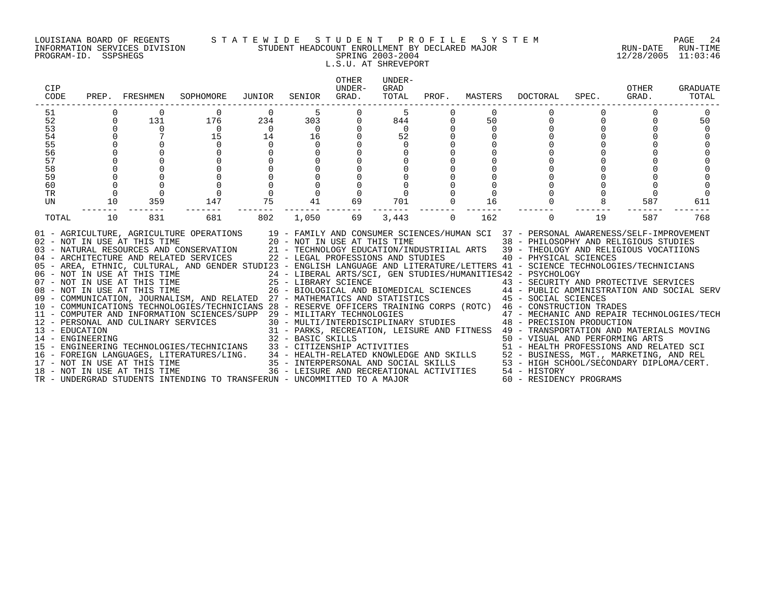### LOUISIANA BOARD OF REGENTS S T A T E W I D E S T U D E N T P R O F I L E S Y S T E M PAGE 24 INFORMATION SERVICES DIVISION STUDENT HEADCOUNT ENROLLMENT BY DECLARED MAJOR RUN-DATE RUN-TIME PROGRAM-ID. SSPSHEGS SPRING 2003-2004 12/28/2005 11:03:46 L.S.U. AT SHREVEPORT

| CIP<br>CODE                                                    | PREP.                                        | FRESHMEN                          | SOPHOMORE                                                                                                                                                                                                                                                                                                                                                                                                                                                                                                                                                                                                                                                                                                                                                                                                                                                                                                                                                                                                                                                                                                                                                                                                                                                                                                                 | JUNIOR                                       | SENIOR                                                          | <b>OTHER</b><br>UNDER-<br>GRAD. | UNDER-<br>GRAD<br>TOTAL                          |          | PROF. MASTERS              | DOCTORAL                                                                                                                                                                                                                                                                                                                                                                                                                             | SPEC.       | OTHER<br>GRAD. | <b>GRADUATE</b><br>TOTAL |
|----------------------------------------------------------------|----------------------------------------------|-----------------------------------|---------------------------------------------------------------------------------------------------------------------------------------------------------------------------------------------------------------------------------------------------------------------------------------------------------------------------------------------------------------------------------------------------------------------------------------------------------------------------------------------------------------------------------------------------------------------------------------------------------------------------------------------------------------------------------------------------------------------------------------------------------------------------------------------------------------------------------------------------------------------------------------------------------------------------------------------------------------------------------------------------------------------------------------------------------------------------------------------------------------------------------------------------------------------------------------------------------------------------------------------------------------------------------------------------------------------------|----------------------------------------------|-----------------------------------------------------------------|---------------------------------|--------------------------------------------------|----------|----------------------------|--------------------------------------------------------------------------------------------------------------------------------------------------------------------------------------------------------------------------------------------------------------------------------------------------------------------------------------------------------------------------------------------------------------------------------------|-------------|----------------|--------------------------|
| 51<br>52<br>53<br>54<br>55<br>56<br>57<br>58<br>59<br>60<br>TR | $\mathbf 0$<br>$\mathbf 0$<br>$\overline{0}$ | $\Omega$<br>131<br>$\overline{0}$ | $\mathbf 0$<br>176<br>$\overline{0}$<br>15<br>0                                                                                                                                                                                                                                                                                                                                                                                                                                                                                                                                                                                                                                                                                                                                                                                                                                                                                                                                                                                                                                                                                                                                                                                                                                                                           | $\Omega$<br>234<br>$\overline{0}$<br>14<br>0 | 5<br>303<br>$\overline{0}$<br>16<br>$\mathbf 0$<br>$\mathsf{O}$ | $\Omega$<br>0                   | .5<br>844<br>$\overline{0}$<br>52<br>$\mathbf 0$ |          | $\Omega$<br>50<br>$\Omega$ | 0                                                                                                                                                                                                                                                                                                                                                                                                                                    | $\mathbf 0$ |                | 50                       |
| UN<br>TOTAL                                                    | 10<br>10                                     | 359<br>831                        | 147<br>681                                                                                                                                                                                                                                                                                                                                                                                                                                                                                                                                                                                                                                                                                                                                                                                                                                                                                                                                                                                                                                                                                                                                                                                                                                                                                                                | 75<br>802                                    | 41<br>1,050                                                     | 69<br>69                        | 701<br>3,443                                     | $\Omega$ | 16<br>162                  | $\Omega$                                                                                                                                                                                                                                                                                                                                                                                                                             | 19          | 587<br>587     | 611<br>768               |
|                                                                |                                              |                                   | 01 - AGRICULTURE, AGRICULTURE OPERATIONS 19 - FAMILY AND CONSUMER SCIENCES/HUMAN SCI 37 - PERSONAL AWARENESS/SELF-IMPROVEMENT<br>02 - NOT IN USE AT THIS TIME $20 - NOT$ IN USE AT THIS TIME 03 - NATURAL RESOURCES AND CONSERVATION $21 - TECHNOLOGY$ EDUCATION/INI<br>04 - ARCHITECTURE AND RELATED SERVICES<br>05 - AREA, ETHNIC, CULTURAL, AND GENDER STUDI23 - ENGLISH LANGUAGE AND LITERATURE/LETTERS 41 - SCIENCE TECHNOLOGIES/TECHNICIANS<br>06 - NOT IN USE AT THIS TIME<br>07 - NOT IN USE AT THIS TIME<br>08 - NOT IN USE AT THIS TIME<br>09 - COMMUNICATION, JOURNALISM, AND RELATED 27 - MATHEMATICS AND STATISTICS<br>10 - COMMUNICATIONS TECHNOLOGIES/TECHNICIANS 28 - RESERVE OFFICERS TRAINING CORPS (ROTC) 46 - CONSTRUCTION TRADES<br>- CONSTRUCTION TRADES<br>12 - PERSONAL AND CULINARY SERVICES (SUPP 29 - MILITARY TECHNOLOGIES<br>30 - MULTI/INTERCHNOLOGIES (PECHENE 2001)<br>31 - PARKS, RECREATION, LEISURE AND FITNESS 49 - TRANSPORTATION AND MATERIALS MOVING<br><br>14 – ENGINEERING<br>15 – ENGINEERING TECHNOLOGIES/TECHNICIANS<br>15 – ENGINEERING TECHNOLOGIES/TECHNICIANS<br>16 – FOREIGN LANGUAGES, LITERATURES/LING.<br>16 – FOREIGN LANGUAGES, LITERATURES/LING.<br>17 – NOT IN USE AT THIS TIME<br>17<br>TR - UNDERGRAD STUDENTS INTENDING TO TRANSFERUN - UNCOMMITTED TO A MAJOR |                                              |                                                                 |                                 | 22 - LEGAL PROFESSIONS AND STUDIES               |          |                            | 38 - PHILOSOPHY AND RELIGIOUS STUDIES<br>21 - TECHNOLOGY EDUCATION/INDUSTRIIAL ARTS 39 - THEOLOGY AND RELIGIOUS VOCATIIONS<br>40 - PHYSICAL SCIENCES<br>24 - LIBERAL ARTS/SCI, GEN STUDIES/HUMANITIES42 - PSYCHOLOGY<br>25 - LIBRARY SCIENCE<br>26 - BIOLOGICAL AND BIOMEDICAL SCIENCES<br>27 - MATHEMATICS AND STATISTICS (27 - MATHEMATICS AND STATISTICS (27 - MATHEMATICS AND STATISTICS (29 - 29 - 2<br>60 - RESIDENCY PROGRAMS |             |                |                          |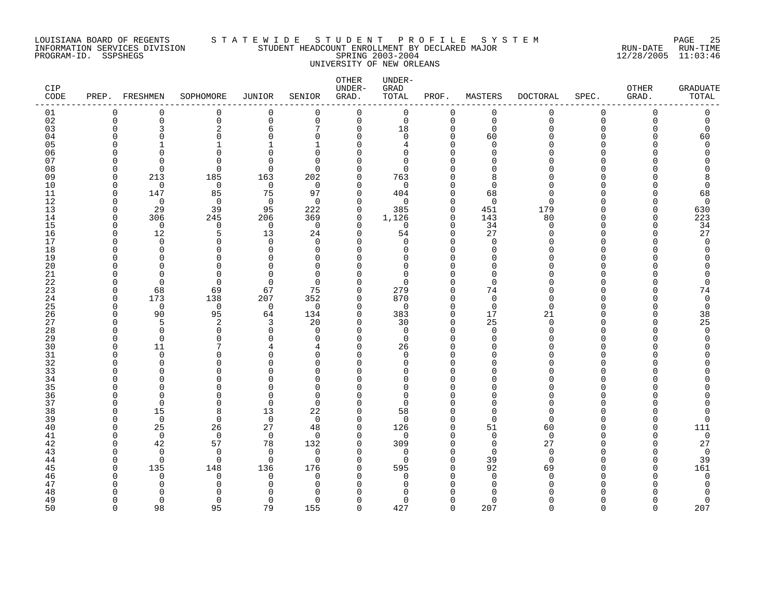### LOUISIANA BOARD OF REGENTS S T A T E W I D E S T U D E N T P R O F I L E S Y S T E M PAGE 25 INFORMATION SERVICES DIVISION STUDENT HEADCOUNT ENROLLMENT BY DECLARED MAJOR RUN-DATE RUN-TIME PROGRAM-ID. SSPSHEGS SPRING 2003-2004 12/28/2005 11:03:46 UNIVERSITY OF NEW ORLEANS

| <b>CIP</b><br>CODE |                    | PREP. FRESHMEN       | SOPHOMORE            | <b>JUNIOR</b>     | SENIOR               | OTHER<br>UNDER-<br>GRAD. | UNDER-<br>GRAD<br>TOTAL | PROF.                | MASTERS              | <b>DOCTORAL</b> | SPEC.             | <b>OTHER</b><br>GRAD. | <b>GRADUATE</b><br>TOTAL |
|--------------------|--------------------|----------------------|----------------------|-------------------|----------------------|--------------------------|-------------------------|----------------------|----------------------|-----------------|-------------------|-----------------------|--------------------------|
| 01                 | O                  | $\Omega$             | 0                    | 0                 | $\Omega$             | 0                        | 0                       | 0                    | 0                    | $\mathbf 0$     | 0                 | $\Omega$              | 0                        |
| 02                 | $\mathbf 0$        | $\mathbf 0$          | $\mathsf 0$          | 0                 | $\mathbf 0$          | 0                        | $\mathsf 0$             | $\mathbf 0$          | $\mathbf 0$          | $\mathbf 0$     | $\mathbf 0$       | $\Omega$              | 0                        |
| 03                 | O                  | 3<br>U               | $\overline{2}$<br>∩  | 6<br>∩            |                      | $\Omega$<br>$\Omega$     | 18                      | 0                    | $\mathbf 0$          |                 | $\Omega$<br>n     |                       | 0                        |
| 04<br>05           |                    |                      | 1                    |                   | $\Omega$             | ∩                        | $\Omega$<br>4           | $\Omega$<br>$\Omega$ | 60<br>$\Omega$       |                 |                   |                       | 60<br>$\Omega$           |
| 06                 |                    | U                    | $\Omega$             |                   | ∩                    | U                        | $\Omega$                | $\Omega$             | n                    |                 |                   |                       |                          |
| 07                 |                    | ∩                    | $\cap$               |                   | ∩                    | Λ                        | $\Omega$                |                      |                      |                 |                   |                       |                          |
| 08                 | O                  | $\Omega$             | $\Omega$             | $\Omega$          | ∩                    | $\Omega$                 | $\Omega$                |                      | n                    |                 |                   |                       |                          |
| 09                 | $\Omega$           | 213                  | 185                  | 163               | 202                  | $\Omega$                 | 763                     | <sup>0</sup>         | 8                    |                 | U                 |                       |                          |
| 10                 | $\cap$             | $\Omega$             | $\mathbf 0$          | $\mathbf 0$       | $\Omega$             | $\Omega$                 | 0                       | $\Omega$             | $\Omega$             |                 |                   |                       | $\Omega$                 |
| 11                 | $\Omega$           | 147                  | 85                   | 75                | 97                   | $\Omega$                 | 404                     | $\Omega$             | 68                   |                 | U                 |                       | 68                       |
| 12                 | $\cap$<br>$\Omega$ | $\Omega$             | $\Omega$             | $\Omega$          | $\Omega$             | $\Omega$                 | $\Omega$                | $\Omega$             | $\Omega$             | ∩               | $\Omega$          |                       | $\mathbf 0$              |
| 13<br>14           | $\Omega$           | 29<br>306            | 39<br>245            | 95<br>206         | 222<br>369           | $\mathbf 0$<br>0         | 385<br>1,126            | $\mathbf 0$<br>0     | 451<br>143           | 179<br>80       | <sup>n</sup>      | O<br>O                | 630<br>223               |
| 15                 | O                  | $\Omega$             | 0                    | $\Omega$          | $\Omega$             | $\Omega$                 | $\Omega$                | $\Omega$             | 34                   | ∩               | U                 |                       | 34                       |
| 16                 | O                  | 12                   | 5                    | 13                | 24                   | $\Omega$                 | 54                      | $\Omega$             | 27                   |                 | U                 |                       | 27                       |
| 17                 | C                  | $\Omega$             | $\Omega$             | $\Omega$          | ∩                    | $\Omega$                 | $\Omega$                | $\Omega$             | $\Omega$             |                 | <sup>n</sup>      |                       | $\Omega$                 |
| 18                 | C                  | $\Omega$             | $\mathbf 0$          | $\Omega$          | $\Omega$             |                          | 0                       | $\Omega$             | $\cap$               |                 | $\Omega$          |                       | O                        |
| 19                 |                    | O                    | $\Omega$             |                   | O                    |                          | $\Omega$                | <sup>0</sup>         | ∩                    |                 | n                 |                       |                          |
| 20                 |                    | $\Omega$             | $\Omega$             |                   | $\Omega$             |                          | $\Omega$                |                      | O                    |                 | n                 |                       |                          |
| 21<br>22           | n                  | $\Omega$<br>$\Omega$ | $\Omega$<br>$\Omega$ | ∩<br>$\Omega$     | $\Omega$<br>$\Omega$ | U<br>$\Omega$            | $\Omega$<br>$\Omega$    | $\Omega$<br>$\Omega$ | $\Omega$<br>$\Omega$ |                 | n<br><sup>n</sup> |                       | O<br>$\Omega$            |
| 23                 | O                  | 68                   | 69                   | 67                | 75                   | $\Omega$                 | 279                     | $\Omega$             | 74                   |                 | U                 |                       | 74                       |
| 24                 | $\Omega$           | 173                  | 138                  | 207               | 352                  | $\Omega$                 | 870                     | $\Omega$             | $\overline{0}$       | N               | <sup>n</sup>      |                       | 0                        |
| 25                 | n                  | $\mathbf 0$          | 0                    | 0                 | $\Omega$             | $\Omega$                 | 0                       | $\Omega$             | $\mathbf 0$          | ∩               |                   |                       | 0                        |
| 26                 | n                  | 90                   | 95                   | 64                | 134                  | $\Omega$                 | 383                     | $\Omega$             | 17                   | 21              | U                 |                       | 38                       |
| 27                 | C                  |                      | 2                    | 3                 | 20                   | $\Omega$                 | 30                      | $\mathbf 0$          | 25                   | $\Omega$        | U                 |                       | 25                       |
| 28                 | U                  | $\Omega$             | $\Omega$             | $\Omega$          | $\Omega$             | $\Omega$                 | $\Omega$                | $\Omega$             | $\Omega$             | ∩               | U                 |                       | $\Omega$                 |
| 29                 | O                  | $\mathbf 0$          | $\Omega$             | $\Omega$          | $\Omega$             | $\Omega$<br>$\Omega$     | 0                       | $\Omega$             | $\Omega$             |                 | <sup>n</sup>      |                       | O                        |
| 30<br>31           | n<br>U             | 11<br>$\Omega$       | $\Omega$             | O                 | 4<br>$\Omega$        | $\Omega$                 | 26<br>0                 | $\Omega$<br>$\Omega$ | ∩<br>O               |                 | U                 |                       |                          |
| 32                 |                    | $\Omega$             | $\Omega$             | C                 | ∩                    | $\Omega$                 | $\Omega$                | $\Omega$             | ∩                    |                 |                   |                       |                          |
| 33                 |                    | $\Omega$             | $\Omega$             |                   | ∩                    | Λ                        | <sup>n</sup>            | $\Omega$             |                      |                 |                   |                       |                          |
| 34                 |                    | U                    | ∩                    |                   | ∩                    | Λ                        | 0                       | $\Omega$             | ∩                    |                 | $\cap$            |                       |                          |
| 35                 |                    | O                    | ∩                    |                   | ∩                    |                          | $\Omega$                |                      |                      |                 |                   |                       |                          |
| 36                 | C                  | ∩                    | 0                    | ∩                 | ∩                    | ∩                        | 0                       | $\Omega$             | n                    |                 | U                 |                       |                          |
| 37                 | n                  | $\Omega$             | $\Omega$             | $\Omega$          | $\Omega$             | $\Omega$                 | $\Omega$                | $\Omega$             | $\Omega$             |                 | n                 |                       |                          |
| 38<br>39           | O<br>n             | 15<br>$\Omega$       | 8<br>$\Omega$        | 13<br>$\mathbf 0$ | 22<br>$\Omega$       | $\Omega$<br>$\Omega$     | 58<br>$\Omega$          | $\Omega$<br>$\Omega$ | $\Omega$<br>$\Omega$ | ∩               | n                 |                       | $\Omega$                 |
| 40                 | O                  | 25                   | 26                   | 27                | 48                   | $\mathbf 0$              | 126                     | $\mathbf 0$          | 51                   | 60              | U                 |                       | 111                      |
| 41                 | n                  | $\Omega$             | $\mathbf 0$          | $\overline{0}$    | $\Omega$             | $\Omega$                 | 0                       | $\Omega$             | $\mathbf 0$          | $\Omega$        | U                 |                       | $\mathbf 0$              |
| 42                 | O                  | 42                   | 57                   | 78                | 132                  | $\Omega$                 | 309                     | $\Omega$             | $\mathbf 0$          | 27              | <sup>n</sup>      |                       | 27                       |
| 43                 | ∩                  | $\Omega$             | $\mathbf 0$          | $\Omega$          | ∩                    | $\Omega$                 | $\Omega$                | $\Omega$             | $\Omega$             | $\Omega$        |                   |                       | $\mathbf 0$              |
| 44                 | O                  | $\Omega$             | $\Omega$             | $\Omega$          | $\Omega$             | $\Omega$                 | $\Omega$                | $\Omega$             | 39                   | $\Omega$        | U                 |                       | 39                       |
| 45                 | O                  | 135                  | 148                  | 136               | 176                  | $\Omega$                 | 595                     | $\Omega$             | 92                   | 69              | <sup>n</sup>      |                       | 161                      |
| 46                 |                    | $\Omega$             | 0                    | $\Omega$          | O                    | $\Omega$                 | 0                       | $\Omega$             | $\Omega$             | $\cap$          | n                 |                       | $\mathbf 0$              |
| 47<br>48           |                    |                      | $\Omega$             |                   | O                    |                          | <sup>0</sup>            |                      | $\cap$               |                 |                   |                       |                          |
| 49                 | U                  | $\Omega$             | $\Omega$             | $\Omega$          | $\Omega$             | U                        | $\Omega$                | $\Omega$             | $\Omega$             |                 | <sup>n</sup>      |                       | 0                        |
| 50                 | $\cap$             | 98                   | 95                   | 79                | 155                  | $\Omega$                 | 427                     | $\Omega$             | 207                  | $\Omega$        | $\Omega$          | $\cap$                | 207                      |
|                    |                    |                      |                      |                   |                      |                          |                         |                      |                      |                 |                   |                       |                          |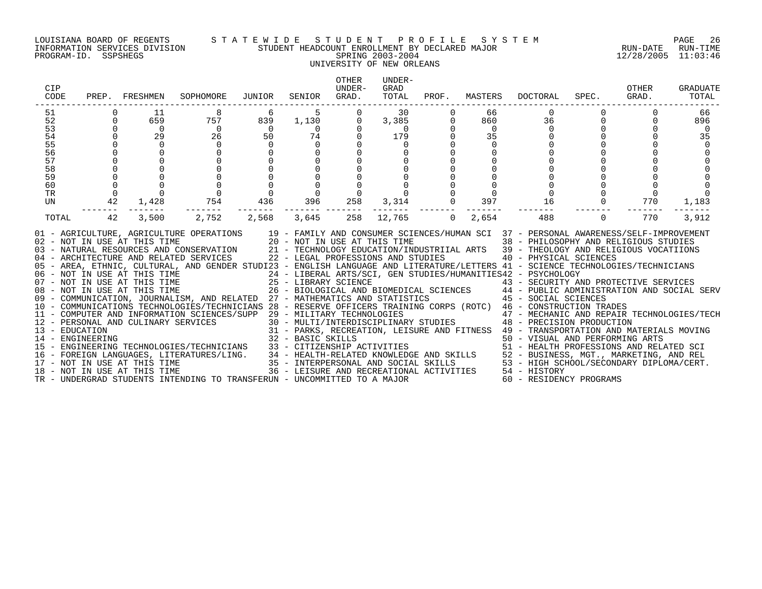# LOUISIANA BOARD OF REGENTS S T A T E W I D E S T U D E N T P R O F I L E S Y S T E M PAGE 26 INFORMATION SERVICES DIVISION STUDENT HEADCOUNT ENROLLMENT BY DECLARED MAJOR RUN-DATE RUN-TIME PROGRAM-ID. SSPSHEGS SPRING 2003-2004 12/28/2005 11:03:46 UNIVERSITY OF NEW ORLEANS

| CIP<br>CODE                                                    |                                                                               | PREP. FRESHMEN                                                       | SOPHOMORE                                                                                                                                                                                                                                                                                                                                                                                                                                                                                                                                                                                                                                                                                                                                                                                                                                                                                                                                                                                                                                                                                                                                                                                                                                                                                                                                                                                                                                                                                                                                                                                                                                                             | JUNIOR                                                                                                              | SENIOR GRAD.                                                                                                                                                                   | <b>OTHER</b><br>UNDER-                                | UNDER-<br>GRAD<br>TOTAL                                            |                                                                                                                   |                                                                                | PROF. MASTERS DOCTORAL                                                                                           | SPEC.                                           | OTHER<br>GRAD. | <b>GRADUATE</b><br>TOTAL          |
|----------------------------------------------------------------|-------------------------------------------------------------------------------|----------------------------------------------------------------------|-----------------------------------------------------------------------------------------------------------------------------------------------------------------------------------------------------------------------------------------------------------------------------------------------------------------------------------------------------------------------------------------------------------------------------------------------------------------------------------------------------------------------------------------------------------------------------------------------------------------------------------------------------------------------------------------------------------------------------------------------------------------------------------------------------------------------------------------------------------------------------------------------------------------------------------------------------------------------------------------------------------------------------------------------------------------------------------------------------------------------------------------------------------------------------------------------------------------------------------------------------------------------------------------------------------------------------------------------------------------------------------------------------------------------------------------------------------------------------------------------------------------------------------------------------------------------------------------------------------------------------------------------------------------------|---------------------------------------------------------------------------------------------------------------------|--------------------------------------------------------------------------------------------------------------------------------------------------------------------------------|-------------------------------------------------------|--------------------------------------------------------------------|-------------------------------------------------------------------------------------------------------------------|--------------------------------------------------------------------------------|------------------------------------------------------------------------------------------------------------------|-------------------------------------------------|----------------|-----------------------------------|
| 51<br>52<br>53<br>54<br>55<br>56<br>57<br>58<br>59<br>60<br>TR | $\Omega$<br>$\Omega$<br>$\Omega$<br>$\Omega$<br>$\mathbf 0$<br>$\overline{0}$ | 11<br>659<br>$\overline{0}$<br>29<br>$\Omega$<br>$\ddot{\mathbf{0}}$ | 8<br>757<br>$\begin{array}{c} 0 \\ 26 \end{array}$<br>$\Omega$<br>$\begin{bmatrix} 0 \\ 0 \\ 0 \\ 0 \end{bmatrix}$                                                                                                                                                                                                                                                                                                                                                                                                                                                                                                                                                                                                                                                                                                                                                                                                                                                                                                                                                                                                                                                                                                                                                                                                                                                                                                                                                                                                                                                                                                                                                    | 6<br>839<br>$\begin{array}{c} 0 \\ 50 \end{array}$<br>$\Omega$<br>$\begin{array}{c}\n 0 \\  0 \\  436\n\end{array}$ | $\begin{array}{r} 5 \\ 1,130 \\ 0 \\ 74 \end{array}$<br>$\overline{0}$<br>$\overline{0}$<br>$\mathsf{O}$<br>$\mathsf{O}$<br>$\overline{0}$<br>$\overline{0}$<br>$\overline{0}$ | $\overline{0}$<br>$\Omega$<br>$\Omega$<br>$\mathbf 0$ | 30<br>3,385<br>$\begin{array}{c} 0 \\ 179 \end{array}$<br>$\Omega$ | $\overline{0}$<br>$\mathbf 0$<br>$\Omega$<br>$\mathsf{O}\xspace$<br>$\begin{matrix}0&0\\0&0\\3,314&0\end{matrix}$ | 66<br>860<br>$\overline{0}$<br>35<br>$\Omega$<br>$\mathbf 0$<br>$\overline{0}$ | $\mathbf 0$<br>36<br>$\overline{0}$<br>$\overline{0}$<br>$\mathsf{O}\xspace$<br>$\frac{0}{16}$<br>$\overline{0}$ | $\Omega$<br>$\Omega$<br>$\Omega$                | $\overline{0}$ | 66<br>896<br>$\overline{0}$<br>35 |
| UN<br>TOTAL                                                    | 42<br>42                                                                      | 1,428<br>3,500                                                       | 754<br>2,752                                                                                                                                                                                                                                                                                                                                                                                                                                                                                                                                                                                                                                                                                                                                                                                                                                                                                                                                                                                                                                                                                                                                                                                                                                                                                                                                                                                                                                                                                                                                                                                                                                                          |                                                                                                                     | 396 258<br>2,568 3,645                                                                                                                                                         | 258                                                   | 12,765                                                             | $\overline{0}$                                                                                                    | 397<br>2,654                                                                   | 488                                                                                                              | $\begin{matrix}0&0&0\\0&0&0\\0&0&0\end{matrix}$ | 770<br>770     | 1,183<br>3,912                    |
|                                                                |                                                                               |                                                                      | 01 - AGRICULTURE, AGRICULTURE OPERATIONS 19 - FAMILY AND CONSUMER SCIENCES/HUMAN SCI 37 - PERSONAL AWARENESS/SELF-IMPROVEMENT<br>02 - NOT IN USE AT THIS TIME<br>20 - NOT IN USE AT THIS TIME<br>20 - NOT IN USE AT THIS TIME<br>21 - TECHNOLOGY EDUCATION/INDUSTRIIAL ARTS<br>22 - LEGAL PROFESSIONS AND STUDIES<br>22 - LEGAL PROFESSIONS AND STUDIES<br>22 - LEGAL PROFE<br>05 - AREA, ETHNIC, CULTURAL, AND GENDER STUDI23 - ENGLISH LANGUAGE AND LITERATURE/LETTERS 41 - SCIENCE TECHNOLOGIES/TECHNICIANS<br>06 - AKEA, EIRINIC, CULIUMAL STIME 25 - EIBERAL ARTS/SCI, GEN STUDIES/HUMANITIES42 - EXCHOLOGY<br>07 - NOT IN USE AT THIS TIME 25 - LIBRARY SCIENCE 43 - SECURITY AND PROTECTIVE SERVICES<br>08 - NOT IN USE AT THIS TIME 26 - BIOLO<br>$\begin{tabular}{lllllllllllll} \multicolumn{4}{c}{\multicolumn{4}{c}{\multicolumn{4}{c}{\multicolumn{4}{c}{\multicolumn{4}{c}{\multicolumn{4}{c}{\multicolumn{4}{c}{\multicolumn{4}{c}{\multicolumn{4}{c}{\multicolumn{4}{c}{\multicolumn{4}{c}{\multicolumn{4}{c}{\multicolumn{4}{c}{\multicolumn{4}{c}{\multicolumn{4}{c}{\multicolumn{4}{c}{\multicolumn{4}{c}{\multicolumn{4}{c}{\multicolumn{4}{c}{\multicolumn{4}{c}{\multicolumn{4}{c}{\multicolumn{4}{c}{\multicolumn{4}{c}{$<br>$\begin{tabular}{lllllllllllll} 14 & -\texttt{ENGINEERING} & 32 & -\texttt{BAMIC} & -\texttt{BAMIC} & -\texttt{BAMIC} & -\texttt{BAMIC} & -\texttt{BAMIC} & -\texttt{BAMIC} & -\texttt{BAMIC} & -\texttt{BAMIC} & -\texttt{BAMIC} & -\texttt{BAMIC} & -\texttt{BAMIC} & -\texttt{BAMIC} & -\texttt{BAMIC} & -\texttt{BAMIC} & -\texttt{BAMIC} & -\texttt{BAMIC} & -\texttt{BAMIC} & -\texttt{BAMIC} & -\texttt{B$ |                                                                                                                     |                                                                                                                                                                                |                                                       |                                                                    |                                                                                                                   |                                                                                |                                                                                                                  |                                                 |                |                                   |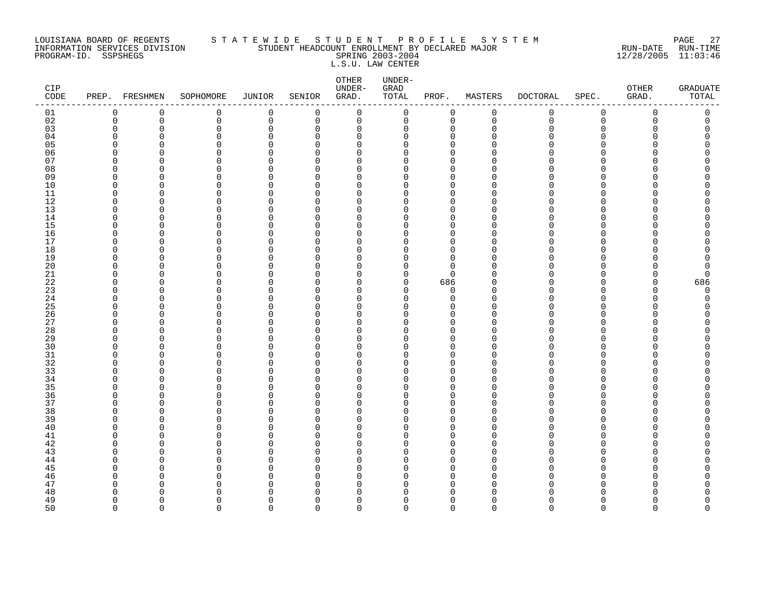#### LOUISIANA BOARD OF REGENTS S T A T E W I D E S T U D E N T P R O F I L E S Y S T E M PAGE 27 INFORMATION SERVICES DIVISION STUDENT HEADCOUNT ENROLLMENT BY DECLARED MAJOR RUN-DATE RUN-TIME PROGRAM-ID. SSPSHEGS SPRING 2003-2004 12/28/2005 11:03:46 L.S.U. LAW CENTER

| $\mathtt{CIP}$<br>$\texttt{CODE}{}$ |                      | PREP. FRESHMEN | SOPHOMORE                | JUNIOR               | SENIOR               | OTHER<br>UNDER-<br>GRAD. | UNDER-<br>GRAD<br>TOTAL | PROF.                   | MASTERS     | <b>DOCTORAL</b> | SPEC.       | OTHER<br>GRAD. | <b>GRADUATE</b><br>TOTAL |
|-------------------------------------|----------------------|----------------|--------------------------|----------------------|----------------------|--------------------------|-------------------------|-------------------------|-------------|-----------------|-------------|----------------|--------------------------|
| 01                                  | $\mathbf 0$          | 0              | 0                        | $\mathbf 0$          | 0                    | $\mathbf 0$              | $\mathsf{O}$            | 0                       | $\mathsf 0$ | 0               | $\mathbf 0$ | 0              | 0                        |
| 02                                  | $\mathbf 0$          | $\mathbf 0$    | 0                        | $\mathsf 0$          | 0                    | $\mathbf 0$              | 0                       | $\mathbf 0$             | $\mathbf 0$ | $\mathbf 0$     | $\mathbf 0$ | $\Omega$       | 0                        |
| 03                                  | $\mathbf 0$          | $\Omega$       | 0                        | $\mathbf 0$          | 0                    | 0                        | 0                       | 0                       | $\Omega$    | N               | $\Omega$    | O              | C                        |
| 04                                  | 0                    | 0              | 0                        | 0                    | 0                    | 0                        | 0                       | 0                       | ∩           |                 | O           |                | O                        |
| 05                                  | $\Omega$             | 0              | $\Omega$                 | $\Omega$             | $\Omega$             | 0                        | 0                       | $\Omega$                |             |                 | ∩           |                |                          |
| 06                                  | $\Omega$             | 0              | 0                        | $\mathbf 0$          | $\Omega$             | 0                        | 0                       | $\mathbf 0$             |             |                 | ∩           |                | ი                        |
| 07                                  | $\Omega$             | O              | $\Omega$                 | $\Omega$             | $\Omega$             | $\Omega$                 | $\Omega$                | $\Omega$                |             |                 | ∩           |                |                          |
| 08<br>09                            | $\Omega$<br>0        | $\Omega$<br>0  | $\Omega$                 | $\Omega$<br>0        | $\Omega$<br>0        | $\Omega$                 | $\Omega$<br>0           | $\Omega$<br>$\mathbf 0$ |             |                 | ∩<br>∩      |                |                          |
| 10                                  | $\mathbf 0$          | 0              | 0<br>$\Omega$            | $\Omega$             | $\Omega$             | 0<br>0                   | 0                       | $\Omega$                |             |                 | ∩           |                |                          |
| 11                                  | $\Omega$             | O              | 0                        | $\mathbf 0$          | $\Omega$             | 0                        | 0                       | $\mathbf 0$             | ∩           |                 | ∩           |                | ∩                        |
| 12                                  | $\Omega$             | O              | $\Omega$                 | $\Omega$             | $\Omega$             | $\Omega$                 | O                       | $\Omega$                |             |                 | ∩           |                |                          |
| 13                                  | $\mathbf 0$          | 0              | 0                        | $\Omega$             | $\Omega$             | $\mathbf 0$              | 0                       | $\mathbf 0$             | O           |                 | $\Omega$    |                |                          |
| 14                                  | $\Omega$             | $\Omega$       | 0                        | $\Omega$             | $\Omega$             | 0                        | 0                       | $\mathbf 0$             | n           |                 | $\cap$      |                |                          |
| 15                                  | $\Omega$             | 0              | 0                        | $\Omega$             | $\Omega$             | 0                        | 0                       | $\mathbf 0$             | ∩           |                 | ∩           |                | Ω                        |
| 16                                  | $\Omega$             | 0              | 0                        | 0                    | $\Omega$             | 0                        | 0                       | $\mathbf 0$             | ∩           |                 | ∩           |                | ∩                        |
| 17                                  | $\Omega$             | 0              | 0                        | 0                    | $\Omega$             | 0                        | 0                       | $\mathbf 0$             | n           |                 | $\Omega$    |                |                          |
| 18                                  | $\Omega$             | O              | 0                        | $\Omega$             | $\Omega$             | 0                        | 0                       | $\mathbf 0$             | ∩           |                 | ∩           |                |                          |
| 19                                  | $\Omega$             | O              | 0                        | $\Omega$             | $\Omega$             | 0                        | 0                       | $\mathbf 0$             |             |                 | ∩           |                | Λ                        |
| 20                                  | $\Omega$             | O              | 0                        | $\Omega$             | $\Omega$             | $\Omega$                 | 0                       | $\Omega$                |             |                 | ∩           |                | C                        |
| 21                                  | $\Omega$             | O              | $\Omega$                 | 0                    | $\Omega$             | 0                        | 0                       | $\mathbf 0$             |             |                 | O           |                | O                        |
| 22                                  | 0                    | 0              | 0                        | 0                    | $\Omega$             | 0                        | 0                       | 686                     |             |                 | O           | O              | 686                      |
| 23                                  | $\mathbf 0$          | 0              | 0                        | $\Omega$             | $\Omega$             | 0                        | 0                       | 0                       |             |                 | ∩           | U              | $\Omega$                 |
| 24                                  | $\Omega$             | O              | 0                        | $\mathbf 0$          | $\Omega$             | 0                        | 0                       | $\mathbf 0$             | n           |                 | ∩           | U              | O                        |
| 25                                  | $\Omega$             | O              | 0                        | $\mathbf 0$          | $\Omega$             | $\Omega$                 | $\Omega$                | $\Omega$                |             |                 | ∩           |                | ∩                        |
| 26                                  | $\Omega$             | O              | 0                        | $\mathbf 0$          | $\Omega$             | $\Omega$                 | $\Omega$                | $\mathbf 0$             | n           |                 | ∩           |                |                          |
| 27                                  | 0<br>$\Omega$        | 0              | 0<br>$\Omega$            | 0<br>$\Omega$        | 0<br>$\Omega$        | 0                        | 0<br>0                  | 0<br>$\Omega$           |             |                 | ∩<br>∩      |                |                          |
| 28<br>29                            | $\Omega$             | 0<br>0         | 0                        | 0                    | 0                    | 0<br>0                   | 0                       | 0                       |             |                 | ∩           |                |                          |
| 30                                  | $\Omega$             | O              | $\Omega$                 | $\Omega$             | $\Omega$             | $\Omega$                 | $\Omega$                | $\Omega$                |             |                 | ∩           |                |                          |
| 31                                  | $\Omega$             | O              | 0                        | $\Omega$             | $\Omega$             | $\mathbf 0$              | 0                       | $\mathbf 0$             | ∩           |                 | $\Omega$    |                | ∩                        |
| 32                                  | $\Omega$             | O              | $\Omega$                 | $\Omega$             | ∩                    | $\Omega$                 | 0                       | $\Omega$                |             |                 | $\Omega$    |                |                          |
| 33                                  | $\Omega$             | 0              | $\Omega$                 | $\Omega$             | $\Omega$             | 0                        | 0                       | $\Omega$                |             |                 | ∩           |                | ∩                        |
| 34                                  | $\Omega$             | 0              | $\Omega$                 | $\mathbf 0$          | 0                    | 0                        | 0                       | $\Omega$                | ∩           |                 | ∩           |                |                          |
| 35                                  | $\Omega$             | O              | $\Omega$                 | $\Omega$             | $\Omega$             | $\Omega$                 | O                       | $\Omega$                |             |                 | ∩           |                |                          |
| 36                                  | $\Omega$             | O              | 0                        | $\Omega$             | $\Omega$             | 0                        | 0                       | $\mathbf 0$             | ∩           |                 | ∩           |                |                          |
| 37                                  | $\Omega$             | O              | 0                        | $\Omega$             | $\Omega$             | 0                        | $\Omega$                | $\mathbf 0$             | n           |                 | $\Omega$    |                |                          |
| 38                                  | $\Omega$             | O              | $\Omega$                 | $\Omega$             | $\Omega$             | $\Omega$                 | $\Omega$                | $\Omega$                |             |                 | ∩           |                | ∩                        |
| 39                                  | $\Omega$             | 0              | $\Omega$                 | 0                    | $\Omega$             | 0                        | 0                       | $\mathbf 0$             | n           |                 | O           |                |                          |
| 40                                  | $\Omega$             | 0              | $\Omega$                 | 0                    | $\Omega$             | 0                        | 0                       | $\mathbf 0$             | ∩           |                 | $\Omega$    |                |                          |
| 41                                  | $\Omega$             | 0              | 0                        | $\Omega$             | $\Omega$             | 0                        | 0                       | $\mathbf 0$             |             |                 | ∩           |                |                          |
| 42                                  | $\mathbf 0$          | 0              | 0                        | $\mathbf 0$          | $\Omega$             | 0                        | 0                       | $\mathbf 0$             | n           |                 | ∩           |                | Λ                        |
| 43                                  | $\Omega$             | n              | $\Omega$                 | $\mathbf 0$          | $\Omega$             | $\Omega$                 | $\Omega$                | $\Omega$                | ∩           |                 | ∩           |                |                          |
| 44                                  | $\Omega$             | O              | $\Omega$                 | $\Omega$             | $\Omega$             | $\Omega$                 | $\Omega$                | $\Omega$                | n           |                 | ∩           |                |                          |
| 45                                  | $\Omega$             | 0              | 0                        | $\Omega$             | 0                    | 0                        | 0                       | 0                       | ∩           |                 | O           |                |                          |
| 46                                  | $\Omega$             | 0              | $\Omega$                 | $\Omega$             | $\Omega$             | 0                        | 0                       | $\Omega$                | O<br>∩      |                 | ∩           |                |                          |
| 47                                  | $\Omega$<br>$\Omega$ | O<br>n         | $\Omega$<br><sup>n</sup> | $\Omega$<br>$\Omega$ | $\Omega$<br>$\Omega$ | 0<br>$\Omega$            | 0<br>$\Omega$           | $\Omega$<br>$\Omega$    |             |                 | ∩           |                | ∩                        |
| 48<br>49                            | $\Omega$             | $\Omega$       | 0                        | $\Omega$             | $\Omega$             | $\mathbf 0$              | 0                       | $\mathbf 0$             | O           |                 | $\Omega$    |                | O                        |
| 50                                  | $\Omega$             | $\Omega$       | $\Omega$                 | $\Omega$             | $\Omega$             | $\Omega$                 | $\Omega$                | $\Omega$                | $\Omega$    | $\Omega$        | $\Omega$    | $\Omega$       | $\Omega$                 |
|                                     |                      |                |                          |                      |                      |                          |                         |                         |             |                 |             |                |                          |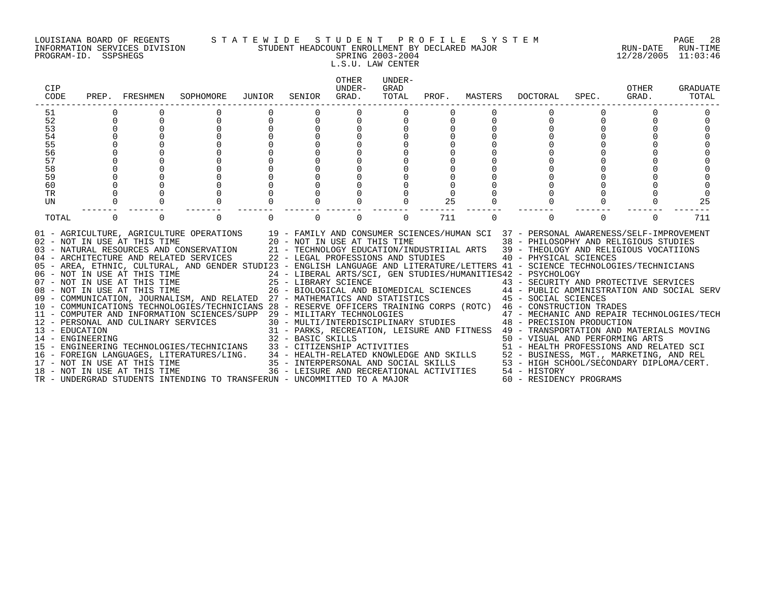# LOUISIANA BOARD OF REGENTS S T A T E W I D E S T U D E N T P R O F I L E S Y S T E M PAGE 28 INFORMATION SERVICES DIVISION STUDENT HEADCOUNT ENROLLMENT BY DECLARED MAJOR RUN-DATE RUN-TIME PROGRAM-ID. SSPSHEGS SPRING 2003-2004 12/28/2005 11:03:46 L.S.U. LAW CENTER

| CIP<br>CODE                        |             | PREP. FRESHMEN               | SOPHOMORE                                                                                                                                                                                                                                                                                                                                                                                                                                                                                                                                                                                                                                                                                                                                                                                                                                                                                                                                                                                                                                                                                                                                                                                                                                                                                                                                                                                                                                                                                     | JUNIOR       | SENIOR      | OTHER<br>UNDER-<br>GRAD.           | UNDER-<br>GRAD<br>TOTAL |     | PROF. MASTERS | DOCTORAL                                                                                                                                                                                                                                                                                                                                                                                                                                                                                                                                                                          | SPEC.    | OTHER<br>GRAD. | <b>GRADUATE</b><br>TOTAL |
|------------------------------------|-------------|------------------------------|-----------------------------------------------------------------------------------------------------------------------------------------------------------------------------------------------------------------------------------------------------------------------------------------------------------------------------------------------------------------------------------------------------------------------------------------------------------------------------------------------------------------------------------------------------------------------------------------------------------------------------------------------------------------------------------------------------------------------------------------------------------------------------------------------------------------------------------------------------------------------------------------------------------------------------------------------------------------------------------------------------------------------------------------------------------------------------------------------------------------------------------------------------------------------------------------------------------------------------------------------------------------------------------------------------------------------------------------------------------------------------------------------------------------------------------------------------------------------------------------------|--------------|-------------|------------------------------------|-------------------------|-----|---------------|-----------------------------------------------------------------------------------------------------------------------------------------------------------------------------------------------------------------------------------------------------------------------------------------------------------------------------------------------------------------------------------------------------------------------------------------------------------------------------------------------------------------------------------------------------------------------------------|----------|----------------|--------------------------|
| 51                                 |             |                              |                                                                                                                                                                                                                                                                                                                                                                                                                                                                                                                                                                                                                                                                                                                                                                                                                                                                                                                                                                                                                                                                                                                                                                                                                                                                                                                                                                                                                                                                                               |              |             |                                    |                         |     |               |                                                                                                                                                                                                                                                                                                                                                                                                                                                                                                                                                                                   |          |                |                          |
| 52                                 | $\mathbf 0$ | $\mathbf 0$                  | $\mathbf 0$                                                                                                                                                                                                                                                                                                                                                                                                                                                                                                                                                                                                                                                                                                                                                                                                                                                                                                                                                                                                                                                                                                                                                                                                                                                                                                                                                                                                                                                                                   | $\mathsf{O}$ | $\mathbf 0$ | 0                                  |                         | 0   |               | 0                                                                                                                                                                                                                                                                                                                                                                                                                                                                                                                                                                                 | $\Omega$ | 0              |                          |
| 53                                 | 0           |                              |                                                                                                                                                                                                                                                                                                                                                                                                                                                                                                                                                                                                                                                                                                                                                                                                                                                                                                                                                                                                                                                                                                                                                                                                                                                                                                                                                                                                                                                                                               |              |             |                                    |                         |     |               |                                                                                                                                                                                                                                                                                                                                                                                                                                                                                                                                                                                   |          |                |                          |
| 54                                 |             |                              |                                                                                                                                                                                                                                                                                                                                                                                                                                                                                                                                                                                                                                                                                                                                                                                                                                                                                                                                                                                                                                                                                                                                                                                                                                                                                                                                                                                                                                                                                               |              |             |                                    |                         |     |               |                                                                                                                                                                                                                                                                                                                                                                                                                                                                                                                                                                                   |          |                |                          |
| 55                                 |             |                              |                                                                                                                                                                                                                                                                                                                                                                                                                                                                                                                                                                                                                                                                                                                                                                                                                                                                                                                                                                                                                                                                                                                                                                                                                                                                                                                                                                                                                                                                                               |              |             |                                    |                         |     |               |                                                                                                                                                                                                                                                                                                                                                                                                                                                                                                                                                                                   |          |                |                          |
| 56                                 |             |                              |                                                                                                                                                                                                                                                                                                                                                                                                                                                                                                                                                                                                                                                                                                                                                                                                                                                                                                                                                                                                                                                                                                                                                                                                                                                                                                                                                                                                                                                                                               |              |             |                                    |                         |     |               |                                                                                                                                                                                                                                                                                                                                                                                                                                                                                                                                                                                   |          |                |                          |
| 57                                 |             |                              |                                                                                                                                                                                                                                                                                                                                                                                                                                                                                                                                                                                                                                                                                                                                                                                                                                                                                                                                                                                                                                                                                                                                                                                                                                                                                                                                                                                                                                                                                               |              |             |                                    |                         |     |               |                                                                                                                                                                                                                                                                                                                                                                                                                                                                                                                                                                                   |          |                |                          |
| 58                                 |             |                              |                                                                                                                                                                                                                                                                                                                                                                                                                                                                                                                                                                                                                                                                                                                                                                                                                                                                                                                                                                                                                                                                                                                                                                                                                                                                                                                                                                                                                                                                                               |              |             |                                    |                         |     |               |                                                                                                                                                                                                                                                                                                                                                                                                                                                                                                                                                                                   |          |                |                          |
| 59                                 |             |                              |                                                                                                                                                                                                                                                                                                                                                                                                                                                                                                                                                                                                                                                                                                                                                                                                                                                                                                                                                                                                                                                                                                                                                                                                                                                                                                                                                                                                                                                                                               |              |             |                                    |                         |     |               |                                                                                                                                                                                                                                                                                                                                                                                                                                                                                                                                                                                   |          |                |                          |
| 60                                 |             |                              |                                                                                                                                                                                                                                                                                                                                                                                                                                                                                                                                                                                                                                                                                                                                                                                                                                                                                                                                                                                                                                                                                                                                                                                                                                                                                                                                                                                                                                                                                               |              |             |                                    |                         |     |               |                                                                                                                                                                                                                                                                                                                                                                                                                                                                                                                                                                                   |          |                |                          |
| TR<br>UN                           |             |                              |                                                                                                                                                                                                                                                                                                                                                                                                                                                                                                                                                                                                                                                                                                                                                                                                                                                                                                                                                                                                                                                                                                                                                                                                                                                                                                                                                                                                                                                                                               |              |             |                                    |                         | 25  |               |                                                                                                                                                                                                                                                                                                                                                                                                                                                                                                                                                                                   |          |                | 25                       |
|                                    |             |                              |                                                                                                                                                                                                                                                                                                                                                                                                                                                                                                                                                                                                                                                                                                                                                                                                                                                                                                                                                                                                                                                                                                                                                                                                                                                                                                                                                                                                                                                                                               |              |             |                                    |                         |     |               |                                                                                                                                                                                                                                                                                                                                                                                                                                                                                                                                                                                   |          |                |                          |
| TOTAL                              | $\Omega$    | 0                            | $\Omega$                                                                                                                                                                                                                                                                                                                                                                                                                                                                                                                                                                                                                                                                                                                                                                                                                                                                                                                                                                                                                                                                                                                                                                                                                                                                                                                                                                                                                                                                                      |              |             | $\Omega$                           | 0                       | 711 | $\Omega$      | $\Omega$                                                                                                                                                                                                                                                                                                                                                                                                                                                                                                                                                                          | $\Omega$ | $\Omega$       | 711                      |
| 13 - EDUCATION<br>14 - ENGINEERING |             | 18 - NOT IN USE AT THIS TIME | 01 - AGRICULTURE, AGRICULTURE OPERATIONS 19 - FAMILY AND CONSUMER SCIENCES/HUMAN SCI 37 - PERSONAL AWARENESS/SELF-IMPROVEMENT<br>02 - NOT IN USE AT THIS TIME $20 - NOT$ IN USE AT THIS TIME $03 - NATURAL$ RESOURCES AND CONSERVATION $21 - TECHNOLOGY$ EDUCATION/IND<br>04 - ARCHITECTURE AND RELATED SERVICES<br>05 - AREA, ETHNIC, CULTURAL, AND GENDER STUDI23 - ENGLISH LANGUAGE AND LITERATURE/LETTERS 41 - SCIENCE TECHNOLOGIES/TECHNICIANS<br>06 - NOT IN USE AT THIS TIME<br>07 - NOT IN USE AT THIS TIME<br>08 - NOT IN USE AT THIS TIME<br>07 - NOT IN USE AT THIS TIME 25 - LIBRARY SCIENCE<br>26 - BIOLOGICAL AND BIOMEDICAL SCIENCES<br>26 - BIOLOGICAL AND BIOMEDICAL SCIENCES<br>27 - MATHEMATICS AND STATISTICS (PROPOSICL SERVENT CONDUCTED 27 - MATHEMATICS AND STATIST<br>10 - COMMUNICATIONS TECHNOLOGIES/TECHNICIANS 28 - RESERVE OFFICERS TRAINING CORPS (ROTC) 46 - CONSTRUCTION TRADES<br>11 - COMPUTER AND INFORMATION SCIENCES/SUPP 29 - MILITARY TECHNOLOGIES<br>12 - PERSONAL AND CULINARY SERVICES<br>13 - EDUCATION<br>$31 - PARTO, NUCNILS$<br>$32 - BASIC SKILLS$<br>15 - ENGINEERING TECHNOLOGIES/TECHNICIANS 33 - CITIZENSHIP ACTIVITIES<br>16 - FOREIGN LANGUAGES, LITERATURES/LING. 34 - HEALTH-RELATED KNOWLEDGE AND SKILLS 52 - BUSINESS, MGT., MARKETING, AND REL<br>17 - NOT IN USE AT THIS TIME 1991 1892 - INTERPERSONAL AND SOCIAL SKILLS 53 - HIGH SCHOOL/SECONDARY<br>TR - UNDERGRAD STUDENTS INTENDING TO TRANSFERUN - UNCOMMITTED TO A MAJOR |              |             | 22 - LEGAL PROFESSIONS AND STUDIES |                         |     |               | 38 - PHILOSOPHY AND RELIGIOUS STUDIES<br>21 - TECHNOLOGY EDUCATION/INDUSTRIIAL ARTS 39 - THEOLOGY AND RELIGIOUS VOCATIIONS<br>40 - PHYSICAL SCIENCES<br>24 - LIBERAL ARTS/SCI, GEN STUDIES/HUMANITIES42 - PSYCHOLOGY<br>29 - MILITARY TECHNOLOGIES<br>30 - MULTI/INTERDISCIPLINARY STUDIES<br>48 - PRECISION PRODUCTION<br>31 - PARKS, RECREATION, LEISURE AND FITNESS 49 - TRANSPORTATION AND MATERIALS MOVING<br>50 - VISUAL AND PERFORMING ARTS<br>51 - HEALTH PROFESSIONS AND RELATED SCI<br>36 - LEISURE AND RECREATIONAL ACTIVITIES 54 - HISTORY<br>60 - RESIDENCY PROGRAMS |          |                |                          |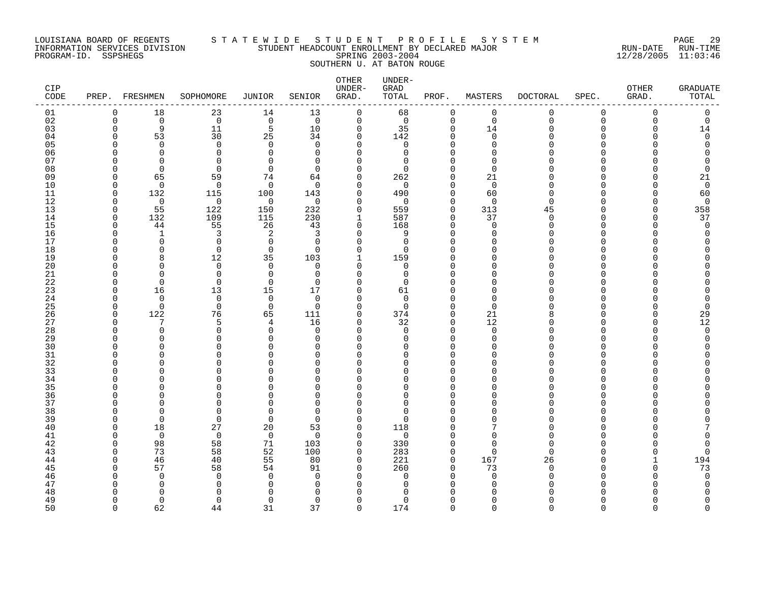### LOUISIANA BOARD OF REGENTS S T A T E W I D E S T U D E N T P R O F I L E S Y S T E M PAGE 29 INFORMATION SERVICES DIVISION STUDENT HEADCOUNT ENROLLMENT BY DECLARED MAJOR RUN-DATE RUN-TIME PROGRAM-ID. SSPSHEGS SPRING 2003-2004 12/28/2005 11:03:46 SOUTHERN U. AT BATON ROUGE

| CIP<br>CODE | PREP.                | FRESHMEN             | SOPHOMORE                  | <b>JUNIOR</b>        | SENIOR               | OTHER<br>UNDER-<br>GRAD. | UNDER-<br>GRAD<br>TOTAL | PROF.                      | MASTERS                 | <b>DOCTORAL</b>      | SPEC.         | OTHER<br>GRAD. | <b>GRADUATE</b><br>TOTAL |
|-------------|----------------------|----------------------|----------------------------|----------------------|----------------------|--------------------------|-------------------------|----------------------------|-------------------------|----------------------|---------------|----------------|--------------------------|
| 01          | $\Omega$             | 18                   | 23                         | 14                   | 13                   | $\mathbf 0$              | 68                      | 0                          | $\mathbf 0$             | 0                    | 0             | $\mathbf 0$    | 0                        |
| 02          | 0                    | $\overline{0}$       | $\mathbf 0$                | $\overline{0}$       | $\mathbf 0$          | $\mathbf 0$              | $\mathbf 0$             | 0                          | $\mathbf 0$             | 0                    | 0             | $\mathbf 0$    | 0                        |
| 03          | $\Omega$             | 9                    | 11                         | 5                    | 10                   | $\mathbf 0$              | 35                      | $\mathbf 0$                | 14                      | O                    | 0             | ∩              | 14                       |
| 04<br>05    | $\Omega$<br>O        | 53<br>$\Omega$       | 30                         | 25<br>$\Omega$       | 34<br>$\Omega$       | $\Omega$<br>$\Omega$     | 142<br>$\mathbf 0$      | $\Omega$<br>$\mathbf 0$    | $\Omega$<br>$\Omega$    | ∩                    | O<br>O        |                | $\Omega$                 |
| 06          | ∩                    | $\Omega$             | $\mathbf 0$<br>$\mathbf 0$ | $\cap$               | $\Omega$             | $\Omega$                 | 0                       | $\mathbf 0$                | $\Omega$                | ∩                    | $\Omega$      |                |                          |
| 07          | ∩                    | ∩                    | $\mathbf 0$                | $\cap$               | $\Omega$             | $\Omega$                 | 0                       | $\Omega$                   | $\Omega$                |                      | O             |                |                          |
| 08          | ∩                    | $\mathbf 0$          | $\mathbf 0$                | $\mathbf 0$          | $\Omega$             | $\Omega$                 | $\Omega$                | $\mathbf 0$                | $\Omega$                |                      | U             |                |                          |
| 09          | $\Omega$             | 65                   | 59                         | 74                   | 64                   | $\Omega$                 | 262                     | $\mathbf 0$                | 21                      | U                    | O             |                | 21                       |
| 10          | $\Omega$             | $\Omega$             | $\mathbf 0$                | $\mathbf 0$          | $\Omega$             | $\Omega$                 | $\mathbf 0$             | $\mathbf 0$                | $\mathbf 0$             | U                    | $\Omega$      |                | $\mathbf 0$              |
| 11          | $\Omega$             | 132                  | 115                        | 100                  | 143                  | 0                        | 490                     | $\mathbf 0$                | 60                      | $\Omega$             | $\Omega$      |                | 60                       |
| 12          | $\Omega$             | $\mathbf 0$          | 0                          | $\mathbf 0$          | $\mathbf 0$          | $\Omega$                 | $\mathbf 0$             | $\mathbf 0$                | $\Omega$                | $\Omega$             | O             |                | $\Omega$                 |
| 13          | $\Omega$             | 55                   | 122                        | 150                  | 232                  | 0                        | 559                     | $\mathbf 0$                | 313                     | 45                   | $\Omega$      |                | 358                      |
| 14<br>15    | 0<br>$\Omega$        | 132<br>44            | 109<br>55                  | 115<br>26            | 230<br>43            | 1<br>$\Omega$            | 587<br>168              | $\mathbf 0$<br>$\Omega$    | 37<br>$\Omega$          | $\Omega$<br>$\Omega$ | O<br>$\Omega$ |                | 37<br>$\Omega$           |
| 16          | $\Omega$             | $\mathbf{1}$         | 3                          | 2                    | 3                    | 0                        | 9                       | 0                          | $\mathbf 0$             | O                    | 0             |                |                          |
| 17          | $\Omega$             | $\Omega$             | $\mathbf 0$                | $\Omega$             | $\Omega$             | $\Omega$                 | $\mathbf 0$             | $\Omega$                   | $\Omega$                | n                    | O             |                |                          |
| 18          | C                    | $\Omega$             | 0                          | $\mathbf 0$          | $\Omega$             | $\mathbf 0$              | $\Omega$                | $\mathbf 0$                | $\Omega$                | U                    | O             |                |                          |
| 19          | ∩                    | 8                    | 12                         | 35                   | 103                  | $\mathbf{1}$             | 159                     | $\mathbf 0$                | $\Omega$                | U                    | $\Omega$      |                |                          |
| 20          | C                    | $\Omega$             | $\Omega$                   | $\Omega$             | $\Omega$             | $\Omega$                 | $\mathbf 0$             | $\Omega$                   | $\Omega$                | U                    | $\Omega$      |                |                          |
| 21          | O                    | $\Omega$             | $\overline{0}$             | $\Omega$             | $\Omega$             | $\Omega$                 | $\mathbf 0$             | $\mathbf 0$                | $\Omega$                | U                    | $\Omega$      |                |                          |
| 22          | $\Omega$             | $\Omega$             | $\mathbf 0$                | $\mathbf 0$          | $\Omega$             | $\Omega$                 | $\Omega$                | $\mathbf 0$                | $\Omega$                |                      | O             |                |                          |
| 23<br>24    | $\Omega$<br>$\Omega$ | 16<br>$\Omega$       | 13<br>$\mathbf 0$          | 15<br>$\Omega$       | 17<br>$\Omega$       | $\Omega$<br>$\Omega$     | 61<br>$\Omega$          | $\mathbf 0$<br>$\mathbf 0$ | $\Omega$<br>$\Omega$    | U<br>U               | O<br>O        |                | $\Omega$                 |
| 25          | $\Omega$             | $\Omega$             | $\Omega$                   | $\Omega$             | $\Omega$             | $\Omega$                 | $\Omega$                | $\Omega$                   | $\Omega$                |                      | U             |                | $\Omega$                 |
| 26          | $\mathbf 0$          | 122                  | 76                         | 65                   | 111                  | 0                        | 374                     | $\mathbf 0$                | 21                      | 8                    | $\Omega$      |                | 29                       |
| 27          | $\Omega$             | 7                    | 5                          | 4                    | 16                   | 0                        | 32                      | 0                          | 12                      | O                    | O             |                | 12                       |
| 28          | $\Omega$             | $\Omega$             | 0                          | $\Omega$             | $\Omega$             | $\Omega$                 | $\mathbf 0$             | $\mathbf 0$                | $\mathbf 0$             | U                    | $\Omega$      |                | $\Omega$                 |
| 29          | ∩                    | $\Omega$             | $\Omega$                   | $\Omega$             | $\Omega$             | $\Omega$                 | $\Omega$                | $\mathbf 0$                | $\Omega$                | U                    | O             |                |                          |
| 30          | ∩                    | ∩                    | $\Omega$                   | $\cap$               | $\Omega$             | $\Omega$                 | $\Omega$                | $\Omega$                   | $\cap$                  |                      | U             |                |                          |
| 31          | O                    | $\Omega$             | 0                          | $\Omega$             | $\mathbf 0$          | $\Omega$                 | $\Omega$                | $\mathbf 0$                | $\Omega$                | U                    | $\Omega$      |                |                          |
| 32<br>33    | ∩                    | O<br>U               | $\Omega$<br>0              | C<br>O               | $\Omega$<br>$\Omega$ | $\Omega$<br>$\Omega$     | $\Omega$<br>$\Omega$    | $\mathbf 0$<br>$\Omega$    | $\Omega$<br>$\Omega$    | U                    | O<br>$\Omega$ |                |                          |
| 34          | $\cap$               | ∩                    | $\Omega$                   | O                    | $\Omega$             | $\Omega$                 | $\Omega$                | $\mathbf 0$                | $\Omega$                |                      | U             |                |                          |
| 35          |                      | ∩                    | $\Omega$                   | O                    | $\Omega$             | $\Omega$                 | $\Omega$                | $\Omega$                   | $\cap$                  |                      | U             |                |                          |
| 36          | $\Omega$             | O                    | 0                          | O                    | $\mathbf 0$          | $\Omega$                 | 0                       | $\mathbf 0$                | $\Omega$                | O                    | 0             |                |                          |
| 37          | $\Omega$             | ∩                    | $\Omega$                   | O                    | $\Omega$             | $\Omega$                 | 0                       | $\mathbf 0$                | $\Omega$                | U                    | O             |                |                          |
| 38          | ∩                    | ∩                    | $\Omega$                   | $\cap$               | $\Omega$             | $\Omega$                 | $\Omega$                | $\Omega$                   | ∩                       | U                    | O             |                |                          |
| 39          | $\Omega$             | $\Omega$             | $\mathbf 0$                | $\mathbf 0$          | $\Omega$             | $\Omega$                 | $\Omega$                | $\mathbf 0$                | $\Omega$                | U                    | $\Omega$      |                |                          |
| 40          | $\Omega$             | 18                   | 27                         | 20                   | 53                   | $\Omega$                 | 118                     | $\Omega$                   | 7                       | U                    | U             |                |                          |
| 41<br>42    | $\Omega$<br>$\Omega$ | $\overline{0}$<br>98 | $\mathbf 0$<br>58          | $\overline{0}$<br>71 | $\Omega$<br>103      | O<br>$\Omega$            | 0<br>330                | $\mathbf 0$<br>$\mathbf 0$ | $\mathbf 0$<br>$\Omega$ | U<br>$\Omega$        | $\Omega$<br>O |                |                          |
| 43          | $\Omega$             | 73                   | 58                         | 52                   | 100                  | $\Omega$                 | 283                     | $\mathbf 0$                | $\Omega$                | $\Omega$             | U             |                | $\Omega$                 |
| 44          | $\Omega$             | 46                   | 40                         | 55                   | 80                   | $\Omega$                 | 221                     | $\mathbf 0$                | 167                     | 26                   | O             |                | 194                      |
| 45          | ∩                    | 57                   | 58                         | 54                   | 91                   | $\Omega$                 | 260                     | $\Omega$                   | 73                      | $\Omega$             | U             |                | 73                       |
| 46          | ∩                    | $\Omega$             | 0                          | $\Omega$             | $\Omega$             | $\Omega$                 | $\mathbf 0$             | $\mathbf 0$                | $\mathbf 0$             | $\Omega$             | O             |                | $\Omega$                 |
| 47          | ∩                    | O                    | 0                          | $\cap$               | 0                    | $\Omega$                 | 0                       | $\mathbf 0$                | $\Omega$                | U                    | U             |                |                          |
| 48          |                      | ∩                    | $\Omega$                   | C                    | $\Omega$             | ∩                        | $\Omega$                | U                          | ∩                       |                      | ∩             |                |                          |
| 49          | O                    | $\Omega$             | $\Omega$                   | 0                    | $\Omega$             | $\Omega$                 | $\Omega$                | $\mathbf 0$                | $\Omega$                | U                    | O             |                | U                        |
| 50          | $\cap$               | 62                   | 44                         | 31                   | 37                   | $\Omega$                 | 174                     | $\Omega$                   | $\cap$                  | $\cap$               | $\Omega$      | $\Omega$       | $\cap$                   |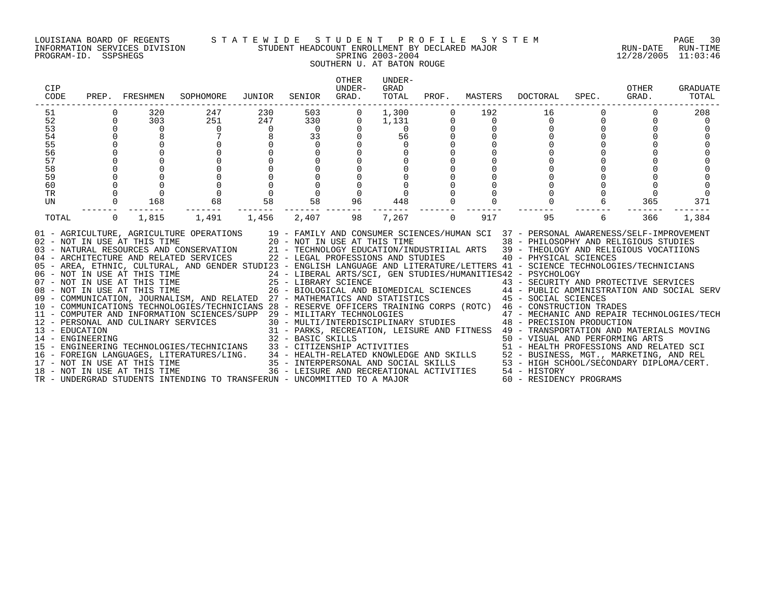# LOUISIANA BOARD OF REGENTS S T A T E W I D E S T U D E N T P R O F I L E S Y S T E M PAGE 30 INFORMATION SERVICES DIVISION STUDENT HEADCOUNT ENROLLMENT BY DECLARED MAJOR RUN-DATE RUN-TIME PROGRAM-ID. SSPSHEGS SPRING 2003-2004 12/28/2005 11:03:46 SOUTHERN U. AT BATON ROUGE

| CIP<br>CODE |                | PREP. FRESHMEN | SOPHOMORE                                                                                                                                                                                                                                                                                                                                                                                                                                                                                                                                                                                                                                                                                                                                                                                                                                                                                                                                                                                                                                                                                                                                                                                                                                | JUNIOR         | SENIOR                             | OTHER<br>UNDER-<br>GRAD. | UNDER-<br>GRAD<br>TOTAL | PROF.    | MASTERS  | DOCTORAL                                                                                                                                                     | SPEC. | OTHER<br>GRAD. | GRADUATE<br>TOTAL |
|-------------|----------------|----------------|------------------------------------------------------------------------------------------------------------------------------------------------------------------------------------------------------------------------------------------------------------------------------------------------------------------------------------------------------------------------------------------------------------------------------------------------------------------------------------------------------------------------------------------------------------------------------------------------------------------------------------------------------------------------------------------------------------------------------------------------------------------------------------------------------------------------------------------------------------------------------------------------------------------------------------------------------------------------------------------------------------------------------------------------------------------------------------------------------------------------------------------------------------------------------------------------------------------------------------------|----------------|------------------------------------|--------------------------|-------------------------|----------|----------|--------------------------------------------------------------------------------------------------------------------------------------------------------------|-------|----------------|-------------------|
| 51          |                | 320            | 247                                                                                                                                                                                                                                                                                                                                                                                                                                                                                                                                                                                                                                                                                                                                                                                                                                                                                                                                                                                                                                                                                                                                                                                                                                      | 230            | 503                                |                          | 1,300                   |          | 192      | 16                                                                                                                                                           |       |                | 208               |
| 52          | $\Omega$       | 303            | 251                                                                                                                                                                                                                                                                                                                                                                                                                                                                                                                                                                                                                                                                                                                                                                                                                                                                                                                                                                                                                                                                                                                                                                                                                                      | 247            | 330                                | $\Omega$                 | 1,131                   |          | $\Omega$ | $\Omega$                                                                                                                                                     |       |                |                   |
| 53          | $\Omega$       | $\Omega$       | $\Omega$                                                                                                                                                                                                                                                                                                                                                                                                                                                                                                                                                                                                                                                                                                                                                                                                                                                                                                                                                                                                                                                                                                                                                                                                                                 | $\overline{0}$ | $\overline{0}$                     |                          | $\Omega$                |          |          |                                                                                                                                                              |       |                |                   |
| 54          | $\Omega$       |                |                                                                                                                                                                                                                                                                                                                                                                                                                                                                                                                                                                                                                                                                                                                                                                                                                                                                                                                                                                                                                                                                                                                                                                                                                                          |                | 33                                 |                          | 56                      |          |          |                                                                                                                                                              |       |                |                   |
| 55          |                |                |                                                                                                                                                                                                                                                                                                                                                                                                                                                                                                                                                                                                                                                                                                                                                                                                                                                                                                                                                                                                                                                                                                                                                                                                                                          |                | $\Omega$                           |                          |                         |          |          |                                                                                                                                                              |       |                |                   |
| 56          |                |                |                                                                                                                                                                                                                                                                                                                                                                                                                                                                                                                                                                                                                                                                                                                                                                                                                                                                                                                                                                                                                                                                                                                                                                                                                                          |                | $\Omega$                           |                          |                         |          |          |                                                                                                                                                              |       |                |                   |
| 57          |                |                |                                                                                                                                                                                                                                                                                                                                                                                                                                                                                                                                                                                                                                                                                                                                                                                                                                                                                                                                                                                                                                                                                                                                                                                                                                          |                | $\Omega$                           |                          |                         |          |          |                                                                                                                                                              |       |                |                   |
| 58          |                |                |                                                                                                                                                                                                                                                                                                                                                                                                                                                                                                                                                                                                                                                                                                                                                                                                                                                                                                                                                                                                                                                                                                                                                                                                                                          |                |                                    |                          |                         |          |          |                                                                                                                                                              |       |                |                   |
| 59          |                |                |                                                                                                                                                                                                                                                                                                                                                                                                                                                                                                                                                                                                                                                                                                                                                                                                                                                                                                                                                                                                                                                                                                                                                                                                                                          |                |                                    |                          |                         |          |          |                                                                                                                                                              |       |                |                   |
| 60          |                |                |                                                                                                                                                                                                                                                                                                                                                                                                                                                                                                                                                                                                                                                                                                                                                                                                                                                                                                                                                                                                                                                                                                                                                                                                                                          |                | $\Omega$                           |                          |                         |          |          |                                                                                                                                                              |       |                |                   |
| TR<br>UN    | $\mathbf 0$    | 168            | 68                                                                                                                                                                                                                                                                                                                                                                                                                                                                                                                                                                                                                                                                                                                                                                                                                                                                                                                                                                                                                                                                                                                                                                                                                                       | 58             | $\mathbf 0$<br>58                  | 96                       |                         |          |          |                                                                                                                                                              |       | 365            | 371               |
|             |                |                |                                                                                                                                                                                                                                                                                                                                                                                                                                                                                                                                                                                                                                                                                                                                                                                                                                                                                                                                                                                                                                                                                                                                                                                                                                          |                |                                    |                          | 448                     |          |          |                                                                                                                                                              |       |                |                   |
| TOTAL       | $\overline{0}$ | 1,815          | 1,491                                                                                                                                                                                                                                                                                                                                                                                                                                                                                                                                                                                                                                                                                                                                                                                                                                                                                                                                                                                                                                                                                                                                                                                                                                    | 1,456          | 2,407                              | 98                       | 7,267                   | $\Omega$ | 917      | 95                                                                                                                                                           | 6     | 366            | 1,384             |
|             |                |                | 01 - AGRICULTURE, AGRICULTURE OPERATIONS<br>02 - NOT IN USE AT THIS TIME 20 - NOT IN USE AT THIS TIME 38 - PHILOSOPHY AND RELIGIOUS STUDIES<br>03 - NATURAL RESOURCES AND CONSERVATION 21 - TECHNOLOGY EDUCATION/INDUSTRIIAL ARTS 39 - THEOLOGY AND RELIGIOUS VOCATIIONS<br>04 - ARCHITECTURE AND RELATED SERVICES<br>05 - AREA, ETHNIC, CULTURAL, AND GENDER STUDI23 - ENGLISH LANGUAGE AND LITERATURE/LETTERS 41 - SCIENCE TECHNOLOGIES/TECHNICIANS<br>06 - NOT IN USE AT THIS TIME 24 - LIBERAL ARTS/SCI, GEN STUDIES/HUMANITIES42 - PSYCHOLOGY<br>07 - NOT IN USE AT THIS TIME 25 - LIBRARY SCIENCE 43 - SECURITY AND PROTECTIVE SERVICES<br>08 - NOT IN USE AT THIS TIME 26 - BIOLOGICAL<br>09 - COMMUNICATION, JOURNALISM, AND RELATED 27 - MATHEMATICS AND STATISTICS 45 - SOCIAL SCIENCES<br>10 - COMMUNICATIONS TECHNOLOGIES/TECHNICIANS 28 - RESERVE OFFICERS TRAINING CORPS (ROTC) 46 - CONSTRUCTION TRADES<br>11 - COMPUTER AND INFORMATION SCIENCES/SUPP 29 - MILITARY TECHNOLOGIES<br>11 - COMPUTER AND INFORMATION SCIENCES/SUPP 29 - MILITARY TECHNOLOGIES<br>12 - PERSONAL AND CULINARY SERVICES<br>13 - EDUCATION AND CULINARY SERVICES<br>14 - ENGINEERING 14 - ENGINEERING 31 - NAKS, RECREATION, LEISURE AND FITNES |                | 22 - LEGAL PROFESSIONS AND STUDIES |                          |                         |          |          | 19 - FAMILY AND CONSUMER SCIENCES/HUMAN SCI 37 - PERSONAL AWARENESS/SELF-IMPROVEMENT<br>40 - PHYSICAL SCIENCES<br>47 - MECHANIC AND REPAIR TECHNOLOGIES/TECH |       |                |                   |
|             |                |                |                                                                                                                                                                                                                                                                                                                                                                                                                                                                                                                                                                                                                                                                                                                                                                                                                                                                                                                                                                                                                                                                                                                                                                                                                                          |                |                                    |                          |                         |          |          |                                                                                                                                                              |       |                |                   |
|             |                |                | TR - UNDERGRAD STUDENTS INTENDING TO TRANSFERUN - UNCOMMITTED TO A MAJOR                                                                                                                                                                                                                                                                                                                                                                                                                                                                                                                                                                                                                                                                                                                                                                                                                                                                                                                                                                                                                                                                                                                                                                 |                |                                    |                          |                         |          |          | 60 - RESIDENCY PROGRAMS                                                                                                                                      |       |                |                   |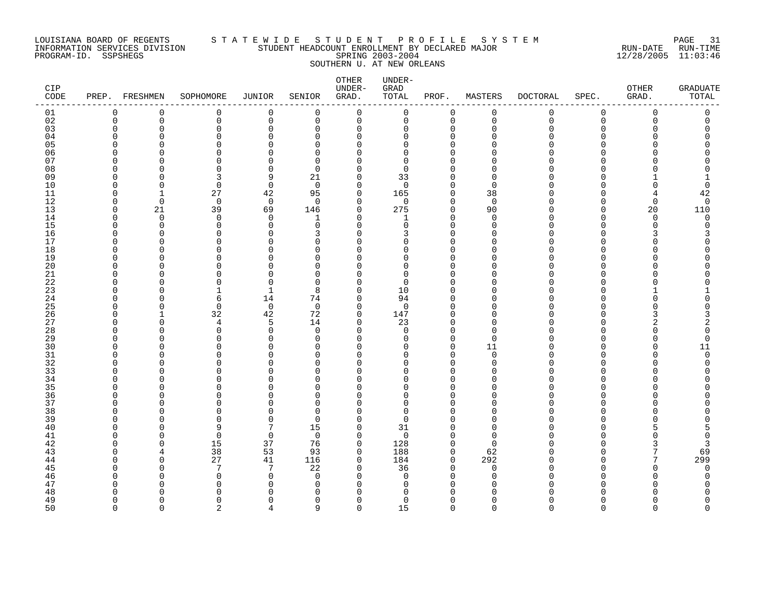# LOUISIANA BOARD OF REGENTS S T A T E W I D E S T U D E N T P R O F I L E S Y S T E M PAGE 31 INFORMATION SERVICES DIVISION STUDENT HEADCOUNT ENROLLMENT BY DECLARED MAJOR RUN-DATE RUN-TIME PROGRAM-ID. SSPSHEGS SPRING 2003-2004 12/28/2005 11:03:46 SOUTHERN U. AT NEW ORLEANS

| CIP<br>CODE    | PREP. FRESHMEN |             | SOPHOMORE     | JUNIOR         | SENIOR         | OTHER<br>UNDER-<br>GRAD. | UNDER-<br>GRAD<br>TOTAL | PROF.                | MASTERS            | <b>DOCTORAL</b> | SPEC.         | OTHER<br>GRAD. | <b>GRADUATE</b><br>TOTAL |
|----------------|----------------|-------------|---------------|----------------|----------------|--------------------------|-------------------------|----------------------|--------------------|-----------------|---------------|----------------|--------------------------|
| 01             | 0              | $\mathbf 0$ | 0             | $\mathbf 0$    | $\mathbf 0$    | $\mathbf 0$              | 0                       | $\mathbf 0$          | $\mathbf 0$        | 0               | 0             | $\mathbf 0$    | 0                        |
| 02             | $\Omega$       | $\Omega$    | $\Omega$      | $\mathbf 0$    | $\Omega$       | $\mathbf 0$              | 0                       | $\mathbf 0$          | $\overline{0}$     | $\Omega$        | $\Omega$      | $\Omega$       | $\Omega$                 |
| 03             | $\cap$         | $\mathbf 0$ | $\mathbf 0$   | $\Omega$       | $\Omega$       | $\Omega$                 | 0                       | $\Omega$             | $\Omega$           |                 | $\Omega$      |                |                          |
| 04             | C              | U           | $\Omega$      | ∩              | ∩              | O                        | 0                       | $\Omega$             | n                  |                 | U             |                | Ω                        |
| 0 <sub>5</sub> | U              | U           | $\Omega$      |                | ∩              | U                        | $\Omega$                | $\Omega$             |                    |                 | n             |                |                          |
| 06<br>07       | U<br>n         | U           | $\Omega$<br>∩ | ∩              | O<br>$\Omega$  | $\Omega$<br>$\Omega$     | 0<br>$\Omega$           | $\Omega$<br>$\Omega$ | ∩                  |                 |               |                |                          |
| 08             | U              | U           | $\Omega$      | $\Omega$       | $\Omega$       | $\Omega$                 | $\Omega$                | $\Omega$             | O                  |                 | <sup>n</sup>  |                |                          |
| 09             | U              |             | 3             | 9              | 21             | $\Omega$                 | 33                      | $\Omega$             | $\cap$             |                 | U             |                |                          |
| 10             | O              | $\Omega$    | 0             | $\mathbf 0$    | $\mathbf 0$    | $\Omega$                 | $\mathbf 0$             | $\mathbf 0$          | $\Omega$           |                 | <sup>n</sup>  |                | 0                        |
| 11             | n              | 1           | 27            | 42             | 95             | $\Omega$                 | 165                     | $\mathbf 0$          | 38                 |                 | n             |                | 42                       |
| 12             | O              | $\Omega$    | $\mathbf 0$   | $\overline{0}$ | $\Omega$       | $\Omega$                 | 0                       | $\mathbf 0$          | $\mathbf 0$        |                 | U             | <sup>0</sup>   | $\mathbf 0$              |
| 13             | O              | 21          | 39            | 69             | 146            | $\mathbf 0$              | 275                     | $\mathbf 0$          | 90                 |                 | $\Omega$      | 20             | 110                      |
| 14             | O              | $\Omega$    | 0             | $\Omega$       | 1              | $\Omega$                 | 1                       | $\Omega$             | $\Omega$           |                 | <sup>n</sup>  | $\Omega$       | $\mathbf 0$              |
| 15             | O              | $\Omega$    | $\Omega$      | $\Omega$       | $\Omega$       | U                        | $\Omega$                | $\Omega$             | $\Omega$           |                 | <sup>n</sup>  | U              | O                        |
| 16             | n              | $\Omega$    | $\Omega$      | O              | 3              | $\Omega$                 | 3                       | $\Omega$             | $\cap$             |                 | U             |                | 3                        |
| 17             | n              | O           | $\Omega$      | ∩              | $\Omega$       | $\Omega$                 | $\Omega$                | $\Omega$             | O                  |                 | $\Omega$      |                |                          |
| 18             | U              | U           | $\Omega$      | C              | O              | ∩                        | $\Omega$                | $\Omega$             |                    |                 | U             |                |                          |
| 19             | n              | U           | $\Omega$      | ∩              | $\Omega$       | 0                        | $\Omega$                | $\Omega$             | n                  |                 | <sup>n</sup>  |                |                          |
| 20             | ∩              | U           | ∩             | ∩              | ∩              | Λ                        | $\Omega$                | $\Omega$             | ∩                  |                 |               |                |                          |
| 21             | n              | U           | $\Omega$      | C              | $\Omega$       | $\Omega$                 | $\Omega$                | $\Omega$             | n                  |                 | <sup>n</sup>  |                |                          |
| 22             | ∩              | U           | $\Omega$      | ∩              | $\Omega$       | $\Omega$                 | $\Omega$                | $\Omega$             | ∩                  |                 | U             |                |                          |
| 23             | U              | ∩           | 1             |                | 8              | $\Omega$                 | 10                      | $\Omega$             | n                  |                 | U             |                |                          |
| 24             | n              | U           | 6             | 14             | 74             | $\Omega$                 | 94                      | $\Omega$             | n                  |                 | <sup>0</sup>  |                | Ω                        |
| 25             | n              | U           | $\Omega$      | 0              | $\Omega$       | $\Omega$                 | $\mathbf 0$             | $\Omega$             | ∩                  |                 | U             |                |                          |
| 26<br>27       | O<br>n         | 1<br>U      | 32<br>4       | 42<br>5        | 72<br>14       | 0<br>$\Omega$            | 147<br>23               | $\Omega$<br>$\Omega$ | $\Omega$<br>$\cap$ |                 | $\Omega$<br>U |                | 3<br>2                   |
| 28             | O              | U           | $\Omega$      | $\Omega$       | $\Omega$       | $\Omega$                 | $\Omega$                | $\Omega$             | $\cap$             |                 | U             |                | 0                        |
| 29             | ∩              | U           | $\Omega$      | O              | $\Omega$       | $\Omega$                 | $\Omega$                | $\mathbf 0$          | $\Omega$           |                 | U             |                | $\Omega$                 |
| 30             |                | ∩           | ∩             | C              | ∩              | U                        | $\Omega$                | $\Omega$             | 11                 |                 | U             |                | 11                       |
| 31             | U              | O           | 0             | O              | O              | O                        | 0                       | 0                    | $\mathbf 0$        |                 | <sup>0</sup>  |                | 0                        |
| 32             | C              |             | $\Omega$      |                | O              | $\Omega$                 | $\Omega$                | $\Omega$             | $\Omega$           |                 | U             |                | O                        |
| 33             | n              | U           | $\Omega$      | ∩              | $\Omega$       | U                        | $\Omega$                | $\Omega$             | n                  |                 | U             |                |                          |
| 34             | n              | ∩           | $\Omega$      | ∩              | ∩              | $\Omega$                 | $\Omega$                | $\Omega$             | $\cap$             |                 | <sup>n</sup>  |                |                          |
| 35             | C              | U           | ∩             |                | ∩              | U                        | U                       | $\Omega$             | n                  |                 | <sup>n</sup>  |                |                          |
| 36             | ∩              | U           | $\Omega$      | ∩              | ∩              | $\Omega$                 | $\Omega$                | $\Omega$             | $\cap$             |                 | <sup>n</sup>  |                |                          |
| 37             | O              | U           | $\Omega$      |                | $\Omega$       | $\Omega$                 | 0                       | $\Omega$             | $\cap$             |                 | <sup>n</sup>  |                |                          |
| 38             | U              | U           | $\Omega$      | C              | O              | Ω                        | $\Omega$                | <sup>0</sup>         |                    |                 | U             |                |                          |
| 39             | U              | O           | $\Omega$      | $\Omega$       | $\Omega$       | $\Omega$                 | $\Omega$                | $\Omega$             | n                  |                 | U             |                |                          |
| 40             | n              | U           | 9             | 7              | 15             | $\Omega$                 | 31                      | $\Omega$             | n                  |                 | U             |                |                          |
| 41             | n              | ∩           | $\Omega$      | $\Omega$       | $\Omega$       | $\Omega$                 | $\mathbf 0$             | $\Omega$             | $\cap$             |                 | n             |                | 0                        |
| 42             | ∩              | U           | 15            | 37             | 76             | $\Omega$                 | 128                     | $\mathbf 0$          | $\Omega$           |                 | U             |                | 3                        |
| 43             | ∩              |             | 38            | 53             | 93             | $\Omega$                 | 188                     | $\Omega$             | 62                 |                 | U             | 7              | 69                       |
| 44             | O              | $\Omega$    | 27            | 41             | 116            | 0                        | 184                     | $\mathbf 0$          | 292                |                 | $\Omega$      | 7              | 299                      |
| 45             | U              | U<br>U      | 7<br>0        | 7<br>$\Omega$  | 22<br>$\Omega$ | $\Omega$<br>$\Omega$     | 36<br>0                 | 0<br>$\Omega$        | 0<br>$\Omega$      |                 | U<br>U        |                | 0                        |
| 46<br>47       | ſ              |             | $\Omega$      | ∩              | O              | ∩                        | 0                       | $\Omega$             | ∩                  |                 |               |                | 0                        |
| 48             |                |             | ∩             |                | ∩              |                          | U                       |                      |                    |                 |               |                |                          |
| 49             | O              | $\Omega$    | $\Omega$      | ∩              | $\Omega$       | $\Omega$                 | $\Omega$                | $\Omega$             | ∩                  |                 | <sup>n</sup>  |                | U                        |
| 50             | $\cap$         | $\Omega$    | $\mathcal{D}$ | Δ              | $\mathsf{Q}$   | $\Omega$                 | 15                      | $\Omega$             | $\Omega$           | $\Omega$        | $\Omega$      | $\cap$         | $\Omega$                 |
|                |                |             |               |                |                |                          |                         |                      |                    |                 |               |                |                          |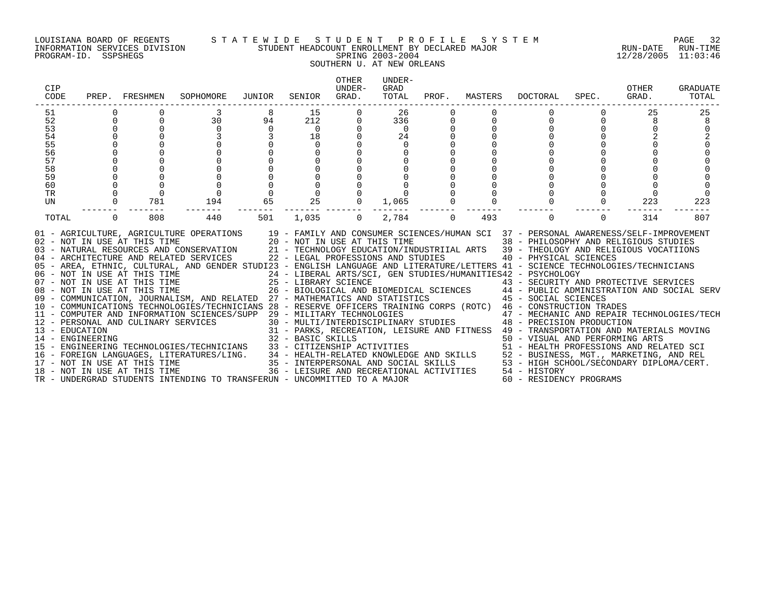# LOUISIANA BOARD OF REGENTS S T A T E W I D E S T U D E N T P R O F I L E S Y S T E M PAGE 32 INFORMATION SERVICES DIVISION STUDENT HEADCOUNT ENROLLMENT BY DECLARED MAJOR RUN-DATE RUN-TIME PROGRAM-ID. SSPSHEGS SPRING 2003-2004 12/28/2005 11:03:46 SOUTHERN U. AT NEW ORLEANS

| CIP<br>CODE |              | PREP. FRESHMEN | SOPHOMORE                                                                                                                                                                                                                                                                                                                                                                                                                                                                                                                                                                                                                                                                                                                                                                                                                                                                                                                                                                                                                                                                                                                              | JUNIOR   | SENIOR    | <b>OTHER</b><br>IJNDER-<br>GRAD. | UNDER-<br>GRAD<br>TOTAL |             |     | PROF. MASTERS DOCTORAL                                                | SPEC. | OTHER<br>GRAD. | <b>GRADUATE</b><br>TOTAL |
|-------------|--------------|----------------|----------------------------------------------------------------------------------------------------------------------------------------------------------------------------------------------------------------------------------------------------------------------------------------------------------------------------------------------------------------------------------------------------------------------------------------------------------------------------------------------------------------------------------------------------------------------------------------------------------------------------------------------------------------------------------------------------------------------------------------------------------------------------------------------------------------------------------------------------------------------------------------------------------------------------------------------------------------------------------------------------------------------------------------------------------------------------------------------------------------------------------------|----------|-----------|----------------------------------|-------------------------|-------------|-----|-----------------------------------------------------------------------|-------|----------------|--------------------------|
| 51          |              |                |                                                                                                                                                                                                                                                                                                                                                                                                                                                                                                                                                                                                                                                                                                                                                                                                                                                                                                                                                                                                                                                                                                                                        |          | 15        |                                  | 26                      |             |     |                                                                       |       | 25             | 25                       |
| 52          | $\Omega$     |                | 30                                                                                                                                                                                                                                                                                                                                                                                                                                                                                                                                                                                                                                                                                                                                                                                                                                                                                                                                                                                                                                                                                                                                     | 94       | 212       |                                  | 336                     |             |     |                                                                       |       | 8              | 8                        |
| 53          | $\Omega$     |                | $\Omega$                                                                                                                                                                                                                                                                                                                                                                                                                                                                                                                                                                                                                                                                                                                                                                                                                                                                                                                                                                                                                                                                                                                               | $\Omega$ | $\bigcap$ |                                  | $\Omega$                |             |     |                                                                       |       |                | $\Omega$                 |
| 54          |              |                |                                                                                                                                                                                                                                                                                                                                                                                                                                                                                                                                                                                                                                                                                                                                                                                                                                                                                                                                                                                                                                                                                                                                        |          | 18        |                                  | 24                      |             |     |                                                                       |       |                |                          |
| 55          |              |                |                                                                                                                                                                                                                                                                                                                                                                                                                                                                                                                                                                                                                                                                                                                                                                                                                                                                                                                                                                                                                                                                                                                                        |          | $\Omega$  |                                  | $\Omega$                |             |     |                                                                       |       |                |                          |
| 56          |              |                |                                                                                                                                                                                                                                                                                                                                                                                                                                                                                                                                                                                                                                                                                                                                                                                                                                                                                                                                                                                                                                                                                                                                        |          | $\Omega$  |                                  |                         |             |     |                                                                       |       |                |                          |
| 57          |              |                |                                                                                                                                                                                                                                                                                                                                                                                                                                                                                                                                                                                                                                                                                                                                                                                                                                                                                                                                                                                                                                                                                                                                        |          | $\Omega$  |                                  |                         |             |     |                                                                       |       |                |                          |
| 58          |              |                |                                                                                                                                                                                                                                                                                                                                                                                                                                                                                                                                                                                                                                                                                                                                                                                                                                                                                                                                                                                                                                                                                                                                        |          |           |                                  |                         |             |     |                                                                       |       |                |                          |
| 59          |              |                |                                                                                                                                                                                                                                                                                                                                                                                                                                                                                                                                                                                                                                                                                                                                                                                                                                                                                                                                                                                                                                                                                                                                        |          |           |                                  |                         |             |     |                                                                       |       |                |                          |
| 60          |              |                |                                                                                                                                                                                                                                                                                                                                                                                                                                                                                                                                                                                                                                                                                                                                                                                                                                                                                                                                                                                                                                                                                                                                        |          |           |                                  |                         |             |     |                                                                       |       |                |                          |
| TR          |              |                | $\Omega$                                                                                                                                                                                                                                                                                                                                                                                                                                                                                                                                                                                                                                                                                                                                                                                                                                                                                                                                                                                                                                                                                                                               |          | $\Omega$  |                                  |                         |             |     |                                                                       |       |                |                          |
| UN          | $\mathbf{0}$ | 781            | 194                                                                                                                                                                                                                                                                                                                                                                                                                                                                                                                                                                                                                                                                                                                                                                                                                                                                                                                                                                                                                                                                                                                                    | 65       | 25        | $\Omega$                         | 1,065                   |             |     |                                                                       |       | 223            | 223                      |
| TOTAL       | $\Omega$     | 808            | 440                                                                                                                                                                                                                                                                                                                                                                                                                                                                                                                                                                                                                                                                                                                                                                                                                                                                                                                                                                                                                                                                                                                                    | 501      | 1,035     | $\Omega$                         | 2,784                   | $\mathbf 0$ | 493 |                                                                       | 0     | 314            | 807                      |
|             |              |                | 01 - AGRICULTURE, AGRICULTURE OPERATIONS 19 - FAMILY AND CONSUMER SCIENCES/HUMAN SCI 37 - PERSONAL AWARENESS/SELF-IMPROVEMENT<br>02 - NOT IN USE AT THIS TIME<br>03 - NATURAL RESOURCES AND CONSERVATION<br>04 - ARCHITECTURE AND RELATED SERVICES<br>04 - ARCHITECTURE AND RELATED SERVICES<br>04 - ARCHITECTURE AND RELATED SERVICES<br>04 - ARCHITECTURE AND RELATED SERVIC<br>05 - AREA, ETHNIC, CULTURAL, AND GENDER STUDI23 - ENGLISH LANGUAGE AND LITERATURE/LETTERS 41 - SCIENCE TECHNOLOGIES/TECHNICIANS<br>09 - COMMUNICATION, JOURNALISM, AND RELATED 27 - MATHEMATICS AND STATISTICS 45 - SOCIAL SCIENCES<br>10 - COMMUNICATIONS TECHNOLOGIES/TECHNICIANS 28 - RESERVE OFFICERS TRAINING CORPS (ROTC) 46 - CONSTRUCTION TRADES<br>11 - COMPUTER AND INFORMATION SCIENCES/SUPP 29 - MILITARY TECHNOLOGIES<br>11 - COMPUTER AND INFORMATION SCIENCES/SUPP 29 - MILITIARY TECHNOLOGIES<br>12 - PERSONAL AND CULINARY SERVICES 31 - PARKS, RECREATION, LEISURE AND FITNESS 49 - TRANSPORTATION AND MATERIALS MOVING<br>14 - ENGINEERING 32 - BASIC<br>TR - UNDERGRAD STUDENTS INTENDING TO TRANSFERUN - UNCOMMITTED TO A MAJOR |          |           |                                  |                         |             |     | 47 - MECHANIC AND REPAIR TECHNOLOGIES/TECH<br>60 - RESIDENCY PROGRAMS |       |                |                          |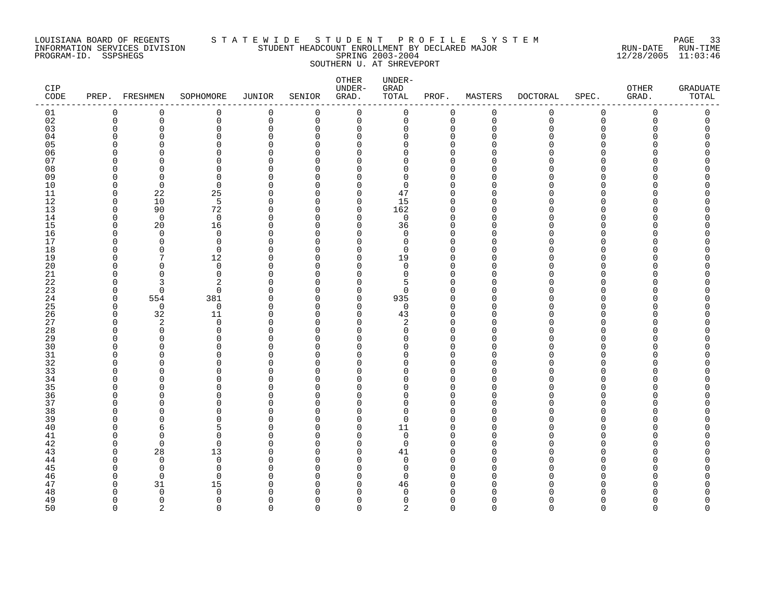# LOUISIANA BOARD OF REGENTS S T A T E W I D E S T U D E N T P R O F I L E S Y S T E M PAGE 33 INFORMATION SERVICES DIVISION STUDENT HEADCOUNT ENROLLMENT BY DECLARED MAJOR RUN-DATE RUN-TIME PROGRAM-ID. SSPSHEGS SPRING 2003-2004 12/28/2005 11:03:46 SOUTHERN U. AT SHREVEPORT

| CIP<br>CODE          | PREP. FRESHMEN       |                      | SOPHOMORE            | JUNIOR      | SENIOR               | OTHER<br>UNDER-<br>GRAD. | UNDER-<br>GRAD<br>TOTAL    | PROF.                | MASTERS        | <b>DOCTORAL</b> | SPEC.                        | OTHER<br>GRAD. | <b>GRADUATE</b><br>TOTAL |
|----------------------|----------------------|----------------------|----------------------|-------------|----------------------|--------------------------|----------------------------|----------------------|----------------|-----------------|------------------------------|----------------|--------------------------|
| 01                   | 0                    | $\mathbf 0$          | 0                    | 0           | $\mathbf 0$          | $\mathbf 0$              | 0                          | $\mathbf 0$          | $\mathbf 0$    | 0               | 0                            | $\mathbf 0$    | 0                        |
| 02                   | $\overline{0}$       | $\mathbf 0$          | $\mathbf 0$          | $\mathbf 0$ | $\Omega$             | $\mathbf 0$              | 0                          | $\mathbf 0$          | $\overline{0}$ | $\Omega$        | $\Omega$                     | $\Omega$       | $\Omega$                 |
| 03                   | $\Omega$             | $\mathbf 0$          | $\mathbf 0$          | $\Omega$    | $\Omega$             | $\Omega$                 | 0                          | $\Omega$             | $\Omega$       | N               | $\Omega$                     |                |                          |
| 04                   | n                    | U                    | $\Omega$             | ∩           | ∩                    | $\Omega$                 | 0                          | $\Omega$             | ∩              |                 | U                            |                | Ω                        |
| 0 <sub>5</sub><br>06 | U<br>U               | U<br>U               | $\Omega$<br>$\Omega$ | ∩           | ∩<br>∩               | $\Omega$<br>$\Omega$     | $\Omega$<br>$\Omega$       | $\Omega$<br>$\Omega$ | ∩              |                 | n<br>n                       |                |                          |
| 07                   | n                    | O                    | $\Omega$             |             | ∩                    | $\Omega$                 | <sup>n</sup>               | $\Omega$             |                |                 | n                            |                |                          |
| 08                   | O                    | $\cap$               | $\Omega$             | C           | ∩                    | U                        | $\Omega$                   | $\Omega$             | ∩              |                 | <sup>n</sup>                 |                |                          |
| 09                   | O                    | $\Omega$             | $\Omega$             | ∩           | ∩                    | $\Omega$                 | $\Omega$                   | $\Omega$             |                |                 | U                            |                |                          |
| 10                   | $\Omega$             | $\Omega$             | $\mathbf 0$          | $\Omega$    | $\Omega$             | $\Omega$                 | 0                          | $\Omega$             | n              |                 | <sup>n</sup>                 |                |                          |
| 11                   | $\Omega$             | 22                   | 25                   | O           | O                    | $\Omega$                 | 47                         | $\Omega$             | $\cap$         |                 | U                            |                |                          |
| 12                   | $\Omega$             | 10                   | 5                    | O           | O                    | 0                        | 15                         | $\Omega$             | O              |                 | U                            |                |                          |
| 13                   | $\Omega$             | 90                   | 72                   | O           | O                    | 0                        | 162                        | $\Omega$             | $\cap$         |                 | $\Omega$                     |                |                          |
| 14                   | $\Omega$             | $\Omega$             | $\mathbf 0$          | ∩           | O                    | $\Omega$                 | 0                          | $\Omega$             | $\cap$         |                 | <sup>n</sup>                 |                |                          |
| 15                   | O                    | 20                   | 16                   | ∩           | ∩                    | $\Omega$                 | 36                         | $\Omega$             | n              |                 | <sup>n</sup>                 |                |                          |
| 16                   | O                    | $\Omega$             | $\Omega$             | ∩           | ∩                    | $\Omega$                 | $\Omega$                   | $\Omega$             | n              |                 | U                            |                |                          |
| 17                   | O                    | $\Omega$             | $\mathbf 0$          | O           | $\Omega$             | $\Omega$                 | 0                          | $\Omega$             | n              |                 | $\Omega$                     |                |                          |
| 18                   | n                    | $\Omega$             | 0                    | O           | ∩                    | $\Omega$                 | 0                          | $\Omega$             |                |                 | U                            |                |                          |
| 19                   | n                    | 7                    | 12                   | O           | O                    | $\Omega$                 | 19                         | $\Omega$             | n              |                 | <sup>n</sup>                 |                |                          |
| 20                   | n<br>n               | $\Omega$<br>$\Omega$ | 0<br>$\Omega$        | ∩<br>C      | ∩<br>∩               | $\Omega$<br>$\Omega$     | 0<br>$\Omega$              | $\Omega$<br>$\Omega$ | ∩<br>n         |                 | n<br><sup>n</sup>            |                |                          |
| 21<br>22             | n                    |                      | $\overline{c}$       | ∩           | ∩                    | $\Omega$                 | 5                          | $\Omega$             | ∩              |                 | <sup>n</sup>                 |                |                          |
| 23                   | $\cap$               | $\Omega$             | $\Omega$             | C           | ∩                    | $\Omega$                 | $\Omega$                   | $\Omega$             | n              |                 | U                            |                |                          |
| 24                   | 0                    | 554                  | 381                  | O           | 0                    | $\Omega$                 | 935                        | $\Omega$             | n              |                 | U                            |                |                          |
| 25                   | $\Omega$             | $\overline{0}$       | $\mathbf 0$          | O           | ∩                    | $\Omega$                 | 0                          | $\Omega$             | ∩              |                 | U                            |                |                          |
| 26                   | $\Omega$             | 32                   | 11                   | O           | O                    | 0                        | 43                         | $\Omega$             | $\cap$         |                 | $\Omega$                     |                |                          |
| 27                   | $\cap$               | 2                    | $\Omega$             | ∩           | ∩                    | $\Omega$                 | 2                          | $\Omega$             | ∩              |                 | U                            |                |                          |
| 28                   | O                    | $\Omega$             | $\Omega$             | C           | ∩                    | $\Omega$                 | $\Omega$                   | $\Omega$             | ∩              |                 | U                            |                |                          |
| 29                   | n                    | $\Omega$             | $\Omega$             | ∩           | ∩                    | $\Omega$                 | $\Omega$                   | $\Omega$             | n              |                 | U                            |                |                          |
| 30                   | ∩                    | ∩                    | $\Omega$             | C           | ∩                    | U                        | $\Omega$                   | $\Omega$             | ∩              |                 | U                            |                |                          |
| 31                   | O                    | O                    | 0                    | C           | O                    | O                        | 0                          | $\Omega$             | n              |                 | <sup>0</sup>                 |                |                          |
| 32                   | n                    | O                    | $\Omega$             |             | n                    | $\Omega$                 | $\Omega$                   | $\Omega$             | ∩              |                 | <sup>n</sup>                 |                |                          |
| 33                   | n                    | U                    | $\Omega$             | ∩           | ∩                    | U                        | $\Omega$                   | $\Omega$             | n              |                 | <sup>n</sup>                 |                |                          |
| 34                   | n<br>n               | U<br>U               | $\Omega$<br>$\Omega$ | ∩           | ∩<br>∩               | $\Omega$<br>U            | $\Omega$<br><sup>n</sup>   | $\Omega$<br>$\Omega$ | ∩<br>n         |                 | <sup>n</sup><br><sup>n</sup> |                |                          |
| 35<br>36             | O                    | U                    | $\Omega$             | ∩           | ∩                    | $\Omega$                 | $\Omega$                   | $\Omega$             | $\cap$         |                 | <sup>n</sup>                 |                |                          |
| 37                   | O                    | U                    | $\Omega$             | C           | $\Omega$             | $\Omega$                 | 0                          | $\Omega$             | $\cap$         |                 | <sup>n</sup>                 |                |                          |
| 38                   | n                    | U                    | $\Omega$             | C           | ∩                    | U                        | $\Omega$                   | $\Omega$             |                |                 | U                            |                |                          |
| 39                   | n                    | O                    | $\Omega$             | C           | ∩                    | $\Omega$                 | $\Omega$                   | $\Omega$             | n              |                 | U                            |                |                          |
| 40                   | n                    | 6                    | 5                    | C           | O                    | $\Omega$                 | 11                         | $\Omega$             | ∩              |                 | <sup>n</sup>                 |                |                          |
| 41                   | O                    | $\Omega$             | $\Omega$             | C           | ∩                    | $\Omega$                 | $\mathbf 0$                | $\Omega$             |                |                 | U                            |                |                          |
| 42                   | O                    | $\Omega$             | $\Omega$             | ∩           | $\Omega$             | $\Omega$                 | 0                          | $\Omega$             | n              |                 | <sup>n</sup>                 |                |                          |
| 43                   | O                    | 28                   | 13                   | O           | ∩                    | $\Omega$                 | 41                         | $\Omega$             | n              |                 | U                            |                |                          |
| 44                   | O                    | $\overline{0}$       | $\mathbf 0$          | $\Omega$    | $\Omega$             | $\Omega$                 | 0                          | $\Omega$             | O              |                 | $\Omega$                     |                |                          |
| 45                   | O                    | $\Omega$             | 0                    | C           | ∩                    | O                        | 0                          | $\Omega$             | ∩              |                 | U                            |                |                          |
| 46                   | O                    | $\Omega$             | $\Omega$             |             | ∩                    | $\Omega$                 | $\Omega$                   | $\Omega$             | O              |                 | U                            |                |                          |
| 47                   | O                    | 31                   | 15                   | ∩           | ∩                    | $\Omega$                 | 46                         | $\Omega$             | ∩              |                 | n                            |                |                          |
| 48                   | O                    | $\Omega$             | $\Omega$             | C           | ∩                    | ∩                        | $\Omega$                   | $\Omega$             |                |                 |                              |                |                          |
| 49<br>50             | $\Omega$<br>$\Omega$ | $\Omega$<br>2        | $\Omega$<br>$\cap$   | O<br>$\cap$ | $\Omega$<br>$\Omega$ | $\Omega$<br>$\Omega$     | $\Omega$<br>$\overline{2}$ | $\Omega$<br>$\Omega$ | ∩<br>$\cap$    | $\Omega$        | <sup>n</sup><br>$\cap$       | $\cap$         | Ω<br>$\Omega$            |
|                      |                      |                      |                      |             |                      |                          |                            |                      |                |                 |                              |                |                          |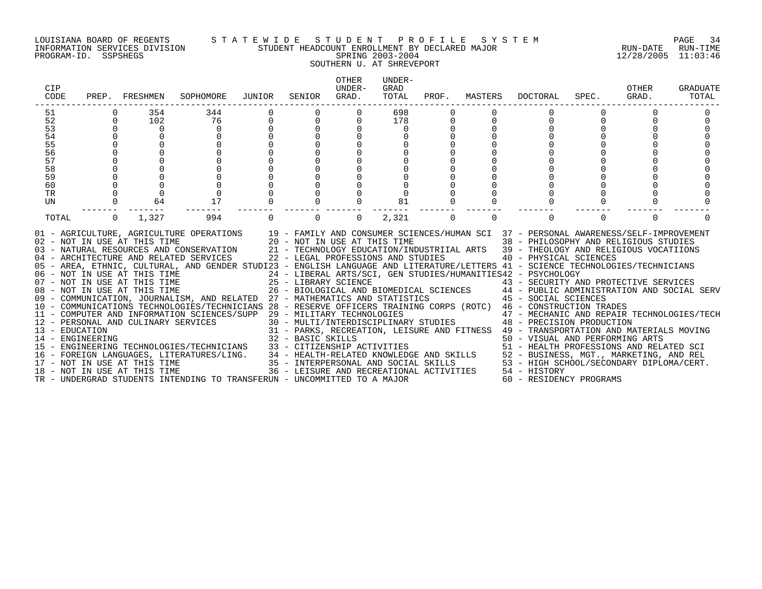# LOUISIANA BOARD OF REGENTS S T A T E W I D E S T U D E N T P R O F I L E S Y S T E M PAGE 34 INFORMATION SERVICES DIVISION STUDENT HEADCOUNT ENROLLMENT BY DECLARED MAJOR RUN-DATE RUN-TIME PROGRAM-ID. SSPSHEGS SPRING 2003-2004 12/28/2005 11:03:46 SOUTHERN U. AT SHREVEPORT

| CIP<br>CODE      | PREP.        | FRESHMEN                     | SOPHOMORE                                                                                                                                                                                                                                                                                                                                                                                                                                                                                               | JUNIOR | SENIOR                                                             | <b>OTHER</b><br>UNDER-<br>GRAD. | UNDER-<br>GRAD<br>TOTAL | PROF. | MASTERS | <b>DOCTORAL</b>                                                                                                                                                                                                                          | SPEC.    | OTHER<br>GRAD. | GRADUATE<br>TOTAL |
|------------------|--------------|------------------------------|---------------------------------------------------------------------------------------------------------------------------------------------------------------------------------------------------------------------------------------------------------------------------------------------------------------------------------------------------------------------------------------------------------------------------------------------------------------------------------------------------------|--------|--------------------------------------------------------------------|---------------------------------|-------------------------|-------|---------|------------------------------------------------------------------------------------------------------------------------------------------------------------------------------------------------------------------------------------------|----------|----------------|-------------------|
| 51               |              | 354                          | 344                                                                                                                                                                                                                                                                                                                                                                                                                                                                                                     |        |                                                                    | 0                               | 698                     |       |         |                                                                                                                                                                                                                                          |          |                |                   |
| 52               | $\Omega$     | 102                          | 76                                                                                                                                                                                                                                                                                                                                                                                                                                                                                                      |        | $\Omega$                                                           |                                 | 178                     |       |         |                                                                                                                                                                                                                                          |          |                |                   |
| 53               |              | $\Omega$                     | $\Omega$                                                                                                                                                                                                                                                                                                                                                                                                                                                                                                |        | $\Omega$                                                           |                                 | $\Omega$                |       |         |                                                                                                                                                                                                                                          |          |                |                   |
| 54               |              | $\Omega$                     | $\Omega$                                                                                                                                                                                                                                                                                                                                                                                                                                                                                                |        | $\Omega$                                                           |                                 |                         |       |         |                                                                                                                                                                                                                                          |          |                |                   |
| 55               |              |                              |                                                                                                                                                                                                                                                                                                                                                                                                                                                                                                         |        |                                                                    |                                 |                         |       |         |                                                                                                                                                                                                                                          |          |                |                   |
| 56               |              |                              |                                                                                                                                                                                                                                                                                                                                                                                                                                                                                                         |        |                                                                    |                                 |                         |       |         |                                                                                                                                                                                                                                          |          |                |                   |
| 57               |              |                              |                                                                                                                                                                                                                                                                                                                                                                                                                                                                                                         |        |                                                                    |                                 |                         |       |         |                                                                                                                                                                                                                                          |          |                |                   |
| 58               |              |                              |                                                                                                                                                                                                                                                                                                                                                                                                                                                                                                         |        |                                                                    |                                 |                         |       |         |                                                                                                                                                                                                                                          |          |                |                   |
| 59               |              |                              |                                                                                                                                                                                                                                                                                                                                                                                                                                                                                                         |        |                                                                    |                                 |                         |       |         |                                                                                                                                                                                                                                          |          |                |                   |
| 60               |              |                              |                                                                                                                                                                                                                                                                                                                                                                                                                                                                                                         |        |                                                                    |                                 |                         |       |         |                                                                                                                                                                                                                                          |          |                |                   |
| TR               |              | $\Omega$                     |                                                                                                                                                                                                                                                                                                                                                                                                                                                                                                         |        |                                                                    |                                 |                         |       |         |                                                                                                                                                                                                                                          |          |                |                   |
| UN               |              | 64                           | 17                                                                                                                                                                                                                                                                                                                                                                                                                                                                                                      |        |                                                                    |                                 | 81                      |       |         |                                                                                                                                                                                                                                          |          |                |                   |
| TOTAL            | $\mathbf{0}$ | 1,327                        | 994                                                                                                                                                                                                                                                                                                                                                                                                                                                                                                     |        | $\Omega$                                                           | 0                               | 2,321                   | 0     | 0       |                                                                                                                                                                                                                                          | $\Omega$ | $\Omega$       |                   |
|                  |              | 02 - NOT IN USE AT THIS TIME | 01 - AGRICULTURE, AGRICULTURE OPERATIONS 19 - FAMILY AND CONSUMER SCIENCES/HUMAN SCI 37 - PERSONAL AWARENESS/SELF-IMPROVEMENT<br>03 - NATURAL RESOURCES AND CONSERVATION 21 - TECHNOLOGY EDUCATION/INDUSTRIIAL ARTS 39 - THEOLOGY AND RELIGIOUS VOCATIIONS<br>04 - ARCHITECTURE AND RELATED SERVICES<br>05 - AREA, ETHNIC, CULTURAL, AND GENDER STUDI23 - ENGLISH LANGUAGE AND LITERATURE/LETTERS 41 - SCIENCE TECHNOLOGIES/TECHNICIANS<br>06 - NOT IN USE AT THIS TIME<br>07 - NOT IN USE AT THIS TIME |        | 20 - NOT IN USE AT THIS TIME<br>22 - LEGAL PROFESSIONS AND STUDIES |                                 |                         |       |         | 38 - PHILOSOPHY AND RELIGIOUS STUDIES<br>40 - PHYSICAL SCIENCES<br>24 - LIBERAL ARTS/SCI, GEN STUDIES/HUMANITIES42 - PSYCHOLOGY                                                                                                          |          |                |                   |
|                  |              |                              |                                                                                                                                                                                                                                                                                                                                                                                                                                                                                                         |        | 25 - LIBRARY SCIENCE                                               |                                 |                         |       |         | 43 - SECURITY AND PROTECTIVE SERVICES                                                                                                                                                                                                    |          |                |                   |
|                  |              |                              | 08 - NOT IN USE AT THIS TIME<br>09 - COMMUNICATION, JOURNALISM, AND RELATED 27 - MATHEMATICS AND STATISTICS 45 - SOCIAL SCIENCES                                                                                                                                                                                                                                                                                                                                                                        |        |                                                                    |                                 |                         |       |         | 26 - BIOLOGICAL AND BIOMEDICAL SCIENCES 44 - PUBLIC ADMINISTRATION AND SOCIAL SERV                                                                                                                                                       |          |                |                   |
|                  |              |                              | 10 - COMMUNICATIONS TECHNOLOGIES/TECHNICIANS 28 - RESERVE OFFICERS TRAINING CORPS (ROTC) 46 - CONSTRUCTION TRADES                                                                                                                                                                                                                                                                                                                                                                                       |        |                                                                    |                                 |                         |       |         |                                                                                                                                                                                                                                          |          |                |                   |
|                  |              |                              | 11 - COMPUTER AND INFORMATION SCIENCES/SUPP 29 - MILITARY TECHNOLOGIES                                                                                                                                                                                                                                                                                                                                                                                                                                  |        |                                                                    |                                 |                         |       |         |                                                                                                                                                                                                                                          |          |                |                   |
|                  |              |                              |                                                                                                                                                                                                                                                                                                                                                                                                                                                                                                         |        |                                                                    |                                 |                         |       |         | 47 - MECHANIC AND REPAIR TECHNOLOGIES/TECH<br>30 - MULTI/INTERDISCIPLINARY STUDIES 48 - PRECISION PRODUCTION                                                                                                                             |          |                |                   |
| 13 - EDUCATION   |              |                              | 12 - PERSONAL AND CULINARY SERVICES                                                                                                                                                                                                                                                                                                                                                                                                                                                                     |        |                                                                    |                                 |                         |       |         | 31 - PARKS, RECREATION, LEISURE AND FITNESS 49 - TRANSPORTATION AND MATERIALS MOVING                                                                                                                                                     |          |                |                   |
| 14 - ENGINEERING |              |                              |                                                                                                                                                                                                                                                                                                                                                                                                                                                                                                         |        | 32 - BASIC SKILLS                                                  |                                 |                         |       |         |                                                                                                                                                                                                                                          |          |                |                   |
|                  |              |                              | 15 - ENGINEERING TECHNOLOGIES/TECHNICIANS                                                                                                                                                                                                                                                                                                                                                                                                                                                               |        |                                                                    |                                 |                         |       |         | 50 - VISUAL AND PERFORMING ARTS                                                                                                                                                                                                          |          |                |                   |
|                  |              |                              | 16 - FOREIGN LANGUAGES, LITERATURES/LING.                                                                                                                                                                                                                                                                                                                                                                                                                                                               |        |                                                                    |                                 |                         |       |         |                                                                                                                                                                                                                                          |          |                |                   |
|                  |              |                              |                                                                                                                                                                                                                                                                                                                                                                                                                                                                                                         |        |                                                                    |                                 |                         |       |         |                                                                                                                                                                                                                                          |          |                |                   |
|                  |              |                              | 17 - NOT IN USE AT THIS TIME<br>18 - NOT IN USE AT THIS TIME                                                                                                                                                                                                                                                                                                                                                                                                                                            |        |                                                                    |                                 |                         |       |         | 33 - CITIZENSHIP ACTIVITIES<br>34 - HEALTH-RELATED KNOWLEDGE AND SKILLS<br>35 - INTERPERSONAL AND SOCIAL SKILLS<br>36 - LEISURE AND RECREATIONAL ACTIVITIES<br>36 - LEISURE AND RECREATIONAL ACTIVITIES<br>36 - LEISURE AND RECREATIONAL |          |                |                   |
|                  |              |                              | TR - UNDERGRAD STUDENTS INTENDING TO TRANSFERUN - UNCOMMITTED TO A MAJOR                                                                                                                                                                                                                                                                                                                                                                                                                                |        |                                                                    |                                 |                         |       |         | 60 - RESIDENCY PROGRAMS                                                                                                                                                                                                                  |          |                |                   |
|                  |              |                              |                                                                                                                                                                                                                                                                                                                                                                                                                                                                                                         |        |                                                                    |                                 |                         |       |         |                                                                                                                                                                                                                                          |          |                |                   |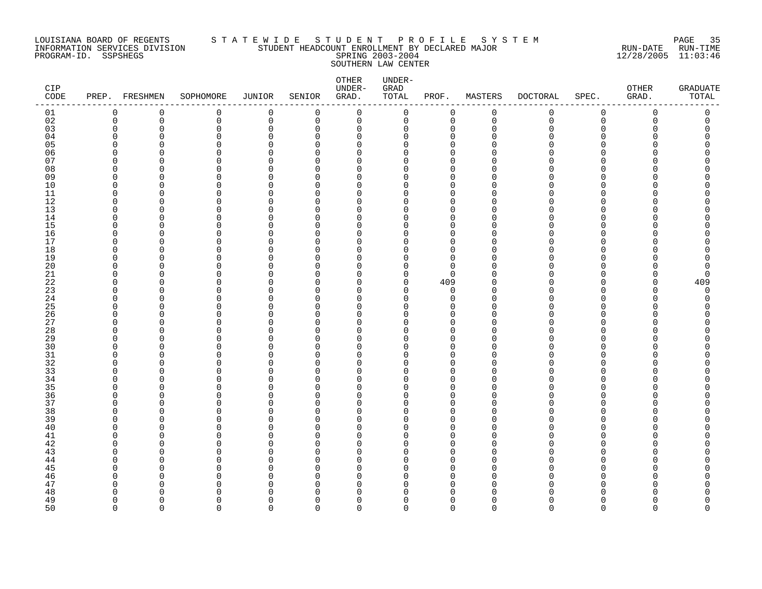# LOUISIANA BOARD OF REGENTS S T A T E W I D E S T U D E N T P R O F I L E S Y S T E M PAGE 35 INFORMATION SERVICES DIVISION STUDENT HEADCOUNT ENROLLMENT BY DECLARED MAJOR RUN-DATE RUN-TIME PROGRAM-ID. SSPSHEGS SPRING 2003-2004 12/28/2005 11:03:46 SOUTHERN LAW CENTER

| CIP<br>$\texttt{CODE}$ | PREP. FRESHMEN       |             | SOPHOMORE            | JUNIOR             | SENIOR                   | OTHER<br>UNDER-<br>GRAD. | UNDER-<br>GRAD<br>TOTAL | PROF.                   | MASTERS       | <b>DOCTORAL</b> | SPEC.                    | ${\small \texttt{OTHER}}$<br>GRAD. | <b>GRADUATE</b><br>TOTAL |
|------------------------|----------------------|-------------|----------------------|--------------------|--------------------------|--------------------------|-------------------------|-------------------------|---------------|-----------------|--------------------------|------------------------------------|--------------------------|
| 01                     | $\mathbf 0$          | $\mathbf 0$ | 0                    | 0                  | $\mathbf 0$              | $\mathbf 0$              | 0                       | 0                       | $\mathbf 0$   | 0               | 0                        | $\mathbf 0$                        | 0                        |
| 02                     | $\mathbf 0$          | $\mathbf 0$ | 0                    | $\mathbf 0$        | $\mathbf 0$              | $\mathbf 0$              | $\mathsf 0$             | $\mathbf 0$             | $\mathbf 0$   | $\mathbf 0$     | $\mathbf 0$              | $\Omega$                           | $\mathbf 0$              |
| 03                     | 0                    | $\Omega$    | 0                    | $\Omega$           | 0                        | $\mathbf 0$              | 0                       | $\mathbf 0$             | $\Omega$      | U               | $\mathbf 0$              |                                    |                          |
| 04                     | $\Omega$<br>$\Omega$ | ∩<br>U      | $\Omega$<br>$\Omega$ | $\Omega$<br>O      | U<br>$\Omega$            | $\Omega$<br>$\Omega$     | 0<br>$\Omega$           | $\mathbf 0$<br>$\Omega$ | ∩             |                 | <sup>n</sup><br>U        |                                    | Ω<br>Ω                   |
| 05<br>06               | $\Omega$             | $\Omega$    | $\Omega$             | $\Omega$           | $\Omega$                 | $\Omega$                 | 0                       | $\Omega$                |               |                 | <sup>n</sup>             |                                    | Ω                        |
| 07                     | $\Omega$             | ∩           | $\Omega$             | $\cap$             | <sup>n</sup>             | $\Omega$                 | $\Omega$                | $\Omega$                |               |                 | <sup>n</sup>             |                                    |                          |
| 08                     | 0                    | O           | 0                    | U                  | $\Omega$                 | 0                        | 0                       | 0                       |               |                 | $\Omega$                 |                                    |                          |
| 09                     | $\Omega$             | ∩           | $\Omega$             | O                  | U                        | 0                        | 0                       | $\mathbf 0$             |               |                 | <sup>n</sup>             |                                    |                          |
| 10                     | $\Omega$             | U           | 0                    | $\Omega$           | $\Omega$                 | 0                        | 0                       | $\mathbf 0$             |               |                 | <sup>n</sup>             |                                    |                          |
| 11                     | $\Omega$             | ∩           | $\Omega$             | $\cap$             | $\Omega$                 | $\Omega$                 | 0                       | $\mathbf 0$             | ∩             |                 | U                        |                                    |                          |
| 12                     | $\Omega$             | ∩           | $\Omega$             | ∩                  | $\Omega$                 | $\Omega$                 | 0                       | $\Omega$                | ∩             |                 | <sup>n</sup>             |                                    |                          |
| 13                     | $\mathbf 0$          | O           | 0                    | O                  | <sup>n</sup>             | $\mathbf 0$              | 0                       | $\Omega$                |               |                 | $\Omega$                 |                                    |                          |
| 14                     | $\Omega$             | O           | $\Omega$             | O                  | $\Omega$                 | 0                        | 0                       | $\mathbf 0$             | ∩             |                 | <sup>n</sup>             |                                    |                          |
| 15                     | $\Omega$             | ∩           | 0                    | U                  | <sup>n</sup>             | $\Omega$                 | 0                       | $\Omega$                |               |                 | U                        |                                    |                          |
| 16                     | $\Omega$             | $\Omega$    | $\Omega$             | U                  | $\Omega$                 | $\Omega$                 | $\Omega$                | $\Omega$                |               |                 | $\Omega$                 |                                    |                          |
| 17                     | $\Omega$             | ∩           | $\Omega$             | ∩                  | <sup>n</sup>             | $\Omega$                 | 0                       | $\Omega$                |               |                 | <sup>n</sup>             |                                    |                          |
| 18                     | $\mathbf 0$          | O           | $\Omega$             | O                  | $\Omega$                 | $\mathbf 0$              | 0                       | $\Omega$                |               |                 | $\Omega$<br><sup>n</sup> |                                    |                          |
| 19<br>20               | 0                    | O<br>∩      | 0<br>U               | O<br>∩             | $\Omega$<br>U            | 0<br>$\Omega$            | 0                       | 0<br>$\Omega$           |               |                 | U                        |                                    |                          |
| 21                     | $\Omega$<br>$\Omega$ | $\Omega$    | $\Omega$             | $\Omega$           | $\Omega$                 | 0                        | 0<br>0                  | $\mathbf 0$             | ∩             |                 | $\Omega$                 | Ω                                  | O                        |
| 22                     | $\Omega$             | ∩           | $\Omega$             | $\cap$             | U                        | $\Omega$                 | 0                       | 409                     |               |                 | <sup>n</sup>             | U                                  | 409                      |
| 23                     | $\Omega$             | U           | $\Omega$             | $\cap$             | $\Omega$                 | $\Omega$                 | 0                       | $\mathbf 0$             |               |                 | $\Omega$                 | Λ                                  | $\Omega$                 |
| 24                     | $\Omega$             | O           | $\Omega$             | O                  | U                        | $\Omega$                 | 0                       | 0                       | ∩             |                 | <sup>n</sup>             |                                    | U                        |
| 25                     | $\Omega$             | O           | $\Omega$             | U                  | U                        | $\Omega$                 | O                       | $\Omega$                |               |                 | <sup>n</sup>             |                                    |                          |
| 26                     | 0                    | O           | 0                    | O                  | $\Omega$                 | $\Omega$                 | 0                       | 0                       | ∩             |                 | $\Omega$                 |                                    |                          |
| 27                     | $\Omega$             | ∩           | $\Omega$             | O                  | U                        | $\Omega$                 | 0                       | $\mathbf 0$             | ∩             |                 | <sup>n</sup>             |                                    |                          |
| 28                     | $\Omega$             | U           | $\Omega$             | U                  | $\Omega$                 | $\Omega$                 | 0                       | $\Omega$                |               |                 | <sup>n</sup>             |                                    |                          |
| 29                     | $\Omega$             | $\Omega$    | $\Omega$             | $\Omega$           | $\Omega$                 | $\mathbf 0$              | 0                       | $\mathbf 0$             | O             |                 | $\Omega$                 |                                    |                          |
| 30                     | $\Omega$             | O           | $\Omega$             | O                  | $\Omega$                 | 0                        | 0                       | 0                       | ∩             |                 | $\Omega$                 |                                    |                          |
| 31                     | $\Omega$             | ∩           | 0                    | $\Omega$           | $\Omega$                 | $\Omega$                 | 0                       | $\mathbf 0$             |               |                 | <sup>n</sup>             |                                    |                          |
| 32                     | $\Omega$             | U           | $\Omega$             | $\Omega$           | $\Omega$                 | 0                        | 0                       | $\mathbf 0$             | ∩             |                 | <sup>n</sup>             |                                    |                          |
| 33                     | $\Omega$<br>$\Omega$ | ∩<br>∩      | $\Omega$<br>$\Omega$ | $\cap$<br>$\Omega$ | <sup>n</sup><br>$\Omega$ | $\Omega$<br>$\Omega$     | 0<br>$\Omega$           | $\Omega$<br>$\Omega$    | ∩<br>∩        |                 | U<br>$\Omega$            |                                    |                          |
| 34<br>35               | $\Omega$             | O           | 0                    | U                  | <sup>0</sup>             | 0                        | 0                       | 0                       |               |                 | <sup>0</sup>             |                                    |                          |
| 36                     | $\Omega$             | U           | $\Omega$             | U                  | $\Omega$                 | $\Omega$                 | 0                       | $\Omega$                |               |                 | <sup>n</sup>             |                                    |                          |
| 37                     | $\Omega$             | O           | $\Omega$             | O                  | $\Omega$                 | $\Omega$                 | 0                       | 0                       | ∩             |                 | <sup>n</sup>             |                                    |                          |
| 38                     | $\Omega$             | ∩           | U                    | ∩                  | U                        | $\Omega$                 | $\Omega$                | $\Omega$                |               |                 | U                        |                                    |                          |
| 39                     | $\Omega$             | ∩           | $\Omega$             | $\Omega$           | $\Omega$                 | $\Omega$                 | 0                       | $\Omega$                | ∩             |                 | $\Omega$                 |                                    |                          |
| $40$                   | $\Omega$             | U           | 0                    | O                  | <sup>n</sup>             | $\Omega$                 | 0                       | $\mathbf 0$             |               |                 | <sup>n</sup>             |                                    |                          |
| 41                     | $\Omega$             | O           | O                    | U                  | $\Omega$                 | 0                        | 0                       | $\Omega$                |               |                 | <sup>n</sup>             |                                    |                          |
| 42                     | $\Omega$             | O           | $\Omega$             | O                  | $\Omega$                 | $\Omega$                 | 0                       | $\mathbf 0$             | ∩             |                 | <sup>n</sup>             |                                    |                          |
| 43                     | $\Omega$             | ∩           | $\Omega$             | ∩                  | <sup>n</sup>             | $\Omega$                 | O                       | $\Omega$                |               |                 | <sup>n</sup>             |                                    |                          |
| 44                     | $\Omega$             | U           | $\Omega$             | O                  | <sup>n</sup>             | $\Omega$                 | 0                       | $\mathbf 0$             |               |                 | <sup>n</sup>             |                                    |                          |
| 45                     | $\Omega$             | O           | $\Omega$             | $\Omega$           | <sup>n</sup>             | $\mathbf 0$              | 0                       | $\mathbf 0$             |               |                 | $\Omega$                 |                                    |                          |
| 46                     | $\Omega$             | O           | O                    | O                  | U                        | $\Omega$                 | 0                       | 0                       | ∩             |                 | U                        |                                    |                          |
| 47                     | $\Omega$             | ∩           | $\Omega$             | O                  | U                        | $\Omega$                 | O                       | $\Omega$                | ∩             |                 | U                        |                                    |                          |
| 48                     | $\Omega$<br>$\Omega$ | U<br>∩      | O<br>$\Omega$        | O<br>$\Omega$      | <sup>n</sup><br>$\Omega$ | $\Omega$<br>$\mathbf 0$  | 0<br>0                  | 0<br>$\mathbf 0$        | ∩<br>$\Omega$ |                 | n<br><sup>n</sup>        |                                    | O                        |
| 49<br>50               | $\Omega$             | $\Omega$    | $\Omega$             | $\Omega$           | $\Omega$                 | $\Omega$                 | $\Omega$                | $\Omega$                | $\Omega$      | $\Omega$        | $\Omega$                 | $\Omega$                           | 0                        |
|                        |                      |             |                      |                    |                          |                          |                         |                         |               |                 |                          |                                    |                          |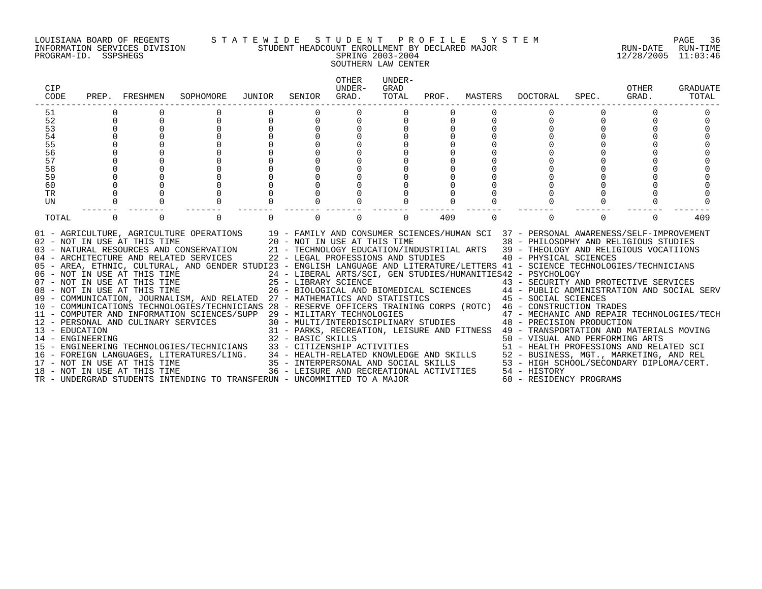### LOUISIANA BOARD OF REGENTS S T A T E W I D E S T U D E N T P R O F I L E S Y S T E M PAGE 36 INFORMATION SERVICES DIVISION STUDENT HEADCOUNT ENROLLMENT BY DECLARED MAJOR RUN-DATE RUN-TIME PROGRAM-ID. SSPSHEGS SPRING 2003-2004 12/28/2005 11:03:46 SOUTHERN LAW CENTER

| CIP<br>CODE                        | PREP.    | FRESHMEN                                                     | SOPHOMORE                                                                                                                                                                                                                                                                                                                                                                                                                                                                                                                                                                                                                                                                                                                                                                                                                                                                                                                                   | JUNIOR | SENIOR   | <b>OTHER</b><br>UNDER-<br>GRAD.                                    | UNDER-<br>GRAD<br>TOTAL | PROF. | MASTERS  | DOCTORAL                                                                                                                                                                                                                                                                                                                                                                                                                                                                                                                                                                                                                                                                                                             | SPEC. | OTHER<br>GRAD. | GRADUATE<br>TOTAL |
|------------------------------------|----------|--------------------------------------------------------------|---------------------------------------------------------------------------------------------------------------------------------------------------------------------------------------------------------------------------------------------------------------------------------------------------------------------------------------------------------------------------------------------------------------------------------------------------------------------------------------------------------------------------------------------------------------------------------------------------------------------------------------------------------------------------------------------------------------------------------------------------------------------------------------------------------------------------------------------------------------------------------------------------------------------------------------------|--------|----------|--------------------------------------------------------------------|-------------------------|-------|----------|----------------------------------------------------------------------------------------------------------------------------------------------------------------------------------------------------------------------------------------------------------------------------------------------------------------------------------------------------------------------------------------------------------------------------------------------------------------------------------------------------------------------------------------------------------------------------------------------------------------------------------------------------------------------------------------------------------------------|-------|----------------|-------------------|
| 51                                 |          |                                                              |                                                                                                                                                                                                                                                                                                                                                                                                                                                                                                                                                                                                                                                                                                                                                                                                                                                                                                                                             |        |          |                                                                    |                         |       |          |                                                                                                                                                                                                                                                                                                                                                                                                                                                                                                                                                                                                                                                                                                                      |       |                |                   |
| 52                                 | $\Omega$ |                                                              |                                                                                                                                                                                                                                                                                                                                                                                                                                                                                                                                                                                                                                                                                                                                                                                                                                                                                                                                             |        | $\Omega$ | 0                                                                  |                         |       |          |                                                                                                                                                                                                                                                                                                                                                                                                                                                                                                                                                                                                                                                                                                                      |       |                |                   |
| 53                                 | $\Omega$ |                                                              |                                                                                                                                                                                                                                                                                                                                                                                                                                                                                                                                                                                                                                                                                                                                                                                                                                                                                                                                             |        | $\Omega$ |                                                                    |                         |       |          |                                                                                                                                                                                                                                                                                                                                                                                                                                                                                                                                                                                                                                                                                                                      |       |                |                   |
| 54                                 |          |                                                              |                                                                                                                                                                                                                                                                                                                                                                                                                                                                                                                                                                                                                                                                                                                                                                                                                                                                                                                                             |        |          |                                                                    |                         |       |          |                                                                                                                                                                                                                                                                                                                                                                                                                                                                                                                                                                                                                                                                                                                      |       |                |                   |
| 55                                 |          |                                                              |                                                                                                                                                                                                                                                                                                                                                                                                                                                                                                                                                                                                                                                                                                                                                                                                                                                                                                                                             |        |          |                                                                    |                         |       |          |                                                                                                                                                                                                                                                                                                                                                                                                                                                                                                                                                                                                                                                                                                                      |       |                |                   |
| 56                                 |          |                                                              |                                                                                                                                                                                                                                                                                                                                                                                                                                                                                                                                                                                                                                                                                                                                                                                                                                                                                                                                             |        |          |                                                                    |                         |       |          |                                                                                                                                                                                                                                                                                                                                                                                                                                                                                                                                                                                                                                                                                                                      |       |                |                   |
| 57                                 |          |                                                              |                                                                                                                                                                                                                                                                                                                                                                                                                                                                                                                                                                                                                                                                                                                                                                                                                                                                                                                                             |        |          |                                                                    |                         |       |          |                                                                                                                                                                                                                                                                                                                                                                                                                                                                                                                                                                                                                                                                                                                      |       |                |                   |
| 58                                 |          |                                                              |                                                                                                                                                                                                                                                                                                                                                                                                                                                                                                                                                                                                                                                                                                                                                                                                                                                                                                                                             |        |          |                                                                    |                         |       |          |                                                                                                                                                                                                                                                                                                                                                                                                                                                                                                                                                                                                                                                                                                                      |       |                |                   |
| 59                                 |          |                                                              |                                                                                                                                                                                                                                                                                                                                                                                                                                                                                                                                                                                                                                                                                                                                                                                                                                                                                                                                             |        |          |                                                                    |                         |       |          |                                                                                                                                                                                                                                                                                                                                                                                                                                                                                                                                                                                                                                                                                                                      |       |                |                   |
| 60                                 |          |                                                              |                                                                                                                                                                                                                                                                                                                                                                                                                                                                                                                                                                                                                                                                                                                                                                                                                                                                                                                                             |        |          |                                                                    |                         |       |          |                                                                                                                                                                                                                                                                                                                                                                                                                                                                                                                                                                                                                                                                                                                      |       |                |                   |
| TR                                 |          |                                                              |                                                                                                                                                                                                                                                                                                                                                                                                                                                                                                                                                                                                                                                                                                                                                                                                                                                                                                                                             |        |          |                                                                    |                         |       |          |                                                                                                                                                                                                                                                                                                                                                                                                                                                                                                                                                                                                                                                                                                                      |       |                |                   |
| UN                                 | $\Omega$ |                                                              |                                                                                                                                                                                                                                                                                                                                                                                                                                                                                                                                                                                                                                                                                                                                                                                                                                                                                                                                             |        | $\cap$   |                                                                    |                         |       |          |                                                                                                                                                                                                                                                                                                                                                                                                                                                                                                                                                                                                                                                                                                                      |       |                |                   |
| TOTAL                              | $\Omega$ | $\Omega$                                                     | $\Omega$                                                                                                                                                                                                                                                                                                                                                                                                                                                                                                                                                                                                                                                                                                                                                                                                                                                                                                                                    |        | $\Omega$ | $\Omega$                                                           | $\Omega$                | 409   | $\Omega$ |                                                                                                                                                                                                                                                                                                                                                                                                                                                                                                                                                                                                                                                                                                                      | 0     | $\Omega$       | 409               |
| 13 - EDUCATION<br>14 - ENGINEERING |          | 02 - NOT IN USE AT THIS TIME<br>17 - NOT IN USE AT THIS TIME | 01 - AGRICULTURE, AGRICULTURE OPERATIONS 19 - FAMILY AND CONSUMER SCIENCES/HUMAN SCI 37 - PERSONAL AWARENESS/SELF-IMPROVEMENT<br>03 - NATURAL RESOURCES AND CONSERVATION 21 - TECHNOLOGY EDUCATION/INDUSTRIIAL ARTS 39 - THEOLOGY AND RELIGIOUS VOCATIIONS<br>04 - ARCHITECTURE AND RELATED SERVICES<br>05 - AREA, ETHNIC, CULTURAL, AND GENDER STUDI23 - ENGLISH LANGUAGE AND LITERATURE/LETTERS 41 - SCIENCE TECHNOLOGIES/TECHNICIANS<br>08 - NOT IN USE AT THIS TIME<br>09 - COMMUNICATION, JOURNALISM, AND RELATED 27 - MATHEMATICS AND STATISTICS 45 - SOCIAL SCIENCES<br>10 - COMMUNICATIONS TECHNOLOGIES/TECHNICIANS 28 - RESERVE OFFICERS TRAINING CORPS (ROTC) 46 - CONSTRUCTION TRADES<br>11 - COMPUTER AND INFORMATION SCIENCES/SUPP 29 - MILITARY TECHNOLOGIES<br>12 - PERSONAL AND CULINARY SERVICES<br>15 - ENGINEERING TECHNOLOGIES/TECHNICIANS<br>16 - FOREIGN LANGUAGES, LITERATURES/LING.<br>18 - NOT IN USE AT THIS TIME |        |          | 20 - NOT IN USE AT THIS TIME<br>22 - LEGAL PROFESSIONS AND STUDIES |                         |       |          | 38 - PHILOSOPHY AND RELIGIOUS STUDIES<br>40 - PHYSICAL SCIENCES<br>24 - LIBERAL ARTS/SCI, GEN STUDIES/HUMANITIES42 - PSYCHOLOGY<br>43 - SECURITY AND PROTECTIVE SERVICES<br>26 - BIOLOGICAL AND BIOMEDICAL SCIENCES 44 - PUBLIC ADMINISTRATION AND SOCIAL SERV<br>47 - MECHANIC AND REPAIR TECHNOLOGIES/TECH<br>30 - MULTI/INTERDISCIPLINARY STUDIES 48 - PRECISION PRODUCTION<br>31 - PARKS, RECREATION, LEISURE AND FITNESS 49 - TRANSPORTATION AND MATERIALS MOVING<br>32 - BASIC SKILLS<br>33 - CITIZENSHIP ACTIVITIES<br>34 - HEALTH-RELATED KNOWLEDGE AND SKILLS<br>35 - INTERPERSONAL AND SOCIAL SKILLS<br>35 - INTERPERSONAL AND SOCIAL SKILLS<br>35 - INTERPERSONAL AND SOCIAL SKILLS<br>35 - HEALTH SCHOOL |       |                |                   |
|                                    |          |                                                              | TR - UNDERGRAD STUDENTS INTENDING TO TRANSFERUN - UNCOMMITTED TO A MAJOR                                                                                                                                                                                                                                                                                                                                                                                                                                                                                                                                                                                                                                                                                                                                                                                                                                                                    |        |          |                                                                    |                         |       |          | 60 - RESIDENCY PROGRAMS                                                                                                                                                                                                                                                                                                                                                                                                                                                                                                                                                                                                                                                                                              |       |                |                   |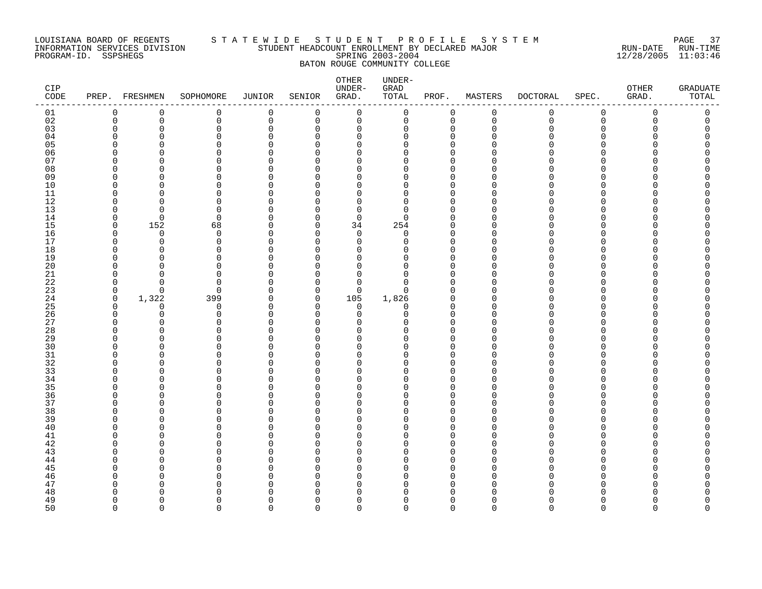#### LOUISIANA BOARD OF REGENTS S T A T E W I D E S T U D E N T P R O F I L E S Y S T E M PAGE 37 INFORMATION SERVICES DIVISION STUDENT HEADCOUNT ENROLLMENT BY DECLARED MAJOR RUN-DATE RUN-TIME PROGRAM-ID. SSPSHEGS SPRING 2003-2004 12/28/2005 11:03:46 BATON ROUGE COMMUNITY COLLEGE

| CIP<br>CODE |          | PREP. FRESHMEN | SOPHOMORE            | JUNIOR            | SENIOR      | OTHER<br>UNDER-<br>GRAD.   | UNDER-<br>GRAD<br>TOTAL | PROF.         | MASTERS              | <b>DOCTORAL</b> | SPEC.       | OTHER<br>GRAD. | <b>GRADUATE</b><br>TOTAL |
|-------------|----------|----------------|----------------------|-------------------|-------------|----------------------------|-------------------------|---------------|----------------------|-----------------|-------------|----------------|--------------------------|
| 01          | 0        | $\mathbf 0$    | $\mathsf 0$          | $\mathbf 0$       | $\mathsf 0$ | $\mathsf{O}$               | 0                       | 0             | $\pmb{0}$            | $\mathsf{O}$    | $\mathsf 0$ | $\mathbf 0$    | $\mathsf 0$              |
| 02          | 0        | $\mathbf 0$    | $\mathbf 0$          | 0                 | $\mathbf 0$ | $\mathsf{O}$               | 0                       | $\mathbf 0$   | $\mathbf 0$          | $\mathbf 0$     | $\mathbf 0$ | 0              | 0                        |
| 03          | $\Omega$ | $\Omega$       | $\Omega$             | 0                 | $\Omega$    | 0                          | $\mathbf 0$             | O             | $\mathbf 0$          | $\Omega$        | $\Omega$    | Λ              |                          |
| 04          | U        | U              | $\Omega$             | $\Omega$          | ∩           | $\mathbf 0$                | $\Omega$                | $\cap$        | $\Omega$             | ∩               | ∩           |                |                          |
| 05          |          | ∩              | $\Omega$<br>$\Omega$ | O<br>O            | $\cap$<br>Λ | $\mathbf 0$                | $\Omega$                | $\cap$<br>O   | O<br>∩               | N               | ∩<br>∩      |                |                          |
| 06<br>07    | U        | O<br>U         | ∩                    | <sup>0</sup>      | U           | 0<br>$\mathbf 0$           | 0<br>$\Omega$           | n             | <sup>0</sup>         | ი               | ∩           |                |                          |
| 08          | U        |                | $\Omega$             | $\Omega$          | Λ           | $\mathbf 0$                | $\Omega$                | O             | $\Omega$             |                 | ∩           |                |                          |
| 09          | U        | ∩              | $\Omega$             | O                 | Λ           | $\mathbf 0$                | 0                       | n             | $\Omega$             | ∩               | ∩           |                |                          |
| $10$        | U        |                | $\Omega$             | $\Omega$          | n           | $\mathbf 0$                | $\overline{0}$          | $\cap$        | $\Omega$             | O               | $\Omega$    |                |                          |
| 11          | O        | U              | ∩                    | O                 | Λ           | 0                          | 0                       | $\cap$        | $\Omega$             | O               | ∩           |                |                          |
| 12          | U        | U              | $\Omega$             | U                 | ∩           | $\Omega$                   | $\Omega$                | $\cap$        | $\Omega$             |                 | ∩           |                |                          |
| 13          | 0        | $\Omega$       | $\Omega$             | $\Omega$          | Ω           | $\mathbf 0$                | $\mathbf 0$             | U             | $\Omega$             | O               | $\Omega$    |                |                          |
| 14          | $\Omega$ | $\Omega$       | $\Omega$             | U                 | ∩           | $\mathbf 0$                | $\Omega$                | $\cap$        | $\Omega$             | U               | $\cap$      |                |                          |
| 15          | $\Omega$ | 152            | 68                   | $\Omega$          | $\Omega$    | 34                         | 254                     | U             | $\Omega$             | ი               | ∩           |                |                          |
| 16          | O        | $\Omega$       | $\Omega$             | 0                 | ∩           | 0                          | 0                       | $\cap$        | $\Omega$             | ∩               | ∩           |                |                          |
| 17          | $\Omega$ | 0              | $\mathbf 0$          | $\Omega$          | $\Omega$    | $\mathbf 0$                | $\mathbf 0$             | $\cap$        | $\Omega$             | N               | ∩           |                |                          |
| 18          | U        | $\cap$         | $\Omega$             | O                 | ∩           | $\mathbf 0$                | $\mathbf 0$             | $\cap$        | $\Omega$             | ∩               | ∩           |                |                          |
| 19          | 0<br>U   | O<br>U         | $\Omega$<br>∩        | O                 | O<br>Λ      | 0                          | $\mathbf 0$             | $\Omega$<br>U | $\Omega$             | O<br>N          | ∩<br>∩      |                |                          |
| 20<br>21    | U        | $\cap$         | $\Omega$             | O<br><sup>0</sup> | ∩           | $\mathbf 0$<br>$\mathbf 0$ | 0<br>$\Omega$           | $\cap$        | $\Omega$<br>$\Omega$ | ∩               | ∩           |                |                          |
| 22          | $\Omega$ | <sup>n</sup>   | $\Omega$             | O                 | ∩           | 0                          | $\Omega$                | $\cap$        | $\Omega$             | ∩               | ∩           |                |                          |
| 23          | $\Omega$ | $\Omega$       | $\Omega$             | $\Omega$          | $\Omega$    | $\Omega$                   | $\Omega$                | $\cap$        | $\Omega$             | U               | $\Omega$    |                |                          |
| 24          | 0        | 1,322          | 399                  | 0                 | 0           | 105                        | 1,826                   | $\Omega$      | 0                    | O               | $\Omega$    |                |                          |
| 25          | $\Omega$ | $\Omega$       | $\mathbf 0$          | 0                 | $\Omega$    | 0                          | $\mathbf 0$             | $\cap$        | $\Omega$             | N               | ∩           |                |                          |
| 26          | $\Omega$ | $\Omega$       | $\Omega$             | $\Omega$          | $\Omega$    | 0                          | $\mathbf 0$             | $\Omega$      | $\Omega$             | O               | $\Omega$    |                |                          |
| 27          | U        | U              | $\Omega$             | U                 | ∩           | $\Omega$                   | $\Omega$                | $\cap$        | $\Omega$             | ∩               | $\Omega$    |                |                          |
| 28          | $\Omega$ | O              | $\Omega$             | $\Omega$          | $\Omega$    | $\Omega$                   | 0                       | $\Omega$      | $\Omega$             | ი               | ∩           |                |                          |
| 29          | U        | U              | $\Omega$             | <sup>0</sup>      | ∩           | 0                          | 0                       | $\cap$        | $\Omega$             | ∩               | ∩           |                |                          |
| 30          | U        | U              | $\Omega$             | O                 | U           | $\mathbf 0$                | $\Omega$                | $\cap$        | $\Omega$             |                 | ∩           |                |                          |
| 31          | U        | U              | $\Omega$             | O                 | $\cap$      | $\mathbf 0$                | 0                       | $\cap$        | $\Omega$             | O               | ∩           |                |                          |
| 32          | U        | U              | $\Omega$             | O                 | U<br>Λ      | $\mathbf 0$                | $\Omega$                | $\cap$        | $\Omega$             | N               | ∩           |                |                          |
| 33<br>34    | U<br>U   | U<br>U         | ∩<br>$\Omega$        | O<br>O            | $\cap$      | 0<br>$\mathbf 0$           | 0<br>$\Omega$           | n<br>O        | $\Omega$<br>$\Omega$ | N<br>N          | ∩<br>O      |                |                          |
| 35          | U        | U              | $\Omega$             | O                 | U           | $\mathbf 0$                | 0                       | n             | $\Omega$             |                 | $\Omega$    |                |                          |
| 36          | ∩        | U              | $\Omega$             | U                 | ∩           | $\mathbf 0$                | $\Omega$                | n             | $\Omega$             | ∩               | $\Omega$    |                |                          |
| 37          | 0        | U              | $\Omega$             | O                 | Λ           | 0                          | $\mathbf 0$             | O             | $\Omega$             | N               | $\Omega$    |                |                          |
| 38          | U        | U              | ∩                    | O                 | U           | $\Omega$                   | $\Omega$                | n             | $\Omega$             |                 | ∩           |                |                          |
| 39          | U        | O              | $\Omega$             | $\Omega$          | U           | 0                          | $\mathbf 0$             | O             | $\Omega$             | O               | $\Omega$    |                |                          |
| 40          | U        | n              | ∩                    | U                 | ∩           | $\mathbf 0$                | $\mathbf 0$             | n             | $\Omega$             | ∩               | ∩           |                |                          |
| 41          | ∩        |                | $\Omega$             | U                 | Λ           | $\Omega$                   | $\Omega$                | n             | $\Omega$             | N               | ∩           |                |                          |
| $4\sqrt{2}$ | U        | U              | ∩                    | <sup>0</sup>      | ∩           | 0                          | 0                       | $\cap$        | 0                    | O               | ∩           |                |                          |
| 43          | U        |                | $\Omega$             | U                 | U           | $\mathbf 0$                | $\Omega$                | O             | $\Omega$             |                 | ∩           |                |                          |
| 44          | U        | U              | ∩                    | O                 | ∩           | 0                          | 0                       | $\cap$        | $\Omega$             | ∩               | $\Omega$    |                |                          |
| 45          |          | U              | $\Omega$             | U                 | Λ<br>Λ      | $\mathbf 0$                | $\Omega$                | n             | $\Omega$             | ∩               | $\Omega$    |                |                          |
| 46<br>47    | U        | U              | $\Omega$<br>∩        | O<br>O            | Λ           | $\mathbf 0$<br>0           | $\mathbf 0$<br>$\Omega$ | O<br>$\cap$   | $\Omega$<br>$\Omega$ | ი<br>∩          | ∩<br>∩      |                |                          |
| 48          |          |                | <sup>0</sup>         | U                 | U           | 0                          | $\Omega$                | n             | $\Omega$             | N               | ∩           |                |                          |
| 49          | U        | U              | $\Omega$             | <sup>0</sup>      | ∩           | $\mathbf 0$                | $\overline{0}$          | $\cap$        | $\Omega$             | $\Omega$        | $\Omega$    |                |                          |
| 50          | $\Omega$ | $\Omega$       | $\Omega$             | $\Omega$          | $\Omega$    | $\Omega$                   | $\Omega$                | $\Omega$      | $\Omega$             | $\Omega$        | $\Omega$    | $\Omega$       | $\Omega$                 |
|             |          |                |                      |                   |             |                            |                         |               |                      |                 |             |                |                          |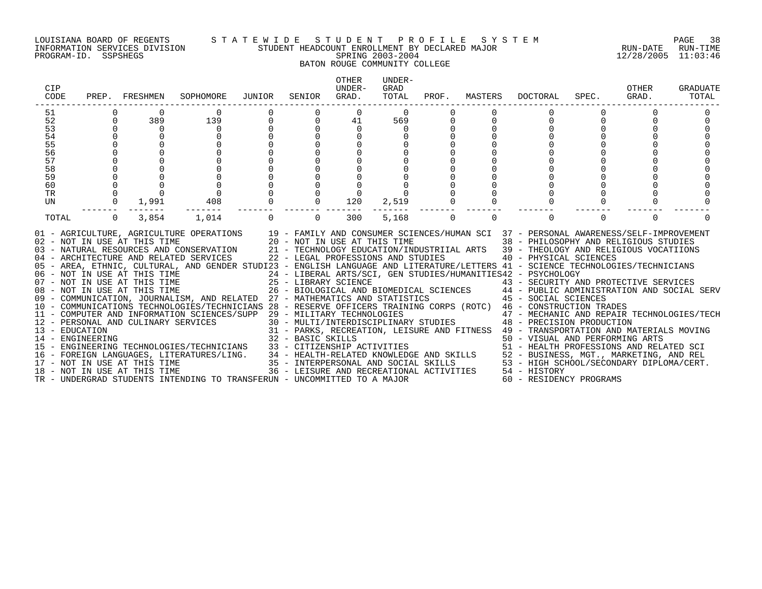#### LOUISIANA BOARD OF REGENTS S T A T E W I D E S T U D E N T P R O F I L E S Y S T E M PAGE 38 INFORMATION SERVICES DIVISION STUDENT HEADCOUNT ENROLLMENT BY DECLARED MAJOR RUN-DATE RUN-TIME PROGRAM-ID. SSPSHEGS SPRING 2003-2004 12/28/2005 11:03:46 BATON ROUGE COMMUNITY COLLEGE

| CIP<br>CODE |   | PREP. FRESHMEN | SOPHOMORE                                                                                                                                                                                                                                                                                                                                                                                                                                                                                                                                                                                                                                                                                                                                                                                                                                                                                                                                                                                                                                                                                                                                                                                                                                                                                                                                                                                                                                                                                                                                                                                                                                                                                                                                                                                          | JUNIOR   | SENIOR      | <b>OTHER</b><br>UNDER-<br>GRAD. | IJNDER-<br>GRAD<br>TOTAL |             |             | PROF. MASTERS DOCTORAL                     | SPEC. | OTHER<br>GRAD. | <b>GRADUATE</b><br>TOTAL |
|-------------|---|----------------|----------------------------------------------------------------------------------------------------------------------------------------------------------------------------------------------------------------------------------------------------------------------------------------------------------------------------------------------------------------------------------------------------------------------------------------------------------------------------------------------------------------------------------------------------------------------------------------------------------------------------------------------------------------------------------------------------------------------------------------------------------------------------------------------------------------------------------------------------------------------------------------------------------------------------------------------------------------------------------------------------------------------------------------------------------------------------------------------------------------------------------------------------------------------------------------------------------------------------------------------------------------------------------------------------------------------------------------------------------------------------------------------------------------------------------------------------------------------------------------------------------------------------------------------------------------------------------------------------------------------------------------------------------------------------------------------------------------------------------------------------------------------------------------------------|----------|-------------|---------------------------------|--------------------------|-------------|-------------|--------------------------------------------|-------|----------------|--------------------------|
| 51          |   |                |                                                                                                                                                                                                                                                                                                                                                                                                                                                                                                                                                                                                                                                                                                                                                                                                                                                                                                                                                                                                                                                                                                                                                                                                                                                                                                                                                                                                                                                                                                                                                                                                                                                                                                                                                                                                    |          |             | $\Omega$                        | $\Omega$                 |             |             |                                            |       |                |                          |
| 52          |   | 389            | 139                                                                                                                                                                                                                                                                                                                                                                                                                                                                                                                                                                                                                                                                                                                                                                                                                                                                                                                                                                                                                                                                                                                                                                                                                                                                                                                                                                                                                                                                                                                                                                                                                                                                                                                                                                                                | $\Omega$ | $\Omega$    | 41                              | 569                      |             |             |                                            |       |                |                          |
| 53          |   | $\Omega$       | $\Omega$                                                                                                                                                                                                                                                                                                                                                                                                                                                                                                                                                                                                                                                                                                                                                                                                                                                                                                                                                                                                                                                                                                                                                                                                                                                                                                                                                                                                                                                                                                                                                                                                                                                                                                                                                                                           |          | $\Omega$    | $\Omega$                        | $\Omega$                 |             |             |                                            |       |                |                          |
| 54          |   | $\Omega$       |                                                                                                                                                                                                                                                                                                                                                                                                                                                                                                                                                                                                                                                                                                                                                                                                                                                                                                                                                                                                                                                                                                                                                                                                                                                                                                                                                                                                                                                                                                                                                                                                                                                                                                                                                                                                    |          |             |                                 |                          |             |             |                                            |       |                |                          |
| 55          |   |                |                                                                                                                                                                                                                                                                                                                                                                                                                                                                                                                                                                                                                                                                                                                                                                                                                                                                                                                                                                                                                                                                                                                                                                                                                                                                                                                                                                                                                                                                                                                                                                                                                                                                                                                                                                                                    |          |             |                                 |                          |             |             |                                            |       |                |                          |
| 56          |   |                |                                                                                                                                                                                                                                                                                                                                                                                                                                                                                                                                                                                                                                                                                                                                                                                                                                                                                                                                                                                                                                                                                                                                                                                                                                                                                                                                                                                                                                                                                                                                                                                                                                                                                                                                                                                                    |          |             |                                 |                          |             |             |                                            |       |                |                          |
| 57          |   |                |                                                                                                                                                                                                                                                                                                                                                                                                                                                                                                                                                                                                                                                                                                                                                                                                                                                                                                                                                                                                                                                                                                                                                                                                                                                                                                                                                                                                                                                                                                                                                                                                                                                                                                                                                                                                    |          |             |                                 |                          |             |             |                                            |       |                |                          |
| 58          |   |                |                                                                                                                                                                                                                                                                                                                                                                                                                                                                                                                                                                                                                                                                                                                                                                                                                                                                                                                                                                                                                                                                                                                                                                                                                                                                                                                                                                                                                                                                                                                                                                                                                                                                                                                                                                                                    |          |             |                                 |                          |             |             |                                            |       |                |                          |
| 59          |   |                |                                                                                                                                                                                                                                                                                                                                                                                                                                                                                                                                                                                                                                                                                                                                                                                                                                                                                                                                                                                                                                                                                                                                                                                                                                                                                                                                                                                                                                                                                                                                                                                                                                                                                                                                                                                                    |          |             |                                 |                          |             |             |                                            |       |                |                          |
| 60          |   |                |                                                                                                                                                                                                                                                                                                                                                                                                                                                                                                                                                                                                                                                                                                                                                                                                                                                                                                                                                                                                                                                                                                                                                                                                                                                                                                                                                                                                                                                                                                                                                                                                                                                                                                                                                                                                    |          |             |                                 |                          |             |             |                                            |       |                |                          |
| TR          |   |                | $\overline{0}$                                                                                                                                                                                                                                                                                                                                                                                                                                                                                                                                                                                                                                                                                                                                                                                                                                                                                                                                                                                                                                                                                                                                                                                                                                                                                                                                                                                                                                                                                                                                                                                                                                                                                                                                                                                     |          |             | 0                               |                          |             |             |                                            |       |                |                          |
| UN          |   | 1,991          | 408                                                                                                                                                                                                                                                                                                                                                                                                                                                                                                                                                                                                                                                                                                                                                                                                                                                                                                                                                                                                                                                                                                                                                                                                                                                                                                                                                                                                                                                                                                                                                                                                                                                                                                                                                                                                |          | $\mathbf 0$ | 120                             | 2,519                    |             |             |                                            |       |                |                          |
| TOTAL       | 0 | 3,854          | 1,014                                                                                                                                                                                                                                                                                                                                                                                                                                                                                                                                                                                                                                                                                                                                                                                                                                                                                                                                                                                                                                                                                                                                                                                                                                                                                                                                                                                                                                                                                                                                                                                                                                                                                                                                                                                              |          | $\Omega$    | 300                             | 5,168                    | $\mathbf 0$ | $\mathbf 0$ | $\Omega$                                   | 0     | $\Omega$       |                          |
|             |   |                | 01 - AGRICULTURE, AGRICULTURE OPERATIONS 19 - FAMILY AND CONSUMER SCIENCES/HUMAN SCI 37 - PERSONAL AWARENESS/SELF-IMPROVEMENT<br>O2 - NOT IN USE AT THIS TIME AND CONSUMER SULENCES/HUMAN SCI 37 - PERSONAL AWARENESS/SELF-IMPROVEMENT 20 - NOT IN USE AT THIS TIME 38 - PHILOSOPHY AND RELIGIOUS STUDIES<br>03 - NATURAL RESOURCES AND CONSERVATION 21 - TECHNOL<br>05 - AREA, ETHNIC, CULTURAL, AND GENDER STUDI23 - ENGLISH LANGUAGE AND LITERATURE/LETTERS 41 - SCIENCE TECHNOLOGIES/TECHNICIANS<br>06 - NOT IN USE AT THIS TIME                         24 - LIBERAL ARTS/SCI, GEN STUDIES/HUMANITIES42 - PSYCHOLOGY<br>07 - NOT IN USE AT THIS TIME                   25 - LIBRARY SCIENCE                       43 - SECURITY AN<br>07 - NOT IN USE AT THIS TIME                             25 - LIBRARY SCIENCE                       43 - SECURITY AND PROTECTIVE SERVICES<br>08 - NOT IN USE AT THIS TIME                       26 - BIOLOGICAL AND BIOMEDICAL SC<br>09 - COMMUNICATION, JOURNALISM, AND RELATED 27 - MATHEMATICS AND STATISTICS 45 - SOCIAL SCIENCES<br>10 - COMMUNICATIONS TECHNOLOGIES/TECHNICIANS 28 - RESERVE OFFICERS TRAINING CORPS (ROTC) 46 - CONSTRUCTION TRADES<br>11 - COMPUTER AND INFORMATION SCIENCES/SUPP 29 - MILITARY TECHNOLOGIES<br>$\begin{tabular}{lllllllllllllllllllll} 11 & - \texttt{COMPUTER AND INFORMATION SCLEMCLS/SOFF} & 43 & - \texttt{MULTI/INTERDISCIPLINARY STUDIES} & 48 & - \texttt{ PRECISION PKUDUCTION} \\ 13 & - \texttt{EDKSONAL AND CULINARY SERVICES} & 30 & - \texttt{MULTI/INTERDISCIPLINARY STUDIES} & 49 & - \texttt{TRANSPORTATION AND MATERIAS MOVING} \\ 14 & - \texttt{ENDCATION AND UULINARY SERVICES} & 31 & - \texttt{PARKS, RECREATION, LEISURE AND FITNESS} & 49 & - \texttt{TRANSPORTATION AND MATERIAS MOV$ |          |             |                                 |                          |             |             | 47 - MECHANIC AND REPAIR TECHNOLOGIES/TECH |       |                |                          |
|             |   |                |                                                                                                                                                                                                                                                                                                                                                                                                                                                                                                                                                                                                                                                                                                                                                                                                                                                                                                                                                                                                                                                                                                                                                                                                                                                                                                                                                                                                                                                                                                                                                                                                                                                                                                                                                                                                    |          |             |                                 |                          |             |             |                                            |       |                |                          |
|             |   |                |                                                                                                                                                                                                                                                                                                                                                                                                                                                                                                                                                                                                                                                                                                                                                                                                                                                                                                                                                                                                                                                                                                                                                                                                                                                                                                                                                                                                                                                                                                                                                                                                                                                                                                                                                                                                    |          |             |                                 |                          |             |             |                                            |       |                |                          |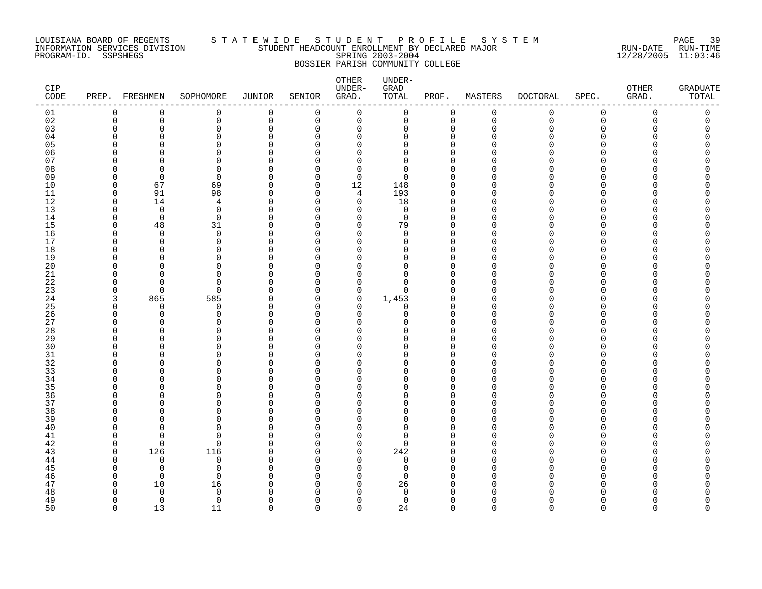#### LOUISIANA BOARD OF REGENTS S T A T E W I D E S T U D E N T P R O F I L E S Y S T E M PAGE 39 INFORMATION SERVICES DIVISION STUDENT HEADCOUNT ENROLLMENT BY DECLARED MAJOR RUN-DATE RUN-TIME PROGRAM-ID. SSPSHEGS SPRING 2003-2004 12/28/2005 11:03:46 BOSSIER PARISH COMMUNITY COLLEGE

| CIP<br>CODE |               | PREP. FRESHMEN | SOPHOMORE            | <b>JUNIOR</b> | SENIOR             | OTHER<br>UNDER-<br>GRAD. | UNDER-<br>GRAD<br>TOTAL | PROF.                | MASTERS                 | <b>DOCTORAL</b> | SPEC.              | OTHER<br>GRAD. | <b>GRADUATE</b><br>TOTAL |
|-------------|---------------|----------------|----------------------|---------------|--------------------|--------------------------|-------------------------|----------------------|-------------------------|-----------------|--------------------|----------------|--------------------------|
| 01          | 0             | $\mathbf 0$    | $\mathsf 0$          | $\mathbf 0$   | $\mathbf 0$        | $\mathbf 0$              | 0                       | $\mathbf 0$          | $\mathsf 0$             | 0               | $\mathbf 0$        | $\mathbf 0$    | $\mathsf{0}$             |
| 02          | 0             | 0              | $\mathbf 0$          | 0             | 0                  | 0                        | 0                       | $\mathbf 0$          | $\mathbf 0$             | 0               | $\mathbf 0$        | 0              | 0                        |
| 03          | $\Omega$      | 0              | $\mathbf 0$          | 0             | $\Omega$           | 0                        | 0                       | $\Omega$             | $\mathbf 0$             | O               | $\Omega$           | Λ              | 0                        |
| 04          | ∩             | ∩              | $\Omega$             | ∩             | $\cap$             | $\Omega$                 | $\Omega$                | $\Omega$             | $\Omega$                |                 | ∩                  |                |                          |
| 05          | ∩             | ∩              | $\Omega$<br>$\Omega$ | U             | $\cap$             | 0                        | O                       | $\Omega$<br>$\cap$   | $\Omega$<br>∩           |                 | $\Omega$<br>$\cap$ |                |                          |
| 06<br>07    | r<br>∩        | ∩<br>O         | $\Omega$             | U             | $\cap$<br>U        | $\Omega$<br>$\Omega$     | $\Omega$<br>O           | ∩                    | <sup>0</sup>            |                 | ∩                  |                |                          |
| 08          | ∩             | $\Omega$       | $\Omega$             | U             | $\cap$             | $\mathbf 0$              | $\Omega$                | $\Omega$             | $\Omega$                |                 | ∩                  |                |                          |
| 09          | O             | $\Omega$       | $\mathbf 0$          | $\Omega$      | $\Omega$           | $\mathbf 0$              | $\Omega$                | $\Omega$             | $\Omega$                |                 | $\Omega$           |                |                          |
| 10          | <sup>n</sup>  | 67             | 69                   | $\Omega$      | $\Omega$           | 12                       | 148                     | $\cap$               | $\Omega$                |                 | $\Omega$           |                |                          |
| 11          | $\Omega$      | 91             | 98                   | $\Omega$      | $\mathbf 0$        | $\overline{4}$           | 193                     | $\Omega$             | $\mathbf 0$             |                 | $\Omega$           |                |                          |
| 12          | 0             | 14             | 4                    | O             | $\Omega$           | 0                        | 18                      | $\Omega$             | $\Omega$                |                 | ∩                  |                |                          |
| 13          | $\Omega$      | $\mathbf 0$    | $\mathbf 0$          | $\Omega$      | $\cap$             | $\mathbf 0$              | $\mathbf 0$             | $\Omega$             | $\Omega$                |                 | $\Omega$           |                |                          |
| 14          | <sup>0</sup>  | $\mathbf 0$    | $\mathbf 0$          | ∩             | $\Omega$           | $\mathbf 0$              | $\mathbf 0$             | $\Omega$             | $\Omega$                |                 | ∩                  |                |                          |
| 15          | $\Omega$      | 48             | 31                   | U             | $\cap$             | $\mathbf 0$              | 79                      | $\Omega$             | $\Omega$                |                 | $\Omega$           |                |                          |
| 16          | $\Omega$      | $\mathbf 0$    | $\mathbf 0$          | 0             | $\Omega$           | 0                        | 0                       | $\Omega$             | $\Omega$                |                 | $\Omega$           |                |                          |
| 17          | O             | O              | $\Omega$             | O             | ∩                  | 0                        | $\Omega$                | $\Omega$             | $\Omega$                |                 | ∩                  |                |                          |
| 18          | O             | $\Omega$       | 0                    | U             | $\cap$             | $\Omega$                 | $\Omega$                | $\Omega$             | $\Omega$                |                 | $\Omega$           |                |                          |
| 19          | ∩             | ∩              | $\Omega$             | U             | U                  | $\Omega$                 | $\Omega$                | $\Omega$             | $\Omega$                |                 | ∩                  |                |                          |
| 20<br>21    | O<br>$\Omega$ | ∩<br>∩         | $\Omega$<br>$\Omega$ | U<br>0        | $\Omega$<br>$\cap$ | $\Omega$<br>0            | $\Omega$<br>0           | $\Omega$<br>$\Omega$ | $\Omega$<br>$\mathbf 0$ |                 | $\Omega$<br>∩      |                |                          |
| 22          | O             | O              | $\Omega$             | O             | $\Omega$           | 0                        | $\Omega$                | $\Omega$             | $\Omega$                |                 | $\Omega$           |                |                          |
| 23          | 0             | $\Omega$       | $\mathbf 0$          | $\Omega$      | $\cap$             | 0                        | 0                       | O                    | 0                       |                 | $\Omega$           |                |                          |
| 24          | 3             | 865            | 585                  | U             | $\Omega$           | 0                        | 1,453                   | $\Omega$             | $\Omega$                |                 | ∩                  |                |                          |
| 25          | $\Omega$      | $\Omega$       | $\mathbf 0$          | ∩             | $\cap$             | 0                        | 0                       | ∩                    | $\Omega$                |                 | ∩                  |                |                          |
| 26          | $\Omega$      | $\Omega$       | $\mathbf 0$          | $\Omega$      | $\Omega$           | $\mathbf 0$              | $\Omega$                | $\Omega$             | $\Omega$                |                 | $\Omega$           |                |                          |
| 27          | U             | O              | $\Omega$             | O             | $\Omega$           | $\Omega$                 | U                       | $\Omega$             | $\Omega$                |                 | O                  |                |                          |
| 28          | ∩             | ∩              | $\Omega$             |               | U                  | $\Omega$                 | U                       |                      | $\Omega$                |                 | ∩                  |                |                          |
| 29          | <sup>n</sup>  | $\Omega$       | $\Omega$             | U             | $\Omega$           | $\Omega$                 | O                       | O                    | $\Omega$                |                 | ∩                  |                |                          |
| 30          | ∩             | ∩              | $\Omega$             | U             | U                  | $\Omega$                 | U                       |                      | $\Omega$                |                 | ∩                  |                |                          |
| 31          | $\Omega$      | $\Omega$       | $\Omega$             | O             | O                  | $\Omega$                 | O                       | $\Omega$             | $\mathbf 0$             |                 | $\Omega$           |                |                          |
| 32          | ∩             | ∩              | $\Omega$             | U             | U                  | 0                        | O                       | ∩                    | $\Omega$                |                 | ∩                  |                |                          |
| 33<br>34    | O<br>U        | ∩<br>∩         | $\Omega$<br>$\Omega$ | U             | $\cap$<br>U        | $\Omega$<br>0            | U<br>O                  | $\cap$               | $\Omega$<br>$\Omega$    |                 | ∩<br>∩             |                |                          |
| 35          | ∩             | ∩              | $\Omega$             |               | U                  | $\Omega$                 | ∩                       |                      | $\Omega$                |                 | ∩                  |                |                          |
| 36          | $\Omega$      | $\Omega$       | $\mathbf 0$          | $\Omega$      | $\Omega$           | 0                        | O                       | $\Omega$             | 0                       |                 | $\Omega$           |                |                          |
| 37          | ∩             | ∩              | $\Omega$             |               | <sup>0</sup>       | $\Omega$                 | $\Omega$                | $\Omega$             | $\Omega$                |                 | ∩                  |                |                          |
| 38          | ∩             | $\Omega$       | $\Omega$             | U             | O                  | $\Omega$                 | O                       | O                    | $\Omega$                |                 | ∩                  |                |                          |
| 39          | U             | ∩              | $\Omega$             | U             | $\cap$             | $\Omega$                 | $\Omega$                | $\Omega$             | $\Omega$                |                 | ∩                  |                |                          |
| 40          | ∩             | ∩              | $\Omega$             | U             | $\cap$             | $\Omega$                 | $\Omega$                | $\cap$               | $\Omega$                |                 | ∩                  |                |                          |
| 41          | O             | O              | $\mathbf 0$          | O             | ∩                  | 0                        | 0                       | ∩                    | $\Omega$                |                 | O                  |                |                          |
| 42          | $\Omega$      | $\Omega$       | $\mathbf 0$          | O             | $\Omega$           | 0                        | $\Omega$                | O                    | $\Omega$                |                 | ∩                  |                |                          |
| 43          | $\Omega$      | 126            | 116                  | ∩             | $\cap$             | $\mathbf 0$              | 242                     | ∩                    | $\Omega$                |                 | ∩                  |                |                          |
| 44          | $\Omega$      | $\Omega$       | 0                    | ∩             | $\cap$             | $\mathbf 0$              | 0                       | $\Omega$             | $\Omega$                |                 | ∩                  |                |                          |
| 45          | ∩             | $\Omega$       | $\Omega$             | U             | $\Omega$           | 0                        | $\Omega$                | ∩                    | $\Omega$                |                 | ∩                  |                |                          |
| 46          | O             | $\Omega$       | $\mathbf 0$          | U             | ∩<br>∩             | $\Omega$                 | $\Omega$                | ∩                    | 0                       |                 | ∩<br>∩             |                |                          |
| 47<br>48    | $\Omega$<br>U | 10<br>$\Omega$ | 16<br>$\Omega$       | U             | $\cap$             | 0<br>$\Omega$            | 26<br>$\Omega$          |                      | $\Omega$<br>$\cap$      |                 |                    |                |                          |
| 49          | <sup>n</sup>  | $\mathbf 0$    | $\mathbf 0$          | ∩             | $\Omega$           | $\mathbf 0$              | $\Omega$                | $\Omega$             | $\Omega$                | N               | $\Omega$           |                | O                        |
| 50          | $\cap$        | 13             | 11                   | $\Omega$      | $\cap$             | $\Omega$                 | 24                      | $\Omega$             | $\Omega$                | $\Omega$        | $\Omega$           | $\Omega$       | $\Omega$                 |
|             |               |                |                      |               |                    |                          |                         |                      |                         |                 |                    |                |                          |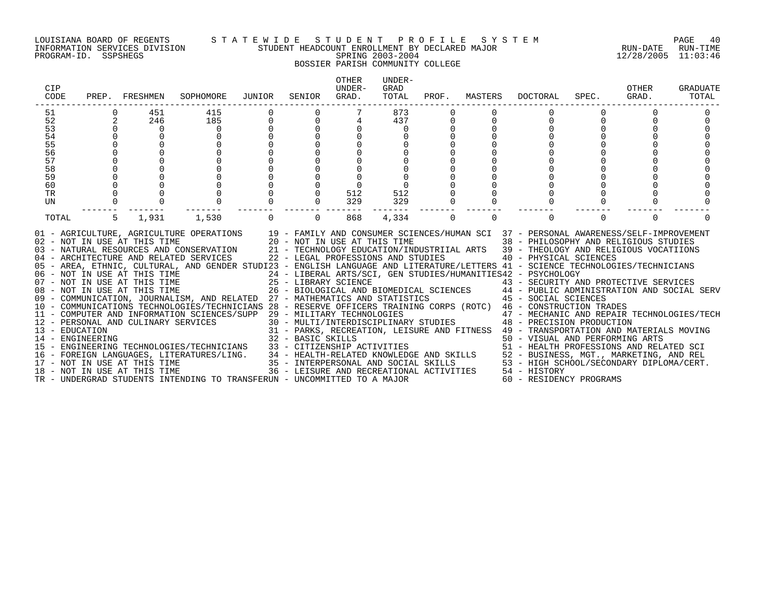#### LOUISIANA BOARD OF REGENTS S T A T E W I D E S T U D E N T P R O F I L E S Y S T E M PAGE 40 INFORMATION SERVICES DIVISION STUDENT HEADCOUNT ENROLLMENT BY DECLARED MAJOR RUN-DATE RUN-TIME PROGRAM-ID. SSPSHEGS SPRING 2003-2004 12/28/2005 11:03:46

BOSSIER PARISH COMMUNITY COLLEGE

| CIP<br>CODE      | PREP. | FRESHMEN                     | SOPHOMORE                                                                                                                                                                                                                                                                                                                                                                                                                                                                                                                               | JUNIOR | SENIOR                                                                                     | <b>OTHER</b><br>UNDER-<br>GRAD. | UNDER-<br>GRAD<br>TOTAL | PROF.       | MASTERS | <b>DOCTORAL</b>                                                                                                                                                                                                                                                | SPEC.    | OTHER<br>GRAD. | GRADUATE<br>TOTAL |
|------------------|-------|------------------------------|-----------------------------------------------------------------------------------------------------------------------------------------------------------------------------------------------------------------------------------------------------------------------------------------------------------------------------------------------------------------------------------------------------------------------------------------------------------------------------------------------------------------------------------------|--------|--------------------------------------------------------------------------------------------|---------------------------------|-------------------------|-------------|---------|----------------------------------------------------------------------------------------------------------------------------------------------------------------------------------------------------------------------------------------------------------------|----------|----------------|-------------------|
| 51               |       | 451                          | 415                                                                                                                                                                                                                                                                                                                                                                                                                                                                                                                                     |        |                                                                                            |                                 | 873                     |             |         |                                                                                                                                                                                                                                                                |          |                |                   |
| 52               | 2     | 246                          | 185                                                                                                                                                                                                                                                                                                                                                                                                                                                                                                                                     | 0      | $\Omega$                                                                                   |                                 | 437                     | 0           |         |                                                                                                                                                                                                                                                                |          |                |                   |
| 53               |       | $\Omega$                     | $\Omega$                                                                                                                                                                                                                                                                                                                                                                                                                                                                                                                                |        | $\Omega$                                                                                   |                                 | $\Omega$                |             |         |                                                                                                                                                                                                                                                                |          |                |                   |
| 54               |       | $\Omega$                     | $\Omega$                                                                                                                                                                                                                                                                                                                                                                                                                                                                                                                                |        | $\Omega$                                                                                   |                                 |                         |             |         |                                                                                                                                                                                                                                                                |          |                |                   |
| 55               |       |                              |                                                                                                                                                                                                                                                                                                                                                                                                                                                                                                                                         |        |                                                                                            |                                 |                         |             |         |                                                                                                                                                                                                                                                                |          |                |                   |
| 56               |       |                              |                                                                                                                                                                                                                                                                                                                                                                                                                                                                                                                                         |        |                                                                                            |                                 |                         |             |         |                                                                                                                                                                                                                                                                |          |                |                   |
| 57               |       |                              |                                                                                                                                                                                                                                                                                                                                                                                                                                                                                                                                         |        |                                                                                            |                                 |                         |             |         |                                                                                                                                                                                                                                                                |          |                |                   |
| 58               |       |                              |                                                                                                                                                                                                                                                                                                                                                                                                                                                                                                                                         |        |                                                                                            |                                 |                         |             |         |                                                                                                                                                                                                                                                                |          |                |                   |
| 59               |       |                              |                                                                                                                                                                                                                                                                                                                                                                                                                                                                                                                                         |        |                                                                                            |                                 |                         |             |         |                                                                                                                                                                                                                                                                |          |                |                   |
| 60               |       |                              |                                                                                                                                                                                                                                                                                                                                                                                                                                                                                                                                         |        |                                                                                            |                                 |                         |             |         |                                                                                                                                                                                                                                                                |          |                |                   |
| TR               |       |                              |                                                                                                                                                                                                                                                                                                                                                                                                                                                                                                                                         |        | 0                                                                                          | 512                             | 512                     |             |         |                                                                                                                                                                                                                                                                |          |                |                   |
| UN               |       |                              |                                                                                                                                                                                                                                                                                                                                                                                                                                                                                                                                         |        | $\Omega$                                                                                   | 329                             | 329                     | $\mathbf 0$ |         |                                                                                                                                                                                                                                                                |          |                |                   |
| TOTAL            | 5     | 1,931                        | 1,530                                                                                                                                                                                                                                                                                                                                                                                                                                                                                                                                   |        | $\Omega$                                                                                   | 868                             | 4,334                   | $\mathbf 0$ | 0       | $\Omega$                                                                                                                                                                                                                                                       | $\Omega$ | $\Omega$       |                   |
|                  |       | 02 - NOT IN USE AT THIS TIME | 01 - AGRICULTURE, AGRICULTURE OPERATIONS 19 - FAMILY AND CONSUMER SCIENCES/HUMAN SCI 37 - PERSONAL AWARENESS/SELF-IMPROVEMENT<br>03 - NATURAL RESOURCES AND CONSERVATION 21 - TECHNOLOGY EDUCATION/INDUSTRIIAL ARTS 39 - THEOLOGY AND RELIGIOUS VOCATIIONS<br>04 - ARCHITECTURE AND RELATED SERVICES<br>05 - AREA, ETHNIC, CULTURAL, AND GENDER STUDI23 - ENGLISH LANGUAGE AND LITERATURE/LETTERS 41 - SCIENCE TECHNOLOGIES/TECHNICIANS<br>06 - NOT IN USE AT THIS TIME<br>07 - NOT IN USE AT THIS TIME<br>08 - NOT IN USE AT THIS TIME |        | 20 - NOT IN USE AT THIS TIME<br>22 - LEGAL PROFESSIONS AND STUDIES<br>25 - LIBRARY SCIENCE |                                 |                         |             |         | 38 - PHILOSOPHY AND RELIGIOUS STUDIES<br>40 - PHYSICAL SCIENCES<br>24 - LIBERAL ARTS/SCI, GEN STUDIES/HUMANITIES42 - PSYCHOLOGY<br>43 - SECURITY AND PROTECTIVE SERVICES<br>26 - BIOLOGICAL AND BIOMEDICAL SCIENCES 44 - PUBLIC ADMINISTRATION AND SOCIAL SERV |          |                |                   |
|                  |       |                              | 09 - COMMUNICATION, JOURNALISM, AND RELATED 27 - MATHEMATICS AND STATISTICS 45 - SOCIAL SCIENCES                                                                                                                                                                                                                                                                                                                                                                                                                                        |        |                                                                                            |                                 |                         |             |         |                                                                                                                                                                                                                                                                |          |                |                   |
|                  |       |                              | 10 - COMMUNICATIONS TECHNOLOGIES/TECHNICIANS 28 - RESERVE OFFICERS TRAINING CORPS (ROTC) 46 - CONSTRUCTION TRADES                                                                                                                                                                                                                                                                                                                                                                                                                       |        |                                                                                            |                                 |                         |             |         |                                                                                                                                                                                                                                                                |          |                |                   |
|                  |       |                              | 11 - COMPUTER AND INFORMATION SCIENCES/SUPP 29 - MILITARY TECHNOLOGIES                                                                                                                                                                                                                                                                                                                                                                                                                                                                  |        |                                                                                            |                                 |                         |             |         | 47 - MECHANIC AND REPAIR TECHNOLOGIES/TECH                                                                                                                                                                                                                     |          |                |                   |
|                  |       |                              | 12 - PERSONAL AND CULINARY SERVICES                                                                                                                                                                                                                                                                                                                                                                                                                                                                                                     |        |                                                                                            |                                 |                         |             |         | 30 - MULTI/INTERDISCIPLINARY STUDIES 48 - PRECISION PRODUCTION                                                                                                                                                                                                 |          |                |                   |
| 13 - EDUCATION   |       |                              |                                                                                                                                                                                                                                                                                                                                                                                                                                                                                                                                         |        |                                                                                            |                                 |                         |             |         | 31 - PARKS, RECREATION, LEISURE AND FITNESS 49 - TRANSPORTATION AND MATERIALS MOVING                                                                                                                                                                           |          |                |                   |
| 14 - ENGINEERING |       |                              |                                                                                                                                                                                                                                                                                                                                                                                                                                                                                                                                         |        |                                                                                            |                                 |                         |             |         |                                                                                                                                                                                                                                                                |          |                |                   |
|                  |       |                              | 15 - ENGINEERING TECHNOLOGIES/TECHNICIANS                                                                                                                                                                                                                                                                                                                                                                                                                                                                                               |        |                                                                                            |                                 |                         |             |         |                                                                                                                                                                                                                                                                |          |                |                   |
|                  |       |                              | 16 - FOREIGN LANGUAGES, LITERATURES/LING.                                                                                                                                                                                                                                                                                                                                                                                                                                                                                               |        |                                                                                            |                                 |                         |             |         |                                                                                                                                                                                                                                                                |          |                |                   |
|                  |       |                              |                                                                                                                                                                                                                                                                                                                                                                                                                                                                                                                                         |        |                                                                                            |                                 |                         |             |         |                                                                                                                                                                                                                                                                |          |                |                   |
|                  |       |                              | 17 - NOT IN USE AT THIS TIME<br>18 - NOT IN USE AT THIS TIME                                                                                                                                                                                                                                                                                                                                                                                                                                                                            |        |                                                                                            |                                 |                         |             |         | 32 - BASIC SKILLS<br>33 - CITIZENSHIP ACTIVITIES<br>34 - HEALTH-RELATED KNOWLEDGE AND SKILLS<br>35 - INTERPERSONAL AND SOCIAL SKILLS<br>35 - INTERPERSONAL AND SOCIAL SKILLS<br>35 - INTERPERSONAL AND SOCIAL SKILLS<br>35 - LEISURE AND S                     |          |                |                   |
|                  |       |                              | TR - UNDERGRAD STUDENTS INTENDING TO TRANSFERUN - UNCOMMITTED TO A MAJOR                                                                                                                                                                                                                                                                                                                                                                                                                                                                |        |                                                                                            |                                 |                         |             |         | 60 - RESIDENCY PROGRAMS                                                                                                                                                                                                                                        |          |                |                   |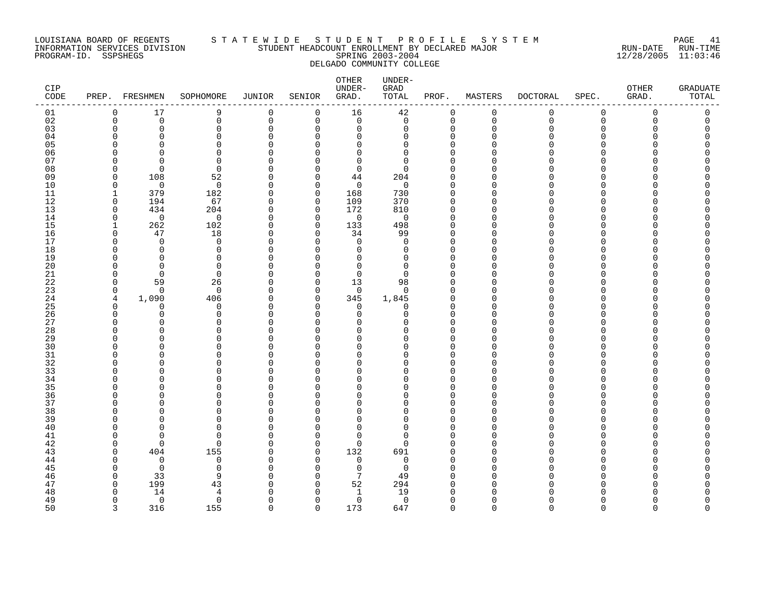#### LOUISIANA BOARD OF REGENTS S T A T E W I D E S T U D E N T P R O F I L E S Y S T E M PAGE 41 INFORMATION SERVICES DIVISION STUDENT HEADCOUNT ENROLLMENT BY DECLARED MAJOR RUN-DATE RUN-TIME PROGRAM-ID. SSPSHEGS SPRING 2003-2004 12/28/2005 11:03:46 DELGADO COMMUNITY COLLEGE

| CIP<br>CODE |                      | PREP. FRESHMEN | SOPHOMORE            | JUNIOR                   | SENIOR               | OTHER<br>UNDER-<br>GRAD. | UNDER-<br>GRAD<br>TOTAL | PROF.                      | MASTERS              | <b>DOCTORAL</b> | SPEC.    | OTHER<br>GRAD. | <b>GRADUATE</b><br>TOTAL |
|-------------|----------------------|----------------|----------------------|--------------------------|----------------------|--------------------------|-------------------------|----------------------------|----------------------|-----------------|----------|----------------|--------------------------|
| 01          | 0                    | 17             | 9                    | $\mathbf 0$              | 0                    | 16                       | 42                      | 0                          | 0                    | 0               | 0        | $\mathbf 0$    | 0                        |
| 02          | $\mathbf 0$          | $\Omega$       | 0                    | $\mathbf 0$              | 0                    | $\Omega$                 | $\mathbf 0$             | $\mathbf 0$                | $\Omega$             | $\Omega$        | $\Omega$ | $\Omega$       | $\Omega$                 |
| 03          | $\mathbf 0$          | $\Omega$       | 0                    | $\mathbf 0$              | 0                    | 0                        | $\Omega$                | $\mathbf 0$                | $\mathbf 0$          | ∩               | 0        |                |                          |
| 04          | ∩                    | ∩              | 0                    | ∩                        | 0                    | O                        | $\Omega$                | 0                          | ∩                    |                 | U        |                |                          |
| 05          | ∩                    |                | $\Omega$             | C                        | $\Omega$             | $\Omega$                 | $\Omega$                | $\Omega$                   | ∩                    |                 |          |                |                          |
| 06          | ∩                    | ∩<br>∩         | $\Omega$             | $\Omega$                 | $\Omega$             | $\Omega$                 | 0<br>$\Omega$           | $\mathbf 0$                | ∩<br>∩               |                 | U        |                |                          |
| 07          | ∩<br>$\Omega$        | $\Omega$       | $\Omega$<br>$\Omega$ | C<br>$\Omega$            | $\Omega$<br>$\Omega$ | $\Omega$<br>$\mathbf 0$  | $\Omega$                | $\Omega$<br>$\mathbf 0$    | $\Omega$             |                 | U        |                |                          |
| 08<br>09    | $\Omega$             | 108            | 52                   | $\Omega$                 | $\Omega$             | 44                       | 204                     | $\mathbf 0$                | $\Omega$             |                 |          |                |                          |
| 10          | $\mathbf 0$          | $\mathbf 0$    | $\mathbf 0$          | $\Omega$                 | 0                    | $\mathbf 0$              | $\mathbf 0$             | $\mathbf 0$                | $\Omega$             |                 | U        |                |                          |
| 11          | 1                    | 379            | 182                  | $\Omega$                 | 0                    | 168                      | 730                     | $\mathbf 0$                | ∩                    |                 | U        |                |                          |
| 12          | 0                    | 194            | 67                   | $\Omega$                 | 0                    | 109                      | 370                     | $\mathbf 0$                | $\Omega$             |                 | U        |                |                          |
| 13          | 0                    | 434            | 204                  | $\Omega$                 | 0                    | 172                      | 810                     | $\mathbf 0$                | $\Omega$             |                 | U        |                |                          |
| 14          | $\mathbf 0$          | $\Omega$       | $\Omega$             | $\Omega$                 | $\Omega$             | $\mathbf 0$              | $\mathbf 0$             | $\mathbf 0$                | $\Omega$             |                 | U        |                |                          |
| 15          | -1                   | 262            | 102                  | $\Omega$                 | $\Omega$             | 133                      | 498                     | $\Omega$                   | ∩                    |                 | U        |                |                          |
| 16          | $\Omega$             | 47             | 18                   | $\Omega$                 | $\Omega$             | 34                       | 99                      | $\Omega$                   | ∩                    |                 | U        |                |                          |
| 17          | $\Omega$             | $\Omega$       | 0                    | $\Omega$                 | 0                    | $\mathbf 0$              | $\mathbf 0$             | $\mathbf 0$                | $\Omega$             |                 | O        |                |                          |
| 18          | O                    | O              | 0                    | C                        | $\Omega$             | $\Omega$                 | 0                       | $\mathbf 0$                | ∩                    |                 | U        |                |                          |
| 19          | ∩                    | $\Omega$       | $\Omega$             | $\Omega$                 | $\Omega$             | $\Omega$                 | $\Omega$                | $\mathbf 0$                | $\Omega$             |                 | U        |                |                          |
| 20          | ∩                    | $\Omega$       | $\Omega$             | $\Omega$                 | $\Omega$             | $\Omega$                 | $\Omega$                | $\Omega$                   | ∩                    |                 | U        |                |                          |
| 21          | $\Omega$             | $\Omega$       | $\Omega$             | $\Omega$                 | $\Omega$             | $\Omega$                 | $\Omega$                | $\Omega$                   | ∩                    |                 | U        |                |                          |
| 22          | $\Omega$             | 59             | 26                   | $\Omega$                 | $\Omega$             | 13                       | 98                      | $\mathbf 0$                | ∩                    |                 | U        |                |                          |
| 23          | $\Omega$             | $\Omega$       | $\Omega$             | $\Omega$                 | $\Omega$             | $\Omega$                 | $\Omega$                | $\Omega$                   | $\Omega$             |                 | U        |                |                          |
| 24          | 4                    | 1,090          | 406                  | $\Omega$                 | 0                    | 345                      | 1,845                   | 0                          | $\Omega$             |                 | U        |                |                          |
| 25          | $\Omega$             | O              | 0                    | <sup>0</sup>             | 0                    | 0                        | 0                       | $\Omega$                   | ∩                    |                 | U        |                |                          |
| 26<br>27    | $\Omega$<br>$\Omega$ | $\Omega$<br>U  | 0<br>0               | $\Omega$<br>$\Omega$     | $\Omega$<br>∩        | 0<br><sup>0</sup>        | 0<br><sup>n</sup>       | $\mathbf 0$<br>$\mathbf 0$ | $\Omega$<br>$\Omega$ |                 | U<br>U   |                |                          |
| 28          | $\cap$               |                | U                    | $\Omega$                 | $\Omega$             | $\Omega$                 | U                       | $\Omega$                   | ∩                    |                 | U        |                |                          |
| 29          | $\cap$               | ∩              | U                    | $\Omega$                 | $\Omega$             | $\Omega$                 | <sup>n</sup>            | $\mathbf 0$                | ∩                    |                 | U        |                |                          |
| 30          |                      | Λ              | U                    | C                        | ∩                    | $\Omega$                 | U                       | $\Omega$                   | ∩                    |                 |          |                |                          |
| 31          | <sup>0</sup>         | Λ              | O                    | O                        | O                    | 0                        | U                       | 0                          | O                    |                 | U        |                |                          |
| 32          | ∩                    |                | 0                    | C                        | O                    | $\Omega$                 | $\Omega$                | 0                          | $\Omega$             |                 |          |                |                          |
| 33          | ∩                    | Λ              | U                    | $\Omega$                 | $\Omega$             | $\Omega$                 | U                       | $\Omega$                   | ∩                    |                 | U        |                |                          |
| 34          | ∩                    | Λ              | U                    | C                        | $\Omega$             | <sup>0</sup>             | <sup>n</sup>            | $\Omega$                   | ∩                    |                 | U        |                |                          |
| 35          |                      |                | U                    | C                        | ∩                    | $\Omega$                 | $\Omega$                | $\Omega$                   | ∩                    |                 | U        |                |                          |
| 36          | $\Omega$             | Λ              | $\Omega$             | $\Omega$                 | ∩                    | $\Omega$                 | $\Omega$                | $\mathbf 0$                | ∩                    |                 | U        |                |                          |
| 37          | $\Omega$             |                | $\Omega$             | $\Omega$                 | $\Omega$             | $\Omega$                 | $\Omega$                | $\mathbf 0$                | $\Omega$             |                 | U        |                |                          |
| 38          | ∩                    |                | O                    | <sup>0</sup>             | $\Omega$             | O                        | U                       | 0                          | ∩                    |                 | U        |                |                          |
| 39          | ∩                    |                | 0                    | <sup>0</sup>             | $\Omega$             | O                        | $\Omega$                | $\mathbf 0$                | $\Omega$             |                 | U        |                |                          |
| 40          | ∩                    |                | U                    | C                        | $\Omega$             | $\Omega$                 | $\Omega$                | $\mathbf 0$                | ∩                    |                 | Λ        |                |                          |
| 41          | $\Omega$             | ∩              | $\Omega$             | C                        | $\Omega$             | $\Omega$                 | $\Omega$                | $\Omega$                   | ∩                    |                 | U        |                |                          |
| 42          | $\Omega$             | $\Omega$       | $\Omega$             | $\Omega$                 | 0                    | $\mathbf 0$              | $\Omega$                | $\mathbf 0$                | ∩                    |                 | U        |                |                          |
| 43          | $\Omega$             | 404            | 155                  | $\Omega$                 | 0                    | 132                      | 691                     | $\Omega$                   | ∩                    |                 | ∩        |                |                          |
| 44          | $\Omega$             | $\mathbf 0$    | 0                    | $\Omega$                 | 0                    | $\mathbf 0$              | 0                       | $\mathbf 0$                | $\Omega$             |                 | U        |                |                          |
| 45          | $\Omega$             | $\Omega$       | 0                    | <sup>0</sup>             | O                    | 0<br>7                   | $\mathbf 0$             | 0                          | $\Omega$<br>∩        |                 | O        |                |                          |
| 46<br>47    | $\Omega$<br>0        | 33<br>199      | 9<br>43              | $\Omega$<br><sup>0</sup> | $\Omega$<br>0        | 52                       | 49<br>294               | $\Omega$<br>0              | ∩                    |                 |          |                |                          |
| 48          | ∩                    | 14             | 4                    |                          | $\Omega$             | $\mathbf{1}$             | 19                      | $\Omega$                   | ∩                    |                 |          |                |                          |
| 49          | $\Omega$             | $\overline{0}$ | $\mathbf 0$          | $\Omega$                 | $\Omega$             | 0                        | $\mathbf 0$             | $\mathbf 0$                | $\Omega$             |                 | U        |                |                          |
| 50          | $\mathbf{3}$         | 316            | 155                  | $\cap$                   | $\Omega$             | 173                      | 647                     | $\Omega$                   | $\cap$               | $\Omega$        | $\Omega$ | $\Omega$       | $\cap$                   |
|             |                      |                |                      |                          |                      |                          |                         |                            |                      |                 |          |                |                          |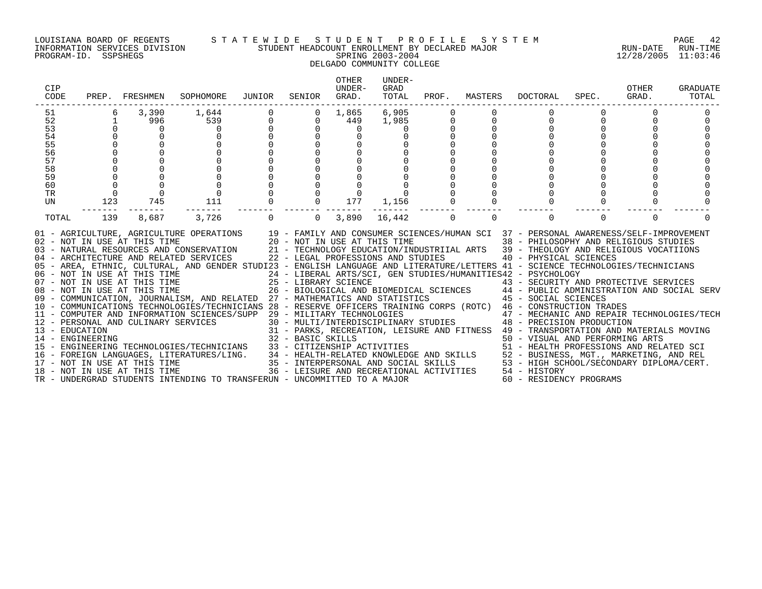#### LOUISIANA BOARD OF REGENTS S T A T E W I D E S T U D E N T P R O F I L E S Y S T E M PAGE 42 INFORMATION SERVICES DIVISION STUDENT HEADCOUNT ENROLLMENT BY DECLARED MAJOR RUN-DATE RUN-TIME PROGRAM-ID. SSPSHEGS SPRING 2003-2004 12/28/2005 11:03:46 DELGADO COMMUNITY COLLEGE

| CIP<br>CODE                                                    | PREP.                                              | FRESHMEN          | SOPHOMORE                                                                                                                                                                                                                                                                                                                                                                                                                                                                                                                                                                                                                                                                                                                                                                                                                                                                                                            | JUNIOR   | SENIOR                                  | <b>OTHER</b><br>UNDER-<br>GRAD. | UNDER-<br>GRAD<br>TOTAL |                            |          | PROF. MASTERS DOCTORAL                                                                                                                                                                  | SPEC.       | OTHER<br>GRAD. | GRADUATE<br>TOTAL |
|----------------------------------------------------------------|----------------------------------------------------|-------------------|----------------------------------------------------------------------------------------------------------------------------------------------------------------------------------------------------------------------------------------------------------------------------------------------------------------------------------------------------------------------------------------------------------------------------------------------------------------------------------------------------------------------------------------------------------------------------------------------------------------------------------------------------------------------------------------------------------------------------------------------------------------------------------------------------------------------------------------------------------------------------------------------------------------------|----------|-----------------------------------------|---------------------------------|-------------------------|----------------------------|----------|-----------------------------------------------------------------------------------------------------------------------------------------------------------------------------------------|-------------|----------------|-------------------|
| 51<br>52<br>53<br>54<br>55<br>56<br>57<br>58<br>59<br>60<br>TR | 6<br>$\mathbf{1}$<br>$\mathbf 0$<br>$\overline{0}$ | 3,390<br>996<br>0 | 1,644<br>539<br>$\Omega$                                                                                                                                                                                                                                                                                                                                                                                                                                                                                                                                                                                                                                                                                                                                                                                                                                                                                             | $_0^0$   | $\mathbf{0}$<br>$\mathbf 0$<br>$\Omega$ | 1,865<br>449<br>$\mathbf 0$     | 6,905<br>1,985          | $\mathbf 0$<br>$\mathbf 0$ | $\Omega$ | 0                                                                                                                                                                                       | $\mathbf 0$ |                |                   |
| UN<br>TOTAL                                                    | 123<br>139                                         | 745<br>8,687      | 111<br>3,726                                                                                                                                                                                                                                                                                                                                                                                                                                                                                                                                                                                                                                                                                                                                                                                                                                                                                                         | $\Omega$ | $\Omega$                                | 177<br>3,890                    | 1,156<br>16,442         | $\mathbf 0$                | $\Omega$ | $\Omega$                                                                                                                                                                                | $\Omega$    | $\Omega$       |                   |
|                                                                |                                                    |                   | 01 - AGRICULTURE, AGRICULTURE OPERATIONS 19 - FAMILY AND CONSUMER SCIENCES/HUMAN SCI 37 - PERSONAL AWARENESS/SELF-IMPROVEMENT<br>02 - NOT IN USE AT THIS TIME 20 - NOT IN USE AT THIS TIME 38 - PHILOSOPHY AND RELIGIOUS STUDIES<br>03 - NATURAL RESOURCES AND CONSERVATION 21 - TECHNOLOGY EDUCATION/INDUSTRIIAL ARTS 39 - THEOLOGY AND RELIGIOUS VOCATIIONS<br>04 - ARCHITECTURE AND RELATED SERVICES 22 - LEGAL PROFESSIONS AND STUDIES 40 - PHYSICAL SCIENCES<br>05 - AREA, ETHNIC, CULTURAL, AND GENDER STUDI23 - ENGLISH LANGUAGE AND LITERATURE/LETTERS 41 - SCIENCE TECHNOLOGIES/TECHNICIANS<br>06 - NOT IN USE AT THIS TIME 25 - 24 - LIBERAL ARTS/SCI, GEN STUDIES/HUMANITIES42 - PSYCHOLOGY<br>07 - NOT IN USE AT THIS TIME 25 - LIBRARY SCIENCE 25 - LIBRARY SCIENCE 25 - BIOLOGICAL AND BIOMEDICAL SCIENCES<br>09 - COMMUNICA<br>11 - COMPUTER AND INFORMATION SCIENCES/SUPP 29 - MILITARY TECHNOLOGIES |          |                                         |                                 |                         |                            |          | 29 - MILITARY TECHNOLOGIES<br>30 - MULTI/INTERDISCIPLINARY STUDIES<br>48 - PRECISION PRODUCTION<br>31 - PARKS, RECREATION, LEISURE AND FITNESS 49 - TRANSPORTATION AND MATERIALS MOVING |             |                |                   |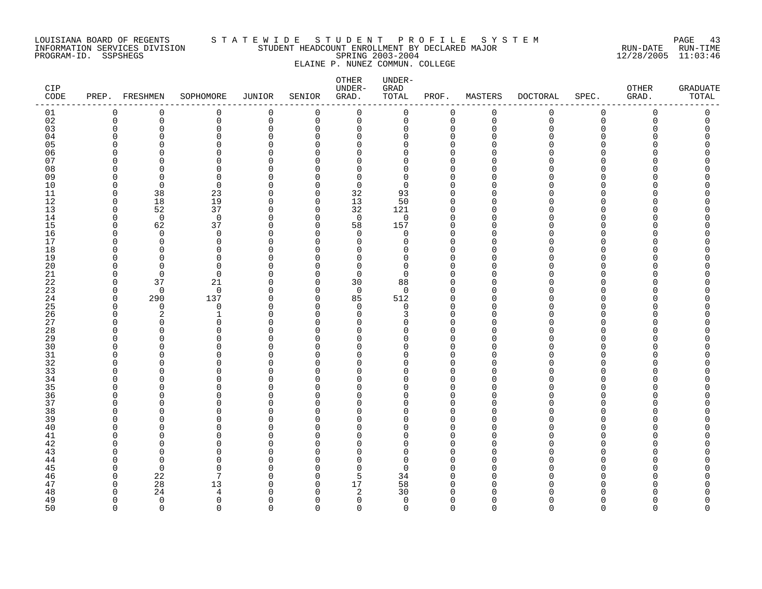#### LOUISIANA BOARD OF REGENTS S T A T E W I D E S T U D E N T P R O F I L E S Y S T E M PAGE 43 INFORMATION SERVICES DIVISION STUDENT HEADCOUNT ENROLLMENT BY DECLARED MAJOR RUN-DATE RUN-TIME PROGRAM-ID. SSPSHEGS SPRING 2003-2004 12/28/2005 11:03:46 ELAINE P. NUNEZ COMMUN. COLLEGE

| CIP<br>CODE |               | PREP. FRESHMEN | SOPHOMORE            | <b>JUNIOR</b>        | SENIOR               | OTHER<br>UNDER-<br>GRAD. | UNDER-<br>GRAD<br>TOTAL | PROF.                | MASTERS              | <b>DOCTORAL</b> | SPEC.         | OTHER<br>GRAD. | <b>GRADUATE</b><br>TOTAL |
|-------------|---------------|----------------|----------------------|----------------------|----------------------|--------------------------|-------------------------|----------------------|----------------------|-----------------|---------------|----------------|--------------------------|
| 01          | 0             | 0              | 0                    | 0                    | 0                    | 0                        | 0                       | $\mathbf 0$          | 0                    | 0               | $\mathbf 0$   | 0              | 0                        |
| 02          | 0             | $\mathbf 0$    | $\mathbf 0$          | 0                    | $\mathbf 0$          | $\mathbf 0$              | 0                       | $\mathbf 0$          | $\mathsf 0$          | $\mathbf 0$     | $\mathbf 0$   | $\mathbf 0$    | 0                        |
| 03          | $\Omega$      | $\Omega$       | 0                    | $\Omega$             | $\mathbf 0$          | 0                        | 0                       | $\Omega$             | $\mathbf 0$          | O               | $\Omega$      | Ω              | 0                        |
| 04          | O             | ∩              | $\Omega$             | $\Omega$<br>$\Omega$ | $\Omega$<br>$\Omega$ | 0                        | $\Omega$<br>U           | $\Omega$<br>$\Omega$ | $\Omega$             | ∩               | ∩<br>$\Omega$ |                |                          |
| 05          | O<br>O        | ∩<br>O         | $\Omega$<br>$\Omega$ | O                    | ∩                    | $\Omega$                 | $\Omega$                | $\Omega$             | $\Omega$<br>$\Omega$ |                 | ∩             |                |                          |
| 06<br>07    | ∩             | $\Omega$       | $\Omega$             | U                    | $\Omega$             | 0<br>$\Omega$            | $\Omega$                | $\Omega$             | $\Omega$             |                 | ∩             |                |                          |
| 08          | U             | $\Omega$       | $\Omega$             | ∩                    | $\cap$               | 0                        | 0                       | $\Omega$             | $\Omega$             |                 | ∩             |                |                          |
| 09          | ∩             | ∩              | $\Omega$             | ∩                    | $\Omega$             | $\Omega$                 | $\Omega$                | $\Omega$             | $\Omega$             |                 | ∩             |                |                          |
| $10$        | $\Omega$      | $\mathbf 0$    | $\mathbf 0$          | $\Omega$             | $\Omega$             | $\mathbf 0$              | 0                       | $\Omega$             | $\mathbf 0$          |                 | $\Omega$      |                |                          |
| 11          | $\Omega$      | 38             | 23                   | $\Omega$             | $\Omega$             | 32                       | 93                      | $\Omega$             | $\Omega$             | N               | ∩             |                |                          |
| 12          | $\Omega$      | 18             | 19                   | $\Omega$             | $\Omega$             | 13                       | 50                      | $\Omega$             | $\Omega$             |                 | ∩             |                |                          |
| 13          | $\Omega$      | 52             | 37                   | $\Omega$             | $\Omega$             | 32                       | 121                     | $\Omega$             | $\Omega$             |                 | $\Omega$      |                |                          |
| 14          | $\Omega$      | $\overline{0}$ | $\mathbf 0$          | $\Omega$             | $\Omega$             | $\mathbf 0$              | $\mathbf 0$             | $\Omega$             | $\Omega$             |                 | ∩             |                |                          |
| 15          | $\Omega$      | 62             | 37                   | $\Omega$             | $\Omega$             | 58                       | 157                     | $\Omega$             | 0                    |                 | $\Omega$      |                |                          |
| 16          | $\Omega$      | $\mathbf 0$    | $\mathbf 0$          | $\Omega$             | $\Omega$             | $\mathbf 0$              | 0                       | $\Omega$             | $\Omega$             |                 | $\Omega$      |                |                          |
| 17          | U             | $\Omega$       | $\Omega$             | ∩                    | $\Omega$             | $\Omega$                 | $\Omega$                | $\Omega$             | $\Omega$             |                 | ∩             |                |                          |
| 18          | O             | $\Omega$       | $\Omega$             | $\Omega$             | $\Omega$             | 0                        | $\Omega$                | $\Omega$             | $\Omega$             |                 | $\Omega$      |                |                          |
| 19          | $\Omega$      | $\Omega$       | $\mathbf 0$          | $\Omega$             | $\cap$               | 0                        | 0                       | $\Omega$             | $\mathbf 0$          |                 | $\Omega$      |                |                          |
| 20<br>21    | O<br>$\Omega$ | $\Omega$       | $\Omega$<br>$\Omega$ | U<br>$\Omega$        | $\cap$<br>$\Omega$   | $\mathbf 0$              | $\Omega$                | $\Omega$<br>$\Omega$ | $\Omega$             |                 | ∩<br>∩        |                |                          |
| 22          | $\Omega$      | $\Omega$<br>37 | 21                   | $\Omega$             | $\Omega$             | $\mathbf 0$<br>30        | 0<br>88                 | $\Omega$             | $\Omega$<br>$\Omega$ |                 | ∩             |                |                          |
| 23          | $\Omega$      | $\Omega$       | $\mathbf 0$          | $\Omega$             | $\Omega$             | $\mathbf 0$              | $\Omega$                | $\Omega$             | $\Omega$             |                 | $\Omega$      |                |                          |
| 24          | $\Omega$      | 290            | 137                  | $\Omega$             | 0                    | 85                       | 512                     | $\Omega$             | $\Omega$             |                 | $\Omega$      |                |                          |
| 25          | $\Omega$      | $\mathbf 0$    | $\mathbf 0$          | $\Omega$             | $\Omega$             | $\mathbf 0$              | 0                       | O                    | $\Omega$             |                 | $\Omega$      |                |                          |
| 26          | U             | 2              | $\mathbf{1}$         | $\Omega$             | $\Omega$             | $\mathbf 0$              | 3                       | $\Omega$             | $\Omega$             |                 | ∩             |                |                          |
| 27          | U             | ∩              | $\Omega$             | ∩                    | $\Omega$             | $\Omega$                 | U                       | $\Omega$             | $\Omega$             |                 | ∩             |                |                          |
| 28          | $\Omega$      | $\Omega$       | $\Omega$             | $\Omega$             | $\Omega$             | 0                        | 0                       | $\Omega$             | $\Omega$             |                 | $\Omega$      |                |                          |
| 29          | O             | O              | $\Omega$             | O                    | $\Omega$             | 0                        | O                       | $\Omega$             | $\Omega$             |                 | $\Omega$      |                |                          |
| 30          | ∩             | ∩              | $\Omega$             | ∩                    | U                    | $\Omega$                 | U                       | $\cap$               | $\Omega$             |                 | ∩             |                |                          |
| 31          | O             | ∩              | $\Omega$             | U                    | $\cap$               | 0                        | U                       | $\Omega$             | $\Omega$             |                 | ∩             |                |                          |
| 32          | ∩             | ∩              | $\Omega$             | U                    | $\cap$               | 0                        | U                       | $\Omega$             | $\Omega$             |                 | $\Omega$      |                |                          |
| 33          | O             | $\Omega$       | $\Omega$             | U                    | $\Omega$             | $\Omega$                 | U                       | $\Omega$             | $\Omega$             |                 | $\Omega$      |                |                          |
| 34<br>35    | U<br>∩        | O<br>∩         | $\Omega$<br>$\Omega$ | U<br>∩               | $\cap$<br>$\cap$     | 0<br>$\Omega$            | U<br>U                  | $\Omega$<br>$\Omega$ | $\Omega$<br>$\Omega$ |                 | $\Omega$<br>∩ |                |                          |
| 36          | $\Omega$      | $\Omega$       | $\mathbf 0$          | $\Omega$             | $\Omega$             | $\mathbf 0$              | $\Omega$                | $\Omega$             | $\Omega$             |                 | $\Omega$      |                |                          |
| 37          | $\Omega$      | $\Omega$       | $\mathbf 0$          | 0                    | $\Omega$             | 0                        | $\Omega$                | $\Omega$             | $\Omega$             | N               | $\Omega$      |                |                          |
| 38          | O             | $\Omega$       | $\Omega$             | 0                    | $\Omega$             | $\Omega$                 | $\Omega$                | $\Omega$             | $\Omega$             |                 | $\Omega$      |                |                          |
| 39          | U             | O              | $\Omega$             | O                    | $\Omega$             | 0                        | $\Omega$                | $\Omega$             | $\Omega$             |                 | ∩             |                |                          |
| 40          | ∩             | ∩              | $\Omega$             | ∩                    | $\cap$               | 0                        | U                       | $\Omega$             | $\Omega$             |                 | ∩             |                |                          |
| 41          | ∩             | ∩              | $\Omega$             | U                    | $\cap$               | $\Omega$                 | U                       | $\cap$               | $\Omega$             |                 | ∩             |                | Ω                        |
| 42          | ∩             | O              | $\Omega$             | O                    | $\Omega$             | 0                        | $\Omega$                | $\Omega$             | $\Omega$             |                 | $\Omega$      |                |                          |
| 43          | ∩             | ∩              | $\Omega$             | ∩                    | $\cap$               | $\Omega$                 | U                       | $\cap$               | $\Omega$             |                 | ∩             |                |                          |
| 44          | ∩             | $\Omega$       | $\Omega$             | U                    | $\cap$               | $\Omega$                 | $\Omega$                | $\Omega$             | $\Omega$             |                 | $\Omega$      |                |                          |
| 45          | ∩             | $\Omega$       | $\Omega$             | U                    | $\Omega$             | $\mathbf 0$              | $\Omega$                | ∩                    | $\Omega$             |                 | ∩             |                |                          |
| 46          | $\Omega$      | 22             | 7                    | 0                    | $\Omega$             | 5                        | 34                      | $\Omega$             | $\mathbf 0$          |                 | $\Omega$      |                |                          |
| 47          | $\Omega$      | 28             | 13                   | O                    | $\Omega$             | 17                       | 58                      | $\Omega$             | $\Omega$             |                 | ∩             |                |                          |
| 48          | <sup>n</sup>  | 24             | 4                    | ∩                    | $\Omega$             | $\overline{2}$           | 30                      | $\Omega$             | $\Omega$             |                 |               |                |                          |
| 49          | 0             | $\mathbf 0$    | $\mathbf 0$          | $\Omega$             | $\Omega$             | $\mathbf 0$              | $\mathbf 0$             | $\Omega$             | $\Omega$             | N               | $\Omega$      | Λ              | U                        |
| 50          | $\cap$        | $\Omega$       | $\Omega$             | $\Omega$             | $\cap$               | $\Omega$                 | $\Omega$                | $\Omega$             | $\Omega$             | $\Omega$        | $\Omega$      | $\Omega$       | $\Omega$                 |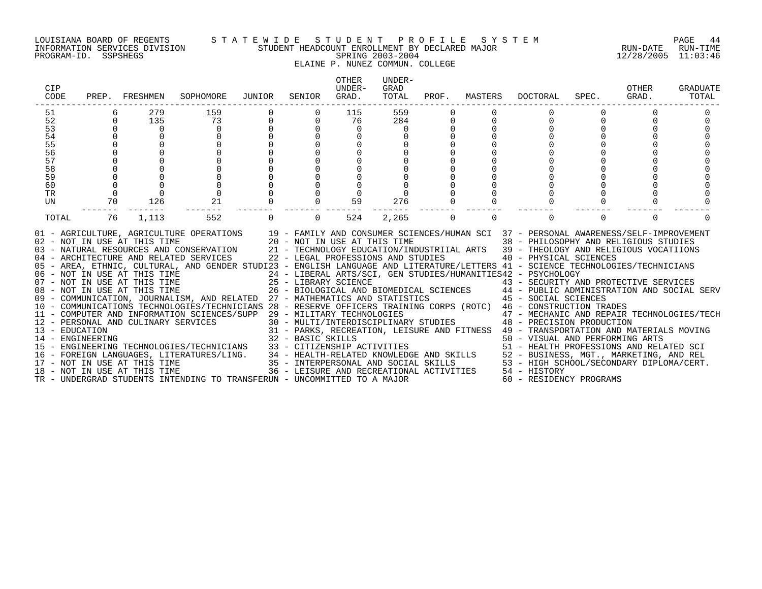PROGRAM-ID. SSPSHEGS SPRING 2003-2004 12/28/2005 11:03:46

## LOUISIANA BOARD OF REGENTS S T A T E W I D E S T U D E N T P R O F I L E S Y S T E M PAGE 44 INFORMATION SERVICES DIVISION STUDENT HEADCOUNT ENROLLMENT BY DECLARED MAJOR RUN-DATE RUN-TIME

# ELAINE P. NUNEZ COMMUN. COLLEGE

| CIP<br>CODE |               | PREP. FRESHMEN               | SOPHOMORE                                                                                                                                                                                                                                                                                                                                                                                                                                                                                                                                                                                                                                                                                                                                                                                                                                                                                                                                                                                                                                                                                                                                                                                                                                                                                                                                                                                                                                                                             | JUNIOR      | SENIOR                                   | <b>OTHER</b><br>UNDER-<br>GRAD. | UNDER-<br>GRAD<br>TOTAL | PROF.          | MASTERS  | DOCTORAL                                                                                                                                                                                                                                                                                                                     | SPEC.    | OTHER<br>GRAD. | GRADUATE<br>TOTAL |
|-------------|---------------|------------------------------|---------------------------------------------------------------------------------------------------------------------------------------------------------------------------------------------------------------------------------------------------------------------------------------------------------------------------------------------------------------------------------------------------------------------------------------------------------------------------------------------------------------------------------------------------------------------------------------------------------------------------------------------------------------------------------------------------------------------------------------------------------------------------------------------------------------------------------------------------------------------------------------------------------------------------------------------------------------------------------------------------------------------------------------------------------------------------------------------------------------------------------------------------------------------------------------------------------------------------------------------------------------------------------------------------------------------------------------------------------------------------------------------------------------------------------------------------------------------------------------|-------------|------------------------------------------|---------------------------------|-------------------------|----------------|----------|------------------------------------------------------------------------------------------------------------------------------------------------------------------------------------------------------------------------------------------------------------------------------------------------------------------------------|----------|----------------|-------------------|
| 51<br>52    | 6<br>$\Omega$ | 279<br>135                   | 159<br>73                                                                                                                                                                                                                                                                                                                                                                                                                                                                                                                                                                                                                                                                                                                                                                                                                                                                                                                                                                                                                                                                                                                                                                                                                                                                                                                                                                                                                                                                             | $\mathbf 0$ | $\Omega$                                 | 115<br>76                       | 559<br>284              |                |          | $\Omega$                                                                                                                                                                                                                                                                                                                     |          | $\Omega$       |                   |
| 53          | $\Omega$      | $\Omega$                     | $\Omega$                                                                                                                                                                                                                                                                                                                                                                                                                                                                                                                                                                                                                                                                                                                                                                                                                                                                                                                                                                                                                                                                                                                                                                                                                                                                                                                                                                                                                                                                              |             |                                          | $\Omega$                        | $\Omega$                |                |          |                                                                                                                                                                                                                                                                                                                              |          |                |                   |
| 54          |               |                              |                                                                                                                                                                                                                                                                                                                                                                                                                                                                                                                                                                                                                                                                                                                                                                                                                                                                                                                                                                                                                                                                                                                                                                                                                                                                                                                                                                                                                                                                                       |             |                                          |                                 |                         |                |          |                                                                                                                                                                                                                                                                                                                              |          |                |                   |
| 55          |               |                              |                                                                                                                                                                                                                                                                                                                                                                                                                                                                                                                                                                                                                                                                                                                                                                                                                                                                                                                                                                                                                                                                                                                                                                                                                                                                                                                                                                                                                                                                                       |             |                                          |                                 |                         |                |          |                                                                                                                                                                                                                                                                                                                              |          |                |                   |
| 56          |               |                              |                                                                                                                                                                                                                                                                                                                                                                                                                                                                                                                                                                                                                                                                                                                                                                                                                                                                                                                                                                                                                                                                                                                                                                                                                                                                                                                                                                                                                                                                                       |             |                                          |                                 |                         |                |          |                                                                                                                                                                                                                                                                                                                              |          |                |                   |
| 57          |               |                              |                                                                                                                                                                                                                                                                                                                                                                                                                                                                                                                                                                                                                                                                                                                                                                                                                                                                                                                                                                                                                                                                                                                                                                                                                                                                                                                                                                                                                                                                                       |             |                                          |                                 |                         |                |          |                                                                                                                                                                                                                                                                                                                              |          |                |                   |
| 58          |               |                              |                                                                                                                                                                                                                                                                                                                                                                                                                                                                                                                                                                                                                                                                                                                                                                                                                                                                                                                                                                                                                                                                                                                                                                                                                                                                                                                                                                                                                                                                                       |             |                                          |                                 |                         |                |          |                                                                                                                                                                                                                                                                                                                              |          |                |                   |
| 59          |               |                              |                                                                                                                                                                                                                                                                                                                                                                                                                                                                                                                                                                                                                                                                                                                                                                                                                                                                                                                                                                                                                                                                                                                                                                                                                                                                                                                                                                                                                                                                                       |             |                                          |                                 |                         |                |          |                                                                                                                                                                                                                                                                                                                              |          |                |                   |
| 60          |               |                              |                                                                                                                                                                                                                                                                                                                                                                                                                                                                                                                                                                                                                                                                                                                                                                                                                                                                                                                                                                                                                                                                                                                                                                                                                                                                                                                                                                                                                                                                                       |             |                                          |                                 |                         |                |          |                                                                                                                                                                                                                                                                                                                              |          |                |                   |
| TR          | $\Omega$      |                              | $\mathbf 0$                                                                                                                                                                                                                                                                                                                                                                                                                                                                                                                                                                                                                                                                                                                                                                                                                                                                                                                                                                                                                                                                                                                                                                                                                                                                                                                                                                                                                                                                           |             |                                          |                                 |                         |                |          |                                                                                                                                                                                                                                                                                                                              |          |                |                   |
| UN          | 70            | 126                          | 21                                                                                                                                                                                                                                                                                                                                                                                                                                                                                                                                                                                                                                                                                                                                                                                                                                                                                                                                                                                                                                                                                                                                                                                                                                                                                                                                                                                                                                                                                    |             |                                          | 59                              | 276                     |                |          |                                                                                                                                                                                                                                                                                                                              |          |                |                   |
| TOTAL       | 76            | 1,113                        | 552                                                                                                                                                                                                                                                                                                                                                                                                                                                                                                                                                                                                                                                                                                                                                                                                                                                                                                                                                                                                                                                                                                                                                                                                                                                                                                                                                                                                                                                                                   | $\Omega$    | $\Omega$                                 | 524                             | 2,265                   | $\overline{0}$ | $\Omega$ | $\Omega$                                                                                                                                                                                                                                                                                                                     | $\Omega$ | $\Omega$       |                   |
|             |               | 18 - NOT IN USE AT THIS TIME | 01 - AGRICULTURE, AGRICULTURE OPERATIONS 19 - FAMILY AND CONSUMER SCIENCES/HUMAN SCI 37 - PERSONAL AWARENESS/SELF-IMPROVEMENT<br>02 - NOT IN USE AT THIS TIME 20 - NOT IN USE AT THIS TIME 38 - PHILOSOPHY AND RELIGIOUS STUDIES<br>03 - NATURAL RESOURCES AND CONSERVATION 21 - TECHNOLOGY EDUCATION/INDUSTRIIAL ARTS 39 - THEOLOGY AND RELIGIOUS VOCATIIONS<br>04 - ARCHITECTURE AND RELATED SERVICES 22 - LEGAL PROFESSIONS AND STUDIES<br>05 - AREA, ETHNIC, CULTURAL, AND GENDER STUDI23 - ENGLISH LANGUAGE AND LITERATURE/LETTERS 41 - SCIENCE TECHNOLOGIES/TECHNICIANS<br>06 - NOT IN USE AT THIS TIME<br>07 - NOT IN USE AT THIS TIME<br>07 - NOT IN USE AT THIS TIME 25 - LIBRARY SCIENCE 43 - SECURITY AND PROTECTIVE SERVICES<br>08 - NOT IN USE AT THIS TIME 26 - BIOLOGICAL AND BIOMEDICAL SCIENCES 44 - PUBLIC ADMINISTRATION AND SOCIAL SERV<br>09 - COMMUNICATION, JO<br>10 - COMMUNICATIONS TECHNOLOGIES/TECHNICIANS 28 - RESERVE OFFICERS TRAINING CORPS (ROTC) 46 - CONSTRUCTION TRADES<br>11 - COMPUTER AND INFORMATION SCIENCES/SUPP 29 - MILITARY TECHNOLOGIES<br>11 - PERSONAL AND CULINARY SERVICES<br>13 - EDUCATION<br>14 - ENGINEERING<br>14 - ENGINEERING TECHNOLOGIES/TECHNICIANS 32 - BASIC SKILLS 50 - VISUAL AND PERFORMING ARTS<br>15 - ENGINEERING TECHNOLOGIES/TECHNICIANS 33 - CITIZENSHIP ACTIVITIES 51 - HEALTH PROFESSIONS AND RELATED SCI<br>16 - FOREIGN LANGUAG<br>TR - UNDERGRAD STUDENTS INTENDING TO TRANSFERUN - UNCOMMITTED TO A MAJOR |             | 36 - LEISURE AND RECREATIONAL ACTIVITIES |                                 |                         |                |          | 40 - PHYSICAL SCIENCES<br>24 - LIBERAL ARTS/SCI, GEN STUDIES/HUMANITIES42 - PSYCHOLOGY<br>29 - MILITARY TECHNOLOGIES<br>30 - MULTI/INTERDISCIPLINARY STUDIES<br>48 - PRECISION PRODUCTION<br>31 - PARKS, RECREATION, LEISURE AND FITNESS 49 - TRANSPORTATION AND MATERIALS MOVING<br>54 - HISTORY<br>60 - RESIDENCY PROGRAMS |          |                |                   |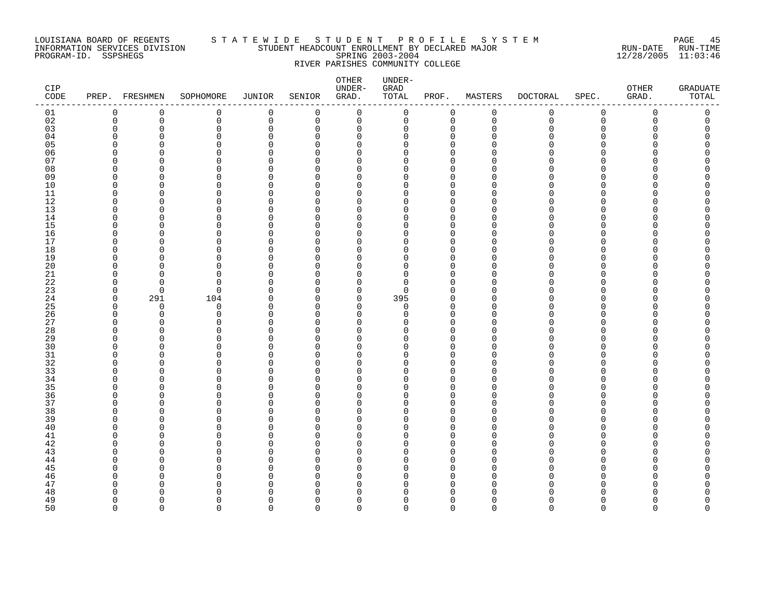#### LOUISIANA BOARD OF REGENTS S T A T E W I D E S T U D E N T P R O F I L E S Y S T E M PAGE 45 INFORMATION SERVICES DIVISION STUDENT HEADCOUNT ENROLLMENT BY DECLARED MAJOR RUN-DATE RUN-TIME PROGRAM-ID. SSPSHEGS SPRING 2003-2004 12/28/2005 11:03:46 RIVER PARISHES COMMUNITY COLLEGE

| CIP<br>$\texttt{CODE}$ |               | PREP. FRESHMEN | SOPHOMORE            | JUNIOR        | SENIOR                   | OTHER<br>UNDER-<br>GRAD. | UNDER-<br>${\tt GRAD}$<br>TOTAL | PROF.                | MASTERS              | <b>DOCTORAL</b> | SPEC.                | OTHER<br>GRAD. | <b>GRADUATE</b><br>TOTAL |
|------------------------|---------------|----------------|----------------------|---------------|--------------------------|--------------------------|---------------------------------|----------------------|----------------------|-----------------|----------------------|----------------|--------------------------|
| 01                     | 0             | $\mathbf 0$    | $\mathbf 0$          | $\mathbf 0$   | $\mathbf 0$              | $\mathbf 0$              | 0                               | $\mathbf 0$          | $\mathsf 0$          | $\mathbf 0$     | $\mathbf 0$          | $\mathbf 0$    | 0                        |
| 02                     | 0             | $\mathbf 0$    | $\mathbf 0$          | 0             | $\mathbf 0$              | $\mathsf 0$              | 0                               | $\mathbf 0$          | $\mathbb O$          | $\mathbf 0$     | $\mathsf 0$          | $\mathbf 0$    | 0                        |
| 03                     | $\Omega$      | $\Omega$       | $\mathbf 0$          | $\Omega$      | $\mathbf 0$              | 0                        | 0                               | $\Omega$             | $\mathbf 0$          | O               | $\Omega$             | Λ              | O                        |
| 04                     | ∩             | O              | $\Omega$             | $\Omega$      | $\Omega$                 | 0                        | $\Omega$                        | $\Omega$             | $\Omega$             |                 | ∩                    |                |                          |
| 05                     | ∩<br>O        | O              | $\Omega$<br>$\Omega$ | U<br>U        | $\cap$<br>$\cap$         | $\Omega$                 | U<br>U                          | $\Omega$<br>$\Omega$ | ∩<br>$\cap$          |                 | ∩<br>$\Omega$        |                |                          |
| 06<br>07               | <sup>n</sup>  | O<br>∩         | $\Omega$             | ∩             | $\cap$                   | 0<br>0                   | U                               | $\cap$               | $\cap$               |                 | ∩                    |                |                          |
| 08                     | O             | O              | $\Omega$             | U             | $\cap$                   | $\Omega$                 | U                               | $\Omega$             | $\Omega$             |                 | ∩                    |                |                          |
| 09                     | O             | O              | 0                    | O             | $\Omega$                 | 0                        | O                               | $\Omega$             | <sup>0</sup>         |                 | $\Omega$             |                |                          |
| 10                     | $\Omega$      | $\Omega$       | $\Omega$             | U             | $\cap$                   | $\Omega$                 | U                               |                      | $\Omega$             |                 | $\Omega$             |                |                          |
| 11                     | $\Omega$      | $\Omega$       | $\Omega$             | U             | $\Omega$                 | 0                        | U                               | $\Omega$             | $\Omega$             |                 | ∩                    |                |                          |
| 12                     | $\Omega$      | ∩              | $\Omega$             | U             | $\Omega$                 | $\Omega$                 | ∩                               | $\cap$               | $\cap$               |                 | ∩                    |                |                          |
| $13$                   | $\Omega$      | 0              | $\mathbf 0$          | $\Omega$      | $\Omega$                 | 0                        | 0                               | $\Omega$             | $\mathbf 0$          |                 | $\mathbf 0$          |                |                          |
| 14                     | U             | ∩              | $\Omega$             | U             | ∩                        | 0                        | $\Omega$                        | $\Omega$             | $\Omega$             |                 | ∩                    |                |                          |
| 15                     | O             | $\Omega$       | $\Omega$             | U             | $\cap$                   | $\Omega$                 | U                               | $\Omega$             | $\cap$               |                 | ∩                    |                |                          |
| 16                     | U             | ∩              | $\Omega$             | U             | $\cap$                   | 0                        | O                               | $\Omega$             | $\Omega$             |                 | ∩                    |                |                          |
| 17                     | ∩             | ∩              | $\Omega$             | U             | $\cap$                   | $\Omega$                 | U                               | $\Omega$             | $\Omega$             |                 | ∩                    |                |                          |
| 18                     | $\Omega$      | $\Omega$       | $\Omega$             | O             | $\Omega$                 | 0                        | 0                               | $\Omega$             | $\Omega$             |                 | $\Omega$             |                |                          |
| 19                     | O<br>$\Omega$ | O<br>$\Omega$  | $\Omega$<br>$\Omega$ | U<br>0        | <sup>0</sup><br>$\Omega$ | $\Omega$<br>$\Omega$     | $\Omega$<br>$\Omega$            | $\Omega$<br>O        | $\Omega$<br>$\Omega$ |                 | ∩<br>∩               |                |                          |
| 20<br>21               | O             | ∩              | $\Omega$             | ∩             | $\cap$                   | 0                        | $\Omega$                        | $\Omega$             | $\Omega$             |                 | ∩                    |                |                          |
| 22                     | $\Omega$      | ∩              | $\Omega$             | ∩             | $\Omega$                 | $\mathbf 0$              | $\Omega$                        | $\Omega$             | $\Omega$             |                 | $\Omega$             |                |                          |
| 23                     | $\Omega$      | $\Omega$       | $\mathbf 0$          | ∩             | $\cap$                   | $\mathbf 0$              | $\Omega$                        | ∩                    | $\Omega$             |                 | $\Omega$             |                |                          |
| 24                     | 0             | 291            | 104                  | O             | 0                        | 0                        | 395                             | $\Omega$             | 0                    |                 | $\Omega$             |                |                          |
| 25                     | $\Omega$      | 0              | $\mathbf 0$          | O             | $\cap$                   | 0                        | 0                               | $\Omega$             | $\Omega$             |                 | ∩                    |                |                          |
| 26                     | $\Omega$      | $\Omega$       | $\Omega$             | $\Omega$      | $\cap$                   | $\mathbf 0$              | $\Omega$                        | $\Omega$             | $\Omega$             |                 | $\Omega$             |                |                          |
| 27                     | U             | ∩              | $\Omega$             | ∩             | $\Omega$                 | $\mathbf 0$              | U                               | $\Omega$             | $\Omega$             |                 | ∩                    |                |                          |
| 28                     | O             | ∩              | $\Omega$             | U             | $\Omega$                 | $\Omega$                 | U                               | $\Omega$             | $\Omega$             |                 | $\Omega$             |                |                          |
| 29                     | $\Omega$      | $\Omega$       | $\Omega$             | O             | $\Omega$                 | 0                        | 0                               | $\Omega$             | $\Omega$             |                 | $\Omega$             |                |                          |
| 30                     | ∩             | ∩              | $\Omega$             | O             | U                        | $\Omega$                 | $\Omega$                        | $\Omega$             | $\Omega$             |                 | ∩                    |                |                          |
| 31<br>32               | O<br>U        | O<br>∩         | 0<br>$\Omega$        | $\Omega$<br>U | $\Omega$<br>$\Omega$     | 0<br>0                   | $\Omega$<br>$\Omega$            | $\Omega$<br>$\Omega$ | $\Omega$<br>$\Omega$ |                 | $\Omega$<br>$\Omega$ |                |                          |
| 33                     | O             | ∩              | $\Omega$             | U             | $\Omega$                 | $\Omega$                 | U                               | $\Omega$             | $\Omega$             |                 | ∩                    |                |                          |
| 34                     | <sup>n</sup>  | ∩              | $\Omega$             | U             | $\cap$                   | 0                        | $\Omega$                        | $\Omega$             | $\Omega$             |                 | ∩                    |                |                          |
| 35                     | O             | O              | $\Omega$             | U             | ∩                        | $\Omega$                 | U                               | $\Omega$             | $\Omega$             |                 | ∩                    |                |                          |
| 36                     | O             | O              | 0                    | O             | ∩                        | 0                        | $\Omega$                        | $\Omega$             | 0                    |                 | $\Omega$             |                |                          |
| 37                     | <sup>n</sup>  | O              | $\Omega$             | U             | $\Omega$                 | 0                        | $\Omega$                        | $\Omega$             | $\Omega$             | N               | ∩                    |                |                          |
| 38                     | <sup>n</sup>  | $\Omega$       | $\Omega$             | O             | $\cap$                   | $\Omega$                 | U                               | $\Omega$             | $\Omega$             |                 | ∩                    |                |                          |
| 39                     | U             | ∩              | $\Omega$             | ∩             | $\cap$                   | $\mathbf 0$              | $\Omega$                        | $\Omega$             | $\Omega$             |                 | ∩                    |                |                          |
| 40                     | O             | O              | O                    | U             | $\Omega$                 | 0                        | 0                               | $\Omega$             | $\Omega$             |                 | O                    |                |                          |
| 41                     | O             | O              | $\Omega$             | U             | $\cap$                   | 0                        | O                               | $\Omega$             | ∩                    |                 | ∩                    |                |                          |
| 42                     | U             | O              | $\Omega$             | U             | $\Omega$                 | 0                        | $\Omega$                        | $\Omega$             | $\Omega$             |                 | ∩                    |                |                          |
| 43                     | ∩<br>O        | ∩              | $\Omega$             | ∩<br>U        | $\cap$<br>$\cap$         | 0                        | U<br>U                          | $\cap$<br>$\Omega$   | $\Omega$             |                 | ∩<br>∩               |                |                          |
| 44<br>45               |               | ∩              | $\Omega$             |               |                          | 0                        | O                               | $\Omega$             | $\Omega$<br>$\Omega$ |                 | $\Omega$             |                |                          |
| 46                     | O<br>O        | O<br>O         | $\Omega$<br>$\Omega$ | U<br>U        | <sup>0</sup><br>U        | 0<br>$\Omega$            | O                               | $\Omega$             | $\Omega$             |                 | ∩                    |                |                          |
| 47                     | U             | O              | $\Omega$             | U             | ∩                        | $\Omega$                 | O                               | $\Omega$             | $\Omega$             |                 | ∩                    |                |                          |
| 48                     | U             | n              | ∩                    | U             | ∩                        | $\Omega$                 | ∩                               |                      | ∩                    |                 |                      |                |                          |
| 49                     | $\Omega$      | $\Omega$       | $\Omega$             | $\Omega$      | $\Omega$                 | $\mathbf 0$              | O                               | $\Omega$             | $\Omega$             | N               | $\Omega$             | Λ              | Ω                        |
| 50                     | $\cap$        | $\Omega$       | $\cap$               | $\Omega$      | $\cap$                   | $\Omega$                 | $\Omega$                        | $\Omega$             | $\Omega$             | $\Omega$        | $\Omega$             | $\Omega$       | $\cap$                   |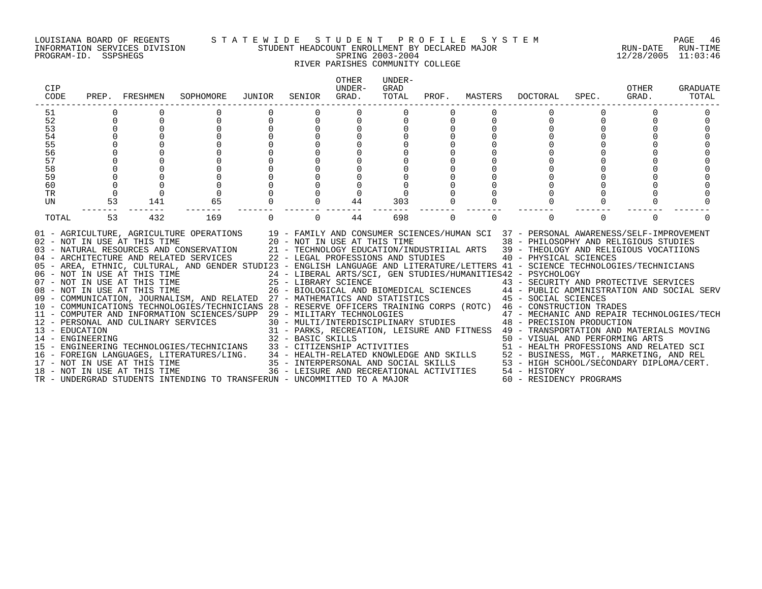#### LOUISIANA BOARD OF REGENTS S T A T E W I D E S T U D E N T P R O F I L E S Y S T E M PAGE 46 INFORMATION SERVICES DIVISION STUDENT HEADCOUNT ENROLLMENT BY DECLARED MAJOR RUN-DATE RUN-TIME PROGRAM-ID. SSPSHEGS SPRING 2003-2004 12/28/2005 11:03:46 RIVER PARISHES COMMUNITY COLLEGE

| CIP<br>CODE |             | PREP. FRESHMEN | SOPHOMORE                                                                                                                                                                                                                                                                                                                                                                                                                                                                                                                                                                                                                                                                                                                                                                                                                                                                                                                                                                                                                                                                                                                                                | JUNIOR   | SENIOR   | <b>OTHER</b><br>UNDER-<br>GRAD. | UNDER-<br>GRAD<br>TOTAL |          |          | PROF. MASTERS DOCTORAL                     | SPEC.    | OTHER<br>GRAD. | <b>GRADUATE</b><br>TOTAL |
|-------------|-------------|----------------|----------------------------------------------------------------------------------------------------------------------------------------------------------------------------------------------------------------------------------------------------------------------------------------------------------------------------------------------------------------------------------------------------------------------------------------------------------------------------------------------------------------------------------------------------------------------------------------------------------------------------------------------------------------------------------------------------------------------------------------------------------------------------------------------------------------------------------------------------------------------------------------------------------------------------------------------------------------------------------------------------------------------------------------------------------------------------------------------------------------------------------------------------------|----------|----------|---------------------------------|-------------------------|----------|----------|--------------------------------------------|----------|----------------|--------------------------|
| 51          |             |                |                                                                                                                                                                                                                                                                                                                                                                                                                                                                                                                                                                                                                                                                                                                                                                                                                                                                                                                                                                                                                                                                                                                                                          |          |          |                                 |                         |          |          |                                            |          |                |                          |
| 52          | $\Omega$    |                |                                                                                                                                                                                                                                                                                                                                                                                                                                                                                                                                                                                                                                                                                                                                                                                                                                                                                                                                                                                                                                                                                                                                                          | $\Omega$ | $\Omega$ |                                 |                         |          |          | $\cap$                                     |          |                |                          |
| 53          | $\Omega$    |                |                                                                                                                                                                                                                                                                                                                                                                                                                                                                                                                                                                                                                                                                                                                                                                                                                                                                                                                                                                                                                                                                                                                                                          | $\Omega$ |          |                                 |                         |          |          |                                            |          |                |                          |
| 54          |             |                |                                                                                                                                                                                                                                                                                                                                                                                                                                                                                                                                                                                                                                                                                                                                                                                                                                                                                                                                                                                                                                                                                                                                                          |          |          |                                 |                         |          |          |                                            |          |                |                          |
| 55          | $\Omega$    |                |                                                                                                                                                                                                                                                                                                                                                                                                                                                                                                                                                                                                                                                                                                                                                                                                                                                                                                                                                                                                                                                                                                                                                          |          |          |                                 |                         |          |          |                                            |          |                |                          |
| 56          | $\Omega$    |                |                                                                                                                                                                                                                                                                                                                                                                                                                                                                                                                                                                                                                                                                                                                                                                                                                                                                                                                                                                                                                                                                                                                                                          |          |          |                                 |                         |          |          |                                            |          |                |                          |
| 57          | $\Omega$    |                |                                                                                                                                                                                                                                                                                                                                                                                                                                                                                                                                                                                                                                                                                                                                                                                                                                                                                                                                                                                                                                                                                                                                                          |          |          |                                 |                         |          |          |                                            |          |                |                          |
| 58          | 0           |                |                                                                                                                                                                                                                                                                                                                                                                                                                                                                                                                                                                                                                                                                                                                                                                                                                                                                                                                                                                                                                                                                                                                                                          |          |          |                                 |                         |          |          |                                            |          |                |                          |
| 59          |             |                |                                                                                                                                                                                                                                                                                                                                                                                                                                                                                                                                                                                                                                                                                                                                                                                                                                                                                                                                                                                                                                                                                                                                                          |          |          |                                 |                         |          |          |                                            |          |                |                          |
| 60          | $\mathbf 0$ |                |                                                                                                                                                                                                                                                                                                                                                                                                                                                                                                                                                                                                                                                                                                                                                                                                                                                                                                                                                                                                                                                                                                                                                          |          |          |                                 |                         |          |          |                                            |          |                |                          |
| TR          | $\Omega$    | $\Omega$       |                                                                                                                                                                                                                                                                                                                                                                                                                                                                                                                                                                                                                                                                                                                                                                                                                                                                                                                                                                                                                                                                                                                                                          |          |          |                                 |                         |          |          |                                            |          |                |                          |
| UN          | 53          | 141            | 65                                                                                                                                                                                                                                                                                                                                                                                                                                                                                                                                                                                                                                                                                                                                                                                                                                                                                                                                                                                                                                                                                                                                                       |          | $\Omega$ | 44                              | 303                     |          |          |                                            |          |                |                          |
| TOTAL       | 53          | 432            | 169                                                                                                                                                                                                                                                                                                                                                                                                                                                                                                                                                                                                                                                                                                                                                                                                                                                                                                                                                                                                                                                                                                                                                      |          | $\Omega$ | 44                              | 698                     | $\Omega$ | $\Omega$ | $\Omega$                                   | $\Omega$ |                |                          |
|             |             |                | 01 - AGRICULTURE, AGRICULTURE OPERATIONS 19 - FAMILY AND CONSUMER SCIENCES/HUMAN SCI 37 - PERSONAL AWARENESS/SELF-IMPROVEMENT 102 - NOT IN USE AT THIS TIME 20 - NOT IN USE AT THIS TIME 38 - PHILOSOPHY AND RELIGIOUS STUDIES<br>05 - AREA, ETHNIC, CULTURAL, AND GENDER STUDI23 - ENGLISH LANGUAGE AND LITERATURE/LETTERS 41 - SCIENCE TECHNOLOGIES/TECHNICIANS<br>06 - NOT IN USE AT THIS TIME 24 - LIBERAL ARTS/SCI, GEN STUDIES/HUMANITIES42 - PSYCHOLOGY<br>07 - NOT IN USE AT THIS TIME 25 - LIBRARY SCIENCE 43 - SECURITY AND PROTECTIVE SERVICES<br>08 - NOT IN USE AT THIS TIME 26 - BIOLOGICAL<br>09 - COMMUNICATION, JOURNALISM, AND RELATED 27 - MATHEMATICS AND STATISTICS 45 - SOCIAL SCIENCES<br>10 - COMMUNICATIONS TECHNOLOGIES/TECHNICIANS 28 - RESERVE OFFICERS TRAINING CORPS (ROTC) 46 - CONSTRUCTION TRADES<br>11 - COMPUTER AND INFORMATION SCIENCES/SUPP 29 - MILITARY TECHNOLOGIES<br>11 - CONFUTER AND INFORMATION SCIENCES/SUPP 29 - MILITARY TECHNOLOGIES<br>12 - PERSONAL AND CULINARY SERVICES<br>13 - EDUCATION<br>14 - ENGINEERING<br>14 - ENGINEERING TECHNOLOGIES/TECHNICIANS<br>14 - ENGINEERING TECHNOLOGIES/TECHNI |          |          |                                 |                         |          |          | 47 - MECHANIC AND REPAIR TECHNOLOGIES/TECH |          |                |                          |
|             |             |                | TR - UNDERGRAD STUDENTS INTENDING TO TRANSFERUN - UNCOMMITTED TO A MAJOR                                                                                                                                                                                                                                                                                                                                                                                                                                                                                                                                                                                                                                                                                                                                                                                                                                                                                                                                                                                                                                                                                 |          |          |                                 |                         |          |          | 60 - RESIDENCY PROGRAMS                    |          |                |                          |
|             |             |                |                                                                                                                                                                                                                                                                                                                                                                                                                                                                                                                                                                                                                                                                                                                                                                                                                                                                                                                                                                                                                                                                                                                                                          |          |          |                                 |                         |          |          |                                            |          |                |                          |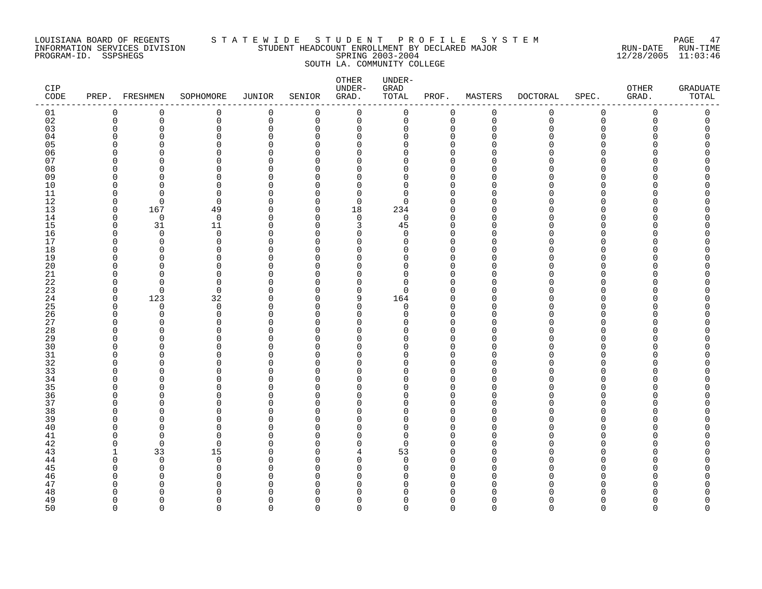#### LOUISIANA BOARD OF REGENTS S T A T E W I D E S T U D E N T P R O F I L E S Y S T E M PAGE 47 INFORMATION SERVICES DIVISION STUDENT HEADCOUNT ENROLLMENT BY DECLARED MAJOR RUN-DATE RUN-TIME PROGRAM-ID. SSPSHEGS SPRING 2003-2004 12/28/2005 11:03:46 SOUTH LA. COMMUNITY COLLEGE

| CIP<br>$\texttt{CODE}$ |                      | PREP. FRESHMEN  | SOPHOMORE            | JUNIOR        | SENIOR                       | OTHER<br>UNDER-<br>GRAD. | UNDER-<br>GRAD<br>TOTAL | PROF.                   | MASTERS     | <b>DOCTORAL</b> | SPEC.                        | <b>OTHER</b><br>GRAD. | <b>GRADUATE</b><br>TOTAL |
|------------------------|----------------------|-----------------|----------------------|---------------|------------------------------|--------------------------|-------------------------|-------------------------|-------------|-----------------|------------------------------|-----------------------|--------------------------|
| 01                     | 0                    | 0               | 0                    | 0             | 0                            | $\mathbf 0$              | 0                       | 0                       | $\mathbf 0$ | 0               | $\mathsf 0$                  | 0                     | $\mathsf 0$              |
| 02                     | $\mathbf 0$          | 0               | 0                    | 0             | 0                            | 0                        | 0                       | 0                       | $\mathbf 0$ | $\mathbf 0$     | $\mathbf 0$                  | 0                     | 0                        |
| 03                     | $\mathbf 0$          | 0               | $\mathbf 0$          | $\Omega$      | $\Omega$                     | $\mathbf 0$              | 0                       | $\mathbf 0$             | $\Omega$    | Ω               | $\Omega$                     | Ω                     |                          |
| 04                     | $\Omega$             | $\Omega$        | $\Omega$             | $\Omega$      | $\Omega$                     | 0                        | 0                       | $\mathbf 0$             | ∩           |                 | <sup>n</sup>                 |                       |                          |
| 05                     | $\Omega$             | U               | $\Omega$             | $\Omega$      | <sup>n</sup>                 | $\Omega$                 | 0                       | $\Omega$                |             |                 | <sup>n</sup>                 |                       |                          |
| 06                     | $\Omega$             | O               | 0                    | $\Omega$      | $\Omega$                     | 0                        | 0                       | $\mathbf 0$             |             |                 | <sup>n</sup>                 |                       |                          |
| 07                     | $\Omega$             | O               | $\Omega$             | $\Omega$      | U                            | $\Omega$                 | 0                       | $\Omega$                |             |                 | n                            |                       |                          |
| 08<br>09               | $\Omega$<br>$\Omega$ | ∩<br>∩          | $\Omega$<br>$\Omega$ | $\Omega$<br>O | <sup>n</sup><br><sup>n</sup> | $\Omega$<br>$\Omega$     | $\Omega$<br>0           | $\Omega$<br>0           |             |                 | <sup>n</sup><br><sup>n</sup> |                       |                          |
| 10                     | $\mathbf 0$          | $\Omega$        | $\mathbf 0$          | 0             | $\Omega$                     | $\mathbf 0$              | 0                       | $\Omega$                |             |                 | $\Omega$                     |                       |                          |
| 11                     | $\Omega$             | $\Omega$        | 0                    | 0             | $\Omega$                     | 0                        | 0                       | 0                       | ∩           |                 | $\Omega$                     |                       |                          |
| 12                     | $\Omega$             | $\Omega$        | $\Omega$             | O             | $\Omega$                     | $\Omega$                 | $\Omega$                | $\Omega$                | ∩           |                 | <sup>n</sup>                 |                       |                          |
| 13                     | $\mathbf 0$          | 167             | 49                   | $\Omega$      | $\Omega$                     | 18                       | 234                     | $\mathbf 0$             | ∩           |                 | $\Omega$                     |                       |                          |
| 14                     | $\Omega$             | $\Omega$        | $\mathbf 0$          | $\Omega$      | $\Omega$                     | $\mathbf 0$              | $\mathbf 0$             | $\mathbf 0$             | ∩           |                 | $\cap$                       |                       |                          |
| 15                     | 0                    | 31              | 11                   | $\Omega$      | $\Omega$                     | 3                        | 45                      | $\mathbf 0$             | ∩           |                 | <sup>n</sup>                 |                       |                          |
| 16                     | $\Omega$             | $\Omega$        | $\mathbf 0$          | $\Omega$      | $\Omega$                     | $\Omega$                 | 0                       | $\mathbf 0$             | ∩           |                 | <sup>n</sup>                 |                       |                          |
| 17                     | $\Omega$             | $\Omega$        | 0                    | $\Omega$      | $\Omega$                     | $\Omega$                 | 0                       | $\mathbf 0$             | ∩           |                 | <sup>n</sup>                 |                       |                          |
| 18                     | $\Omega$             | $\Omega$        | 0                    | O             | <sup>n</sup>                 | $\Omega$                 | 0                       | $\Omega$                |             |                 | $\Omega$                     |                       |                          |
| 19                     | $\Omega$             | $\Omega$        | 0                    | $\Omega$      | $\Omega$                     | $\mathbf 0$              | 0                       | $\mathbf 0$             |             |                 | $\Omega$                     |                       |                          |
| 20                     | $\Omega$             | O               | $\Omega$             | U             | $\Omega$                     | $\Omega$                 | 0                       | $\Omega$                |             |                 | U                            |                       |                          |
| 21                     | $\Omega$             | ∩               | $\Omega$             | U             | $\Omega$                     | $\Omega$                 | 0                       | $\Omega$                |             |                 | <sup>n</sup>                 |                       |                          |
| 22                     | $\Omega$             | ∩               | 0                    | O             | <sup>n</sup>                 | $\Omega$                 | 0                       | $\mathbf 0$             |             |                 | $\Omega$                     |                       |                          |
| 23                     | $\Omega$             | $\Omega$        | $\Omega$             | $\Omega$      | $\Omega$                     | $\Omega$                 | $\Omega$                | $\Omega$                | ∩           |                 | $\cap$                       |                       |                          |
| 24                     | 0                    | 123<br>$\Omega$ | 32                   | 0<br>$\Omega$ | $\Omega$<br>U                | 9<br>$\Omega$            | 164                     | 0<br>$\Omega$           |             |                 | $\Omega$<br><sup>n</sup>     |                       |                          |
| 25<br>26               | 0<br>0               | 0               | 0<br>0               | $\Omega$      | $\Omega$                     | 0                        | 0<br>0                  | $\mathbf 0$             | O           |                 | $\Omega$                     |                       |                          |
| 27                     | $\Omega$             | ∩               | $\Omega$             | $\Omega$      | U                            | $\Omega$                 | 0                       | $\mathbf 0$             | ∩           |                 | $\cap$                       |                       |                          |
| 28                     | $\Omega$             | $\Omega$        | $\Omega$             | $\Omega$      | $\Omega$                     | $\mathbf 0$              | 0                       | $\Omega$                |             |                 | $\Omega$                     |                       |                          |
| 29                     | $\Omega$             | O               | $\Omega$             | O             | $\Omega$                     | 0                        | 0                       | 0                       | ∩           |                 | <sup>n</sup>                 |                       |                          |
| 30                     | $\Omega$             | $\Omega$        | $\Omega$             | O             | U                            | $\Omega$                 | O                       | $\Omega$                |             |                 | <sup>n</sup>                 |                       |                          |
| 31                     | $\Omega$             | $\Omega$        | 0                    | O             | $\Omega$                     | $\Omega$                 | 0                       | $\mathbf 0$             | ∩           |                 | $\Omega$                     |                       |                          |
| 32                     | $\Omega$             | U               | $\Omega$             | $\Omega$      | <sup>n</sup>                 | $\Omega$                 | 0                       | $\Omega$                |             |                 | $\cap$                       |                       |                          |
| 33                     | $\Omega$             | O               | 0                    | O             | $\Omega$                     | 0                        | 0                       | 0                       |             |                 | <sup>n</sup>                 |                       |                          |
| 34                     | $\Omega$             | O               | $\Omega$             | U             | $\Omega$                     | 0                        | 0                       | $\mathbf 0$             | ∩           |                 | $\Omega$                     |                       |                          |
| 35                     | $\Omega$             | $\Omega$        | $\Omega$             | O             | <sup>n</sup>                 | $\Omega$                 | 0                       | $\mathbf 0$             |             |                 | <sup>n</sup>                 |                       |                          |
| 36                     | $\Omega$             | U               | $\Omega$             | O             | $\Omega$                     | $\Omega$                 | 0                       | $\Omega$                |             |                 | $\Omega$                     |                       |                          |
| 37                     | $\Omega$             | O               | $\mathbf 0$          | $\Omega$      | $\Omega$                     | $\mathbf 0$              | 0                       | 0                       | ∩           |                 | $\Omega$                     |                       |                          |
| 38                     | $\Omega$             | O               | $\Omega$             | O             | U                            | $\Omega$                 | 0                       | $\Omega$                |             |                 | U                            |                       |                          |
| 39                     | $\Omega$             | $\Omega$        | 0                    | $\Omega$      | $\Omega$                     | 0                        | 0                       | $\mathbf 0$             | ∩           |                 | $\Omega$                     |                       |                          |
| 40<br>41               | $\Omega$<br>$\Omega$ | U<br>$\Omega$   | $\Omega$<br>$\Omega$ | $\Omega$<br>O | <sup>n</sup><br>$\Omega$     | $\Omega$<br>$\Omega$     | 0<br>0                  | $\mathbf 0$<br>$\Omega$ |             |                 | <sup>n</sup><br>U            |                       |                          |
| 42                     | 0                    | $\mathbf 0$     | $\mathbf 0$          | 0             | $\Omega$                     | 0                        | 0                       | $\Omega$                | ∩           |                 | U                            |                       |                          |
| 43                     | $\mathbf{1}$         | 33              | 15                   | $\Omega$      | $\Omega$                     | 4                        | 53                      | $\Omega$                |             |                 | <sup>n</sup>                 |                       |                          |
| 44                     | $\mathbf 0$          | $\mathbf 0$     | 0                    | $\Omega$      | $\Omega$                     | 0                        | 0                       | 0                       |             |                 | $\Omega$                     |                       |                          |
| 45                     | $\Omega$             | ∩               | $\Omega$             | $\Omega$      | <sup>n</sup>                 | $\Omega$                 | 0                       | $\Omega$                |             |                 | $\cap$                       |                       |                          |
| 46                     | $\Omega$             | $\Omega$        | 0                    | $\Omega$      | $\Omega$                     | $\mathbf 0$              | 0                       | $\mathbf 0$             | ∩           |                 | <sup>n</sup>                 |                       |                          |
| 47                     | $\Omega$             | O               | $\Omega$             | O             | U                            | $\Omega$                 | 0                       | $\Omega$                | ∩           |                 | <sup>n</sup>                 |                       |                          |
| 48                     | $\Omega$             | O               | $\Omega$             | O             | $\Omega$                     | $\Omega$                 | 0                       | 0                       | O           |                 | <sup>n</sup>                 |                       |                          |
| 49                     | $\Omega$             | $\Omega$        | $\Omega$             | $\Omega$      | $\Omega$                     | $\mathbf 0$              | 0                       | $\mathbf 0$             | $\Omega$    |                 | <sup>n</sup>                 |                       |                          |
| 50                     | $\Omega$             | $\Omega$        | $\Omega$             | $\Omega$      | $\Omega$                     | $\Omega$                 | $\Omega$                | $\Omega$                | $\Omega$    | $\Omega$        | $\Omega$                     | $\Omega$              | $\Omega$                 |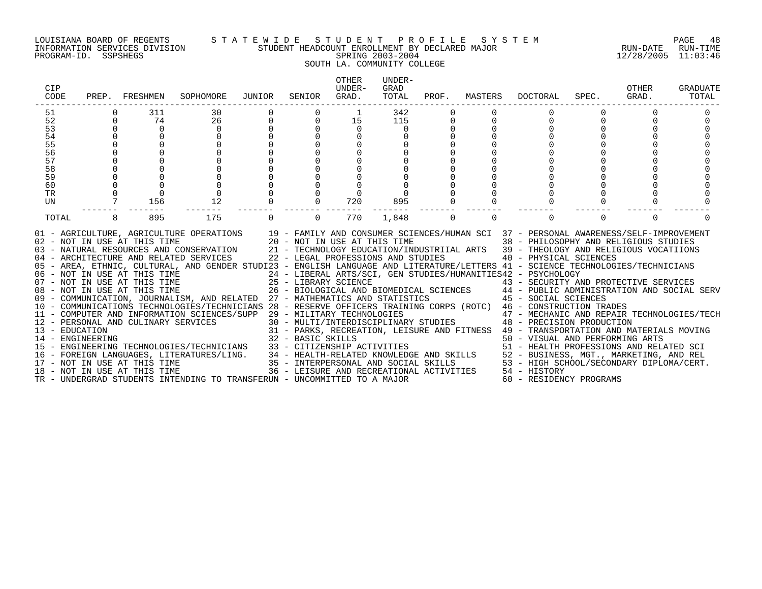#### LOUISIANA BOARD OF REGENTS S T A T E W I D E S T U D E N T P R O F I L E S Y S T E M PAGE 48 INFORMATION SERVICES DIVISION STUDENT HEADCOUNT ENROLLMENT BY DECLARED MAJOR RUN-DATE RUN-TIME PROGRAM-ID. SSPSHEGS SPRING 2003-2004 12/28/2005 11:03:46 SOUTH LA. COMMUNITY COLLEGE

| CIP<br>CODE                        | PREP. | FRESHMEN                     | SOPHOMORE                                                                                                                                                                                                                                                                                                                                                                                                                                                                                                                                                                                                                                                                                                                                                                                                                                  | JUNIOR | SENIOR                                                                                     | <b>OTHER</b><br>UNDER-<br>GRAD. | UNDER-<br>GRAD<br>TOTAL | PROF. | MASTERS | <b>DOCTORAL</b>                                                                                                                                                                                                                                                                                              | SPEC.    | OTHER<br>GRAD. | <b>GRADUATE</b><br>TOTAL |
|------------------------------------|-------|------------------------------|--------------------------------------------------------------------------------------------------------------------------------------------------------------------------------------------------------------------------------------------------------------------------------------------------------------------------------------------------------------------------------------------------------------------------------------------------------------------------------------------------------------------------------------------------------------------------------------------------------------------------------------------------------------------------------------------------------------------------------------------------------------------------------------------------------------------------------------------|--------|--------------------------------------------------------------------------------------------|---------------------------------|-------------------------|-------|---------|--------------------------------------------------------------------------------------------------------------------------------------------------------------------------------------------------------------------------------------------------------------------------------------------------------------|----------|----------------|--------------------------|
| 51                                 |       | 311                          | 30                                                                                                                                                                                                                                                                                                                                                                                                                                                                                                                                                                                                                                                                                                                                                                                                                                         |        |                                                                                            |                                 | 342                     |       |         |                                                                                                                                                                                                                                                                                                              |          |                |                          |
| 52                                 |       | 74                           | 26                                                                                                                                                                                                                                                                                                                                                                                                                                                                                                                                                                                                                                                                                                                                                                                                                                         |        | $\Omega$                                                                                   | 15                              | 115                     | 0     |         |                                                                                                                                                                                                                                                                                                              |          |                |                          |
| 53                                 |       | $\Omega$                     | $\Omega$                                                                                                                                                                                                                                                                                                                                                                                                                                                                                                                                                                                                                                                                                                                                                                                                                                   |        | $\Omega$                                                                                   | $\Omega$                        |                         |       |         |                                                                                                                                                                                                                                                                                                              |          |                |                          |
| 54                                 |       | $\Omega$                     | $\Omega$                                                                                                                                                                                                                                                                                                                                                                                                                                                                                                                                                                                                                                                                                                                                                                                                                                   |        | $\Omega$                                                                                   | $\Omega$                        |                         |       |         |                                                                                                                                                                                                                                                                                                              |          |                |                          |
| 55                                 |       |                              |                                                                                                                                                                                                                                                                                                                                                                                                                                                                                                                                                                                                                                                                                                                                                                                                                                            |        |                                                                                            |                                 |                         |       |         |                                                                                                                                                                                                                                                                                                              |          |                |                          |
| 56                                 |       |                              |                                                                                                                                                                                                                                                                                                                                                                                                                                                                                                                                                                                                                                                                                                                                                                                                                                            |        |                                                                                            |                                 |                         |       |         |                                                                                                                                                                                                                                                                                                              |          |                |                          |
| 57                                 |       |                              |                                                                                                                                                                                                                                                                                                                                                                                                                                                                                                                                                                                                                                                                                                                                                                                                                                            |        |                                                                                            |                                 |                         |       |         |                                                                                                                                                                                                                                                                                                              |          |                |                          |
| 58                                 |       |                              |                                                                                                                                                                                                                                                                                                                                                                                                                                                                                                                                                                                                                                                                                                                                                                                                                                            |        |                                                                                            |                                 |                         |       |         |                                                                                                                                                                                                                                                                                                              |          |                |                          |
| 59                                 |       |                              |                                                                                                                                                                                                                                                                                                                                                                                                                                                                                                                                                                                                                                                                                                                                                                                                                                            |        |                                                                                            |                                 |                         |       |         |                                                                                                                                                                                                                                                                                                              |          |                |                          |
| 60                                 |       |                              |                                                                                                                                                                                                                                                                                                                                                                                                                                                                                                                                                                                                                                                                                                                                                                                                                                            |        |                                                                                            |                                 |                         |       |         |                                                                                                                                                                                                                                                                                                              |          |                |                          |
| TR                                 |       | $\Omega$                     | $\mathbf 0$                                                                                                                                                                                                                                                                                                                                                                                                                                                                                                                                                                                                                                                                                                                                                                                                                                |        | $\Omega$                                                                                   |                                 |                         |       |         |                                                                                                                                                                                                                                                                                                              |          |                |                          |
| UN                                 |       | 156                          | 12                                                                                                                                                                                                                                                                                                                                                                                                                                                                                                                                                                                                                                                                                                                                                                                                                                         |        | $\Omega$                                                                                   | 720                             | 895                     |       |         |                                                                                                                                                                                                                                                                                                              |          |                |                          |
| TOTAL                              |       | 895                          | 175                                                                                                                                                                                                                                                                                                                                                                                                                                                                                                                                                                                                                                                                                                                                                                                                                                        |        | $\Omega$                                                                                   | 770                             | 1,848                   | 0     | 0       |                                                                                                                                                                                                                                                                                                              | $\Omega$ | $\Omega$       |                          |
|                                    |       | 02 - NOT IN USE AT THIS TIME | 01 - AGRICULTURE, AGRICULTURE OPERATIONS 19 - FAMILY AND CONSUMER SCIENCES/HUMAN SCI 37 - PERSONAL AWARENESS/SELF-IMPROVEMENT<br>03 - NATURAL RESOURCES AND CONSERVATION 21 - TECHNOLOGY EDUCATION/INDUSTRIIAL ARTS 39 - THEOLOGY AND RELIGIOUS VOCATIIONS<br>04 - ARCHITECTURE AND RELATED SERVICES<br>05 - AREA, ETHNIC, CULTURAL, AND GENDER STUDI23 - ENGLISH LANGUAGE AND LITERATURE/LETTERS 41 - SCIENCE TECHNOLOGIES/TECHNICIANS<br>06 - NOT IN USE AT THIS TIME<br>07 - NOT IN USE AT THIS TIME<br>08 - NOT IN USE AT THIS TIME<br>09 - COMMUNICATION, JOURNALISM, AND RELATED 27 - MATHEMATICS AND STATISTICS 45 - SOCIAL SCIENCES<br>10 - COMMUNICATIONS TECHNOLOGIES/TECHNICIANS 28 - RESERVE OFFICERS TRAINING CORPS (ROTC) 46 - CONSTRUCTION TRADES<br>11 - COMPUTER AND INFORMATION SCIENCES/SUPP 29 - MILITARY TECHNOLOGIES |        | 20 - NOT IN USE AT THIS TIME<br>22 - LEGAL PROFESSIONS AND STUDIES<br>25 - LIBRARY SCIENCE |                                 |                         |       |         | 38 - PHILOSOPHY AND RELIGIOUS STUDIES<br>40 - PHYSICAL SCIENCES<br>24 - LIBERAL ARTS/SCI, GEN STUDIES/HUMANITIES42 - PSYCHOLOGY<br>43 - SECURITY AND PROTECTIVE SERVICES<br>26 - BIOLOGICAL AND BIOMEDICAL SCIENCES 44 - PUBLIC ADMINISTRATION AND SOCIAL SERV<br>47 - MECHANIC AND REPAIR TECHNOLOGIES/TECH |          |                |                          |
|                                    |       |                              | 12 - PERSONAL AND CULINARY SERVICES                                                                                                                                                                                                                                                                                                                                                                                                                                                                                                                                                                                                                                                                                                                                                                                                        |        |                                                                                            |                                 |                         |       |         | 30 - MULTI/INTERDISCIPLINARY STUDIES 48 - PRECISION PRODUCTION                                                                                                                                                                                                                                               |          |                |                          |
| 13 - EDUCATION<br>14 - ENGINEERING |       |                              |                                                                                                                                                                                                                                                                                                                                                                                                                                                                                                                                                                                                                                                                                                                                                                                                                                            |        | 32 - BASIC SKILLS                                                                          |                                 |                         |       |         | 31 - PARKS, RECREATION, LEISURE AND FITNESS 49 - TRANSPORTATION AND MATERIALS MOVING<br>50 - VISUAL AND PERFORMING ARTS                                                                                                                                                                                      |          |                |                          |
|                                    |       |                              |                                                                                                                                                                                                                                                                                                                                                                                                                                                                                                                                                                                                                                                                                                                                                                                                                                            |        |                                                                                            |                                 |                         |       |         |                                                                                                                                                                                                                                                                                                              |          |                |                          |
|                                    |       |                              | 15 - ENGINEERING TECHNOLOGIES/TECHNICIANS<br>16 - FOREIGN LANGUAGES, LITERATURES/LING.                                                                                                                                                                                                                                                                                                                                                                                                                                                                                                                                                                                                                                                                                                                                                     |        |                                                                                            |                                 |                         |       |         | 33 - CITIZENSHIP ACTIVITIES<br>34 - HEALTH-RELATED KNOWLEDGE AND SKILLS<br>35 - INTERPERSONAL AND SOCIAL SKILLS<br>36 - LEISURE AND RECREATIONAL ACTIVITIES<br>36 - LEISURE AND RECREATIONAL ACTIVITIES<br>36 - LEISURE AND RECREATIONAL                                                                     |          |                |                          |
|                                    |       |                              |                                                                                                                                                                                                                                                                                                                                                                                                                                                                                                                                                                                                                                                                                                                                                                                                                                            |        |                                                                                            |                                 |                         |       |         |                                                                                                                                                                                                                                                                                                              |          |                |                          |
|                                    |       |                              | 17 - NOT IN USE AT THIS TIME<br>18 - NOT IN USE AT THIS TIME                                                                                                                                                                                                                                                                                                                                                                                                                                                                                                                                                                                                                                                                                                                                                                               |        |                                                                                            |                                 |                         |       |         |                                                                                                                                                                                                                                                                                                              |          |                |                          |
|                                    |       |                              |                                                                                                                                                                                                                                                                                                                                                                                                                                                                                                                                                                                                                                                                                                                                                                                                                                            |        |                                                                                            |                                 |                         |       |         |                                                                                                                                                                                                                                                                                                              |          |                |                          |
|                                    |       |                              | TR - UNDERGRAD STUDENTS INTENDING TO TRANSFERUN - UNCOMMITTED TO A MAJOR                                                                                                                                                                                                                                                                                                                                                                                                                                                                                                                                                                                                                                                                                                                                                                   |        |                                                                                            |                                 |                         |       |         | 60 - RESIDENCY PROGRAMS                                                                                                                                                                                                                                                                                      |          |                |                          |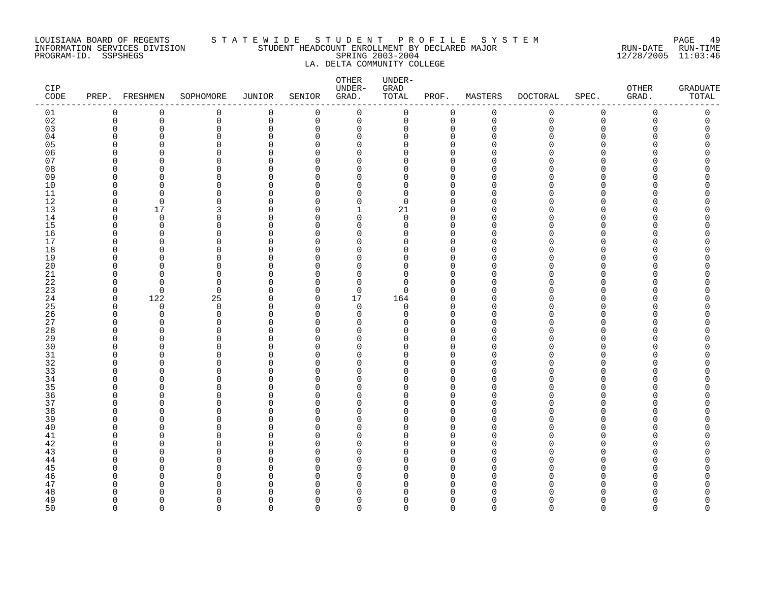#### LOUISIANA BOARD OF REGENTS S T A T E W I D E S T U D E N T P R O F I L E S Y S T E M PAGE 49 INFORMATION SERVICES DIVISION STUDENT HEADCOUNT ENROLLMENT BY DECLARED MAJOR RUN-DATE RUN-TIME PROGRAM-ID. SSPSHEGS SPRING 2003-2004 12/28/2005 11:03:46 LA. DELTA COMMUNITY COLLEGE

| CIP<br>$\texttt{CODE}$ |                      | PREP. FRESHMEN | SOPHOMORE            | JUNIOR               | SENIOR               | OTHER<br>UNDER-<br>GRAD. | UNDER-<br>GRAD<br>TOTAL | PROF.                      | MASTERS     | <b>DOCTORAL</b> | SPEC.                        | <b>OTHER</b><br>GRAD. | <b>GRADUATE</b><br>TOTAL |
|------------------------|----------------------|----------------|----------------------|----------------------|----------------------|--------------------------|-------------------------|----------------------------|-------------|-----------------|------------------------------|-----------------------|--------------------------|
| 01                     | 0                    | 0              | 0                    | 0                    | 0                    | $\mathsf 0$              | 0                       | 0                          | $\mathbf 0$ | 0               | $\mathsf{0}$                 | 0                     | $\mathsf{0}$             |
| 02                     | $\mathbf 0$          | 0              | 0                    | 0                    | 0                    | 0                        | 0                       | 0                          | $\mathbf 0$ | $\mathbf 0$     | $\mathbf 0$                  | 0                     | 0                        |
| 03                     | $\mathbf 0$          | 0              | $\mathbf 0$          | $\Omega$             | $\Omega$             | $\mathbf 0$              | 0                       | $\mathbf 0$                | $\Omega$    | Ω               | $\Omega$                     | Ω                     |                          |
| 04                     | $\Omega$             | $\Omega$       | $\Omega$             | $\Omega$             | $\Omega$             | 0                        | 0                       | $\mathbf 0$                | ∩           |                 | <sup>n</sup>                 |                       |                          |
| 05                     | $\Omega$             | U              | $\Omega$             | $\Omega$             | <sup>n</sup>         | $\Omega$                 | 0                       | $\Omega$                   |             |                 | <sup>n</sup>                 |                       |                          |
| 06<br>07               | $\Omega$<br>$\Omega$ | O<br>$\Omega$  | 0<br>$\Omega$        | $\Omega$<br>$\Omega$ | $\Omega$<br>U        | 0<br>$\Omega$            | 0                       | $\mathbf 0$<br>$\Omega$    |             |                 | <sup>n</sup><br>n            |                       |                          |
| 08                     | $\Omega$             | $\Omega$       | $\Omega$             | $\Omega$             | $\Omega$             | $\Omega$                 | 0<br>$\Omega$           | $\Omega$                   |             |                 | $\Omega$                     |                       |                          |
| 09                     | $\Omega$             | $\Omega$       | $\Omega$             | $\Omega$             | <sup>n</sup>         | $\Omega$                 | 0                       | $\mathbf 0$                |             |                 | <sup>n</sup>                 |                       |                          |
| 10                     | $\mathbf 0$          | $\Omega$       | $\mathbf 0$          | 0                    | $\Omega$             | $\mathbf 0$              | 0                       | $\Omega$                   |             |                 | $\Omega$                     |                       |                          |
| 11                     | 0                    | $\Omega$       | $\Omega$             | 0                    | $\Omega$             | 0                        | 0                       | 0                          | ∩           |                 | $\Omega$                     |                       |                          |
| 12                     | $\Omega$             | $\Omega$       | O                    | O                    | $\Omega$             | $\mathbf 0$              | $\mathbf 0$             | $\Omega$                   | ∩           |                 | <sup>n</sup>                 |                       |                          |
| 13                     | $\Omega$             | 17             | 3                    | $\Omega$             | $\Omega$             | $\mathbf{1}$             | 21                      | $\mathbf 0$                | ∩           |                 | $\Omega$                     |                       |                          |
| 14                     | $\Omega$             | $\Omega$       | $\Omega$             | $\Omega$             | <sup>n</sup>         | $\Omega$                 | $\mathbf 0$             | $\mathbf 0$                | ∩           |                 | $\Omega$                     |                       |                          |
| 15                     | $\Omega$             | 0              | $\Omega$             | 0                    | $\Omega$             | 0                        | 0                       | $\mathbf 0$                |             |                 | <sup>n</sup>                 |                       |                          |
| 16                     | $\Omega$             | $\Omega$       | $\Omega$             | O                    | $\Omega$             | $\Omega$                 | 0                       | $\mathbf 0$                | ∩           |                 | <sup>n</sup>                 |                       |                          |
| 17                     | $\Omega$             | $\Omega$       | $\Omega$             | $\Omega$             | $\Omega$             | $\Omega$                 | 0                       | $\mathbf 0$                | ∩           |                 | <sup>n</sup>                 |                       |                          |
| 18                     | $\Omega$             | O              | $\mathbf 0$          | O                    | <sup>n</sup>         | $\Omega$                 | 0                       | $\Omega$                   |             |                 | $\Omega$                     |                       |                          |
| 19                     | $\Omega$             | O              | $\mathbf 0$          | 0                    | $\Omega$             | $\mathbf 0$              | 0                       | $\mathbf 0$                |             |                 | $\Omega$                     |                       |                          |
| 20<br>21               | $\Omega$<br>$\Omega$ | O<br>∩         | $\Omega$<br>$\Omega$ | O<br>U               | $\Omega$<br>$\Omega$ | $\Omega$<br>$\Omega$     | 0<br>0                  | $\Omega$<br>$\Omega$       |             |                 | U<br>$\Omega$                |                       |                          |
| 22                     | 0                    | ∩              | 0                    | O                    | $\Omega$             | $\Omega$                 | 0                       | $\mathbf 0$                |             |                 | $\Omega$                     |                       |                          |
| 23                     | $\mathbf 0$          | $\Omega$       | $\Omega$             | $\Omega$             | $\Omega$             | $\Omega$                 | $\Omega$                | $\Omega$                   |             |                 | $\cap$                       |                       |                          |
| 24                     | 0                    | 122            | 25                   | 0                    | 0                    | 17                       | 164                     | 0                          | ∩           |                 | $\Omega$                     |                       |                          |
| 25                     | 0                    | $\Omega$       | 0                    | $\Omega$             | $\Omega$             | $\mathbf 0$              | 0                       | $\Omega$                   | ∩           |                 | <sup>n</sup>                 |                       |                          |
| 26                     | 0                    | 0              | 0                    | $\Omega$             | $\Omega$             | 0                        | 0                       | $\mathbf 0$                | O           |                 | $\Omega$                     |                       |                          |
| 27                     | $\Omega$             | ∩              | $\Omega$             | $\Omega$             | U                    | $\Omega$                 | 0                       | $\mathbf 0$                | ∩           |                 | $\cap$                       |                       |                          |
| 28                     | $\Omega$             | $\Omega$       | $\Omega$             | $\Omega$             | $\Omega$             | $\mathbf 0$              | 0                       | $\mathbf 0$                |             |                 | $\Omega$                     |                       |                          |
| 29                     | $\Omega$             | 0              | $\Omega$             | O                    | $\Omega$             | 0                        | 0                       | 0                          | ∩           |                 | <sup>n</sup>                 |                       |                          |
| 30                     | $\Omega$             | $\Omega$       | $\Omega$             | $\Omega$             | U                    | $\Omega$                 | O                       | $\Omega$                   |             |                 | <sup>n</sup>                 |                       |                          |
| 31                     | $\Omega$             | $\Omega$       | 0                    | $\Omega$             | <sup>n</sup>         | $\Omega$                 | 0                       | $\mathbf 0$                | ∩           |                 | $\Omega$                     |                       |                          |
| 32                     | $\Omega$             | U              | $\Omega$             | $\Omega$             | <sup>n</sup>         | $\Omega$                 | 0                       | $\Omega$                   |             |                 | $\cap$                       |                       |                          |
| 33<br>34               | $\Omega$<br>$\Omega$ | O<br>O         | 0<br>$\Omega$        | O<br>O               | $\Omega$<br>$\Omega$ | 0<br>0                   | 0<br>0                  | 0<br>$\mathbf 0$           | ∩           |                 | <sup>n</sup><br>$\Omega$     |                       |                          |
| 35                     | $\Omega$             | $\Omega$       | $\Omega$             | O                    | $\Omega$             | $\Omega$                 | 0                       | $\mathbf 0$                |             |                 | <sup>n</sup>                 |                       |                          |
| 36                     | $\Omega$             | U              | $\Omega$             | O                    | $\Omega$             | $\Omega$                 | 0                       | $\mathbf 0$                |             |                 | $\Omega$                     |                       |                          |
| 37                     | $\Omega$             | O              | 0                    | $\Omega$             | $\Omega$             | $\mathbf 0$              | 0                       | 0                          | ∩           |                 | $\Omega$                     |                       |                          |
| 38                     | $\Omega$             | O              | $\Omega$             | O                    | U                    | $\Omega$                 | 0                       | $\Omega$                   |             |                 | U                            |                       |                          |
| 39                     | $\Omega$             | $\Omega$       | 0                    | $\Omega$             | $\Omega$             | 0                        | 0                       | $\mathbf 0$                | ∩           |                 | $\Omega$                     |                       |                          |
| 40                     | $\Omega$             | U              | $\Omega$             | $\Omega$             | <sup>n</sup>         | $\Omega$                 | 0                       | $\mathbf 0$                |             |                 | <sup>n</sup>                 |                       |                          |
| 41                     | $\Omega$             | U              | $\Omega$             | O                    | $\Omega$             | $\Omega$                 | 0                       | $\Omega$                   |             |                 | <sup>n</sup>                 |                       |                          |
| 42                     | $\Omega$             | 0              | 0                    | 0                    | $\Omega$             | 0                        | 0                       | $\Omega$                   | ∩           |                 | <sup>n</sup>                 |                       |                          |
| 43                     | $\Omega$             | O              | 0                    | O                    | $\Omega$             | $\Omega$                 | $\Omega$                | $\Omega$                   |             |                 | <sup>n</sup>                 |                       |                          |
| 44                     | $\Omega$             | O              | 0                    | U                    | $\Omega$             | $\Omega$                 | 0                       | 0                          |             |                 | $\Omega$                     |                       |                          |
| 45                     | $\Omega$             | ∩              | $\Omega$             | $\Omega$             | <sup>n</sup>         | $\Omega$                 | 0                       | $\mathbf 0$                | ∩           |                 | $\cap$                       |                       |                          |
| 46<br>47               | $\Omega$<br>$\Omega$ | O<br>O         | 0<br>$\Omega$        | 0<br>O               | $\Omega$<br>U        | $\mathbf 0$<br>$\Omega$  | 0<br>0                  | $\mathbf 0$<br>$\mathbf 0$ | ∩           |                 | <sup>n</sup><br><sup>n</sup> |                       |                          |
| 48                     | $\Omega$             | O              | O                    | O                    | $\Omega$             | $\Omega$                 | 0                       | 0                          | O           |                 | <sup>n</sup>                 |                       |                          |
| 49                     | $\Omega$             | $\Omega$       | $\Omega$             | $\Omega$             | $\Omega$             | $\mathbf 0$              | 0                       | $\mathbf 0$                | $\Omega$    |                 | <sup>n</sup>                 |                       |                          |
| 50                     | $\Omega$             | $\Omega$       | $\Omega$             | $\Omega$             | $\Omega$             | $\Omega$                 | $\Omega$                | $\Omega$                   | $\Omega$    | $\Omega$        | $\Omega$                     | $\Omega$              | $\Omega$                 |
|                        |                      |                |                      |                      |                      |                          |                         |                            |             |                 |                              |                       |                          |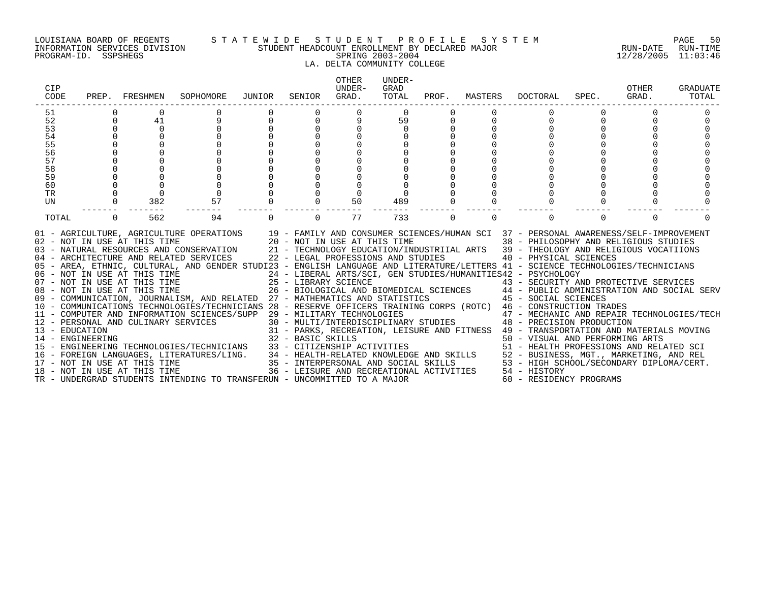#### LOUISIANA BOARD OF REGENTS S T A T E W I D E S T U D E N T P R O F I L E S Y S T E M PAGE 50 INFORMATION SERVICES DIVISION STUDENT HEADCOUNT ENROLLMENT BY DECLARED MAJOR RUN-DATE RUN-TIME PROGRAM-ID. SSPSHEGS SPRING 2003-2004 12/28/2005 11:03:46 LA. DELTA COMMUNITY COLLEGE

| CIP<br>CODE |          | PREP. FRESHMEN | SOPHOMORE                                                                                                                                                                                                                                                                                                                                                                                                                                                                                                                                                                                                                                                                                                                                                                                                                                                                                                                                                                                                                                                                                                                                                                                                                                                                                         | JUNIOR | SENIOR   | <b>OTHER</b><br>IJNDER-<br>GRAD. | UNDER-<br>GRAD<br>TOTAL |          |          | PROF. MASTERS DOCTORAL                     | SPEC.    | OTHER<br>GRAD. | <b>GRADUATE</b><br>TOTAL |
|-------------|----------|----------------|---------------------------------------------------------------------------------------------------------------------------------------------------------------------------------------------------------------------------------------------------------------------------------------------------------------------------------------------------------------------------------------------------------------------------------------------------------------------------------------------------------------------------------------------------------------------------------------------------------------------------------------------------------------------------------------------------------------------------------------------------------------------------------------------------------------------------------------------------------------------------------------------------------------------------------------------------------------------------------------------------------------------------------------------------------------------------------------------------------------------------------------------------------------------------------------------------------------------------------------------------------------------------------------------------|--------|----------|----------------------------------|-------------------------|----------|----------|--------------------------------------------|----------|----------------|--------------------------|
| 51          |          |                |                                                                                                                                                                                                                                                                                                                                                                                                                                                                                                                                                                                                                                                                                                                                                                                                                                                                                                                                                                                                                                                                                                                                                                                                                                                                                                   |        |          |                                  | $\Omega$                |          |          |                                            |          |                |                          |
| 52          | $\Omega$ | 41             |                                                                                                                                                                                                                                                                                                                                                                                                                                                                                                                                                                                                                                                                                                                                                                                                                                                                                                                                                                                                                                                                                                                                                                                                                                                                                                   |        | $\Omega$ | 9                                | 59                      |          |          |                                            |          |                |                          |
| 53          |          | $\Omega$       |                                                                                                                                                                                                                                                                                                                                                                                                                                                                                                                                                                                                                                                                                                                                                                                                                                                                                                                                                                                                                                                                                                                                                                                                                                                                                                   |        | $\Omega$ |                                  | $\cap$                  |          |          |                                            |          |                |                          |
| 54          |          | $\Omega$       |                                                                                                                                                                                                                                                                                                                                                                                                                                                                                                                                                                                                                                                                                                                                                                                                                                                                                                                                                                                                                                                                                                                                                                                                                                                                                                   |        | $\Omega$ |                                  |                         |          |          |                                            |          |                |                          |
| 55          |          |                |                                                                                                                                                                                                                                                                                                                                                                                                                                                                                                                                                                                                                                                                                                                                                                                                                                                                                                                                                                                                                                                                                                                                                                                                                                                                                                   |        |          |                                  |                         |          |          |                                            |          |                |                          |
| 56          |          |                |                                                                                                                                                                                                                                                                                                                                                                                                                                                                                                                                                                                                                                                                                                                                                                                                                                                                                                                                                                                                                                                                                                                                                                                                                                                                                                   |        |          |                                  |                         |          |          |                                            |          |                |                          |
| 57          |          |                |                                                                                                                                                                                                                                                                                                                                                                                                                                                                                                                                                                                                                                                                                                                                                                                                                                                                                                                                                                                                                                                                                                                                                                                                                                                                                                   |        |          |                                  |                         |          |          |                                            |          |                |                          |
| 58          |          |                |                                                                                                                                                                                                                                                                                                                                                                                                                                                                                                                                                                                                                                                                                                                                                                                                                                                                                                                                                                                                                                                                                                                                                                                                                                                                                                   |        |          |                                  |                         |          |          |                                            |          |                |                          |
| 59          |          |                |                                                                                                                                                                                                                                                                                                                                                                                                                                                                                                                                                                                                                                                                                                                                                                                                                                                                                                                                                                                                                                                                                                                                                                                                                                                                                                   |        |          |                                  |                         |          |          |                                            |          |                |                          |
| 60          |          |                |                                                                                                                                                                                                                                                                                                                                                                                                                                                                                                                                                                                                                                                                                                                                                                                                                                                                                                                                                                                                                                                                                                                                                                                                                                                                                                   |        |          |                                  |                         |          |          |                                            |          |                |                          |
| <b>TR</b>   |          | $\Omega$       |                                                                                                                                                                                                                                                                                                                                                                                                                                                                                                                                                                                                                                                                                                                                                                                                                                                                                                                                                                                                                                                                                                                                                                                                                                                                                                   |        |          |                                  |                         |          |          |                                            |          |                |                          |
| UN          |          | 382            | 57                                                                                                                                                                                                                                                                                                                                                                                                                                                                                                                                                                                                                                                                                                                                                                                                                                                                                                                                                                                                                                                                                                                                                                                                                                                                                                |        | $\Omega$ | 50                               | 489                     |          |          |                                            |          |                |                          |
| TOTAL       | $\Omega$ | 562            | 94                                                                                                                                                                                                                                                                                                                                                                                                                                                                                                                                                                                                                                                                                                                                                                                                                                                                                                                                                                                                                                                                                                                                                                                                                                                                                                |        | $\Omega$ | 77                               | 733                     | $\Omega$ | $\Omega$ |                                            | $\Omega$ | $\Omega$       |                          |
|             |          |                | 01 - AGRICULTURE, AGRICULTURE OPERATIONS 19 - FAMILY AND CONSUMER SCIENCES/HUMAN SCI 37 - PERSONAL AWARENESS/SELF-IMPROVEMENT<br>02 - NOT IN USE AT THIS TIME<br>03 - NATURAL RESOURCES AND CONSERVATION<br>03 - NATURAL RESOURCES AND CONSERVATION<br>04 - ARCHITECTURE AND RELATED SERVICES<br>04 - ARCHITECTURE AND RELATED SERVICES<br>04 - ARCHITECTURE AND RELATED SERVI<br>05 - AREA, ETHNIC, CULTURAL, AND GENDER STUDI23 - ENGLISH LANGUAGE AND LITERATURE/LETTERS 41 - SCIENCE TECHNOLOGIES/TECHNICIANS<br>06 - NOT IN USE AT THIS TIME 24 - LIBERAL ARTS/SCI, GEN STUDIES/HUMANITIES42 - PSYCHOLOGY<br>07 - NOT IN USE AT THIS TIME 25 - LIBRARY SCIENCE 43 - SECURITY AND PROTECTIVE SERVICES<br>08 - NOT IN USE AT THIS TIME 26 - BIOLOGICAL<br>09 - COMMUNICATION, JOURNALISM, AND RELATED 27 - MATHEMATICS AND STATISTICS 45 - SOCIAL SCIENCES<br>10 - COMMUNICATIONS TECHNOLOGIES/TECHNICIANS 28 - RESERVE OFFICERS TRAINING CORPS (ROTC) 46 - CONSTRUCTION TRADES<br>11 - COMPUTER AND INFORMATION SCIENCES/SUPP 29 - MILITARY TECHNOLOGIES<br>11 - COMPUTER AND INFORMATION SCIENCES/SUPP 29 - MILITARY TECHNOLOGIES<br>12 - PERSONAL AND CULINARY SERVICES 30 - MULTI/INTERENDISCIPLINARY STUDIES<br>13 - ENGINEERING 32 - BARKS, RECREATION, LEISURE AND FITNESS 49 - TRANSPO |        |          |                                  |                         |          |          | 47 - MECHANIC AND REPAIR TECHNOLOGIES/TECH |          |                |                          |
|             |          |                | TR - UNDERGRAD STUDENTS INTENDING TO TRANSFERUN - UNCOMMITTED TO A MAJOR                                                                                                                                                                                                                                                                                                                                                                                                                                                                                                                                                                                                                                                                                                                                                                                                                                                                                                                                                                                                                                                                                                                                                                                                                          |        |          |                                  |                         |          |          | 60 - RESIDENCY PROGRAMS                    |          |                |                          |
|             |          |                |                                                                                                                                                                                                                                                                                                                                                                                                                                                                                                                                                                                                                                                                                                                                                                                                                                                                                                                                                                                                                                                                                                                                                                                                                                                                                                   |        |          |                                  |                         |          |          |                                            |          |                |                          |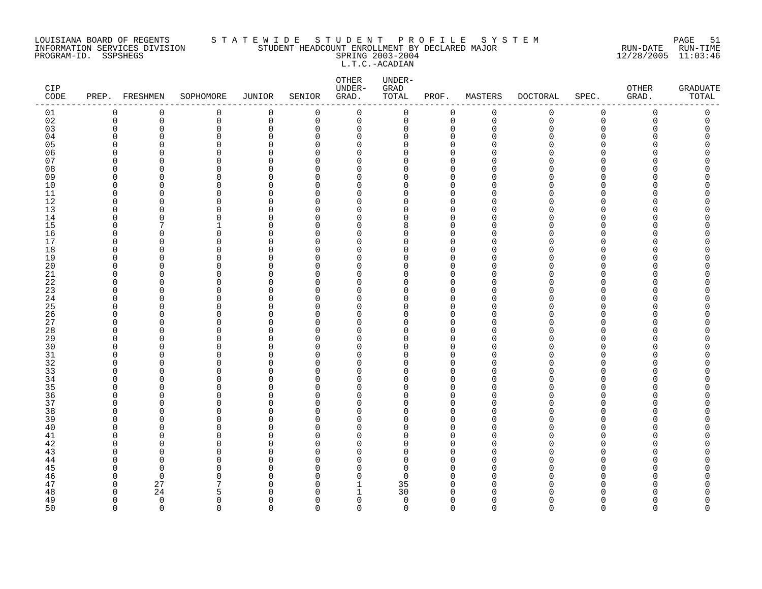#### LOUISIANA BOARD OF REGENTS S T A T E W I D E S T U D E N T P R O F I L E S Y S T E M PAGE 51 INFORMATION SERVICES DIVISION STUDENT HEADCOUNT ENROLLMENT BY DECLARED MAJOR RUN-DATE RUN-TIME PROGRAM-ID. SSPSHEGS SPRING 2003-2004 12/28/2005 11:03:46 L.T.C.-ACADIAN

| CIP<br>$\texttt{CODE}$ | PREP. FRESHMEN       |                      | SOPHOMORE     | JUNIOR               | SENIOR         | OTHER<br>UNDER-<br>GRAD. | UNDER-<br>${\tt GRAD}$<br>TOTAL | PROF.                      | MASTERS     | <b>DOCTORAL</b> | SPEC.          | OTHER<br>GRAD. | <b>GRADUATE</b><br>TOTAL |
|------------------------|----------------------|----------------------|---------------|----------------------|----------------|--------------------------|---------------------------------|----------------------------|-------------|-----------------|----------------|----------------|--------------------------|
| 01                     | 0                    | 0                    | 0             | $\mathbf 0$          | 0              | $\mathbf 0$              | $\mathsf{O}$                    | 0                          | $\mathbf 0$ | 0               | $\mathsf 0$    | 0              | 0                        |
| 02                     | $\mathbf 0$          | $\mathbf 0$          | 0             | $\mathbf 0$          | $\overline{0}$ | $\mathbf 0$              | $\mathsf{O}$                    | $\mathbf 0$                | $\mathbf 0$ | $\mathbf 0$     | $\overline{0}$ | $\Omega$       | 0                        |
| 03                     | 0                    | $\mathbf 0$          | $\Omega$      | $\mathbf 0$          | $\Omega$       | 0                        | $\Omega$                        | $\mathbf 0$                | $\Omega$    | Λ               | $\Omega$       |                | C                        |
| 04                     | 0                    | $\Omega$             | 0             | $\Omega$             | $\Omega$       | 0                        | 0                               | 0                          | ∩           |                 | ∩              |                | O                        |
| 05                     | $\Omega$             | $\Omega$             | 0             | $\Omega$             | $\Omega$       | $\Omega$                 | O                               | $\mathbf 0$                |             |                 | ∩<br>∩         |                | Λ                        |
| 06<br>07               | $\Omega$<br>$\Omega$ | $\Omega$<br>$\Omega$ | 0<br>0        | $\Omega$<br>$\cap$   | $\Omega$<br>∩  | $\mathbf 0$<br>$\Omega$  | U<br>U                          | $\mathbf 0$<br>$\Omega$    |             |                 | ∩              |                | O<br>∩                   |
| 08                     | $\Omega$             | $\Omega$             | $\Omega$      | $\Omega$             | $\Omega$       | $\Omega$                 | O                               | $\Omega$                   | ∩           |                 | $\Omega$       |                |                          |
| 09                     | 0                    | $\Omega$             | 0             | $\Omega$             | O              | 0                        | 0                               | $\mathbf 0$                |             |                 | ∩              |                |                          |
| 10                     | $\Omega$             | $\Omega$             | 0             | $\Omega$             | ∩              | $\Omega$                 | 0                               | $\mathbf 0$                |             |                 | ∩              |                |                          |
| 11                     | $\mathbf 0$          | 0                    | 0             | $\Omega$             | $\Omega$       | 0                        | 0                               | $\mathbf 0$                | ∩           |                 | ∩              |                | ∩                        |
| 12                     | $\Omega$             | $\Omega$             | 0             | $\Omega$             | ∩              | $\Omega$                 | O                               | $\Omega$                   | $\Omega$    |                 | ∩              |                |                          |
| 13                     | $\Omega$             | $\Omega$             | 0             | $\Omega$             | ∩              | $\Omega$                 | O                               | $\mathbf 0$                | $\Omega$    |                 | $\Omega$       |                | ∩                        |
| 14                     | $\Omega$             | $\Omega$             | 0             | $\Omega$             | ∩              | $\Omega$                 | 0                               | $\Omega$                   | $\Omega$    |                 | $\Omega$       |                |                          |
| 15                     | $\Omega$             | 7                    |               | $\Omega$             | $\Omega$       | 0                        | 8                               | $\mathbf 0$                |             |                 | $\Omega$       |                | Λ                        |
| 16                     | $\Omega$             | $\Omega$             | 0             | $\Omega$             | O              | $\Omega$                 | 0                               | $\mathbf 0$                | ∩           |                 | ∩              |                | ∩                        |
| 17                     | $\Omega$             | $\Omega$             | 0             | $\Omega$             | $\Omega$       | $\Omega$                 | O                               | $\mathbf 0$                | $\Omega$    |                 | $\Omega$       |                |                          |
| 18                     | $\Omega$             | $\Omega$             | 0             | $\Omega$             | $\Omega$       | 0                        | 0                               | $\mathbf{0}$               | ∩           |                 | $\Omega$       |                | ∩                        |
| 19                     | $\Omega$             | $\Omega$             | 0             | $\Omega$             | ∩              | $\Omega$                 | 0                               | $\mathbf 0$                |             |                 | $\Omega$       |                |                          |
| 20                     | $\Omega$             | $\Omega$             | $\Omega$      | $\cap$               | ∩              | $\Omega$                 | O                               | $\Omega$                   |             |                 | ∩              |                | ∩                        |
| 21                     | $\Omega$             | $\Omega$             | 0             | $\Omega$             | $\Omega$       | O                        | O                               | $\mathbf 0$                | ∩<br>∩      |                 | ∩              |                |                          |
| 22                     | 0<br>$\Omega$        | $\Omega$<br>$\Omega$ | 0<br>0        | $\Omega$<br>$\Omega$ | ∩<br>∩         | 0<br>$\Omega$            | 0<br>0                          | 0                          | O           |                 | O<br>∩         |                |                          |
| 23<br>24               | $\Omega$             | $\Omega$             | 0             | $\Omega$             | $\Omega$       | 0                        | O                               | $\mathbf 0$<br>$\mathbf 0$ | O           |                 | ∩              |                | ∩                        |
| 25                     | $\Omega$             | $\Omega$             | $\Omega$      | $\cap$               | ∩              | O                        | O                               | $\Omega$                   |             |                 | ∩              |                |                          |
| 26                     | $\Omega$             | $\Omega$             | 0             | $\Omega$             | $\Omega$       | $\Omega$                 | O                               | $\Omega$                   | $\Omega$    |                 | $\Omega$       |                |                          |
| 27                     | $\Omega$             | $\Omega$             | 0             | $\Omega$             | O              | 0                        | O                               | $\mathbf 0$                | ∩           |                 | ∩              |                |                          |
| 28                     | $\Omega$             | $\Omega$             | 0             | $\Omega$             | $\Omega$       | $\Omega$                 | O                               | $\mathbf 0$                |             |                 | ∩              |                |                          |
| 29                     | $\Omega$             | $\Omega$             | 0             | $\Omega$             | $\Omega$       | 0                        | 0                               | $\mathbf 0$                | ∩           |                 | ∩              |                | ∩                        |
| 30                     | ∩                    | $\Omega$             | $\Omega$      | $\cap$               | ∩              | O                        | O                               | $\Omega$                   | ∩           |                 | ∩              |                |                          |
| 31                     | $\Omega$             | $\Omega$             | 0             | $\Omega$             | $\Omega$       | $\Omega$                 | O                               | $\mathbf 0$                | $\Omega$    |                 | $\Omega$       |                | ∩                        |
| 32                     | $\Omega$             | $\Omega$             | 0             | $\cap$               | ∩              | $\Omega$                 | O                               | $\Omega$                   | ∩           |                 | $\Omega$       |                |                          |
| 33                     | $\Omega$             | $\Omega$             | 0             | $\Omega$             | $\Omega$       | 0                        | O                               | $\mathbf 0$                | O           |                 | $\Omega$       |                | Λ                        |
| 34                     | $\Omega$             | 0                    | O             | $\Omega$             | $\Omega$       | $\Omega$                 | O                               | $\mathbf 0$                | ∩           |                 | ∩              |                | ∩                        |
| 35                     | $\Omega$             | $\Omega$             | 0             | $\Omega$             | $\Omega$       | $\Omega$                 | O                               | $\Omega$                   | O           |                 | ∩              |                |                          |
| 36                     | $\Omega$             | $\Omega$             | 0             | $\Omega$             | $\Omega$       | 0                        | 0                               | $\mathbf 0$                | $\Omega$    |                 | $\Omega$       |                | ∩                        |
| 37                     | $\Omega$<br>$\Omega$ | $\Omega$             | 0             | $\Omega$<br>$\cap$   | ∩              | $\Omega$                 | 0                               | $\mathbf 0$                | $\Omega$    |                 | $\Omega$<br>∩  |                |                          |
| 38                     | $\Omega$             | $\Omega$<br>$\Omega$ | $\Omega$<br>0 | $\Omega$             | n<br>$\Omega$  | $\Omega$                 | O<br>0                          | $\Omega$<br>$\mathbf 0$    | ∩           |                 | O              |                | ∩                        |
| 39<br>40               | $\Omega$             | $\Omega$             | 0             | $\Omega$             | $\Omega$       | 0<br>0                   | O                               | $\mathbf 0$                | O           |                 | $\Omega$       |                |                          |
| 41                     | $\Omega$             | $\Omega$             | 0             | $\Omega$             | $\Omega$       | $\Omega$                 | 0                               | $\mathbf{0}$               |             |                 | ∩              |                | Λ                        |
| 42                     | $\Omega$             | $\Omega$             | 0             | $\Omega$             | $\Omega$       | 0                        | 0                               | $\mathbf 0$                | O           |                 | ∩              |                | Λ                        |
| 43                     | ∩                    | $\Omega$             | $\Omega$      | $\cap$               | ∩              | O                        | U                               | $\Omega$                   | ∩           |                 | ∩              |                | ∩                        |
| 44                     | $\Omega$             | $\Omega$             | $\Omega$      | $\Omega$             | $\Omega$       | $\Omega$                 | O                               | $\Omega$                   | ∩           |                 | ∩              |                |                          |
| 45                     | 0                    | 0                    | 0             | $\Omega$             | O              | 0                        | 0                               | 0                          | ∩           |                 | O              |                |                          |
| 46                     | $\Omega$             | $\mathbf 0$          | 0             | $\Omega$             | ∩              | $\mathbf 0$              | $\Omega$                        | $\mathbf 0$                | $\Omega$    |                 | ∩              |                | Λ                        |
| 47                     | $\mathbf 0$          | 27                   | 7             | $\Omega$             | $\Omega$       | 1                        | 35                              | $\Omega$                   | ∩           |                 | ∩              |                | ∩                        |
| 48                     | $\Omega$             | 24                   | 5             | $\cap$               | ∩              | 1                        | 30                              | $\Omega$                   |             |                 |                |                | ∩                        |
| 49                     | $\mathbf 0$          | $\overline{0}$       | 0             | $\Omega$             | $\Omega$       | 0                        | $\mathbf 0$                     | $\mathbf 0$                | $\Omega$    |                 | $\Omega$       | Λ              | 0                        |
| 50                     | $\Omega$             | $\Omega$             | $\Omega$      | $\Omega$             | $\Omega$       | $\Omega$                 | $\Omega$                        | $\Omega$                   | $\cap$      | $\Omega$        | $\Omega$       | $\Omega$       | $\Omega$                 |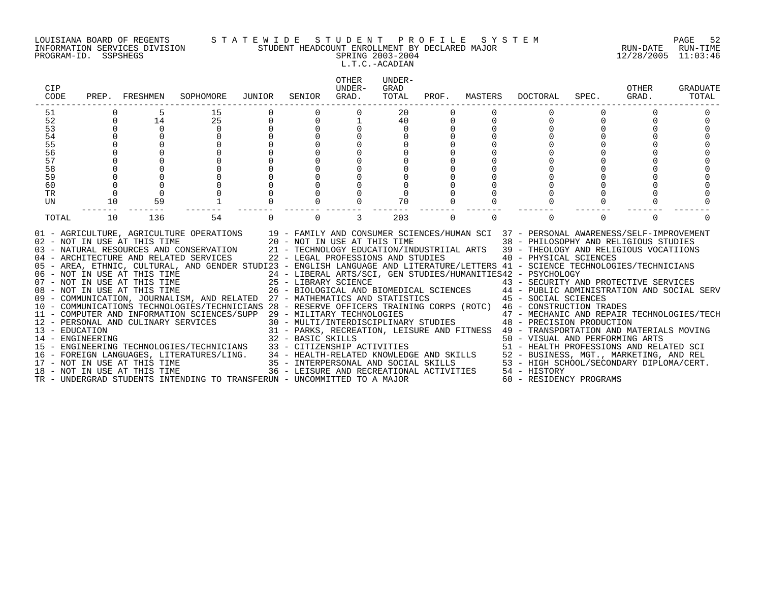#### LOUISIANA BOARD OF REGENTS S T A T E W I D E S T U D E N T P R O F I L E S Y S T E M PAGE 52 INFORMATION SERVICES DIVISION STUDENT HEADCOUNT ENROLLMENT BY DECLARED MAJOR RUN-DATE RUN-TIME PROGRAM-ID. SSPSHEGS SPRING 2003-2004 12/28/2005 11:03:46

L.T.C.-ACADIAN

| CIP<br>CODE     |                | PREP. FRESHMEN | SOPHOMORE                                                                                                                                                                                                                                                                                                                                                                                                                                                                                                                                                                                                                                                                                                                                                                                                                                                                                                                                                                                                                                                                                                                                                                                                                                                                                                                                                                                                                                                                                                                 | JUNIOR                           | SENIOR   | <b>OTHER</b><br>UNDER-<br>GRAD. | UNDER-<br>GRAD<br>TOTAL | PROF.    | MASTERS  | DOCTORAL | SPEC.                   | OTHER<br>GRAD. | <b>GRADUATE</b><br>TOTAL |
|-----------------|----------------|----------------|---------------------------------------------------------------------------------------------------------------------------------------------------------------------------------------------------------------------------------------------------------------------------------------------------------------------------------------------------------------------------------------------------------------------------------------------------------------------------------------------------------------------------------------------------------------------------------------------------------------------------------------------------------------------------------------------------------------------------------------------------------------------------------------------------------------------------------------------------------------------------------------------------------------------------------------------------------------------------------------------------------------------------------------------------------------------------------------------------------------------------------------------------------------------------------------------------------------------------------------------------------------------------------------------------------------------------------------------------------------------------------------------------------------------------------------------------------------------------------------------------------------------------|----------------------------------|----------|---------------------------------|-------------------------|----------|----------|----------|-------------------------|----------------|--------------------------|
| 51<br>52        |                | 14             | 15<br>25                                                                                                                                                                                                                                                                                                                                                                                                                                                                                                                                                                                                                                                                                                                                                                                                                                                                                                                                                                                                                                                                                                                                                                                                                                                                                                                                                                                                                                                                                                                  |                                  |          |                                 | 20<br>40                |          |          | $\Omega$ |                         |                |                          |
| 53              | $\Omega$       | $\Omega$       | $\mathbf 0$                                                                                                                                                                                                                                                                                                                                                                                                                                                                                                                                                                                                                                                                                                                                                                                                                                                                                                                                                                                                                                                                                                                                                                                                                                                                                                                                                                                                                                                                                                               | $\begin{matrix}0\\0\end{matrix}$ |          |                                 | $\Omega$                |          |          |          |                         |                |                          |
| 54              |                |                | $\Omega$                                                                                                                                                                                                                                                                                                                                                                                                                                                                                                                                                                                                                                                                                                                                                                                                                                                                                                                                                                                                                                                                                                                                                                                                                                                                                                                                                                                                                                                                                                                  |                                  |          | $\Omega$                        |                         |          |          | $\Omega$ |                         |                |                          |
| 55              |                |                | $\cap$                                                                                                                                                                                                                                                                                                                                                                                                                                                                                                                                                                                                                                                                                                                                                                                                                                                                                                                                                                                                                                                                                                                                                                                                                                                                                                                                                                                                                                                                                                                    |                                  |          |                                 |                         |          |          |          |                         |                |                          |
| 56              |                |                |                                                                                                                                                                                                                                                                                                                                                                                                                                                                                                                                                                                                                                                                                                                                                                                                                                                                                                                                                                                                                                                                                                                                                                                                                                                                                                                                                                                                                                                                                                                           |                                  |          |                                 |                         |          |          |          |                         |                |                          |
| 57              |                |                |                                                                                                                                                                                                                                                                                                                                                                                                                                                                                                                                                                                                                                                                                                                                                                                                                                                                                                                                                                                                                                                                                                                                                                                                                                                                                                                                                                                                                                                                                                                           |                                  |          |                                 |                         |          |          |          |                         |                |                          |
| 58              |                |                |                                                                                                                                                                                                                                                                                                                                                                                                                                                                                                                                                                                                                                                                                                                                                                                                                                                                                                                                                                                                                                                                                                                                                                                                                                                                                                                                                                                                                                                                                                                           |                                  |          |                                 |                         |          |          |          |                         |                |                          |
| 59              |                |                | $\Omega$                                                                                                                                                                                                                                                                                                                                                                                                                                                                                                                                                                                                                                                                                                                                                                                                                                                                                                                                                                                                                                                                                                                                                                                                                                                                                                                                                                                                                                                                                                                  |                                  |          |                                 |                         |          |          |          |                         |                |                          |
| 60              | $\Omega$       |                |                                                                                                                                                                                                                                                                                                                                                                                                                                                                                                                                                                                                                                                                                                                                                                                                                                                                                                                                                                                                                                                                                                                                                                                                                                                                                                                                                                                                                                                                                                                           |                                  |          |                                 |                         |          |          |          |                         |                |                          |
| TR<br><b>UN</b> | $\Omega$<br>10 | 59             |                                                                                                                                                                                                                                                                                                                                                                                                                                                                                                                                                                                                                                                                                                                                                                                                                                                                                                                                                                                                                                                                                                                                                                                                                                                                                                                                                                                                                                                                                                                           |                                  |          |                                 | 70                      |          |          | $\Omega$ |                         |                |                          |
|                 |                |                |                                                                                                                                                                                                                                                                                                                                                                                                                                                                                                                                                                                                                                                                                                                                                                                                                                                                                                                                                                                                                                                                                                                                                                                                                                                                                                                                                                                                                                                                                                                           |                                  |          |                                 |                         |          |          |          |                         |                |                          |
| TOTAL           | 10             | 136            | 54                                                                                                                                                                                                                                                                                                                                                                                                                                                                                                                                                                                                                                                                                                                                                                                                                                                                                                                                                                                                                                                                                                                                                                                                                                                                                                                                                                                                                                                                                                                        | $\Omega$                         | $\Omega$ | 3                               | 203                     | $\Omega$ | $\Omega$ | $\Omega$ | $\Omega$                |                |                          |
|                 |                |                | 01 - AGRICULTURE, AGRICULTURE OPERATIONS 19 - FAMILY AND CONSUMER SCIENCES/HUMAN SCI 37 - PERSONAL AWARENESS/SELF-IMPROVEMENT<br>02 - NOT IN USE AT THIS TIME CONSULTING AND CONSUMER SCIENCES/HUMAN SCI 37 - PERSONAL AWARENESS/SELF-IMPROVEMEN<br>03 - NATURAL RESOURCES AND CONSERVATION 21 - TECHNOLOGY EDUCATION/INDUSTRIIAL ARTS 39 - THEOLOGY AND RELIGIOUS<br>05 - AREA, ETHNIC, CULTURAL, AND GENDER STUDI23 - ENGLISH LANGUAGE AND LITERATURE/LETTERS 41 - SCIENCE TECHNOLOGIES/TECHNICIANS<br>06 - NOT IN USE AT THIS TIME                         24 - LIBERAL ARTS/SCI, GEN STUDIES/HUMANITIES42 - PSYCHOLOGY<br>07 - NOT IN USE AT THIS TIME                  25 - LIBRARY SCIENCE                      43 - SECURITY AN<br>07 - NOT IN USE AT THIS TIME                        25 - LIBRARY SCIENCE                         43 - SECURITY AND PROTECTIVE SERVICES<br>08 - NOT IN USE AT THIS TIME                   26 - BIOLOGICAL AND BIOMEDICAL SCIENCES<br>09 - COMMUNICATION, JOURNALISM, AND RELATED 27 - MATHEMATICS AND STATISTICS 45 - SOCIAL SCIENCES<br>10 - COMMUNICATIONS TECHNOLOGIES/TECHNICIANS 28 - RESERVE OFFICERS TRAINING CORPS (ROTC) 46 - CONSTRUCTION TRADES<br>11 - COMPUTER AND INFORMATION SCIENCES/SUPP 29 - MILITARY TECHNOLOGIES<br>12 - PERSONAL AND CULINARY SERVICES<br>12 - PERSONAL AND CULINARY SERVICES<br>12 - PERSONAL AND CULINARY SERVICES<br>14 - ENGINEERING TECHNOLOGIES/TECHNICIA<br>TR - UNDERGRAD STUDENTS INTENDING TO TRANSFERUN - UNCOMMITTED TO A MAJOR |                                  |          |                                 |                         |          |          |          | 60 - RESIDENCY PROGRAMS |                |                          |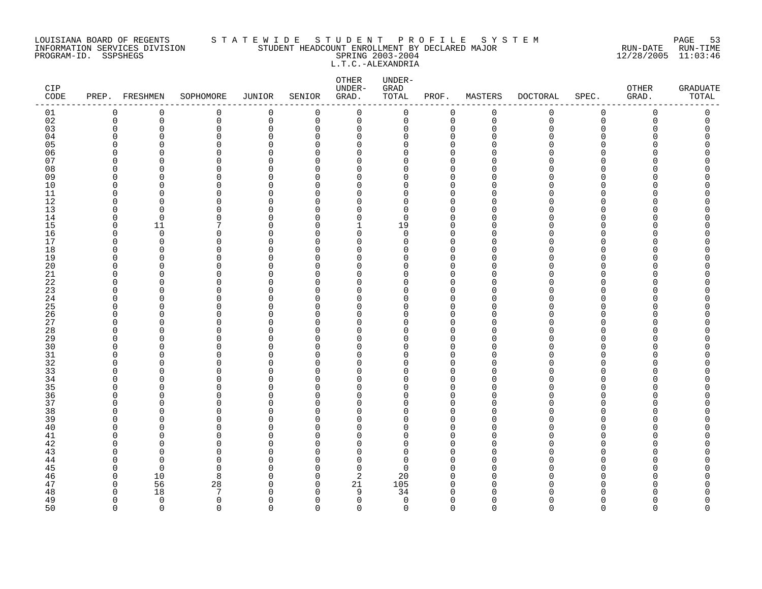#### LOUISIANA BOARD OF REGENTS S T A T E W I D E S T U D E N T P R O F I L E S Y S T E M PAGE 53 INFORMATION SERVICES DIVISION STUDENT HEADCOUNT ENROLLMENT BY DECLARED MAJOR RUN-DATE RUN-TIME PROGRAM-ID. SSPSHEGS SPRING 2003-2004 12/28/2005 11:03:46 L.T.C.-ALEXANDRIA

| CIP<br>$\texttt{CODE}$ | PREP.                   | FRESHMEN                | SOPHOMORE     | JUNIOR                  | SENIOR               | OTHER<br>UNDER-<br>GRAD. | UNDER-<br>GRAD<br>TOTAL | PROF.                   | MASTERS       | <b>DOCTORAL</b> | SPEC.              | OTHER<br>GRAD. | <b>GRADUATE</b><br>TOTAL |
|------------------------|-------------------------|-------------------------|---------------|-------------------------|----------------------|--------------------------|-------------------------|-------------------------|---------------|-----------------|--------------------|----------------|--------------------------|
| 01                     | 0                       | 0                       | 0             | $\mathbf 0$             | 0                    | $\mathbf 0$              | 0                       | 0                       | $\mathbf 0$   | 0               | $\mathsf 0$        | 0              | 0                        |
| 02                     | $\mathbf 0$             | 0                       | 0             | 0                       | 0                    | 0                        | 0                       | $\mathbf 0$             | $\mathbf 0$   | 0               | $\mathbf 0$        | 0              | 0                        |
| 03                     | 0                       | 0                       | 0             | $\mathbf 0$             | 0                    | 0                        | 0                       | 0                       | $\Omega$      | U               | $\Omega$           | O              | $\Omega$                 |
| 04                     | $\Omega$                | O                       | $\Omega$      | $\Omega$                | $\Omega$             | $\Omega$                 | O                       | $\Omega$                | n             |                 | ∩                  |                |                          |
| 05                     | $\Omega$<br>$\Omega$    | O                       | 0             | $\Omega$                | $\Omega$             | $\Omega$                 | O                       | $\Omega$                |               |                 | $\Omega$<br>$\cap$ |                | Λ                        |
| 06<br>07               | <sup>0</sup>            | n<br>O                  | $\Omega$<br>0 | $\Omega$<br>$\Omega$    | ∩<br>$\Omega$        | 0<br>0                   | $\Omega$<br>0           | $\Omega$<br>$\Omega$    |               |                 | ∩                  |                | ⋂                        |
| 08                     | $\Omega$                | O                       | $\Omega$      | $\Omega$                | $\Omega$             | 0                        | 0                       | $\Omega$                |               |                 | ∩                  |                |                          |
| 09                     | $\Omega$                | O                       | 0             | $\Omega$                | $\Omega$             | $\Omega$                 | O                       | $\mathbf 0$             | ∩             |                 | ∩                  |                |                          |
| 10                     | $\Omega$                | O                       | 0             | $\Omega$                | $\Omega$             | $\Omega$                 | 0                       | $\Omega$                | n             |                 | ∩                  |                |                          |
| 11                     | $\mathbf 0$             | $\Omega$                | 0             | $\mathbf 0$             | $\Omega$             | 0                        | 0                       | $\mathbf 0$             | $\cap$        |                 | $\cap$             |                |                          |
| 12                     | <sup>0</sup>            | O                       | $\Omega$      | 0                       | 0                    | $\Omega$                 | 0                       | $\Omega$                |               |                 | ∩                  |                |                          |
| 13                     | $\Omega$                | O                       | $\Omega$      | $\Omega$                | $\Omega$             | $\Omega$                 | 0                       | $\Omega$                |               |                 | ∩                  |                |                          |
| 14                     | 0                       | 0                       | 0             | $\Omega$                | $\Omega$             | $\mathbf 0$              | 0                       | 0                       | ∩             |                 | ∩                  |                | ⋂                        |
| 15                     | $\mathbf 0$             | 11                      | 7             | $\Omega$                | $\Omega$             | $\mathbf{1}$             | 19                      | $\Omega$                |               |                 | $\cap$             |                |                          |
| 16                     | $\mathbf 0$             | $\mathbf 0$             | $\Omega$      | $\mathbf 0$             | 0                    | 0                        | $\mathbf 0$             | 0                       | n             |                 | ∩                  |                | Λ                        |
| 17                     | <sup>0</sup>            | $\Omega$                | $\Omega$      | $\Omega$                | 0                    | $\Omega$                 | 0                       | $\Omega$                | n             |                 | ∩                  |                |                          |
| 18                     | $\Omega$                | O                       | 0             | $\Omega$                | $\Omega$             | 0                        | 0                       | $\Omega$                | O             |                 | $\Omega$           |                | Ω                        |
| 19                     | $\Omega$                | O                       | 0             | $\Omega$                | $\Omega$             | 0                        | O                       | $\mathbf 0$             |               |                 | ∩                  |                |                          |
| 20                     | $\Omega$                | $\Omega$                | 0             | $\Omega$                | $\Omega$             | $\Omega$                 | $\Omega$                | $\Omega$                | n             |                 | ∩                  |                | Λ                        |
| $21\,$<br>22           | $\Omega$<br>$\Omega$    | O<br>O                  | 0<br>$\Omega$ | $\mathbf 0$<br>$\Omega$ | $\Omega$<br>$\Omega$ | 0<br>0                   | 0<br>0                  | $\Omega$<br>$\Omega$    | O<br>∩        |                 | ∩<br>O             |                | Λ                        |
| 23                     | $\Omega$                | O                       | 0             | $\Omega$                | $\Omega$             | 0                        | 0                       | $\Omega$                | n             |                 | $\Omega$           |                |                          |
| 24                     | $\Omega$                | O                       | 0             | $\Omega$                | $\Omega$             | 0                        | $\Omega$                | $\mathbf 0$             | n             |                 | ∩                  |                |                          |
| 25                     | $\Omega$                | O                       | $\Omega$      | $\Omega$                | ∩                    | $\Omega$                 | $\Omega$                | $\Omega$                |               |                 | ∩                  |                | ∩                        |
| 26                     | $\Omega$                | O                       | $\Omega$      | $\Omega$                | $\Omega$             | 0                        | 0                       | $\Omega$                |               |                 | ∩                  |                |                          |
| 27                     | $\Omega$                | O                       | 0             | $\Omega$                | 0                    | 0                        | 0                       | 0                       | ∩             |                 | ∩                  |                |                          |
| 28                     | $\Omega$                | C                       | $\Omega$      | $\Omega$                | $\Omega$             | 0                        | 0                       | $\Omega$                |               |                 | ∩                  |                |                          |
| 29                     | $\Omega$                | O                       | 0             | $\Omega$                | $\Omega$             | 0                        | 0                       | $\mathbf 0$             |               |                 | ∩                  |                | ⋂                        |
| 30                     | $\Omega$                | n                       | $\Omega$      | $\Omega$                | $\Omega$             | $\Omega$                 | $\Omega$                | $\Omega$                |               |                 |                    |                |                          |
| $31$                   | $\Omega$                | O                       | 0             | $\Omega$                | $\Omega$             | 0                        | 0                       | $\Omega$                | U             |                 | $\Omega$           |                |                          |
| 32                     | $\Omega$                | O                       | 0             | $\Omega$                | 0                    | 0                        | 0                       | $\mathbf 0$             | ∩             |                 | ∩                  |                |                          |
| 33                     | $\Omega$                | C                       | $\Omega$      | $\Omega$                | $\Omega$             | $\Omega$                 | $\Omega$                | $\Omega$                | n             |                 | ∩                  |                |                          |
| 34                     | $\Omega$                | O                       | 0             | $\mathbf 0$<br>$\Omega$ | $\Omega$             | 0                        | O<br>$\Omega$           | $\Omega$<br>$\Omega$    | $\cap$        |                 | ∩<br>∩             |                |                          |
| 35                     | $\Omega$<br>$\mathbf 0$ | n<br>0                  | $\Omega$<br>0 | $\Omega$                | $\Omega$<br>0        | $\Omega$<br>0            | 0                       | $\mathbf 0$             | U             |                 | $\Omega$           |                | Ω                        |
| 36<br>37               | $\Omega$                | O                       | $\Omega$      | $\Omega$                | $\Omega$             | 0                        | 0                       | $\mathbf 0$             | U             |                 | ∩                  |                |                          |
| 38                     | $\Omega$                | O                       | 0             | $\Omega$                | $\Omega$             | 0                        | 0                       | $\Omega$                |               |                 | ∩                  |                | ⋂                        |
| 39                     | $\Omega$                | O                       | $\Omega$      | $\Omega$                | $\Omega$             | $\Omega$                 | 0                       | $\Omega$                | ∩             |                 | ∩                  |                |                          |
| 40                     | $\Omega$                | n                       | $\Omega$      | $\Omega$                | $\Omega$             | $\Omega$                 | $\Omega$                | $\Omega$                | n             |                 | ∩                  |                |                          |
| 41                     | <sup>0</sup>            | O                       | 0             | $\Omega$                | O                    | 0                        | 0                       | $\Omega$                |               |                 | O                  |                |                          |
| 42                     | $\Omega$                | O                       | 0             | $\Omega$                | $\Omega$             | 0                        | 0                       | $\mathbf 0$             | n             |                 | ∩                  |                |                          |
| 43                     | ∩                       | n                       | $\Omega$      | $\Omega$                | $\Omega$             | $\Omega$                 | $\Omega$                | $\Omega$                |               |                 | ∩                  |                |                          |
| 44                     | $\Omega$                | $\Omega$                | $\Omega$      | $\Omega$                | $\Omega$             | $\Omega$                 | 0                       | $\Omega$                | n             |                 | ∩                  |                |                          |
| 45                     | $\Omega$                | $\Omega$                | 0             | $\Omega$                | $\Omega$             | $\mathbf 0$              | $\Omega$                | $\Omega$                | n             |                 | ∩                  |                |                          |
| 46                     | 0                       | 10                      | 8             | $\Omega$                | $\Omega$             | 2                        | 20                      | $\Omega$                | $\Omega$      |                 | ∩                  |                |                          |
| 47                     | 0                       | 56                      | 28            | 0                       | 0                    | 21                       | 105                     | 0                       | $\cap$        |                 | ∩                  |                | Ω                        |
| 48                     | $\Omega$                | 18                      | 7             | $\Omega$                | $\Omega$             | 9                        | 34                      | $\Omega$                |               |                 |                    |                | ⋂                        |
| 49<br>50               | $\Omega$<br>$\Omega$    | $\mathbf 0$<br>$\Omega$ | 0<br>$\cap$   | $\Omega$<br>$\Omega$    | $\Omega$<br>$\Omega$ | $\mathbf 0$<br>$\Omega$  | $\mathbf 0$<br>$\Omega$ | $\mathbf 0$<br>$\Omega$ | ∩<br>$\Omega$ | $\Omega$        | ∩<br>$\Omega$      | $\Omega$       | <sup>0</sup><br>$\Omega$ |
|                        |                         |                         |               |                         |                      |                          |                         |                         |               |                 |                    |                |                          |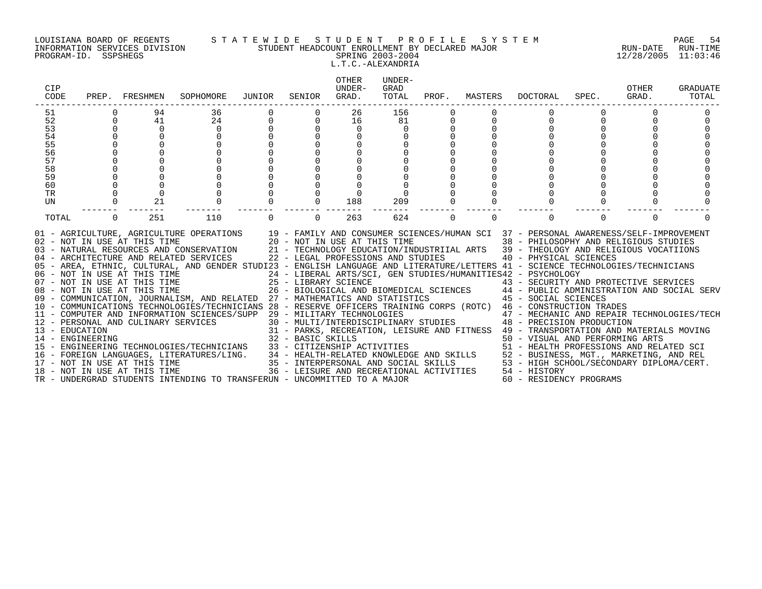#### LOUISIANA BOARD OF REGENTS S T A T E W I D E S T U D E N T P R O F I L E S Y S T E M PAGE 54 INFORMATION SERVICES DIVISION STUDENT HEADCOUNT ENROLLMENT BY DECLARED MAJOR RUN-DATE RUN-TIME PROGRAM-ID. SSPSHEGS SPRING 2003-2004 12/28/2005 11:03:46 L.T.C.-ALEXANDRIA

|             | SOPHOMORE                                       | JUNIOR                             | SENIOR   | OTHER<br>UNDER-<br>GRAD. | UNDER-<br>GRAD<br>TOTAL |                                                                                                                                                                                                                                                 |          | DOCTORAL      | SPEC.    | OTHER<br>GRAD.                                                                                                        | <b>GRADUATE</b><br>TOTAL                                                                                                                                                                                                                                                                                                                                                                                                                                                                                                                                                                                                                                                                                                                                                                                                                                                                                                                                                                                                                                                                                                   |
|-------------|-------------------------------------------------|------------------------------------|----------|--------------------------|-------------------------|-------------------------------------------------------------------------------------------------------------------------------------------------------------------------------------------------------------------------------------------------|----------|---------------|----------|-----------------------------------------------------------------------------------------------------------------------|----------------------------------------------------------------------------------------------------------------------------------------------------------------------------------------------------------------------------------------------------------------------------------------------------------------------------------------------------------------------------------------------------------------------------------------------------------------------------------------------------------------------------------------------------------------------------------------------------------------------------------------------------------------------------------------------------------------------------------------------------------------------------------------------------------------------------------------------------------------------------------------------------------------------------------------------------------------------------------------------------------------------------------------------------------------------------------------------------------------------------|
| 94          |                                                 |                                    |          | 26                       |                         |                                                                                                                                                                                                                                                 |          |               |          |                                                                                                                       |                                                                                                                                                                                                                                                                                                                                                                                                                                                                                                                                                                                                                                                                                                                                                                                                                                                                                                                                                                                                                                                                                                                            |
| 41          | 24                                              | $\mathsf{O}$                       | $\Omega$ | 16                       | 81                      |                                                                                                                                                                                                                                                 |          |               |          |                                                                                                                       |                                                                                                                                                                                                                                                                                                                                                                                                                                                                                                                                                                                                                                                                                                                                                                                                                                                                                                                                                                                                                                                                                                                            |
| $\mathbf 0$ | $\mathbf 0$                                     |                                    |          | 0                        | 0                       |                                                                                                                                                                                                                                                 |          |               |          |                                                                                                                       |                                                                                                                                                                                                                                                                                                                                                                                                                                                                                                                                                                                                                                                                                                                                                                                                                                                                                                                                                                                                                                                                                                                            |
|             |                                                 |                                    |          |                          |                         |                                                                                                                                                                                                                                                 |          |               |          |                                                                                                                       |                                                                                                                                                                                                                                                                                                                                                                                                                                                                                                                                                                                                                                                                                                                                                                                                                                                                                                                                                                                                                                                                                                                            |
|             |                                                 |                                    |          |                          |                         |                                                                                                                                                                                                                                                 |          |               |          |                                                                                                                       |                                                                                                                                                                                                                                                                                                                                                                                                                                                                                                                                                                                                                                                                                                                                                                                                                                                                                                                                                                                                                                                                                                                            |
|             |                                                 |                                    |          |                          |                         |                                                                                                                                                                                                                                                 |          |               |          |                                                                                                                       |                                                                                                                                                                                                                                                                                                                                                                                                                                                                                                                                                                                                                                                                                                                                                                                                                                                                                                                                                                                                                                                                                                                            |
|             |                                                 |                                    |          |                          |                         |                                                                                                                                                                                                                                                 |          |               |          |                                                                                                                       |                                                                                                                                                                                                                                                                                                                                                                                                                                                                                                                                                                                                                                                                                                                                                                                                                                                                                                                                                                                                                                                                                                                            |
|             |                                                 |                                    |          |                          |                         |                                                                                                                                                                                                                                                 |          |               |          |                                                                                                                       |                                                                                                                                                                                                                                                                                                                                                                                                                                                                                                                                                                                                                                                                                                                                                                                                                                                                                                                                                                                                                                                                                                                            |
|             |                                                 |                                    |          |                          |                         |                                                                                                                                                                                                                                                 |          |               |          |                                                                                                                       |                                                                                                                                                                                                                                                                                                                                                                                                                                                                                                                                                                                                                                                                                                                                                                                                                                                                                                                                                                                                                                                                                                                            |
|             |                                                 |                                    |          |                          |                         |                                                                                                                                                                                                                                                 |          |               |          |                                                                                                                       |                                                                                                                                                                                                                                                                                                                                                                                                                                                                                                                                                                                                                                                                                                                                                                                                                                                                                                                                                                                                                                                                                                                            |
|             |                                                 |                                    |          |                          |                         |                                                                                                                                                                                                                                                 |          |               |          |                                                                                                                       |                                                                                                                                                                                                                                                                                                                                                                                                                                                                                                                                                                                                                                                                                                                                                                                                                                                                                                                                                                                                                                                                                                                            |
|             |                                                 |                                    |          |                          |                         |                                                                                                                                                                                                                                                 |          |               |          |                                                                                                                       |                                                                                                                                                                                                                                                                                                                                                                                                                                                                                                                                                                                                                                                                                                                                                                                                                                                                                                                                                                                                                                                                                                                            |
| 251         | 110                                             |                                    | $\Omega$ | 263                      | 624                     | $\Omega$                                                                                                                                                                                                                                        | $\Omega$ | $\Omega$      | $\Omega$ | $\Omega$                                                                                                              |                                                                                                                                                                                                                                                                                                                                                                                                                                                                                                                                                                                                                                                                                                                                                                                                                                                                                                                                                                                                                                                                                                                            |
|             |                                                 |                                    |          |                          |                         |                                                                                                                                                                                                                                                 |          |               |          |                                                                                                                       |                                                                                                                                                                                                                                                                                                                                                                                                                                                                                                                                                                                                                                                                                                                                                                                                                                                                                                                                                                                                                                                                                                                            |
|             | PREP. FRESHMEN<br>$\mathbf 0$<br>21<br>$\Omega$ | 36<br>18 - NOT IN USE AT THIS TIME |          | $\Omega$                 | $\Omega$<br>188         | 156<br>209<br>06 - NOT IN USE AT THIS TIME<br>07 - NOT IN USE AT THIS TIME<br>08 - NOT IN USE AT THIS TIME<br>08 - NOT IN USE AT THIS TIME<br>26 - BIOLOGICAL AND P<br>TR - UNDERGRAD STUDENTS INTENDING TO TRANSFERUN - UNCOMMITTED TO A MAJOR |          | PROF. MASTERS |          | 24 - LIBERAL ARTS/SCI, GEN STUDIES/HUMANITIES42 - PSYCHOLOGY<br>36 - LEISURE AND RECREATIONAL ACTIVITIES 54 - HISTORY | 01 - AGRICULTURE, AGRICULTURE OPERATIONS 19 - FAMILY AND CONSUMER SCIENCES/HUMAN SCI 37 - PERSONAL AWARENESS/SELF-IMPROVEMENT 102 - NOT IN USE AT THIS TIME 20 - NOT IN USE AT THIS TIME 38 - PHILOSOPHY AND RELIGIOUS STUDIES<br>05 - AREA, ETHNIC, CULTURAL, AND GENDER STUDI23 - ENGLISH LANGUAGE AND LITERATURE/LETTERS 41 - SCIENCE TECHNOLOGIES/TECHNICIANS<br>07 - NOT IN USE AT THIS TIME<br>25 - LIBRARY SCIENCE<br>26 - BIOLOGICAL AND BIOMEDICAL SCIENCES<br>26 - BIOLOGICAL AND BIOMEDICAL SCIENCES<br>26 - BIOLOGICAL AND BIOMEDICAL SCIENCES<br>26 - BIOLOGICAL AND BIOMEDICAL SCIENCES<br>26 - B<br>TRESONAL AND CULINARY SERVICES/SUPP 29 - MILITARY TECHNOLOGIES<br>12 - PERSONAL AND CULINARY SERVICES<br>30 - MULTI/INTERDISCIPLINARY STUDIES<br>31 - PARKS, RECREATION, LEISURE AND FITNESS 49 - TRANSPORTATION AND MATERIALS MOVIN<br>14 – ENGINEERING TECHNOLOGIES/TECHNICIANS 32 – BASIC SKILLS<br>15 – ENGINEERING TECHNOLOGIES/TECHNICIANS 33 – CITIZENSHIP ACTIVITIES 50 – VISUAL AND PERFORMING ARTS<br>16 – FOREIGN LANGUAGES, LITERATURES/LING. 34 – HEALTH-RELATE<br>60 - RESIDENCY PROGRAMS |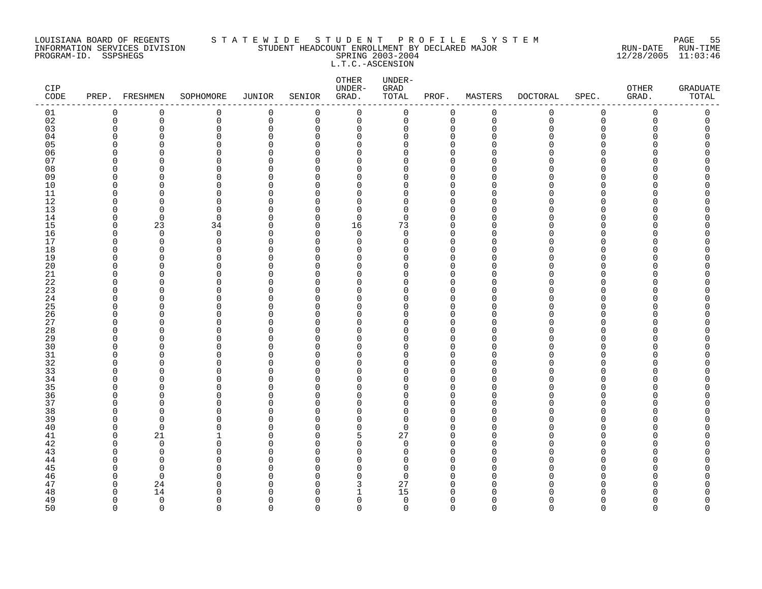#### LOUISIANA BOARD OF REGENTS S T A T E W I D E S T U D E N T P R O F I L E S Y S T E M PAGE 55 INFORMATION SERVICES DIVISION STUDENT HEADCOUNT ENROLLMENT BY DECLARED MAJOR RUN-DATE RUN-TIME PROGRAM-ID. SSPSHEGS SPRING 2003-2004 12/28/2005 11:03:46 L.T.C.-ASCENSION

| CIP<br>$\texttt{CODE}$ |             | PREP. FRESHMEN | SOPHOMORE            | JUNIOR      | SENIOR               | OTHER<br>UNDER-<br>GRAD. | UNDER-<br>GRAD<br>TOTAL | PROF.                   | MASTERS     | <b>DOCTORAL</b> | SPEC.       | OTHER<br>GRAD. | GRADUATE<br>TOTAL |
|------------------------|-------------|----------------|----------------------|-------------|----------------------|--------------------------|-------------------------|-------------------------|-------------|-----------------|-------------|----------------|-------------------|
| 01                     | 0           | 0              | 0                    | $\mathbf 0$ | $\mathbf 0$          | 0                        | 0                       | $\mathbf 0$             | $\mathbf 0$ | 0               | $\mathbf 0$ | 0              | 0                 |
| 02                     | $\mathbf 0$ | 0              | 0                    | $\mathbf 0$ | 0                    | $\mathbf 0$              | 0                       | $\mathbf 0$             | $\mathbf 0$ | $\mathbf 0$     | $\mathbf 0$ | 0              | 0                 |
| 03                     | $\Omega$    | $\Omega$       | 0                    | $\Omega$    | $\mathbf 0$          | 0                        | 0                       | $\mathbf 0$             | $\Omega$    | O               | $\Omega$    | O              | C                 |
| 04                     | ∩           | O              | $\Omega$             | O           | $\Omega$             | 0                        | 0                       | $\mathbf 0$             | n           | N               | $\Omega$    |                |                   |
| 05                     |             | ∩              | $\Omega$             | $\Omega$    | $\Omega$             | $\Omega$                 | 0                       | $\Omega$                |             |                 | ∩           |                | ⋂                 |
| 06                     |             | n<br>n         | $\Omega$<br>$\Omega$ | O<br>O      | $\Omega$<br>$\Omega$ | $\mathbf 0$<br>$\Omega$  | 0                       | $\Omega$<br>$\Omega$    |             |                 | ∩<br>∩      |                |                   |
| 07<br>08               | O           | O              | $\Omega$             | O           | $\Omega$             | $\mathbf 0$              | 0<br>0                  | $\mathbf 0$             | ∩           |                 | $\Omega$    |                |                   |
| 09                     | ∩           | O              | 0                    | O           | $\Omega$             | 0                        | 0                       | 0                       | ∩           |                 | O           |                |                   |
| 10                     | O           | Λ              | $\Omega$             | $\Omega$    | $\Omega$             | $\mathbf 0$              | 0                       | $\Omega$                | n           |                 | $\Omega$    |                |                   |
| 11                     | n           | n              | $\Omega$             | O           | $\Omega$             | $\mathbf 0$              | 0                       | $\mathbf 0$             | n           |                 | ∩           |                |                   |
| 12                     | ∩           | ∩              | $\Omega$             | $\cap$      | $\Omega$             | $\Omega$                 | 0                       | $\Omega$                | n           |                 | ∩           |                |                   |
| 13                     | $\Omega$    | $\Omega$       | 0                    | $\Omega$    | $\Omega$             | $\mathbf 0$              | $\mathbf 0$             | $\mathbf 0$             | $\cap$      |                 | $\Omega$    |                |                   |
| 14                     | $\Omega$    | 0              | 0                    | O           | $\Omega$             | $\mathbf 0$              | 0                       | $\mathbf 0$             | n           |                 | ∩           |                |                   |
| 15                     | $\Omega$    | 23             | 34                   | $\Omega$    | $\Omega$             | 16                       | 73                      | $\Omega$                | n           |                 | ∩           |                |                   |
| 16                     | n           | $\mathbf 0$    | 0                    | O           | $\Omega$             | $\mathbf 0$              | 0                       | $\mathbf 0$             | $\cap$      |                 | ∩           |                |                   |
| 17                     | n           | $\Omega$       | $\Omega$             | $\Omega$    | $\Omega$             | $\Omega$                 | 0                       | $\Omega$                | ∩           |                 | ∩           |                |                   |
| 18                     | O           | $\Omega$       | 0                    | $\Omega$    | $\Omega$             | $\mathbf 0$              | 0                       | $\mathbf 0$             | n           |                 | $\Omega$    |                |                   |
| 19                     |             | O              | $\Omega$             | O           | $\Omega$             | 0                        | 0                       | $\mathbf 0$             |             |                 | $\Omega$    |                |                   |
| 20                     |             | ∩              | $\Omega$             | O           | $\Omega$             | 0                        | 0                       | $\mathbf 0$             | n           |                 | ∩           |                | ⋂                 |
| 21                     | ∩<br>∩      | ∩<br>∩         | $\Omega$             | O<br>O      | $\Omega$<br>$\Omega$ | $\mathbf 0$              | 0                       | $\mathbf 0$             | ∩<br>n      |                 | ∩<br>∩      |                |                   |
| 22<br>23               |             | n              | $\Omega$<br>$\Omega$ | $\Omega$    | $\Omega$             | $\mathbf 0$<br>$\Omega$  | 0<br>0                  | $\mathbf 0$<br>$\Omega$ | n           |                 | $\Omega$    |                |                   |
| 24                     | n           | O              | $\Omega$             | 0           | $\Omega$             | 0                        | 0                       | $\mathbf 0$             | ∩           |                 | $\Omega$    |                |                   |
| 25                     |             | O              | 0                    | O           | $\Omega$             | 0                        | 0                       | $\Omega$                |             |                 | ∩           |                |                   |
| 26                     | n           | O              | $\Omega$             | O           | $\Omega$             | $\Omega$                 | 0                       | $\mathbf 0$             | U           |                 | ∩           |                |                   |
| 27                     | ∩           | ∩              | $\Omega$             | O           | $\Omega$             | $\Omega$                 | 0                       | $\mathbf 0$             | ∩           |                 | ∩           |                |                   |
| 28                     |             | Ω              | $\Omega$             | $\Omega$    | $\Omega$             | $\Omega$                 | $\Omega$                | $\Omega$                |             |                 | $\cap$      |                |                   |
| 29                     |             | $\Omega$       | $\Omega$             | 0           | $\mathbf 0$          | 0                        | 0                       | $\mathbf 0$             | U           |                 | $\Omega$    |                |                   |
| 30                     |             | O              | 0                    | O           | $\Omega$             | $\Omega$                 | 0                       | $\Omega$                | ∩           |                 | ∩           |                |                   |
| 31                     | n           | O              | $\Omega$             | O           | $\Omega$             | 0                        | 0                       | $\mathbf 0$             | n           |                 | O           |                |                   |
| 32                     |             | ∩              | $\Omega$             | O           | $\Omega$             | $\Omega$                 | 0                       | $\mathbf 0$             | ∩           |                 | ∩           |                |                   |
| 33                     |             | n              | $\Omega$             | $\Omega$    | $\Omega$             | $\mathbf 0$              | 0                       | $\Omega$                | $\cap$      |                 | $\Omega$    |                |                   |
| 34                     | ∩           | n              | U                    | O           | $\Omega$             | $\mathbf 0$              | 0                       | $\mathbf 0$             | $\cap$      |                 | ∩           |                |                   |
| 35                     | ∩           | O<br>O         | 0                    | O           | $\Omega$<br>$\Omega$ | $\Omega$                 | O                       | $\Omega$                | ∩<br>n      |                 | ∩<br>O      |                |                   |
| 36<br>37               | n           | ∩              | 0<br>0               | 0<br>O      | $\Omega$             | 0<br>$\mathbf 0$         | 0<br>0                  | 0<br>$\mathbf 0$        | n           |                 | ∩           |                |                   |
| 38                     |             | n              | U                    | O           | $\Omega$             | $\mathbf 0$              | 0                       | $\mathbf 0$             |             |                 | ∩           |                |                   |
| 39                     | ∩           | $\Omega$       | $\Omega$             | O           | $\Omega$             | $\Omega$                 | $\mathbf 0$             | $\Omega$                | n           |                 | ∩           |                |                   |
| 40                     | n           | $\mathbf 0$    | 0                    | O           | $\Omega$             | $\mathbf 0$              | $\mathbf 0$             | $\overline{0}$          | n           |                 | O           |                |                   |
| 41                     | n           | 21             |                      | 0           | $\Omega$             | 5                        | 27                      | 0                       |             |                 | ∩           |                |                   |
| 42                     | n           | $\mathbf 0$    | $\Omega$             | O           | $\Omega$             | $\mathbf 0$              | 0                       | $\mathbf 0$             | n           |                 | ∩           |                |                   |
| 43                     |             | $\Omega$       | U                    | U           | $\Omega$             | $\Omega$                 | 0                       | $\Omega$                | n           |                 | ∩           |                |                   |
| 44                     |             | <sup>n</sup>   | $\Omega$             | O           | $\Omega$             | $\Omega$                 | 0                       | $\Omega$                | n           |                 | ∩           |                |                   |
| 45                     |             | $\Omega$       | 0                    | 0           | $\Omega$             | $\mathbf 0$              | 0                       | $\mathbf 0$             | U           |                 | $\Omega$    |                |                   |
| 46                     |             | $\Omega$       | 0                    | O           | $\Omega$             | $\mathbf 0$              | 0                       | $\Omega$                | ∩           |                 | ∩           |                |                   |
| 47                     | ∩           | 24             | U                    | O           | $\Omega$             | 3                        | 27                      | 0                       | $\Omega$    |                 | ∩           |                |                   |
| 48                     |             | 14             | U                    | n           | U                    | $\mathbf{1}$             | 15                      | $\Omega$                | ∩           |                 |             |                |                   |
| 49                     | ∩           | $\Omega$       | $\Omega$             | O           | $\Omega$             | 0                        | $\mathbf 0$             | $\mathbf 0$             | $\Omega$    | N               | ∩           |                | O<br>$\cap$       |
| 50                     | $\cap$      | $\Omega$       | $\Omega$             | $\Omega$    | $\cap$               | $\Omega$                 | $\Omega$                | $\Omega$                | $\cap$      | $\Omega$        | $\Omega$    | $\Omega$       |                   |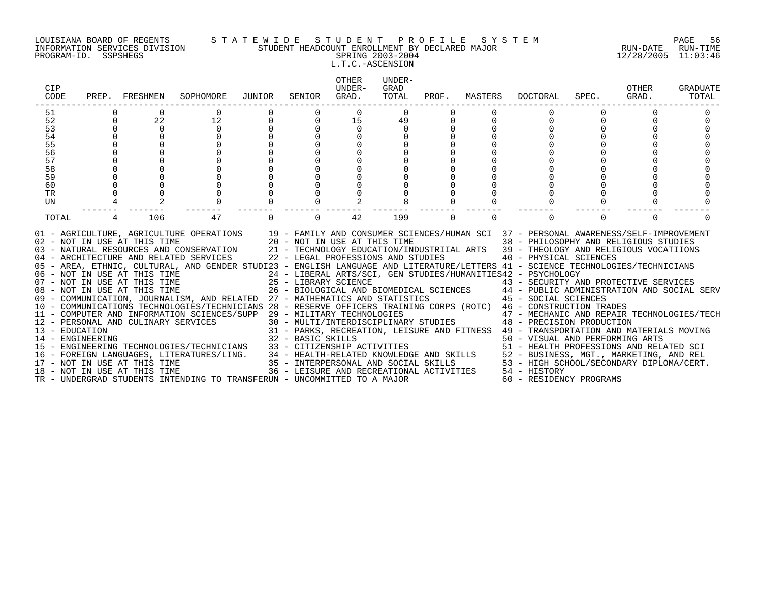#### LOUISIANA BOARD OF REGENTS S T A T E W I D E S T U D E N T P R O F I L E S Y S T E M PAGE 56 INFORMATION SERVICES DIVISION STUDENT HEADCOUNT ENROLLMENT BY DECLARED MAJOR RUN-DATE RUN-TIME PROGRAM-ID. SSPSHEGS SPRING 2003-2004 12/28/2005 11:03:46 L.T.C.-ASCENSION

|   |             | SOPHOMORE                |                              | SENIOR      | OTHER<br>UNDER-<br>GRAD. | UNDER-<br>GRAD<br>TOTAL |                                                                                                                                                                                                                                   |          | DOCTORAL      | SPEC.    | OTHER<br>GRAD.                                                                                                        | <b>GRADUATE</b><br>TOTAL                                                                                                                                                                                                                                                                                                                                                                                                                                                                                                                                                                                                                                                                                                                                                                                                                                                                                                                                                                                                                                                                                                   |
|---|-------------|--------------------------|------------------------------|-------------|--------------------------|-------------------------|-----------------------------------------------------------------------------------------------------------------------------------------------------------------------------------------------------------------------------------|----------|---------------|----------|-----------------------------------------------------------------------------------------------------------------------|----------------------------------------------------------------------------------------------------------------------------------------------------------------------------------------------------------------------------------------------------------------------------------------------------------------------------------------------------------------------------------------------------------------------------------------------------------------------------------------------------------------------------------------------------------------------------------------------------------------------------------------------------------------------------------------------------------------------------------------------------------------------------------------------------------------------------------------------------------------------------------------------------------------------------------------------------------------------------------------------------------------------------------------------------------------------------------------------------------------------------|
|   |             |                          |                              |             | 0                        | $\Omega$                |                                                                                                                                                                                                                                   |          |               |          |                                                                                                                       |                                                                                                                                                                                                                                                                                                                                                                                                                                                                                                                                                                                                                                                                                                                                                                                                                                                                                                                                                                                                                                                                                                                            |
| 0 | 22          | 12                       |                              | $\mathbf 0$ | 15                       | 49                      |                                                                                                                                                                                                                                   |          |               |          |                                                                                                                       |                                                                                                                                                                                                                                                                                                                                                                                                                                                                                                                                                                                                                                                                                                                                                                                                                                                                                                                                                                                                                                                                                                                            |
|   | $\mathbf 0$ | $\mathbf 0$              |                              |             | 0                        | 0                       |                                                                                                                                                                                                                                   |          |               |          |                                                                                                                       |                                                                                                                                                                                                                                                                                                                                                                                                                                                                                                                                                                                                                                                                                                                                                                                                                                                                                                                                                                                                                                                                                                                            |
|   |             |                          |                              |             |                          |                         |                                                                                                                                                                                                                                   |          |               |          |                                                                                                                       |                                                                                                                                                                                                                                                                                                                                                                                                                                                                                                                                                                                                                                                                                                                                                                                                                                                                                                                                                                                                                                                                                                                            |
|   |             |                          |                              |             |                          |                         |                                                                                                                                                                                                                                   |          |               |          |                                                                                                                       |                                                                                                                                                                                                                                                                                                                                                                                                                                                                                                                                                                                                                                                                                                                                                                                                                                                                                                                                                                                                                                                                                                                            |
|   |             |                          |                              |             |                          |                         |                                                                                                                                                                                                                                   |          |               |          |                                                                                                                       |                                                                                                                                                                                                                                                                                                                                                                                                                                                                                                                                                                                                                                                                                                                                                                                                                                                                                                                                                                                                                                                                                                                            |
|   |             |                          |                              |             |                          |                         |                                                                                                                                                                                                                                   |          |               |          |                                                                                                                       |                                                                                                                                                                                                                                                                                                                                                                                                                                                                                                                                                                                                                                                                                                                                                                                                                                                                                                                                                                                                                                                                                                                            |
|   |             |                          |                              |             |                          |                         |                                                                                                                                                                                                                                   |          |               |          |                                                                                                                       |                                                                                                                                                                                                                                                                                                                                                                                                                                                                                                                                                                                                                                                                                                                                                                                                                                                                                                                                                                                                                                                                                                                            |
|   |             |                          |                              |             |                          |                         |                                                                                                                                                                                                                                   |          |               |          |                                                                                                                       |                                                                                                                                                                                                                                                                                                                                                                                                                                                                                                                                                                                                                                                                                                                                                                                                                                                                                                                                                                                                                                                                                                                            |
|   |             |                          |                              |             |                          |                         |                                                                                                                                                                                                                                   |          |               |          |                                                                                                                       |                                                                                                                                                                                                                                                                                                                                                                                                                                                                                                                                                                                                                                                                                                                                                                                                                                                                                                                                                                                                                                                                                                                            |
|   |             |                          |                              |             |                          |                         |                                                                                                                                                                                                                                   |          |               |          |                                                                                                                       |                                                                                                                                                                                                                                                                                                                                                                                                                                                                                                                                                                                                                                                                                                                                                                                                                                                                                                                                                                                                                                                                                                                            |
|   |             |                          |                              |             |                          |                         |                                                                                                                                                                                                                                   |          |               |          |                                                                                                                       |                                                                                                                                                                                                                                                                                                                                                                                                                                                                                                                                                                                                                                                                                                                                                                                                                                                                                                                                                                                                                                                                                                                            |
|   | 106         | 47                       |                              | $\Omega$    | 42                       | 199                     | $\Omega$                                                                                                                                                                                                                          | $\Omega$ | $\Omega$      | $\Omega$ | $\Omega$                                                                                                              |                                                                                                                                                                                                                                                                                                                                                                                                                                                                                                                                                                                                                                                                                                                                                                                                                                                                                                                                                                                                                                                                                                                            |
|   |             |                          |                              |             |                          |                         |                                                                                                                                                                                                                                   |          |               |          |                                                                                                                       |                                                                                                                                                                                                                                                                                                                                                                                                                                                                                                                                                                                                                                                                                                                                                                                                                                                                                                                                                                                                                                                                                                                            |
|   |             | PREP. FRESHMEN<br>2<br>4 | 18 - NOT IN USE AT THIS TIME | JUNIOR      |                          |                         | 06 - NOT IN USE AT THIS TIME<br>07 - NOT IN USE AT THIS TIME<br>08 - NOT IN USE AT THIS TIME<br>08 - NOT IN USE AT THIS TIME<br>26 - BIOLOGICAL AND E<br>TR - UNDERGRAD STUDENTS INTENDING TO TRANSFERUN - UNCOMMITTED TO A MAJOR |          | PROF. MASTERS |          | 24 - LIBERAL ARTS/SCI, GEN STUDIES/HUMANITIES42 - PSYCHOLOGY<br>36 - LEISURE AND RECREATIONAL ACTIVITIES 54 - HISTORY | 01 - AGRICULTURE, AGRICULTURE OPERATIONS 19 - FAMILY AND CONSUMER SCIENCES/HUMAN SCI 37 - PERSONAL AWARENESS/SELF-IMPROVEMENT 102 - NOT IN USE AT THIS TIME 20 - NOT IN USE AT THIS TIME 38 - PHILOSOPHY AND RELIGIOUS STUDIES<br>05 - AREA, ETHNIC, CULTURAL, AND GENDER STUDI23 - ENGLISH LANGUAGE AND LITERATURE/LETTERS 41 - SCIENCE TECHNOLOGIES/TECHNICIANS<br>07 - NOT IN USE AT THIS TIME<br>25 - LIBRARY SCIENCE<br>26 - BIOLOGICAL AND BIOMEDICAL SCIENCES<br>26 - BIOLOGICAL AND BIOMEDICAL SCIENCES<br>26 - BIOLOGICAL AND BIOMEDICAL SCIENCES<br>26 - BIOLOGICAL AND BIOMEDICAL SCIENCES<br>26 - B<br>TRESONAL AND CULINARY SERVICES/SUPP 29 - MILITARY TECHNOLOGIES<br>12 - PERSONAL AND CULINARY SERVICES<br>30 - MULTI/INTERDISCIPLINARY STUDIES<br>31 - PARKS, RECREATION, LEISURE AND FITNESS 49 - TRANSPORTATION AND MATERIALS MOVIN<br>14 – ENGINEERING TECHNOLOGIES/TECHNICIANS 32 – BASIC SKILLS<br>15 – ENGINEERING TECHNOLOGIES/TECHNICIANS 33 – CITIZENSHIP ACTIVITIES 50 – VISUAL AND PERFORMING ARTS<br>16 – FOREIGN LANGUAGES, LITERATURES/LING. 34 – HEALTH-RELATE<br>60 - RESIDENCY PROGRAMS |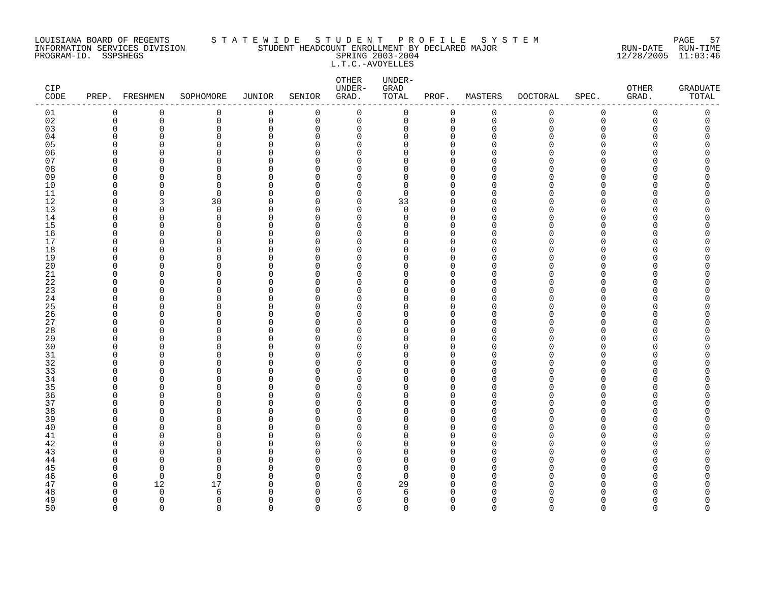#### LOUISIANA BOARD OF REGENTS S T A T E W I D E S T U D E N T P R O F I L E S Y S T E M PAGE 57 INFORMATION SERVICES DIVISION STUDENT HEADCOUNT ENROLLMENT BY DECLARED MAJOR RUN-DATE RUN-TIME PROGRAM-ID. SSPSHEGS SPRING 2003-2004 12/28/2005 11:03:46 L.T.C.-AVOYELLES

| CIP<br>$\texttt{CODE}$ |                         | PREP. FRESHMEN | SOPHOMORE     | <b>JUNIOR</b>           | SENIOR               | ${\small \texttt{OTHER}}$<br>UNDER-<br>GRAD. | UNDER-<br>GRAD<br>TOTAL | PROF.                      | MASTERS     | <b>DOCTORAL</b> | SPEC.         | OTHER<br>GRAD. | GRADUATE<br>TOTAL |
|------------------------|-------------------------|----------------|---------------|-------------------------|----------------------|----------------------------------------------|-------------------------|----------------------------|-------------|-----------------|---------------|----------------|-------------------|
| 01                     | 0                       | $\mathbf 0$    | 0             | $\mathbf 0$             | 0                    | $\mathbf 0$                                  | 0                       | 0                          | $\mathbf 0$ | 0               | $\mathbf 0$   | 0              | 0                 |
| 02                     | $\mathbf 0$             | $\mathbf 0$    | 0             | $\mathbf 0$             | 0                    | $\mathbf 0$                                  | 0                       | $\mathbf 0$                | $\mathbf 0$ | $\mathbf 0$     | $\mathbf 0$   | 0              | 0                 |
| 03                     | $\mathbf 0$             | 0              | 0             | $\mathbf 0$             | 0                    | 0                                            | 0                       | 0                          | $\Omega$    | U               | $\Omega$      | O              | C                 |
| 04                     | $\Omega$                | O              | 0             | 0                       | $\Omega$             | $\mathbf 0$                                  | 0                       | $\mathbf 0$                | n           |                 | $\Omega$      |                |                   |
| 05<br>06               | $\Omega$<br>$\Omega$    | C<br>O         | 0             | $\Omega$<br>$\Omega$    | $\Omega$<br>$\Omega$ | $\Omega$<br>$\Omega$                         | 0<br>$\Omega$           | $\Omega$<br>$\Omega$       |             |                 | ∩<br>∩        |                | ⋂                 |
| 07                     | $\Omega$                | n              | 0<br>0        | $\mathbf 0$             | $\Omega$             | 0                                            | $\Omega$                | $\Omega$                   |             |                 | ∩             |                |                   |
| 08                     | $\Omega$                | 0              | $\Omega$      | $\mathbf 0$             | $\Omega$             | 0                                            | 0                       | $\Omega$                   |             |                 | ∩             |                |                   |
| 09                     | 0                       | 0              | 0             | 0                       | $\Omega$             | 0                                            | 0                       | 0                          | ∩           |                 | O             |                |                   |
| 10                     | $\mathbf 0$             | $\Omega$       | 0             | $\Omega$                | $\Omega$             | 0                                            | 0                       | $\Omega$                   |             |                 | $\Omega$      |                |                   |
| 11                     | $\Omega$                | $\Omega$       | 0             | $\mathbf 0$             | $\Omega$             | $\mathbf 0$                                  | 0                       | $\mathbf 0$                | n           |                 | ∩             |                |                   |
| 12                     | $\Omega$                | 3              | 30            | $\Omega$                | $\Omega$             | $\Omega$                                     | 33                      | $\Omega$                   | ∩           |                 | ∩             |                |                   |
| 13                     | $\mathbf 0$             | $\Omega$       | $\mathbf 0$   | $\mathbf 0$             | 0                    | $\mathbf 0$                                  | $\mathbf 0$             | $\mathbf 0$                | n           |                 | $\Omega$      |                |                   |
| 14                     | 0                       | 0              | 0             | 0                       | 0                    | $\mathbf 0$                                  | 0                       | $\mathbf 0$                | ∩           |                 | ∩             |                |                   |
| 15                     | $\Omega$                | $\Omega$       | 0             | $\Omega$                | $\Omega$             | $\Omega$                                     | $\Omega$                | $\Omega$                   |             |                 | ∩             |                |                   |
| 16                     | $\Omega$                | O              | 0             | $\mathbf 0$             | $\Omega$             | 0                                            | 0                       | $\mathbf 0$                | ∩           |                 | ∩             |                |                   |
| 17                     | $\Omega$                | O              | 0             | $\Omega$                | $\Omega$             | $\Omega$                                     | $\Omega$                | $\Omega$                   | n           |                 | ∩             |                |                   |
| 18                     | $\mathbf 0$             | 0              | 0             | $\Omega$                | $\Omega$             | 0                                            | 0                       | $\mathbf 0$                |             |                 | $\Omega$      |                |                   |
| 19                     | $\Omega$                | 0              | 0             | $\Omega$                | $\Omega$             | 0                                            | 0                       | $\mathbf 0$                |             |                 | ∩             |                |                   |
| 20<br>21               | $\Omega$<br>$\Omega$    | 0<br>O         | 0<br>0        | $\Omega$<br>$\mathbf 0$ | $\Omega$<br>$\Omega$ | 0<br>0                                       | 0<br>0                  | $\mathbf 0$<br>$\mathbf 0$ | ∩           |                 | ∩<br>∩        |                | ⋂                 |
| 22                     | $\Omega$                | O              | 0             | $\Omega$                | $\Omega$             | 0                                            | 0                       | $\mathbf 0$                | ∩           |                 | ∩             |                |                   |
| 23                     | $\Omega$                | $\Omega$       | 0             | $\Omega$                | $\Omega$             | $\Omega$                                     | 0                       | $\mathbf 0$                | n           |                 | $\Omega$      |                |                   |
| 24                     | 0                       | 0              | 0             | 0                       | 0                    | 0                                            | 0                       | $\mathbf 0$                | U           |                 | $\Omega$      |                |                   |
| 25                     | $\Omega$                | 0              | 0             | 0                       | $\Omega$             | 0                                            | 0                       | 0                          |             |                 | ∩             |                |                   |
| 26                     | $\Omega$                | O              | $\Omega$      | $\mathbf 0$             | $\Omega$             | $\Omega$                                     | 0                       | $\Omega$                   | ∩           |                 | ∩             |                |                   |
| 27                     | $\Omega$                | O              | 0             | 0                       | $\Omega$             | 0                                            | O                       | $\mathbf 0$                | ∩           |                 | ∩             |                |                   |
| 28                     | $\Omega$                | $\Omega$       | 0             | $\Omega$                | $\Omega$             | $\Omega$                                     | $\Omega$                | $\Omega$                   |             |                 | $\cap$        |                |                   |
| 29                     | $\mathbf 0$             | 0              | 0             | $\mathbf 0$             | 0                    | 0                                            | 0                       | 0                          |             |                 | ∩             |                |                   |
| 30                     | $\Omega$                | O              | 0             | 0                       | $\Omega$             | 0                                            | 0                       | $\Omega$                   |             |                 | ∩             |                |                   |
| 31                     | $\Omega$                | 0              | 0             | 0                       | $\Omega$             | 0                                            | 0                       | $\mathbf 0$                | ∩           |                 | $\Omega$      |                |                   |
| 32                     | $\Omega$                | O              | 0             | $\Omega$                | $\Omega$             | 0                                            | 0                       | $\mathbf 0$                |             |                 | ∩             |                |                   |
| 33                     | $\Omega$<br>$\Omega$    | $\Omega$<br>O  | $\Omega$<br>0 | $\Omega$                | $\Omega$<br>0        | $\Omega$<br>0                                | $\Omega$<br>$\Omega$    | $\Omega$                   | n<br>n      |                 | $\Omega$<br>∩ |                |                   |
| 34<br>35               | $\Omega$                | O              | $\Omega$      | $\mathbf 0$<br>$\Omega$ | $\Omega$             | $\Omega$                                     | 0                       | 0<br>$\Omega$              |             |                 | ∩             |                |                   |
| 36                     | 0                       | 0              | 0             | $\Omega$                | $\Omega$             | 0                                            | 0                       | 0                          | ∩           |                 | $\Omega$      |                |                   |
| 37                     | $\Omega$                | 0              | 0             | $\Omega$                | $\Omega$             | 0                                            | 0                       | $\mathbf 0$                | n           |                 | ∩             |                |                   |
| 38                     | $\Omega$                | O              | $\Omega$      | $\Omega$                | $\Omega$             | $\Omega$                                     | $\Omega$                | $\mathbf 0$                |             |                 | ∩             |                |                   |
| 39                     | $\Omega$                | O              | $\Omega$      | $\Omega$                | $\Omega$             | $\Omega$                                     | 0                       | $\Omega$                   | ∩           |                 | ∩             |                |                   |
| 40                     | $\Omega$                | 0              | 0             | $\mathbf 0$             | $\Omega$             | 0                                            | 0                       | $\mathbf 0$                | ∩           |                 | O             |                |                   |
| 41                     | $\Omega$                | 0              | 0             | $\Omega$                | $\Omega$             | 0                                            | 0                       | $\mathbf 0$                |             |                 | ∩             |                |                   |
| 42                     | $\Omega$                | 0              | 0             | 0                       | $\Omega$             | 0                                            | 0                       | $\mathbf 0$                | n           |                 | ∩             |                |                   |
| 43                     | $\Omega$                | n              | 0             | $\mathbf 0$             | $\Omega$             | $\Omega$                                     | $\Omega$                | $\Omega$                   |             |                 | ∩             |                |                   |
| 44                     | $\Omega$                | O              | 0             | $\Omega$                | $\Omega$             | $\Omega$                                     | $\Omega$                | $\Omega$                   | n           |                 | ∩             |                |                   |
| 45                     | $\mathbf 0$             | 0              | 0             | $\mathbf 0$             | $\Omega$             | $\mathbf 0$                                  | 0                       | $\mathbf 0$                |             |                 | $\Omega$      |                |                   |
| 46                     | $\mathbf 0$             | $\mathbf 0$    | 0             | $\Omega$                | $\Omega$             | 0                                            | 0                       | $\Omega$                   | U<br>∩      |                 | ∩<br>∩        |                |                   |
| 47                     | $\mathbf 0$<br>$\Omega$ | 12<br>$\Omega$ | 17<br>6       | 0<br>$\Omega$           | 0<br>$\Omega$        | 0<br>$\Omega$                                | 29<br>6                 | 0<br>$\Omega$              |             |                 |               |                |                   |
| 48<br>49               | $\Omega$                | $\Omega$       | 0             | $\Omega$                | $\Omega$             | $\Omega$                                     | 0                       | $\mathbf 0$                | n           |                 | ∩             |                | O                 |
| 50                     | $\Omega$                | $\Omega$       | $\Omega$      | $\Omega$                | $\Omega$             | $\Omega$                                     | $\Omega$                | $\Omega$                   | $\Omega$    | $\Omega$        | $\Omega$      | $\Omega$       | $\Omega$          |
|                        |                         |                |               |                         |                      |                                              |                         |                            |             |                 |               |                |                   |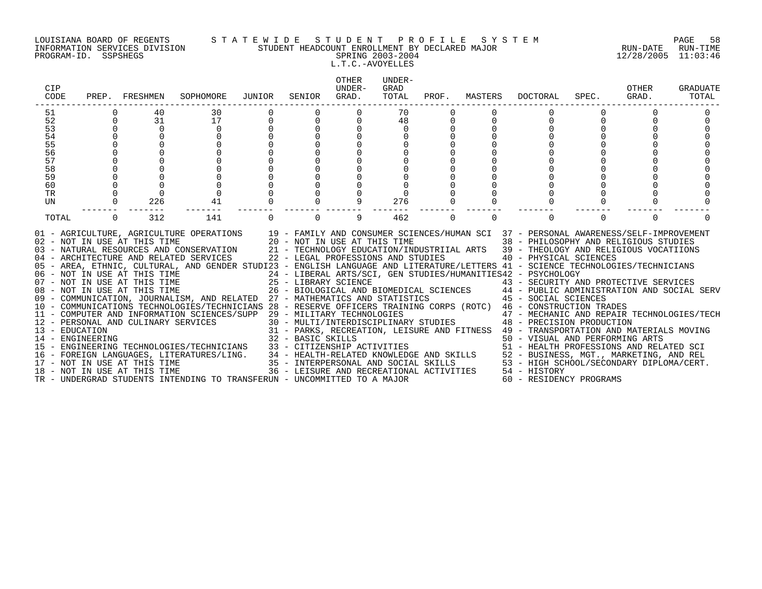#### LOUISIANA BOARD OF REGENTS S T A T E W I D E S T U D E N T P R O F I L E S Y S T E M PAGE 58 INFORMATION SERVICES DIVISION STUDENT HEADCOUNT ENROLLMENT BY DECLARED MAJOR RUN-DATE RUN-TIME PROGRAM-ID. SSPSHEGS SPRING 2003-2004 12/28/2005 11:03:46 L.T.C.-AVOYELLES

|             | SOPHOMORE                                              | JUNIOR                                   | SENIOR      | OTHER<br>UNDER-<br>GRAD. | UNDER-<br>GRAD<br>TOTAL |                                                                                                                                                                                                                                          |          | DOCTORAL      | SPEC.    | OTHER<br>GRAD.                                                                                                        | <b>GRADUATE</b><br>TOTAL                                                                                                                                                                                                                                                                                                                                                                                                                                                                                                                                                                                                                                                                                                                                                                                                                                                                                                                                                                                                                                                                                                   |
|-------------|--------------------------------------------------------|------------------------------------------|-------------|--------------------------|-------------------------|------------------------------------------------------------------------------------------------------------------------------------------------------------------------------------------------------------------------------------------|----------|---------------|----------|-----------------------------------------------------------------------------------------------------------------------|----------------------------------------------------------------------------------------------------------------------------------------------------------------------------------------------------------------------------------------------------------------------------------------------------------------------------------------------------------------------------------------------------------------------------------------------------------------------------------------------------------------------------------------------------------------------------------------------------------------------------------------------------------------------------------------------------------------------------------------------------------------------------------------------------------------------------------------------------------------------------------------------------------------------------------------------------------------------------------------------------------------------------------------------------------------------------------------------------------------------------|
|             |                                                        |                                          |             |                          | 70                      |                                                                                                                                                                                                                                          |          |               |          |                                                                                                                       |                                                                                                                                                                                                                                                                                                                                                                                                                                                                                                                                                                                                                                                                                                                                                                                                                                                                                                                                                                                                                                                                                                                            |
| 31          | 17                                                     |                                          | $\mathbf 0$ | 0                        | 48                      |                                                                                                                                                                                                                                          |          |               |          |                                                                                                                       |                                                                                                                                                                                                                                                                                                                                                                                                                                                                                                                                                                                                                                                                                                                                                                                                                                                                                                                                                                                                                                                                                                                            |
| $\mathbf 0$ | 0                                                      |                                          |             |                          | 0                       |                                                                                                                                                                                                                                          |          |               |          |                                                                                                                       |                                                                                                                                                                                                                                                                                                                                                                                                                                                                                                                                                                                                                                                                                                                                                                                                                                                                                                                                                                                                                                                                                                                            |
|             |                                                        |                                          |             |                          |                         |                                                                                                                                                                                                                                          |          |               |          |                                                                                                                       |                                                                                                                                                                                                                                                                                                                                                                                                                                                                                                                                                                                                                                                                                                                                                                                                                                                                                                                                                                                                                                                                                                                            |
|             |                                                        |                                          |             |                          |                         |                                                                                                                                                                                                                                          |          |               |          |                                                                                                                       |                                                                                                                                                                                                                                                                                                                                                                                                                                                                                                                                                                                                                                                                                                                                                                                                                                                                                                                                                                                                                                                                                                                            |
|             |                                                        |                                          |             |                          |                         |                                                                                                                                                                                                                                          |          |               |          |                                                                                                                       |                                                                                                                                                                                                                                                                                                                                                                                                                                                                                                                                                                                                                                                                                                                                                                                                                                                                                                                                                                                                                                                                                                                            |
|             |                                                        |                                          |             |                          |                         |                                                                                                                                                                                                                                          |          |               |          |                                                                                                                       |                                                                                                                                                                                                                                                                                                                                                                                                                                                                                                                                                                                                                                                                                                                                                                                                                                                                                                                                                                                                                                                                                                                            |
|             |                                                        |                                          |             |                          |                         |                                                                                                                                                                                                                                          |          |               |          |                                                                                                                       |                                                                                                                                                                                                                                                                                                                                                                                                                                                                                                                                                                                                                                                                                                                                                                                                                                                                                                                                                                                                                                                                                                                            |
|             |                                                        |                                          |             |                          |                         |                                                                                                                                                                                                                                          |          |               |          |                                                                                                                       |                                                                                                                                                                                                                                                                                                                                                                                                                                                                                                                                                                                                                                                                                                                                                                                                                                                                                                                                                                                                                                                                                                                            |
|             |                                                        |                                          |             |                          |                         |                                                                                                                                                                                                                                          |          |               |          |                                                                                                                       |                                                                                                                                                                                                                                                                                                                                                                                                                                                                                                                                                                                                                                                                                                                                                                                                                                                                                                                                                                                                                                                                                                                            |
|             |                                                        |                                          |             |                          |                         |                                                                                                                                                                                                                                          |          |               |          |                                                                                                                       |                                                                                                                                                                                                                                                                                                                                                                                                                                                                                                                                                                                                                                                                                                                                                                                                                                                                                                                                                                                                                                                                                                                            |
|             |                                                        |                                          |             |                          |                         |                                                                                                                                                                                                                                          |          |               |          |                                                                                                                       |                                                                                                                                                                                                                                                                                                                                                                                                                                                                                                                                                                                                                                                                                                                                                                                                                                                                                                                                                                                                                                                                                                                            |
| 312         | 141                                                    |                                          | $\Omega$    | 9                        | 462                     | $\Omega$                                                                                                                                                                                                                                 | $\Omega$ | $\Omega$      | $\Omega$ | $\Omega$                                                                                                              |                                                                                                                                                                                                                                                                                                                                                                                                                                                                                                                                                                                                                                                                                                                                                                                                                                                                                                                                                                                                                                                                                                                            |
|             |                                                        |                                          |             |                          |                         |                                                                                                                                                                                                                                          |          |               |          |                                                                                                                       |                                                                                                                                                                                                                                                                                                                                                                                                                                                                                                                                                                                                                                                                                                                                                                                                                                                                                                                                                                                                                                                                                                                            |
|             | PREP. FRESHMEN<br>40<br>$\mathbf 0$<br>226<br>$\Omega$ | 30<br>41<br>18 - NOT IN USE AT THIS TIME | 0           |                          | 9                       | 276<br>06 - NOT IN USE AT THIS TIME<br>07 - NOT IN USE AT THIS TIME<br>08 - NOT IN USE AT THIS TIME<br>08 - NOT IN USE AT THIS TIME<br>26 - BIOLOGICAL AND E<br>TR - UNDERGRAD STUDENTS INTENDING TO TRANSFERUN - UNCOMMITTED TO A MAJOR |          | PROF. MASTERS |          | 24 - LIBERAL ARTS/SCI, GEN STUDIES/HUMANITIES42 - PSYCHOLOGY<br>36 - LEISURE AND RECREATIONAL ACTIVITIES 54 - HISTORY | 01 - AGRICULTURE, AGRICULTURE OPERATIONS 19 - FAMILY AND CONSUMER SCIENCES/HUMAN SCI 37 - PERSONAL AWARENESS/SELF-IMPROVEMENT 102 - NOT IN USE AT THIS TIME 20 - NOT IN USE AT THIS TIME 38 - PHILOSOPHY AND RELIGIOUS STUDIES<br>05 - AREA, ETHNIC, CULTURAL, AND GENDER STUDI23 - ENGLISH LANGUAGE AND LITERATURE/LETTERS 41 - SCIENCE TECHNOLOGIES/TECHNICIANS<br>07 - NOT IN USE AT THIS TIME<br>25 - LIBRARY SCIENCE<br>26 - BIOLOGICAL AND BIOMEDICAL SCIENCES<br>26 - BIOLOGICAL AND BIOMEDICAL SCIENCES<br>26 - BIOLOGICAL AND BIOMEDICAL SCIENCES<br>26 - BIOLOGICAL AND BIOMEDICAL SCIENCES<br>26 - B<br>TRESONAL AND CULINARY SERVICES/SUPP 29 - MILITARY TECHNOLOGIES<br>12 - PERSONAL AND CULINARY SERVICES<br>30 - MULTI/INTERDISCIPLINARY STUDIES<br>31 - PARKS, RECREATION, LEISURE AND FITNESS 49 - TRANSPORTATION AND MATERIALS MOVIN<br>14 – ENGINEERING TECHNOLOGIES/TECHNICIANS 32 – BASIC SKILLS<br>15 – ENGINEERING TECHNOLOGIES/TECHNICIANS 33 – CITIZENSHIP ACTIVITIES 50 – VISUAL AND PERFORMING ARTS<br>16 – FOREIGN LANGUAGES, LITERATURES/LING. 34 – HEALTH-RELATE<br>60 - RESIDENCY PROGRAMS |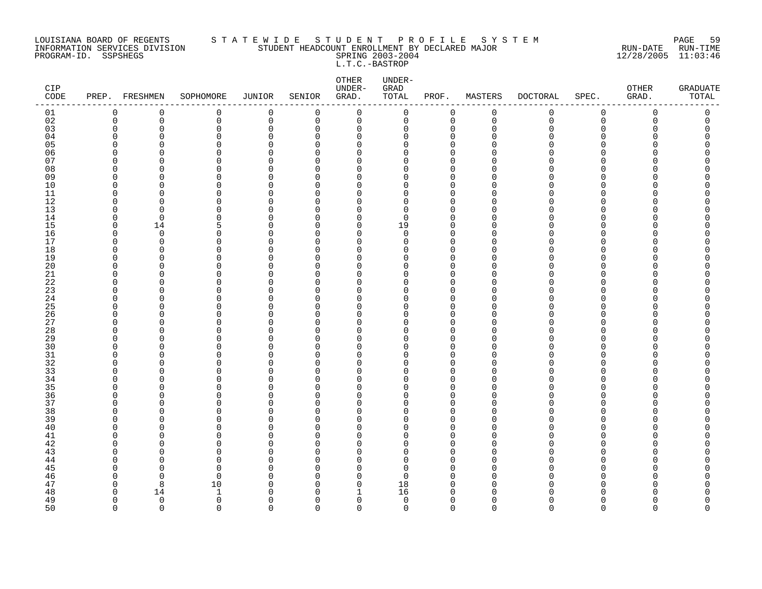#### LOUISIANA BOARD OF REGENTS S T A T E W I D E S T U D E N T P R O F I L E S Y S T E M PAGE 59 INFORMATION SERVICES DIVISION STUDENT HEADCOUNT ENROLLMENT BY DECLARED MAJOR RUN-DATE RUN-TIME PROGRAM-ID. SSPSHEGS SPRING 2003-2004 12/28/2005 11:03:46 L.T.C.-BASTROP

| CIP<br>CODE |             | PREP. FRESHMEN | SOPHOMORE    | <b>JUNIOR</b> | SENIOR   | OTHER<br>UNDER-<br>GRAD. | UNDER-<br>${\tt GRAD}$<br>TOTAL | PROF.        | MASTERS     | <b>DOCTORAL</b> | SPEC.       | OTHER<br>GRAD. | <b>GRADUATE</b><br>TOTAL |
|-------------|-------------|----------------|--------------|---------------|----------|--------------------------|---------------------------------|--------------|-------------|-----------------|-------------|----------------|--------------------------|
| 01          | 0           | 0              | 0            | $\mathbf 0$   | 0        | $\mathbf 0$              | 0                               | 0            | $\mathbf 0$ | 0               | $\mathsf 0$ | $\mathbf 0$    | 0                        |
| 02          | $\mathbf 0$ | $\mathsf 0$    | $\mathsf{O}$ | $\mathbb O$   | 0        | 0                        | $\mathsf{O}$                    | $\mathbf 0$  | $\mathbf 0$ | 0               | $\mathsf 0$ | $\mathsf{O}$   | 0                        |
| 03          | ∩           | $\Omega$       | $\Omega$     | $\mathbf 0$   | $\Omega$ | 0                        | $\Omega$                        | $\mathbf 0$  | $\cap$      | Λ               | $\Omega$    |                | $\Omega$                 |
| 04          | $\Omega$    | $\Omega$       | $\Omega$     | $\Omega$      | $\Omega$ | 0                        | 0                               | $\mathbf{0}$ |             |                 | $\Omega$    |                | $\Omega$                 |
| 05          | $\Omega$    | $\mathbf 0$    | 0            | $\Omega$      | $\Omega$ | 0                        | 0                               | $\mathbf{0}$ |             |                 | $\Omega$    |                | Λ                        |
| 06          | ∩           | $\mathbf 0$    | 0            | $\Omega$      | $\Omega$ | 0                        | U                               | $\Omega$     |             |                 | ∩           |                |                          |
| 07          | $\Omega$    | $\Omega$       | 0            | $\Omega$      | $\Omega$ | 0                        | U                               | $\mathbf 0$  | $\Omega$    |                 | $\Omega$    |                |                          |
| 08          | 0           | $\Omega$       | 0            | 0             | O        | 0                        | O                               | $\mathbf 0$  | ∩           |                 | $\Omega$    |                |                          |
| 09          | $\Omega$    | $\Omega$       | 0            | $\mathbf 0$   | $\Omega$ | 0                        | O                               | $\mathbf 0$  |             |                 | ∩           |                |                          |
| 10          | ∩           | $\Omega$       | O            | $\Omega$      | ∩        | $\Omega$                 | O                               | $\mathbf 0$  |             |                 | ∩           |                |                          |
| 11          | ∩           | $\Omega$       | 0            | $\Omega$      | $\Omega$ | $\Omega$                 | U                               | $\Omega$     | ∩           |                 | ∩           |                |                          |
| 12          | $\Omega$    | $\Omega$       | 0            | $\Omega$      | $\Omega$ | $\Omega$                 | O                               | $\mathbf 0$  | $\Omega$    |                 | ∩           |                |                          |
| 13          | $\Omega$    | $\Omega$       | 0            | $\Omega$      | $\Omega$ | 0                        | $\Omega$                        | $\mathbf 0$  | ∩           |                 | $\Omega$    |                |                          |
| 14          | $\mathbf 0$ | $\mathbf 0$    | 0            | $\Omega$      | ∩        | 0                        | $\mathbf 0$                     | $\mathbf 0$  |             |                 | $\Omega$    |                |                          |
| 15          | $\mathbf 0$ | 14             | 5            | $\Omega$      | $\Omega$ | 0                        | 19                              | $\mathbf 0$  |             |                 | ∩           |                |                          |
| 16          | 0           | $\mathbf 0$    | 0            | $\Omega$      | O        | 0                        | $\Omega$                        | $\mathbf 0$  |             |                 | ∩           |                |                          |
| 17          | $\Omega$    | $\mathbf 0$    | $\Omega$     | $\cap$        | ∩        | 0                        | O                               | $\mathbf 0$  |             |                 | ∩           |                |                          |
| 18          | $\Omega$    | $\Omega$       | $\Omega$     | $\Omega$      | $\Omega$ | $\Omega$                 | U                               | $\Omega$     | O           |                 | ∩           |                |                          |
| 19          | $\Omega$    | $\Omega$       | 0            | $\mathbf 0$   | $\Omega$ | 0                        | O                               | $\mathbf{0}$ | ∩           |                 | $\Omega$    |                |                          |
| 20          | ∩           | $\Omega$       | $\Omega$     | $\Omega$      | U        | $\Omega$                 | O                               | $\Omega$     |             |                 | ∩           |                |                          |
| 21          | $\Omega$    | $\Omega$       | 0            | $\Omega$      | $\Omega$ | 0                        | O                               | $\mathbf 0$  |             |                 | ∩           |                |                          |
| $2\sqrt{2}$ | ∩           | $\Omega$       | 0            | $\Omega$      | O        | 0                        | N                               | $\mathbf 0$  | ∩           |                 | ∩           |                |                          |
| 23          | ∩           | $\Omega$       | 0            | $\cap$        | ∩        | $\Omega$                 | U                               | $\Omega$     |             |                 | ∩           |                |                          |
| 24          | $\Omega$    | $\Omega$       | 0            | $\Omega$      | ∩        | $\Omega$                 | O                               | $\mathbf 0$  | $\Omega$    |                 | $\Omega$    |                |                          |
| 25          | $\Omega$    | $\Omega$       | 0            | $\cap$        | U        | $\Omega$                 | U                               | $\mathbf{0}$ | ∩           |                 | ∩           |                |                          |
| 26          | $\Omega$    | $\Omega$       | 0            | $\Omega$      | U        | 0                        | O                               | $\Omega$     |             |                 | ∩           |                |                          |
| $27\,$      | $\Omega$    | 0              | 0            | $\Omega$      | $\Omega$ | 0                        | O                               | $\mathbf 0$  | ∩           |                 | ∩           |                |                          |
| 28          | ∩           | $\Omega$       | 0            | $\Omega$      | $\Omega$ | $\Omega$                 | U                               | $\Omega$     | ∩           |                 | ∩           |                |                          |
| 29          | $\Omega$    | $\Omega$       | 0            | $\Omega$      | $\Omega$ | 0                        | N                               | $\mathbf 0$  | ∩           |                 | $\Omega$    |                |                          |
| 30          | $\Omega$    | $\Omega$       | 0            | $\Omega$      | ∩        | 0                        | O                               | $\mathbf 0$  | O           |                 | ∩           |                |                          |
| 31          | $\Omega$    | $\Omega$       | $\Omega$     | $\Omega$      | O        | $\Omega$                 | O                               | $\mathbf{0}$ | O           |                 | $\Omega$    |                |                          |
| 32          | $\Omega$    | $\Omega$       | 0            | $\Omega$      | $\Omega$ | $\Omega$                 | O                               | $\mathbf 0$  | O           |                 | ∩           |                |                          |
| 33          | ∩           | $\Omega$       | 0            | $\Omega$      | ∩        | $\Omega$                 | U                               | $\Omega$     |             |                 | ∩           |                |                          |
| 34          | $\Omega$    | $\Omega$       | 0            | $\Omega$      | $\Omega$ | 0                        | O                               | $\mathbf 0$  | $\Omega$    |                 | $\Omega$    |                |                          |
| 35          | $\Omega$    | $\Omega$       | 0            | $\Omega$      | $\Omega$ | 0                        | O                               | $\mathbf 0$  | ∩           |                 | $\Omega$    |                |                          |
| 36          | $\Omega$    | $\mathbf 0$    | 0            | $\Omega$      | $\Omega$ | 0                        | 0                               | $\mathbf 0$  | ∩           |                 | $\Omega$    |                |                          |
| 37          | $\Omega$    | $\Omega$       | 0            | $\Omega$      | ∩        | $\Omega$                 | O                               | $\mathbf 0$  | $\cap$      |                 | $\cap$      |                |                          |
| 38          | ∩           | $\Omega$       | $\Omega$     | $\Omega$      | ∩        | $\Omega$                 | O                               | $\mathbf 0$  | ∩           |                 | ∩           |                |                          |
| 39          | ∩           | $\Omega$       | $\Omega$     | $\Omega$      | $\Omega$ | $\Omega$                 | U                               | $\mathbf 0$  | $\Omega$    |                 | ∩           |                |                          |
| 40          | ∩           | $\Omega$       | 0            | $\Omega$      | ∩        | 0                        | O                               | $\mathbf 0$  | O           |                 | ∩           |                |                          |
| 41          | $\Omega$    | $\Omega$       | 0            | $\Omega$      | $\Omega$ | 0                        | 0                               | $\mathbf 0$  | ∩           |                 | $\Omega$    |                |                          |
| $4\,2$      | $\Omega$    | $\Omega$       | 0            | $\Omega$      | ∩        | 0                        | 0                               | $\mathbf 0$  | O           |                 | ∩           |                |                          |
| 43          | ∩           | $\Omega$       | 0            | $\Omega$      | ∩        | $\Omega$                 | O                               | $\Omega$     |             |                 | ∩           |                |                          |
| 44          | ∩           | $\Omega$       | 0            | $\Omega$      | $\Omega$ | 0                        | O                               | $\mathbf 0$  | ∩           |                 | ∩           |                |                          |
| 45          | ∩           | $\Omega$       | $\Omega$     | $\cap$        | ∩        | $\Omega$                 | O                               | $\Omega$     |             |                 | ∩           |                |                          |
| 46          | $\Omega$    | $\Omega$       | 0            | $\cap$        | $\Omega$ | 0                        | O                               | $\Omega$     |             |                 | $\Omega$    |                |                          |
| 47          | ∩           | 8              | 10           |               | U        | 0                        | 18                              | $\Omega$     |             |                 |             |                |                          |
| $4\,8$      | $\Omega$    | 14             | 1            | $\Omega$      | $\Omega$ |                          | 16                              | $\mathbf 0$  |             |                 | ∩           |                | 0                        |
| 49          | $\mathbf 0$ | $\mathbf 0$    | $\mathbf 0$  | $\mathbf 0$   | 0        | 0                        | 0                               | $\mathbf 0$  | $\mathbf 0$ | $\Omega$        | $\Omega$    | $\Omega$       | 0                        |

50 0 0 0 0 0 0 0 0 0 0 0 0 0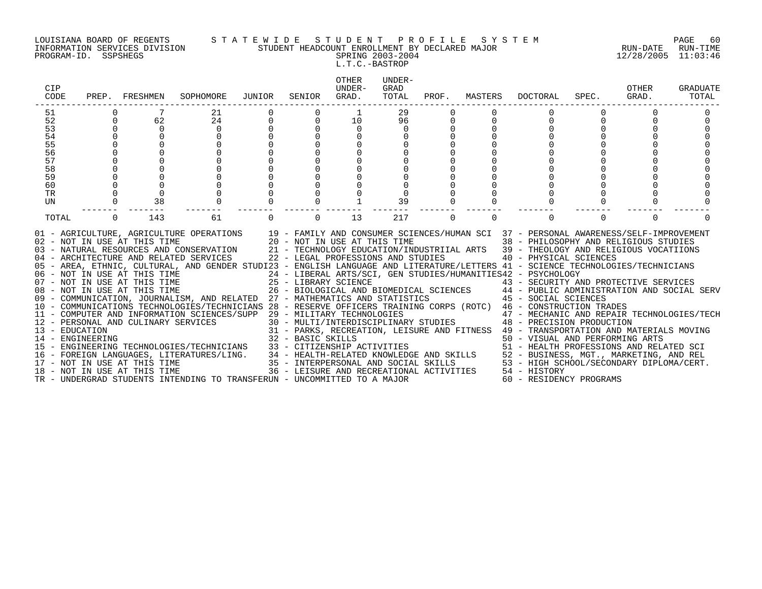#### LOUISIANA BOARD OF REGENTS S T A T E W I D E S T U D E N T P R O F I L E S Y S T E M PAGE 60 INFORMATION SERVICES DIVISION STUDENT HEADCOUNT ENROLLMENT BY DECLARED MAJOR RUN-DATE RUN-TIME

## PROGRAM-ID. SSPSHEGS SPRING 2003-2004 12/28/2005 11:03:46 L.T.C.-BASTROP

| CIP<br>CODE    |          | PREP. FRESHMEN                                                                               | SOPHOMORE                                                                                                                                                                                                                                                                                                                                                                                                                                                                                                                                                                                                                                                                                                                                                                                                                                                                                                                                                                                                                                                                                      | JUNIOR | SENIOR   | <b>OTHER</b><br>UNDER-<br>GRAD.                                                                                              | UNDER-<br>GRAD<br>TOTAL | PROF.    | MASTERS  | DOCTORAL                                                                                                                                                                                                                                                                                                                                                                                                                                                                                                                                                                                                                                      | SPEC.    | OTHER<br>GRAD. | GRADUATE<br>TOTAL |
|----------------|----------|----------------------------------------------------------------------------------------------|------------------------------------------------------------------------------------------------------------------------------------------------------------------------------------------------------------------------------------------------------------------------------------------------------------------------------------------------------------------------------------------------------------------------------------------------------------------------------------------------------------------------------------------------------------------------------------------------------------------------------------------------------------------------------------------------------------------------------------------------------------------------------------------------------------------------------------------------------------------------------------------------------------------------------------------------------------------------------------------------------------------------------------------------------------------------------------------------|--------|----------|------------------------------------------------------------------------------------------------------------------------------|-------------------------|----------|----------|-----------------------------------------------------------------------------------------------------------------------------------------------------------------------------------------------------------------------------------------------------------------------------------------------------------------------------------------------------------------------------------------------------------------------------------------------------------------------------------------------------------------------------------------------------------------------------------------------------------------------------------------------|----------|----------------|-------------------|
| 51             |          | 7                                                                                            | 21                                                                                                                                                                                                                                                                                                                                                                                                                                                                                                                                                                                                                                                                                                                                                                                                                                                                                                                                                                                                                                                                                             |        |          | 1                                                                                                                            | 29                      |          |          |                                                                                                                                                                                                                                                                                                                                                                                                                                                                                                                                                                                                                                               |          |                |                   |
| 52             | 0        | 62                                                                                           | 24                                                                                                                                                                                                                                                                                                                                                                                                                                                                                                                                                                                                                                                                                                                                                                                                                                                                                                                                                                                                                                                                                             |        | $\Omega$ | 10                                                                                                                           | 96                      | 0        |          | $\mathbf 0$                                                                                                                                                                                                                                                                                                                                                                                                                                                                                                                                                                                                                                   |          | $\mathbf 0$    |                   |
| 53             | 0        | $\mathsf{O}$                                                                                 | $\Omega$                                                                                                                                                                                                                                                                                                                                                                                                                                                                                                                                                                                                                                                                                                                                                                                                                                                                                                                                                                                                                                                                                       |        |          | $\mathsf{O}$                                                                                                                 | $\Omega$                |          |          |                                                                                                                                                                                                                                                                                                                                                                                                                                                                                                                                                                                                                                               |          |                |                   |
| 54             |          |                                                                                              |                                                                                                                                                                                                                                                                                                                                                                                                                                                                                                                                                                                                                                                                                                                                                                                                                                                                                                                                                                                                                                                                                                |        |          |                                                                                                                              |                         |          |          |                                                                                                                                                                                                                                                                                                                                                                                                                                                                                                                                                                                                                                               |          |                |                   |
|                |          |                                                                                              |                                                                                                                                                                                                                                                                                                                                                                                                                                                                                                                                                                                                                                                                                                                                                                                                                                                                                                                                                                                                                                                                                                |        |          |                                                                                                                              |                         |          |          |                                                                                                                                                                                                                                                                                                                                                                                                                                                                                                                                                                                                                                               |          |                |                   |
| 55<br>56<br>57 |          |                                                                                              |                                                                                                                                                                                                                                                                                                                                                                                                                                                                                                                                                                                                                                                                                                                                                                                                                                                                                                                                                                                                                                                                                                |        |          |                                                                                                                              |                         |          |          |                                                                                                                                                                                                                                                                                                                                                                                                                                                                                                                                                                                                                                               |          |                |                   |
| 58             |          |                                                                                              |                                                                                                                                                                                                                                                                                                                                                                                                                                                                                                                                                                                                                                                                                                                                                                                                                                                                                                                                                                                                                                                                                                |        |          |                                                                                                                              |                         |          |          |                                                                                                                                                                                                                                                                                                                                                                                                                                                                                                                                                                                                                                               |          |                |                   |
| 59             |          |                                                                                              |                                                                                                                                                                                                                                                                                                                                                                                                                                                                                                                                                                                                                                                                                                                                                                                                                                                                                                                                                                                                                                                                                                |        |          |                                                                                                                              |                         |          |          |                                                                                                                                                                                                                                                                                                                                                                                                                                                                                                                                                                                                                                               |          |                |                   |
| 60             |          |                                                                                              |                                                                                                                                                                                                                                                                                                                                                                                                                                                                                                                                                                                                                                                                                                                                                                                                                                                                                                                                                                                                                                                                                                |        |          |                                                                                                                              |                         |          |          |                                                                                                                                                                                                                                                                                                                                                                                                                                                                                                                                                                                                                                               |          |                |                   |
| <b>TR</b>      |          | $\Omega$                                                                                     |                                                                                                                                                                                                                                                                                                                                                                                                                                                                                                                                                                                                                                                                                                                                                                                                                                                                                                                                                                                                                                                                                                |        |          |                                                                                                                              |                         |          |          |                                                                                                                                                                                                                                                                                                                                                                                                                                                                                                                                                                                                                                               |          |                |                   |
| UN             |          | 38                                                                                           |                                                                                                                                                                                                                                                                                                                                                                                                                                                                                                                                                                                                                                                                                                                                                                                                                                                                                                                                                                                                                                                                                                |        |          |                                                                                                                              | 39                      |          |          |                                                                                                                                                                                                                                                                                                                                                                                                                                                                                                                                                                                                                                               |          |                |                   |
|                |          |                                                                                              |                                                                                                                                                                                                                                                                                                                                                                                                                                                                                                                                                                                                                                                                                                                                                                                                                                                                                                                                                                                                                                                                                                |        |          |                                                                                                                              |                         |          |          |                                                                                                                                                                                                                                                                                                                                                                                                                                                                                                                                                                                                                                               |          |                |                   |
| TOTAL          | $\Omega$ | 143                                                                                          | 61                                                                                                                                                                                                                                                                                                                                                                                                                                                                                                                                                                                                                                                                                                                                                                                                                                                                                                                                                                                                                                                                                             |        | $\Omega$ | 13                                                                                                                           | 217                     | $\Omega$ | $\Omega$ | $\Omega$                                                                                                                                                                                                                                                                                                                                                                                                                                                                                                                                                                                                                                      | $\Omega$ | $\Omega$       |                   |
|                |          | 08 - NOT IN USE AT THIS TIME<br>17 - NOT IN USE AT THIS TIME<br>18 - NOT IN USE AT THIS TIME | 01 - AGRICULTURE, AGRICULTURE OPERATIONS 19 - FAMILY AND CONSUMER SCIENCES/HUMAN SCI 37 - PERSONAL AWARENESS/SELF-IMPROVEMENT 102 - NOT IN USE AT THIS TIME 20 - NOT IN USE AT THIS TIME 38 - PHILOSOPHY AND RELIGIOUS STUDIES<br>05 - AREA, ETHNIC, CULTURAL, AND GENDER STUDI23 - ENGLISH LANGUAGE AND LITERATURE/LETTERS 41 - SCIENCE TECHNOLOGIES/TECHNICIANS<br>06 - NOT IN USE AT THIS TIME<br>07 - NOT IN USE AT THIS TIME<br>09 - COMMUNICATION, JOURNALISM, AND RELATED 27 - MATHEMATICS AND STATISTICS<br>10 - COMMUNICATIONS TECHNOLOGIES/TECHNICIANS 28 - RESERVE OFFICERS TRAINING CORPS (ROTC) 46 - CONSTRUCTION TRADES<br>11 - COMPUTER AND INFORMATION SCIENCES/SUPP 29 - MILITARY TECHNOLOGIES<br>12 - PERSONAL AND CULINARY SERVICES<br>13 - EDUCATION 14 - ENGINEERING 15 - ENGINEERING 15 - ENGINEERING 15 - ENGINEERING 15 - ENGINEERING 15 - ENGINEERING 15 - ENGINEERING 15 - ENGINEERING TECHNOLOGIES/TECHNICIANS 33 - CITIZENSHIP ACTIVITIES<br>16 - FOREIGN LANGUAGES, LITERATURES/LING.<br>TR - UNDERGRAD STUDENTS INTENDING TO TRANSFERUN - UNCOMMITTED TO A MAJOR |        |          | 34 - HEALTH-RELATED KNOWLEDGE AND SKILLS<br>35 - INTERPERSONAL AND SOCIAL SKILLS<br>36 - LEISURE AND RECREATIONAL ACTIVITIES |                         |          |          | 24 - LIBERAL ARTS/SCI, GEN STUDIES/HUMANITIES42 - PSYCHOLOGY<br>25 - LIBRARY SCIENCE<br>26 - BIOLOGICAL AND BIOMEDICAL SCIENCES 44 - PUBLIC ADMINISTRATION AND SOCIAL SERV<br>27 - MATHEMATICS AND STATISTICS 45 - SOCIAL SCIENCES<br>29 - MILITARY TECHNOLOGIES<br>30 - MULTI/INTERDISCIPLINARY STUDIES<br>48 - PRECISION PRODUCTION<br>31 - PARKS, RECREATION, LEISURE AND FITNESS 49 - TRANSPORTATION AND MATERIALS MOVING<br>50 - VISUAL AND PERFORMING ARTS<br>51 - HEALTH PROFESSIONS AND RELATED SCI<br>52 - BUSINESS, MGT., MARKETING, AND REL<br>53 - HIGH SCHOOL/SECONDARY DIPLOMA/CERT.<br>54 - HISTORY<br>60 - RESIDENCY PROGRAMS |          |                |                   |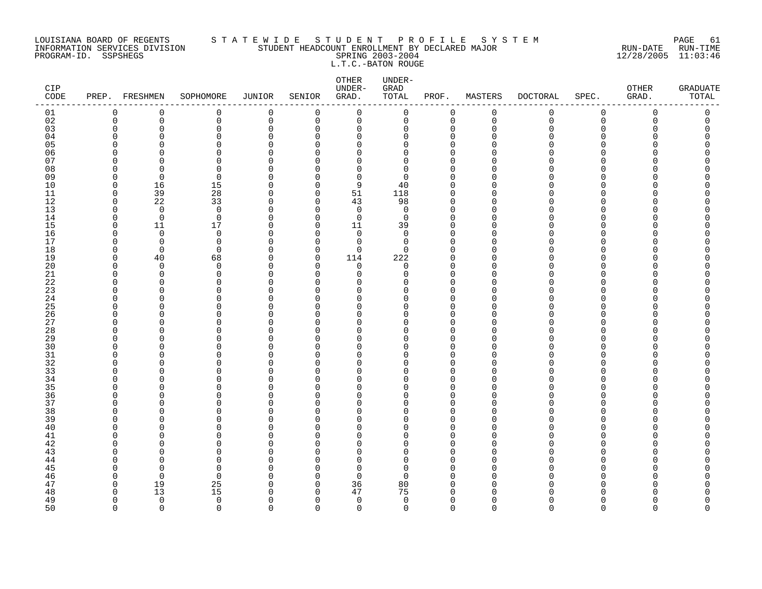#### LOUISIANA BOARD OF REGENTS S T A T E W I D E S T U D E N T P R O F I L E S Y S T E M PAGE 61 INFORMATION SERVICES DIVISION STUDENT HEADCOUNT ENROLLMENT BY DECLARED MAJOR RUN-DATE RUN-TIME PROGRAM-ID. SSPSHEGS SPRING 2003-2004 12/28/2005 11:03:46 L.T.C.-BATON ROUGE

| CIP<br>$\texttt{CODE}$ | PREP.                | FRESHMEN                | SOPHOMORE               | <b>JUNIOR</b>           | SENIOR               | OTHER<br>UNDER-<br>GRAD. | UNDER-<br>GRAD<br>TOTAL | PROF.                      | MASTERS              | <b>DOCTORAL</b> | SPEC.                | OTHER<br>GRAD. | <b>GRADUATE</b><br>TOTAL |
|------------------------|----------------------|-------------------------|-------------------------|-------------------------|----------------------|--------------------------|-------------------------|----------------------------|----------------------|-----------------|----------------------|----------------|--------------------------|
| 01                     | 0                    | 0                       | 0                       | $\mathbf 0$             | 0                    | $\mathbf 0$              | $\mathsf{O}$            | 0                          | $\mathbf 0$          | $\mathbf 0$     | $\mathbf 0$          | $\mathbf 0$    | $\mathsf 0$              |
| 02                     | 0                    | 0                       | 0                       | $\mathbf 0$             | 0                    | 0                        | 0                       | $\mathbf 0$                | $\mathbf 0$          | 0               | 0                    | 0              | 0                        |
| 03                     | 0                    | $\Omega$                | 0                       | 0                       | 0                    | 0                        | 0                       | $\mathbf 0$                | $\Omega$             | O               | $\mathbf 0$          | U              | 0                        |
| 04                     | $\Omega$             | $\Omega$                | 0                       | $\Omega$                | $\Omega$             | $\Omega$                 | $\Omega$                | $\Omega$                   | $\Omega$             |                 | U                    |                |                          |
| 05                     | $\Omega$<br>$\Omega$ | $\Omega$<br>$\cap$      | 0<br>$\Omega$           | $\Omega$<br>$\mathbf 0$ | $\Omega$<br>∩        | $\Omega$<br>$\Omega$     | O<br>0                  | $\mathbf 0$<br>$\mathbf 0$ | $\Omega$<br>∩        |                 | $\Omega$<br>$\Omega$ |                | O                        |
| 06<br>07               | ∩                    | $\cap$                  | 0                       | 0                       | ∩                    | $\Omega$                 | O                       | 0                          | ∩                    |                 | O                    |                |                          |
| 08                     | $\Omega$             | $\Omega$                | 0                       | $\Omega$                | $\Omega$             | $\Omega$                 | $\Omega$                | $\Omega$                   | $\Omega$             |                 | U                    |                |                          |
| 09                     | $\Omega$             | $\Omega$                | $\mathbf 0$             | 0                       | $\Omega$             | 0                        | $\Omega$                | $\mathbf 0$                | $\Omega$             |                 | O                    |                |                          |
| 10                     | $\mathbf 0$          | 16                      | 15                      | $\mathbf 0$             | $\Omega$             | 9                        | 40                      | $\mathbf 0$                | $\Omega$             |                 | $\Omega$             |                |                          |
| 11                     | $\mathbf 0$          | 39                      | $2\,8$                  | $\mathbf 0$             | 0                    | 51                       | 118                     | $\mathbf 0$                | $\Omega$             |                 | $\Omega$             |                | O                        |
| 12                     | $\Omega$             | 22                      | 33                      | 0                       | 0                    | 43                       | 98                      | $\Omega$                   | ∩                    |                 | U                    |                |                          |
| 13                     | $\Omega$             | $\overline{0}$          | $\mathbf 0$             | $\mathbf 0$             | $\Omega$             | 0                        | $\mathbf 0$             | $\mathbf 0$                | $\Omega$             |                 | $\Omega$             |                |                          |
| 14                     | 0                    | $\mathbf 0$             | $\mathbf 0$             | 0                       | $\Omega$             | 0                        | $\mathbf 0$             | $\mathbf 0$                | $\Omega$             |                 | O                    |                |                          |
| 15                     | $\Omega$             | 11                      | 17                      | $\mathbf 0$             | $\Omega$             | 11                       | 39                      | $\Omega$                   | $\Omega$             |                 | $\Omega$             |                |                          |
| 16                     | 0                    | $\mathbf 0$             | $\mathbf 0$             | $\mathbf 0$             | $\Omega$             | 0                        | $\mathbf 0$             | $\mathbf 0$                | $\Omega$             |                 | $\Omega$             |                |                          |
| 17                     | <sup>0</sup>         | $\Omega$                | $\mathbf 0$             | $\Omega$                | $\Omega$             | 0                        | $\Omega$                | $\Omega$                   | ∩                    |                 | U                    |                |                          |
| 18                     | 0                    | $\mathbf 0$             | $\mathbf 0$             | $\mathbf 0$             | 0                    | 0                        | 0                       | $\mathbf 0$                | $\Omega$             |                 | $\Omega$             |                |                          |
| 19                     | $\mathbf 0$          | 40                      | 68                      | 0                       | $\Omega$             | 114                      | 222                     | $\mathbf 0$                | $\Omega$             |                 | U                    |                |                          |
| 20<br>21               | $\Omega$<br>$\Omega$ | $\Omega$<br>$\Omega$    | 0<br>$\mathbf 0$        | $\Omega$                | $\Omega$<br>$\Omega$ | $\Omega$<br>$\Omega$     | $\Omega$<br>$\Omega$    | $\Omega$<br>$\mathbf 0$    | $\Omega$<br>$\Omega$ |                 | $\Omega$<br>$\Omega$ |                |                          |
| 22                     | $\Omega$             | $\Omega$                | 0                       | $\mathbf 0$<br>0        | $\Omega$             | $\Omega$                 | O                       | $\mathbf 0$                | <sup>0</sup>         |                 | O                    |                |                          |
| 23                     | $\Omega$             | $\Omega$                | 0                       | $\mathbf 0$             | ∩                    | $\Omega$                 | O                       | $\mathbf 0$                | ∩                    |                 | O                    |                |                          |
| 24                     | $\Omega$             | $\Omega$                | 0                       | $\Omega$                | ∩                    | $\Omega$                 | $\Omega$                | $\Omega$                   | $\Omega$             |                 | $\Omega$             |                |                          |
| 25                     | $\Omega$             | $\Omega$                | 0                       | $\Omega$                | ∩                    | $\Omega$                 | O                       | $\Omega$                   | $\Omega$             |                 | U                    |                |                          |
| 26                     | $\Omega$             | $\Omega$                | 0                       | $\mathbf 0$             | $\Omega$             | $\Omega$                 | $\Omega$                | $\mathbf{0}$               | $\Omega$             |                 | $\Omega$             |                |                          |
| 27                     | $\Omega$             | O                       | 0                       | 0                       | ∩                    | 0                        | O                       | 0                          | <sup>0</sup>         |                 | O                    |                |                          |
| 28                     | $\Omega$             | $\Omega$                | 0                       | $\mathbf 0$             | ∩                    | $\Omega$                 | O                       | $\Omega$                   | $\Omega$             |                 | O                    |                |                          |
| 29                     | $\Omega$             | $\Omega$                | 0                       | $\Omega$                | ∩                    | $\Omega$                 | O                       | $\mathbf 0$                | $\Omega$             |                 | $\Omega$             |                |                          |
| 30                     | $\Omega$             | $\cap$                  | 0                       | $\Omega$                | ∩                    | $\Omega$                 | U                       | $\Omega$                   | ∩                    |                 | U                    |                |                          |
| $31$                   | $\Omega$             | $\Omega$                | 0                       | $\mathbf 0$             | $\Omega$             | $\Omega$                 | O                       | $\mathbf 0$                | $\Omega$             |                 | $\Omega$             |                | O                        |
| 32                     | $\Omega$             | O                       | 0                       | 0                       | ∩                    | $\Omega$                 | O                       | $\mathbf 0$                | $\Omega$             |                 | O                    |                |                          |
| 33                     | $\Omega$             | $\Omega$                | 0                       | $\mathbf 0$             | U                    | $\Omega$                 | O                       | $\Omega$                   | $\Omega$<br>∩        |                 | $\Omega$             |                |                          |
| 34<br>35               | $\Omega$<br>$\Omega$ | $\Omega$<br>n           | 0<br>0                  | $\mathbf 0$<br>$\Omega$ | $\Omega$<br>∩        | $\Omega$<br>$\Omega$     | O<br>O                  | $\mathbf 0$<br>$\Omega$    |                      |                 | $\Omega$<br>U        |                |                          |
| 36                     | 0                    | $\Omega$                | 0                       | $\mathbf 0$             | $\Omega$             | $\Omega$                 | 0                       | $\mathbf 0$                | $\Omega$             |                 | $\mathbf 0$          |                |                          |
| 37                     | $\Omega$             | $\Omega$                | 0                       | 0                       | ∩                    | $\Omega$                 | O                       | $\Omega$                   | $\Omega$             |                 | U                    |                |                          |
| 38                     | $\Omega$             | $\Omega$                | 0                       | $\Omega$                | ∩                    | $\Omega$                 | O                       | $\Omega$                   | $\Omega$             |                 | U                    |                |                          |
| 39                     | $\Omega$             | $\Omega$                | 0                       | $\Omega$                | ∩                    | $\Omega$                 | O                       | $\Omega$                   | $\Omega$             |                 | $\Omega$             |                |                          |
| 40                     | $\Omega$             | n                       | 0                       | $\Omega$                | $\Omega$             | $\Omega$                 | O                       | $\Omega$                   | $\Omega$             |                 | $\Omega$             |                |                          |
| 41                     | <sup>0</sup>         | O                       | 0                       | $\mathbf 0$             | O                    | 0                        | 0                       | $\mathbf{0}$               | <sup>0</sup>         |                 | $\Omega$             |                |                          |
| 42                     | $\Omega$             | $\Omega$                | 0                       | 0                       | $\Omega$             | $\Omega$                 | 0                       | $\mathbf 0$                | $\Omega$             |                 | O                    |                |                          |
| 43                     | ∩                    | n                       | O                       | $\Omega$                | ∩                    | $\Omega$                 | U                       | $\Omega$                   | ∩                    |                 | U                    |                |                          |
| 44                     | $\Omega$             | $\Omega$                | $\Omega$                | $\Omega$                | ∩                    | $\Omega$                 | O                       | $\Omega$                   | $\Omega$             |                 | $\Omega$             |                |                          |
| 45                     | $\Omega$             | $\Omega$                | $\Omega$                | $\Omega$                | ∩                    | $\Omega$                 | $\Omega$                | $\Omega$                   | $\Omega$             |                 | U                    |                |                          |
| 46                     | $\Omega$             | $\mathbf 0$             | $\mathbf 0$             | 0                       | $\Omega$             | $\Omega$                 | $\Omega$                | $\Omega$                   | $\Omega$             |                 | O                    |                |                          |
| 47                     | 0                    | 19                      | 25                      | 0                       | 0                    | 36                       | 80                      | 0                          | ∩                    |                 | O                    |                |                          |
| 48                     | $\Omega$             | 13                      | 15                      | $\Omega$                | $\Omega$             | 47                       | 75                      | $\Omega$                   |                      |                 |                      |                |                          |
| 49<br>50               | $\Omega$<br>$\Omega$ | $\mathbf 0$<br>$\Omega$ | $\mathbf 0$<br>$\Omega$ | $\Omega$<br>$\Omega$    | $\Omega$<br>$\Omega$ | 0<br>$\Omega$            | $\mathbf 0$<br>$\Omega$ | $\mathbf 0$<br>$\Omega$    | $\Omega$<br>$\Omega$ | U<br>$\cap$     | $\Omega$<br>$\cap$   | U<br>$\cap$    | O<br>$\Omega$            |
|                        |                      |                         |                         |                         |                      |                          |                         |                            |                      |                 |                      |                |                          |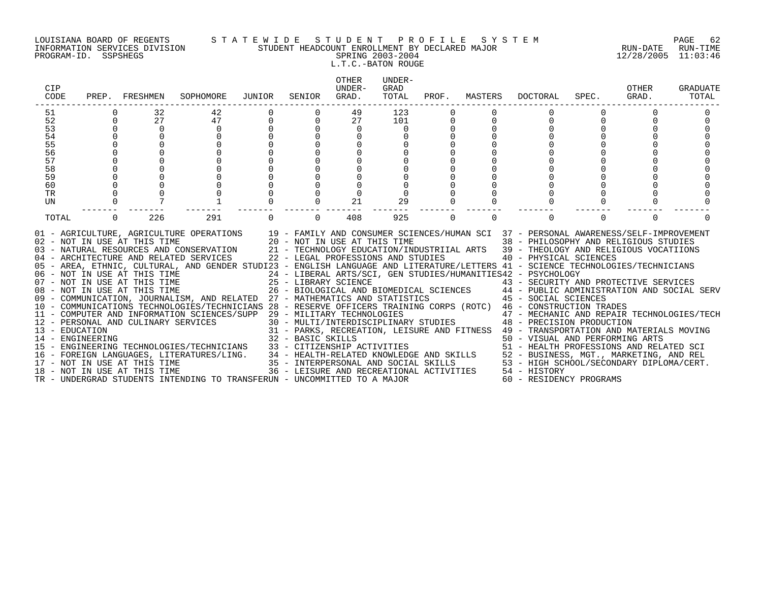#### LOUISIANA BOARD OF REGENTS S T A T E W I D E S T U D E N T P R O F I L E S Y S T E M PAGE 62 INFORMATION SERVICES DIVISION STUDENT HEADCOUNT ENROLLMENT BY DECLARED MAJOR RUN-DATE RUN-TIME PROGRAM-ID. SSPSHEGS SPRING 2003-2004 12/28/2005 11:03:46 L.T.C.-BATON ROUGE

| CIP<br>CODE                        | PREP.       | FRESHMEN                                                     | SOPHOMORE                                                                                                                                                                                                                                                                                                                                                                                                                                                                                                                                                                                                                                                                                                                                                                                                                                                                                                                                                                                                                                                                                  | JUNIOR      | SENIOR                                                                                                                   | OTHER<br>UNDER-<br>GRAD. | UNDER-<br>GRAD<br>TOTAL | PROF.    | MASTERS     | <b>DOCTORAL</b>                                                                                                                                                                                                                                                                                                                                                                                                                                                                                                                                                                                                                                                                                                     | SPEC.    | OTHER<br>GRAD. | GRADUATE<br>TOTAL |
|------------------------------------|-------------|--------------------------------------------------------------|--------------------------------------------------------------------------------------------------------------------------------------------------------------------------------------------------------------------------------------------------------------------------------------------------------------------------------------------------------------------------------------------------------------------------------------------------------------------------------------------------------------------------------------------------------------------------------------------------------------------------------------------------------------------------------------------------------------------------------------------------------------------------------------------------------------------------------------------------------------------------------------------------------------------------------------------------------------------------------------------------------------------------------------------------------------------------------------------|-------------|--------------------------------------------------------------------------------------------------------------------------|--------------------------|-------------------------|----------|-------------|---------------------------------------------------------------------------------------------------------------------------------------------------------------------------------------------------------------------------------------------------------------------------------------------------------------------------------------------------------------------------------------------------------------------------------------------------------------------------------------------------------------------------------------------------------------------------------------------------------------------------------------------------------------------------------------------------------------------|----------|----------------|-------------------|
| 51                                 |             | 32                                                           | 42                                                                                                                                                                                                                                                                                                                                                                                                                                                                                                                                                                                                                                                                                                                                                                                                                                                                                                                                                                                                                                                                                         |             |                                                                                                                          | 49                       | 123                     |          |             |                                                                                                                                                                                                                                                                                                                                                                                                                                                                                                                                                                                                                                                                                                                     |          |                |                   |
| 52                                 | $\mathbf 0$ | 27                                                           | 47                                                                                                                                                                                                                                                                                                                                                                                                                                                                                                                                                                                                                                                                                                                                                                                                                                                                                                                                                                                                                                                                                         | $\mathbf 0$ | $\mathbf 0$                                                                                                              | 27                       | 101                     | 0        | $\mathbf 0$ | 0                                                                                                                                                                                                                                                                                                                                                                                                                                                                                                                                                                                                                                                                                                                   | $\Omega$ | 0              |                   |
| 53                                 | $\Omega$    | $\mathbf 0$                                                  | $\mathbf 0$                                                                                                                                                                                                                                                                                                                                                                                                                                                                                                                                                                                                                                                                                                                                                                                                                                                                                                                                                                                                                                                                                |             |                                                                                                                          | 0                        | 0                       |          |             |                                                                                                                                                                                                                                                                                                                                                                                                                                                                                                                                                                                                                                                                                                                     |          |                |                   |
| 54                                 | $\Omega$    |                                                              |                                                                                                                                                                                                                                                                                                                                                                                                                                                                                                                                                                                                                                                                                                                                                                                                                                                                                                                                                                                                                                                                                            |             |                                                                                                                          |                          |                         |          |             |                                                                                                                                                                                                                                                                                                                                                                                                                                                                                                                                                                                                                                                                                                                     |          |                |                   |
| 55                                 |             |                                                              |                                                                                                                                                                                                                                                                                                                                                                                                                                                                                                                                                                                                                                                                                                                                                                                                                                                                                                                                                                                                                                                                                            |             |                                                                                                                          |                          |                         |          |             |                                                                                                                                                                                                                                                                                                                                                                                                                                                                                                                                                                                                                                                                                                                     |          |                |                   |
| 56<br>57                           |             |                                                              |                                                                                                                                                                                                                                                                                                                                                                                                                                                                                                                                                                                                                                                                                                                                                                                                                                                                                                                                                                                                                                                                                            |             |                                                                                                                          |                          |                         |          |             |                                                                                                                                                                                                                                                                                                                                                                                                                                                                                                                                                                                                                                                                                                                     |          |                |                   |
| 58                                 |             |                                                              |                                                                                                                                                                                                                                                                                                                                                                                                                                                                                                                                                                                                                                                                                                                                                                                                                                                                                                                                                                                                                                                                                            |             |                                                                                                                          |                          |                         |          |             |                                                                                                                                                                                                                                                                                                                                                                                                                                                                                                                                                                                                                                                                                                                     |          |                |                   |
| 59                                 |             |                                                              |                                                                                                                                                                                                                                                                                                                                                                                                                                                                                                                                                                                                                                                                                                                                                                                                                                                                                                                                                                                                                                                                                            |             |                                                                                                                          |                          |                         |          |             |                                                                                                                                                                                                                                                                                                                                                                                                                                                                                                                                                                                                                                                                                                                     |          |                |                   |
| 60                                 |             |                                                              |                                                                                                                                                                                                                                                                                                                                                                                                                                                                                                                                                                                                                                                                                                                                                                                                                                                                                                                                                                                                                                                                                            |             |                                                                                                                          |                          |                         |          |             |                                                                                                                                                                                                                                                                                                                                                                                                                                                                                                                                                                                                                                                                                                                     |          |                |                   |
| <b>TR</b>                          |             |                                                              |                                                                                                                                                                                                                                                                                                                                                                                                                                                                                                                                                                                                                                                                                                                                                                                                                                                                                                                                                                                                                                                                                            |             |                                                                                                                          |                          |                         |          |             |                                                                                                                                                                                                                                                                                                                                                                                                                                                                                                                                                                                                                                                                                                                     |          |                |                   |
| UN                                 |             |                                                              |                                                                                                                                                                                                                                                                                                                                                                                                                                                                                                                                                                                                                                                                                                                                                                                                                                                                                                                                                                                                                                                                                            |             |                                                                                                                          | 21                       | 29                      |          |             |                                                                                                                                                                                                                                                                                                                                                                                                                                                                                                                                                                                                                                                                                                                     |          |                |                   |
| TOTAL                              | $\Omega$    | 226                                                          | 291                                                                                                                                                                                                                                                                                                                                                                                                                                                                                                                                                                                                                                                                                                                                                                                                                                                                                                                                                                                                                                                                                        |             | $\Omega$                                                                                                                 | 408                      | 925                     | $\Omega$ | $\Omega$    | $\Omega$                                                                                                                                                                                                                                                                                                                                                                                                                                                                                                                                                                                                                                                                                                            | $\Omega$ | $\Omega$       |                   |
| 13 - EDUCATION<br>14 - ENGINEERING |             | 02 - NOT IN USE AT THIS TIME<br>18 - NOT IN USE AT THIS TIME | 01 - AGRICULTURE, AGRICULTURE OPERATIONS 19 - FAMILY AND CONSUMER SCIENCES/HUMAN SCI 37 - PERSONAL AWARENESS/SELF-IMPROVEMENT<br>03 - NATURAL RESOURCES AND CONSERVATION<br>04 - ARCHITECTURE AND RELATED SERVICES<br>05 - AREA, ETHNIC, CULTURAL, AND GENDER STUDI23 - ENGLISH LANGUAGE AND LITERATURE/LETTERS 41 - SCIENCE TECHNOLOGIES/TECHNICIANS<br>06 - NOT IN USE AT THIS TIME<br>07 - NOT IN USE AT THIS TIME<br>08 - NOT IN USE AT THIS TIME<br>09 - COMMUNICATION, JOURNALISM, AND RELATED 27 - MATHEMATICS AND STATISTICS<br>10 - COMMUNICATIONS TECHNOLOGIES/TECHNICIANS 28 - RESERVE OFFICERS TRAINING CORPS (ROTC) 46 - CONSTRUCTION TRADES<br>11 - COMPUTER AND INFORMATION SCIENCES/SUPP 29 - MILITARY TECHNOLOGIES<br>12 - PERSONAL AND CULINARY SERVICES<br>- ENGINEERING TECHNOLOGIES/TECHNICIANS 33 - CITIZENSHIP ACTIVITIES 51 - HEALTH PROFESSIONS AND RELATED SCI<br>16 - FOREIGN LANGUAGES, LITERATURES/LING. 34 - HEALTH-RELATED KNOWLEDGE AND SKILLS 52 - BUSINESS, MGT., MARKETING,<br>TR - UNDERGRAD STUDENTS INTENDING TO TRANSFERUN - UNCOMMITTED TO A MAJOR |             | 20 - NOT IN USE AT THIS TIME<br>21 - TECHNOLOGY EDUCATION/IND<br>22 - LEGAL PROFESSIONS AND STUDIES<br>32 - BASIC SKILLS |                          |                         |          |             | 38 - PHILOSOPHY AND RELIGIOUS STUDIES<br>21 - TECHNOLOGY EDUCATION/INDUSTRIIAL ARTS 39 - THEOLOGY AND RELIGIOUS VOCATIIONS<br>40 - PHYSICAL SCIENCES<br>24 - LIBERAL ARTS/SCI, GEN STUDIES/HUMANITIES42 - PSYCHOLOGY<br>21 - LIBRARY SCIENCE<br>26 - BIOLOGICAL AND BIOMEDICAL SCIENCES<br>26 - BIOLOGICAL AND BIOMEDICAL SCIENCES<br>27 - MATHEMATICS AND STATISTICS (2008) 45 - SOCIAL SCIENCES<br>29 - MILITARY TECHNOLOGIES<br>30 - MULTI/INTERDISCIPLINARY STUDIES<br>48 - PRECISION PRODUCTION<br>31 - PARKS, RECREATION, LEISURE AND FITNESS 49 - TRANSPORTATION AND MATERIALS MOVING<br>50 - VISUAL AND PERFORMING ARTS<br>36 - LEISURE AND RECREATIONAL ACTIVITIES 54 - HISTORY<br>60 - RESIDENCY PROGRAMS |          |                |                   |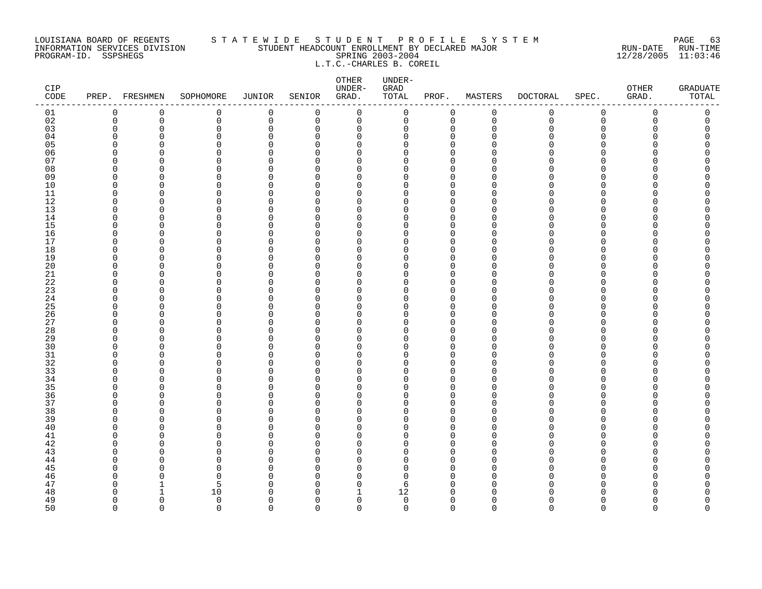#### LOUISIANA BOARD OF REGENTS S T A T E W I D E S T U D E N T P R O F I L E S Y S T E M PAGE 63 INFORMATION SERVICES DIVISION STUDENT HEADCOUNT ENROLLMENT BY DECLARED MAJOR RUN-DATE RUN-TIME PROGRAM-ID. SSPSHEGS SPRING 2003-2004 12/28/2005 11:03:46 L.T.C.-CHARLES B. COREIL

| CIP<br>$\texttt{CODE}$ |                      | PREP. FRESHMEN    | SOPHOMORE     | JUNIOR        | SENIOR               | OTHER<br>UNDER-<br>GRAD. | UNDER-<br>GRAD<br>TOTAL | PROF.                      | MASTERS     | <b>DOCTORAL</b> | SPEC.                    | <b>OTHER</b><br>GRAD. | <b>GRADUATE</b><br>TOTAL |
|------------------------|----------------------|-------------------|---------------|---------------|----------------------|--------------------------|-------------------------|----------------------------|-------------|-----------------|--------------------------|-----------------------|--------------------------|
| 01                     | 0                    | 0                 | 0             | 0             | 0                    | $\mathsf 0$              | 0                       | 0                          | $\mathbf 0$ | 0               | $\mathsf 0$              | 0                     | $\mathsf 0$              |
| 02                     | $\mathbf 0$          | 0                 | 0             | 0             | 0                    | 0                        | 0                       | 0                          | $\mathbf 0$ | $\mathbf 0$     | $\mathsf 0$              | 0                     | 0                        |
| 03                     | $\mathbf 0$          | 0                 | $\mathbf 0$   | $\Omega$      | $\Omega$             | $\mathbf 0$              | 0                       | $\mathbf 0$                | $\Omega$    | Ω               | $\Omega$                 | Λ                     |                          |
| 04                     | $\Omega$             | $\Omega$          | $\Omega$      | $\Omega$      | $\Omega$             | $\mathbf 0$              | 0                       | $\mathbf 0$                | ∩           |                 | <sup>n</sup>             |                       |                          |
| 05                     | $\Omega$             | U                 | $\Omega$      | $\Omega$      | <sup>n</sup>         | $\Omega$                 | 0                       | $\Omega$                   |             |                 | $\Omega$                 |                       |                          |
| 06<br>07               | $\Omega$<br>$\Omega$ | O<br>O            | 0<br>$\Omega$ | 0<br>$\Omega$ | $\Omega$<br>U        | 0<br>$\Omega$            | 0                       | $\mathbf 0$<br>$\Omega$    |             |                 | <sup>n</sup><br>n        |                       |                          |
| 08                     | $\Omega$             | $\Omega$          | $\Omega$      | $\Omega$      | $\Omega$             | $\Omega$                 | 0<br>$\Omega$           | $\Omega$                   |             |                 | $\Omega$                 |                       |                          |
| 09                     | $\Omega$             | $\Omega$          | $\Omega$      | $\Omega$      | <sup>n</sup>         | $\Omega$                 | 0                       | $\mathbf 0$                |             |                 | <sup>n</sup>             |                       |                          |
| 10                     | $\overline{0}$       | $\Omega$          | $\mathbf 0$   | 0             | $\Omega$             | $\mathbf 0$              | 0                       | $\Omega$                   |             |                 | $\Omega$                 |                       |                          |
| 11                     | 0                    | O                 | 0             | 0             | $\Omega$             | 0                        | 0                       | 0                          | ∩           |                 | $\Omega$                 |                       |                          |
| 12                     | $\Omega$             | $\Omega$          | $\Omega$      | O             | $\Omega$             | $\Omega$                 | O                       | $\Omega$                   | ∩           |                 | <sup>n</sup>             |                       |                          |
| 13                     | $\Omega$             | $\Omega$          | 0             | $\Omega$      | $\Omega$             | $\Omega$                 | 0                       | $\mathbf 0$                | ∩           |                 | $\Omega$                 |                       |                          |
| 14                     | $\Omega$             | U                 | $\Omega$      | $\Omega$      | <sup>n</sup>         | $\Omega$                 | 0                       | $\mathbf 0$                | ∩           |                 | $\Omega$                 |                       |                          |
| 15                     | 0                    | O                 | $\Omega$      | $\Omega$      | $\Omega$             | 0                        | 0                       | $\mathbf 0$                |             |                 | <sup>n</sup>             |                       |                          |
| 16                     | $\Omega$             | O                 | $\Omega$      | O             | $\Omega$             | $\Omega$                 | 0                       | $\mathbf 0$                | ∩           |                 | <sup>n</sup>             |                       |                          |
| 17                     | $\Omega$             | $\Omega$          | $\Omega$      | $\Omega$      | $\Omega$             | $\Omega$                 | 0                       | $\mathbf 0$                | ∩           |                 | <sup>n</sup>             |                       |                          |
| 18                     | $\Omega$             | O                 | $\mathbf 0$   | O             | <sup>n</sup>         | $\Omega$                 | 0                       | $\Omega$                   |             |                 | $\Omega$                 |                       |                          |
| 19                     | $\mathbf 0$          | O                 | $\mathbf 0$   | $\Omega$      | $\Omega$             | $\mathbf 0$              | 0                       | $\mathbf 0$                |             |                 | $\Omega$                 |                       |                          |
| 20<br>21               | $\Omega$<br>$\Omega$ | O<br>$\Omega$     | 0<br>$\Omega$ | O<br>O        | $\Omega$<br>$\Omega$ | $\Omega$<br>$\Omega$     | 0<br>$\Omega$           | $\Omega$<br>$\Omega$       |             |                 | U<br>$\Omega$            |                       |                          |
| 22                     | $\Omega$             | O                 | 0             | O             | <sup>n</sup>         | $\Omega$                 | 0                       | $\mathbf 0$                |             |                 | $\Omega$                 |                       |                          |
| 23                     | $\Omega$             | $\Omega$          | $\Omega$      | O             | $\Omega$             | $\Omega$                 | 0                       | $\Omega$                   |             |                 | $\cap$                   |                       |                          |
| 24                     | 0                    | O                 | 0             | 0             | $\Omega$             | 0                        | 0                       | 0                          | ∩           |                 | $\Omega$                 |                       |                          |
| 25                     | $\Omega$             | O                 | $\Omega$      | O             | U                    | $\Omega$                 | 0                       | $\Omega$                   |             |                 | <sup>n</sup>             |                       |                          |
| 26                     | 0                    | $\Omega$          | $\mathbf 0$   | $\Omega$      | $\Omega$             | 0                        | 0                       | $\mathbf 0$                | O           |                 | $\Omega$                 |                       |                          |
| 27                     | $\Omega$             | U                 | $\Omega$      | $\Omega$      | U                    | $\Omega$                 | 0                       | $\mathbf 0$                | ∩           |                 | $\Omega$                 |                       |                          |
| 28                     | $\mathbf 0$          | $\Omega$          | $\Omega$      | $\Omega$      | $\Omega$             | $\mathbf 0$              | 0                       | $\mathbf 0$                |             |                 | $\Omega$                 |                       |                          |
| 29                     | $\Omega$             | O                 | $\Omega$      | O             | $\Omega$             | 0                        | 0                       | $\mathbf 0$                | ∩           |                 | <sup>n</sup>             |                       |                          |
| 30                     | $\Omega$             | $\Omega$          | $\Omega$      | $\Omega$      | U                    | $\Omega$                 | $\Omega$                | $\Omega$                   | ∩           |                 | <sup>n</sup>             |                       |                          |
| 31                     | 0                    | $\Omega$          | 0             | $\Omega$      | $\Omega$             | $\Omega$                 | 0                       | $\mathbf 0$                | ∩           |                 | $\Omega$                 |                       |                          |
| 32                     | $\Omega$             | U                 | $\Omega$      | $\Omega$      | <sup>n</sup>         | $\Omega$                 | 0                       | $\Omega$                   | ∩           |                 | $\Omega$                 |                       |                          |
| 33<br>34               | $\Omega$<br>$\Omega$ | O<br>O            | 0<br>$\Omega$ | O<br>$\Omega$ | $\Omega$<br>$\Omega$ | 0<br>0                   | 0<br>0                  | 0<br>$\mathbf 0$           | ∩<br>O      |                 | <sup>n</sup><br>$\Omega$ |                       |                          |
| 35                     | $\Omega$             | $\Omega$          | $\Omega$      | O             | $\Omega$             | $\Omega$                 | 0                       | $\mathbf 0$                | ∩           |                 | <sup>n</sup>             |                       |                          |
| 36                     | $\Omega$             | U                 | $\Omega$      | $\Omega$      | $\Omega$             | $\Omega$                 | 0                       | $\mathbf 0$                | ∩           |                 | $\Omega$                 |                       |                          |
| 37                     | $\mathbf 0$          | O                 | $\mathbf 0$   | $\Omega$      | $\Omega$             | $\mathbf 0$              | 0                       | 0                          | ∩           |                 | $\Omega$                 |                       |                          |
| 38                     | $\Omega$             | O                 | $\Omega$      | O             | U                    | $\Omega$                 | 0                       | $\Omega$                   |             |                 | U                        |                       |                          |
| 39                     | $\Omega$             | $\Omega$          | 0             | $\Omega$      | $\Omega$             | 0                        | 0                       | $\mathbf 0$                | ∩           |                 | $\Omega$                 |                       |                          |
| 40                     | $\Omega$             | U                 | $\Omega$      | $\Omega$      | <sup>n</sup>         | $\Omega$                 | 0                       | $\mathbf 0$                |             |                 | <sup>n</sup>             |                       |                          |
| 41                     | $\Omega$             | U                 | $\Omega$      | O             | $\Omega$             | $\Omega$                 | 0                       | $\Omega$                   |             |                 | $\Omega$                 |                       |                          |
| 42                     | $\Omega$             | 0                 | 0             | 0             | $\Omega$             | 0                        | 0                       | $\Omega$                   | ∩           |                 | <sup>n</sup>             |                       |                          |
| 43                     | $\Omega$             | O                 | $\Omega$      | O             | $\Omega$             | $\Omega$                 | $\Omega$                | $\Omega$                   | ∩           |                 | <sup>n</sup>             |                       |                          |
| 44                     | $\Omega$             | O                 | 0             | $\Omega$      | $\Omega$             | $\Omega$                 | 0                       | 0                          |             |                 | $\Omega$                 |                       |                          |
| 45                     | $\Omega$             | U                 | $\Omega$      | $\Omega$      | <sup>n</sup>         | $\Omega$                 | 0                       | $\mathbf 0$                |             |                 | $\cap$                   |                       |                          |
| 46                     | $\Omega$             | O<br>$\mathbf{1}$ | 0             | $\Omega$      | $\Omega$             | $\mathbf 0$              | 0                       | $\mathbf 0$                | ∩<br>∩      |                 | $\Omega$<br>$\Omega$     |                       |                          |
| 47<br>48               | $\Omega$<br>$\Omega$ | 1                 | 5<br>10       | O<br>O        | $\Omega$<br>$\Omega$ | $\mathbf 0$<br>1         | 6<br>12                 | $\mathbf 0$<br>$\mathbf 0$ | O           |                 | <sup>n</sup>             |                       |                          |
| 49                     | $\Omega$             | $\Omega$          | $\mathbf 0$   | $\Omega$      | $\Omega$             | $\mathbf 0$              | $\mathbf 0$             | $\mathbf 0$                | $\Omega$    |                 | <sup>n</sup>             |                       | O                        |
| 50                     | $\Omega$             | $\Omega$          | $\Omega$      | $\Omega$      | $\Omega$             | $\Omega$                 | $\Omega$                | $\Omega$                   | $\Omega$    | $\Omega$        | $\Omega$                 | $\Omega$              | $\Omega$                 |
|                        |                      |                   |               |               |                      |                          |                         |                            |             |                 |                          |                       |                          |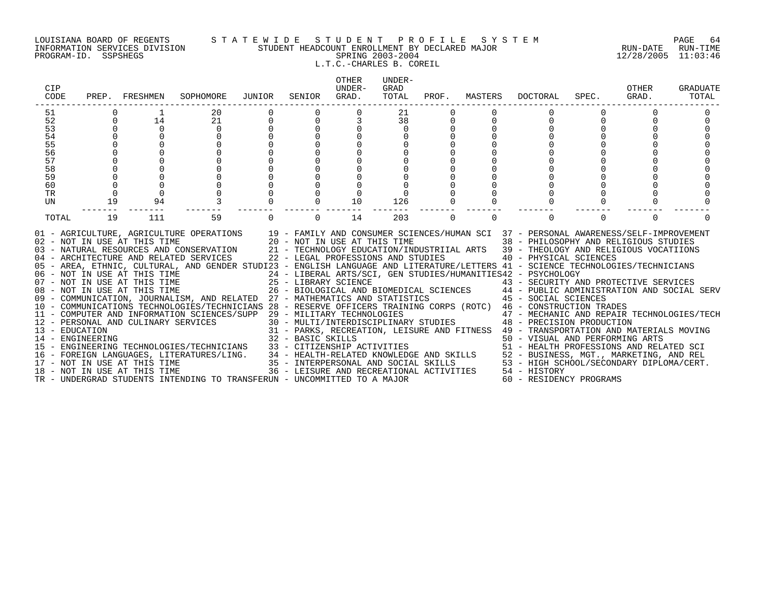#### LOUISIANA BOARD OF REGENTS S T A T E W I D E S T U D E N T P R O F I L E S Y S T E M PAGE 64 INFORMATION SERVICES DIVISION STUDENT HEADCOUNT ENROLLMENT BY DECLARED MAJOR RUN-DATE RUN-TIME PROGRAM-ID. SSPSHEGS SPRING 2003-2004 12/28/2005 11:03:46 L.T.C.-CHARLES B. COREIL

| CIP<br>CODE | PREP.                                                 | FRESHMEN | SOPHOMORE                                                                                                                                                                                                                                                                                                                                                                                                             | JUNIOR | SENIOR            | <b>OTHER</b><br>UNDER-<br>GRAD. | UNDER-<br>GRAD<br>TOTAL            | PROF.    | MASTERS  | DOCTORAL                                                                                                                                                                                                                                 | SPEC.    | OTHER<br>GRAD. | <b>GRADUATE</b><br>TOTAL |
|-------------|-------------------------------------------------------|----------|-----------------------------------------------------------------------------------------------------------------------------------------------------------------------------------------------------------------------------------------------------------------------------------------------------------------------------------------------------------------------------------------------------------------------|--------|-------------------|---------------------------------|------------------------------------|----------|----------|------------------------------------------------------------------------------------------------------------------------------------------------------------------------------------------------------------------------------------------|----------|----------------|--------------------------|
| 51          |                                                       |          | 20                                                                                                                                                                                                                                                                                                                                                                                                                    |        |                   | 0                               | 21                                 |          |          |                                                                                                                                                                                                                                          |          |                |                          |
| 52          |                                                       | 14       | 21                                                                                                                                                                                                                                                                                                                                                                                                                    |        | $\Omega$          | 3                               | 38                                 |          |          |                                                                                                                                                                                                                                          |          |                |                          |
| 53          |                                                       | $\Omega$ | $\Omega$                                                                                                                                                                                                                                                                                                                                                                                                              |        |                   |                                 | $\Omega$                           |          |          |                                                                                                                                                                                                                                          |          |                |                          |
| 54          |                                                       |          |                                                                                                                                                                                                                                                                                                                                                                                                                       |        |                   |                                 |                                    |          |          |                                                                                                                                                                                                                                          |          |                |                          |
| 55          |                                                       |          |                                                                                                                                                                                                                                                                                                                                                                                                                       |        |                   |                                 |                                    |          |          |                                                                                                                                                                                                                                          |          |                |                          |
| 56          |                                                       |          |                                                                                                                                                                                                                                                                                                                                                                                                                       |        |                   |                                 |                                    |          |          |                                                                                                                                                                                                                                          |          |                |                          |
| 57          |                                                       |          |                                                                                                                                                                                                                                                                                                                                                                                                                       |        |                   |                                 |                                    |          |          |                                                                                                                                                                                                                                          |          |                |                          |
| 58<br>59    |                                                       |          |                                                                                                                                                                                                                                                                                                                                                                                                                       |        |                   |                                 |                                    |          |          |                                                                                                                                                                                                                                          |          |                |                          |
| 60          |                                                       | $\Omega$ |                                                                                                                                                                                                                                                                                                                                                                                                                       |        |                   |                                 |                                    |          |          |                                                                                                                                                                                                                                          |          |                |                          |
| TR          | $\Omega$                                              | $\Omega$ |                                                                                                                                                                                                                                                                                                                                                                                                                       |        |                   |                                 |                                    |          |          |                                                                                                                                                                                                                                          |          |                |                          |
| <b>UN</b>   | 19                                                    | 94       |                                                                                                                                                                                                                                                                                                                                                                                                                       |        |                   | 10                              | 126                                |          |          |                                                                                                                                                                                                                                          |          |                |                          |
|             |                                                       |          |                                                                                                                                                                                                                                                                                                                                                                                                                       |        |                   |                                 |                                    |          |          |                                                                                                                                                                                                                                          |          |                |                          |
| TOTAL       | 19                                                    | 111      | 59                                                                                                                                                                                                                                                                                                                                                                                                                    |        | $\Omega$          | 14                              | 203                                | $\Omega$ | $\Omega$ |                                                                                                                                                                                                                                          | $\Omega$ | $\Omega$       |                          |
|             | 02 - NOT IN USE AT THIS TIME                          |          | 01 - AGRICULTURE, AGRICULTURE OPERATIONS 19 - FAMILY AND CONSUMER SCIENCES/HUMAN SCI 37 - PERSONAL AWARENESS/SELF-IMPROVEMENT<br>03 - NATURAL RESOURCES AND CONSERVATION<br>04 - ARCHITECTURE AND RELATED SERVICES<br>05 - AREA, ETHNIC, CULTURAL, AND GENDER STUDI23 - ENGLISH LANGUAGE AND LITERATURE/LETTERS 41 - SCIENCE TECHNOLOGIES/TECHNICIANS<br>06 - NOT IN USE AT THIS TIME<br>07 - NOT IN USE AT THIS TIME |        |                   | 20 - NOT IN USE AT THIS TIME    | 22 - LEGAL PROFESSIONS AND STUDIES |          |          | 38 - PHILOSOPHY AND RELIGIOUS STUDIES<br>21 - TECHNOLOGY EDUCATION/INDUSTRIIAL ARTS 39 - THEOLOGY AND RELIGIOUS VOCATIIONS<br>40 - PHYSICAL SCIENCES<br>24 - LIBERAL ARTS/SCI, GEN STUDIES/HUMANITIES42 - PSYCHOLOGY                     |          |                |                          |
|             |                                                       |          |                                                                                                                                                                                                                                                                                                                                                                                                                       |        |                   | 25 - LIBRARY SCIENCE            |                                    |          |          | 43 - SECURITY AND PROTECTIVE SERVICES                                                                                                                                                                                                    |          |                |                          |
|             | 08 - NOT IN USE AT THIS TIME                          |          |                                                                                                                                                                                                                                                                                                                                                                                                                       |        |                   |                                 |                                    |          |          | 26 - BIOLOGICAL AND BIOMEDICAL SCIENCES 44 - PUBLIC ADMINISTRATION AND SOCIAL SERV                                                                                                                                                       |          |                |                          |
|             |                                                       |          | 09 - COMMUNICATION, JOURNALISM, AND RELATED 27 - MATHEMATICS AND STATISTICS 45 - SOCIAL SCIENCES                                                                                                                                                                                                                                                                                                                      |        |                   |                                 |                                    |          |          |                                                                                                                                                                                                                                          |          |                |                          |
|             |                                                       |          | 10 - COMMUNICATIONS TECHNOLOGIES/TECHNICIANS 28 - RESERVE OFFICERS TRAINING CORPS (ROTC) 46 - CONSTRUCTION TRADES                                                                                                                                                                                                                                                                                                     |        |                   |                                 |                                    |          |          |                                                                                                                                                                                                                                          |          |                |                          |
|             |                                                       |          | 11 - COMPUTER AND INFORMATION SCIENCES/SUPP                                                                                                                                                                                                                                                                                                                                                                           |        |                   | 29 - MILITARY TECHNOLOGIES      |                                    |          |          | 47 - MECHANIC AND REPAIR TECHNOLOGIES/TECH<br>30 - MULTI/INTERDISCIPLINARY STUDIES 48 - PRECISION PRODUCTION                                                                                                                             |          |                |                          |
|             | 12 - PERSONAL AND CULINARY SERVICES<br>13 - EDUCATION |          |                                                                                                                                                                                                                                                                                                                                                                                                                       |        |                   |                                 |                                    |          |          | 31 - PARKS, RECREATION, LEISURE AND FITNESS 49 - TRANSPORTATION AND MATERIALS MOVING                                                                                                                                                     |          |                |                          |
|             | 14 - ENGINEERING                                      |          |                                                                                                                                                                                                                                                                                                                                                                                                                       |        | 32 - BASIC SKILLS |                                 |                                    |          |          | 50 - VISUAL AND PERFORMING ARTS                                                                                                                                                                                                          |          |                |                          |
|             |                                                       |          | 15 - ENGINEERING TECHNOLOGIES/TECHNICIANS                                                                                                                                                                                                                                                                                                                                                                             |        |                   |                                 |                                    |          |          |                                                                                                                                                                                                                                          |          |                |                          |
|             |                                                       |          | 16 - FOREIGN LANGUAGES, LITERATURES/LING.                                                                                                                                                                                                                                                                                                                                                                             |        |                   |                                 |                                    |          |          |                                                                                                                                                                                                                                          |          |                |                          |
|             | 17 - NOT IN USE AT THIS TIME                          |          |                                                                                                                                                                                                                                                                                                                                                                                                                       |        |                   |                                 |                                    |          |          |                                                                                                                                                                                                                                          |          |                |                          |
|             | 18 - NOT IN USE AT THIS TIME                          |          |                                                                                                                                                                                                                                                                                                                                                                                                                       |        |                   |                                 |                                    |          |          | 33 - CITIZENSHIP ACTIVITIES<br>34 - HEALTH-RELATED KNOWLEDGE AND SKILLS<br>35 - INTERPERSONAL AND SOCIAL SKILLS<br>36 - INTERPERSONAL AND SOCIAL SKILLS<br>36 - LEISURE AND RECREATIONAL ACTIVITIES<br>36 - LEISURE AND RECREATIONAL ACT |          |                |                          |
|             |                                                       |          | TR - UNDERGRAD STUDENTS INTENDING TO TRANSFERUN - UNCOMMITTED TO A MAJOR                                                                                                                                                                                                                                                                                                                                              |        |                   |                                 |                                    |          |          | 60 - RESIDENCY PROGRAMS                                                                                                                                                                                                                  |          |                |                          |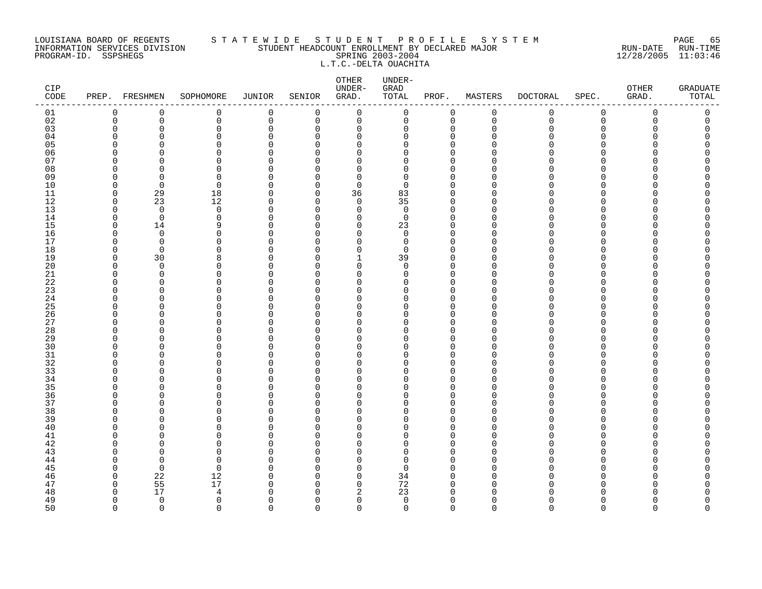#### LOUISIANA BOARD OF REGENTS S T A T E W I D E S T U D E N T P R O F I L E S Y S T E M PAGE 65 INFORMATION SERVICES DIVISION STUDENT HEADCOUNT ENROLLMENT BY DECLARED MAJOR RUN-DATE RUN-TIME PROGRAM-ID. SSPSHEGS SPRING 2003-2004 12/28/2005 11:03:46 L.T.C.-DELTA OUACHITA

| CIP<br>$\texttt{CODE}$ |               | PREP. FRESHMEN    | SOPHOMORE     | JUNIOR        | SENIOR               | OTHER<br>UNDER-<br>GRAD.      | UNDER-<br>${\tt GRAD}$<br>TOTAL | PROF.                   | MASTERS        | <b>DOCTORAL</b> | SPEC.         | OTHER<br>GRAD. | <b>GRADUATE</b><br>TOTAL |
|------------------------|---------------|-------------------|---------------|---------------|----------------------|-------------------------------|---------------------------------|-------------------------|----------------|-----------------|---------------|----------------|--------------------------|
| 01                     | $\mathbf 0$   | 0                 | 0             | 0             | $\mathbf 0$          | $\mathbf 0$                   | 0                               | $\mathbf 0$             | $\mathsf 0$    | 0               | $\mathbf 0$   | 0              | 0                        |
| 02                     | $\mathbf 0$   | $\mathbf 0$       | 0             | $\mathbf 0$   | $\mathbf 0$          | $\mathbf 0$                   | $\mathsf{O}$                    | $\mathbf 0$             | $\overline{0}$ | $\mathbf 0$     | $\mathbf 0$   | $\Omega$       | 0                        |
| 03                     | $\Omega$      | $\Omega$          | 0             | $\Omega$      | $\Omega$             | $\mathbf 0$                   | 0                               | $\Omega$                | $\Omega$       | O               | $\Omega$      | U              | O                        |
| 04                     | ∩             | O                 | 0             | O             | $\Omega$             | 0                             | 0                               | 0                       | ∩              | N               | O             |                | Ω                        |
| 05                     |               |                   | 0             | $\Omega$      | U                    | $\mathbf 0$                   | 0                               | $\Omega$                |                |                 | ∩             |                |                          |
| 06                     |               | ∩                 | $\Omega$      | O             | $\Omega$             | $\mathbf 0$                   | 0                               | $\mathbf 0$             |                |                 | ∩             |                | Λ                        |
| 07                     |               | ∩                 | $\Omega$      | $\cap$        | U                    | $\Omega$                      | 0                               | $\Omega$<br>$\Omega$    | n              |                 | ∩             |                |                          |
| 08<br>09               | U<br>n        | n<br><sup>0</sup> | $\Omega$<br>0 | $\Omega$<br>O | $\Omega$<br>$\Omega$ | $\Omega$<br>0                 | 0<br>0                          | $\Omega$                |                |                 | ∩<br>$\Omega$ |                |                          |
| 10                     | U             | $\Omega$          | $\Omega$      | O             | $\Omega$             | $\mathbf 0$                   | 0                               | $\Omega$                | n              |                 | ∩             |                |                          |
| 11                     | $\Omega$      | 29                | 18            | $\Omega$      | 0                    | 36                            | 83                              | $\Omega$                | $\cap$         |                 | ∩             |                |                          |
| 12                     | $\Omega$      | 23                | 12            | $\Omega$      | $\Omega$             | $\mathbf 0$                   | 35                              | $\Omega$                | n              |                 | ∩             |                |                          |
| 13                     | ∩             | $\mathbf 0$       | $\mathbf 0$   | $\Omega$      | $\Omega$             | $\mathbf 0$                   | $\mathbf 0$                     | $\mathbf 0$             | $\Omega$       |                 | $\Omega$      |                |                          |
| 14                     | $\Omega$      | $\Omega$          | $\Omega$      | $\Omega$      | $\Omega$             | $\Omega$                      | $\mathbf 0$                     | $\mathbf 0$             | $\Omega$       |                 | $\Omega$      |                |                          |
| 15                     | $\Omega$      | 14                | 9             | O             | $\Omega$             | 0                             | 23                              | $\Omega$                | U              |                 | ∩             |                | Ω                        |
| 16                     | n             | $\mathbf 0$       | 0             | $\Omega$      | $\Omega$             | $\mathbf 0$                   | 0                               | $\mathbf 0$             | $\cap$         |                 | ∩             |                | ⋂                        |
| 17                     | n             | $\Omega$          | $\Omega$      | $\Omega$      | $\Omega$             | 0                             | 0                               | $\mathbf 0$             | ∩              |                 | O             |                |                          |
| 18                     | U             | $\Omega$          | 0             | $\Omega$      | $\Omega$             | $\mathbf 0$                   | 0                               | $\Omega$                | n              |                 | ∩             |                |                          |
| 19                     | ∩             | 30                | 8             | O             | $\Omega$             | $\mathbf{1}$                  | 39                              | $\mathbf 0$             | n              |                 | ∩             |                |                          |
| 20                     |               | $\Omega$          | $\Omega$      | U             | $\Omega$             | $\Omega$                      | $\Omega$                        | $\Omega$                | n              |                 | ∩             |                | ∩                        |
| $21\,$                 | n             | $\Omega$          | $\Omega$      | O             | $\Omega$             | 0                             | 0                               | $\mathbf 0$             | $\cap$         |                 | O             |                |                          |
| 22                     | ∩             | <sup>0</sup>      | 0             | O             | $\Omega$             | 0                             | 0                               | 0                       | n              |                 | O             |                |                          |
| 23                     |               | $\Omega$          | $\Omega$      | O             | $\Omega$             | $\Omega$                      | 0                               | $\Omega$                | O              |                 | ∩             |                |                          |
| 24                     | n             | <sup>n</sup>      | $\Omega$      | O             | $\Omega$             | $\mathbf 0$                   | 0                               | $\mathbf 0$             | ∩              |                 | ∩             |                |                          |
| 25                     | ∩             | $\Omega$          | $\Omega$      | O             | $\Omega$             | $\Omega$                      | 0                               | $\Omega$                | n              |                 | ∩             |                |                          |
| 26                     | O             | $\Omega$          | $\Omega$      | O             | $\Omega$             | $\Omega$                      | 0                               | $\Omega$                | $\cap$         |                 | ∩             |                |                          |
| 27                     | n             | <sup>0</sup>      | 0<br>0        | O<br>O        | O<br>$\Omega$        | 0                             | 0<br>0                          | $\mathbf 0$<br>$\Omega$ | n              |                 | ∩<br>∩        |                |                          |
| 28<br>29               |               | O                 | $\Omega$      | O             | $\Omega$             | $\mathbf 0$<br>0              | 0                               | $\Omega$                | ∩              |                 | ∩             |                |                          |
| 30                     |               | ∩                 | U             | O             | $\Omega$             | $\Omega$                      | 0                               | $\Omega$                | ∩              |                 | ∩             |                |                          |
| 31                     | n             | n                 | $\Omega$      | O             | $\Omega$             | $\Omega$                      | 0                               | $\mathbf 0$             | n              |                 | $\Omega$      |                | ⋂                        |
| 32                     |               | ∩                 | $\Omega$      | O             | $\Omega$             | $\Omega$                      | 0                               | $\mathbf 0$             |                |                 | $\Omega$      |                |                          |
| 33                     |               | O                 | $\Omega$      | O             | $\Omega$             | 0                             | 0                               | $\Omega$                | n              |                 | $\Omega$      |                |                          |
| 34                     | ∩             | O                 | $\Omega$      | O             | $\Omega$             | 0                             | 0                               | $\Omega$                | $\cap$         |                 | ∩             |                |                          |
| 35                     |               | ∩                 | 0             | O             | $\Omega$             | $\Omega$                      | O                               | $\Omega$                | n              |                 | ∩             |                |                          |
| 36                     | ∩             | ∩                 | 0             | O             | $\Omega$             | $\Omega$                      | 0                               | $\Omega$                | ∩              |                 | $\Omega$      |                |                          |
| 37                     | n             | n                 | $\Omega$      | O             | $\Omega$             | $\mathbf 0$                   | 0                               | $\Omega$                | $\cap$         |                 | $\Omega$      |                |                          |
| 38                     |               | n                 | U             | O             | $\Omega$             | $\Omega$                      | 0                               | $\Omega$                | ∩              |                 | ∩             |                | ∩                        |
| 39                     |               | O                 | $\Omega$      | 0             | $\Omega$             | 0                             | 0                               | $\mathbf 0$             | n              |                 | O             |                |                          |
| 40                     |               | O                 | $\Omega$      | O             | $\Omega$             | 0                             | 0                               | $\mathbf 0$             | U              |                 | O             |                |                          |
| 41                     |               | Λ                 | 0             | $\Omega$      | $\Omega$             | $\mathbf 0$                   | 0                               | $\Omega$                |                |                 | ∩             |                |                          |
| 42                     |               | ∩                 | $\Omega$      | O             | $\Omega$             | $\mathbf 0$                   | 0                               | $\mathbf 0$             | n              |                 | ∩             |                | ⋂                        |
| 43                     |               | n                 | U             | $\cap$        | $\Omega$             | $\Omega$                      | 0                               | $\Omega$                | n              |                 | ∩             |                |                          |
| 44                     | n             | $\Omega$          | $\Omega$      | U             | $\Omega$             | $\Omega$                      | 0                               | $\Omega$                | n              |                 | ∩             |                |                          |
| 45                     |               | $\Omega$          | $\Omega$      | O             | $\Omega$             | 0                             | 0                               | $\Omega$                | n              |                 | O             |                |                          |
| 46                     | n             | 22                | 12            | 0             | $\Omega$             | $\mathbf 0$                   | 34                              | $\Omega$                | U              |                 | ∩             |                |                          |
| 47                     | $\Omega$<br>∩ | 55<br>17          | 17            | O<br>U        | $\Omega$<br>$\Omega$ | $\mathbf 0$                   | 72<br>23                        | $\Omega$<br>$\Omega$    | $\Omega$<br>n  |                 | ∩             |                |                          |
| 48<br>49               | $\Omega$      | $\Omega$          | 4<br>0        | $\Omega$      | $\Omega$             | $\overline{2}$<br>$\mathbf 0$ | $\mathbf 0$                     | $\mathbf 0$             | $\Omega$       | U               | $\Omega$      | ∩              | O                        |
| 50                     | $\Omega$      | $\Omega$          | $\Omega$      | $\Omega$      | $\cap$               | $\Omega$                      | $\Omega$                        | $\Omega$                | $\Omega$       | $\Omega$        | $\Omega$      | $\Omega$       | $\Omega$                 |
|                        |               |                   |               |               |                      |                               |                                 |                         |                |                 |               |                |                          |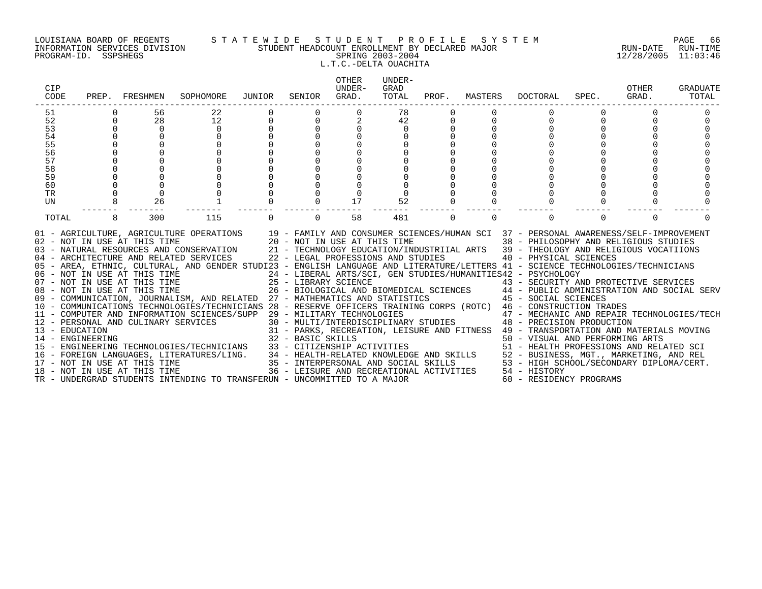#### LOUISIANA BOARD OF REGENTS S T A T E W I D E S T U D E N T P R O F I L E S Y S T E M PAGE 66 INFORMATION SERVICES DIVISION STUDENT HEADCOUNT ENROLLMENT BY DECLARED MAJOR RUN-DATE RUN-TIME PROGRAM-ID. SSPSHEGS SPRING 2003-2004 12/28/2005 11:03:46 L.T.C.-DELTA OUACHITA

| CIP<br>CODE      |   | PREP. FRESHMEN               | SOPHOMORE                                                                                                                                                                                                                                                                                                                                                                                                                               | JUNIOR   | SENIOR            | <b>OTHER</b><br>UNDER-<br>GRAD.                                    | UNDER-<br>GRAD<br>TOTAL | PROF.    | MASTERS  | DOCTORAL                                                                                                                                                                                                                                                                                                                                                                                                                        | SPEC.    | OTHER<br>GRAD. | <b>GRADUATE</b><br>TOTAL |
|------------------|---|------------------------------|-----------------------------------------------------------------------------------------------------------------------------------------------------------------------------------------------------------------------------------------------------------------------------------------------------------------------------------------------------------------------------------------------------------------------------------------|----------|-------------------|--------------------------------------------------------------------|-------------------------|----------|----------|---------------------------------------------------------------------------------------------------------------------------------------------------------------------------------------------------------------------------------------------------------------------------------------------------------------------------------------------------------------------------------------------------------------------------------|----------|----------------|--------------------------|
| 51               |   | 56                           | 22                                                                                                                                                                                                                                                                                                                                                                                                                                      |          |                   |                                                                    | 78                      |          |          |                                                                                                                                                                                                                                                                                                                                                                                                                                 |          |                |                          |
| 52               | 0 | 28                           | 12                                                                                                                                                                                                                                                                                                                                                                                                                                      |          | $\Omega$          |                                                                    | 42                      | 0        |          | 0                                                                                                                                                                                                                                                                                                                                                                                                                               |          |                |                          |
| 53               |   | $\Omega$                     | $\Omega$                                                                                                                                                                                                                                                                                                                                                                                                                                |          |                   |                                                                    | $\Omega$                |          |          |                                                                                                                                                                                                                                                                                                                                                                                                                                 |          |                |                          |
| 54               |   |                              |                                                                                                                                                                                                                                                                                                                                                                                                                                         |          |                   |                                                                    |                         |          |          |                                                                                                                                                                                                                                                                                                                                                                                                                                 |          |                |                          |
| 55               |   |                              |                                                                                                                                                                                                                                                                                                                                                                                                                                         |          |                   |                                                                    |                         |          |          |                                                                                                                                                                                                                                                                                                                                                                                                                                 |          |                |                          |
| 56               |   |                              |                                                                                                                                                                                                                                                                                                                                                                                                                                         |          |                   |                                                                    |                         |          |          |                                                                                                                                                                                                                                                                                                                                                                                                                                 |          |                |                          |
| 57               |   |                              |                                                                                                                                                                                                                                                                                                                                                                                                                                         |          |                   |                                                                    |                         |          |          |                                                                                                                                                                                                                                                                                                                                                                                                                                 |          |                |                          |
| 58               |   |                              |                                                                                                                                                                                                                                                                                                                                                                                                                                         |          |                   |                                                                    |                         |          |          |                                                                                                                                                                                                                                                                                                                                                                                                                                 |          |                |                          |
| 59               |   |                              |                                                                                                                                                                                                                                                                                                                                                                                                                                         |          |                   |                                                                    |                         |          |          |                                                                                                                                                                                                                                                                                                                                                                                                                                 |          |                |                          |
| 60               |   |                              |                                                                                                                                                                                                                                                                                                                                                                                                                                         |          |                   |                                                                    |                         |          |          |                                                                                                                                                                                                                                                                                                                                                                                                                                 |          |                |                          |
| TR<br><b>UN</b>  |   | $\Omega$<br>26               |                                                                                                                                                                                                                                                                                                                                                                                                                                         |          | $\cap$            | 17                                                                 |                         |          |          |                                                                                                                                                                                                                                                                                                                                                                                                                                 |          |                |                          |
|                  |   |                              |                                                                                                                                                                                                                                                                                                                                                                                                                                         |          |                   |                                                                    | 52                      |          |          |                                                                                                                                                                                                                                                                                                                                                                                                                                 |          |                |                          |
| TOTAL            | 8 | 300                          | 115                                                                                                                                                                                                                                                                                                                                                                                                                                     | $\Omega$ | $\Omega$          | 58                                                                 | 481                     | $\Omega$ | $\Omega$ | $\Omega$                                                                                                                                                                                                                                                                                                                                                                                                                        | $\Omega$ | $\Omega$       |                          |
|                  |   | 02 - NOT IN USE AT THIS TIME | 01 - AGRICULTURE, AGRICULTURE OPERATIONS 19 - FAMILY AND CONSUMER SCIENCES/HUMAN SCI 37 - PERSONAL AWARENESS/SELF-IMPROVEMENT<br>03 - NATURAL RESOURCES AND CONSERVATION 21 - TECHNOLOGY EDUCATION/INDUSTRIIAL ARTS 39 - THEOLOGY AND RELIGIOUS VOCATIIONS<br>04 - ARCHITECTURE AND RELATED SERVICES<br>05 - AREA, ETHNIC, CULTURAL, AND GENDER STUDI23 - ENGLISH LANGUAGE AND LITERATURE/LETTERS 41 - SCIENCE TECHNOLOGIES/TECHNICIANS |          |                   | 20 - NOT IN USE AT THIS TIME<br>22 - LEGAL PROFESSIONS AND STUDIES |                         |          |          | 38 - PHILOSOPHY AND RELIGIOUS STUDIES<br>40 - PHYSICAL SCIENCES<br>24 - LIBERAL ARTS/SCI, GEN STUDIES/HUMANITIES42 - PSYCHOLOGY                                                                                                                                                                                                                                                                                                 |          |                |                          |
|                  |   |                              | 06 - NOT IN USE AT THIS TIME<br>07 - NOT IN USE AT THIS TIME                                                                                                                                                                                                                                                                                                                                                                            |          |                   | 25 - LIBRARY SCIENCE                                               |                         |          |          | 43 - SECURITY AND PROTECTIVE SERVICES                                                                                                                                                                                                                                                                                                                                                                                           |          |                |                          |
|                  |   | 08 - NOT IN USE AT THIS TIME |                                                                                                                                                                                                                                                                                                                                                                                                                                         |          |                   |                                                                    |                         |          |          | 26 - BIOLOGICAL AND BIOMEDICAL SCIENCES $\hphantom{\overline{F^2}}\qquad\hphantom{\overline{F^2}}\qquad\hphantom{\overline{F^2}}\qquad\hphantom{\overline{F^2}}\qquad\hphantom{\overline{F^2}}\qquad\hphantom{\overline{F^2}}\qquad\hphantom{\overline{F^2}}\qquad\hphantom{\overline{F^2}}\qquad\hphantom{\overline{F^2}}\qquad\hphantom{\overline{F^2}}\qquad\hphantom{\overline{F^2}}\qquad\hphantom{\overline{F^2}}\qquad\$ |          |                |                          |
|                  |   |                              | 09 - COMMUNICATION, JOURNALISM, AND RELATED 27 - MATHEMATICS AND STATISTICS 45 - SOCIAL SCIENCES                                                                                                                                                                                                                                                                                                                                        |          |                   |                                                                    |                         |          |          |                                                                                                                                                                                                                                                                                                                                                                                                                                 |          |                |                          |
|                  |   |                              | 10 - COMMUNICATIONS TECHNOLOGIES/TECHNICIANS 28 - RESERVE OFFICERS TRAINING CORPS (ROTC) 46 - CONSTRUCTION TRADES                                                                                                                                                                                                                                                                                                                       |          |                   |                                                                    |                         |          |          |                                                                                                                                                                                                                                                                                                                                                                                                                                 |          |                |                          |
|                  |   |                              | 11 - COMPUTER AND INFORMATION SCIENCES/SUPP 29 - MILITARY TECHNOLOGIES                                                                                                                                                                                                                                                                                                                                                                  |          |                   |                                                                    |                         |          |          | 47 - MECHANIC AND REPAIR TECHNOLOGIES/TECH                                                                                                                                                                                                                                                                                                                                                                                      |          |                |                          |
|                  |   |                              | 12 - PERSONAL AND CULINARY SERVICES                                                                                                                                                                                                                                                                                                                                                                                                     |          |                   |                                                                    |                         |          |          | 30 - MULTI/INTERDISCIPLINARY STUDIES 48 - PRECISION PRODUCTION                                                                                                                                                                                                                                                                                                                                                                  |          |                |                          |
| 13 - EDUCATION   |   |                              |                                                                                                                                                                                                                                                                                                                                                                                                                                         |          |                   |                                                                    |                         |          |          | 31 - PARKS, RECREATION, LEISURE AND FITNESS 49 - TRANSPORTATION AND MATERIALS MOVING                                                                                                                                                                                                                                                                                                                                            |          |                |                          |
| 14 - ENGINEERING |   |                              |                                                                                                                                                                                                                                                                                                                                                                                                                                         |          | 32 - BASIC SKILLS |                                                                    |                         |          |          | 50 - VISUAL AND PERFORMING ARTS                                                                                                                                                                                                                                                                                                                                                                                                 |          |                |                          |
|                  |   |                              | 15 - ENGINEERING TECHNOLOGIES/TECHNICIANS                                                                                                                                                                                                                                                                                                                                                                                               |          |                   |                                                                    |                         |          |          |                                                                                                                                                                                                                                                                                                                                                                                                                                 |          |                |                          |
|                  |   |                              | 16 - FOREIGN LANGUAGES, LITERATURES/LING.                                                                                                                                                                                                                                                                                                                                                                                               |          |                   |                                                                    |                         |          |          |                                                                                                                                                                                                                                                                                                                                                                                                                                 |          |                |                          |
|                  |   | 17 - NOT IN USE AT THIS TIME |                                                                                                                                                                                                                                                                                                                                                                                                                                         |          |                   |                                                                    |                         |          |          | 33 - CITIZENSHIP ACTIVITIES<br>34 - HEALTH-RELATED KNOWLEDGE AND SKILLS<br>35 - INTERPERSONAL AND SOCIAL SKILLS<br>36 - INTERPERSONAL AND SOCIAL SKILLS<br>36 - LEISURE AND RECREATIONAL ACTIVITIES<br>36 - LEISURE AND RECREATIONAL ACT                                                                                                                                                                                        |          |                |                          |
|                  |   | 18 - NOT IN USE AT THIS TIME |                                                                                                                                                                                                                                                                                                                                                                                                                                         |          |                   |                                                                    |                         |          |          |                                                                                                                                                                                                                                                                                                                                                                                                                                 |          |                |                          |
|                  |   |                              | TR - UNDERGRAD STUDENTS INTENDING TO TRANSFERUN - UNCOMMITTED TO A MAJOR                                                                                                                                                                                                                                                                                                                                                                |          |                   |                                                                    |                         |          |          | 60 - RESIDENCY PROGRAMS                                                                                                                                                                                                                                                                                                                                                                                                         |          |                |                          |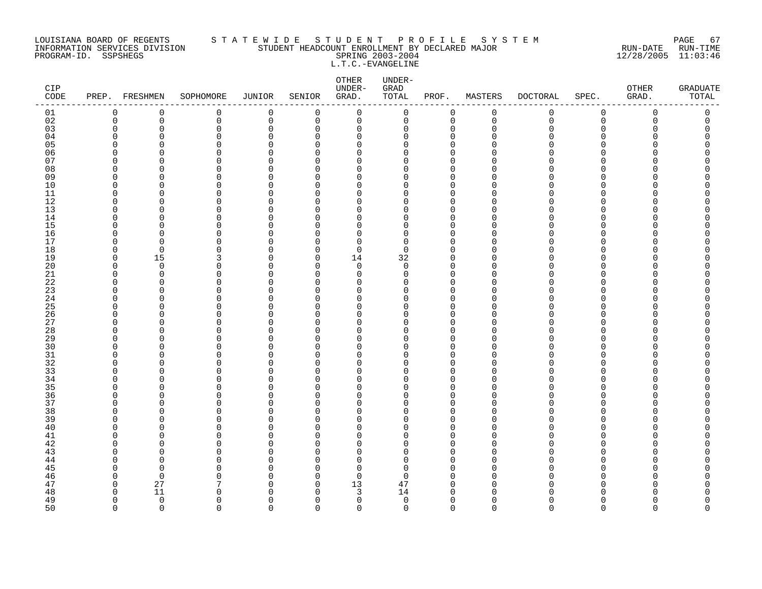#### LOUISIANA BOARD OF REGENTS S T A T E W I D E S T U D E N T P R O F I L E S Y S T E M PAGE 67 INFORMATION SERVICES DIVISION STUDENT HEADCOUNT ENROLLMENT BY DECLARED MAJOR RUN-DATE RUN-TIME PROGRAM-ID. SSPSHEGS SPRING 2003-2004 12/28/2005 11:03:46 L.T.C.-EVANGELINE

| CIP<br>$\texttt{CODE}$ | PREP. FRESHMEN       |                         | SOPHOMORE     | <b>JUNIOR</b>        | SENIOR        | OTHER<br>UNDER-<br>GRAD. | UNDER-<br>GRAD<br>TOTAL | PROF.                      | MASTERS       | <b>DOCTORAL</b> | SPEC.       | OTHER<br>GRAD. | <b>GRADUATE</b><br>TOTAL |
|------------------------|----------------------|-------------------------|---------------|----------------------|---------------|--------------------------|-------------------------|----------------------------|---------------|-----------------|-------------|----------------|--------------------------|
| 01                     | $\mathbf 0$          | 0                       | 0             | 0                    | 0             | $\mathbf 0$              | $\mathsf{O}$            | 0                          | $\mathbf 0$   | 0               | $\mathsf 0$ | $\mathbf 0$    | 0                        |
| 02                     | 0                    | 0                       | 0             | $\mathbf 0$          | 0             | 0                        | 0                       | $\mathbf 0$                | $\mathbf 0$   | 0               | $\mathsf 0$ | 0              | 0                        |
| 03                     | $\mathbf 0$          | 0                       | 0             | $\mathbf 0$          | 0             | 0                        | 0                       | 0                          | $\Omega$      | Λ               | $\Omega$    | O              | $\Omega$                 |
| 04                     | ∩                    | $\Omega$                | 0             | $\Omega$             | ∩             | $\Omega$                 | U                       | $\Omega$                   | ∩             |                 | ∩           |                | Λ                        |
| 05                     | $\Omega$             | $\Omega$                | 0             | $\Omega$             | $\Omega$      | $\Omega$                 | O                       | $\mathbf 0$                | ∩             |                 | $\Omega$    |                | C                        |
| 06                     | $\Omega$             | $\Omega$                | 0             | $\Omega$             | ∩             | 0                        | O                       | $\mathbf{0}$               |               |                 | $\cap$      |                |                          |
| 07                     | $\Omega$             | $\Omega$                | 0             | $\Omega$             | ∩             | 0                        | O                       | 0                          |               |                 | ∩           |                | ⋂                        |
| 08<br>09               | $\Omega$<br>$\Omega$ | $\Omega$<br>$\Omega$    | $\Omega$<br>O | $\Omega$<br>$\Omega$ | O<br>∩        | $\Omega$<br>$\Omega$     | O<br>U                  | $\Omega$<br>$\mathbf 0$    | ∩<br>$\Omega$ |                 | ∩<br>∩      |                |                          |
| 10                     | $\Omega$             | $\Omega$                | 0             | $\Omega$             | ∩             | $\Omega$                 | O                       | $\Omega$                   | ∩             |                 | $\Omega$    |                |                          |
| 11                     | $\mathbf 0$          | $\Omega$                | 0             | $\Omega$             | $\Omega$      | $\Omega$                 | 0                       | $\mathbf 0$                | $\cap$        |                 | $\Omega$    |                |                          |
| 12                     | $\Omega$             | $\Omega$                | 0             | $\Omega$             | O             | $\Omega$                 | O                       | $\Omega$                   |               |                 | ∩           |                |                          |
| 13                     | $\Omega$             | $\Omega$                | 0             | $\Omega$             | ∩             | $\Omega$                 | O                       | $\Omega$                   | $\Omega$      |                 | ∩           |                |                          |
| 14                     | $\Omega$             | $\Omega$                | 0             | $\Omega$             | ∩             | $\Omega$                 | O                       | $\mathbf 0$                | ∩             |                 | ∩           |                | ⋂                        |
| 15                     | $\Omega$             | $\Omega$                | 0             | $\cap$               | $\Omega$      | $\Omega$                 | O                       | $\Omega$                   |               |                 | $\Omega$    |                |                          |
| 16                     | $\mathbf 0$          | $\mathbf 0$             | 0             | $\mathbf 0$          | $\Omega$      | $\mathbf 0$              | 0                       | $\mathbf 0$                | $\Omega$      |                 | $\Omega$    |                | Λ                        |
| 17                     | $\Omega$             | $\Omega$                | 0             | $\Omega$             | $\Omega$      | $\Omega$                 | $\Omega$                | $\Omega$                   | ∩             |                 | ∩           |                |                          |
| 18                     | $\mathbf 0$          | $\mathbf 0$             | 0             | $\Omega$             | $\Omega$      | 0                        | 0                       | $\mathbf 0$                | $\Omega$      |                 | $\Omega$    |                | Ω                        |
| 19                     | $\Omega$             | 15                      | 3             | $\Omega$             | $\Omega$      | 14                       | 32                      | $\mathbf 0$                | O             |                 | ∩           |                |                          |
| 20                     | $\Omega$             | $\overline{0}$          | 0             | $\Omega$             | $\Omega$      | $\Omega$                 | $\Omega$                | $\Omega$                   | O             |                 | $\Omega$    |                | Λ                        |
| 21                     | $\Omega$             | $\mathbf 0$             | 0             | $\Omega$             | $\Omega$      | $\Omega$                 | $\Omega$                | $\mathbf 0$                | $\Omega$      |                 | ∩           |                | Λ                        |
| 22                     | $\Omega$             | $\Omega$                | 0             | $\Omega$             | $\Omega$      | $\Omega$                 | O                       | $\mathbf 0$                | ∩             |                 | O           |                |                          |
| 23                     | 0                    | $\Omega$                | 0             | $\Omega$             | $\Omega$      | 0                        | 0                       | $\Omega$                   | $\Omega$      |                 | $\Omega$    |                | ⋂                        |
| 24                     | $\Omega$             | $\Omega$                | 0             | $\Omega$             | ∩             | 0                        | 0                       | $\mathbf 0$                | $\Omega$      |                 | $\Omega$    |                |                          |
| 25                     | ∩                    | $\Omega$                | $\Omega$      | $\cap$               | $\cap$        | $\Omega$                 | O                       | $\Omega$                   |               |                 | ∩           |                | ∩                        |
| 26<br>27               | $\Omega$<br>$\Omega$ | $\Omega$<br>$\Omega$    | 0<br>0        | $\Omega$<br>$\Omega$ | $\Omega$<br>∩ | $\Omega$<br>$\Omega$     | O<br>0                  | $\mathbf{0}$               | $\Omega$<br>∩ |                 | ∩<br>O      |                | ⋂                        |
| 28                     | $\Omega$             | $\Omega$                | 0             | $\Omega$             | ∩             | $\Omega$                 | O                       | 0<br>$\Omega$              |               |                 | ∩           |                |                          |
| 29                     | $\Omega$             | $\Omega$                | 0             | $\Omega$             | ∩             | $\Omega$                 | U                       | $\mathbf 0$                | O             |                 | ∩           |                | Λ                        |
| 30                     | ∩                    | $\Omega$                | $\Omega$      | $\cap$               | ∩             | O                        | O                       | $\Omega$                   | ∩             |                 | ∩           |                |                          |
| 31                     | $\Omega$             | $\Omega$                | 0             | $\Omega$             | $\Omega$      | $\mathbf 0$              | O                       | $\mathbf 0$                | $\Omega$      |                 | $\Omega$    |                |                          |
| 32                     | $\Omega$             | $\Omega$                | 0             | $\Omega$             | ∩             | $\Omega$                 | O                       | $\mathbf 0$                | ∩             |                 | ∩           |                |                          |
| 33                     | ∩                    | $\Omega$                | 0             | $\Omega$             | U             | $\Omega$                 | O                       | $\Omega$                   |               |                 | ∩           |                |                          |
| 34                     | ∩                    | $\Omega$                | 0             | $\Omega$             | $\Omega$      | $\Omega$                 | O                       | $\mathbf 0$                | ∩             |                 | ∩           |                |                          |
| 35                     | ∩                    | $\cap$                  | $\Omega$      | $\cap$               | ∩             | O                        | O                       | $\Omega$                   | ∩             |                 | ∩           |                |                          |
| 36                     | $\Omega$             | $\Omega$                | 0             | $\mathbf 0$          | $\Omega$      | $\mathbf 0$              | 0                       | $\mathbf 0$                | $\Omega$      |                 | $\Omega$    |                | Ω                        |
| 37                     | $\Omega$             | $\Omega$                | 0             | $\Omega$             | ∩             | 0                        | U                       | $\mathbf 0$                | $\Omega$      |                 | ∩           |                |                          |
| 38                     | $\Omega$             | $\Omega$                | 0             | $\Omega$             | ∩             | $\Omega$                 | O                       | $\mathbf 0$                |               |                 | ∩           |                | ⋂                        |
| 39                     | ∩                    | $\Omega$                | 0             | $\Omega$             | ∩             | $\Omega$                 | O                       | $\Omega$                   | $\Omega$      |                 | ∩           |                |                          |
| 40                     | $\Omega$             | $\Omega$                | $\Omega$      | $\cap$               | $\Omega$      | $\Omega$                 | O                       | $\Omega$                   | $\Omega$      |                 | ∩           |                |                          |
| 41                     | $\Omega$             | $\Omega$                | 0             | $\Omega$             | O             | $\Omega$                 | 0                       | $\mathbf{0}$               | ∩             |                 | $\Omega$    |                |                          |
| 42                     | $\Omega$             | $\Omega$                | 0             | $\Omega$             | $\Omega$      | 0                        | 0                       | $\mathbf 0$                | O             |                 | ∩           |                | ⋂                        |
| 43                     | ∩<br>$\Omega$        | $\Omega$<br>$\Omega$    | 0<br>$\Omega$ | $\cap$<br>$\Omega$   | ∩<br>∩        | O                        | U<br>O                  | $\Omega$                   | ∩<br>$\Omega$ |                 | ∩<br>∩      |                |                          |
| 44                     | $\Omega$             |                         |               | $\cap$               | ∩             | $\Omega$                 |                         | $\Omega$                   | O             |                 | ∩           |                |                          |
| 45<br>46               | $\Omega$             | $\Omega$<br>$\mathbf 0$ | 0<br>0        | $\Omega$             | $\Omega$      | $\Omega$<br>$\mathbf 0$  | $\Omega$<br>$\Omega$    | $\mathbf 0$<br>$\mathbf 0$ | $\Omega$      |                 | ∩           |                |                          |
| 47                     | $\mathbf 0$          | 27                      | 7             | $\Omega$             | 0             | 13                       | 47                      | $\mathbf 0$                | $\Omega$      |                 | ∩           |                | Ω                        |
| 48                     | $\Omega$             | 11                      | U             | ∩                    | ∩             | 3                        | 14                      | $\Omega$                   |               |                 |             |                | ⋂                        |
| 49                     | $\Omega$             | $\overline{0}$          | 0             | $\Omega$             | $\Omega$      | $\mathbf 0$              | $\mathbf 0$             | $\mathbf 0$                | $\Omega$      |                 | $\Omega$    |                | <sup>0</sup>             |
| 50                     | $\Omega$             | $\Omega$                | $\cap$        | $\Omega$             | $\Omega$      | $\Omega$                 | $\Omega$                | $\Omega$                   | $\cap$        | $\Omega$        | $\Omega$    | $\Omega$       | $\Omega$                 |
|                        |                      |                         |               |                      |               |                          |                         |                            |               |                 |             |                |                          |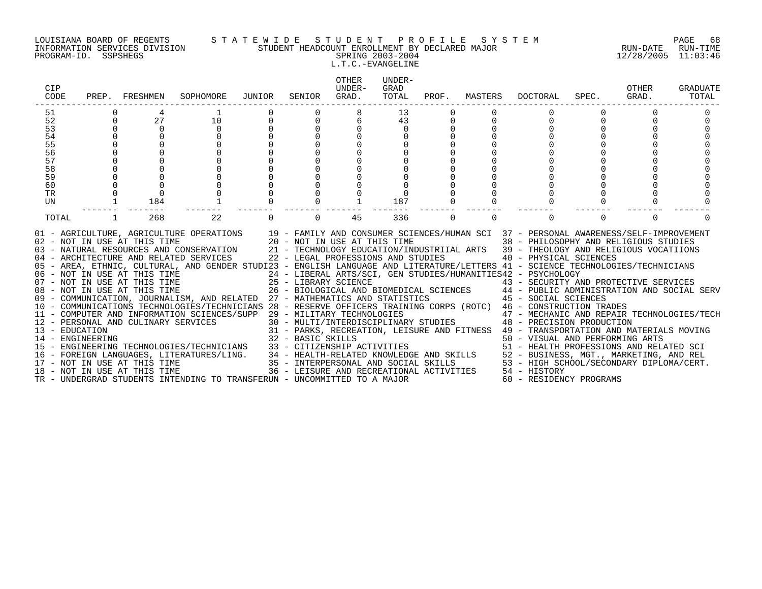#### LOUISIANA BOARD OF REGENTS S T A T E W I D E S T U D E N T P R O F I L E S Y S T E M PAGE 68 INFORMATION SERVICES DIVISION STUDENT HEADCOUNT ENROLLMENT BY DECLARED MAJOR RUN-DATE RUN-TIME PROGRAM-ID. SSPSHEGS SPRING 2003-2004 12/28/2005 11:03:46 L.T.C.-EVANGELINE

| CIP<br>CODE |          | PREP. FRESHMEN               | SOPHOMORE                                                                                                                                                                                                                                                                                                                                                                                                                                                                                                                                                                                                                                                                                                                                                                                                                                                                                                                                                                                                                                                                                                                                                                                                                                                                                                                                                                                                      | JUNIOR | SENIOR   | OTHER<br>IJNDER-<br>GRAD. | UNDER-<br>GRAD<br>TOTAL |   | PROF. MASTERS | DOCTORAL                                                                                                                                                                                                                                                                                                                                                                                                                                                                                                                                                                                                                  | SPEC. | OTHER<br>GRAD. | <b>GRADUATE</b><br>TOTAL |
|-------------|----------|------------------------------|----------------------------------------------------------------------------------------------------------------------------------------------------------------------------------------------------------------------------------------------------------------------------------------------------------------------------------------------------------------------------------------------------------------------------------------------------------------------------------------------------------------------------------------------------------------------------------------------------------------------------------------------------------------------------------------------------------------------------------------------------------------------------------------------------------------------------------------------------------------------------------------------------------------------------------------------------------------------------------------------------------------------------------------------------------------------------------------------------------------------------------------------------------------------------------------------------------------------------------------------------------------------------------------------------------------------------------------------------------------------------------------------------------------|--------|----------|---------------------------|-------------------------|---|---------------|---------------------------------------------------------------------------------------------------------------------------------------------------------------------------------------------------------------------------------------------------------------------------------------------------------------------------------------------------------------------------------------------------------------------------------------------------------------------------------------------------------------------------------------------------------------------------------------------------------------------------|-------|----------------|--------------------------|
| 51          |          |                              |                                                                                                                                                                                                                                                                                                                                                                                                                                                                                                                                                                                                                                                                                                                                                                                                                                                                                                                                                                                                                                                                                                                                                                                                                                                                                                                                                                                                                |        |          |                           | 13                      |   |               |                                                                                                                                                                                                                                                                                                                                                                                                                                                                                                                                                                                                                           |       |                |                          |
| 52          | $\Omega$ | 27                           | 10                                                                                                                                                                                                                                                                                                                                                                                                                                                                                                                                                                                                                                                                                                                                                                                                                                                                                                                                                                                                                                                                                                                                                                                                                                                                                                                                                                                                             |        |          |                           | 43                      |   |               |                                                                                                                                                                                                                                                                                                                                                                                                                                                                                                                                                                                                                           |       |                |                          |
| 53          | $\Omega$ | $\Omega$                     | $\Omega$                                                                                                                                                                                                                                                                                                                                                                                                                                                                                                                                                                                                                                                                                                                                                                                                                                                                                                                                                                                                                                                                                                                                                                                                                                                                                                                                                                                                       |        |          |                           |                         |   |               |                                                                                                                                                                                                                                                                                                                                                                                                                                                                                                                                                                                                                           |       |                |                          |
| 54          | $\Omega$ |                              | $\cap$                                                                                                                                                                                                                                                                                                                                                                                                                                                                                                                                                                                                                                                                                                                                                                                                                                                                                                                                                                                                                                                                                                                                                                                                                                                                                                                                                                                                         |        |          |                           |                         |   |               |                                                                                                                                                                                                                                                                                                                                                                                                                                                                                                                                                                                                                           |       |                |                          |
| 55          |          |                              |                                                                                                                                                                                                                                                                                                                                                                                                                                                                                                                                                                                                                                                                                                                                                                                                                                                                                                                                                                                                                                                                                                                                                                                                                                                                                                                                                                                                                |        |          |                           |                         |   |               |                                                                                                                                                                                                                                                                                                                                                                                                                                                                                                                                                                                                                           |       |                |                          |
| 56          |          |                              |                                                                                                                                                                                                                                                                                                                                                                                                                                                                                                                                                                                                                                                                                                                                                                                                                                                                                                                                                                                                                                                                                                                                                                                                                                                                                                                                                                                                                |        |          |                           |                         |   |               |                                                                                                                                                                                                                                                                                                                                                                                                                                                                                                                                                                                                                           |       |                |                          |
| 57          |          |                              |                                                                                                                                                                                                                                                                                                                                                                                                                                                                                                                                                                                                                                                                                                                                                                                                                                                                                                                                                                                                                                                                                                                                                                                                                                                                                                                                                                                                                |        |          |                           |                         |   |               |                                                                                                                                                                                                                                                                                                                                                                                                                                                                                                                                                                                                                           |       |                |                          |
| 58          |          |                              |                                                                                                                                                                                                                                                                                                                                                                                                                                                                                                                                                                                                                                                                                                                                                                                                                                                                                                                                                                                                                                                                                                                                                                                                                                                                                                                                                                                                                |        |          |                           |                         |   |               |                                                                                                                                                                                                                                                                                                                                                                                                                                                                                                                                                                                                                           |       |                |                          |
| 59          |          |                              |                                                                                                                                                                                                                                                                                                                                                                                                                                                                                                                                                                                                                                                                                                                                                                                                                                                                                                                                                                                                                                                                                                                                                                                                                                                                                                                                                                                                                |        |          |                           |                         |   |               |                                                                                                                                                                                                                                                                                                                                                                                                                                                                                                                                                                                                                           |       |                |                          |
| 60          |          |                              |                                                                                                                                                                                                                                                                                                                                                                                                                                                                                                                                                                                                                                                                                                                                                                                                                                                                                                                                                                                                                                                                                                                                                                                                                                                                                                                                                                                                                |        |          |                           |                         |   |               |                                                                                                                                                                                                                                                                                                                                                                                                                                                                                                                                                                                                                           |       |                |                          |
| TR          |          |                              |                                                                                                                                                                                                                                                                                                                                                                                                                                                                                                                                                                                                                                                                                                                                                                                                                                                                                                                                                                                                                                                                                                                                                                                                                                                                                                                                                                                                                |        |          |                           |                         |   |               |                                                                                                                                                                                                                                                                                                                                                                                                                                                                                                                                                                                                                           |       |                |                          |
| UN          |          | 184                          |                                                                                                                                                                                                                                                                                                                                                                                                                                                                                                                                                                                                                                                                                                                                                                                                                                                                                                                                                                                                                                                                                                                                                                                                                                                                                                                                                                                                                |        |          |                           | 187                     |   |               |                                                                                                                                                                                                                                                                                                                                                                                                                                                                                                                                                                                                                           |       |                |                          |
| TOTAL       |          | 268                          | 22                                                                                                                                                                                                                                                                                                                                                                                                                                                                                                                                                                                                                                                                                                                                                                                                                                                                                                                                                                                                                                                                                                                                                                                                                                                                                                                                                                                                             |        | $\Omega$ | 45                        | 336                     | 0 | $\Omega$      | $\Omega$                                                                                                                                                                                                                                                                                                                                                                                                                                                                                                                                                                                                                  |       | $\Omega$       |                          |
|             |          | 02 - NOT IN USE AT THIS TIME | 01 - AGRICULTURE, AGRICULTURE OPERATIONS 19 - FAMILY AND CONSUMER SCIENCES/HUMAN SCI 37 - PERSONAL AWARENESS/SELF-IMPROVEMENT<br>20 - NOT IN USE AT THIS TIME<br>03 - NATURAL RESOURCES AND CONSERVATION 21 - TECHNOLOGY EDUCATION/INDUSTRIIAL ARTS 39 - THEOLOGY AND RELIGIOUS VOCATIIONS<br>04 - ARCHITECTURE AND RELATED SERVICES 22 - LEGAL PROFESSIONS AND STUDIES<br>05 - AREA, ETHNIC, CULTURAL, AND GENDER STUDI23 - ENGLISH LANGUAGE AND LITERATURE/LETTERS 41 - SCIENCE TECHNOLOGIES/TECHNICIANS<br>06 - NOT IN USE AT THIS TIME                         24 - LIBERAL ARTS/SCI, GEN STUDIES/HUMANITIES42 - PSYCHOLOGY<br>07 - NOT IN USE AT THIS TIME                   25 - LIBRARY SCIENCE                       43 - SECURITY AN<br>08 - NOT IN USE AT THIS TIME $26$ - BIOLOGICAL AND BIOMEDICAL SCIENCES $44$ - PUBLIC ADMINISTRATION AND SOCIAL SERV<br>09 - COMMUNICATION, JOURNALISM, AND RELATED 27 - MATHEMATICS AND STATISTICS 45 - SOCIAL SCIENCES<br>10 - COMMUNICATIONS TECHNOLOGIES/TECHNICIANS 28 - RESERVE OFFICERS TRAINING CORPS (ROTC) 46 - CONSTRUCTION TRADES<br>11 - COMPUTER AND INFORMATION SCIENCES/SUPP 29 - MILITARY TECHNOLOGIES<br>12 - PERSONAL AND CULINARY SERVICES<br>13 - EDUCATION<br>14 - ENGINEERING<br>15 - ENGINEERING TECHNOLOGIES/TECHNICIANS<br>16 - FOREIGN LANGUAGES, LITERATURES/LING.<br>17 - NOT IN USE AT THIS TIME<br>18 - NOT IN USE AT THIS TIME |        |          |                           |                         |   |               | 38 - PHILOSOPHY AND RELIGIOUS STUDIES<br>40 - PHYSICAL SCIENCES<br>43 - SECURITY AND PROTECTIVE SERVICES<br>29 - MILITARY TECHNOLOGIES                       47 - MECHANIC AND REPAIR TECHNOLOGIES/TECH<br>30 - MULTI/INTERDISCIPLINARY STUDIES           48 - PRECISION PRODUCTION<br>31 - PARKS, RECREATION, LEISURE AND FITNESS 49 - TRANSPORTATION AND MATERIALS MOVING<br>32 - BASIC SKILLS<br>33 - CITIZENSHIP ACTIVITIES<br>34 - HEALTH-RELATED KNOWLEDGE AND SKILLS<br>35 - INTERPERSONAL AND SOCIAL SKILLS<br>35 - INTERPERSONAL AND SOCIAL SKILLS<br>35 - INTERPERSONAL AND SOCIAL SKILLS<br>36 - LEISURE AND R |       |                |                          |
|             |          |                              | TR - UNDERGRAD STUDENTS INTENDING TO TRANSFERUN - UNCOMMITTED TO A MAJOR                                                                                                                                                                                                                                                                                                                                                                                                                                                                                                                                                                                                                                                                                                                                                                                                                                                                                                                                                                                                                                                                                                                                                                                                                                                                                                                                       |        |          |                           |                         |   |               | 60 - RESIDENCY PROGRAMS                                                                                                                                                                                                                                                                                                                                                                                                                                                                                                                                                                                                   |       |                |                          |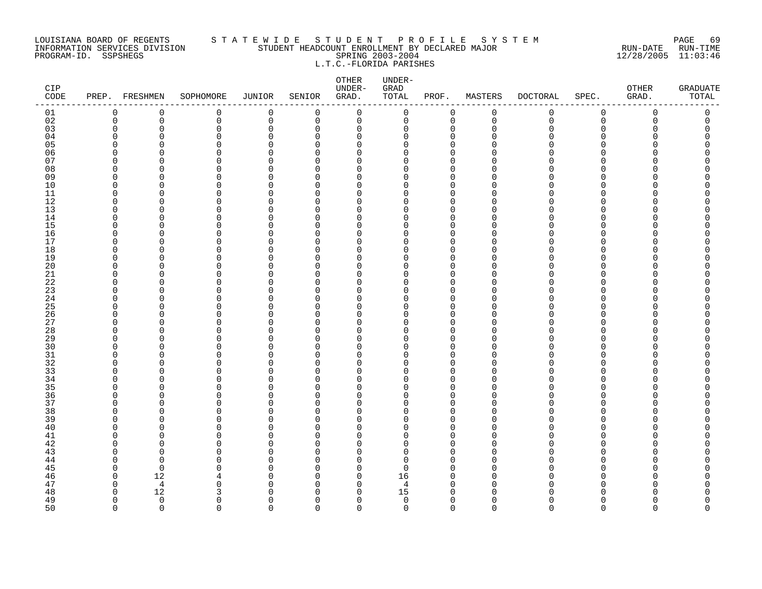#### LOUISIANA BOARD OF REGENTS S T A T E W I D E S T U D E N T P R O F I L E S Y S T E M PAGE 69 INFORMATION SERVICES DIVISION STUDENT HEADCOUNT ENROLLMENT BY DECLARED MAJOR RUN-DATE RUN-TIME PROGRAM-ID. SSPSHEGS SPRING 2003-2004 12/28/2005 11:03:46 L.T.C.-FLORIDA PARISHES

| CIP<br>$\texttt{CODE}$ |                         | PREP. FRESHMEN | SOPHOMORE            | JUNIOR               | SENIOR                   | OTHER<br>UNDER-<br>GRAD. | UNDER-<br>GRAD<br>TOTAL | PROF.                      | MASTERS     | <b>DOCTORAL</b> | SPEC.                | <b>OTHER</b><br>GRAD. | <b>GRADUATE</b><br>TOTAL |
|------------------------|-------------------------|----------------|----------------------|----------------------|--------------------------|--------------------------|-------------------------|----------------------------|-------------|-----------------|----------------------|-----------------------|--------------------------|
| 01                     | 0                       | 0              | 0                    | 0                    | 0                        | $\mathsf 0$              | 0                       | 0                          | $\mathbf 0$ | 0               | $\mathsf 0$          | 0                     | $\mathsf 0$              |
| 02                     | $\mathbf 0$             | 0              | 0                    | 0                    | 0                        | 0                        | 0                       | 0                          | $\mathbf 0$ | $\mathbf 0$     | $\mathsf 0$          | 0                     | 0                        |
| 03                     | $\mathbf 0$             | 0              | $\mathbf 0$          | $\Omega$             | $\Omega$                 | $\mathbf 0$              | 0                       | $\mathbf 0$                | $\Omega$    | Ω               | $\Omega$             | Ω                     |                          |
| 04                     | $\Omega$                | $\Omega$       | $\Omega$             | $\Omega$             | $\Omega$                 | $\mathbf 0$              | 0                       | $\mathbf 0$                | ∩           |                 | <sup>n</sup>         |                       |                          |
| 05                     | $\Omega$                | U              | $\Omega$             | $\Omega$             | <sup>n</sup>             | $\Omega$                 | 0                       | $\Omega$                   |             |                 | $\Omega$             |                       |                          |
| 06                     | $\Omega$                | O              | 0                    | $\Omega$             | $\Omega$                 | 0                        | 0                       | $\mathbf 0$                |             |                 | <sup>n</sup>         |                       |                          |
| 07                     | $\Omega$<br>$\Omega$    | O<br>$\Omega$  | $\Omega$<br>$\Omega$ | $\Omega$<br>$\Omega$ | U<br>$\Omega$            | $\Omega$<br>$\Omega$     | 0<br>$\Omega$           | $\Omega$<br>$\Omega$       |             |                 | n<br>$\Omega$        |                       |                          |
| 08<br>09               | $\Omega$                | $\Omega$       | $\Omega$             | $\Omega$             | <sup>n</sup>             | $\Omega$                 | 0                       | $\mathbf 0$                |             |                 | <sup>n</sup>         |                       |                          |
| 10                     | $\overline{0}$          | $\Omega$       | $\mathbf 0$          | 0                    | $\Omega$                 | $\mathbf 0$              | 0                       | $\Omega$                   |             |                 | $\Omega$             |                       |                          |
| 11                     | 0                       | O              | 0                    | 0                    | $\Omega$                 | 0                        | 0                       | 0                          | ∩           |                 | $\Omega$             |                       |                          |
| 12                     | $\Omega$                | $\Omega$       | $\Omega$             | O                    | U                        | $\Omega$                 | O                       | $\Omega$                   | ∩           |                 | <sup>n</sup>         |                       |                          |
| 13                     | $\Omega$                | $\Omega$       | 0                    | $\Omega$             | $\Omega$                 | $\Omega$                 | 0                       | $\mathbf 0$                | ∩           |                 | $\Omega$             |                       |                          |
| 14                     | $\Omega$                | U              | $\Omega$             | $\Omega$             | <sup>n</sup>             | $\Omega$                 | 0                       | $\mathbf 0$                | ∩           |                 | $\Omega$             |                       |                          |
| 15                     | 0                       | O              | $\Omega$             | $\Omega$             | $\Omega$                 | 0                        | 0                       | $\mathbf 0$                |             |                 | <sup>n</sup>         |                       |                          |
| 16                     | $\Omega$                | O              | $\Omega$             | O                    | $\Omega$                 | $\Omega$                 | 0                       | $\mathbf 0$                | ∩           |                 | <sup>n</sup>         |                       |                          |
| 17                     | $\Omega$                | $\Omega$       | $\Omega$             | $\Omega$             | $\Omega$                 | $\Omega$                 | 0                       | $\mathbf 0$                | ∩           |                 | <sup>n</sup>         |                       |                          |
| 18                     | $\Omega$                | O              | $\mathbf 0$          | O                    | <sup>n</sup>             | $\Omega$                 | 0                       | $\Omega$                   |             |                 | $\Omega$             |                       |                          |
| 19                     | $\mathbf 0$             | O              | $\mathbf 0$          | $\Omega$             | $\Omega$                 | $\mathbf 0$              | 0                       | $\mathbf 0$                |             |                 | $\Omega$             |                       |                          |
| 20                     | $\Omega$                | O              | 0                    | O                    | $\Omega$                 | $\Omega$                 | 0                       | $\Omega$                   |             |                 | U                    |                       |                          |
| 21                     | $\Omega$                | O              | $\Omega$             | U                    | $\Omega$                 | $\Omega$                 | $\Omega$                | $\Omega$                   |             |                 | $\Omega$             |                       |                          |
| 22                     | $\Omega$                | O              | 0                    | O                    | <sup>n</sup>             | $\Omega$                 | 0                       | $\mathbf 0$                |             |                 | $\Omega$             |                       |                          |
| 23                     | $\Omega$                | U              | $\Omega$             | O                    | $\Omega$                 | $\Omega$                 | 0                       | $\Omega$                   |             |                 | $\cap$               |                       |                          |
| 24                     | 0                       | O              | 0                    | 0                    | $\Omega$                 | 0                        | 0                       | 0                          | ∩           |                 | $\Omega$             |                       |                          |
| 25                     | $\Omega$                | O              | $\Omega$             | O                    | U                        | $\Omega$                 | 0                       | $\Omega$                   | O           |                 | <sup>n</sup>         |                       |                          |
| 26<br>27               | 0<br>$\Omega$           | $\Omega$<br>U  | 0<br>$\Omega$        | $\Omega$<br>$\Omega$ | $\Omega$<br>U            | 0<br>$\Omega$            | 0<br>0                  | $\mathbf 0$<br>$\mathbf 0$ | ∩           |                 | $\Omega$<br>$\Omega$ |                       |                          |
| 28                     | $\mathbf 0$             | $\Omega$       | $\Omega$             | $\Omega$             | $\Omega$                 | $\mathbf 0$              | 0                       | $\mathbf 0$                |             |                 | $\Omega$             |                       |                          |
| 29                     | $\Omega$                | O              | $\Omega$             | O                    | $\Omega$                 | 0                        | 0                       | $\mathbf 0$                | ∩           |                 | <sup>n</sup>         |                       |                          |
| 30                     | $\Omega$                | $\Omega$       | $\Omega$             | $\Omega$             | U                        | $\Omega$                 | $\Omega$                | $\Omega$                   | ∩           |                 | <sup>n</sup>         |                       |                          |
| 31                     | 0                       | O              | 0                    | $\Omega$             | $\Omega$                 | $\Omega$                 | 0                       | $\mathbf 0$                | ∩           |                 | $\Omega$             |                       |                          |
| 32                     | $\Omega$                | U              | $\Omega$             | $\Omega$             | <sup>n</sup>             | $\Omega$                 | 0                       | $\Omega$                   | ∩           |                 | $\cap$               |                       |                          |
| 33                     | $\Omega$                | O              | 0                    | O                    | $\Omega$                 | $\Omega$                 | 0                       | 0                          | ∩           |                 | <sup>n</sup>         |                       |                          |
| 34                     | $\Omega$                | O              | $\Omega$             | O                    | $\Omega$                 | 0                        | 0                       | $\mathbf 0$                | ∩           |                 | $\Omega$             |                       |                          |
| 35                     | $\Omega$                | $\Omega$       | $\Omega$             | O                    | $\Omega$                 | $\Omega$                 | 0                       | $\mathbf 0$                | ∩           |                 | <sup>n</sup>         |                       |                          |
| 36                     | $\Omega$                | U              | $\Omega$             | O                    | $\Omega$                 | $\Omega$                 | 0                       | $\mathbf 0$                |             |                 | $\Omega$             |                       |                          |
| 37                     | $\mathbf 0$             | O              | $\mathbf 0$          | 0                    | $\Omega$                 | $\mathbf 0$              | 0                       | 0                          | ∩           |                 | $\Omega$             |                       |                          |
| 38                     | $\Omega$                | O              | $\Omega$             | O                    | U                        | $\Omega$                 | 0                       | $\Omega$                   |             |                 | U                    |                       |                          |
| 39                     | $\Omega$                | $\Omega$       | 0                    | $\Omega$             | $\Omega$                 | 0                        | 0                       | $\mathbf 0$                | ∩           |                 | $\Omega$             |                       |                          |
| 40                     | $\Omega$                | U              | $\Omega$             | $\Omega$             | <sup>n</sup>             | $\Omega$                 | 0                       | $\mathbf 0$                |             |                 | <sup>n</sup>         |                       |                          |
| 41                     | $\Omega$                | U              | $\Omega$             | O                    | $\Omega$                 | $\Omega$                 | 0                       | $\Omega$                   |             |                 | $\Omega$             |                       |                          |
| 42                     | $\Omega$                | O              | 0                    | 0                    | $\Omega$                 | 0                        | 0                       | $\Omega$                   | ∩           |                 | <sup>n</sup>         |                       |                          |
| 43                     | $\Omega$                | $\Omega$       | $\Omega$             | O                    | $\Omega$                 | $\Omega$                 | 0                       | $\Omega$                   |             |                 | <sup>n</sup>         |                       |                          |
| 44                     | $\Omega$                | $\Omega$       | 0                    | $\Omega$             | $\Omega$                 | $\Omega$                 | 0                       | 0                          |             |                 | $\Omega$<br>$\cap$   |                       |                          |
| 45                     | $\Omega$<br>$\mathbf 0$ | $\Omega$       | 0<br>4               | $\Omega$<br>0        | <sup>n</sup><br>$\Omega$ | $\Omega$<br>$\mathbf 0$  | $\Omega$                | $\mathbf 0$<br>$\mathbf 0$ | O           |                 | $\Omega$             |                       |                          |
| 46<br>47               | $\Omega$                | 12<br>4        | $\Omega$             | O                    | U                        | 0                        | 16<br>4                 | $\mathbf 0$                | $\Omega$    |                 | $\Omega$             |                       |                          |
| 48                     | $\Omega$                | 12             | 3                    | O                    | $\Omega$                 | 0                        | 15                      | $\mathbf 0$                | O           |                 | <sup>n</sup>         |                       |                          |
| 49                     | $\mathbf 0$             | $\Omega$       | 0                    | $\Omega$             | $\Omega$                 | $\mathbf 0$              | $\mathbf 0$             | $\mathbf 0$                | $\Omega$    |                 | <sup>n</sup>         |                       | O                        |
| 50                     | $\Omega$                | $\Omega$       | $\Omega$             | $\Omega$             | $\Omega$                 | $\Omega$                 | $\Omega$                | $\Omega$                   | $\Omega$    | $\Omega$        | $\Omega$             | $\Omega$              | $\Omega$                 |
|                        |                         |                |                      |                      |                          |                          |                         |                            |             |                 |                      |                       |                          |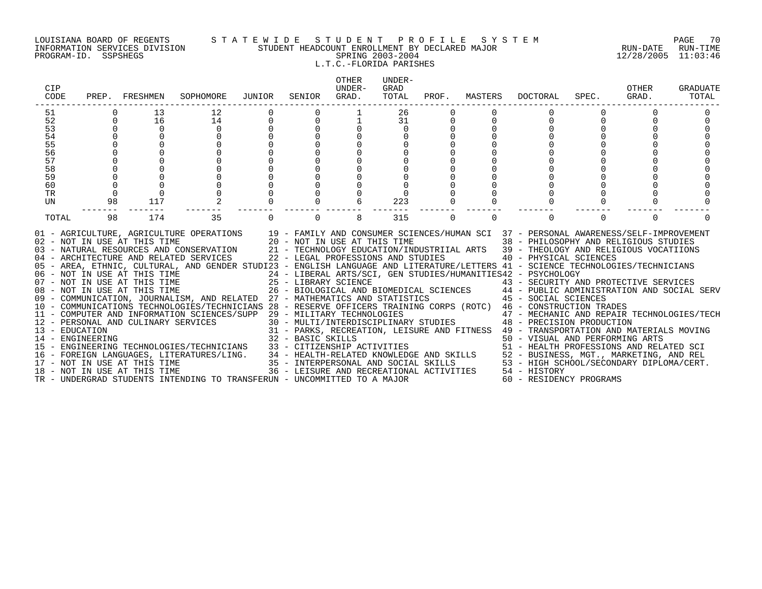#### LOUISIANA BOARD OF REGENTS S T A T E W I D E S T U D E N T P R O F I L E S Y S T E M PAGE 70 INFORMATION SERVICES DIVISION STUDENT HEADCOUNT ENROLLMENT BY DECLARED MAJOR RUN-DATE RUN-TIME PROGRAM-ID. SSPSHEGS SPRING 2003-2004 12/28/2005 11:03:46 L.T.C.-FLORIDA PARISHES

| CIP<br>CODE      | PREP.    | FRESHMEN                            | SOPHOMORE                                                                                                                                                                                                                                                                                                                                                                                                             | JUNIOR | SENIOR                                                             | <b>OTHER</b><br>UNDER-<br>GRAD. | UNDER-<br>GRAD<br>TOTAL | PROF.    | MASTERS  | DOCTORAL                                                                                                                                                                                                                                 | SPEC.    | OTHER<br>GRAD. | <b>GRADUATE</b><br>TOTAL |
|------------------|----------|-------------------------------------|-----------------------------------------------------------------------------------------------------------------------------------------------------------------------------------------------------------------------------------------------------------------------------------------------------------------------------------------------------------------------------------------------------------------------|--------|--------------------------------------------------------------------|---------------------------------|-------------------------|----------|----------|------------------------------------------------------------------------------------------------------------------------------------------------------------------------------------------------------------------------------------------|----------|----------------|--------------------------|
| 51               |          | 13                                  | 12                                                                                                                                                                                                                                                                                                                                                                                                                    |        |                                                                    |                                 | 26                      |          |          |                                                                                                                                                                                                                                          |          |                |                          |
| 52               |          | 16                                  | 14                                                                                                                                                                                                                                                                                                                                                                                                                    |        | $\Omega$                                                           |                                 | 31                      |          |          |                                                                                                                                                                                                                                          |          |                |                          |
| 53               |          | $\Omega$                            | $\Omega$                                                                                                                                                                                                                                                                                                                                                                                                              |        |                                                                    |                                 | $\Omega$                |          |          |                                                                                                                                                                                                                                          |          |                |                          |
| 54               |          |                                     |                                                                                                                                                                                                                                                                                                                                                                                                                       |        |                                                                    |                                 |                         |          |          |                                                                                                                                                                                                                                          |          |                |                          |
| 55               |          |                                     |                                                                                                                                                                                                                                                                                                                                                                                                                       |        |                                                                    |                                 |                         |          |          |                                                                                                                                                                                                                                          |          |                |                          |
| 56               |          |                                     |                                                                                                                                                                                                                                                                                                                                                                                                                       |        |                                                                    |                                 |                         |          |          |                                                                                                                                                                                                                                          |          |                |                          |
| 57               |          |                                     |                                                                                                                                                                                                                                                                                                                                                                                                                       |        |                                                                    |                                 |                         |          |          |                                                                                                                                                                                                                                          |          |                |                          |
| 58<br>59         |          |                                     |                                                                                                                                                                                                                                                                                                                                                                                                                       |        |                                                                    |                                 |                         |          |          |                                                                                                                                                                                                                                          |          |                |                          |
| 60               |          | $\Omega$                            |                                                                                                                                                                                                                                                                                                                                                                                                                       |        |                                                                    |                                 |                         |          |          |                                                                                                                                                                                                                                          |          |                |                          |
| TR               | $\Omega$ | $\Omega$                            |                                                                                                                                                                                                                                                                                                                                                                                                                       |        |                                                                    |                                 |                         |          |          |                                                                                                                                                                                                                                          |          |                |                          |
| <b>UN</b>        | 98       | 117                                 |                                                                                                                                                                                                                                                                                                                                                                                                                       |        |                                                                    |                                 | 223                     |          |          |                                                                                                                                                                                                                                          |          |                |                          |
|                  |          |                                     |                                                                                                                                                                                                                                                                                                                                                                                                                       |        |                                                                    |                                 |                         |          |          |                                                                                                                                                                                                                                          |          |                |                          |
| TOTAL            | 98       | 174                                 | 35                                                                                                                                                                                                                                                                                                                                                                                                                    |        | $\Omega$                                                           | 8                               | 315                     | $\Omega$ | $\Omega$ |                                                                                                                                                                                                                                          | $\Omega$ | $\Omega$       |                          |
|                  |          | 02 - NOT IN USE AT THIS TIME        | 01 - AGRICULTURE, AGRICULTURE OPERATIONS 19 - FAMILY AND CONSUMER SCIENCES/HUMAN SCI 37 - PERSONAL AWARENESS/SELF-IMPROVEMENT<br>03 - NATURAL RESOURCES AND CONSERVATION<br>04 - ARCHITECTURE AND RELATED SERVICES<br>05 - AREA, ETHNIC, CULTURAL, AND GENDER STUDI23 - ENGLISH LANGUAGE AND LITERATURE/LETTERS 41 - SCIENCE TECHNOLOGIES/TECHNICIANS<br>06 - NOT IN USE AT THIS TIME<br>07 - NOT IN USE AT THIS TIME |        | 20 - NOT IN USE AT THIS TIME<br>22 - LEGAL PROFESSIONS AND STUDIES |                                 |                         |          |          | 38 - PHILOSOPHY AND RELIGIOUS STUDIES<br>21 - TECHNOLOGY EDUCATION/INDUSTRIIAL ARTS 39 - THEOLOGY AND RELIGIOUS VOCATIIONS<br>40 - PHYSICAL SCIENCES<br>24 - LIBERAL ARTS/SCI, GEN STUDIES/HUMANITIES42 - PSYCHOLOGY                     |          |                |                          |
|                  |          |                                     |                                                                                                                                                                                                                                                                                                                                                                                                                       |        | 25 - LIBRARY SCIENCE                                               |                                 |                         |          |          | 43 - SECURITY AND PROTECTIVE SERVICES                                                                                                                                                                                                    |          |                |                          |
|                  |          | 08 - NOT IN USE AT THIS TIME        |                                                                                                                                                                                                                                                                                                                                                                                                                       |        |                                                                    |                                 |                         |          |          | 26 - BIOLOGICAL AND BIOMEDICAL SCIENCES 44 - PUBLIC ADMINISTRATION AND SOCIAL SERV                                                                                                                                                       |          |                |                          |
|                  |          |                                     | 09 - COMMUNICATION, JOURNALISM, AND RELATED 27 - MATHEMATICS AND STATISTICS 45 - SOCIAL SCIENCES<br>10 - COMMUNICATIONS TECHNOLOGIES/TECHNICIANS 28 - RESERVE OFFICERS TRAINING CORPS (ROTC) 46 - CONSTRUCTION TRADES                                                                                                                                                                                                 |        |                                                                    |                                 |                         |          |          |                                                                                                                                                                                                                                          |          |                |                          |
|                  |          |                                     | 11 - COMPUTER AND INFORMATION SCIENCES/SUPP                                                                                                                                                                                                                                                                                                                                                                           |        | 29 - MILITARY TECHNOLOGIES                                         |                                 |                         |          |          | 47 - MECHANIC AND REPAIR TECHNOLOGIES/TECH                                                                                                                                                                                               |          |                |                          |
|                  |          | 12 - PERSONAL AND CULINARY SERVICES |                                                                                                                                                                                                                                                                                                                                                                                                                       |        |                                                                    |                                 |                         |          |          | 30 - MULTI/INTERDISCIPLINARY STUDIES 48 - PRECISION PRODUCTION                                                                                                                                                                           |          |                |                          |
| 13 - EDUCATION   |          |                                     |                                                                                                                                                                                                                                                                                                                                                                                                                       |        |                                                                    |                                 |                         |          |          | 31 - PARKS, RECREATION, LEISURE AND FITNESS 49 - TRANSPORTATION AND MATERIALS MOVING                                                                                                                                                     |          |                |                          |
| 14 - ENGINEERING |          |                                     |                                                                                                                                                                                                                                                                                                                                                                                                                       |        | 32 - BASIC SKILLS                                                  |                                 |                         |          |          | 50 - VISUAL AND PERFORMING ARTS                                                                                                                                                                                                          |          |                |                          |
|                  |          |                                     | 15 - ENGINEERING TECHNOLOGIES/TECHNICIANS                                                                                                                                                                                                                                                                                                                                                                             |        |                                                                    |                                 |                         |          |          |                                                                                                                                                                                                                                          |          |                |                          |
|                  |          |                                     | 16 - FOREIGN LANGUAGES, LITERATURES/LING.                                                                                                                                                                                                                                                                                                                                                                             |        |                                                                    |                                 |                         |          |          |                                                                                                                                                                                                                                          |          |                |                          |
|                  |          | 17 - NOT IN USE AT THIS TIME        |                                                                                                                                                                                                                                                                                                                                                                                                                       |        |                                                                    |                                 |                         |          |          |                                                                                                                                                                                                                                          |          |                |                          |
|                  |          | 18 - NOT IN USE AT THIS TIME        |                                                                                                                                                                                                                                                                                                                                                                                                                       |        |                                                                    |                                 |                         |          |          | 33 - CITIZENSHIP ACTIVITIES<br>34 - HEALTH-RELATED KNOWLEDGE AND SKILLS<br>35 - INTERPERSONAL AND SOCIAL SKILLS<br>36 - INTERPERSONAL AND SOCIAL SKILLS<br>36 - LEISURE AND RECREATIONAL ACTIVITIES<br>36 - LEISURE AND RECREATIONAL ACT |          |                |                          |
|                  |          |                                     | TR - UNDERGRAD STUDENTS INTENDING TO TRANSFERUN - UNCOMMITTED TO A MAJOR                                                                                                                                                                                                                                                                                                                                              |        |                                                                    |                                 |                         |          |          | 60 - RESIDENCY PROGRAMS                                                                                                                                                                                                                  |          |                |                          |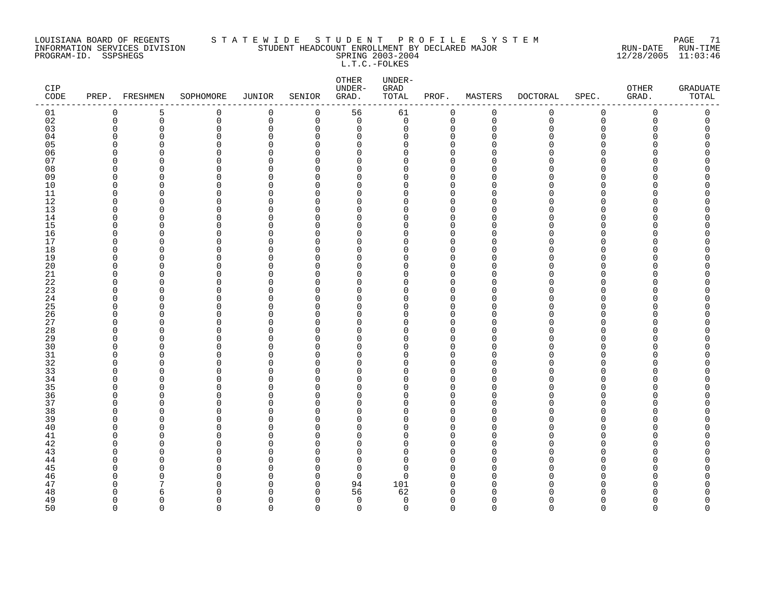#### LOUISIANA BOARD OF REGENTS S T A T E W I D E S T U D E N T P R O F I L E S Y S T E M PAGE 71 INFORMATION SERVICES DIVISION STUDENT HEADCOUNT ENROLLMENT BY DECLARED MAJOR RUN-DATE RUN-TIME PROGRAM-ID. SSPSHEGS SPRING 2003-2004 12/28/2005 11:03:46 L.T.C.-FOLKES

| $\mathtt{CIP}$<br>CODE |                         | PREP. FRESHMEN | SOPHOMORE | <b>JUNIOR</b>              | SENIOR               | OTHER<br>UNDER-<br>GRAD.   | UNDER-<br>GRAD<br>TOTAL | PROF.                      | MASTERS       | <b>DOCTORAL</b> | SPEC.                | OTHER<br>GRAD. | GRADUATE<br>TOTAL |
|------------------------|-------------------------|----------------|-----------|----------------------------|----------------------|----------------------------|-------------------------|----------------------------|---------------|-----------------|----------------------|----------------|-------------------|
| 01                     | $\mathbf 0$             | 5              | 0         | 0                          | 0                    | 56                         | 61                      | 0                          | 0             | 0               | $\mathbf 0$          | 0              | 0                 |
| 02                     | $\mathbf 0$             | $\mathsf 0$    | 0         | $\mathbf 0$                | 0                    | $\mathbf 0$                | $\mathsf{O}$            | $\mathbf 0$                | $\mathbf 0$   | $\mathbf 0$     | $\mathbf 0$          | 0              | 0                 |
| 03                     | $\mathbf 0$             | 0              | 0         | $\mathbf 0$                | 0                    | $\mathbf 0$                | 0                       | 0                          | $\Omega$      | O               | $\Omega$             | O              | 0                 |
| 04                     | $\Omega$                | $\Omega$       | 0         | $\Omega$                   | $\Omega$             | $\Omega$                   | $\Omega$                | $\Omega$                   | n             | ∩               | ∩                    | ∩              | U                 |
| 05                     | $\Omega$                | $\Omega$       | $\Omega$  | $\Omega$                   | $\Omega$             | $\Omega$                   | $\Omega$                | $\mathbf 0$                | n             |                 | $\Omega$             |                | C                 |
| 06                     | 0                       | 0              | 0         | 0                          | 0                    | 0                          | 0                       | 0                          | ∩             |                 | ∩<br>∩               |                | Ω                 |
| 07<br>08               | $\mathbf 0$<br>$\Omega$ | O<br>O         | 0<br>0    | $\mathbf 0$<br>$\mathbf 0$ | $\Omega$<br>$\Omega$ | 0<br>0                     | 0<br>0                  | $\mathbf 0$<br>$\mathbf 0$ | n             |                 | ∩                    |                | ⋂<br>⋂            |
| 09                     | $\Omega$                | O              | 0         | $\Omega$                   | $\Omega$             | $\Omega$                   | $\Omega$                | $\Omega$                   | U             |                 | ∩                    |                |                   |
| 10                     | $\mathbf 0$             | $\Omega$       | 0         | $\Omega$                   | 0                    | 0                          | 0                       | $\mathbf 0$                | n             |                 | $\Omega$             |                |                   |
| 11                     | $\mathbf 0$             | 0              | 0         | $\Omega$                   | $\Omega$             | 0                          | 0                       | $\mathbf 0$                | U             |                 | ∩                    |                |                   |
| 12                     | $\Omega$                | O              | 0         | 0                          | $\Omega$             | 0                          | 0                       | $\Omega$                   |               |                 | ∩                    |                |                   |
| 13                     | $\Omega$                | $\Omega$       | 0         | $\mathbf 0$                | $\Omega$             | 0                          | 0                       | $\Omega$                   | n             |                 | $\Omega$             |                |                   |
| 14                     | $\Omega$                | O              | 0         | $\Omega$                   | $\Omega$             | $\mathbf 0$                | 0                       | $\mathbf 0$                | ∩             |                 | ∩                    |                | Λ                 |
| 15                     | $\Omega$                | 0              | 0         | $\Omega$                   | $\Omega$             | 0                          | 0                       | $\Omega$                   | U             |                 | $\Omega$             |                | Ω                 |
| 16                     | $\mathbf 0$             | 0              | 0         | $\Omega$                   | $\Omega$             | 0                          | 0                       | $\mathbf 0$                | n             |                 | $\Omega$             |                | Ω                 |
| 17                     | $\Omega$                | O              | 0         | $\mathbf 0$                | $\Omega$             | $\Omega$                   | $\Omega$                | $\Omega$                   | U             |                 | ∩                    |                |                   |
| 18                     | $\Omega$                | $\Omega$       | 0         | $\Omega$                   | $\Omega$             | $\Omega$                   | $\Omega$                | $\Omega$                   | $\cap$        |                 | $\Omega$             |                |                   |
| 19                     | $\mathbf 0$             | 0              | 0         | $\mathbf 0$                | $\Omega$             | 0                          | 0                       | $\mathbf 0$                | U             |                 | $\Omega$             |                | Λ                 |
| 20                     | $\mathbf 0$             | 0              | 0         | $\Omega$                   | $\Omega$             | 0                          | 0                       | $\Omega$                   | U             |                 | $\Omega$             |                |                   |
| 21                     | $\Omega$                | O              | 0         | $\mathbf 0$                | $\Omega$             | 0                          | 0                       | $\mathbf 0$                | $\cap$        |                 | ∩                    |                |                   |
| 22                     | $\Omega$                | O              | $\Omega$  | $\Omega$                   | $\Omega$             | $\Omega$                   | $\Omega$                | $\Omega$                   | O             |                 | ∩                    |                |                   |
| 23                     | $\Omega$                | O              | 0         | $\Omega$                   | $\Omega$             | $\Omega$                   | 0                       | $\mathbf 0$                | n             |                 | $\Omega$             |                |                   |
| 24                     | $\mathbf 0$             | 0              | 0         | $\Omega$                   | $\Omega$             | 0                          | 0                       | $\mathbf 0$                | O             |                 | $\Omega$             |                |                   |
| 25                     | 0<br>$\Omega$           | 0              | 0         | $\Omega$                   | $\Omega$             | 0                          | 0<br>0                  | $\mathbf 0$                | ∩             |                 | ∩<br>∩               |                | ⋂<br>⋂            |
| 26<br>27               | $\Omega$                | 0<br>O         | 0<br>0    | $\mathbf 0$<br>$\Omega$    | $\Omega$<br>$\Omega$ | 0<br>0                     | 0                       | $\mathbf 0$<br>$\mathbf 0$ | n             |                 | ∩                    |                |                   |
| 28                     | $\Omega$                | 0              | 0         | $\overline{0}$             | $\Omega$             | 0                          | 0                       | $\mathbf 0$                |               |                 | $\Omega$             |                |                   |
| 29                     | $\mathbf 0$             | 0              | 0         | $\Omega$                   | $\Omega$             | 0                          | 0                       | 0                          | O             |                 | $\Omega$             |                |                   |
| 30                     | $\Omega$                | O              | 0         | $\mathbf 0$                | $\Omega$             | 0                          | 0                       | $\Omega$                   | n             |                 | ∩                    |                |                   |
| $31$                   | $\Omega$                | C              | 0         | $\Omega$                   | $\Omega$             | $\Omega$                   | $\Omega$                | $\Omega$                   | n             |                 | ∩                    |                |                   |
| 32                     | $\Omega$                | O              | 0         | $\Omega$                   | $\Omega$             | 0                          | 0                       | $\mathbf 0$                | ∩             |                 | ∩                    |                |                   |
| 33                     | $\mathbf 0$             | 0              | 0         | $\Omega$                   | $\Omega$             | 0                          | 0                       | $\Omega$                   | O             |                 | $\Omega$             |                |                   |
| 34                     | 0                       | 0              | 0         | 0                          | 0                    | 0                          | 0                       | 0                          | $\cap$        |                 | ∩                    |                |                   |
| 35                     | $\Omega$                | O              | 0         | $\Omega$                   | $\Omega$             | $\Omega$                   | $\Omega$                | $\Omega$                   |               |                 | ∩                    |                |                   |
| 36                     | $\Omega$                | O              | 0         | $\Omega$                   | $\Omega$             | 0                          | 0                       | $\mathbf 0$                | n             |                 | $\Omega$             |                | ⋂                 |
| 37                     | $\mathbf 0$             | $\Omega$       | 0         | $\Omega$                   | $\Omega$             | 0                          | 0                       | $\mathbf 0$                | $\cap$        |                 | $\Omega$             |                |                   |
| 38                     | 0                       | 0              | 0         | $\Omega$                   | $\Omega$             | 0                          | 0                       | $\Omega$                   | n             |                 | $\Omega$             |                | Ω                 |
| 39                     | $\Omega$                | O              | 0         | $\mathbf 0$                | $\Omega$             | 0                          | 0                       | $\mathbf 0$                | n             |                 | ∩                    |                |                   |
| 40                     | $\Omega$                | O              | $\Omega$  | $\Omega$                   | $\Omega$             | $\Omega$                   | $\Omega$                | $\Omega$                   | O             |                 | ∩                    |                |                   |
| 41                     | $\Omega$                | O              | 0         | $\Omega$                   | $\Omega$             | 0                          | 0                       | $\Omega$                   | n             |                 | $\Omega$             |                |                   |
| 42                     | 0                       | 0              | 0         | $\Omega$                   | 0                    | 0                          | 0                       | 0                          | O             |                 | $\Omega$             |                |                   |
| 43                     | $\Omega$                | O              | 0         | $\mathbf 0$                | $\Omega$             | $\Omega$                   | 0                       | $\mathbf 0$                | ∩             |                 | ∩                    |                |                   |
| 44                     | $\Omega$                | C              | $\Omega$  | $\Omega$                   | $\Omega$             | $\Omega$                   | 0                       | $\Omega$                   | n             |                 | ∩                    |                |                   |
| 45                     | $\Omega$                | O<br>0         | 0         | $\Omega$<br>$\Omega$       | $\Omega$<br>$\Omega$ | $\mathbf 0$<br>$\mathbf 0$ | 0<br>0                  | $\mathbf 0$<br>$\Omega$    | O<br>$\Omega$ |                 | $\Omega$<br>$\Omega$ |                |                   |
| 46<br>47               | $\mathbf 0$<br>0        | 7              | 0<br>0    | 0                          | 0                    | 94                         | 101                     | 0                          | $\cap$        |                 | ∩                    |                | Ω                 |
| 48                     | $\Omega$                | 6              | $\Omega$  | $\Omega$                   | $\Omega$             | 56                         | 62                      | $\Omega$                   |               |                 |                      |                | ⋂                 |
| 49                     | $\Omega$                | $\Omega$       | 0         | $\Omega$                   | $\Omega$             | $\mathbf 0$                | $\mathbf 0$             | $\mathbf 0$                | $\Omega$      | N               | $\Omega$             | U              | 0                 |
| 50                     | $\Omega$                | $\Omega$       | $\Omega$  | $\Omega$                   | $\Omega$             | $\Omega$                   | $\Omega$                | $\Omega$                   | $\Omega$      | $\Omega$        | $\Omega$             | $\Omega$       | $\Omega$          |
|                        |                         |                |           |                            |                      |                            |                         |                            |               |                 |                      |                |                   |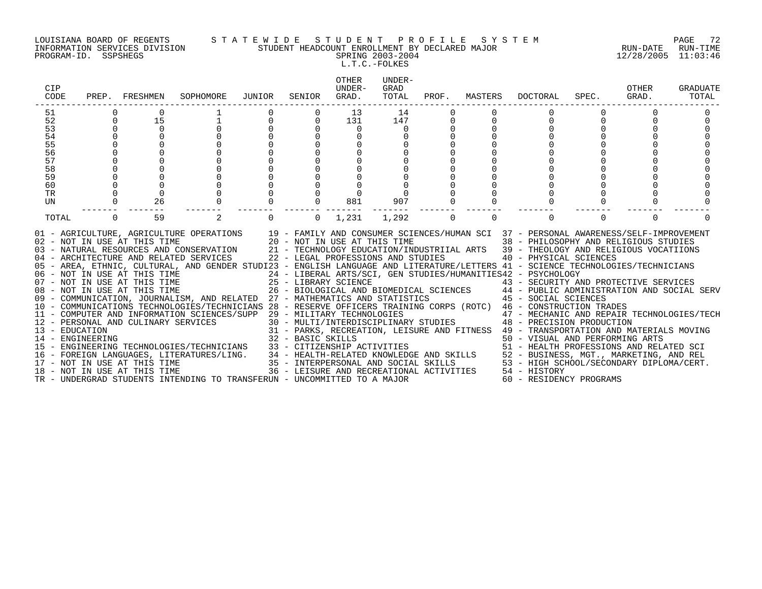PROGRAM-ID. SSPSHEGS SPRING 2003-2004 12/28/2005 11:03:46

### LOUISIANA BOARD OF REGENTS S T A T E W I D E S T U D E N T P R O F I L E S Y S T E M PAGE 72 INFORMATION SERVICES DIVISION STUDENT HEADCOUNT ENROLLMENT BY DECLARED MAJOR RUN-DATE RUN-TIME

L.T.C.-FOLKES

| CIP<br>CODE                        |          | PREP. FRESHMEN                                                                               | SOPHOMORE                                                                                                                                                                                                                                                                                                                                                                                                                                                                                                                                                                                                                                                                                                                                                            | JUNIOR | SENIOR            | <b>OTHER</b><br>UNDER-<br>GRAD.                                                                                                                                                                               | UNDER-<br>GRAD<br>TOTAL | PROF.    | MASTERS  | DOCTORAL                                                                                                                                                                                                                                                                                                                                                                                                                                                                                                                                                                                                                                                                                                                                                                                                                 | SPEC.    | OTHER<br>GRAD. | GRADUATE<br>TOTAL |
|------------------------------------|----------|----------------------------------------------------------------------------------------------|----------------------------------------------------------------------------------------------------------------------------------------------------------------------------------------------------------------------------------------------------------------------------------------------------------------------------------------------------------------------------------------------------------------------------------------------------------------------------------------------------------------------------------------------------------------------------------------------------------------------------------------------------------------------------------------------------------------------------------------------------------------------|--------|-------------------|---------------------------------------------------------------------------------------------------------------------------------------------------------------------------------------------------------------|-------------------------|----------|----------|--------------------------------------------------------------------------------------------------------------------------------------------------------------------------------------------------------------------------------------------------------------------------------------------------------------------------------------------------------------------------------------------------------------------------------------------------------------------------------------------------------------------------------------------------------------------------------------------------------------------------------------------------------------------------------------------------------------------------------------------------------------------------------------------------------------------------|----------|----------------|-------------------|
| 51                                 |          |                                                                                              |                                                                                                                                                                                                                                                                                                                                                                                                                                                                                                                                                                                                                                                                                                                                                                      |        |                   | 13                                                                                                                                                                                                            | 14                      |          |          |                                                                                                                                                                                                                                                                                                                                                                                                                                                                                                                                                                                                                                                                                                                                                                                                                          |          |                |                   |
| 52                                 | 0        | 15                                                                                           |                                                                                                                                                                                                                                                                                                                                                                                                                                                                                                                                                                                                                                                                                                                                                                      | 0      | 0                 | 131                                                                                                                                                                                                           | 147                     |          |          |                                                                                                                                                                                                                                                                                                                                                                                                                                                                                                                                                                                                                                                                                                                                                                                                                          |          |                |                   |
| 53                                 |          | $\overline{0}$                                                                               |                                                                                                                                                                                                                                                                                                                                                                                                                                                                                                                                                                                                                                                                                                                                                                      |        |                   | $\mathbf{0}$                                                                                                                                                                                                  |                         |          |          |                                                                                                                                                                                                                                                                                                                                                                                                                                                                                                                                                                                                                                                                                                                                                                                                                          |          |                |                   |
| 54                                 |          |                                                                                              |                                                                                                                                                                                                                                                                                                                                                                                                                                                                                                                                                                                                                                                                                                                                                                      |        |                   |                                                                                                                                                                                                               |                         |          |          |                                                                                                                                                                                                                                                                                                                                                                                                                                                                                                                                                                                                                                                                                                                                                                                                                          |          |                |                   |
| 55                                 |          |                                                                                              |                                                                                                                                                                                                                                                                                                                                                                                                                                                                                                                                                                                                                                                                                                                                                                      |        |                   |                                                                                                                                                                                                               |                         |          |          |                                                                                                                                                                                                                                                                                                                                                                                                                                                                                                                                                                                                                                                                                                                                                                                                                          |          |                |                   |
| 56                                 |          |                                                                                              |                                                                                                                                                                                                                                                                                                                                                                                                                                                                                                                                                                                                                                                                                                                                                                      |        |                   |                                                                                                                                                                                                               |                         |          |          |                                                                                                                                                                                                                                                                                                                                                                                                                                                                                                                                                                                                                                                                                                                                                                                                                          |          |                |                   |
| 57                                 |          |                                                                                              |                                                                                                                                                                                                                                                                                                                                                                                                                                                                                                                                                                                                                                                                                                                                                                      |        |                   |                                                                                                                                                                                                               |                         |          |          |                                                                                                                                                                                                                                                                                                                                                                                                                                                                                                                                                                                                                                                                                                                                                                                                                          |          |                |                   |
| 58                                 |          |                                                                                              |                                                                                                                                                                                                                                                                                                                                                                                                                                                                                                                                                                                                                                                                                                                                                                      |        |                   |                                                                                                                                                                                                               |                         |          |          |                                                                                                                                                                                                                                                                                                                                                                                                                                                                                                                                                                                                                                                                                                                                                                                                                          |          |                |                   |
| 59                                 |          |                                                                                              |                                                                                                                                                                                                                                                                                                                                                                                                                                                                                                                                                                                                                                                                                                                                                                      |        |                   |                                                                                                                                                                                                               |                         |          |          |                                                                                                                                                                                                                                                                                                                                                                                                                                                                                                                                                                                                                                                                                                                                                                                                                          |          |                |                   |
| 60                                 |          |                                                                                              |                                                                                                                                                                                                                                                                                                                                                                                                                                                                                                                                                                                                                                                                                                                                                                      |        |                   |                                                                                                                                                                                                               |                         |          |          |                                                                                                                                                                                                                                                                                                                                                                                                                                                                                                                                                                                                                                                                                                                                                                                                                          |          |                |                   |
| <b>TR</b>                          |          |                                                                                              |                                                                                                                                                                                                                                                                                                                                                                                                                                                                                                                                                                                                                                                                                                                                                                      |        |                   |                                                                                                                                                                                                               |                         |          |          |                                                                                                                                                                                                                                                                                                                                                                                                                                                                                                                                                                                                                                                                                                                                                                                                                          |          |                |                   |
| UN                                 | 0        | 26                                                                                           |                                                                                                                                                                                                                                                                                                                                                                                                                                                                                                                                                                                                                                                                                                                                                                      |        | $\Omega$          | 881                                                                                                                                                                                                           | 907                     |          |          |                                                                                                                                                                                                                                                                                                                                                                                                                                                                                                                                                                                                                                                                                                                                                                                                                          |          |                |                   |
| TOTAL                              | $\Omega$ | 59                                                                                           | 2                                                                                                                                                                                                                                                                                                                                                                                                                                                                                                                                                                                                                                                                                                                                                                    | 0      | $\Omega$          | 1,231                                                                                                                                                                                                         | 1,292                   | $\Omega$ | $\Omega$ |                                                                                                                                                                                                                                                                                                                                                                                                                                                                                                                                                                                                                                                                                                                                                                                                                          | $\Omega$ | $\Omega$       |                   |
| 13 - EDUCATION<br>14 - ENGINEERING |          | 02 - NOT IN USE AT THIS TIME<br>08 - NOT IN USE AT THIS TIME<br>17 - NOT IN USE AT THIS TIME | 01 - AGRICULTURE, AGRICULTURE OPERATIONS<br>03 - NATURAL RESOURCES AND CONSERVATION<br>04 - ARCHITECTURE AND RELATED SERVICES<br>05 - AREA, ETHNIC, CULTURAL, AND GENDER STUDI23 - ENGLISH LANGUAGE AND LITERATURE/LETTERS 41 - SCIENCE TECHNOLOGIES/TECHNICIANS<br>06 - NOT IN USE AT THIS TIME<br>07 - NOT IN USE AT THIS TIME<br>09 - COMMUNICATION, JOURNALISM, AND RELATED 27 - MATHEMATICS AND STATISTICS 45 - SOCIAL SCIENCES<br>10 - COMMUNICATIONS TECHNOLOGIES/TECHNICIANS 28 - RESERVE OFFICERS TRAINING CORPS (ROTC) 46 - CONSTRUCTION TRADES<br>11 - COMPUTER AND INFORMATION SCIENCES/SUPP 29 - MILITARY TECHNOLOGIES<br>12 - PERSONAL AND CULINARY SERVICES<br>15 - ENGINEERING TECHNOLOGIES/TECHNICIANS<br>16 - FOREIGN LANGUAGES, LITERATURES/LING. |        | 32 - BASIC SKILLS | 20 - NOT IN USE AT THIS TIME<br>22 - LEGAL PROFESSIONS AND STUDIES<br>25 - LIBRARY SCIENCE<br>33 - CITIZENSHIP ACTIVITIES<br>34 - HEALTH-RELATED KNOWLEDGE AND SKILLS<br>35 - INTERPERSONAL AND SOCIAL SKILLS |                         |          |          | 19 - FAMILY AND CONSUMER SCIENCES/HUMAN SCI 37 - PERSONAL AWARENESS/SELF-IMPROVEMENT<br>38 - PHILOSOPHY AND RELIGIOUS STUDIES<br>21 - TECHNOLOGY EDUCATION/INDUSTRIIAL ARTS 39 - THEOLOGY AND RELIGIOUS VOCATIIONS<br>40 - PHYSICAL SCIENCES<br>24 - LIBERAL ARTS/SCI, GEN STUDIES/HUMANITIES42 - PSYCHOLOGY<br>43 - SECURITY AND PROTECTIVE SERVICES<br>26 - BIOLOGICAL AND BIOMEDICAL SCIENCES 44 - PUBLIC ADMINISTRATION AND SOCIAL SERV<br>47 - MECHANIC AND REPAIR TECHNOLOGIES/TECH<br>30 - MULTI/INTERDISCIPLINARY STUDIES 48 - PRECISION PRODUCTION<br>31 - PARKS, RECREATION, LEISURE AND FITNESS 49 - TRANSPORTATION AND MATERIALS MOVING<br>50 - VISUAL AND PERFORMING ARTS<br>51 - HEALTH PROFESSIONS AND RELATED SCI<br>52 - BUSINESS, MGT., MARKETING, AND REL<br>53 - HIGH SCHOOL/SECONDARY DIPLOMA/CERT. |          |                |                   |
|                                    |          | 18 - NOT IN USE AT THIS TIME                                                                 | TR - UNDERGRAD STUDENTS INTENDING TO TRANSFERUN - UNCOMMITTED TO A MAJOR                                                                                                                                                                                                                                                                                                                                                                                                                                                                                                                                                                                                                                                                                             |        |                   | 36 - LEISURE AND RECREATIONAL ACTIVITIES                                                                                                                                                                      |                         |          |          | 54 - HISTORY<br>60 - RESIDENCY PROGRAMS                                                                                                                                                                                                                                                                                                                                                                                                                                                                                                                                                                                                                                                                                                                                                                                  |          |                |                   |
|                                    |          |                                                                                              |                                                                                                                                                                                                                                                                                                                                                                                                                                                                                                                                                                                                                                                                                                                                                                      |        |                   |                                                                                                                                                                                                               |                         |          |          |                                                                                                                                                                                                                                                                                                                                                                                                                                                                                                                                                                                                                                                                                                                                                                                                                          |          |                |                   |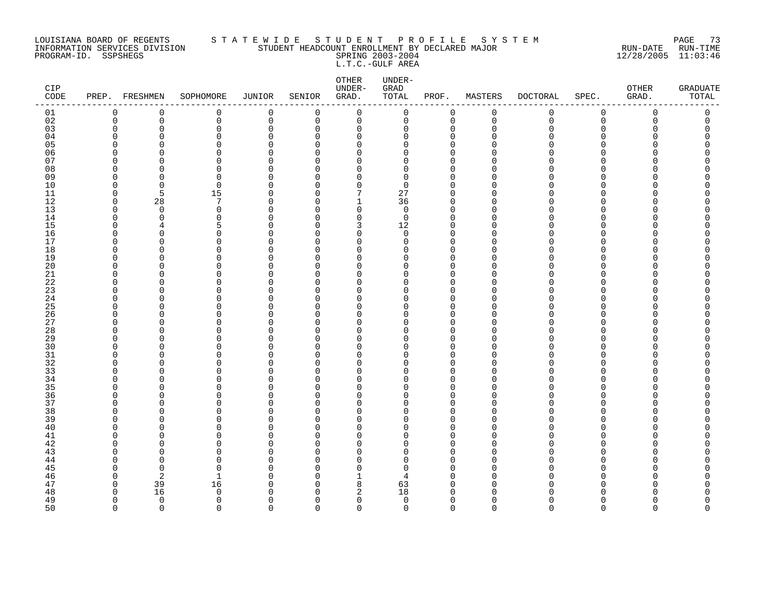#### LOUISIANA BOARD OF REGENTS S T A T E W I D E S T U D E N T P R O F I L E S Y S T E M PAGE 73 INFORMATION SERVICES DIVISION STUDENT HEADCOUNT ENROLLMENT BY DECLARED MAJOR RUN-DATE RUN-TIME PROGRAM-ID. SSPSHEGS SPRING 2003-2004 12/28/2005 11:03:46 L.T.C.-GULF AREA

| CIP<br>$\texttt{CODE}$ | PREP. FRESHMEN       |                          | SOPHOMORE            | JUNIOR             | SENIOR         | OTHER<br>UNDER-<br>GRAD. | UNDER-<br>GRAD<br>TOTAL | PROF.                   | MASTERS     | <b>DOCTORAL</b> | SPEC.       | ${\small \texttt{OTHER}}$<br>GRAD. | <b>GRADUATE</b><br>TOTAL |
|------------------------|----------------------|--------------------------|----------------------|--------------------|----------------|--------------------------|-------------------------|-------------------------|-------------|-----------------|-------------|------------------------------------|--------------------------|
| 01                     | $\mathbf 0$          | 0                        | 0                    | $\mathbf 0$        | 0              | 0                        | 0                       | 0                       | $\mathbf 0$ | 0               | $\mathsf 0$ | 0                                  | 0                        |
| 02                     | $\mathbf 0$          | $\mathbf 0$              | 0                    | $\mathbf 0$        | $\overline{0}$ | $\mathbf 0$              | $\mathbf 0$             | $\mathbf 0$             | $\mathbf 0$ | $\Omega$        | $\Omega$    | $\Omega$                           | $\Omega$                 |
| 03                     | $\mathbf 0$          | $\mathbf 0$              | 0                    | $\mathbf 0$        | $\Omega$       | 0                        | 0                       | $\mathbf 0$             | $\mathbf 0$ | U               | $\Omega$    |                                    | $\Omega$                 |
| 04                     | $\Omega$             | $\Omega$                 | 0                    | $\Omega$           | 0              | 0                        | O                       | 0                       |             |                 | ∩           |                                    | O                        |
| 05                     | ∩                    | $\Omega$                 | 0                    | $\cap$             | ∩              | $\Omega$                 | O                       | $\Omega$                |             |                 | ∩           |                                    | Λ                        |
| 06<br>07               | $\Omega$<br>$\Omega$ | $\Omega$<br>∩            | 0<br>0               | $\Omega$<br>$\cap$ | O<br>∩         | 0<br>$\Omega$            | O<br>O                  | 0<br>$\Omega$           |             |                 | ∩<br>∩      |                                    | ∩                        |
| 08                     | $\Omega$             | $\Omega$                 | 0                    | $\Omega$           | ∩              | $\Omega$                 | 0                       | $\mathbf 0$             |             |                 | ∩           |                                    |                          |
| 09                     | $\Omega$             | $\cap$                   | $\Omega$             | $\cap$             | ∩              | O                        | $\Omega$                | $\Omega$                |             |                 | ∩           |                                    |                          |
| 10                     | $\Omega$             | $\mathbf 0$              | $\mathbf 0$          | $\Omega$           | $\Omega$       | 0                        | $\Omega$                | $\Omega$                |             |                 | ∩           |                                    | Λ                        |
| 11                     | 0                    | 5                        | 15                   | $\Omega$           | O              | 7                        | 27                      | $\mathbf 0$             | ∩           |                 | ∩           |                                    |                          |
| 12                     | $\mathbf 0$          | 28                       | 7                    | $\Omega$           | $\Omega$       | 1                        | 36                      | $\mathbf 0$             | ∩           |                 | ∩           |                                    |                          |
| 13                     | 0                    | $\overline{0}$           | 0                    | $\Omega$           | ∩              | 0                        | 0                       | $\mathbf 0$             | ∩           |                 | ∩           |                                    |                          |
| 14                     | $\Omega$             | $\Omega$                 | $\Omega$             | $\cap$             | ∩              | $\Omega$                 | $\mathbf 0$             | $\Omega$                |             |                 | ∩           |                                    |                          |
| 15                     | $\Omega$             |                          | 5                    | $\cap$             | n              | 3                        | 12                      | $\Omega$                |             |                 | ∩           |                                    | ∩                        |
| 16                     | $\Omega$             | $\Omega$                 | $\Omega$             | $\cap$             | ∩              | $\Omega$                 | $\Omega$                | $\Omega$                | ∩           |                 | ∩           |                                    |                          |
| 17                     | $\mathbf 0$          | $\Omega$                 | 0                    | $\Omega$           | $\Omega$       | 0                        | 0                       | $\mathbf 0$             | O           |                 | $\Omega$    |                                    | Λ                        |
| 18                     | $\Omega$             | $\Omega$                 | 0                    | $\Omega$           | ∩              | $\Omega$                 | O                       | $\Omega$                |             |                 | ∩           |                                    |                          |
| 19                     | $\Omega$             | $\Omega$                 | 0                    | $\Omega$           | $\Omega$       | 0                        | U                       | $\mathbf 0$             |             |                 | ∩           |                                    |                          |
| 20                     | ∩                    | $\Omega$                 | 0                    | $\Omega$           | ∩              | $\Omega$                 | U                       | $\Omega$                | ∩           |                 | ∩           |                                    |                          |
| 21                     | $\Omega$             | $\Omega$                 | 0                    | $\Omega$           | ∩              | $\Omega$                 | O                       | $\Omega$                | ∩           |                 | ∩           |                                    |                          |
| 22                     | ∩                    | $\Omega$                 | 0                    | $\cap$             | ∩              | $\Omega$                 | O                       | $\Omega$                | ∩           |                 | ∩           |                                    |                          |
| 23                     | $\Omega$             | $\Omega$                 | 0                    | $\cap$             | ∩              | $\Omega$                 | O                       | $\Omega$                |             |                 | ∩           |                                    |                          |
| 24                     | 0                    | $\Omega$                 | 0                    | O                  | O              | 0                        | 0                       | 0                       | ∩           |                 | ∩           |                                    |                          |
| 25                     | ∩<br>$\Omega$        | <sup>0</sup><br>$\Omega$ | 0                    | ∩<br>$\Omega$      | ∩<br>$\Omega$  | O                        | U<br>O                  | $\Omega$                | ∩           |                 | $\Omega$    |                                    |                          |
| 26<br>27               | $\Omega$             | $\Omega$                 | 0<br>0               | ∩                  | ∩              | 0<br>$\Omega$            | O                       | 0<br>$\Omega$           |             |                 | ∩           |                                    |                          |
| 28                     | $\Omega$             | $\Omega$                 | $\Omega$             | $\cap$             | $\Omega$       | $\Omega$                 | O                       | $\Omega$                |             |                 | ∩           |                                    |                          |
| 29                     | ∩                    | $\Omega$                 | 0                    | $\cap$             | $\Omega$       | $\Omega$                 | O                       | $\Omega$                |             |                 | ∩           |                                    |                          |
| 30                     | ∩                    | $\cap$                   | $\Omega$             | ∩                  | ∩              | U                        | O                       | $\Omega$                |             |                 | ∩           |                                    |                          |
| 31                     | $\Omega$             | $\Omega$                 | 0                    | O                  | O              | 0                        | 0                       | 0                       | n           |                 | O           |                                    | Π                        |
| 32                     | $\Omega$             | <sup>0</sup>             | 0                    | ∩                  | U              | O                        | O                       | 0                       |             |                 | ∩           |                                    |                          |
| 33                     | ∩                    | $\Omega$                 | 0                    | $\cap$             | ∩              | $\Omega$                 | O                       | $\Omega$                |             |                 | ∩           |                                    |                          |
| 34                     | ∩                    | $\Omega$                 | 0                    | $\cap$             | ∩              | $\Omega$                 | O                       | $\Omega$                |             |                 | ∩           |                                    |                          |
| 35                     | ∩                    | $\Omega$                 | 0                    | $\cap$             | ∩              | $\Omega$                 | O                       | $\Omega$                |             |                 | ∩           |                                    |                          |
| 36                     | ∩                    | $\Omega$                 | 0                    | $\cap$             | ∩              | $\Omega$                 | O                       | $\Omega$                | ∩           |                 | ∩           |                                    |                          |
| 37                     | $\Omega$             | $\Omega$                 | 0                    | $\Omega$           | $\Omega$       | $\Omega$                 | 0                       | $\mathbf{0}$            |             |                 | $\Omega$    |                                    |                          |
| 38                     | O                    | $\Omega$                 | 0                    | O                  | O              | $\Omega$                 | O                       | 0                       |             |                 | ∩           |                                    |                          |
| 39                     | $\Omega$             | $\Omega$                 | 0                    | $\Omega$           | $\Omega$       | $\Omega$                 | O                       | $\mathbf 0$             | ∩           |                 | ∩           |                                    |                          |
| 40                     | $\Omega$             | $\Omega$                 | 0                    | $\cap$             | $\Omega$       | $\Omega$                 | O                       | $\mathbf 0$             | ∩           |                 | ∩           |                                    |                          |
| 41                     | ∩                    | $\Omega$                 | 0                    | $\Omega$           | ∩              | $\Omega$                 | O                       | $\Omega$                |             |                 | ∩           |                                    |                          |
| 42                     | $\Omega$<br>∩        | $\Omega$                 | $\Omega$<br>$\Omega$ | $\Omega$           | ∩              | $\Omega$                 | 0<br>O                  | $\mathbf 0$<br>$\Omega$ | ∩           |                 | ∩           |                                    | ∩                        |
| 43                     | $\Omega$             | $\cap$<br>$\Omega$       | $\Omega$             | $\cap$<br>$\Omega$ | ∩<br>$\Omega$  | O<br>$\Omega$            | O                       | $\mathbf 0$             | O           |                 | $\Omega$    |                                    |                          |
| 44<br>45               | $\Omega$             | $\Omega$                 | 0                    | ∩                  | U              | 0                        | $\Omega$                | 0                       |             |                 | ∩           |                                    |                          |
| 46                     | $\Omega$             | 2                        |                      | $\Omega$           | U              | 1                        | 4                       | $\Omega$                |             |                 | ∩           |                                    |                          |
| 47                     | 0                    | 39                       | 16                   | $\Omega$           | O              | 8                        | 63                      | 0                       |             |                 | ∩           |                                    |                          |
| 48                     | $\Omega$             | 16                       | $\Omega$             | ∩                  | ∩              | 2                        | 18                      | $\Omega$                |             |                 |             |                                    |                          |
| 49                     | $\Omega$             | $\overline{0}$           | 0                    | $\Omega$           | $\Omega$       | 0                        | $\mathbf 0$             | $\mathbf 0$             | $\Omega$    |                 | ∩           |                                    | O                        |
| 50                     | $\Omega$             | $\Omega$                 | $\cap$               | $\Omega$           | $\Omega$       | $\Omega$                 | $\Omega$                | $\Omega$                | $\Omega$    | $\Omega$        | $\Omega$    | $\Omega$                           | $\Omega$                 |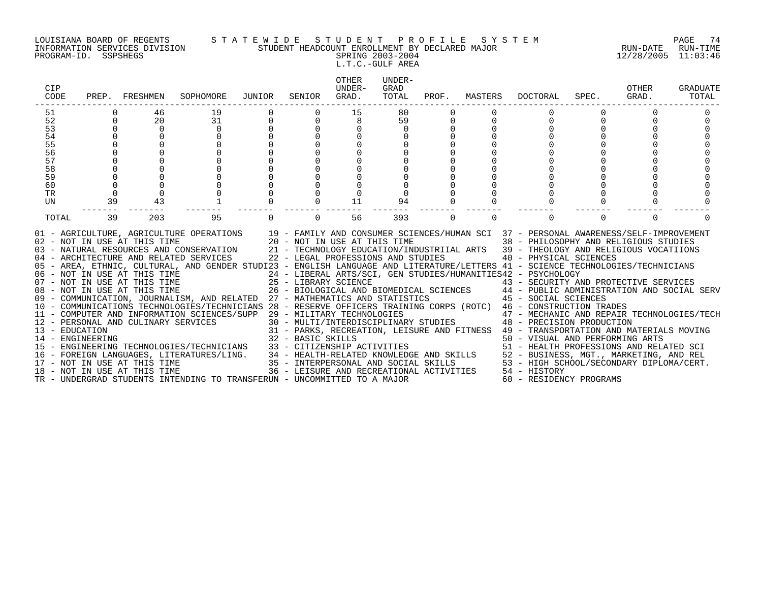#### LOUISIANA BOARD OF REGENTS S T A T E W I D E S T U D E N T P R O F I L E S Y S T E M PAGE 74 INFORMATION SERVICES DIVISION STUDENT HEADCOUNT ENROLLMENT BY DECLARED MAJOR RUN-DATE RUN-TIME PROGRAM-ID. SSPSHEGS SPRING 2003-2004 12/28/2005 11:03:46

L.T.C.-GULF AREA

| CIP<br>CODE |          | PREP. FRESHMEN               | SOPHOMORE                                                                                                                                                                                                                                                                                                                                                                                                                                                                                                                                                                                                                                                                                                                                                                                                                                                                                                                                                                                                                                                                                                                                                                                                                                                                                                                                                                         | JUNIOR   | SENIOR   | OTHER<br>IJNDER-<br>GRAD. | UNDER-<br>GRAD<br>TOTAL | PROF.    | MASTERS  | DOCTORAL                                                                         | SPEC.    | OTHER<br>GRAD. | <b>GRADUATE</b><br>TOTAL |
|-------------|----------|------------------------------|-----------------------------------------------------------------------------------------------------------------------------------------------------------------------------------------------------------------------------------------------------------------------------------------------------------------------------------------------------------------------------------------------------------------------------------------------------------------------------------------------------------------------------------------------------------------------------------------------------------------------------------------------------------------------------------------------------------------------------------------------------------------------------------------------------------------------------------------------------------------------------------------------------------------------------------------------------------------------------------------------------------------------------------------------------------------------------------------------------------------------------------------------------------------------------------------------------------------------------------------------------------------------------------------------------------------------------------------------------------------------------------|----------|----------|---------------------------|-------------------------|----------|----------|----------------------------------------------------------------------------------|----------|----------------|--------------------------|
| 51          |          | 46                           | 19                                                                                                                                                                                                                                                                                                                                                                                                                                                                                                                                                                                                                                                                                                                                                                                                                                                                                                                                                                                                                                                                                                                                                                                                                                                                                                                                                                                |          |          | 15                        | 80                      |          |          |                                                                                  |          |                |                          |
| 52          | $\Omega$ | 20                           | 31                                                                                                                                                                                                                                                                                                                                                                                                                                                                                                                                                                                                                                                                                                                                                                                                                                                                                                                                                                                                                                                                                                                                                                                                                                                                                                                                                                                |          |          |                           | 59                      |          |          |                                                                                  |          |                |                          |
| 53          | $\Omega$ | $\mathbf 0$                  | $\mathbf 0$                                                                                                                                                                                                                                                                                                                                                                                                                                                                                                                                                                                                                                                                                                                                                                                                                                                                                                                                                                                                                                                                                                                                                                                                                                                                                                                                                                       |          |          |                           | $\mathbf 0$             |          |          |                                                                                  |          |                |                          |
| 54          |          |                              | $\Omega$                                                                                                                                                                                                                                                                                                                                                                                                                                                                                                                                                                                                                                                                                                                                                                                                                                                                                                                                                                                                                                                                                                                                                                                                                                                                                                                                                                          |          |          |                           |                         |          |          |                                                                                  |          |                |                          |
| 55          |          |                              |                                                                                                                                                                                                                                                                                                                                                                                                                                                                                                                                                                                                                                                                                                                                                                                                                                                                                                                                                                                                                                                                                                                                                                                                                                                                                                                                                                                   |          |          |                           |                         |          |          |                                                                                  |          |                |                          |
| 56          |          |                              |                                                                                                                                                                                                                                                                                                                                                                                                                                                                                                                                                                                                                                                                                                                                                                                                                                                                                                                                                                                                                                                                                                                                                                                                                                                                                                                                                                                   |          |          |                           |                         |          |          |                                                                                  |          |                |                          |
| 57          |          |                              |                                                                                                                                                                                                                                                                                                                                                                                                                                                                                                                                                                                                                                                                                                                                                                                                                                                                                                                                                                                                                                                                                                                                                                                                                                                                                                                                                                                   |          |          |                           |                         |          |          |                                                                                  |          |                |                          |
| 58          |          |                              |                                                                                                                                                                                                                                                                                                                                                                                                                                                                                                                                                                                                                                                                                                                                                                                                                                                                                                                                                                                                                                                                                                                                                                                                                                                                                                                                                                                   |          |          |                           |                         |          |          |                                                                                  |          |                |                          |
| 59          |          |                              |                                                                                                                                                                                                                                                                                                                                                                                                                                                                                                                                                                                                                                                                                                                                                                                                                                                                                                                                                                                                                                                                                                                                                                                                                                                                                                                                                                                   |          |          |                           |                         |          |          |                                                                                  |          |                |                          |
| 60          |          |                              |                                                                                                                                                                                                                                                                                                                                                                                                                                                                                                                                                                                                                                                                                                                                                                                                                                                                                                                                                                                                                                                                                                                                                                                                                                                                                                                                                                                   |          |          |                           |                         |          |          |                                                                                  |          |                |                          |
| <b>TR</b>   | $\Omega$ | $\Omega$<br>43               |                                                                                                                                                                                                                                                                                                                                                                                                                                                                                                                                                                                                                                                                                                                                                                                                                                                                                                                                                                                                                                                                                                                                                                                                                                                                                                                                                                                   |          |          |                           |                         |          |          |                                                                                  |          |                |                          |
| UN          | 39       |                              |                                                                                                                                                                                                                                                                                                                                                                                                                                                                                                                                                                                                                                                                                                                                                                                                                                                                                                                                                                                                                                                                                                                                                                                                                                                                                                                                                                                   |          |          | 11                        | 94                      |          |          |                                                                                  |          |                |                          |
| TOTAL       | 39       | 203                          | 95                                                                                                                                                                                                                                                                                                                                                                                                                                                                                                                                                                                                                                                                                                                                                                                                                                                                                                                                                                                                                                                                                                                                                                                                                                                                                                                                                                                | $\Omega$ | $\Omega$ | 56                        | 393                     | $\Omega$ | $\Omega$ | $\Omega$                                                                         | $\Omega$ | $\Omega$       |                          |
|             |          | 18 - NOT IN USE AT THIS TIME | 01 - AGRICULTURE, AGRICULTURE OPERATIONS 19 - FAMILY AND CONSUMER SCIENCES/HUMAN SCI 37 - PERSONAL AWARENESS/SELF-IMPROVEMENT 02 - NOT IN USE AT THIS TIME 38 - PHILOSOPHY AND RELIGIOUS STUDIES<br>03 - NATURAL RESOURCES AND CO<br>04 - ARCHITECTURE AND RELATED SERVICES 22 - LEGAL PROFESSIONS AND STUDIES 40 - PHYSICAL SCIENCES<br>05 - AREA, ETHNIC, CULTURAL, AND GENDER STUDI23 - ENGLISH LANGUAGE AND LITERATURE/LETTERS 41 - SCIENCE TECHNOLOGIES/TECHNICIANS<br>06 - NOT IN USE AT THIS TIME<br>07 - NOT IN USE AT THIS TIME<br>08 - NOT IN USE AT THIS TIME<br>08 - NOT IN USE AT THIS TIME<br>08 - NOT IN USE AT THIS TIME<br>26 - BIOLOGICAL AND BIOMEDICAL SCIENCES 44 - PUBLIC ADMI<br>07 - NOT IN USE AT THIS TIME 25 - LIBRARY SCIENCE 43 - SECURITY AND PROTECTIVE SERVICES<br>08 - NOT IN USE AT THIS TIME 26 - BIOLOGICAL AND BIOMEDICAL SCIENCES 44 - PUBLIC ADMINISTRATION AND SOCIAL SERV<br>09 - COMMUNICATION, JO<br>10 - COMMUNICATIONS TECHNOLOGIES/TECHNICIANS 28 - RESERVE OFFICERS TRAINING CORPS (ROTC) 46 - CONSTRUCTION TRADES<br>15 - EOREIGN LANGUAGES, LITERATURES/LING. 334 - HEALTH-RELATED KNOWLEDGE AND SKILLS 52 - BUSINESS, MGT., MARKETING, AND REL<br>17 - NOT IN USE AT THIS TIME TIME 35 - INTERPERSONAL AND SOCIAL SKILLS 53 - HIGH SCHOOL/SECONDARY<br>TR - UNDERGRAD STUDENTS INTENDING TO TRANSFERUN - UNCOMMITTED TO A MAJOR |          |          |                           |                         |          |          | 36 - LEISURE AND RECREATIONAL ACTIVITIES 54 - HISTORY<br>60 - RESIDENCY PROGRAMS |          |                |                          |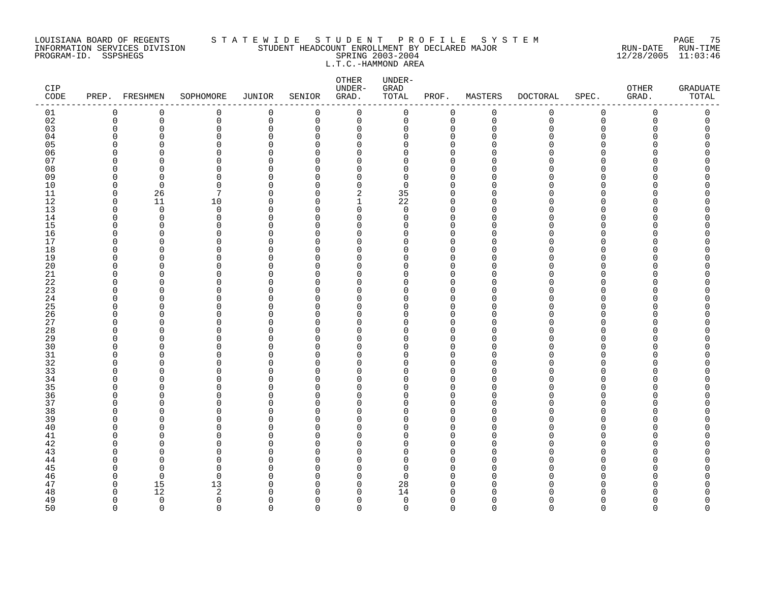#### LOUISIANA BOARD OF REGENTS S T A T E W I D E S T U D E N T P R O F I L E S Y S T E M PAGE 75 INFORMATION SERVICES DIVISION STUDENT HEADCOUNT ENROLLMENT BY DECLARED MAJOR RUN-DATE RUN-TIME PROGRAM-ID. SSPSHEGS SPRING 2003-2004 12/28/2005 11:03:46 L.T.C.-HAMMOND AREA

| CIP<br>$\texttt{CODE}{}$ |                      | PREP. FRESHMEN | SOPHOMORE     | <b>JUNIOR</b>           | SENIOR               | OTHER<br>UNDER-<br>GRAD. | UNDER-<br>GRAD<br>TOTAL | PROF.                   | MASTERS     | <b>DOCTORAL</b> | SPEC.       | OTHER<br>GRAD. | <b>GRADUATE</b><br>TOTAL |
|--------------------------|----------------------|----------------|---------------|-------------------------|----------------------|--------------------------|-------------------------|-------------------------|-------------|-----------------|-------------|----------------|--------------------------|
| 01                       | $\mathbf 0$          | 0              | 0             | 0                       | 0                    | $\mathbf 0$              | $\mathsf{O}$            | 0                       | $\mathsf 0$ | 0               | $\mathbf 0$ | 0              | 0                        |
| 02                       | $\mathbf 0$          | $\mathbf 0$    | 0             | $\mathsf 0$             | 0                    | $\mathbf 0$              | 0                       | $\mathbf 0$             | $\mathbf 0$ | $\mathbf 0$     | $\mathbf 0$ | $\Omega$       | 0                        |
| 03                       | $\mathbf 0$          | $\Omega$       | 0             | $\mathbf 0$             | 0                    | 0                        | 0                       | $\Omega$                | $\Omega$    | U               | $\Omega$    | U              | C                        |
| 04                       | $\Omega$             | 0              | 0             | 0                       | $\Omega$             | 0                        | 0                       | 0                       | ∩           |                 | ∩           |                | Λ                        |
| 05                       | $\Omega$<br>$\Omega$ | O              | $\Omega$      | $\Omega$                | $\Omega$             | 0                        | 0                       | $\Omega$                |             |                 | ∩<br>∩      |                |                          |
| 06<br>07                 | $\Omega$             | 0<br>n         | 0<br>$\Omega$ | $\mathbf 0$<br>$\Omega$ | $\Omega$<br>$\Omega$ | 0<br>$\Omega$            | 0<br>$\Omega$           | $\mathbf 0$<br>$\Omega$ |             |                 | ∩           |                | Λ                        |
| 08                       | $\Omega$             | $\Omega$       | $\Omega$      | $\Omega$                | $\Omega$             | $\Omega$                 | $\Omega$                | $\Omega$                |             |                 | ∩           |                |                          |
| 09                       | 0                    | $\Omega$       | $\Omega$      | 0                       | 0                    | 0                        | 0                       | $\mathbf 0$             |             |                 | ∩           |                |                          |
| 10                       | $\mathbf 0$          | $\mathbf 0$    | 0             | $\Omega$                | $\Omega$             | 0                        | 0                       | $\Omega$                |             |                 | ∩           |                |                          |
| 11                       | $\mathbf 0$          | 26             | 7             | $\mathbf 0$             | $\Omega$             | 2                        | 35                      | $\mathbf 0$             | ∩           |                 | ∩           |                | ∩                        |
| 12                       | $\Omega$             | 11             | 10            | $\Omega$                | $\Omega$             | $\mathbf{1}$             | 22                      | $\Omega$                | ∩           |                 | ∩           |                |                          |
| 13                       | $\mathbf 0$          | $\mathbf 0$    | 0             | $\mathbf 0$             | $\Omega$             | $\mathbf 0$              | $\mathbf 0$             | $\mathbf 0$             | U           |                 | $\Omega$    |                |                          |
| 14                       | $\Omega$             | $\Omega$       | 0             | $\Omega$                | $\Omega$             | $\Omega$                 | 0                       | $\mathbf 0$             | $\cap$      |                 | $\cap$      |                |                          |
| 15                       | $\Omega$             | 0              | 0             | $\Omega$                | $\Omega$             | 0                        | 0                       | $\Omega$                | ∩           |                 | ∩           |                | Λ                        |
| 16                       | $\Omega$             | 0              | 0             | 0                       | $\Omega$             | 0                        | 0                       | $\mathbf 0$             | ∩           |                 | ∩           |                | ∩                        |
| 17                       | $\Omega$             | 0              | 0             | 0                       | $\Omega$             | 0                        | 0                       | $\mathbf 0$             | ∩           |                 | ∩           |                |                          |
| 18                       | $\Omega$             | O              | 0             | $\Omega$                | $\Omega$             | 0                        | 0                       | $\Omega$                |             |                 | ∩           |                |                          |
| 19                       | $\Omega$             | O              | 0             | $\Omega$                | $\Omega$             | 0                        | 0                       | $\mathbf 0$             |             |                 | ∩           |                |                          |
| 20                       | $\Omega$             | O              | 0             | $\Omega$                | $\Omega$             | $\Omega$                 | $\Omega$                | $\Omega$                |             |                 | ∩           |                | ∩                        |
| 21<br>22                 | $\Omega$             | O              | $\Omega$      | 0                       | $\Omega$             | 0                        | 0<br>0                  | $\Omega$                | n<br>∩      |                 | ∩<br>O      |                |                          |
| 23                       | 0<br>$\mathbf 0$     | 0<br>O         | 0<br>0        | 0<br>$\Omega$           | 0<br>$\Omega$        | 0<br>0                   | 0                       | 0<br>$\Omega$           |             |                 | ∩           |                |                          |
| 24                       | $\Omega$             | O              | 0             | $\mathbf 0$             | $\Omega$             | 0                        | 0                       | $\mathbf 0$             | n           |                 | ∩           |                |                          |
| 25                       | $\Omega$             | O              | $\Omega$      | $\mathbf 0$             | $\Omega$             | $\Omega$                 | $\Omega$                | $\Omega$                |             |                 | ∩           |                |                          |
| 26                       | $\Omega$             | O              | $\Omega$      | $\mathbf 0$             | $\Omega$             | $\Omega$                 | $\Omega$                | $\Omega$                | n           |                 | ∩           |                |                          |
| 27                       | 0                    | 0              | 0             | 0                       | 0                    | 0                        | 0                       | 0                       |             |                 | ∩           |                |                          |
| 28                       | $\Omega$             | 0              | $\Omega$      | $\Omega$                | $\Omega$             | 0                        | 0                       | $\Omega$                |             |                 | ∩           |                |                          |
| 29                       | $\Omega$             | 0              | 0             | $\Omega$                | 0                    | 0                        | 0                       | 0                       |             |                 | ∩           |                |                          |
| 30                       | $\Omega$             | O              | $\Omega$      | $\Omega$                | $\Omega$             | $\Omega$                 | $\Omega$                | $\Omega$                |             |                 | ∩           |                |                          |
| 31                       | $\Omega$             | O              | 0             | $\Omega$                | $\Omega$             | 0                        | 0                       | $\mathbf 0$             | ∩           |                 | $\Omega$    |                | ⋂                        |
| 32                       | $\Omega$             | O              | $\Omega$      | $\Omega$                | ∩                    | $\Omega$                 | 0                       | $\Omega$                |             |                 | ∩           |                |                          |
| 33                       | $\Omega$             | 0              | $\Omega$      | $\Omega$                | $\Omega$             | 0                        | 0                       | $\Omega$                |             |                 | ∩           |                |                          |
| 34                       | $\Omega$             | O              | $\Omega$      | 0                       | 0                    | 0                        | 0                       | $\Omega$                | ∩           |                 | ∩           |                |                          |
| 35                       | $\Omega$<br>$\Omega$ | O<br>O         | $\Omega$      | $\Omega$<br>$\Omega$    | $\Omega$<br>$\Omega$ | $\Omega$                 | O<br>0                  | $\Omega$                | ∩           |                 | ∩<br>∩      |                |                          |
| 36<br>37                 | $\Omega$             | O              | 0<br>0        | $\Omega$                | $\Omega$             | 0<br>0                   | $\Omega$                | 0<br>$\mathbf 0$        | n           |                 | ∩           |                |                          |
| 38                       | $\Omega$             | O              | $\Omega$      | $\Omega$                | $\Omega$             | $\Omega$                 | $\Omega$                | $\Omega$                |             |                 | ∩           |                | ∩                        |
| 39                       | $\Omega$             | 0              | $\Omega$      | 0                       | $\Omega$             | 0                        | 0                       | $\mathbf 0$             | n           |                 | O           |                |                          |
| 40                       | $\Omega$             | O              | $\Omega$      | 0                       | $\Omega$             | 0                        | 0                       | $\mathbf 0$             | ∩           |                 | O           |                |                          |
| 41                       | $\Omega$             | 0              | 0             | $\Omega$                | $\Omega$             | 0                        | 0                       | $\Omega$                |             |                 | ∩           |                |                          |
| 42                       | $\Omega$             | 0              | 0             | $\Omega$                | $\Omega$             | 0                        | 0                       | $\mathbf 0$             | n           |                 | ∩           |                | ⋂                        |
| 43                       | $\Omega$             | n              | $\Omega$      | $\Omega$                | $\Omega$             | $\Omega$                 | $\Omega$                | $\Omega$                |             |                 |             |                |                          |
| 44                       | $\Omega$             | O              | $\Omega$      | $\Omega$                | $\Omega$             | $\Omega$                 | $\Omega$                | $\Omega$                | n           |                 | ∩           |                |                          |
| 45                       | $\Omega$             | 0              | 0             | 0                       | 0                    | 0                        | 0                       | $\Omega$                |             |                 | O           |                |                          |
| 46                       | 0                    | $\mathbf 0$    | 0             | $\Omega$                | $\Omega$             | 0                        | 0                       | $\Omega$                | U           |                 | ∩           |                |                          |
| 47                       | $\mathbf 0$          | 15             | 13            | $\Omega$                | 0                    | 0                        | 28                      | $\Omega$                | ∩           |                 | ∩           |                | ⋂                        |
| 48                       | $\Omega$             | 12             | 2             | $\Omega$                | $\Omega$             | $\Omega$                 | 14                      | $\Omega$                |             |                 |             |                |                          |
| 49                       | $\Omega$             | $\mathbf 0$    | 0             | $\Omega$                | $\Omega$             | $\mathbf 0$              | $\mathbf 0$             | $\mathbf 0$             | ∩           |                 | $\Omega$    | ∩              | <sup>0</sup><br>$\Omega$ |
| 50                       | $\Omega$             | $\Omega$       | $\Omega$      | $\Omega$                | $\Omega$             | $\Omega$                 | $\Omega$                | $\Omega$                | $\cap$      | $\Omega$        | $\Omega$    | $\Omega$       |                          |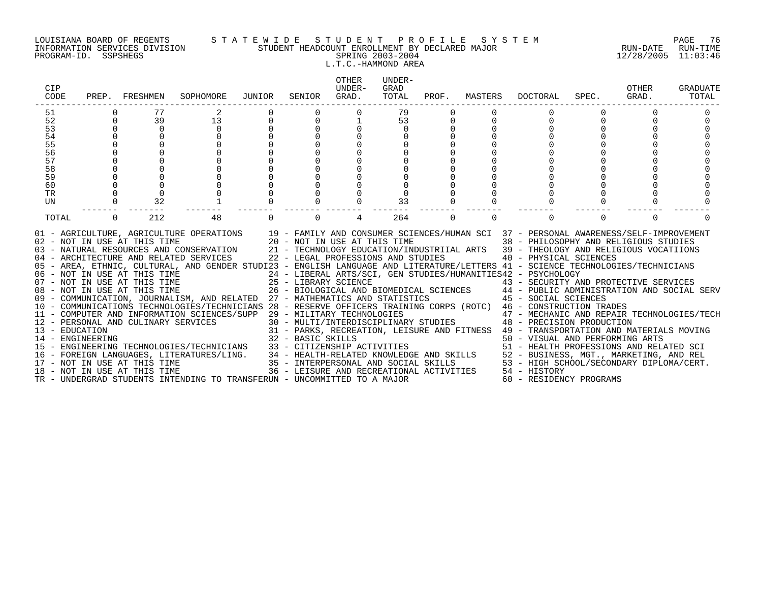#### LOUISIANA BOARD OF REGENTS S T A T E W I D E S T U D E N T P R O F I L E S Y S T E M PAGE 76 INFORMATION SERVICES DIVISION STUDENT HEADCOUNT ENROLLMENT BY DECLARED MAJOR RUN-DATE RUN-TIME PROGRAM-ID. SSPSHEGS SPRING 2003-2004 12/28/2005 11:03:46 L.T.C.-HAMMOND AREA

| CIP<br>CODE                                 |             | PREP. FRESHMEN                      | SOPHOMORE                                                                                                                                                                                                                                                                                                                                                                                                                                                                                                                                                                                                                                                                                                                                                                                                                                                                                                                                                                                                                                                                                                                                                                                                                                                                                                                              | JUNIOR            | SENIOR | OTHER<br>UNDER-<br>GRAD. | UNDER-<br>GRAD<br>TOTAL | PROF.    | MASTERS  | DOCTORAL                                                                                                                                                                                                                                                                                                                           | SPEC.    | OTHER<br>GRAD. | <b>GRADUATE</b><br>TOTAL |
|---------------------------------------------|-------------|-------------------------------------|----------------------------------------------------------------------------------------------------------------------------------------------------------------------------------------------------------------------------------------------------------------------------------------------------------------------------------------------------------------------------------------------------------------------------------------------------------------------------------------------------------------------------------------------------------------------------------------------------------------------------------------------------------------------------------------------------------------------------------------------------------------------------------------------------------------------------------------------------------------------------------------------------------------------------------------------------------------------------------------------------------------------------------------------------------------------------------------------------------------------------------------------------------------------------------------------------------------------------------------------------------------------------------------------------------------------------------------|-------------------|--------|--------------------------|-------------------------|----------|----------|------------------------------------------------------------------------------------------------------------------------------------------------------------------------------------------------------------------------------------------------------------------------------------------------------------------------------------|----------|----------------|--------------------------|
| 51<br>52<br>53<br>54<br>55<br>56<br>57      | $\mathbf 0$ | 77<br>39<br>$\Omega$                | 13<br>$\mathbf 0$                                                                                                                                                                                                                                                                                                                                                                                                                                                                                                                                                                                                                                                                                                                                                                                                                                                                                                                                                                                                                                                                                                                                                                                                                                                                                                                      | 0                 |        |                          | 79<br>53                | 0        |          | 0                                                                                                                                                                                                                                                                                                                                  | $\Omega$ |                |                          |
| 58<br>59<br>60<br>TR<br>UN                  |             | 32                                  |                                                                                                                                                                                                                                                                                                                                                                                                                                                                                                                                                                                                                                                                                                                                                                                                                                                                                                                                                                                                                                                                                                                                                                                                                                                                                                                                        |                   |        |                          | 33                      |          |          |                                                                                                                                                                                                                                                                                                                                    |          |                |                          |
| TOTAL<br>13 - EDUCATION<br>14 - ENGINEERING | $\Omega$    | 212<br>18 - NOT IN USE AT THIS TIME | 48<br>01 - AGRICULTURE, AGRICULTURE OPERATIONS 19 - FAMILY AND CONSUMER SCIENCES/HUMAN SCI 37 - PERSONAL AWARENESS/SELF-IMPROVEMENT<br>02 - NOT IN USE AT THIS TIME 20 - NOT IN USE AT THIS TIME 38 - PHILOSOPHY AND RELIGIOUS STUDIES<br>03 - NATURAL RESOURCES AND CONSERVATION 21 - TECHNOLOGY EDUCATION/INDUSTRIIAL ARTS 39 - THEOLOGY AND RELIGIOUS VOCATIIONS<br>04 - ARCHITECTURE AND RELATED SERVICES 22 - LEGAL PROFESSIONS AND STUDIES 40 - PHYSICAL SCIENCES<br>05 - AREA, ETHNIC, CULTURAL, AND GENDER STUDI23 - ENGLISH LANGUAGE AND LITERATURE/LETTERS 41 - SCIENCE TECHNOLOGIES/TECHNICIANS<br>06 - NOT IN USE AT THIS TIME<br>07 - NOT IN USE AT THIS TIME<br>08 - NOT IN USE AT THIS TIME<br>07 - NOT IN USE AT THIS TIME<br>25 - LIBRARY SCIENCE<br>26 - BIOLOGICAL AND BIOMEDICAL SCIENCES<br>26 - BIOLOGICAL AND BIOMEDICAL SCIENCES<br>26 - BIOLOGICAL AND BIOMEDICAL SCIENCES<br>26 - BIOLOGICAL AND BIOMEDICAL SCIENCES<br>26 - B<br>11 - COMPUTER AND INFORMATION SCIENCES/SUPP 29 - MILITARY TECHNOLOGIES (47 - MECHANIC AND REPAIR TECHNOLOGIES<br>12 - PERSONAL AND CULINARY SERVICES (30 - MULTI/INTERDISCIPLINARY STUDIES (48 - PRECISION PRODUCTION<br>15 - ENGINEERING TECHNOLOGIES/TECHNICIANS 33 - CITIZENSHIP ACTIVITIES<br>TR - UNDERGRAD STUDENTS INTENDING TO TRANSFERUN - UNCOMMITTED TO A MAJOR | 32 - BASIC SKILLS |        | 4                        | 264                     | $\Omega$ | $\Omega$ | $\Omega$<br>24 - LIBERAL ARTS/SCI, GEN STUDIES/HUMANITIES42 - PSYCHOLOGY<br>31 - PARKS, RECREATION, LEISURE AND FITNESS 49 - TRANSPORTATION AND MATERIALS MOVING<br>50 - VISUAL AND PERFORMING ARTS<br>51 - HEALTH PROFESSIONS AND RELATED SCI<br>36 - LEISURE AND RECREATIONAL ACTIVITIES 54 - HISTORY<br>60 - RESIDENCY PROGRAMS | $\Omega$ | $\Omega$       |                          |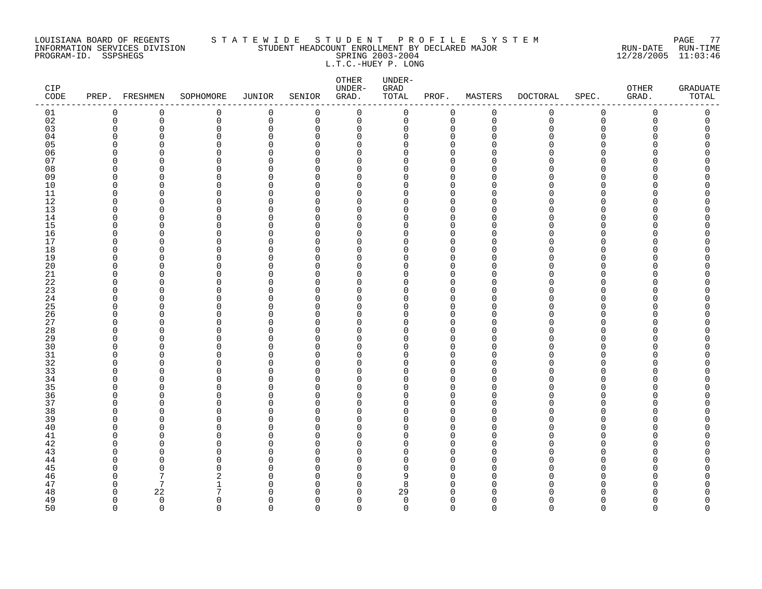#### LOUISIANA BOARD OF REGENTS S T A T E W I D E S T U D E N T P R O F I L E S Y S T E M PAGE 77 INFORMATION SERVICES DIVISION STUDENT HEADCOUNT ENROLLMENT BY DECLARED MAJOR RUN-DATE RUN-TIME PROGRAM-ID. SSPSHEGS SPRING 2003-2004 12/28/2005 11:03:46 L.T.C.-HUEY P. LONG

| CIP<br>$\texttt{CODE}{}$ |                      | PREP. FRESHMEN | SOPHOMORE     | <b>JUNIOR</b>              | SENIOR               | ${\small \texttt{OTHER}}$<br>UNDER-<br>GRAD. | UNDER-<br>GRAD<br>TOTAL | PROF.                      | MASTERS     | <b>DOCTORAL</b> | SPEC.         | OTHER<br>GRAD. | <b>GRADUATE</b><br>TOTAL |
|--------------------------|----------------------|----------------|---------------|----------------------------|----------------------|----------------------------------------------|-------------------------|----------------------------|-------------|-----------------|---------------|----------------|--------------------------|
| 01                       | 0                    | $\mathbf 0$    | 0             | $\mathbf 0$                | 0                    | $\mathbf 0$                                  | 0                       | 0                          | $\mathbf 0$ | 0               | $\mathbf 0$   | 0              | 0                        |
| 02                       | $\mathbf 0$          | $\mathbf 0$    | 0             | $\mathbf 0$                | 0                    | $\mathbf 0$                                  | 0                       | $\mathbf 0$                | $\mathbf 0$ | $\mathbf 0$     | $\mathbf 0$   | 0              | 0                        |
| 03                       | $\mathbf 0$          | 0              | 0             | $\mathbf 0$                | 0                    | 0                                            | 0                       | 0                          | $\Omega$    | U               | $\Omega$      | O              | C                        |
| 04                       | $\Omega$             | 0              | 0             | 0                          | $\Omega$             | $\mathbf 0$                                  | 0                       | $\mathbf 0$                | n           |                 | $\Omega$      |                |                          |
| 05                       | $\Omega$             | C              | 0             | $\Omega$                   | $\Omega$             | 0                                            | 0                       | $\Omega$                   |             |                 | ∩             |                | ⋂                        |
| 06<br>07                 | $\Omega$<br>$\Omega$ | O<br>n         | 0             | $\Omega$                   | $\Omega$<br>$\Omega$ | $\Omega$                                     | $\Omega$<br>U           | $\Omega$<br>$\Omega$       |             |                 | ∩<br>∩        |                |                          |
| 08                       | $\Omega$             | 0              | 0<br>$\Omega$ | $\mathbf 0$<br>$\mathbf 0$ | $\Omega$             | 0<br>0                                       | 0                       | $\Omega$                   |             |                 | ∩             |                |                          |
| 09                       | 0                    | 0              | 0             | 0                          | $\Omega$             | 0                                            | 0                       | 0                          | ∩           |                 | O             |                |                          |
| 10                       | $\mathbf 0$          | $\Omega$       | 0             | $\Omega$                   | $\Omega$             | 0                                            | 0                       | $\Omega$                   |             |                 | $\Omega$      |                |                          |
| 11                       | $\Omega$             | O              | 0             | $\mathbf 0$                | $\Omega$             | 0                                            | 0                       | $\mathbf 0$                | n           |                 | ∩             |                |                          |
| 12                       | $\Omega$             | O              | 0             | $\Omega$                   | $\Omega$             | $\Omega$                                     | $\Omega$                | $\Omega$                   | ∩           |                 | ∩             |                |                          |
| 13                       | $\mathbf 0$          | $\Omega$       | 0             | $\mathbf 0$                | 0                    | 0                                            | 0                       | $\mathbf 0$                | n           |                 | $\Omega$      |                |                          |
| 14                       | 0                    | 0              | 0             | 0                          | 0                    | $\mathbf 0$                                  | 0                       | $\mathbf 0$                | ∩           |                 | ∩             |                |                          |
| 15                       | $\Omega$             | 0              | $\Omega$      | $\Omega$                   | $\Omega$             | 0                                            | $\Omega$                | $\Omega$                   |             |                 | ∩             |                |                          |
| 16                       | $\Omega$             | O              | 0             | $\mathbf 0$                | $\Omega$             | 0                                            | 0                       | $\mathbf 0$                | ∩           |                 | ∩             |                |                          |
| 17                       | $\Omega$             | O              | 0             | $\Omega$                   | $\Omega$             | $\Omega$                                     | $\Omega$                | $\Omega$                   | n           |                 | ∩             |                |                          |
| 18                       | $\mathbf 0$          | 0              | 0             | $\Omega$                   | $\Omega$             | 0                                            | 0                       | $\mathbf 0$                |             |                 | $\Omega$      |                |                          |
| 19                       | 0                    | 0              | 0             | $\Omega$                   | $\Omega$             | 0                                            | 0                       | $\mathbf 0$                |             |                 | ∩             |                |                          |
| 20                       | $\Omega$             | 0              | 0             | $\Omega$                   | $\Omega$             | 0                                            | 0                       | $\mathbf 0$                |             |                 | ∩             |                | ⋂                        |
| 21                       | $\Omega$             | 0<br>O         | 0             | $\mathbf 0$                | $\Omega$             | 0                                            | 0<br>O                  | $\mathbf 0$                | ∩<br>∩      |                 | ∩<br>∩        |                |                          |
| 22<br>23                 | $\Omega$<br>$\Omega$ | $\Omega$       | 0<br>0        | $\Omega$<br>$\Omega$       | $\Omega$<br>$\Omega$ | 0<br>$\Omega$                                | 0                       | $\mathbf 0$<br>$\mathbf 0$ | n           |                 | $\Omega$      |                |                          |
| 24                       | 0                    | 0              | 0             | 0                          | 0                    | 0                                            | 0                       | $\mathbf 0$                | U           |                 | $\Omega$      |                |                          |
| 25                       | $\Omega$             | 0              | 0             | 0                          | $\Omega$             | 0                                            | 0                       | 0                          |             |                 | ∩             |                |                          |
| 26                       | $\Omega$             | O              | $\Omega$      | $\mathbf 0$                | $\Omega$             | 0                                            | 0                       | $\Omega$                   | ∩           |                 | ∩             |                |                          |
| 27                       | $\Omega$             | O              | 0             | 0                          | $\Omega$             | 0                                            | O                       | $\mathbf 0$                | ∩           |                 | ∩             |                |                          |
| 28                       | $\Omega$             | $\Omega$       | 0             | $\Omega$                   | $\Omega$             | $\Omega$                                     | $\Omega$                | $\Omega$                   |             |                 | $\cap$        |                |                          |
| 29                       | $\mathbf 0$          | 0              | 0             | $\mathbf 0$                | 0                    | 0                                            | 0                       | 0                          |             |                 | $\Omega$      |                |                          |
| 30                       | $\Omega$             | O              | 0             | 0                          | $\Omega$             | 0                                            | 0                       | $\Omega$                   |             |                 | ∩             |                |                          |
| 31                       | $\Omega$             | 0              | 0             | 0                          | $\Omega$             | 0                                            | 0                       | $\mathbf 0$                | ∩           |                 | $\Omega$      |                |                          |
| 32                       | $\Omega$             | O              | 0             | $\mathbf 0$                | $\Omega$             | 0                                            | 0                       | $\mathbf 0$                |             |                 | ∩             |                |                          |
| 33                       | $\Omega$             | $\Omega$       | 0             | $\Omega$                   | $\Omega$             | $\Omega$                                     | $\Omega$                | $\Omega$                   | n           |                 | $\Omega$      |                |                          |
| 34                       | $\Omega$             | O              | 0             | $\mathbf 0$                | 0                    | 0                                            | $\Omega$                | 0                          | n           |                 | ∩             |                |                          |
| 35                       | $\Omega$             | O              | $\Omega$      | 0<br>$\Omega$              | $\Omega$<br>$\Omega$ | $\Omega$                                     | 0<br>0                  | $\Omega$                   | ∩           |                 | ∩<br>$\Omega$ |                |                          |
| 36<br>37                 | 0<br>$\Omega$        | 0<br>0         | 0<br>0        | $\Omega$                   | $\Omega$             | 0<br>0                                       | 0                       | 0<br>$\mathbf 0$           | n           |                 | ∩             |                |                          |
| 38                       | $\Omega$             | O              | 0             | $\Omega$                   | $\Omega$             | $\Omega$                                     | $\Omega$                | $\mathbf 0$                |             |                 | ∩             |                |                          |
| 39                       | $\Omega$             | O              | 0             | $\Omega$                   | $\Omega$             | $\Omega$                                     | 0                       | $\Omega$                   |             |                 | ∩             |                |                          |
| 40                       | $\Omega$             | 0              | 0             | $\mathbf 0$                | $\Omega$             | 0                                            | 0                       | $\mathbf 0$                |             |                 | O             |                |                          |
| 41                       | $\Omega$             | 0              | 0             | $\Omega$                   | $\Omega$             | 0                                            | 0                       | $\mathbf 0$                |             |                 | ∩             |                |                          |
| 42                       | $\mathbf 0$          | 0              | 0             | 0                          | $\Omega$             | 0                                            | 0                       | $\mathbf 0$                | n           |                 | ∩             |                |                          |
| 43                       | $\Omega$             | O              | 0             | $\mathbf 0$                | $\Omega$             | $\Omega$                                     | O                       | $\Omega$                   |             |                 | ∩             |                |                          |
| 44                       | $\Omega$             | O              | $\Omega$      | $\Omega$                   | $\Omega$             | $\Omega$                                     | $\Omega$                | $\Omega$                   | n           |                 | ∩             |                |                          |
| 45                       | $\Omega$             | 0              | $\Omega$      | $\mathbf 0$                | $\Omega$             | 0                                            | 0                       | $\mathbf 0$                | n           |                 | $\Omega$      |                |                          |
| 46                       | $\Omega$             | 7              | 2             | $\Omega$                   | $\Omega$             | 0                                            | 9                       | $\Omega$                   | O           |                 | ∩             |                |                          |
| 47                       | 0                    | 7              | 1             | $\Omega$                   | $\Omega$             | 0                                            | 8                       | 0                          | ∩           |                 | ∩             |                |                          |
| 48                       | $\Omega$             | 22             | 7             | $\Omega$                   | $\Omega$             | $\Omega$                                     | 29                      | $\Omega$                   |             |                 |               |                |                          |
| 49                       | $\Omega$             | $\mathbf 0$    | 0             | $\Omega$                   | $\Omega$             | $\mathbf 0$                                  | $\mathbf 0$             | $\mathbf 0$                | O           |                 | ∩             |                | O<br>$\Omega$            |
| 50                       | $\Omega$             | $\Omega$       | $\Omega$      | $\Omega$                   | $\Omega$             | $\Omega$                                     | $\Omega$                | $\Omega$                   | $\Omega$    | $\Omega$        | $\Omega$      | $\Omega$       |                          |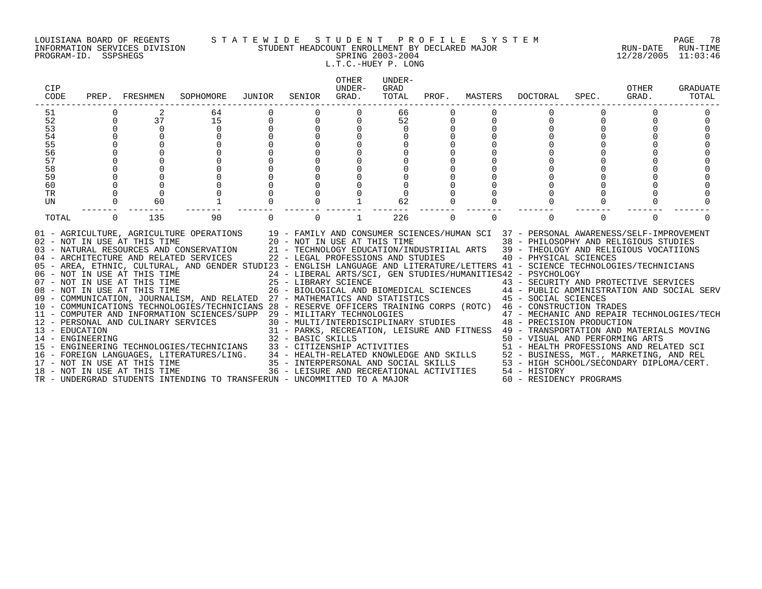#### LOUISIANA BOARD OF REGENTS S T A T E W I D E S T U D E N T P R O F I L E S Y S T E M PAGE 78 INFORMATION SERVICES DIVISION STUDENT HEADCOUNT ENROLLMENT BY DECLARED MAJOR RUN-DATE RUN-TIME PROGRAM-ID. SSPSHEGS SPRING 2003-2004 12/28/2005 11:03:46 L.T.C.-HUEY P. LONG

| CIP<br>CODE            |          | PREP. FRESHMEN               | SOPHOMORE                                                                                                                                                                                                                                                                                                                                                                                                                                                                                                  | JUNIOR      | SENIOR   | <b>OTHER</b><br>UNDER-<br>GRAD. | UNDER-<br>GRAD<br>TOTAL |          | PROF. MASTERS | DOCTORAL                                                        | SPEC.    | OTHER<br>GRAD. | <b>GRADUATE</b><br>TOTAL |
|------------------------|----------|------------------------------|------------------------------------------------------------------------------------------------------------------------------------------------------------------------------------------------------------------------------------------------------------------------------------------------------------------------------------------------------------------------------------------------------------------------------------------------------------------------------------------------------------|-------------|----------|---------------------------------|-------------------------|----------|---------------|-----------------------------------------------------------------|----------|----------------|--------------------------|
| 51                     |          |                              | 64                                                                                                                                                                                                                                                                                                                                                                                                                                                                                                         |             | 0        |                                 | 66                      |          |               |                                                                 |          |                |                          |
| 52                     |          | 37                           | 15                                                                                                                                                                                                                                                                                                                                                                                                                                                                                                         | $\mathbf 0$ | $\Omega$ | $\Omega$                        | 52                      |          |               |                                                                 |          |                |                          |
| 53                     |          | $\Omega$                     | $\Omega$                                                                                                                                                                                                                                                                                                                                                                                                                                                                                                   |             |          |                                 | $\Omega$                |          |               |                                                                 |          |                |                          |
| 54                     |          |                              |                                                                                                                                                                                                                                                                                                                                                                                                                                                                                                            |             |          |                                 |                         |          |               |                                                                 |          |                |                          |
| 55                     |          |                              |                                                                                                                                                                                                                                                                                                                                                                                                                                                                                                            |             |          |                                 |                         |          |               |                                                                 |          |                |                          |
| 56                     |          |                              |                                                                                                                                                                                                                                                                                                                                                                                                                                                                                                            |             |          |                                 |                         |          |               |                                                                 |          |                |                          |
| 57                     |          |                              |                                                                                                                                                                                                                                                                                                                                                                                                                                                                                                            |             |          |                                 |                         |          |               |                                                                 |          |                |                          |
| 58                     |          |                              |                                                                                                                                                                                                                                                                                                                                                                                                                                                                                                            |             |          |                                 |                         |          |               |                                                                 |          |                |                          |
| 59                     |          |                              |                                                                                                                                                                                                                                                                                                                                                                                                                                                                                                            |             |          |                                 |                         |          |               |                                                                 |          |                |                          |
| 60                     |          |                              |                                                                                                                                                                                                                                                                                                                                                                                                                                                                                                            |             |          |                                 |                         |          |               |                                                                 |          |                |                          |
| <b>TR</b><br><b>UN</b> |          | 60                           |                                                                                                                                                                                                                                                                                                                                                                                                                                                                                                            |             |          |                                 | 62                      |          |               |                                                                 |          |                |                          |
|                        |          |                              |                                                                                                                                                                                                                                                                                                                                                                                                                                                                                                            |             |          |                                 |                         |          |               |                                                                 |          |                |                          |
| TOTAL                  | $\Omega$ | 135                          | 90                                                                                                                                                                                                                                                                                                                                                                                                                                                                                                         |             | $\Omega$ |                                 | 226                     | $\Omega$ | $\Omega$      |                                                                 | $\Omega$ | $\Omega$       | $\cap$                   |
|                        |          | 02 - NOT IN USE AT THIS TIME | 01 - AGRICULTURE, AGRICULTURE OPERATIONS 19 - FAMILY AND CONSUMER SCIENCES/HUMAN SCI 37 - PERSONAL AWARENESS/SELF-IMPROVEMENT<br>20 - NOT IN USE AT THIS TIME<br>03 - NATURAL RESOURCES AND CONSERVATION 21 - TECHNOLOGY EDUCATION/INDUSTRIIAL ARTS 39 - THEOLOGY AND RELIGIOUS VOCATIIONS<br>04 - ARCHITECTURE AND RELATED SERVICES 22 - LEGAL PROFESSIONS AND STUDIES<br>05 - AREA, ETHNIC, CULTURAL, AND GENDER STUDI23 - ENGLISH LANGUAGE AND LITERATURE/LETTERS 41 - SCIENCE TECHNOLOGIES/TECHNICIANS |             |          |                                 |                         |          |               | 38 - PHILOSOPHY AND RELIGIOUS STUDIES<br>40 - PHYSICAL SCIENCES |          |                |                          |
|                        |          |                              | 06 - NOT IN USE AT THIS TIME                         24 - LIBERAL ARTS/SCI, GEN STUDIES/HUMANITIES42 - PSYCHOLOGY<br>07 - NOT IN USE AT THIS TIME                  25 - LIBRARY SCIENCE                      43 - SECURITY AN                                                                                                                                                                                                                                                                              |             |          |                                 |                         |          |               | 43 - SECURITY AND PROTECTIVE SERVICES                           |          |                |                          |
|                        |          |                              | 08 - NOT IN USE AT THIS TIME $26$ - BIOLOGICAL AND BIOMEDICAL SCIENCES $44$ - PUBLIC ADMINISTRATION AND SOCIAL SERV                                                                                                                                                                                                                                                                                                                                                                                        |             |          |                                 |                         |          |               |                                                                 |          |                |                          |
|                        |          |                              | 09 - COMMUNICATION, JOURNALISM, AND RELATED 27 - MATHEMATICS AND STATISTICS 45 - SOCIAL SCIENCES                                                                                                                                                                                                                                                                                                                                                                                                           |             |          |                                 |                         |          |               |                                                                 |          |                |                          |
|                        |          |                              | 10 - COMMUNICATIONS TECHNOLOGIES/TECHNICIANS 28 - RESERVE OFFICERS TRAINING CORPS (ROTC) 46 - CONSTRUCTION TRADES                                                                                                                                                                                                                                                                                                                                                                                          |             |          |                                 |                         |          |               |                                                                 |          |                |                          |
|                        |          |                              | 11 - COMPUTER AND INFORMATION SCIENCES/SUPP 29 - MILITARY TECHNOLOGIES                                                                                                                                                                                                                                                                                                                                                                                                                                     |             |          |                                 |                         |          |               | 47 - MECHANIC AND REPAIR TECHNOLOGIES/TECH                      |          |                |                          |
|                        |          |                              | 12 - PERSONAL AND CULINARY SERVICES 30 - MULTI/INTERDISCIPLINARY STUDIES 48 - PRECISION PRODUCTION                                                                                                                                                                                                                                                                                                                                                                                                         |             |          |                                 |                         |          |               |                                                                 |          |                |                          |
|                        |          |                              |                                                                                                                                                                                                                                                                                                                                                                                                                                                                                                            |             |          |                                 |                         |          |               |                                                                 |          |                |                          |
|                        |          |                              |                                                                                                                                                                                                                                                                                                                                                                                                                                                                                                            |             |          |                                 |                         |          |               |                                                                 |          |                |                          |
|                        |          |                              |                                                                                                                                                                                                                                                                                                                                                                                                                                                                                                            |             |          |                                 |                         |          |               |                                                                 |          |                |                          |
|                        |          |                              | 12 - PERSONAL AND CULINARY SERVICES<br>13 - ENGINEERING 32 - BARSIC SKILLS<br>14 - ENGINEERING TECHNOLOGIES/TECHNICIANS 33 - CITIZENSHIP ACTIVITIES<br>15 - ENGINEERING TECHNOLOGIES/TECHNICIANS 33 - CITIZENSHIP ACTIVITIES<br>16 - F                                                                                                                                                                                                                                                                     |             |          |                                 |                         |          |               |                                                                 |          |                |                          |
|                        |          |                              |                                                                                                                                                                                                                                                                                                                                                                                                                                                                                                            |             |          |                                 |                         |          |               |                                                                 |          |                |                          |
|                        |          |                              |                                                                                                                                                                                                                                                                                                                                                                                                                                                                                                            |             |          |                                 |                         |          |               |                                                                 |          |                |                          |
|                        |          |                              |                                                                                                                                                                                                                                                                                                                                                                                                                                                                                                            |             |          |                                 |                         |          |               |                                                                 |          |                |                          |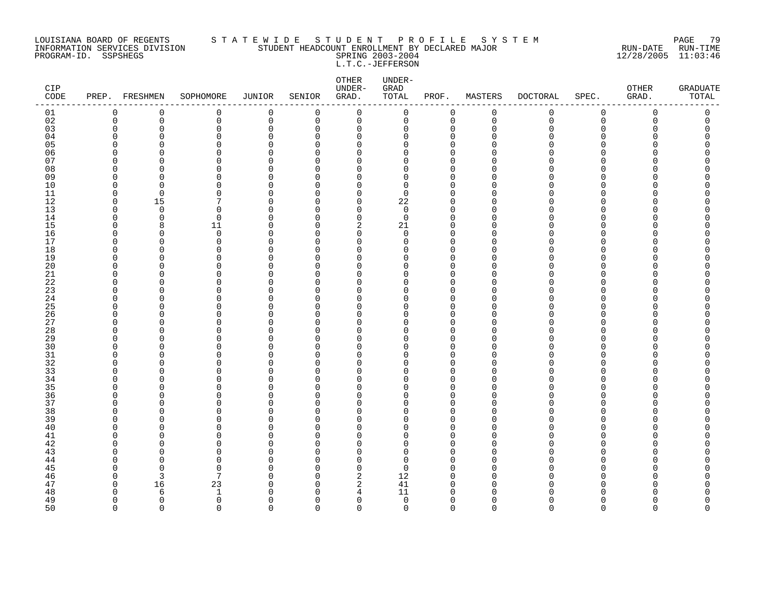#### LOUISIANA BOARD OF REGENTS S T A T E W I D E S T U D E N T P R O F I L E S Y S T E M PAGE 79 INFORMATION SERVICES DIVISION STUDENT HEADCOUNT ENROLLMENT BY DECLARED MAJOR RUN-DATE RUN-TIME PROGRAM-ID. SSPSHEGS SPRING 2003-2004 12/28/2005 11:03:46 L.T.C.-JEFFERSON

| CIP<br>$\texttt{CODE}{}$ |                      | PREP. FRESHMEN | SOPHOMORE     | <b>JUNIOR</b>           | SENIOR               | OTHER<br>UNDER-<br>GRAD. | UNDER-<br>GRAD<br>TOTAL | PROF.                   | MASTERS     | <b>DOCTORAL</b> | SPEC.       | OTHER<br>GRAD. | <b>GRADUATE</b><br>TOTAL |
|--------------------------|----------------------|----------------|---------------|-------------------------|----------------------|--------------------------|-------------------------|-------------------------|-------------|-----------------|-------------|----------------|--------------------------|
| 01                       | $\mathbf 0$          | 0              | 0             | 0                       | 0                    | $\mathbf 0$              | $\mathsf{O}$            | 0                       | $\mathsf 0$ | 0               | $\mathbf 0$ | 0              | 0                        |
| 02                       | $\mathbf 0$          | $\mathbf 0$    | 0             | $\mathsf 0$             | 0                    | $\mathbf 0$              | 0                       | $\mathbf 0$             | $\mathbf 0$ | $\mathbf 0$     | $\mathbf 0$ | $\Omega$       | 0                        |
| 03                       | $\mathbf 0$          | $\Omega$       | 0             | $\mathbf 0$             | 0                    | 0                        | 0                       | $\Omega$                | $\Omega$    | U               | $\Omega$    | U              | C                        |
| 04                       | $\Omega$             | 0              | 0             | 0                       | $\Omega$             | 0                        | 0                       | 0                       | ∩           |                 | ∩           |                | Ω                        |
| 05                       | $\Omega$             | O              | $\Omega$      | $\Omega$                | $\Omega$             | 0                        | 0                       | $\Omega$                |             |                 | ∩           |                |                          |
| 06<br>07                 | $\Omega$<br>$\Omega$ | 0<br>n         | 0<br>$\Omega$ | $\mathbf 0$<br>$\Omega$ | $\Omega$<br>$\Omega$ | 0<br>$\Omega$            | 0<br>$\Omega$           | $\mathbf 0$<br>$\Omega$ |             |                 | ∩<br>∩      |                | Λ                        |
| 08                       | $\Omega$             | $\Omega$       | 0             | $\Omega$                | $\Omega$             | $\Omega$                 | $\Omega$                | $\Omega$                |             |                 | ∩           |                |                          |
| 09                       | $\Omega$             | O              | 0             | 0                       | 0                    | 0                        | 0                       | $\mathbf 0$             |             |                 | ∩           |                |                          |
| 10                       | $\Omega$             | O              | $\Omega$      | $\Omega$                | $\Omega$             | 0                        | 0                       | $\Omega$                |             |                 | ∩           |                |                          |
| 11                       | 0                    | $\Omega$       | 0             | 0                       | $\Omega$             | 0                        | 0                       | 0                       |             |                 | ∩           |                | ⋂                        |
| 12                       | $\Omega$             | 15             | 7             | $\Omega$                | $\Omega$             | $\Omega$                 | 22                      | $\Omega$                |             |                 | ∩           |                |                          |
| 13                       | $\mathbf 0$          | $\mathbf 0$    | 0             | $\mathbf 0$             | $\Omega$             | $\mathbf 0$              | $\mathbf 0$             | $\mathbf 0$             | O           |                 | $\Omega$    |                |                          |
| 14                       | $\Omega$             | $\mathbf 0$    | $\mathbf 0$   | $\Omega$                | $\Omega$             | $\mathbf 0$              | $\mathbf 0$             | $\mathbf 0$             | $\cap$      |                 | $\cap$      |                |                          |
| 15                       | $\Omega$             | 8              | 11            | $\Omega$                | $\Omega$             | 2                        | 21                      | $\Omega$                | ∩           |                 | ∩           |                | Ω                        |
| 16                       | $\Omega$             | 0              | 0             | 0                       | $\Omega$             | 0                        | 0                       | $\mathbf 0$             | ∩           |                 | ∩           |                | ⋂                        |
| 17                       | $\Omega$             | 0              | 0             | 0                       | $\Omega$             | $\mathbf 0$              | 0                       | $\mathbf 0$             | n           |                 | ∩           |                |                          |
| 18                       | $\Omega$             | 0              | 0             | $\Omega$                | $\Omega$             | 0                        | 0                       | $\Omega$                |             |                 | ∩           |                |                          |
| 19                       | $\Omega$             | O              | 0             | $\Omega$                | $\Omega$             | 0                        | 0                       | $\mathbf 0$             |             |                 | ∩           |                |                          |
| 20                       | $\Omega$             | O              | 0             | $\Omega$                | $\Omega$             | $\Omega$                 | $\Omega$                | $\Omega$                |             |                 | ∩           |                | ∩                        |
| 21                       | $\Omega$             | O              | $\Omega$      | 0                       | $\Omega$             | 0                        | 0                       | $\Omega$                | n           |                 | ∩           |                |                          |
| 22                       | 0                    | 0              | 0             | 0                       | $\Omega$             | 0                        | 0                       | 0                       | ∩           |                 | O           |                |                          |
| 23                       | $\Omega$             | O              | 0             | $\Omega$                | $\Omega$             | 0                        | 0                       | $\Omega$                |             |                 | ∩           |                |                          |
| 24                       | $\Omega$             | O              | 0             | $\mathbf 0$             | $\Omega$             | 0                        | 0                       | $\mathbf 0$             | n           |                 | ∩           |                |                          |
| 25                       | $\Omega$             | O              | $\Omega$      | $\mathbf 0$             | $\Omega$             | $\Omega$                 | $\Omega$                | $\Omega$                | n           |                 | ∩           |                |                          |
| 26<br>27                 | $\Omega$             | O              | 0             | $\Omega$                | $\Omega$             | $\Omega$                 | $\Omega$<br>0           | $\mathbf 0$             |             |                 | ∩<br>∩      |                |                          |
| 28                       | 0<br>$\Omega$        | 0<br>C         | 0<br>$\Omega$ | 0<br>$\Omega$           | 0<br>$\Omega$        | 0<br>0                   | 0                       | 0<br>$\Omega$           |             |                 | ∩           |                |                          |
| 29                       | $\Omega$             | 0              | 0             | $\Omega$                | 0                    | 0                        | 0                       | 0                       |             |                 | ∩           |                |                          |
| 30                       | $\Omega$             | O              | $\Omega$      | $\Omega$                | $\Omega$             | $\Omega$                 | $\Omega$                | $\Omega$                |             |                 | ∩           |                |                          |
| 31                       | $\Omega$             | O              | 0             | $\Omega$                | $\Omega$             | 0                        | 0                       | $\mathbf 0$             | ∩           |                 | $\Omega$    |                | ⋂                        |
| 32                       | $\Omega$             | O              | $\Omega$      | $\Omega$                | ∩                    | $\Omega$                 | 0                       | $\Omega$                |             |                 | ∩           |                |                          |
| 33                       | $\Omega$             | 0              | $\Omega$      | $\Omega$                | $\Omega$             | 0                        | 0                       | $\Omega$                |             |                 | ∩           |                | ⋂                        |
| 34                       | $\Omega$             | O              | $\Omega$      | 0                       | 0                    | 0                        | 0                       | $\Omega$                | ∩           |                 | ∩           |                |                          |
| 35                       | $\Omega$             | O              | $\Omega$      | $\Omega$                | $\Omega$             | $\Omega$                 | O                       | $\Omega$                |             |                 | ∩           |                |                          |
| 36                       | $\Omega$             | O              | 0             | $\Omega$                | $\Omega$             | 0                        | 0                       | 0                       | ∩           |                 | ∩           |                |                          |
| 37                       | $\Omega$             | O              | 0             | $\Omega$                | $\Omega$             | 0                        | $\Omega$                | $\mathbf 0$             | n           |                 | ∩           |                |                          |
| 38                       | $\Omega$             | O              | $\Omega$      | $\Omega$                | $\Omega$             | $\Omega$                 | $\Omega$                | $\Omega$                |             |                 | ∩           |                | ∩                        |
| 39                       | $\Omega$             | 0              | $\Omega$      | 0                       | $\Omega$             | 0                        | 0                       | $\mathbf 0$             | n           |                 | O           |                |                          |
| 40                       | $\Omega$             | O              | $\Omega$      | 0                       | $\Omega$             | 0                        | 0                       | $\mathbf 0$             | ∩           |                 | O           |                |                          |
| 41                       | $\Omega$             | 0              | 0             | $\Omega$                | $\Omega$             | 0                        | 0                       | $\Omega$                |             |                 | ∩           |                |                          |
| 42                       | $\Omega$             | 0              | 0             | $\mathbf 0$             | $\Omega$             | 0                        | 0                       | $\mathbf 0$             | n           |                 | ∩           |                | ⋂                        |
| 43                       | $\Omega$             | n              | $\Omega$      | $\Omega$                | $\Omega$             | $\Omega$                 | $\Omega$                | $\Omega$                |             |                 |             |                |                          |
| 44                       | $\Omega$             | n              | 0             | $\Omega$                | $\Omega$             | $\Omega$                 | $\Omega$                | $\Omega$                | n           |                 | ∩           |                |                          |
| 45                       | $\Omega$             | O              | 0<br>7        | 0                       | 0                    | 0                        | 0                       | $\Omega$                | O           |                 | O<br>∩      |                |                          |
| 46<br>47                 | 0<br>0               | 3<br>16        | 23            | $\Omega$<br>0           | $\Omega$<br>0        | 2                        | 12<br>41                | $\Omega$<br>$\Omega$    | $\cap$      |                 | ∩           |                | ⋂                        |
| 48                       | $\Omega$             | 6              | 1             | $\Omega$                | $\Omega$             | 2<br>4                   | 11                      | $\Omega$                |             |                 |             |                |                          |
| 49                       | $\Omega$             | 0              | $\mathbf 0$   | $\Omega$                | $\Omega$             | $\mathbf 0$              | $\mathbf 0$             | $\mathbf 0$             | ∩           |                 | $\Omega$    | ∩              | O                        |
| 50                       | $\Omega$             | $\Omega$       | $\Omega$      | $\Omega$                | $\Omega$             | $\Omega$                 | $\Omega$                | $\Omega$                | $\Omega$    | $\Omega$        | $\Omega$    | $\Omega$       | $\Omega$                 |
|                          |                      |                |               |                         |                      |                          |                         |                         |             |                 |             |                |                          |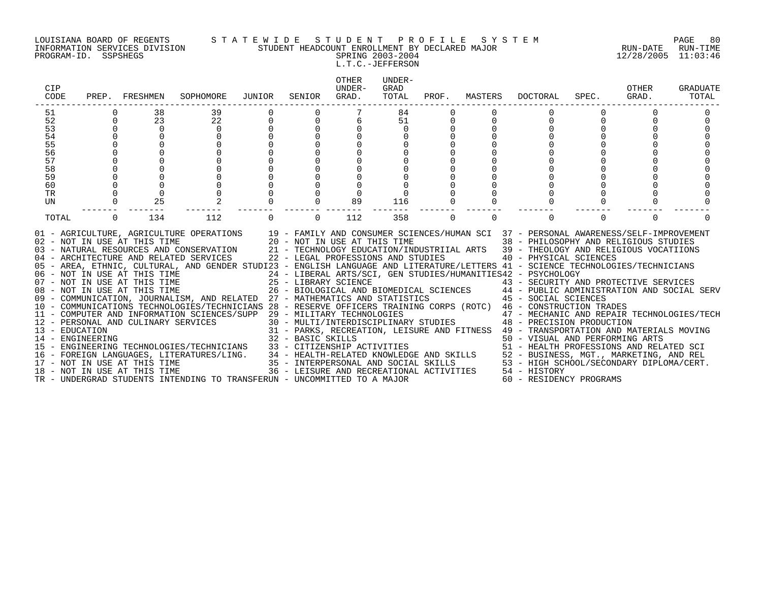#### LOUISIANA BOARD OF REGENTS S T A T E W I D E S T U D E N T P R O F I L E S Y S T E M PAGE 80 INFORMATION SERVICES DIVISION STUDENT HEADCOUNT ENROLLMENT BY DECLARED MAJOR RUN-DATE RUN-TIME PROGRAM-ID. SSPSHEGS SPRING 2003-2004 12/28/2005 11:03:46

# L.T.C.-JEFFERSON

| CIP<br>CODE                                                    |                      | PREP. FRESHMEN                                                    | SOPHOMORE                                                                                                                                                                                                                                                                                                                                                                                                                                                                                                                                                                                                                                                                                                                                                                                                                                                                                                                                                                                                                                                                                                                            | JUNIOR                               | SENIOR         | OTHER<br>IJNDER-<br>GRAD. | UNDER-<br>GRAD<br>TOTAL | PROF.       | MASTERS     | DOCTORAL                | SPEC.    | <b>OTHER</b><br>GRAD. | GRADUATE<br>TOTAL |
|----------------------------------------------------------------|----------------------|-------------------------------------------------------------------|--------------------------------------------------------------------------------------------------------------------------------------------------------------------------------------------------------------------------------------------------------------------------------------------------------------------------------------------------------------------------------------------------------------------------------------------------------------------------------------------------------------------------------------------------------------------------------------------------------------------------------------------------------------------------------------------------------------------------------------------------------------------------------------------------------------------------------------------------------------------------------------------------------------------------------------------------------------------------------------------------------------------------------------------------------------------------------------------------------------------------------------|--------------------------------------|----------------|---------------------------|-------------------------|-------------|-------------|-------------------------|----------|-----------------------|-------------------|
| 51<br>52<br>53<br>54<br>55<br>56<br>57<br>58<br>59<br>60<br>TR | $\Omega$<br>$\Omega$ | 38<br>23<br>$\overline{0}$<br>$\mathbf 0$<br>$\Omega$<br>$\Omega$ | 39<br>22<br>$\mathbf 0$<br>$\Omega$<br>$\Omega$<br>$\Omega$<br>$\cap$<br>$\Omega$<br>$\Omega$<br>$\Omega$                                                                                                                                                                                                                                                                                                                                                                                                                                                                                                                                                                                                                                                                                                                                                                                                                                                                                                                                                                                                                            | $\begin{matrix} 0 \\ 0 \end{matrix}$ | $\Omega$       | $\mathbf 0$<br>$\Omega$   | 84<br>51<br>$\Omega$    | 0           |             | $\Omega$                |          |                       |                   |
| UN<br>TOTAL                                                    | $\overline{0}$       | 25<br>134                                                         | 112                                                                                                                                                                                                                                                                                                                                                                                                                                                                                                                                                                                                                                                                                                                                                                                                                                                                                                                                                                                                                                                                                                                                  | $\Omega$                             | $\overline{0}$ | 89<br>112                 | 116<br>358              | $\mathbf 0$ | $\mathbf 0$ | $\mathbf 0$             | $\Omega$ | $\mathbf 0$           |                   |
|                                                                |                      |                                                                   | 01 - AGRICULTURE, AGRICULTURE OPERATIONS 19 - FAMILY AND CONSUMER SCIENCES/HUMAN SCI 37 - PERSONAL AWARENESS/SELF-IMPROVEMENT 102 - NOT IN USE AT THIS TIME 20 - NOT IN USE AT THIS TIME 38 - PHILOSOPHY AND RELIGIOUS STUDIES<br>05 - AREA, ETHNIC, CULTURAL, AND GENDER STUDI23 - ENGLISH LANGUAGE AND LITERATURE/LETTERS 41 - SCIENCE TECHNOLOGIES/TECHNICIANS<br>06 - NOT IN USE AT THIS TIME<br>07 - NOT IN USE AT THIS TIME 25 - LIBRARY SCIENCE<br>08 - NOT IN USE AT THIS TIME 25 - LIBRARY SCIENCE<br>08 - NOT IN USE AT THIS TIME 26 - BIOLOGICAL AND BIOMEDICAL SCIENCES<br>09 - COMMUNICATION, JOUR<br>10 - COMMUNICATIONS TECHNOLOGIES/TECHNICIANS 28 - RESERVE OFFICERS TRAINING CORPS (ROTC) 46 - CONSTRUCTION TRADES<br>- CONSTRUCTENT RADES<br>12 - PERSONAL AND CULINARY SERVICES 30 - MULTI/INTERDISCIPLINARY STUDIES<br>13 - EDUCATION 31 - PARKS, RECREATION, LEISURE AND FITNESS 49 - TRANSPORTAGION PRODUCTION<br>14 - ENGINEERING 32 - BASIC SKILLS<br><br>15 - ENGINEERING TECHNOLOGIES/TECHNICIANS 33 - CITIZENSHIP ACTIVITIES<br>TR - UNDERGRAD STUDENTS INTENDING TO TRANSFERUN - UNCOMMITTED TO A MAJOR |                                      |                |                           |                         |             |             | 60 - RESIDENCY PROGRAMS |          |                       |                   |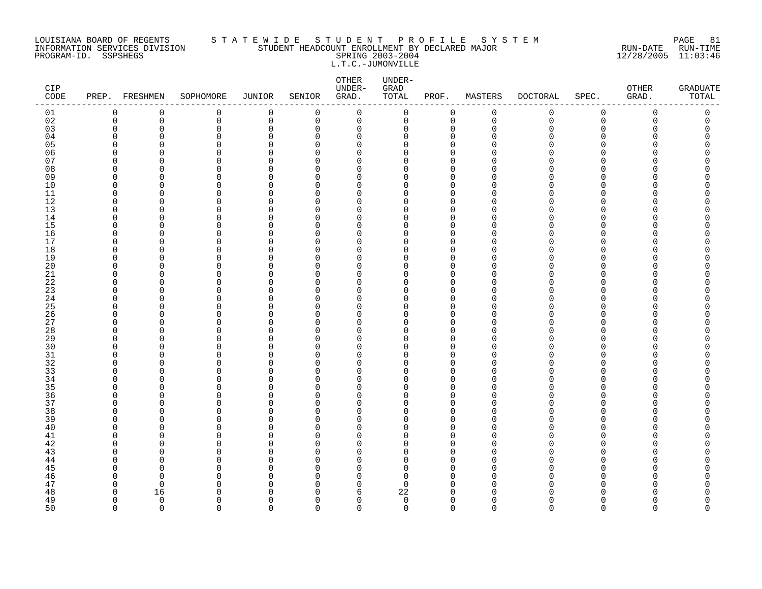#### LOUISIANA BOARD OF REGENTS S T A T E W I D E S T U D E N T P R O F I L E S Y S T E M PAGE 81 INFORMATION SERVICES DIVISION STUDENT HEADCOUNT ENROLLMENT BY DECLARED MAJOR RUN-DATE RUN-TIME PROGRAM-ID. SSPSHEGS SPRING 2003-2004 12/28/2005 11:03:46 L.T.C.-JUMONVILLE

| CIP<br>$\texttt{CODE}{}$ |                      | PREP. FRESHMEN          | SOPHOMORE     | <b>JUNIOR</b>           | SENIOR               | ${\small \texttt{OTHER}}$<br>UNDER-<br>GRAD. | UNDER-<br>GRAD<br>TOTAL | PROF.                      | MASTERS       | <b>DOCTORAL</b> | SPEC.         | OTHER<br>GRAD. | <b>GRADUATE</b><br>TOTAL |
|--------------------------|----------------------|-------------------------|---------------|-------------------------|----------------------|----------------------------------------------|-------------------------|----------------------------|---------------|-----------------|---------------|----------------|--------------------------|
| 01                       | 0                    | $\mathbf 0$             | 0             | $\mathbf 0$             | 0                    | $\mathbf 0$                                  | 0                       | 0                          | $\mathbf 0$   | 0               | $\mathbf 0$   | 0              | 0                        |
| 02                       | $\mathbf 0$          | $\mathbf 0$             | 0             | $\mathbf 0$             | 0                    | $\mathbf 0$                                  | 0                       | $\mathbf 0$                | $\mathbf 0$   | $\mathbf 0$     | $\mathbf 0$   | 0              | 0                        |
| 03                       | $\mathbf 0$          | 0                       | 0             | $\mathbf 0$             | 0                    | 0                                            | 0                       | 0                          | $\Omega$      | U               | $\Omega$      | O              | C                        |
| 04                       | $\Omega$             | 0                       | 0             | 0                       | $\Omega$             | $\mathbf 0$                                  | 0                       | $\mathbf 0$                | n             |                 | $\Omega$      |                |                          |
| 05<br>06                 | $\Omega$<br>$\Omega$ | C<br>O                  | 0             | $\Omega$<br>$\Omega$    | $\Omega$<br>$\Omega$ | 0<br>$\Omega$                                | 0<br>$\Omega$           | $\Omega$<br>$\Omega$       |               |                 | ∩<br>∩        |                | ⋂                        |
| 07                       | $\Omega$             | n                       | 0<br>0        | $\mathbf 0$             | $\Omega$             | 0                                            | $\Omega$                | $\Omega$                   |               |                 | ∩             |                |                          |
| 08                       | $\Omega$             | 0                       | $\Omega$      | $\mathbf 0$             | $\Omega$             | 0                                            | 0                       | $\Omega$                   |               |                 | ∩             |                |                          |
| 09                       | 0                    | 0                       | 0             | 0                       | $\Omega$             | 0                                            | 0                       | 0                          | ∩             |                 | O             |                |                          |
| 10                       | $\mathbf 0$          | $\Omega$                | 0             | $\Omega$                | $\Omega$             | 0                                            | 0                       | $\Omega$                   |               |                 | $\Omega$      |                |                          |
| 11                       | $\Omega$             | O                       | 0             | $\mathbf 0$             | $\Omega$             | 0                                            | 0                       | $\mathbf 0$                | n             |                 | ∩             |                |                          |
| 12                       | $\Omega$             | O                       | 0             | $\Omega$                | $\Omega$             | $\Omega$                                     | $\Omega$                | $\Omega$                   | ∩             |                 | ∩             |                |                          |
| 13                       | $\mathbf 0$          | $\Omega$                | 0             | $\mathbf 0$             | 0                    | 0                                            | 0                       | $\mathbf 0$                | n             |                 | $\Omega$      |                |                          |
| 14                       | 0                    | 0                       | 0             | 0                       | 0                    | $\mathbf 0$                                  | 0                       | $\mathbf 0$                | ∩             |                 | ∩             |                |                          |
| 15                       | $\Omega$             | 0                       | 0             | $\Omega$                | $\Omega$             | 0                                            | $\Omega$                | $\Omega$                   |               |                 | ∩             |                |                          |
| 16                       | $\Omega$             | O                       | 0             | $\mathbf 0$             | $\Omega$             | 0                                            | 0                       | $\mathbf 0$                | ∩             |                 | ∩             |                |                          |
| 17                       | $\Omega$             | O                       | 0             | $\Omega$                | $\Omega$             | $\Omega$                                     | $\Omega$                | $\Omega$                   | n             |                 | ∩             |                |                          |
| 18                       | $\mathbf 0$          | 0                       | 0             | $\Omega$                | $\Omega$             | 0                                            | 0                       | $\mathbf 0$                |               |                 | $\Omega$      |                |                          |
| 19                       | 0                    | 0                       | 0             | $\Omega$                | $\Omega$             | 0                                            | 0                       | $\mathbf 0$                |               |                 | ∩             |                |                          |
| 20                       | $\Omega$<br>$\Omega$ | 0                       | 0             | $\Omega$                | $\Omega$             | 0                                            | 0<br>0                  | $\mathbf 0$                | ∩             |                 | ∩<br>∩        |                | ⋂                        |
| 21<br>22                 | $\Omega$             | 0<br>O                  | 0<br>0        | $\mathbf 0$<br>$\Omega$ | $\Omega$<br>$\Omega$ | 0<br>0                                       | 0                       | $\mathbf 0$<br>$\mathbf 0$ | ∩             |                 | ∩             |                |                          |
| 23                       | $\Omega$             | $\Omega$                | 0             | $\Omega$                | $\Omega$             | $\Omega$                                     | 0                       | $\mathbf 0$                | n             |                 | $\Omega$      |                |                          |
| 24                       | 0                    | 0                       | 0             | 0                       | 0                    | 0                                            | 0                       | $\mathbf 0$                | U             |                 | $\Omega$      |                |                          |
| 25                       | $\Omega$             | 0                       | 0             | 0                       | $\Omega$             | 0                                            | 0                       | 0                          |               |                 | ∩             |                |                          |
| 26                       | $\Omega$             | 0                       | $\Omega$      | $\mathbf 0$             | $\Omega$             | 0                                            | 0                       | $\Omega$                   | ∩             |                 | ∩             |                |                          |
| 27                       | $\Omega$             | O                       | 0             | 0                       | $\Omega$             | 0                                            | O                       | $\mathbf 0$                | ∩             |                 | ∩             |                |                          |
| 28                       | $\Omega$             | $\Omega$                | 0             | $\Omega$                | $\Omega$             | $\Omega$                                     | $\Omega$                | $\Omega$                   |               |                 | $\Omega$      |                |                          |
| 29                       | $\mathbf 0$          | 0                       | 0             | $\mathbf 0$             | 0                    | 0                                            | 0                       | 0                          |               |                 | $\Omega$      |                |                          |
| 30                       | $\Omega$             | O                       | 0             | 0                       | $\Omega$             | 0                                            | 0                       | $\Omega$                   |               |                 | ∩             |                |                          |
| 31                       | $\Omega$             | 0                       | 0             | 0                       | $\Omega$             | 0                                            | 0                       | $\mathbf 0$                | ∩             |                 | $\Omega$      |                |                          |
| 32                       | $\Omega$             | O                       | 0             | $\mathbf 0$             | $\Omega$             | 0                                            | 0                       | $\mathbf 0$                |               |                 | ∩             |                |                          |
| 33                       | $\Omega$             | $\Omega$                | 0             | $\Omega$                | $\Omega$             | $\Omega$                                     | $\Omega$                | $\Omega$                   | n             |                 | $\Omega$      |                |                          |
| 34                       | $\Omega$<br>$\Omega$ | O                       | 0             | $\mathbf 0$             | 0                    | 0                                            | $\Omega$                | 0<br>$\Omega$              | n             |                 | ∩<br>∩        |                |                          |
| 35<br>36                 | 0                    | O<br>0                  | $\Omega$<br>0 | 0<br>$\Omega$           | $\Omega$<br>$\Omega$ | 0<br>0                                       | 0<br>0                  | 0                          | ∩             |                 | $\Omega$      |                |                          |
| 37                       | $\Omega$             | 0                       | 0             | $\Omega$                | $\Omega$             | 0                                            | 0                       | $\mathbf 0$                | n             |                 | ∩             |                |                          |
| 38                       | $\Omega$             | O                       | 0             | $\Omega$                | $\Omega$             | $\Omega$                                     | $\Omega$                | $\mathbf 0$                |               |                 | ∩             |                |                          |
| 39                       | $\Omega$             | O                       | 0             | $\Omega$                | $\Omega$             | $\Omega$                                     | 0                       | $\Omega$                   |               |                 | ∩             |                |                          |
| 40                       | $\Omega$             | 0                       | 0             | $\mathbf 0$             | $\Omega$             | 0                                            | 0                       | $\mathbf 0$                |               |                 | O             |                |                          |
| 41                       | $\Omega$             | 0                       | 0             | $\Omega$                | $\Omega$             | 0                                            | 0                       | $\mathbf 0$                |               |                 | ∩             |                |                          |
| 42                       | $\mathbf 0$          | 0                       | 0             | 0                       | $\Omega$             | 0                                            | 0                       | $\mathbf 0$                | n             |                 | ∩             |                |                          |
| 43                       | $\Omega$             | O                       | 0             | $\mathbf 0$             | $\Omega$             | $\Omega$                                     | $\Omega$                | $\Omega$                   |               |                 | ∩             |                |                          |
| 44                       | $\Omega$             | O                       | $\Omega$      | $\Omega$                | $\Omega$             | $\Omega$                                     | $\Omega$                | $\Omega$                   | n             |                 | ∩             |                |                          |
| 45                       | $\Omega$             | 0                       | 0             | $\mathbf 0$             | $\Omega$             | 0                                            | 0                       | $\mathbf 0$                | n             |                 | $\Omega$      |                |                          |
| 46                       | $\Omega$             | O                       | $\Omega$      | $\Omega$                | $\Omega$             | 0                                            | 0                       | $\Omega$                   | O             |                 | ∩             |                |                          |
| 47                       | 0                    | 0                       | 0             | $\Omega$                | $\Omega$             | 0                                            | 0                       | 0                          | ∩             |                 | ∩             |                |                          |
| 48                       | $\Omega$             | 16                      | <sup>n</sup>  | $\Omega$                | $\Omega$             | 6                                            | 22                      | $\Omega$                   |               |                 |               |                |                          |
| 49<br>50                 | $\Omega$<br>$\Omega$ | $\mathbf 0$<br>$\Omega$ | 0<br>$\Omega$ | $\Omega$<br>$\Omega$    | $\Omega$<br>$\Omega$ | $\mathbf 0$<br>$\Omega$                      | $\mathbf 0$<br>$\Omega$ | $\mathbf 0$<br>$\Omega$    | O<br>$\Omega$ | $\Omega$        | ∩<br>$\Omega$ | $\Omega$       | O<br>$\Omega$            |
|                          |                      |                         |               |                         |                      |                                              |                         |                            |               |                 |               |                |                          |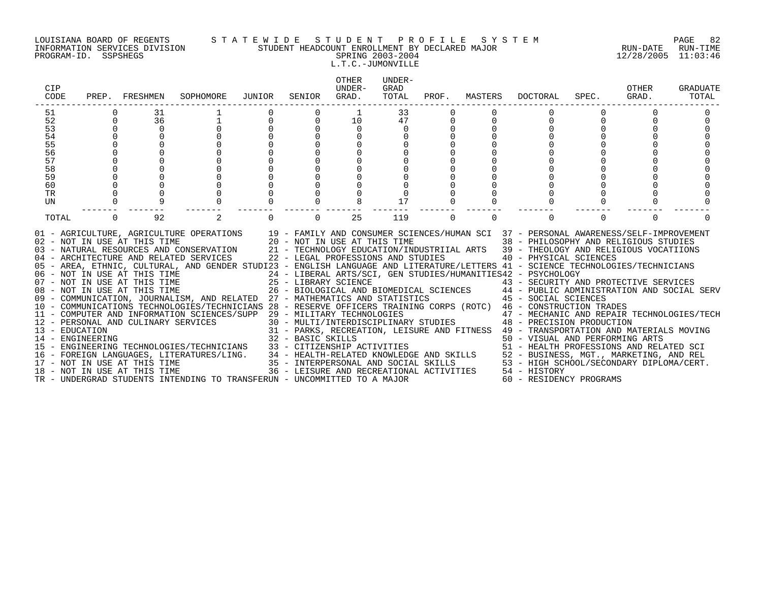#### LOUISIANA BOARD OF REGENTS S T A T E W I D E S T U D E N T P R O F I L E S Y S T E M PAGE 82 INFORMATION SERVICES DIVISION STUDENT HEADCOUNT ENROLLMENT BY DECLARED MAJOR RUN-DATE RUN-TIME PROGRAM-ID. SSPSHEGS SPRING 2003-2004 12/28/2005 11:03:46 L.T.C.-JUMONVILLE

| CIP<br>CODE                        | PREP.       | FRESHMEN                                                     | SOPHOMORE                                                                                                                                                                                                                                                                                                                                                                                                                                                                                                                                                                                                                                                                                                                                                                                                                                                                                                                                                                                                                                                                                  | JUNIOR | SENIOR            | <b>OTHER</b><br>UNDER-<br>GRAD.                                    | UNDER-<br>GRAD<br>TOTAL | PROF.    | MASTERS  | <b>DOCTORAL</b>                                                                                                                                                                                                                                                                                                                                                                                                                                                                                                                                                                                                                                                                                                     | SPEC.    | OTHER<br>GRAD. | GRADUATE<br>TOTAL |
|------------------------------------|-------------|--------------------------------------------------------------|--------------------------------------------------------------------------------------------------------------------------------------------------------------------------------------------------------------------------------------------------------------------------------------------------------------------------------------------------------------------------------------------------------------------------------------------------------------------------------------------------------------------------------------------------------------------------------------------------------------------------------------------------------------------------------------------------------------------------------------------------------------------------------------------------------------------------------------------------------------------------------------------------------------------------------------------------------------------------------------------------------------------------------------------------------------------------------------------|--------|-------------------|--------------------------------------------------------------------|-------------------------|----------|----------|---------------------------------------------------------------------------------------------------------------------------------------------------------------------------------------------------------------------------------------------------------------------------------------------------------------------------------------------------------------------------------------------------------------------------------------------------------------------------------------------------------------------------------------------------------------------------------------------------------------------------------------------------------------------------------------------------------------------|----------|----------------|-------------------|
| 51                                 |             | 31                                                           |                                                                                                                                                                                                                                                                                                                                                                                                                                                                                                                                                                                                                                                                                                                                                                                                                                                                                                                                                                                                                                                                                            |        |                   | 1                                                                  | 33                      |          |          |                                                                                                                                                                                                                                                                                                                                                                                                                                                                                                                                                                                                                                                                                                                     |          |                |                   |
| 52                                 | $\mathbf 0$ | 36                                                           |                                                                                                                                                                                                                                                                                                                                                                                                                                                                                                                                                                                                                                                                                                                                                                                                                                                                                                                                                                                                                                                                                            | 0      | $\mathbf 0$       | 10                                                                 | 47                      | 0        |          | 0                                                                                                                                                                                                                                                                                                                                                                                                                                                                                                                                                                                                                                                                                                                   | $\Omega$ | 0              |                   |
| 53                                 | $\Omega$    | $\mathbf 0$                                                  |                                                                                                                                                                                                                                                                                                                                                                                                                                                                                                                                                                                                                                                                                                                                                                                                                                                                                                                                                                                                                                                                                            |        |                   | $\mathbf 0$                                                        | 0                       |          |          |                                                                                                                                                                                                                                                                                                                                                                                                                                                                                                                                                                                                                                                                                                                     |          |                |                   |
| 54                                 | $\Omega$    |                                                              |                                                                                                                                                                                                                                                                                                                                                                                                                                                                                                                                                                                                                                                                                                                                                                                                                                                                                                                                                                                                                                                                                            |        |                   |                                                                    |                         |          |          |                                                                                                                                                                                                                                                                                                                                                                                                                                                                                                                                                                                                                                                                                                                     |          |                |                   |
| 55                                 |             |                                                              |                                                                                                                                                                                                                                                                                                                                                                                                                                                                                                                                                                                                                                                                                                                                                                                                                                                                                                                                                                                                                                                                                            |        |                   |                                                                    |                         |          |          |                                                                                                                                                                                                                                                                                                                                                                                                                                                                                                                                                                                                                                                                                                                     |          |                |                   |
| 56                                 |             |                                                              |                                                                                                                                                                                                                                                                                                                                                                                                                                                                                                                                                                                                                                                                                                                                                                                                                                                                                                                                                                                                                                                                                            |        |                   |                                                                    |                         |          |          |                                                                                                                                                                                                                                                                                                                                                                                                                                                                                                                                                                                                                                                                                                                     |          |                |                   |
| 57                                 |             |                                                              |                                                                                                                                                                                                                                                                                                                                                                                                                                                                                                                                                                                                                                                                                                                                                                                                                                                                                                                                                                                                                                                                                            |        |                   |                                                                    |                         |          |          |                                                                                                                                                                                                                                                                                                                                                                                                                                                                                                                                                                                                                                                                                                                     |          |                |                   |
| 58<br>59                           |             |                                                              |                                                                                                                                                                                                                                                                                                                                                                                                                                                                                                                                                                                                                                                                                                                                                                                                                                                                                                                                                                                                                                                                                            |        |                   |                                                                    |                         |          |          |                                                                                                                                                                                                                                                                                                                                                                                                                                                                                                                                                                                                                                                                                                                     |          |                |                   |
| 60                                 |             |                                                              |                                                                                                                                                                                                                                                                                                                                                                                                                                                                                                                                                                                                                                                                                                                                                                                                                                                                                                                                                                                                                                                                                            |        |                   |                                                                    |                         |          |          |                                                                                                                                                                                                                                                                                                                                                                                                                                                                                                                                                                                                                                                                                                                     |          |                |                   |
| <b>TR</b>                          |             |                                                              |                                                                                                                                                                                                                                                                                                                                                                                                                                                                                                                                                                                                                                                                                                                                                                                                                                                                                                                                                                                                                                                                                            |        |                   |                                                                    |                         |          |          |                                                                                                                                                                                                                                                                                                                                                                                                                                                                                                                                                                                                                                                                                                                     |          |                |                   |
| UN                                 |             |                                                              |                                                                                                                                                                                                                                                                                                                                                                                                                                                                                                                                                                                                                                                                                                                                                                                                                                                                                                                                                                                                                                                                                            |        |                   |                                                                    | 17                      |          |          |                                                                                                                                                                                                                                                                                                                                                                                                                                                                                                                                                                                                                                                                                                                     |          |                |                   |
|                                    |             |                                                              |                                                                                                                                                                                                                                                                                                                                                                                                                                                                                                                                                                                                                                                                                                                                                                                                                                                                                                                                                                                                                                                                                            |        |                   |                                                                    |                         |          |          |                                                                                                                                                                                                                                                                                                                                                                                                                                                                                                                                                                                                                                                                                                                     |          |                |                   |
| TOTAL                              | $\Omega$    | 92                                                           | 2                                                                                                                                                                                                                                                                                                                                                                                                                                                                                                                                                                                                                                                                                                                                                                                                                                                                                                                                                                                                                                                                                          |        | $\Omega$          | 25                                                                 | 119                     | $\Omega$ | $\Omega$ | $\Omega$                                                                                                                                                                                                                                                                                                                                                                                                                                                                                                                                                                                                                                                                                                            | $\Omega$ | $\Omega$       |                   |
| 13 - EDUCATION<br>14 - ENGINEERING |             | 02 - NOT IN USE AT THIS TIME<br>18 - NOT IN USE AT THIS TIME | 01 - AGRICULTURE, AGRICULTURE OPERATIONS 19 - FAMILY AND CONSUMER SCIENCES/HUMAN SCI 37 - PERSONAL AWARENESS/SELF-IMPROVEMENT<br>03 - NATURAL RESOURCES AND CONSERVATION<br>04 - ARCHITECTURE AND RELATED SERVICES<br>05 - AREA, ETHNIC, CULTURAL, AND GENDER STUDI23 - ENGLISH LANGUAGE AND LITERATURE/LETTERS 41 - SCIENCE TECHNOLOGIES/TECHNICIANS<br>06 - NOT IN USE AT THIS TIME<br>07 - NOT IN USE AT THIS TIME<br>08 - NOT IN USE AT THIS TIME<br>09 - COMMUNICATION, JOURNALISM, AND RELATED 27 - MATHEMATICS AND STATISTICS<br>10 - COMMUNICATIONS TECHNOLOGIES/TECHNICIANS 28 - RESERVE OFFICERS TRAINING CORPS (ROTC) 46 - CONSTRUCTION TRADES<br>11 - COMPUTER AND INFORMATION SCIENCES/SUPP 29 - MILITARY TECHNOLOGIES<br>12 - PERSONAL AND CULINARY SERVICES<br>- ENGINEERING TECHNOLOGIES/TECHNICIANS 33 - CITIZENSHIP ACTIVITIES 51 - HEALTH PROFESSIONS AND RELATED SCI<br>16 - FOREIGN LANGUAGES, LITERATURES/LING. 34 - HEALTH-RELATED KNOWLEDGE AND SKILLS 52 - BUSINESS, MGT., MARKETING,<br>TR - UNDERGRAD STUDENTS INTENDING TO TRANSFERUN - UNCOMMITTED TO A MAJOR |        | 32 - BASIC SKILLS | 20 - NOT IN USE AT THIS TIME<br>22 - LEGAL PROFESSIONS AND STUDIES |                         |          |          | 38 - PHILOSOPHY AND RELIGIOUS STUDIES<br>21 - TECHNOLOGY EDUCATION/INDUSTRIIAL ARTS 39 - THEOLOGY AND RELIGIOUS VOCATIIONS<br>40 - PHYSICAL SCIENCES<br>24 - LIBERAL ARTS/SCI, GEN STUDIES/HUMANITIES42 - PSYCHOLOGY<br>21 - LIBRARY SCIENCE<br>26 - BIOLOGICAL AND BIOMEDICAL SCIENCES<br>26 - BIOLOGICAL AND BIOMEDICAL SCIENCES<br>27 - MATHEMATICS AND STATISTICS (2008) 45 - SOCIAL SCIENCES<br>29 - MILITARY TECHNOLOGIES<br>30 - MULTI/INTERDISCIPLINARY STUDIES<br>48 - PRECISION PRODUCTION<br>31 - PARKS, RECREATION, LEISURE AND FITNESS 49 - TRANSPORTATION AND MATERIALS MOVING<br>50 - VISUAL AND PERFORMING ARTS<br>36 - LEISURE AND RECREATIONAL ACTIVITIES 54 - HISTORY<br>60 - RESIDENCY PROGRAMS |          |                |                   |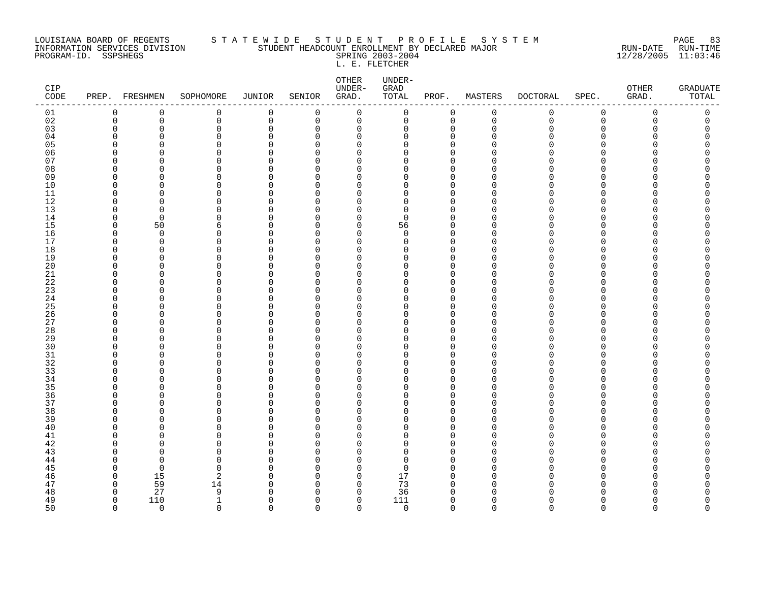#### LOUISIANA BOARD OF REGENTS S T A T E W I D E S T U D E N T P R O F I L E S Y S T E M PAGE 83 INFORMATION SERVICES DIVISION STUDENT HEADCOUNT ENROLLMENT BY DECLARED MAJOR RUN-DATE RUN-TIME PROGRAM-ID. SSPSHEGS SPRING 2003-2004 12/28/2005 11:03:46 L. E. FLETCHER

| CIP<br>CODE | PREP. FRESHMEN       |                      | SOPHOMORE     | JUNIOR           | SENIOR         | OTHER<br>UNDER-<br>GRAD. | UNDER-<br>GRAD<br>TOTAL | PROF.                   | MASTERS     | <b>DOCTORAL</b> | SPEC.         | ${\small \texttt{OTHER}}$<br>GRAD. | <b>GRADUATE</b><br>TOTAL |
|-------------|----------------------|----------------------|---------------|------------------|----------------|--------------------------|-------------------------|-------------------------|-------------|-----------------|---------------|------------------------------------|--------------------------|
| 01          | 0                    | 0                    | 0             | $\mathbf 0$      | 0              | 0                        | 0                       | 0                       | $\mathbf 0$ | 0               | $\mathsf 0$   | 0                                  | 0                        |
| 02          | $\mathbf 0$          | $\mathbf 0$          | 0             | $\overline{0}$   | $\overline{0}$ | $\mathbf 0$              | $\mathbf 0$             | $\mathbf 0$             | $\mathbf 0$ | $\Omega$        | $\Omega$      | $\Omega$                           | $\Omega$                 |
| 03          | $\mathbf 0$          | $\mathbf 0$          | 0             | $\mathbf 0$      | $\Omega$       | $\mathbf 0$              | 0                       | $\mathbf 0$             | $\mathbf 0$ | U               | $\Omega$      |                                    | $\Omega$                 |
| 04          | $\Omega$             | $\Omega$             | 0             | $\Omega$         | 0              | 0                        | O                       | 0                       |             |                 | ∩             |                                    | O                        |
| 05          | ∩                    | $\Omega$             | 0             | $\cap$           | ∩              | $\Omega$                 | O                       | $\Omega$                |             |                 | ∩             |                                    | Ω                        |
| 06          | $\Omega$             | $\Omega$             | 0             | $\Omega$         | O              | 0                        | O                       | 0                       |             |                 | ∩             |                                    | ⋂                        |
| 07          | $\Omega$             | $\Omega$             | 0<br>$\Omega$ | $\cap$<br>$\cap$ | ∩<br>∩         | $\Omega$                 | U                       | $\Omega$                |             |                 | ∩<br>∩        |                                    |                          |
| 08<br>09    | $\Omega$<br>$\Omega$ | $\Omega$<br>$\cap$   | $\Omega$      | $\cap$           | ∩              | $\Omega$<br>O            | O<br>O                  | $\mathbf 0$<br>$\Omega$ |             |                 | ∩             |                                    |                          |
| 10          | $\Omega$             | $\Omega$             | 0             | $\Omega$         | $\Omega$       | $\Omega$                 | O                       | $\Omega$                |             |                 | ∩             |                                    | Λ                        |
| 11          | $\Omega$             | <sup>0</sup>         | 0             | $\Omega$         | O              | O                        | O                       | 0                       |             |                 | ∩             |                                    |                          |
| 12          | $\Omega$             | <sup>0</sup>         | 0             | $\Omega$         | $\Omega$       | $\Omega$                 | U                       | $\mathbf 0$             |             |                 | ∩             |                                    |                          |
| 13          | 0                    | $\Omega$             | 0             | $\cap$           | ∩              | $\Omega$                 | $\Omega$                | $\mathbf 0$             | ∩           |                 | ∩             |                                    |                          |
| 14          | $\Omega$             | $\Omega$             | 0             | $\cap$           | ∩              | $\Omega$                 | $\Omega$                | $\Omega$                |             |                 | ∩             |                                    |                          |
| 15          | $\Omega$             | 50                   | 6             | $\cap$           | n              | $\Omega$                 | 56                      | $\Omega$                |             |                 | ∩             |                                    | ∩                        |
| 16          | $\Omega$             | $\Omega$             | $\Omega$      | $\cap$           | ∩              | $\Omega$                 | $\Omega$                | $\Omega$                | ∩           |                 | ∩             |                                    |                          |
| 17          | $\mathbf 0$          | $\mathbf 0$          | 0             | $\Omega$         | $\Omega$       | $\mathbf 0$              | 0                       | $\mathbf 0$             | O           |                 | $\Omega$      |                                    | Λ                        |
| 18          | $\Omega$             | $\Omega$             | 0             | $\Omega$         | ∩              | $\Omega$                 | O                       | $\Omega$                | ∩           |                 | ∩             |                                    |                          |
| 19          | $\Omega$             | $\Omega$             | 0             | $\Omega$         | $\Omega$       | 0                        | O                       | $\mathbf 0$             |             |                 | ∩             |                                    |                          |
| 20          | ∩                    | $\Omega$             | 0             | $\Omega$         | ∩              | $\Omega$                 | U                       | $\Omega$                | ∩           |                 | ∩             |                                    |                          |
| 21          | ∩                    | $\Omega$             | 0             | $\Omega$         | ∩              | $\Omega$                 | O                       | $\Omega$                | ∩           |                 | ∩             |                                    |                          |
| 22          | ∩                    | $\Omega$             | 0             | $\cap$           | ∩              | $\Omega$                 | O                       | $\Omega$                | ∩           |                 | ∩             |                                    |                          |
| 23          | $\Omega$             | $\Omega$             | $\Omega$      | $\cap$           | ∩              | $\Omega$                 | O                       | $\Omega$                |             |                 | ∩             |                                    |                          |
| 24          | 0                    | $\Omega$             | 0             | O                | O              | 0                        | 0                       | 0                       | ∩           |                 | ∩             |                                    |                          |
| 25          | ∩                    | <sup>0</sup>         | 0             | ∩                | ∩              | O                        | U                       | $\Omega$                |             |                 |               |                                    |                          |
| 26          | $\Omega$             | $\Omega$             | 0             | $\Omega$         | $\Omega$       | 0                        | O                       | 0                       | ∩           |                 | $\Omega$<br>∩ |                                    |                          |
| 27          | $\Omega$<br>$\Omega$ | $\Omega$<br>$\Omega$ | 0<br>$\Omega$ | ∩<br>$\cap$      | ∩<br>∩         | $\Omega$<br>$\Omega$     | O<br>O                  | $\Omega$<br>$\Omega$    |             |                 | ∩             |                                    |                          |
| 28<br>29    | ∩                    | $\Omega$             | 0             | $\cap$           | $\Omega$       | $\Omega$                 | O                       | $\Omega$                |             |                 | ∩             |                                    |                          |
| 30          | ∩                    | $\cap$               | $\Omega$      | ∩                | ∩              | O                        | O                       | $\Omega$                |             |                 | ∩             |                                    |                          |
| 31          | $\Omega$             | <sup>0</sup>         | 0             | O                | O              | 0                        | 0                       | 0                       | n           |                 | O             |                                    | Π                        |
| 32          | ∩                    | <sup>0</sup>         | 0             | ∩                | U              | O                        | O                       | $\Omega$                |             |                 | ∩             |                                    |                          |
| 33          | ∩                    | $\Omega$             | 0             | $\cap$           | ∩              | $\Omega$                 | O                       | $\Omega$                |             |                 | ∩             |                                    |                          |
| 34          | ∩                    | $\Omega$             | 0             | $\cap$           | ∩              | $\Omega$                 | O                       | $\Omega$                |             |                 | ∩             |                                    |                          |
| 35          | ∩                    | $\Omega$             | 0             | $\cap$           | ∩              | $\Omega$                 | O                       | $\Omega$                |             |                 | ∩             |                                    |                          |
| 36          | ∩                    | $\Omega$             | 0             | $\cap$           | ∩              | $\Omega$                 | O                       | $\Omega$                | ∩           |                 | ∩             |                                    |                          |
| 37          | $\Omega$             | $\Omega$             | 0             | $\Omega$         | $\Omega$       | $\Omega$                 | 0                       | $\mathbf{0}$            |             |                 | $\Omega$      |                                    |                          |
| 38          | O                    | $\Omega$             | 0             | O                | O              | $\Omega$                 | O                       | 0                       |             |                 | ∩             |                                    |                          |
| 39          | $\Omega$             | $\Omega$             | 0             | $\cap$           | $\Omega$       | $\Omega$                 | O                       | $\mathbf 0$             | ∩           |                 | ∩             |                                    |                          |
| 40          | $\Omega$             | $\Omega$             | 0             | $\cap$           | $\Omega$       | $\Omega$                 | O                       | $\mathbf 0$             | ∩           |                 | ∩             |                                    |                          |
| 41          | ∩                    | $\Omega$             | 0             | $\Omega$         | ∩              | $\Omega$                 | O                       | $\Omega$                |             |                 | ∩             |                                    |                          |
| 42          | $\Omega$             | $\Omega$             | $\Omega$      | $\Omega$         | ∩              | $\Omega$                 | 0                       | $\mathbf 0$             | ∩           |                 | ∩             |                                    | ⋂                        |
| 43          | ∩                    | $\cap$               | $\Omega$      | $\cap$           | ∩              | U                        | U                       | $\Omega$                |             |                 |               |                                    |                          |
| 44          | $\Omega$             | $\Omega$             | 0             | $\Omega$         | $\Omega$       | 0                        | $\Omega$                | $\Omega$                | O           |                 | $\Omega$      |                                    |                          |
| 45          | 0                    | 0                    | 0             | O                | ∩              | 0                        | $\Omega$                | 0                       | n           |                 | ∩             |                                    |                          |
| 46          | $\Omega$             | 15                   | 2             | $\Omega$         | U              | $\Omega$                 | 17                      | $\Omega$                |             |                 | ∩<br>∩        |                                    |                          |
| 47          | $\Omega$<br>$\Omega$ | 59<br>27             | 14<br>9       | $\Omega$<br>∩    | O<br>∩         | 0<br>$\Omega$            | 73<br>36                | 0<br>$\Omega$           |             |                 |               |                                    |                          |
| 48<br>49    | $\mathbf 0$          | 110                  | 1             | $\Omega$         | $\Omega$       | $\mathbf 0$              | 111                     | $\mathbf 0$             | $\Omega$    |                 | ∩             |                                    | <sup>0</sup>             |
| 50          | $\Omega$             | $\Omega$             | $\Omega$      | $\Omega$         | $\Omega$       | $\Omega$                 | $\Omega$                | $\Omega$                | $\cap$      | $\Omega$        | $\Omega$      | $\Omega$                           | $\Omega$                 |
|             |                      |                      |               |                  |                |                          |                         |                         |             |                 |               |                                    |                          |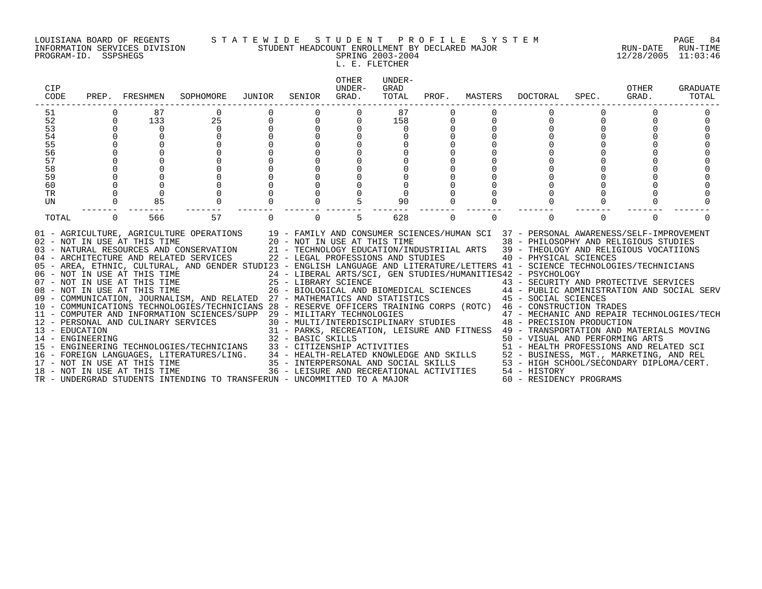#### LOUISIANA BOARD OF REGENTS S T A T E W I D E S T U D E N T P R O F I L E S Y S T E M PAGE 84 INFORMATION SERVICES DIVISION STUDENT HEADCOUNT ENROLLMENT BY DECLARED MAJOR RUN-DATE RUN-TIME PROGRAM-ID. SSPSHEGS SPRING 2003-2004 12/28/2005 11:03:46

L. E. FLETCHER

| CIP<br>CODE                                                          |                         | PREP. FRESHMEN                                                      | SOPHOMORE                                                                                                                                                                                                                                                                                                                                                                                                                                                                                                                                                                                                                                                                                                                                                                                                                                                                                                                                                                                                                                                                                                                                                                                                                                                                                                                                                                                                                                                                                                                                                                            | JUNIOR      | SENIOR   | OTHER<br>UNDER-<br>GRAD. | UNDER-<br>GRAD<br>TOTAL | PROF.       | MASTERS  | DOCTORAL                                                                                                                                                                                                                                                                                                                                                                                                                                                                       | SPEC.    | OTHER<br>GRAD. | GRADUATE<br>TOTAL |
|----------------------------------------------------------------------|-------------------------|---------------------------------------------------------------------|--------------------------------------------------------------------------------------------------------------------------------------------------------------------------------------------------------------------------------------------------------------------------------------------------------------------------------------------------------------------------------------------------------------------------------------------------------------------------------------------------------------------------------------------------------------------------------------------------------------------------------------------------------------------------------------------------------------------------------------------------------------------------------------------------------------------------------------------------------------------------------------------------------------------------------------------------------------------------------------------------------------------------------------------------------------------------------------------------------------------------------------------------------------------------------------------------------------------------------------------------------------------------------------------------------------------------------------------------------------------------------------------------------------------------------------------------------------------------------------------------------------------------------------------------------------------------------------|-------------|----------|--------------------------|-------------------------|-------------|----------|--------------------------------------------------------------------------------------------------------------------------------------------------------------------------------------------------------------------------------------------------------------------------------------------------------------------------------------------------------------------------------------------------------------------------------------------------------------------------------|----------|----------------|-------------------|
| 51<br>52<br>53<br>54<br>55<br>56<br>57<br>58<br>59<br>60<br>TR<br>UN | $\Omega$<br>$\mathbf 0$ | 87<br>133<br>$\overline{0}$<br>$\Omega$<br>85                       | 25<br>$\mathbf 0$<br>$\Omega$<br>$\cap$<br>$\Omega$<br>$\mathbf 0$<br>$\Omega$                                                                                                                                                                                                                                                                                                                                                                                                                                                                                                                                                                                                                                                                                                                                                                                                                                                                                                                                                                                                                                                                                                                                                                                                                                                                                                                                                                                                                                                                                                       | $\mathbf 0$ |          |                          | 87<br>158<br>90         | $\mathbf 0$ | $\Omega$ | $\cap$<br>$\Omega$                                                                                                                                                                                                                                                                                                                                                                                                                                                             |          |                |                   |
| TOTAL                                                                | $\Omega$                | 566<br>08 - NOT IN USE AT THIS TIME<br>18 - NOT IN USE AT THIS TIME | 57<br>01 - AGRICULTURE, AGRICULTURE OPERATIONS 19 - FAMILY AND CONSUMER SCIENCES/HUMAN SCI 37 - PERSONAL AWARENESS/SELF-IMPROVEMENT<br>02 - NOT IN USE AT THIS TIME 20 - NOT IN USE AT THIS TIME 38 - PHILOSOPHY AND RELIGIOUS STUDIES<br>03 - NATURAL RESOURCES AND CONSERVATION 21 - TECHNOLOGY EDUCATION/INDUSTRIIAL ARTS 39 - THEOLOGY AND RELIGIOUS VOCATIIONS<br>04 - ARCHITECTURE AND RELATED SERVICES 22 - LEGAL PROFESSIONS AND STUDIES<br>05 - AREA, ETHNIC, CULTURAL, AND GENDER STUDI23 - ENGLISH LANGUAGE AND LITERATURE/LETTERS 41 - SCIENCE TECHNOLOGIES/TECHNICIANS<br>06 - NOT IN USE AT THIS TIME                          24 - LIBERAL ARTS/SCI, GEN STUDIES/HUMANITIES42 - PSYCHOLOGY<br>07 - NOT IN USE AT THIS TIME                    25 - LIBRARY SCIENCE                       43 - SECURITY AN<br>09 - COMMUNICATION, JOURNALISM, AND RELATED 27 - MATHEMATICS AND STATISTICS 45 - SOCIAL SCIENCES<br>10 - COMMUNICATIONS TECHNOLOGIES/TECHNICIANS 28 - RESERVE OFFICERS TRAINING CORPS (ROTC) 46 - CONSTRUCTION TRADES<br>11 - COMPUTER AND INFORMATION SCIENCES/SUPP 29 - MILITARY TECHNOLOGIES<br>12 - DERSONAL AND CULINARY SERVICES 30 - MULTI/INTERDI<br>13 - EDUCATION 31 - PARKS, RECREA<br>14 - ENGINEERING 32 - BASIC SKILLS<br>14 - ENGINEERING 1989 EREORATOR MOLOGIES/TECHNICIANS 32 - BASIC SKILLS<br>15 - ENGINEERING TECHNOLOGIES/TECHNICIANS 33 - CITIZENSHIP ACTIVITIES 50 - VISUAL AND PERFORMING ARTS<br>16 - FOREIGN LANGUAGES, LITERATURES/LING. 34 - HE<br>TR - UNDERGRAD STUDENTS INTENDING TO TRANSFERUN - UNCOMMITTED TO A MAJOR | $\Omega$    | $\Omega$ | 5                        | 628                     | $\Omega$    | $\Omega$ | $\Omega$<br>40 - PHYSICAL SCIENCES<br>25 - LIBRARY SCIENCE<br>26 - BIOLOGICAL AND BIOMEDICAL SCIENCES<br>27 - MATURIMATICA AND CENTRICIAL SCIENCES<br>27 - MATURIMATICA AND CENTRICIAL SCIENCES<br>29 - MILITARY TECHNOLOGIES<br>30 - MULTI/INTERDISCIPLINARY STUDIES<br>48 - PRECISION PRODUCTION<br>31 - PARKS, RECREATION, LEISURE AND FITNESS 49 - TRANSPORTATION AND MATERIALS MOVING<br>36 - LEISURE AND RECREATIONAL ACTIVITIES 54 - HISTORY<br>60 - RESIDENCY PROGRAMS | $\Omega$ | $\Omega$       | ∩                 |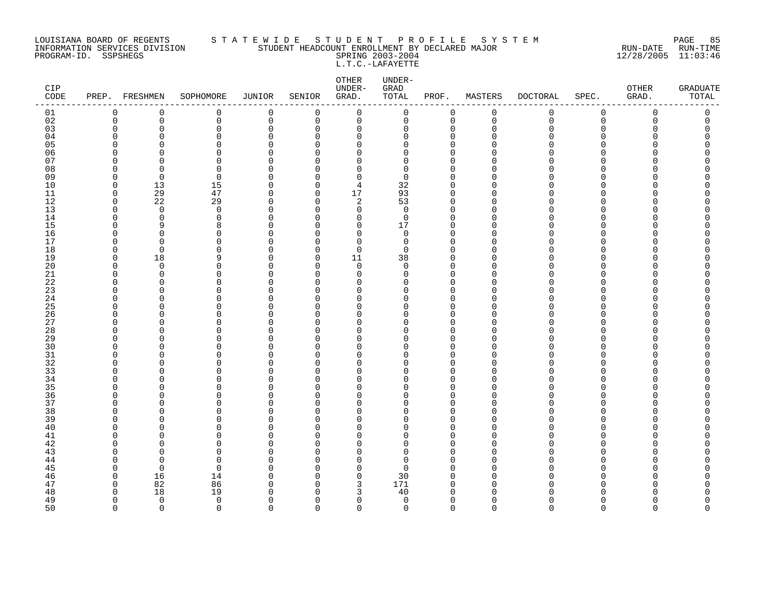#### LOUISIANA BOARD OF REGENTS S T A T E W I D E S T U D E N T P R O F I L E S Y S T E M PAGE 85 INFORMATION SERVICES DIVISION STUDENT HEADCOUNT ENROLLMENT BY DECLARED MAJOR RUN-DATE RUN-TIME PROGRAM-ID. SSPSHEGS SPRING 2003-2004 12/28/2005 11:03:46 L.T.C.-LAFAYETTE

| CIP<br>$\texttt{CODE}{}$ |                      | PREP. FRESHMEN | SOPHOMORE            | <b>JUNIOR</b>           | SENIOR               | OTHER<br>UNDER-<br>GRAD. | UNDER-<br>GRAD<br>TOTAL | PROF.                   | MASTERS     | <b>DOCTORAL</b> | SPEC.       | OTHER<br>GRAD. | <b>GRADUATE</b><br>TOTAL |
|--------------------------|----------------------|----------------|----------------------|-------------------------|----------------------|--------------------------|-------------------------|-------------------------|-------------|-----------------|-------------|----------------|--------------------------|
| 01                       | $\mathbf 0$          | 0              | 0                    | 0                       | 0                    | $\mathbf 0$              | 0                       | 0                       | $\mathbf 0$ | 0               | $\mathbf 0$ | 0              | 0                        |
| 02                       | $\mathbf 0$          | $\mathbf 0$    | 0                    | $\mathsf 0$             | 0                    | $\mathbf 0$              | 0                       | $\mathbf 0$             | $\mathbf 0$ | $\mathbf 0$     | $\Omega$    | $\Omega$       | 0                        |
| 03                       | $\Omega$             | $\Omega$       | 0                    | $\mathbf 0$             | 0                    | 0                        | 0                       | $\Omega$                | $\Omega$    | Λ               | $\Omega$    | U              | O                        |
| 04                       | $\Omega$             | O              | 0                    | 0                       | $\Omega$             | 0                        | 0                       | 0                       | ∩           |                 | ∩           |                | Ω                        |
| 05                       | $\Omega$             | C              | $\Omega$             | $\Omega$                | $\Omega$             | 0                        | 0                       | $\Omega$                |             |                 | ∩           |                |                          |
| 06                       | $\Omega$<br>$\Omega$ | O<br>n         | 0<br>$\Omega$        | $\Omega$                | $\Omega$             | 0                        | 0<br>$\Omega$           | $\mathbf 0$<br>$\Omega$ |             |                 | ∩<br>∩      |                | ⋂                        |
| 07<br>08                 | $\Omega$             | $\Omega$       | $\Omega$             | $\Omega$<br>$\Omega$    | $\Omega$<br>$\Omega$ | $\Omega$<br>$\Omega$     | $\Omega$                | $\Omega$                |             |                 | ∩           |                |                          |
| 09                       | 0                    | 0              | 0                    | 0                       | 0                    | 0                        | 0                       | $\mathbf 0$             |             |                 | ∩           |                |                          |
| 10                       | $\mathbf 0$          | 13             | 15                   | $\Omega$                | $\Omega$             | 4                        | 32                      | $\Omega$                |             |                 | ∩           |                |                          |
| 11                       | $\mathbf 0$          | 29             | 47                   | $\mathbf 0$             | 0                    | 17                       | 93                      | 0                       | ∩           |                 | ∩           |                |                          |
| 12                       | $\Omega$             | 22             | 29                   | $\Omega$                | $\Omega$             | 2                        | 53                      | $\Omega$                |             |                 | ∩           |                |                          |
| 13                       | $\mathbf 0$          | $\mathbf 0$    | $\mathbf 0$          | $\mathbf 0$             | $\Omega$             | $\mathbf 0$              | $\mathbf 0$             | $\mathbf 0$             | O           |                 | $\Omega$    |                |                          |
| 14                       | $\Omega$             | $\Omega$       | 0                    | $\Omega$                | $\Omega$             | $\Omega$                 | $\mathbf 0$             | $\mathbf 0$             | n           |                 | $\cap$      |                |                          |
| 15                       | $\Omega$             | 9              | 8                    | $\Omega$                | $\Omega$             | 0                        | 17                      | $\Omega$                | ∩           |                 | ∩           |                | Ω                        |
| 16                       | $\Omega$             | $\Omega$       | 0                    | 0                       | $\Omega$             | 0                        | 0                       | $\mathbf 0$             | ∩           |                 | ∩           |                | ⋂                        |
| 17                       | $\Omega$             | $\Omega$       | 0                    | 0                       | $\Omega$             | $\mathbf 0$              | $\mathbf 0$             | $\mathbf 0$             | ∩           |                 | ∩           |                |                          |
| 18                       | 0                    | $\Omega$       | 0                    | $\Omega$                | 0                    | $\mathbf 0$              | 0                       | $\Omega$                |             |                 | ∩           |                |                          |
| 19                       | $\Omega$             | 18             | 9                    | $\mathbf 0$             | $\Omega$             | 11                       | 38                      | $\Omega$                |             |                 | ∩           |                |                          |
| 20                       | $\Omega$             | $\Omega$       | $\Omega$             | $\Omega$                | $\Omega$             | $\Omega$                 | $\Omega$                | $\Omega$                |             |                 | ∩           |                | ∩                        |
| 21                       | $\Omega$             | 0              | $\Omega$             | 0                       | $\Omega$             | 0                        | 0                       | $\Omega$                | n           |                 | ∩           |                |                          |
| 22                       | 0                    | 0              | $\Omega$             | 0                       | 0                    | 0                        | 0                       | 0                       | ∩           |                 | O           |                |                          |
| 23                       | $\Omega$             | O              | 0                    | $\Omega$                | ∩                    | 0                        | 0                       | $\Omega$                |             |                 | ∩           |                |                          |
| 24                       | $\Omega$             | O              | 0                    | $\mathbf 0$             | $\Omega$             | 0                        | 0                       | $\mathbf 0$             | n           |                 | ∩           |                |                          |
| 25                       | $\Omega$<br>$\Omega$ | O<br>O         | $\Omega$<br>0        | $\mathbf 0$<br>$\Omega$ | $\Omega$<br>$\Omega$ | $\Omega$<br>$\Omega$     | $\Omega$<br>$\Omega$    | $\Omega$<br>$\Omega$    | n           |                 | ∩<br>∩      |                |                          |
| 26<br>27                 | $\Omega$             | O              | 0                    | 0                       | 0                    | 0                        | 0                       | $\mathbf 0$             |             |                 | ∩           |                |                          |
| 28                       | $\Omega$             | C              | $\Omega$             | $\Omega$                | $\Omega$             | $\Omega$                 | 0                       | $\Omega$                |             |                 | ∩           |                |                          |
| 29                       | $\Omega$             | 0              | 0                    | $\Omega$                | 0                    | 0                        | 0                       | 0                       |             |                 | ∩           |                |                          |
| 30                       | $\Omega$             | O              | $\Omega$             | $\Omega$                | $\Omega$             | $\Omega$                 | $\Omega$                | $\Omega$                |             |                 | ∩           |                |                          |
| 31                       | $\Omega$             | O              | 0                    | $\Omega$                | $\Omega$             | $\Omega$                 | 0                       | $\Omega$                |             |                 | $\Omega$    |                |                          |
| 32                       | $\Omega$             | O              | $\Omega$             | $\Omega$                | ∩                    | $\Omega$                 | 0                       | $\Omega$                |             |                 | ∩           |                |                          |
| 33                       | $\Omega$             | 0              | $\Omega$             | $\Omega$                | $\Omega$             | 0                        | 0                       | $\Omega$                |             |                 | ∩           |                |                          |
| 34                       | $\Omega$             | O              | $\Omega$             | 0                       | $\Omega$             | 0                        | 0                       | $\Omega$                | ∩           |                 | ∩           |                |                          |
| 35                       | $\Omega$             | O              | $\Omega$             | $\Omega$                | $\Omega$             | $\Omega$                 | O                       | $\Omega$                |             |                 | ∩           |                |                          |
| 36                       | $\Omega$             | O              | 0                    | $\Omega$                | $\Omega$             | 0                        | 0                       | $\Omega$                | ∩           |                 | ∩           |                |                          |
| 37                       | $\Omega$             | O              | 0                    | $\Omega$                | $\Omega$             | 0                        | $\Omega$                | $\Omega$                |             |                 | ∩           |                |                          |
| 38                       | $\Omega$             | O              | $\Omega$             | $\Omega$                | $\Omega$             | $\Omega$                 | $\Omega$                | $\Omega$                |             |                 | ∩           |                |                          |
| 39                       | $\Omega$             | 0              | $\Omega$             | 0                       | $\Omega$             | 0                        | 0                       | $\Omega$                | n           |                 | O           |                |                          |
| 40                       | $\Omega$             | O              | $\Omega$             | $\Omega$                | $\Omega$             | 0                        | 0                       | $\mathbf 0$             | ∩           |                 | O           |                |                          |
| 41                       | $\Omega$             | C              | $\Omega$             | $\Omega$                | $\Omega$             | 0                        | 0                       | $\Omega$                |             |                 | ∩           |                |                          |
| 42                       | $\Omega$             | O              | 0                    | $\Omega$                | $\Omega$             | 0                        | 0                       | $\mathbf 0$             | n           |                 | ∩           |                | ⋂                        |
| 43<br>44                 | $\Omega$<br>$\Omega$ | n<br>$\Omega$  | $\Omega$<br>$\Omega$ | $\Omega$<br>$\Omega$    | $\Omega$<br>$\Omega$ | $\Omega$<br>$\Omega$     | $\Omega$<br>$\Omega$    | $\Omega$<br>$\Omega$    | n           |                 | ∩           |                |                          |
| 45                       | $\Omega$             | 0              | 0                    | $\Omega$                | 0                    | 0                        | 0                       | $\Omega$                | ∩           |                 | O           |                |                          |
| 46                       | 0                    | 16             | 14                   | $\Omega$                | $\Omega$             | $\mathbf 0$              | 30                      | $\Omega$                | U           |                 | ∩           |                |                          |
| 47                       | 0                    | 82             | 86                   | $\Omega$                | 0                    | 3                        | 171                     | $\Omega$                | $\cap$      |                 | ∩           |                |                          |
| 48                       | $\Omega$             | 18             | 19                   | $\Omega$                | $\Omega$             | 3                        | 40                      | $\Omega$                |             |                 |             |                |                          |
| 49                       | $\Omega$             | $\mathbf 0$    | $\mathbf 0$          | $\Omega$                | $\Omega$             | $\mathbf 0$              | $\mathbf 0$             | $\mathbf 0$             | ∩           |                 | $\Omega$    | ∩              | O                        |
| 50                       | $\Omega$             | $\Omega$       | $\Omega$             | $\Omega$                | $\Omega$             | $\Omega$                 | $\Omega$                | $\Omega$                | $\Omega$    | $\Omega$        | $\Omega$    | $\Omega$       | $\Omega$                 |
|                          |                      |                |                      |                         |                      |                          |                         |                         |             |                 |             |                |                          |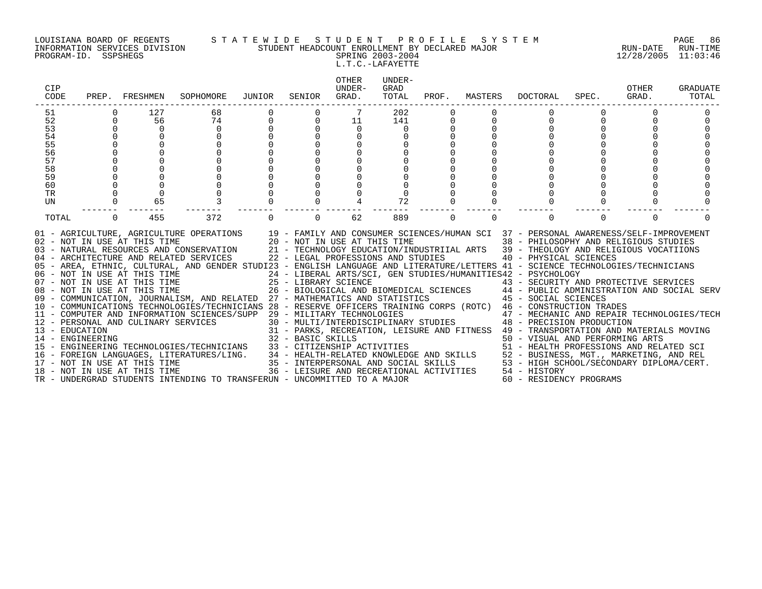#### LOUISIANA BOARD OF REGENTS S T A T E W I D E S T U D E N T P R O F I L E S Y S T E M PAGE 86 INFORMATION SERVICES DIVISION STUDENT HEADCOUNT ENROLLMENT BY DECLARED MAJOR RUN-DATE RUN-TIME PROGRAM-ID. SSPSHEGS SPRING 2003-2004 12/28/2005 11:03:46

# L.T.C.-LAFAYETTE

| CIP<br>CODE     |                      | PREP. FRESHMEN                                               | SOPHOMORE                                                                                                                                                                                                                                                                                                                                                                                                                                                                                                                                                                                                                                                                                                                                                                                                                                                                                                                                                                                                                                                                                                                                                                                                                                                                                                                                                                                                                                                                                                                                                                                                   | JUNIOR   | SENIOR   | <b>OTHER</b><br>UNDER-<br>GRAD. | UNDER-<br>GRAD<br>TOTAL | PROF.    | MASTERS  | DOCTORAL                                                                                                                                                                                                                                                                                                                            | SPEC.    | OTHER<br>GRAD. | GRADUATE<br>TOTAL |
|-----------------|----------------------|--------------------------------------------------------------|-------------------------------------------------------------------------------------------------------------------------------------------------------------------------------------------------------------------------------------------------------------------------------------------------------------------------------------------------------------------------------------------------------------------------------------------------------------------------------------------------------------------------------------------------------------------------------------------------------------------------------------------------------------------------------------------------------------------------------------------------------------------------------------------------------------------------------------------------------------------------------------------------------------------------------------------------------------------------------------------------------------------------------------------------------------------------------------------------------------------------------------------------------------------------------------------------------------------------------------------------------------------------------------------------------------------------------------------------------------------------------------------------------------------------------------------------------------------------------------------------------------------------------------------------------------------------------------------------------------|----------|----------|---------------------------------|-------------------------|----------|----------|-------------------------------------------------------------------------------------------------------------------------------------------------------------------------------------------------------------------------------------------------------------------------------------------------------------------------------------|----------|----------------|-------------------|
| 51<br>52        | $\Omega$             | 127<br>56                                                    | 68<br>74                                                                                                                                                                                                                                                                                                                                                                                                                                                                                                                                                                                                                                                                                                                                                                                                                                                                                                                                                                                                                                                                                                                                                                                                                                                                                                                                                                                                                                                                                                                                                                                                    |          |          | 11                              | 202<br>141              |          |          | $\Omega$                                                                                                                                                                                                                                                                                                                            |          |                |                   |
| 53              | $\Omega$             | $\Omega$                                                     | $\Omega$                                                                                                                                                                                                                                                                                                                                                                                                                                                                                                                                                                                                                                                                                                                                                                                                                                                                                                                                                                                                                                                                                                                                                                                                                                                                                                                                                                                                                                                                                                                                                                                                    |          |          | $\Omega$                        | $\Omega$                |          |          |                                                                                                                                                                                                                                                                                                                                     |          |                |                   |
| $\overline{54}$ | $\Omega$             | $\Omega$                                                     | $\Omega$                                                                                                                                                                                                                                                                                                                                                                                                                                                                                                                                                                                                                                                                                                                                                                                                                                                                                                                                                                                                                                                                                                                                                                                                                                                                                                                                                                                                                                                                                                                                                                                                    | $\Omega$ |          |                                 | $\Omega$                |          |          |                                                                                                                                                                                                                                                                                                                                     |          |                |                   |
| 55              |                      |                                                              |                                                                                                                                                                                                                                                                                                                                                                                                                                                                                                                                                                                                                                                                                                                                                                                                                                                                                                                                                                                                                                                                                                                                                                                                                                                                                                                                                                                                                                                                                                                                                                                                             |          |          |                                 |                         |          |          |                                                                                                                                                                                                                                                                                                                                     |          |                |                   |
| 56<br>57        | $\Omega$<br>$\Omega$ |                                                              |                                                                                                                                                                                                                                                                                                                                                                                                                                                                                                                                                                                                                                                                                                                                                                                                                                                                                                                                                                                                                                                                                                                                                                                                                                                                                                                                                                                                                                                                                                                                                                                                             |          |          |                                 |                         |          |          |                                                                                                                                                                                                                                                                                                                                     |          |                |                   |
| 58              | $\Omega$             |                                                              |                                                                                                                                                                                                                                                                                                                                                                                                                                                                                                                                                                                                                                                                                                                                                                                                                                                                                                                                                                                                                                                                                                                                                                                                                                                                                                                                                                                                                                                                                                                                                                                                             |          |          |                                 |                         |          |          |                                                                                                                                                                                                                                                                                                                                     |          |                |                   |
| 59              |                      |                                                              |                                                                                                                                                                                                                                                                                                                                                                                                                                                                                                                                                                                                                                                                                                                                                                                                                                                                                                                                                                                                                                                                                                                                                                                                                                                                                                                                                                                                                                                                                                                                                                                                             |          |          |                                 |                         |          |          |                                                                                                                                                                                                                                                                                                                                     |          |                |                   |
| 60              |                      |                                                              |                                                                                                                                                                                                                                                                                                                                                                                                                                                                                                                                                                                                                                                                                                                                                                                                                                                                                                                                                                                                                                                                                                                                                                                                                                                                                                                                                                                                                                                                                                                                                                                                             |          |          |                                 |                         |          |          |                                                                                                                                                                                                                                                                                                                                     |          |                |                   |
| TR              | $\Omega$             | $\Omega$                                                     |                                                                                                                                                                                                                                                                                                                                                                                                                                                                                                                                                                                                                                                                                                                                                                                                                                                                                                                                                                                                                                                                                                                                                                                                                                                                                                                                                                                                                                                                                                                                                                                                             |          |          |                                 |                         |          |          |                                                                                                                                                                                                                                                                                                                                     |          |                |                   |
| UN              | $\mathbf 0$          | 65                                                           |                                                                                                                                                                                                                                                                                                                                                                                                                                                                                                                                                                                                                                                                                                                                                                                                                                                                                                                                                                                                                                                                                                                                                                                                                                                                                                                                                                                                                                                                                                                                                                                                             |          |          |                                 | 72                      | $\Omega$ |          |                                                                                                                                                                                                                                                                                                                                     |          |                |                   |
| TOTAL           | $\Omega$             | 455                                                          | 372                                                                                                                                                                                                                                                                                                                                                                                                                                                                                                                                                                                                                                                                                                                                                                                                                                                                                                                                                                                                                                                                                                                                                                                                                                                                                                                                                                                                                                                                                                                                                                                                         | $\Omega$ | $\Omega$ | 62                              | 889                     | $\Omega$ | $\Omega$ | $\Omega$                                                                                                                                                                                                                                                                                                                            | $\Omega$ | $\Omega$       | ∩                 |
|                 |                      | 02 - NOT IN USE AT THIS TIME<br>08 - NOT IN USE AT THIS TIME | 01 - AGRICULTURE, AGRICULTURE OPERATIONS 19 - FAMILY AND CONSUMER SCIENCES/HUMAN SCI 37 - PERSONAL AWARENESS/SELF-IMPROVEMENT<br>20 - NOT IN USE AT THIS TIME<br>03 - NATURAL RESOURCES AND CONSERVATION 21 - TECHNOLOGY EDUCATION/INDUSTRIIAL ARTS 39 - THEOLOGY AND RELIGIOUS VOCATIIONS<br>04 - ARCHITECTURE AND RELATED SERVICES 22 - LEGAL PROFESSIONS AND STUDIES<br>05 - AREA, ETHNIC, CULTURAL, AND GENDER STUDI23 - ENGLISH LANGUAGE AND LITERATURE/LETTERS 41 - SCIENCE TECHNOLOGIES/TECHNICIANS<br>$\begin{array}{lllllllll} 06 & -& \text{NOT} & \text{IN} & \text{USE} & \text{AT} & \text{THIS} & \text{TIME} & \text{15} & \text{16} & \text{17} & \text{17} & \text{18} & \text{17} \\ 07 & -& \text{NOT} & \text{IN} & \text{USE} & \text{AT} & \text{THIS} & \text{TIME} & \text{17} & \text{18} & \text{18} & \text{19} & \text{19} \\ \end{array}$<br>09 - COMMUNICATION, JOURNALISM, AND RELATED 27 - MATHEMATICS AND STATISTICS 45 - SOCIAL SCIENCES<br>10 - COMMUNICATIONS TECHNOLOGIES/TECHNICIANS 28 - RESERVE OFFICERS TRAINING CORPS (ROTC) 46 - CONSTRUCTION TRADES<br>11 - COMPUTER AND INFORMATION SCIENCES/SUPP 29 - MILITARY TECHNOLOGIES 47 - MECHANIC AND REPAIR TECHNOLOGIES/TECH<br>12 - PERSONAL AND CULINARY SERVICES 30 - MULTI/INTERDISCIPLINARY STUDIES 48 - PRECISION PRODUCTION<br>12 - PERSONAL AND CULINARY SERVICES<br>12 - PERSONAL AND CULINARY SERVICES<br>13 - PARKS, RECREATION, LEISURE AND FINICIAL AND PERFORMING AKIS<br>14 - ENGINEERING TECHNOLOGIES/TECHNICIANS<br>15 - ENGINEERING TECHNOLOGIES/TECHNICIANS<br>16 - FOREIGN LANGUAGES, LITERATUR |          |          |                                 |                         |          |          | 38 - PHILOSOPHY AND RELIGIOUS STUDIES<br>40 - PHYSICAL SCIENCES<br>24 - LIBERAL ARTS/SCI, GEN STUDIES/HUMANITIES42 - PSYCHOLOGY<br>25 - LIBRARY SCIENCE<br>26 - BIOLOGICAL AND BIOMEDICAL SCIENCES<br>26 - BIOLOGICAL AND BIOMEDICAL SCIENCES<br>26 - BIOLOGICAL AND BIOMEDICAL SCIENCES<br>26 - BIOLOGICAL AND BIOMEDICAL SCIENCES |          |                |                   |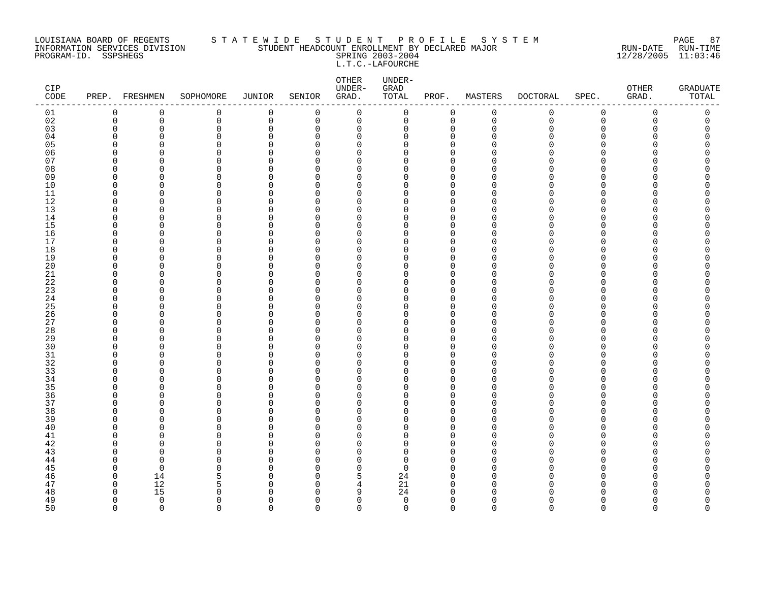#### LOUISIANA BOARD OF REGENTS S T A T E W I D E S T U D E N T P R O F I L E S Y S T E M PAGE 87 INFORMATION SERVICES DIVISION STUDENT HEADCOUNT ENROLLMENT BY DECLARED MAJOR RUN-DATE RUN-TIME PROGRAM-ID. SSPSHEGS SPRING 2003-2004 12/28/2005 11:03:46 L.T.C.-LAFOURCHE

| CIP<br>$\texttt{CODE}$ | PREP. FRESHMEN          |                      | SOPHOMORE     | JUNIOR               | SENIOR               | OTHER<br>UNDER-<br>GRAD. | UNDER-<br>${\tt GRAD}$<br>TOTAL | PROF.                      | MASTERS     | <b>DOCTORAL</b> | SPEC.          | OTHER<br>GRAD. | <b>GRADUATE</b><br>TOTAL |
|------------------------|-------------------------|----------------------|---------------|----------------------|----------------------|--------------------------|---------------------------------|----------------------------|-------------|-----------------|----------------|----------------|--------------------------|
| 01                     | 0                       | 0                    | 0             | $\mathbf 0$          | 0                    | $\mathbf 0$              | $\mathsf{O}$                    | 0                          | $\mathbf 0$ | 0               | $\mathsf 0$    | 0              | 0                        |
| 02                     | $\mathbf 0$             | $\mathbf 0$          | 0             | $\mathbf 0$          | $\overline{0}$       | $\mathbf 0$              | $\mathbf 0$                     | $\mathbf 0$                | $\mathbf 0$ | $\mathbf 0$     | $\overline{0}$ | $\Omega$       | 0                        |
| 03                     | 0                       | $\mathbf 0$          | $\Omega$      | $\mathbf 0$          | $\Omega$             | 0                        | $\Omega$                        | $\mathbf 0$                | $\Omega$    | Λ               | $\Omega$       |                | C                        |
| 04                     | 0                       | $\Omega$             | 0             | $\Omega$             | $\Omega$             | 0                        | 0                               | 0                          | ∩           |                 | ∩              |                | O                        |
| 05                     | $\Omega$                | $\Omega$             | 0             | $\Omega$             | $\Omega$             | $\Omega$                 | 0                               | $\mathbf 0$                |             |                 | ∩              |                | Λ                        |
| 06                     | $\Omega$<br>$\Omega$    | $\Omega$             | 0<br>0        | $\Omega$<br>$\cap$   | $\Omega$<br>∩        | $\mathbf 0$              | O<br>U                          | $\mathbf 0$                |             |                 | ∩<br>∩         |                | O                        |
| 07                     | $\Omega$                | $\Omega$<br>$\Omega$ | $\Omega$      | $\Omega$             | $\Omega$             | $\Omega$<br>$\Omega$     | 0                               | $\Omega$<br>$\Omega$       | ∩           |                 | $\Omega$       |                | ∩                        |
| 08<br>09               | 0                       | $\Omega$             | 0             | $\Omega$             | O                    | 0                        | 0                               | $\mathbf 0$                |             |                 | ∩              |                |                          |
| 10                     | $\Omega$                | $\Omega$             | 0             | $\Omega$             | ∩                    | 0                        | 0                               | $\mathbf 0$                |             |                 | ∩              |                |                          |
| 11                     | $\mathbf 0$             | 0                    | 0             | $\Omega$             | $\Omega$             | 0                        | O                               | $\mathbf 0$                | ∩           |                 | ∩              |                | ∩                        |
| 12                     | $\Omega$                | $\Omega$             | 0             | $\Omega$             | ∩                    | $\Omega$                 | O                               | $\Omega$                   | $\Omega$    |                 | ∩              |                |                          |
| 13                     | $\Omega$                | $\Omega$             | 0             | $\Omega$             | $\Omega$             | $\Omega$                 | 0                               | $\mathbf 0$                | $\Omega$    |                 | $\Omega$       |                | ∩                        |
| 14                     | $\Omega$                | $\Omega$             | 0             | $\Omega$             | ∩                    | $\Omega$                 | 0                               | $\Omega$                   | $\Omega$    |                 | $\Omega$       |                |                          |
| 15                     | $\Omega$                | $\Omega$             | 0             | $\Omega$             | $\Omega$             | 0                        | O                               | $\mathbf 0$                | ∩           |                 | $\Omega$       |                | Ω                        |
| 16                     | $\Omega$                | $\Omega$             | 0             | $\Omega$             | O                    | $\Omega$                 | U                               | $\mathbf 0$                | ∩           |                 | ∩              |                | ∩                        |
| 17                     | $\Omega$                | $\Omega$             | 0             | $\Omega$             | $\Omega$             | $\Omega$                 | U                               | $\mathbf 0$                | $\Omega$    |                 | $\Omega$       |                |                          |
| 18                     | $\Omega$                | $\Omega$             | 0             | $\Omega$             | $\Omega$             | 0                        | 0                               | $\mathbf 0$                | ∩           |                 | $\Omega$       |                | ∩                        |
| 19                     | $\Omega$                | $\Omega$             | 0             | $\Omega$             | ∩                    | $\Omega$                 | 0                               | $\mathbf 0$                |             |                 | $\Omega$       |                |                          |
| 20                     | $\Omega$                | $\Omega$             | 0             | $\cap$               | ∩                    | $\Omega$                 | 0                               | $\Omega$                   |             |                 | ∩              |                | ∩                        |
| 21                     | $\Omega$                | $\Omega$             | 0             | $\Omega$             | $\Omega$             | O                        | O                               | $\mathbf 0$                | ∩           |                 | ∩              |                |                          |
| 22                     | 0                       | $\Omega$             | 0             | $\Omega$             | ∩                    | 0                        | 0                               | 0                          | ∩           |                 | O              |                |                          |
| 23                     | $\Omega$                | $\Omega$             | 0             | $\Omega$             | ∩                    | $\Omega$                 | 0                               | $\mathbf 0$                | O           |                 | ∩              |                |                          |
| 24                     | $\Omega$                | $\Omega$             | 0             | $\Omega$             | $\Omega$             | 0                        | O                               | $\mathbf 0$                | O           |                 | ∩              |                | ∩                        |
| 25                     | $\Omega$                | $\Omega$             | $\Omega$      | $\cap$               | ∩                    | U                        | O                               | $\Omega$                   |             |                 | ∩              |                |                          |
| 26                     | $\Omega$                | $\Omega$             | 0             | $\Omega$             | $\Omega$             | $\Omega$                 | O                               | $\Omega$                   | $\Omega$    |                 | $\Omega$       |                |                          |
| 27                     | $\Omega$                | $\Omega$             | 0             | $\Omega$<br>$\Omega$ | O                    | 0                        | 0<br>O                          | $\mathbf 0$                | ∩           |                 | ∩<br>∩         |                |                          |
| 28<br>29               | $\Omega$<br>$\Omega$    | $\Omega$<br>$\Omega$ | 0<br>0        | $\Omega$             | $\Omega$<br>$\Omega$ | $\Omega$<br>0            | 0                               | $\mathbf 0$<br>$\mathbf 0$ | ∩           |                 | ∩              |                | ∩                        |
| 30                     | ∩                       | $\Omega$             | $\Omega$      | $\cap$               | ∩                    | U                        | O                               | $\Omega$                   | O           |                 | ∩              |                |                          |
| 31                     | $\Omega$                | $\Omega$             | 0             | $\Omega$             | $\Omega$             | $\Omega$                 | O                               | $\mathbf 0$                | $\Omega$    |                 | $\Omega$       |                | ∩                        |
| 32                     | $\Omega$                | $\Omega$             | 0             | $\Omega$             | ∩                    | $\Omega$                 | O                               | $\Omega$                   | ∩           |                 | $\Omega$       |                |                          |
| 33                     | $\Omega$                | $\Omega$             | 0             | $\Omega$             | $\Omega$             | 0                        | O                               | $\mathbf 0$                | O           |                 | $\Omega$       |                | Ω                        |
| 34                     | $\Omega$                | 0                    | O             | $\Omega$             | $\Omega$             | $\Omega$                 | O                               | $\mathbf 0$                | ∩           |                 | ∩              |                | ∩                        |
| 35                     | $\Omega$                | $\Omega$             | 0             | $\Omega$             | $\Omega$             | $\Omega$                 | O                               | $\Omega$                   | $\Omega$    |                 | ∩              |                |                          |
| 36                     | $\Omega$                | $\Omega$             | 0             | $\Omega$             | $\Omega$             | 0                        | 0                               | $\mathbf 0$                | $\Omega$    |                 | $\Omega$       |                | ∩                        |
| 37                     | $\Omega$                | $\Omega$             | 0             | $\Omega$             | ∩                    | $\Omega$                 | 0                               | $\mathbf 0$                | $\Omega$    |                 | $\Omega$       |                |                          |
| 38                     | $\Omega$                | $\Omega$             | $\Omega$      | $\Omega$             | n                    | $\Omega$                 | O                               | $\Omega$                   |             |                 | ∩              |                | ∩                        |
| 39                     | $\Omega$                | $\Omega$             | 0             | $\Omega$             | $\Omega$             | 0                        | 0                               | $\mathbf 0$                | ∩           |                 | O              |                |                          |
| 40                     | $\Omega$                | $\Omega$             | 0             | $\Omega$             | $\Omega$             | 0                        | O                               | $\mathbf 0$                | O           |                 | $\Omega$       |                |                          |
| 41                     | $\Omega$                | $\Omega$             | 0             | $\Omega$             | $\Omega$             | $\Omega$                 | 0                               | $\mathbf 0$                |             |                 | ∩              |                | Λ                        |
| 42                     | $\Omega$                | $\Omega$             | 0             | $\Omega$             | $\Omega$             | 0                        | 0                               | $\mathbf 0$                | O           |                 | ∩              |                | Λ                        |
| 43                     | ∩                       | $\Omega$             | 0             | $\cap$               | ∩                    | O                        | 0                               | $\Omega$                   | ∩           |                 | ∩              |                | ∩                        |
| 44                     | $\Omega$                | $\Omega$             | $\Omega$      | $\Omega$             | $\Omega$             | $\Omega$                 | $\Omega$                        | $\Omega$                   | $\Omega$    |                 | ∩              |                |                          |
| 45                     | 0                       | 0                    | 0             | $\Omega$             | O                    | 0                        | 0                               | $\mathbf 0$                | ∩           |                 | O              |                |                          |
| 46                     | $\Omega$                | 14                   | 5             | $\Omega$             | ∩                    | 5                        | 24                              | $\mathbf 0$                | $\Omega$    |                 | ∩              |                | Λ                        |
| 47                     | $\mathbf 0$             | 12                   | 5<br>$\Omega$ | $\Omega$             | $\Omega$             | 4                        | 21                              | $\mathbf 0$<br>$\Omega$    | ∩           |                 | ∩              |                | ∩                        |
| 48                     | $\Omega$<br>$\mathbf 0$ | 15<br>$\overline{0}$ | 0             | $\cap$<br>$\Omega$   | ∩<br>$\Omega$        | 9<br>$\mathbf 0$         | 24<br>$\mathbf 0$               | $\mathbf 0$                | $\Omega$    |                 | $\Omega$       | Λ              | ∩<br>0                   |
| 49<br>50               | $\Omega$                | $\Omega$             | $\Omega$      | $\Omega$             | $\Omega$             | $\Omega$                 | $\Omega$                        | $\Omega$                   | $\cap$      | $\Omega$        | $\Omega$       | $\Omega$       | $\Omega$                 |
|                        |                         |                      |               |                      |                      |                          |                                 |                            |             |                 |                |                |                          |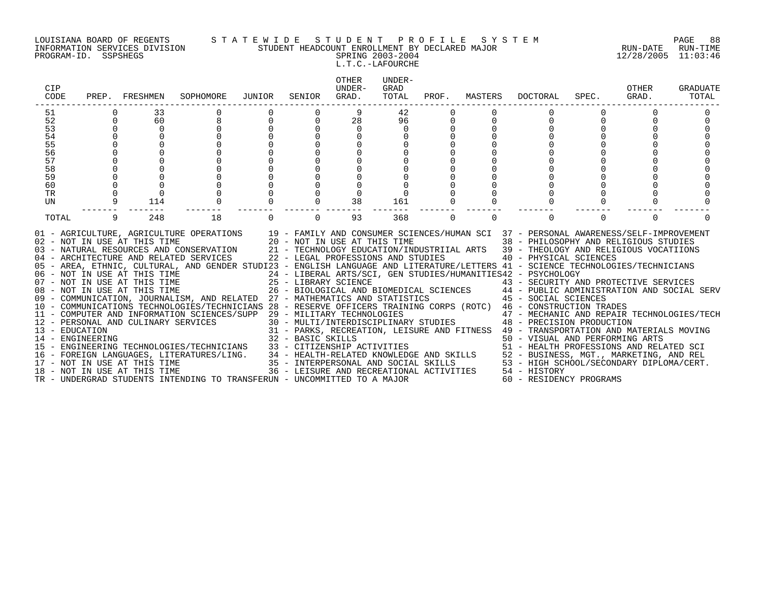PROGRAM-ID. SSPSHEGS SPRING 2003-2004 12/28/2005 11:03:46

#### LOUISIANA BOARD OF REGENTS S T A T E W I D E S T U D E N T P R O F I L E S Y S T E M PAGE 88 INFORMATION SERVICES DIVISION STUDENT HEADCOUNT ENROLLMENT BY DECLARED MAJOR RUN-DATE RUN-TIME

L.T.C.-LAFOURCHE

| CIP<br>CODE                        |   | PREP. FRESHMEN                                               | SOPHOMORE                                                                                                                                                                                                                                                                                                                                                                                                                                                                                                                                                                                                                                                                                                                                                                                                                                                                                                                                                                                                                                                         | JUNIOR   | SENIOR            | <b>OTHER</b><br>UNDER-<br>GRAD.                                                                   | UNDER-<br>GRAD<br>TOTAL | PROF.    | MASTERS  | DOCTORAL                                                                                                                                                                                                                                                                                                                                                                                                                                                                                                                                                                                                                                                                                                                                                                                                                                                                            | SPEC.    | OTHER<br>GRAD. | GRADUATE<br>TOTAL |
|------------------------------------|---|--------------------------------------------------------------|-------------------------------------------------------------------------------------------------------------------------------------------------------------------------------------------------------------------------------------------------------------------------------------------------------------------------------------------------------------------------------------------------------------------------------------------------------------------------------------------------------------------------------------------------------------------------------------------------------------------------------------------------------------------------------------------------------------------------------------------------------------------------------------------------------------------------------------------------------------------------------------------------------------------------------------------------------------------------------------------------------------------------------------------------------------------|----------|-------------------|---------------------------------------------------------------------------------------------------|-------------------------|----------|----------|-------------------------------------------------------------------------------------------------------------------------------------------------------------------------------------------------------------------------------------------------------------------------------------------------------------------------------------------------------------------------------------------------------------------------------------------------------------------------------------------------------------------------------------------------------------------------------------------------------------------------------------------------------------------------------------------------------------------------------------------------------------------------------------------------------------------------------------------------------------------------------------|----------|----------------|-------------------|
| 51                                 |   | 33                                                           |                                                                                                                                                                                                                                                                                                                                                                                                                                                                                                                                                                                                                                                                                                                                                                                                                                                                                                                                                                                                                                                                   |          |                   | 9                                                                                                 | 42                      |          |          |                                                                                                                                                                                                                                                                                                                                                                                                                                                                                                                                                                                                                                                                                                                                                                                                                                                                                     |          |                |                   |
| 52                                 | 0 | 60                                                           | 8                                                                                                                                                                                                                                                                                                                                                                                                                                                                                                                                                                                                                                                                                                                                                                                                                                                                                                                                                                                                                                                                 | 0        | $\Omega$          | 28                                                                                                | 96                      |          |          | $\Omega$                                                                                                                                                                                                                                                                                                                                                                                                                                                                                                                                                                                                                                                                                                                                                                                                                                                                            |          |                |                   |
| 53                                 |   | $\mathbf 0$                                                  |                                                                                                                                                                                                                                                                                                                                                                                                                                                                                                                                                                                                                                                                                                                                                                                                                                                                                                                                                                                                                                                                   |          |                   | $\mathbf 0$                                                                                       | 0                       |          |          |                                                                                                                                                                                                                                                                                                                                                                                                                                                                                                                                                                                                                                                                                                                                                                                                                                                                                     |          |                |                   |
| 54                                 |   |                                                              |                                                                                                                                                                                                                                                                                                                                                                                                                                                                                                                                                                                                                                                                                                                                                                                                                                                                                                                                                                                                                                                                   |          |                   |                                                                                                   |                         |          |          |                                                                                                                                                                                                                                                                                                                                                                                                                                                                                                                                                                                                                                                                                                                                                                                                                                                                                     |          |                |                   |
| 55                                 |   |                                                              |                                                                                                                                                                                                                                                                                                                                                                                                                                                                                                                                                                                                                                                                                                                                                                                                                                                                                                                                                                                                                                                                   |          |                   |                                                                                                   |                         |          |          |                                                                                                                                                                                                                                                                                                                                                                                                                                                                                                                                                                                                                                                                                                                                                                                                                                                                                     |          |                |                   |
| $\overline{56}$                    |   |                                                              |                                                                                                                                                                                                                                                                                                                                                                                                                                                                                                                                                                                                                                                                                                                                                                                                                                                                                                                                                                                                                                                                   |          |                   |                                                                                                   |                         |          |          |                                                                                                                                                                                                                                                                                                                                                                                                                                                                                                                                                                                                                                                                                                                                                                                                                                                                                     |          |                |                   |
| 57                                 |   |                                                              |                                                                                                                                                                                                                                                                                                                                                                                                                                                                                                                                                                                                                                                                                                                                                                                                                                                                                                                                                                                                                                                                   |          |                   |                                                                                                   |                         |          |          |                                                                                                                                                                                                                                                                                                                                                                                                                                                                                                                                                                                                                                                                                                                                                                                                                                                                                     |          |                |                   |
| 58                                 |   |                                                              |                                                                                                                                                                                                                                                                                                                                                                                                                                                                                                                                                                                                                                                                                                                                                                                                                                                                                                                                                                                                                                                                   |          |                   |                                                                                                   |                         |          |          |                                                                                                                                                                                                                                                                                                                                                                                                                                                                                                                                                                                                                                                                                                                                                                                                                                                                                     |          |                |                   |
| 59                                 |   |                                                              |                                                                                                                                                                                                                                                                                                                                                                                                                                                                                                                                                                                                                                                                                                                                                                                                                                                                                                                                                                                                                                                                   |          |                   |                                                                                                   |                         |          |          |                                                                                                                                                                                                                                                                                                                                                                                                                                                                                                                                                                                                                                                                                                                                                                                                                                                                                     |          |                |                   |
| 60<br><b>TR</b>                    |   |                                                              |                                                                                                                                                                                                                                                                                                                                                                                                                                                                                                                                                                                                                                                                                                                                                                                                                                                                                                                                                                                                                                                                   |          |                   | $\Omega$                                                                                          |                         |          |          |                                                                                                                                                                                                                                                                                                                                                                                                                                                                                                                                                                                                                                                                                                                                                                                                                                                                                     |          |                |                   |
| UN                                 | 9 | 114                                                          |                                                                                                                                                                                                                                                                                                                                                                                                                                                                                                                                                                                                                                                                                                                                                                                                                                                                                                                                                                                                                                                                   |          |                   | 38                                                                                                | 161                     |          |          |                                                                                                                                                                                                                                                                                                                                                                                                                                                                                                                                                                                                                                                                                                                                                                                                                                                                                     |          |                |                   |
|                                    |   |                                                              |                                                                                                                                                                                                                                                                                                                                                                                                                                                                                                                                                                                                                                                                                                                                                                                                                                                                                                                                                                                                                                                                   |          |                   |                                                                                                   |                         |          |          |                                                                                                                                                                                                                                                                                                                                                                                                                                                                                                                                                                                                                                                                                                                                                                                                                                                                                     |          |                |                   |
| TOTAL                              | 9 | 248                                                          | 18                                                                                                                                                                                                                                                                                                                                                                                                                                                                                                                                                                                                                                                                                                                                                                                                                                                                                                                                                                                                                                                                | $\Omega$ | $\Omega$          | 93                                                                                                | 368                     | $\Omega$ | $\Omega$ | $\Omega$                                                                                                                                                                                                                                                                                                                                                                                                                                                                                                                                                                                                                                                                                                                                                                                                                                                                            | $\Omega$ | $\Omega$       |                   |
| 13 - EDUCATION<br>14 - ENGINEERING |   | 17 - NOT IN USE AT THIS TIME<br>18 - NOT IN USE AT THIS TIME | 01 - AGRICULTURE, AGRICULTURE OPERATIONS 19 - FAMILY AND CONSUMER SCIENCES/HUMAN SCI 37 - PERSONAL AWARENESS/SELF-IMPROVEMENT<br>02 - NOT IN USE AT THIS TIME<br>03 - NATURAL RESOURCES AND CONSERVATION<br>04 - ARCHITECTURE AND RELATED SERVICES<br>05 - AREA, ETHNIC, CULTURAL, AND GENDER STUDI23 - ENGLISH LANGUAGE AND LITERATURE/LETTERS 41 - SCIENCE TECHNOLOGIES/TECHNICIANS<br>06 - NOT IN USE AT THIS TIME<br>07 - NOT IN USE AT THIS TIME<br>08 - NOT IN USE AT THIS TIME<br>09 - COMMUNICATION, JOURNALISM, AND RELATED 27 - MATHEMATICS AND STATISTICS<br>10 - COMMUNICATIONS TECHNOLOGIES/TECHNICIANS 28 - RESERVE OFFICERS TRAINING CORPS (ROTC) 46 - CONSTRUCTION TRADES<br>11 - COMPUTER AND INFORMATION SCIENCES/SUPP 29 - MILITARY TECHNOLOGIES<br>12 - PERSONAL AND CULINARY SERVICES<br>15 - ENGINEERING TECHNOLOGIES/TECHNICIANS<br>16 - FOREIGN LANGUAGES, LITERATURES/LING. 34 - HEALTH-RELATED KNOWLEDGE AND SKILLS 52 - BUSINESS, MGT., MARKETING, AND REL<br>TR - UNDERGRAD STUDENTS INTENDING TO TRANSFERUN - UNCOMMITTED TO A MAJOR |          | 32 - BASIC SKILLS | 20 - NOT IN USE AT THIS TIME<br>22 - LEGAL PROFESSIONS AND STUDIES<br>33 - CITIZENSHIP ACTIVITIES |                         |          |          | 38 - PHILOSOPHY AND RELIGIOUS STUDIES<br>21 - TECHNOLOGY EDUCATION/INDUSTRIIAL ARTS 39 - THEOLOGY AND RELIGIOUS VOCATIIONS<br>40 - PHYSICAL SCIENCES<br>24 - LIBERAL ARTS/SCI, GEN STUDIES/HUMANITIES42 - PSYCHOLOGY<br>25 - LIBRARY SCIENCE<br>26 - BIOLOGICAL AND BIOMEDICAL SCIENCES 44 - PUBLIC ADMINISTRATION AND SOCIAL SERV<br>27 - MATHEMATICS AND STATISTICS 45 - SOCIAL SCIENCES<br>47 - MECHANIC AND REPAIR TECHNOLOGIES/TECH<br>29 - MILITARY TECHNOLOGIES<br>30 - MULTI/INTERDISCIPLINARY STUDIES 48 - PRECISION PRODUCTION<br>31 - PARKS, RECREATION, LEISURE AND FITNESS 49 - TRANSPORTATION AND MATERIALS MOVING<br>50 - VISUAL AND PERFORMING ARTS<br>51 - HEALTH PROFESSIONS AND RELATED SCI<br>35 - INTERPERSONAL AND SOCIAL SKILLS 53 - HIGH SCHOOL/SECONDARY DIPLOMA/CERT.<br>36 - LEISURE AND RECREATIONAL ACTIVITIES 54 - HISTORY<br>60 - RESIDENCY PROGRAMS |          |                |                   |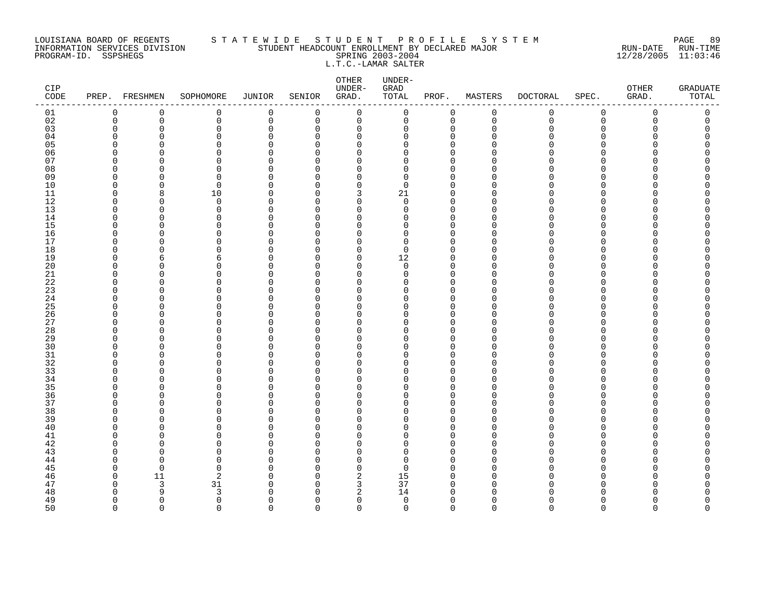#### LOUISIANA BOARD OF REGENTS S T A T E W I D E S T U D E N T P R O F I L E S Y S T E M PAGE 89 INFORMATION SERVICES DIVISION STUDENT HEADCOUNT ENROLLMENT BY DECLARED MAJOR RUN-DATE RUN-TIME PROGRAM-ID. SSPSHEGS SPRING 2003-2004 12/28/2005 11:03:46 L.T.C.-LAMAR SALTER

| CIP<br>CODE | PREP. FRESHMEN       |                         | SOPHOMORE        | <b>JUNIOR</b>           | SENIOR               | OTHER<br>UNDER-<br>GRAD. | UNDER-<br>GRAD<br>TOTAL | PROF.                   | MASTERS     | <b>DOCTORAL</b> | SPEC.         | OTHER<br>GRAD. | <b>GRADUATE</b><br>TOTAL |
|-------------|----------------------|-------------------------|------------------|-------------------------|----------------------|--------------------------|-------------------------|-------------------------|-------------|-----------------|---------------|----------------|--------------------------|
| 01          | 0                    | $\mathbf 0$             | 0                | 0                       | 0                    | $\mathbf 0$              | $\mathsf 0$             | 0                       | $\mathbf 0$ | 0               | $\mathsf 0$   | 0              | 0                        |
| 02          | $\mathbf 0$          | $\mathbf 0$             | 0                | $\mathbf 0$             | 0                    | 0                        | $\mathsf{O}$            | $\mathbf 0$             | $\mathbf 0$ | $\mathbf 0$     | $\mathsf 0$   | 0              | 0                        |
| 03          | $\mathbf 0$          | $\mathbf 0$             | 0                | $\mathbf 0$             | 0                    | 0                        | 0                       | $\mathbf 0$             | $\Omega$    | U               | $\Omega$      | N              | C                        |
| 04          | $\Omega$             | $\Omega$                | 0                | $\Omega$                | $\Omega$             | 0                        | O                       | $\mathbf 0$             |             |                 | ∩             |                |                          |
| 05<br>06    | $\Omega$<br>$\Omega$ | $\Omega$<br>$\Omega$    | 0<br>0           | $\Omega$<br>$\Omega$    | ∩<br>∩               | $\Omega$<br>$\Omega$     | O<br>O                  | $\Omega$<br>$\Omega$    |             |                 | ∩<br>∩        |                | ∩                        |
| 07          | $\Omega$             | $\cap$                  | 0                | $\cap$                  | ∩                    | O                        | U                       | $\Omega$                |             |                 | ∩             |                |                          |
| 08          | $\Omega$             | $\Omega$                | $\Omega$         | $\Omega$                | $\Omega$             | $\Omega$                 | 0                       | $\mathbf 0$             |             |                 | $\Omega$      |                |                          |
| 09          | 0                    | $\Omega$                | 0                | $\Omega$                | $\Omega$             | 0                        | 0                       | 0                       | ∩           |                 | $\Omega$      |                |                          |
| 10          | $\Omega$             | $\Omega$                | $\mathbf 0$      | $\Omega$                | ∩                    | 0                        | $\mathbf 0$             | $\Omega$                | O           |                 | $\Omega$      |                |                          |
| 11          | $\Omega$             | 8                       | 10               | $\Omega$                | $\Omega$             | 3                        | 21                      | $\mathbf 0$             | O           |                 | ∩             |                |                          |
| 12          | $\Omega$             | $\Omega$                | $\Omega$         | $\Omega$                | ∩                    | $\Omega$                 | $\Omega$                | $\Omega$                | ∩           |                 | ∩             |                |                          |
| 13          | $\mathbf 0$          | $\Omega$                | 0                | $\mathbf 0$             | $\Omega$             | $\mathbf 0$              | 0                       | $\mathbf 0$             | O           |                 | $\Omega$      |                |                          |
| 14          | $\Omega$             | $\Omega$                | 0                | $\Omega$                | 0                    | $\Omega$                 | O                       | $\mathbf 0$             | ∩           |                 | ∩             |                |                          |
| 15          | $\Omega$             | $\Omega$                | 0                | $\Omega$                | $\Omega$             | $\Omega$                 | O                       | $\Omega$                |             |                 | ∩             |                |                          |
| 16          | $\Omega$             | $\Omega$                | 0                | $\Omega$                | $\Omega$             | 0                        | 0                       | $\mathbf 0$             | ∩           |                 | ∩             |                |                          |
| 17          | $\Omega$             | $\Omega$                | 0                | $\Omega$                | ∩                    | $\Omega$                 | $\Omega$                | $\Omega$                | O           |                 | ∩             |                |                          |
| 18          | $\mathbf 0$          | $\Omega$                | 0                | $\Omega$                | $\Omega$             | 0                        | 0                       | $\mathbf 0$             |             |                 | $\Omega$      |                |                          |
| 19          | $\Omega$             | 6                       | 6                | $\Omega$                | $\Omega$             | 0                        | 12                      | $\mathbf 0$             |             |                 | ∩             |                |                          |
| 20          | $\Omega$<br>∩        | $\Omega$<br>$\Omega$    | 0<br>$\Omega$    | $\Omega$<br>$\Omega$    | $\Omega$<br>$\Omega$ | 0<br>$\Omega$            | 0<br>$\Omega$           | $\mathbf 0$<br>$\Omega$ | $\Omega$    |                 | ∩<br>∩        |                | ∩                        |
| 21<br>22    | $\Omega$             | $\Omega$                | 0                | $\Omega$                | ∩                    | $\Omega$                 | O                       | $\mathbf 0$             | O           |                 | $\Omega$      |                |                          |
| 23          | $\Omega$             | $\Omega$                | $\Omega$         | $\Omega$                | ∩                    | $\Omega$                 | O                       | $\Omega$                | ∩           |                 | $\Omega$      |                |                          |
| 24          | $\Omega$             | $\Omega$                | 0                | 0                       | $\Omega$             | 0                        | 0                       | $\mathbf 0$             | O           |                 | $\Omega$      |                |                          |
| 25          | $\Omega$             | $\Omega$                | 0                | $\Omega$                | $\Omega$             | $\Omega$                 | O                       | $\mathbf 0$             |             |                 | ∩             |                |                          |
| 26          | $\Omega$             | $\Omega$                | 0                | $\Omega$                | $\Omega$             | $\Omega$                 | O                       | $\mathbf 0$             | ∩           |                 | ∩             |                |                          |
| 27          | $\Omega$             | $\Omega$                | 0                | $\Omega$                | $\Omega$             | $\Omega$                 | O                       | $\mathbf 0$             | ∩           |                 | ∩             |                |                          |
| 28          | $\Omega$             | $\Omega$                | 0                | $\Omega$                | $\Omega$             | $\Omega$                 | O                       | $\Omega$                |             |                 | $\Omega$      |                |                          |
| 29          | $\Omega$             | $\Omega$                | 0                | $\mathbf 0$             | $\Omega$             | $\mathbf 0$              | 0                       | $\mathbf 0$             | O           |                 | $\Omega$      |                |                          |
| 30          | ∩                    | $\Omega$                | O                | $\Omega$                | O                    | $\Omega$                 | O                       | $\Omega$                | ∩           |                 | ∩             |                |                          |
| 31          | $\Omega$             | $\Omega$                | 0                | $\Omega$                | $\Omega$             | $\Omega$                 | O                       | $\mathbf 0$             | ∩           |                 | $\Omega$      |                |                          |
| 32          | $\Omega$             | $\Omega$                | 0                | $\cap$                  | ∩                    | $\Omega$                 | O                       | $\Omega$                |             |                 | ∩             |                |                          |
| 33          | $\Omega$<br>$\Omega$ | $\Omega$                | 0                | $\Omega$                | $\Omega$             | $\Omega$                 | O                       | $\Omega$                | ∩           |                 | $\Omega$<br>∩ |                |                          |
| 34<br>35    | ∩                    | $\mathbf 0$<br>$\Omega$ | 0<br>0           | $\mathbf 0$<br>$\Omega$ | $\Omega$<br>$\Omega$ | $\Omega$<br>$\Omega$     | O<br>O                  | $\mathbf 0$<br>$\Omega$ |             |                 | ∩             |                |                          |
| 36          | 0                    | $\Omega$                | 0                | $\Omega$                | $\Omega$             | 0                        | 0                       | 0                       | ∩           |                 | $\Omega$      |                |                          |
| 37          | $\Omega$             | $\Omega$                | 0                | $\Omega$                | ∩                    | $\Omega$                 | 0                       | $\mathbf 0$             | O           |                 | ∩             |                |                          |
| 38          | $\Omega$             | $\Omega$                | $\Omega$         | $\Omega$                | ∩                    | $\Omega$                 | 0                       | $\mathbf 0$             |             |                 | ∩             |                |                          |
| 39          | ∩                    | $\Omega$                | 0                | $\Omega$                | ∩                    | $\Omega$                 | 0                       | $\Omega$                | ∩           |                 | ∩             |                |                          |
| 40          | $\Omega$             | $\Omega$                | 0                | $\Omega$                | $\Omega$             | $\mathbf 0$              | 0                       | $\mathbf{0}$            | ∩           |                 | $\Omega$      |                |                          |
| 41          | $\Omega$             | $\Omega$                | 0                | $\Omega$                | $\Omega$             | 0                        | 0                       | $\mathbf 0$             |             |                 | ∩             |                |                          |
| 42          | $\Omega$             | $\Omega$                | 0                | $\Omega$                | $\Omega$             | 0                        | 0                       | $\mathbf 0$             |             |                 | ∩             |                |                          |
| 43          | ∩                    | $\Omega$                | 0                | $\cap$                  | ∩                    | $\Omega$                 | 0                       | $\Omega$                |             |                 | ∩             |                |                          |
| 44          | $\Omega$             | $\Omega$                | $\Omega$         | $\Omega$                | $\Omega$             | $\Omega$                 | $\Omega$                | $\Omega$                |             |                 | ∩             |                |                          |
| 45          | $\mathbf 0$          | $\mathbf 0$             | 0                | $\Omega$                | $\Omega$             | 0                        | 0                       | 0                       | ∩           |                 | $\Omega$      |                |                          |
| 46          | $\Omega$             | 11                      | 2                | $\Omega$                | $\Omega$             | 2                        | 15                      | $\mathbf 0$             | $\Omega$    |                 | ∩             |                |                          |
| 47          | 0                    | $\overline{3}$          | 31               | $\Omega$                | $\Omega$             | 3                        | 37                      | 0                       | ∩           |                 | ∩             |                |                          |
| 48          | $\Omega$<br>$\Omega$ | 9<br>$\mathbf 0$        | 3<br>$\mathbf 0$ | $\cap$<br>$\Omega$      | ∩<br>$\Omega$        | 2<br>0                   | 14<br>$\mathbf 0$       | $\Omega$<br>$\mathbf 0$ | $\Omega$    |                 | $\Omega$      |                | O                        |
| 49<br>50    | $\Omega$             | $\Omega$                | $\Omega$         | $\Omega$                | $\Omega$             | $\Omega$                 | $\Omega$                | $\Omega$                | $\cap$      | $\Omega$        | $\Omega$      | $\Omega$       | $\Omega$                 |
|             |                      |                         |                  |                         |                      |                          |                         |                         |             |                 |               |                |                          |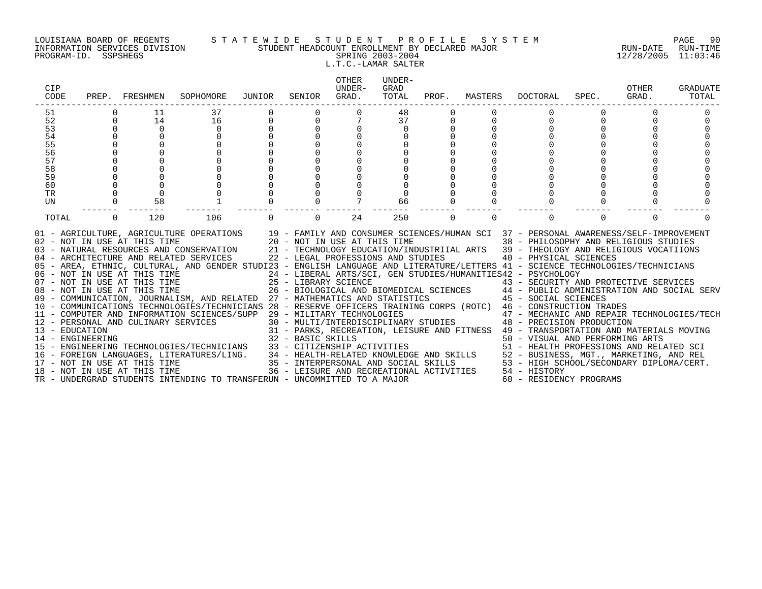#### LOUISIANA BOARD OF REGENTS S T A T E W I D E S T U D E N T P R O F I L E S Y S T E M PAGE 90 INFORMATION SERVICES DIVISION STUDENT HEADCOUNT ENROLLMENT BY DECLARED MAJOR RUN-DATE RUN-TIME PROGRAM-ID. SSPSHEGS SPRING 2003-2004 12/28/2005 11:03:46 L.T.C.-LAMAR SALTER

| PREP.                              |             | SOPHOMORE      | JUNIOR                       | SENIOR                                                                                                                              | OTHER<br>UNDER-<br>GRAD. | UNDER-<br>GRAD<br>TOTAL |                                                                                                                                                          | MASTERS                                                                     | <b>DOCTORAL</b> | SPEC.    | OTHER<br>GRAD.                                                                                                        | GRADUATE<br>TOTAL                                                                                                                                                                                                                                                                                                                                                                                                                                                                                                                                                                                                                                                                                                                                                                                                                                                                                                                                                                                                                                                                                                                    |
|------------------------------------|-------------|----------------|------------------------------|-------------------------------------------------------------------------------------------------------------------------------------|--------------------------|-------------------------|----------------------------------------------------------------------------------------------------------------------------------------------------------|-----------------------------------------------------------------------------|-----------------|----------|-----------------------------------------------------------------------------------------------------------------------|--------------------------------------------------------------------------------------------------------------------------------------------------------------------------------------------------------------------------------------------------------------------------------------------------------------------------------------------------------------------------------------------------------------------------------------------------------------------------------------------------------------------------------------------------------------------------------------------------------------------------------------------------------------------------------------------------------------------------------------------------------------------------------------------------------------------------------------------------------------------------------------------------------------------------------------------------------------------------------------------------------------------------------------------------------------------------------------------------------------------------------------|
|                                    | 11          | 37             |                              |                                                                                                                                     |                          | 48                      |                                                                                                                                                          |                                                                             |                 |          |                                                                                                                       |                                                                                                                                                                                                                                                                                                                                                                                                                                                                                                                                                                                                                                                                                                                                                                                                                                                                                                                                                                                                                                                                                                                                      |
| $\mathbf 0$                        | 14          | 16             | $\mathbf 0$                  | $\mathbf 0$                                                                                                                         |                          | 37                      | 0                                                                                                                                                        |                                                                             | 0               |          |                                                                                                                       |                                                                                                                                                                                                                                                                                                                                                                                                                                                                                                                                                                                                                                                                                                                                                                                                                                                                                                                                                                                                                                                                                                                                      |
|                                    | $\mathbf 0$ | $\mathbf 0$    |                              |                                                                                                                                     |                          | 0                       |                                                                                                                                                          |                                                                             |                 |          |                                                                                                                       |                                                                                                                                                                                                                                                                                                                                                                                                                                                                                                                                                                                                                                                                                                                                                                                                                                                                                                                                                                                                                                                                                                                                      |
|                                    |             |                |                              |                                                                                                                                     |                          |                         |                                                                                                                                                          |                                                                             |                 |          |                                                                                                                       |                                                                                                                                                                                                                                                                                                                                                                                                                                                                                                                                                                                                                                                                                                                                                                                                                                                                                                                                                                                                                                                                                                                                      |
|                                    |             |                |                              |                                                                                                                                     |                          |                         |                                                                                                                                                          |                                                                             |                 |          |                                                                                                                       |                                                                                                                                                                                                                                                                                                                                                                                                                                                                                                                                                                                                                                                                                                                                                                                                                                                                                                                                                                                                                                                                                                                                      |
|                                    |             |                |                              |                                                                                                                                     |                          |                         |                                                                                                                                                          |                                                                             |                 |          |                                                                                                                       |                                                                                                                                                                                                                                                                                                                                                                                                                                                                                                                                                                                                                                                                                                                                                                                                                                                                                                                                                                                                                                                                                                                                      |
|                                    |             |                |                              |                                                                                                                                     |                          |                         |                                                                                                                                                          |                                                                             |                 |          |                                                                                                                       |                                                                                                                                                                                                                                                                                                                                                                                                                                                                                                                                                                                                                                                                                                                                                                                                                                                                                                                                                                                                                                                                                                                                      |
|                                    |             |                |                              |                                                                                                                                     |                          |                         |                                                                                                                                                          |                                                                             |                 |          |                                                                                                                       |                                                                                                                                                                                                                                                                                                                                                                                                                                                                                                                                                                                                                                                                                                                                                                                                                                                                                                                                                                                                                                                                                                                                      |
|                                    |             |                |                              |                                                                                                                                     |                          |                         |                                                                                                                                                          |                                                                             |                 |          |                                                                                                                       |                                                                                                                                                                                                                                                                                                                                                                                                                                                                                                                                                                                                                                                                                                                                                                                                                                                                                                                                                                                                                                                                                                                                      |
|                                    |             |                |                              |                                                                                                                                     |                          |                         |                                                                                                                                                          |                                                                             |                 |          |                                                                                                                       |                                                                                                                                                                                                                                                                                                                                                                                                                                                                                                                                                                                                                                                                                                                                                                                                                                                                                                                                                                                                                                                                                                                                      |
|                                    |             |                |                              |                                                                                                                                     |                          |                         |                                                                                                                                                          |                                                                             |                 |          |                                                                                                                       |                                                                                                                                                                                                                                                                                                                                                                                                                                                                                                                                                                                                                                                                                                                                                                                                                                                                                                                                                                                                                                                                                                                                      |
|                                    |             |                |                              |                                                                                                                                     |                          |                         |                                                                                                                                                          |                                                                             |                 |          |                                                                                                                       |                                                                                                                                                                                                                                                                                                                                                                                                                                                                                                                                                                                                                                                                                                                                                                                                                                                                                                                                                                                                                                                                                                                                      |
| $\Omega$                           | 120         | 106            |                              | $\Omega$                                                                                                                            | 24                       | 250                     | $\Omega$                                                                                                                                                 | $\Omega$                                                                    |                 | $\Omega$ | $\Omega$                                                                                                              |                                                                                                                                                                                                                                                                                                                                                                                                                                                                                                                                                                                                                                                                                                                                                                                                                                                                                                                                                                                                                                                                                                                                      |
| 13 - EDUCATION<br>14 - ENGINEERING |             |                |                              |                                                                                                                                     |                          |                         |                                                                                                                                                          |                                                                             |                 |          |                                                                                                                       |                                                                                                                                                                                                                                                                                                                                                                                                                                                                                                                                                                                                                                                                                                                                                                                                                                                                                                                                                                                                                                                                                                                                      |
|                                    |             | FRESHMEN<br>58 | 18 - NOT IN USE AT THIS TIME | 06 - NOT IN USE AT THIS TIME<br>07 - NOT IN USE AT THIS TIME<br>08 - NOT IN USE AT THIS TIME<br>12 - PERSONAL AND CULINARY SERVICES |                          | 32 - BASIC SKILLS       | 66<br>11 - COMPUTER AND INFORMATION SCIENCES/SUPP 29 - MILITARY TECHNOLOGIES<br>TR - UNDERGRAD STUDENTS INTENDING TO TRANSFERUN - UNCOMMITTED TO A MAJOR | 09 - COMMUNICATION, JOURNALISM, AND RELATED 27 - MATHEMATICS AND STATISTICS | PROF.           |          | 24 - LIBERAL ARTS/SCI, GEN STUDIES/HUMANITIES42 - PSYCHOLOGY<br>36 - LEISURE AND RECREATIONAL ACTIVITIES 54 - HISTORY | 01 - AGRICULTURE, AGRICULTURE OPERATIONS 19 - FAMILY AND CONSUMER SCIENCES/HUMAN SCI 37 - PERSONAL AWARENESS/SELF-IMPROVEMENT<br>02 - NOT IN USE AT THIS TIME 20 - NOT IN USE AT THIS TIME 38 - PHILOSOPHY AND RELIGIOUS STUDIES<br>03 - NATURAL RESOURCES AND CONSERVATION 21 - TECHNOLOGY EDUCATION/INDUSTRIIAL ARTS 39 - THEOLOGY AND RELIGIOUS VOCATIIONS<br>04 - ARCHITECTURE AND RELATED SERVICES 22 - LEGAL PROFESSIONS AND STUDIES 40 - PHYSICAL SCIENCES<br>05 - AREA, ETHNIC, CULTURAL, AND GENDER STUDI23 - ENGLISH LANGUAGE AND LITERATURE/LETTERS 41 - SCIENCE TECHNOLOGIES/TECHNICIANS<br>25 - LIBRARY SCIENCE<br>26 - BIOLOGICAL AND BIOMEDICAL SCIENCES<br>27 - MATHEMATICS AND STATISTICS (27 - 2001) 27 - MATHEMATICS AND STATISTICS<br>10 - COMMUNICATIONS TECHNOLOGIES/TECHNICIANS 28 - RESERVE OFFICERS TRAINING CORPS (ROTC) 46 - CONSTRUCTION TRADES<br>29 - MILITARY TECHNOLOGIES<br>30 - MULTI/INTERDISCIPLINARY STUDIES<br>48 - PRECISION PRODUCTION<br>31 - PARKS, RECREATION, LEISURE AND FITNESS 49 - TRANSPORTATION AND MATERIALS MOVING<br>50 - VISUAL AND PERFORMING ARTS<br>60 - RESIDENCY PROGRAMS |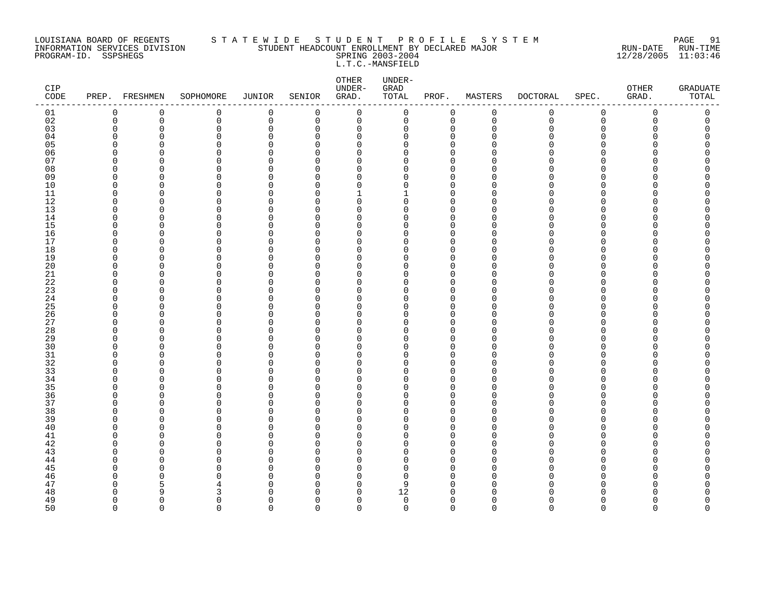#### LOUISIANA BOARD OF REGENTS S T A T E W I D E S T U D E N T P R O F I L E S Y S T E M PAGE 91 INFORMATION SERVICES DIVISION STUDENT HEADCOUNT ENROLLMENT BY DECLARED MAJOR RUN-DATE RUN-TIME PROGRAM-ID. SSPSHEGS SPRING 2003-2004 12/28/2005 11:03:46 L.T.C.-MANSFIELD

| $\mathtt{CIP}$<br>$\texttt{CODE}{}$ |                      | PREP. FRESHMEN | SOPHOMORE     | JUNIOR               | SENIOR               | OTHER<br>UNDER-<br>GRAD. | UNDER-<br>GRAD<br>TOTAL | PROF.                   | MASTERS     | <b>DOCTORAL</b> | SPEC.       | OTHER<br>GRAD. | <b>GRADUATE</b><br>TOTAL |
|-------------------------------------|----------------------|----------------|---------------|----------------------|----------------------|--------------------------|-------------------------|-------------------------|-------------|-----------------|-------------|----------------|--------------------------|
| 01                                  | $\mathbf 0$          | 0              | 0             | $\mathbf 0$          | 0                    | $\mathbf 0$              | $\mathsf{O}$            | 0                       | $\mathsf 0$ | 0               | $\mathbf 0$ | 0              | 0                        |
| 02                                  | $\mathbf 0$          | $\mathbf 0$    | 0             | $\mathsf 0$          | 0                    | $\mathbf 0$              | 0                       | $\mathbf 0$             | $\mathbf 0$ | $\mathbf 0$     | $\mathbf 0$ | $\Omega$       | 0                        |
| 03                                  | $\mathbf 0$          | $\Omega$       | 0             | $\mathbf 0$          | 0                    | 0                        | 0                       | 0                       | $\Omega$    | N               | $\Omega$    | O              | 0                        |
| 04                                  | 0                    | 0              | 0             | 0                    | 0                    | 0                        | 0                       | 0                       | ∩           |                 | O           |                | O                        |
| 05                                  | $\Omega$             | 0              | $\Omega$      | $\Omega$             | $\Omega$             | 0                        | 0                       | $\Omega$                |             |                 | ∩           |                |                          |
| 06                                  | $\Omega$             | 0              | 0             | $\mathbf 0$          | $\Omega$             | 0                        | 0                       | $\mathbf 0$             |             |                 | ∩           |                | ი                        |
| 07                                  | $\Omega$             | O              | $\Omega$      | $\Omega$             | $\Omega$             | $\Omega$                 | $\Omega$                | $\Omega$                |             |                 | ∩           |                |                          |
| 08<br>09                            | $\Omega$<br>0        | $\Omega$<br>0  | $\Omega$<br>0 | $\Omega$<br>0        | $\Omega$<br>0        | $\Omega$                 | $\Omega$<br>0           | $\Omega$<br>$\mathbf 0$ |             |                 | ∩<br>∩      |                |                          |
| 10                                  | $\mathbf 0$          | 0              | $\Omega$      | $\Omega$             | $\Omega$             | 0<br>0                   | 0                       | $\Omega$                |             |                 | ∩           |                |                          |
| 11                                  | $\Omega$             | O              | 0             | $\mathbf 0$          | $\Omega$             | 1                        | 1                       | $\mathbf 0$             | ∩           |                 | ∩           |                | ∩                        |
| 12                                  | $\Omega$             | O              | $\Omega$      | $\Omega$             | $\Omega$             | $\Omega$                 | $\Omega$                | $\Omega$                |             |                 | ∩           |                |                          |
| 13                                  | $\mathbf 0$          | 0              | 0             | $\mathbf 0$          | $\Omega$             | $\mathbf 0$              | 0                       | $\mathbf 0$             | U           |                 | $\Omega$    |                |                          |
| 14                                  | $\Omega$             | $\Omega$       | 0             | $\Omega$             | $\Omega$             | $\Omega$                 | 0                       | $\mathbf 0$             | n           |                 | $\cap$      |                | Λ                        |
| 15                                  | $\Omega$             | 0              | 0             | $\Omega$             | $\Omega$             | 0                        | 0                       | $\mathbf 0$             | ∩           |                 | ∩           |                | Ω                        |
| 16                                  | $\Omega$             | 0              | 0             | 0                    | $\Omega$             | 0                        | 0                       | $\mathbf 0$             | ∩           |                 | ∩           |                | ∩                        |
| 17                                  | $\Omega$             | 0              | 0             | 0                    | $\Omega$             | $\mathbf 0$              | 0                       | $\mathbf 0$             | n           |                 | $\Omega$    |                |                          |
| 18                                  | $\Omega$             | O              | 0             | $\Omega$             | $\Omega$             | 0                        | 0                       | $\mathbf 0$             | ∩           |                 | ∩           |                | ∩                        |
| 19                                  | $\Omega$             | O              | 0             | $\Omega$             | $\Omega$             | 0                        | 0                       | $\mathbf 0$             | n           |                 | ∩           |                |                          |
| 20                                  | $\Omega$             | O              | $\Omega$      | $\Omega$             | $\Omega$             | $\Omega$                 | $\Omega$                | $\Omega$                |             |                 | ∩           |                | ∩                        |
| 21                                  | $\Omega$             | O              | $\Omega$      | 0                    | $\Omega$             | 0                        | 0                       | $\Omega$                | n           |                 | O           |                |                          |
| 22                                  | 0                    | 0              | 0             | 0                    | $\Omega$             | 0                        | 0                       | 0                       | ∩           |                 | O           |                |                          |
| 23                                  | $\mathbf 0$          | 0              | 0             | $\Omega$             | $\Omega$             | 0                        | 0                       | $\Omega$                |             |                 | ∩           |                |                          |
| 24                                  | $\Omega$             | O              | 0             | $\mathbf 0$          | $\Omega$             | 0                        | 0                       | $\mathbf 0$             | n           |                 | ∩           |                | ∩                        |
| 25                                  | $\Omega$             | O              | $\Omega$      | $\mathbf 0$          | $\Omega$             | $\Omega$                 | $\Omega$                | $\Omega$                |             |                 | ∩           |                |                          |
| 26                                  | $\Omega$             | O              | $\Omega$      | $\mathbf 0$          | $\Omega$             | $\Omega$                 | $\Omega$                | $\mathbf 0$             | n           |                 | ∩           |                |                          |
| 27                                  | 0<br>$\Omega$        | 0              | 0<br>$\Omega$ | 0<br>$\Omega$        | 0<br>$\Omega$        | 0                        | 0<br>0                  | 0<br>$\Omega$           |             |                 | ∩<br>∩      |                |                          |
| 28<br>29                            | $\Omega$             | 0<br>0         | 0             | 0                    | 0                    | 0<br>0                   | 0                       | 0                       | ∩           |                 | ∩           |                |                          |
| 30                                  | $\Omega$             | O              | $\Omega$      | $\Omega$             | $\Omega$             | $\Omega$                 | $\Omega$                | $\Omega$                |             |                 | ∩           |                |                          |
| 31                                  | $\Omega$             | O              | 0             | $\Omega$             | $\Omega$             | $\mathbf 0$              | 0                       | $\mathbf 0$             | ∩           |                 | $\Omega$    |                | ∩                        |
| 32                                  | $\Omega$             | O              | $\Omega$      | $\Omega$             | ∩                    | $\Omega$                 | 0                       | $\Omega$                |             |                 | $\Omega$    |                |                          |
| 33                                  | $\Omega$             | 0              | $\Omega$      | $\Omega$             | $\Omega$             | 0                        | 0                       | $\Omega$                |             |                 | ∩           |                | ∩                        |
| 34                                  | $\Omega$             | 0              | $\Omega$      | 0                    | 0                    | 0                        | 0                       | $\Omega$                | ∩           |                 | ∩           |                |                          |
| 35                                  | $\Omega$             | O              | $\Omega$      | $\Omega$             | $\Omega$             | $\Omega$                 | O                       | $\Omega$                |             |                 | ∩           |                |                          |
| 36                                  | $\Omega$             | O              | 0             | $\Omega$             | $\Omega$             | 0                        | 0                       | $\mathbf 0$             | ∩           |                 | ∩           |                |                          |
| 37                                  | $\Omega$             | O              | 0             | $\Omega$             | $\Omega$             | 0                        | $\Omega$                | $\mathbf 0$             | n           |                 | $\Omega$    |                |                          |
| 38                                  | $\Omega$             | O              | $\Omega$      | $\Omega$             | $\Omega$             | $\Omega$                 | $\Omega$                | $\Omega$                |             |                 | ∩           |                | ∩                        |
| 39                                  | $\Omega$             | 0              | $\Omega$      | 0                    | $\Omega$             | 0                        | 0                       | $\mathbf 0$             | n           |                 | O           |                |                          |
| 40                                  | $\Omega$             | 0              | $\Omega$      | 0                    | $\Omega$             | 0                        | 0                       | $\mathbf 0$             | ∩           |                 | O           |                |                          |
| 41                                  | $\Omega$             | 0              | 0             | $\Omega$             | $\Omega$             | 0                        | 0                       | $\mathbf 0$             |             |                 | ∩           |                |                          |
| 42                                  | $\mathbf 0$          | 0              | 0             | $\mathbf 0$          | $\Omega$             | 0                        | 0                       | $\mathbf 0$             | n           |                 | ∩           |                | Λ                        |
| 43                                  | $\Omega$             | n              | $\Omega$      | $\mathbf 0$          | $\Omega$             | $\Omega$                 | $\Omega$                | $\Omega$                |             |                 | ∩           |                |                          |
| 44                                  | $\Omega$             | O              | $\Omega$      | $\Omega$             | $\Omega$             | $\Omega$                 | $\Omega$                | $\Omega$                | n           |                 | ∩           |                |                          |
| 45                                  | $\Omega$             | O              | 0             | $\Omega$             | 0                    | 0                        | 0                       | 0                       | ∩           |                 | O           |                |                          |
| 46                                  | $\Omega$             | 0              | $\Omega$      | $\Omega$             | $\Omega$             | 0                        | 0                       | $\Omega$                | U<br>∩      |                 | ∩           |                |                          |
| 47                                  | $\Omega$<br>$\Omega$ | 5<br>q         | 4             | $\Omega$<br>$\Omega$ | $\Omega$<br>$\Omega$ | 0<br>$\Omega$            | 9<br>12                 | $\Omega$<br>$\Omega$    |             |                 | ∩           |                | ∩                        |
| 48<br>49                            | $\Omega$             | $\Omega$       | 3<br>0        | $\Omega$             | $\Omega$             | $\mathbf 0$              | $\mathbf 0$             | $\mathbf 0$             | ∩           |                 | $\Omega$    | ∩              | <sup>0</sup>             |
| 50                                  | $\Omega$             | $\Omega$       | $\Omega$      | $\Omega$             | $\Omega$             | $\Omega$                 | $\Omega$                | $\Omega$                | $\cap$      | $\Omega$        | $\Omega$    | $\Omega$       | $\Omega$                 |
|                                     |                      |                |               |                      |                      |                          |                         |                         |             |                 |             |                |                          |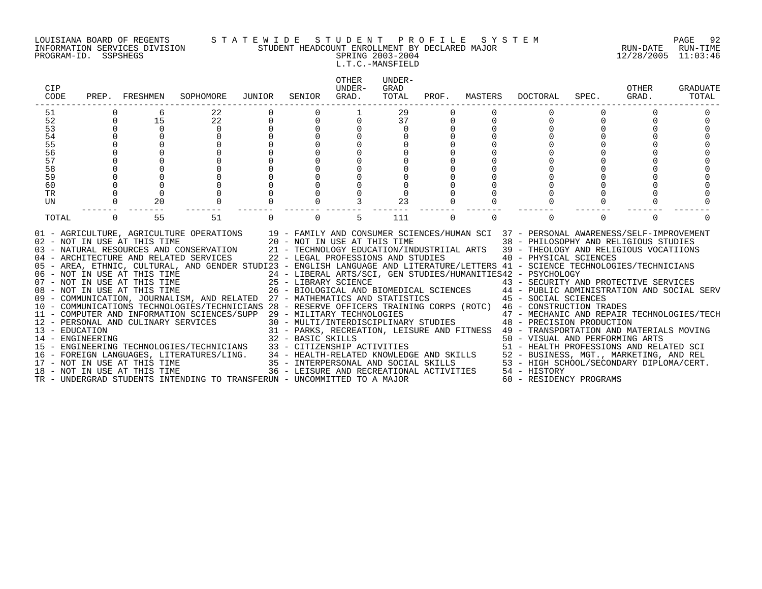#### LOUISIANA BOARD OF REGENTS S T A T E W I D E S T U D E N T P R O F I L E S Y S T E M PAGE 92 INFORMATION SERVICES DIVISION STUDENT HEADCOUNT ENROLLMENT BY DECLARED MAJOR RUN-DATE RUN-TIME PROGRAM-ID. SSPSHEGS SPRING 2003-2004 12/28/2005 11:03:46

L.T.C.-MANSFIELD

| CIP<br>CODE     |          | PREP. FRESHMEN                                               | SOPHOMORE                                                                                                                                                                                                                                                                                                                                                                                                                                                                                                                                                                                                                                                                                                                                                                                                                                                                                                                                                                                                                                                                                                                                                                                                                                                                                                                                                                                                                                     | JUNIOR   | SENIOR   | <b>OTHER</b><br>UNDER-<br>GRAD. | UNDER-<br>GRAD<br>TOTAL | PROF.    | MASTERS  | DOCTORAL                                                                                                                                                                                                                                                                                                                                                                                                                                                                                                                                             | SPEC.    | OTHER<br>GRAD. | GRADUATE<br>TOTAL |
|-----------------|----------|--------------------------------------------------------------|-----------------------------------------------------------------------------------------------------------------------------------------------------------------------------------------------------------------------------------------------------------------------------------------------------------------------------------------------------------------------------------------------------------------------------------------------------------------------------------------------------------------------------------------------------------------------------------------------------------------------------------------------------------------------------------------------------------------------------------------------------------------------------------------------------------------------------------------------------------------------------------------------------------------------------------------------------------------------------------------------------------------------------------------------------------------------------------------------------------------------------------------------------------------------------------------------------------------------------------------------------------------------------------------------------------------------------------------------------------------------------------------------------------------------------------------------|----------|----------|---------------------------------|-------------------------|----------|----------|------------------------------------------------------------------------------------------------------------------------------------------------------------------------------------------------------------------------------------------------------------------------------------------------------------------------------------------------------------------------------------------------------------------------------------------------------------------------------------------------------------------------------------------------------|----------|----------------|-------------------|
| 51<br>52        |          | 15                                                           | 22<br>22                                                                                                                                                                                                                                                                                                                                                                                                                                                                                                                                                                                                                                                                                                                                                                                                                                                                                                                                                                                                                                                                                                                                                                                                                                                                                                                                                                                                                                      |          |          |                                 | 29<br>37                |          |          |                                                                                                                                                                                                                                                                                                                                                                                                                                                                                                                                                      |          |                |                   |
| 53              | $\Omega$ |                                                              | $\Omega$                                                                                                                                                                                                                                                                                                                                                                                                                                                                                                                                                                                                                                                                                                                                                                                                                                                                                                                                                                                                                                                                                                                                                                                                                                                                                                                                                                                                                                      |          |          |                                 | $\Omega$                |          |          |                                                                                                                                                                                                                                                                                                                                                                                                                                                                                                                                                      |          |                |                   |
| 54              |          |                                                              | $\Omega$                                                                                                                                                                                                                                                                                                                                                                                                                                                                                                                                                                                                                                                                                                                                                                                                                                                                                                                                                                                                                                                                                                                                                                                                                                                                                                                                                                                                                                      |          |          | $\Omega$                        |                         |          |          |                                                                                                                                                                                                                                                                                                                                                                                                                                                                                                                                                      |          |                |                   |
| 55              |          |                                                              |                                                                                                                                                                                                                                                                                                                                                                                                                                                                                                                                                                                                                                                                                                                                                                                                                                                                                                                                                                                                                                                                                                                                                                                                                                                                                                                                                                                                                                               |          |          |                                 |                         |          |          |                                                                                                                                                                                                                                                                                                                                                                                                                                                                                                                                                      |          |                |                   |
| 56              |          |                                                              |                                                                                                                                                                                                                                                                                                                                                                                                                                                                                                                                                                                                                                                                                                                                                                                                                                                                                                                                                                                                                                                                                                                                                                                                                                                                                                                                                                                                                                               |          |          |                                 |                         |          |          |                                                                                                                                                                                                                                                                                                                                                                                                                                                                                                                                                      |          |                |                   |
| 57              |          |                                                              |                                                                                                                                                                                                                                                                                                                                                                                                                                                                                                                                                                                                                                                                                                                                                                                                                                                                                                                                                                                                                                                                                                                                                                                                                                                                                                                                                                                                                                               |          |          |                                 |                         |          |          |                                                                                                                                                                                                                                                                                                                                                                                                                                                                                                                                                      |          |                |                   |
| 58              |          |                                                              |                                                                                                                                                                                                                                                                                                                                                                                                                                                                                                                                                                                                                                                                                                                                                                                                                                                                                                                                                                                                                                                                                                                                                                                                                                                                                                                                                                                                                                               |          |          |                                 |                         |          |          |                                                                                                                                                                                                                                                                                                                                                                                                                                                                                                                                                      |          |                |                   |
| 59              |          |                                                              |                                                                                                                                                                                                                                                                                                                                                                                                                                                                                                                                                                                                                                                                                                                                                                                                                                                                                                                                                                                                                                                                                                                                                                                                                                                                                                                                                                                                                                               |          |          |                                 |                         |          |          |                                                                                                                                                                                                                                                                                                                                                                                                                                                                                                                                                      |          |                |                   |
| 60<br><b>TR</b> |          |                                                              |                                                                                                                                                                                                                                                                                                                                                                                                                                                                                                                                                                                                                                                                                                                                                                                                                                                                                                                                                                                                                                                                                                                                                                                                                                                                                                                                                                                                                                               |          |          |                                 |                         |          |          |                                                                                                                                                                                                                                                                                                                                                                                                                                                                                                                                                      |          |                |                   |
| UN              |          | 20                                                           | $\mathbf 0$                                                                                                                                                                                                                                                                                                                                                                                                                                                                                                                                                                                                                                                                                                                                                                                                                                                                                                                                                                                                                                                                                                                                                                                                                                                                                                                                                                                                                                   |          |          |                                 | 23                      |          |          |                                                                                                                                                                                                                                                                                                                                                                                                                                                                                                                                                      |          |                |                   |
|                 |          |                                                              |                                                                                                                                                                                                                                                                                                                                                                                                                                                                                                                                                                                                                                                                                                                                                                                                                                                                                                                                                                                                                                                                                                                                                                                                                                                                                                                                                                                                                                               |          |          |                                 |                         |          |          |                                                                                                                                                                                                                                                                                                                                                                                                                                                                                                                                                      |          |                |                   |
| TOTAL           | $\Omega$ | 55                                                           | 51                                                                                                                                                                                                                                                                                                                                                                                                                                                                                                                                                                                                                                                                                                                                                                                                                                                                                                                                                                                                                                                                                                                                                                                                                                                                                                                                                                                                                                            | $\Omega$ | $\Omega$ | 5                               | 111                     | $\Omega$ | $\Omega$ | $\Omega$                                                                                                                                                                                                                                                                                                                                                                                                                                                                                                                                             | $\Omega$ | $\Omega$       |                   |
|                 |          | 02 - NOT IN USE AT THIS TIME<br>08 - NOT IN USE AT THIS TIME | 01 - AGRICULTURE, AGRICULTURE OPERATIONS 19 - FAMILY AND CONSUMER SCIENCES/HUMAN SCI 37 - PERSONAL AWARENESS/SELF-IMPROVEMENT<br>20 - NOT IN USE AT THIS TIME<br>03 - NATURAL RESOURCES AND CONSERVATION 21 - TECHNOLOGY EDUCATION/INDUSTRIIAL ARTS 39 - THEOLOGY AND RELIGIOUS VOCATIIONS<br>04 - ARCHITECTURE AND RELATED SERVICES<br>05 - AREA, ETHNIC, CULTURAL, AND GENDER STUDI23 - ENGLISH LANGUAGE AND LITERATURE/LETTERS 41 - SCIENCE TECHNOLOGIES/TECHNICIANS<br>06 - NOT IN USE AT THIS TIME                           24 - LIBERAL ARTS/SCI, GEN STUDIES/HUMANITIES42 - PSYCHOLOGY<br>07 - NOT IN USE AT THIS TIME                   25 - LIBRARY SCIENCE                      43 - SECURITY AN<br>09 - COMMUNICATION, JOURNALISM, AND RELATED 27 - MATHEMATICS AND STATISTICS<br>10 - COMMUNICATIONS TECHNOLOGIES/TECHNICIANS 28 - RESERVE OFFICERS TRAINING CORPS (ROTC) 46 - CONSTRUCTION TRADES<br>11 - COMPUTER AND INFORMATION SCIENCES/SUPP 29 - MILITARY TECHNOLOGIES<br>12 - PERSONAL AND CULINARY SERVICES<br>13 - EDUCATION<br>14 - ENGINEERING<br>15 - ENGINEERING TECHNOLOGIES/TECHNICIANS<br>14 - ENGINEERING<br>15 - ENGINEERING TECHNOLOGIES/TECHNICIANS<br>15 - ENGINEERING TECHNOLOGIES/TECHNICIANS<br>16 - FOREIGN LANGUAGES, LITERATURES/LING.<br>17 - NOT IN USE AT THIS TIME<br>17 - NOT IN USE AT THIS TIME<br>17 - NOT IN USE<br>TR - UNDERGRAD STUDENTS INTENDING TO TRANSFERUN - UNCOMMITTED TO A MAJOR |          |          |                                 |                         |          |          | 38 - PHILOSOPHY AND RELIGIOUS STUDIES<br>22 - LEGAL PROFESSIONS AND STUDIES 40 - PHYSICAL SCIENCES<br>43 - SECURITY AND PROTECTIVE SERVICES<br>26 - BIOLOGICAL AND BIOMEDICAL SCIENCES 44 - PUBLIC ADMINISTRATION AND SOCIAL SERV<br>45 - SOCIAL SCIENCES<br>29 - MILITARY TECHNOLOGIES                       47 - MECHANIC AND REPAIR TECHNOLOGIES/TECH 30 - MULTI/INTERDISCIPLINARY STUDIES           48 - PRECISION PRODUCTION<br>31 - PARKS, RECREATION, LEISURE AND FITNESS 49 - TRANSPORTATION AND MATERIALS MOVING<br>60 - RESIDENCY PROGRAMS |          |                |                   |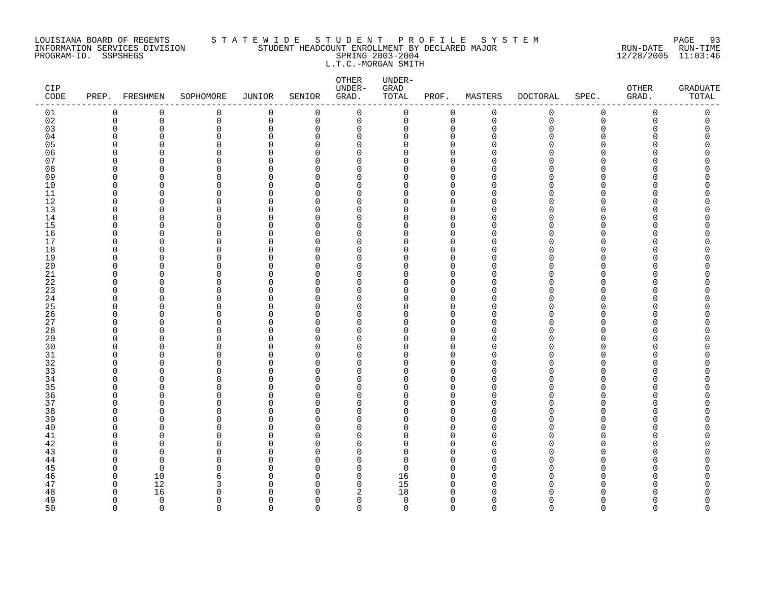#### LOUISIANA BOARD OF REGENTS S T A T E W I D E S T U D E N T P R O F I L E S Y S T E M PAGE 93 INFORMATION SERVICES DIVISION STUDENT HEADCOUNT ENROLLMENT BY DECLARED MAJOR RUN-DATE RUN-TIME PROGRAM-ID. SSPSHEGS SPRING 2003-2004 12/28/2005 11:03:46 L.T.C.-MORGAN SMITH

| CIP<br>$\texttt{CODE}$ |                      | PREP. FRESHMEN | SOPHOMORE   | <b>JUNIOR</b>           | SENIOR               | ${\small \texttt{OTHER}}$<br>UNDER-<br>GRAD. | UNDER-<br>GRAD<br>TOTAL | PROF.                      | MASTERS     | <b>DOCTORAL</b> | SPEC.         | OTHER<br>GRAD. | <b>GRADUATE</b><br>TOTAL |
|------------------------|----------------------|----------------|-------------|-------------------------|----------------------|----------------------------------------------|-------------------------|----------------------------|-------------|-----------------|---------------|----------------|--------------------------|
| 01                     | 0                    | $\mathbf 0$    | 0           | $\mathbf 0$             | 0                    | $\mathbf 0$                                  | 0                       | 0                          | $\mathbf 0$ | 0               | $\mathbf 0$   | 0              | 0                        |
| 02                     | $\mathbf 0$          | $\mathbf 0$    | $\mathsf 0$ | $\mathbf 0$             | 0                    | $\mathbf 0$                                  | 0                       | $\mathbf 0$                | $\mathbf 0$ | $\mathbf 0$     | $\mathbf 0$   | 0              | 0                        |
| 03                     | $\mathbf 0$          | 0              | 0           | $\mathbf 0$             | 0                    | 0                                            | 0                       | 0                          | $\Omega$    | U               | $\Omega$      | O              | C                        |
| 04                     | $\Omega$             | 0              | 0           | 0                       | $\Omega$             | $\mathbf 0$                                  | 0                       | $\Omega$                   | n           |                 | $\Omega$      |                |                          |
| 05<br>06               | $\Omega$<br>$\Omega$ | C<br>O         | 0           | $\Omega$<br>$\Omega$    | $\Omega$<br>$\Omega$ | $\Omega$<br>$\Omega$                         | 0<br>$\Omega$           | $\Omega$<br>$\Omega$       |             |                 | ∩<br>∩        |                | ∩                        |
| 07                     | $\Omega$             | n              | 0<br>0      | $\mathbf 0$             | $\Omega$             | 0                                            | U                       | $\Omega$                   |             |                 | ∩             |                |                          |
| 08                     | $\Omega$             | 0              | $\Omega$    | $\mathbf 0$             | $\Omega$             | 0                                            | 0                       | $\Omega$                   |             |                 | ∩             |                |                          |
| 09                     | 0                    | 0              | 0           | 0                       | $\Omega$             | 0                                            | 0                       | 0                          | ∩           |                 | O             |                |                          |
| 10                     | $\mathbf 0$          | $\Omega$       | 0           | $\Omega$                | ∩                    | 0                                            | 0                       | $\Omega$                   |             |                 | $\Omega$      |                |                          |
| 11                     | $\Omega$             | O              | 0           | $\mathbf 0$             | $\Omega$             | 0                                            | 0                       | $\mathbf 0$                | n           |                 | ∩             |                |                          |
| 12                     | $\Omega$             | O              | $\Omega$    | $\Omega$                | $\Omega$             | $\Omega$                                     | $\Omega$                | $\Omega$                   |             |                 | ∩             |                |                          |
| 13                     | $\mathbf 0$          | $\Omega$       | 0           | $\mathbf 0$             | 0                    | 0                                            | 0                       | $\mathbf 0$                | n           |                 | $\Omega$      |                |                          |
| 14                     | 0                    | 0              | 0           | 0                       | 0                    | 0                                            | 0                       | $\mathbf 0$                | ∩           |                 | ∩             |                |                          |
| 15                     | $\Omega$             | 0              | $\Omega$    | $\Omega$                | $\Omega$             | 0                                            | $\Omega$                | $\Omega$                   |             |                 | ∩             |                |                          |
| 16                     | $\Omega$             | O              | 0           | $\mathbf 0$             | $\Omega$             | 0                                            | 0                       | $\mathbf 0$                | ∩           |                 | ∩             |                |                          |
| 17                     | $\Omega$             | O              | $\Omega$    | $\Omega$                | $\Omega$             | $\Omega$                                     | $\Omega$                | $\Omega$                   | n           |                 | ∩             |                |                          |
| 18                     | $\mathbf 0$          | 0              | 0           | $\Omega$                | $\Omega$             | 0                                            | 0                       | $\mathbf 0$                |             |                 | $\Omega$      |                |                          |
| 19                     | $\Omega$             | 0              | $\Omega$    | $\Omega$                | $\Omega$             | 0                                            | 0                       | $\mathbf 0$                |             |                 | ∩             |                |                          |
| 20                     | $\Omega$             | 0              | 0           | $\Omega$                | $\Omega$             | 0                                            | 0                       | $\mathbf 0$                | ∩           |                 | ∩<br>∩        |                | ∩                        |
| 21<br>22               | $\Omega$<br>$\Omega$ | O<br>O         | 0<br>0      | $\mathbf 0$<br>$\Omega$ | $\Omega$<br>$\Omega$ | 0<br>0                                       | 0<br>O                  | $\mathbf 0$<br>$\mathbf 0$ | ∩           |                 | ∩             |                |                          |
| 23                     | $\Omega$             | O              | 0           | $\Omega$                | $\Omega$             | $\Omega$                                     | 0                       | $\mathbf 0$                | n           |                 | $\Omega$      |                |                          |
| 24                     | 0                    | 0              | 0           | 0                       | 0                    | 0                                            | 0                       | $\mathbf 0$                | O           |                 | $\Omega$      |                |                          |
| 25                     | $\Omega$             | 0              | 0           | 0                       | $\Omega$             | 0                                            | 0                       | 0                          |             |                 | ∩             |                |                          |
| 26                     | $\Omega$             | O              | $\Omega$    | $\mathbf 0$             | $\Omega$             | 0                                            | 0                       | $\Omega$                   | ∩           |                 | ∩             |                |                          |
| 27                     | $\Omega$             | O              | 0           | 0                       | $\Omega$             | 0                                            | O                       | $\mathbf 0$                | ∩           |                 | ∩             |                |                          |
| 28                     | $\Omega$             | O              | 0           | $\Omega$                | $\Omega$             | $\Omega$                                     | $\Omega$                | $\Omega$                   |             |                 | $\Omega$      |                |                          |
| 29                     | $\mathbf 0$          | 0              | 0           | $\mathbf 0$             | 0                    | 0                                            | 0                       | 0                          |             |                 | $\Omega$      |                |                          |
| 30                     | $\Omega$             | O              | 0           | 0                       | 0                    | 0                                            | 0                       | $\Omega$                   |             |                 | ∩             |                |                          |
| 31                     | $\Omega$             | O              | 0           | 0                       | $\Omega$             | 0                                            | 0                       | $\mathbf 0$                | ∩           |                 | $\Omega$      |                |                          |
| 32                     | $\Omega$             | O              | 0           | $\Omega$                | $\Omega$             | 0                                            | 0                       | $\mathbf 0$                |             |                 | ∩             |                |                          |
| 33                     | $\Omega$             | $\Omega$       | 0           | $\Omega$                | $\Omega$             | $\Omega$                                     | $\Omega$                | $\Omega$                   | n           |                 | $\Omega$      |                |                          |
| 34                     | $\Omega$             | O              | 0           | $\mathbf 0$             | 0                    | 0                                            | $\Omega$                | 0                          | n           |                 | ∩             |                |                          |
| 35                     | $\Omega$             | O              | $\Omega$    | 0<br>$\Omega$           | $\Omega$<br>$\Omega$ | 0                                            | 0<br>0                  | $\Omega$                   | ∩           |                 | ∩<br>$\Omega$ |                |                          |
| 36<br>37               | 0<br>$\Omega$        | 0<br>O         | 0<br>0      | $\Omega$                | $\Omega$             | 0<br>0                                       | 0                       | 0<br>$\mathbf 0$           |             |                 | ∩             |                |                          |
| 38                     | $\Omega$             | O              | 0           | $\Omega$                | $\Omega$             | 0                                            | $\Omega$                | $\mathbf 0$                |             |                 | ∩             |                |                          |
| 39                     | $\Omega$             | O              | 0           | $\Omega$                | $\Omega$             | $\Omega$                                     | 0                       | $\Omega$                   |             |                 | ∩             |                |                          |
| 40                     | $\Omega$             | 0              | $\Omega$    | $\mathbf 0$             | $\Omega$             | 0                                            | 0                       | $\mathbf 0$                |             |                 | O             |                |                          |
| 41                     | $\Omega$             | 0              | 0           | $\Omega$                | $\Omega$             | 0                                            | 0                       | $\Omega$                   |             |                 | ∩             |                |                          |
| 42                     | 0                    | 0              | 0           | 0                       | $\Omega$             | 0                                            | 0                       | $\mathbf 0$                | n           |                 | ∩             |                |                          |
| 43                     | $\Omega$             | n              | 0           | $\mathbf 0$             | $\Omega$             | $\Omega$                                     | $\Omega$                | $\Omega$                   |             |                 | ∩             |                |                          |
| 44                     | $\Omega$             | $\Omega$       | $\Omega$    | $\Omega$                | $\Omega$             | $\Omega$                                     | $\Omega$                | $\Omega$                   |             |                 | ∩             |                |                          |
| 45                     | $\Omega$             | $\mathbf 0$    | $\Omega$    | $\mathbf 0$             | 0                    | 0                                            | 0                       | $\mathbf 0$                | n           |                 | $\Omega$      |                |                          |
| 46                     | $\mathbf 0$          | 10             | 6           | $\Omega$                | $\Omega$             | 0                                            | 16                      | $\Omega$                   | U           |                 | ∩             |                |                          |
| 47                     | 0                    | 12             | 3           | 0                       | 0                    | 0                                            | 15                      | 0                          | $\cap$      |                 | ∩             |                |                          |
| 48                     | $\Omega$             | 16             | $\Omega$    | $\Omega$                | $\Omega$             | 2                                            | 18                      | $\Omega$                   |             |                 |               |                |                          |
| 49                     | $\Omega$             | $\mathbf 0$    | 0           | $\Omega$                | $\Omega$             | $\mathbf 0$                                  | $\mathbf 0$             | $\mathbf 0$                | U           |                 | ∩             |                | O<br>$\Omega$            |
| 50                     | $\Omega$             | $\Omega$       | $\Omega$    | $\Omega$                | $\Omega$             | $\Omega$                                     | $\Omega$                | $\Omega$                   | $\Omega$    | $\Omega$        | $\Omega$      | $\Omega$       |                          |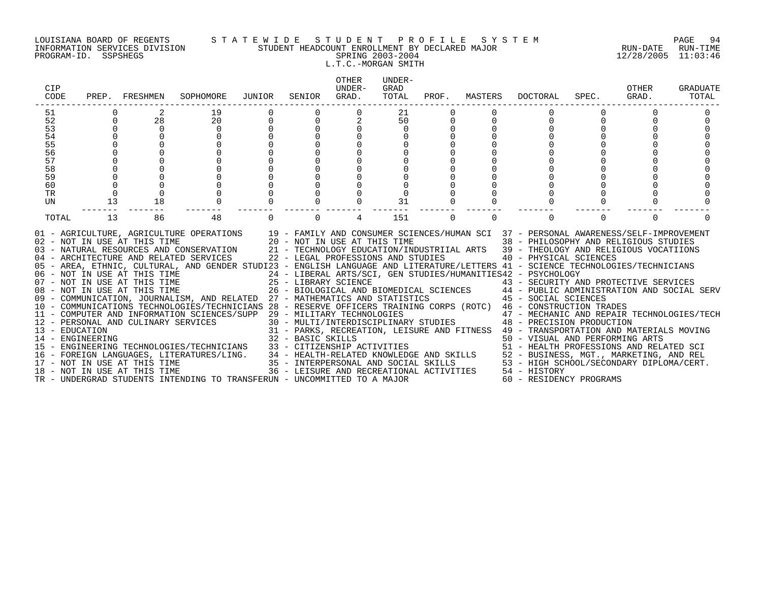#### LOUISIANA BOARD OF REGENTS S T A T E W I D E S T U D E N T P R O F I L E S Y S T E M PAGE 94 INFORMATION SERVICES DIVISION STUDENT HEADCOUNT ENROLLMENT BY DECLARED MAJOR RUN-DATE RUN-TIME PROGRAM-ID. SSPSHEGS SPRING 2003-2004 12/28/2005 11:03:46 L.T.C.-MORGAN SMITH

| CIP<br>CODE                        |          | PREP. FRESHMEN               | SOPHOMORE                                                                                                                                                                                                                                                                                                                                                                                                                                                                                                                                                                                                                                                                                                                                                                                                                                                                                                                                                                                                                                                                                                                                                                                                                                                                                                          | JUNIOR                           | SENIOR                             | OTHER<br>UNDER-<br>GRAD. | UNDER-<br>GRAD<br>TOTAL | PROF.    | MASTERS  | DOCTORAL                                                                                                                                                                                                                                                                                                                                                                                                                                                                                                                                                                          | SPEC.    | <b>OTHER</b><br>GRAD. | GRADUATE<br>TOTAL |
|------------------------------------|----------|------------------------------|--------------------------------------------------------------------------------------------------------------------------------------------------------------------------------------------------------------------------------------------------------------------------------------------------------------------------------------------------------------------------------------------------------------------------------------------------------------------------------------------------------------------------------------------------------------------------------------------------------------------------------------------------------------------------------------------------------------------------------------------------------------------------------------------------------------------------------------------------------------------------------------------------------------------------------------------------------------------------------------------------------------------------------------------------------------------------------------------------------------------------------------------------------------------------------------------------------------------------------------------------------------------------------------------------------------------|----------------------------------|------------------------------------|--------------------------|-------------------------|----------|----------|-----------------------------------------------------------------------------------------------------------------------------------------------------------------------------------------------------------------------------------------------------------------------------------------------------------------------------------------------------------------------------------------------------------------------------------------------------------------------------------------------------------------------------------------------------------------------------------|----------|-----------------------|-------------------|
| 51                                 |          |                              | 19                                                                                                                                                                                                                                                                                                                                                                                                                                                                                                                                                                                                                                                                                                                                                                                                                                                                                                                                                                                                                                                                                                                                                                                                                                                                                                                 |                                  |                                    |                          | 21                      |          |          |                                                                                                                                                                                                                                                                                                                                                                                                                                                                                                                                                                                   |          |                       |                   |
| 52                                 | $\Omega$ | 28                           | 20                                                                                                                                                                                                                                                                                                                                                                                                                                                                                                                                                                                                                                                                                                                                                                                                                                                                                                                                                                                                                                                                                                                                                                                                                                                                                                                 | $\begin{matrix}0\\0\end{matrix}$ | $\Omega$                           |                          | 50                      | 0        |          | $\Omega$                                                                                                                                                                                                                                                                                                                                                                                                                                                                                                                                                                          | $\Omega$ |                       |                   |
| 53                                 |          | $\Omega$                     | $\Omega$                                                                                                                                                                                                                                                                                                                                                                                                                                                                                                                                                                                                                                                                                                                                                                                                                                                                                                                                                                                                                                                                                                                                                                                                                                                                                                           |                                  |                                    |                          | 0                       |          |          |                                                                                                                                                                                                                                                                                                                                                                                                                                                                                                                                                                                   |          |                       |                   |
| 54                                 |          |                              |                                                                                                                                                                                                                                                                                                                                                                                                                                                                                                                                                                                                                                                                                                                                                                                                                                                                                                                                                                                                                                                                                                                                                                                                                                                                                                                    |                                  |                                    |                          |                         |          |          |                                                                                                                                                                                                                                                                                                                                                                                                                                                                                                                                                                                   |          |                       |                   |
| 55<br>56                           |          |                              |                                                                                                                                                                                                                                                                                                                                                                                                                                                                                                                                                                                                                                                                                                                                                                                                                                                                                                                                                                                                                                                                                                                                                                                                                                                                                                                    |                                  |                                    |                          |                         |          |          |                                                                                                                                                                                                                                                                                                                                                                                                                                                                                                                                                                                   |          |                       |                   |
| 57                                 |          |                              |                                                                                                                                                                                                                                                                                                                                                                                                                                                                                                                                                                                                                                                                                                                                                                                                                                                                                                                                                                                                                                                                                                                                                                                                                                                                                                                    |                                  |                                    |                          |                         |          |          |                                                                                                                                                                                                                                                                                                                                                                                                                                                                                                                                                                                   |          |                       |                   |
| 58                                 |          |                              |                                                                                                                                                                                                                                                                                                                                                                                                                                                                                                                                                                                                                                                                                                                                                                                                                                                                                                                                                                                                                                                                                                                                                                                                                                                                                                                    |                                  |                                    |                          |                         |          |          |                                                                                                                                                                                                                                                                                                                                                                                                                                                                                                                                                                                   |          |                       |                   |
| 59                                 |          |                              |                                                                                                                                                                                                                                                                                                                                                                                                                                                                                                                                                                                                                                                                                                                                                                                                                                                                                                                                                                                                                                                                                                                                                                                                                                                                                                                    |                                  |                                    |                          |                         |          |          |                                                                                                                                                                                                                                                                                                                                                                                                                                                                                                                                                                                   |          |                       |                   |
| 60                                 |          |                              |                                                                                                                                                                                                                                                                                                                                                                                                                                                                                                                                                                                                                                                                                                                                                                                                                                                                                                                                                                                                                                                                                                                                                                                                                                                                                                                    |                                  |                                    |                          |                         |          |          |                                                                                                                                                                                                                                                                                                                                                                                                                                                                                                                                                                                   |          |                       |                   |
| TR                                 | $\Omega$ |                              |                                                                                                                                                                                                                                                                                                                                                                                                                                                                                                                                                                                                                                                                                                                                                                                                                                                                                                                                                                                                                                                                                                                                                                                                                                                                                                                    |                                  |                                    |                          |                         |          |          |                                                                                                                                                                                                                                                                                                                                                                                                                                                                                                                                                                                   |          |                       |                   |
| UN                                 | 13       | 18                           |                                                                                                                                                                                                                                                                                                                                                                                                                                                                                                                                                                                                                                                                                                                                                                                                                                                                                                                                                                                                                                                                                                                                                                                                                                                                                                                    |                                  |                                    |                          | 31                      |          |          |                                                                                                                                                                                                                                                                                                                                                                                                                                                                                                                                                                                   |          |                       |                   |
| TOTAL                              | 13       | 86                           | 48                                                                                                                                                                                                                                                                                                                                                                                                                                                                                                                                                                                                                                                                                                                                                                                                                                                                                                                                                                                                                                                                                                                                                                                                                                                                                                                 |                                  | $\Omega$                           | 4                        | 151                     | $\Omega$ | $\Omega$ | $\Omega$                                                                                                                                                                                                                                                                                                                                                                                                                                                                                                                                                                          | $\Omega$ | $\Omega$              |                   |
| 13 - EDUCATION<br>14 - ENGINEERING |          | 18 - NOT IN USE AT THIS TIME | 01 - AGRICULTURE, AGRICULTURE OPERATIONS 19 - FAMILY AND CONSUMER SCIENCES/HUMAN SCI 37 - PERSONAL AWARENESS/SELF-IMPROVEMENT<br>02 - NOT IN USE AT THIS TIME $20 - NOT$ IN USE AT THIS TIME $03 - NATURAL$ RESOURCES AND CONSERVATION $21 - TECHNOLOGY$ EDUCATION/IND<br>04 - ARCHITECTURE AND RELATED SERVICES<br>05 - AREA, ETHNIC, CULTURAL, AND GENDER STUDI23 - ENGLISH LANGUAGE AND LITERATURE/LETTERS 41 - SCIENCE TECHNOLOGIES/TECHNICIANS<br>06 - NOT IN USE AT THIS TIME<br>07 - NOT IN USE AT THIS TIME<br>08 - NOT IN USE AT THIS TIME<br>09 - COMMUNICATION, JOURNALISM, AND RELATED 27 - MATHEMATICS AND STATISTICS<br>10 - COMMUNICATIONS TECHNOLOGIES/TECHNICIANS 28 - RESERVE OFFICERS TRAINING CORPS (ROTC) 46 - CONSTRUCTION TRADES<br>11 - COMPUTER AND INFORMATION SCIENCES/SUPP 29 - MILITARY TECHNOLOGIES<br>12 - PERSONAL AND CULINARY SERVICES<br>$31 - FANW$ , $NUSW1$<br>$32 - BASIC SKILLS$<br>15 - ENGINEERING TECHNOLOGIES/TECHNICIANS 33 - CITIZENSHIP ACTIVITIES<br>16 - FOREIGN LANGUAGES, LITERATURES/LING. 34 - HEALTH-RELATED KNOWLEDGE AND SKILLS 52 - BUSINESS, MGT., MARKETING, AND REL<br>17 - NOT IN USE AT THIS TIME TIME 35 - INTERPERSONAL AND SOCIAL SKILLS 53 - HIGH SCHOOL/SECONDARY D<br>TR - UNDERGRAD STUDENTS INTENDING TO TRANSFERUN - UNCOMMITTED TO A MAJOR |                                  | 22 - LEGAL PROFESSIONS AND STUDIES |                          |                         |          |          | 38 - PHILOSOPHY AND RELIGIOUS STUDIES<br>21 - TECHNOLOGY EDUCATION/INDUSTRIIAL ARTS 39 - THEOLOGY AND RELIGIOUS VOCATIIONS<br>40 - PHYSICAL SCIENCES<br>24 - LIBERAL ARTS/SCI, GEN STUDIES/HUMANITIES42 - PSYCHOLOGY<br>29 - MILITARY TECHNOLOGIES<br>30 - MULTI/INTERDISCIPLINARY STUDIES<br>48 - PRECISION PRODUCTION<br>31 - PARKS, RECREATION, LEISURE AND FITNESS 49 - TRANSPORTATION AND MATERIALS MOVING<br>50 - VISUAL AND PERFORMING ARTS<br>51 - HEALTH PROFESSIONS AND RELATED SCI<br>36 - LEISURE AND RECREATIONAL ACTIVITIES 54 - HISTORY<br>60 - RESIDENCY PROGRAMS |          |                       |                   |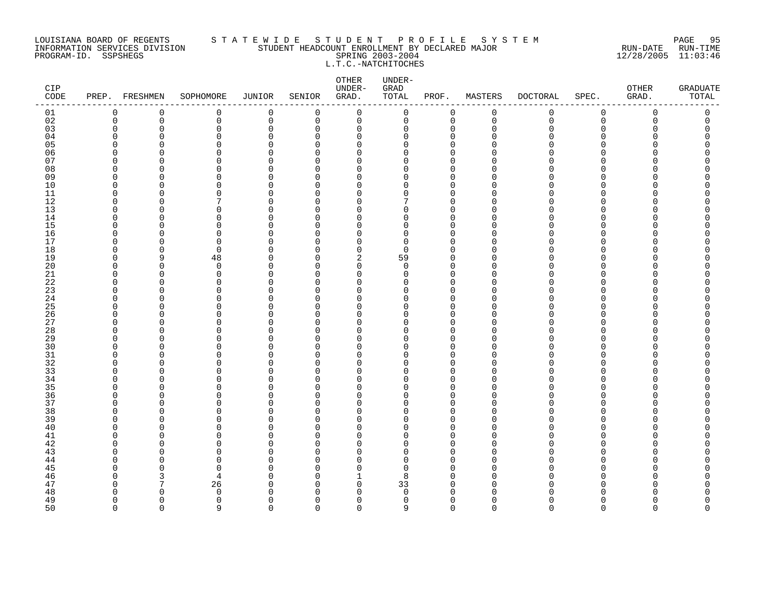#### LOUISIANA BOARD OF REGENTS S T A T E W I D E S T U D E N T P R O F I L E S Y S T E M PAGE 95 INFORMATION SERVICES DIVISION STUDENT HEADCOUNT ENROLLMENT BY DECLARED MAJOR RUN-DATE RUN-TIME PROGRAM-ID. SSPSHEGS SPRING 2003-2004 12/28/2005 11:03:46 L.T.C.-NATCHITOCHES

| CIP<br>$\texttt{CODE}$ |             | PREP. FRESHMEN           | SOPHOMORE     | JUNIOR               | SENIOR               | ${\small \texttt{OTHER}}$<br>UNDER-<br>GRAD. | UNDER-<br>GRAD<br>TOTAL | PROF.                      | MASTERS       | <b>DOCTORAL</b> | SPEC.                | OTHER<br>GRAD. | <b>GRADUATE</b><br>TOTAL |
|------------------------|-------------|--------------------------|---------------|----------------------|----------------------|----------------------------------------------|-------------------------|----------------------------|---------------|-----------------|----------------------|----------------|--------------------------|
| 01                     | $\mathbf 0$ | 0                        | 0             | $\mathsf 0$          | $\mathbf 0$          | $\mathbf 0$                                  | 0                       | 0                          | $\mathsf 0$   | $\mathsf{O}$    | $\mathsf 0$          | 0              | 0                        |
| 02                     | 0           | 0                        | 0             | $\mathbf 0$          | 0                    | 0                                            | 0                       | $\mathbf 0$                | $\mathbf 0$   | 0               | $\mathbf 0$          | 0              | 0                        |
| 03                     | O           | $\Omega$                 | 0             | $\Omega$             | $\mathbf 0$          | 0                                            | 0                       | $\mathbf 0$                | $\Omega$      | O               | 0                    | O              | $\Omega$                 |
| 04                     | ∩           | $\cap$                   | $\Omega$      | $\cap$               | $\Omega$             | $\Omega$                                     | O                       | $\Omega$                   | n             | ∩               | ∩                    |                | Λ                        |
| 05                     | n           | $\cap$                   | $\Omega$      | $\Omega$             | $\Omega$             | $\mathbf 0$                                  | 0                       | $\mathbf 0$                | n             |                 | $\Omega$             |                | O                        |
| 06                     | ∩           | $\cap$                   | $\Omega$      | $\cap$               | $\Omega$             | $\mathbf 0$                                  | 0                       | $\mathbf 0$                | ∩             |                 | $\Omega$             |                | Λ                        |
| 07                     | n           | ∩<br>∩                   | 0<br>$\Omega$ | $\Omega$<br>$\Omega$ | $\Omega$<br>$\Omega$ | 0<br>$\mathbf 0$                             | 0<br>0                  | 0<br>$\mathbf 0$           | $\cap$        |                 | ∩<br>∩               |                | ∩<br>∩                   |
| 08<br>09               | $\Omega$    | <sup>0</sup>             | $\Omega$      | $\Omega$             | $\Omega$             | $\mathbf 0$                                  | 0                       | $\mathbf 0$                | $\Omega$      |                 | $\Omega$             |                |                          |
| 10                     | ∩           | <sup>n</sup>             | $\Omega$      | $\Omega$             | $\Omega$             | $\Omega$                                     | 0                       | $\mathbf 0$                | $\Omega$      | ∩               | $\Omega$             |                | ∩                        |
| 11                     | $\Omega$    | $\Omega$                 | $\Omega$      | $\Omega$             | $\Omega$             | $\mathbf 0$                                  | 0                       | $\mathbf 0$                | $\Omega$      | ∩               | $\Omega$             |                | Λ                        |
| 12                     | n           | <sup>0</sup>             | 7             | $\Omega$             | $\Omega$             | $\Omega$                                     | 7                       | $\Omega$                   | $\Omega$      |                 | ∩                    |                |                          |
| 13                     | U           | $\Omega$                 | $\Omega$      | O                    | $\Omega$             | $\Omega$                                     | 0                       | $\mathbf 0$                | $\Omega$      |                 | $\Omega$             |                |                          |
| 14                     | ∩           | U                        | 0             | O                    | O                    | $\Omega$                                     | 0                       | $\mathbf 0$                | $\Omega$      |                 | $\Omega$             |                | ∩                        |
| 15                     | n           |                          | $\Omega$      | $\cap$               | $\Omega$             | $\Omega$                                     | 0                       | $\Omega$                   | n             |                 | $\Omega$             |                |                          |
| 16                     | n           | $\Omega$                 | 0             | $\Omega$             | $\Omega$             | $\mathbf 0$                                  | 0                       | $\mathbf 0$                | n             |                 | $\Omega$             |                | Λ                        |
| 17                     | n           | ∩                        | $\Omega$      | O                    | $\Omega$             | $\Omega$                                     | 0                       | $\Omega$                   | n             |                 | ∩                    |                |                          |
| 18                     | O           | $\Omega$                 | 0             | O                    | $\Omega$             | $\mathbf 0$                                  | 0                       | $\mathbf 0$                | O             |                 | $\Omega$             |                |                          |
| 19                     | ∩           | 9                        | 48            | O                    | $\Omega$             | $\overline{c}$                               | 59                      | $\mathbf 0$                | n             |                 | $\Omega$             |                |                          |
| 20                     | n           | $\Omega$                 | $\Omega$      | $\cap$               | $\Omega$             | $\Omega$                                     | $\Omega$                | $\Omega$                   | $\cap$        |                 | $\Omega$             |                | Λ                        |
| 21                     | O           | $\Omega$                 | 0             | $\Omega$             | $\Omega$             | $\mathbf 0$                                  | 0                       | $\overline{0}$             | $\Omega$      |                 | ∩                    |                |                          |
| 22                     | n<br>∩      | <sup>0</sup>             | $\Omega$      | O                    | $\Omega$             | 0                                            | 0                       | $\mathbf 0$                | ∩<br>$\cap$   |                 | O                    |                |                          |
| 23<br>24               | n           | $\Omega$<br><sup>n</sup> | 0<br>$\Omega$ | O<br>O               | $\Omega$<br>$\Omega$ | 0<br>$\mathbf 0$                             | 0<br>0                  | $\mathbf 0$<br>$\mathbf 0$ | $\Omega$      | ∩               | $\Omega$<br>$\Omega$ |                | Λ                        |
| 25                     |             | $\cap$                   | ∩             | $\Omega$             | $\Omega$             | $\Omega$                                     | 0                       | $\Omega$                   | n             |                 | ∩                    |                | ∩                        |
| 26                     | O           | $\Omega$                 | $\Omega$      | $\Omega$             | $\Omega$             | $\mathbf 0$                                  | 0                       | $\mathbf 0$                | $\Omega$      |                 | $\Omega$             |                |                          |
| 27                     | ∩           | U                        | $\Omega$      | O                    | $\Omega$             | 0                                            | 0                       | 0                          | $\Omega$      |                 | O                    |                | Λ                        |
| 28                     | n           | Ω                        | $\Omega$      | $\Omega$             | $\Omega$             | $\Omega$                                     | 0                       | $\Omega$                   | U             |                 | ∩                    |                |                          |
| 29                     | n           | <sup>n</sup>             | $\Omega$      | O                    | $\Omega$             | $\mathbf 0$                                  | 0                       | $\mathbf 0$                | ∩             |                 | ∩                    |                | ∩                        |
| 30                     | ∩           | <sup>n</sup>             | $\Omega$      | $\cap$               | $\Omega$             | $\Omega$                                     | 0                       | $\Omega$                   | $\cap$        |                 | ∩                    |                |                          |
| $31\,$                 | ∩           | $\Omega$                 | $\Omega$      | $\Omega$             | $\Omega$             | $\mathbf 0$                                  | 0                       | $\mathbf 0$                | $\Omega$      |                 | $\Omega$             |                | Λ                        |
| 32                     |             | U                        | 0             | O                    | U                    | 0                                            | 0                       | $\mathbf 0$                | $\Omega$      |                 | ∩                    |                |                          |
| 33                     |             | $\cap$                   | $\Omega$      | $\Omega$             | $\Omega$             | $\mathbf 0$                                  | 0                       | $\Omega$                   | $\cap$        |                 | ∩                    |                |                          |
| 34                     | n           | <sup>n</sup>             | $\Omega$      | $\Omega$             | $\Omega$             | $\mathbf 0$                                  | 0                       | $\Omega$                   | $\Omega$      |                 | ∩                    |                |                          |
| 35                     |             | $\cap$                   | $\Omega$      | U                    | $\Omega$             | $\Omega$                                     | $\Omega$                | $\Omega$                   | n             |                 | ∩                    |                |                          |
| 36                     | U<br>∩      | $\Omega$                 | 0             | 0                    | $\Omega$             | $\mathbf 0$                                  | 0                       | $\mathbf 0$                | $\Omega$<br>U |                 | $\Omega$             |                | Λ                        |
| 37                     |             | ∩<br>$\cap$              | $\Omega$<br>0 | O<br>O               | $\Omega$<br>$\Omega$ | 0<br>$\mathbf 0$                             | 0                       | $\mathbf 0$<br>$\mathbf 0$ | n             |                 | $\Omega$<br>∩        |                | ∩                        |
| 38<br>39               | ∩           | ∩                        | $\Omega$      | $\Omega$             | $\Omega$             | $\Omega$                                     | 0<br>0                  | $\mathbf 0$                | $\cap$        |                 | ∩                    |                |                          |
| 40                     |             | $\cap$                   | $\Omega$      | U                    | $\Omega$             | $\Omega$                                     | $\Omega$                | $\Omega$                   | $\cap$        |                 | ∩                    |                |                          |
| 41                     | n           | O                        | 0             | $\Omega$             | $\Omega$             | $\mathbf 0$                                  | 0                       | $\Omega$                   | n             |                 | $\Omega$             |                |                          |
| 42                     | ∩           | <sup>0</sup>             | $\Omega$      | O                    | $\Omega$             | $\mathbf 0$                                  | 0                       | $\mathbf 0$                | ∩             |                 | $\Omega$             |                | ∩                        |
| 43                     |             | ∩                        | U             | $\cap$               | $\Omega$             | $\Omega$                                     | 0                       | $\Omega$                   | n             |                 | ∩                    |                |                          |
| 44                     |             |                          | $\Omega$      | O                    | $\Omega$             | $\Omega$                                     | 0                       | $\Omega$                   | n             |                 | ∩                    |                |                          |
| 45                     |             | ∩                        | $\Omega$      | U                    | U                    | $\Omega$                                     | 0                       | $\Omega$                   | ∩             |                 | ∩                    |                |                          |
| 46                     |             | 3                        | 4             | O                    | $\Omega$             | 1                                            | 8                       | $\Omega$                   | $\Omega$      | N               | $\Omega$             |                |                          |
| 47                     | ∩           | 7                        | 26            | O                    | $\Omega$             | $\mathbf 0$                                  | 33                      | $\mathbf 0$                | $\Omega$      |                 | ∩                    |                | Λ                        |
| 48                     |             | <sup>n</sup>             | $\Omega$      | n                    | $\Omega$             | $\Omega$                                     | $\Omega$                | $\Omega$                   | ∩             |                 |                      |                | ∩                        |
| 49                     | ∩           | $\Omega$                 | $\Omega$      | O                    | $\Omega$             | $\Omega$                                     | 0                       | $\Omega$                   | $\Omega$      | U               | $\Omega$             | U              | O                        |
| 50                     | $\cap$      | $\cap$                   | 9             | $\cap$               | $\cap$               | $\Omega$                                     | 9                       | $\Omega$                   | $\cap$        | $\Omega$        | $\Omega$             | $\Omega$       | $\Omega$                 |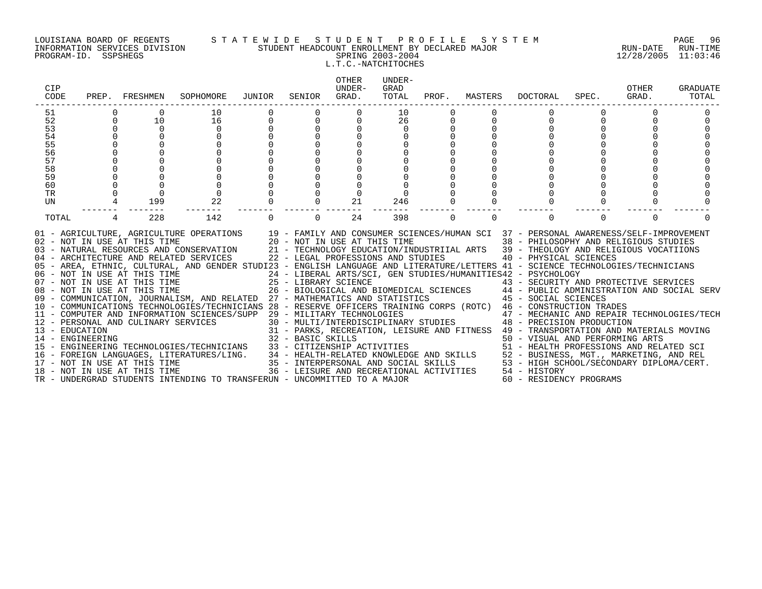#### LOUISIANA BOARD OF REGENTS S T A T E W I D E S T U D E N T P R O F I L E S Y S T E M PAGE 96 INFORMATION SERVICES DIVISION STUDENT HEADCOUNT ENROLLMENT BY DECLARED MAJOR RUN-DATE RUN-TIME PROGRAM-ID. SSPSHEGS SPRING 2003-2004 12/28/2005 11:03:46 L.T.C.-NATCHITOCHES

| CIP<br>CODE                                                    | PREP.    | FRESHMEN                                                     | SOPHOMORE                                                                                                                                                                                                                                                                                                                                                                                                                                                                                                                                                                                                                                                                                                                                                                                                                                                                                                                                             | JUNIOR | SENIOR                                    | OTHER<br>UNDER-<br>GRAD.           | UNDER-<br>GRAD<br>TOTAL | PROF.    | MASTERS  | DOCTORAL                                                                                                                                                                                                                                                                                                                                                                                                                                                                                                                                                                                                                                                                                                                                                                                                     | SPEC.    | <b>OTHER</b><br>GRAD. | GRADUATE<br>TOTAL |
|----------------------------------------------------------------|----------|--------------------------------------------------------------|-------------------------------------------------------------------------------------------------------------------------------------------------------------------------------------------------------------------------------------------------------------------------------------------------------------------------------------------------------------------------------------------------------------------------------------------------------------------------------------------------------------------------------------------------------------------------------------------------------------------------------------------------------------------------------------------------------------------------------------------------------------------------------------------------------------------------------------------------------------------------------------------------------------------------------------------------------|--------|-------------------------------------------|------------------------------------|-------------------------|----------|----------|--------------------------------------------------------------------------------------------------------------------------------------------------------------------------------------------------------------------------------------------------------------------------------------------------------------------------------------------------------------------------------------------------------------------------------------------------------------------------------------------------------------------------------------------------------------------------------------------------------------------------------------------------------------------------------------------------------------------------------------------------------------------------------------------------------------|----------|-----------------------|-------------------|
| 51<br>52<br>53<br>54<br>55<br>56<br>57<br>58<br>59<br>60<br>TR | $\Omega$ | $\Omega$<br>10<br>$\Omega$<br>$\Omega$                       | 10<br>16<br>$\Omega$<br>$\Omega$                                                                                                                                                                                                                                                                                                                                                                                                                                                                                                                                                                                                                                                                                                                                                                                                                                                                                                                      |        | $\Omega$                                  | $\Omega$<br>0                      | 10<br>26<br>$\Omega$    |          |          | 0                                                                                                                                                                                                                                                                                                                                                                                                                                                                                                                                                                                                                                                                                                                                                                                                            |          |                       |                   |
| UN<br>TOTAL                                                    | 4        | 199<br>228                                                   | 22<br>142                                                                                                                                                                                                                                                                                                                                                                                                                                                                                                                                                                                                                                                                                                                                                                                                                                                                                                                                             |        | $\Omega$                                  | 21<br>24                           | 246<br>398              | $\Omega$ | $\Omega$ | $\Omega$                                                                                                                                                                                                                                                                                                                                                                                                                                                                                                                                                                                                                                                                                                                                                                                                     | $\Omega$ | $\Omega$              |                   |
| 13 - EDUCATION<br>14 - ENGINEERING                             |          | 08 - NOT IN USE AT THIS TIME<br>18 - NOT IN USE AT THIS TIME | 01 - AGRICULTURE, AGRICULTURE OPERATIONS 19 - FAMILY AND CONSUMER SCIENCES/HUMAN SCI 37 - PERSONAL AWARENESS/SELF-IMPROVEMENT<br>02 - NOT IN USE AT THIS TIME $20 - NOT IN USE AT THIS TIME$<br>03 - NATURAL RESOURCES AND CONSERVATION $21 - TECHNOLOGY EDUCATION/INL$<br>04 - ARCHITECTURE AND RELATED SERVICES<br>05 - AREA, ETHNIC, CULTURAL, AND GENDER STUDI23 - ENGLISH LANGUAGE AND LITERATURE/LETTERS 41 - SCIENCE TECHNOLOGIES/TECHNICIANS<br>06 - NOT IN USE AT THIS TIME<br>07 - NOT IN USE AT THIS TIME<br>08 - NOT IN USE AT THIS TIME<br>09 - COMMUNICATION, JOURNALISM, AND RELATED 27 - MATHEMATICS AND STATISTICS<br>10 - COMMUNICATIONS TECHNOLOGIES/TECHNICIANS 28 - RESERVE OFFICERS TRAINING CORPS (ROTC) 46 - CONSTRUCTION TRADES<br>11 - COMPUTER AND INFORMATION SCIENCES/SUPP 29 - MILITARY TECHNOLOGIES<br>12 - PERSONAL AND CULINARY SERVICES<br>TR - UNDERGRAD STUDENTS INTENDING TO TRANSFERUN - UNCOMMITTED TO A MAJOR |        | 25 - LIBRARY SCIENCE<br>32 - BASIC SKILLS | 22 - LEGAL PROFESSIONS AND STUDIES |                         |          |          | 38 - PHILOSOPHY AND RELIGIOUS STUDIES<br>21 - TECHNOLOGY EDUCATION/INDUSTRIIAL ARTS 39 - THEOLOGY AND RELIGIOUS VOCATIIONS<br>40 - PHYSICAL SCIENCES<br>24 - LIBERAL ARTS/SCI, GEN STUDIES/HUMANITIES42 - PSYCHOLOGY<br>25 - LIBRARY SCIENCE<br>26 - BIOLOGICAL AND BIOMEDICAL SCIENCES<br>27 - MATHEMATICS AND STATISTICS<br>27 - MATHEMATICS AND STATISTICS<br>27 - MATHEMATICS AND STATISTICS<br>27 - MATHEMATICS AND STATISTICS<br>$29$ – MILITARY TECHNOLOGIES $$\sf 47$ – MECHANIC AND REPAIR TECHNOLOGIES/TECH $30$ – MULTI/INTERDISCIPLINARY STUDIES $$\sf 48$ – PRECISION PRODUCTION<br>31 - PARKS, RECREATION, LEISURE AND FITNESS 49 - TRANSPORTATION AND MATERIALS MOVING<br>50 - VISUAL AND PERFORMING ARTS<br>36 - LEISURE AND RECREATIONAL ACTIVITIES 54 - HISTORY<br>60 - RESIDENCY PROGRAMS |          |                       |                   |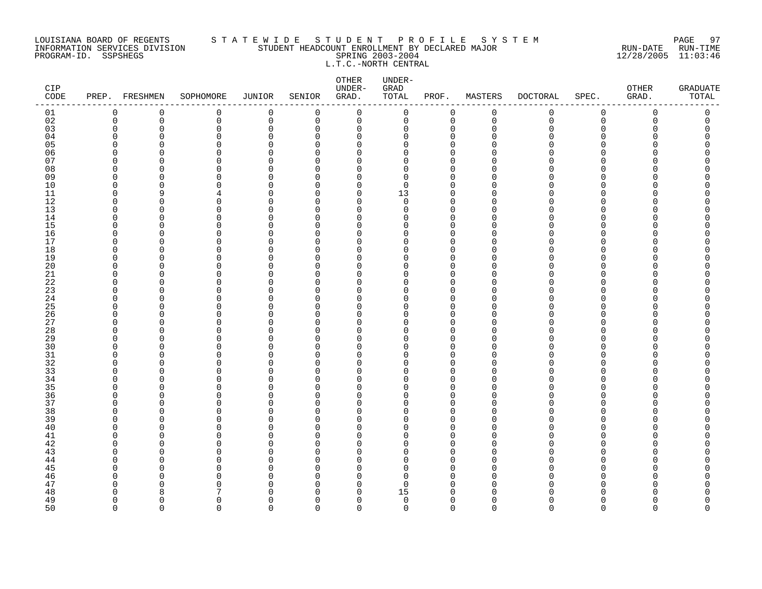#### LOUISIANA BOARD OF REGENTS S T A T E W I D E S T U D E N T P R O F I L E S Y S T E M PAGE 97 INFORMATION SERVICES DIVISION STUDENT HEADCOUNT ENROLLMENT BY DECLARED MAJOR RUN-DATE RUN-TIME PROGRAM-ID. SSPSHEGS SPRING 2003-2004 12/28/2005 11:03:46 L.T.C.-NORTH CENTRAL

| CIP<br>$\texttt{CODE}$ |             | PREP. FRESHMEN         | SOPHOMORE            | JUNIOR               | SENIOR               | OTHER<br>UNDER-<br>GRAD.   | UNDER-<br>GRAD<br>TOTAL | PROF.                      | MASTERS          | <b>DOCTORAL</b> | SPEC.         | OTHER<br>GRAD. | <b>GRADUATE</b><br>TOTAL |
|------------------------|-------------|------------------------|----------------------|----------------------|----------------------|----------------------------|-------------------------|----------------------------|------------------|-----------------|---------------|----------------|--------------------------|
| 01                     | 0           | 0                      | 0                    | $\mathbf 0$          | $\mathbf 0$          | $\mathbf 0$                | 0                       | $\mathbf 0$                | $\mathbf 0$      | 0               | $\mathbf 0$   | 0              | 0                        |
| 02                     | $\mathbf 0$ | 0                      | 0                    | $\mathbf 0$          | 0                    | $\mathbf 0$                | 0                       | $\mathbf 0$                | $\mathbf 0$      | $\mathbf 0$     | $\mathbf 0$   | 0              | 0                        |
| 03                     | $\Omega$    | $\Omega$               | 0                    | $\Omega$             | $\mathbf 0$          | 0                          | 0                       | $\mathbf 0$                | $\Omega$         | O               | $\Omega$      | O              | C                        |
| 04                     | U           | $\Omega$               | $\Omega$             | $\Omega$             | $\Omega$             | 0                          | 0                       | $\mathbf 0$                | n                | N               | $\Omega$      |                |                          |
| 05<br>06               | n           | n<br>n                 | $\Omega$<br>$\Omega$ | $\Omega$<br>O        | $\Omega$<br>$\Omega$ | $\Omega$<br>$\Omega$       | 0<br>0                  | $\Omega$<br>$\Omega$       |                  |                 | ∩<br>$\Omega$ |                | ∩                        |
| 07                     | ∩           | n                      | U                    | $\cap$               | $\Omega$             | $\Omega$                   | 0                       | $\Omega$                   |                  |                 | ∩             |                |                          |
| 08                     | U           | O                      | $\Omega$             | 0                    | $\Omega$             | $\mathbf 0$                | 0                       | $\mathbf 0$                | n                |                 | $\Omega$      |                |                          |
| 09                     | ∩           | <sup>0</sup>           | $\Omega$             | $\Omega$             | $\Omega$             | 0                          | 0                       | 0                          | n                |                 | O             |                |                          |
| 10                     | U           | $\Omega$               | $\Omega$             | $\Omega$             | $\Omega$             | $\mathbf 0$                | $\mathbf 0$             | $\Omega$                   | U                |                 | $\Omega$      |                |                          |
| 11                     | $\Omega$    | 9                      | 4                    | O                    | $\Omega$             | $\mathbf 0$                | 13                      | $\mathbf 0$                | $\Omega$         | ∩               | ∩             |                |                          |
| 12                     | n           | $\cap$                 | U                    | $\Omega$             | $\Omega$             | $\Omega$                   | $\Omega$                | $\Omega$                   | n                |                 | ∩             |                |                          |
| 13                     | $\Omega$    | $\Omega$               | $\Omega$             | $\Omega$             | $\Omega$             | $\mathbf 0$                | 0                       | $\mathbf 0$                | $\cap$           |                 | $\Omega$      |                |                          |
| 14                     | $\cap$      | <sup>0</sup>           | $\Omega$             | O                    | $\Omega$             | 0                          | 0                       | $\mathbf 0$                | ∩                |                 | ∩             |                | ∩                        |
| 15                     | O           | $\Omega$               | $\Omega$             | O                    | $\Omega$             | $\mathbf 0$                | $\Omega$                | $\Omega$                   | n                |                 | ∩             |                |                          |
| 16                     | n           | $\Omega$               | $\Omega$             | O                    | $\Omega$             | $\mathbf 0$                | 0                       | $\mathbf 0$                | $\cap$           |                 | ∩             |                |                          |
| 17                     | n           | $\cap$                 | $\Omega$             | $\Omega$             | $\Omega$             | $\Omega$                   | 0                       | $\Omega$                   | n                |                 | ∩             |                |                          |
| 18                     | O           | $\Omega$               | 0                    | $\Omega$             | $\Omega$             | $\mathbf 0$                | 0                       | $\mathbf 0$                | n                |                 | $\Omega$      |                |                          |
| 19                     |             | O                      | $\Omega$             | O                    | $\Omega$             | 0                          | 0                       | $\mathbf 0$                |                  |                 | $\Omega$      |                |                          |
| 20<br>21               | ∩<br>n      | ∩<br>∩                 | $\Omega$<br>$\Omega$ | O<br>$\Omega$        | $\Omega$<br>$\Omega$ | $\mathbf 0$<br>$\mathbf 0$ | 0<br>0                  | $\mathbf 0$<br>$\mathbf 0$ | n<br>∩           |                 | ∩<br>∩        |                | ∩                        |
| 22                     | ∩           | <sup>0</sup>           | $\Omega$             | O                    | $\Omega$             | $\mathbf 0$                | 0                       | $\mathbf 0$                | n                |                 | $\Omega$      |                |                          |
| 23                     | n           | $\cap$                 | $\Omega$             | $\Omega$             | $\Omega$             | $\Omega$                   | 0                       | $\Omega$                   | n                |                 | $\Omega$      |                |                          |
| 24                     | ∩           | <sup>0</sup>           | 0                    | 0                    | $\Omega$             | 0                          | 0                       | $\mathbf 0$                | ∩                |                 | $\Omega$      |                |                          |
| 25                     | ∩           | O                      | 0                    | O                    | $\Omega$             | 0                          | 0                       | $\Omega$                   | ∩                |                 | ∩             |                |                          |
| 26                     | U           | $\Omega$               | $\Omega$             | O                    | $\Omega$             | $\Omega$                   | 0                       | $\mathbf 0$                | U                |                 | ∩             |                |                          |
| 27                     | ∩           | U                      | $\Omega$             | O                    | $\Omega$             | $\Omega$                   | 0                       | $\mathbf 0$                | n                |                 | ∩             |                |                          |
| 28                     | n           | Ω                      | $\Omega$             | $\Omega$             | $\Omega$             | $\Omega$                   | $\Omega$                | $\Omega$                   |                  |                 | $\Omega$      |                |                          |
| 29                     | U           | $\Omega$               | $\Omega$             | 0                    | $\mathbf 0$          | 0                          | 0                       | $\mathbf 0$                | U                |                 | $\Omega$      |                |                          |
| 30                     | n           | O                      | 0                    | $\Omega$             | $\Omega$             | $\Omega$                   | 0                       | $\Omega$                   | n                |                 | ∩             |                |                          |
| 31                     | U           | $\Omega$               | $\Omega$             | O                    | $\Omega$             | 0                          | 0                       | $\mathbf 0$                | n                |                 | $\Omega$      |                |                          |
| 32                     |             | ∩                      | $\Omega$             | O                    | $\Omega$             | $\mathbf 0$                | 0                       | $\mathbf 0$                | ∩                |                 | ∩             |                |                          |
| 33                     | n<br>n      | $\cap$<br><sup>n</sup> | $\Omega$<br>$\Omega$ | $\Omega$<br>$\Omega$ | $\Omega$<br>$\Omega$ | $\mathbf 0$                | 0                       | $\mathbf 0$                | $\cap$<br>$\cap$ |                 | $\Omega$<br>∩ |                |                          |
| 34<br>35               |             | O                      | 0                    | O                    | $\Omega$             | $\mathbf 0$<br>$\Omega$    | 0<br>O                  | $\mathbf 0$<br>$\Omega$    | ∩                |                 | ∩             |                |                          |
| 36                     | n           | O                      | 0                    | 0                    | $\Omega$             | 0                          | 0                       | 0                          | n                |                 | $\Omega$      |                |                          |
| 37                     | n           | ∩                      | $\Omega$             | O                    | $\Omega$             | $\mathbf 0$                | 0                       | $\mathbf 0$                | ∩                |                 | ∩             |                |                          |
| 38                     | n           | $\cap$                 | U                    | O                    | $\Omega$             | $\mathbf 0$                | 0                       | $\mathbf 0$                | ∩                |                 | ∩             |                |                          |
| 39                     | ∩           | $\cap$                 | $\Omega$             | O                    | $\Omega$             | $\Omega$                   | 0                       | $\mathbf 0$                | n                |                 | ∩             |                |                          |
| 40                     | n           | O                      | $\Omega$             | O                    | $\Omega$             | $\mathbf 0$                | 0                       | $\overline{0}$             | $\cap$           |                 | O             |                |                          |
| 41                     | n           | O                      | 0                    | 0                    | $\Omega$             | $\mathbf 0$                | 0                       | 0                          |                  |                 | $\Omega$      |                |                          |
| 42                     | n           | O                      | $\Omega$             | O                    | $\Omega$             | $\mathbf 0$                | 0                       | $\mathbf 0$                | n                |                 | ∩             |                |                          |
| 43                     |             | ∩                      | U                    | U                    | $\Omega$             | $\Omega$                   | 0                       | $\Omega$                   | n                |                 | ∩             |                |                          |
| 44                     | n           | $\cap$                 | $\Omega$             | O                    | $\Omega$             | $\Omega$                   | 0                       | $\Omega$                   | n                |                 | ∩             |                |                          |
| 45                     |             | O                      | 0                    | 0                    | $\Omega$             | $\mathbf 0$                | 0                       | $\mathbf 0$                | U                |                 | $\Omega$      |                |                          |
| 46                     |             |                        | 0                    | O                    | $\Omega$             | $\mathbf 0$                | 0                       | $\Omega$                   | ∩                | N               | ∩             |                |                          |
| 47                     |             | ∩                      | 0<br>7               | O                    | $\Omega$             | 0                          | 0                       | $\Omega$<br>$\Omega$       | $\Omega$<br>∩    |                 | ∩             |                |                          |
| 48<br>49               | ∩           | 8<br>$\Omega$          | $\Omega$             | C<br>O               | U<br>$\Omega$        | $\Omega$<br>$\mathbf 0$    | 15<br>$\mathbf 0$       | $\mathbf 0$                | $\Omega$         | N               | ∩             |                | O                        |
| 50                     | $\cap$      | $\Omega$               | $\Omega$             | $\Omega$             | $\cap$               | $\Omega$                   | $\Omega$                | $\Omega$                   | $\cap$           | $\Omega$        | $\Omega$      | $\Omega$       | $\Omega$                 |
|                        |             |                        |                      |                      |                      |                            |                         |                            |                  |                 |               |                |                          |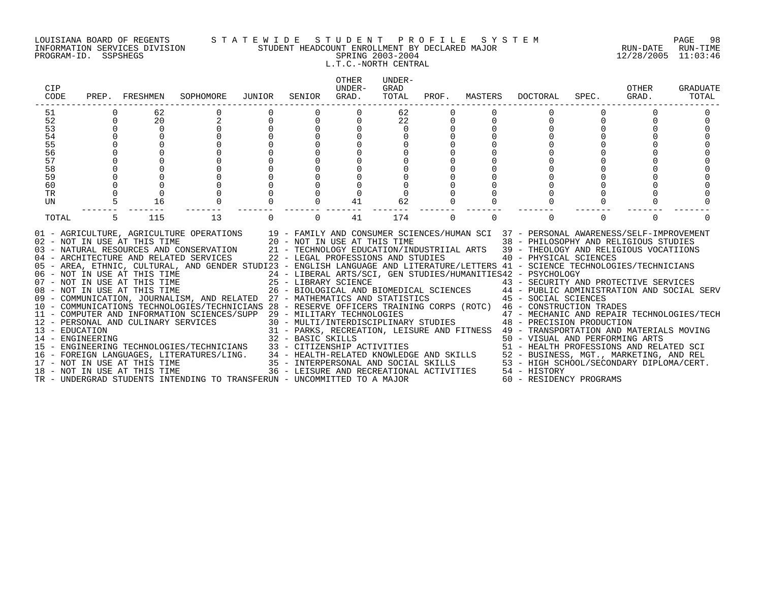#### LOUISIANA BOARD OF REGENTS S T A T E W I D E S T U D E N T P R O F I L E S Y S T E M PAGE 98 INFORMATION SERVICES DIVISION STUDENT HEADCOUNT ENROLLMENT BY DECLARED MAJOR RUN-DATE RUN-TIME PROGRAM-ID. SSPSHEGS SPRING 2003-2004 12/28/2005 11:03:46 L.T.C.-NORTH CENTRAL

| CIP<br>CODE      |          | PREP. FRESHMEN               | SOPHOMORE                                                                                                                                                                                                                                                                                                                                                                                                                                                                                                                                                                                                                                                                                                                                                                                                                                                                                                                                                                                                                                                                                  | JUNIOR            | SENIOR   | OTHER<br>UNDER-<br>GRAD. | UNDER-<br>GRAD<br>TOTAL |          | PROF. MASTERS | DOCTORAL                                                                                                                                                                                                                                                                                                                                                                                                                                                                                                                                                                                                                                                                                                                                          | SPEC.    | OTHER<br>GRAD. | <b>GRADUATE</b><br>TOTAL |
|------------------|----------|------------------------------|--------------------------------------------------------------------------------------------------------------------------------------------------------------------------------------------------------------------------------------------------------------------------------------------------------------------------------------------------------------------------------------------------------------------------------------------------------------------------------------------------------------------------------------------------------------------------------------------------------------------------------------------------------------------------------------------------------------------------------------------------------------------------------------------------------------------------------------------------------------------------------------------------------------------------------------------------------------------------------------------------------------------------------------------------------------------------------------------|-------------------|----------|--------------------------|-------------------------|----------|---------------|---------------------------------------------------------------------------------------------------------------------------------------------------------------------------------------------------------------------------------------------------------------------------------------------------------------------------------------------------------------------------------------------------------------------------------------------------------------------------------------------------------------------------------------------------------------------------------------------------------------------------------------------------------------------------------------------------------------------------------------------------|----------|----------------|--------------------------|
| 51               |          | 62                           |                                                                                                                                                                                                                                                                                                                                                                                                                                                                                                                                                                                                                                                                                                                                                                                                                                                                                                                                                                                                                                                                                            |                   |          |                          | 62                      |          |               |                                                                                                                                                                                                                                                                                                                                                                                                                                                                                                                                                                                                                                                                                                                                                   |          |                |                          |
| 52               | $\Omega$ | 20                           |                                                                                                                                                                                                                                                                                                                                                                                                                                                                                                                                                                                                                                                                                                                                                                                                                                                                                                                                                                                                                                                                                            |                   | $\Omega$ | 0                        | 22                      |          |               |                                                                                                                                                                                                                                                                                                                                                                                                                                                                                                                                                                                                                                                                                                                                                   |          |                |                          |
| 53               |          | 0                            |                                                                                                                                                                                                                                                                                                                                                                                                                                                                                                                                                                                                                                                                                                                                                                                                                                                                                                                                                                                                                                                                                            |                   |          |                          | $\mathbf 0$             |          |               |                                                                                                                                                                                                                                                                                                                                                                                                                                                                                                                                                                                                                                                                                                                                                   |          |                |                          |
| 54               |          |                              |                                                                                                                                                                                                                                                                                                                                                                                                                                                                                                                                                                                                                                                                                                                                                                                                                                                                                                                                                                                                                                                                                            |                   |          |                          |                         |          |               |                                                                                                                                                                                                                                                                                                                                                                                                                                                                                                                                                                                                                                                                                                                                                   |          |                |                          |
| 55               |          |                              |                                                                                                                                                                                                                                                                                                                                                                                                                                                                                                                                                                                                                                                                                                                                                                                                                                                                                                                                                                                                                                                                                            |                   |          |                          |                         |          |               |                                                                                                                                                                                                                                                                                                                                                                                                                                                                                                                                                                                                                                                                                                                                                   |          |                |                          |
| 56               |          |                              |                                                                                                                                                                                                                                                                                                                                                                                                                                                                                                                                                                                                                                                                                                                                                                                                                                                                                                                                                                                                                                                                                            |                   |          |                          |                         |          |               |                                                                                                                                                                                                                                                                                                                                                                                                                                                                                                                                                                                                                                                                                                                                                   |          |                |                          |
| 57               |          |                              |                                                                                                                                                                                                                                                                                                                                                                                                                                                                                                                                                                                                                                                                                                                                                                                                                                                                                                                                                                                                                                                                                            |                   |          |                          |                         |          |               |                                                                                                                                                                                                                                                                                                                                                                                                                                                                                                                                                                                                                                                                                                                                                   |          |                |                          |
| 58               |          |                              |                                                                                                                                                                                                                                                                                                                                                                                                                                                                                                                                                                                                                                                                                                                                                                                                                                                                                                                                                                                                                                                                                            |                   |          |                          |                         |          |               |                                                                                                                                                                                                                                                                                                                                                                                                                                                                                                                                                                                                                                                                                                                                                   |          |                |                          |
| 59<br>60         |          |                              |                                                                                                                                                                                                                                                                                                                                                                                                                                                                                                                                                                                                                                                                                                                                                                                                                                                                                                                                                                                                                                                                                            |                   |          |                          |                         |          |               |                                                                                                                                                                                                                                                                                                                                                                                                                                                                                                                                                                                                                                                                                                                                                   |          |                |                          |
| TR               |          |                              |                                                                                                                                                                                                                                                                                                                                                                                                                                                                                                                                                                                                                                                                                                                                                                                                                                                                                                                                                                                                                                                                                            |                   |          |                          |                         |          |               |                                                                                                                                                                                                                                                                                                                                                                                                                                                                                                                                                                                                                                                                                                                                                   |          |                |                          |
| UN               |          | 16                           |                                                                                                                                                                                                                                                                                                                                                                                                                                                                                                                                                                                                                                                                                                                                                                                                                                                                                                                                                                                                                                                                                            |                   |          | 41                       | 62                      |          |               |                                                                                                                                                                                                                                                                                                                                                                                                                                                                                                                                                                                                                                                                                                                                                   |          |                |                          |
|                  |          |                              |                                                                                                                                                                                                                                                                                                                                                                                                                                                                                                                                                                                                                                                                                                                                                                                                                                                                                                                                                                                                                                                                                            |                   |          |                          |                         |          |               |                                                                                                                                                                                                                                                                                                                                                                                                                                                                                                                                                                                                                                                                                                                                                   |          |                |                          |
| TOTAL            |          | 115                          | 13                                                                                                                                                                                                                                                                                                                                                                                                                                                                                                                                                                                                                                                                                                                                                                                                                                                                                                                                                                                                                                                                                         |                   | $\Omega$ | 41                       | 174                     | $\Omega$ | $\Omega$      | $\Omega$                                                                                                                                                                                                                                                                                                                                                                                                                                                                                                                                                                                                                                                                                                                                          | $\Omega$ | $\Omega$       |                          |
| 14 - ENGINEERING |          | 18 - NOT IN USE AT THIS TIME | 01 - AGRICULTURE, AGRICULTURE OPERATIONS 19 - FAMILY AND CONSUMER SCIENCES/HUMAN SCI 37 - PERSONAL AWARENESS/SELF-IMPROVEMENT<br>02 - NOT IN USE AT THIS TIME<br>120 - NOT IN USE AT THIS TIME<br>138 - PHILOSOPHY AND REL<br>139 - THEOLOGY AND RELATED SERVICES<br>22 - LEGAL PROFESSIONS AND STUDIES<br>22 - LEGAL PROFESSIONS AND STUDIES<br>22 - LEGAL PROFESSIONS AND<br>05 - AREA, ETHNIC, CULTURAL, AND GENDER STUDI23 - ENGLISH LANGUAGE AND LITERATURE/LETTERS 41 - SCIENCE TECHNOLOGIES/TECHNICIANS<br>06 - NOT IN USE AT THIS TIME<br>07 - NOT IN USE AT THIS TIME<br>08 - NOT IN USE AT THIS TIME<br>08 - NOT IN USE AT THIS TIME<br>26 - BIOLOGICAL AND I<br>09 - COMMUNICATION, JOURNALISM, AND RELATED 27 - MATHEMATICS AND STATISTICS<br>10 - COMMUNICATIONS TECHNOLOGIES/TECHNICIANS 28 - RESERVE OFFICERS TRAINING CORPS (ROTC) 46 - CONSTRUCTION TRADES<br>11 - COMPUTER AND INFORMATION SCIENCES/SUPP 29 - MILITARY TECHNOLOGIES<br>12 - PERSONAL AND CULINARY SERVICES<br>13 - EDUCATION<br>TR - UNDERGRAD STUDENTS INTENDING TO TRANSFERUN - UNCOMMITTED TO A MAJOR | 32 - BASIC SKILLS |          |                          |                         |          |               | 38 - PHILOSOPHY AND RELIGIOUS STUDIES<br>21 - TECHNOLOGY EDUCATION/INDUSTRIIAL ARTS 39 - THEOLOGY AND RELIGIOUS VOCATIIONS<br>24 - LIBERAL ARTS/SCI, GEN STUDIES/HUMANITIES42 - PSYCHOLOGY<br>25 - LIBRARY SCIENCE († 13 - SECURITY AND PROTECTIVE SERVICES 26 - BIOLOGICAL AND BIOMEDICAL SCIENCES († 14 - PUBLIC ADMINISTRATION AND SOCIAL SERV<br>27 - MATHEMATICS AND STATISTICS († 15 - SOCIAL SCIENCES († 15 - MATHEMATIC<br>29 - MILITARY TECHNOLOGIES<br>30 - MULTI/INTERDISCIPLINARY STUDIES<br>48 - PRECISION PRODUCTION<br>31 - PARKS, RECREATION, LEISURE AND FITNESS 49 - TRANSPORTATION AND MATERIALS MOVING<br>50 - VISUAL AND PERFORMING ARTS<br>36 - LEISURE AND RECREATIONAL ACTIVITIES 54 - HISTORY<br>60 - RESIDENCY PROGRAMS |          |                |                          |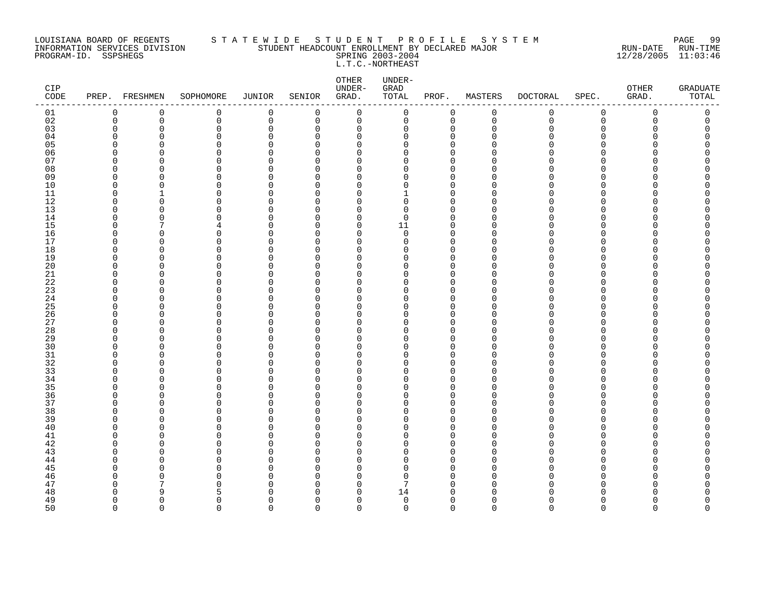#### LOUISIANA BOARD OF REGENTS S T A T E W I D E S T U D E N T P R O F I L E S Y S T E M PAGE 99 INFORMATION SERVICES DIVISION STUDENT HEADCOUNT ENROLLMENT BY DECLARED MAJOR RUN-DATE RUN-TIME PROGRAM-ID. SSPSHEGS SPRING 2003-2004 12/28/2005 11:03:46 L.T.C.-NORTHEAST

| $\mathtt{CIP}$<br>$\texttt{CODE}{}$ |                      | PREP. FRESHMEN | SOPHOMORE            | JUNIOR                  | SENIOR               | OTHER<br>UNDER-<br>GRAD. | UNDER-<br>GRAD<br>TOTAL | PROF.                   | MASTERS     | <b>DOCTORAL</b> | SPEC.       | OTHER<br>GRAD. | <b>GRADUATE</b><br>TOTAL |
|-------------------------------------|----------------------|----------------|----------------------|-------------------------|----------------------|--------------------------|-------------------------|-------------------------|-------------|-----------------|-------------|----------------|--------------------------|
| 01                                  | $\mathbf 0$          | 0              | 0                    | $\mathbf 0$             | 0                    | $\mathbf 0$              | $\mathsf{O}$            | 0                       | $\mathsf 0$ | 0               | $\mathbf 0$ | 0              | 0                        |
| 02                                  | $\mathbf 0$          | $\mathbf 0$    | 0                    | $\mathsf 0$             | 0                    | $\mathbf 0$              | 0                       | $\mathbf 0$             | $\mathbf 0$ | $\mathbf 0$     | $\mathbf 0$ | $\Omega$       | 0                        |
| 03                                  | $\mathbf 0$          | $\Omega$       | 0                    | $\mathbf 0$             | 0                    | 0                        | 0                       | 0                       | $\Omega$    | N               | $\Omega$    | O              | 0                        |
| 04                                  | 0                    | 0              | 0                    | 0                       | 0                    | 0                        | 0                       | 0                       | ∩           |                 | O           |                | O                        |
| 05                                  | $\Omega$             | 0              | $\Omega$             | $\Omega$                | $\Omega$             | 0                        | 0                       | $\Omega$                |             |                 | ∩           |                |                          |
| 06<br>07                            | $\Omega$<br>$\Omega$ | 0<br>O         | 0<br>$\Omega$        | $\mathbf 0$<br>$\Omega$ | $\Omega$<br>$\Omega$ | 0<br>$\Omega$            | 0<br>$\Omega$           | $\mathbf 0$<br>$\Omega$ |             |                 | ∩<br>∩      |                | ი                        |
| 08                                  | $\Omega$             | $\Omega$       | $\Omega$             | $\Omega$                | $\Omega$             | $\Omega$                 | $\Omega$                | $\Omega$                |             |                 | ∩           |                |                          |
| 09                                  | 0                    | O              | 0                    | 0                       | 0                    | 0                        | 0                       | $\mathbf 0$             |             |                 | ∩           |                |                          |
| 10                                  | $\mathbf 0$          | 0              | $\Omega$             | $\Omega$                | $\Omega$             | 0                        | 0                       | $\Omega$                |             |                 | ∩           |                |                          |
| 11                                  | $\Omega$             | -1             | 0                    | $\mathbf 0$             | $\Omega$             | 0                        | 1                       | $\mathbf 0$             |             |                 | ∩           |                | ∩                        |
| 12                                  | $\Omega$             | O              | $\Omega$             | $\Omega$                | $\Omega$             | $\Omega$                 | $\Omega$                | $\Omega$                |             |                 | ∩           |                |                          |
| 13                                  | $\mathbf 0$          | 0              | 0                    | $\mathbf 0$             | $\Omega$             | $\mathbf 0$              | 0                       | $\mathbf 0$             | O           |                 | $\Omega$    |                |                          |
| 14                                  | $\Omega$             | $\Omega$       | $\Omega$             | $\Omega$                | $\Omega$             | $\mathbf 0$              | $\mathbf 0$             | $\mathbf 0$             | n           |                 | $\cap$      |                | Λ                        |
| 15                                  | $\Omega$             | 7              | 4                    | $\Omega$                | $\Omega$             | 0                        | 11                      | $\mathbf 0$             | ∩           |                 | ∩           |                | Λ                        |
| 16                                  | $\Omega$             | 0              | 0                    | 0                       | $\Omega$             | 0                        | $\mathbf 0$             | $\mathbf 0$             | n           |                 | ∩           |                | ∩                        |
| 17                                  | $\Omega$             | 0              | 0                    | 0                       | $\Omega$             | $\mathbf 0$              | 0                       | $\mathbf 0$             | O           |                 | $\Omega$    |                |                          |
| 18                                  | $\Omega$             | O              | 0                    | $\Omega$                | $\Omega$             | 0                        | 0                       | $\mathbf 0$             | ∩           |                 | ∩           |                | ∩                        |
| 19                                  | $\Omega$             | O              | 0                    | $\Omega$                | $\Omega$             | 0                        | 0                       | $\mathbf 0$             |             |                 | ∩           |                |                          |
| 20                                  | $\Omega$             | O              | 0                    | $\Omega$                | $\Omega$             | $\Omega$                 | $\Omega$                | $\Omega$                |             |                 | ∩           |                | ∩                        |
| 21                                  | $\Omega$             | O              | $\Omega$             | 0                       | $\Omega$             | 0                        | 0                       | $\Omega$                | n           |                 | O           |                |                          |
| 22                                  | 0                    | 0              | 0                    | 0                       | $\Omega$             | 0                        | 0                       | 0                       | ∩           |                 | O           |                |                          |
| 23                                  | $\mathbf 0$          | 0              | 0                    | $\Omega$                | $\Omega$             | 0                        | 0                       | $\Omega$                |             |                 | ∩           |                |                          |
| 24                                  | $\Omega$             | O              | 0                    | $\mathbf 0$             | $\Omega$             | 0                        | 0                       | $\mathbf 0$             | n           |                 | ∩           |                | ∩                        |
| 25                                  | $\Omega$             | O              | $\Omega$             | $\mathbf 0$             | $\Omega$             | $\Omega$                 | $\Omega$                | $\Omega$                | n           |                 | ∩           |                |                          |
| 26<br>27                            | $\Omega$             | O              | 0                    | $\mathbf 0$             | $\Omega$             | $\Omega$                 | $\Omega$<br>0           | $\mathbf 0$             |             |                 | ∩<br>∩      |                |                          |
| 28                                  | 0<br>$\Omega$        | 0<br>0         | 0<br>$\Omega$        | 0<br>$\Omega$           | 0<br>$\Omega$        | 0<br>0                   | 0                       | 0<br>$\Omega$           |             |                 | ∩           |                |                          |
| 29                                  | $\Omega$             | 0              | 0                    | $\Omega$                | 0                    | 0                        | 0                       | 0                       |             |                 | ∩           |                |                          |
| 30                                  | $\Omega$             | O              | $\Omega$             | $\Omega$                | $\Omega$             | $\Omega$                 | $\Omega$                | $\Omega$                |             |                 | ∩           |                |                          |
| 31                                  | $\Omega$             | O              | 0                    | $\Omega$                | $\Omega$             | $\mathbf 0$              | 0                       | $\mathbf 0$             | ∩           |                 | $\Omega$    |                | ∩                        |
| 32                                  | $\Omega$             | O              | $\Omega$             | $\Omega$                | ∩                    | $\Omega$                 | 0                       | $\Omega$                |             |                 | $\Omega$    |                |                          |
| 33                                  | $\Omega$             | 0              | $\Omega$             | $\Omega$                | $\Omega$             | 0                        | 0                       | $\Omega$                |             |                 | ∩           |                | ∩                        |
| 34                                  | $\Omega$             | 0              | $\Omega$             | 0                       | 0                    | 0                        | 0                       | $\Omega$                | ∩           |                 | ∩           |                |                          |
| 35                                  | $\Omega$             | O              | $\Omega$             | $\Omega$                | $\Omega$             | $\Omega$                 | O                       | $\Omega$                |             |                 | ∩           |                |                          |
| 36                                  | $\Omega$             | O              | 0                    | $\Omega$                | $\Omega$             | 0                        | 0                       | $\mathbf 0$             | ∩           |                 | ∩           |                |                          |
| 37                                  | $\Omega$             | O              | 0                    | $\Omega$                | $\Omega$             | 0                        | $\Omega$                | $\mathbf 0$             | n           |                 | $\Omega$    |                |                          |
| 38                                  | $\Omega$             | O              | $\Omega$             | $\Omega$                | $\Omega$             | $\Omega$                 | $\Omega$                | $\Omega$                |             |                 | ∩           |                | ∩                        |
| 39                                  | $\Omega$             | 0              | $\Omega$             | 0                       | $\Omega$             | 0                        | 0                       | $\mathbf 0$             | n           |                 | O           |                |                          |
| 40                                  | $\Omega$             | 0              | $\Omega$             | 0                       | $\Omega$             | 0                        | 0                       | $\mathbf 0$             | ∩           |                 | O           |                |                          |
| 41                                  | $\Omega$             | 0              | 0                    | $\Omega$                | $\Omega$             | 0                        | 0                       | $\Omega$                |             |                 | ∩           |                |                          |
| 42                                  | $\mathbf 0$          | 0              | 0                    | $\mathbf 0$             | $\Omega$             | 0                        | 0                       | $\mathbf 0$             | n           |                 | ∩           |                | ∩                        |
| 43                                  | $\Omega$             | n              | $\Omega$             | $\mathbf 0$             | $\Omega$             | $\Omega$                 | $\Omega$                | $\Omega$                |             |                 | ∩           |                |                          |
| 44                                  | $\Omega$             | O              | $\Omega$             | $\Omega$                | $\Omega$             | $\Omega$                 | $\Omega$                | $\Omega$                | n           |                 | ∩           |                |                          |
| 45                                  | $\Omega$             | O              | 0                    | $\Omega$                | 0                    | 0                        | 0                       | 0                       | ∩           |                 | O           |                |                          |
| 46<br>47                            | $\Omega$<br>$\Omega$ | 0<br>7         | $\Omega$<br>$\Omega$ | $\Omega$<br>$\Omega$    | $\Omega$<br>$\Omega$ | 0                        | 0<br>7                  | $\Omega$<br>$\Omega$    | U<br>∩      |                 | ∩<br>∩      |                | ∩                        |
| 48                                  | $\Omega$             | q              | 5                    | $\Omega$                | $\Omega$             | 0<br>$\Omega$            | 14                      | $\Omega$                |             |                 |             |                |                          |
| 49                                  | $\Omega$             | $\Omega$       | 0                    | $\Omega$                | $\Omega$             | $\mathbf 0$              | $\mathbf 0$             | $\mathbf 0$             | ∩           |                 | $\Omega$    | ∩              | O                        |
| 50                                  | $\Omega$             | $\Omega$       | $\Omega$             | $\Omega$                | $\Omega$             | $\Omega$                 | $\Omega$                | $\Omega$                | $\Omega$    | $\Omega$        | $\Omega$    | $\Omega$       | $\Omega$                 |
|                                     |                      |                |                      |                         |                      |                          |                         |                         |             |                 |             |                |                          |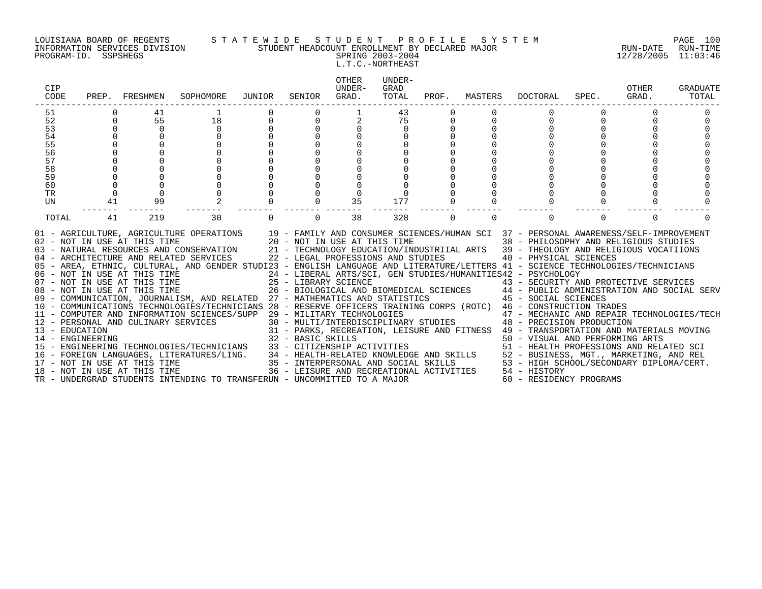#### LOUISIANA BOARD OF REGENTS S T A T E W I D E S T U D E N T P R O F I L E S Y S T E M PAGE 100 INFORMATION SERVICES DIVISION STUDENT HEADCOUNT ENROLLMENT BY DECLARED MAJOR RUN-DATE RUN-TIME PROGRAM-ID. SSPSHEGS SPRING 2003-2004 12/28/2005 11:03:46

# L.T.C.-NORTHEAST

| CIP<br>CODE                                                                 | PREP.                            | FRESHMEN                      | SOPHOMORE                                                                                                                                                                                                                                                                                                                                                                                                                                                                                                                                                                                                                                                                                                                                                                                                                                                                                                                                                                                                                                                                                                                                                                                  | JUNIOR   | SENIOR            | <b>OTHER</b><br>UNDER-<br>GRAD.          | UNDER-<br>GRAD<br>TOTAL     | PROF.       | MASTERS  | <b>DOCTORAL</b>                                                                                                                                                                                     | SPEC.    | OTHER<br>GRAD. | GRADUATE<br>TOTAL |
|-----------------------------------------------------------------------------|----------------------------------|-------------------------------|--------------------------------------------------------------------------------------------------------------------------------------------------------------------------------------------------------------------------------------------------------------------------------------------------------------------------------------------------------------------------------------------------------------------------------------------------------------------------------------------------------------------------------------------------------------------------------------------------------------------------------------------------------------------------------------------------------------------------------------------------------------------------------------------------------------------------------------------------------------------------------------------------------------------------------------------------------------------------------------------------------------------------------------------------------------------------------------------------------------------------------------------------------------------------------------------|----------|-------------------|------------------------------------------|-----------------------------|-------------|----------|-----------------------------------------------------------------------------------------------------------------------------------------------------------------------------------------------------|----------|----------------|-------------------|
| 51<br>52<br>53<br>54<br>55<br>56<br>57<br>58<br>59<br>60<br><b>TR</b><br>UN | $\mathbf 0$<br>$\mathbf 0$<br>41 | 41<br>55<br>$\mathbf 0$<br>99 | 18<br>$\Omega$                                                                                                                                                                                                                                                                                                                                                                                                                                                                                                                                                                                                                                                                                                                                                                                                                                                                                                                                                                                                                                                                                                                                                                             |          |                   | 35                                       | 43<br>75<br>$\Omega$<br>177 | 0           |          |                                                                                                                                                                                                     |          |                |                   |
| TOTAL<br>14 - ENGINEERING                                                   | 41                               | 219                           | 30<br>01 - AGRICULTURE, AGRICULTURE OPERATIONS 19 - FAMILY AND CONSUMER SCIENCES/HUMAN SCI 37 - PERSONAL AWARENESS/SELF-IMPROVEMENT<br>02 - NOT IN USE AT THIS TIME $20 - NOT IN USE AT THIS TIME$<br>03 - NATURAL RESOURCES AND CONSERVATION $21 - TECHNOLOGY EDUCATION/INI$<br>04 - ARCHITECTURE AND RELATED SERVICES 22 - LEGAL PROFESSIONS AND STUDIES<br>05 - AREA, ETHNIC, CULTURAL, AND GENDER STUDI23 - ENGLISH LANGUAGE AND LITERATURE/LETTERS 41 - SCIENCE TECHNOLOGIES/TECHNICIANS<br>06 - NOT IN USE AT THIS TIME<br>07 - NOT IN USE AT THIS TIME<br>08 - NOT IN USE AT THIS TIME<br>08 - NOT IN USE AT THIS TIME<br>26 - BIOLOGICAL AND BIOMEDICAL SCIENCES<br>26 - BIOLOGICAL AND BIOMEDICAL SCIENCES<br>26 - BIOLOGICAL AND<br>07 - NOT IN USE AT THIS TIME<br>25 - LIBRARY SCIENCE<br>26 - BIOLOGICAL AND BIOMEDICAL SCIENCES<br>26 - BIOLOGICAL AND BIOMEDICAL SCIENCES<br>26 - BIOLOGICAL AND BIOMEDICAL SCIENCES<br>26 - BIOLOGICAL AND BIOMEDICAL SCIENCES<br>26 - B<br>12 - PERSONAL AND INFORMATION SCIENCES/SUPP 29 - MILITARY TECHNOLOGIES<br>12 - PERSONAL AND CULINARY SERVICES 30 - MULTI/INTERDISCIPLINARY STUDIES 48 - PRECISION PRODUCTION<br>14 - EDUCATION | $\Omega$ | 32 - BASIC SKILLS | 38                                       | 328                         | $\mathbf 0$ | $\Omega$ | $\Omega$<br>38 - PHILOSOPHY AND RELIGIOUS STUDIES<br>21 - TECHNOLOGY EDUCATION/INDUSTRIIAL ARTS 39 - THEOLOGY AND RELIGIOUS VOCATIIONS<br>40 - PHYSICAL SCIENCES<br>50 - VISUAL AND PERFORMING ARTS | $\Omega$ | $\Omega$       |                   |
|                                                                             |                                  | 18 - NOT IN USE AT THIS TIME  | TR - UNDERGRAD STUDENTS INTENDING TO TRANSFERUN - UNCOMMITTED TO A MAJOR                                                                                                                                                                                                                                                                                                                                                                                                                                                                                                                                                                                                                                                                                                                                                                                                                                                                                                                                                                                                                                                                                                                   |          |                   | 36 - LEISURE AND RECREATIONAL ACTIVITIES |                             |             |          | 54 - HISTORY<br>60 - RESIDENCY PROGRAMS                                                                                                                                                             |          |                |                   |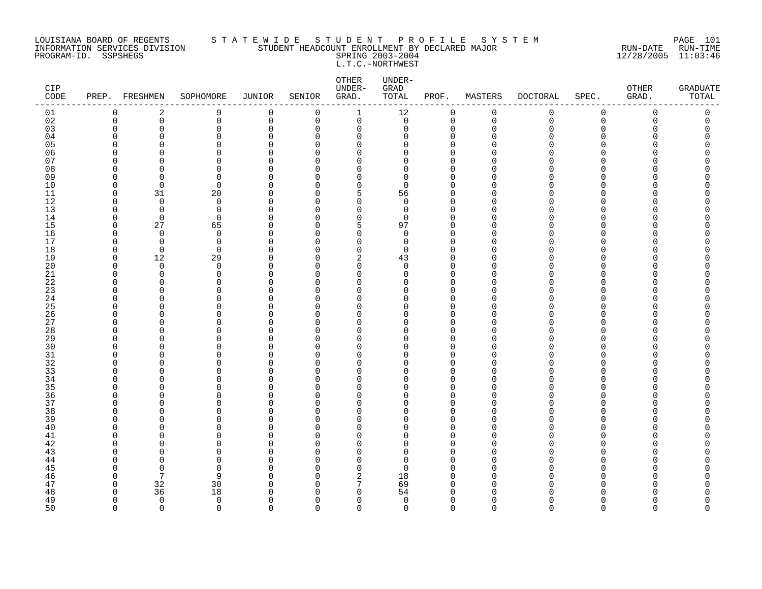#### LOUISIANA BOARD OF REGENTS S T A T E W I D E S T U D E N T P R O F I L E S Y S T E M PAGE 101 INFORMATION SERVICES DIVISION STUDENT HEADCOUNT ENROLLMENT BY DECLARED MAJOR RUN-DATE RUN-TIME PROGRAM-ID. SSPSHEGS SPRING 2003-2004 12/28/2005 11:03:46 L.T.C.-NORTHWEST

| CIP<br>CODE | PREP. FRESHMEN          |                            | SOPHOMORE               | <b>JUNIOR</b>           | SENIOR               | OTHER<br>UNDER-<br>GRAD. | UNDER-<br>GRAD<br>TOTAL | PROF.                      | MASTERS       | <b>DOCTORAL</b> | SPEC.         | OTHER<br>GRAD. | <b>GRADUATE</b><br>TOTAL |
|-------------|-------------------------|----------------------------|-------------------------|-------------------------|----------------------|--------------------------|-------------------------|----------------------------|---------------|-----------------|---------------|----------------|--------------------------|
| 01          | 0                       | 2                          | 9                       | 0                       | 0                    | 1                        | 12                      | 0                          | $\mathbf 0$   | 0               | $\mathsf 0$   | 0              | 0                        |
| 02          | $\mathbf 0$             | $\mathsf{O}$               | 0                       | $\mathbf 0$             | 0                    | 0                        | $\mathsf{O}$            | $\mathbf 0$                | $\mathbf 0$   | $\mathbf 0$     | $\mathsf 0$   | 0              | 0                        |
| 03<br>04    | $\Omega$<br>$\Omega$    | $\mathbf 0$<br>$\Omega$    | 0<br>0                  | $\mathbf 0$<br>$\Omega$ | 0<br>$\Omega$        | 0<br>0                   | 0<br>O                  | $\mathbf 0$<br>$\mathbf 0$ | $\Omega$      | U               | $\Omega$<br>∩ | Ω              | C                        |
| 05          | $\Omega$                | $\Omega$                   | 0                       | $\Omega$                | ∩                    | $\Omega$                 | O                       | $\Omega$                   |               |                 | ∩             |                | ∩                        |
| 06          | $\Omega$                | $\Omega$                   | 0                       | $\Omega$                | ∩                    | $\Omega$                 | O                       | $\Omega$                   |               |                 | ∩             |                |                          |
| 07          | ∩                       | $\cap$                     | 0                       | $\cap$                  | ∩                    | U                        | U                       | $\Omega$                   |               |                 | ∩             |                |                          |
| 08          | $\Omega$                | $\Omega$                   | $\Omega$                | $\Omega$                | $\Omega$             | $\Omega$                 | 0                       | $\mathbf 0$                |               |                 | $\Omega$      |                |                          |
| 09          | 0                       | 0                          | 0                       | $\Omega$                | O                    | 0                        | 0                       | 0                          | ∩             |                 | O             |                |                          |
| 10          | $\Omega$                | $\overline{0}$             | $\mathbf 0$             | $\Omega$                | ∩                    | $\Omega$                 | $\Omega$                | $\Omega$                   |               |                 | ∩             |                |                          |
| 11          | $\mathbf 0$             | 31                         | 20                      | $\Omega$                | $\Omega$             | 5                        | 56<br>$\Omega$          | $\mathbf 0$                | O             |                 | ∩<br>∩        |                |                          |
| 12<br>13    | $\Omega$<br>$\mathbf 0$ | $\Omega$<br>$\overline{0}$ | $\Omega$<br>$\mathbf 0$ | $\Omega$<br>$\mathbf 0$ | ∩<br>$\Omega$        | $\Omega$<br>$\mathbf 0$  | $\mathbf 0$             | $\Omega$<br>$\mathbf 0$    | ∩<br>O        |                 | $\Omega$      |                |                          |
| 14          | $\mathbf 0$             | $\overline{0}$             | $\mathbf 0$             | $\Omega$                | O                    | 0                        | 0                       | $\mathbf 0$                | ∩             |                 | ∩             |                |                          |
| 15          | $\Omega$                | 27                         | 65                      | $\Omega$                | $\Omega$             | 5                        | 97                      | $\Omega$                   |               |                 | ∩             |                |                          |
| 16          | $\Omega$                | $\overline{0}$             | $\mathbf 0$             | 0                       | $\Omega$             | 0                        | $\mathbf 0$             | $\mathbf 0$                | ∩             |                 | ∩             |                |                          |
| 17          | $\Omega$                | $\Omega$                   | $\mathbf 0$             | $\Omega$                | ∩                    | $\Omega$                 | $\Omega$                | $\Omega$                   | O             |                 | ∩             |                |                          |
| 18          | 0                       | $\overline{0}$             | $\mathbf 0$             | $\Omega$                | $\Omega$             | 0                        | 0                       | $\mathbf 0$                |               |                 | $\Omega$      |                |                          |
| 19          | $\mathbf 0$             | 12                         | 29                      | $\Omega$                | $\Omega$             | 2                        | 43                      | 0                          |               |                 | ∩             |                |                          |
| 20          | $\Omega$                | $\mathbf 0$                | 0                       | $\Omega$                | $\Omega$             | $\mathbf 0$              | $\Omega$                | $\mathbf 0$                |               |                 | ∩             |                |                          |
| 21          | $\Omega$<br>$\Omega$    | $\mathbf 0$                | 0                       | $\Omega$<br>$\Omega$    | $\Omega$<br>∩        | $\Omega$                 | $\Omega$<br>O           | $\Omega$                   | $\Omega$<br>O |                 | ∩<br>$\Omega$ |                |                          |
| 22<br>23    | $\Omega$                | $\Omega$<br>$\Omega$       | 0<br>0                  | $\cap$                  | ∩                    | $\Omega$<br>$\Omega$     | O                       | $\mathbf 0$<br>$\Omega$    | ∩             |                 | $\Omega$      |                |                          |
| 24          | $\Omega$                | $\Omega$                   | 0                       | 0                       | $\Omega$             | 0                        | 0                       | $\mathbf 0$                | O             |                 | $\Omega$      |                |                          |
| 25          | $\Omega$                | $\Omega$                   | 0                       | $\Omega$                | $\Omega$             | 0                        | O                       | $\mathbf 0$                |               |                 | ∩             |                |                          |
| 26          | $\Omega$                | $\Omega$                   | 0                       | $\Omega$                | $\Omega$             | $\Omega$                 | O                       | $\mathbf 0$                |               |                 | ∩             |                |                          |
| 27          | $\Omega$                | $\Omega$                   | 0                       | $\Omega$                | ∩                    | $\Omega$                 | O                       | $\mathbf 0$                | ∩             |                 | ∩             |                |                          |
| 28          | $\Omega$                | $\Omega$                   | 0                       | $\Omega$                | $\Omega$             | $\Omega$                 | O                       | $\Omega$                   |               |                 | $\Omega$      |                |                          |
| 29          | $\Omega$                | $\Omega$                   | 0                       | $\Omega$                | $\Omega$             | $\Omega$                 | 0                       | $\mathbf 0$                | O             |                 | $\Omega$      |                |                          |
| 30          | ∩                       | $\Omega$                   | O                       | $\Omega$                | O                    | O                        | O                       | $\Omega$                   | ∩             |                 | ∩             |                |                          |
| 31<br>32    | $\Omega$<br>$\Omega$    | $\Omega$<br>$\Omega$       | 0<br>$\Omega$           | $\Omega$<br>$\cap$      | $\Omega$<br>∩        | $\Omega$<br>$\Omega$     | O<br>O                  | $\mathbf 0$<br>$\Omega$    | ∩             |                 | $\Omega$<br>∩ |                |                          |
| 33          | $\Omega$                | $\Omega$                   | 0                       | $\Omega$                | $\Omega$             | $\Omega$                 | O                       | $\Omega$                   |               |                 | ∩             |                |                          |
| 34          | $\Omega$                | $\Omega$                   | $\Omega$                | $\mathbf 0$             | $\Omega$             | $\Omega$                 | O                       | $\Omega$                   | ∩             |                 | ∩             |                |                          |
| 35          | ∩                       | $\Omega$                   | 0                       | $\Omega$                | $\Omega$             | $\Omega$                 | O                       | $\Omega$                   |               |                 | ∩             |                |                          |
| 36          | 0                       | $\Omega$                   | 0                       | $\Omega$                | $\Omega$             | 0                        | 0                       | 0                          | ∩             |                 | $\Omega$      |                |                          |
| 37          | $\Omega$                | $\Omega$                   | 0                       | $\Omega$                | ∩                    | $\Omega$                 | O                       | $\mathbf 0$                | O             |                 | ∩             |                |                          |
| 38          | $\Omega$                | $\Omega$                   | $\Omega$                | $\Omega$                | ∩                    | $\Omega$                 | O                       | $\mathbf 0$                |               |                 | ∩             |                |                          |
| 39          | ∩                       | $\Omega$                   | $\Omega$                | $\cap$                  | ∩                    | $\Omega$                 | O                       | $\Omega$                   | ∩             |                 | ∩             |                |                          |
| 40          | $\Omega$                | $\Omega$                   | 0                       | $\Omega$                | $\Omega$             | $\mathbf 0$              | O                       | $\mathbf 0$                | ∩             |                 | $\Omega$      |                |                          |
| 41<br>42    | $\Omega$<br>$\Omega$    | $\Omega$<br>$\Omega$       | 0<br>0                  | 0<br>$\Omega$           | $\Omega$<br>$\Omega$ | 0<br>0                   | 0<br>0                  | $\mathbf 0$<br>$\mathbf 0$ |               |                 | $\Omega$<br>∩ |                |                          |
| 43          | ∩                       | $\Omega$                   | 0                       | $\cap$                  | ∩                    | $\Omega$                 | 0                       | $\Omega$                   |               |                 | ∩             |                |                          |
| 44          | ∩                       | $\Omega$                   | $\Omega$                | $\cap$                  | $\Omega$             | $\Omega$                 | $\Omega$                | $\Omega$                   |               |                 | ∩             |                |                          |
| 45          | $\Omega$                | $\mathbf 0$                | $\Omega$                | $\Omega$                | $\Omega$             | 0                        | 0                       | $\mathbf 0$                | ∩             |                 | $\Omega$      |                |                          |
| 46          | $\Omega$                | 7                          | 9                       | $\Omega$                | ∩                    | 2                        | 18                      | $\mathbf 0$                |               |                 | ∩             |                |                          |
| 47          | $\mathbf 0$             | 32                         | 30                      | $\Omega$                | $\Omega$             | 7                        | 69                      | 0                          | ∩             |                 | ∩             |                |                          |
| 48          | $\Omega$                | 36                         | 18                      | ∩                       | ∩                    | 0                        | 54                      | $\Omega$                   |               |                 |               |                |                          |
| 49          | $\mathbf 0$             | $\overline{0}$             | $\mathbf 0$             | $\Omega$                | $\Omega$             | 0                        | $\mathbf 0$             | $\mathbf 0$                | $\Omega$      |                 | $\Omega$      |                | O                        |
| 50          | $\Omega$                | $\Omega$                   | $\Omega$                | $\Omega$                | $\Omega$             | $\Omega$                 | $\Omega$                | $\Omega$                   | $\cap$        | $\Omega$        | $\Omega$      | $\Omega$       | $\Omega$                 |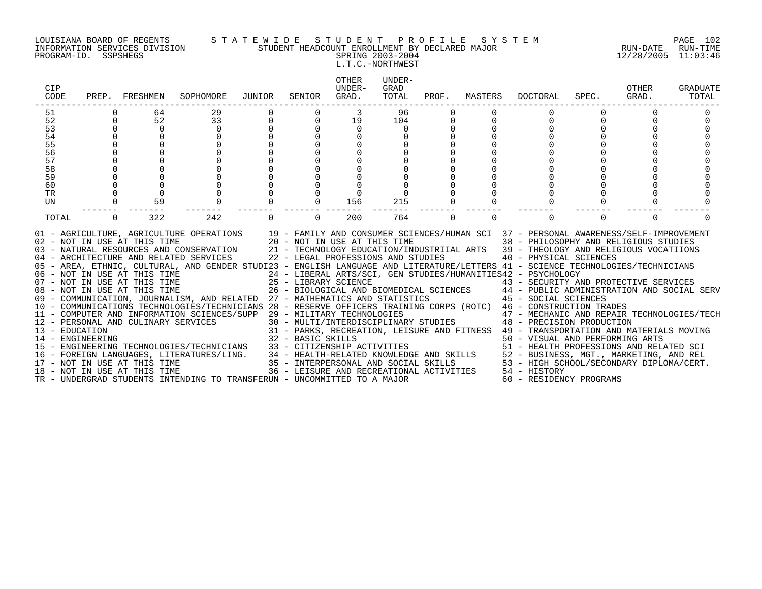PROGRAM-ID. SSPSHEGS SPRING 2003-2004 12/28/2005 11:03:46

#### LOUISIANA BOARD OF REGENTS S T A T E W I D E S T U D E N T P R O F I L E S Y S T E M PAGE 102 INFORMATION SERVICES DIVISION STUDENT HEADCOUNT ENROLLMENT BY DECLARED MAJOR RUN-DATE RUN-TIME

L.T.C.-NORTHWEST

| CIP<br>CODE      |             | PREP. FRESHMEN               | SOPHOMORE                                                                                                                                                                                                                                                                                                                                                                                                                                                                                                                                                                                                                                                                                                                                                                                                                                                                                                                                                                                                       | JUNIOR            | SENIOR   | OTHER<br>UNDER-<br>GRAD. | UNDER-<br>GRAD<br>TOTAL |          | PROF. MASTERS | DOCTORAL                                                                                                                                                                                                                                                                                                                                                                  | SPEC.    | OTHER<br>GRAD. | <b>GRADUATE</b><br>TOTAL |
|------------------|-------------|------------------------------|-----------------------------------------------------------------------------------------------------------------------------------------------------------------------------------------------------------------------------------------------------------------------------------------------------------------------------------------------------------------------------------------------------------------------------------------------------------------------------------------------------------------------------------------------------------------------------------------------------------------------------------------------------------------------------------------------------------------------------------------------------------------------------------------------------------------------------------------------------------------------------------------------------------------------------------------------------------------------------------------------------------------|-------------------|----------|--------------------------|-------------------------|----------|---------------|---------------------------------------------------------------------------------------------------------------------------------------------------------------------------------------------------------------------------------------------------------------------------------------------------------------------------------------------------------------------------|----------|----------------|--------------------------|
| 51               |             | 64                           | 29                                                                                                                                                                                                                                                                                                                                                                                                                                                                                                                                                                                                                                                                                                                                                                                                                                                                                                                                                                                                              |                   |          |                          | 96                      |          |               |                                                                                                                                                                                                                                                                                                                                                                           |          |                |                          |
| 52               | $\mathbf 0$ | 52                           | 33                                                                                                                                                                                                                                                                                                                                                                                                                                                                                                                                                                                                                                                                                                                                                                                                                                                                                                                                                                                                              | $\mathsf 0$       |          | 19                       | 104                     |          |               | $\Omega$                                                                                                                                                                                                                                                                                                                                                                  |          |                |                          |
| 53               |             | $\mathbf 0$                  | 0                                                                                                                                                                                                                                                                                                                                                                                                                                                                                                                                                                                                                                                                                                                                                                                                                                                                                                                                                                                                               |                   |          | 0                        | 0                       |          |               |                                                                                                                                                                                                                                                                                                                                                                           |          |                |                          |
| 54               |             |                              |                                                                                                                                                                                                                                                                                                                                                                                                                                                                                                                                                                                                                                                                                                                                                                                                                                                                                                                                                                                                                 |                   |          |                          |                         |          |               |                                                                                                                                                                                                                                                                                                                                                                           |          |                |                          |
| 55               |             |                              |                                                                                                                                                                                                                                                                                                                                                                                                                                                                                                                                                                                                                                                                                                                                                                                                                                                                                                                                                                                                                 |                   |          |                          |                         |          |               |                                                                                                                                                                                                                                                                                                                                                                           |          |                |                          |
| 56               |             |                              |                                                                                                                                                                                                                                                                                                                                                                                                                                                                                                                                                                                                                                                                                                                                                                                                                                                                                                                                                                                                                 |                   |          |                          |                         |          |               |                                                                                                                                                                                                                                                                                                                                                                           |          |                |                          |
| 57               |             |                              |                                                                                                                                                                                                                                                                                                                                                                                                                                                                                                                                                                                                                                                                                                                                                                                                                                                                                                                                                                                                                 |                   |          |                          |                         |          |               |                                                                                                                                                                                                                                                                                                                                                                           |          |                |                          |
| 58               |             |                              |                                                                                                                                                                                                                                                                                                                                                                                                                                                                                                                                                                                                                                                                                                                                                                                                                                                                                                                                                                                                                 |                   |          |                          |                         |          |               |                                                                                                                                                                                                                                                                                                                                                                           |          |                |                          |
| 59               |             |                              |                                                                                                                                                                                                                                                                                                                                                                                                                                                                                                                                                                                                                                                                                                                                                                                                                                                                                                                                                                                                                 |                   |          |                          |                         |          |               |                                                                                                                                                                                                                                                                                                                                                                           |          |                |                          |
| 60               |             |                              |                                                                                                                                                                                                                                                                                                                                                                                                                                                                                                                                                                                                                                                                                                                                                                                                                                                                                                                                                                                                                 |                   |          |                          |                         |          |               |                                                                                                                                                                                                                                                                                                                                                                           |          |                |                          |
| <b>TR</b><br>UN  |             | 59                           |                                                                                                                                                                                                                                                                                                                                                                                                                                                                                                                                                                                                                                                                                                                                                                                                                                                                                                                                                                                                                 |                   |          | 156                      | 215                     |          |               |                                                                                                                                                                                                                                                                                                                                                                           |          |                |                          |
|                  |             |                              |                                                                                                                                                                                                                                                                                                                                                                                                                                                                                                                                                                                                                                                                                                                                                                                                                                                                                                                                                                                                                 |                   |          |                          |                         |          |               |                                                                                                                                                                                                                                                                                                                                                                           |          |                |                          |
| TOTAL            | $\Omega$    | 322                          | 242                                                                                                                                                                                                                                                                                                                                                                                                                                                                                                                                                                                                                                                                                                                                                                                                                                                                                                                                                                                                             | $\Omega$          | $\Omega$ | 200                      | 764                     | $\Omega$ | $\Omega$      | $\Omega$                                                                                                                                                                                                                                                                                                                                                                  | $\Omega$ | $\Omega$       |                          |
| 14 - ENGINEERING |             | 18 - NOT IN USE AT THIS TIME | 01 - AGRICULTURE, AGRICULTURE OPERATIONS<br>02 - NOT IN USE AT THIS TIME 20 - NOT IN USE AT THIS TIME 38 - PHILOSOPHY AND RELIGIOUS STUDIES<br>03 - NATURAL RESOURCES AND CONSERVATION 21 - TECHNOLOGY EDUCATION/INDUSTRIIAL ARTS<br>05 - AREA, ETHNIC, CULTURAL, AND GENDER STUDI23 - ENGLISH LANGUAGE AND LITERATURE/LETTERS 41 - SCIENCE TECHNOLOGIES/TECHNICIANS<br>06 - NOT IN USE AT THIS TIME<br>07 - NOT IN USE AT THIS TIME<br>08 - NOT IN USE AT THIS TIME<br>08 - NOT IN USE AT THIS TIME<br>26 - BIOLOGICAL AND P<br>09 - COMMUNICATION, JOURNALISM, AND RELATED 27 - MATHEMATICS AND STATISTICS<br>10 - COMMUNICATIONS TECHNOLOGIES/TECHNICIANS 28 - RESERVE OFFICERS TRAINING CORPS (ROTC) 46 - CONSTRUCTION TRADES<br>11 - COMPUTER AND INFORMATION SCIENCES/SUPP 29 - MILITARY TECHNOLOGIES<br>12 - PERSONAL AND CULINARY SERVICES 30 - MULTI/INTERDISCIPLINARY STUDIES 48 - PRECISION PRODUCTION<br>13 - EDUCATION<br>TR - UNDERGRAD STUDENTS INTENDING TO TRANSFERUN - UNCOMMITTED TO A MAJOR | 32 - BASIC SKILLS |          |                          |                         |          |               | 24 - LIBERAL ARTS/SCI, GEN STUDIES/HUMANITIES42 - PSYCHOLOGY<br>25 - LIBRARY SCIENCE († 1888)<br>26 - BIOLOGICAL AND BIOMEDICAL SCIENCES († 1888)<br>27 - MATHEMATICS AND STATISTICS († 1888)<br>27 - MATHEMATICS AND STATISTICS († 1888) († 1898)<br>50 - VISUAL AND PERFORMING ARTS<br>36 - LEISURE AND RECREATIONAL ACTIVITIES 54 - HISTORY<br>60 - RESIDENCY PROGRAMS |          |                |                          |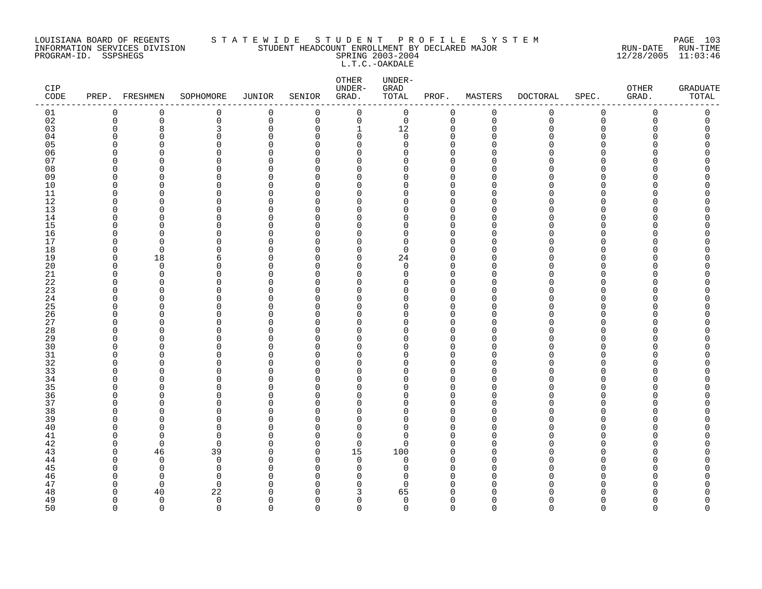#### LOUISIANA BOARD OF REGENTS S T A T E W I D E S T U D E N T P R O F I L E S Y S T E M PAGE 103 INFORMATION SERVICES DIVISION STUDENT HEADCOUNT ENROLLMENT BY DECLARED MAJOR RUN-DATE RUN-TIME PROGRAM-ID. SSPSHEGS SPRING 2003-2004 12/28/2005 11:03:46 L.T.C.-OAKDALE

| CIP<br>$\texttt{CODE}$ | PREP. FRESHMEN       |                      | SOPHOMORE         | JUNIOR               | SENIOR         | OTHER<br>UNDER-<br>GRAD. | UNDER-<br>GRAD<br>TOTAL | PROF.                   | MASTERS       | <b>DOCTORAL</b> | SPEC.         | OTHER<br>GRAD. | <b>GRADUATE</b><br>TOTAL |
|------------------------|----------------------|----------------------|-------------------|----------------------|----------------|--------------------------|-------------------------|-------------------------|---------------|-----------------|---------------|----------------|--------------------------|
| 01                     | 0                    | 0                    | 0                 | $\mathbf 0$          | 0              | 0                        | $\mathsf{O}$            | 0                       | $\mathbf 0$   | 0               | $\mathsf 0$   | 0              | 0                        |
| 02                     | $\mathbf 0$          | $\mathbf 0$          | 0                 | $\mathbf 0$          | $\overline{0}$ | $\mathbf 0$              | $\mathbf 0$             | $\mathbf 0$             | $\mathbf 0$   | $\mathbf 0$     | $\Omega$      | $\Omega$       | 0                        |
| 03                     | $\Omega$             | 8                    | 3                 | $\mathbf 0$          | $\Omega$       | 1                        | 12                      | $\mathbf 0$             | $\Omega$      | Λ               | $\Omega$      |                | C                        |
| 04                     | $\Omega$             | 0                    | 0                 | $\Omega$             | $\Omega$       | 0                        | $\mathbf 0$             | 0                       | ∩             |                 | ∩             |                | O                        |
| 05                     | $\Omega$             | $\Omega$             | 0                 | $\Omega$             | $\Omega$       | $\mathbf 0$              | 0                       | $\Omega$                |               |                 | ∩             |                | Λ                        |
| 06                     | $\Omega$<br>$\Omega$ | $\Omega$             | 0<br>0            | $\Omega$<br>$\cap$   | $\Omega$<br>∩  | $\mathbf 0$              | 0<br>U                  | $\mathbf 0$             |               |                 | ∩<br>∩        |                | C                        |
| 07                     | $\Omega$             | $\Omega$<br>$\Omega$ | $\Omega$          | $\Omega$             | $\Omega$       | $\Omega$<br>$\Omega$     | O                       | $\Omega$<br>$\Omega$    | ∩             |                 | $\Omega$      |                |                          |
| 08<br>09               | 0                    | $\Omega$             | 0                 | $\Omega$             | O              | 0                        | 0                       | $\mathbf 0$             |               |                 | ∩             |                |                          |
| 10                     | $\Omega$             | $\Omega$             | 0                 | $\Omega$             | ∩              | $\Omega$                 | 0                       | $\mathbf 0$             |               |                 | ∩             |                |                          |
| 11                     | 0                    | 0                    | 0                 | $\Omega$             | $\Omega$       | 0                        | 0                       | $\mathbf 0$             | ∩             |                 | ∩             |                | ∩                        |
| 12                     | $\Omega$             | $\Omega$             | 0                 | $\Omega$             | ∩              | $\Omega$                 | O                       | $\Omega$                | $\Omega$      |                 | ∩             |                |                          |
| 13                     | $\Omega$             | $\Omega$             | 0                 | $\Omega$             | ∩              | $\Omega$                 | 0                       | $\mathbf 0$             | $\Omega$      |                 | $\Omega$      |                |                          |
| 14                     | $\Omega$             | $\Omega$             | 0                 | $\Omega$             | ∩              | $\Omega$                 | $\Omega$                | $\Omega$                | $\Omega$      |                 | $\Omega$      |                |                          |
| 15                     | $\Omega$             | $\Omega$             | 0                 | $\Omega$             | $\Omega$       | 0                        | 0                       | $\mathbf 0$             | ∩             |                 | ∩             |                | Ω                        |
| 16                     | $\Omega$             | 0                    | 0                 | $\Omega$             | O              | $\Omega$                 | 0                       | $\mathbf 0$             | ∩             |                 | ∩             |                | ∩                        |
| 17                     | $\Omega$             | $\Omega$             | 0                 | $\Omega$             | $\Omega$       | 0                        | $\Omega$                | $\mathbf 0$             | $\Omega$      |                 | $\Omega$      |                |                          |
| 18                     | $\mathbf 0$          | $\mathbf 0$          | 0                 | $\Omega$             | $\Omega$       | $\mathbf 0$              | 0                       | $\Omega$                | ∩             |                 | $\Omega$      |                | ∩                        |
| 19                     | $\Omega$             | 18                   | 6                 | $\Omega$             | ∩              | $\mathbf 0$              | 24                      | $\mathbf 0$             |               |                 | $\Omega$      |                |                          |
| 20                     | $\Omega$             | $\overline{0}$       | $\Omega$          | $\cap$               | ∩              | $\Omega$                 | $\Omega$                | $\Omega$                | ∩             |                 | ∩             |                | ∩                        |
| 21                     | $\Omega$             | $\mathbf 0$          | 0                 | $\Omega$             | $\Omega$       | $\Omega$                 | $\Omega$                | $\Omega$                | ∩             |                 | ∩             |                |                          |
| 22                     | 0                    | 0                    | 0                 | $\Omega$             | ∩              | 0                        | 0                       | 0                       | ∩             |                 | O             |                |                          |
| 23                     | $\Omega$             | $\Omega$             | 0                 | $\Omega$             | ∩              | $\Omega$                 | 0                       | $\Omega$                | O             |                 | ∩             |                |                          |
| 24                     | $\Omega$             | $\Omega$             | 0                 | $\Omega$             | $\Omega$       | 0                        | U                       | $\mathbf 0$             | O             |                 | ∩             |                | ∩                        |
| 25                     | ∩                    | $\Omega$             | $\Omega$          | $\cap$               | ∩<br>$\Omega$  | O                        | O                       | $\Omega$                |               |                 | ∩<br>$\Omega$ |                |                          |
| 26<br>27               | $\Omega$<br>$\Omega$ | $\Omega$<br>$\Omega$ | 0<br>0            | $\Omega$<br>$\Omega$ | O              | $\Omega$                 | O<br>0                  | $\Omega$<br>$\mathbf 0$ | $\Omega$<br>∩ |                 | ∩             |                |                          |
|                        | $\Omega$             | $\Omega$             | 0                 | $\Omega$             | $\Omega$       | 0<br>$\Omega$            | O                       | $\mathbf 0$             |               |                 | ∩             |                |                          |
| 28<br>29               | $\Omega$             | $\Omega$             | 0                 | $\Omega$             | $\Omega$       | 0                        | 0                       | $\mathbf 0$             | ∩             |                 | ∩             |                |                          |
| 30                     | ∩                    | $\Omega$             | $\Omega$          | $\cap$               | ∩              | U                        | O                       | $\Omega$                | ∩             |                 | ∩             |                |                          |
| 31                     | $\Omega$             | $\Omega$             | 0                 | $\Omega$             | $\Omega$       | $\Omega$                 | O                       | $\mathbf 0$             | $\Omega$      |                 | $\Omega$      |                | ∩                        |
| 32                     | $\Omega$             | $\Omega$             | 0                 | $\cap$               | ∩              | $\Omega$                 | 0                       | $\Omega$                | ∩             |                 | $\Omega$      |                |                          |
| 33                     | $\Omega$             | $\Omega$             | 0                 | $\Omega$             | $\Omega$       | 0                        | O                       | $\mathbf 0$             | O             |                 | ∩             |                | Ω                        |
| 34                     | $\Omega$             | 0                    | O                 | $\Omega$             | $\Omega$       | $\Omega$                 | O                       | $\mathbf 0$             | ∩             |                 | ∩             |                |                          |
| 35                     | ∩                    | $\Omega$             | 0                 | $\Omega$             | $\Omega$       | $\Omega$                 | O                       | $\Omega$                | $\Omega$      |                 | ∩             |                |                          |
| 36                     | $\Omega$             | $\Omega$             | 0                 | $\Omega$             | $\Omega$       | 0                        | 0                       | $\mathbf 0$             | $\Omega$      |                 | $\Omega$      |                | ∩                        |
| 37                     | $\Omega$             | $\Omega$             | 0                 | $\Omega$             | ∩              | $\Omega$                 | $\Omega$                | $\mathbf 0$             | $\Omega$      |                 | $\Omega$      |                |                          |
| 38                     | $\Omega$             | $\Omega$             | $\Omega$          | $\cap$               | n              | $\Omega$                 | O                       | $\Omega$                |               |                 | ∩             |                | ∩                        |
| 39                     | $\Omega$             | $\Omega$             | 0                 | $\Omega$             | $\Omega$       | 0                        | $\Omega$                | $\mathbf 0$             | ∩             |                 | O             |                |                          |
| 40                     | $\Omega$             | $\Omega$             | 0                 | $\Omega$             | $\Omega$       | 0                        | O                       | $\mathbf 0$             | O             |                 | $\Omega$      |                |                          |
| 41                     | $\Omega$             | $\mathbf 0$          | 0                 | $\Omega$             | $\Omega$       | $\mathbf 0$              | 0                       | $\mathbf{0}$            | ∩             |                 | ∩             |                |                          |
| 42                     | $\Omega$             | $\mathbf 0$          | 0                 | $\Omega$             | $\Omega$       | $\mathbf 0$              | 0                       | $\mathbf 0$             | O             |                 | ∩             |                | Λ                        |
| 43                     | $\Omega$             | 46                   | 39                | $\Omega$             | $\Omega$       | 15                       | 100                     | $\Omega$                | ∩             |                 | ∩             |                |                          |
| 44                     | $\Omega$             | $\Omega$             | $\mathbf 0$       | $\Omega$             | $\Omega$       | $\Omega$                 | $\Omega$                | $\Omega$                | $\Omega$      |                 | ∩             |                |                          |
| 45                     | 0                    | 0                    | 0                 | $\Omega$             | O              | 0                        | 0                       | $\mathbf 0$             | ∩             |                 | O             |                |                          |
| 46                     | $\Omega$             | $\mathbf 0$          | 0                 | $\Omega$             | U              | $\Omega$                 | $\Omega$                | $\Omega$                | $\Omega$<br>∩ |                 | ∩<br>∩        |                |                          |
| 47<br>48               | 0<br>$\Omega$        | $\overline{0}$<br>40 | $\mathbf 0$<br>22 | $\Omega$<br>∩        | O<br>U         | 0                        | $\Omega$<br>65          | $\Omega$<br>$\Omega$    |               |                 |               |                | ∩                        |
| 49                     | $\mathbf 0$          | $\overline{0}$       | $\mathbf 0$       | $\Omega$             | $\Omega$       | 3<br>0                   | 0                       | $\mathbf 0$             | $\Omega$      |                 | $\Omega$      | Λ              | 0                        |
| 50                     | $\Omega$             | $\Omega$             | $\Omega$          | $\Omega$             | $\Omega$       | $\Omega$                 | $\Omega$                | $\Omega$                | $\cap$        | $\Omega$        | $\Omega$      | $\Omega$       | $\Omega$                 |
|                        |                      |                      |                   |                      |                |                          |                         |                         |               |                 |               |                |                          |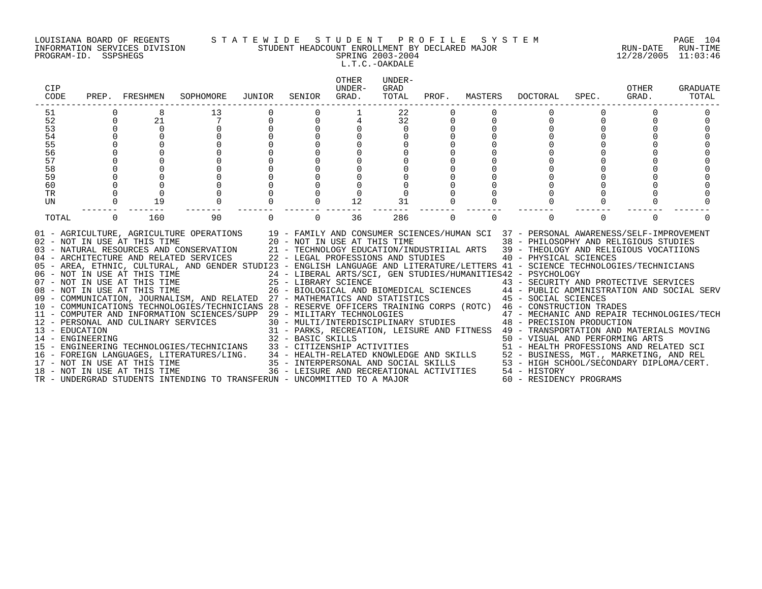#### LOUISIANA BOARD OF REGENTS S T A T E W I D E S T U D E N T P R O F I L E S Y S T E M PAGE 104 INFORMATION SERVICES DIVISION STUDENT HEADCOUNT ENROLLMENT BY DECLARED MAJOR RUN-DATE RUN-TIME PROGRAM-ID. SSPSHEGS SPRING 2003-2004 12/28/2005 11:03:46

## L.T.C.-OAKDALE

| CIP<br>CODE                                                                                                                                                                                                                                                                                                                                                                                                                                                                                                                                                                                                                                                                                                                                                                                                                                                                                                                                                                         | PREP. FRESHMEN       |                                              | SOPHOMORE                          | JUNIOR | SENIOR                        | OTHER<br>UNDER-<br>GRAD.                                                                                        | UNDER-<br>GRAD<br>TOTAL    | PROF.    | MASTERS  | DOCTORAL                                                                                                                                                                                                                                                                                                                                                                                                                                                                                                                                                                                                                                                                                                                                                                                                                        | SPEC.    | OTHER<br>GRAD. | <b>GRADUATE</b><br>TOTAL |
|-------------------------------------------------------------------------------------------------------------------------------------------------------------------------------------------------------------------------------------------------------------------------------------------------------------------------------------------------------------------------------------------------------------------------------------------------------------------------------------------------------------------------------------------------------------------------------------------------------------------------------------------------------------------------------------------------------------------------------------------------------------------------------------------------------------------------------------------------------------------------------------------------------------------------------------------------------------------------------------|----------------------|----------------------------------------------|------------------------------------|--------|-------------------------------|-----------------------------------------------------------------------------------------------------------------|----------------------------|----------|----------|---------------------------------------------------------------------------------------------------------------------------------------------------------------------------------------------------------------------------------------------------------------------------------------------------------------------------------------------------------------------------------------------------------------------------------------------------------------------------------------------------------------------------------------------------------------------------------------------------------------------------------------------------------------------------------------------------------------------------------------------------------------------------------------------------------------------------------|----------|----------------|--------------------------|
| 51<br>52<br>53<br>54<br>55<br>56<br>57<br>58<br>59<br>60<br>TR<br>UN                                                                                                                                                                                                                                                                                                                                                                                                                                                                                                                                                                                                                                                                                                                                                                                                                                                                                                                | $\Omega$<br>$\Omega$ | 21<br>$\Omega$<br>$\Omega$<br>$\Omega$<br>19 | 13                                 |        |                               | 12                                                                                                              | 22<br>32<br>$\Omega$<br>31 |          |          |                                                                                                                                                                                                                                                                                                                                                                                                                                                                                                                                                                                                                                                                                                                                                                                                                                 |          |                |                          |
| TOTAL<br>01 - AGRICULTURE, AGRICULTURE OPERATIONS 19 - FAMILY AND CONSUMER SCIENCES/HUMAN SCI 37 - PERSONAL AWARENESS/SELF-IMPROVEMENT<br>02 - NOT IN USE AT THIS TIME<br>03 - NATURAL RESOURCES AND CONSERVATION<br>04 - ARCHITECTURE AND RELATED SERVICES<br>05 - AREA, ETHNIC, CULTURAL, AND GENDER STUDI23 - ENGLISH LANGUAGE AND LITERATURE/LETTERS 41 - SCIENCE TECHNOLOGIES/TECHNICIANS<br>06 - NOT IN USE AT THIS TIME<br>07 - NOT IN USE AT THIS TIME<br>08 - NOT IN USE AT THIS TIME<br>09 - COMMUNICATION, JOURNALISM, AND RELATED 27 - MATHEMATICS AND STATISTICS<br>10 - COMMUNICATIONS TECHNOLOGIES/TECHNICIANS 28 - RESERVE OFFICERS TRAINING CORPS (ROTC) 46 - CONSTRUCTION TRADES<br>11 - COMPUTER AND INFORMATION SCIENCES/SUPP 29 - MILITARY TECHNOLOGIES<br>12 - PERSONAL AND CULINARY SERVICES<br>13 - EDUCATION<br>14 - ENGINEERING<br>15 - ENGINEERING TECHNOLOGIES/TECHNICIANS<br>16 - FOREIGN LANGUAGES, LITERATURES/LING.<br>17 - NOT IN USE AT THIS TIME | $\Omega$             | 160                                          | 90<br>20 - NOT IN USE AT THIS TIME |        | $\Omega$<br>32 - BASIC SKILLS | 36<br>22 - LEGAL PROFESSIONS AND STUDIES<br>33 - CITIZENSHIP ACTIVITIES<br>35 - INTERPERSONAL AND SOCIAL SKILLS | 286                        | $\Omega$ | $\Omega$ | $\Omega$<br>38 - PHILOSOPHY AND RELIGIOUS STUDIES<br>21 - TECHNOLOGY EDUCATION/INDUSTRIIAL ARTS 39 - THEOLOGY AND RELIGIOUS VOCATIIONS<br>40 - PHYSICAL SCIENCES<br>24 - LIBERAL ARTS/SCI, GEN STUDIES/HUMANITIES42 - PSYCHOLOGY<br>25 - LIBRARY SCIENCE<br>26 - BIOLOGICAL AND BIOMEDICAL SCIENCES<br>27 - MATHEMATICS AND STATISTICS (27 - ANTHEMATICS AND SOCIAL SERV<br>29 - MILITARY TECHNOLOGIES<br>30 - MULTI/INTERDISCIPLINARY STUDIES<br>48 - PRECISION PRODUCTION<br>47 - MECHANIC AND REPAIR TECHNOLOGIES/TECH<br>31 - PARKS, RECREATION, LEISURE AND FITNESS 49 - TRANSPORTATION AND MATERIALS MOVING<br>50 - VISUAL AND PERFORMING ARTS<br>51 - HEALTH PROFESSIONS AND RELATED SCI<br>34 - HEALTH-RELATED KNOWLEDGE AND SKILLS 52 - BUSINESS, MGT., MARKETING, AND REL<br>53 - HIGH SCHOOL/SECONDARY DIPLOMA/CERT. | $\Omega$ | $\Omega$       |                          |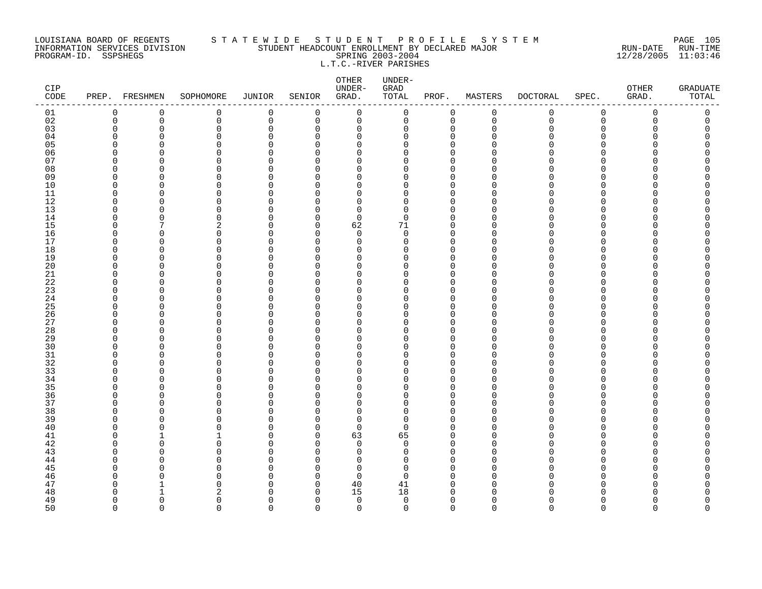#### LOUISIANA BOARD OF REGENTS S T A T E W I D E S T U D E N T P R O F I L E S Y S T E M PAGE 105 INFORMATION SERVICES DIVISION STUDENT HEADCOUNT ENROLLMENT BY DECLARED MAJOR RUN-DATE RUN-TIME PROGRAM-ID. SSPSHEGS SPRING 2003-2004 12/28/2005 11:03:46 L.T.C.-RIVER PARISHES

| $\mathbf 0$<br>$\mathbf 0$<br>$\mathbf 0$<br>$\mathbf 0$<br>$\mathbf 0$<br>$\mathsf{O}$<br>$\mathsf{O}$<br>$\mathbf 0$<br>$\mathbf 0$<br>01<br>0<br>0<br>$\mathbf 0$<br>02<br>$\mathbf 0$<br>$\mathbf 0$<br>$\mathbf 0$<br>$\Omega$<br>$\mathbf 0$<br>$\mathbf 0$<br>$\mathbf 0$<br>$\mathbf 0$<br>$\mathsf{O}$<br>$\overline{0}$<br>$\Omega$<br>$\Omega$<br>03<br>$\overline{0}$<br>$\Omega$<br>$\Omega$<br>$\mathbf 0$<br>$\Omega$<br>$\Omega$<br>0<br>$\mathbf 0$<br>$\Omega$<br>$\Omega$<br>$\Omega$<br>04<br>$\Omega$<br>0<br>0<br>U<br>U<br>$\Omega$<br>∩<br>U<br>∩<br>O<br>n<br>05<br>$\mathbf 0$<br>$\Omega$<br>$\Omega$<br>U<br>n<br>$\cap$<br>C<br>U<br>06<br>0<br>$\Omega$<br>0<br>$\Omega$<br>∩<br>O<br>∩<br>∩<br>Λ<br>∩<br>n<br>07<br>$\mathbf 0$<br><sup>n</sup><br>$\Omega$<br>$\cap$<br>∩<br>U<br>∩<br>U<br>O<br>08<br>$\mathbf 0$<br>$\mathbf 0$<br>$\Omega$<br>U<br>Ω<br>$\cap$<br>O<br>U<br>∩<br>∩<br>∩<br>09<br>$\Omega$<br>$\mathbf 0$<br>$\Omega$<br>$\cap$<br>∩<br>U<br>U<br>∩<br>U<br>∩<br>10<br>$\Omega$<br>$\Omega$<br>$\Omega$<br>0<br>$\mathbf 0$<br>$\Omega$<br>$\Omega$<br>$\Omega$<br>$\Omega$<br>U<br>$\Omega$<br>11<br>0<br>0<br>$\Omega$<br>∩<br><sup>0</sup><br>U<br>n<br>∩<br>U<br>∩<br>n<br>12<br>$\Omega$<br>0<br>0<br>$\Omega$<br>O<br>O<br>O<br>U<br>Λ<br><sup>0</sup><br>O<br>13<br>0<br>$\mathbf 0$<br>$\Omega$<br>0<br>$\Omega$<br>$\Omega$<br>∩<br>∩<br>U<br>∩<br>n<br>14<br>$\Omega$<br>0<br>$\Omega$<br>$\Omega$<br><sup>n</sup><br>$\Omega$<br>U<br>$\Omega$<br>∩<br>U<br>15<br>62<br>71<br>∩<br>2<br>U<br><sup>n</sup><br>$\cap$<br>O<br>Λ<br>∩<br>16<br>$\mathbf 0$<br>$\Omega$<br>$\Omega$<br>$\Omega$<br>$\Omega$<br>$\Omega$<br>U<br>$\Omega$<br>∩<br>∩<br>U<br>17<br>0<br>$\mathbf 0$<br>$\Omega$<br>0<br>0<br><sup>n</sup><br>$\Omega$<br>U<br>∩<br>O<br><sup>0</sup><br>18<br>$\mathbf 0$<br>$\Omega$<br>0<br>$\Omega$<br>∩<br>U<br>∩<br>C<br>Λ<br>∩<br>n<br>19<br>$\Omega$<br>0<br>0<br>$\Omega$<br>O<br>$\Omega$<br>∩<br>O<br>O<br>Λ<br>U<br>20<br>$\mathbf 0$<br>0<br>$\cap$<br>$\Omega$<br>∩<br>∩<br>∩<br>U<br>Λ<br>U<br>∩<br>21<br>$\mathbf 0$<br>$\Omega$<br>$\Omega$<br>O<br>$\Omega$<br>U<br>n<br>$\Omega$<br>$\Omega$<br>U<br>$2\sqrt{2}$<br>$\mathbf 0$<br>$\mathbf 0$<br>$\Omega$<br>$\Omega$<br>$\Omega$<br>U<br>∩<br>U<br>∩<br>∩<br>n<br>23<br>$\mathbf 0$<br>$\Omega$<br>$\Omega$<br>$\cap$<br>$\Omega$<br>O<br>∩<br>U<br>∩<br>U<br>$\Omega$<br>24<br>$\Omega$<br>0<br>0<br>$\Omega$<br>$\Omega$<br>O<br>O<br>Λ<br>U<br><sup>0</sup><br>O<br>25<br>$\mathbf 0$<br>$\Omega$<br>$\cap$<br>∩<br>∩<br>U<br>Λ<br>∩<br>Λ<br>∩<br>n<br>26<br>$\mathbf 0$<br>$\Omega$<br>0<br>$\Omega$<br>$\Omega$<br>$\Omega$<br>O<br>O<br>O<br>Λ<br>U<br>27<br>$\Omega$<br>$\mathbf 0$<br>$\Omega$<br>$\cap$<br>$\Omega$<br>$\Omega$<br>∩<br>∩<br>U<br>∩<br>U<br>28<br>$\mathbf 0$<br>$\Omega$<br>$\Omega$<br>O<br>$\Omega$<br>U<br>n<br>O<br>U<br>$\Omega$<br>29<br>0<br>$\mathbf 0$<br>$\Omega$<br>U<br>U<br>$\Omega$<br>$\Omega$<br>U<br>$\cap$<br>∩<br>∩<br>30<br>$\mathbf 0$<br>$\Omega$<br>$\cap$<br>$\cap$<br>$\Omega$<br>Λ<br>Λ<br>∩<br>U<br>∩<br>31<br>0<br>0<br>$\Omega$<br>O<br>0<br>O<br>∩<br><sup>0</sup><br>U<br><sup>0</sup><br>O<br>32<br>0<br>$\mathbf 0$<br>$\Omega$<br>$\Omega$<br>$\Omega$<br>∩<br>∩<br>U<br><sup>0</sup><br>33<br>$\mathbf 0$<br>$\Omega$<br>$\Omega$<br>U<br>Λ<br>$\cap$<br>$\Omega$<br>Ω<br>∩<br>O<br><sup>0</sup><br>34<br>$\mathbf 0$<br>$\Omega$<br>$\Omega$<br>U<br>$\Omega$<br>$\Omega$<br>$\Omega$<br>∩<br>∩<br>U<br>∩<br>35<br>$\mathbf 0$<br>$\Omega$<br>$\Omega$<br>U<br>$\cap$<br>$\Omega$<br>Ω<br>$\Omega$<br>∩<br>U<br>36<br>0<br>$\mathbf 0$<br>∩<br>$\Omega$<br>U<br>∩<br>$\cap$<br>$\Omega$<br>U<br>$\Omega$<br>∩<br>37<br>$\Omega$<br>0<br>$\mathbf 0$<br>$\Omega$<br>$\Omega$<br>$\Omega$<br>0<br>$\Omega$<br>U<br>$\Omega$<br>38<br>$\mathbf 0$<br>0<br>∩<br><sup>0</sup><br>O<br>Λ<br>$\cap$<br>∩<br>Λ<br>O<br>n<br>39<br>0<br>$\mathbf 0$<br>$\Omega$<br><sup>n</sup><br>$\cap$<br>∩<br>O<br><sup>0</sup><br>U<br>∩<br>40<br>$\mathbf 0$<br>$\Omega$<br>$\Omega$<br><sup>n</sup><br>$\cap$<br>O<br>∩<br>U<br>Λ<br><sup>0</sup><br>n<br>65<br>41<br>63<br><sup>n</sup><br>$\cap$<br>O<br>$\Omega$<br>∩<br>-1<br>U<br>U<br>42<br>$\mathbf 0$<br>0<br>$\Omega$<br>U<br><sup>n</sup><br>$\cap$<br>$\Omega$<br>Ω<br>$\Omega$<br>∩<br>O<br>43<br>0<br>$\mathbf 0$<br>∩<br>U<br>U<br>$\cap$<br>$\Omega$<br>Λ<br>∩<br>∩<br>∩<br>44<br>$\mathbf 0$<br>$\mathbf 0$<br>$\Omega$<br>O<br>$\Omega$<br>0<br><sup>n</sup><br>$\Omega$<br>U<br>$\Omega$<br>45<br>0<br>0<br>$\Omega$<br><sup>0</sup><br>Λ<br>$\cap$<br>U<br>n<br>U<br>n<br>46<br>$\mathbf 0$<br>$\Omega$<br>$\Omega$<br>$\cap$<br>$\Omega$<br>U<br>U<br>∩<br><sup>0</sup><br>47<br>40<br>41<br>$\Omega$<br>U<br>$\cap$<br>$\Omega$<br>U<br>∩<br>O<br>∩<br>48<br>15<br>18<br>2<br>U<br>∩<br>U<br>∩<br>∩<br>49<br>$\mathbf{0}$<br>$\mathbf 0$<br>0<br>$\Omega$<br>$\Omega$<br>$\Omega$<br>$\Omega$<br>$\Omega$<br>$\Omega$<br>0<br>$\Omega$<br>∩<br>50<br>$\mathbf 0$<br>$\Omega$<br>$\cap$<br>$\Omega$<br>$\Omega$<br>$\Omega$<br>$\Omega$<br>$\cap$<br>$\Omega$<br>$\cap$<br>$\Omega$<br>$\Omega$ | CIP<br>$\texttt{CODE}$ | PREP. FRESHMEN | SOPHOMORE | JUNIOR | SENIOR | OTHER<br>UNDER-<br>GRAD. | UNDER-<br>${\tt GRAD}$<br>TOTAL | PROF. | MASTERS | <b>DOCTORAL</b> | SPEC. | ${\small\texttt{OTHER}}{}$<br>GRAD. | <b>GRADUATE</b><br>TOTAL |
|------------------------------------------------------------------------------------------------------------------------------------------------------------------------------------------------------------------------------------------------------------------------------------------------------------------------------------------------------------------------------------------------------------------------------------------------------------------------------------------------------------------------------------------------------------------------------------------------------------------------------------------------------------------------------------------------------------------------------------------------------------------------------------------------------------------------------------------------------------------------------------------------------------------------------------------------------------------------------------------------------------------------------------------------------------------------------------------------------------------------------------------------------------------------------------------------------------------------------------------------------------------------------------------------------------------------------------------------------------------------------------------------------------------------------------------------------------------------------------------------------------------------------------------------------------------------------------------------------------------------------------------------------------------------------------------------------------------------------------------------------------------------------------------------------------------------------------------------------------------------------------------------------------------------------------------------------------------------------------------------------------------------------------------------------------------------------------------------------------------------------------------------------------------------------------------------------------------------------------------------------------------------------------------------------------------------------------------------------------------------------------------------------------------------------------------------------------------------------------------------------------------------------------------------------------------------------------------------------------------------------------------------------------------------------------------------------------------------------------------------------------------------------------------------------------------------------------------------------------------------------------------------------------------------------------------------------------------------------------------------------------------------------------------------------------------------------------------------------------------------------------------------------------------------------------------------------------------------------------------------------------------------------------------------------------------------------------------------------------------------------------------------------------------------------------------------------------------------------------------------------------------------------------------------------------------------------------------------------------------------------------------------------------------------------------------------------------------------------------------------------------------------------------------------------------------------------------------------------------------------------------------------------------------------------------------------------------------------------------------------------------------------------------------------------------------------------------------------------------------------------------------------------------------------------------------------------------------------------------------------------------------------------------------------------------------------------------------------------------------------------------------------------------------------------------------------------------------------------------------------------------------------------------------------------------------------------------------------------------------------------------------------------------------------------------------------------------------------------------------------------------------------------------------------------------------------------------------------------------------------------------------------------------------------------------------------------------------------------------------------------------------------------------------------------------------------------------------------------------------------------------------------------------|------------------------|----------------|-----------|--------|--------|--------------------------|---------------------------------|-------|---------|-----------------|-------|-------------------------------------|--------------------------|
|                                                                                                                                                                                                                                                                                                                                                                                                                                                                                                                                                                                                                                                                                                                                                                                                                                                                                                                                                                                                                                                                                                                                                                                                                                                                                                                                                                                                                                                                                                                                                                                                                                                                                                                                                                                                                                                                                                                                                                                                                                                                                                                                                                                                                                                                                                                                                                                                                                                                                                                                                                                                                                                                                                                                                                                                                                                                                                                                                                                                                                                                                                                                                                                                                                                                                                                                                                                                                                                                                                                                                                                                                                                                                                                                                                                                                                                                                                                                                                                                                                                                                                                                                                                                                                                                                                                                                                                                                                                                                                                                                                                                                                                                                                                                                                                                                                                                                                                                                                                                                                                                                                                                                            |                        |                |           |        |        |                          |                                 |       |         |                 |       |                                     | 0                        |
|                                                                                                                                                                                                                                                                                                                                                                                                                                                                                                                                                                                                                                                                                                                                                                                                                                                                                                                                                                                                                                                                                                                                                                                                                                                                                                                                                                                                                                                                                                                                                                                                                                                                                                                                                                                                                                                                                                                                                                                                                                                                                                                                                                                                                                                                                                                                                                                                                                                                                                                                                                                                                                                                                                                                                                                                                                                                                                                                                                                                                                                                                                                                                                                                                                                                                                                                                                                                                                                                                                                                                                                                                                                                                                                                                                                                                                                                                                                                                                                                                                                                                                                                                                                                                                                                                                                                                                                                                                                                                                                                                                                                                                                                                                                                                                                                                                                                                                                                                                                                                                                                                                                                                            |                        |                |           |        |        |                          |                                 |       |         |                 |       |                                     | 0                        |
|                                                                                                                                                                                                                                                                                                                                                                                                                                                                                                                                                                                                                                                                                                                                                                                                                                                                                                                                                                                                                                                                                                                                                                                                                                                                                                                                                                                                                                                                                                                                                                                                                                                                                                                                                                                                                                                                                                                                                                                                                                                                                                                                                                                                                                                                                                                                                                                                                                                                                                                                                                                                                                                                                                                                                                                                                                                                                                                                                                                                                                                                                                                                                                                                                                                                                                                                                                                                                                                                                                                                                                                                                                                                                                                                                                                                                                                                                                                                                                                                                                                                                                                                                                                                                                                                                                                                                                                                                                                                                                                                                                                                                                                                                                                                                                                                                                                                                                                                                                                                                                                                                                                                                            |                        |                |           |        |        |                          |                                 |       |         |                 |       |                                     | $\Omega$                 |
|                                                                                                                                                                                                                                                                                                                                                                                                                                                                                                                                                                                                                                                                                                                                                                                                                                                                                                                                                                                                                                                                                                                                                                                                                                                                                                                                                                                                                                                                                                                                                                                                                                                                                                                                                                                                                                                                                                                                                                                                                                                                                                                                                                                                                                                                                                                                                                                                                                                                                                                                                                                                                                                                                                                                                                                                                                                                                                                                                                                                                                                                                                                                                                                                                                                                                                                                                                                                                                                                                                                                                                                                                                                                                                                                                                                                                                                                                                                                                                                                                                                                                                                                                                                                                                                                                                                                                                                                                                                                                                                                                                                                                                                                                                                                                                                                                                                                                                                                                                                                                                                                                                                                                            |                        |                |           |        |        |                          |                                 |       |         |                 |       |                                     | O                        |
|                                                                                                                                                                                                                                                                                                                                                                                                                                                                                                                                                                                                                                                                                                                                                                                                                                                                                                                                                                                                                                                                                                                                                                                                                                                                                                                                                                                                                                                                                                                                                                                                                                                                                                                                                                                                                                                                                                                                                                                                                                                                                                                                                                                                                                                                                                                                                                                                                                                                                                                                                                                                                                                                                                                                                                                                                                                                                                                                                                                                                                                                                                                                                                                                                                                                                                                                                                                                                                                                                                                                                                                                                                                                                                                                                                                                                                                                                                                                                                                                                                                                                                                                                                                                                                                                                                                                                                                                                                                                                                                                                                                                                                                                                                                                                                                                                                                                                                                                                                                                                                                                                                                                                            |                        |                |           |        |        |                          |                                 |       |         |                 |       |                                     | Ω                        |
|                                                                                                                                                                                                                                                                                                                                                                                                                                                                                                                                                                                                                                                                                                                                                                                                                                                                                                                                                                                                                                                                                                                                                                                                                                                                                                                                                                                                                                                                                                                                                                                                                                                                                                                                                                                                                                                                                                                                                                                                                                                                                                                                                                                                                                                                                                                                                                                                                                                                                                                                                                                                                                                                                                                                                                                                                                                                                                                                                                                                                                                                                                                                                                                                                                                                                                                                                                                                                                                                                                                                                                                                                                                                                                                                                                                                                                                                                                                                                                                                                                                                                                                                                                                                                                                                                                                                                                                                                                                                                                                                                                                                                                                                                                                                                                                                                                                                                                                                                                                                                                                                                                                                                            |                        |                |           |        |        |                          |                                 |       |         |                 |       |                                     | ∩                        |
|                                                                                                                                                                                                                                                                                                                                                                                                                                                                                                                                                                                                                                                                                                                                                                                                                                                                                                                                                                                                                                                                                                                                                                                                                                                                                                                                                                                                                                                                                                                                                                                                                                                                                                                                                                                                                                                                                                                                                                                                                                                                                                                                                                                                                                                                                                                                                                                                                                                                                                                                                                                                                                                                                                                                                                                                                                                                                                                                                                                                                                                                                                                                                                                                                                                                                                                                                                                                                                                                                                                                                                                                                                                                                                                                                                                                                                                                                                                                                                                                                                                                                                                                                                                                                                                                                                                                                                                                                                                                                                                                                                                                                                                                                                                                                                                                                                                                                                                                                                                                                                                                                                                                                            |                        |                |           |        |        |                          |                                 |       |         |                 |       |                                     |                          |
|                                                                                                                                                                                                                                                                                                                                                                                                                                                                                                                                                                                                                                                                                                                                                                                                                                                                                                                                                                                                                                                                                                                                                                                                                                                                                                                                                                                                                                                                                                                                                                                                                                                                                                                                                                                                                                                                                                                                                                                                                                                                                                                                                                                                                                                                                                                                                                                                                                                                                                                                                                                                                                                                                                                                                                                                                                                                                                                                                                                                                                                                                                                                                                                                                                                                                                                                                                                                                                                                                                                                                                                                                                                                                                                                                                                                                                                                                                                                                                                                                                                                                                                                                                                                                                                                                                                                                                                                                                                                                                                                                                                                                                                                                                                                                                                                                                                                                                                                                                                                                                                                                                                                                            |                        |                |           |        |        |                          |                                 |       |         |                 |       |                                     |                          |
|                                                                                                                                                                                                                                                                                                                                                                                                                                                                                                                                                                                                                                                                                                                                                                                                                                                                                                                                                                                                                                                                                                                                                                                                                                                                                                                                                                                                                                                                                                                                                                                                                                                                                                                                                                                                                                                                                                                                                                                                                                                                                                                                                                                                                                                                                                                                                                                                                                                                                                                                                                                                                                                                                                                                                                                                                                                                                                                                                                                                                                                                                                                                                                                                                                                                                                                                                                                                                                                                                                                                                                                                                                                                                                                                                                                                                                                                                                                                                                                                                                                                                                                                                                                                                                                                                                                                                                                                                                                                                                                                                                                                                                                                                                                                                                                                                                                                                                                                                                                                                                                                                                                                                            |                        |                |           |        |        |                          |                                 |       |         |                 |       |                                     | Λ                        |
|                                                                                                                                                                                                                                                                                                                                                                                                                                                                                                                                                                                                                                                                                                                                                                                                                                                                                                                                                                                                                                                                                                                                                                                                                                                                                                                                                                                                                                                                                                                                                                                                                                                                                                                                                                                                                                                                                                                                                                                                                                                                                                                                                                                                                                                                                                                                                                                                                                                                                                                                                                                                                                                                                                                                                                                                                                                                                                                                                                                                                                                                                                                                                                                                                                                                                                                                                                                                                                                                                                                                                                                                                                                                                                                                                                                                                                                                                                                                                                                                                                                                                                                                                                                                                                                                                                                                                                                                                                                                                                                                                                                                                                                                                                                                                                                                                                                                                                                                                                                                                                                                                                                                                            |                        |                |           |        |        |                          |                                 |       |         |                 |       |                                     | ∩                        |
|                                                                                                                                                                                                                                                                                                                                                                                                                                                                                                                                                                                                                                                                                                                                                                                                                                                                                                                                                                                                                                                                                                                                                                                                                                                                                                                                                                                                                                                                                                                                                                                                                                                                                                                                                                                                                                                                                                                                                                                                                                                                                                                                                                                                                                                                                                                                                                                                                                                                                                                                                                                                                                                                                                                                                                                                                                                                                                                                                                                                                                                                                                                                                                                                                                                                                                                                                                                                                                                                                                                                                                                                                                                                                                                                                                                                                                                                                                                                                                                                                                                                                                                                                                                                                                                                                                                                                                                                                                                                                                                                                                                                                                                                                                                                                                                                                                                                                                                                                                                                                                                                                                                                                            |                        |                |           |        |        |                          |                                 |       |         |                 |       |                                     |                          |
|                                                                                                                                                                                                                                                                                                                                                                                                                                                                                                                                                                                                                                                                                                                                                                                                                                                                                                                                                                                                                                                                                                                                                                                                                                                                                                                                                                                                                                                                                                                                                                                                                                                                                                                                                                                                                                                                                                                                                                                                                                                                                                                                                                                                                                                                                                                                                                                                                                                                                                                                                                                                                                                                                                                                                                                                                                                                                                                                                                                                                                                                                                                                                                                                                                                                                                                                                                                                                                                                                                                                                                                                                                                                                                                                                                                                                                                                                                                                                                                                                                                                                                                                                                                                                                                                                                                                                                                                                                                                                                                                                                                                                                                                                                                                                                                                                                                                                                                                                                                                                                                                                                                                                            |                        |                |           |        |        |                          |                                 |       |         |                 |       |                                     |                          |
|                                                                                                                                                                                                                                                                                                                                                                                                                                                                                                                                                                                                                                                                                                                                                                                                                                                                                                                                                                                                                                                                                                                                                                                                                                                                                                                                                                                                                                                                                                                                                                                                                                                                                                                                                                                                                                                                                                                                                                                                                                                                                                                                                                                                                                                                                                                                                                                                                                                                                                                                                                                                                                                                                                                                                                                                                                                                                                                                                                                                                                                                                                                                                                                                                                                                                                                                                                                                                                                                                                                                                                                                                                                                                                                                                                                                                                                                                                                                                                                                                                                                                                                                                                                                                                                                                                                                                                                                                                                                                                                                                                                                                                                                                                                                                                                                                                                                                                                                                                                                                                                                                                                                                            |                        |                |           |        |        |                          |                                 |       |         |                 |       |                                     |                          |
|                                                                                                                                                                                                                                                                                                                                                                                                                                                                                                                                                                                                                                                                                                                                                                                                                                                                                                                                                                                                                                                                                                                                                                                                                                                                                                                                                                                                                                                                                                                                                                                                                                                                                                                                                                                                                                                                                                                                                                                                                                                                                                                                                                                                                                                                                                                                                                                                                                                                                                                                                                                                                                                                                                                                                                                                                                                                                                                                                                                                                                                                                                                                                                                                                                                                                                                                                                                                                                                                                                                                                                                                                                                                                                                                                                                                                                                                                                                                                                                                                                                                                                                                                                                                                                                                                                                                                                                                                                                                                                                                                                                                                                                                                                                                                                                                                                                                                                                                                                                                                                                                                                                                                            |                        |                |           |        |        |                          |                                 |       |         |                 |       |                                     | ∩                        |
|                                                                                                                                                                                                                                                                                                                                                                                                                                                                                                                                                                                                                                                                                                                                                                                                                                                                                                                                                                                                                                                                                                                                                                                                                                                                                                                                                                                                                                                                                                                                                                                                                                                                                                                                                                                                                                                                                                                                                                                                                                                                                                                                                                                                                                                                                                                                                                                                                                                                                                                                                                                                                                                                                                                                                                                                                                                                                                                                                                                                                                                                                                                                                                                                                                                                                                                                                                                                                                                                                                                                                                                                                                                                                                                                                                                                                                                                                                                                                                                                                                                                                                                                                                                                                                                                                                                                                                                                                                                                                                                                                                                                                                                                                                                                                                                                                                                                                                                                                                                                                                                                                                                                                            |                        |                |           |        |        |                          |                                 |       |         |                 |       |                                     |                          |
|                                                                                                                                                                                                                                                                                                                                                                                                                                                                                                                                                                                                                                                                                                                                                                                                                                                                                                                                                                                                                                                                                                                                                                                                                                                                                                                                                                                                                                                                                                                                                                                                                                                                                                                                                                                                                                                                                                                                                                                                                                                                                                                                                                                                                                                                                                                                                                                                                                                                                                                                                                                                                                                                                                                                                                                                                                                                                                                                                                                                                                                                                                                                                                                                                                                                                                                                                                                                                                                                                                                                                                                                                                                                                                                                                                                                                                                                                                                                                                                                                                                                                                                                                                                                                                                                                                                                                                                                                                                                                                                                                                                                                                                                                                                                                                                                                                                                                                                                                                                                                                                                                                                                                            |                        |                |           |        |        |                          |                                 |       |         |                 |       |                                     |                          |
|                                                                                                                                                                                                                                                                                                                                                                                                                                                                                                                                                                                                                                                                                                                                                                                                                                                                                                                                                                                                                                                                                                                                                                                                                                                                                                                                                                                                                                                                                                                                                                                                                                                                                                                                                                                                                                                                                                                                                                                                                                                                                                                                                                                                                                                                                                                                                                                                                                                                                                                                                                                                                                                                                                                                                                                                                                                                                                                                                                                                                                                                                                                                                                                                                                                                                                                                                                                                                                                                                                                                                                                                                                                                                                                                                                                                                                                                                                                                                                                                                                                                                                                                                                                                                                                                                                                                                                                                                                                                                                                                                                                                                                                                                                                                                                                                                                                                                                                                                                                                                                                                                                                                                            |                        |                |           |        |        |                          |                                 |       |         |                 |       |                                     |                          |
|                                                                                                                                                                                                                                                                                                                                                                                                                                                                                                                                                                                                                                                                                                                                                                                                                                                                                                                                                                                                                                                                                                                                                                                                                                                                                                                                                                                                                                                                                                                                                                                                                                                                                                                                                                                                                                                                                                                                                                                                                                                                                                                                                                                                                                                                                                                                                                                                                                                                                                                                                                                                                                                                                                                                                                                                                                                                                                                                                                                                                                                                                                                                                                                                                                                                                                                                                                                                                                                                                                                                                                                                                                                                                                                                                                                                                                                                                                                                                                                                                                                                                                                                                                                                                                                                                                                                                                                                                                                                                                                                                                                                                                                                                                                                                                                                                                                                                                                                                                                                                                                                                                                                                            |                        |                |           |        |        |                          |                                 |       |         |                 |       |                                     |                          |
|                                                                                                                                                                                                                                                                                                                                                                                                                                                                                                                                                                                                                                                                                                                                                                                                                                                                                                                                                                                                                                                                                                                                                                                                                                                                                                                                                                                                                                                                                                                                                                                                                                                                                                                                                                                                                                                                                                                                                                                                                                                                                                                                                                                                                                                                                                                                                                                                                                                                                                                                                                                                                                                                                                                                                                                                                                                                                                                                                                                                                                                                                                                                                                                                                                                                                                                                                                                                                                                                                                                                                                                                                                                                                                                                                                                                                                                                                                                                                                                                                                                                                                                                                                                                                                                                                                                                                                                                                                                                                                                                                                                                                                                                                                                                                                                                                                                                                                                                                                                                                                                                                                                                                            |                        |                |           |        |        |                          |                                 |       |         |                 |       |                                     |                          |
|                                                                                                                                                                                                                                                                                                                                                                                                                                                                                                                                                                                                                                                                                                                                                                                                                                                                                                                                                                                                                                                                                                                                                                                                                                                                                                                                                                                                                                                                                                                                                                                                                                                                                                                                                                                                                                                                                                                                                                                                                                                                                                                                                                                                                                                                                                                                                                                                                                                                                                                                                                                                                                                                                                                                                                                                                                                                                                                                                                                                                                                                                                                                                                                                                                                                                                                                                                                                                                                                                                                                                                                                                                                                                                                                                                                                                                                                                                                                                                                                                                                                                                                                                                                                                                                                                                                                                                                                                                                                                                                                                                                                                                                                                                                                                                                                                                                                                                                                                                                                                                                                                                                                                            |                        |                |           |        |        |                          |                                 |       |         |                 |       |                                     |                          |
|                                                                                                                                                                                                                                                                                                                                                                                                                                                                                                                                                                                                                                                                                                                                                                                                                                                                                                                                                                                                                                                                                                                                                                                                                                                                                                                                                                                                                                                                                                                                                                                                                                                                                                                                                                                                                                                                                                                                                                                                                                                                                                                                                                                                                                                                                                                                                                                                                                                                                                                                                                                                                                                                                                                                                                                                                                                                                                                                                                                                                                                                                                                                                                                                                                                                                                                                                                                                                                                                                                                                                                                                                                                                                                                                                                                                                                                                                                                                                                                                                                                                                                                                                                                                                                                                                                                                                                                                                                                                                                                                                                                                                                                                                                                                                                                                                                                                                                                                                                                                                                                                                                                                                            |                        |                |           |        |        |                          |                                 |       |         |                 |       |                                     |                          |
|                                                                                                                                                                                                                                                                                                                                                                                                                                                                                                                                                                                                                                                                                                                                                                                                                                                                                                                                                                                                                                                                                                                                                                                                                                                                                                                                                                                                                                                                                                                                                                                                                                                                                                                                                                                                                                                                                                                                                                                                                                                                                                                                                                                                                                                                                                                                                                                                                                                                                                                                                                                                                                                                                                                                                                                                                                                                                                                                                                                                                                                                                                                                                                                                                                                                                                                                                                                                                                                                                                                                                                                                                                                                                                                                                                                                                                                                                                                                                                                                                                                                                                                                                                                                                                                                                                                                                                                                                                                                                                                                                                                                                                                                                                                                                                                                                                                                                                                                                                                                                                                                                                                                                            |                        |                |           |        |        |                          |                                 |       |         |                 |       |                                     |                          |
|                                                                                                                                                                                                                                                                                                                                                                                                                                                                                                                                                                                                                                                                                                                                                                                                                                                                                                                                                                                                                                                                                                                                                                                                                                                                                                                                                                                                                                                                                                                                                                                                                                                                                                                                                                                                                                                                                                                                                                                                                                                                                                                                                                                                                                                                                                                                                                                                                                                                                                                                                                                                                                                                                                                                                                                                                                                                                                                                                                                                                                                                                                                                                                                                                                                                                                                                                                                                                                                                                                                                                                                                                                                                                                                                                                                                                                                                                                                                                                                                                                                                                                                                                                                                                                                                                                                                                                                                                                                                                                                                                                                                                                                                                                                                                                                                                                                                                                                                                                                                                                                                                                                                                            |                        |                |           |        |        |                          |                                 |       |         |                 |       |                                     |                          |
|                                                                                                                                                                                                                                                                                                                                                                                                                                                                                                                                                                                                                                                                                                                                                                                                                                                                                                                                                                                                                                                                                                                                                                                                                                                                                                                                                                                                                                                                                                                                                                                                                                                                                                                                                                                                                                                                                                                                                                                                                                                                                                                                                                                                                                                                                                                                                                                                                                                                                                                                                                                                                                                                                                                                                                                                                                                                                                                                                                                                                                                                                                                                                                                                                                                                                                                                                                                                                                                                                                                                                                                                                                                                                                                                                                                                                                                                                                                                                                                                                                                                                                                                                                                                                                                                                                                                                                                                                                                                                                                                                                                                                                                                                                                                                                                                                                                                                                                                                                                                                                                                                                                                                            |                        |                |           |        |        |                          |                                 |       |         |                 |       |                                     | Ω                        |
|                                                                                                                                                                                                                                                                                                                                                                                                                                                                                                                                                                                                                                                                                                                                                                                                                                                                                                                                                                                                                                                                                                                                                                                                                                                                                                                                                                                                                                                                                                                                                                                                                                                                                                                                                                                                                                                                                                                                                                                                                                                                                                                                                                                                                                                                                                                                                                                                                                                                                                                                                                                                                                                                                                                                                                                                                                                                                                                                                                                                                                                                                                                                                                                                                                                                                                                                                                                                                                                                                                                                                                                                                                                                                                                                                                                                                                                                                                                                                                                                                                                                                                                                                                                                                                                                                                                                                                                                                                                                                                                                                                                                                                                                                                                                                                                                                                                                                                                                                                                                                                                                                                                                                            |                        |                |           |        |        |                          |                                 |       |         |                 |       |                                     |                          |
|                                                                                                                                                                                                                                                                                                                                                                                                                                                                                                                                                                                                                                                                                                                                                                                                                                                                                                                                                                                                                                                                                                                                                                                                                                                                                                                                                                                                                                                                                                                                                                                                                                                                                                                                                                                                                                                                                                                                                                                                                                                                                                                                                                                                                                                                                                                                                                                                                                                                                                                                                                                                                                                                                                                                                                                                                                                                                                                                                                                                                                                                                                                                                                                                                                                                                                                                                                                                                                                                                                                                                                                                                                                                                                                                                                                                                                                                                                                                                                                                                                                                                                                                                                                                                                                                                                                                                                                                                                                                                                                                                                                                                                                                                                                                                                                                                                                                                                                                                                                                                                                                                                                                                            |                        |                |           |        |        |                          |                                 |       |         |                 |       |                                     |                          |
|                                                                                                                                                                                                                                                                                                                                                                                                                                                                                                                                                                                                                                                                                                                                                                                                                                                                                                                                                                                                                                                                                                                                                                                                                                                                                                                                                                                                                                                                                                                                                                                                                                                                                                                                                                                                                                                                                                                                                                                                                                                                                                                                                                                                                                                                                                                                                                                                                                                                                                                                                                                                                                                                                                                                                                                                                                                                                                                                                                                                                                                                                                                                                                                                                                                                                                                                                                                                                                                                                                                                                                                                                                                                                                                                                                                                                                                                                                                                                                                                                                                                                                                                                                                                                                                                                                                                                                                                                                                                                                                                                                                                                                                                                                                                                                                                                                                                                                                                                                                                                                                                                                                                                            |                        |                |           |        |        |                          |                                 |       |         |                 |       |                                     |                          |
|                                                                                                                                                                                                                                                                                                                                                                                                                                                                                                                                                                                                                                                                                                                                                                                                                                                                                                                                                                                                                                                                                                                                                                                                                                                                                                                                                                                                                                                                                                                                                                                                                                                                                                                                                                                                                                                                                                                                                                                                                                                                                                                                                                                                                                                                                                                                                                                                                                                                                                                                                                                                                                                                                                                                                                                                                                                                                                                                                                                                                                                                                                                                                                                                                                                                                                                                                                                                                                                                                                                                                                                                                                                                                                                                                                                                                                                                                                                                                                                                                                                                                                                                                                                                                                                                                                                                                                                                                                                                                                                                                                                                                                                                                                                                                                                                                                                                                                                                                                                                                                                                                                                                                            |                        |                |           |        |        |                          |                                 |       |         |                 |       |                                     |                          |
|                                                                                                                                                                                                                                                                                                                                                                                                                                                                                                                                                                                                                                                                                                                                                                                                                                                                                                                                                                                                                                                                                                                                                                                                                                                                                                                                                                                                                                                                                                                                                                                                                                                                                                                                                                                                                                                                                                                                                                                                                                                                                                                                                                                                                                                                                                                                                                                                                                                                                                                                                                                                                                                                                                                                                                                                                                                                                                                                                                                                                                                                                                                                                                                                                                                                                                                                                                                                                                                                                                                                                                                                                                                                                                                                                                                                                                                                                                                                                                                                                                                                                                                                                                                                                                                                                                                                                                                                                                                                                                                                                                                                                                                                                                                                                                                                                                                                                                                                                                                                                                                                                                                                                            |                        |                |           |        |        |                          |                                 |       |         |                 |       |                                     |                          |
|                                                                                                                                                                                                                                                                                                                                                                                                                                                                                                                                                                                                                                                                                                                                                                                                                                                                                                                                                                                                                                                                                                                                                                                                                                                                                                                                                                                                                                                                                                                                                                                                                                                                                                                                                                                                                                                                                                                                                                                                                                                                                                                                                                                                                                                                                                                                                                                                                                                                                                                                                                                                                                                                                                                                                                                                                                                                                                                                                                                                                                                                                                                                                                                                                                                                                                                                                                                                                                                                                                                                                                                                                                                                                                                                                                                                                                                                                                                                                                                                                                                                                                                                                                                                                                                                                                                                                                                                                                                                                                                                                                                                                                                                                                                                                                                                                                                                                                                                                                                                                                                                                                                                                            |                        |                |           |        |        |                          |                                 |       |         |                 |       |                                     |                          |
|                                                                                                                                                                                                                                                                                                                                                                                                                                                                                                                                                                                                                                                                                                                                                                                                                                                                                                                                                                                                                                                                                                                                                                                                                                                                                                                                                                                                                                                                                                                                                                                                                                                                                                                                                                                                                                                                                                                                                                                                                                                                                                                                                                                                                                                                                                                                                                                                                                                                                                                                                                                                                                                                                                                                                                                                                                                                                                                                                                                                                                                                                                                                                                                                                                                                                                                                                                                                                                                                                                                                                                                                                                                                                                                                                                                                                                                                                                                                                                                                                                                                                                                                                                                                                                                                                                                                                                                                                                                                                                                                                                                                                                                                                                                                                                                                                                                                                                                                                                                                                                                                                                                                                            |                        |                |           |        |        |                          |                                 |       |         |                 |       |                                     | ∩                        |
|                                                                                                                                                                                                                                                                                                                                                                                                                                                                                                                                                                                                                                                                                                                                                                                                                                                                                                                                                                                                                                                                                                                                                                                                                                                                                                                                                                                                                                                                                                                                                                                                                                                                                                                                                                                                                                                                                                                                                                                                                                                                                                                                                                                                                                                                                                                                                                                                                                                                                                                                                                                                                                                                                                                                                                                                                                                                                                                                                                                                                                                                                                                                                                                                                                                                                                                                                                                                                                                                                                                                                                                                                                                                                                                                                                                                                                                                                                                                                                                                                                                                                                                                                                                                                                                                                                                                                                                                                                                                                                                                                                                                                                                                                                                                                                                                                                                                                                                                                                                                                                                                                                                                                            |                        |                |           |        |        |                          |                                 |       |         |                 |       |                                     |                          |
|                                                                                                                                                                                                                                                                                                                                                                                                                                                                                                                                                                                                                                                                                                                                                                                                                                                                                                                                                                                                                                                                                                                                                                                                                                                                                                                                                                                                                                                                                                                                                                                                                                                                                                                                                                                                                                                                                                                                                                                                                                                                                                                                                                                                                                                                                                                                                                                                                                                                                                                                                                                                                                                                                                                                                                                                                                                                                                                                                                                                                                                                                                                                                                                                                                                                                                                                                                                                                                                                                                                                                                                                                                                                                                                                                                                                                                                                                                                                                                                                                                                                                                                                                                                                                                                                                                                                                                                                                                                                                                                                                                                                                                                                                                                                                                                                                                                                                                                                                                                                                                                                                                                                                            |                        |                |           |        |        |                          |                                 |       |         |                 |       |                                     |                          |
|                                                                                                                                                                                                                                                                                                                                                                                                                                                                                                                                                                                                                                                                                                                                                                                                                                                                                                                                                                                                                                                                                                                                                                                                                                                                                                                                                                                                                                                                                                                                                                                                                                                                                                                                                                                                                                                                                                                                                                                                                                                                                                                                                                                                                                                                                                                                                                                                                                                                                                                                                                                                                                                                                                                                                                                                                                                                                                                                                                                                                                                                                                                                                                                                                                                                                                                                                                                                                                                                                                                                                                                                                                                                                                                                                                                                                                                                                                                                                                                                                                                                                                                                                                                                                                                                                                                                                                                                                                                                                                                                                                                                                                                                                                                                                                                                                                                                                                                                                                                                                                                                                                                                                            |                        |                |           |        |        |                          |                                 |       |         |                 |       |                                     |                          |
|                                                                                                                                                                                                                                                                                                                                                                                                                                                                                                                                                                                                                                                                                                                                                                                                                                                                                                                                                                                                                                                                                                                                                                                                                                                                                                                                                                                                                                                                                                                                                                                                                                                                                                                                                                                                                                                                                                                                                                                                                                                                                                                                                                                                                                                                                                                                                                                                                                                                                                                                                                                                                                                                                                                                                                                                                                                                                                                                                                                                                                                                                                                                                                                                                                                                                                                                                                                                                                                                                                                                                                                                                                                                                                                                                                                                                                                                                                                                                                                                                                                                                                                                                                                                                                                                                                                                                                                                                                                                                                                                                                                                                                                                                                                                                                                                                                                                                                                                                                                                                                                                                                                                                            |                        |                |           |        |        |                          |                                 |       |         |                 |       |                                     |                          |
|                                                                                                                                                                                                                                                                                                                                                                                                                                                                                                                                                                                                                                                                                                                                                                                                                                                                                                                                                                                                                                                                                                                                                                                                                                                                                                                                                                                                                                                                                                                                                                                                                                                                                                                                                                                                                                                                                                                                                                                                                                                                                                                                                                                                                                                                                                                                                                                                                                                                                                                                                                                                                                                                                                                                                                                                                                                                                                                                                                                                                                                                                                                                                                                                                                                                                                                                                                                                                                                                                                                                                                                                                                                                                                                                                                                                                                                                                                                                                                                                                                                                                                                                                                                                                                                                                                                                                                                                                                                                                                                                                                                                                                                                                                                                                                                                                                                                                                                                                                                                                                                                                                                                                            |                        |                |           |        |        |                          |                                 |       |         |                 |       |                                     |                          |
|                                                                                                                                                                                                                                                                                                                                                                                                                                                                                                                                                                                                                                                                                                                                                                                                                                                                                                                                                                                                                                                                                                                                                                                                                                                                                                                                                                                                                                                                                                                                                                                                                                                                                                                                                                                                                                                                                                                                                                                                                                                                                                                                                                                                                                                                                                                                                                                                                                                                                                                                                                                                                                                                                                                                                                                                                                                                                                                                                                                                                                                                                                                                                                                                                                                                                                                                                                                                                                                                                                                                                                                                                                                                                                                                                                                                                                                                                                                                                                                                                                                                                                                                                                                                                                                                                                                                                                                                                                                                                                                                                                                                                                                                                                                                                                                                                                                                                                                                                                                                                                                                                                                                                            |                        |                |           |        |        |                          |                                 |       |         |                 |       |                                     |                          |
|                                                                                                                                                                                                                                                                                                                                                                                                                                                                                                                                                                                                                                                                                                                                                                                                                                                                                                                                                                                                                                                                                                                                                                                                                                                                                                                                                                                                                                                                                                                                                                                                                                                                                                                                                                                                                                                                                                                                                                                                                                                                                                                                                                                                                                                                                                                                                                                                                                                                                                                                                                                                                                                                                                                                                                                                                                                                                                                                                                                                                                                                                                                                                                                                                                                                                                                                                                                                                                                                                                                                                                                                                                                                                                                                                                                                                                                                                                                                                                                                                                                                                                                                                                                                                                                                                                                                                                                                                                                                                                                                                                                                                                                                                                                                                                                                                                                                                                                                                                                                                                                                                                                                                            |                        |                |           |        |        |                          |                                 |       |         |                 |       |                                     |                          |
|                                                                                                                                                                                                                                                                                                                                                                                                                                                                                                                                                                                                                                                                                                                                                                                                                                                                                                                                                                                                                                                                                                                                                                                                                                                                                                                                                                                                                                                                                                                                                                                                                                                                                                                                                                                                                                                                                                                                                                                                                                                                                                                                                                                                                                                                                                                                                                                                                                                                                                                                                                                                                                                                                                                                                                                                                                                                                                                                                                                                                                                                                                                                                                                                                                                                                                                                                                                                                                                                                                                                                                                                                                                                                                                                                                                                                                                                                                                                                                                                                                                                                                                                                                                                                                                                                                                                                                                                                                                                                                                                                                                                                                                                                                                                                                                                                                                                                                                                                                                                                                                                                                                                                            |                        |                |           |        |        |                          |                                 |       |         |                 |       |                                     |                          |
|                                                                                                                                                                                                                                                                                                                                                                                                                                                                                                                                                                                                                                                                                                                                                                                                                                                                                                                                                                                                                                                                                                                                                                                                                                                                                                                                                                                                                                                                                                                                                                                                                                                                                                                                                                                                                                                                                                                                                                                                                                                                                                                                                                                                                                                                                                                                                                                                                                                                                                                                                                                                                                                                                                                                                                                                                                                                                                                                                                                                                                                                                                                                                                                                                                                                                                                                                                                                                                                                                                                                                                                                                                                                                                                                                                                                                                                                                                                                                                                                                                                                                                                                                                                                                                                                                                                                                                                                                                                                                                                                                                                                                                                                                                                                                                                                                                                                                                                                                                                                                                                                                                                                                            |                        |                |           |        |        |                          |                                 |       |         |                 |       |                                     |                          |
|                                                                                                                                                                                                                                                                                                                                                                                                                                                                                                                                                                                                                                                                                                                                                                                                                                                                                                                                                                                                                                                                                                                                                                                                                                                                                                                                                                                                                                                                                                                                                                                                                                                                                                                                                                                                                                                                                                                                                                                                                                                                                                                                                                                                                                                                                                                                                                                                                                                                                                                                                                                                                                                                                                                                                                                                                                                                                                                                                                                                                                                                                                                                                                                                                                                                                                                                                                                                                                                                                                                                                                                                                                                                                                                                                                                                                                                                                                                                                                                                                                                                                                                                                                                                                                                                                                                                                                                                                                                                                                                                                                                                                                                                                                                                                                                                                                                                                                                                                                                                                                                                                                                                                            |                        |                |           |        |        |                          |                                 |       |         |                 |       |                                     |                          |
|                                                                                                                                                                                                                                                                                                                                                                                                                                                                                                                                                                                                                                                                                                                                                                                                                                                                                                                                                                                                                                                                                                                                                                                                                                                                                                                                                                                                                                                                                                                                                                                                                                                                                                                                                                                                                                                                                                                                                                                                                                                                                                                                                                                                                                                                                                                                                                                                                                                                                                                                                                                                                                                                                                                                                                                                                                                                                                                                                                                                                                                                                                                                                                                                                                                                                                                                                                                                                                                                                                                                                                                                                                                                                                                                                                                                                                                                                                                                                                                                                                                                                                                                                                                                                                                                                                                                                                                                                                                                                                                                                                                                                                                                                                                                                                                                                                                                                                                                                                                                                                                                                                                                                            |                        |                |           |        |        |                          |                                 |       |         |                 |       |                                     |                          |
|                                                                                                                                                                                                                                                                                                                                                                                                                                                                                                                                                                                                                                                                                                                                                                                                                                                                                                                                                                                                                                                                                                                                                                                                                                                                                                                                                                                                                                                                                                                                                                                                                                                                                                                                                                                                                                                                                                                                                                                                                                                                                                                                                                                                                                                                                                                                                                                                                                                                                                                                                                                                                                                                                                                                                                                                                                                                                                                                                                                                                                                                                                                                                                                                                                                                                                                                                                                                                                                                                                                                                                                                                                                                                                                                                                                                                                                                                                                                                                                                                                                                                                                                                                                                                                                                                                                                                                                                                                                                                                                                                                                                                                                                                                                                                                                                                                                                                                                                                                                                                                                                                                                                                            |                        |                |           |        |        |                          |                                 |       |         |                 |       |                                     |                          |
|                                                                                                                                                                                                                                                                                                                                                                                                                                                                                                                                                                                                                                                                                                                                                                                                                                                                                                                                                                                                                                                                                                                                                                                                                                                                                                                                                                                                                                                                                                                                                                                                                                                                                                                                                                                                                                                                                                                                                                                                                                                                                                                                                                                                                                                                                                                                                                                                                                                                                                                                                                                                                                                                                                                                                                                                                                                                                                                                                                                                                                                                                                                                                                                                                                                                                                                                                                                                                                                                                                                                                                                                                                                                                                                                                                                                                                                                                                                                                                                                                                                                                                                                                                                                                                                                                                                                                                                                                                                                                                                                                                                                                                                                                                                                                                                                                                                                                                                                                                                                                                                                                                                                                            |                        |                |           |        |        |                          |                                 |       |         |                 |       |                                     |                          |
|                                                                                                                                                                                                                                                                                                                                                                                                                                                                                                                                                                                                                                                                                                                                                                                                                                                                                                                                                                                                                                                                                                                                                                                                                                                                                                                                                                                                                                                                                                                                                                                                                                                                                                                                                                                                                                                                                                                                                                                                                                                                                                                                                                                                                                                                                                                                                                                                                                                                                                                                                                                                                                                                                                                                                                                                                                                                                                                                                                                                                                                                                                                                                                                                                                                                                                                                                                                                                                                                                                                                                                                                                                                                                                                                                                                                                                                                                                                                                                                                                                                                                                                                                                                                                                                                                                                                                                                                                                                                                                                                                                                                                                                                                                                                                                                                                                                                                                                                                                                                                                                                                                                                                            |                        |                |           |        |        |                          |                                 |       |         |                 |       |                                     | ∩                        |
|                                                                                                                                                                                                                                                                                                                                                                                                                                                                                                                                                                                                                                                                                                                                                                                                                                                                                                                                                                                                                                                                                                                                                                                                                                                                                                                                                                                                                                                                                                                                                                                                                                                                                                                                                                                                                                                                                                                                                                                                                                                                                                                                                                                                                                                                                                                                                                                                                                                                                                                                                                                                                                                                                                                                                                                                                                                                                                                                                                                                                                                                                                                                                                                                                                                                                                                                                                                                                                                                                                                                                                                                                                                                                                                                                                                                                                                                                                                                                                                                                                                                                                                                                                                                                                                                                                                                                                                                                                                                                                                                                                                                                                                                                                                                                                                                                                                                                                                                                                                                                                                                                                                                                            |                        |                |           |        |        |                          |                                 |       |         |                 |       |                                     | <sup>0</sup>             |
|                                                                                                                                                                                                                                                                                                                                                                                                                                                                                                                                                                                                                                                                                                                                                                                                                                                                                                                                                                                                                                                                                                                                                                                                                                                                                                                                                                                                                                                                                                                                                                                                                                                                                                                                                                                                                                                                                                                                                                                                                                                                                                                                                                                                                                                                                                                                                                                                                                                                                                                                                                                                                                                                                                                                                                                                                                                                                                                                                                                                                                                                                                                                                                                                                                                                                                                                                                                                                                                                                                                                                                                                                                                                                                                                                                                                                                                                                                                                                                                                                                                                                                                                                                                                                                                                                                                                                                                                                                                                                                                                                                                                                                                                                                                                                                                                                                                                                                                                                                                                                                                                                                                                                            |                        |                |           |        |        |                          |                                 |       |         |                 |       |                                     | $\Omega$                 |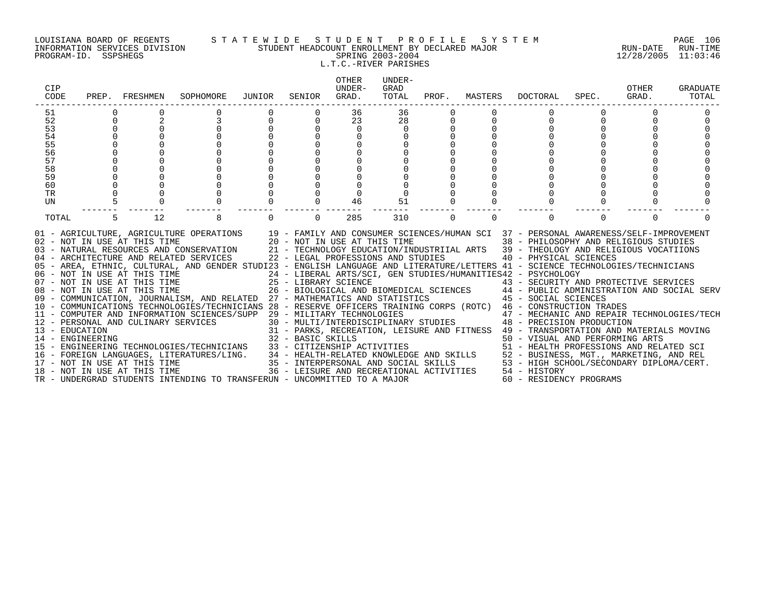#### LOUISIANA BOARD OF REGENTS S T A T E W I D E S T U D E N T P R O F I L E S Y S T E M PAGE 106 INFORMATION SERVICES DIVISION STUDENT HEADCOUNT ENROLLMENT BY DECLARED MAJOR RUN-DATE RUN-TIME PROGRAM-ID. SSPSHEGS SPRING 2003-2004 12/28/2005 11:03:46 L.T.C.-RIVER PARISHES

| <b>CIP</b><br>CODE                 | PREP.    | FRESHMEN                                                                                            | SOPHOMORE                                                                                                                                                                                                                                                                                                                                                                                                                                                                                                                                                                                                                                                                                                                                                                                                               | JUNIOR | SENIOR            | <b>OTHER</b><br>UNDER-<br>GRAD.                                                                                          | UNDER-<br>GRAD<br>TOTAL | PROF. | MASTERS  | DOCTORAL                                                                                                                                                                                                                                                                                                                                                                                                                                                                                                                                                                                                                                                                                                                                                                                                                                   | SPEC.    | OTHER<br>GRAD. | GRADUATE<br>TOTAL |
|------------------------------------|----------|-----------------------------------------------------------------------------------------------------|-------------------------------------------------------------------------------------------------------------------------------------------------------------------------------------------------------------------------------------------------------------------------------------------------------------------------------------------------------------------------------------------------------------------------------------------------------------------------------------------------------------------------------------------------------------------------------------------------------------------------------------------------------------------------------------------------------------------------------------------------------------------------------------------------------------------------|--------|-------------------|--------------------------------------------------------------------------------------------------------------------------|-------------------------|-------|----------|--------------------------------------------------------------------------------------------------------------------------------------------------------------------------------------------------------------------------------------------------------------------------------------------------------------------------------------------------------------------------------------------------------------------------------------------------------------------------------------------------------------------------------------------------------------------------------------------------------------------------------------------------------------------------------------------------------------------------------------------------------------------------------------------------------------------------------------------|----------|----------------|-------------------|
| 51                                 |          |                                                                                                     |                                                                                                                                                                                                                                                                                                                                                                                                                                                                                                                                                                                                                                                                                                                                                                                                                         |        |                   | 36                                                                                                                       | 36                      |       |          |                                                                                                                                                                                                                                                                                                                                                                                                                                                                                                                                                                                                                                                                                                                                                                                                                                            |          |                |                   |
| 52                                 | $\Omega$ |                                                                                                     |                                                                                                                                                                                                                                                                                                                                                                                                                                                                                                                                                                                                                                                                                                                                                                                                                         |        | 0                 | 23                                                                                                                       | 28                      |       |          |                                                                                                                                                                                                                                                                                                                                                                                                                                                                                                                                                                                                                                                                                                                                                                                                                                            |          |                |                   |
| 53                                 |          |                                                                                                     |                                                                                                                                                                                                                                                                                                                                                                                                                                                                                                                                                                                                                                                                                                                                                                                                                         |        |                   | $\Omega$                                                                                                                 | <sup>n</sup>            |       |          |                                                                                                                                                                                                                                                                                                                                                                                                                                                                                                                                                                                                                                                                                                                                                                                                                                            |          |                |                   |
| 54                                 |          |                                                                                                     |                                                                                                                                                                                                                                                                                                                                                                                                                                                                                                                                                                                                                                                                                                                                                                                                                         |        |                   |                                                                                                                          |                         |       |          |                                                                                                                                                                                                                                                                                                                                                                                                                                                                                                                                                                                                                                                                                                                                                                                                                                            |          |                |                   |
| 55                                 |          |                                                                                                     |                                                                                                                                                                                                                                                                                                                                                                                                                                                                                                                                                                                                                                                                                                                                                                                                                         |        |                   |                                                                                                                          |                         |       |          |                                                                                                                                                                                                                                                                                                                                                                                                                                                                                                                                                                                                                                                                                                                                                                                                                                            |          |                |                   |
| 56                                 |          |                                                                                                     |                                                                                                                                                                                                                                                                                                                                                                                                                                                                                                                                                                                                                                                                                                                                                                                                                         |        |                   |                                                                                                                          |                         |       |          |                                                                                                                                                                                                                                                                                                                                                                                                                                                                                                                                                                                                                                                                                                                                                                                                                                            |          |                |                   |
| 57                                 |          |                                                                                                     |                                                                                                                                                                                                                                                                                                                                                                                                                                                                                                                                                                                                                                                                                                                                                                                                                         |        |                   |                                                                                                                          |                         |       |          |                                                                                                                                                                                                                                                                                                                                                                                                                                                                                                                                                                                                                                                                                                                                                                                                                                            |          |                |                   |
| 58                                 |          |                                                                                                     |                                                                                                                                                                                                                                                                                                                                                                                                                                                                                                                                                                                                                                                                                                                                                                                                                         |        |                   |                                                                                                                          |                         |       |          |                                                                                                                                                                                                                                                                                                                                                                                                                                                                                                                                                                                                                                                                                                                                                                                                                                            |          |                |                   |
| 59                                 |          |                                                                                                     |                                                                                                                                                                                                                                                                                                                                                                                                                                                                                                                                                                                                                                                                                                                                                                                                                         |        |                   |                                                                                                                          |                         |       |          |                                                                                                                                                                                                                                                                                                                                                                                                                                                                                                                                                                                                                                                                                                                                                                                                                                            |          |                |                   |
| 60                                 |          |                                                                                                     |                                                                                                                                                                                                                                                                                                                                                                                                                                                                                                                                                                                                                                                                                                                                                                                                                         |        |                   |                                                                                                                          |                         |       |          |                                                                                                                                                                                                                                                                                                                                                                                                                                                                                                                                                                                                                                                                                                                                                                                                                                            |          |                |                   |
| TR                                 |          |                                                                                                     |                                                                                                                                                                                                                                                                                                                                                                                                                                                                                                                                                                                                                                                                                                                                                                                                                         |        |                   |                                                                                                                          |                         |       |          |                                                                                                                                                                                                                                                                                                                                                                                                                                                                                                                                                                                                                                                                                                                                                                                                                                            |          |                |                   |
| UN                                 |          |                                                                                                     |                                                                                                                                                                                                                                                                                                                                                                                                                                                                                                                                                                                                                                                                                                                                                                                                                         |        |                   | 46                                                                                                                       | 51                      |       |          |                                                                                                                                                                                                                                                                                                                                                                                                                                                                                                                                                                                                                                                                                                                                                                                                                                            |          |                |                   |
| TOTAL                              |          | 12                                                                                                  | 8                                                                                                                                                                                                                                                                                                                                                                                                                                                                                                                                                                                                                                                                                                                                                                                                                       |        | $\Omega$          | 285                                                                                                                      | 310                     | 0     | $\Omega$ |                                                                                                                                                                                                                                                                                                                                                                                                                                                                                                                                                                                                                                                                                                                                                                                                                                            | $\Omega$ | $\Omega$       |                   |
| 13 - EDUCATION<br>14 - ENGINEERING |          | 02 - NOT IN USE AT THIS TIME<br>12 - PERSONAL AND CULINARY SERVICES<br>17 - NOT IN USE AT THIS TIME | 01 - AGRICULTURE, AGRICULTURE OPERATIONS 19 - FAMILY AND CONSUMER SCIENCES/HUMAN SCI 37 - PERSONAL AWARENESS/SELF-IMPROVEMENT<br>03 - NATURAL RESOURCES AND CONSERVATION<br>04 - ARCHITECTURE AND RELATED SERVICES<br>05 - AREA, ETHNIC, CULTURAL, AND GENDER STUDI23 - ENGLISH LANGUAGE AND LITERATURE/LETTERS 41 - SCIENCE TECHNOLOGIES/TECHNICIANS<br>06 - NOT IN USE AT THIS TIME<br>07 - NOT IN USE AT THIS TIME<br>08 - NOT IN USE AT THIS TIME<br>09 - COMMUNICATION, JOURNALISM, AND RELATED 27 - MATHEMATICS AND STATISTICS 45 - SOCIAL SCIENCES<br>10 - COMMUNICATIONS TECHNOLOGIES/TECHNICIANS 28 - RESERVE OFFICERS TRAINING CORPS (ROTC) 46 - CONSTRUCTION TRADES<br>11 - COMPUTER AND INFORMATION SCIENCES/SUPP<br>15 - ENGINEERING TECHNOLOGIES/TECHNICIANS<br>16 - FOREIGN LANGUAGES, LITERATURES/LING. |        | 32 - BASIC SKILLS | 20 - NOT IN USE AT THIS TIME<br>22 - LEGAL PROFESSIONS AND STUDIES<br>25 - LIBRARY SCIENCE<br>29 - MILITARY TECHNOLOGIES |                         |       |          | 38 - PHILOSOPHY AND RELIGIOUS STUDIES<br>21 - TECHNOLOGY EDUCATION/INDUSTRIIAL ARTS 39 - THEOLOGY AND RELIGIOUS VOCATIIONS<br>40 - PHYSICAL SCIENCES<br>24 - LIBERAL ARTS/SCI, GEN STUDIES/HUMANITIES42 - PSYCHOLOGY<br>43 - SECURITY AND PROTECTIVE SERVICES<br>26 - BIOLOGICAL AND BIOMEDICAL SCIENCES 44 - PUBLIC ADMINISTRATION AND SOCIAL SERV<br>47 - MECHANIC AND REPAIR TECHNOLOGIES/TECH<br>30 - MULTI/INTERDISCIPLINARY STUDIES 48 - PRECISION PRODUCTION<br>31 - PARKS, RECREATION, LEISURE AND FITNESS 49 - TRANSPORTATION AND MATERIALS MOVING<br>50 - VISUAL AND PERFORMING ARTS<br>33 - CITIZENSHIP ACTIVITIES<br>34 - HEALTH-RELATED KNOWLEDGE AND SKILLS<br>35 - INTERPERSONAL AND SOCIAL SKILLS<br>36 - INTERPERSONAL AND SOCIAL SKILLS<br>36 - LEISURE AND RECREATIONAL ACTIVITIES<br>36 - LEISURE AND RECREATIONAL ACT |          |                |                   |
|                                    |          | 18 - NOT IN USE AT THIS TIME                                                                        | TR - UNDERGRAD STUDENTS INTENDING TO TRANSFERUN - UNCOMMITTED TO A MAJOR                                                                                                                                                                                                                                                                                                                                                                                                                                                                                                                                                                                                                                                                                                                                                |        |                   |                                                                                                                          |                         |       |          | 60 - RESIDENCY PROGRAMS                                                                                                                                                                                                                                                                                                                                                                                                                                                                                                                                                                                                                                                                                                                                                                                                                    |          |                |                   |
|                                    |          |                                                                                                     |                                                                                                                                                                                                                                                                                                                                                                                                                                                                                                                                                                                                                                                                                                                                                                                                                         |        |                   |                                                                                                                          |                         |       |          |                                                                                                                                                                                                                                                                                                                                                                                                                                                                                                                                                                                                                                                                                                                                                                                                                                            |          |                |                   |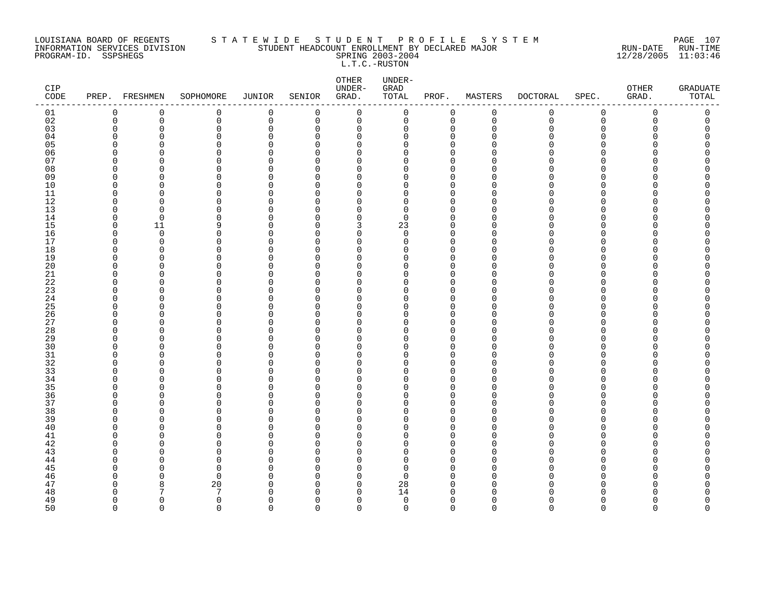#### LOUISIANA BOARD OF REGENTS S T A T E W I D E S T U D E N T P R O F I L E S Y S T E M PAGE 107 INFORMATION SERVICES DIVISION STUDENT HEADCOUNT ENROLLMENT BY DECLARED MAJOR RUN-DATE RUN-TIME PROGRAM-ID. SSPSHEGS SPRING 2003-2004 12/28/2005 11:03:46 L.T.C.-RUSTON

| CIP<br>CODE |             | PREP. FRESHMEN | SOPHOMORE            | JUNIOR               | SENIOR               | OTHER<br>UNDER-<br>GRAD.   | UNDER-<br>GRAD<br>TOTAL | PROF.                      | MASTERS              | <b>DOCTORAL</b> | SPEC.                | OTHER<br>GRAD. | <b>GRADUATE</b><br>TOTAL |
|-------------|-------------|----------------|----------------------|----------------------|----------------------|----------------------------|-------------------------|----------------------------|----------------------|-----------------|----------------------|----------------|--------------------------|
| 01          | $\mathbf 0$ | 0              | 0                    | $\mathbf 0$          | 0                    | $\mathbf 0$                | 0                       | $\mathbf 0$                | 0                    | 0               | 0                    | $\mathbf 0$    | 0                        |
| 02          | $\mathbf 0$ | 0              | 0                    | $\mathbf 0$          | 0                    | $\mathbf 0$                | 0                       | $\mathbf 0$                | $\mathbf 0$          | $\mathbf 0$     | $\mathbf 0$          | 0              | 0                        |
| 03          | $\Omega$    | $\Omega$       | 0                    | $\mathbf 0$          | $\Omega$             | 0                          | $\mathbf 0$             | $\mathbf 0$                | $\Omega$             | $\Omega$        | $\Omega$             | $\Omega$       | 0                        |
| 04          | n           | $\Omega$       | $\Omega$             | $\Omega$             | $\Omega$             | $\Omega$                   | 0                       | $\Omega$                   | ∩                    | ∩               | ∩                    |                | U                        |
| 05          | $\cap$      | $\Omega$       | $\Omega$             | $\Omega$             | $\Omega$             | $\mathbf 0$                | $\Omega$                | $\overline{0}$             | $\cap$               |                 | $\Omega$             |                |                          |
| 06          |             | <sup>0</sup>   | $\Omega$             | $\Omega$             | $\Omega$             | 0                          | 0                       | 0                          | ∩                    |                 | ∩                    |                |                          |
| 07          |             | n              | $\Omega$             | $\Omega$             | $\Omega$             | $\mathbf 0$                | 0                       | $\mathbf 0$                | n                    |                 | $\Omega$             |                |                          |
| 08          |             | n              | ∩                    | $\Omega$             | $\Omega$             | $\mathbf 0$                | 0                       | $\mathbf 0$                | ∩                    |                 | $\Omega$             |                |                          |
| 09          |             | $\Omega$       | $\Omega$             | $\Omega$             | $\Omega$             | $\mathbf 0$                | 0                       | $\mathbf 0$                | U                    |                 | $\Omega$             |                |                          |
| 10<br>11    | n<br>∩      | $\Omega$<br>n  | 0                    | $\Omega$<br>$\Omega$ | $\Omega$<br>$\Omega$ | $\mathbf 0$                | 0                       | $\mathbf 0$<br>$\mathbf 0$ | $\Omega$<br>∩        |                 | $\Omega$<br>$\Omega$ |                |                          |
| 12          | n           | <sup>n</sup>   | $\Omega$<br>$\Omega$ | $\Omega$             | $\Omega$             | $\mathbf 0$<br>$\mathbf 0$ | 0<br>0                  | $\mathbf 0$                | ∩                    | ∩               | ∩                    |                | ∩                        |
| 13          |             | $\Omega$       | 0                    | $\Omega$             | $\Omega$             | $\mathbf 0$                | 0                       | $\mathbf 0$                | $\cap$               |                 | ∩                    |                |                          |
| 14          | n           | $\Omega$       | $\Omega$             | $\Omega$             | $\Omega$             | $\mathbf 0$                | 0                       | $\mathbf 0$                | $\Omega$             |                 | O                    |                |                          |
| 15          | n           | 11             | 9                    | $\Omega$             | $\Omega$             | 3                          | 23                      | $\overline{0}$             | U                    |                 | $\Omega$             |                |                          |
| 16          | n           | $\Omega$       | $\Omega$             | O                    | $\Omega$             | $\mathbf 0$                | $\Omega$                | $\mathbf 0$                | $\cap$               |                 | $\Omega$             |                |                          |
| 17          | ∩           | 0              | $\Omega$             | $\Omega$             | $\Omega$             | $\mathbf 0$                | 0                       | $\Omega$                   | $\Omega$             |                 | ∩                    |                |                          |
| 18          | ∩           | $\Omega$       | 0                    | O                    | $\Omega$             | $\mathbf 0$                | O                       | $\mathbf 0$                | U                    |                 | ∩                    |                |                          |
| 19          |             | <sup>0</sup>   | $\Omega$             | O                    | $\Omega$             | 0                          | 0                       | 0                          | n                    |                 | $\Omega$             |                |                          |
| $20\,$      |             | n              | $\Omega$             | $\Omega$             | $\Omega$             | $\mathbf 0$                | 0                       | $\Omega$                   | $\cap$               |                 | $\Omega$             |                |                          |
| $21\,$      | ∩           | n              | ∩                    | $\Omega$             | $\Omega$             | 0                          | 0                       | $\mathbf 0$                | $\Omega$             |                 | $\Omega$             |                |                          |
| 22          |             | O              | $\Omega$             | $\Omega$             | $\Omega$             | 0                          | O                       | $\mathbf 0$                | n                    |                 | O                    |                |                          |
| 23          | n           | $\Omega$       | $\Omega$             | O                    | $\Omega$             | $\mathbf 0$                | 0                       | $\mathbf 0$                | $\Omega$             |                 | $\Omega$             |                |                          |
| 24          | ∩           | ∩              | $\Omega$             | O                    | $\Omega$             | $\mathbf 0$                | 0                       | $\mathbf 0$                | $\Omega$             |                 | $\Omega$             |                |                          |
| 25          | ∩           | n              | $\Omega$             | $\Omega$             | $\Omega$             | $\mathbf 0$                | 0                       | $\mathbf 0$                | $\cap$               |                 | $\Omega$             |                |                          |
| 26          |             | <sup>0</sup>   | $\Omega$             | $\Omega$             | $\Omega$             | 0                          | 0                       | $\mathbf 0$                | $\Omega$             |                 | ∩                    |                |                          |
| 27          |             | O<br>n         | $\Omega$             | $\Omega$             | $\Omega$             | 0                          | 0                       | $\mathbf 0$<br>$\Omega$    | $\Omega$<br>n        |                 | O<br>∩               |                |                          |
| 28<br>29    |             | n              | $\Omega$<br>U        | O<br>O               | $\Omega$<br>$\Omega$ | $\Omega$<br>$\mathbf 0$    | 0<br>0                  | $\mathbf 0$                | $\cap$               |                 | $\Omega$             |                |                          |
| 30          |             | ∩              | U                    | $\Omega$             | $\Omega$             | $\mathbf 0$                | 0                       | $\Omega$                   | ∩                    |                 | ∩                    |                |                          |
| $31\,$      | ∩           |                | 0                    | O                    | $\Omega$             | $\Omega$                   | O                       | $\mathbf 0$                | n                    |                 | ∩                    |                |                          |
| 32          |             | ∩              | $\Omega$             | O                    | $\Omega$             | 0                          | 0                       | $\mathbf 0$                | n                    |                 | ∩                    |                |                          |
| 33          |             | Ω              | $\Omega$             | $\Omega$             | $\Omega$             | $\mathbf 0$                | 0                       | $\Omega$                   | $\cap$               |                 | $\Omega$             |                |                          |
| 34          |             | $\Omega$       | $\Omega$             | $\Omega$             | $\Omega$             | 0                          | 0                       | $\mathbf 0$                | $\Omega$             |                 | $\Omega$             |                |                          |
| 35          |             | O              | $\Omega$             | $\Omega$             | $\Omega$             | $\Omega$                   | 0                       | $\Omega$                   | n                    |                 | ∩                    |                |                          |
| 36          | ∩           | $\Omega$       | $\Omega$             | O                    | $\Omega$             | $\mathbf 0$                | 0                       | $\mathbf 0$                | $\Omega$             |                 | $\Omega$             |                |                          |
| 37          |             | ∩              | 0                    | $\Omega$             | $\Omega$             | $\mathbf 0$                | 0                       | $\mathbf 0$                | $\Omega$             |                 | $\Omega$             |                |                          |
| 38          | n           | $\Omega$       | $\Omega$             | $\Omega$             | $\Omega$             | $\mathbf 0$                | 0                       | $\mathbf 0$                | $\cap$               |                 | ∩                    |                |                          |
| 39          |             | <sup>0</sup>   | $\Omega$             | $\Omega$             | $\Omega$             | 0                          | 0                       | $\mathbf 0$                | $\Omega$             |                 | ∩                    |                |                          |
| 40          |             | ∩              | $\Omega$             | $\Omega$             | $\Omega$             | $\Omega$                   | O                       | $\Omega$                   | $\Omega$             |                 | ∩                    |                |                          |
| 41          |             | ∩              | $\Omega$             | O                    | $\Omega$             | $\Omega$                   | 0                       | $\mathbf 0$                | n                    |                 | ∩                    |                |                          |
| $4\sqrt{2}$ |             | $\Omega$       | $\Omega$             | 0                    | $\Omega$             | 0                          | 0                       | $\mathbf 0$                | $\cap$               |                 | $\Omega$             |                |                          |
| 43          |             | ∩              | U                    | $\Omega$             | $\Omega$             | 0                          | 0                       | 0                          | ∩                    |                 | ∩                    |                |                          |
| 44          |             |                | $\Omega$             | O                    | $\Omega$             | $\Omega$                   | 0                       | $\mathbf 0$                | n                    |                 | ∩                    |                |                          |
| 45          |             | ∩              | $\Omega$             | O                    | $\Omega$             | $\mathbf 0$                | 0                       | $\mathbf 0$                | ∩                    |                 | $\Omega$             |                |                          |
| 46          |             | n              | $\Omega$             | $\Omega$             | $\Omega$             | 0                          | $\Omega$                | $\mathbf 0$                | $\Omega$<br>$\Omega$ | ∩<br>∩          | $\Omega$<br>∩        |                |                          |
| 47<br>48    |             | 8              | 20<br>7              | O<br>C               | $\Omega$<br>$\Omega$ | 0<br>$\Omega$              | 28<br>14                | 0<br>$\Omega$              | ∩                    |                 |                      |                | Π                        |
| 49          | n           | $\Omega$       | $\Omega$             | O                    | $\Omega$             | $\Omega$                   | $\mathbf 0$             | $\mathbf 0$                | $\Omega$             | N               | ∩                    |                | O                        |
| 50          | $\Omega$    | $\cap$         | $\Omega$             | $\cap$               | $\cap$               | $\Omega$                   | $\Omega$                | $\Omega$                   | $\cap$               | $\Omega$        | $\Omega$             | $\cap$         | $\cap$                   |
|             |             |                |                      |                      |                      |                            |                         |                            |                      |                 |                      |                |                          |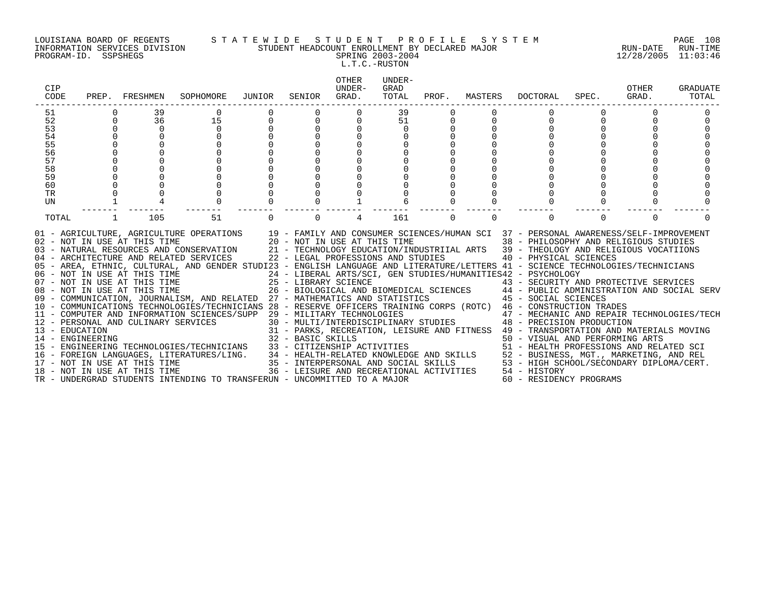PROGRAM-ID. SSPSHEGS SPRING 2003-2004 12/28/2005 11:03:46

#### LOUISIANA BOARD OF REGENTS S T A T E W I D E S T U D E N T P R O F I L E S Y S T E M PAGE 108 INFORMATION SERVICES DIVISION STUDENT HEADCOUNT ENROLLMENT BY DECLARED MAJOR RUN-DATE RUN-TIME

### L.T.C.-RUSTON

| CIP<br>CODE                                                          |                                | PREP. FRESHMEN                                                                                                                                                                                             | SOPHOMORE                                                                                                                                                                                                                                                                                                                                                                                                                                                                                                                                                                                                                                                                                                                                                                                                                                                                                                                                                                                                                                                                                                                 | JUNIOR   | SENIOR                                                | <b>OTHER</b><br>UNDER-<br>GRAD.                                                                                    | UNDER-<br>GRAD<br>TOTAL | PROF.    | MASTERS  | DOCTORAL                                                                                                                                                                                                                                                                                                                                                                                                                                                                                                                                                                                                                                                                                                                              | SPEC.    | OTHER<br>GRAD. | GRADUATE<br>TOTAL |
|----------------------------------------------------------------------|--------------------------------|------------------------------------------------------------------------------------------------------------------------------------------------------------------------------------------------------------|---------------------------------------------------------------------------------------------------------------------------------------------------------------------------------------------------------------------------------------------------------------------------------------------------------------------------------------------------------------------------------------------------------------------------------------------------------------------------------------------------------------------------------------------------------------------------------------------------------------------------------------------------------------------------------------------------------------------------------------------------------------------------------------------------------------------------------------------------------------------------------------------------------------------------------------------------------------------------------------------------------------------------------------------------------------------------------------------------------------------------|----------|-------------------------------------------------------|--------------------------------------------------------------------------------------------------------------------|-------------------------|----------|----------|---------------------------------------------------------------------------------------------------------------------------------------------------------------------------------------------------------------------------------------------------------------------------------------------------------------------------------------------------------------------------------------------------------------------------------------------------------------------------------------------------------------------------------------------------------------------------------------------------------------------------------------------------------------------------------------------------------------------------------------|----------|----------------|-------------------|
| 51<br>52<br>53<br>54<br>55<br>56<br>57<br>58<br>59<br>60<br>TR<br>UN | $\Omega$<br>$\Omega$<br>$\cap$ | 39<br>36<br>$\Omega$<br>$\Omega$                                                                                                                                                                           | 15<br>$\Omega$<br>$\cap$                                                                                                                                                                                                                                                                                                                                                                                                                                                                                                                                                                                                                                                                                                                                                                                                                                                                                                                                                                                                                                                                                                  | $\cap$   |                                                       |                                                                                                                    | 39<br>51<br>$\cap$      |          |          | $\Omega$                                                                                                                                                                                                                                                                                                                                                                                                                                                                                                                                                                                                                                                                                                                              |          |                |                   |
| TOTAL<br>13 - EDUCATION<br>14 - ENGINEERING                          |                                | 105<br>02 - NOT IN USE AT THIS TIME<br>06 - NOT IN USE AT THIS TIME<br>07 - NOT IN USE AT THIS TIME<br>08 - NOT IN USE AT THIS TIME<br>12 - PERSONAL AND CULINARY SERVICES<br>18 - NOT IN USE AT THIS TIME | 51<br>01 - AGRICULTURE, AGRICULTURE OPERATIONS 19 - FAMILY AND CONSUMER SCIENCES/HUMAN SCI 37 - PERSONAL AWARENESS/SELF-IMPROVEMENT<br>20 - NOT IN USE AT THIS TIME<br>03 - NATURAL RESOURCES AND CONSERVATION 21 - TECHNOLOGY EDUCATION/INDUSTRIIAL ARTS 39 - THEOLOGY AND RELIGIOUS VOCATIIONS<br>04 - ARCHITECTURE AND RELATED SERVICES<br>05 - AREA, ETHNIC, CULTURAL, AND GENDER STUDI23 - ENGLISH LANGUAGE AND LITERATURE/LETTERS 41 - SCIENCE TECHNOLOGIES/TECHNICIANS<br>09 - COMMUNICATION, JOURNALISM, AND RELATED 27 - MATHEMATICS AND STATISTICS<br>10 - COMMUNICATIONS TECHNOLOGIES/TECHNICIANS 28 - RESERVE OFFICERS TRAINING CORPS (ROTC) 46 - CONSTRUCTION TRADES<br>11 - COMPUTER AND INFORMATION SCIENCES/SUPP 29 - MILITARY TECHNOLOGIES<br>15 - ENGINEERING TECHNOLOGIES/TECHNICIANS<br>16 - FOREIGN LANGUAGES, LITERATURES/LING. 34 - HEALTH-RELATED KNOWLEDGE AND SKILLS 52 - BUSINESS, MGT., MARKETING, AND REL<br>17 - NOT IN USE AT THIS TIME 35 - INTERPERSONAL AND SOCIAL SKILLS 53 - HIGH SCHOOL/SECONDARY DIPLOM<br>TR - UNDERGRAD STUDENTS INTENDING TO TRANSFERUN - UNCOMMITTED TO A MAJOR | $\Omega$ | $\Omega$<br>25 - LIBRARY SCIENCE<br>32 - BASIC SKILLS | 4<br>22 - LEGAL PROFESSIONS AND STUDIES<br>33 - CITIZENSHIP ACTIVITIES<br>36 - LEISURE AND RECREATIONAL ACTIVITIES | 161                     | $\Omega$ | $\Omega$ | $\Omega$<br>38 - PHILOSOPHY AND RELIGIOUS STUDIES<br>40 - PHYSICAL SCIENCES<br>24 - LIBERAL ARTS/SCI, GEN STUDIES/HUMANITIES42 - PSYCHOLOGY<br>25 - LIBRARY SCIENCE<br>26 - BIOLOGICAL AND BIOMEDICAL SCIENCES<br>26 - BIOLOGICAL AND BIOMEDICAL SCIENCES<br>26 - BIOLOGICAL AND BIOMEDICAL SCIENCES<br>26 - BIOLOGICAL AND BIOMEDICAL SCIENCES<br>45 - SOCIAL SCIENCES<br>$29$ – MILITARY TECHNOLOGIES<br>30 – MULTI/INTERDISCIPLINARY STUDIES<br>30 – MULTI/INTERDISCIPLINARY STUDIES<br>30 – PRECISION PRODUCTION<br>31 - PARKS, RECREATION, LEISURE AND FITNESS 49 - TRANSPORTATION AND MATERIALS MOVING<br>50 - VISUAL AND PERFORMING ARTS<br>51 - HEALTH PROFESSIONS AND RELATED SCI<br>54 - HISTORY<br>60 - RESIDENCY PROGRAMS | $\Omega$ | $\Omega$       |                   |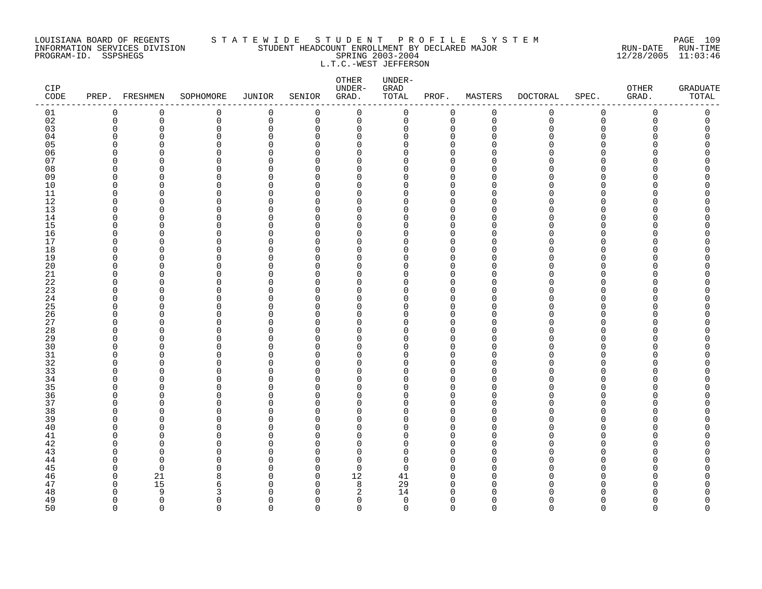### LOUISIANA BOARD OF REGENTS S T A T E W I D E S T U D E N T P R O F I L E S Y S T E M PAGE 109 INFORMATION SERVICES DIVISION STUDENT HEADCOUNT ENROLLMENT BY DECLARED MAJOR RUN-DATE RUN-TIME PROGRAM-ID. SSPSHEGS SPRING 2003-2004 12/28/2005 11:03:46 L.T.C.-WEST JEFFERSON

| CIP<br>$\texttt{CODE}$ |             | PREP. FRESHMEN | SOPHOMORE               | JUNIOR      | SENIOR        | OTHER<br>UNDER-<br>GRAD. | UNDER-<br>${\tt GRAD}$<br>TOTAL | PROF.                | MASTERS       | <b>DOCTORAL</b> | SPEC.                        | OTHER<br>GRAD. | <b>GRADUATE</b><br>TOTAL |
|------------------------|-------------|----------------|-------------------------|-------------|---------------|--------------------------|---------------------------------|----------------------|---------------|-----------------|------------------------------|----------------|--------------------------|
| 01                     | 0           | 0              | 0                       | 0           | $\mathbf 0$   | $\mathbf 0$              | 0                               | $\mathbf 0$          | $\mathbf 0$   | $\mathbf 0$     | 0                            | $\mathbf 0$    | 0                        |
| 02                     | $\mathbf 0$ | 0              | 0                       | $\mathbf 0$ | $\mathbf 0$   | 0                        | 0                               | $\mathbf 0$          | $\mathbf 0$   | $\mathbf 0$     | $\mathsf 0$                  | $\mathbf 0$    | 0                        |
| 03                     | $\Omega$    | 0              | $\mathbf 0$             | $\Omega$    | $\Omega$      | $\Omega$                 | 0                               | $\mathbf 0$          | $\Omega$      | U               | $\Omega$                     | Λ              | O                        |
| 04                     | O           | $\Omega$       | $\Omega$                | $\Omega$    | $\Omega$      | $\Omega$                 | $\Omega$                        | $\Omega$             | n             |                 | <sup>n</sup>                 |                |                          |
| 05                     | U<br>U      | O<br>U         | $\mathbf 0$<br>$\Omega$ | O<br>O      | ∩<br>∩        | $\Omega$<br>$\Omega$     | $\Omega$<br>$\Omega$            | $\Omega$<br>$\Omega$ |               |                 | <sup>n</sup><br>$\cap$       |                |                          |
| 06<br>07               | n           | U              | $\Omega$                | O           | ∩             | $\Omega$                 | $\Omega$                        | $\Omega$             |               |                 | U                            |                |                          |
| 08                     | O           | U              | $\Omega$                | C           | ∩             | $\Omega$                 | U                               | $\Omega$             |               |                 | <sup>n</sup>                 |                |                          |
| 09                     | O           | O              | 0                       | O           | O             | $\Omega$                 | 0                               | $\Omega$             | U             |                 | $\Omega$                     |                |                          |
| 10                     | $\Omega$    | U              | $\Omega$                | $\Omega$    | ∩             | $\Omega$                 | U                               | $\Omega$             |               |                 | <sup>n</sup>                 |                |                          |
| 11                     | U           | O              | $\Omega$                | O           | $\Omega$      | U                        | $\Omega$                        | $\Omega$             | ∩             |                 | <sup>n</sup>                 |                |                          |
| 12                     | U           | U              | $\Omega$                | ∩           | ∩             | $\Omega$                 | U                               | $\Omega$             |               |                 | U                            |                |                          |
| $13$                   | $\Omega$    | $\Omega$       | $\mathbf 0$             | O           | O             | $\Omega$                 | O                               | $\Omega$             | n             |                 | $\Omega$                     |                |                          |
| 14                     | n           | U              | $\Omega$                | O           | ∩             | $\Omega$                 | $\Omega$                        | $\Omega$             | ∩             |                 | <sup>n</sup>                 |                |                          |
| 15                     | U           | U              | $\Omega$                |             | ∩             | 0                        | U                               | $\Omega$             |               |                 | <sup>n</sup>                 |                |                          |
| 16                     | U           | U              | $\Omega$                | ∩           | ∩             | $\Omega$                 | $\Omega$                        | $\Omega$             | ∩             |                 | <sup>n</sup>                 |                |                          |
| 17                     | U           | U              | $\Omega$                | C           | ∩             | $\Omega$                 | U                               | $\Omega$             | n             |                 | <sup>n</sup>                 |                |                          |
| 18                     | 0           | O              | $\mathbf 0$             | $\Omega$    | $\Omega$      | $\Omega$                 | U                               | $\Omega$             | n             |                 | $\Omega$                     |                |                          |
| 19                     | O           | O              | $\Omega$                | C           | O             | $\Omega$                 | $\Omega$                        | $\Omega$             | n             |                 | <sup>n</sup>                 |                |                          |
| 20<br>21               | O<br>O      | O<br>U         | $\Omega$<br>$\Omega$    | O<br>O      | $\Omega$<br>∩ | 0<br>$\Omega$            | $\Omega$<br>$\Omega$            | $\Omega$<br>$\Omega$ | ∩             |                 | <sup>n</sup><br><sup>n</sup> |                |                          |
| 22                     | O           | U              | $\Omega$                | ∩           | ∩             | $\Omega$                 | $\Omega$                        | $\Omega$             | n             |                 | $\Omega$                     |                |                          |
| 23                     | O           | U              | $\Omega$                | O           | ∩             | $\Omega$                 | $\Omega$                        | $\Omega$             | n             |                 | $\Omega$                     |                |                          |
| 24                     | O           | O              | $\Omega$                | O           | O             | $\Omega$                 | $\Omega$                        | $\Omega$             | O             |                 | $\Omega$                     |                |                          |
| 25                     | n           | O              | $\Omega$                | O           | ∩             | U                        | $\Omega$                        | $\Omega$             |               |                 | U                            |                |                          |
| 26                     | O           | $\Omega$       | $\Omega$                | C           | ∩             | $\Omega$                 | $\Omega$                        | $\Omega$             | ∩             |                 | <sup>n</sup>                 |                |                          |
| 27                     | O           | U              | $\Omega$                | ∩           | ∩             | $\Omega$                 | $\Omega$                        | $\Omega$             | ∩             |                 | <sup>n</sup>                 |                |                          |
| 28                     | $\cap$      | U              | $\Omega$                | C           | ∩             | $\Omega$                 | U                               | $\Omega$             |               |                 | $\Omega$                     |                |                          |
| 29                     | O           | O              | $\mathbf 0$             | $\Omega$    | $\Omega$      | $\Omega$                 | 0                               | $\Omega$             | O             |                 | $\Omega$                     |                |                          |
| 30                     | n           | U              | $\Omega$                | O           | ∩             | $\Omega$                 | $\Omega$                        | $\Omega$             | ∩             |                 | U                            |                |                          |
| 31                     | O           | $\Omega$       | $\mathbf 0$             | O           | O             | $\Omega$                 | $\Omega$                        | $\Omega$             | U             |                 | $\Omega$                     |                |                          |
| 32                     | U           | U              | $\Omega$                | O           | ∩             | $\Omega$                 | $\Omega$                        | $\Omega$             | ∩             |                 | <sup>n</sup>                 |                |                          |
| 33<br>34               | $\cap$<br>n | U<br>U         | $\Omega$<br>$\Omega$    | C<br>O      | ∩<br>∩        | $\Omega$<br>$\Omega$     | $\Omega$                        | $\Omega$<br>$\Omega$ | n<br>n        |                 | <sup>n</sup><br>U            |                |                          |
| 35                     | O           | O              | $\Omega$                | C           | n             | $\Omega$                 | 0<br>U                          | $\Omega$             | ∩             |                 | U                            |                |                          |
| 36                     | O           | O              | 0                       | O           | ∩             | $\Omega$                 | 0                               | 0                    | $\Omega$      |                 | $\Omega$                     |                |                          |
| 37                     | O           | U              | $\Omega$                | C           | ∩             | $\Omega$                 | $\Omega$                        | $\Omega$             | ∩             |                 | <sup>n</sup>                 |                |                          |
| 38                     | U           | O              | $\Omega$                | O           | ∩             | U                        | $\Omega$                        | $\Omega$             | n             |                 | <sup>n</sup>                 |                |                          |
| 39                     | U           | U              | $\Omega$                | ∩           | ∩             | $\Omega$                 | $\Omega$                        | $\Omega$             | n             |                 | <sup>n</sup>                 |                |                          |
| 40                     | O           | O              | $\Omega$                | O           | O             | $\Omega$                 | O                               | $\Omega$             | $\cap$        |                 | $\Omega$                     |                |                          |
| 41                     | n           | U              | $\Omega$                | O           | ∩             | $\Omega$                 | $\Omega$                        | $\Omega$             |               |                 | <sup>n</sup>                 |                |                          |
| 42                     | O           | O              | $\Omega$                | O           | O             | 0                        | $\Omega$                        | $\Omega$             | n             |                 | <sup>n</sup>                 |                |                          |
| 43                     | O           | U              | $\Omega$                | O           | ∩             | $\Omega$                 | $\Omega$                        | $\Omega$             | n             |                 | U                            |                |                          |
| 44                     | O           | $\Omega$       | $\Omega$                | O           | ∩             | $\Omega$                 | $\Omega$                        | $\Omega$             | n             |                 | <sup>n</sup>                 |                |                          |
| 45                     | O           | $\Omega$       | $\Omega$                | O           | $\Omega$      | $\mathbf 0$              | 0                               | $\Omega$             | O             |                 | $\Omega$                     |                |                          |
| 46<br>47               | O<br>O      | 21             | 8                       | C           | $\Omega$      | 12                       | 41                              | $\Omega$             | O<br>$\Omega$ |                 | <sup>n</sup><br><sup>n</sup> |                |                          |
|                        | O           | 15<br>9        | 6                       | O<br>∩      | O<br>∩        | 8<br>2                   | 29                              | $\Omega$<br>$\Omega$ | ∩             |                 |                              |                |                          |
| 48<br>49               | $\Omega$    | $\Omega$       | $\Omega$                | $\Omega$    | $\Omega$      | 0                        | 14<br>$\mathbf 0$               | $\Omega$             | $\Omega$      |                 | <sup>n</sup>                 |                | Λ                        |
| 50                     | $\Omega$    | $\cap$         | $\cap$                  | $\cap$      | $\Omega$      | $\Omega$                 | $\Omega$                        | $\Omega$             | $\cap$        | $\Omega$        | $\cap$                       | $\cap$         | $\cap$                   |
|                        |             |                |                         |             |               |                          |                                 |                      |               |                 |                              |                |                          |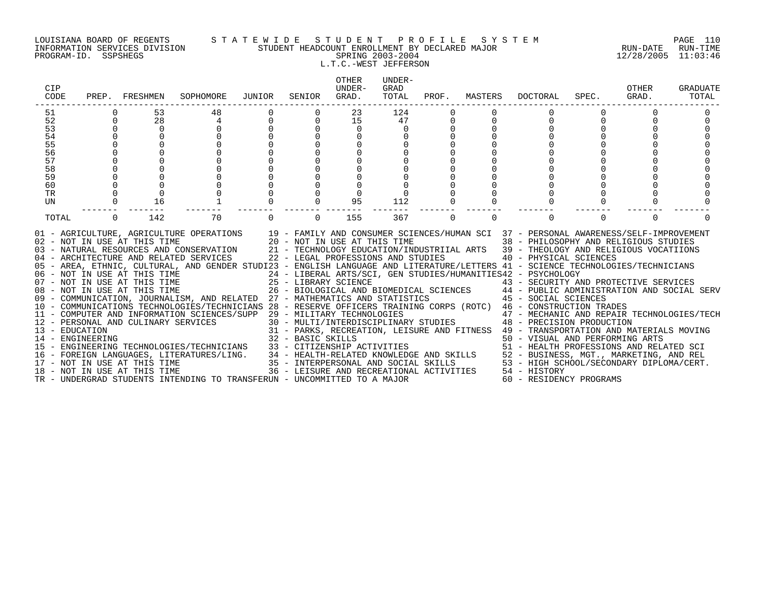### LOUISIANA BOARD OF REGENTS S T A T E W I D E S T U D E N T P R O F I L E S Y S T E M PAGE 110 INFORMATION SERVICES DIVISION STUDENT HEADCOUNT ENROLLMENT BY DECLARED MAJOR RUN-DATE RUN-TIME PROGRAM-ID. SSPSHEGS SPRING 2003-2004 12/28/2005 11:03:46 L.T.C.-WEST JEFFERSON

| <b>CIP</b><br>CODE | PREP.       | FRESHMEN                            | SOPHOMORE                                                                                                                                                                                                                                                                                                                                                                                                             | JUNIOR | SENIOR            | <b>OTHER</b><br>UNDER-<br>GRAD.                                                                                                                             | UNDER-<br>GRAD<br>TOTAL | PROF.    | MASTERS  | DOCTORAL                                                                                                                                                                                                                                                      | SPEC.    | OTHER<br>GRAD. | GRADUATE<br>TOTAL |
|--------------------|-------------|-------------------------------------|-----------------------------------------------------------------------------------------------------------------------------------------------------------------------------------------------------------------------------------------------------------------------------------------------------------------------------------------------------------------------------------------------------------------------|--------|-------------------|-------------------------------------------------------------------------------------------------------------------------------------------------------------|-------------------------|----------|----------|---------------------------------------------------------------------------------------------------------------------------------------------------------------------------------------------------------------------------------------------------------------|----------|----------------|-------------------|
| 51                 |             | 53                                  | 48                                                                                                                                                                                                                                                                                                                                                                                                                    |        |                   | 23                                                                                                                                                          | 124                     |          |          |                                                                                                                                                                                                                                                               |          |                |                   |
| 52                 | $\mathbf 0$ | 28                                  |                                                                                                                                                                                                                                                                                                                                                                                                                       |        | $\Omega$          | 15                                                                                                                                                          | 47                      |          |          |                                                                                                                                                                                                                                                               | $\Omega$ |                |                   |
| 53                 | $\mathbf 0$ | $\Omega$                            |                                                                                                                                                                                                                                                                                                                                                                                                                       |        |                   | $\Omega$                                                                                                                                                    |                         |          |          |                                                                                                                                                                                                                                                               |          |                |                   |
| 54                 |             |                                     |                                                                                                                                                                                                                                                                                                                                                                                                                       |        |                   |                                                                                                                                                             |                         |          |          |                                                                                                                                                                                                                                                               |          |                |                   |
| 55                 |             |                                     |                                                                                                                                                                                                                                                                                                                                                                                                                       |        |                   |                                                                                                                                                             |                         |          |          |                                                                                                                                                                                                                                                               |          |                |                   |
| 56                 |             |                                     |                                                                                                                                                                                                                                                                                                                                                                                                                       |        |                   |                                                                                                                                                             |                         |          |          |                                                                                                                                                                                                                                                               |          |                |                   |
| 57                 |             |                                     |                                                                                                                                                                                                                                                                                                                                                                                                                       |        |                   |                                                                                                                                                             |                         |          |          |                                                                                                                                                                                                                                                               |          |                |                   |
| 58                 |             |                                     |                                                                                                                                                                                                                                                                                                                                                                                                                       |        |                   |                                                                                                                                                             |                         |          |          |                                                                                                                                                                                                                                                               |          |                |                   |
| 59                 |             |                                     |                                                                                                                                                                                                                                                                                                                                                                                                                       |        |                   |                                                                                                                                                             |                         |          |          |                                                                                                                                                                                                                                                               |          |                |                   |
| 60                 |             |                                     |                                                                                                                                                                                                                                                                                                                                                                                                                       |        |                   |                                                                                                                                                             |                         |          |          |                                                                                                                                                                                                                                                               |          |                |                   |
| TR                 |             |                                     |                                                                                                                                                                                                                                                                                                                                                                                                                       |        |                   |                                                                                                                                                             |                         |          |          |                                                                                                                                                                                                                                                               |          |                |                   |
| UN                 | $\Omega$    | 16                                  |                                                                                                                                                                                                                                                                                                                                                                                                                       |        |                   | 95                                                                                                                                                          | 112                     |          |          |                                                                                                                                                                                                                                                               |          |                |                   |
| TOTAL              | $\Omega$    | 142                                 | 70                                                                                                                                                                                                                                                                                                                                                                                                                    |        | $\Omega$          | 155                                                                                                                                                         | 367                     | $\Omega$ | $\Omega$ |                                                                                                                                                                                                                                                               | $\Omega$ | $\Omega$       |                   |
|                    |             | 02 - NOT IN USE AT THIS TIME        | 01 - AGRICULTURE, AGRICULTURE OPERATIONS 19 - FAMILY AND CONSUMER SCIENCES/HUMAN SCI 37 - PERSONAL AWARENESS/SELF-IMPROVEMENT<br>03 - NATURAL RESOURCES AND CONSERVATION<br>04 - ARCHITECTURE AND RELATED SERVICES<br>05 - AREA, ETHNIC, CULTURAL, AND GENDER STUDI23 - ENGLISH LANGUAGE AND LITERATURE/LETTERS 41 - SCIENCE TECHNOLOGIES/TECHNICIANS<br>06 - NOT IN USE AT THIS TIME<br>07 - NOT IN USE AT THIS TIME |        |                   | 20 - NOT IN USE AT THIS TIME<br>22 - LEGAL PROFESSIONS AND STUDIES<br>25 - LIBRARY SCIENCE                                                                  |                         |          |          | 38 - PHILOSOPHY AND RELIGIOUS STUDIES<br>21 - TECHNOLOGY EDUCATION/INDUSTRIIAL ARTS 39 - THEOLOGY AND RELIGIOUS VOCATIIONS<br>40 - PHYSICAL SCIENCES<br>24 - LIBERAL ARTS/SCI, GEN STUDIES/HUMANITIES42 - PSYCHOLOGY<br>43 - SECURITY AND PROTECTIVE SERVICES |          |                |                   |
|                    |             | 08 - NOT IN USE AT THIS TIME        |                                                                                                                                                                                                                                                                                                                                                                                                                       |        |                   |                                                                                                                                                             |                         |          |          | 26 - BIOLOGICAL AND BIOMEDICAL SCIENCES 44 - PUBLIC ADMINISTRATION AND SOCIAL SERV                                                                                                                                                                            |          |                |                   |
|                    |             |                                     | 09 - COMMUNICATION, JOURNALISM, AND RELATED 27 - MATHEMATICS AND STATISTICS 45 - SOCIAL SCIENCES                                                                                                                                                                                                                                                                                                                      |        |                   |                                                                                                                                                             |                         |          |          |                                                                                                                                                                                                                                                               |          |                |                   |
|                    |             |                                     | 10 - COMMUNICATIONS TECHNOLOGIES/TECHNICIANS 28 - RESERVE OFFICERS TRAINING CORPS (ROTC) 46 - CONSTRUCTION TRADES                                                                                                                                                                                                                                                                                                     |        |                   |                                                                                                                                                             |                         |          |          |                                                                                                                                                                                                                                                               |          |                |                   |
|                    |             |                                     | 11 - COMPUTER AND INFORMATION SCIENCES/SUPP                                                                                                                                                                                                                                                                                                                                                                           |        |                   | 29 - MILITARY TECHNOLOGIES                                                                                                                                  |                         |          |          | 47 - MECHANIC AND REPAIR TECHNOLOGIES/TECH                                                                                                                                                                                                                    |          |                |                   |
|                    |             | 12 - PERSONAL AND CULINARY SERVICES |                                                                                                                                                                                                                                                                                                                                                                                                                       |        |                   |                                                                                                                                                             |                         |          |          | 30 - MULTI/INTERDISCIPLINARY STUDIES 48 - PRECISION PRODUCTION                                                                                                                                                                                                |          |                |                   |
| 13 - EDUCATION     |             |                                     |                                                                                                                                                                                                                                                                                                                                                                                                                       |        |                   |                                                                                                                                                             |                         |          |          | 31 - PARKS, RECREATION, LEISURE AND FITNESS 49 - TRANSPORTATION AND MATERIALS MOVING                                                                                                                                                                          |          |                |                   |
| 14 - ENGINEERING   |             |                                     |                                                                                                                                                                                                                                                                                                                                                                                                                       |        | 32 - BASIC SKILLS |                                                                                                                                                             |                         |          |          | 50 - VISUAL AND PERFORMING ARTS                                                                                                                                                                                                                               |          |                |                   |
|                    |             |                                     | 15 - ENGINEERING TECHNOLOGIES/TECHNICIANS                                                                                                                                                                                                                                                                                                                                                                             |        |                   |                                                                                                                                                             |                         |          |          | 51 - HEALTH PROFESSIONS AND RELATED SCI                                                                                                                                                                                                                       |          |                |                   |
|                    |             |                                     | 16 - FOREIGN LANGUAGES, LITERATURES/LING.                                                                                                                                                                                                                                                                                                                                                                             |        |                   |                                                                                                                                                             |                         |          |          | 52 - BUSINESS, MGT., MARKETING, AND REL                                                                                                                                                                                                                       |          |                |                   |
|                    |             | 17 - NOT IN USE AT THIS TIME        |                                                                                                                                                                                                                                                                                                                                                                                                                       |        |                   | 33 - CITIZENSHIP ACTIVITIES<br>34 - HEALTH-RELATED KNOWLEDGE AND SKILLS<br>35 - INTERPERSONAL AND SOCIAL SKILLS<br>36 - LEISURE AND RECREATIONAL ACTIVITIES |                         |          |          | 53 - HIGH SCHOOL/SECONDARY DIPLOMA/CERT.                                                                                                                                                                                                                      |          |                |                   |
|                    |             | 18 - NOT IN USE AT THIS TIME        |                                                                                                                                                                                                                                                                                                                                                                                                                       |        |                   |                                                                                                                                                             |                         |          |          | 54 - HISTORY                                                                                                                                                                                                                                                  |          |                |                   |
|                    |             |                                     | TR - UNDERGRAD STUDENTS INTENDING TO TRANSFERUN - UNCOMMITTED TO A MAJOR                                                                                                                                                                                                                                                                                                                                              |        |                   |                                                                                                                                                             |                         |          |          | 60 - RESIDENCY PROGRAMS                                                                                                                                                                                                                                       |          |                |                   |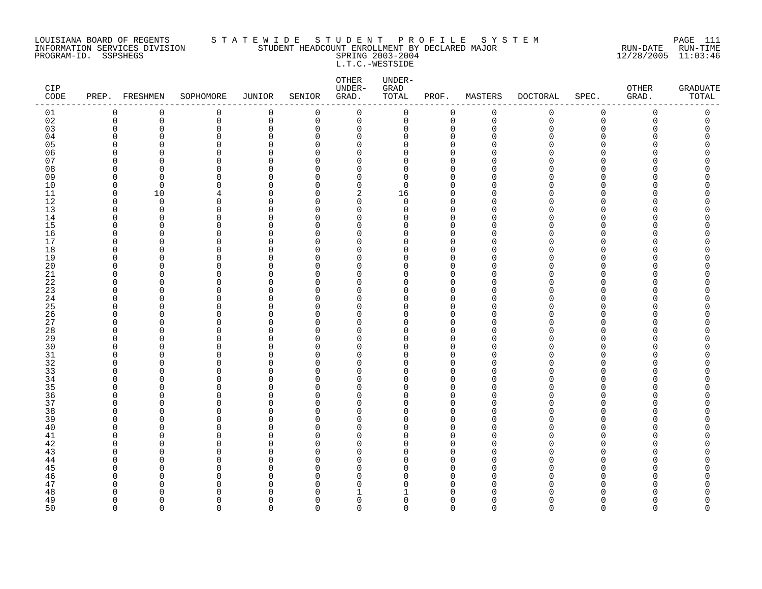### LOUISIANA BOARD OF REGENTS S T A T E W I D E S T U D E N T P R O F I L E S Y S T E M PAGE 111 INFORMATION SERVICES DIVISION STUDENT HEADCOUNT ENROLLMENT BY DECLARED MAJOR RUN-DATE RUN-TIME PROGRAM-ID. SSPSHEGS SPRING 2003-2004 12/28/2005 11:03:46 L.T.C.-WESTSIDE

| CIP<br>$\texttt{CODE}$ |                      | PREP. FRESHMEN           | SOPHOMORE     | JUNIOR        | SENIOR               | OTHER<br>UNDER-<br>GRAD. | UNDER-<br>${\tt GRAD}$<br>TOTAL | PROF.                      | MASTERS              | <b>DOCTORAL</b> | SPEC.                | OTHER<br>GRAD. | <b>GRADUATE</b><br>TOTAL |
|------------------------|----------------------|--------------------------|---------------|---------------|----------------------|--------------------------|---------------------------------|----------------------------|----------------------|-----------------|----------------------|----------------|--------------------------|
| 01                     | $\mathbf 0$          | 0                        | 0             | 0             | 0                    | 0                        | 0                               | $\mathbf 0$                | $\mathbf 0$          | 0               | $\mathbf 0$          | 0              | 0                        |
| 02                     | $\mathbf 0$          | 0                        | 0             | $\mathsf 0$   | $\mathbf 0$          | $\mathbf 0$              | 0                               | $\mathbf 0$                | $\mathbf 0$          | $\mathbf 0$     | $\mathbf 0$          | 0              | 0                        |
| 03                     | $\Omega$             | $\Omega$                 | 0             | $\Omega$      | $\mathbf 0$          | $\mathbf 0$              | 0                               | $\mathbf 0$                | $\Omega$             | $\Omega$        | 0                    | O              | 0                        |
| 04                     | $\Omega$<br>$\Omega$ | <sup>n</sup><br>$\Omega$ | $\Omega$      | $\Omega$      | $\Omega$             | $\Omega$                 | 0                               | $\Omega$                   | n<br>$\cap$          | U               | $\Omega$             | ∩              | U                        |
| 05                     | n                    | <sup>0</sup>             | $\Omega$      | $\Omega$<br>O | $\Omega$             | $\Omega$                 | 0                               | $\Omega$                   | ∩                    | N<br>∩          | $\Omega$<br>$\Omega$ |                | C<br>Λ                   |
| 06<br>07               | ∩                    | <sup>n</sup>             | 0<br>$\Omega$ | $\Omega$      | $\Omega$<br>$\Omega$ | 0<br>$\mathbf 0$         | 0<br>0                          | $\mathbf 0$<br>$\mathbf 0$ | ∩                    | ∩               | $\Omega$             | ∩              | ი                        |
| 08                     | $\Omega$             | $\Omega$                 | $\Omega$      | $\Omega$      | $\Omega$             | $\mathbf 0$              | 0                               | $\mathbf 0$                | $\Omega$             | ∩               | ∩                    |                | ⋂                        |
| 09                     | $\Omega$             | $\Omega$                 | $\Omega$      | $\Omega$      | $\Omega$             | $\Omega$                 | $\Omega$                        | $\Omega$                   | $\Omega$             | N               | $\Omega$             |                |                          |
| 10                     | $\Omega$             | $\mathbf 0$              | 0             | $\Omega$      | $\Omega$             | $\mathbf 0$              | 0                               | $\mathbf 0$                | $\Omega$             | N               | 0                    |                |                          |
| 11                     | $\Omega$             | 10                       | 4             | O             | $\Omega$             | 2                        | 16                              | $\mathbf 0$                | ∩                    | N               | $\Omega$             |                |                          |
| 12                     | $\Omega$             | $\Omega$                 | 0             | O             | $\Omega$             | $\mathbf 0$              | 0                               | $\Omega$                   | n                    |                 | ∩                    |                | ∩                        |
| 13                     | $\Omega$             | $\Omega$                 | $\Omega$      | $\Omega$      | $\Omega$             | $\mathbf 0$              | 0                               | $\mathbf 0$                | $\cap$               |                 | $\Omega$             |                |                          |
| 14                     | $\Omega$             | <sup>n</sup>             | $\Omega$      | $\Omega$      | $\Omega$             | $\mathbf 0$              | 0                               | $\mathbf 0$                | $\Omega$             | ∩               | $\Omega$             | U              | Λ                        |
| 15                     | O                    | $\Omega$                 | 0             | $\Omega$      | $\Omega$             | $\mathbf 0$              | 0                               | $\overline{0}$             | O                    |                 | $\Omega$             | U              | Λ                        |
| 16                     | ∩                    | $\Omega$                 | 0             | 0             | $\Omega$             | $\mathbf 0$              | 0                               | $\mathbf 0$                | ∩                    | N               | $\Omega$             | U              | Λ                        |
| 17                     | n                    | $\Omega$                 | $\Omega$      | $\Omega$      | $\Omega$             | $\Omega$                 | 0                               | $\mathbf 0$                | $\Omega$             | ∩               | ∩                    |                | ⋂                        |
| 18                     | $\Omega$             | $\Omega$                 | $\Omega$      | $\Omega$      | $\Omega$             | $\Omega$                 | 0                               | $\mathbf 0$                | $\Omega$             |                 | $\Omega$             |                |                          |
| 19                     | U                    | $\Omega$                 | 0             | O             | $\Omega$             | $\mathbf 0$              | 0                               | $\mathbf 0$                | $\Omega$             | N               | $\Omega$             |                | Λ                        |
| 20                     | U                    | $\Omega$                 | 0             | $\Omega$      | $\Omega$             | $\mathbf 0$              | 0                               | $\mathbf 0$                | $\Omega$             | N               | $\Omega$             |                |                          |
| 21                     | $\Omega$             | $\Omega$                 | 0             | $\Omega$      | $\Omega$             | $\mathbf 0$              | 0                               | $\mathbf 0$                | $\Omega$             | ∩               | ∩                    |                | ⋂                        |
| 22                     | ∩<br>∩               | $\Omega$<br><sup>n</sup> | $\Omega$      | O<br>$\Omega$ | $\Omega$             | $\Omega$                 | 0                               | $\Omega$                   | $\Omega$<br>$\Omega$ |                 | $\Omega$             |                |                          |
| 23<br>24               | $\Omega$             | O                        | $\Omega$<br>0 | 0             | $\Omega$<br>$\Omega$ | $\Omega$<br>$\mathbf 0$  | 0<br>0                          | $\mathbf 0$<br>$\mathbf 0$ | $\Omega$             | N               | $\Omega$<br>$\Omega$ |                |                          |
| 25                     | U                    | $\Omega$                 | $\Omega$      | O             | $\Omega$             | $\mathbf 0$              | 0                               | $\mathbf 0$                | n                    |                 | $\Omega$             |                | ⋂                        |
| 26                     | U                    | $\Omega$                 | $\Omega$      | $\Omega$      | $\Omega$             | $\mathbf 0$              | 0                               | $\mathbf 0$                | $\Omega$             | ∩               | ∩                    |                | Λ                        |
| 27                     | $\cap$               | <sup>n</sup>             | $\Omega$      | $\Omega$      | $\Omega$             | $\mathbf 0$              | 0                               | $\mathbf 0$                | ∩                    |                 | $\Omega$             | U              | Λ                        |
| 28                     | $\cap$               | $\Omega$                 | 0             | $\Omega$      | $\Omega$             | $\mathbf 0$              | 0                               | $\overline{0}$             | $\cap$               |                 | $\Omega$             |                | Λ                        |
| 29                     | ∩                    | <sup>0</sup>             | 0             | 0             | $\Omega$             | 0                        | 0                               | $\mathbf 0$                | ∩                    |                 | $\Omega$             |                | Ω                        |
| 30                     | ∩                    | <sup>n</sup>             | $\Omega$      | $\Omega$      | $\Omega$             | $\Omega$                 | 0                               | $\Omega$                   | $\Omega$             |                 | ∩                    |                |                          |
| 31                     | ∩                    | n                        | $\Omega$      | O             | $\Omega$             | $\Omega$                 | 0                               | $\Omega$                   | $\Omega$             |                 | $\Omega$             |                |                          |
| 32                     | n                    | <sup>n</sup>             | $\Omega$      | U             | $\Omega$             | $\Omega$                 | 0                               | $\mathbf 0$                | $\cap$               |                 | ∩                    |                |                          |
| 33                     | U                    | $\Omega$                 | 0             | 0             | $\Omega$             | $\mathbf 0$              | 0                               | $\Omega$                   | $\Omega$             |                 | $\Omega$             |                |                          |
| 34                     | n                    | $\Omega$                 | 0             | 0             | $\Omega$             | 0                        | 0                               | $\mathbf 0$                | $\Omega$             |                 | $\Omega$             |                |                          |
| 35                     | ∩                    | $\Omega$                 | $\Omega$      | U             | $\Omega$             | $\Omega$                 | 0                               | $\Omega$                   | n                    |                 | ∩                    |                |                          |
| 36                     | ∩                    | $\Omega$                 | $\Omega$      | O             | $\Omega$             | $\mathbf 0$              | 0                               | $\mathbf 0$                | $\Omega$             | N               | $\Omega$             | U              | ⋂                        |
| 37                     | $\Omega$             | $\Omega$                 | 0             | $\Omega$      | $\Omega$             | $\mathbf 0$              | 0                               | $\mathbf 0$                | $\Omega$             | N               | $\Omega$             |                |                          |
| 38                     | ∩                    | $\Omega$                 | $\Omega$      | 0             | $\Omega$             | $\mathbf 0$              | 0                               | $\mathbf 0$                | n                    |                 | $\Omega$             |                | Ω                        |
| 39                     | U                    | $\Omega$                 | $\Omega$      | $\Omega$      | $\Omega$             | $\mathbf 0$              | 0                               | $\mathbf 0$                | $\Omega$             | ∩               | ∩                    |                | ⋂                        |
| 40                     | U                    | n                        | $\Omega$      | O             | $\Omega$             | $\Omega$                 | 0                               | $\Omega$                   | $\Omega$             |                 | ∩                    |                |                          |
| 41                     | n<br>U               | n                        | 0             | $\Omega$      | $\Omega$             | $\Omega$                 | 0                               | $\mathbf 0$                | n<br>∩               |                 | $\Omega$<br>$\Omega$ |                | Λ                        |
| $4\sqrt{2}$<br>43      | ∩                    | <sup>0</sup><br>n        | 0<br>0        | 0<br>$\Omega$ | $\Omega$<br>$\Omega$ | 0<br>0                   | 0<br>0                          | $\mathbf 0$<br>$\Omega$    | U                    |                 | ∩                    |                | ⋂                        |
| 44                     | n                    | n                        | $\Omega$      | O             | $\Omega$             | $\mathbf 0$              | 0                               | $\mathbf 0$                | $\Omega$             |                 | $\Omega$             |                |                          |
| 45                     |                      | O                        | $\Omega$      | O             | $\Omega$             | $\mathbf 0$              | 0                               | $\mathbf 0$                | ∩                    |                 | $\Omega$             |                |                          |
| 46                     | U                    | $\Omega$                 | 0             | $\Omega$      | $\Omega$             | 0                        | 0                               | $\mathbf 0$                | $\Omega$             | U               | $\Omega$             |                |                          |
| 47                     | ∩                    | O                        | $\Omega$      | O             | $\Omega$             | 0                        | 0                               | 0                          | $\Omega$             | N               | $\Omega$             |                | Ω                        |
| 48                     |                      | ∩                        | U             | n             | $\Omega$             | $\mathbf{1}$             | 1                               | $\Omega$                   | U                    |                 |                      |                | ⋂                        |
| 49                     | ∩                    | $\Omega$                 | $\Omega$      | O             | $\Omega$             | $\mathbf 0$              | 0                               | $\mathbf 0$                | $\Omega$             | U               | $\Omega$             | ∩              | 0                        |
| 50                     | $\cap$               | $\Omega$                 | $\Omega$      | $\Omega$      | $\cap$               | $\Omega$                 | 0                               | $\Omega$                   | $\cap$               | $\Omega$        | $\Omega$             | $\Omega$       | $\Omega$                 |
|                        |                      |                          |               |               |                      |                          |                                 |                            |                      |                 |                      |                |                          |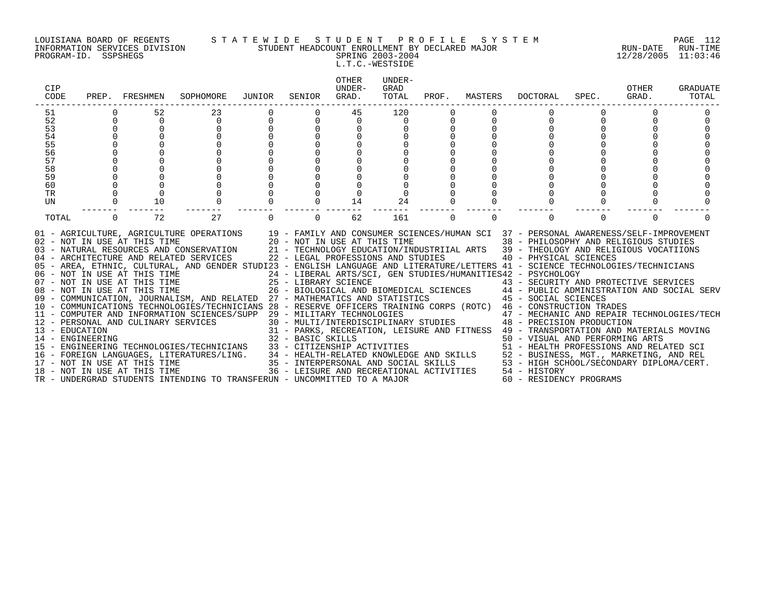### LOUISIANA BOARD OF REGENTS S T A T E W I D E S T U D E N T P R O F I L E S Y S T E M PAGE 112 INFORMATION SERVICES DIVISION STUDENT HEADCOUNT ENROLLMENT BY DECLARED MAJOR RUN-DATE RUN-TIME

PROGRAM-ID. SSPSHEGS SPRING 2003-2004 12/28/2005 11:03:46 L.T.C.-WESTSIDE

| CIP<br>CODE     | PREP.    | FRESHMEN                                                                                     | SOPHOMORE                                                                                                                                                                                                                                                                                                                                                                                                                                                                                                                                                                                                                                                                                                  | JUNIOR | SENIOR   | <b>OTHER</b><br>UNDER-<br>GRAD.                                                                                                                                                  | UNDER-<br>GRAD<br>TOTAL | PROF.    | MASTERS  | DOCTORAL                                                                                                                                                                                                                                                                                                                                                                                                                                                                                                                                                                                                                                                   | SPEC.    | OTHER<br>GRAD. | GRADUATE<br>TOTAL |
|-----------------|----------|----------------------------------------------------------------------------------------------|------------------------------------------------------------------------------------------------------------------------------------------------------------------------------------------------------------------------------------------------------------------------------------------------------------------------------------------------------------------------------------------------------------------------------------------------------------------------------------------------------------------------------------------------------------------------------------------------------------------------------------------------------------------------------------------------------------|--------|----------|----------------------------------------------------------------------------------------------------------------------------------------------------------------------------------|-------------------------|----------|----------|------------------------------------------------------------------------------------------------------------------------------------------------------------------------------------------------------------------------------------------------------------------------------------------------------------------------------------------------------------------------------------------------------------------------------------------------------------------------------------------------------------------------------------------------------------------------------------------------------------------------------------------------------------|----------|----------------|-------------------|
| 51              |          | 52                                                                                           | 23                                                                                                                                                                                                                                                                                                                                                                                                                                                                                                                                                                                                                                                                                                         |        |          | 45                                                                                                                                                                               | 120                     |          |          |                                                                                                                                                                                                                                                                                                                                                                                                                                                                                                                                                                                                                                                            |          |                |                   |
| 52              | 0        | 0                                                                                            | $\Omega$                                                                                                                                                                                                                                                                                                                                                                                                                                                                                                                                                                                                                                                                                                   |        | $\Omega$ | 0                                                                                                                                                                                | $\Omega$                |          |          |                                                                                                                                                                                                                                                                                                                                                                                                                                                                                                                                                                                                                                                            | $\Omega$ |                |                   |
| 53              |          | $\mathbf 0$                                                                                  |                                                                                                                                                                                                                                                                                                                                                                                                                                                                                                                                                                                                                                                                                                            |        |          | 0                                                                                                                                                                                |                         |          |          |                                                                                                                                                                                                                                                                                                                                                                                                                                                                                                                                                                                                                                                            |          |                |                   |
| 54              |          |                                                                                              |                                                                                                                                                                                                                                                                                                                                                                                                                                                                                                                                                                                                                                                                                                            |        |          |                                                                                                                                                                                  |                         |          |          |                                                                                                                                                                                                                                                                                                                                                                                                                                                                                                                                                                                                                                                            |          |                |                   |
| 55              |          |                                                                                              |                                                                                                                                                                                                                                                                                                                                                                                                                                                                                                                                                                                                                                                                                                            |        |          |                                                                                                                                                                                  |                         |          |          |                                                                                                                                                                                                                                                                                                                                                                                                                                                                                                                                                                                                                                                            |          |                |                   |
| 56              |          |                                                                                              |                                                                                                                                                                                                                                                                                                                                                                                                                                                                                                                                                                                                                                                                                                            |        |          |                                                                                                                                                                                  |                         |          |          |                                                                                                                                                                                                                                                                                                                                                                                                                                                                                                                                                                                                                                                            |          |                |                   |
| 57              |          |                                                                                              |                                                                                                                                                                                                                                                                                                                                                                                                                                                                                                                                                                                                                                                                                                            |        |          |                                                                                                                                                                                  |                         |          |          |                                                                                                                                                                                                                                                                                                                                                                                                                                                                                                                                                                                                                                                            |          |                |                   |
| 58              |          |                                                                                              |                                                                                                                                                                                                                                                                                                                                                                                                                                                                                                                                                                                                                                                                                                            |        |          |                                                                                                                                                                                  |                         |          |          |                                                                                                                                                                                                                                                                                                                                                                                                                                                                                                                                                                                                                                                            |          |                |                   |
| 59              |          |                                                                                              |                                                                                                                                                                                                                                                                                                                                                                                                                                                                                                                                                                                                                                                                                                            |        |          |                                                                                                                                                                                  |                         |          |          |                                                                                                                                                                                                                                                                                                                                                                                                                                                                                                                                                                                                                                                            |          |                |                   |
| 60              |          |                                                                                              |                                                                                                                                                                                                                                                                                                                                                                                                                                                                                                                                                                                                                                                                                                            |        |          |                                                                                                                                                                                  |                         |          |          |                                                                                                                                                                                                                                                                                                                                                                                                                                                                                                                                                                                                                                                            |          |                |                   |
| <b>TR</b><br>UN |          | 10                                                                                           |                                                                                                                                                                                                                                                                                                                                                                                                                                                                                                                                                                                                                                                                                                            |        |          | 14                                                                                                                                                                               | 24                      |          |          |                                                                                                                                                                                                                                                                                                                                                                                                                                                                                                                                                                                                                                                            |          |                |                   |
|                 |          |                                                                                              |                                                                                                                                                                                                                                                                                                                                                                                                                                                                                                                                                                                                                                                                                                            |        |          |                                                                                                                                                                                  |                         |          |          |                                                                                                                                                                                                                                                                                                                                                                                                                                                                                                                                                                                                                                                            |          |                |                   |
| TOTAL           | $\Omega$ | 72                                                                                           | 27                                                                                                                                                                                                                                                                                                                                                                                                                                                                                                                                                                                                                                                                                                         |        | $\Omega$ | 62                                                                                                                                                                               | 161                     | $\Omega$ | $\Omega$ | $\Omega$                                                                                                                                                                                                                                                                                                                                                                                                                                                                                                                                                                                                                                                   | $\Omega$ | $\Omega$       |                   |
| 13 - EDUCATION  |          | 02 - NOT IN USE AT THIS TIME<br>07 - NOT IN USE AT THIS TIME<br>08 - NOT IN USE AT THIS TIME | 01 - AGRICULTURE, AGRICULTURE OPERATIONS 19 - FAMILY AND CONSUMER SCIENCES/HUMAN SCI 37 - PERSONAL AWARENESS/SELF-IMPROVEMENT<br>03 - NATURAL RESOURCES AND CONSERVATION<br>04 - ARCHITECTURE AND RELATED SERVICES<br>05 - AREA, ETHNIC, CULTURAL, AND GENDER STUDI23 - ENGLISH LANGUAGE AND LITERATURE/LETTERS 41 - SCIENCE TECHNOLOGIES/TECHNICIANS<br>06 - NOT IN USE AT THIS TIME<br>09 - COMMUNICATION, JOURNALISM, AND RELATED 27 - MATHEMATICS AND STATISTICS<br>10 - COMMUNICATIONS TECHNOLOGIES/TECHNICIANS 28 - RESERVE OFFICERS TRAINING CORPS (ROTC) 46 - CONSTRUCTION TRADES<br>11 - COMPUTER AND INFORMATION SCIENCES/SUPP 29 - MILITARY TECHNOLOGIES<br>12 - PERSONAL AND CULINARY SERVICES |        |          | 20 - NOT IN USE AT THIS TIME<br>22 - LEGAL PROFESSIONS AND STUDIES                                                                                                               |                         |          |          | 38 - PHILOSOPHY AND RELIGIOUS STUDIES<br>21 - TECHNOLOGY EDUCATION/INDUSTRIIAL ARTS 39 - THEOLOGY AND RELIGIOUS VOCATIIONS<br>40 - PHYSICAL SCIENCES<br>24 - LIBERAL ARTS/SCI, GEN STUDIES/HUMANITIES42 - PSYCHOLOGY<br>25 - LIBRARY SCIENCE<br>26 - BIOLOGICAL AND BIOMEDICAL SCIENCES<br>26 - BIOLOGICAL AND BIOMEDICAL SCIENCES<br>24 - PUBLIC ADMINISTRATION AND SOCIAL SERV<br>45 - SOCIAL SCIENCES<br>$29$ – MILITARY TECHNOLOGIES $$\sf 47$ – MECHANIC AND REPAIR TECHNOLOGIES/TECH $30$ – MULTI/INTERDISCIPLINARY STUDIES $$\sf 48$ – PRECISION PRODUCTION<br>31 - PARKS, RECREATION, LEISURE AND FITNESS 49 - TRANSPORTATION AND MATERIALS MOVING |          |                |                   |
|                 |          |                                                                                              | 14 - ENGINEERING<br>15 - ENGINEERING TECHNOLOGIES/TECHNICIANS<br>16 - FOREIGN LANGUAGES, LITERATURES/LING.                                                                                                                                                                                                                                                                                                                                                                                                                                                                                                                                                                                                 |        |          | 32 - BASIC SKILLS<br>33 - CITIZENSHIP ACTIVITIES<br>34 - HEALTH-RELATED KNOWLEDGE AND SKILLS<br>35 - INTERPERSONAL AND SOCIAL SKILLS<br>36 - LEISURE AND RECREATIONAL ACTIVITIES |                         |          |          | 50 - VISUAL AND PERFORMING ARTS<br>51 - HEALTH PROFESSIONS AND RELATED SCI<br>52 - BUSINESS, MGT., MARKETING, AND REL                                                                                                                                                                                                                                                                                                                                                                                                                                                                                                                                      |          |                |                   |
|                 |          | 17 - NOT IN USE AT THIS TIME                                                                 |                                                                                                                                                                                                                                                                                                                                                                                                                                                                                                                                                                                                                                                                                                            |        |          |                                                                                                                                                                                  |                         |          |          | 53 - HIGH SCHOOL/SECONDARY DIPLOMA/CERT.                                                                                                                                                                                                                                                                                                                                                                                                                                                                                                                                                                                                                   |          |                |                   |
|                 |          | 18 - NOT IN USE AT THIS TIME                                                                 |                                                                                                                                                                                                                                                                                                                                                                                                                                                                                                                                                                                                                                                                                                            |        |          |                                                                                                                                                                                  |                         |          |          | 54 - HISTORY                                                                                                                                                                                                                                                                                                                                                                                                                                                                                                                                                                                                                                               |          |                |                   |
|                 |          |                                                                                              | TR - UNDERGRAD STUDENTS INTENDING TO TRANSFERUN - UNCOMMITTED TO A MAJOR                                                                                                                                                                                                                                                                                                                                                                                                                                                                                                                                                                                                                                   |        |          |                                                                                                                                                                                  |                         |          |          | 60 - RESIDENCY PROGRAMS                                                                                                                                                                                                                                                                                                                                                                                                                                                                                                                                                                                                                                    |          |                |                   |
|                 |          |                                                                                              |                                                                                                                                                                                                                                                                                                                                                                                                                                                                                                                                                                                                                                                                                                            |        |          |                                                                                                                                                                                  |                         |          |          |                                                                                                                                                                                                                                                                                                                                                                                                                                                                                                                                                                                                                                                            |          |                |                   |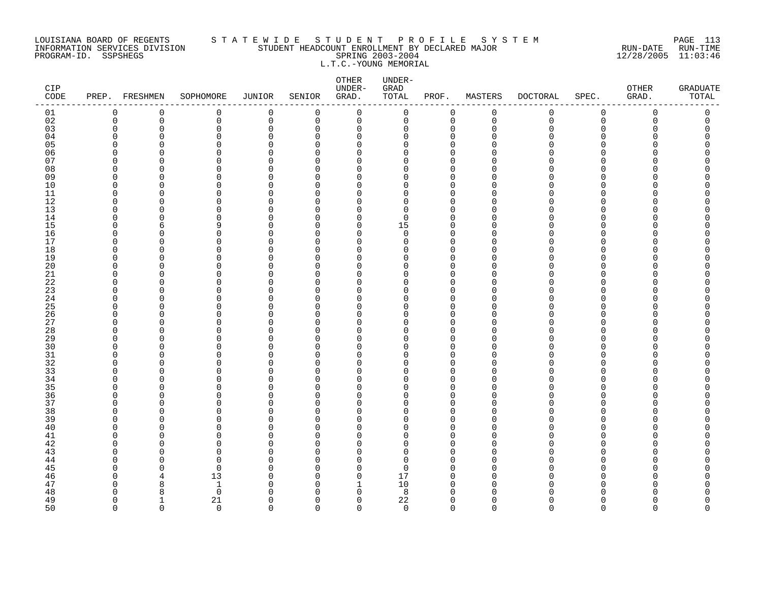### LOUISIANA BOARD OF REGENTS S T A T E W I D E S T U D E N T P R O F I L E S Y S T E M PAGE 113 INFORMATION SERVICES DIVISION STUDENT HEADCOUNT ENROLLMENT BY DECLARED MAJOR RUN-DATE RUN-TIME PROGRAM-ID. SSPSHEGS SPRING 2003-2004 12/28/2005 11:03:46 L.T.C.-YOUNG MEMORIAL

| $\mathtt{CIP}$<br>$\texttt{CODE}$ |                      | PREP. FRESHMEN           | SOPHOMORE               | JUNIOR               | SENIOR             | OTHER<br>UNDER-<br>GRAD. | UNDER-<br>${\tt GRAD}$<br>TOTAL | PROF.                | MASTERS              | <b>DOCTORAL</b> | SPEC.                | OTHER<br>GRAD. | <b>GRADUATE</b><br>TOTAL |
|-----------------------------------|----------------------|--------------------------|-------------------------|----------------------|--------------------|--------------------------|---------------------------------|----------------------|----------------------|-----------------|----------------------|----------------|--------------------------|
| 01                                | $\mathbf 0$          | 0                        | 0                       | 0                    | $\mathbf 0$        | $\mathbf 0$              | 0                               | $\mathbf 0$          | $\mathsf 0$          | 0               | $\mathsf 0$          | 0              | 0                        |
| 02                                | $\mathsf 0$          | $\overline{0}$           | 0                       | $\mathbf 0$          | $\mathbf 0$        | $\mathbf 0$              | 0                               | $\mathbf 0$          | $\mathbf 0$          | $\mathsf{O}$    | $\mathbf 0$          | $\Omega$       | 0                        |
| 03                                | $\mathbf 0$          | 0                        | $\mathbf 0$             | $\Omega$             | $\Omega$           | $\mathbf 0$              | 0                               | $\Omega$             | $\Omega$             | $\Omega$        | $\Omega$             | C              | 0                        |
| 04                                | $\Omega$             | $\Omega$                 | 0                       | $\Omega$             | O                  | 0                        | $\Omega$                        | $\Omega$             | $\Omega$             | O               | O                    |                | O                        |
| 05                                | $\Omega$             | O                        | $\mathbf 0$             | 0                    | ∩                  | $\Omega$                 | U                               | $\Omega$             | ∩                    | ი<br>N          | ∩                    |                | Λ                        |
| 06<br>07                          | $\Omega$<br>$\Omega$ | O<br>∩                   | $\Omega$<br>$\Omega$    | $\Omega$<br>$\Omega$ | $\Omega$<br>∩      | $\Omega$<br>$\Omega$     | $\Omega$<br>$\Omega$            | $\Omega$<br>$\Omega$ | ∩                    |                 | $\Omega$<br>∩        |                | ი                        |
| 08                                | $\Omega$             | $\Omega$                 | $\Omega$                | $\Omega$             | ∩                  | $\Omega$                 | U                               | $\Omega$             | $\Omega$             | N               | $\Omega$             |                |                          |
| 09                                | 0                    | 0                        | $\mathbf 0$             | $\Omega$             | ∩                  | 0                        | 0                               | $\Omega$             | $\Omega$             | O               | $\Omega$             |                |                          |
| 10                                | $\Omega$             | $\Omega$                 | $\Omega$                | $\Omega$             | ∩                  | $\Omega$                 | $\Omega$                        | $\Omega$             | $\Omega$             | O               | $\Omega$             |                |                          |
| 11                                | $\Omega$             | $\Omega$                 | $\mathbf 0$             | $\Omega$             | ∩                  | O                        | $\Omega$                        | $\Omega$             | $\Omega$             | U               | $\Omega$             |                | ⋂                        |
| 12                                | $\Omega$             | $\Omega$                 | $\Omega$                | $\Omega$             | ∩                  | O                        | $\Omega$                        | $\Omega$             | $\Omega$             | N               | $\Omega$             |                |                          |
| 13                                | $\Omega$             | $\Omega$                 | $\mathbf 0$             | $\Omega$             | $\Omega$           | $\Omega$                 | $\Omega$                        | $\Omega$             | $\Omega$             | O               | $\Omega$             |                |                          |
| 14                                | $\Omega$             | U                        | $\Omega$                | $\Omega$             | ∩                  | $\Omega$                 | $\Omega$                        | $\Omega$             | $\Omega$             | U               | $\Omega$             |                | Λ                        |
| 15                                | $\Omega$             | 6                        | 9                       | $\Omega$             | $\Omega$           | 0                        | 15                              | $\Omega$             | $\Omega$             | O               | $\Omega$             |                | Ω                        |
| 16                                | $\Omega$             | O                        | $\mathbf 0$             | $\Omega$             | ∩                  | $\Omega$                 | 0                               | $\Omega$             | $\Omega$             | O               | ∩                    |                | ⋂                        |
| 17                                | $\Omega$             | $\Omega$                 | 0                       | $\Omega$             | $\Omega$           | $\Omega$                 | $\Omega$                        | $\Omega$             | $\Omega$             | O               | $\Omega$             |                |                          |
| 18                                | $\Omega$             | O                        | $\mathbf 0$             | O                    | ∩                  | $\Omega$                 | $\Omega$                        | $\Omega$             | $\Omega$             | O               | $\Omega$             |                |                          |
| 19                                | $\Omega$             | $\Omega$                 | $\Omega$                | $\Omega$             | ∩                  | $\Omega$                 | $\Omega$                        | $\Omega$             | $\Omega$             | O               | $\Omega$             |                |                          |
| 20                                | $\Omega$             | U                        | $\Omega$                | $\Omega$             | ∩                  | U                        | $\Omega$                        | $\Omega$             | $\Omega$             | N               | ∩                    |                | ∩                        |
| $21\,$                            | $\Omega$             | O<br>O                   | 0                       | $\Omega$<br>O        | ∩<br>O             | $\Omega$<br>$\Omega$     | $\Omega$<br>$\Omega$            | $\Omega$<br>$\Omega$ | $\Omega$             | O<br>O          | $\Omega$             |                |                          |
| 22<br>23                          | 0<br>$\Omega$        | O                        | 0<br>$\mathbf 0$        | 0                    | ∩                  | $\Omega$                 | O                               | $\Omega$             | 0<br>$\Omega$        | O               | 0<br>$\Omega$        |                |                          |
| 24                                | $\Omega$             | $\Omega$                 | $\Omega$                | $\Omega$             | $\Omega$           | $\Omega$                 | $\Omega$                        | $\Omega$             | $\Omega$             | O               | $\Omega$             |                | ⋂                        |
| 25                                | $\Omega$             | $\Omega$                 | $\Omega$                | $\Omega$             | ∩                  | $\Omega$                 | $\Omega$                        | $\Omega$             | $\Omega$             | N               | ∩                    |                |                          |
| 26                                | $\Omega$             | $\Omega$                 | $\Omega$                | $\Omega$             | ∩                  | $\Omega$                 | $\Omega$                        | $\Omega$             | $\Omega$             | O               | $\Omega$             |                |                          |
| 27                                | $\Omega$             | O                        | 0                       | $\Omega$             | ∩                  | $\Omega$                 | 0                               | $\Omega$             | $\Omega$             | O               | $\Omega$             |                |                          |
| 28                                | $\Omega$             | O                        | $\Omega$                | O                    | ∩                  | O                        | U                               | $\Omega$             | $\Omega$             | N               | $\Omega$             |                |                          |
| 29                                | $\Omega$             | $\Omega$                 | $\mathbf 0$             | $\Omega$             | O                  | $\Omega$                 | $\Omega$                        | $\Omega$             | $\Omega$             | O               | $\Omega$             |                |                          |
| 30                                | $\Omega$             | ∩                        | $\Omega$                | $\Omega$             | ∩                  | $\Omega$                 | U                               | $\Omega$             | $\Omega$             | N               | ∩                    |                |                          |
| 31                                | $\Omega$             | $\Omega$                 | $\Omega$                | $\Omega$             | ∩                  | $\Omega$                 | U                               | $\Omega$             | $\Omega$             | ∩               | $\Omega$             |                | ⋂                        |
| 32                                | $\Omega$             | ∩                        | $\Omega$                | $\Omega$             | ∩                  | O                        | U                               | $\Omega$             | $\Omega$             | ∩               | $\Omega$             |                |                          |
| 33                                | $\Omega$             | O                        | 0                       | 0                    | $\Omega$           | 0                        | U                               | $\Omega$             | $\Omega$             | ი               | $\Omega$             |                | ⋂                        |
| 34                                | $\Omega$             | O                        | $\mathbf 0$             | $\Omega$             | ∩                  | $\Omega$                 | $\Omega$                        | $\Omega$             | $\Omega$             | O               | $\Omega$             |                |                          |
| 35<br>36                          | $\Omega$<br>$\Omega$ | $\Omega$<br>$\Omega$     | $\Omega$<br>$\mathbf 0$ | O<br>$\Omega$        | ∩<br>∩             | $\Omega$<br>$\Omega$     | U<br>$\Omega$                   | $\Omega$<br>$\Omega$ | $\Omega$<br>$\Omega$ | O               | ∩<br>$\Omega$        |                |                          |
| 37                                | $\Omega$             | U                        | $\Omega$                | $\Omega$             | ∩                  | $\Omega$                 | $\Omega$                        | $\Omega$             | $\Omega$             | U               | $\Omega$             |                |                          |
| 38                                | $\Omega$             | U                        | $\Omega$                | $\Omega$             | ∩                  | U                        | U                               | $\Omega$             | $\Omega$             | N               | ∩                    |                | ∩                        |
| 39                                | $\Omega$             | O                        | $\mathbf 0$             | $\Omega$             | O                  | $\Omega$                 | $\Omega$                        | $\Omega$             | $\Omega$             | O               | $\Omega$             |                |                          |
| 40                                | $\Omega$             | $\Omega$                 | 0                       | O                    | O                  | $\Omega$                 | U                               | $\Omega$             | $\Omega$             | ი               | $\Omega$             |                |                          |
| 41                                | $\Omega$             | O                        | $\mathbf 0$             | 0                    | ∩                  | $\Omega$                 | O                               | $\Omega$             | $\Omega$             | O               | $\Omega$             |                |                          |
| 42                                | $\Omega$             | O                        | $\mathbf 0$             | $\Omega$             | $\Omega$           | $\Omega$                 | $\Omega$                        | $\Omega$             | $\Omega$             | O               | $\Omega$             |                | Λ                        |
| 43                                | $\Omega$             | U                        | $\Omega$                | $\Omega$             | ∩                  | $\cap$                   | $\Omega$                        | $\Omega$             | $\Omega$             | N               | ∩                    |                |                          |
| 44                                | $\Omega$             | U                        | $\Omega$                | $\Omega$             | ∩                  | $\Omega$                 | $\Omega$                        | $\Omega$             | $\Omega$             | U               | ∩                    |                |                          |
| 45                                | <sup>0</sup>         | O                        | $\mathbf 0$             | O                    | O                  | 0                        | $\Omega$                        | <sup>0</sup>         | $\Omega$             | O               | O                    |                |                          |
| 46                                | $\Omega$             |                          | 13                      | O                    | ∩                  | $\Omega$                 | 17                              | $\Omega$             | 0                    | O               | $\Omega$             |                |                          |
| 47                                | $\Omega$             | 8                        | 1                       | <sup>0</sup>         | O                  | 1                        | 10                              | $\Omega$             | $\Omega$             | O               | ∩                    |                | ⋂                        |
| 48                                | $\Omega$             | 8                        | $\Omega$                | ∩                    | ∩                  | $\Omega$                 | 8                               | $\Omega$             | $\cap$               | ∩               |                      |                | ⋂                        |
| 49<br>50                          | $\Omega$<br>$\Omega$ | $\mathbf{1}$<br>$\Omega$ | 21<br>$\Omega$          | $\Omega$<br>$\cap$   | $\Omega$<br>$\cap$ | $\mathbf 0$<br>$\Omega$  | 22<br>$\Omega$                  | $\Omega$<br>$\Omega$ | $\Omega$<br>$\Omega$ | 0<br>$\Omega$   | $\Omega$<br>$\Omega$ | ∩<br>$\Omega$  | <sup>0</sup><br>$\Omega$ |
|                                   |                      |                          |                         |                      |                    |                          |                                 |                      |                      |                 |                      |                |                          |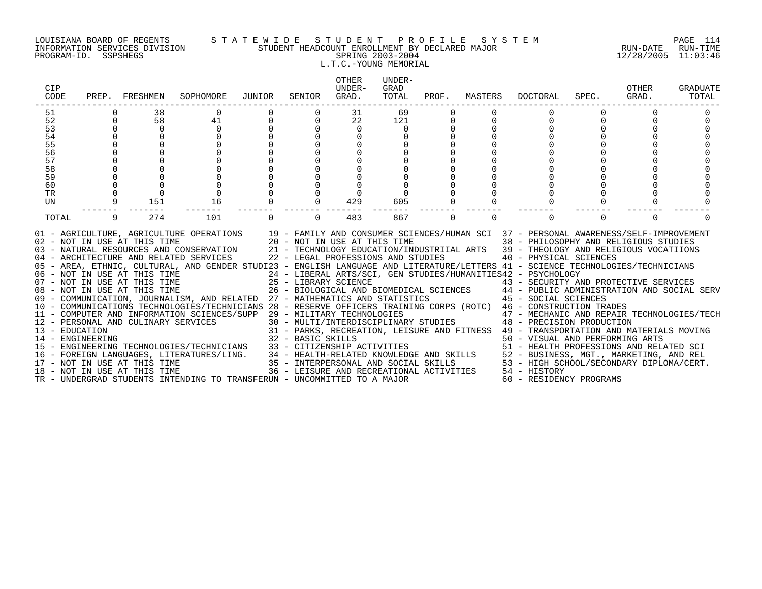### LOUISIANA BOARD OF REGENTS S T A T E W I D E S T U D E N T P R O F I L E S Y S T E M PAGE 114 INFORMATION SERVICES DIVISION STUDENT HEADCOUNT ENROLLMENT BY DECLARED MAJOR RUN-DATE RUN-TIME PROGRAM-ID. SSPSHEGS SPRING 2003-2004 12/28/2005 11:03:46 L.T.C.-YOUNG MEMORIAL

| <b>CIP</b><br>CODE | PREP.       | FRESHMEN                                                                                            | SOPHOMORE                                                                                                                                                                                                                                                                                                                                                                                                                                                                                                                                                                                                                                                                                     | JUNIOR   | SENIOR                                                                                                                                                                           | <b>OTHER</b><br>UNDER-<br>GRAD. | UNDER-<br>GRAD<br>TOTAL | PROF.    | MASTERS  | DOCTORAL                                                                                                                                                                                                                                                                                                                                                                                                                                                                                                                                                    | SPEC.    | OTHER<br>GRAD. | GRADUATE<br>TOTAL |
|--------------------|-------------|-----------------------------------------------------------------------------------------------------|-----------------------------------------------------------------------------------------------------------------------------------------------------------------------------------------------------------------------------------------------------------------------------------------------------------------------------------------------------------------------------------------------------------------------------------------------------------------------------------------------------------------------------------------------------------------------------------------------------------------------------------------------------------------------------------------------|----------|----------------------------------------------------------------------------------------------------------------------------------------------------------------------------------|---------------------------------|-------------------------|----------|----------|-------------------------------------------------------------------------------------------------------------------------------------------------------------------------------------------------------------------------------------------------------------------------------------------------------------------------------------------------------------------------------------------------------------------------------------------------------------------------------------------------------------------------------------------------------------|----------|----------------|-------------------|
| 51                 |             | 38                                                                                                  | 0                                                                                                                                                                                                                                                                                                                                                                                                                                                                                                                                                                                                                                                                                             |          |                                                                                                                                                                                  | 31                              | 69                      |          |          |                                                                                                                                                                                                                                                                                                                                                                                                                                                                                                                                                             |          |                |                   |
| 52                 | $\mathbf 0$ | 58                                                                                                  | 41                                                                                                                                                                                                                                                                                                                                                                                                                                                                                                                                                                                                                                                                                            |          | $\Omega$                                                                                                                                                                         | 22                              | 121                     | 0        |          |                                                                                                                                                                                                                                                                                                                                                                                                                                                                                                                                                             | $\Omega$ |                |                   |
| 53                 | $\mathbf 0$ | $\Omega$                                                                                            |                                                                                                                                                                                                                                                                                                                                                                                                                                                                                                                                                                                                                                                                                               |          |                                                                                                                                                                                  | $\mathbf 0$                     | $\Omega$                |          |          |                                                                                                                                                                                                                                                                                                                                                                                                                                                                                                                                                             |          |                |                   |
| 54                 |             |                                                                                                     |                                                                                                                                                                                                                                                                                                                                                                                                                                                                                                                                                                                                                                                                                               |          |                                                                                                                                                                                  |                                 |                         |          |          |                                                                                                                                                                                                                                                                                                                                                                                                                                                                                                                                                             |          |                |                   |
| 55                 |             |                                                                                                     |                                                                                                                                                                                                                                                                                                                                                                                                                                                                                                                                                                                                                                                                                               |          |                                                                                                                                                                                  |                                 |                         |          |          |                                                                                                                                                                                                                                                                                                                                                                                                                                                                                                                                                             |          |                |                   |
| 56                 |             |                                                                                                     |                                                                                                                                                                                                                                                                                                                                                                                                                                                                                                                                                                                                                                                                                               |          |                                                                                                                                                                                  |                                 |                         |          |          |                                                                                                                                                                                                                                                                                                                                                                                                                                                                                                                                                             |          |                |                   |
| 57                 |             |                                                                                                     |                                                                                                                                                                                                                                                                                                                                                                                                                                                                                                                                                                                                                                                                                               |          |                                                                                                                                                                                  |                                 |                         |          |          |                                                                                                                                                                                                                                                                                                                                                                                                                                                                                                                                                             |          |                |                   |
| 58                 |             |                                                                                                     |                                                                                                                                                                                                                                                                                                                                                                                                                                                                                                                                                                                                                                                                                               |          |                                                                                                                                                                                  |                                 |                         |          |          |                                                                                                                                                                                                                                                                                                                                                                                                                                                                                                                                                             |          |                |                   |
| 59<br>60           |             |                                                                                                     |                                                                                                                                                                                                                                                                                                                                                                                                                                                                                                                                                                                                                                                                                               |          |                                                                                                                                                                                  |                                 |                         |          |          |                                                                                                                                                                                                                                                                                                                                                                                                                                                                                                                                                             |          |                |                   |
| TR                 |             |                                                                                                     |                                                                                                                                                                                                                                                                                                                                                                                                                                                                                                                                                                                                                                                                                               |          |                                                                                                                                                                                  |                                 |                         |          |          |                                                                                                                                                                                                                                                                                                                                                                                                                                                                                                                                                             |          |                |                   |
| UN                 | 9           | 151                                                                                                 | 16                                                                                                                                                                                                                                                                                                                                                                                                                                                                                                                                                                                                                                                                                            |          | <sup>n</sup>                                                                                                                                                                     | 429                             | 605                     |          |          |                                                                                                                                                                                                                                                                                                                                                                                                                                                                                                                                                             |          |                |                   |
|                    |             |                                                                                                     |                                                                                                                                                                                                                                                                                                                                                                                                                                                                                                                                                                                                                                                                                               |          |                                                                                                                                                                                  |                                 |                         |          |          |                                                                                                                                                                                                                                                                                                                                                                                                                                                                                                                                                             |          |                |                   |
| TOTAL              | 9           | 274                                                                                                 | 101                                                                                                                                                                                                                                                                                                                                                                                                                                                                                                                                                                                                                                                                                           | $\Omega$ | $\Omega$                                                                                                                                                                         | 483                             | 867                     | $\Omega$ | $\Omega$ |                                                                                                                                                                                                                                                                                                                                                                                                                                                                                                                                                             | $\Omega$ | $\Omega$       |                   |
| 13 - EDUCATION     |             | 02 - NOT IN USE AT THIS TIME<br>08 - NOT IN USE AT THIS TIME<br>12 - PERSONAL AND CULINARY SERVICES | 01 - AGRICULTURE, AGRICULTURE OPERATIONS 19 - FAMILY AND CONSUMER SCIENCES/HUMAN SCI 37 - PERSONAL AWARENESS/SELF-IMPROVEMENT<br>03 - NATURAL RESOURCES AND CONSERVATION<br>04 - ARCHITECTURE AND RELATED SERVICES<br>05 - AREA, ETHNIC, CULTURAL, AND GENDER STUDI23 - ENGLISH LANGUAGE AND LITERATURE/LETTERS 41 - SCIENCE TECHNOLOGIES/TECHNICIANS<br>06 - NOT IN USE AT THIS TIME<br>07 - NOT IN USE AT THIS TIME<br>09 - COMMUNICATION, JOURNALISM, AND RELATED 27 - MATHEMATICS AND STATISTICS 45 - SOCIAL SCIENCES<br>10 - COMMUNICATIONS TECHNOLOGIES/TECHNICIANS 28 - RESERVE OFFICERS TRAINING CORPS (ROTC) 46 - CONSTRUCTION TRADES<br>11 - COMPUTER AND INFORMATION SCIENCES/SUPP |          | 20 - NOT IN USE AT THIS TIME<br>22 - LEGAL PROFESSIONS AND STUDIES<br>25 - LIBRARY SCIENCE<br>29 - MILITARY TECHNOLOGIES                                                         |                                 |                         |          |          | 38 - PHILOSOPHY AND RELIGIOUS STUDIES<br>21 - TECHNOLOGY EDUCATION/INDUSTRIIAL ARTS 39 - THEOLOGY AND RELIGIOUS VOCATIIONS<br>40 - PHYSICAL SCIENCES<br>24 - LIBERAL ARTS/SCI, GEN STUDIES/HUMANITIES42 - PSYCHOLOGY<br>43 - SECURITY AND PROTECTIVE SERVICES<br>26 - BIOLOGICAL AND BIOMEDICAL SCIENCES 44 - PUBLIC ADMINISTRATION AND SOCIAL SERV<br>47 - MECHANIC AND REPAIR TECHNOLOGIES/TECH<br>30 - MULTI/INTERDISCIPLINARY STUDIES 48 - PRECISION PRODUCTION<br>31 - PARKS, RECREATION, LEISURE AND FITNESS 49 - TRANSPORTATION AND MATERIALS MOVING |          |                |                   |
| 14 - ENGINEERING   |             |                                                                                                     | 15 - ENGINEERING TECHNOLOGIES/TECHNICIANS                                                                                                                                                                                                                                                                                                                                                                                                                                                                                                                                                                                                                                                     |          | 32 - BASIC SKILLS<br>33 - CITIZENSHIP ACTIVITIES<br>34 - HEALTH-RELATED KNOWLEDGE AND SKILLS<br>35 - INTERPERSONAL AND SOCIAL SKILLS<br>36 - LEISURE AND RECREATIONAL ACTIVITIES |                                 |                         |          |          | 50 - VISUAL AND PERFORMING ARTS<br>51 - HEALTH PROFESSIONS AND RELATED SCI                                                                                                                                                                                                                                                                                                                                                                                                                                                                                  |          |                |                   |
|                    |             |                                                                                                     | 16 - FOREIGN LANGUAGES, LITERATURES/LING.                                                                                                                                                                                                                                                                                                                                                                                                                                                                                                                                                                                                                                                     |          |                                                                                                                                                                                  |                                 |                         |          |          | 52 - BUSINESS, MGT., MARKETING, AND REL                                                                                                                                                                                                                                                                                                                                                                                                                                                                                                                     |          |                |                   |
|                    |             | 17 - NOT IN USE AT THIS TIME                                                                        |                                                                                                                                                                                                                                                                                                                                                                                                                                                                                                                                                                                                                                                                                               |          |                                                                                                                                                                                  |                                 |                         |          |          | 53 - HIGH SCHOOL/SECONDARY DIPLOMA/CERT.                                                                                                                                                                                                                                                                                                                                                                                                                                                                                                                    |          |                |                   |
|                    |             | 18 - NOT IN USE AT THIS TIME                                                                        | TR - UNDERGRAD STUDENTS INTENDING TO TRANSFERUN - UNCOMMITTED TO A MAJOR                                                                                                                                                                                                                                                                                                                                                                                                                                                                                                                                                                                                                      |          |                                                                                                                                                                                  |                                 |                         |          |          | 54 - HISTORY                                                                                                                                                                                                                                                                                                                                                                                                                                                                                                                                                |          |                |                   |
|                    |             |                                                                                                     |                                                                                                                                                                                                                                                                                                                                                                                                                                                                                                                                                                                                                                                                                               |          |                                                                                                                                                                                  |                                 |                         |          |          | 60 - RESIDENCY PROGRAMS                                                                                                                                                                                                                                                                                                                                                                                                                                                                                                                                     |          |                |                   |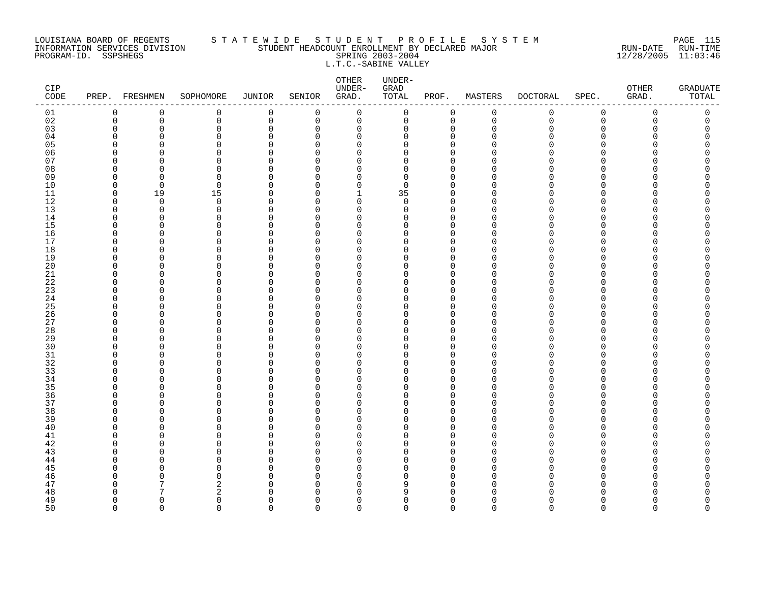### LOUISIANA BOARD OF REGENTS S T A T E W I D E S T U D E N T P R O F I L E S Y S T E M PAGE 115 INFORMATION SERVICES DIVISION STUDENT HEADCOUNT ENROLLMENT BY DECLARED MAJOR RUN-DATE RUN-TIME PROGRAM-ID. SSPSHEGS SPRING 2003-2004 12/28/2005 11:03:46 L.T.C.-SABINE VALLEY

| CIP<br>CODE |                      | PREP. FRESHMEN       | SOPHOMORE            | <b>JUNIOR</b>        | SENIOR               | OTHER<br>UNDER-<br>GRAD. | UNDER-<br>GRAD<br>TOTAL | PROF.                      | MASTERS       | <b>DOCTORAL</b> | SPEC.                        | OTHER<br>GRAD. | <b>GRADUATE</b><br>TOTAL |
|-------------|----------------------|----------------------|----------------------|----------------------|----------------------|--------------------------|-------------------------|----------------------------|---------------|-----------------|------------------------------|----------------|--------------------------|
| 01          | 0                    | 0                    | 0                    | $\mathbf 0$          | 0                    | $\mathbf 0$              | 0                       | 0                          | $\mathbf 0$   | 0               | $\mathsf 0$                  | 0              | $\mathsf 0$              |
| 02          | $\mathbf 0$          | 0                    | 0                    | 0                    | 0                    | 0                        | 0                       | $\mathbf 0$                | $\mathbf 0$   | 0               | 0                            | 0              | 0                        |
| 03          | $\mathbf 0$          | 0                    | $\mathbf 0$          | $\mathbf 0$          | $\Omega$             | $\mathbf 0$              | 0                       | $\mathbf 0$                | $\Omega$      | Λ               | $\Omega$                     | U              | 0                        |
| 04          | $\Omega$<br>$\Omega$ | $\Omega$<br>$\Omega$ | $\Omega$             | $\cap$<br>$\Omega$   | $\Omega$<br>$\Omega$ | $\Omega$                 | $\Omega$                | $\Omega$                   | ∩             |                 | <sup>n</sup><br>$\Omega$     |                | O                        |
| 05<br>06    | $\Omega$             | ∩                    | 0<br>$\Omega$        | $\Omega$             | U                    | $\mathbf 0$<br>0         | 0<br>0                  | $\mathbf 0$<br>$\mathbf 0$ |               |                 | <sup>n</sup>                 |                |                          |
| 07          | $\Omega$             | ∩                    | $\Omega$             | $\cap$               | <sup>n</sup>         | $\Omega$                 | 0                       | $\Omega$                   |               |                 | <sup>n</sup>                 |                |                          |
| 08          | $\Omega$             | ∩                    | $\Omega$             | $\cap$               | <sup>n</sup>         | $\Omega$                 | 0                       | $\Omega$                   | ∩             |                 | $\Omega$                     |                |                          |
| 09          | $\mathbf 0$          | $\Omega$             | 0                    | $\Omega$             | $\Omega$             | $\mathbf 0$              | 0                       | $\mathbf 0$                | O             |                 | $\Omega$                     |                |                          |
| 10          | $\mathbf 0$          | $\Omega$             | 0                    | $\Omega$             | U                    | $\mathbf 0$              | 0                       | $\Omega$                   | O             |                 | <sup>n</sup>                 |                |                          |
| 11          | $\mathbf 0$          | 19                   | 15                   | $\Omega$             | $\Omega$             | $\mathbf{1}$             | 35                      | $\mathbf 0$                | ∩             |                 | <sup>n</sup>                 |                | Ω                        |
| 12          | $\Omega$             | $\Omega$             | $\Omega$             | $\cap$               | $\Omega$             | $\Omega$                 | $\Omega$                | $\Omega$                   | ∩             |                 | U                            |                |                          |
| 13          | $\mathbf 0$          | $\mathbf 0$          | $\mathbf 0$          | $\Omega$             | $\Omega$             | $\mathbf 0$              | 0                       | $\mathbf 0$                | $\Omega$      |                 | $\Omega$                     |                |                          |
| 14          | $\Omega$<br>$\Omega$ | 0<br>∩               | $\Omega$<br>$\Omega$ | $\Omega$<br>O        | U<br><sup>n</sup>    | $\Omega$<br>$\Omega$     | 0<br>O                  | $\mathbf 0$<br>$\Omega$    | ∩             |                 | <sup>n</sup><br><sup>n</sup> |                |                          |
| 15<br>16    | $\Omega$             | $\Omega$             | $\Omega$             | $\Omega$             | <sup>n</sup>         | $\Omega$                 | 0                       | $\Omega$                   | ∩             |                 | <sup>n</sup>                 |                | Ω                        |
| 17          | $\Omega$             | ∩                    | 0                    | $\cap$               | <sup>n</sup>         | $\mathbf 0$              | 0                       | $\Omega$                   | ∩             |                 | $\Omega$                     |                |                          |
| 18          | 0                    | $\Omega$             | 0                    | 0                    | $\Omega$             | 0                        | 0                       | $\mathbf 0$                | ∩             |                 | $\Omega$                     |                |                          |
| 19          | $\Omega$             | ∩                    | $\Omega$             | $\Omega$             | U                    | 0                        | 0                       | $\mathbf 0$                | ∩             |                 | $\Omega$                     |                |                          |
| 20          | $\Omega$             | ∩                    | $\Omega$             | $\Omega$             | <sup>n</sup>         | $\Omega$                 | 0                       | $\Omega$                   | ∩             |                 | <sup>n</sup>                 |                |                          |
| $21\,$      | $\Omega$             | ∩                    | $\Omega$             | $\cap$               | U                    | $\Omega$                 | 0                       | $\Omega$                   | $\cap$        |                 | $\Omega$                     |                |                          |
| 22          | 0                    | O                    | 0                    | O                    | <sup>0</sup>         | 0                        | 0                       | 0                          | ∩             |                 | $\Omega$                     |                |                          |
| 23          | $\Omega$             | ∩                    | 0                    | $\Omega$             | <sup>n</sup>         | $\Omega$                 | 0                       | $\Omega$                   | O             |                 | <sup>n</sup>                 |                |                          |
| 24<br>25    | $\Omega$<br>$\Omega$ | ∩<br>∩               | $\Omega$<br>$\Omega$ | $\Omega$<br>$\cap$   | $\Omega$<br>U        | $\mathbf 0$<br>$\Omega$  | 0<br>0                  | $\mathbf 0$<br>$\Omega$    | ∩<br>∩        |                 | $\Omega$<br>U                |                | Ω                        |
| 26          | 0                    | $\Omega$             | 0                    | $\Omega$             | $\Omega$             | 0                        | 0                       | 0                          | $\Omega$      |                 | $\Omega$                     |                |                          |
| 27          | $\Omega$             | ∩                    | $\Omega$             | $\Omega$             | U                    | $\Omega$                 | 0                       | $\mathbf 0$                | ∩             |                 | <sup>n</sup>                 |                | O                        |
| 28          | $\Omega$             | $\Omega$             | $\Omega$             | O                    | <sup>n</sup>         | $\Omega$                 | 0                       | $\Omega$                   |               |                 | $\Omega$                     |                |                          |
| 29          | $\Omega$             | $\Omega$             | $\Omega$             | $\Omega$             | <sup>n</sup>         | $\Omega$                 | 0                       | $\Omega$                   | ∩             |                 | $\Omega$                     |                |                          |
| 30          | $\Omega$             | $\Omega$             | $\Omega$             | $\Omega$             | <sup>n</sup>         | $\Omega$                 | $\Omega$                | $\Omega$                   | O             |                 | $\Omega$                     |                |                          |
| 31          | 0                    | O                    | 0                    | $\Omega$             | $\Omega$             | $\Omega$                 | 0                       | 0                          | ∩             |                 | $\Omega$                     |                | O                        |
| 32          | $\Omega$             | U                    | $\Omega$             | $\Omega$             | U                    | $\Omega$                 | 0                       | $\mathbf 0$                | ∩             |                 | <sup>n</sup>                 |                |                          |
| 33          | $\Omega$             | ∩                    | $\Omega$             | $\Omega$             | <sup>n</sup>         | $\Omega$                 | 0                       | $\Omega$                   | ∩<br>$\Omega$ |                 | <sup>n</sup>                 |                |                          |
| 34<br>35    | $\Omega$<br>$\Omega$ | $\Omega$<br>$\Omega$ | $\Omega$<br>$\Omega$ | $\Omega$<br>$\Omega$ | $\Omega$<br>$\Omega$ | $\mathbf 0$<br>0         | 0<br>0                  | $\mathbf 0$<br>$\mathbf 0$ | O             |                 | $\Omega$<br>$\Omega$         |                |                          |
| 36          | $\Omega$             | ∩                    | $\Omega$             | $\Omega$             | U                    | $\Omega$                 | 0                       | $\mathbf 0$                | $\Omega$      |                 | $\Omega$                     |                |                          |
| 37          | $\Omega$             | U                    | $\Omega$             | $\Omega$             | $\Omega$             | $\mathbf 0$              | 0                       | $\mathbf 0$                | $\Omega$      |                 | $\Omega$                     |                |                          |
| 38          | 0                    | $\Omega$             | $\Omega$             | $\Omega$             | <sup>n</sup>         | $\Omega$                 | 0                       | $\Omega$                   | ∩             |                 | <sup>n</sup>                 |                |                          |
| 39          | $\Omega$             | $\Omega$             | 0                    | $\Omega$             | $\Omega$             | 0                        | 0                       | $\mathbf 0$                | $\Omega$      |                 | $\Omega$                     |                |                          |
| 40          | $\Omega$             | $\Omega$             | 0                    | $\Omega$             | <sup>n</sup>         | $\Omega$                 | 0                       | $\mathbf 0$                | ∩             |                 | $\Omega$                     |                |                          |
| 41          | $\Omega$             | U                    | $\Omega$             | O                    | <sup>n</sup>         | $\Omega$                 | 0                       | $\Omega$                   | ∩             |                 | <sup>n</sup>                 |                |                          |
| 42          | 0                    | $\Omega$             | 0                    | $\Omega$             | $\Omega$             | $\mathbf 0$              | 0                       | $\Omega$                   | $\cap$        |                 | $\Omega$                     |                | Ω                        |
| 43          | $\Omega$             | $\Omega$             | $\Omega$             | $\Omega$             | U                    | $\Omega$                 | O                       | $\Omega$                   | O             |                 | <sup>n</sup>                 |                |                          |
| 44          | $\Omega$<br>$\Omega$ | $\Omega$<br>U        | 0<br>$\Omega$        | $\Omega$<br>$\Omega$ | $\Omega$<br>U        | $\Omega$<br>$\Omega$     | 0                       | 0                          | ∩<br>∩        |                 | $\Omega$<br>$\Omega$         |                | O                        |
| 45<br>46    | $\Omega$             | ∩                    | $\Omega$             | $\cap$               | <sup>n</sup>         | $\Omega$                 | 0<br>0                  | $\mathbf 0$<br>$\Omega$    | ∩             |                 | <sup>n</sup>                 |                |                          |
| 47          | $\Omega$             | 7                    | 2                    | O                    | U                    | $\Omega$                 | 9                       | $\mathbf 0$                | $\Omega$      |                 | <sup>n</sup>                 |                |                          |
| 48          | $\Omega$             | 7                    | 2                    | O                    | $\Omega$             | $\Omega$                 | 9                       | 0                          | O             |                 | <sup>n</sup>                 |                |                          |
| 49          | $\Omega$             | $\Omega$             | $\mathbf 0$          | $\Omega$             | $\Omega$             | $\Omega$                 | 0                       | $\mathbf 0$                | $\Omega$      |                 | <sup>n</sup>                 |                | O                        |
| 50          | $\Omega$             | $\Omega$             | $\Omega$             | $\Omega$             | $\Omega$             | $\Omega$                 | $\Omega$                | $\Omega$                   | $\Omega$      | $\Omega$        | $\Omega$                     | $\Omega$       | 0                        |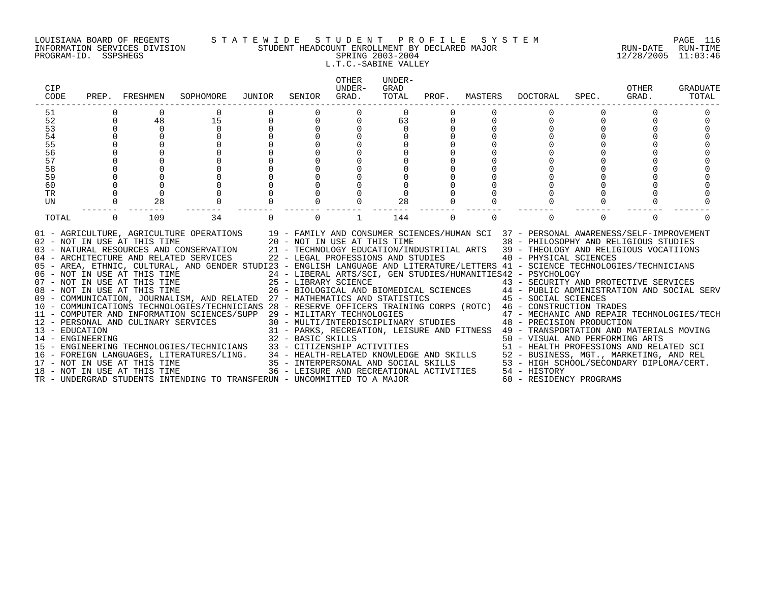### LOUISIANA BOARD OF REGENTS S T A T E W I D E S T U D E N T P R O F I L E S Y S T E M PAGE 116 INFORMATION SERVICES DIVISION STUDENT HEADCOUNT ENROLLMENT BY DECLARED MAJOR RUN-DATE RUN-TIME PROGRAM-ID. SSPSHEGS SPRING 2003-2004 12/28/2005 11:03:46 L.T.C.-SABINE VALLEY

| CIP<br>CODE      |          | PREP. FRESHMEN               | SOPHOMORE                                                                                                                                                                                                                                                                                                                                             | JUNIOR | SENIOR                       | <b>OTHER</b><br>UNDER-<br>GRAD. | UNDER-<br>GRAD<br>TOTAL            |          | PROF. MASTERS | DOCTORAL                                                                                                                                                                                                                                                      | SPEC.  | OTHER<br>GRAD. | <b>GRADUATE</b><br>TOTAL |
|------------------|----------|------------------------------|-------------------------------------------------------------------------------------------------------------------------------------------------------------------------------------------------------------------------------------------------------------------------------------------------------------------------------------------------------|--------|------------------------------|---------------------------------|------------------------------------|----------|---------------|---------------------------------------------------------------------------------------------------------------------------------------------------------------------------------------------------------------------------------------------------------------|--------|----------------|--------------------------|
| 51               |          |                              | 0                                                                                                                                                                                                                                                                                                                                                     |        | 0                            | $\Omega$                        | $\Omega$                           |          |               |                                                                                                                                                                                                                                                               |        |                |                          |
| 52               | $\Omega$ | 48                           | 15                                                                                                                                                                                                                                                                                                                                                    |        | $\Omega$                     | 0                               | 63                                 |          |               |                                                                                                                                                                                                                                                               |        |                |                          |
| 53               | $\Omega$ | $\Omega$                     | $\Omega$                                                                                                                                                                                                                                                                                                                                              |        |                              |                                 | $\Omega$                           |          |               |                                                                                                                                                                                                                                                               |        |                |                          |
| 54               |          |                              |                                                                                                                                                                                                                                                                                                                                                       |        |                              |                                 |                                    |          |               |                                                                                                                                                                                                                                                               |        |                |                          |
| 55               |          |                              |                                                                                                                                                                                                                                                                                                                                                       |        |                              |                                 |                                    |          |               |                                                                                                                                                                                                                                                               |        |                |                          |
| 56               |          |                              |                                                                                                                                                                                                                                                                                                                                                       |        |                              |                                 |                                    |          |               |                                                                                                                                                                                                                                                               |        |                |                          |
| 57               |          |                              |                                                                                                                                                                                                                                                                                                                                                       |        |                              |                                 |                                    |          |               |                                                                                                                                                                                                                                                               |        |                |                          |
| 58<br>59         |          |                              |                                                                                                                                                                                                                                                                                                                                                       |        |                              |                                 |                                    |          |               |                                                                                                                                                                                                                                                               |        |                |                          |
| 60               |          |                              |                                                                                                                                                                                                                                                                                                                                                       |        |                              |                                 |                                    |          |               |                                                                                                                                                                                                                                                               |        |                |                          |
| TR               |          |                              |                                                                                                                                                                                                                                                                                                                                                       |        |                              |                                 |                                    |          |               |                                                                                                                                                                                                                                                               |        |                |                          |
| UN               |          | 28                           |                                                                                                                                                                                                                                                                                                                                                       |        |                              |                                 | 28                                 |          |               |                                                                                                                                                                                                                                                               |        |                |                          |
|                  |          |                              |                                                                                                                                                                                                                                                                                                                                                       |        |                              |                                 |                                    |          |               |                                                                                                                                                                                                                                                               |        |                |                          |
| TOTAL            | $\Omega$ | 109                          | 34                                                                                                                                                                                                                                                                                                                                                    |        | $\Omega$                     | 1                               | 144                                | $\Omega$ | $\Omega$      |                                                                                                                                                                                                                                                               | $\cap$ | $\Omega$       |                          |
|                  |          | 02 - NOT IN USE AT THIS TIME | 01 - AGRICULTURE, AGRICULTURE OPERATIONS 19 - FAMILY AND CONSUMER SCIENCES/HUMAN SCI 37 - PERSONAL AWARENESS/SELF-IMPROVEMENT<br>03 - NATURAL RESOURCES AND CONSERVATION<br>04 - ARCHITECTURE AND RELATED SERVICES<br>05 - AREA, ETHNIC, CULTURAL, AND GENDER STUDI23 - ENGLISH LANGUAGE AND LITERATURE/LETTERS 41 - SCIENCE TECHNOLOGIES/TECHNICIANS |        | 20 - NOT IN USE AT THIS TIME |                                 | 22 - LEGAL PROFESSIONS AND STUDIES |          |               | 38 - PHILOSOPHY AND RELIGIOUS STUDIES<br>21 - TECHNOLOGY EDUCATION/INDUSTRIIAL ARTS 39 - THEOLOGY AND RELIGIOUS VOCATIIONS<br>40 - PHYSICAL SCIENCES<br>24 - LIBERAL ARTS/SCI, GEN STUDIES/HUMANITIES42 - PSYCHOLOGY<br>43 - SECURITY AND PROTECTIVE SERVICES |        |                |                          |
|                  |          |                              | 08 - NOT IN USE AT THIS TIME $26$ - BIOLOGICAL AND BIOMEDICAL SCIENCES $44$ - PUBLIC ADMINISTRATION AND SOCIAL SERV<br>09 - COMMUNICATION, JOURNALISM, AND RELATED 27 - MATHEMATICS AND STATISTICS 45 - SOCIAL SCIENCES                                                                                                                               |        |                              |                                 |                                    |          |               |                                                                                                                                                                                                                                                               |        |                |                          |
|                  |          |                              | 10 - COMMUNICATIONS TECHNOLOGIES/TECHNICIANS 28 - RESERVE OFFICERS TRAINING CORPS (ROTC) 46 - CONSTRUCTION TRADES                                                                                                                                                                                                                                     |        |                              |                                 |                                    |          |               |                                                                                                                                                                                                                                                               |        |                |                          |
|                  |          |                              | 11 - COMPUTER AND INFORMATION SCIENCES/SUPP 29 - MILITARY TECHNOLOGIES                                                                                                                                                                                                                                                                                |        |                              |                                 |                                    |          |               | 47 - MECHANIC AND REPAIR TECHNOLOGIES/TECH                                                                                                                                                                                                                    |        |                |                          |
|                  |          |                              | 12 - PERSONAL AND CULINARY SERVICES                                                                                                                                                                                                                                                                                                                   |        |                              |                                 |                                    |          |               | 30 - MULTI/INTERDISCIPLINARY STUDIES 48 - PRECISION PRODUCTION                                                                                                                                                                                                |        |                |                          |
| 13 - EDUCATION   |          |                              |                                                                                                                                                                                                                                                                                                                                                       |        |                              |                                 |                                    |          |               | 31 - PARKS, RECREATION, LEISURE AND FITNESS 49 - TRANSPORTATION AND MATERIALS MOVING                                                                                                                                                                          |        |                |                          |
| 14 - ENGINEERING |          |                              |                                                                                                                                                                                                                                                                                                                                                       |        | 32 - BASIC SKILLS            |                                 |                                    |          |               | 50 - VISUAL AND PERFORMING ARTS                                                                                                                                                                                                                               |        |                |                          |
|                  |          |                              | 15 - ENGINEERING TECHNOLOGIES/TECHNICIANS                                                                                                                                                                                                                                                                                                             |        |                              |                                 |                                    |          |               | 33 - CITIZENSHIP ACTIVITIES<br>34 - HEALTH-RELATED KNOWLEDGE AND SKILLS<br>35 - INTERPERSONAL AND SOCIAL SKILLS<br>36 - LEISURE AND RECREATIONAL ACTIVITIES<br>36 - LEISURE AND RECREATIONAL ACTIVITIES<br>36 - LEISURE AND RECREATIONAL                      |        |                |                          |
|                  |          |                              | 16 - FOREIGN LANGUAGES, LITERATURES/LING.                                                                                                                                                                                                                                                                                                             |        |                              |                                 |                                    |          |               |                                                                                                                                                                                                                                                               |        |                |                          |
|                  |          | 17 - NOT IN USE AT THIS TIME |                                                                                                                                                                                                                                                                                                                                                       |        |                              |                                 |                                    |          |               |                                                                                                                                                                                                                                                               |        |                |                          |
|                  |          | 18 - NOT IN USE AT THIS TIME |                                                                                                                                                                                                                                                                                                                                                       |        |                              |                                 |                                    |          |               |                                                                                                                                                                                                                                                               |        |                |                          |
|                  |          |                              | TR - UNDERGRAD STUDENTS INTENDING TO TRANSFERUN - UNCOMMITTED TO A MAJOR                                                                                                                                                                                                                                                                              |        |                              |                                 |                                    |          |               | 60 - RESIDENCY PROGRAMS                                                                                                                                                                                                                                       |        |                |                          |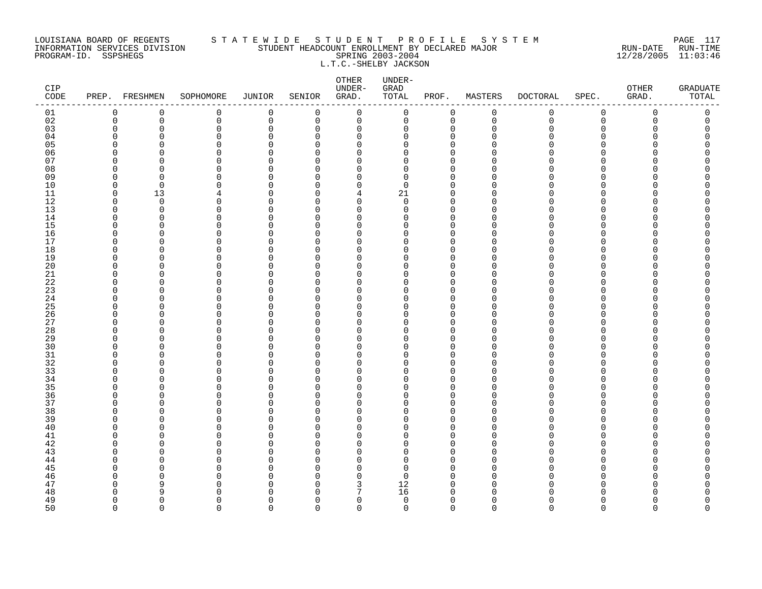### LOUISIANA BOARD OF REGENTS S T A T E W I D E S T U D E N T P R O F I L E S Y S T E M PAGE 117 INFORMATION SERVICES DIVISION STUDENT HEADCOUNT ENROLLMENT BY DECLARED MAJOR RUN-DATE RUN-TIME PROGRAM-ID. SSPSHEGS SPRING 2003-2004 12/28/2005 11:03:46 L.T.C.-SHELBY JACKSON

| CIP<br>CODE |             | PREP. FRESHMEN           | SOPHOMORE               | JUNIOR        | SENIOR                   | OTHER<br>UNDER-<br>GRAD. | UNDER-<br>${\tt GRAD}$<br>TOTAL | PROF.              | MASTERS                  | <b>DOCTORAL</b> | SPEC.                    | OTHER<br>GRAD. | <b>GRADUATE</b><br>TOTAL |
|-------------|-------------|--------------------------|-------------------------|---------------|--------------------------|--------------------------|---------------------------------|--------------------|--------------------------|-----------------|--------------------------|----------------|--------------------------|
| 01          | 0           | $\mathbf 0$              | $\mathbf 0$             | $\mathbf 0$   | $\mathbf 0$              | $\mathbf 0$              | 0                               | $\mathbf 0$        | $\mathbf 0$              | 0               | $\mathbf 0$              | 0              | 0                        |
| 02          | $\mathbf 0$ | 0                        | $\mathbf 0$             | $\mathbf 0$   | $\mathbf 0$              | $\mathbf 0$              | 0                               | $\mathbf{0}$       | $\mathbf 0$              | 0               | $\mathbf 0$              | 0              | 0                        |
| 03          | $\Omega$    | $\Omega$                 | $\mathbf 0$             | $\Omega$      | $\Omega$                 | 0                        | 0                               | $\Omega$           | $\Omega$                 | $\mathbf 0$     | $\Omega$                 | U              | 0                        |
| 04          | U           | <sup>0</sup>             | $\Omega$                | $\Omega$      | $\Omega$                 | 0                        | 0                               | $\cap$             | $\Omega$                 | O               | $\Omega$                 |                | Λ                        |
| 05          | O           | <sup>n</sup>             | $\Omega$                |               | $\Omega$                 | $\Omega$                 | $\Omega$                        | $\cap$             | n                        | U               | $\Omega$                 |                |                          |
| 06<br>07    | U           | <sup>n</sup>             | $\Omega$<br>$\Omega$    | O<br>∩        | $\Omega$<br>∩            | $\Omega$<br>$\Omega$     | $\Omega$                        | n<br>$\cap$        | ∩                        | U<br>U          | $\Omega$                 |                | N                        |
|             | O<br>O      | <sup>n</sup><br>$\Omega$ |                         | $\Omega$      | $\Omega$                 | $\Omega$                 | $\Omega$<br>0                   | $\cap$             | <sup>0</sup><br>$\Omega$ | U               | <sup>0</sup><br>$\Omega$ |                |                          |
| 08<br>09    | O           | $\Omega$                 | 0<br>$\Omega$           | ∩             | $\Omega$                 | 0                        | $\Omega$                        | $\cap$             | $\Omega$                 | O               | $\Omega$                 |                |                          |
| 10          | $\Omega$    | $\Omega$                 | $\Omega$                | O             | $\Omega$                 | $\Omega$                 | $\Omega$                        | n                  | $\Omega$                 | $\Omega$        | $\Omega$                 |                | Λ                        |
| 11          | $\mathbf 0$ | 13                       | 4                       | ∩             | $\Omega$                 | 4                        | 21                              | $\cap$             | $\mathbf 0$              | U               | $\Omega$                 |                |                          |
| 12          | $\Omega$    | $\Omega$                 | 0                       | O             | <sup>0</sup>             | $\mathbf 0$              | 0                               | $\Omega$           | $\Omega$                 | O               | $\Omega$                 |                |                          |
| 13          | O           | 0                        | $\mathbf 0$             | $\Omega$      | ∩                        | $\mathbf 0$              | 0                               | $\cap$             | $\Omega$                 | O               | $\Omega$                 |                |                          |
| 14          | O           | $\Omega$                 | $\Omega$                | O             | $\Omega$                 | 0                        | $\Omega$                        | $\cap$             | $\Omega$                 | O               | $\Omega$                 |                |                          |
| 15          | U           | $\Omega$                 | $\Omega$                | O             | $\Omega$                 | $\Omega$                 | <sup>0</sup>                    | U                  | $\Omega$                 | U               | $\Omega$                 |                | ⋂                        |
| 16          | O           | $\Omega$                 | $\Omega$                | $\Omega$      | $\Omega$                 | 0                        | $\Omega$                        | $\Omega$           | $\Omega$                 | O               | $\Omega$                 |                | Λ                        |
| 17          | O           | <sup>0</sup>             | 0                       | ∩             | $\Omega$                 | 0                        | $\Omega$                        | $\cap$             | $\Omega$                 | O               | $\Omega$                 |                | Ω                        |
| 18          | U           | ∩                        | $\Omega$                | N             | $\Omega$                 | $\Omega$                 | $\Omega$                        | $\cap$             | $\Omega$                 | O               | $\Omega$                 |                |                          |
| 19          | O           | $\Omega$                 | $\Omega$                | $\Omega$      | $\Omega$                 | 0                        | $\Omega$                        | $\cap$             | $\Omega$                 | O               | $\Omega$                 |                | ⋂                        |
| 20          | U           | <sup>n</sup>             | ∩                       | O             | $\cap$                   | $\Omega$                 | $\Omega$                        | $\cap$             | $\Omega$                 | U               | $\cap$                   |                |                          |
| $21\,$      | O           | $\Omega$                 | $\mathbf 0$             | $\Omega$      | $\Omega$                 | 0                        | $\Omega$                        | $\Omega$           | $\Omega$                 | O               | $\Omega$                 |                |                          |
| 22          | n           | n                        | $\Omega$                | O             | ∩                        | 0                        | $\Omega$                        | $\cap$             | $\Omega$                 | O               | $\Omega$                 |                |                          |
| 23          | O           | <sup>0</sup>             | $\Omega$                | O             | $\Omega$                 | $\Omega$                 | $\Omega$                        | U                  | $\Omega$                 | O               | $\Omega$                 |                |                          |
| 24          | U           | <sup>n</sup>             | $\Omega$                | ∩             | $\Omega$                 | 0                        | $\Omega$                        | $\cap$             | $\Omega$                 | O               | $\Omega$                 |                |                          |
| 25          | U           | U                        | $\Omega$                | ∩<br>$\Omega$ | $\Omega$                 | $\Omega$                 | $\Omega$                        | $\cap$<br>$\Omega$ | $\Omega$                 | U               | $\Omega$                 |                |                          |
| 26<br>27    | 0<br>O      | 0<br><sup>n</sup>        | $\mathbf 0$<br>$\Omega$ |               | $\Omega$<br><sup>0</sup> | 0<br>0                   | 0<br>$\Omega$                   | $\Omega$           | $\mathbf 0$<br>$\Omega$  | 0<br>O          | 0<br>$\Omega$            |                | Ω                        |
| 28          | O           | $\Omega$                 | $\Omega$                | O             | $\Omega$                 | $\Omega$                 | $\Omega$                        | $\cap$             | $\Omega$                 | O               | $\Omega$                 |                | ⋂                        |
| 29          | U           | U                        | $\Omega$                | ∩             | $\Omega$                 | 0                        | $\Omega$                        | $\cap$             | $\Omega$                 | U               | $\Omega$                 |                | ⋂                        |
| 30          | U           | <sup>n</sup>             | $\Omega$                | O             | $\Omega$                 | 0                        | $\Omega$                        | $\cap$             | $\Omega$                 | U               | $\Omega$                 |                |                          |
| 31          | O           | $\Omega$                 | $\mathbf 0$             | $\Omega$      | $\Omega$                 | 0                        | 0                               | $\Omega$           | $\Omega$                 | 0               | $\Omega$                 |                | Λ                        |
| 32          | O           | O                        | $\Omega$                | O             | $\Omega$                 | 0                        | $\Omega$                        | $\Omega$           | $\Omega$                 | O               | $\Omega$                 |                | Ω                        |
| 33          | U           | <sup>0</sup>             | $\Omega$                | $\Omega$      | ∩                        | $\Omega$                 | <sup>0</sup>                    | $\cap$             | $\Omega$                 | O               | $\Omega$                 |                |                          |
| 34          | O           | U                        | $\Omega$                | O             | $\Omega$                 | $\Omega$                 | $\Omega$                        | $\cap$             | $\Omega$                 | O               | $\Omega$                 |                |                          |
| 35          | U           | <sup>n</sup>             | $\Omega$                | ∩             | $\Omega$                 | 0                        | U                               | n                  | $\Omega$                 | U               | $\Omega$                 |                |                          |
| 36          | $\Omega$    | <sup>n</sup>             | $\Omega$                |               | $\Omega$                 | $\Omega$                 | $\Omega$                        | U                  | $\Omega$                 | $\Omega$        | $\Omega$                 |                |                          |
| 37          | O           | <sup>0</sup>             | $\Omega$                | N             | <sup>0</sup>             | $\Omega$                 | 0                               | n                  | $\Omega$                 | O               | $\Omega$                 |                |                          |
| 38          | U           | U                        | ∩                       | ∩             | $\Omega$                 | $\Omega$                 | U                               | U                  | $\Omega$                 | U               | $\Omega$                 |                |                          |
| 39          | O           | $\Omega$                 | $\Omega$                | O             | $\Omega$                 | 0                        | $\Omega$                        | $\cap$             | $\Omega$                 | O               | $\Omega$                 |                |                          |
| 40          | U           | ∩                        | $\Omega$                | N             | $\Omega$                 | $\Omega$                 | $\Omega$                        | $\cap$             | $\Omega$                 | U               | $\Omega$                 |                |                          |
| 41          | O           | $\Omega$                 | $\Omega$                | O             | $\Omega$                 | $\Omega$                 | $\Omega$                        | $\cap$             | $\Omega$                 | O               | $\Omega$                 |                | Λ                        |
| 42          | n           | <sup>0</sup>             | $\Omega$                | O             | $\Omega$                 | 0                        | 0                               | $\cap$             | 0                        | O               | $\Omega$                 |                |                          |
| 43          | n           | U                        | $\Omega$                |               | $\Omega$                 | $\Omega$                 | $\Omega$                        | $\cap$             | $\Omega$                 | U               | $\Omega$                 |                |                          |
| 44          | U           | <sup>0</sup>             | $\Omega$                | ∩             | $\Omega$                 | $\Omega$                 | 0                               | $\cap$             | $\Omega$                 | O               | $\Omega$                 |                | ⋂                        |
| 45          | U<br>n      | ∩<br>O                   | $\Omega$<br>$\Omega$    | N<br>O        | $\Omega$                 | $\Omega$<br>0            | $\Omega$<br>$\Omega$            | n<br>n             | $\Omega$<br>$\Omega$     | U<br>O          | $\Omega$<br><sup>0</sup> |                | Ω                        |
| 46<br>47    | O           | 9                        | $\Omega$                | N             | $\Omega$<br>∩            | 3                        | 12                              | $\cap$             | $\Omega$                 | O               | $\Omega$                 |                | Ω                        |
| 48          | O           | 9                        | $\Omega$                | ∩             | $\Omega$                 | 7                        | 16                              | $\cap$             | $\Omega$                 | O               | $\Omega$                 |                | ი                        |
| 49          | $\Omega$    | $\Omega$                 | $\Omega$                | $\Omega$      | $\Omega$                 | $\mathbf 0$              | $\mathbf 0$                     | $\Omega$           | $\Omega$                 | 0               | $\Omega$                 | U              | 0                        |
| 50          | $\Omega$    | $\Omega$                 | $\Omega$                | $\Omega$      | $\Omega$                 | $\Omega$                 | $\Omega$                        | $\Omega$           | $\Omega$                 | $\Omega$        | $\Omega$                 | $\Omega$       | $\Omega$                 |
|             |             |                          |                         |               |                          |                          |                                 |                    |                          |                 |                          |                |                          |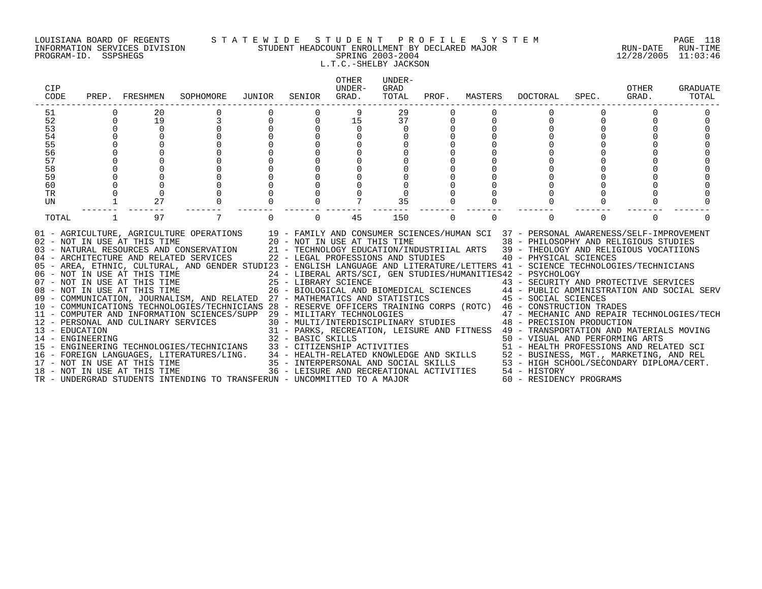### LOUISIANA BOARD OF REGENTS S T A T E W I D E S T U D E N T P R O F I L E S Y S T E M PAGE 118 INFORMATION SERVICES DIVISION STUDENT HEADCOUNT ENROLLMENT BY DECLARED MAJOR RUN-DATE RUN-TIME PROGRAM-ID. SSPSHEGS SPRING 2003-2004 12/28/2005 11:03:46 L.T.C.-SHELBY JACKSON

| CIP<br>CODE      | PREP.       | FRESHMEN                            | SOPHOMORE                                                                                                                                                                                                                                                                                                                                                                                                             | JUNIOR | SENIOR                                                                                     | OTHER<br>UNDER-<br>GRAD. | UNDER-<br>GRAD<br>TOTAL | PROF.    | MASTERS  | DOCTORAL                                                                                                                                                                                                                                                      | SPEC.    | OTHER<br>GRAD. | <b>GRADUATE</b><br>TOTAL |
|------------------|-------------|-------------------------------------|-----------------------------------------------------------------------------------------------------------------------------------------------------------------------------------------------------------------------------------------------------------------------------------------------------------------------------------------------------------------------------------------------------------------------|--------|--------------------------------------------------------------------------------------------|--------------------------|-------------------------|----------|----------|---------------------------------------------------------------------------------------------------------------------------------------------------------------------------------------------------------------------------------------------------------------|----------|----------------|--------------------------|
| 51               |             | 20                                  |                                                                                                                                                                                                                                                                                                                                                                                                                       |        |                                                                                            |                          | 29                      |          |          |                                                                                                                                                                                                                                                               |          |                |                          |
| 52               | $\mathbf 0$ | 19                                  |                                                                                                                                                                                                                                                                                                                                                                                                                       |        | 0                                                                                          | 15                       | 37                      |          |          |                                                                                                                                                                                                                                                               |          |                |                          |
| 53               |             | $\Omega$                            |                                                                                                                                                                                                                                                                                                                                                                                                                       |        |                                                                                            | $\Omega$                 |                         |          |          |                                                                                                                                                                                                                                                               |          |                |                          |
| 54               |             |                                     |                                                                                                                                                                                                                                                                                                                                                                                                                       |        |                                                                                            |                          |                         |          |          |                                                                                                                                                                                                                                                               |          |                |                          |
| 55               |             |                                     |                                                                                                                                                                                                                                                                                                                                                                                                                       |        |                                                                                            |                          |                         |          |          |                                                                                                                                                                                                                                                               |          |                |                          |
| 56               |             |                                     |                                                                                                                                                                                                                                                                                                                                                                                                                       |        |                                                                                            |                          |                         |          |          |                                                                                                                                                                                                                                                               |          |                |                          |
| 57               |             |                                     |                                                                                                                                                                                                                                                                                                                                                                                                                       |        |                                                                                            |                          |                         |          |          |                                                                                                                                                                                                                                                               |          |                |                          |
| 58               |             |                                     |                                                                                                                                                                                                                                                                                                                                                                                                                       |        |                                                                                            |                          |                         |          |          |                                                                                                                                                                                                                                                               |          |                |                          |
| 59<br>60         |             |                                     |                                                                                                                                                                                                                                                                                                                                                                                                                       |        |                                                                                            |                          |                         |          |          |                                                                                                                                                                                                                                                               |          |                |                          |
| TR               |             |                                     |                                                                                                                                                                                                                                                                                                                                                                                                                       |        |                                                                                            |                          |                         |          |          |                                                                                                                                                                                                                                                               |          |                |                          |
| UN               |             | 27                                  |                                                                                                                                                                                                                                                                                                                                                                                                                       |        |                                                                                            |                          | 35                      |          |          |                                                                                                                                                                                                                                                               |          |                |                          |
|                  |             |                                     |                                                                                                                                                                                                                                                                                                                                                                                                                       |        |                                                                                            |                          |                         |          |          |                                                                                                                                                                                                                                                               |          |                |                          |
| TOTAL            |             | 97                                  |                                                                                                                                                                                                                                                                                                                                                                                                                       |        | $\Omega$                                                                                   | 45                       | 150                     | $\Omega$ | $\Omega$ | $\Omega$                                                                                                                                                                                                                                                      | $\Omega$ | $\Omega$       |                          |
|                  |             | 02 - NOT IN USE AT THIS TIME        | 01 - AGRICULTURE, AGRICULTURE OPERATIONS 19 - FAMILY AND CONSUMER SCIENCES/HUMAN SCI 37 - PERSONAL AWARENESS/SELF-IMPROVEMENT<br>03 - NATURAL RESOURCES AND CONSERVATION<br>04 - ARCHITECTURE AND RELATED SERVICES<br>05 - AREA, ETHNIC, CULTURAL, AND GENDER STUDI23 - ENGLISH LANGUAGE AND LITERATURE/LETTERS 41 - SCIENCE TECHNOLOGIES/TECHNICIANS<br>06 - NOT IN USE AT THIS TIME<br>07 - NOT IN USE AT THIS TIME |        | 20 - NOT IN USE AT THIS TIME<br>22 - LEGAL PROFESSIONS AND STUDIES<br>25 - LIBRARY SCIENCE |                          |                         |          |          | 38 - PHILOSOPHY AND RELIGIOUS STUDIES<br>21 - TECHNOLOGY EDUCATION/INDUSTRIIAL ARTS 39 - THEOLOGY AND RELIGIOUS VOCATIIONS<br>40 - PHYSICAL SCIENCES<br>24 - LIBERAL ARTS/SCI, GEN STUDIES/HUMANITIES42 - PSYCHOLOGY<br>43 - SECURITY AND PROTECTIVE SERVICES |          |                |                          |
|                  |             | 08 - NOT IN USE AT THIS TIME        |                                                                                                                                                                                                                                                                                                                                                                                                                       |        |                                                                                            |                          |                         |          |          | 26 - BIOLOGICAL AND BIOMEDICAL SCIENCES 44 - PUBLIC ADMINISTRATION AND SOCIAL SERV                                                                                                                                                                            |          |                |                          |
|                  |             |                                     | 09 - COMMUNICATION, JOURNALISM, AND RELATED 27 - MATHEMATICS AND STATISTICS                                                                                                                                                                                                                                                                                                                                           |        |                                                                                            |                          |                         |          |          | 45 - SOCIAL SCIENCES                                                                                                                                                                                                                                          |          |                |                          |
|                  |             |                                     | 10 - COMMUNICATIONS TECHNOLOGIES/TECHNICIANS 28 - RESERVE OFFICERS TRAINING CORPS (ROTC) 46 - CONSTRUCTION TRADES                                                                                                                                                                                                                                                                                                     |        |                                                                                            |                          |                         |          |          |                                                                                                                                                                                                                                                               |          |                |                          |
|                  |             |                                     | 11 - COMPUTER AND INFORMATION SCIENCES/SUPP 29 - MILITARY TECHNOLOGIES                                                                                                                                                                                                                                                                                                                                                |        |                                                                                            |                          |                         |          |          | 47 - MECHANIC AND REPAIR TECHNOLOGIES/TECH                                                                                                                                                                                                                    |          |                |                          |
| 13 - EDUCATION   |             | 12 - PERSONAL AND CULINARY SERVICES |                                                                                                                                                                                                                                                                                                                                                                                                                       |        |                                                                                            |                          |                         |          |          | 30 - MULTI/INTERDISCIPLINARY STUDIES 48 - PRECISION PRODUCTION                                                                                                                                                                                                |          |                |                          |
| 14 - ENGINEERING |             |                                     |                                                                                                                                                                                                                                                                                                                                                                                                                       |        | 32 - BASIC SKILLS                                                                          |                          |                         |          |          | 31 - PARKS, RECREATION, LEISURE AND FITNESS 49 - TRANSPORTATION AND MATERIALS MOVING                                                                                                                                                                          |          |                |                          |
|                  |             |                                     | 15 - ENGINEERING TECHNOLOGIES/TECHNICIANS                                                                                                                                                                                                                                                                                                                                                                             |        |                                                                                            |                          |                         |          |          | 50 - VISUAL AND PERFORMING ARTS                                                                                                                                                                                                                               |          |                |                          |
|                  |             |                                     | 16 - FOREIGN LANGUAGES, LITERATURES/LING.                                                                                                                                                                                                                                                                                                                                                                             |        |                                                                                            |                          |                         |          |          |                                                                                                                                                                                                                                                               |          |                |                          |
|                  |             | 17 - NOT IN USE AT THIS TIME        |                                                                                                                                                                                                                                                                                                                                                                                                                       |        |                                                                                            |                          |                         |          |          |                                                                                                                                                                                                                                                               |          |                |                          |
|                  |             | 18 - NOT IN USE AT THIS TIME        |                                                                                                                                                                                                                                                                                                                                                                                                                       |        |                                                                                            |                          |                         |          |          | 33 – CITIZENSHIP ACTIVITIES<br>34 – HEALTH-RELATED KNOWLEDGE AND SKILLS<br>35 – INTERPERSONAL AND SOCIAL SKILLS<br>36 – INTERPERSONAL AND SOCIAL SKILLS<br>36 – LEISURE AND RECREATIONAL ACTIVITIES<br>36 – LEISURE AND RECREATIONAL ACT                      |          |                |                          |
|                  |             |                                     | TR - UNDERGRAD STUDENTS INTENDING TO TRANSFERUN - UNCOMMITTED TO A MAJOR                                                                                                                                                                                                                                                                                                                                              |        |                                                                                            |                          |                         |          |          | 60 - RESIDENCY PROGRAMS                                                                                                                                                                                                                                       |          |                |                          |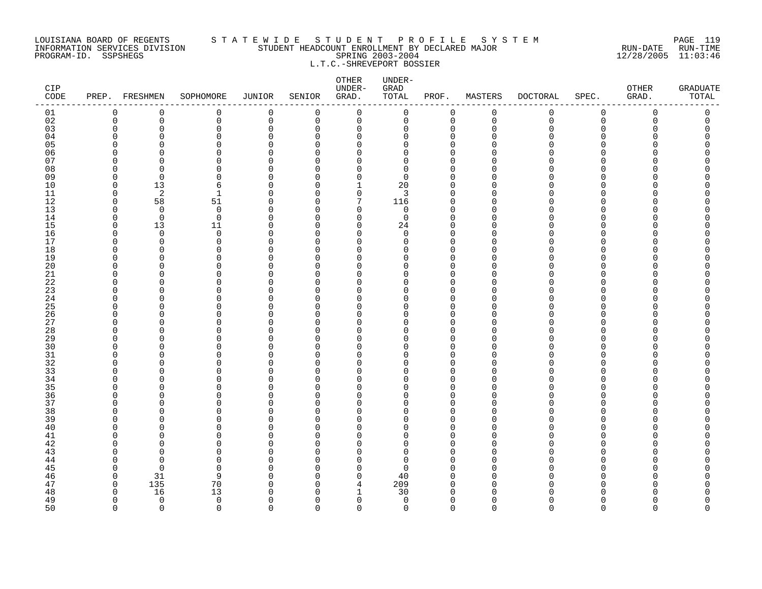### LOUISIANA BOARD OF REGENTS S T A T E W I D E S T U D E N T P R O F I L E S Y S T E M PAGE 119 INFORMATION SERVICES DIVISION STUDENT HEADCOUNT ENROLLMENT BY DECLARED MAJOR RUN-DATE RUN-TIME PROGRAM-ID. SSPSHEGS SPRING 2003-2004 12/28/2005 11:03:46 L.T.C.-SHREVEPORT BOSSIER

| CIP<br>$\texttt{CODE}$ |                      | PREP. FRESHMEN     | SOPHOMORE               | <b>JUNIOR</b>      | SENIOR               | ${\small \texttt{OTHER}}$<br>UNDER-<br>GRAD. | UNDER-<br>GRAD<br>TOTAL | PROF.                | MASTERS            | <b>DOCTORAL</b> | SPEC.                    | OTHER<br>GRAD. | <b>GRADUATE</b><br>TOTAL |
|------------------------|----------------------|--------------------|-------------------------|--------------------|----------------------|----------------------------------------------|-------------------------|----------------------|--------------------|-----------------|--------------------------|----------------|--------------------------|
| 01                     | 0                    | 0                  | 0                       | 0                  | $\mathbf 0$          | 0                                            | 0                       | 0                    | $\mathsf 0$        | 0               | $\mathsf 0$              | $\mathbf 0$    | $\mathsf 0$              |
| 02                     | $\mathbf 0$          | 0                  | 0                       | 0                  | $\mathbf 0$          | 0                                            | 0                       | $\mathbf 0$          | $\mathbf 0$        | 0               | 0                        | 0              | 0                        |
| 03                     | $\Omega$             | $\mathbf 0$        | $\mathbf 0$             | 0                  | $\Omega$             | $\Omega$                                     | 0                       | $\mathbf 0$          | $\Omega$           | Λ               | $\Omega$                 | Λ              | 0                        |
| 04                     | U                    | $\Omega$           | $\Omega$                | C                  | ∩                    | $\Omega$                                     | $\Omega$                | $\Omega$             | n                  |                 | <sup>n</sup>             |                |                          |
| 05<br>06               | O<br>U               | U<br>∩             | $\Omega$<br>$\Omega$    | O<br>O             | ∩<br>∩               | $\Omega$<br>$\Omega$                         | $\Omega$<br>$\Omega$    | $\Omega$<br>$\Omega$ | n                  |                 | $\Omega$<br>$\cap$       |                |                          |
| 07                     | n                    | U                  | $\Omega$                | ∩                  | ∩                    | $\Omega$                                     | $\Omega$                | $\Omega$             | ∩                  |                 | U                        |                |                          |
| 08                     | n                    | $\Omega$           | $\Omega$                | ∩                  | ∩                    | $\Omega$                                     | 0                       | $\Omega$             | n                  |                 | <sup>n</sup>             |                |                          |
| 09                     | O                    | $\Omega$           | $\Omega$                | O                  | $\Omega$             | $\Omega$                                     | $\Omega$                | $\Omega$             | ∩                  |                 | $\Omega$                 |                |                          |
| 10                     | $\Omega$             | 13                 | 6                       | O                  | ∩                    | 1                                            | 20                      | $\Omega$             | n                  |                 | $\Omega$                 |                |                          |
| 11                     | $\Omega$             | 2                  | 1                       | $\Omega$           | $\Omega$             | $\mathbf 0$                                  | 3                       | $\Omega$             | $\cap$             |                 | $\cap$                   |                |                          |
| 12                     | $\Omega$             | 58                 | 51                      | O                  | ∩                    | 7                                            | 116                     | $\Omega$             | n                  |                 | U                        |                |                          |
| 13                     | O                    | $\Omega$           | $\mathbf 0$             | C                  | ∩                    | $\Omega$                                     | $\mathbf 0$             | $\Omega$             | $\cap$             |                 | $\Omega$                 |                |                          |
| 14                     | $\Omega$             | $\mathbf 0$        | $\mathbf 0$             | ∩                  | ∩                    | 0                                            | 0                       | $\Omega$             | $\Omega$           |                 | <sup>n</sup>             |                |                          |
| 15                     | $\cap$               | 13                 | 11                      | C                  | ∩                    | $\Omega$                                     | 24                      | $\Omega$             | $\cap$             |                 | $\Omega$                 |                |                          |
| 16                     | O                    | $\mathbf 0$        | $\mathbf 0$             | $\Omega$           | $\Omega$             | $\Omega$                                     | 0                       | $\Omega$             | U                  |                 | $\Omega$                 |                |                          |
| 17                     | O                    | $\Omega$           | $\Omega$                | C                  | ∩                    | $\Omega$                                     | $\Omega$                | $\Omega$             | n                  |                 | U                        |                |                          |
| 18                     | O                    | $\Omega$           | $\mathbf 0$             | ∩                  | O                    | $\Omega$                                     | $\Omega$                | $\Omega$             | U                  |                 | $\Omega$                 |                |                          |
| 19                     | U                    | U                  | $\Omega$                | ∩                  | ∩                    | $\Omega$                                     | $\Omega$                | $\Omega$             | ∩                  |                 | <sup>n</sup>             |                |                          |
| 20                     | $\cap$<br>U          | U<br>$\Omega$      | $\Omega$<br>$\Omega$    | O<br>$\Omega$      | ∩<br>∩               | $\Omega$<br>$\Omega$                         | $\Omega$                | $\Omega$<br>$\Omega$ | $\cap$<br>$\Omega$ |                 | $\Omega$<br><sup>n</sup> |                |                          |
| 21<br>22               | O                    | O                  | $\Omega$                | ∩                  | O                    | $\Omega$                                     | 0<br>O                  | $\Omega$             | ∩                  |                 | $\Omega$                 |                |                          |
| 23                     | O                    | O                  | $\mathbf 0$             | C                  | ∩                    | $\Omega$                                     | $\Omega$                | $\Omega$             | $\cap$             |                 | $\Omega$                 |                |                          |
| 24                     | U                    | U                  | $\Omega$                |                    | ∩                    | $\Omega$                                     | $\Omega$                | $\Omega$             | $\cap$             |                 | $\Omega$                 |                |                          |
| 25                     | U                    | U                  | $\Omega$                | O                  | ∩                    | Λ                                            | U                       | $\Omega$             | ∩                  |                 | <sup>n</sup>             |                |                          |
| 26                     | O                    | U                  | $\Omega$                | C                  | ∩                    | $\Omega$                                     | O                       | $\Omega$             | U                  |                 | $\Omega$                 |                |                          |
| 27                     | O                    | O                  | 0                       | ∩                  | O                    | $\Omega$                                     | 0                       | $\Omega$             | ∩                  |                 | $\Omega$                 |                |                          |
| 28                     | U                    | U                  | $\Omega$                | C                  | ∩                    | O                                            | O                       | $\Omega$             |                    |                 | <sup>n</sup>             |                |                          |
| 29                     | U                    | U                  | $\Omega$                | O                  | ∩                    | 0                                            | U                       | $\Omega$             | n                  |                 | <sup>n</sup>             |                |                          |
| 30                     | n                    | U                  | $\Omega$                | ∩                  | ∩                    | U                                            | U                       | $\Omega$             | n                  |                 | U                        |                |                          |
| 31                     | O                    | O                  | $\mathbf 0$             | C                  | $\Omega$             | 0                                            | O                       | $\Omega$             | U                  |                 | $\Omega$                 |                |                          |
| 32                     | n                    | U                  | $\Omega$                | ∩                  | ∩                    | $\Omega$                                     | $\Omega$                | $\Omega$             | n                  |                 | <sup>n</sup>             |                |                          |
| 33                     | U                    | U                  | $\Omega$                |                    | ∩                    | U                                            | U                       | $\Omega$             | n<br>n             |                 | <sup>n</sup>             |                |                          |
| 34<br>35               | U<br>U               | U<br>U             | $\Omega$<br>$\Omega$    | ∩<br>C             | ∩<br>∩               | $\Omega$<br>U                                | $\Omega$<br>U           | $\Omega$<br>$\Omega$ | n                  |                 | <sup>n</sup><br>U        |                |                          |
| 36                     | O                    | $\Omega$           | $\mathbf 0$             | $\Omega$           | $\Omega$             | $\Omega$                                     | 0                       | $\Omega$             | $\Omega$           |                 | $\mathbf 0$              |                |                          |
| 37                     | O                    | U                  | $\Omega$                |                    | O                    | $\Omega$                                     | $\Omega$                | $\Omega$             | U                  |                 | <sup>n</sup>             |                |                          |
| 38                     | U                    | O                  | $\Omega$                | ∩                  | ∩                    | 0                                            | U                       | $\Omega$             | n                  |                 | <sup>n</sup>             |                |                          |
| 39                     | n                    | $\Omega$           | $\Omega$                | ∩                  | ∩                    | $\Omega$                                     | $\Omega$                | $\Omega$             | $\cap$             |                 | <sup>n</sup>             |                |                          |
| 40                     | U                    | U                  | $\Omega$                | C                  | ∩                    | U                                            | U                       | $\Omega$             | n                  |                 | <sup>n</sup>             |                |                          |
| 41                     | n                    | U                  | $\mathbf 0$             | O                  | ∩                    | O                                            | 0                       | $\Omega$             | n                  |                 | <sup>0</sup>             |                |                          |
| 42                     | U                    | U                  | $\Omega$                | O                  | O                    | 0                                            | $\Omega$                | $\Omega$             | U                  |                 | <sup>n</sup>             |                |                          |
| 43                     | U                    | U                  | $\Omega$                | O                  | ∩                    | ∩                                            | $\Omega$                | $\Omega$             | n                  |                 | <sup>n</sup>             |                |                          |
| 44                     | U                    | $\Omega$           | $\Omega$                | C                  | ∩                    | $\Omega$                                     | $\Omega$                | $\Omega$             | U                  |                 | <sup>n</sup>             |                |                          |
| 45                     | U                    | $\Omega$           | $\Omega$                | C                  | ∩                    | $\Omega$                                     | $\Omega$                | $\Omega$             | ∩                  |                 | <sup>n</sup>             |                |                          |
| 46                     | 0                    | 31                 | 9                       | C                  | ∩                    | $\Omega$                                     | 40                      | $\Omega$             | $\Omega$           |                 | <sup>n</sup>             |                |                          |
| 47                     | 0                    | 135                | 70                      | O                  | O                    | 4                                            | 209                     | $\Omega$             | $\Omega$           |                 | <sup>n</sup>             |                |                          |
| 48                     | $\Omega$             | 16                 | 13                      | ∩                  | ∩                    | $\mathbf{1}$                                 | 30                      | $\Omega$             | U                  |                 |                          |                |                          |
| 49<br>50               | $\Omega$<br>$\Omega$ | $\Omega$<br>$\cap$ | $\mathbf 0$<br>$\Omega$ | $\Omega$<br>$\cap$ | $\Omega$<br>$\Omega$ | $\mathbf 0$                                  | $\mathbf 0$             | $\Omega$<br>$\Omega$ | $\Omega$<br>$\cap$ | $\Omega$        | $\Omega$<br>$\cap$       | $\Omega$       | O<br>$\Omega$            |
|                        |                      |                    |                         |                    |                      | $\Omega$                                     | $\Omega$                |                      |                    |                 |                          |                |                          |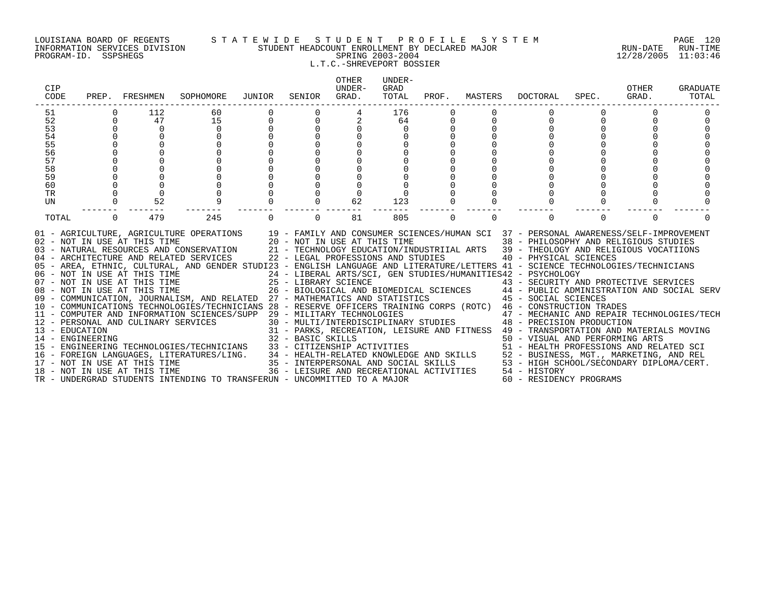### LOUISIANA BOARD OF REGENTS S T A T E W I D E S T U D E N T P R O F I L E S Y S T E M PAGE 120 INFORMATION SERVICES DIVISION STUDENT HEADCOUNT ENROLLMENT BY DECLARED MAJOR RUN-DATE RUN-TIME PROGRAM-ID. SSPSHEGS SPRING 2003-2004 12/28/2005 11:03:46 L.T.C.-SHREVEPORT BOSSIER

| CIP<br>CODE      | PREP.       | FRESHMEN                     | SOPHOMORE                                                                                                                                                                                                                                                                                                                                             | JUNIOR | SENIOR            | <b>OTHER</b><br>UNDER-<br>GRAD.                                    | UNDER-<br>GRAD<br>TOTAL | PROF.    | MASTERS  | DOCTORAL                                                                                                                                                                                                                                 | SPEC.    | OTHER<br>GRAD. | <b>GRADUATE</b><br>TOTAL |
|------------------|-------------|------------------------------|-------------------------------------------------------------------------------------------------------------------------------------------------------------------------------------------------------------------------------------------------------------------------------------------------------------------------------------------------------|--------|-------------------|--------------------------------------------------------------------|-------------------------|----------|----------|------------------------------------------------------------------------------------------------------------------------------------------------------------------------------------------------------------------------------------------|----------|----------------|--------------------------|
| 51               |             | 112                          | 60                                                                                                                                                                                                                                                                                                                                                    |        |                   |                                                                    | 176                     |          |          |                                                                                                                                                                                                                                          |          |                |                          |
| 52               | $\Omega$    | 47                           | 15                                                                                                                                                                                                                                                                                                                                                    | 0      |                   |                                                                    | 64                      |          |          |                                                                                                                                                                                                                                          |          |                |                          |
| 53               | $\Omega$    | $\Omega$                     | $\cap$                                                                                                                                                                                                                                                                                                                                                |        |                   |                                                                    |                         |          |          |                                                                                                                                                                                                                                          |          |                |                          |
| 54               | $\Omega$    | $\Omega$                     |                                                                                                                                                                                                                                                                                                                                                       |        |                   |                                                                    |                         |          |          |                                                                                                                                                                                                                                          |          |                |                          |
| 55               |             |                              |                                                                                                                                                                                                                                                                                                                                                       |        |                   |                                                                    |                         |          |          |                                                                                                                                                                                                                                          |          |                |                          |
| 56               |             |                              |                                                                                                                                                                                                                                                                                                                                                       |        |                   |                                                                    |                         |          |          |                                                                                                                                                                                                                                          |          |                |                          |
| 57               |             |                              |                                                                                                                                                                                                                                                                                                                                                       |        |                   |                                                                    |                         |          |          |                                                                                                                                                                                                                                          |          |                |                          |
| 58               |             |                              |                                                                                                                                                                                                                                                                                                                                                       |        |                   |                                                                    |                         |          |          |                                                                                                                                                                                                                                          |          |                |                          |
| 59               |             |                              |                                                                                                                                                                                                                                                                                                                                                       |        |                   |                                                                    |                         |          |          |                                                                                                                                                                                                                                          |          |                |                          |
| 60               | 0           | $\mathbf 0$                  |                                                                                                                                                                                                                                                                                                                                                       |        |                   |                                                                    |                         |          |          |                                                                                                                                                                                                                                          |          |                |                          |
| TR               | $\mathbf 0$ | $\mathbf 0$                  |                                                                                                                                                                                                                                                                                                                                                       |        |                   |                                                                    |                         |          |          |                                                                                                                                                                                                                                          |          |                |                          |
| UN               | $\mathbf 0$ | 52                           |                                                                                                                                                                                                                                                                                                                                                       |        |                   | 62                                                                 | 123                     |          |          |                                                                                                                                                                                                                                          |          |                |                          |
| TOTAL            | $\Omega$    | 479                          | 245                                                                                                                                                                                                                                                                                                                                                   | 0      | $\Omega$          | 81                                                                 | 805                     | $\Omega$ | $\Omega$ | $\Omega$                                                                                                                                                                                                                                 | $\Omega$ | $\Omega$       |                          |
|                  |             | 02 - NOT IN USE AT THIS TIME | 01 - AGRICULTURE, AGRICULTURE OPERATIONS 19 - FAMILY AND CONSUMER SCIENCES/HUMAN SCI 37 - PERSONAL AWARENESS/SELF-IMPROVEMENT<br>03 - NATURAL RESOURCES AND CONSERVATION<br>04 - ARCHITECTURE AND RELATED SERVICES<br>05 - AREA, ETHNIC, CULTURAL, AND GENDER STUDI23 - ENGLISH LANGUAGE AND LITERATURE/LETTERS 41 - SCIENCE TECHNOLOGIES/TECHNICIANS |        |                   | 20 - NOT IN USE AT THIS TIME<br>22 - LEGAL PROFESSIONS AND STUDIES |                         |          |          | 38 - PHILOSOPHY AND RELIGIOUS STUDIES<br>21 - TECHNOLOGY EDUCATION/INDUSTRIIAL ARTS 39 - THEOLOGY AND RELIGIOUS VOCATIIONS<br>40 - PHYSICAL SCIENCES<br>24 - LIBERAL ARTS/SCI, GEN STUDIES/HUMANITIES42 - PSYCHOLOGY                     |          |                |                          |
|                  |             |                              | 06 - NOT IN USE AT THIS TIME<br>07 - NOT IN USE AT THIS TIME                                                                                                                                                                                                                                                                                          |        |                   | 25 - LIBRARY SCIENCE                                               |                         |          |          | 43 - SECURITY AND PROTECTIVE SERVICES                                                                                                                                                                                                    |          |                |                          |
|                  |             |                              | 08 - NOT IN USE AT THIS TIME                                                                                                                                                                                                                                                                                                                          |        |                   |                                                                    |                         |          |          | 26 - BIOLOGICAL AND BIOMEDICAL SCIENCES 44 - PUBLIC ADMINISTRATION AND SOCIAL SERV                                                                                                                                                       |          |                |                          |
|                  |             |                              | 09 - COMMUNICATION, JOURNALISM, AND RELATED 27 - MATHEMATICS AND STATISTICS                                                                                                                                                                                                                                                                           |        |                   |                                                                    |                         |          |          | 45 - SOCIAL SCIENCES                                                                                                                                                                                                                     |          |                |                          |
|                  |             |                              | 10 - COMMUNICATIONS TECHNOLOGIES/TECHNICIANS 28 - RESERVE OFFICERS TRAINING CORPS (ROTC) 46 - CONSTRUCTION TRADES                                                                                                                                                                                                                                     |        |                   |                                                                    |                         |          |          |                                                                                                                                                                                                                                          |          |                |                          |
|                  |             |                              | 11 - COMPUTER AND INFORMATION SCIENCES/SUPP                                                                                                                                                                                                                                                                                                           |        |                   | 29 - MILITARY TECHNOLOGIES                                         |                         |          |          | 47 - MECHANIC AND REPAIR TECHNOLOGIES/TECH                                                                                                                                                                                               |          |                |                          |
|                  |             |                              | 12 - PERSONAL AND CULINARY SERVICES                                                                                                                                                                                                                                                                                                                   |        |                   |                                                                    |                         |          |          | 30 - MULTI/INTERDISCIPLINARY STUDIES 48 - PRECISION PRODUCTION                                                                                                                                                                           |          |                |                          |
| 13 - EDUCATION   |             |                              |                                                                                                                                                                                                                                                                                                                                                       |        |                   |                                                                    |                         |          |          | 31 - PARKS, RECREATION, LEISURE AND FITNESS 49 - TRANSPORTATION AND MATERIALS MOVING                                                                                                                                                     |          |                |                          |
| 14 - ENGINEERING |             |                              |                                                                                                                                                                                                                                                                                                                                                       |        | 32 - BASIC SKILLS |                                                                    |                         |          |          | 50 - VISUAL AND PERFORMING ARTS                                                                                                                                                                                                          |          |                |                          |
|                  |             |                              | 15 - ENGINEERING TECHNOLOGIES/TECHNICIANS                                                                                                                                                                                                                                                                                                             |        |                   |                                                                    |                         |          |          |                                                                                                                                                                                                                                          |          |                |                          |
|                  |             |                              | 16 - FOREIGN LANGUAGES, LITERATURES/LING.                                                                                                                                                                                                                                                                                                             |        |                   |                                                                    |                         |          |          |                                                                                                                                                                                                                                          |          |                |                          |
|                  |             | 17 - NOT IN USE AT THIS TIME |                                                                                                                                                                                                                                                                                                                                                       |        |                   |                                                                    |                         |          |          |                                                                                                                                                                                                                                          |          |                |                          |
|                  |             | 18 - NOT IN USE AT THIS TIME |                                                                                                                                                                                                                                                                                                                                                       |        |                   |                                                                    |                         |          |          | 33 - CITIZENSHIP ACTIVITIES<br>34 - HEALTH-RELATED KNOWLEDGE AND SKILLS<br>35 - INTERPERSONAL AND SOCIAL SKILLS<br>36 - INTERPERSONAL AND SOCIAL SKILLS<br>36 - LEISURE AND RECREATIONAL ACTIVITIES<br>36 - LEISURE AND RECREATIONAL ACT |          |                |                          |
|                  |             |                              | TR - UNDERGRAD STUDENTS INTENDING TO TRANSFERUN - UNCOMMITTED TO A MAJOR                                                                                                                                                                                                                                                                              |        |                   |                                                                    |                         |          |          | 60 - RESIDENCY PROGRAMS                                                                                                                                                                                                                  |          |                |                          |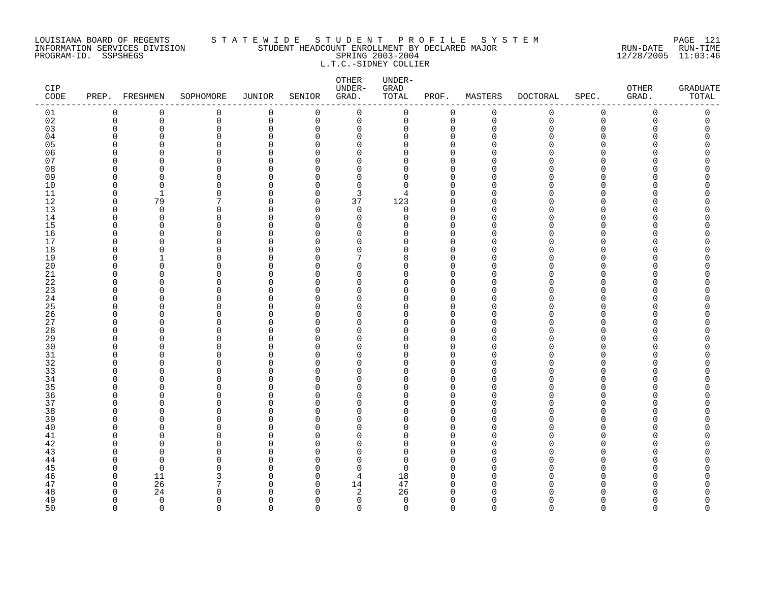### LOUISIANA BOARD OF REGENTS S T A T E W I D E S T U D E N T P R O F I L E S Y S T E M PAGE 121 INFORMATION SERVICES DIVISION STUDENT HEADCOUNT ENROLLMENT BY DECLARED MAJOR RUN-DATE RUN-TIME PROGRAM-ID. SSPSHEGS SPRING 2003-2004 12/28/2005 11:03:46 L.T.C.-SIDNEY COLLIER

| CIP<br>$\texttt{CODE}$ |                | PREP. FRESHMEN | SOPHOMORE     | JUNIOR      | SENIOR               | OTHER<br>UNDER-<br>GRAD. | UNDER-<br>GRAD<br>TOTAL | PROF.            | MASTERS              | DOCTORAL    | SPEC.                    | ${\small \texttt{OTHER}}$<br>GRAD. | <b>GRADUATE</b><br>TOTAL |
|------------------------|----------------|----------------|---------------|-------------|----------------------|--------------------------|-------------------------|------------------|----------------------|-------------|--------------------------|------------------------------------|--------------------------|
| 01                     | 0              | 0              | $\mathbf 0$   | 0           | $\mathbf 0$          | $\mathbf 0$              | 0                       | $\mathbf 0$      | $\mathbf 0$          | $\mathbf 0$ | $\mathbf 0$              | 0                                  | 0                        |
| 02                     | $\overline{0}$ | $\mathbf 0$    | $\mathbf 0$   | $\mathbf 0$ | $\mathbf 0$          | $\mathbf 0$              | 0                       | $\Omega$         | $\mathbf 0$          | $\mathbf 0$ | $\Omega$                 | $\Omega$                           | 0                        |
| 03                     | $\Omega$       | $\mathbf 0$    | $\mathbf{0}$  | $\Omega$    | $\Omega$             | 0                        | 0                       | $\cap$           | $\mathbf 0$          | $\Omega$    | $\Omega$                 |                                    | O                        |
| 04                     | n              | n              | $\Omega$      | N           | <sup>0</sup>         | 0                        | $\Omega$                | $\cap$           | ∩                    | O           | ∩                        |                                    | Ω                        |
| 0 <sub>5</sub>         | U              | ∩              | $\Omega$      |             | $\Omega$             | $\Omega$                 | <sup>0</sup>            | U                | n                    | O           |                          |                                    | Ω                        |
| 06                     | U              | O              | $\Omega$<br>∩ | N           | ∩                    | $\Omega$<br>$\Omega$     | $\Omega$<br>U           | $\cap$<br>$\cap$ | $\Omega$             | U           | ∩                        |                                    | ⋂                        |
| 07<br>08               | n<br>U         | n<br>n         |               | ∩           | ∩<br>∩               | $\Omega$                 |                         | n                | ∩<br>$\Omega$        | U<br>U      | ∩                        |                                    |                          |
| 09                     | U              |                | $\Omega$<br>∩ |             | ∩                    | $\Omega$                 | $\Omega$<br>$\Omega$    | n                | $\Omega$             | U           | <sup>0</sup><br>$\Omega$ |                                    |                          |
| 10                     | O              | $\Omega$       | $\Omega$      | U           | $\Omega$             | $\Omega$                 | $\Omega$                | U                | $\Omega$             | O           | $\Omega$                 |                                    | Λ                        |
| 11                     | $\Omega$       | 1              | ∩             | N           | <sup>0</sup>         | 3                        | 4                       | $\cap$           | $\Omega$             | U           | ∩                        |                                    |                          |
| 12                     | $\Omega$       | 79             |               | N           | $\Omega$             | 37                       | 123                     | n                | $\Omega$             | U           | <sup>0</sup>             |                                    |                          |
| 13                     | O              | $\mathbf 0$    | 0             | ∩           | $\Omega$             | 0                        | 0                       | U                | $\Omega$             | U           | ∩                        |                                    |                          |
| 14                     | U              | $\Omega$       | $\Omega$      |             | $\Omega$             | $\mathbf 0$              | $\Omega$                | $\cap$           | $\Omega$             | U           | $\Omega$                 |                                    |                          |
| 15                     | U              | <sup>n</sup>   | ∩             |             | $\Omega$             | $\Omega$                 | U                       | n                | $\Omega$             | U           | ∩                        |                                    |                          |
| 16                     | n              | n              | ∩             |             | $\Omega$             | $\Omega$                 | U                       | n                | $\Omega$             | ∩           | $\Omega$                 |                                    |                          |
| 17                     | O              | U              | $\Omega$      | ∩           | $\Omega$             | $\Omega$                 | <sup>0</sup>            | n                | $\Omega$             | U           | $\Omega$                 |                                    |                          |
| 18                     | U              |                | $\Omega$      |             | ∩                    | 0                        | O                       |                  | O                    | Ω           | ∩                        |                                    |                          |
| 19                     | n              |                | $\Omega$      |             | <sup>0</sup>         | 7                        | 8                       | U                | $\Omega$             | U           | $\Omega$                 |                                    |                          |
| 20                     | n              | ∩              | ∩             |             | ∩                    | O                        | U                       |                  | $\Omega$             | U           | n                        |                                    |                          |
| 21                     | n              | ∩              | $\Omega$      |             | ∩                    | $\Omega$                 | U                       | n                | $\Omega$             | U           | ∩                        |                                    |                          |
| 22                     | n              | ∩              | $\Omega$      |             | ∩                    | $\Omega$                 | U                       | ∩                | $\Omega$             | U           | ∩                        |                                    |                          |
| 23                     | $\cap$         | ∩              | $\Omega$      |             | $\Omega$             | $\Omega$                 | U                       |                  | $\Omega$             | U           | $\Omega$                 |                                    |                          |
| 24                     | O              | O              | $\Omega$      |             | <sup>0</sup>         | $\Omega$                 | <sup>0</sup>            | ∩                | $\Omega$             | U           | <sup>0</sup>             |                                    |                          |
| 25                     | n              | n              | ∩             |             | ∩                    | $\Omega$                 | ∩                       |                  | ∩                    | U           | ∩                        |                                    |                          |
| 26                     | O              | $\Omega$       | 0<br>∩        | N           | <sup>0</sup>         | 0                        | <sup>0</sup><br>U       | U                | $\Omega$<br>$\Omega$ | U           | $\Omega$<br>$\Omega$     |                                    | Ω                        |
| 27                     | n<br>U         | ∩              | ∩             |             | ∩<br>$\Omega$        | $\Omega$<br>$\Omega$     | U                       | n                | $\Omega$             | U<br>U      | $\Omega$                 |                                    |                          |
| 28<br>29               | n              | U              | ∩             |             | $\cap$               | $\Omega$                 | U                       | n                | $\Omega$             | U           | $\cap$                   |                                    |                          |
| 30                     | n              | ∩              | ∩             |             | ∩                    | $\Omega$                 | ∩                       |                  | $\Omega$             | ∩           | ∩                        |                                    |                          |
| 31                     | O              | <sup>0</sup>   | 0             | ∩           | <sup>0</sup>         | 0                        | <sup>0</sup>            | n                | <sup>0</sup>         | U           | $\Omega$                 |                                    | Ω                        |
| 32                     | n              | n              | $\Omega$      |             | <sup>0</sup>         | $\Omega$                 | <sup>0</sup>            | n                | $\Omega$             | U           | $\Omega$                 |                                    |                          |
| 33                     | n              | <sup>0</sup>   | $\Omega$      |             | $\Omega$             | $\Omega$                 | U                       | n                | $\Omega$             | U           | $\Omega$                 |                                    | ⋂                        |
| 34                     | n              | U              | $\Omega$      |             | ∩                    | $\Omega$                 | U                       | $\cap$           | $\Omega$             | U           | $\Omega$                 |                                    |                          |
| 35                     | n              | ∩              | ∩             |             | ∩                    | $\Omega$                 | U                       | n                | $\Omega$             | U           | $\Omega$                 |                                    |                          |
| 36                     | n              | ∩              | ∩             | ∩           | $\cap$               | $\Omega$                 | U                       | n                | $\Omega$             | U           | $\Omega$                 |                                    |                          |
| 37                     | O              | O              | $\Omega$      |             | $\Omega$             | $\Omega$                 | $\Omega$                | U                | $\Omega$             | O           | $\Omega$                 |                                    |                          |
| 38                     | n              | O              | O             |             | ∩                    | 0                        | O                       |                  | <sup>0</sup>         | U           | ∩                        |                                    |                          |
| 39                     | O              | <sup>n</sup>   | $\Omega$      |             | ∩                    | $\Omega$                 | O                       | U                | $\Omega$             | U           | <sup>0</sup>             |                                    |                          |
| 40                     | n              | ∩              | $\Omega$      |             | ∩                    | $\Omega$                 | <sup>0</sup>            | ∩                | $\Omega$             | U           | <sup>0</sup>             |                                    |                          |
| 41                     | U              | ∩              | ∩             |             | $\Omega$             | $\Omega$                 | U                       | U                | $\Omega$             | U           | $\Omega$                 |                                    |                          |
| 42                     | U              | $\cap$         | $\Omega$      |             | $\Omega$             | $\Omega$                 | $\Omega$                | U                | $\Omega$             | U           | $\Omega$                 |                                    |                          |
| 43                     | ∩              | ∩              | ∩             | ∩           | $\cap$               | $\Omega$                 | U                       | n                | $\Omega$             | ∩           | ∩                        |                                    |                          |
| 44                     | O              | $\Omega$       | $\Omega$      |             | $\Omega$             | $\Omega$                 | $\Omega$                | U                | $\Omega$             | N           | $\Omega$                 |                                    |                          |
| 45                     | n              | $\Omega$       | O             |             | ∩                    | 0                        | $\Omega$                |                  | $\Omega$             | U           | $\Omega$                 |                                    |                          |
| 46                     | O              | 11             | 3             |             | <sup>0</sup>         | 4                        | 18                      | n                | $\Omega$             | O           | ∩<br>∩                   |                                    |                          |
| 47<br>48               | O<br>U         | 26             | ∩             | ∩<br>r      | $\Omega$<br>$\Omega$ | 14                       | 47<br>26                |                  | $\Omega$<br>$\Omega$ | U<br>∩      |                          |                                    |                          |
| 49                     | $\Omega$       | 24<br>$\Omega$ | $\Omega$      | ∩           | $\Omega$             | 2<br>$\mathbf 0$         | $\mathbf 0$             | $\Omega$         | $\Omega$             | 0           | $\Omega$                 | U                                  | O                        |
| 50                     | $\Omega$       | $\Omega$       | $\cap$        | $\Omega$    | $\cap$               | $\Omega$                 | $\Omega$                | $\Omega$         | $\Omega$             | $\Omega$    | $\Omega$                 | $\Omega$                           | $\cap$                   |
|                        |                |                |               |             |                      |                          |                         |                  |                      |             |                          |                                    |                          |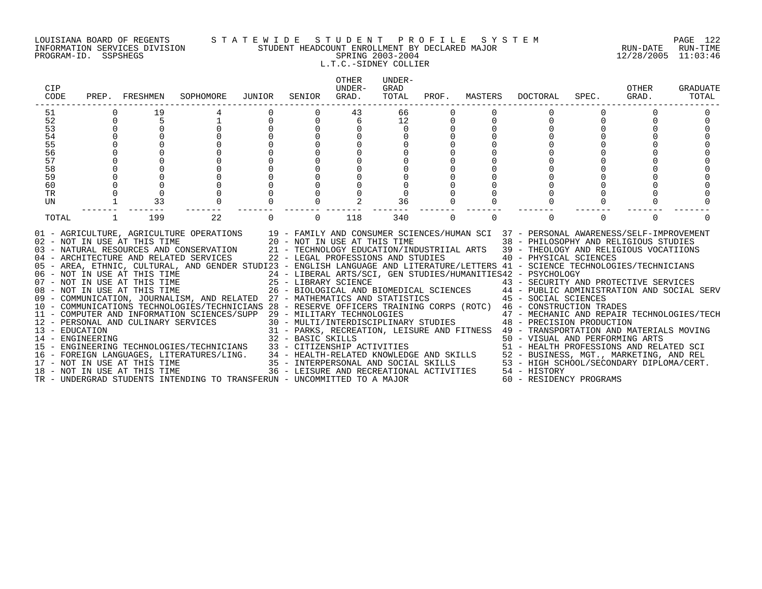### LOUISIANA BOARD OF REGENTS S T A T E W I D E S T U D E N T P R O F I L E S Y S T E M PAGE 122 INFORMATION SERVICES DIVISION STUDENT HEADCOUNT ENROLLMENT BY DECLARED MAJOR RUN-DATE RUN-TIME PROGRAM-ID. SSPSHEGS SPRING 2003-2004 12/28/2005 11:03:46 L.T.C.-SIDNEY COLLIER

| CIP<br>CODE      | PREP. | FRESHMEN                     | SOPHOMORE                                                                                                                                                                                                                                                                                                                                                                                                                                                                                                                                                                                                                                                                                                                                                        | JUNIOR | SENIOR               | <b>OTHER</b><br>UNDER-<br>GRAD.                                    | UNDER-<br>GRAD<br>TOTAL | PROF. | MASTERS  | <b>DOCTORAL</b>                                                                                                                                                                                                                                                | SPEC.    | OTHER<br>GRAD. | <b>GRADUATE</b><br>TOTAL |
|------------------|-------|------------------------------|------------------------------------------------------------------------------------------------------------------------------------------------------------------------------------------------------------------------------------------------------------------------------------------------------------------------------------------------------------------------------------------------------------------------------------------------------------------------------------------------------------------------------------------------------------------------------------------------------------------------------------------------------------------------------------------------------------------------------------------------------------------|--------|----------------------|--------------------------------------------------------------------|-------------------------|-------|----------|----------------------------------------------------------------------------------------------------------------------------------------------------------------------------------------------------------------------------------------------------------------|----------|----------------|--------------------------|
| 51               |       | 19                           |                                                                                                                                                                                                                                                                                                                                                                                                                                                                                                                                                                                                                                                                                                                                                                  |        |                      | 43                                                                 | 66                      |       |          |                                                                                                                                                                                                                                                                |          |                |                          |
| 52               |       | 5                            |                                                                                                                                                                                                                                                                                                                                                                                                                                                                                                                                                                                                                                                                                                                                                                  |        | $\Omega$             | 6                                                                  | 12                      |       |          |                                                                                                                                                                                                                                                                |          |                |                          |
| 53               |       |                              |                                                                                                                                                                                                                                                                                                                                                                                                                                                                                                                                                                                                                                                                                                                                                                  |        | $\Omega$             |                                                                    | $\Omega$                |       |          |                                                                                                                                                                                                                                                                |          |                |                          |
| 54               |       |                              |                                                                                                                                                                                                                                                                                                                                                                                                                                                                                                                                                                                                                                                                                                                                                                  |        | $\Omega$             |                                                                    |                         |       |          |                                                                                                                                                                                                                                                                |          |                |                          |
| 55               |       |                              |                                                                                                                                                                                                                                                                                                                                                                                                                                                                                                                                                                                                                                                                                                                                                                  |        |                      |                                                                    |                         |       |          |                                                                                                                                                                                                                                                                |          |                |                          |
| 56               |       |                              |                                                                                                                                                                                                                                                                                                                                                                                                                                                                                                                                                                                                                                                                                                                                                                  |        |                      |                                                                    |                         |       |          |                                                                                                                                                                                                                                                                |          |                |                          |
| 57               |       |                              |                                                                                                                                                                                                                                                                                                                                                                                                                                                                                                                                                                                                                                                                                                                                                                  |        |                      |                                                                    |                         |       |          |                                                                                                                                                                                                                                                                |          |                |                          |
| 58               |       |                              |                                                                                                                                                                                                                                                                                                                                                                                                                                                                                                                                                                                                                                                                                                                                                                  |        |                      |                                                                    |                         |       |          |                                                                                                                                                                                                                                                                |          |                |                          |
| 59               |       |                              |                                                                                                                                                                                                                                                                                                                                                                                                                                                                                                                                                                                                                                                                                                                                                                  |        |                      |                                                                    |                         |       |          |                                                                                                                                                                                                                                                                |          |                |                          |
| 60               |       |                              |                                                                                                                                                                                                                                                                                                                                                                                                                                                                                                                                                                                                                                                                                                                                                                  |        |                      |                                                                    |                         |       |          |                                                                                                                                                                                                                                                                |          |                |                          |
| TR               |       | $\mathbf 0$                  |                                                                                                                                                                                                                                                                                                                                                                                                                                                                                                                                                                                                                                                                                                                                                                  |        |                      |                                                                    |                         |       |          |                                                                                                                                                                                                                                                                |          |                |                          |
| UN               |       | 33                           |                                                                                                                                                                                                                                                                                                                                                                                                                                                                                                                                                                                                                                                                                                                                                                  |        |                      |                                                                    | 36                      |       |          |                                                                                                                                                                                                                                                                |          |                |                          |
| TOTAL            |       | 199                          | 22                                                                                                                                                                                                                                                                                                                                                                                                                                                                                                                                                                                                                                                                                                                                                               |        | $\Omega$             | 118                                                                | 340                     | 0     | $\Omega$ |                                                                                                                                                                                                                                                                | $\Omega$ | $\Omega$       |                          |
|                  |       | 02 - NOT IN USE AT THIS TIME | 01 - AGRICULTURE, AGRICULTURE OPERATIONS 19 - FAMILY AND CONSUMER SCIENCES/HUMAN SCI 37 - PERSONAL AWARENESS/SELF-IMPROVEMENT<br>03 - NATURAL RESOURCES AND CONSERVATION 21 - TECHNOLOGY EDUCATION/INDUSTRIIAL ARTS 39 - THEOLOGY AND RELIGIOUS VOCATIIONS<br>04 - ARCHITECTURE AND RELATED SERVICES<br>05 - AREA, ETHNIC, CULTURAL, AND GENDER STUDI23 - ENGLISH LANGUAGE AND LITERATURE/LETTERS 41 - SCIENCE TECHNOLOGIES/TECHNICIANS<br>06 - NOT IN USE AT THIS TIME<br>07 - NOT IN USE AT THIS TIME<br>08 - NOT IN USE AT THIS TIME<br>09 - COMMUNICATION, JOURNALISM, AND RELATED 27 - MATHEMATICS AND STATISTICS 45 - SOCIAL SCIENCES<br>10 - COMMUNICATIONS TECHNOLOGIES/TECHNICIANS 28 - RESERVE OFFICERS TRAINING CORPS (ROTC) 46 - CONSTRUCTION TRADES |        | 25 - LIBRARY SCIENCE | 20 - NOT IN USE AT THIS TIME<br>22 - LEGAL PROFESSIONS AND STUDIES |                         |       |          | 38 - PHILOSOPHY AND RELIGIOUS STUDIES<br>40 - PHYSICAL SCIENCES<br>24 - LIBERAL ARTS/SCI, GEN STUDIES/HUMANITIES42 - PSYCHOLOGY<br>43 - SECURITY AND PROTECTIVE SERVICES<br>26 - BIOLOGICAL AND BIOMEDICAL SCIENCES 44 - PUBLIC ADMINISTRATION AND SOCIAL SERV |          |                |                          |
|                  |       |                              | 11 - COMPUTER AND INFORMATION SCIENCES/SUPP 29 - MILITARY TECHNOLOGIES<br>12 - PERSONAL AND CULINARY SERVICES                                                                                                                                                                                                                                                                                                                                                                                                                                                                                                                                                                                                                                                    |        |                      |                                                                    |                         |       |          | 47 - MECHANIC AND REPAIR TECHNOLOGIES/TECH<br>30 - MULTI/INTERDISCIPLINARY STUDIES 48 - PRECISION PRODUCTION                                                                                                                                                   |          |                |                          |
| 13 - EDUCATION   |       |                              |                                                                                                                                                                                                                                                                                                                                                                                                                                                                                                                                                                                                                                                                                                                                                                  |        |                      |                                                                    |                         |       |          | 31 - PARKS, RECREATION, LEISURE AND FITNESS 49 - TRANSPORTATION AND MATERIALS MOVING                                                                                                                                                                           |          |                |                          |
| 14 - ENGINEERING |       |                              |                                                                                                                                                                                                                                                                                                                                                                                                                                                                                                                                                                                                                                                                                                                                                                  |        | 32 - BASIC SKILLS    |                                                                    |                         |       |          | 50 - VISUAL AND PERFORMING ARTS                                                                                                                                                                                                                                |          |                |                          |
|                  |       |                              | 15 - ENGINEERING TECHNOLOGIES/TECHNICIANS                                                                                                                                                                                                                                                                                                                                                                                                                                                                                                                                                                                                                                                                                                                        |        |                      |                                                                    |                         |       |          | 33 - CITIZENSHIP ACTIVITIES<br>34 - HEALTH-RELATED KNOWLEDGE AND SKILLS<br>35 - INTERPERSONAL AND SOCIAL SKILLS<br>36 - INTERPERSONAL AND SOCIAL SKILLS<br>36 - LEISURE AND RECREATIONAL ACTIVITIES<br>36 - LEISURE AND RECREATIONAL ACT                       |          |                |                          |
|                  |       |                              | 16 - FOREIGN LANGUAGES, LITERATURES/LING.                                                                                                                                                                                                                                                                                                                                                                                                                                                                                                                                                                                                                                                                                                                        |        |                      |                                                                    |                         |       |          |                                                                                                                                                                                                                                                                |          |                |                          |
|                  |       |                              | 17 - NOT IN USE AT THIS TIME<br>18 - NOT IN USE AT THIS TIME                                                                                                                                                                                                                                                                                                                                                                                                                                                                                                                                                                                                                                                                                                     |        |                      |                                                                    |                         |       |          |                                                                                                                                                                                                                                                                |          |                |                          |
|                  |       |                              |                                                                                                                                                                                                                                                                                                                                                                                                                                                                                                                                                                                                                                                                                                                                                                  |        |                      |                                                                    |                         |       |          |                                                                                                                                                                                                                                                                |          |                |                          |
|                  |       |                              | TR - UNDERGRAD STUDENTS INTENDING TO TRANSFERUN - UNCOMMITTED TO A MAJOR                                                                                                                                                                                                                                                                                                                                                                                                                                                                                                                                                                                                                                                                                         |        |                      |                                                                    |                         |       |          | 60 - RESIDENCY PROGRAMS                                                                                                                                                                                                                                        |          |                |                          |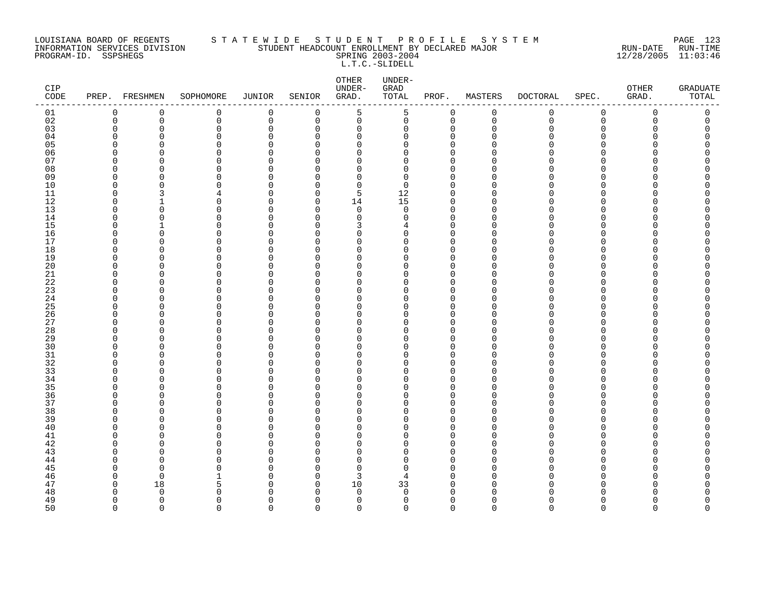### LOUISIANA BOARD OF REGENTS S T A T E W I D E S T U D E N T P R O F I L E S Y S T E M PAGE 123 INFORMATION SERVICES DIVISION STUDENT HEADCOUNT ENROLLMENT BY DECLARED MAJOR RUN-DATE RUN-TIME PROGRAM-ID. SSPSHEGS SPRING 2003-2004 12/28/2005 11:03:46 L.T.C.-SLIDELL

| CIP<br>$\texttt{CODE}$ |                      | PREP. FRESHMEN           | SOPHOMORE            | JUNIOR        | SENIOR               | OTHER<br>UNDER-<br>GRAD. | UNDER-<br>${\tt GRAD}$<br>TOTAL | PROF.                      | MASTERS              | <b>DOCTORAL</b> | SPEC.                | OTHER<br>GRAD. | <b>GRADUATE</b><br>TOTAL |
|------------------------|----------------------|--------------------------|----------------------|---------------|----------------------|--------------------------|---------------------------------|----------------------------|----------------------|-----------------|----------------------|----------------|--------------------------|
| 01                     | $\mathbf 0$          | 0                        | 0                    | 0             | 0                    | 5                        | 5                               | $\mathbf 0$                | $\mathbf 0$          | 0               | $\mathbf 0$          | 0              | 0                        |
| 02                     | $\mathbf 0$          | 0                        | 0                    | $\mathsf 0$   | $\mathbf 0$          | $\mathbf 0$              | 0                               | $\mathbf 0$                | $\mathbf 0$          | $\mathbf 0$     | $\mathbf 0$          | 0              | 0                        |
| 03                     | $\Omega$             | $\Omega$                 | 0                    | $\Omega$      | $\mathbf 0$          | $\mathbf 0$              | 0                               | $\mathbf 0$                | $\Omega$             | $\Omega$        | 0                    | O              | 0                        |
| 04                     | $\Omega$<br>$\Omega$ | <sup>n</sup><br>$\Omega$ | $\Omega$             | $\Omega$      | $\Omega$             | $\Omega$                 | 0                               | $\Omega$                   | n<br>$\cap$          | U               | $\Omega$             | ∩              | U                        |
| 05                     | n                    | <sup>0</sup>             | $\Omega$             | $\Omega$<br>O | $\Omega$             | $\Omega$                 | 0                               | $\Omega$                   | ∩                    | N<br>∩          | $\Omega$<br>$\Omega$ |                | C<br>Λ                   |
| 06<br>07               | ∩                    | <sup>n</sup>             | 0<br>$\Omega$        | O             | $\Omega$<br>$\Omega$ | 0<br>$\mathbf 0$         | 0<br>0                          | $\mathbf 0$<br>$\mathbf 0$ | ∩                    | ∩               | ∩                    |                | Ω                        |
| 08                     | $\Omega$             | $\Omega$                 | $\Omega$             | $\Omega$      | $\Omega$             | $\mathbf 0$              | 0                               | $\mathbf 0$                | $\Omega$             | ∩               | ∩                    |                | ⋂                        |
| 09                     | $\Omega$             | $\Omega$                 | $\Omega$             | $\Omega$      | $\Omega$             | $\Omega$                 | $\Omega$                        | $\Omega$                   | $\Omega$             |                 | $\Omega$             |                |                          |
| 10                     | $\Omega$             | $\Omega$                 | 0                    | $\Omega$      | $\mathbf 0$          | $\mathbf 0$              | 0                               | $\mathbf 0$                | $\cap$               | N               | 0                    |                |                          |
| 11                     | $\Omega$             | 3                        | 4                    | O             | $\Omega$             | 5                        | 12                              | $\mathbf 0$                | ∩                    | N               | $\Omega$             |                |                          |
| 12                     | $\cap$               |                          | 0                    | O             | $\Omega$             | 14                       | 15                              | $\mathbf 0$                | n                    |                 | ∩                    |                | ∩                        |
| 13                     | $\Omega$             | $\Omega$                 | $\Omega$             | $\Omega$      | $\Omega$             | $\mathbf 0$              | $\mathbf 0$                     | $\mathbf 0$                | $\cap$               |                 | $\Omega$             |                |                          |
| 14                     | $\Omega$             | <sup>n</sup>             | $\Omega$             | $\Omega$      | $\Omega$             | $\mathbf 0$              | 0                               | $\mathbf 0$                | $\Omega$             | ∩               | $\Omega$             | U              | Λ                        |
| 15                     | $\cap$               |                          | 0                    | $\Omega$      | $\Omega$             | 3                        | 4                               | $\overline{0}$             | O                    |                 | $\Omega$             |                | Λ                        |
| 16                     | $\Omega$             | $\Omega$                 | 0                    | O             | $\Omega$             | $\mathbf 0$              | 0                               | $\mathbf 0$                | ∩                    | N               | $\Omega$             |                | Λ                        |
| 17                     | n                    | $\Omega$                 | $\Omega$             | $\Omega$      | $\Omega$             | $\Omega$                 | 0                               | $\mathbf 0$                | $\Omega$             |                 | ∩                    |                | ⋂                        |
| 18                     | $\Omega$             | $\Omega$                 | $\Omega$             | $\Omega$      | $\Omega$             | $\Omega$                 | 0                               | $\Omega$                   | $\Omega$             |                 | $\Omega$             |                |                          |
| 19                     | O                    | $\Omega$                 | 0                    | O             | $\Omega$             | $\mathbf 0$              | 0                               | $\mathbf 0$                | $\Omega$             | N               | $\Omega$             |                | Λ                        |
| 20                     | O<br>$\cap$          | $\Omega$<br>$\Omega$     | $\Omega$             | $\Omega$      | $\Omega$             | $\mathbf 0$              | 0                               | $\mathbf 0$                | $\Omega$<br>$\Omega$ | ∩               | $\Omega$<br>∩        |                | ⋂                        |
| 21<br>22               | O                    | $\Omega$                 | $\Omega$<br>$\Omega$ | $\Omega$<br>O | $\Omega$<br>$\Omega$ | $\mathbf 0$<br>$\Omega$  | 0<br>0                          | $\mathbf 0$<br>$\Omega$    | $\Omega$             |                 | $\Omega$             |                |                          |
| 23                     | n                    | <sup>n</sup>             | $\Omega$             | $\Omega$      | $\Omega$             | $\Omega$                 | 0                               | $\mathbf 0$                | $\Omega$             |                 | $\Omega$             |                |                          |
| 24                     | $\cap$               | O                        | 0                    | O             | $\Omega$             | $\mathbf 0$              | 0                               | $\mathbf 0$                | $\Omega$             | N               | $\Omega$             |                |                          |
| 25                     | O                    | $\Omega$                 | $\Omega$             | O             | $\Omega$             | $\mathbf 0$              | 0                               | $\mathbf 0$                | n                    |                 | $\Omega$             |                | ⋂                        |
| 26                     | O                    | $\Omega$                 | $\Omega$             | $\Omega$      | $\Omega$             | $\mathbf 0$              | 0                               | $\mathbf 0$                | $\Omega$             | ∩               | ∩                    |                | Λ                        |
| 27                     | n                    | <sup>n</sup>             | $\Omega$             | $\Omega$      | $\Omega$             | $\mathbf 0$              | 0                               | $\mathbf 0$                | ∩                    |                 | $\Omega$             | U              | Λ                        |
| 28                     | O                    | $\Omega$                 | 0                    | $\Omega$      | $\Omega$             | $\mathbf 0$              | 0                               | $\overline{0}$             | $\cap$               |                 | $\Omega$             |                |                          |
| 29                     | ∩                    | <sup>0</sup>             | 0                    | 0             | $\Omega$             | 0                        | 0                               | $\mathbf 0$                | ∩                    |                 | $\Omega$             |                | ⋂                        |
| 30                     | ∩                    | <sup>n</sup>             | $\Omega$             | $\Omega$      | $\Omega$             | $\Omega$                 | 0                               | $\Omega$                   | $\Omega$             |                 | ∩                    |                |                          |
| 31                     | ∩                    | $\cap$                   | $\Omega$             | O             | $\Omega$             | $\Omega$                 | 0                               | $\Omega$                   | $\Omega$             |                 | ∩                    |                |                          |
| 32                     | n                    | <sup>n</sup>             | $\Omega$             | O             | $\Omega$             | $\Omega$                 | 0                               | $\mathbf 0$                | $\cap$               |                 | ∩                    |                |                          |
| 33                     | O                    | $\Omega$                 | 0                    | O             | $\Omega$             | $\mathbf 0$              | 0                               | $\Omega$                   | $\Omega$             |                 | $\Omega$             |                |                          |
| 34                     | n<br>∩               | $\Omega$<br>$\cap$       | $\Omega$             | 0<br>O        | $\Omega$             | 0                        | 0                               | $\mathbf 0$<br>$\Omega$    | $\Omega$<br>n        |                 | $\Omega$<br>∩        |                |                          |
| 35<br>36               | U                    | $\Omega$                 | $\Omega$<br>$\Omega$ | O             | $\Omega$<br>$\Omega$ | $\Omega$<br>$\mathbf 0$  | 0<br>0                          | $\mathbf 0$                | $\Omega$             | N               | $\Omega$             |                | ⋂                        |
| 37                     | $\cap$               | $\Omega$                 | 0                    | $\Omega$      | $\Omega$             | $\mathbf 0$              | 0                               | $\mathbf 0$                | $\Omega$             | N               | $\Omega$             |                |                          |
| 38                     | U                    | $\Omega$                 | $\Omega$             | 0             | $\Omega$             | $\mathbf 0$              | 0                               | $\mathbf 0$                | n                    |                 | $\Omega$             |                | Ω                        |
| 39                     | n                    | $\Omega$                 | $\Omega$             | $\Omega$      | $\Omega$             | $\mathbf 0$              | 0                               | $\mathbf 0$                | $\Omega$             | ∩               | ∩                    |                | ⋂                        |
| 40                     | n                    | $\cap$                   | $\Omega$             | O             | $\Omega$             | $\Omega$                 | 0                               | $\Omega$                   | $\Omega$             |                 | ∩                    |                |                          |
| 41                     | n                    | $\cap$                   | 0                    | $\Omega$      | $\Omega$             | $\Omega$                 | 0                               | $\Omega$                   | n                    |                 | $\Omega$             |                | Λ                        |
| $4\sqrt{2}$            | U                    | <sup>0</sup>             | 0                    | 0             | $\Omega$             | 0                        | 0                               | $\mathbf 0$                | ∩                    |                 | $\Omega$             |                |                          |
| 43                     | ∩                    | ∩                        | U                    | $\Omega$      | $\Omega$             | $\Omega$                 | 0                               | $\Omega$                   | U                    |                 | ∩                    |                | ⋂                        |
| 44                     | n                    | $\cap$                   | 0                    | O             | $\Omega$             | $\Omega$                 | 0                               | $\mathbf 0$                | ∩                    |                 | $\Omega$             |                |                          |
| 45                     | ∩                    | $\Omega$                 | $\Omega$             | O             | $\Omega$             | $\mathbf 0$              | 0                               | $\mathbf 0$                | ∩                    |                 | $\Omega$             |                |                          |
| 46                     | U                    | $\Omega$                 |                      | $\Omega$      | $\Omega$             | 3                        | 4                               | $\mathbf 0$                | $\Omega$             | U               | $\Omega$             |                |                          |
| 47                     | $\Omega$             | 18                       | 5                    | 0             | 0                    | 10                       | 33                              | $\mathbf 0$                | $\Omega$             | N               | $\Omega$             |                | Ω                        |
| 48                     | ∩                    | $\Omega$                 | U                    | U             | $\Omega$             | $\mathbf 0$              | $\Omega$                        | $\Omega$                   | U                    |                 |                      |                | ⋂                        |
| 49<br>50               | $\Omega$<br>$\cap$   | $\Omega$<br>$\cap$       | $\Omega$<br>$\Omega$ | O<br>$\Omega$ | $\Omega$<br>$\cap$   | $\mathbf 0$<br>$\Omega$  | 0<br>$\Omega$                   | $\mathbf 0$<br>$\Omega$    | $\Omega$<br>$\cap$   | U<br>$\Omega$   | $\Omega$<br>$\Omega$ | ∩<br>$\Omega$  | 0<br>$\Omega$            |
|                        |                      |                          |                      |               |                      |                          |                                 |                            |                      |                 |                      |                |                          |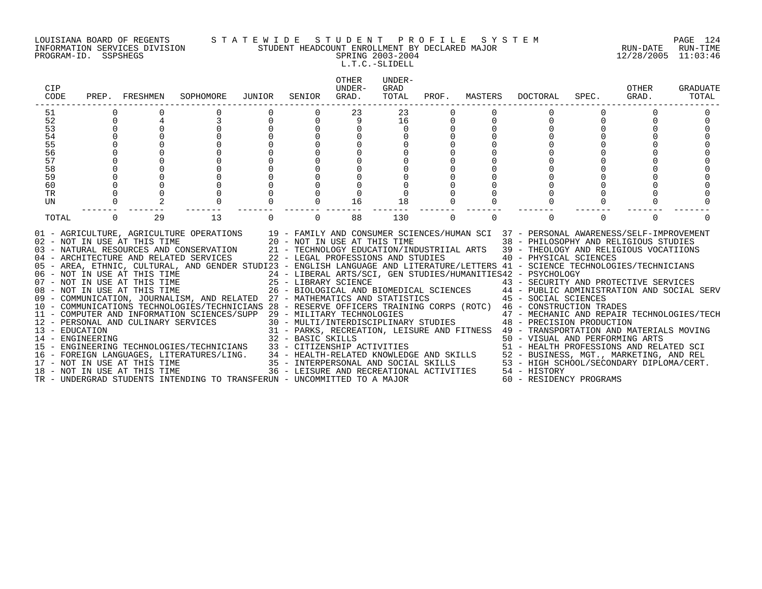### LOUISIANA BOARD OF REGENTS S T A T E W I D E S T U D E N T P R O F I L E S Y S T E M PAGE 124 INFORMATION SERVICES DIVISION STUDENT HEADCOUNT ENROLLMENT BY DECLARED MAJOR RUN-DATE RUN-TIME PROGRAM-ID. SSPSHEGS SPRING 2003-2004 12/28/2005 11:03:46

L.T.C.-SLIDELL

| <b>CIP</b><br>CODE |          | PREP. FRESHMEN               | SOPHOMORE                                                                                                                                                                                                                                                                                                                                                                                                             | JUNIOR   | SENIOR   | <b>OTHER</b><br>UNDER-<br>GRAD.                                    | UNDER-<br>GRAD<br>TOTAL | PROF.    | MASTERS  | DOCTORAL                                                                                                                                                                                                                           | SPEC.    | OTHER<br>GRAD. | <b>GRADUATE</b><br>TOTAL |
|--------------------|----------|------------------------------|-----------------------------------------------------------------------------------------------------------------------------------------------------------------------------------------------------------------------------------------------------------------------------------------------------------------------------------------------------------------------------------------------------------------------|----------|----------|--------------------------------------------------------------------|-------------------------|----------|----------|------------------------------------------------------------------------------------------------------------------------------------------------------------------------------------------------------------------------------------|----------|----------------|--------------------------|
| 51                 |          |                              |                                                                                                                                                                                                                                                                                                                                                                                                                       |          |          | 23                                                                 | 23                      |          |          |                                                                                                                                                                                                                                    |          |                |                          |
| 52                 | 0        |                              |                                                                                                                                                                                                                                                                                                                                                                                                                       | $\Omega$ |          | 9                                                                  | 16                      | 0        |          |                                                                                                                                                                                                                                    |          |                |                          |
| 53                 |          |                              |                                                                                                                                                                                                                                                                                                                                                                                                                       |          |          |                                                                    | $\Omega$                |          |          |                                                                                                                                                                                                                                    |          |                |                          |
| 54                 |          |                              |                                                                                                                                                                                                                                                                                                                                                                                                                       |          |          |                                                                    |                         |          |          |                                                                                                                                                                                                                                    |          |                |                          |
| 55                 |          |                              |                                                                                                                                                                                                                                                                                                                                                                                                                       |          |          |                                                                    |                         |          |          |                                                                                                                                                                                                                                    |          |                |                          |
| 56                 |          |                              |                                                                                                                                                                                                                                                                                                                                                                                                                       |          |          |                                                                    |                         |          |          |                                                                                                                                                                                                                                    |          |                |                          |
| 57                 |          |                              |                                                                                                                                                                                                                                                                                                                                                                                                                       |          |          |                                                                    |                         |          |          |                                                                                                                                                                                                                                    |          |                |                          |
| 58                 |          |                              |                                                                                                                                                                                                                                                                                                                                                                                                                       |          |          |                                                                    |                         |          |          |                                                                                                                                                                                                                                    |          |                |                          |
| 59                 |          |                              |                                                                                                                                                                                                                                                                                                                                                                                                                       |          |          |                                                                    |                         |          |          |                                                                                                                                                                                                                                    |          |                |                          |
| 60                 |          |                              |                                                                                                                                                                                                                                                                                                                                                                                                                       |          |          |                                                                    |                         |          |          |                                                                                                                                                                                                                                    |          |                |                          |
| <b>TR</b>          |          |                              |                                                                                                                                                                                                                                                                                                                                                                                                                       |          |          |                                                                    |                         |          |          |                                                                                                                                                                                                                                    |          |                |                          |
| UN                 |          |                              |                                                                                                                                                                                                                                                                                                                                                                                                                       |          |          | 16                                                                 | 18                      |          |          |                                                                                                                                                                                                                                    |          |                |                          |
| TOTAL              | $\Omega$ | 29                           | 13                                                                                                                                                                                                                                                                                                                                                                                                                    | $\Omega$ | $\Omega$ | 88                                                                 | 130                     | $\Omega$ | $\Omega$ |                                                                                                                                                                                                                                    | $\Omega$ | $\Omega$       |                          |
|                    |          | 02 - NOT IN USE AT THIS TIME | 01 - AGRICULTURE, AGRICULTURE OPERATIONS 19 - FAMILY AND CONSUMER SCIENCES/HUMAN SCI 37 - PERSONAL AWARENESS/SELF-IMPROVEMENT<br>03 - NATURAL RESOURCES AND CONSERVATION<br>04 - ARCHITECTURE AND RELATED SERVICES<br>05 - AREA, ETHNIC, CULTURAL, AND GENDER STUDI23 - ENGLISH LANGUAGE AND LITERATURE/LETTERS 41 - SCIENCE TECHNOLOGIES/TECHNICIANS<br>06 - NOT IN USE AT THIS TIME<br>07 - NOT IN USE AT THIS TIME |          |          | 20 - NOT IN USE AT THIS TIME<br>22 - LEGAL PROFESSIONS AND STUDIES |                         |          |          | 38 - PHILOSOPHY AND RELIGIOUS STUDIES<br>21 - TECHNOLOGY EDUCATION/INDUSTRIIAL ARTS 39 - THEOLOGY AND RELIGIOUS VOCATIIONS<br>40 - PHYSICAL SCIENCES<br>24 - LIBERAL ARTS/SCI, GEN STUDIES/HUMANITIES42 - PSYCHOLOGY               |          |                |                          |
|                    |          | 08 - NOT IN USE AT THIS TIME |                                                                                                                                                                                                                                                                                                                                                                                                                       |          |          |                                                                    |                         |          |          | 25 - LIBRARY SCIENCE                             43 - SECURITY AND PROTECTIVE SERVICES<br>26 - BIOLOGICAL AND BIOMEDICAL SCIENCES       44 - PUBLIC ADMINISTRATION AND SOCIAL SERV                                                 |          |                |                          |
|                    |          |                              | 09 - COMMUNICATION, JOURNALISM, AND RELATED 27 - MATHEMATICS AND STATISTICS                                                                                                                                                                                                                                                                                                                                           |          |          |                                                                    |                         |          |          | 45 - SOCIAL SCIENCES                                                                                                                                                                                                               |          |                |                          |
|                    |          |                              | 10 - COMMUNICATIONS TECHNOLOGIES/TECHNICIANS 28 - RESERVE OFFICERS TRAINING CORPS (ROTC) 46 - CONSTRUCTION TRADES                                                                                                                                                                                                                                                                                                     |          |          |                                                                    |                         |          |          |                                                                                                                                                                                                                                    |          |                |                          |
|                    |          |                              | 11 - COMPUTER AND INFORMATION SCIENCES/SUPP 29 - MILITARY TECHNOLOGIES                                                                                                                                                                                                                                                                                                                                                |          |          |                                                                    |                         |          |          | 29 - MILITARY TECHNOLOGIES<br>30 - MULTI/INTERDISCIPLINARY STUDIES<br>48 - PRECISION PRODUCTION                                                                                                                                    |          |                |                          |
|                    |          |                              | 12 - PERSONAL AND CULINARY SERVICES                                                                                                                                                                                                                                                                                                                                                                                   |          |          |                                                                    |                         |          |          |                                                                                                                                                                                                                                    |          |                |                          |
| 13 - EDUCATION     |          |                              |                                                                                                                                                                                                                                                                                                                                                                                                                       |          |          |                                                                    |                         |          |          | 31 - PARKS, RECREATION, LEISURE AND FITNESS 49 - TRANSPORTATION AND MATERIALS MOVING                                                                                                                                               |          |                |                          |
| 14 - ENGINEERING   |          |                              |                                                                                                                                                                                                                                                                                                                                                                                                                       |          |          |                                                                    |                         |          |          |                                                                                                                                                                                                                                    |          |                |                          |
|                    |          |                              | 15 - ENGINEERING TECHNOLOGIES/TECHNICIANS                                                                                                                                                                                                                                                                                                                                                                             |          |          |                                                                    |                         |          |          |                                                                                                                                                                                                                                    |          |                |                          |
|                    |          |                              | 16 - FOREIGN LANGUAGES, LITERATURES/LING.                                                                                                                                                                                                                                                                                                                                                                             |          |          |                                                                    |                         |          |          | 31 - PARKS, RECREATION, LEISUNG AND ACTIVITY 50 - VISUAL AND PERFORMAND MELATED SCI<br>32 - BASIC SKILLS 51 - HEALTH PROFESSIONS AND RELATED SCI<br>34 - HEALTH-RELATED KNOWLEDGE AND SKILLS 52 - BUSINESS, MGT., MARKETING, AND R |          |                |                          |
|                    |          | 17 - NOT IN USE AT THIS TIME |                                                                                                                                                                                                                                                                                                                                                                                                                       |          |          |                                                                    |                         |          |          |                                                                                                                                                                                                                                    |          |                |                          |
|                    |          | 18 - NOT IN USE AT THIS TIME |                                                                                                                                                                                                                                                                                                                                                                                                                       |          |          |                                                                    |                         |          |          |                                                                                                                                                                                                                                    |          |                |                          |
|                    |          |                              | TR - UNDERGRAD STUDENTS INTENDING TO TRANSFERUN - UNCOMMITTED TO A MAJOR                                                                                                                                                                                                                                                                                                                                              |          |          |                                                                    |                         |          |          |                                                                                                                                                                                                                                    |          |                |                          |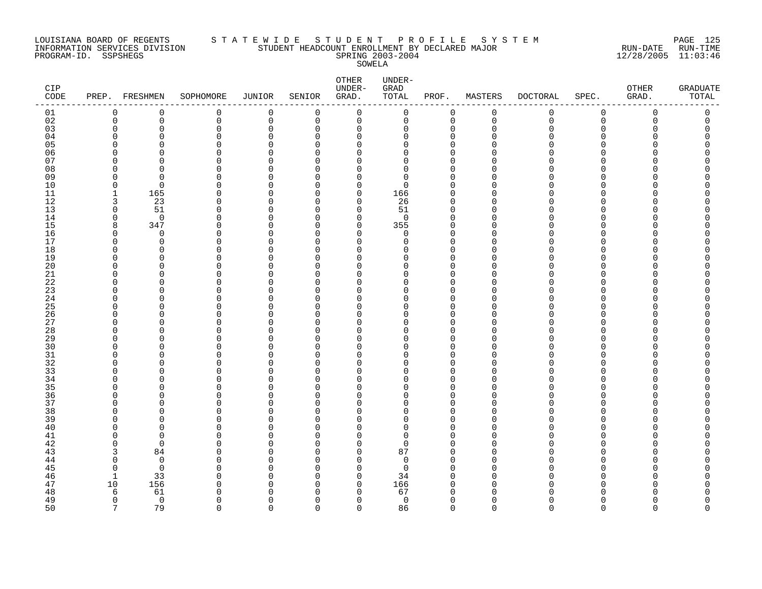### LOUISIANA BOARD OF REGENTS S T A T E W I D E S T U D E N T P R O F I L E S Y S T E M PAGE 125 INFORMATION SERVICES DIVISION STUDENT HEADCOUNT ENROLLMENT BY DECLARED MAJOR RUN-DATE RUN-TIME PROGRAM-ID. SSPSHEGS SPRING 2003-2004 12/28/2005 11:03:46 SOWELA

| CIP<br>$\texttt{CODE}$ |              | PREP. FRESHMEN | SOPHOMORE | JUNIOR      | SENIOR      | ${\small \texttt{OTHER}}$<br>UNDER-<br>GRAD. | UNDER-<br>GRAD<br>TOTAL | PROF.                   | MASTERS     | <b>DOCTORAL</b> | SPEC.       | OTHER<br>GRAD. | GRADUATE<br>TOTAL |
|------------------------|--------------|----------------|-----------|-------------|-------------|----------------------------------------------|-------------------------|-------------------------|-------------|-----------------|-------------|----------------|-------------------|
| 01                     | $\mathbf 0$  | 0              | 0         | 0           | 0           | $\mathbf 0$                                  | $\mathbf 0$             | $\mathbf 0$             | $\mathbf 0$ | 0               | $\mathbf 0$ | $\mathbf 0$    | 0                 |
| 02                     | $\mathbf{0}$ | $\mathbf 0$    | 0         | $\mathbf 0$ | $\mathbf 0$ | $\mathbf 0$                                  | $\mathbf 0$             | $\mathbf 0$             | $\mathbf 0$ | $\mathbf 0$     | $\mathbf 0$ | 0              | 0                 |
| 03                     |              | $\Omega$       | 0         | $\mathbf 0$ | $\Omega$    | $\mathbf 0$                                  | 0                       | $\mathbf 0$             | $\cap$      | $\Omega$        | $\Omega$    |                | $\Omega$          |
| 04                     |              | $\Omega$       | 0         | $\mathbf 0$ | 0           | 0                                            | 0                       | $\mathbf 0$             | ∩           | U               | $\Omega$    |                | O                 |
| 0 <sub>5</sub>         |              | $\Omega$       | $\Omega$  | $\mathbf 0$ | $\Omega$    | $\mathbf 0$                                  | 0                       | $\mathbf 0$             | n           |                 | ∩           |                |                   |
| 06                     |              | ∩              | 0         | $\Omega$    | $\Omega$    | $\Omega$                                     | 0                       | $\Omega$                | ∩           |                 | ∩           |                |                   |
| 07                     |              | $\Omega$       | 0         | $\Omega$    | $\Omega$    | $\mathbf 0$                                  | 0                       | $\Omega$                |             |                 | ∩           |                |                   |
| 08                     |              | $\cap$         | 0         | $\Omega$    | $\Omega$    | $\mathbf 0$                                  | $\Omega$                | $\mathbf 0$             |             |                 | ∩           |                |                   |
| 09                     |              | $\Omega$       | U         | $\Omega$    | $\Omega$    | 0                                            | $\Omega$                | $\Omega$                |             |                 |             |                |                   |
| 10                     |              | $\Omega$       | U         | $\cap$      | $\Omega$    | $\Omega$                                     | $\Omega$                | $\Omega$                |             |                 | ∩           |                |                   |
| 11                     | -1           | 165            | $\Omega$  | $\Omega$    | 0           | 0                                            | 166                     | $\mathbf 0$             | U           |                 | ∩           |                |                   |
| 12                     | 3            | 23             | 0         | $\Omega$    | $\Omega$    | $\mathbf 0$                                  | 26                      | $\mathbf 0$             | n           |                 | ∩           |                |                   |
| 13                     | $\Omega$     | 51             | U         | $\Omega$    | $\Omega$    | 0                                            | 51                      | $\mathbf 0$             | ∩           |                 | ∩           |                |                   |
| 14                     | $\cap$       | $\Omega$       | $\Omega$  | $\cap$      | $\Omega$    | $\Omega$                                     | $\Omega$                | $\Omega$                | $\cap$      |                 | ∩           |                |                   |
| 15                     | 8            | 347            | $\Omega$  | 0           | $\Omega$    | $\mathbf 0$                                  | 355                     | $\mathbf 0$             | U           |                 | O           |                |                   |
| 16                     | $\cap$       | $\Omega$       | 0         | O           | $\Omega$    | $\mathbf 0$                                  | $\Omega$                | $\mathbf 0$             | n           |                 | ∩           |                |                   |
| 17                     |              | $\mathbf 0$    | 0         | $\Omega$    | $\Omega$    | $\mathbf 0$                                  | 0                       | $\mathbf 0$             | ∩           |                 | ∩           |                |                   |
| 18                     |              | $\Omega$       | $\Omega$  | $\Omega$    | $\Omega$    | $\mathbf 0$                                  | 0                       | $\Omega$                | U           |                 |             |                |                   |
| 19                     |              | <sup>0</sup>   | 0         | O           | $\Omega$    | 0                                            | O                       | 0                       | ∩           |                 | ∩           |                |                   |
| $20\,$                 |              | $\Omega$       | $\Omega$  | O           | $\Omega$    | $\Omega$                                     | 0                       | $\Omega$                | n           |                 | ∩           |                |                   |
| 21                     |              | $\cap$         | U         | O           | $\Omega$    | $\mathbf 0$                                  | 0                       | $\mathbf 0$             | $\cap$      |                 | ∩           |                |                   |
| 22                     |              | <sup>0</sup>   | U         | $\Omega$    | $\Omega$    | 0                                            | O                       | $\Omega$                |             |                 |             |                |                   |
| 23                     |              | $\Omega$       | U         | O           | $\Omega$    | 0                                            | O                       | $\Omega$                | n           |                 | ∩           |                |                   |
| 24                     |              | ∩              | ∩         | O           | $\Omega$    | 0                                            | O                       | $\mathbf 0$             | n           |                 | ∩           |                |                   |
| 25                     |              |                | $\Omega$  | $\Omega$    | $\Omega$    | $\mathbf 0$                                  | O                       | $\Omega$                |             |                 | $\Omega$    |                |                   |
|                        |              | O              | U         | 0           | $\Omega$    |                                              |                         |                         | ∩           |                 | ∩           |                |                   |
| 26                     |              | ∩              | U         | $\Omega$    | $\Omega$    | 0<br>$\Omega$                                | 0<br>U                  | $\mathbf 0$<br>$\Omega$ | n           |                 |             |                |                   |
| 27                     |              |                | U         |             | $\Omega$    |                                              |                         |                         | n           |                 | ∩           |                |                   |
| 28<br>29               |              | ∩              | 0         | O<br>O      | $\Omega$    | $\mathbf 0$                                  | O<br>O                  | $\Omega$                |             |                 | $\Omega$    |                |                   |
|                        |              |                |           |             |             | 0                                            |                         | $\mathbf 0$             | ∩           |                 | ∩           |                |                   |
| 30                     |              | $\cap$         | U<br>U    | O<br>U      | $\Omega$    | $\mathbf 0$                                  | 0<br>U                  | $\mathbf 0$             | ∩           |                 | ∩           |                |                   |
| 31                     |              | ∩              | U         | U           | $\Omega$    | $\Omega$                                     |                         | $\mathbf 0$             | ∩           |                 | ∩           |                |                   |
| 32                     |              | ∩              |           |             | $\Omega$    | $\Omega$                                     | O                       | $\Omega$                |             |                 |             |                |                   |
| 33                     |              |                | 0         | C           | $\Omega$    | $\mathbf 0$                                  | 0                       | $\Omega$                | ∩           |                 | ∩<br>∩      |                |                   |
| 34                     |              | ∩              | U         | O           | $\Omega$    | 0                                            | 0                       | $\mathbf 0$             |             |                 |             |                |                   |
| 35                     |              | ∩              | ∩         | U           | $\Omega$    | $\Omega$                                     | U                       | $\Omega$                |             |                 |             |                |                   |
| 36                     |              | $\Omega$       | $\Omega$  | 0           | $\Omega$    | $\mathbf 0$                                  | 0                       | $\mathbf 0$             | U           |                 | $\Omega$    |                |                   |
| 37                     |              | ∩              | O         | O           | $\Omega$    | 0                                            | 0                       | $\mathbf 0$             | ∩           |                 | ∩           |                |                   |
| 38                     |              |                | U         | $\Omega$    | $\Omega$    | $\mathbf 0$                                  | O                       | $\Omega$                |             |                 |             |                |                   |
| 39                     |              | $\cap$         | U         | O           | $\Omega$    | $\mathbf 0$                                  | 0                       | $\Omega$                | n           |                 |             |                |                   |
| 40                     |              | O              | 0         | O           | $\Omega$    | 0                                            | O                       | $\Omega$                | n           |                 |             |                |                   |
| 41                     |              | $\Omega$       | $\Omega$  | O           | $\Omega$    | 0                                            | 0                       | $\Omega$                | ∩           |                 | ∩           |                |                   |
| 42                     |              | $\Omega$       | U         | O           | $\Omega$    | $\mathbf 0$                                  | $\Omega$                | $\mathbf 0$             | n           |                 | ∩           |                |                   |
| 43                     |              | 84             | ∩         | $\cap$      | $\Omega$    | $\mathbf 0$                                  | 87                      | $\mathbf 0$             | ∩           |                 | ∩           |                |                   |
| 44                     |              | $\Omega$       | U         | O           | $\Omega$    | 0                                            | $\Omega$                | $\mathbf 0$             | ∩           |                 | ∩           |                |                   |
| 45                     |              | $\Omega$       | U         | O           | $\Omega$    | $\mathbf 0$                                  | 0                       | $\mathbf 0$             | U           |                 | ∩           |                |                   |
| 46                     | -1           | 33             | $\Omega$  | $\Omega$    | $\Omega$    | $\mathbf 0$                                  | 34                      | $\Omega$                | $\cap$      |                 | $\cap$      |                |                   |
| 47                     | 10           | 156            | U         | $\Omega$    | $\Omega$    | 0                                            | 166                     | 0                       | U           |                 | ∩           |                |                   |
| 48                     | 6            | 61             | U         | C           | $\Omega$    | $\Omega$                                     | 67                      | $\Omega$                |             |                 |             |                |                   |
| 49                     | $\Omega$     | $\overline{0}$ | 0         | U           | $\Omega$    | $\Omega$                                     | $\mathbf 0$             | $\mathbf 0$             | $\Omega$    | N               | ∩           |                | O                 |
| 50                     | 7            | 79             | $\Omega$  | $\cap$      | $\cap$      | $\Omega$                                     | 86                      | $\Omega$                | $\Omega$    | $\Omega$        | $\cap$      | ∩              | $\Omega$          |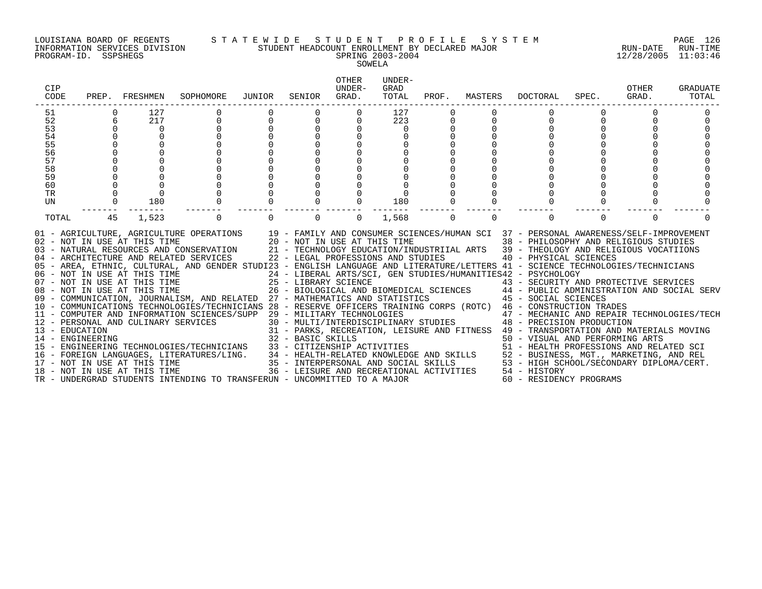#### LOUISIANA BOARD OF REGENTS S T A T E W I D E S T U D E N T P R O F I L E S Y S T E M PAGE 126 INFORMATION SERVICES DIVISION STUDENT HEADCOUNT ENROLLMENT BY DECLARED MAJOR RUN-DATE RUN-TIME

### PROGRAM-ID. SSPSHEGS SPRING 2003-2004 12/28/2005 11:03:46 SOWELA

| CIP<br>CODE |    | PREP. FRESHMEN               | SOPHOMORE                                                                                                                                                                                                                                                                                                                                                                                                                                                                                                                                                                                                                                                                                                                                                                                                                                                                                                                                                                                                                                                                                                                                                                                 | JUNIOR                               | SENIOR | <b>OTHER</b><br>UNDER-<br>GRAD. | UNDER-<br>GRAD<br>TOTAL | PROF.       | MASTERS  | DOCTORAL                                                                                                                                                                           | SPEC.    | OTHER<br>GRAD. | GRADUATE<br>TOTAL |
|-------------|----|------------------------------|-------------------------------------------------------------------------------------------------------------------------------------------------------------------------------------------------------------------------------------------------------------------------------------------------------------------------------------------------------------------------------------------------------------------------------------------------------------------------------------------------------------------------------------------------------------------------------------------------------------------------------------------------------------------------------------------------------------------------------------------------------------------------------------------------------------------------------------------------------------------------------------------------------------------------------------------------------------------------------------------------------------------------------------------------------------------------------------------------------------------------------------------------------------------------------------------|--------------------------------------|--------|---------------------------------|-------------------------|-------------|----------|------------------------------------------------------------------------------------------------------------------------------------------------------------------------------------|----------|----------------|-------------------|
| 51          |    | 127                          |                                                                                                                                                                                                                                                                                                                                                                                                                                                                                                                                                                                                                                                                                                                                                                                                                                                                                                                                                                                                                                                                                                                                                                                           |                                      |        |                                 | 127                     |             |          |                                                                                                                                                                                    |          |                |                   |
| 52          | 6  | 217                          | $\mathbf{0}$                                                                                                                                                                                                                                                                                                                                                                                                                                                                                                                                                                                                                                                                                                                                                                                                                                                                                                                                                                                                                                                                                                                                                                              | $\begin{matrix} 0 \\ 0 \end{matrix}$ |        |                                 | 223                     |             |          | $\Omega$                                                                                                                                                                           |          |                |                   |
| 53          |    | $\overline{0}$               |                                                                                                                                                                                                                                                                                                                                                                                                                                                                                                                                                                                                                                                                                                                                                                                                                                                                                                                                                                                                                                                                                                                                                                                           |                                      |        |                                 | $\Omega$                |             |          |                                                                                                                                                                                    |          |                |                   |
| 54          |    |                              |                                                                                                                                                                                                                                                                                                                                                                                                                                                                                                                                                                                                                                                                                                                                                                                                                                                                                                                                                                                                                                                                                                                                                                                           |                                      |        |                                 |                         |             |          |                                                                                                                                                                                    |          |                |                   |
| 55          |    |                              |                                                                                                                                                                                                                                                                                                                                                                                                                                                                                                                                                                                                                                                                                                                                                                                                                                                                                                                                                                                                                                                                                                                                                                                           |                                      |        |                                 |                         |             |          |                                                                                                                                                                                    |          |                |                   |
| 56          |    |                              |                                                                                                                                                                                                                                                                                                                                                                                                                                                                                                                                                                                                                                                                                                                                                                                                                                                                                                                                                                                                                                                                                                                                                                                           |                                      |        |                                 |                         |             |          |                                                                                                                                                                                    |          |                |                   |
| 57          |    |                              |                                                                                                                                                                                                                                                                                                                                                                                                                                                                                                                                                                                                                                                                                                                                                                                                                                                                                                                                                                                                                                                                                                                                                                                           |                                      |        |                                 |                         |             |          |                                                                                                                                                                                    |          |                |                   |
| 58          |    |                              |                                                                                                                                                                                                                                                                                                                                                                                                                                                                                                                                                                                                                                                                                                                                                                                                                                                                                                                                                                                                                                                                                                                                                                                           |                                      |        |                                 |                         |             |          |                                                                                                                                                                                    |          |                |                   |
| 59          |    |                              |                                                                                                                                                                                                                                                                                                                                                                                                                                                                                                                                                                                                                                                                                                                                                                                                                                                                                                                                                                                                                                                                                                                                                                                           |                                      |        |                                 |                         |             |          |                                                                                                                                                                                    |          |                |                   |
| 60          |    |                              |                                                                                                                                                                                                                                                                                                                                                                                                                                                                                                                                                                                                                                                                                                                                                                                                                                                                                                                                                                                                                                                                                                                                                                                           |                                      |        |                                 |                         |             |          |                                                                                                                                                                                    |          |                |                   |
| TR          |    |                              |                                                                                                                                                                                                                                                                                                                                                                                                                                                                                                                                                                                                                                                                                                                                                                                                                                                                                                                                                                                                                                                                                                                                                                                           |                                      |        |                                 |                         |             |          |                                                                                                                                                                                    |          |                |                   |
| UN          |    | 180                          |                                                                                                                                                                                                                                                                                                                                                                                                                                                                                                                                                                                                                                                                                                                                                                                                                                                                                                                                                                                                                                                                                                                                                                                           |                                      |        |                                 | 180<br>-------          | $\Omega$    |          |                                                                                                                                                                                    |          |                |                   |
| TOTAL       | 45 | 1,523                        | $\mathbf 0$                                                                                                                                                                                                                                                                                                                                                                                                                                                                                                                                                                                                                                                                                                                                                                                                                                                                                                                                                                                                                                                                                                                                                                               |                                      |        | $\Omega$                        | 1,568                   | $\mathbf 0$ | $\Omega$ | $\Omega$                                                                                                                                                                           | $\Omega$ | $\Omega$       |                   |
|             |    | 08 - NOT IN USE AT THIS TIME | 01 - AGRICULTURE, AGRICULTURE OPERATIONS 19 - FAMILY AND CONSUMER SCIENCES/HUMAN SCI 37 - PERSONAL AWARENESS/SELF-IMPROVEMENT<br>02 - NOT IN USE AT THIS TIME 20 - NOT IN USE AT THIS TIME 38 - PHILOSOPHY AND RELIGIOUS STUDIES<br>03 - NATURAL RESOURCES AND CONSERVATION 21 - TECHNOLOGY EDUCATION/INDUSTRIIAL ARTS 39 - THEOLOGY AND RELIGIOUS VOCATIIONS<br>04 - ARCHITECTURE AND RELATED SERVICES 22 - LEGAL PROFESSIONS AND STUDIES<br>05 - AREA, ETHNIC, CULTURAL, AND GENDER STUDI23 - ENGLISH LANGUAGE AND LITERATURE/LETTERS 41 - SCIENCE TECHNOLOGIES/TECHNICIANS<br>06 - NOT IN USE AT THIS TIME $24$ - LIBERAL ARTS/SCI, GEN STUDIES/HUMANITIES42 - PSYCHOLOGY<br>$07$ - NOT IN USE AT THIS TIME $25$ - LIBRARY SCIENCE<br>09 - COMMUNICATION, JOURNALISM, AND RELATED 27 - MATHEMATICS AND STATISTICS 45 - SOCIAL SCIENCES<br>10 - COMMUNICATIONS TECHNOLOGIES/TECHNICIANS 28 - RESERVE OFFICERS TRAINING CORPS (ROTC) 46 - CONSTRUCTION TRADES<br>11 - COMPUTER AND INFORMATION SCIENCES/SUPP 29 - MILITARY TECHNOLOGIES 47 - MECHANIC AND REPAIR TECHNOLOGIES/TECH<br>12 - PERSONAL AND CULINARY SERVICES 30 - MULTI/INTERDISCIPLINARY STUDIES 48 - PRECISION PRODUCTION |                                      |        |                                 |                         |             |          | 40 - PHYSICAL SCIENCES<br>25 - LIBRARY SCIENCE<br>26 - BIOLOGICAL AND BIOMEDICAL SCIENCES<br>26 - BIOLOGICAL AND BIOMEDICAL SCIENCES<br>27 - PUBLIC ADMINISTRATION AND SOCIAL SERV |          |                |                   |
|             |    |                              | FENGATION<br>13 - EDUCATION<br>14 - ENGINEERING<br>14 - ENGINEERING<br>14 - ENGINEERING<br>15 - ENGINEERING<br>15 - ENGINEERING<br>15 - ENGINEERING<br>16 - FOREIGN LANGUAGES, LITERATURES/LING.<br>16 - FOREIGN LANGUAGES, LITERATURES/LING.<br>1                                                                                                                                                                                                                                                                                                                                                                                                                                                                                                                                                                                                                                                                                                                                                                                                                                                                                                                                        |                                      |        |                                 |                         |             |          |                                                                                                                                                                                    |          |                |                   |
|             |    |                              |                                                                                                                                                                                                                                                                                                                                                                                                                                                                                                                                                                                                                                                                                                                                                                                                                                                                                                                                                                                                                                                                                                                                                                                           |                                      |        |                                 |                         |             |          |                                                                                                                                                                                    |          |                |                   |
|             |    |                              |                                                                                                                                                                                                                                                                                                                                                                                                                                                                                                                                                                                                                                                                                                                                                                                                                                                                                                                                                                                                                                                                                                                                                                                           |                                      |        |                                 |                         |             |          |                                                                                                                                                                                    |          |                |                   |
|             |    |                              |                                                                                                                                                                                                                                                                                                                                                                                                                                                                                                                                                                                                                                                                                                                                                                                                                                                                                                                                                                                                                                                                                                                                                                                           |                                      |        |                                 |                         |             |          |                                                                                                                                                                                    |          |                |                   |
|             |    |                              |                                                                                                                                                                                                                                                                                                                                                                                                                                                                                                                                                                                                                                                                                                                                                                                                                                                                                                                                                                                                                                                                                                                                                                                           |                                      |        |                                 |                         |             |          |                                                                                                                                                                                    |          |                |                   |
|             |    |                              | TR - UNDERGRAD STUDENTS INTENDING TO TRANSFERUN - UNCOMMITTED TO A MAJOR                                                                                                                                                                                                                                                                                                                                                                                                                                                                                                                                                                                                                                                                                                                                                                                                                                                                                                                                                                                                                                                                                                                  |                                      |        |                                 |                         |             |          | 60 - RESIDENCY PROGRAMS                                                                                                                                                            |          |                |                   |
|             |    |                              |                                                                                                                                                                                                                                                                                                                                                                                                                                                                                                                                                                                                                                                                                                                                                                                                                                                                                                                                                                                                                                                                                                                                                                                           |                                      |        |                                 |                         |             |          |                                                                                                                                                                                    |          |                |                   |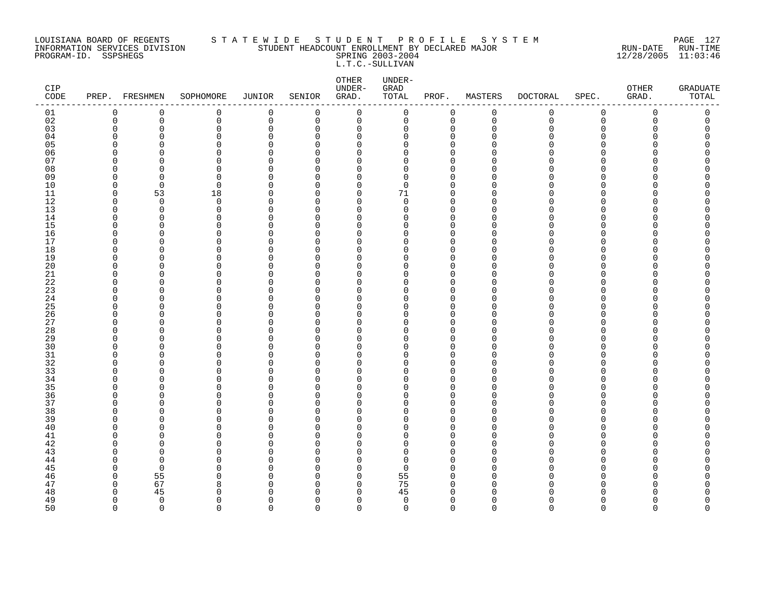### LOUISIANA BOARD OF REGENTS S T A T E W I D E S T U D E N T P R O F I L E S Y S T E M PAGE 127 INFORMATION SERVICES DIVISION STUDENT HEADCOUNT ENROLLMENT BY DECLARED MAJOR RUN-DATE RUN-TIME PROGRAM-ID. SSPSHEGS SPRING 2003-2004 12/28/2005 11:03:46 L.T.C.-SULLIVAN

| CIP<br>$\texttt{CODE}$ |             | PREP. FRESHMEN | SOPHOMORE            | JUNIOR               | SENIOR               | ${\small \texttt{OTHER}}$<br>UNDER-<br>GRAD. | UNDER-<br>GRAD<br>TOTAL | PROF.                      | MASTERS            | <b>DOCTORAL</b> | SPEC.         | OTHER<br>GRAD. | <b>GRADUATE</b><br>TOTAL |
|------------------------|-------------|----------------|----------------------|----------------------|----------------------|----------------------------------------------|-------------------------|----------------------------|--------------------|-----------------|---------------|----------------|--------------------------|
| 01                     | $\mathbf 0$ | 0              | 0                    | $\mathsf 0$          | $\mathbf 0$          | $\mathbf 0$                                  | 0                       | 0                          | $\mathsf 0$        | 0               | $\mathsf 0$   | 0              | 0                        |
| 02                     | 0           | 0              | 0                    | $\mathbf 0$          | 0                    | 0                                            | 0                       | $\mathbf 0$                | $\mathbf 0$        | 0               | $\mathbf 0$   | 0              | 0                        |
| 03                     | O           | $\Omega$       | 0                    | $\Omega$             | $\mathbf 0$          | 0                                            | 0                       | $\mathbf 0$                | $\Omega$           | O               | 0             | O              | $\Omega$                 |
| 04                     | ∩           | $\cap$         | $\Omega$             | $\cap$               | $\Omega$             | $\Omega$                                     | O                       | $\Omega$                   | n                  |                 | ∩             |                | Λ                        |
| 05                     | n           | $\cap$         | $\Omega$             | $\Omega$             | $\Omega$             | $\Omega$                                     | 0                       | $\mathbf 0$                | n                  |                 | $\Omega$      |                | O                        |
| 06                     |             | Λ              | $\Omega$             | $\cap$               | $\Omega$             | $\mathbf 0$                                  | 0                       | $\mathbf 0$                | ∩                  |                 | $\Omega$      |                | Λ                        |
| 07                     | n           | ∩<br>U         | 0<br>$\Omega$        | $\Omega$<br>$\Omega$ | O<br>$\Omega$        | 0<br>$\Omega$                                | 0<br>0                  | 0<br>$\mathbf 0$           | n                  |                 | ∩<br>∩        |                | ⋂<br>⋂                   |
| 08<br>09               | $\Omega$    | $\Omega$       | $\Omega$             | $\Omega$             | $\Omega$             | $\mathbf 0$                                  | 0                       | $\mathbf 0$                | $\Omega$           |                 | $\Omega$      |                |                          |
| 10                     | $\Omega$    | $\Omega$       | 0                    | $\Omega$             | $\Omega$             | $\mathbf 0$                                  | $\mathbf 0$             | $\mathbf 0$                | $\Omega$           | ∩               | $\Omega$      |                |                          |
| 11                     | $\Omega$    | 53             | 18                   | $\Omega$             | $\Omega$             | $\mathbf 0$                                  | 71                      | $\mathbf 0$                | $\Omega$           | ∩               | $\Omega$      |                | Λ                        |
| 12                     | $\Omega$    | $\Omega$       | 0                    | $\Omega$             | $\Omega$             | $\Omega$                                     | 0                       | $\Omega$                   | $\Omega$           |                 | ∩             |                |                          |
| 13                     | U           | $\Omega$       | $\Omega$             | O                    | $\Omega$             | $\Omega$                                     | $\mathbf 0$             | $\Omega$                   | $\Omega$           |                 | $\Omega$      |                |                          |
| 14                     | ∩           | <sup>n</sup>   | $\Omega$             | O                    | O                    | $\Omega$                                     | 0                       | $\mathbf 0$                | $\Omega$           |                 | $\Omega$      |                | ⋂                        |
| 15                     | n           | $\cap$         | ∩                    | $\cap$               | $\Omega$             | $\Omega$                                     | 0                       | $\Omega$                   |                    |                 | $\Omega$      |                |                          |
| 16                     | n           | $\Omega$       | $\Omega$             | O                    | $\Omega$             | $\mathbf 0$                                  | 0                       | $\mathbf 0$                | n                  |                 | $\Omega$      |                | Λ                        |
| 17                     |             | ∩              | $\Omega$             | O                    | $\Omega$             | $\Omega$                                     | O                       | $\Omega$                   | ∩                  |                 | ∩             |                |                          |
| 18                     | U           | ∩              | $\Omega$             | O                    | $\Omega$             | 0                                            | 0                       | $\mathbf 0$                | U                  |                 | $\Omega$      |                |                          |
| 19                     |             | ∩              | $\Omega$             | U                    | U                    | $\Omega$                                     | 0                       | $\mathbf 0$                | ∩                  |                 | $\Omega$      |                |                          |
| 20                     |             | $\cap$         | $\Omega$             | $\cap$               | $\Omega$             | $\Omega$                                     | 0                       | $\Omega$                   | $\cap$             |                 | $\Omega$      |                | Λ                        |
| 21                     | U           | $\Omega$       | $\Omega$             | O                    | $\Omega$             | $\mathbf 0$                                  | 0                       | $\Omega$                   | $\cap$             |                 | ∩             |                |                          |
| 22                     | n           | O              | $\Omega$             | O                    | $\Omega$             | 0                                            | 0                       | $\Omega$                   | ∩                  |                 | O             |                |                          |
| 23<br>24               | ∩<br>n      | ∩<br>$\cap$    | $\Omega$<br>$\Omega$ | O<br>O               | O<br>$\Omega$        | 0<br>$\mathbf 0$                             | 0<br>0                  | $\mathbf 0$<br>$\mathbf 0$ | $\cap$<br>$\Omega$ | ∩               | $\Omega$<br>∩ |                |                          |
| 25                     |             | $\cap$         | U                    | O                    | $\Omega$             | $\Omega$                                     | 0                       | $\Omega$                   | n                  |                 | ∩             |                | ∩                        |
| 26                     | U           | $\Omega$       | $\Omega$             | $\Omega$             | $\Omega$             | $\mathbf 0$                                  | 0                       | $\mathbf 0$                | $\Omega$           |                 | $\Omega$      |                |                          |
| 27                     | ∩           | U              | $\Omega$             | O                    | $\Omega$             | 0                                            | 0                       | 0                          | ∩                  |                 | O             |                | Ω                        |
| 28                     | n           | Λ              | $\Omega$             | $\Omega$             | $\Omega$             | $\Omega$                                     | 0                       | $\Omega$                   | n                  |                 | ∩             |                |                          |
| 29                     | n           | <sup>n</sup>   | $\Omega$             | O                    | $\Omega$             | $\mathbf 0$                                  | 0                       | $\mathbf 0$                | ∩                  |                 | ∩             |                | ⋂                        |
| 30                     | ∩           | $\cap$         | ∩                    | $\cap$               | $\Omega$             | $\Omega$                                     | 0                       | $\Omega$                   | $\cap$             |                 | ∩             |                |                          |
| $31\,$                 | U           | $\Omega$       | $\Omega$             | $\Omega$             | $\Omega$             | $\mathbf 0$                                  | 0                       | $\mathbf 0$                | $\Omega$           |                 | $\Omega$      |                |                          |
| 32                     |             | ∩              | 0                    | O                    | U                    | 0                                            | 0                       | $\mathbf 0$                | $\cap$             |                 | ∩             |                |                          |
| 33                     |             | n              | $\Omega$             | O                    | $\Omega$             | $\mathbf 0$                                  | 0                       | $\Omega$                   | $\cap$             |                 | ∩             |                |                          |
| 34                     | n           | <sup>n</sup>   | $\Omega$             | O                    | $\Omega$             | $\mathbf 0$                                  | 0                       | $\Omega$                   | $\Omega$           |                 | ∩             |                |                          |
| 35                     |             | ∩              | U                    | U                    | U                    | $\Omega$                                     | $\Omega$                | $\Omega$                   | n                  |                 | ∩             |                |                          |
| 36                     | n           | $\Omega$       | 0                    | O                    | $\Omega$             | $\mathbf 0$                                  | 0                       | $\mathbf 0$                | ∩                  |                 | $\Omega$      |                | Ω                        |
| 37                     |             |                | 0                    | O                    | $\Omega$             | 0                                            | 0                       | $\mathbf 0$                | U                  |                 | $\Omega$      |                |                          |
| 38                     |             | ∩              | 0                    | O                    | $\Omega$             | $\mathbf 0$                                  | 0                       | $\Omega$                   | n<br>$\cap$        |                 | ∩             |                | ⋂                        |
| 39                     |             | ∩              | $\Omega$<br>$\Omega$ | O<br>U               | $\Omega$<br>$\Omega$ | $\Omega$                                     | 0<br>$\Omega$           | $\mathbf 0$<br>$\Omega$    | $\cap$             |                 | ∩<br>∩        |                |                          |
| 40<br>41               |             | ∩<br>O         | 0                    | $\Omega$             | $\Omega$             | $\Omega$<br>$\mathbf 0$                      | 0                       | $\Omega$                   | n                  |                 | O             |                |                          |
| 42                     |             | <sup>0</sup>   | 0                    | O                    | $\Omega$             | 0                                            | 0                       | $\mathbf 0$                | ∩                  |                 | $\Omega$      |                | ⋂                        |
| 43                     |             | ∩              | U                    | $\cap$               | $\Omega$             | $\Omega$                                     | 0                       | $\Omega$                   | n                  |                 | ∩             |                |                          |
| 44                     |             | $\Omega$       | U                    | O                    | $\Omega$             | $\Omega$                                     | 0                       | $\Omega$                   | n                  |                 | ∩             |                |                          |
| 45                     |             | $\Omega$       | 0                    | U                    | U                    | $\Omega$                                     | $\Omega$                | $\Omega$                   | ∩                  |                 | ∩             |                |                          |
| 46                     |             | 55             | 0                    | O                    | $\Omega$             | $\mathbf 0$                                  | 55                      | $\Omega$                   | $\Omega$           |                 | $\Omega$      |                |                          |
| 47                     | ∩           | 67             | 8                    | O                    | $\Omega$             | 0                                            | 75                      | 0                          | $\Omega$           |                 | ∩             |                | ⋂                        |
| 48                     |             | 45             | U                    | n                    | $\Omega$             | $\Omega$                                     | 45                      | $\Omega$                   | ∩                  |                 |               |                | ⋂                        |
| 49                     | ∩           | $\mathbf 0$    | $\Omega$             | O                    | $\Omega$             | $\Omega$                                     | $\mathbf 0$             | $\mathbf 0$                | $\Omega$           | U               | $\Omega$      | U              | O                        |
| 50                     | $\cap$      | $\Omega$       | $\Omega$             | $\cap$               | $\cap$               | $\Omega$                                     | $\Omega$                | $\Omega$                   | $\cap$             | $\Omega$        | $\Omega$      | $\Omega$       | $\Omega$                 |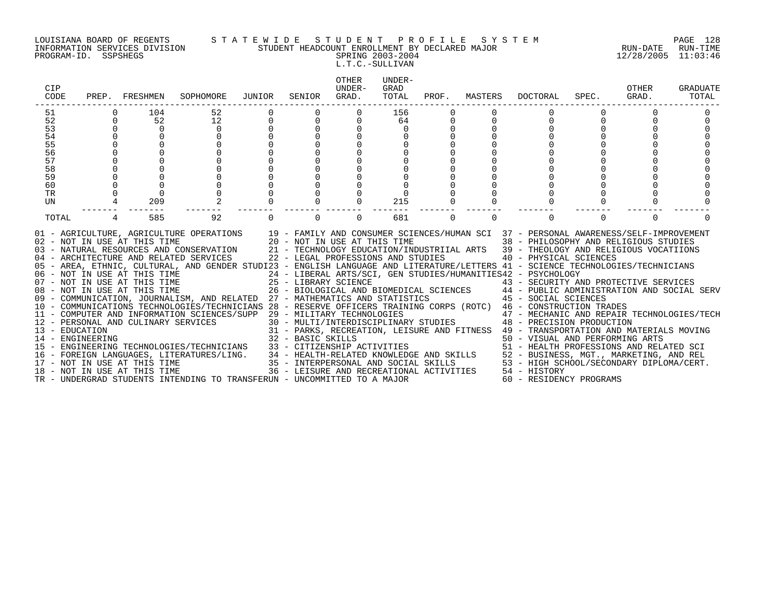### LOUISIANA BOARD OF REGENTS S T A T E W I D E S T U D E N T P R O F I L E S Y S T E M PAGE 128 INFORMATION SERVICES DIVISION STUDENT HEADCOUNT ENROLLMENT BY DECLARED MAJOR RUN-DATE RUN-TIME PROGRAM-ID. SSPSHEGS SPRING 2003-2004 12/28/2005 11:03:46

# L.T.C.-SULLIVAN

| 52<br>156<br>104<br>51<br>52<br>52<br>12<br>$\Omega$<br>64<br>$\Omega$<br>53<br>$\Omega$<br>$\Omega$<br>$\cap$<br>54<br>$\Omega$<br>$\Omega$<br>55<br>56<br>57<br>58<br>59<br>$\overline{0}$<br>60<br>TR<br>$\Omega$<br>$\Omega$<br>UN<br>209<br>215<br>$\Omega$<br>92<br>$\Omega$<br>TOTAL<br>585<br>$\Omega$<br>681<br>$\Omega$<br>$\Omega$<br>$\Omega$<br>$\Omega$<br>$\Omega$<br>01 - AGRICULTURE, AGRICULTURE OPERATIONS 19 - FAMILY AND CONSUMER SCIENCES/HUMAN SCI 37 - PERSONAL AWARENESS/SELF-IMPROVEMENT<br>02 - NOT IN USE AT THIS TIME $20 - NOT$ IN USE AT THIS TIME $03 - NATURAL$ RESOURCES AND CONSERVATION $21 - TECHNOLOGY$ EDUCATION/IND<br>38 - PHILOSOPHY AND RELIGIOUS STUDIES<br>21 - TECHNOLOGY EDUCATION/INDUSTRIIAL ARTS 39 - THEOLOGY AND RELIGIOUS VOCATIIONS<br>22 - LEGAL PROFESSIONS AND STUDIES<br>40 - PHYSICAL SCIENCES<br>04 - ARCHITECTURE AND RELATED SERVICES<br>05 - AREA, ETHNIC, CULTURAL, AND GENDER STUDI23 - ENGLISH LANGUAGE AND LITERATURE/LETTERS 41 - SCIENCE TECHNOLOGIES/TECHNICIANS<br>06 - NOT IN USE AT THIS TIME<br>07 - NOT IN USE AT THIS TIME<br>08 - NOT IN USE AT THIS TIME<br>08 - NOT IN USE AT THIS TIME<br>08 - NOT IN USE AT THIS TIME<br>26 - BIOLOGICAL AND BIOMEDICAL SCIENCES 44 - PUBLIC ADMI<br>07 - NOT IN USE AT THIS TIME 25 - LIBRARY SCIENCE 43 - SECURITY AND PROTECTIVE SERVICES<br>08 - NOT IN USE AT THIS TIME 26 - BIOLOGICAL AND BIOMEDICAL SCIENCES 44 - PUBLIC ADMINISTRATION AND SOCIAL SERV<br>09 - COMMUNICATION, JO<br>10 - COMMUNICATIONS TECHNOLOGIES/TECHNICIANS 28 - RESERVE OFFICERS TRAINING CORPS (ROTC) 46 - CONSTRUCTION TRADES<br>11 - COMPUTER AND INFORMATION SCIENCES/SUPP 29 - MILITARY TECHNOLOGIES<br>47 - MECHANIC AND REPAIR TECHNOLOGIES/TECH<br>29 - MILITARY TECHNOLOGIES<br>30 - MULTI/INTERDISCIPLINARY STUDIES<br>948 - PRECISION PRODUCTION<br>11 - COMPUTER AND INFORMATION SOLENOZZ, 2000 - MULTI/INTERDI<br>12 - PERSONAL AND CULINARY SERVICES<br> | CIP<br>CODE | PREP. FRESHMEN | SOPHOMORE | JUNIOR | SENIOR | OTHER<br>UNDER-<br>GRAD. | UNDER-<br>GRAD<br>TOTAL | PROF. | MASTERS | DOCTORAL | SPEC. | OTHER<br>GRAD. | <b>GRADUATE</b><br>TOTAL |
|------------------------------------------------------------------------------------------------------------------------------------------------------------------------------------------------------------------------------------------------------------------------------------------------------------------------------------------------------------------------------------------------------------------------------------------------------------------------------------------------------------------------------------------------------------------------------------------------------------------------------------------------------------------------------------------------------------------------------------------------------------------------------------------------------------------------------------------------------------------------------------------------------------------------------------------------------------------------------------------------------------------------------------------------------------------------------------------------------------------------------------------------------------------------------------------------------------------------------------------------------------------------------------------------------------------------------------------------------------------------------------------------------------------------------------------------------------------------------------------------------------------------------------------------------------------------------------------------------------------------------------------------------------------------------------------------------------------------------------------------------------------------------------------------------------------------------------------------------------------------------------------------------------------------------------------------------------------------|-------------|----------------|-----------|--------|--------|--------------------------|-------------------------|-------|---------|----------|-------|----------------|--------------------------|
|                                                                                                                                                                                                                                                                                                                                                                                                                                                                                                                                                                                                                                                                                                                                                                                                                                                                                                                                                                                                                                                                                                                                                                                                                                                                                                                                                                                                                                                                                                                                                                                                                                                                                                                                                                                                                                                                                                                                                                        |             |                |           |        |        |                          |                         |       |         |          |       |                |                          |
| 16 - FOREIGN LANGUAGES, LITERATURES/LING. 34 - HEALTH-RELATED KNOWLEDGE AND SKILLS 52 - BUSINESS, MGT., MARKETING, AND REL<br>17 - NOT IN USE AT THIS TIME 1990 15 - INTERPERSONAL AND SOCIAL SKILLS 53 - HIGH SCHOOL/SECONDARY D                                                                                                                                                                                                                                                                                                                                                                                                                                                                                                                                                                                                                                                                                                                                                                                                                                                                                                                                                                                                                                                                                                                                                                                                                                                                                                                                                                                                                                                                                                                                                                                                                                                                                                                                      |             |                |           |        |        |                          |                         |       |         |          |       |                | $\Omega$                 |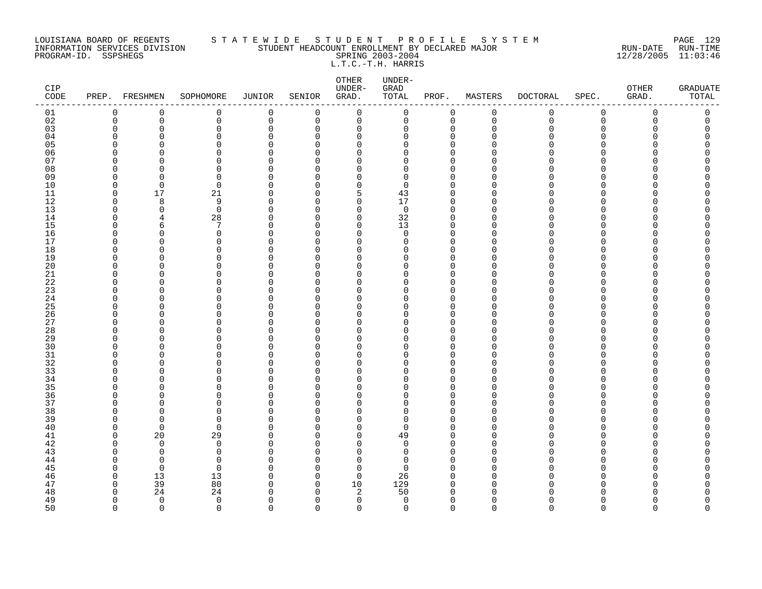### LOUISIANA BOARD OF REGENTS S T A T E W I D E S T U D E N T P R O F I L E S Y S T E M PAGE 129 INFORMATION SERVICES DIVISION STUDENT HEADCOUNT ENROLLMENT BY DECLARED MAJOR RUN-DATE RUN-TIME PROGRAM-ID. SSPSHEGS SPRING 2003-2004 12/28/2005 11:03:46 L.T.C.-T.H. HARRIS

| CIP<br>$\texttt{CODE}$ |             | PREP. FRESHMEN | SOPHOMORE            | JUNIOR                   | SENIOR               | ${\small \texttt{OTHER}}$<br>UNDER-<br>GRAD. | UNDER-<br>GRAD<br>TOTAL      | PROF.                | MASTERS     | <b>DOCTORAL</b> | SPEC.         | OTHER<br>GRAD. | <b>GRADUATE</b><br>TOTAL |
|------------------------|-------------|----------------|----------------------|--------------------------|----------------------|----------------------------------------------|------------------------------|----------------------|-------------|-----------------|---------------|----------------|--------------------------|
| 01                     | 0           | 0              | 0                    | $\mathbf 0$              | $\mathbf 0$          | $\mathbf 0$                                  | 0                            | 0                    | $\mathbf 0$ | $\mathbf 0$     | 0             | $\mathbf 0$    | 0                        |
| 02                     | $\mathbf 0$ | 0              | 0                    | $\mathbf 0$              | 0                    | $\mathbf 0$                                  | 0                            | $\mathbf 0$          | $\mathbf 0$ | $\mathbf 0$     | $\mathsf 0$   | $\mathbf 0$    | 0                        |
| 03                     | $\Omega$    | 0              | 0                    | 0                        | $\mathbf 0$          | 0                                            | 0                            | $\mathbf 0$          | $\Omega$    | Λ               | $\Omega$      | Ω              |                          |
| 04                     |             | U              | $\Omega$             | $\Omega$                 | $\Omega$             | 0                                            | <sup>0</sup>                 | $\Omega$             |             |                 | U             |                |                          |
| 05                     |             | U              | 0                    | $\Omega$                 | $\Omega$             | $\Omega$                                     | 0                            | $\Omega$             |             |                 | U             |                |                          |
| 06                     |             | ∩              | $\Omega$<br>$\Omega$ | $\Omega$<br>$\Omega$     | $\Omega$<br>$\Omega$ | $\Omega$                                     | $\Omega$<br>$\Omega$         | $\Omega$<br>$\Omega$ |             |                 | $\Omega$<br>U |                |                          |
| 07<br>08               |             | O              | $\Omega$             | $\Omega$                 | $\Omega$             | 0<br>$\Omega$                                | 0                            | $\Omega$             |             |                 | U             |                |                          |
| 09                     | ∩           | ∩              | 0                    | $\Omega$                 | $\Omega$             | 0                                            | 0                            | 0                    | n           |                 | O             |                |                          |
| 10                     | $\Omega$    | $\Omega$       | 0                    | $\Omega$                 | $\Omega$             | 0                                            | 0                            | $\Omega$             |             |                 | U             |                |                          |
| 11                     | $\Omega$    | 17             | 21                   | $\Omega$                 | $\Omega$             | 5                                            | 43                           | $\mathbf 0$          | $\Omega$    |                 | $\Omega$      |                |                          |
| 12                     | $\Omega$    | 8              | 9                    | $\Omega$                 | $\Omega$             | $\Omega$                                     | 17                           | $\Omega$             | ∩           |                 | U             |                |                          |
| 13                     | O           | $\mathbf 0$    | $\mathbf 0$          | $\Omega$                 | $\mathbf 0$          | $\mathbf 0$                                  | $\mathsf{O}$                 | $\mathbf 0$          | $\Omega$    |                 | $\Omega$      |                |                          |
| 14                     | ∩           | 4              | 28                   | $\Omega$                 | $\Omega$             | 0                                            | 32                           | $\mathbf 0$          | O           |                 | U             |                |                          |
| 15                     |             | 6              | 7                    | $\Omega$                 | $\Omega$             | 0                                            | 13                           | $\Omega$             |             |                 | U             |                |                          |
| 16                     |             | O              | 0                    | $\Omega$                 | $\Omega$             | 0                                            | $\mathbf 0$                  | $\mathbf 0$          | ∩           |                 | U             |                |                          |
| 17                     | ∩           | U              | $\Omega$             | $\Omega$                 | $\Omega$             | $\Omega$                                     | $\Omega$                     | $\Omega$             | ∩           |                 | U             |                |                          |
| 18                     |             | O              | 0                    | 0                        | $\mathbf 0$          | 0                                            | 0                            | $\Omega$             | ∩           |                 | 0             |                |                          |
| 19                     |             | O              | $\Omega$             | <sup>0</sup>             | $\Omega$             | 0                                            | 0                            | 0                    |             |                 | U             |                |                          |
| 20                     |             | U              | $\Omega$             | $\Omega$                 | $\Omega$             | 0                                            | 0                            | $\Omega$             |             |                 | U             |                |                          |
| 21<br>22               | ∩           | U<br>U         | ∩<br>$\Omega$        | $\Omega$<br>$\Omega$     | $\Omega$<br>$\Omega$ | $\Omega$<br>$\Omega$                         | <sup>0</sup><br><sup>0</sup> | $\Omega$<br>$\Omega$ | ∩<br>∩      |                 | U<br>U        |                |                          |
| 23                     | ∩           | U              | $\Omega$             | $\Omega$                 | $\Omega$             | $\Omega$                                     | $\Omega$                     | $\Omega$             | ∩           |                 | $\Omega$      |                |                          |
| 24                     | ∩           | O              | $\Omega$             | $\Omega$                 | $\Omega$             | 0                                            | 0                            | 0                    | O           |                 | U             |                |                          |
| 25                     |             | O              | $\Omega$             | $\Omega$                 | $\Omega$             | 0                                            | <sup>0</sup>                 | $\Omega$             |             |                 | U             |                |                          |
| 26                     |             | O              | $\Omega$             | $\Omega$                 | $\Omega$             | 0                                            | O                            | $\Omega$             | $\Omega$    |                 | $\Omega$      |                |                          |
| 27                     | ∩           | U              | $\Omega$             | $\Omega$                 | $\Omega$             | 0                                            | <sup>0</sup>                 | $\mathbf 0$          | ∩           |                 | O             |                |                          |
| 28                     |             | U              | U                    | $\Omega$                 | $\Omega$             | $\Omega$                                     | $\Omega$                     | $\Omega$             |             |                 | $\cap$        |                |                          |
| 29                     |             | O              | $\Omega$             | $\Omega$                 | $\mathbf 0$          | 0                                            | 0                            | $\mathbf 0$          |             |                 | $\Omega$      |                |                          |
| 30                     |             | U              | $\Omega$             | <sup>0</sup>             | $\Omega$             | $\Omega$                                     | <sup>0</sup>                 | $\Omega$             |             |                 | U             |                |                          |
| 31                     | ∩           | O              | $\Omega$             | $\Omega$                 | $\Omega$             | 0                                            | 0                            | $\mathbf 0$          |             |                 | $\Omega$      |                |                          |
| 32                     |             | U              | $\Omega$             | $\Omega$                 | $\Omega$             | 0                                            | 0                            | $\Omega$             |             |                 | U             |                |                          |
| 33                     |             |                | $\Omega$             | $\Omega$                 | $\Omega$             | $\Omega$                                     | $\Omega$                     | $\Omega$             |             |                 | $\Omega$      |                |                          |
| 34                     |             | U              | $\Omega$             | $\Omega$                 | 0                    | 0                                            | $\Omega$                     | $\Omega$             | ∩           |                 | $\Omega$      |                |                          |
| 35                     | ∩           | O<br>U         | O<br>0               | <sup>0</sup><br>$\Omega$ | $\Omega$<br>$\Omega$ | $\Omega$<br>0                                | 0<br>0                       | $\Omega$<br>0        | ∩           |                 | U<br>$\Omega$ |                |                          |
| 36<br>37               |             |                | $\Omega$             | $\Omega$                 | $\Omega$             | 0                                            | 0                            | $\Omega$             | $\Omega$    |                 | U             |                |                          |
| 38                     |             | U              | $\Omega$             | $\Omega$                 | $\Omega$             | $\Omega$                                     | $\Omega$                     | $\Omega$             |             |                 | U             |                |                          |
| 39                     |             | $\Omega$       | $\Omega$             | $\Omega$                 | $\Omega$             | 0                                            | 0                            | $\Omega$             | ∩           |                 | U             |                |                          |
| 40                     | ∩           | $\mathbf 0$    | 0                    | <sup>0</sup>             | $\Omega$             | 0                                            | 0                            | $\Omega$             | ∩           |                 | $\Omega$      |                |                          |
| 41                     | ∩           | 20             | 29                   | 0                        | $\Omega$             | 0                                            | 49                           | $\Omega$             | ∩           |                 | O             |                |                          |
| 42                     |             | $\mathbf 0$    | 0                    | $\Omega$                 | $\Omega$             | 0                                            | 0                            | $\mathbf 0$          |             |                 | U             |                |                          |
| 43                     |             | $\Omega$       | 0                    | $\Omega$                 | $\Omega$             | $\Omega$                                     | $\Omega$                     | $\Omega$             |             |                 | U             |                |                          |
| 44                     |             | $\Omega$       | $\Omega$             | $\Omega$                 | $\Omega$             | $\Omega$                                     | $\Omega$                     | $\Omega$             |             |                 | $\Omega$      |                |                          |
| 45                     |             | $\mathbf 0$    | 0                    | $\Omega$                 | $\mathbf 0$          | $\mathbf 0$                                  | 0                            | $\Omega$             | ∩           |                 | O             |                |                          |
| 46                     |             | 13             | 13                   | 0                        | $\Omega$             | $\mathbf 0$                                  | 26                           | $\Omega$             | $\Omega$    |                 | U             |                |                          |
| 47                     | $\cap$      | 39             | 80                   | $\Omega$                 | 0                    | 10                                           | 129                          | 0                    | ∩           |                 | U             |                |                          |
| 48                     |             | 24             | 24                   | C                        | $\Omega$             | $\overline{2}$                               | 50                           | $\Omega$             |             |                 |               |                |                          |
| 49                     | ∩           | $\mathbf 0$    | $\mathbf 0$          | $\Omega$                 | $\Omega$             | $\mathbf 0$                                  | $\mathbf 0$                  | $\mathbf 0$          | $\Omega$    |                 | O             | n              | Λ<br>$\cap$              |
| 50                     | $\cap$      | $\Omega$       | $\Omega$             | $\cap$                   | $\cap$               | $\Omega$                                     | $\Omega$                     | $\Omega$             | $\cap$      | U               | $\cap$        | $\cap$         |                          |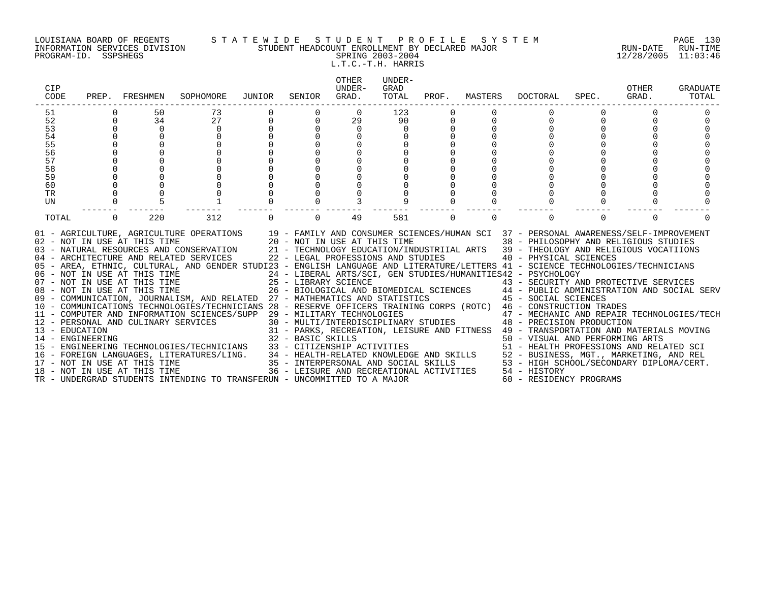### LOUISIANA BOARD OF REGENTS S T A T E W I D E S T U D E N T P R O F I L E S Y S T E M PAGE 130 INFORMATION SERVICES DIVISION STUDENT HEADCOUNT ENROLLMENT BY DECLARED MAJOR RUN-DATE RUN-TIME PROGRAM-ID. SSPSHEGS SPRING 2003-2004 12/28/2005 11:03:46 L.T.C.-T.H. HARRIS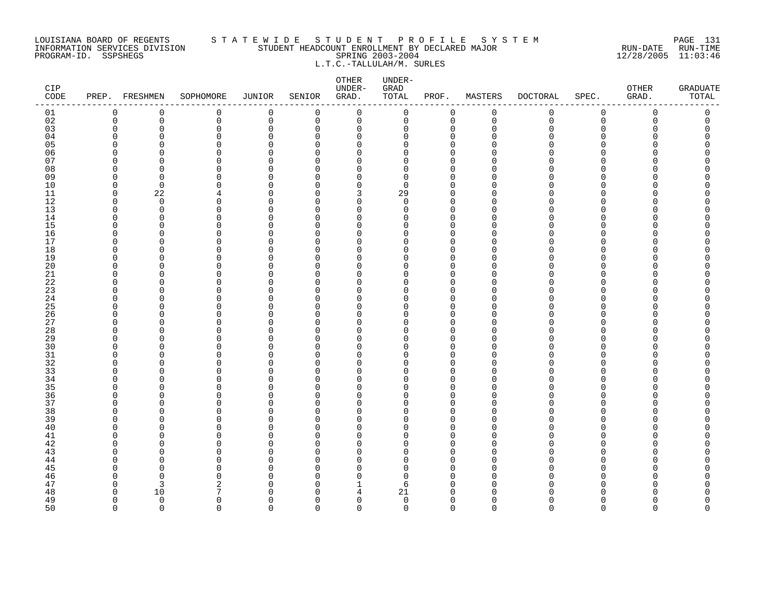### LOUISIANA BOARD OF REGENTS S T A T E W I D E S T U D E N T P R O F I L E S Y S T E M PAGE 131 INFORMATION SERVICES DIVISION STUDENT HEADCOUNT ENROLLMENT BY DECLARED MAJOR RUN-DATE RUN-TIME PROGRAM-ID. SSPSHEGS SPRING 2003-2004 12/28/2005 11:03:46 L.T.C.-TALLULAH/M. SURLES

| CIP<br>CODE |                         | PREP. FRESHMEN | SOPHOMORE            | <b>JUNIOR</b>        | SENIOR               | ${\small \texttt{OTHER}}$<br>UNDER-<br>GRAD. | UNDER-<br>GRAD<br>TOTAL | PROF.                   | MASTERS                 | <b>DOCTORAL</b> | SPEC.         | OTHER<br>GRAD. | <b>GRADUATE</b><br>TOTAL |
|-------------|-------------------------|----------------|----------------------|----------------------|----------------------|----------------------------------------------|-------------------------|-------------------------|-------------------------|-----------------|---------------|----------------|--------------------------|
| 01          | 0                       | 0              | 0                    | $\mathbf 0$          | 0                    | $\mathbf 0$                                  | $\mathsf{O}$            | 0                       | $\mathsf 0$             | 0               | 0             | $\mathsf 0$    | 0                        |
| 02          | $\mathbf 0$             | 0              | 0                    | 0                    | 0                    | 0                                            | 0                       | 0                       | $\mathbf 0$             | 0               | 0             | $\mathbf 0$    | 0                        |
| 03          | $\mathbf 0$             | $\Omega$       | 0                    | $\mathbf 0$          | 0                    | 0                                            | 0                       | 0                       | $\mathbf 0$             | ∩               | 0             | $\Omega$       | $\Omega$                 |
| 04<br>05    | $\Omega$                | ∩<br>∩         | $\Omega$<br>$\Omega$ | $\Omega$<br>$\Omega$ | $\Omega$<br>$\Omega$ | $\Omega$<br>$\Omega$                         | $\Omega$<br>$\Omega$    | $\Omega$<br>$\mathbf 0$ | $\Omega$<br>$\Omega$    |                 | O             | U              |                          |
| 06          | $\Omega$<br>$\Omega$    | U              | $\Omega$             | $\Omega$             | ∩                    | $\Omega$                                     | 0                       | $\mathbf 0$             | $\cap$                  |                 | $\Omega$<br>U | $\cap$         |                          |
| 07          | $\Omega$                | ∩              | 0                    | $\Omega$             | $\Omega$             | $\Omega$                                     | $\Omega$                | $\mathbf 0$             | ∩                       |                 | U             | n              |                          |
| 08          | $\Omega$                | ∩              | $\Omega$             | $\Omega$             | $\Omega$             | $\Omega$                                     | 0                       | $\mathbf 0$             | ∩                       |                 | U             | $\cap$         |                          |
| 09          | $\Omega$                | $\Omega$       | $\Omega$             | $\Omega$             | $\Omega$             | 0                                            | $\Omega$                | $\mathbf 0$             | $\Omega$                |                 | O             | $\cap$         |                          |
| 10          | $\mathbf 0$             | $\Omega$       | $\Omega$             | $\Omega$             | ∩                    | $\Omega$                                     | $\mathbf 0$             | $\mathbf 0$             | $\Omega$                |                 | $\Omega$      | U              |                          |
| 11          | $\mathbf 0$             | 22             | 4                    | $\Omega$             | $\Omega$             | 3                                            | 29                      | $\mathbf 0$             | $\Omega$                | ∩               | $\Omega$      | $\Omega$       |                          |
| 12          | $\Omega$                | $\Omega$       | 0                    | $\Omega$             | $\Omega$             | $\Omega$                                     | $\Omega$                | $\Omega$                | ∩                       |                 | $\Omega$      | n              |                          |
| 13          | $\Omega$                | $\Omega$       | $\Omega$             | $\Omega$             | $\Omega$             | $\Omega$                                     | $\Omega$                | $\mathbf 0$             | $\Omega$                |                 | $\Omega$      | $\cap$         |                          |
| 14<br>15    | $\Omega$<br>$\Omega$    | ∩<br>$\Omega$  | $\Omega$<br>$\Omega$ | $\Omega$<br>$\Omega$ | $\Omega$<br>$\Omega$ | $\Omega$<br>$\Omega$                         | $\Omega$<br>$\Omega$    | $\mathbf 0$<br>$\Omega$ | $\Omega$<br>$\Omega$    |                 | $\Omega$<br>U | n<br>U         |                          |
| 16          | $\Omega$                | $\Omega$       | $\Omega$             | $\Omega$             | 0                    | $\Omega$                                     | $\Omega$                | $\mathbf 0$             | $\Omega$                |                 | O             | $\Omega$       |                          |
| 17          | $\Omega$                | O              | $\Omega$             | $\Omega$             | 0                    | $\Omega$                                     | $\Omega$                | $\Omega$                | ∩                       |                 | U             |                |                          |
| 18          | $\Omega$                | ∩              | $\Omega$             | $\Omega$             | $\Omega$             | $\Omega$                                     | U                       | $\mathbf 0$             | $\Omega$                |                 | U             | n              |                          |
| 19          | $\Omega$                | ∩              | $\Omega$             | $\Omega$             | ∩                    | $\Omega$                                     | $\Omega$                | $\mathbf 0$             | $\Omega$                |                 | U             | $\cap$         |                          |
| 20          | $\Omega$                | $\Omega$       | $\Omega$             | $\Omega$             | $\Omega$             | $\Omega$                                     | $\Omega$                | $\Omega$                | $\Omega$                | ∩               | U             | U              |                          |
| 21          | $\Omega$                | $\Omega$       | 0                    | $\Omega$             | 0                    | $\Omega$                                     | $\Omega$                | $\mathbf 0$             | ∩                       |                 | $\Omega$      | $\Omega$       |                          |
| 22          | $\Omega$                | O              | $\Omega$             | $\Omega$             | $\Omega$             | $\Omega$                                     | $\Omega$                | $\mathbf 0$             | $\Omega$                |                 | U             |                |                          |
| 23          | $\Omega$                | $\Omega$       | 0                    | $\Omega$             | $\Omega$             | $\Omega$                                     | $\Omega$                | $\mathbf 0$             | $\Omega$                | ∩               | $\Omega$      | O              |                          |
| 24          | $\Omega$                | U              | $\Omega$             | $\Omega$             | $\Omega$<br>$\Omega$ | $\Omega$                                     | $\Omega$<br>U           | $\mathbf 0$             | $\Omega$                |                 | U             | $\cap$         |                          |
| 25<br>26    | $\Omega$<br>$\Omega$    | ∩<br>$\Omega$  | U<br>$\Omega$        | $\Omega$<br>$\Omega$ | $\Omega$             | $\Omega$<br>$\Omega$                         | $\Omega$                | $\Omega$<br>$\mathbf 0$ | ∩<br>$\Omega$           |                 | U<br>O        | U<br>$\cap$    |                          |
| 27          | $\Omega$                | ∩              | 0                    | $\Omega$             | $\Omega$             | 0                                            | $\Omega$                | $\mathbf 0$             | $\Omega$                |                 | <sup>0</sup>  | n              |                          |
| 28          | $\Omega$                | Ω              | $\Omega$             | $\Omega$             | $\Omega$             | $\Omega$                                     | O                       | $\mathbf 0$             | $\Omega$                |                 | U             |                |                          |
| 29          | $\Omega$                | ∩              | $\Omega$             | $\Omega$             | $\Omega$             | $\Omega$                                     | $\Omega$                | $\mathbf 0$             | $\Omega$                |                 | U             | $\cap$         |                          |
| 30          | $\Omega$                | ∩              | $\Omega$             | $\Omega$             | $\Omega$             | $\Omega$                                     | U                       | $\Omega$                | ∩                       |                 | U             | n              |                          |
| 31          | $\mathbf 0$             | $\Omega$       | 0                    | $\Omega$             | $\Omega$             | 0                                            | O                       | $\mathbf 0$             | $\Omega$                |                 | O             | $\Omega$       |                          |
| 32          | $\Omega$                | O              | 0                    | $\Omega$             | 0                    | $\Omega$                                     | 0                       | 0                       | $\Omega$                |                 | U             | n              |                          |
| 33          | $\Omega$                | Ω              | $\Omega$             | $\Omega$             | $\Omega$             | $\Omega$                                     | $\Omega$                | $\Omega$                | $\Omega$                | ∩               | U             | U              |                          |
| 34          | $\Omega$                | ∩              | $\Omega$             | $\Omega$             | $\Omega$             | $\Omega$                                     | $\Omega$                | $\mathbf 0$             | ∩                       |                 | <sup>n</sup>  | $\cap$         |                          |
| 35<br>36    | $\Omega$<br>$\mathbf 0$ | ∩<br>$\Omega$  | $\Omega$<br>0        | $\Omega$<br>$\Omega$ | $\Omega$<br>0        | $\Omega$<br>0                                | U<br>0                  | $\Omega$<br>0           | $\Omega$<br>$\mathbf 0$ | ∩               | U<br>$\Omega$ | $\Omega$       |                          |
| 37          | $\Omega$                | U              | $\Omega$             | $\Omega$             | $\Omega$             | $\Omega$                                     | $\Omega$                | $\mathbf 0$             | $\Omega$                | ∩               | U             | n              |                          |
| 38          | $\Omega$                | ∩              | $\Omega$             | $\Omega$             | $\Omega$             | $\Omega$                                     | O                       | $\mathbf 0$             | $\Omega$                |                 | U             | U              |                          |
| 39          | $\Omega$                | ∩              | $\Omega$             | $\Omega$             | $\Omega$             | $\Omega$                                     | $\Omega$                | $\mathbf 0$             | $\Omega$                |                 | $\Omega$      | $\cap$         |                          |
| 40          | $\Omega$                | ∩              | $\Omega$             | $\Omega$             | $\Omega$             | $\Omega$                                     | $\Omega$                | $\Omega$                | $\Omega$                |                 | U             |                |                          |
| 41          | $\Omega$                | O              | 0                    | $\Omega$             | 0                    | $\Omega$                                     | 0                       | $\mathbf 0$             | $\Omega$                |                 | O             | U              |                          |
| 42          | $\Omega$                | N              | $\Omega$             | $\Omega$             | $\Omega$             | $\Omega$                                     | $\Omega$                | $\mathbf 0$             | $\Omega$                |                 | U             |                |                          |
| 43          | $\Omega$                | ∩              | 0                    | $\Omega$             | $\Omega$             | $\Omega$                                     | $\Omega$                | $\mathbf 0$             | ∩                       |                 | U             | n              |                          |
| 44          | $\Omega$                | ∩              | $\Omega$             | $\Omega$             | $\Omega$             | $\Omega$                                     | $\Omega$                | $\mathbf 0$             | $\Omega$                |                 | U             | $\cap$         |                          |
| 45          | $\Omega$                | n              | 0                    | $\Omega$             | $\Omega$             | $\Omega$                                     | $\Omega$                | $\Omega$                | $\Omega$                |                 | U             |                |                          |
| 46<br>47    | $\Omega$<br>$\Omega$    | $\Omega$<br>3  | $\Omega$<br>2        | $\Omega$<br>$\Omega$ | $\Omega$<br>$\Omega$ | $\Omega$<br>1                                | $\Omega$<br>6           | $\mathbf 0$<br>0        | $\Omega$<br>∩           | ∩               | U<br>U        | n              |                          |
| 48          | $\Omega$                | 10             | 7                    | C                    | $\Omega$             | 4                                            | 21                      | $\Omega$                | ∩                       |                 |               |                |                          |
| 49          | $\Omega$                | $\Omega$       | $\Omega$             | $\Omega$             | $\Omega$             | $\Omega$                                     | $\mathbf 0$             | $\mathbf 0$             | $\Omega$                | ∩               | U             | $\cap$         | O                        |
| 50          | $\Omega$                | $\cap$         | $\Omega$             | $\Omega$             | $\Omega$             | $\Omega$                                     | $\Omega$                | $\Omega$                | $\cap$                  | $\Omega$        | $\Omega$      | $\Omega$       | $\Omega$                 |
|             |                         |                |                      |                      |                      |                                              |                         |                         |                         |                 |               |                |                          |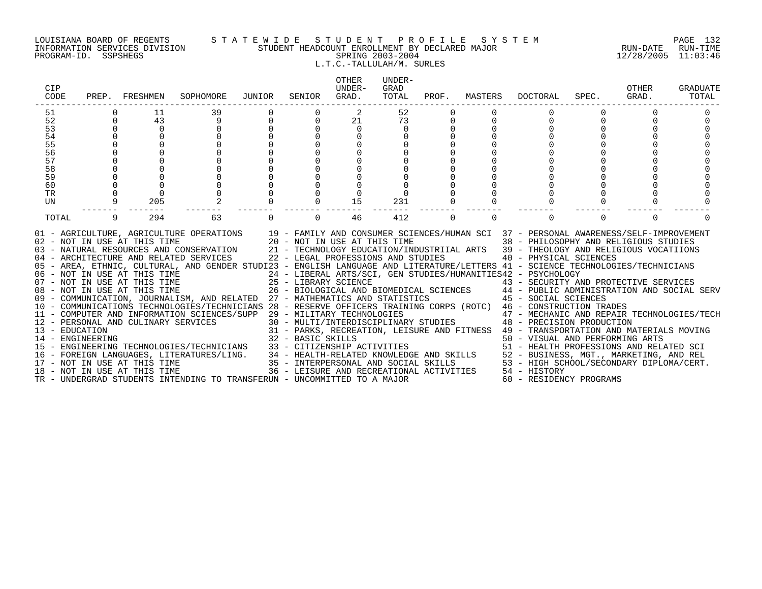### LOUISIANA BOARD OF REGENTS S T A T E W I D E S T U D E N T P R O F I L E S Y S T E M PAGE 132 INFORMATION SERVICES DIVISION STUDENT HEADCOUNT ENROLLMENT BY DECLARED MAJOR RUN-DATE RUN-TIME PROGRAM-ID. SSPSHEGS SPRING 2003-2004 12/28/2005 11:03:46 L.T.C.-TALLULAH/M. SURLES

| CIP<br>CODE                        | PREP.    | FRESHMEN                                                            | SOPHOMORE                                                                                                                                                                                                                                                                                                                                                                                                                                                                                                                                                                                                                                                                                                                                                                                                                                                    | JUNIOR | SENIOR   | <b>OTHER</b><br>UNDER-<br>GRAD.                                                                                          | UNDER-<br>GRAD<br>TOTAL | PROF. | MASTERS  | DOCTORAL                                                                                                                                                                                                                                                                                                                                                                                                                                                                                                                                                                                                                                                                                                             | SPEC.    | OTHER<br>GRAD. | <b>GRADUATE</b><br>TOTAL |
|------------------------------------|----------|---------------------------------------------------------------------|--------------------------------------------------------------------------------------------------------------------------------------------------------------------------------------------------------------------------------------------------------------------------------------------------------------------------------------------------------------------------------------------------------------------------------------------------------------------------------------------------------------------------------------------------------------------------------------------------------------------------------------------------------------------------------------------------------------------------------------------------------------------------------------------------------------------------------------------------------------|--------|----------|--------------------------------------------------------------------------------------------------------------------------|-------------------------|-------|----------|----------------------------------------------------------------------------------------------------------------------------------------------------------------------------------------------------------------------------------------------------------------------------------------------------------------------------------------------------------------------------------------------------------------------------------------------------------------------------------------------------------------------------------------------------------------------------------------------------------------------------------------------------------------------------------------------------------------------|----------|----------------|--------------------------|
| 51                                 |          | 11                                                                  |                                                                                                                                                                                                                                                                                                                                                                                                                                                                                                                                                                                                                                                                                                                                                                                                                                                              |        |          |                                                                                                                          | 52                      |       |          |                                                                                                                                                                                                                                                                                                                                                                                                                                                                                                                                                                                                                                                                                                                      |          |                |                          |
| 52                                 | $\Omega$ | 43                                                                  | 9                                                                                                                                                                                                                                                                                                                                                                                                                                                                                                                                                                                                                                                                                                                                                                                                                                                            |        | 0        | 21                                                                                                                       | 73                      |       |          |                                                                                                                                                                                                                                                                                                                                                                                                                                                                                                                                                                                                                                                                                                                      |          |                |                          |
| 53                                 | $\cap$   | $\Omega$                                                            |                                                                                                                                                                                                                                                                                                                                                                                                                                                                                                                                                                                                                                                                                                                                                                                                                                                              |        | $\Omega$ | $\Omega$                                                                                                                 |                         |       |          |                                                                                                                                                                                                                                                                                                                                                                                                                                                                                                                                                                                                                                                                                                                      |          |                |                          |
| 54                                 |          |                                                                     |                                                                                                                                                                                                                                                                                                                                                                                                                                                                                                                                                                                                                                                                                                                                                                                                                                                              |        | $\Omega$ |                                                                                                                          |                         |       |          |                                                                                                                                                                                                                                                                                                                                                                                                                                                                                                                                                                                                                                                                                                                      |          |                |                          |
| 55                                 |          |                                                                     |                                                                                                                                                                                                                                                                                                                                                                                                                                                                                                                                                                                                                                                                                                                                                                                                                                                              |        |          |                                                                                                                          |                         |       |          |                                                                                                                                                                                                                                                                                                                                                                                                                                                                                                                                                                                                                                                                                                                      |          |                |                          |
| 56                                 |          |                                                                     |                                                                                                                                                                                                                                                                                                                                                                                                                                                                                                                                                                                                                                                                                                                                                                                                                                                              |        |          |                                                                                                                          |                         |       |          |                                                                                                                                                                                                                                                                                                                                                                                                                                                                                                                                                                                                                                                                                                                      |          |                |                          |
| 57                                 |          |                                                                     |                                                                                                                                                                                                                                                                                                                                                                                                                                                                                                                                                                                                                                                                                                                                                                                                                                                              |        |          |                                                                                                                          |                         |       |          |                                                                                                                                                                                                                                                                                                                                                                                                                                                                                                                                                                                                                                                                                                                      |          |                |                          |
| 58                                 |          |                                                                     |                                                                                                                                                                                                                                                                                                                                                                                                                                                                                                                                                                                                                                                                                                                                                                                                                                                              |        |          |                                                                                                                          |                         |       |          |                                                                                                                                                                                                                                                                                                                                                                                                                                                                                                                                                                                                                                                                                                                      |          |                |                          |
| 59                                 |          |                                                                     |                                                                                                                                                                                                                                                                                                                                                                                                                                                                                                                                                                                                                                                                                                                                                                                                                                                              |        |          |                                                                                                                          |                         |       |          |                                                                                                                                                                                                                                                                                                                                                                                                                                                                                                                                                                                                                                                                                                                      |          |                |                          |
| 60                                 |          |                                                                     |                                                                                                                                                                                                                                                                                                                                                                                                                                                                                                                                                                                                                                                                                                                                                                                                                                                              |        |          |                                                                                                                          |                         |       |          |                                                                                                                                                                                                                                                                                                                                                                                                                                                                                                                                                                                                                                                                                                                      |          |                |                          |
| TR                                 | $\Omega$ | $\mathbf 0$                                                         |                                                                                                                                                                                                                                                                                                                                                                                                                                                                                                                                                                                                                                                                                                                                                                                                                                                              |        |          |                                                                                                                          |                         |       |          |                                                                                                                                                                                                                                                                                                                                                                                                                                                                                                                                                                                                                                                                                                                      |          |                |                          |
| UN                                 | 9        | 205                                                                 |                                                                                                                                                                                                                                                                                                                                                                                                                                                                                                                                                                                                                                                                                                                                                                                                                                                              |        |          | 15                                                                                                                       | 231                     |       |          |                                                                                                                                                                                                                                                                                                                                                                                                                                                                                                                                                                                                                                                                                                                      |          |                |                          |
| TOTAL                              | 9        | 294                                                                 | 63                                                                                                                                                                                                                                                                                                                                                                                                                                                                                                                                                                                                                                                                                                                                                                                                                                                           |        | $\Omega$ | 46                                                                                                                       | 412                     | 0     | $\Omega$ | $\Omega$                                                                                                                                                                                                                                                                                                                                                                                                                                                                                                                                                                                                                                                                                                             | $\Omega$ | $\Omega$       |                          |
| 13 - EDUCATION<br>14 - ENGINEERING |          | 02 - NOT IN USE AT THIS TIME<br>12 - PERSONAL AND CULINARY SERVICES | 01 - AGRICULTURE, AGRICULTURE OPERATIONS 19 - FAMILY AND CONSUMER SCIENCES/HUMAN SCI 37 - PERSONAL AWARENESS/SELF-IMPROVEMENT<br>03 - NATURAL RESOURCES AND CONSERVATION 21 - TECHNOLOGY EDUCATION/INDUSTRIIAL ARTS 39 - THEOLOGY AND RELIGIOUS VOCATIIONS<br>04 - ARCHITECTURE AND RELATED SERVICES<br>05 - AREA, ETHNIC, CULTURAL, AND GENDER STUDI23 - ENGLISH LANGUAGE AND LITERATURE/LETTERS 41 - SCIENCE TECHNOLOGIES/TECHNICIANS<br>06 - NOT IN USE AT THIS TIME<br>07 - NOT IN USE AT THIS TIME<br>08 - NOT IN USE AT THIS TIME<br>09 - COMMUNICATION, JOURNALISM, AND RELATED 27 - MATHEMATICS AND STATISTICS 45 - SOCIAL SCIENCES<br>10 - COMMUNICATIONS TECHNOLOGIES/TECHNICIANS 28 - RESERVE OFFICERS TRAINING CORPS (ROTC) 46 - CONSTRUCTION TRADES<br>11 - COMPUTER AND INFORMATION SCIENCES/SUPP<br>15 - ENGINEERING TECHNOLOGIES/TECHNICIANS |        |          | 20 - NOT IN USE AT THIS TIME<br>22 - LEGAL PROFESSIONS AND STUDIES<br>25 - LIBRARY SCIENCE<br>29 - MILITARY TECHNOLOGIES |                         |       |          | 38 - PHILOSOPHY AND RELIGIOUS STUDIES<br>40 - PHYSICAL SCIENCES<br>24 - LIBERAL ARTS/SCI, GEN STUDIES/HUMANITIES42 - PSYCHOLOGY<br>43 - SECURITY AND PROTECTIVE SERVICES<br>26 - BIOLOGICAL AND BIOMEDICAL SCIENCES 44 - PUBLIC ADMINISTRATION AND SOCIAL SERV<br>47 - MECHANIC AND REPAIR TECHNOLOGIES/TECH<br>30 - MULTI/INTERDISCIPLINARY STUDIES 48 - PRECISION PRODUCTION<br>31 - PARKS, RECREATION, LEISURE AND FITNESS 49 - TRANSPORTATION AND MATERIALS MOVING<br>32 - BASIC SKILLS<br>33 - CITIZENSHIP ACTIVITIES<br>34 - HEALTH-RELATED KNOWLEDGE AND SKILLS<br>35 - INTERPERSONAL AND SOCIAL SKILLS<br>35 - INTERPERSONAL AND SOCIAL SKILLS<br>35 - INTERPERSONAL AND SOCIAL SKILLS<br>35 - HEALTH SCHOOL |          |                |                          |
|                                    |          |                                                                     | 16 - FOREIGN LANGUAGES, LITERATURES/LING.                                                                                                                                                                                                                                                                                                                                                                                                                                                                                                                                                                                                                                                                                                                                                                                                                    |        |          |                                                                                                                          |                         |       |          |                                                                                                                                                                                                                                                                                                                                                                                                                                                                                                                                                                                                                                                                                                                      |          |                |                          |
|                                    |          | 17 - NOT IN USE AT THIS TIME                                        |                                                                                                                                                                                                                                                                                                                                                                                                                                                                                                                                                                                                                                                                                                                                                                                                                                                              |        |          |                                                                                                                          |                         |       |          |                                                                                                                                                                                                                                                                                                                                                                                                                                                                                                                                                                                                                                                                                                                      |          |                |                          |
|                                    |          | 18 - NOT IN USE AT THIS TIME                                        |                                                                                                                                                                                                                                                                                                                                                                                                                                                                                                                                                                                                                                                                                                                                                                                                                                                              |        |          |                                                                                                                          |                         |       |          |                                                                                                                                                                                                                                                                                                                                                                                                                                                                                                                                                                                                                                                                                                                      |          |                |                          |
|                                    |          |                                                                     | TR - UNDERGRAD STUDENTS INTENDING TO TRANSFERUN - UNCOMMITTED TO A MAJOR                                                                                                                                                                                                                                                                                                                                                                                                                                                                                                                                                                                                                                                                                                                                                                                     |        |          |                                                                                                                          |                         |       |          | 60 - RESIDENCY PROGRAMS                                                                                                                                                                                                                                                                                                                                                                                                                                                                                                                                                                                                                                                                                              |          |                |                          |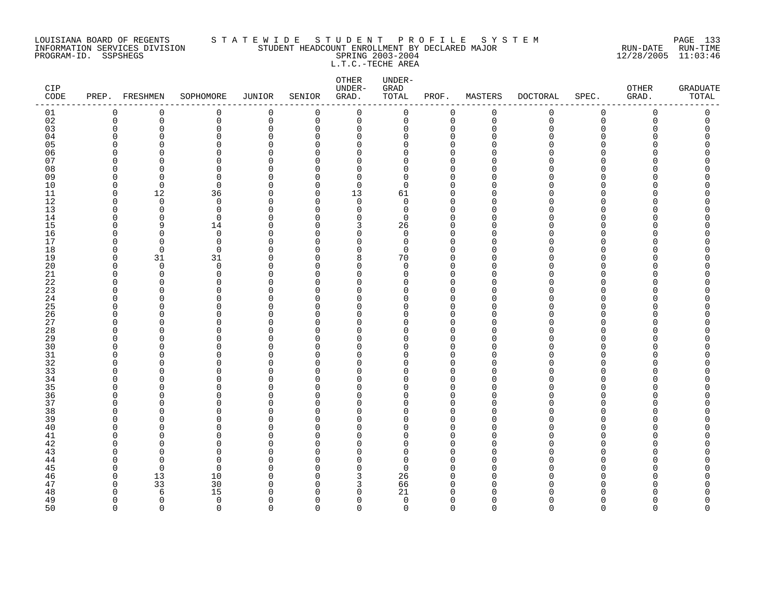### LOUISIANA BOARD OF REGENTS S T A T E W I D E S T U D E N T P R O F I L E S Y S T E M PAGE 133 INFORMATION SERVICES DIVISION STUDENT HEADCOUNT ENROLLMENT BY DECLARED MAJOR RUN-DATE RUN-TIME PROGRAM-ID. SSPSHEGS SPRING 2003-2004 12/28/2005 11:03:46 L.T.C.-TECHE AREA

| CIP<br>$\texttt{CODE}$ |          | PREP. FRESHMEN | SOPHOMORE     | <b>JUNIOR</b> | SENIOR               | OTHER<br>UNDER-<br>GRAD. | UNDER-<br>GRAD<br>TOTAL | PROF.                      | MASTERS     | <b>DOCTORAL</b> | SPEC.                | OTHER<br>GRAD. | <b>GRADUATE</b><br>TOTAL |
|------------------------|----------|----------------|---------------|---------------|----------------------|--------------------------|-------------------------|----------------------------|-------------|-----------------|----------------------|----------------|--------------------------|
| 01                     | 0        | 0              | 0             | 0             | 0                    | $\mathsf 0$              | 0                       | 0                          | $\mathbf 0$ | $\mathsf 0$     | $\mathsf 0$          | 0              | 0                        |
| 02                     | 0        | 0              | 0             | 0             | 0                    | 0                        | 0                       | $\mathbf 0$                | $\mathbf 0$ | $\mathbf 0$     | $\mathbf 0$          | 0              | 0                        |
| 03                     | $\Omega$ | $\Omega$       | 0             | $\Omega$      | $\Omega$             | $\mathbf 0$              | 0                       | $\mathbf 0$                | $\Omega$    | O               | $\Omega$             | U              | C                        |
| 04                     | n        | <sup>n</sup>   | $\Omega$      | O             | $\Omega$             | $\mathbf 0$              | 0                       | $\mathbf 0$                | n           | N               | ∩                    |                | Λ                        |
| 05                     |          | Ω              | $\Omega$      | $\cap$        | $\Omega$             | $\Omega$                 | 0                       | $\Omega$                   |             |                 | ∩                    |                | Λ                        |
| 06                     |          | O              | $\Omega$      | O             | $\Omega$             | 0                        | 0                       | $\mathbf 0$                |             |                 | $\Omega$             |                | Ω                        |
| 07                     | U        | ∩<br>n         | $\Omega$      | $\Omega$      | $\Omega$             | $\Omega$                 | 0                       | $\Omega$                   | n           |                 | ∩<br>∩               |                |                          |
| 08<br>09               | ∩        | <sup>n</sup>   | $\Omega$<br>0 | O<br>O        | $\Omega$<br>$\Omega$ | $\Omega$<br>$\Omega$     | 0<br>0                  | $\Omega$<br>$\mathbf 0$    | ∩           |                 | ∩                    |                |                          |
| 10                     | $\cap$   | $\Omega$       | 0             | $\Omega$      | $\Omega$             | $\mathbf 0$              | $\mathbf 0$             | $\Omega$                   | $\cap$      |                 | $\Omega$             |                |                          |
| 11                     | $\Omega$ | 12             | 36            | 0             | 0                    | 13                       | 61                      | 0                          | $\Omega$    |                 | ∩                    |                |                          |
| 12                     | $\Omega$ | $\Omega$       | 0             | $\Omega$      | $\Omega$             | $\mathbf 0$              | $\Omega$                | $\Omega$                   | U           |                 | ∩                    |                |                          |
| 13                     | U        | $\Omega$       | 0             | O             | $\Omega$             | $\mathbf 0$              | 0                       | $\mathbf 0$                | n           |                 | $\Omega$             |                |                          |
| 14                     | n        | n              | $\Omega$      | O             | $\Omega$             | $\Omega$                 | $\mathbf 0$             | $\mathbf 0$                | ∩           |                 | $\cap$               |                |                          |
| 15                     | n        | 9              | 14            | 0             | $\Omega$             | 3                        | 26                      | $\Omega$                   | U           |                 | ∩                    |                | ⋂                        |
| 16                     | ∩        | <sup>0</sup>   | 0             | $\Omega$      | $\Omega$             | $\mathbf 0$              | 0                       | $\mathbf 0$                | n           |                 | ∩                    |                |                          |
| 17                     | ∩        | $\Omega$       | 0             | $\Omega$      | $\Omega$             | 0                        | 0                       | $\mathbf 0$                | n           |                 | ∩                    |                |                          |
| 18                     | n        | $\mathbf 0$    | 0             | $\Omega$      | $\Omega$             | $\mathbf 0$              | $\mathbf 0$             | $\Omega$                   |             |                 | ∩                    |                |                          |
| 19                     | $\Omega$ | 31             | 31            | 0             | $\Omega$             | 8                        | 70                      | 0                          | $\cap$      |                 | $\Omega$             |                |                          |
| 20                     | ∩        | $\mathbf 0$    | 0             | O             | $\Omega$             | 0                        | 0                       | $\Omega$                   | n           |                 | ∩                    |                |                          |
| $2\sqrt{1}$            | U        | $\Omega$       | $\Omega$      | O             | $\Omega$             | $\Omega$                 | $\Omega$                | $\Omega$                   | $\cap$      |                 | ∩                    |                |                          |
| 22                     | ∩        | U              | $\Omega$      | O             | $\Omega$             | $\Omega$                 | 0                       | 0                          | ∩           |                 | ∩                    |                |                          |
| 23                     |          | n              | $\Omega$      | $\cap$        | $\Omega$             | $\Omega$                 | 0                       | $\Omega$                   | $\cap$      |                 | $\Omega$             |                |                          |
| 24                     |          | O              | $\Omega$      | 0             | 0                    | 0                        | 0                       | 0                          | n           |                 | O                    |                |                          |
| 25                     | ∩        | O              | 0             | O             | $\Omega$             | $\Omega$                 | 0                       | $\Omega$                   | n           |                 | ∩                    |                |                          |
| 26<br>27               |          | $\Omega$<br>∩  | $\Omega$<br>0 | O<br>U        | $\Omega$<br>$\Omega$ | 0<br>$\Omega$            | 0<br>0                  | $\mathbf 0$<br>$\mathbf 0$ | ∩           |                 | $\Omega$<br>$\Omega$ |                |                          |
| $2\,8$                 |          | O              | $\Omega$      | $\Omega$      | $\Omega$             | $\mathbf 0$              | 0                       | $\Omega$                   |             |                 | ∩                    |                |                          |
| 29                     |          | O              | 0             | O             | $\Omega$             | 0                        | 0                       | $\Omega$                   | n           |                 | ∩                    |                |                          |
| 30                     |          |                | U             | O             | $\Omega$             | $\Omega$                 | O                       | $\Omega$                   | n           |                 | ∩                    |                |                          |
| 31                     | ∩        | ∩              | $\Omega$      | O             | $\Omega$             | $\Omega$                 | 0                       | $\Omega$                   |             |                 | ∩                    |                |                          |
| 32                     |          | Λ              | $\Omega$      | O             | $\Omega$             | $\mathbf 0$              | 0                       | $\Omega$                   | n           |                 | ∩                    |                |                          |
| 33                     |          | O              | O             | O             | $\Omega$             | 0                        | 0                       | $\Omega$                   | ∩           |                 | ∩                    |                |                          |
| 34                     | ∩        | ∩              | 0             | O             | $\Omega$             | 0                        | 0                       | $\mathbf 0$                | ∩           |                 | ∩                    |                |                          |
| 35                     |          | O              | $\Omega$      | O             | $\Omega$             | 0                        | 0                       | $\mathbf 0$                | U           |                 | $\Omega$             |                |                          |
| 36                     |          | Ω              | $\Omega$      | $\Omega$      | $\Omega$             | $\mathbf 0$              | 0                       | $\Omega$                   | U           |                 | $\Omega$             |                |                          |
| 37                     | n        | $\Omega$       | $\Omega$      | 0             | $\mathbf 0$          | 0                        | 0                       | $\mathbf 0$                | $\Omega$    |                 | $\Omega$             |                |                          |
| 38                     |          | O              | 0             | O             | $\Omega$             | $\Omega$                 | 0                       | $\Omega$                   | ∩           |                 |                      |                |                          |
| 39                     | ∩        | O              | $\Omega$      | O             | $\Omega$             | 0                        | 0                       | $\mathbf 0$                | $\Omega$    |                 | $\Omega$             |                |                          |
| 40                     | ∩        | ∩              | $\Omega$      | O             | U                    | $\Omega$                 | 0                       | $\mathbf 0$                | n           |                 | ∩                    |                |                          |
| 41                     |          | Ω              | $\Omega$      | O             | $\Omega$             | $\Omega$                 | 0                       | $\Omega$                   | n           |                 | ∩                    |                |                          |
| 42                     |          | O              | $\Omega$      | O             | $\Omega$             | 0                        | 0                       | $\Omega$                   | $\Omega$    |                 | ∩                    |                |                          |
| 43                     |          | n              | 0             | O             | $\Omega$             | $\Omega$                 | 0                       | $\Omega$                   | n           |                 | ∩                    |                |                          |
| 44                     | ∩        | $\Omega$       | 0             | O             | $\Omega$             | $\Omega$                 | 0                       | $\Omega$                   | ∩<br>n      |                 | $\Omega$<br>$\Omega$ |                | ⋂                        |
| 45                     | n        | $\Omega$       | $\Omega$      | O             | $\Omega$<br>$\Omega$ | $\Omega$                 | $\Omega$                | $\Omega$<br>$\Omega$       | U           |                 | ∩                    |                |                          |
| 46<br>47               | ∩        | 13<br>33       | 10<br>30      | 0<br>O        | $\Omega$             | 3<br>3                   | 26<br>66                | $\mathbf 0$                | $\cap$      |                 | n                    |                | Ω                        |
| 48                     | ∩        | 6              | 15            | $\Omega$      | $\Omega$             | 0                        | 21                      | 0                          | ∩           |                 | ∩                    |                |                          |
| 49                     | $\Omega$ | $\Omega$       | $\mathbf 0$   | $\Omega$      | $\Omega$             | $\mathbf 0$              | $\mathbf 0$             | $\mathbf 0$                | $\Omega$    | U               | $\Omega$             |                | O                        |
| 50                     | $\Omega$ | $\Omega$       | $\Omega$      | $\Omega$      | $\Omega$             | $\Omega$                 | $\Omega$                | $\Omega$                   | $\Omega$    | $\Omega$        | $\Omega$             | $\Omega$       | $\Omega$                 |
|                        |          |                |               |               |                      |                          |                         |                            |             |                 |                      |                |                          |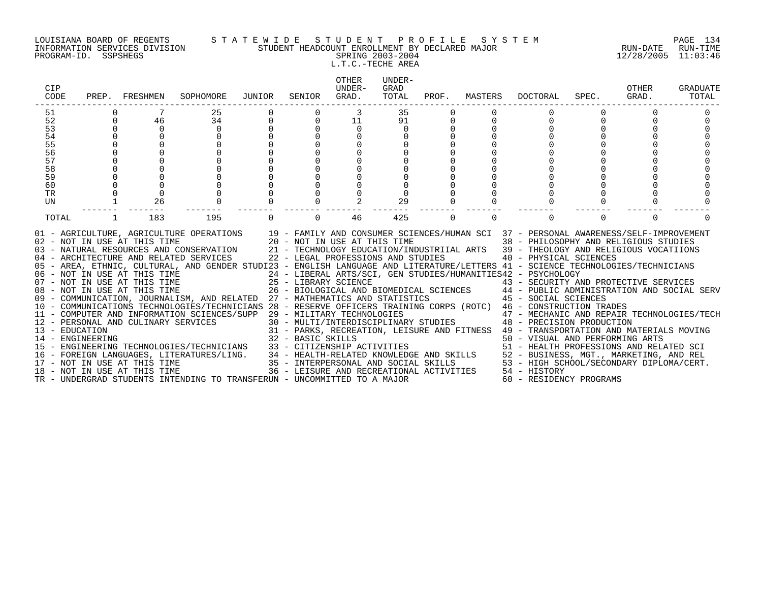### LOUISIANA BOARD OF REGENTS S T A T E W I D E S T U D E N T P R O F I L E S Y S T E M PAGE 134 INFORMATION SERVICES DIVISION STUDENT HEADCOUNT ENROLLMENT BY DECLARED MAJOR RUN-DATE RUN-TIME PROGRAM-ID. SSPSHEGS SPRING 2003-2004 12/28/2005 11:03:46 L.T.C.-TECHE AREA

| CIP<br>CODE                        | PREP.       | FRESHMEN                     | SOPHOMORE                                                                                                                                                                                                                                                                                                                                                                                                                                                                                                                                                                                                                                                                                                                                                                                                                                                                              | JUNIOR | SENIOR            | <b>OTHER</b><br>UNDER-<br>GRAD.                                    | UNDER-<br>GRAD<br>TOTAL | PROF.    | MASTERS  | DOCTORAL                                                                                                                                                                                                                                                                                                                                                                                                                                                                                                                                                                                                                                                                                                                                                                             | SPEC.    | <b>OTHER</b><br>GRAD. | GRADUATE<br>TOTAL |
|------------------------------------|-------------|------------------------------|----------------------------------------------------------------------------------------------------------------------------------------------------------------------------------------------------------------------------------------------------------------------------------------------------------------------------------------------------------------------------------------------------------------------------------------------------------------------------------------------------------------------------------------------------------------------------------------------------------------------------------------------------------------------------------------------------------------------------------------------------------------------------------------------------------------------------------------------------------------------------------------|--------|-------------------|--------------------------------------------------------------------|-------------------------|----------|----------|--------------------------------------------------------------------------------------------------------------------------------------------------------------------------------------------------------------------------------------------------------------------------------------------------------------------------------------------------------------------------------------------------------------------------------------------------------------------------------------------------------------------------------------------------------------------------------------------------------------------------------------------------------------------------------------------------------------------------------------------------------------------------------------|----------|-----------------------|-------------------|
| 51                                 |             |                              | 25                                                                                                                                                                                                                                                                                                                                                                                                                                                                                                                                                                                                                                                                                                                                                                                                                                                                                     |        |                   | 3                                                                  | 35                      |          |          |                                                                                                                                                                                                                                                                                                                                                                                                                                                                                                                                                                                                                                                                                                                                                                                      |          |                       |                   |
| 52                                 | $\mathbf 0$ | 46                           | 34                                                                                                                                                                                                                                                                                                                                                                                                                                                                                                                                                                                                                                                                                                                                                                                                                                                                                     |        | $\mathbf 0$       | 11                                                                 | 91                      |          |          |                                                                                                                                                                                                                                                                                                                                                                                                                                                                                                                                                                                                                                                                                                                                                                                      | $\Omega$ |                       |                   |
| 53                                 | 0           | $\mathbf 0$                  | $\mathbf 0$                                                                                                                                                                                                                                                                                                                                                                                                                                                                                                                                                                                                                                                                                                                                                                                                                                                                            |        |                   | 0                                                                  | 0                       |          |          |                                                                                                                                                                                                                                                                                                                                                                                                                                                                                                                                                                                                                                                                                                                                                                                      |          |                       |                   |
| 54                                 | $\mathbf 0$ |                              |                                                                                                                                                                                                                                                                                                                                                                                                                                                                                                                                                                                                                                                                                                                                                                                                                                                                                        |        |                   |                                                                    |                         |          |          |                                                                                                                                                                                                                                                                                                                                                                                                                                                                                                                                                                                                                                                                                                                                                                                      |          |                       |                   |
| 55<br>56                           | 0           |                              |                                                                                                                                                                                                                                                                                                                                                                                                                                                                                                                                                                                                                                                                                                                                                                                                                                                                                        |        |                   |                                                                    |                         |          |          |                                                                                                                                                                                                                                                                                                                                                                                                                                                                                                                                                                                                                                                                                                                                                                                      |          |                       |                   |
| 57                                 |             |                              |                                                                                                                                                                                                                                                                                                                                                                                                                                                                                                                                                                                                                                                                                                                                                                                                                                                                                        |        |                   |                                                                    |                         |          |          |                                                                                                                                                                                                                                                                                                                                                                                                                                                                                                                                                                                                                                                                                                                                                                                      |          |                       |                   |
| 58                                 |             |                              |                                                                                                                                                                                                                                                                                                                                                                                                                                                                                                                                                                                                                                                                                                                                                                                                                                                                                        |        |                   |                                                                    |                         |          |          |                                                                                                                                                                                                                                                                                                                                                                                                                                                                                                                                                                                                                                                                                                                                                                                      |          |                       |                   |
| 59                                 |             |                              |                                                                                                                                                                                                                                                                                                                                                                                                                                                                                                                                                                                                                                                                                                                                                                                                                                                                                        |        |                   |                                                                    |                         |          |          |                                                                                                                                                                                                                                                                                                                                                                                                                                                                                                                                                                                                                                                                                                                                                                                      |          |                       |                   |
| 60                                 |             |                              |                                                                                                                                                                                                                                                                                                                                                                                                                                                                                                                                                                                                                                                                                                                                                                                                                                                                                        |        |                   |                                                                    |                         |          |          |                                                                                                                                                                                                                                                                                                                                                                                                                                                                                                                                                                                                                                                                                                                                                                                      |          |                       |                   |
| TR                                 |             |                              |                                                                                                                                                                                                                                                                                                                                                                                                                                                                                                                                                                                                                                                                                                                                                                                                                                                                                        |        |                   |                                                                    |                         |          |          |                                                                                                                                                                                                                                                                                                                                                                                                                                                                                                                                                                                                                                                                                                                                                                                      |          |                       |                   |
| UN                                 |             | 26                           |                                                                                                                                                                                                                                                                                                                                                                                                                                                                                                                                                                                                                                                                                                                                                                                                                                                                                        |        |                   |                                                                    | 29                      |          |          |                                                                                                                                                                                                                                                                                                                                                                                                                                                                                                                                                                                                                                                                                                                                                                                      |          |                       |                   |
| TOTAL                              |             | 183                          | 195                                                                                                                                                                                                                                                                                                                                                                                                                                                                                                                                                                                                                                                                                                                                                                                                                                                                                    |        | $\Omega$          | 46                                                                 | 425                     | $\Omega$ | $\Omega$ | $\Omega$                                                                                                                                                                                                                                                                                                                                                                                                                                                                                                                                                                                                                                                                                                                                                                             | $\Omega$ | $\Omega$              |                   |
| 13 - EDUCATION<br>14 - ENGINEERING |             | 18 - NOT IN USE AT THIS TIME | 01 - AGRICULTURE, AGRICULTURE OPERATIONS 19 - FAMILY AND CONSUMER SCIENCES/HUMAN SCI 37 - PERSONAL AWARENESS/SELF-IMPROVEMENT<br>02 - NOT IN USE AT THIS TIME<br>03 - NATURAL RESOURCES AND CONSERVATION<br>04 - ARCHITECTURE AND RELATED SERVICES<br>05 - AREA, ETHNIC, CULTURAL, AND GENDER STUDI23 - ENGLISH LANGUAGE AND LITERATURE/LETTERS 41 - SCIENCE TECHNOLOGIES/TECHNICIANS<br>06 - NOT IN USE AT THIS TIME<br>07 - NOT IN USE AT THIS TIME<br>08 - NOT IN USE AT THIS TIME<br>09 - COMMUNICATION, JOURNALISM, AND RELATED 27 - MATHEMATICS AND STATISTICS<br>10 - COMMUNICATIONS TECHNOLOGIES/TECHNICIANS 28 - RESERVE OFFICERS TRAINING CORPS (ROTC) 46 - CONSTRUCTION TRADES<br>11 - COMPUTER AND INFORMATION SCIENCES/SUPP 29 - MILITARY TECHNOLOGIES<br>12 - PERSONAL AND CULINARY SERVICES<br>TR - UNDERGRAD STUDENTS INTENDING TO TRANSFERUN - UNCOMMITTED TO A MAJOR |        | 32 - BASIC SKILLS | 20 - NOT IN USE AT THIS TIME<br>22 - LEGAL PROFESSIONS AND STUDIES |                         |          |          | 38 - PHILOSOPHY AND RELIGIOUS STUDIES<br>21 - TECHNOLOGY EDUCATION/INDUSTRIIAL ARTS 39 - THEOLOGY AND RELIGIOUS VOCATIIONS<br>40 - PHYSICAL SCIENCES<br>24 - LIBERAL ARTS/SCI, GEN STUDIES/HUMANITIES42 - PSYCHOLOGY<br>25 - LIBRARY SCIENCE<br>26 - BIOLOGICAL AND BIOMEDICAL SCIENCES<br>27 - MATHEMATICS AND STATISTICS<br>27 - MATHEMATICS AND STATISTICS<br>27 - RESERVE AND SOCIAL SERV<br>27 - RESERVE AND SOCIAL SERV<br>27 - RESERVE AND SOCIAL SERVE AND<br>29 - MILITARY TECHNOLOGIES<br>30 - MULTI/INTERDISCIPLINARY STUDIES<br>48 - PRECISION PRODUCTION<br>31 - PARKS, RECREATION, LEISURE AND FITNESS 49 - TRANSPORTATION AND MATERIALS MOVING<br>50 - VISUAL AND PERFORMING ARTS<br>36 - LEISURE AND RECREATIONAL ACTIVITIES 54 - HISTORY<br>60 - RESIDENCY PROGRAMS |          |                       |                   |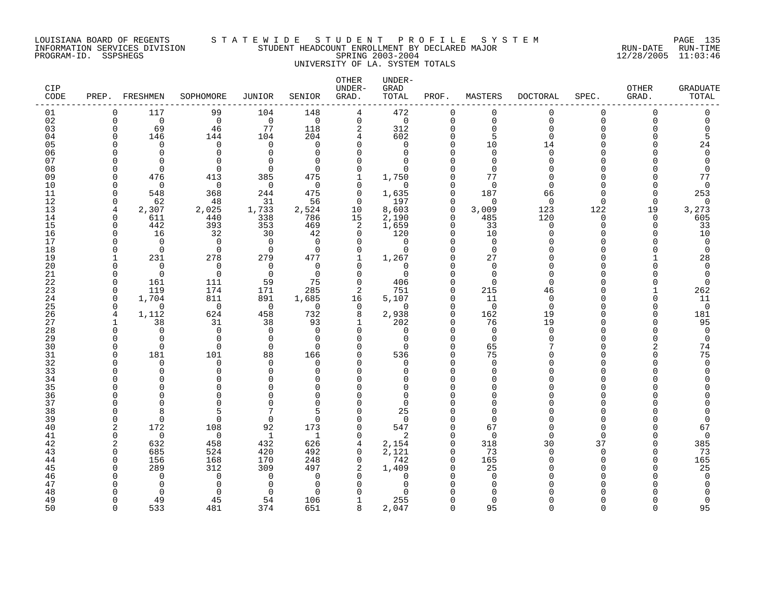### LOUISIANA BOARD OF REGENTS S T A T E W I D E S T U D E N T P R O F I L E S Y S T E M PAGE 135 INFORMATION SERVICES DIVISION STUDENT HEADCOUNT ENROLLMENT BY DECLARED MAJOR RUN-DATE RUN-TIME PROGRAM-ID. SSPSHEGS SPRING 2003-2004 12/28/2005 11:03:46 UNIVERSITY OF LA. SYSTEM TOTALS

| CIP<br>CODE | PREP.         | FRESHMEN        | SOPHOMORE            | JUNIOR          | SENIOR               | OTHER<br>UNDER-<br>GRAD. | UNDER-<br>GRAD<br>TOTAL | PROF.                | MASTERS              | <b>DOCTORAL</b>      | SPEC.           | OTHER<br>GRAD.    | <b>GRADUATE</b><br>TOTAL |
|-------------|---------------|-----------------|----------------------|-----------------|----------------------|--------------------------|-------------------------|----------------------|----------------------|----------------------|-----------------|-------------------|--------------------------|
| 01          | $\Omega$      | 117             | 99                   | 104             | 148                  | $\overline{4}$           | 472                     | $\mathbf 0$          | $\mathbf 0$          | $\mathbf 0$          | $\mathbf 0$     | $\Omega$          | 0                        |
| 02          | $\Omega$      | $\Omega$        | $\Omega$             | $\Omega$        | $\Omega$             | $\mathbf 0$              | $\mathbf 0$             | $\Omega$             | $\mathbf 0$          | $\Omega$             | $\Omega$        | $\Omega$          | $\Omega$                 |
| 03          | $\Omega$<br>∩ | 69              | 46                   | 77              | 118<br>204           | 2                        | 312                     | $\Omega$<br>$\Omega$ | $\mathbf 0$          | $\Omega$<br>$\Omega$ | $\Omega$<br>∩   |                   | $\mathbf 0$              |
| 04<br>05    |               | 146<br>$\Omega$ | 144<br>$\mathbf 0$   | 104<br>$\Omega$ | $\Omega$             | 4<br>$\Omega$            | 602<br>$\Omega$         | $\Omega$             | 5<br>10              | 14                   | ∩               |                   | 5<br>24                  |
| 06          |               | $\Omega$        | $\Omega$             | $\Omega$        | $\Omega$             | 0                        | $\Omega$                | $\Omega$             | $\mathbf 0$          | $\Omega$             | ∩               |                   | $\mathbf 0$              |
| 07          |               | ∩               | $\Omega$             | ∩               | $\Omega$             | $\Omega$                 | ∩                       | $\cap$               | $\Omega$             | ∩                    | ∩               |                   | $\Omega$                 |
| 08          |               | $\Omega$        | $\Omega$             | $\Omega$        | $\Omega$             | $\Omega$                 | $\Omega$                | ∩                    | $\Omega$             |                      | ∩               |                   | $\Omega$                 |
| 09          | ∩             | 476             | 413                  | 385             | 475                  | $\mathbf{1}$             | 1,750                   | $\Omega$             | 77                   | ∩                    | $\cap$          |                   | 77                       |
| 10          |               | $\Omega$        | $\mathbf 0$          | $\Omega$        | $\Omega$             | 0                        | $\Omega$                | $\Omega$             | $\overline{0}$       | $\Omega$             | $\cap$          |                   | $\mathbf 0$              |
| 11          | U             | 548             | 368                  | 244             | 475                  | 0                        | 1,635                   | $\Omega$             | 187                  | 66                   | ∩               | U                 | 253                      |
| 12          | 0             | 62              | 48                   | 31              | 56                   | $\mathbf 0$              | 197                     | $\Omega$             | $\Omega$             | $\Omega$             | $\Omega$        | $\Omega$          | 0                        |
| 13<br>14    | 4<br>$\Omega$ | 2,307<br>611    | 2,025<br>440         | 1,733<br>338    | 2,524<br>786         | 10<br>15                 | 8,603<br>2,190          | $\Omega$<br>$\Omega$ | 3,009<br>485         | 123<br>120           | 122<br>$\Omega$ | 19<br>$\Omega$    | 3,273<br>605             |
| 15          | <sup>0</sup>  | 442             | 393                  | 353             | 469                  | 2                        | 1,659                   | $\Omega$             | 33                   | $\Omega$             | $\Omega$        | <sup>n</sup>      | 33                       |
| 16          | $\Omega$      | 16              | 32                   | 30              | 42                   | $\Omega$                 | 120                     | $\Omega$             | 10                   | $\cap$               | $\cap$          |                   | 10                       |
| 17          |               | $\Omega$        | $\mathbf 0$          | $\Omega$        | $\Omega$             | $\mathbf 0$              | $\mathbf 0$             | $\Omega$             | $\mathbf 0$          |                      | ∩               |                   | $\mathbf 0$              |
| 18          | ∩             | $\Omega$        | $\mathbf 0$          | $\Omega$        | $\Omega$             | $\mathbf 0$              | $\Omega$                | $\Omega$             | $\overline{0}$       |                      | ∩               |                   | $\mathbf 0$              |
| 19          |               | 231             | 278                  | 279             | 477                  | 1                        | 1,267                   | $\Omega$             | 27                   |                      | ∩               |                   | 28                       |
| 20          |               | $\Omega$        | $\Omega$             | $\Omega$        | $\Omega$             | $\Omega$                 | $\Omega$                |                      | $\mathbf 0$          |                      | ∩               |                   | $\mathbf 0$              |
| 21          | O             | $\Omega$        | $\Omega$             | $\Omega$        | $\Omega$             | $\Omega$                 | $\Omega$                | $\Omega$             | $\Omega$             | ∩                    | ∩               |                   | $\mathbf 0$              |
| 22          | <sup>0</sup>  | 161             | 111                  | 59              | 75                   | $\mathbf 0$              | 406                     | $\cap$<br>$\cap$     | $\Omega$             | $\Omega$             | ∩<br>$\cap$     |                   | $\mathbf 0$              |
| 23<br>24    | $\Omega$<br>0 | 119<br>1,704    | 174<br>811           | 171<br>891      | 285<br>1,685         | 2<br>16                  | 751<br>5,107            | $\Omega$             | 215<br>11            | 46<br>0              | ∩               | ∩                 | 262                      |
| 25          | $\Omega$      | ∩               | $\Omega$             | $\overline{0}$  | $\Omega$             | 0                        | $\Omega$                | $\Omega$             | $\mathbf 0$          | $\Omega$             | ∩               |                   | 11<br>$\mathbf 0$        |
| 26          | 4             | 1,112           | 624                  | 458             | 732                  | 8                        | 2,938                   | $\Omega$             | 162                  | 19                   | ∩               | <sup>n</sup>      | 181                      |
| 27          | -1            | 38              | 31                   | 38              | 93                   | 1                        | 202                     | $\Omega$             | 76                   | 19                   | ∩               |                   | 95                       |
| 28          | <sup>0</sup>  | $\Omega$        | $\Omega$             | $\Omega$        | $\Omega$             | $\Omega$                 | $\Omega$                | $\Omega$             | $\mathbf 0$          | $\Omega$             | ∩               |                   | 0                        |
| 29          | U             | $\Omega$        | $\Omega$             | $\Omega$        | $\Omega$             | $\Omega$                 | $\Omega$                | $\cap$               | $\Omega$             | ∩                    | ∩               |                   | $\mathbf 0$              |
| 30          | ∩             | $\Omega$        | $\Omega$             | $\Omega$        | $\Omega$             | $\Omega$                 | $\Omega$                | $\Omega$             | 65                   |                      | ∩               |                   | 74                       |
| 31          | O             | 181             | 101                  | 88              | 166                  | 0                        | 536                     | $\Omega$             | 75                   |                      | $\Omega$        | Λ                 | 75                       |
| 32          |               | $\Omega$        | $\Omega$<br>$\Omega$ | $\Omega$<br>∩   | $\Omega$             | 0<br>$\Omega$            | $\Omega$                | $\Omega$             | $\Omega$             |                      | ∩<br>∩          |                   | $\mathbf 0$              |
| 33<br>34    |               | $\Omega$<br>∩   | $\Omega$             | ∩               | $\Omega$<br>$\Omega$ | $\Omega$                 | $\Omega$<br>U           | $\cap$               | $\Omega$<br>$\Omega$ |                      | ∩               |                   | $\Omega$                 |
| 35          |               |                 | $\Omega$             |                 | $\cap$               | $\Omega$                 | ∩                       |                      | $\Omega$             |                      | ∩               |                   |                          |
| 36          |               | ∩               | $\Omega$             |                 | $\cap$               | $\Omega$                 | $\Omega$                |                      | $\Omega$             |                      | ∩               |                   |                          |
| 37          |               | ∩               | $\Omega$             |                 | $\Omega$             | $\Omega$                 | $\Omega$                |                      | $\Omega$             |                      | $\cap$          |                   |                          |
| 38          | ∩             | 8               | 5                    |                 | 5                    | $\Omega$                 | 25                      |                      | $\Omega$             |                      |                 |                   |                          |
| 39          | ∩             | $\Omega$        | $\Omega$             | $\mathbf 0$     | $\Omega$             | $\Omega$                 | $\Omega$                | $\Omega$             | $\Omega$             |                      | ∩               |                   | $\Omega$                 |
| 40          | 2             | 172             | 108                  | 92              | 173                  | $\mathbf 0$              | 547                     | $\Omega$             | 67                   | ∩                    | ∩               |                   | 67                       |
| 41          | $\Omega$      | $\Omega$        | $\Omega$             | $\mathbf{1}$    | 1                    | $\Omega$                 | 2                       | $\Omega$             | $\Omega$             | ∩                    | $\cap$          |                   | $\mathbf 0$              |
| 42          | 2<br>U        | 632<br>685      | 458                  | 432<br>420      | 626                  | 4<br>$\Omega$            | 2,154<br>2,121          | $\Omega$<br>$\cap$   | 318<br>73            | 30<br>∩              | 37<br>$\cap$    | <sup>n</sup><br>U | 385                      |
| 43<br>44    | $\Omega$      | 156             | 524<br>168           | 170             | 492<br>248           | $\mathbf 0$              | 742                     | $\Omega$             | 165                  | ∩                    | $\Omega$        | <sup>n</sup>      | 73<br>165                |
| 45          |               | 289             | 312                  | 309             | 497                  | 2                        | 1,409                   | $\Omega$             | 25                   |                      | ∩               |                   | 25                       |
| 46          |               | $\Omega$        | $\Omega$             | $\Omega$        | $\Omega$             | $\Omega$                 | $\Omega$                |                      | $\mathbf 0$          |                      | ∩               |                   | $\mathbf 0$              |
| 47          |               | $\Omega$        | $\Omega$             | $\Omega$        | $\Omega$             | $\Omega$                 | O                       |                      | $\Omega$             |                      |                 |                   | $\Omega$                 |
| 48          |               | ∩               | $\Omega$             | ∩               | $\cap$               | ∩                        |                         |                      | $\cap$               |                      |                 |                   |                          |
| 49          |               | 49              | 45                   | 54              | 106                  | 1                        | 255                     |                      | $\Omega$             |                      | ∩               |                   | $\Omega$                 |
| 50          | $\cap$        | 533             | 481                  | 374             | 651                  | 8                        | 2,047                   | $\Omega$             | 95                   | $\Omega$             | $\Omega$        | $\cap$            | 95                       |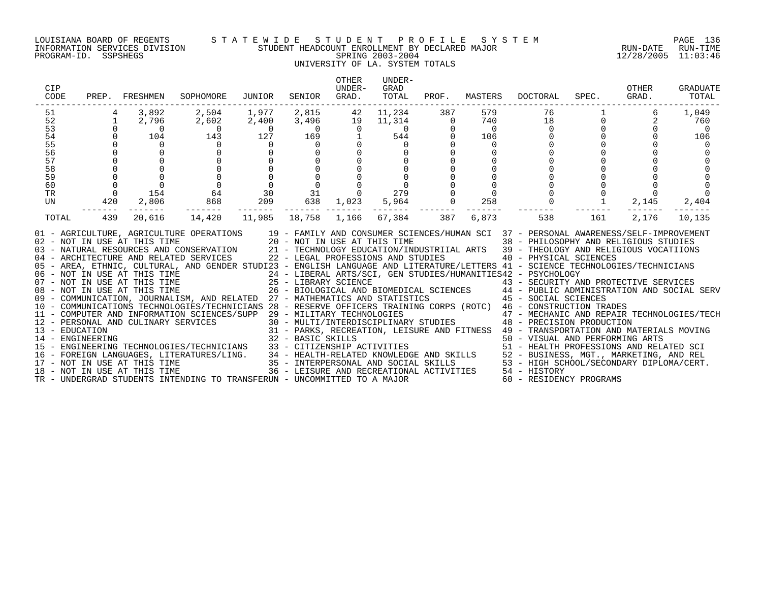### LOUISIANA BOARD OF REGENTS S T A T E W I D E S T U D E N T P R O F I L E S Y S T E M PAGE 136 INFORMATION SERVICES DIVISION STUDENT HEADCOUNT ENROLLMENT BY DECLARED MAJOR RUN-DATE RUN-TIME PROGRAM-ID. SSPSHEGS SPRING 2003-2004 12/28/2005 11:03:46 UNIVERSITY OF LA. SYSTEM TOTALS

## OTHER UNDER-CIP UNDER- GRAD OTHER GRADUATE CODE PREP. FRESHMEN SOPHOMORE JUNIOR SENIOR GRAD. TOTAL PROF. MASTERS DOCTORAL SPEC. GRAD. TOTAL ------------------------------------------------------------------------------------------------------------------------------------ 51 4 3,892 2,504 1,977 2,815 42 11,234 387 579 76 1 6 1,049 52 1 2,796 2,602 2,400 3,496 19 11,314 0 740 18 0 2 760<br>53 0 0 0 0 0 0 0 0 0 0 0 54 0 104 143 127 169 1 544 0 106 0 0 0 106 55 0 0 0 0 0 0 0 0 0 0 0 0 0 56 0 0 0 0 0 0 0 0 0 0 0 0 0 57 0 0 0 0 0 0 0 0 0 0 0 0 0 58 0 0 0 0 0 0 0 0 0 0 0 0 0 59 0 0 0 0 0 0 0 0 0 0 0 0 0 60 0 0 0 0 0 0 0 0 0 0 0 0 0 TR 0 154 64 30 31 0 279 0 0 0 0 0 0 UN 420 2,806 868 209 638 1,023 5,964 0 258 0 1 2,145 2,404 ------- ------- ------- ------- ------- ------- ------- ------- ------- ------- ------- ------- ------- TOTAL 439 20,616 14,420 11,985 18,758 1,166 67,384 387 6,873 538 161 2,176 10,135 01 - AGRICULTURE, AGRICULTURE OPERATIONS 19 - FAMILY AND CONSUMER SCIENCES/HUMAN SCI 37 - PERSONAL AWARENESS/SELF-IMPROVEMENT 02 - NOT IN USE AT THIS TIME 20 - NOT IN USE AT THIS TIME 38 - PHILOSOPHY AND RELIGIOUS STUDIES 03 - NATURAL RESOURCES AND CONSERVATION 21 - TECHNOLOGY EDUCATION/INDUSTRIIAL ARTS 39 - THEOLOGY AND RELIGIOUS VOCATIIONS<br>04 - ARCHITECTURE AND RELATED SERVICES 22 - LEGAL PROFESSIONS AND STUDIES 05 - AREA, ETHNIC, CULTURAL, AND GENDER STUDI23 - ENGLISH LANGUAGE AND LITERATURE/LETTERS 41 - SCIENCE TECHNOLOGIES/TECHNICIANS 06 – NOT IN USE AT THIS TIME 24 – LIBERAL ARTS/SCI, GEN STUDIES/HUMANITIES42 – PSYCHOLOGY<br>07 – NOT IN USE AT THIS TIME 25 – LIBRARY SCIENCE 43 – SECURITY AN 08 - NOT IN USE AT THIS TIME 26 - BIOLOGICAL AND BIOMEDICAL SCIENCES 44 - PUBLIC ADMINISTRATION AND SOCIAL SERV 09 - COMMUNICATION, JOURNALISM, AND RELATED 27 - MATHEMATICS AND STATISTICS 45 - SOCIAL SCIENCES 10 - COMMUNICATIONS TECHNOLOGIES/TECHNICIANS 28 - RESERVE OFFICERS TRAINING CORPS (ROTC) 46 - CONSTRUCTION TRADES 11 - COMPUTER AND INFORMATION SCIENCES/SUPP 29 - MILITARY TECHNOLOGIES 47 - MECHANIC AND REPAIR TECHNOLOGIES/TECH 12 - PERSONAL AND CULINARY SERVICES 30 - MULTI/INTERDISCIPLINARY STUDIES 48 - PRECISION PRODUCTION 13 - EDUCATION 31 - PARKS, RECREATION, LEISURE AND FITNESS 49 - TRANSPORTATION AND MATERIALS MOVING 14 - ENGINEERING 32 - BASIC SKILLS 50 - VISUAL AND PERFORMING ARTS 15 - ENGINEERING TECHNOLOGIES/TECHNICIANS 33 - CITIZENSHIP ACTIVITIES 51 - HEALTH PROFESSIONS AND RELATED SCI 16 - FOREIGN LANGUAGES, LITERATURES/LING. 34 - HEALTH-RELATED KNOWLEDGE AND SKILLS 52 - BUSINESS, MGT., MARKETING, AND REL 17 - NOT IN USE AT THIS TIME 35 - INTERPERSONAL AND SOCIAL SKILLS 53 - HIGH SCHOOL/SECONDARY DIPLOMA/CERT. 18 - NOT IN USE AT THIS TIME 36 - LEISURE AND RECREATIONAL ACTIVITIES 54 - HISTORY TR - UNDERGRAD STUDENTS INTENDING TO TRANSFERUN - UNCOMMITTED TO A MAJOR 60 - RESIDENCY PROGRAMS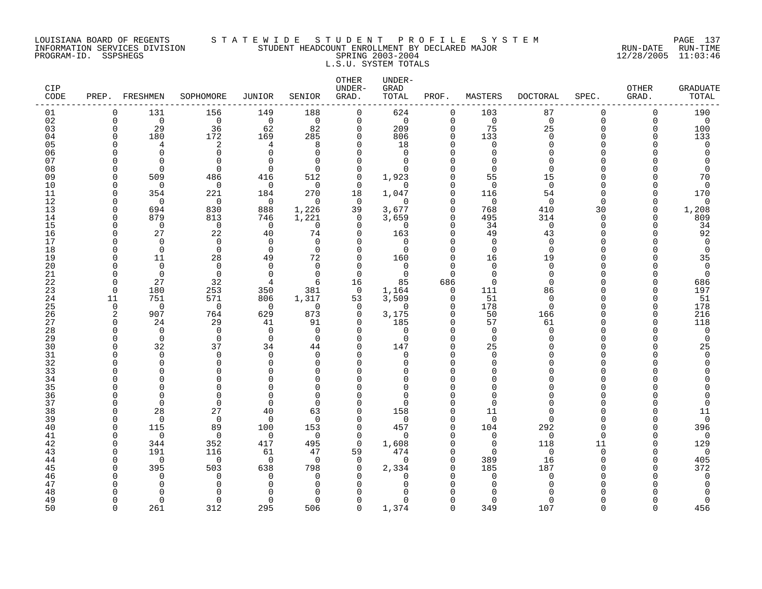### LOUISIANA BOARD OF REGENTS S T A T E W I D E S T U D E N T P R O F I L E S Y S T E M PAGE 137 INFORMATION SERVICES DIVISION STUDENT HEADCOUNT ENROLLMENT BY DECLARED MAJOR RUN-DATE RUN-TIME PROGRAM-ID. SSPSHEGS SPRING 2003-2004 12/28/2005 11:03:46 L.S.U. SYSTEM TOTALS

| CIP<br>CODE | PREP. FRESHMEN |                      | SOPHOMORE            | JUNIOR          | SENIOR               | OTHER<br>UNDER-<br>GRAD. | UNDER-<br>GRAD<br>TOTAL | PROF.                      | MASTERS                 | <b>DOCTORAL</b> | SPEC.                | OTHER<br>GRAD.       | <b>GRADUATE</b><br>TOTAL |
|-------------|----------------|----------------------|----------------------|-----------------|----------------------|--------------------------|-------------------------|----------------------------|-------------------------|-----------------|----------------------|----------------------|--------------------------|
| 01          | 0              | 131                  | 156                  | 149             | 188                  | $\mathbf 0$              | 624                     | $\mathbf 0$                | 103                     | 87              | 0                    | $\mathbf 0$          | 190                      |
| 02          | $\Omega$       | $\Omega$             | $\Omega$             | $\Omega$        | $\Omega$             | $\Omega$                 | $\mathbf 0$             | $\Omega$                   | $\Omega$                | $\Omega$        | $\Omega$             | $\Omega$             | $\mathbf 0$              |
| 03<br>04    | $\Omega$<br>∩  | 29<br>180            | 36<br>172            | 62<br>169       | 82<br>285            | 0<br>$\Omega$            | 209<br>806              | $\mathbf 0$<br>0           | 75<br>133               | 25<br>$\Omega$  | $\Omega$<br>O        | $\Omega$<br>$\Omega$ | 100<br>133               |
| 05          | ∩              | 4                    | 2                    | 4               | 8                    | $\Omega$                 | 18                      | $\Omega$                   | $\mathbf 0$             | $\Omega$        | U                    | $\cap$               | 0                        |
| 06          |                | $\Omega$             | $\mathbf 0$          | $\Omega$        | $\Omega$             | $\Omega$                 | 0                       | $\Omega$                   | $\Omega$                | $\Omega$        | U                    |                      | <sup>0</sup>             |
| 07          |                | $\Omega$             | $\Omega$             | ∩               | $\Omega$             | $\Omega$                 | $\Omega$                | $\Omega$                   | $\Omega$                | $\Omega$        | ∩                    |                      |                          |
| 08          | U              | $\Omega$             | $\Omega$             | $\Omega$        | $\Omega$             | $\Omega$                 | $\Omega$                | $\Omega$                   | $\Omega$                | $\Omega$        | U                    |                      | $\Omega$                 |
| 09          | ∩              | 509                  | 486                  | 416             | 512                  | 0                        | 1,923                   | $\Omega$                   | 55                      | 15              | U                    |                      | 70                       |
| 10          | U              | $\mathbf 0$          | $\mathbf 0$          | $\mathbf 0$     | $\Omega$             | $\Omega$                 | 0                       | $\Omega$                   | $\Omega$                | $\mathbf 0$     | U                    | n                    | $\mathbf 0$              |
| 11          | ∩<br>U         | 354<br>$\Omega$      | 221                  | 184             | 270<br>$\Omega$      | 18<br>$\mathbf 0$        | 1,047<br>0              | $\Omega$<br>$\Omega$       | 116<br>$\mathbf 0$      | 54<br>$\Omega$  | $\Omega$<br>$\Omega$ | $\cap$<br>$\Omega$   | 170                      |
| 12<br>13    | U              | 694                  | 0<br>830             | 0<br>888        | 1,226                | 39                       | 3,677                   | $\Omega$                   | 768                     | 410             | 30                   | $\Omega$             | 0<br>1,208               |
| 14          | U              | 879                  | 813                  | 746             | 1,221                | 0                        | 3,659                   | $\mathbf 0$                | 495                     | 314             | $\Omega$             | $\Omega$             | 809                      |
| 15          | ∩              | $\Omega$             | $\mathbf 0$          | $\Omega$        | $\Omega$             | $\Omega$                 | $\Omega$                | $\Omega$                   | 34                      | $\mathbf 0$     | $\Omega$             | $\cap$               | 34                       |
| 16          | ∩              | 27                   | 22                   | 40              | 74                   | $\Omega$                 | 163                     | $\Omega$                   | 49                      | 43              | $\Omega$             |                      | 92                       |
| 17          | ∩              | $\Omega$             | $\mathbf 0$          | $\Omega$        | $\mathbf 0$          | $\Omega$                 | $\mathbf 0$             | $\Omega$                   | $\mathbf 0$             | $\mathbf 0$     | U                    |                      | $\mathbf 0$              |
| 18          | U              | $\Omega$             | $\mathbf 0$          | $\Omega$        | $\Omega$             | $\Omega$                 | 0                       | $\Omega$                   | $\Omega$                | $\Omega$        | O                    |                      | $\mathbf 0$              |
| 19<br>20    | U              | 11<br>$\Omega$       | 28<br>$\Omega$       | 49<br>$\Omega$  | 72<br>$\Omega$       | 0<br>$\Omega$            | 160<br>0                | $\mathbf 0$<br>$\Omega$    | 16<br>$\Omega$          | 19<br>$\Omega$  | U<br>∩               |                      | 35<br>0                  |
| 21          | ∩              | $\Omega$             | $\Omega$             | $\Omega$        | $\Omega$             | $\Omega$                 | $\Omega$                | $\Omega$                   | $\Omega$                | $\Omega$        | U                    |                      | $\Omega$                 |
| 22          | <sup>n</sup>   | 27                   | 32                   | 4               | 6                    | 16                       | 85                      | 686                        | $\Omega$                | $\Omega$        | U                    | $\cap$               | 686                      |
| 23          | $\cap$         | 180                  | 253                  | 350             | 381                  | $\Omega$                 | 1,164                   | $\Omega$                   | 111                     | 86              | U                    | $\Omega$             | 197                      |
| 24          | 11             | 751                  | 571                  | 806             | 1,317                | 53                       | 3,509                   | 0                          | 51                      | 0               | U                    | $\Omega$             | 51                       |
| 25          | $\Omega$       | $\Omega$             | $\Omega$             | $\overline{0}$  | $\Omega$             | $\Omega$                 | $\Omega$                | $\Omega$                   | 178                     | $\Omega$        | U                    | $\Omega$             | 178                      |
| 26<br>27    | 2<br>0         | 907<br>24            | 764<br>29            | 629<br>41       | 873<br>91            | 0<br>$\Omega$            | 3,175<br>185            | $\mathbf 0$<br>$\mathbf 0$ | 50<br>57                | 166<br>61       | O<br>U               | $\Omega$<br>$\Omega$ | 216<br>118               |
| 28          | ∩              | $\Omega$             | $\Omega$             | $\Omega$        | $\Omega$             | $\Omega$                 | $\Omega$                | $\Omega$                   | $\Omega$                | $\Omega$        | O                    | n                    | 0                        |
| 29          | ∩              | $\Omega$             | $\Omega$             | $\Omega$        | $\Omega$             | $\Omega$                 | $\mathbf 0$             | $\Omega$                   | $\Omega$                | $\cap$          | U                    |                      | $\mathbf 0$              |
| 30          | $\cap$         | 32                   | 37                   | 34              | 44                   | $\Omega$                 | 147                     | $\Omega$                   | 25                      |                 | U                    |                      | 25                       |
| 31          | ∩              | 0                    | 0                    | $\Omega$        | 0                    | $\Omega$                 | 0                       | $\Omega$                   | 0                       | ∩               | U                    |                      | 0                        |
| 32          |                | $\Omega$             | $\mathbf 0$          | ∩               | $\Omega$             | $\Omega$                 | 0                       | $\Omega$                   | $\Omega$                |                 | U                    |                      | $\Omega$                 |
| 33<br>34    |                | $\Omega$<br>$\Omega$ | $\Omega$<br>$\Omega$ | ∩<br>∩          | $\Omega$<br>$\Omega$ | Λ<br>$\Omega$            | O<br>0                  | $\Omega$<br>$\Omega$       | $\Omega$<br>$\Omega$    | $\Omega$<br>∩   | ∩<br>U               |                      |                          |
| 35          |                | $\Omega$             | $\Omega$             | ∩               | $\Omega$             | $\Omega$                 | $\Omega$                | $\Omega$                   | $\Omega$                |                 | U                    |                      |                          |
| 36          |                | $\Omega$             | $\Omega$             | $\cap$          | $\Omega$             | $\Omega$                 | 0                       | $\Omega$                   | $\Omega$                | $\cap$          | U                    |                      |                          |
| 37          | $\Omega$       | $\Omega$             | $\mathbf 0$          | $\Omega$        | $\Omega$             | $\Omega$                 | 0                       | $\Omega$                   | $\Omega$                | $\Omega$        | 0                    |                      | $\Omega$                 |
| 38          | ∩              | 28                   | 27                   | 40              | 63                   | $\Omega$                 | 158                     | $\Omega$                   | 11                      | ∩               | U                    | n                    | 11                       |
| 39          | U              | $\Omega$             | $\mathbf 0$          | $\Omega$        | $\Omega$             | $\Omega$                 | $\mathbf 0$             | $\Omega$                   | $\Omega$                | $\Omega$        | U                    | $\Omega$             | $\overline{0}$           |
| 40          | ∩<br>∩         | 115                  | 89                   | 100<br>$\Omega$ | 153<br>$\Omega$      | $\Omega$                 | 457                     | $\mathbf 0$<br>$\Omega$    | 104                     | 292             | $\Omega$<br>$\Omega$ | $\Omega$<br>$\Omega$ | 396                      |
| 41<br>42    | U              | $\Omega$<br>344      | $\mathbf 0$<br>352   | 417             | 495                  | $\Omega$<br>$\Omega$     | $\Omega$<br>1,608       | $\Omega$                   | $\mathbf 0$<br>$\Omega$ | $\Omega$<br>118 | 11                   | $\Omega$             | 0<br>129                 |
| 43          | ∩              | 191                  | 116                  | 61              | 47                   | 59                       | 474                     | $\Omega$                   | $\Omega$                | $\Omega$        | $\Omega$             | $\cap$               | $\Omega$                 |
| 44          | U              | $\mathbf 0$          | $\mathbf 0$          | $\mathbf 0$     | $\Omega$             | 0                        | $\mathbf 0$             | $\Omega$                   | 389                     | 16              | $\Omega$             | $\Omega$             | 405                      |
| 45          |                | 395                  | 503                  | 638             | 798                  | 0                        | 2,334                   | $\Omega$                   | 185                     | 187             | U                    | n                    | 372                      |
| 46          |                | <sup>0</sup>         | $\Omega$             | ∩               | $\Omega$             | U                        | O                       | $\Omega$                   | $\Omega$                | $\Omega$        | U                    |                      | 0                        |
| 47          |                | ∩                    | $\Omega$             |                 | $\Omega$             | U                        | O                       | $\Omega$                   | $\Omega$                | ∩               | ∩                    |                      | <sup>0</sup>             |
| 48<br>49    | ∩              | $\Omega$             | $\Omega$<br>$\Omega$ | $\Omega$        | ∩<br>$\Omega$        | $\Omega$                 | U<br>0                  | $\cap$<br>$\Omega$         | $\Omega$                | $\Omega$        | U                    |                      | ∩<br>$\Omega$            |
| 50          | $\Omega$       | 261                  | 312                  | 295             | 506                  | $\Omega$                 | 1,374                   | $\Omega$                   | 349                     | 107             | $\Omega$             | $\Omega$             | 456                      |
|             |                |                      |                      |                 |                      |                          |                         |                            |                         |                 |                      |                      |                          |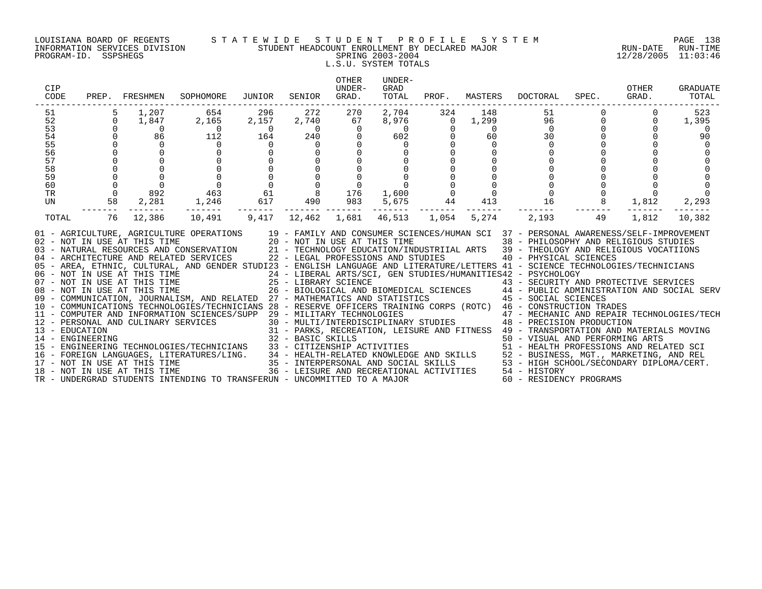### LOUISIANA BOARD OF REGENTS S T A T E W I D E S T U D E N T P R O F I L E S Y S T E M PAGE 138 INFORMATION SERVICES DIVISION STUDENT HEADCOUNT ENROLLMENT BY DECLARED MAJOR RUN-DATE RUN-TIME PROGRAM-ID. SSPSHEGS SPRING 2003-2004 12/28/2005 11:03:46 L.S.U. SYSTEM TOTALS

| CIP<br>CODE |                | PREP. FRESHMEN                                                                                | SOPHOMORE                                                                                                                                                                                                                                                                                                                                                                                                                                                                                                                                                                                                                                                                                                                                                                              | JUNIOR                              | SENIOR         | OTHER<br>UNDER-<br>GRAD. | UNDER-<br>GRAD<br>TOTAL            |                | PROF. MASTERS  | DOCTORAL                                            | SPEC.             | OTHER<br>GRAD. | <b>GRADUATE</b><br>TOTAL |
|-------------|----------------|-----------------------------------------------------------------------------------------------|----------------------------------------------------------------------------------------------------------------------------------------------------------------------------------------------------------------------------------------------------------------------------------------------------------------------------------------------------------------------------------------------------------------------------------------------------------------------------------------------------------------------------------------------------------------------------------------------------------------------------------------------------------------------------------------------------------------------------------------------------------------------------------------|-------------------------------------|----------------|--------------------------|------------------------------------|----------------|----------------|-----------------------------------------------------|-------------------|----------------|--------------------------|
| 51          | 5              | 1,207                                                                                         | 654                                                                                                                                                                                                                                                                                                                                                                                                                                                                                                                                                                                                                                                                                                                                                                                    | 296                                 | 272            | 270                      | 2,704                              | 324            | 148            | 51                                                  |                   |                | 523                      |
| 52          | $\overline{0}$ | 1,847                                                                                         | 2,165                                                                                                                                                                                                                                                                                                                                                                                                                                                                                                                                                                                                                                                                                                                                                                                  | 2,157                               | 2,740          | 67                       | 8,976                              | $\overline{0}$ | 1,299          | 96                                                  | $\mathbf 0$       | 0              | 1,395                    |
| 53          |                |                                                                                               | $\begin{array}{c} 0 \\ 112 \end{array}$                                                                                                                                                                                                                                                                                                                                                                                                                                                                                                                                                                                                                                                                                                                                                | $\begin{array}{c}0\\164\end{array}$ | $\overline{0}$ | $\mathbf 0$              | $rac{1}{2}$                        | $\mathbf 0$    | $\overline{0}$ | $\overline{0}$                                      | $0 \qquad \qquad$ |                | - 0                      |
| 54          |                |                                                                                               |                                                                                                                                                                                                                                                                                                                                                                                                                                                                                                                                                                                                                                                                                                                                                                                        |                                     | 240            | $\mathbf 0$              |                                    |                | 60             | 30                                                  |                   |                | 90                       |
| 55<br>56    |                |                                                                                               | $\overline{0}$                                                                                                                                                                                                                                                                                                                                                                                                                                                                                                                                                                                                                                                                                                                                                                         | $\overline{0}$                      | $\overline{0}$ |                          | $\mathbf 0$                        |                | $\mathbf 0$    | $\mathbf 0$                                         |                   |                |                          |
| 57          |                |                                                                                               |                                                                                                                                                                                                                                                                                                                                                                                                                                                                                                                                                                                                                                                                                                                                                                                        |                                     |                |                          |                                    |                |                |                                                     |                   |                |                          |
| 58          |                |                                                                                               |                                                                                                                                                                                                                                                                                                                                                                                                                                                                                                                                                                                                                                                                                                                                                                                        |                                     |                |                          |                                    |                |                |                                                     |                   |                |                          |
| 59          |                | $\begin{bmatrix} 1 & 0 & 1 \\ 0 & 0 & 0 \\ 0 & 0 & 0 \\ 0 & 0 & 0 \\ 0 & 0 & 0 \end{bmatrix}$ |                                                                                                                                                                                                                                                                                                                                                                                                                                                                                                                                                                                                                                                                                                                                                                                        |                                     |                |                          |                                    |                |                |                                                     |                   |                |                          |
| 60          | $\Omega$       | $\overline{0}$                                                                                |                                                                                                                                                                                                                                                                                                                                                                                                                                                                                                                                                                                                                                                                                                                                                                                        |                                     |                |                          |                                    |                |                |                                                     |                   |                |                          |
| TR          | $\overline{0}$ | 892                                                                                           |                                                                                                                                                                                                                                                                                                                                                                                                                                                                                                                                                                                                                                                                                                                                                                                        |                                     |                |                          | 1,600 0                            |                | $\overline{0}$ |                                                     |                   |                |                          |
| UN          | 58             | 2,281                                                                                         |                                                                                                                                                                                                                                                                                                                                                                                                                                                                                                                                                                                                                                                                                                                                                                                        |                                     |                |                          | 5,675                              | 44             | 413            | $\begin{matrix}0&&&&0\\ &&&0\\ 16&&&&0\end{matrix}$ |                   | 1,812          | 2,293                    |
| TOTAL       | 76             | 12,386                                                                                        |                                                                                                                                                                                                                                                                                                                                                                                                                                                                                                                                                                                                                                                                                                                                                                                        |                                     |                |                          | 46,513 1,054                       |                | 5,274          | 2,193                                               | 49                | 1,812          | 10,382                   |
|             |                |                                                                                               | 01 - AGRICULTURE, AGRICULTURE OPERATIONS 19 - FAMILY AND CONSUMER SCIENCES/HUMAN SCI 37 - PERSONAL AWARENESS/SELF-IMPROVEMENT<br>02 - NOT IN USE AT THIS TIME 20 - NOT IN USE AT THIS TIME 38 - PHILOSOPHY AND RELIGIOUS STUDIES<br>03 - NATURAL RESOURCES AND CONSERVATION 21 - TECHNOLOGY EDUCATION/INDUSTRIIAL ARTS 39 - THEOLOGY AND RELIGIOUS VOCATIIONS<br>04 - ARCHITECTURE AND RELATED SERVICES<br>05 - AREA, ETHNIC, CULTURAL, AND GENDER STUDI23 - ENGLISH LANGUAGE AND LITERATURE/LETTERS 41 - SCIENCE TECHNOLOGIES/TECHNICIANS<br>06 - NOT IN USE AT THIS TIME<br>24 - LIBERAL ARTS/SCI, GEN STUDIES/HUMANITIES42 - ESTCHOLOGY<br>25 - LIBRARY SCIENCE<br>26 - BIOLOGICAL AND BIOMEDICAL SCIENCES<br>26 - BIOLOGICAL AND BIOMEDICAL SCIENCES<br>26 - BIOLOGICAL AND BIOMED |                                     |                |                          | 22 - LEGAL PROFESSIONS AND STUDIES |                |                | 40 - PHYSICAL SCIENCES                              |                   |                |                          |
|             |                |                                                                                               |                                                                                                                                                                                                                                                                                                                                                                                                                                                                                                                                                                                                                                                                                                                                                                                        |                                     |                |                          |                                    |                |                |                                                     |                   |                |                          |
|             |                |                                                                                               |                                                                                                                                                                                                                                                                                                                                                                                                                                                                                                                                                                                                                                                                                                                                                                                        |                                     |                |                          |                                    |                |                |                                                     |                   |                |                          |
|             |                |                                                                                               |                                                                                                                                                                                                                                                                                                                                                                                                                                                                                                                                                                                                                                                                                                                                                                                        |                                     |                |                          |                                    |                |                |                                                     |                   |                |                          |
|             |                |                                                                                               | 10 - COMMUNICATIONS TECHNOLOGIES/TECHNICIANS 28 - RESERVE OFFICERS TRAINING CORPS (ROTC) 46 - CONSTRUCTION TRADES                                                                                                                                                                                                                                                                                                                                                                                                                                                                                                                                                                                                                                                                      |                                     |                |                          |                                    |                |                |                                                     |                   |                |                          |
|             |                |                                                                                               |                                                                                                                                                                                                                                                                                                                                                                                                                                                                                                                                                                                                                                                                                                                                                                                        |                                     |                |                          |                                    |                |                |                                                     |                   |                |                          |
|             |                |                                                                                               |                                                                                                                                                                                                                                                                                                                                                                                                                                                                                                                                                                                                                                                                                                                                                                                        |                                     |                |                          |                                    |                |                |                                                     |                   |                |                          |
|             |                |                                                                                               |                                                                                                                                                                                                                                                                                                                                                                                                                                                                                                                                                                                                                                                                                                                                                                                        |                                     |                |                          |                                    |                |                |                                                     |                   |                |                          |
|             |                |                                                                                               |                                                                                                                                                                                                                                                                                                                                                                                                                                                                                                                                                                                                                                                                                                                                                                                        |                                     |                |                          |                                    |                |                |                                                     |                   |                |                          |
|             |                |                                                                                               |                                                                                                                                                                                                                                                                                                                                                                                                                                                                                                                                                                                                                                                                                                                                                                                        |                                     |                |                          |                                    |                |                |                                                     |                   |                |                          |
|             |                |                                                                                               |                                                                                                                                                                                                                                                                                                                                                                                                                                                                                                                                                                                                                                                                                                                                                                                        |                                     |                |                          |                                    |                |                |                                                     |                   |                |                          |
|             |                |                                                                                               |                                                                                                                                                                                                                                                                                                                                                                                                                                                                                                                                                                                                                                                                                                                                                                                        |                                     |                |                          |                                    |                |                |                                                     |                   |                |                          |
|             |                |                                                                                               | 10 - COMPUTER AND INFORMATION SCIENCES/TECHNICIANS 28 - RESERVE OFFICERS TRAINING CORPS (ROTC) 46 - DOMENTION TRAINING TO THE SERVER AND CULINARY SERVICES<br>12 - PERSONAL AND CULINARY SERVICES 30 - MULTIARY TECHNOLOGIES<br>13                                                                                                                                                                                                                                                                                                                                                                                                                                                                                                                                                     |                                     |                |                          |                                    |                |                |                                                     |                   |                |                          |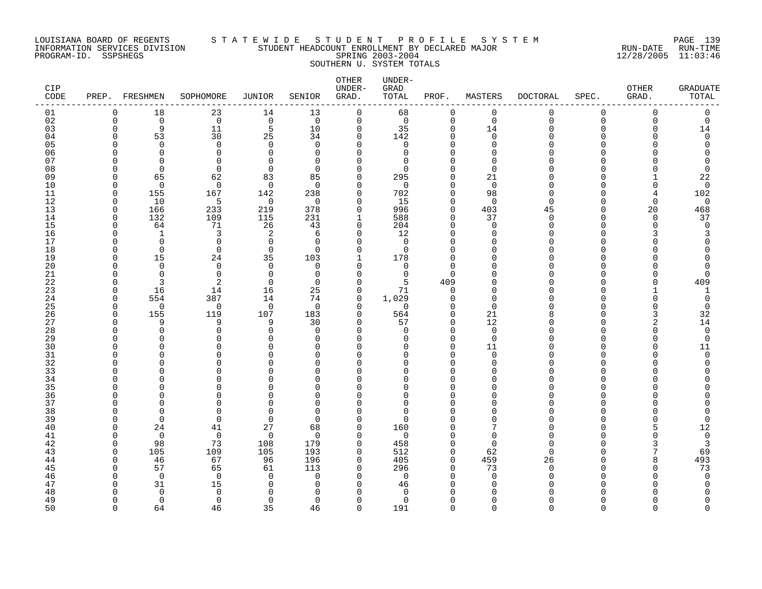### LOUISIANA BOARD OF REGENTS S T A T E W I D E S T U D E N T P R O F I L E S Y S T E M PAGE 139 INFORMATION SERVICES DIVISION STUDENT HEADCOUNT ENROLLMENT BY DECLARED MAJOR RUN-DATE RUN-TIME PROGRAM-ID. SSPSHEGS SPRING 2003-2004 12/28/2005 11:03:46 SOUTHERN U. SYSTEM TOTALS

| <b>CIP</b><br>CODE | PREP.       | FRESHMEN                 | SOPHOMORE           | JUNIOR               | SENIOR               | OTHER<br>UNDER-<br>GRAD. | UNDER-<br>GRAD<br>TOTAL      | PROF.                   | MASTERS              | <b>DOCTORAL</b> | SPEC.    | OTHER<br>GRAD. | <b>GRADUATE</b><br>TOTAL |
|--------------------|-------------|--------------------------|---------------------|----------------------|----------------------|--------------------------|------------------------------|-------------------------|----------------------|-----------------|----------|----------------|--------------------------|
| 01                 | $\Omega$    | 18                       | 23                  | 14                   | 13                   | $\mathbf 0$              | 68                           | 0                       | 0                    | $\mathbf 0$     | 0        | 0              | 0                        |
| 02                 | $\mathbf 0$ | $\overline{0}$           | $\mathbf 0$         | $\mathsf 0$          | $\mathbf 0$          | $\mathbf 0$              | $\mathbf 0$                  | $\mathbf 0$             | $\mathbf 0$          | $\Omega$        | 0        | $\mathbf 0$    | $\mathbf 0$              |
| 03                 | $\Omega$    | 9                        | 11                  | 5                    | 10                   | $\mathbf 0$              | 35                           | $\mathbf{0}$            | 14                   | ∩               | $\Omega$ | $\Omega$       | 14                       |
| 04                 | $\cap$      | 53                       | 30                  | 25                   | 34                   | $\Omega$                 | 142                          | $\Omega$                | $\Omega$             |                 | U        |                | $\Omega$                 |
| 05                 | C           | $\Omega$<br><sup>0</sup> | $\mathbf 0$<br>0    | $\Omega$<br>$\Omega$ | $\Omega$             | $\Omega$<br>$\Omega$     | $\mathbf 0$<br>0             | $\Omega$<br>$\mathbf 0$ | $\Omega$<br>$\Omega$ |                 | U        |                |                          |
| 06<br>07           | C           | $\Omega$                 | 0                   | $\cap$               | $\Omega$<br>$\Omega$ | $\Omega$                 | $\Omega$                     | $\Omega$                | $\Omega$             |                 |          |                |                          |
| 08                 | ∩           | $\Omega$                 | $\mathbf 0$         | $\Omega$             | $\Omega$             | $\Omega$                 | $\Omega$                     | $\Omega$                | $\Omega$             |                 |          |                | $\Omega$                 |
| 09                 | $\Omega$    | 65                       | 62                  | 83                   | 85                   | 0                        | 295                          | $\mathbf 0$             | 21                   |                 | U        |                | 22                       |
| 10                 | O           | $\overline{0}$           | $\mathbf 0$         | $\mathbf 0$          | $\Omega$             | 0                        | $\mathbf 0$                  | $\mathbf 0$             | $\mathbf 0$          |                 | U        | $\Omega$       | $\mathbf 0$              |
| 11                 | $\Omega$    | 155                      | 167                 | 142                  | 238                  | 0                        | 702                          | $\Omega$                | 98                   | ∩               | U        | 4              | 102                      |
| 12                 | $\Omega$    | 10                       | 5                   | $\mathbf 0$          | $\Omega$             | $\Omega$                 | 15                           | $\Omega$                | $\Omega$             | ∩               | U        | $\Omega$       | $\mathbf 0$              |
| 13                 | $\Omega$    | 166                      | 233                 | 219                  | 378                  | $\Omega$                 | 996                          | $\Omega$                | 403                  | 45              | $\Omega$ | 20             | 468                      |
| 14                 | $\Omega$    | 132                      | 109                 | 115                  | 231                  | 1                        | 588                          | $\mathbf 0$             | 37                   | ∩               | U        | $\Omega$       | 37                       |
| 15                 | $\Omega$    | 64                       | 71                  | 26                   | 43                   | 0                        | 204                          | $\mathbf{0}$            | $\mathbf 0$          | ∩               | U        | $\Omega$       | $\Omega$                 |
| 16                 | C           | 1                        | 3                   | 2                    | 6                    | 0                        | 12                           | $\mathbf 0$             | $\Omega$             |                 | U        |                |                          |
| 17                 |             | $\Omega$                 | 0                   | $\Omega$             | $\Omega$             | $\Omega$                 | $\Omega$                     | $\Omega$                | ∩                    |                 |          |                |                          |
| 18                 | C           | $\Omega$                 | $\Omega$            | $\mathbf 0$          | $\Omega$             | $\Omega$                 | $\Omega$                     | $\Omega$                | $\Omega$             |                 |          |                |                          |
| 19                 | ∩           | 15                       | 24                  | 35                   | 103                  | 1                        | 178                          | $\mathbf 0$             | $\Omega$             |                 | U        |                |                          |
| 20<br>21           | ∩           | $\Omega$<br>$\Omega$     | $\mathbf 0$         | $\Omega$<br>$\Omega$ | $\Omega$<br>$\Omega$ | $\Omega$                 | $\mathbf 0$                  | $\Omega$<br>$\Omega$    | $\Omega$<br>$\Omega$ |                 | U        |                | $\Omega$                 |
| 22                 | ∩           | 3                        | 0<br>$\overline{2}$ | $\Omega$             | $\Omega$             | 0<br>$\Omega$            | $\mathbf 0$<br>5             | 409                     | $\Omega$             |                 | ∩        |                | 409                      |
| 23                 | $\Omega$    | 16                       | 14                  | 16                   | 25                   | $\Omega$                 | 71                           | $\Omega$                | $\Omega$             |                 | U        |                | 1                        |
| 24                 | $\Omega$    | 554                      | 387                 | 14                   | 74                   | 0                        | 1,029                        | 0                       | $\mathbf 0$          |                 | U        | n              | 0                        |
| 25                 | $\Omega$    | $\Omega$                 | 0                   | $\mathbf 0$          | $\Omega$             | $\Omega$                 | $\mathbf 0$                  | $\Omega$                | $\Omega$             |                 |          |                | $\mathbf 0$              |
| 26                 | $\Omega$    | 155                      | 119                 | 107                  | 183                  | 0                        | 564                          | 0                       | 21                   |                 | U        |                | 32                       |
| 27                 | $\Omega$    | 9                        | 9                   | 9                    | 30                   | $\Omega$                 | 57                           | $\Omega$                | 12                   |                 | U        |                | 14                       |
| 28                 | C           | $\Omega$                 | 0                   | $\Omega$             | $\Omega$             | $\Omega$                 | $\Omega$                     | $\Omega$                | $\mathbf 0$          |                 | U        | $\cap$         | $\mathbf 0$              |
| 29                 |             | ∩                        | $\Omega$            | $\cap$               | $\Omega$             | $\Omega$                 | $\Omega$                     | $\Omega$                | $\mathbf 0$          |                 | U        |                | $\mathbf 0$              |
| 30                 |             | U                        | $\Omega$            | U                    | $\Omega$             | $\Omega$                 | $\Omega$                     | $\Omega$                | 11                   |                 | U        |                | 11                       |
| 31                 |             | $\Omega$                 | $\Omega$            | $\cap$               | $\Omega$             | $\Omega$                 | U                            | $\Omega$                | $\Omega$             |                 | U        |                | $\Omega$                 |
| 32                 |             | U                        | $\Omega$            | $\cap$               | $\Omega$             | ∩                        | $\Omega$                     | $\Omega$                | $\Omega$             |                 | U        |                |                          |
| 33                 |             | O                        | 0                   | U                    | O                    | 0                        | 0                            | 0                       | 0                    |                 | U        |                |                          |
| 34                 |             | ∩                        | $\Omega$            | U<br>U               | $\Omega$             | $\Omega$                 | <sup>0</sup>                 | 0<br>$\Omega$           | $\Omega$             |                 |          |                |                          |
| 35<br>36           |             | ∩                        | O<br>$\Omega$       | ∩                    | $\Omega$<br>$\Omega$ | $\Omega$<br>$\Omega$     | <sup>0</sup><br><sup>0</sup> | $\Omega$                | $\Omega$<br>$\Omega$ |                 | U        |                |                          |
| 37                 |             | $\Omega$                 | $\Omega$            | ∩                    | $\Omega$             | $\Omega$                 | <sup>0</sup>                 | $\Omega$                | $\Omega$             |                 | U        |                |                          |
| 38                 |             | $\Omega$                 | 0                   | $\cap$               | $\Omega$             | $\Omega$                 | $\Omega$                     | $\Omega$                | $\Omega$             |                 | U        |                |                          |
| 39                 | ∩           | $\Omega$                 | $\Omega$            | $\Omega$             | $\Omega$             | $\Omega$                 | $\Omega$                     | $\Omega$                | $\Omega$             |                 | U        |                | $\Omega$                 |
| 40                 | ∩           | 24                       | 41                  | 27                   | 68                   | $\Omega$                 | 160                          | $\Omega$                |                      |                 |          |                | 12                       |
| 41                 | ∩           | $\Omega$                 | $\mathbf 0$         | $\mathbf 0$          | $\Omega$             | $\Omega$                 | $\Omega$                     | $\Omega$                | $\Omega$             |                 |          |                | $\mathbf 0$              |
| 42                 | $\Omega$    | 98                       | 73                  | 108                  | 179                  | 0                        | 458                          | $\mathbf 0$             | 0                    | ∩               | U        |                | 3                        |
| 43                 | $\Omega$    | 105                      | 109                 | 105                  | 193                  | 0                        | 512                          | $\mathbf 0$             | 62                   | ∩               | U        |                | 69                       |
| 44                 | $\Omega$    | 46                       | 67                  | 96                   | 196                  | 0                        | 405                          | $\mathbf 0$             | 459                  | 26              | U        | 8              | 493                      |
| 45                 | ∩           | 57                       | 65                  | 61                   | 113                  | $\Omega$                 | 296                          | $\Omega$                | 73                   | ∩               | ∩        |                | 73                       |
| 46                 |             | $\Omega$                 | $\Omega$            | $\Omega$             | $\Omega$             | $\Omega$                 | $\overline{0}$               | $\Omega$                | $\Omega$             |                 | U        |                | $\Omega$                 |
| 47                 | C           | 31                       | 15                  | ∩                    | $\Omega$             | $\Omega$                 | 46                           | $\Omega$                | $\Omega$             |                 |          |                |                          |
| 48                 | ∩           | $\Omega$                 | $\mathbf 0$         | $\cap$               | $\Omega$             | $\Omega$                 | $\Omega$                     | $\Omega$<br>$\Omega$    | $\Omega$             |                 |          |                |                          |
| 49<br>50           | $\cap$      | $\Omega$<br>64           | $\Omega$<br>46      | $\Omega$<br>35       | $\Omega$<br>46       | 0<br>$\Omega$            | $\Omega$<br>191              | $\Omega$                | $\Omega$<br>$\cap$   |                 |          | $\cap$         | $\mathbf 0$<br>$\Omega$  |
|                    |             |                          |                     |                      |                      |                          |                              |                         |                      |                 |          |                |                          |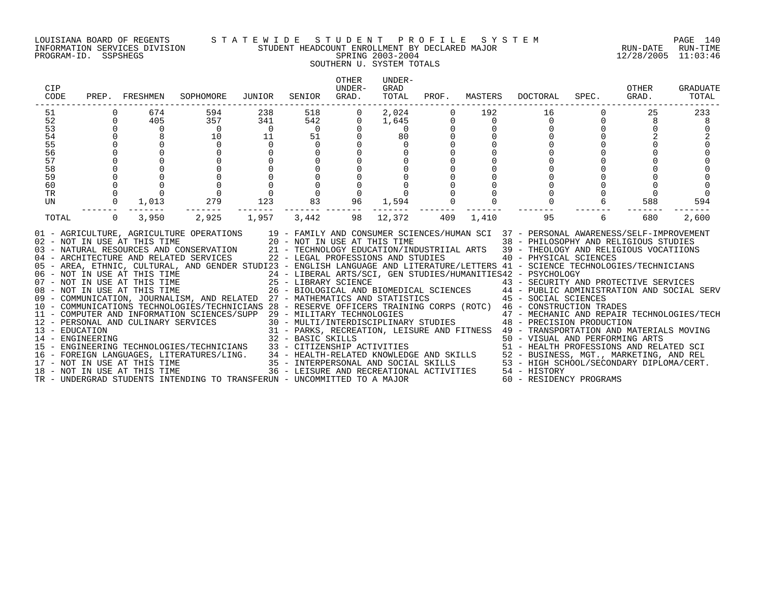### LOUISIANA BOARD OF REGENTS S T A T E W I D E S T U D E N T P R O F I L E S Y S T E M PAGE 140 INFORMATION SERVICES DIVISION STUDENT HEADCOUNT ENROLLMENT BY DECLARED MAJOR RUN-DATE RUN-TIME PROGRAM-ID. SSPSHEGS SPRING 2003-2004 12/28/2005 11:03:46 SOUTHERN U. SYSTEM TOTALS

| CIP<br>CODE |                            | PREP. FRESHMEN | SOPHOMORE                                                                                                                                                                                                                                                                                                                                                                                                                                                                                                                                                                                                                                                                                                                                                                                                                                                                                                                                                                                                                    | JUNIOR         | SENIOR                                 | <b>OTHER</b><br>UNDER-<br>GRAD. | UNDER-<br>GRAD<br>TOTAL |                     |                 | PROF. MASTERS DOCTORAL                                                                                                                                                                                                                                                                | SPEC.                | OTHER<br>GRAD. | <b>GRADUATE</b><br>TOTAL |
|-------------|----------------------------|----------------|------------------------------------------------------------------------------------------------------------------------------------------------------------------------------------------------------------------------------------------------------------------------------------------------------------------------------------------------------------------------------------------------------------------------------------------------------------------------------------------------------------------------------------------------------------------------------------------------------------------------------------------------------------------------------------------------------------------------------------------------------------------------------------------------------------------------------------------------------------------------------------------------------------------------------------------------------------------------------------------------------------------------------|----------------|----------------------------------------|---------------------------------|-------------------------|---------------------|-----------------|---------------------------------------------------------------------------------------------------------------------------------------------------------------------------------------------------------------------------------------------------------------------------------------|----------------------|----------------|--------------------------|
| 51<br>52    | $\Omega$                   | 674<br>405     | 594<br>357                                                                                                                                                                                                                                                                                                                                                                                                                                                                                                                                                                                                                                                                                                                                                                                                                                                                                                                                                                                                                   | 238<br>341     | 518<br>542                             | $\overline{0}$<br>$\Omega$      | 2,024<br>1,645          | $\mathbf 0$<br>0    | 192<br>$\Omega$ | 16<br>$\Omega$                                                                                                                                                                                                                                                                        | $\Omega$<br>$\Omega$ | 25<br>8        | 233<br>8                 |
| 53          | $\Omega$                   | $\Omega$       | $\overline{0}$                                                                                                                                                                                                                                                                                                                                                                                                                                                                                                                                                                                                                                                                                                                                                                                                                                                                                                                                                                                                               | $\overline{0}$ | $\begin{array}{c} 0 \\ 51 \end{array}$ | $\Omega$                        | $\Omega$                |                     |                 |                                                                                                                                                                                                                                                                                       |                      |                |                          |
| 54          | $\Omega$                   | 8              | 10                                                                                                                                                                                                                                                                                                                                                                                                                                                                                                                                                                                                                                                                                                                                                                                                                                                                                                                                                                                                                           | 11             |                                        | $\Omega$                        | 80                      |                     |                 |                                                                                                                                                                                                                                                                                       |                      |                |                          |
| 55          | $\Omega$                   | $\Omega$       | $\Omega$                                                                                                                                                                                                                                                                                                                                                                                                                                                                                                                                                                                                                                                                                                                                                                                                                                                                                                                                                                                                                     | $\mathbf 0$    | $\Omega$                               |                                 | $\Omega$                |                     |                 |                                                                                                                                                                                                                                                                                       |                      |                |                          |
| 56<br>57    | $\mathbf 0$<br>$\mathbf 0$ |                |                                                                                                                                                                                                                                                                                                                                                                                                                                                                                                                                                                                                                                                                                                                                                                                                                                                                                                                                                                                                                              |                | $\mathbf 0$                            |                                 |                         |                     |                 |                                                                                                                                                                                                                                                                                       |                      |                |                          |
| 58          | 0                          |                |                                                                                                                                                                                                                                                                                                                                                                                                                                                                                                                                                                                                                                                                                                                                                                                                                                                                                                                                                                                                                              |                | $\mathsf{O}$<br>$\mathsf{O}$           |                                 |                         |                     |                 |                                                                                                                                                                                                                                                                                       |                      |                |                          |
| 59          |                            |                |                                                                                                                                                                                                                                                                                                                                                                                                                                                                                                                                                                                                                                                                                                                                                                                                                                                                                                                                                                                                                              |                | $\mathbf 0$                            |                                 |                         |                     |                 |                                                                                                                                                                                                                                                                                       |                      |                |                          |
| 60          | $\mathbf 0$                |                |                                                                                                                                                                                                                                                                                                                                                                                                                                                                                                                                                                                                                                                                                                                                                                                                                                                                                                                                                                                                                              |                | $\overline{0}$                         |                                 |                         | $\mathsf{O}\xspace$ |                 |                                                                                                                                                                                                                                                                                       |                      |                |                          |
| TR          | $\mathbf 0$                | $\Omega$       |                                                                                                                                                                                                                                                                                                                                                                                                                                                                                                                                                                                                                                                                                                                                                                                                                                                                                                                                                                                                                              |                | $\Omega$                               | 0                               |                         |                     |                 |                                                                                                                                                                                                                                                                                       |                      |                |                          |
| UN          | $\overline{0}$             | 1,013          | 279                                                                                                                                                                                                                                                                                                                                                                                                                                                                                                                                                                                                                                                                                                                                                                                                                                                                                                                                                                                                                          | 123            | 83                                     | 96                              | 1,594                   |                     |                 |                                                                                                                                                                                                                                                                                       |                      | 588            | 594                      |
| TOTAL       | $\overline{0}$             | 3,950          | 2,925                                                                                                                                                                                                                                                                                                                                                                                                                                                                                                                                                                                                                                                                                                                                                                                                                                                                                                                                                                                                                        | 1,957          | 3,442                                  | 98                              | 12,372                  | 409                 | 1,410           | 95                                                                                                                                                                                                                                                                                    | 6                    | 680            | 2,600                    |
|             |                            |                | 01 - AGRICULTURE, AGRICULTURE OPERATIONS 19 - FAMILY AND CONSUMER SCIENCES/HUMAN SCI 37 - PERSONAL AWARENESS/SELF-IMPROVEMENT<br>04 - ARCHITECTURE AND RELATED SERVICES 22 - LEGAL PROFESSIONS AND STUDIES<br>05 - AREA, ETHNIC, CULTURAL, AND GENDER STUDI23 - ENGLISH LANGUAGE AND LITERATURE/LETTERS 41 - SCIENCE TECHNOLOGIES/TECHNICIANS<br>06 - NOT IN USE AT THIS TIME<br>07 - NOT IN USE AT THIS TIME<br>08 - NOT IN USE AT THIS TIME<br>08 - NOT IN USE AT THIS TIME<br>08 - NOT IN USE AT THIS TIME<br>26 - BIOLOGICAL AND F<br>07 - NOT IN USE AT THIS TIME<br>25 - LIBRARY SCIENCE<br>26 - BIOLOGICAL AND BIOMEDICAL SCIENCES<br>26 - BIOLOGICAL AND BIOMEDICAL SCIENCES<br>26 - BIOLOGICAL AND BIOMEDICAL SCIENCES<br>26 - BIOLOGICAL AND BIOMEDICAL SCIENCES<br>26 - B<br>11 - COMPUTER AND INFORMATION SCIENCES/SUPP 29 - MILITARY TECHNOLOGIES<br>11 - COMPUTER AND INFORMATION CONTRICTS 30 - MULTI/INTERDI<br>12 - PERSONAL AND CULINARY SERVICES 31 - PARKS, RECREA<br>14 - ENGINEERING 32 - BASIC SKILLS |                |                                        |                                 |                         |                     |                 | 40 - PHYSICAL SCIENCES<br>24 - LIBERAL ARTS/SCI, GEN STUDIES/HUMANITIES42 - PSYCHOLOGY<br>29 - MILITARY TECHNOLOGIES<br>30 - MULTI/INTERDISCIPLINARY STUDIES<br><br>48 - PRECISION PRODUCTION<br>31 - PARKS, RECREATION, LEISURE AND FITNESS 49 - TRANSPORTATION AND MATERIALS MOVING |                      |                |                          |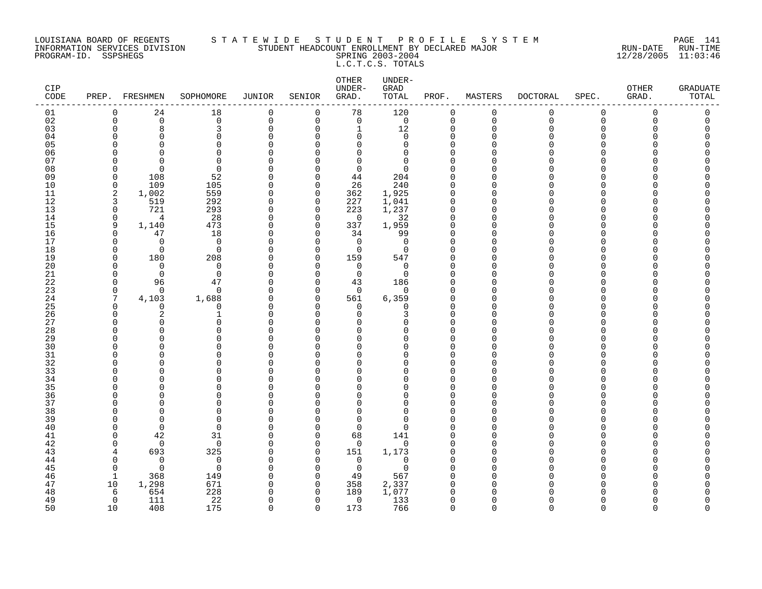### LOUISIANA BOARD OF REGENTS S T A T E W I D E S T U D E N T P R O F I L E S Y S T E M PAGE 141 INFORMATION SERVICES DIVISION STUDENT HEADCOUNT ENROLLMENT BY DECLARED MAJOR RUN-DATE RUN-TIME PROGRAM-ID. SSPSHEGS SPRING 2003-2004 12/28/2005 11:03:46 L.C.T.C.S. TOTALS

| CIP<br>CODE |                      | PREP. FRESHMEN | SOPHOMORE         | <b>JUNIOR</b> | SENIOR        | OTHER<br>UNDER-<br>GRAD. | UNDER-<br>GRAD<br>TOTAL | PROF.                | MASTERS     | <b>DOCTORAL</b> | SPEC.                | OTHER<br>GRAD. | <b>GRADUATE</b><br>TOTAL |
|-------------|----------------------|----------------|-------------------|---------------|---------------|--------------------------|-------------------------|----------------------|-------------|-----------------|----------------------|----------------|--------------------------|
| 01          | $\mathbf 0$          | 24             | 18                | 0             | 0             | 78                       | 120                     | 0                    | $\mathbf 0$ | 0               | 0                    | 0              | 0                        |
| 02          | $\mathbf 0$          | $\Omega$       | $\mathbf 0$       | $\mathbf 0$   | $\mathbf 0$   | $\mathbf 0$              | $\mathbf 0$             | $\mathbf 0$          | $\mathbf 0$ | $\Omega$        | $\Omega$             | $\Omega$       | 0                        |
| 03          | $\mathbf 0$          | 8              | 3                 | $\Omega$      | $\Omega$      | $\mathbf{1}$             | 12                      | $\Omega$             | $\Omega$    | $\Omega$        | $\Omega$             | Ω              | O                        |
| 04          | $\Omega$             | $\Omega$       | 0                 | $\Omega$      | <sup>0</sup>  | $\mathbf 0$              | 0                       | $\Omega$             | ∩           |                 | $\Omega$             |                | O                        |
| 05          | ∩                    | U              | 0                 | O             | U             | $\Omega$                 | 0                       | $\Omega$             |             |                 | U                    |                |                          |
| 06          | $\cap$               | U              | $\Omega$          | $\Omega$      | n             | $\mathbf 0$              | 0                       | $\Omega$             |             |                 | <sup>n</sup>         |                |                          |
| 07          | ∩                    | ∩              | $\Omega$          | $\cap$        | n             | $\Omega$                 | $\Omega$                | $\Omega$             |             |                 | U                    |                |                          |
| 08          | $\Omega$             | $\Omega$       | $\Omega$          | $\Omega$      | $\Omega$      | $\Omega$                 | $\Omega$                | $\Omega$             |             |                 | $\Omega$             |                |                          |
| 09          | $\mathbf 0$          | 108            | 52                | $\Omega$      | 0             | 44                       | 204                     | 0                    |             |                 | $\Omega$             |                |                          |
| 10          | $\mathbf 0$          | 109            | 105               | O             | $\Omega$      | 26                       | 240                     | $\Omega$             |             |                 | <sup>n</sup>         |                |                          |
| 11          | 2                    | 1,002          | 559               | $\Omega$      | 0             | 362                      | 1,925                   | 0                    | ∩           |                 | <sup>n</sup>         |                |                          |
| 12          | 3                    | 519            | 292               | $\Omega$      | $\Omega$      | 227                      | 1,041                   | $\Omega$             | O           |                 | <sup>n</sup>         |                |                          |
| 13          | $\mathbf 0$          | 721            | 293               | $\Omega$      | $\mathbf 0$   | 223                      | 1,237                   | $\mathbf 0$          | ∩           |                 | $\Omega$             |                |                          |
| 14          | $\mathbf 0$          | 4              | 28                | $\Omega$      | $\Omega$      | $\Omega$                 | 32                      | $\mathbf 0$          | ∩           |                 | $\cap$               |                |                          |
| 15          | 9                    | 1,140          | 473               | $\Omega$      | 0             | 337                      | 1,959                   | $\Omega$             |             |                 | <sup>n</sup>         |                |                          |
| 16          | $\mathbf 0$          | 47             | 18                | $\Omega$      | 0             | 34                       | 99                      | 0                    | ∩           |                 | <sup>n</sup>         |                |                          |
| 17          | $\Omega$             | $\Omega$       | $\mathbf 0$       | $\Omega$      | $\Omega$      | 0                        | 0                       | $\Omega$             | ∩           |                 | <sup>n</sup>         |                |                          |
| 18          | $\mathbf 0$          | $\Omega$       | $\mathbf 0$       | O             | $\mathbf 0$   | $\Omega$                 | $\mathbf 0$             | $\Omega$             |             |                 | $\Omega$<br>$\Omega$ |                |                          |
| 19          | $\Omega$<br>$\Omega$ | 180            | 208               | $\Omega$      | $\Omega$      | 159                      | 547                     | $\Omega$             |             |                 | $\cap$               |                |                          |
| 20<br>21    |                      | $\Omega$       | 0                 | $\Omega$      | $\Omega$      | $\mathbf 0$              | $\mathbf 0$             | $\Omega$             |             |                 | <sup>n</sup>         |                |                          |
| 22          | $\Omega$<br>0        | $\Omega$<br>96 | $\mathbf 0$<br>47 | U<br>0        | $\Omega$<br>0 | $\mathbf 0$              | $\mathbf 0$<br>186      | $\Omega$<br>$\Omega$ |             |                 | $\Omega$             |                |                          |
|             | $\mathbf 0$          | $\Omega$       | $\mathbf 0$       | $\Omega$      | $\Omega$      | 43<br>$\mathbf 0$        |                         | $\Omega$             |             |                 | $\Omega$             |                |                          |
| 23<br>24    | 7                    | 4,103          | 1,688             | $\Omega$      | $\mathbf 0$   | 561                      | 0<br>6,359              | 0                    | O           |                 | $\Omega$             |                |                          |
| 25          | $\Omega$             | $\Omega$       | $\mathbf 0$       | $\Omega$      | $\Omega$      | $\Omega$                 | 0                       | $\Omega$             |             |                 | U                    |                |                          |
| 26          | $\Omega$             | 2              | $\mathbf{1}$      | $\Omega$      | $\Omega$      | $\Omega$                 | 3                       | $\Omega$             | ∩           |                 | $\Omega$             |                |                          |
| 27          | $\Omega$             | $\Omega$       | 0                 | 0             | U             | $\Omega$                 | 0                       | $\Omega$             |             |                 | $\Omega$             |                |                          |
| 28          | $\Omega$             | O              | $\Omega$          | O             | <sup>n</sup>  | $\Omega$                 | 0                       | $\Omega$             |             |                 | <sup>n</sup>         |                |                          |
| 29          | $\Omega$             | O              | 0                 | U             | <sup>n</sup>  | 0                        | 0                       | $\Omega$             |             |                 | <sup>n</sup>         |                |                          |
| 30          | ∩                    | ∩              | $\Omega$          | $\Omega$      | n             | $\Omega$                 | $\Omega$                | $\Omega$             |             |                 | $\Omega$             |                |                          |
| 31          | $\Omega$             | U              | $\Omega$          | O             | $\Omega$      | $\Omega$                 | 0                       | $\Omega$             | ∩           |                 | $\Omega$             |                |                          |
| 32          | $\Omega$             | U              | $\Omega$          | O             | n             | $\Omega$                 | 0                       | $\Omega$             |             |                 | $\Omega$             |                |                          |
| 33          | O                    | O              | 0                 | O             | $\Omega$      | $\Omega$                 | 0                       | $\Omega$             | ∩           |                 | $\Omega$             |                |                          |
| 34          | ∩                    | O              | $\Omega$          | U             | U             | $\Omega$                 | 0                       | $\Omega$             | ∩           |                 | <sup>n</sup>         |                |                          |
| 35          | ∩                    | U              | $\Omega$          | C             | U             | $\Omega$                 | O                       | $\Omega$             |             |                 | <sup>n</sup>         |                |                          |
| 36          | $\Omega$             | U              | 0                 | U             | <sup>n</sup>  | $\Omega$                 | 0                       | $\Omega$             | ∩           |                 | $\Omega$             |                |                          |
| 37          | $\Omega$             |                | $\Omega$          | O             | <sup>n</sup>  | $\Omega$                 | 0                       | $\Omega$             |             |                 | $\Omega$             |                |                          |
| 38          | $\Omega$             | U              | $\Omega$          | U             | <sup>n</sup>  | $\Omega$                 | $\Omega$                | $\Omega$             |             |                 | $\Omega$             |                |                          |
| 39          | <sup>0</sup>         | $\Omega$       | 0                 | 0             | <sup>0</sup>  | 0                        | 0                       | $\Omega$             |             |                 | <sup>n</sup>         |                |                          |
| 40          | $\Omega$             | $\Omega$       | $\Omega$          | O             | $\Omega$      | $\mathbf 0$              | O                       | $\Omega$             |             |                 | <sup>n</sup>         |                |                          |
| 41          | $\Omega$             | 42             | 31                | 0             | $\Omega$      | 68                       | 141                     | $\Omega$             |             |                 | <sup>n</sup>         |                |                          |
| 42          | $\Omega$             | $\Omega$       | $\mathbf 0$       | $\Omega$      | $\Omega$      | $\mathbf 0$              | $\mathbf 0$             | $\Omega$             | O           |                 | $\Omega$             |                |                          |
| 43          | $\overline{4}$       | 693            | 325               | $\Omega$      | $\Omega$      | 151                      | 1,173                   | $\Omega$             | ∩           |                 | U                    |                |                          |
| 44          | $\Omega$             | $\Omega$       | $\mathbf 0$       | $\Omega$      | $\Omega$      | $\Omega$                 | $\Omega$                | $\Omega$             | ∩           |                 | $\Omega$             |                |                          |
| 45          | $\Omega$             | $\Omega$       | $\mathbf 0$       | 0             | 0             | 0                        | 0                       | $\Omega$             |             |                 | $\Omega$             |                |                          |
| 46          | -1                   | 368            | 149               | O             | $\Omega$      | 49                       | 567                     | $\Omega$             |             |                 | <sup>n</sup>         |                |                          |
| 47          | 10                   | 1,298          | 671               | 0             | 0             | 358                      | 2,337                   | 0                    | ∩           |                 | <sup>n</sup>         |                |                          |
| 48          | 6                    | 654            | 228               | ∩             | $\Omega$      | 189                      | 1,077                   | $\Omega$             |             |                 |                      |                |                          |
| 49          | $\Omega$             | 111            | 22                | $\Omega$      | $\Omega$      | $\mathbf 0$              | 133                     | $\mathbf 0$          | O           |                 | $\Omega$             |                | O                        |
| 50          | 10                   | 408            | 175               | $\cap$        | $\Omega$      | 173                      | 766                     | $\Omega$             | $\Omega$    | $\cap$          | $\cap$               | $\cap$         | $\Omega$                 |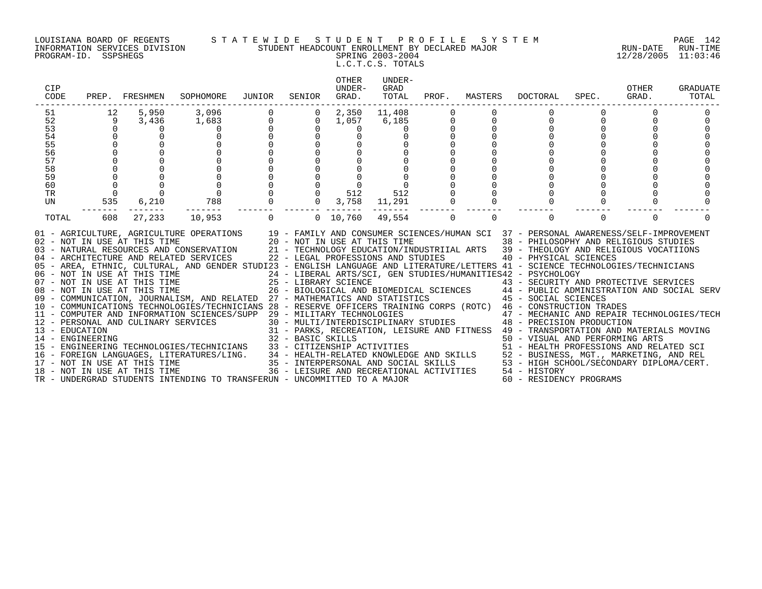### LOUISIANA BOARD OF REGENTS S T A T E W I D E S T U D E N T P R O F I L E S Y S T E M PAGE 142 INFORMATION SERVICES DIVISION STUDENT HEADCOUNT ENROLLMENT BY DECLARED MAJOR RUN-DATE RUN-TIME PROGRAM-ID. SSPSHEGS SPRING 2003-2004 12/28/2005 11:03:46 L.C.T.C.S. TOTALS

| CIP<br>CODE                        | PREP.       | FRESHMEN                                                     | SOPHOMORE                                                                                                                                                                                                                                                                                                                                                                                                                                                                                                                                                                                                                                                                                                                                                                                                                                                                                                                                                                                                                                                                                                                                                                                                                                                                                                                     | JUNIOR      | SENIOR         | OTHER<br>UNDER-<br>GRAD. | UNDER-<br>GRAD<br>TOTAL            | PROF. | MASTERS  | DOCTORAL                                                                                                                                                                                                                                                                                                                                                                | SPEC.    | OTHER<br>GRAD. | GRADUATE<br>TOTAL |
|------------------------------------|-------------|--------------------------------------------------------------|-------------------------------------------------------------------------------------------------------------------------------------------------------------------------------------------------------------------------------------------------------------------------------------------------------------------------------------------------------------------------------------------------------------------------------------------------------------------------------------------------------------------------------------------------------------------------------------------------------------------------------------------------------------------------------------------------------------------------------------------------------------------------------------------------------------------------------------------------------------------------------------------------------------------------------------------------------------------------------------------------------------------------------------------------------------------------------------------------------------------------------------------------------------------------------------------------------------------------------------------------------------------------------------------------------------------------------|-------------|----------------|--------------------------|------------------------------------|-------|----------|-------------------------------------------------------------------------------------------------------------------------------------------------------------------------------------------------------------------------------------------------------------------------------------------------------------------------------------------------------------------------|----------|----------------|-------------------|
| 51                                 | 12          | 5,950                                                        | 3,096                                                                                                                                                                                                                                                                                                                                                                                                                                                                                                                                                                                                                                                                                                                                                                                                                                                                                                                                                                                                                                                                                                                                                                                                                                                                                                                         |             | $\overline{0}$ | 2,350                    | 11,408                             |       |          |                                                                                                                                                                                                                                                                                                                                                                         |          |                |                   |
| 52                                 | 9           | 3,436                                                        | 1,683                                                                                                                                                                                                                                                                                                                                                                                                                                                                                                                                                                                                                                                                                                                                                                                                                                                                                                                                                                                                                                                                                                                                                                                                                                                                                                                         | $\mathbf 0$ | $\overline{0}$ | 1,057                    | 6,185                              |       | 0        | $\mathbf{0}$                                                                                                                                                                                                                                                                                                                                                            | $\Omega$ |                |                   |
| 53                                 | $\Omega$    | $\Omega$                                                     |                                                                                                                                                                                                                                                                                                                                                                                                                                                                                                                                                                                                                                                                                                                                                                                                                                                                                                                                                                                                                                                                                                                                                                                                                                                                                                                               |             | $\Omega$       | $\Omega$                 |                                    |       |          |                                                                                                                                                                                                                                                                                                                                                                         |          |                |                   |
| 54                                 |             |                                                              |                                                                                                                                                                                                                                                                                                                                                                                                                                                                                                                                                                                                                                                                                                                                                                                                                                                                                                                                                                                                                                                                                                                                                                                                                                                                                                                               |             |                |                          |                                    |       |          |                                                                                                                                                                                                                                                                                                                                                                         |          |                |                   |
| 55                                 |             |                                                              |                                                                                                                                                                                                                                                                                                                                                                                                                                                                                                                                                                                                                                                                                                                                                                                                                                                                                                                                                                                                                                                                                                                                                                                                                                                                                                                               |             |                |                          |                                    |       |          |                                                                                                                                                                                                                                                                                                                                                                         |          |                |                   |
| 56                                 |             |                                                              |                                                                                                                                                                                                                                                                                                                                                                                                                                                                                                                                                                                                                                                                                                                                                                                                                                                                                                                                                                                                                                                                                                                                                                                                                                                                                                                               |             |                |                          |                                    |       |          |                                                                                                                                                                                                                                                                                                                                                                         |          |                |                   |
| 57                                 |             |                                                              |                                                                                                                                                                                                                                                                                                                                                                                                                                                                                                                                                                                                                                                                                                                                                                                                                                                                                                                                                                                                                                                                                                                                                                                                                                                                                                                               |             |                |                          |                                    |       |          |                                                                                                                                                                                                                                                                                                                                                                         |          |                |                   |
| 58                                 |             |                                                              |                                                                                                                                                                                                                                                                                                                                                                                                                                                                                                                                                                                                                                                                                                                                                                                                                                                                                                                                                                                                                                                                                                                                                                                                                                                                                                                               |             |                |                          |                                    |       |          |                                                                                                                                                                                                                                                                                                                                                                         |          |                |                   |
| 59                                 |             |                                                              |                                                                                                                                                                                                                                                                                                                                                                                                                                                                                                                                                                                                                                                                                                                                                                                                                                                                                                                                                                                                                                                                                                                                                                                                                                                                                                                               |             |                |                          |                                    |       |          |                                                                                                                                                                                                                                                                                                                                                                         |          |                |                   |
| 60                                 | $\mathbf 0$ |                                                              |                                                                                                                                                                                                                                                                                                                                                                                                                                                                                                                                                                                                                                                                                                                                                                                                                                                                                                                                                                                                                                                                                                                                                                                                                                                                                                                               |             |                |                          |                                    |       |          |                                                                                                                                                                                                                                                                                                                                                                         |          |                |                   |
| TR                                 | $\Omega$    |                                                              | $\overline{0}$                                                                                                                                                                                                                                                                                                                                                                                                                                                                                                                                                                                                                                                                                                                                                                                                                                                                                                                                                                                                                                                                                                                                                                                                                                                                                                                |             | $\overline{0}$ | 512                      | 512                                |       |          |                                                                                                                                                                                                                                                                                                                                                                         |          |                |                   |
| UN                                 | 535         | 6,210                                                        | 788                                                                                                                                                                                                                                                                                                                                                                                                                                                                                                                                                                                                                                                                                                                                                                                                                                                                                                                                                                                                                                                                                                                                                                                                                                                                                                                           |             | $\overline{0}$ | 3,758                    | 11,291                             |       |          |                                                                                                                                                                                                                                                                                                                                                                         |          |                |                   |
| TOTAL                              | 608         | 27,233                                                       | 10,953                                                                                                                                                                                                                                                                                                                                                                                                                                                                                                                                                                                                                                                                                                                                                                                                                                                                                                                                                                                                                                                                                                                                                                                                                                                                                                                        | $\Omega$    |                | 0, 10, 760               | 49,554                             | 0     | $\Omega$ | $\Omega$                                                                                                                                                                                                                                                                                                                                                                | $\Omega$ | $\Omega$       |                   |
| 13 - EDUCATION<br>14 - ENGINEERING |             | 02 - NOT IN USE AT THIS TIME<br>18 - NOT IN USE AT THIS TIME | 01 - AGRICULTURE, AGRICULTURE OPERATIONS 19 - FAMILY AND CONSUMER SCIENCES/HUMAN SCI 37 - PERSONAL AWARENESS/SELF-IMPROVEMENT<br>20 - NOT IN USE AT THIS TIME<br>03 - NATURAL RESOURCES AND CONSERVATION 21 - TECHNOLOGY EDUCATION/INDUSTRIIAL ARTS 39 - THEOLOGY AND RELIGIOUS VOCATIIONS<br>04 - ARCHITECTURE AND RELATED SERVICES<br>05 - AREA, ETHNIC, CULTURAL, AND GENDER STUDI23 - ENGLISH LANGUAGE AND LITERATURE/LETTERS 41 - SCIENCE TECHNOLOGIES/TECHNICIANS<br>06 - NOT IN USE AT THIS TIME                          24 - LIBERAL ARTS/SCI, GEN STUDIES/HUMANITIES42 - PSYCHOLOGY<br>07 - NOT IN USE AT THIS TIME                   25 - LIBRARY SCIENCE                        43 - SECURITY AI<br>08 - NOT IN USE AT THIS TIME<br>09 - COMMUNICATION, JOURNALISM, AND RELATED 27 - MATHEMATICS AND STATISTICS 45 - SOCIAL SCIENCES<br>10 - COMMUNICATIONS TECHNOLOGIES/TECHNICIANS 28 - RESERVE OFFICERS TRAINING CORPS (ROTC) 46 - CONSTRUCTION TRADES<br>11 - COMPUTER AND INFORMATION SCIENCES/SUPP 29 - MILITARY TECHNOLOGIES<br>12 - PERSONAL AND CULINARY SERVICES<br>14 - ENGINEERING TECHNOLOGIES/TECHNICIANS 33 - CITIZENSHIP ACTIVITIES<br>16 - FOREIGN LANGUAGES, LITERATURES/LING. 34 - HEALTH-RELATED KNOWLEDGE AND SKILLS 52 - BUSINESS, MGT., MARKETING, AND REL<br>17 - NOT IN USE AT THIS TIME |             |                |                          | 22 - LEGAL PROFESSIONS AND STUDIES |       |          | 38 - PHILOSOPHY AND RELIGIOUS STUDIES<br>40 - PHYSICAL SCIENCES<br>43 - SECURITY AND PROTECTIVE SERVICES<br>26 - BIOLOGICAL AND BIOMEDICAL SCIENCES 44 - PUBLIC ADMINISTRATION AND SOCIAL SERV<br>47 - MECHANIC AND REPAIR TECHNOLOGIES/TECH<br>30 - MULTI/INTERDISCIPLINARY STUDIES 48 - PRECISION PRODUCTION<br>36 - LEISURE AND RECREATIONAL ACTIVITIES 54 - HISTORY |          |                |                   |
|                                    |             |                                                              | TR - UNDERGRAD STUDENTS INTENDING TO TRANSFERUN - UNCOMMITTED TO A MAJOR                                                                                                                                                                                                                                                                                                                                                                                                                                                                                                                                                                                                                                                                                                                                                                                                                                                                                                                                                                                                                                                                                                                                                                                                                                                      |             |                |                          |                                    |       |          | 60 - RESIDENCY PROGRAMS                                                                                                                                                                                                                                                                                                                                                 |          |                |                   |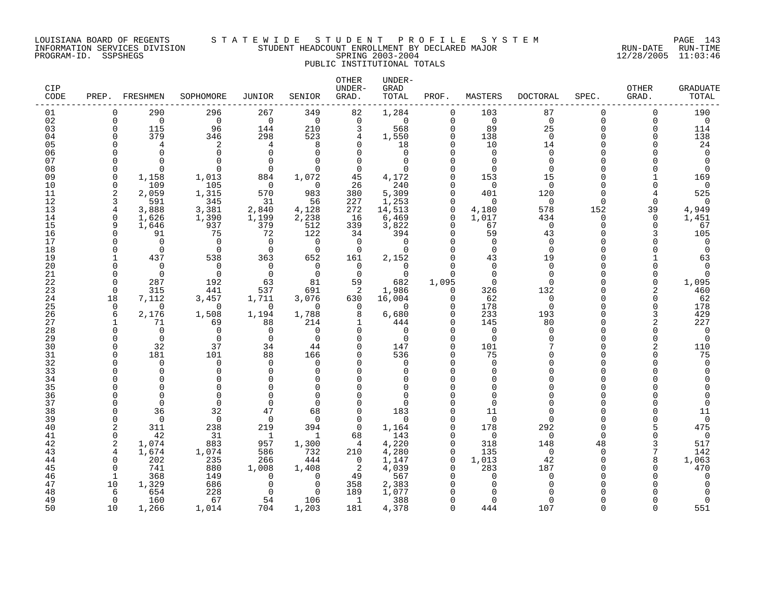### LOUISIANA BOARD OF REGENTS S T A T E W I D E S T U D E N T P R O F I L E S Y S T E M PAGE 143 INFORMATION SERVICES DIVISION STUDENT HEADCOUNT ENROLLMENT BY DECLARED MAJOR RUN-DATE RUN-TIME PROGRAM-ID. SSPSHEGS SPRING 2003-2004 12/28/2005 11:03:46 PUBLIC INSTITUTIONAL TOTALS

| CIP<br>CODE | PREP.                | FRESHMEN        | SOPHOMORE          | JUNIOR             | SENIOR          | OTHER<br>UNDER-<br>GRAD. | UNDER-<br>GRAD<br>TOTAL | PROF.                   | MASTERS         | <b>DOCTORAL</b> | SPEC.                | OTHER<br>GRAD. | GRADUATE<br>TOTAL  |
|-------------|----------------------|-----------------|--------------------|--------------------|-----------------|--------------------------|-------------------------|-------------------------|-----------------|-----------------|----------------------|----------------|--------------------|
| 01          | 0                    | 290             | 296                | 267                | 349             | 82                       | 1,284                   | $\mathbf 0$             | 103             | 87              | 0                    | $\mathbf 0$    | 190                |
| 02          | $\Omega$             | $\Omega$        | $\mathbf 0$        | $\overline{0}$     | $\Omega$        | $\Omega$                 | $\Omega$                | $\Omega$                | $\Omega$        | $\Omega$        | $\Omega$             | $\Omega$       | $\mathbf 0$        |
| 03          | $\Omega$             | 115             | 96                 | 144                | 210             | 3                        | 568                     | $\Omega$                | 89              | 25              | $\Omega$             | $\Omega$       | 114                |
| 04<br>05    | C                    | 379<br>4        | 346                | 298                | 523<br>8        | 4                        | 1,550                   | $\mathbf 0$<br>$\Omega$ | 138<br>10       | $\Omega$        | $\Omega$<br>$\Omega$ |                | 138                |
| 06          |                      | $\Omega$        | 2<br>0             | 4<br>$\Omega$      | $\Omega$        | $\Omega$                 | 18<br>$\Omega$          | 0                       | 0               | 14<br>$\Omega$  | U                    |                | 24<br>$\mathbf 0$  |
| 07          |                      | ∩               | $\Omega$           | $\Omega$           | $\Omega$        | 0                        | $\Omega$                | $\Omega$                | $\Omega$        | $\Omega$        | U                    |                | $\Omega$           |
| 08          | $\Omega$             | $\Omega$        | $\Omega$           | 0                  | $\Omega$        | $\mathbf 0$              | $\Omega$                | $\mathbf 0$             | $\Omega$        | $\Omega$        | O                    |                | <sup>0</sup>       |
| 09          | $\mathbf 0$          | 1,158           | 1,013              | 884                | 1,072           | 45                       | 4,172                   | $\mathbf 0$             | 153             | 15              | U                    |                | 169                |
| 10          | $\Omega$             | 109             | 105                | $\Omega$           | $\Omega$        | 26                       | 240                     | $\Omega$                | $\Omega$        | $\Omega$        | U                    |                | $\Omega$           |
| 11          | 2                    | 2,059           | 1,315              | 570                | 983             | 380                      | 5,309                   | $\mathbf 0$             | 401             | 120             | U                    |                | 525                |
| 12          | 3                    | 591             | 345                | 31                 | 56              | 227                      | 1,253                   | $\Omega$                | $\Omega$        | $\Omega$        | $\Omega$             | $\Omega$       | $\Omega$           |
| 13<br>14    | 4<br>$\Omega$        | 3,888<br>1,626  | 3,381<br>1,390     | 2,840<br>1,199     | 4,128<br>2,238  | 272<br>16                | 14,513<br>6,469         | $\Omega$<br>$\Omega$    | 4,180<br>1,017  | 578<br>434      | 152<br>$\Omega$      | 39<br>$\Omega$ | 4,949<br>1,451     |
| 15          | 9                    | 1,646           | 937                | 379                | 512             | 339                      | 3,822                   | $\mathbf 0$             | 67              | 0               | O                    | $\Omega$       | 67                 |
| 16          | $\Omega$             | 91              | 75                 | 72                 | 122             | 34                       | 394                     | $\mathbf 0$             | 59              | 43              | U                    |                | 105                |
| 17          |                      | $\Omega$        | $\Omega$           | $\Omega$           | $\Omega$        | $\Omega$                 | $\Omega$                | $\Omega$                | $\Omega$        | $\Omega$        | U                    |                | <sup>0</sup>       |
| 18          | ∩                    | $\Omega$        | $\mathbf 0$        | $\Omega$           | $\Omega$        | $\Omega$                 | $\Omega$                | $\Omega$                | $\Omega$        | $\Omega$        | O                    |                | $\Omega$           |
| 19          |                      | 437             | 538                | 363                | 652             | 161                      | 2,152                   | $\Omega$                | 43              | 19              | O                    |                | 63                 |
| 20          |                      | $\Omega$        | $\Omega$           | $\Omega$           | $\Omega$        | $\Omega$                 | $\Omega$                | $\Omega$                | $\Omega$        | $\Omega$        | U                    |                | $\Omega$           |
| 21          |                      | $\Omega$        | $\Omega$           | $\Omega$           | $\Omega$        | $\Omega$                 | $\Omega$                | $\Omega$                | $\Omega$        | $\Omega$        | $\Omega$             | ∩<br>$\Omega$  | $\Omega$           |
| 22<br>23    | $\Omega$<br>$\Omega$ | 287<br>315      | 192<br>441         | 63<br>537          | 81<br>691       | 59<br>2                  | 682<br>1,986            | 1,095<br>$\Omega$       | $\Omega$<br>326 | $\Omega$<br>132 | U<br>$\Omega$        |                | 1,095<br>460       |
| 24          | 18                   | 7,112           | 3,457              | 1,711              | 3,076           | 630                      | 16,004                  | 0                       | 62              | 0               | O                    |                | 62                 |
| 25          | $\Omega$             | $\Omega$        | 0                  | 0                  | $\Omega$        | $\Omega$                 | $\Omega$                | 0                       | 178             | $\Omega$        | U                    |                | 178                |
| 26          | 6                    | 2,176           | 1,508              | 1,194              | 1,788           | 8                        | 6,680                   | $\mathbf 0$             | 233             | 193             | O                    | 3              | 429                |
| 27          |                      | 71              | 69                 | 88                 | 214             |                          | 444                     | 0                       | 145             | 80              | O                    |                | 227                |
| 28          |                      | $\Omega$        | 0                  | $\Omega$           | $\Omega$        | $\Omega$                 | $\mathbf 0$             | $\Omega$                | $\Omega$        | $\Omega$        | $\Omega$             |                | $\Omega$           |
| 29          |                      | $\Omega$        | $\Omega$           | $\Omega$           | $\Omega$        | $\Omega$                 | $\Omega$                | $\mathbf 0$             | $\Omega$        | U               | U                    |                | $\Omega$           |
| 30          | $\cap$<br>$\cap$     | 32              | 37                 | 34<br>88           | 44              | $\Omega$<br>$\Omega$     | 147                     | $\Omega$<br>$\Omega$    | 101<br>75       |                 | $\cap$<br>$\Omega$   |                | 110                |
| 31<br>32    |                      | 181<br>$\Omega$ | 101<br>$\Omega$    | $\Omega$           | 166<br>$\Omega$ | $\Omega$                 | 536<br>$\Omega$         | $\Omega$                | $\Omega$        |                 | U                    |                | 75<br>$\Omega$     |
| 33          |                      | $\Omega$        | $\Omega$           | $\cap$             | $\Omega$        |                          | $\Omega$                | 0                       | $\Omega$        |                 | O                    |                |                    |
| 34          |                      | $\Omega$        | $\Omega$           | $\cap$             | $\Omega$        | O                        | ∩                       | 0                       | $\Omega$        |                 | U                    |                |                    |
| 35          |                      | ∩               | $\Omega$           |                    | ∩               |                          |                         | U                       | $\Omega$        |                 | U                    |                |                    |
| 36          |                      | ∩               | $\Omega$           | $\Omega$           | $\Omega$        | $\Omega$                 | <sup>n</sup>            | $\Omega$                | $\Omega$        | U               | O                    |                |                    |
| 37          |                      | $\Omega$        | $\Omega$           | $\Omega$           | $\Omega$        | $\Omega$                 | U                       | $\Omega$                | $\Omega$        |                 | U                    |                |                    |
| 38          |                      | 36              | 32                 | 47                 | 68              | $\Omega$                 | 183                     | $\Omega$                | 11              | U               | U<br>$\Omega$        |                | 11                 |
| 39<br>40    |                      | $\Omega$<br>311 | $\mathbf 0$<br>238 | $\mathbf 0$<br>219 | $\Omega$<br>394 | $\Omega$<br>$\Omega$     | $\Omega$<br>1,164       | $\Omega$<br>$\Omega$    | $\Omega$<br>178 | $\Omega$<br>292 | $\Omega$             |                | $\mathbf 0$<br>475 |
| 41          | $\Omega$             | 42              | 31                 | $\mathbf{1}$       | $\mathbf{1}$    | 68                       | 143                     | $\Omega$                | $\Omega$        | $\Omega$        | $\Omega$             |                | $\Omega$           |
| 42          | 2                    | 1,074           | 883                | 957                | 1,300           | 4                        | 4,220                   | 0                       | 318             | 148             | 48                   | 3              | 517                |
| 43          | 4                    | 1,674           | 1,074              | 586                | 732             | 210                      | 4,280                   | $\mathbf 0$             | 135             | 0               | $\Omega$             |                | 142                |
| 44          | $\Omega$             | 202             | 235                | 266                | 444             | 0                        | 1,147                   | $\mathbf 0$             | 1,013           | 42              | O                    | 8              | 1,063              |
| 45          | $\Omega$             | 741             | 880                | 1,008              | 1,408           | 2                        | 4,039                   | $\Omega$                | 283             | 187             | U                    |                | 470                |
| 46          |                      | 368             | 149                | $\Omega$           | 0               | 49                       | 567                     | $\Omega$                | $\Omega$        | $\Omega$        | U                    |                | $\Omega$           |
| 47          | 10                   | 1,329           | 686                | $\Omega$           | $\Omega$        | 358                      | 2,383                   | O<br>U                  | $\Omega$<br>∩   | U               | N                    |                |                    |
| 48<br>49    | 6<br>$\Omega$        | 654<br>160      | 228<br>67          | $\Omega$<br>54     | $\Omega$<br>106 | 189<br>$\mathbf{1}$      | 1,077<br>388            | U                       | $\Omega$        | U               | U                    |                | $\Omega$           |
| 50          | 10                   | 1,266           | 1,014              | 704                | 1,203           | 181                      | 4,378                   | U                       | 444             | 107             | $\cap$               |                | 551                |
|             |                      |                 |                    |                    |                 |                          |                         |                         |                 |                 |                      |                |                    |